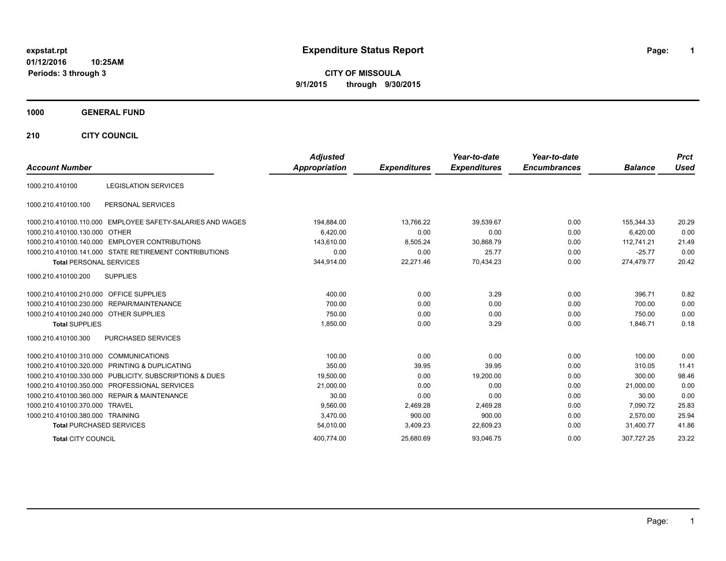# **expstat.rpt Expenditure Status Report Page:**

**1**

**CITY OF MISSOULA 9/1/2015 through 9/30/2015**

### **1000 GENERAL FUND**

**210 CITY COUNCIL**

| <b>Account Number</b>                   |                                                            | <b>Adjusted</b><br>Appropriation | <b>Expenditures</b> | Year-to-date<br><b>Expenditures</b> | Year-to-date<br><b>Encumbrances</b> | <b>Balance</b> | <b>Prct</b><br><b>Used</b> |
|-----------------------------------------|------------------------------------------------------------|----------------------------------|---------------------|-------------------------------------|-------------------------------------|----------------|----------------------------|
| 1000.210.410100                         | <b>LEGISLATION SERVICES</b>                                |                                  |                     |                                     |                                     |                |                            |
| 1000.210.410100.100                     | PERSONAL SERVICES                                          |                                  |                     |                                     |                                     |                |                            |
|                                         | 1000.210.410100.110.000 EMPLOYEE SAFETY-SALARIES AND WAGES | 194,884.00                       | 13,766.22           | 39,539.67                           | 0.00                                | 155,344.33     | 20.29                      |
| 1000.210.410100.130.000 OTHER           |                                                            | 6.420.00                         | 0.00                | 0.00                                | 0.00                                | 6.420.00       | 0.00                       |
|                                         | 1000.210.410100.140.000 EMPLOYER CONTRIBUTIONS             | 143.610.00                       | 8,505.24            | 30.868.79                           | 0.00                                | 112.741.21     | 21.49                      |
|                                         | 1000.210.410100.141.000 STATE RETIREMENT CONTRIBUTIONS     | 0.00                             | 0.00                | 25.77                               | 0.00                                | $-25.77$       | 0.00                       |
| <b>Total PERSONAL SERVICES</b>          |                                                            | 344.914.00                       | 22.271.46           | 70,434.23                           | 0.00                                | 274,479.77     | 20.42                      |
| 1000.210.410100.200                     | <b>SUPPLIES</b>                                            |                                  |                     |                                     |                                     |                |                            |
| 1000.210.410100.210.000 OFFICE SUPPLIES |                                                            | 400.00                           | 0.00                | 3.29                                | 0.00                                | 396.71         | 0.82                       |
|                                         | 1000.210.410100.230.000 REPAIR/MAINTENANCE                 | 700.00                           | 0.00                | 0.00                                | 0.00                                | 700.00         | 0.00                       |
| 1000.210.410100.240.000 OTHER SUPPLIES  |                                                            | 750.00                           | 0.00                | 0.00                                | 0.00                                | 750.00         | 0.00                       |
| <b>Total SUPPLIES</b>                   |                                                            | 1,850.00                         | 0.00                | 3.29                                | 0.00                                | 1,846.71       | 0.18                       |
| 1000.210.410100.300                     | PURCHASED SERVICES                                         |                                  |                     |                                     |                                     |                |                            |
| 1000.210.410100.310.000 COMMUNICATIONS  |                                                            | 100.00                           | 0.00                | 0.00                                | 0.00                                | 100.00         | 0.00                       |
|                                         | 1000.210.410100.320.000 PRINTING & DUPLICATING             | 350.00                           | 39.95               | 39.95                               | 0.00                                | 310.05         | 11.41                      |
|                                         | 1000.210.410100.330.000 PUBLICITY, SUBSCRIPTIONS & DUES    | 19,500.00                        | 0.00                | 19,200.00                           | 0.00                                | 300.00         | 98.46                      |
|                                         | 1000.210.410100.350.000 PROFESSIONAL SERVICES              | 21,000.00                        | 0.00                | 0.00                                | 0.00                                | 21,000.00      | 0.00                       |
|                                         | 1000.210.410100.360.000 REPAIR & MAINTENANCE               | 30.00                            | 0.00                | 0.00                                | 0.00                                | 30.00          | 0.00                       |
| 1000.210.410100.370.000 TRAVEL          |                                                            | 9,560.00                         | 2,469.28            | 2,469.28                            | 0.00                                | 7,090.72       | 25.83                      |
| 1000.210.410100.380.000 TRAINING        |                                                            | 3,470.00                         | 900.00              | 900.00                              | 0.00                                | 2.570.00       | 25.94                      |
| <b>Total PURCHASED SERVICES</b>         |                                                            | 54,010.00                        | 3,409.23            | 22,609.23                           | 0.00                                | 31,400.77      | 41.86                      |
| <b>Total CITY COUNCIL</b>               |                                                            | 400.774.00                       | 25,680.69           | 93,046.75                           | 0.00                                | 307.727.25     | 23.22                      |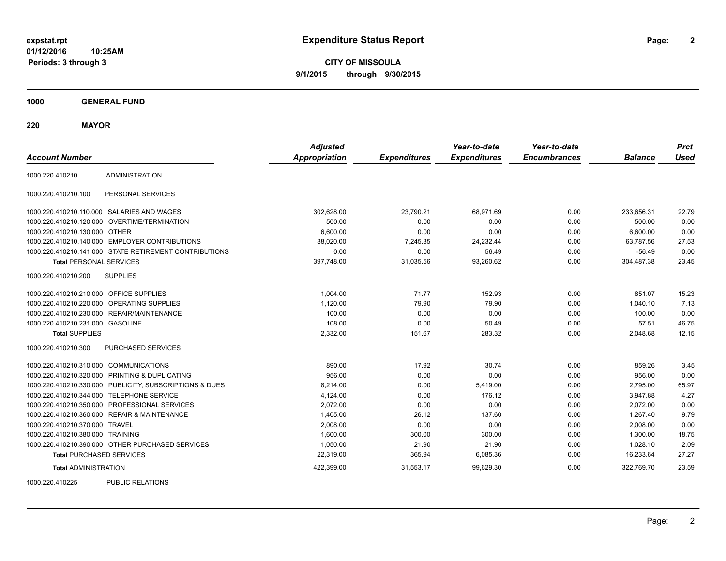**CITY OF MISSOULA 9/1/2015 through 9/30/2015**

**1000 GENERAL FUND**

**220 MAYOR**

| <b>Account Number</b>                   |                                                         | <b>Adjusted</b><br><b>Appropriation</b> | <b>Expenditures</b> | Year-to-date<br><b>Expenditures</b> | Year-to-date<br><b>Encumbrances</b> | <b>Balance</b> | <b>Prct</b><br><b>Used</b> |
|-----------------------------------------|---------------------------------------------------------|-----------------------------------------|---------------------|-------------------------------------|-------------------------------------|----------------|----------------------------|
| 1000.220.410210                         | <b>ADMINISTRATION</b>                                   |                                         |                     |                                     |                                     |                |                            |
| 1000.220.410210.100                     | PERSONAL SERVICES                                       |                                         |                     |                                     |                                     |                |                            |
|                                         | 1000.220.410210.110.000 SALARIES AND WAGES              | 302,628.00                              | 23,790.21           | 68,971.69                           | 0.00                                | 233,656.31     | 22.79                      |
| 1000.220.410210.120.000                 | OVERTIME/TERMINATION                                    | 500.00                                  | 0.00                | 0.00                                | 0.00                                | 500.00         | 0.00                       |
| 1000.220.410210.130.000 OTHER           |                                                         | 6,600.00                                | 0.00                | 0.00                                | 0.00                                | 6,600.00       | 0.00                       |
|                                         | 1000.220.410210.140.000 EMPLOYER CONTRIBUTIONS          | 88,020.00                               | 7,245.35            | 24,232.44                           | 0.00                                | 63,787.56      | 27.53                      |
|                                         | 1000.220.410210.141.000 STATE RETIREMENT CONTRIBUTIONS  | 0.00                                    | 0.00                | 56.49                               | 0.00                                | $-56.49$       | 0.00                       |
| <b>Total PERSONAL SERVICES</b>          |                                                         | 397,748.00                              | 31,035.56           | 93,260.62                           | 0.00                                | 304,487.38     | 23.45                      |
| 1000.220.410210.200                     | <b>SUPPLIES</b>                                         |                                         |                     |                                     |                                     |                |                            |
| 1000.220.410210.210.000 OFFICE SUPPLIES |                                                         | 1,004.00                                | 71.77               | 152.93                              | 0.00                                | 851.07         | 15.23                      |
| 1000.220.410210.220.000                 | OPERATING SUPPLIES                                      | 1,120.00                                | 79.90               | 79.90                               | 0.00                                | 1,040.10       | 7.13                       |
| 1000.220.410210.230.000                 | REPAIR/MAINTENANCE                                      | 100.00                                  | 0.00                | 0.00                                | 0.00                                | 100.00         | 0.00                       |
| 1000.220.410210.231.000 GASOLINE        |                                                         | 108.00                                  | 0.00                | 50.49                               | 0.00                                | 57.51          | 46.75                      |
| <b>Total SUPPLIES</b>                   |                                                         | 2,332.00                                | 151.67              | 283.32                              | 0.00                                | 2,048.68       | 12.15                      |
| 1000.220.410210.300                     | PURCHASED SERVICES                                      |                                         |                     |                                     |                                     |                |                            |
| 1000.220.410210.310.000 COMMUNICATIONS  |                                                         | 890.00                                  | 17.92               | 30.74                               | 0.00                                | 859.26         | 3.45                       |
| 1000.220.410210.320.000                 | PRINTING & DUPLICATING                                  | 956.00                                  | 0.00                | 0.00                                | 0.00                                | 956.00         | 0.00                       |
|                                         | 1000.220.410210.330.000 PUBLICITY, SUBSCRIPTIONS & DUES | 8,214.00                                | 0.00                | 5,419.00                            | 0.00                                | 2,795.00       | 65.97                      |
|                                         | 1000.220.410210.344.000 TELEPHONE SERVICE               | 4,124.00                                | 0.00                | 176.12                              | 0.00                                | 3,947.88       | 4.27                       |
| 1000.220.410210.350.000                 | PROFESSIONAL SERVICES                                   | 2,072.00                                | 0.00                | 0.00                                | 0.00                                | 2,072.00       | 0.00                       |
|                                         | 1000.220.410210.360.000 REPAIR & MAINTENANCE            | 1,405.00                                | 26.12               | 137.60                              | 0.00                                | 1,267.40       | 9.79                       |
| 1000.220.410210.370.000 TRAVEL          |                                                         | 2,008.00                                | 0.00                | 0.00                                | 0.00                                | 2,008.00       | 0.00                       |
| 1000.220.410210.380.000 TRAINING        |                                                         | 1,600.00                                | 300.00              | 300.00                              | 0.00                                | 1,300.00       | 18.75                      |
|                                         | 1000.220.410210.390.000 OTHER PURCHASED SERVICES        | 1,050.00                                | 21.90               | 21.90                               | 0.00                                | 1,028.10       | 2.09                       |
| <b>Total PURCHASED SERVICES</b>         |                                                         | 22,319.00                               | 365.94              | 6,085.36                            | 0.00                                | 16,233.64      | 27.27                      |
| <b>Total ADMINISTRATION</b>             |                                                         | 422,399.00                              | 31,553.17           | 99,629.30                           | 0.00                                | 322,769.70     | 23.59                      |
| 1000000110005                           | <b>DUDLIO DEL ATIONO</b>                                |                                         |                     |                                     |                                     |                |                            |

1000.220.410225 PUBLIC RELATIONS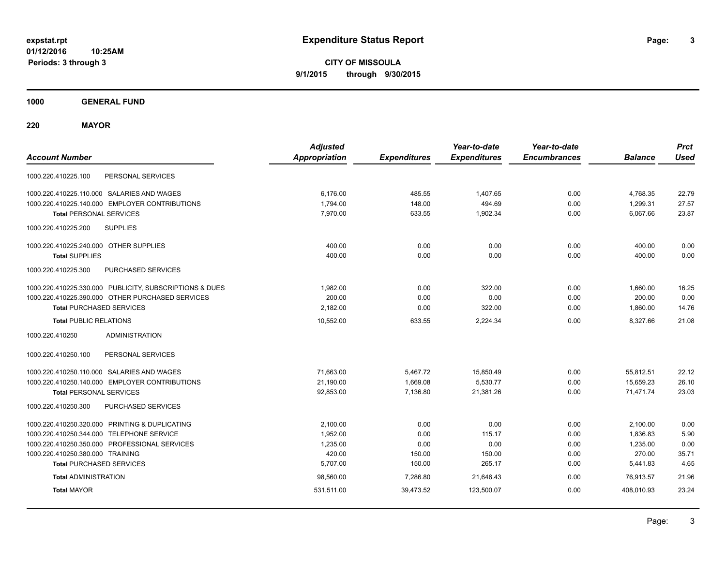**CITY OF MISSOULA 9/1/2015 through 9/30/2015**

**1000 GENERAL FUND**

**220 MAYOR**

| <b>Account Number</b>                                   | <b>Adjusted</b><br><b>Appropriation</b> | <b>Expenditures</b> | Year-to-date<br><b>Expenditures</b> | Year-to-date<br><b>Encumbrances</b> | <b>Balance</b> | <b>Prct</b><br><b>Used</b> |
|---------------------------------------------------------|-----------------------------------------|---------------------|-------------------------------------|-------------------------------------|----------------|----------------------------|
| PERSONAL SERVICES<br>1000.220.410225.100                |                                         |                     |                                     |                                     |                |                            |
| 1000.220.410225.110.000 SALARIES AND WAGES              | 6,176.00                                | 485.55              | 1,407.65                            | 0.00                                | 4,768.35       | 22.79                      |
| 1000.220.410225.140.000 EMPLOYER CONTRIBUTIONS          | 1,794.00                                | 148.00              | 494.69                              | 0.00                                | 1,299.31       | 27.57                      |
| <b>Total PERSONAL SERVICES</b>                          | 7,970.00                                | 633.55              | 1,902.34                            | 0.00                                | 6,067.66       | 23.87                      |
| <b>SUPPLIES</b><br>1000.220.410225.200                  |                                         |                     |                                     |                                     |                |                            |
| 1000.220.410225.240.000 OTHER SUPPLIES                  | 400.00                                  | 0.00                | 0.00                                | 0.00                                | 400.00         | 0.00                       |
| <b>Total SUPPLIES</b>                                   | 400.00                                  | 0.00                | 0.00                                | 0.00                                | 400.00         | 0.00                       |
| 1000.220.410225.300<br>PURCHASED SERVICES               |                                         |                     |                                     |                                     |                |                            |
| 1000.220.410225.330.000 PUBLICITY, SUBSCRIPTIONS & DUES | 1,982.00                                | 0.00                | 322.00                              | 0.00                                | 1,660.00       | 16.25                      |
| 1000.220.410225.390.000 OTHER PURCHASED SERVICES        | 200.00                                  | 0.00                | 0.00                                | 0.00                                | 200.00         | 0.00                       |
| <b>Total PURCHASED SERVICES</b>                         | 2,182.00                                | 0.00                | 322.00                              | 0.00                                | 1.860.00       | 14.76                      |
| <b>Total PUBLIC RELATIONS</b>                           | 10,552.00                               | 633.55              | 2.224.34                            | 0.00                                | 8.327.66       | 21.08                      |
| <b>ADMINISTRATION</b><br>1000.220.410250                |                                         |                     |                                     |                                     |                |                            |
| 1000.220.410250.100<br>PERSONAL SERVICES                |                                         |                     |                                     |                                     |                |                            |
| 1000.220.410250.110.000 SALARIES AND WAGES              | 71,663.00                               | 5,467.72            | 15,850.49                           | 0.00                                | 55,812.51      | 22.12                      |
| 1000.220.410250.140.000 EMPLOYER CONTRIBUTIONS          | 21,190.00                               | 1,669.08            | 5,530.77                            | 0.00                                | 15,659.23      | 26.10                      |
| <b>Total PERSONAL SERVICES</b>                          | 92,853.00                               | 7,136.80            | 21,381.26                           | 0.00                                | 71,471.74      | 23.03                      |
| 1000.220.410250.300<br>PURCHASED SERVICES               |                                         |                     |                                     |                                     |                |                            |
| 1000.220.410250.320.000 PRINTING & DUPLICATING          | 2,100.00                                | 0.00                | 0.00                                | 0.00                                | 2,100.00       | 0.00                       |
| 1000.220.410250.344.000 TELEPHONE SERVICE               | 1,952.00                                | 0.00                | 115.17                              | 0.00                                | 1,836.83       | 5.90                       |
| 1000.220.410250.350.000 PROFESSIONAL SERVICES           | 1,235.00                                | 0.00                | 0.00                                | 0.00                                | 1,235.00       | 0.00                       |
| 1000.220.410250.380.000 TRAINING                        | 420.00                                  | 150.00              | 150.00                              | 0.00                                | 270.00         | 35.71                      |
| <b>Total PURCHASED SERVICES</b>                         | 5,707.00                                | 150.00              | 265.17                              | 0.00                                | 5,441.83       | 4.65                       |
| <b>Total ADMINISTRATION</b>                             | 98,560.00                               | 7,286.80            | 21,646.43                           | 0.00                                | 76,913.57      | 21.96                      |
| <b>Total MAYOR</b>                                      | 531,511.00                              | 39,473.52           | 123,500.07                          | 0.00                                | 408,010.93     | 23.24                      |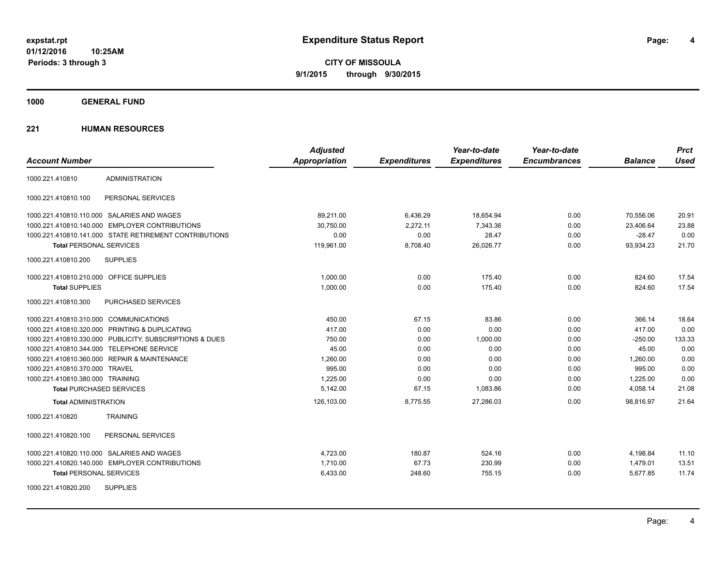**CITY OF MISSOULA 9/1/2015 through 9/30/2015**

**1000 GENERAL FUND**

|                                                         | <b>Adjusted</b>      |                     | Year-to-date        | Year-to-date        |                | <b>Prct</b> |
|---------------------------------------------------------|----------------------|---------------------|---------------------|---------------------|----------------|-------------|
| <b>Account Number</b>                                   | <b>Appropriation</b> | <b>Expenditures</b> | <b>Expenditures</b> | <b>Encumbrances</b> | <b>Balance</b> | <b>Used</b> |
| <b>ADMINISTRATION</b><br>1000.221.410810                |                      |                     |                     |                     |                |             |
| 1000.221.410810.100<br>PERSONAL SERVICES                |                      |                     |                     |                     |                |             |
| 1000.221.410810.110.000 SALARIES AND WAGES              | 89,211.00            | 6,436.29            | 18,654.94           | 0.00                | 70,556.06      | 20.91       |
| 1000.221.410810.140.000 EMPLOYER CONTRIBUTIONS          | 30.750.00            | 2,272.11            | 7,343.36            | 0.00                | 23,406.64      | 23.88       |
| 1000.221.410810.141.000 STATE RETIREMENT CONTRIBUTIONS  | 0.00                 | 0.00                | 28.47               | 0.00                | $-28.47$       | 0.00        |
| <b>Total PERSONAL SERVICES</b>                          | 119,961.00           | 8,708.40            | 26,026.77           | 0.00                | 93,934.23      | 21.70       |
| <b>SUPPLIES</b><br>1000.221.410810.200                  |                      |                     |                     |                     |                |             |
| 1000.221.410810.210.000 OFFICE SUPPLIES                 | 1.000.00             | 0.00                | 175.40              | 0.00                | 824.60         | 17.54       |
| <b>Total SUPPLIES</b>                                   | 1,000.00             | 0.00                | 175.40              | 0.00                | 824.60         | 17.54       |
| PURCHASED SERVICES<br>1000.221.410810.300               |                      |                     |                     |                     |                |             |
| 1000.221.410810.310.000 COMMUNICATIONS                  | 450.00               | 67.15               | 83.86               | 0.00                | 366.14         | 18.64       |
| 1000.221.410810.320.000 PRINTING & DUPLICATING          | 417.00               | 0.00                | 0.00                | 0.00                | 417.00         | 0.00        |
| 1000.221.410810.330.000 PUBLICITY, SUBSCRIPTIONS & DUES | 750.00               | 0.00                | 1,000.00            | 0.00                | $-250.00$      | 133.33      |
| 1000.221.410810.344.000 TELEPHONE SERVICE               | 45.00                | 0.00                | 0.00                | 0.00                | 45.00          | 0.00        |
| 1000.221.410810.360.000 REPAIR & MAINTENANCE            | 1,260.00             | 0.00                | 0.00                | 0.00                | 1,260.00       | 0.00        |
| 1000.221.410810.370.000 TRAVEL                          | 995.00               | 0.00                | 0.00                | 0.00                | 995.00         | 0.00        |
| 1000.221.410810.380.000 TRAINING                        | 1,225.00             | 0.00                | 0.00                | 0.00                | 1,225.00       | 0.00        |
| <b>Total PURCHASED SERVICES</b>                         | 5,142.00             | 67.15               | 1,083.86            | 0.00                | 4,058.14       | 21.08       |
| <b>Total ADMINISTRATION</b>                             | 126,103.00           | 8,775.55            | 27,286.03           | 0.00                | 98,816.97      | 21.64       |
| <b>TRAINING</b><br>1000.221.410820                      |                      |                     |                     |                     |                |             |
| 1000.221.410820.100<br>PERSONAL SERVICES                |                      |                     |                     |                     |                |             |
| 1000.221.410820.110.000 SALARIES AND WAGES              | 4,723.00             | 180.87              | 524.16              | 0.00                | 4,198.84       | 11.10       |
| 1000.221.410820.140.000 EMPLOYER CONTRIBUTIONS          | 1,710.00             | 67.73               | 230.99              | 0.00                | 1,479.01       | 13.51       |
| <b>Total PERSONAL SERVICES</b>                          | 6,433.00             | 248.60              | 755.15              | 0.00                | 5,677.85       | 11.74       |
| <b>SUPPLIES</b><br>1000.221.410820.200                  |                      |                     |                     |                     |                |             |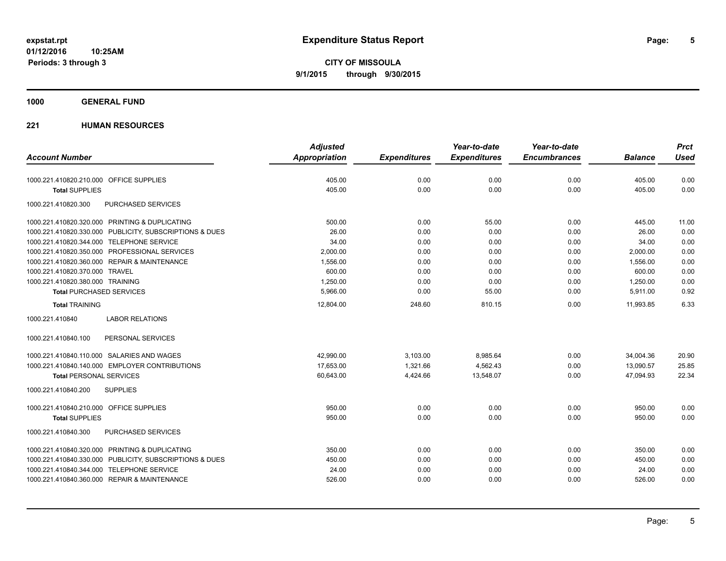**CITY OF MISSOULA 9/1/2015 through 9/30/2015**

### **1000 GENERAL FUND**

|                                                         | <b>Adjusted</b> |                     | Year-to-date        | Year-to-date        |                | <b>Prct</b> |
|---------------------------------------------------------|-----------------|---------------------|---------------------|---------------------|----------------|-------------|
| <b>Account Number</b>                                   | Appropriation   | <b>Expenditures</b> | <b>Expenditures</b> | <b>Encumbrances</b> | <b>Balance</b> | <b>Used</b> |
| 1000.221.410820.210.000 OFFICE SUPPLIES                 | 405.00          | 0.00                | 0.00                | 0.00                | 405.00         | 0.00        |
| <b>Total SUPPLIES</b>                                   | 405.00          | 0.00                | 0.00                | 0.00                | 405.00         | 0.00        |
| 1000.221.410820.300<br>PURCHASED SERVICES               |                 |                     |                     |                     |                |             |
| 1000.221.410820.320.000 PRINTING & DUPLICATING          | 500.00          | 0.00                | 55.00               | 0.00                | 445.00         | 11.00       |
| 1000.221.410820.330.000 PUBLICITY, SUBSCRIPTIONS & DUES | 26.00           | 0.00                | 0.00                | 0.00                | 26.00          | 0.00        |
| 1000.221.410820.344.000 TELEPHONE SERVICE               | 34.00           | 0.00                | 0.00                | 0.00                | 34.00          | 0.00        |
| 1000.221.410820.350.000 PROFESSIONAL SERVICES           | 2,000.00        | 0.00                | 0.00                | 0.00                | 2,000.00       | 0.00        |
| 1000.221.410820.360.000 REPAIR & MAINTENANCE            | 1,556.00        | 0.00                | 0.00                | 0.00                | 1,556.00       | 0.00        |
| 1000.221.410820.370.000 TRAVEL                          | 600.00          | 0.00                | 0.00                | 0.00                | 600.00         | 0.00        |
| 1000.221.410820.380.000 TRAINING                        | 1,250.00        | 0.00                | 0.00                | 0.00                | 1,250.00       | 0.00        |
| <b>Total PURCHASED SERVICES</b>                         | 5,966.00        | 0.00                | 55.00               | 0.00                | 5,911.00       | 0.92        |
| <b>Total TRAINING</b>                                   | 12,804.00       | 248.60              | 810.15              | 0.00                | 11,993.85      | 6.33        |
| <b>LABOR RELATIONS</b><br>1000.221.410840               |                 |                     |                     |                     |                |             |
| 1000.221.410840.100<br>PERSONAL SERVICES                |                 |                     |                     |                     |                |             |
| 1000.221.410840.110.000 SALARIES AND WAGES              | 42,990.00       | 3,103.00            | 8,985.64            | 0.00                | 34,004.36      | 20.90       |
| 1000.221.410840.140.000 EMPLOYER CONTRIBUTIONS          | 17,653.00       | 1,321.66            | 4,562.43            | 0.00                | 13,090.57      | 25.85       |
| <b>Total PERSONAL SERVICES</b>                          | 60,643.00       | 4,424.66            | 13,548.07           | 0.00                | 47,094.93      | 22.34       |
| 1000.221.410840.200<br><b>SUPPLIES</b>                  |                 |                     |                     |                     |                |             |
| 1000.221.410840.210.000 OFFICE SUPPLIES                 | 950.00          | 0.00                | 0.00                | 0.00                | 950.00         | 0.00        |
| <b>Total SUPPLIES</b>                                   | 950.00          | 0.00                | 0.00                | 0.00                | 950.00         | 0.00        |
| 1000.221.410840.300<br>PURCHASED SERVICES               |                 |                     |                     |                     |                |             |
| 1000.221.410840.320.000 PRINTING & DUPLICATING          | 350.00          | 0.00                | 0.00                | 0.00                | 350.00         | 0.00        |
| 1000.221.410840.330.000 PUBLICITY, SUBSCRIPTIONS & DUES | 450.00          | 0.00                | 0.00                | 0.00                | 450.00         | 0.00        |
| 1000.221.410840.344.000 TELEPHONE SERVICE               | 24.00           | 0.00                | 0.00                | 0.00                | 24.00          | 0.00        |
| 1000.221.410840.360.000 REPAIR & MAINTENANCE            | 526.00          | 0.00                | 0.00                | 0.00                | 526.00         | 0.00        |
|                                                         |                 |                     |                     |                     |                |             |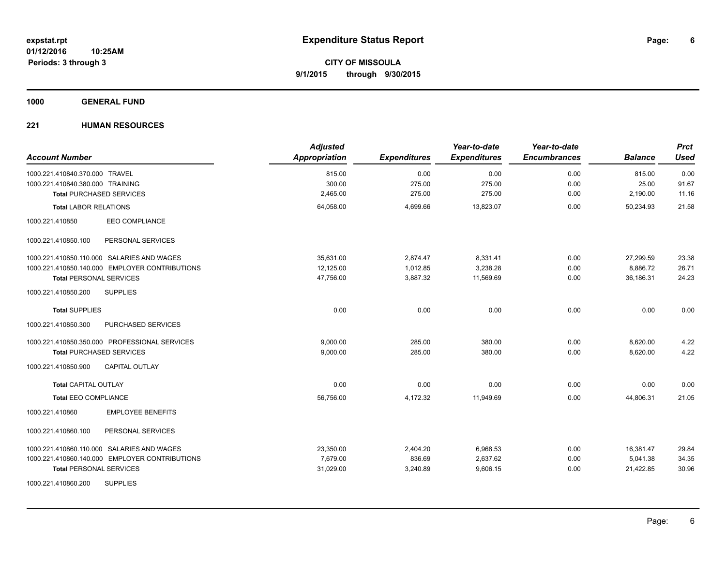### **1000 GENERAL FUND**

| <b>Account Number</b>                          | <b>Adjusted</b><br>Appropriation | <b>Expenditures</b> | Year-to-date<br><b>Expenditures</b> | Year-to-date<br><b>Encumbrances</b> | <b>Balance</b> | <b>Prct</b><br><b>Used</b> |
|------------------------------------------------|----------------------------------|---------------------|-------------------------------------|-------------------------------------|----------------|----------------------------|
| 1000.221.410840.370.000 TRAVEL                 | 815.00                           | 0.00                | 0.00                                | 0.00                                | 815.00         | 0.00                       |
| 1000.221.410840.380.000 TRAINING               | 300.00                           | 275.00              | 275.00                              | 0.00                                | 25.00          | 91.67                      |
| <b>Total PURCHASED SERVICES</b>                | 2,465.00                         | 275.00              | 275.00                              | 0.00                                | 2,190.00       | 11.16                      |
| <b>Total LABOR RELATIONS</b>                   | 64,058.00                        | 4,699.66            | 13,823.07                           | 0.00                                | 50,234.93      | 21.58                      |
| <b>EEO COMPLIANCE</b><br>1000.221.410850       |                                  |                     |                                     |                                     |                |                            |
| PERSONAL SERVICES<br>1000.221.410850.100       |                                  |                     |                                     |                                     |                |                            |
| 1000.221.410850.110.000 SALARIES AND WAGES     | 35,631.00                        | 2,874.47            | 8,331.41                            | 0.00                                | 27,299.59      | 23.38                      |
| 1000.221.410850.140.000 EMPLOYER CONTRIBUTIONS | 12,125.00                        | 1,012.85            | 3,238.28                            | 0.00                                | 8,886.72       | 26.71                      |
| <b>Total PERSONAL SERVICES</b>                 | 47,756.00                        | 3,887.32            | 11.569.69                           | 0.00                                | 36.186.31      | 24.23                      |
| 1000.221.410850.200<br><b>SUPPLIES</b>         |                                  |                     |                                     |                                     |                |                            |
| <b>Total SUPPLIES</b>                          | 0.00                             | 0.00                | 0.00                                | 0.00                                | 0.00           | 0.00                       |
| 1000.221.410850.300<br>PURCHASED SERVICES      |                                  |                     |                                     |                                     |                |                            |
| 1000.221.410850.350.000 PROFESSIONAL SERVICES  | 9,000.00                         | 285.00              | 380.00                              | 0.00                                | 8,620.00       | 4.22                       |
| <b>Total PURCHASED SERVICES</b>                | 9,000.00                         | 285.00              | 380.00                              | 0.00                                | 8,620.00       | 4.22                       |
| 1000.221.410850.900<br><b>CAPITAL OUTLAY</b>   |                                  |                     |                                     |                                     |                |                            |
| <b>Total CAPITAL OUTLAY</b>                    | 0.00                             | 0.00                | 0.00                                | 0.00                                | 0.00           | 0.00                       |
| <b>Total EEO COMPLIANCE</b>                    | 56,756.00                        | 4,172.32            | 11,949.69                           | 0.00                                | 44,806.31      | 21.05                      |
| <b>EMPLOYEE BENEFITS</b><br>1000.221.410860    |                                  |                     |                                     |                                     |                |                            |
| 1000.221.410860.100<br>PERSONAL SERVICES       |                                  |                     |                                     |                                     |                |                            |
| 1000.221.410860.110.000 SALARIES AND WAGES     | 23,350.00                        | 2,404.20            | 6,968.53                            | 0.00                                | 16,381.47      | 29.84                      |
| 1000.221.410860.140.000 EMPLOYER CONTRIBUTIONS | 7,679.00                         | 836.69              | 2,637.62                            | 0.00                                | 5,041.38       | 34.35                      |
| <b>Total PERSONAL SERVICES</b>                 | 31,029.00                        | 3,240.89            | 9,606.15                            | 0.00                                | 21,422.85      | 30.96                      |
| <b>SUPPLIES</b><br>1000.221.410860.200         |                                  |                     |                                     |                                     |                |                            |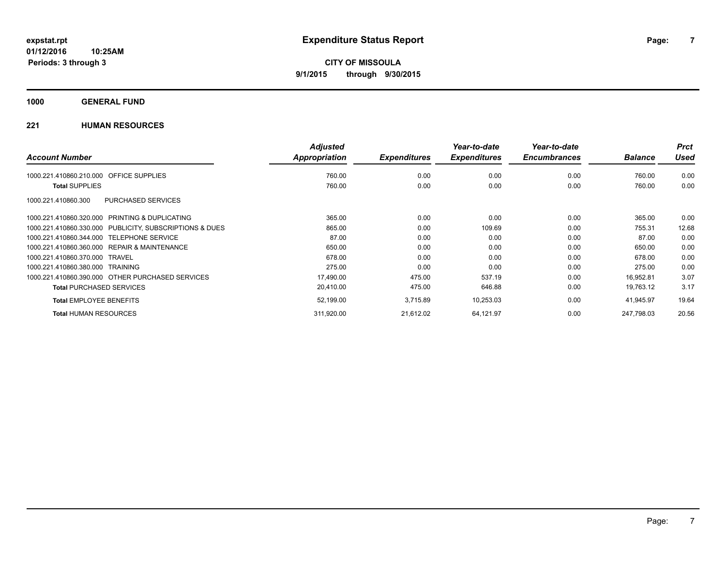**1000 GENERAL FUND**

|                                                         | <b>Adjusted</b>      |                     | Year-to-date        | Year-to-date        |                | <b>Prct</b> |
|---------------------------------------------------------|----------------------|---------------------|---------------------|---------------------|----------------|-------------|
| <b>Account Number</b>                                   | <b>Appropriation</b> | <b>Expenditures</b> | <b>Expenditures</b> | <b>Encumbrances</b> | <b>Balance</b> | Used        |
| <b>OFFICE SUPPLIES</b><br>1000.221.410860.210.000       | 760.00               | 0.00                | 0.00                | 0.00                | 760.00         | 0.00        |
| <b>Total SUPPLIES</b>                                   | 760.00               | 0.00                | 0.00                | 0.00                | 760.00         | 0.00        |
| PURCHASED SERVICES<br>1000.221.410860.300               |                      |                     |                     |                     |                |             |
| 1000.221.410860.320.000 PRINTING & DUPLICATING          | 365.00               | 0.00                | 0.00                | 0.00                | 365.00         | 0.00        |
| 1000.221.410860.330.000 PUBLICITY, SUBSCRIPTIONS & DUES | 865.00               | 0.00                | 109.69              | 0.00                | 755.31         | 12.68       |
| 1000.221.410860.344.000 TELEPHONE SERVICE               | 87.00                | 0.00                | 0.00                | 0.00                | 87.00          | 0.00        |
| 1000.221.410860.360.000 REPAIR & MAINTENANCE            | 650.00               | 0.00                | 0.00                | 0.00                | 650.00         | 0.00        |
| 1000.221.410860.370.000 TRAVEL                          | 678.00               | 0.00                | 0.00                | 0.00                | 678.00         | 0.00        |
| 1000.221.410860.380.000 TRAINING                        | 275.00               | 0.00                | 0.00                | 0.00                | 275.00         | 0.00        |
| 1000.221.410860.390.000 OTHER PURCHASED SERVICES        | 17,490.00            | 475.00              | 537.19              | 0.00                | 16,952.81      | 3.07        |
| <b>Total PURCHASED SERVICES</b>                         | 20,410.00            | 475.00              | 646.88              | 0.00                | 19,763.12      | 3.17        |
| <b>Total EMPLOYEE BENEFITS</b>                          | 52,199.00            | 3,715.89            | 10,253.03           | 0.00                | 41,945.97      | 19.64       |
| <b>Total HUMAN RESOURCES</b>                            | 311,920.00           | 21,612.02           | 64,121.97           | 0.00                | 247.798.03     | 20.56       |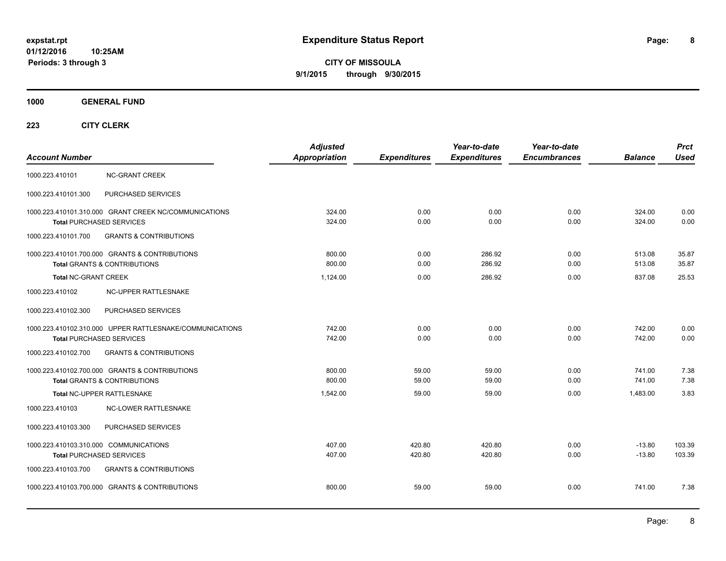**CITY OF MISSOULA 9/1/2015 through 9/30/2015**

**1000 GENERAL FUND**

| <b>Account Number</b>                                                     |                                                                                           | <b>Adjusted</b><br>Appropriation | <b>Expenditures</b> | Year-to-date<br><b>Expenditures</b> | Year-to-date<br><b>Encumbrances</b> | <b>Balance</b>       | <b>Prct</b><br><b>Used</b> |
|---------------------------------------------------------------------------|-------------------------------------------------------------------------------------------|----------------------------------|---------------------|-------------------------------------|-------------------------------------|----------------------|----------------------------|
| 1000.223.410101                                                           | <b>NC-GRANT CREEK</b>                                                                     |                                  |                     |                                     |                                     |                      |                            |
| 1000.223.410101.300                                                       | PURCHASED SERVICES                                                                        |                                  |                     |                                     |                                     |                      |                            |
| <b>Total PURCHASED SERVICES</b>                                           | 1000.223.410101.310.000 GRANT CREEK NC/COMMUNICATIONS                                     | 324.00<br>324.00                 | 0.00<br>0.00        | 0.00<br>0.00                        | 0.00<br>0.00                        | 324.00<br>324.00     | 0.00<br>0.00               |
| 1000.223.410101.700                                                       | <b>GRANTS &amp; CONTRIBUTIONS</b>                                                         |                                  |                     |                                     |                                     |                      |                            |
|                                                                           | 1000.223.410101.700.000 GRANTS & CONTRIBUTIONS<br><b>Total GRANTS &amp; CONTRIBUTIONS</b> | 800.00<br>800.00                 | 0.00<br>0.00        | 286.92<br>286.92                    | 0.00<br>0.00                        | 513.08<br>513.08     | 35.87<br>35.87             |
| <b>Total NC-GRANT CREEK</b>                                               |                                                                                           | 1,124.00                         | 0.00                | 286.92                              | 0.00                                | 837.08               | 25.53                      |
| 1000.223.410102                                                           | NC-UPPER RATTLESNAKE                                                                      |                                  |                     |                                     |                                     |                      |                            |
| 1000.223.410102.300                                                       | PURCHASED SERVICES                                                                        |                                  |                     |                                     |                                     |                      |                            |
| <b>Total PURCHASED SERVICES</b>                                           | 1000.223.410102.310.000 UPPER RATTLESNAKE/COMMUNICATIONS                                  | 742.00<br>742.00                 | 0.00<br>0.00        | 0.00<br>0.00                        | 0.00<br>0.00                        | 742.00<br>742.00     | 0.00<br>0.00               |
| 1000.223.410102.700                                                       | <b>GRANTS &amp; CONTRIBUTIONS</b>                                                         |                                  |                     |                                     |                                     |                      |                            |
|                                                                           | 1000.223.410102.700.000 GRANTS & CONTRIBUTIONS<br><b>Total GRANTS &amp; CONTRIBUTIONS</b> | 800.00<br>800.00                 | 59.00<br>59.00      | 59.00<br>59.00                      | 0.00<br>0.00                        | 741.00<br>741.00     | 7.38<br>7.38               |
|                                                                           | Total NC-UPPER RATTLESNAKE                                                                | 1,542.00                         | 59.00               | 59.00                               | 0.00                                | 1,483.00             | 3.83                       |
| 1000.223.410103                                                           | NC-LOWER RATTLESNAKE                                                                      |                                  |                     |                                     |                                     |                      |                            |
| 1000.223.410103.300                                                       | PURCHASED SERVICES                                                                        |                                  |                     |                                     |                                     |                      |                            |
| 1000.223.410103.310.000 COMMUNICATIONS<br><b>Total PURCHASED SERVICES</b> |                                                                                           | 407.00<br>407.00                 | 420.80<br>420.80    | 420.80<br>420.80                    | 0.00<br>0.00                        | $-13.80$<br>$-13.80$ | 103.39<br>103.39           |
| 1000.223.410103.700                                                       | <b>GRANTS &amp; CONTRIBUTIONS</b>                                                         |                                  |                     |                                     |                                     |                      |                            |
|                                                                           | 1000.223.410103.700.000 GRANTS & CONTRIBUTIONS                                            | 800.00                           | 59.00               | 59.00                               | 0.00                                | 741.00               | 7.38                       |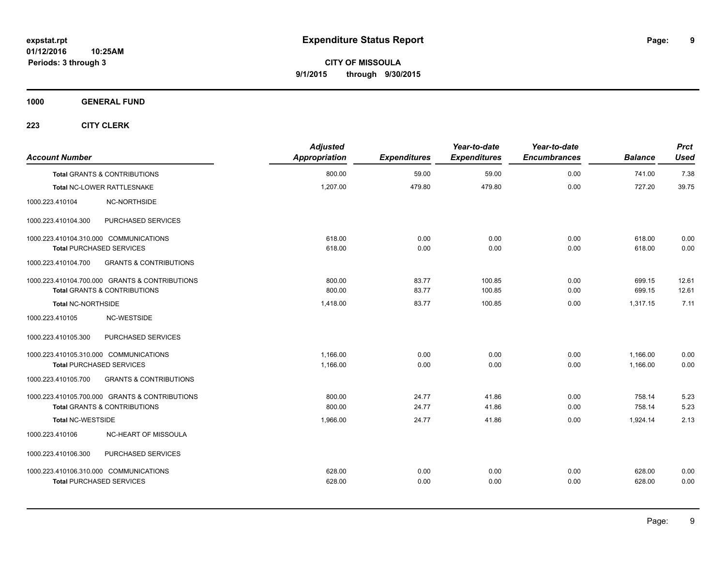**1000 GENERAL FUND**

| <b>Account Number</b>                  |                                                | <b>Adjusted</b><br>Appropriation | <b>Expenditures</b> | Year-to-date<br><b>Expenditures</b> | Year-to-date<br><b>Encumbrances</b> | <b>Balance</b> | <b>Prct</b><br><b>Used</b> |
|----------------------------------------|------------------------------------------------|----------------------------------|---------------------|-------------------------------------|-------------------------------------|----------------|----------------------------|
|                                        | <b>Total GRANTS &amp; CONTRIBUTIONS</b>        | 800.00                           | 59.00               | 59.00                               | 0.00                                | 741.00         | 7.38                       |
|                                        | Total NC-LOWER RATTLESNAKE                     | 1,207.00                         | 479.80              | 479.80                              | 0.00                                | 727.20         | 39.75                      |
| 1000.223.410104                        | NC-NORTHSIDE                                   |                                  |                     |                                     |                                     |                |                            |
| 1000.223.410104.300                    | PURCHASED SERVICES                             |                                  |                     |                                     |                                     |                |                            |
| 1000.223.410104.310.000 COMMUNICATIONS |                                                | 618.00                           | 0.00                | 0.00                                | 0.00                                | 618.00         | 0.00                       |
| <b>Total PURCHASED SERVICES</b>        |                                                | 618.00                           | 0.00                | 0.00                                | 0.00                                | 618.00         | 0.00                       |
| 1000.223.410104.700                    | <b>GRANTS &amp; CONTRIBUTIONS</b>              |                                  |                     |                                     |                                     |                |                            |
|                                        | 1000.223.410104.700.000 GRANTS & CONTRIBUTIONS | 800.00                           | 83.77               | 100.85                              | 0.00                                | 699.15         | 12.61                      |
|                                        | Total GRANTS & CONTRIBUTIONS                   | 800.00                           | 83.77               | 100.85                              | 0.00                                | 699.15         | 12.61                      |
| Total NC-NORTHSIDE                     |                                                | 1,418.00                         | 83.77               | 100.85                              | 0.00                                | 1,317.15       | 7.11                       |
| 1000.223.410105                        | NC-WESTSIDE                                    |                                  |                     |                                     |                                     |                |                            |
| 1000.223.410105.300                    | PURCHASED SERVICES                             |                                  |                     |                                     |                                     |                |                            |
| 1000.223.410105.310.000 COMMUNICATIONS |                                                | 1.166.00                         | 0.00                | 0.00                                | 0.00                                | 1,166.00       | 0.00                       |
| <b>Total PURCHASED SERVICES</b>        |                                                | 1,166.00                         | 0.00                | 0.00                                | 0.00                                | 1,166.00       | 0.00                       |
| 1000.223.410105.700                    | <b>GRANTS &amp; CONTRIBUTIONS</b>              |                                  |                     |                                     |                                     |                |                            |
|                                        | 1000.223.410105.700.000 GRANTS & CONTRIBUTIONS | 800.00                           | 24.77               | 41.86                               | 0.00                                | 758.14         | 5.23                       |
|                                        | <b>Total GRANTS &amp; CONTRIBUTIONS</b>        | 800.00                           | 24.77               | 41.86                               | 0.00                                | 758.14         | 5.23                       |
| <b>Total NC-WESTSIDE</b>               |                                                | 1,966.00                         | 24.77               | 41.86                               | 0.00                                | 1,924.14       | 2.13                       |
| 1000.223.410106                        | NC-HEART OF MISSOULA                           |                                  |                     |                                     |                                     |                |                            |
| 1000.223.410106.300                    | PURCHASED SERVICES                             |                                  |                     |                                     |                                     |                |                            |
| 1000.223.410106.310.000 COMMUNICATIONS |                                                | 628.00                           | 0.00                | 0.00                                | 0.00                                | 628.00         | 0.00                       |
| <b>Total PURCHASED SERVICES</b>        |                                                | 628.00                           | 0.00                | 0.00                                | 0.00                                | 628.00         | 0.00                       |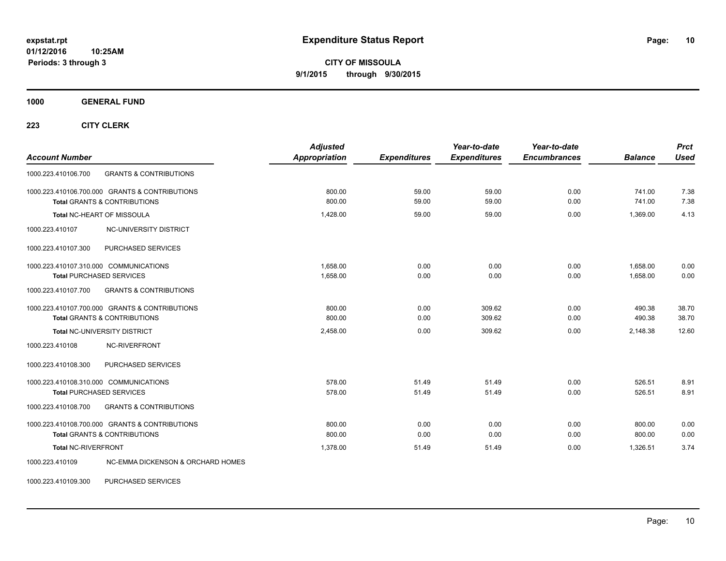**CITY OF MISSOULA 9/1/2015 through 9/30/2015**

**1000 GENERAL FUND**

**223 CITY CLERK**

| <b>Account Number</b>                                    | <b>Adjusted</b><br>Appropriation | <b>Expenditures</b> | Year-to-date<br><b>Expenditures</b> | Year-to-date<br><b>Encumbrances</b> | <b>Balance</b> | <b>Prct</b><br><b>Used</b> |
|----------------------------------------------------------|----------------------------------|---------------------|-------------------------------------|-------------------------------------|----------------|----------------------------|
| <b>GRANTS &amp; CONTRIBUTIONS</b><br>1000.223.410106.700 |                                  |                     |                                     |                                     |                |                            |
| 1000.223.410106.700.000 GRANTS & CONTRIBUTIONS           | 800.00                           | 59.00               | 59.00                               | 0.00                                | 741.00         | 7.38                       |
| <b>Total GRANTS &amp; CONTRIBUTIONS</b>                  | 800.00                           | 59.00               | 59.00                               | 0.00                                | 741.00         | 7.38                       |
| Total NC-HEART OF MISSOULA                               | 1,428.00                         | 59.00               | 59.00                               | 0.00                                | 1,369.00       | 4.13                       |
| NC-UNIVERSITY DISTRICT<br>1000.223.410107                |                                  |                     |                                     |                                     |                |                            |
| PURCHASED SERVICES<br>1000.223.410107.300                |                                  |                     |                                     |                                     |                |                            |
| 1000.223.410107.310.000 COMMUNICATIONS                   | 1,658.00                         | 0.00                | 0.00                                | 0.00                                | 1,658.00       | 0.00                       |
| <b>Total PURCHASED SERVICES</b>                          | 1,658.00                         | 0.00                | 0.00                                | 0.00                                | 1,658.00       | 0.00                       |
| <b>GRANTS &amp; CONTRIBUTIONS</b><br>1000.223.410107.700 |                                  |                     |                                     |                                     |                |                            |
| 1000.223.410107.700.000 GRANTS & CONTRIBUTIONS           | 800.00                           | 0.00                | 309.62                              | 0.00                                | 490.38         | 38.70                      |
| <b>Total GRANTS &amp; CONTRIBUTIONS</b>                  | 800.00                           | 0.00                | 309.62                              | 0.00                                | 490.38         | 38.70                      |
| Total NC-UNIVERSITY DISTRICT                             | 2,458.00                         | 0.00                | 309.62                              | 0.00                                | 2,148.38       | 12.60                      |
| 1000.223.410108<br>NC-RIVERFRONT                         |                                  |                     |                                     |                                     |                |                            |
| PURCHASED SERVICES<br>1000.223.410108.300                |                                  |                     |                                     |                                     |                |                            |
| 1000.223.410108.310.000 COMMUNICATIONS                   | 578.00                           | 51.49               | 51.49                               | 0.00                                | 526.51         | 8.91                       |
| <b>Total PURCHASED SERVICES</b>                          | 578.00                           | 51.49               | 51.49                               | 0.00                                | 526.51         | 8.91                       |
| <b>GRANTS &amp; CONTRIBUTIONS</b><br>1000.223.410108.700 |                                  |                     |                                     |                                     |                |                            |
| 1000.223.410108.700.000 GRANTS & CONTRIBUTIONS           | 800.00                           | 0.00                | 0.00                                | 0.00                                | 800.00         | 0.00                       |
| <b>Total GRANTS &amp; CONTRIBUTIONS</b>                  | 800.00                           | 0.00                | 0.00                                | 0.00                                | 800.00         | 0.00                       |
| Total NC-RIVERFRONT                                      | 1,378.00                         | 51.49               | 51.49                               | 0.00                                | 1,326.51       | 3.74                       |
| NC-EMMA DICKENSON & ORCHARD HOMES<br>1000.223.410109     |                                  |                     |                                     |                                     |                |                            |

1000.223.410109.300 PURCHASED SERVICES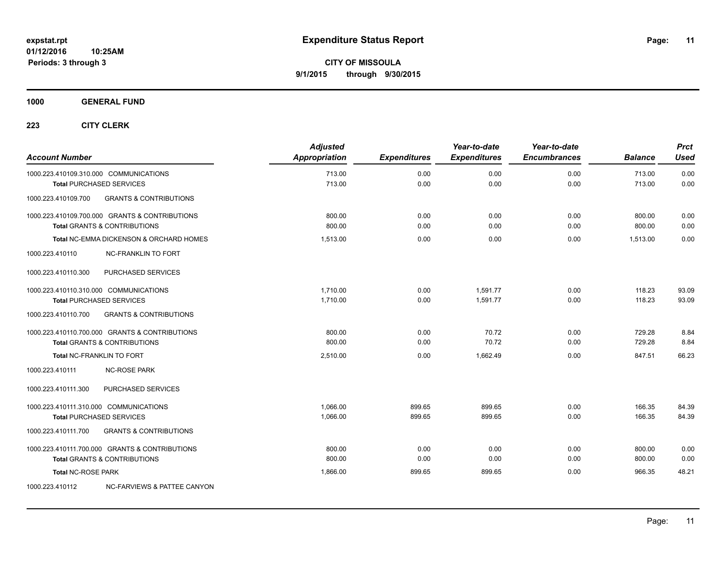**1000 GENERAL FUND**

| <b>Account Number</b>                  |                                                                                           | <b>Adjusted</b><br>Appropriation | <b>Expenditures</b> | Year-to-date<br><b>Expenditures</b> | Year-to-date<br><b>Encumbrances</b> | <b>Balance</b>   | <b>Prct</b><br><b>Used</b> |
|----------------------------------------|-------------------------------------------------------------------------------------------|----------------------------------|---------------------|-------------------------------------|-------------------------------------|------------------|----------------------------|
|                                        | 1000.223.410109.310.000 COMMUNICATIONS<br><b>Total PURCHASED SERVICES</b>                 | 713.00<br>713.00                 | 0.00<br>0.00        | 0.00<br>0.00                        | 0.00<br>0.00                        | 713.00<br>713.00 | 0.00<br>0.00               |
| 1000.223.410109.700                    | <b>GRANTS &amp; CONTRIBUTIONS</b>                                                         |                                  |                     |                                     |                                     |                  |                            |
|                                        | 1000.223.410109.700.000 GRANTS & CONTRIBUTIONS<br><b>Total GRANTS &amp; CONTRIBUTIONS</b> | 800.00<br>800.00                 | 0.00<br>0.00        | 0.00<br>0.00                        | 0.00<br>0.00                        | 800.00<br>800.00 | 0.00<br>0.00               |
|                                        | <b>Total NC-EMMA DICKENSON &amp; ORCHARD HOMES</b>                                        | 1,513.00                         | 0.00                | 0.00                                | 0.00                                | 1,513.00         | 0.00                       |
| 1000.223.410110                        | <b>NC-FRANKLIN TO FORT</b>                                                                |                                  |                     |                                     |                                     |                  |                            |
| 1000.223.410110.300                    | PURCHASED SERVICES                                                                        |                                  |                     |                                     |                                     |                  |                            |
| 1000.223.410110.310.000 COMMUNICATIONS | <b>Total PURCHASED SERVICES</b>                                                           | 1,710.00<br>1,710.00             | 0.00<br>0.00        | 1,591.77<br>1.591.77                | 0.00<br>0.00                        | 118.23<br>118.23 | 93.09<br>93.09             |
| 1000.223.410110.700                    | <b>GRANTS &amp; CONTRIBUTIONS</b>                                                         |                                  |                     |                                     |                                     |                  |                            |
|                                        | 1000.223.410110.700.000 GRANTS & CONTRIBUTIONS<br><b>Total GRANTS &amp; CONTRIBUTIONS</b> | 800.00<br>800.00                 | 0.00<br>0.00        | 70.72<br>70.72                      | 0.00<br>0.00                        | 729.28<br>729.28 | 8.84<br>8.84               |
|                                        | Total NC-FRANKLIN TO FORT                                                                 | 2,510.00                         | 0.00                | 1,662.49                            | 0.00                                | 847.51           | 66.23                      |
| 1000.223.410111                        | <b>NC-ROSE PARK</b>                                                                       |                                  |                     |                                     |                                     |                  |                            |
| 1000.223.410111.300                    | PURCHASED SERVICES                                                                        |                                  |                     |                                     |                                     |                  |                            |
| 1000.223.410111.310.000 COMMUNICATIONS | <b>Total PURCHASED SERVICES</b>                                                           | 1.066.00<br>1,066.00             | 899.65<br>899.65    | 899.65<br>899.65                    | 0.00<br>0.00                        | 166.35<br>166.35 | 84.39<br>84.39             |
| 1000.223.410111.700                    | <b>GRANTS &amp; CONTRIBUTIONS</b>                                                         |                                  |                     |                                     |                                     |                  |                            |
|                                        | 1000.223.410111.700.000 GRANTS & CONTRIBUTIONS<br><b>Total GRANTS &amp; CONTRIBUTIONS</b> | 800.00<br>800.00                 | 0.00<br>0.00        | 0.00<br>0.00                        | 0.00<br>0.00                        | 800.00<br>800.00 | 0.00<br>0.00               |
| <b>Total NC-ROSE PARK</b>              |                                                                                           | 1,866.00                         | 899.65              | 899.65                              | 0.00                                | 966.35           | 48.21                      |
| 1000.223.410112                        | NC-FARVIEWS & PATTEE CANYON                                                               |                                  |                     |                                     |                                     |                  |                            |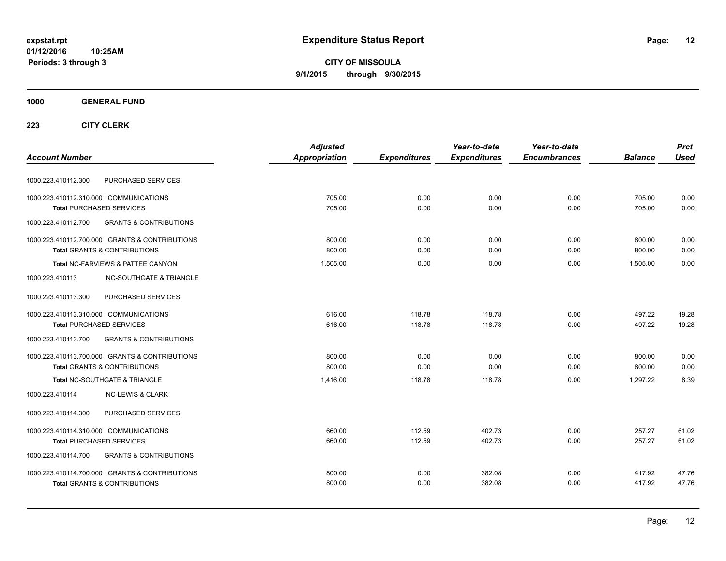**CITY OF MISSOULA 9/1/2015 through 9/30/2015**

### **1000 GENERAL FUND**

|                                                          | <b>Adjusted</b> |                     | Year-to-date        | Year-to-date        |                | <b>Prct</b> |
|----------------------------------------------------------|-----------------|---------------------|---------------------|---------------------|----------------|-------------|
| <b>Account Number</b>                                    | Appropriation   | <b>Expenditures</b> | <b>Expenditures</b> | <b>Encumbrances</b> | <b>Balance</b> | <b>Used</b> |
| PURCHASED SERVICES<br>1000.223.410112.300                |                 |                     |                     |                     |                |             |
| 1000.223.410112.310.000 COMMUNICATIONS                   | 705.00          | 0.00                | 0.00                | 0.00                | 705.00         | 0.00        |
| <b>Total PURCHASED SERVICES</b>                          | 705.00          | 0.00                | 0.00                | 0.00                | 705.00         | 0.00        |
| 1000.223.410112.700<br><b>GRANTS &amp; CONTRIBUTIONS</b> |                 |                     |                     |                     |                |             |
| 1000.223.410112.700.000 GRANTS & CONTRIBUTIONS           | 800.00          | 0.00                | 0.00                | 0.00                | 800.00         | 0.00        |
| <b>Total GRANTS &amp; CONTRIBUTIONS</b>                  | 800.00          | 0.00                | 0.00                | 0.00                | 800.00         | 0.00        |
| Total NC-FARVIEWS & PATTEE CANYON                        | 1,505.00        | 0.00                | 0.00                | 0.00                | 1.505.00       | 0.00        |
| 1000.223.410113<br><b>NC-SOUTHGATE &amp; TRIANGLE</b>    |                 |                     |                     |                     |                |             |
| 1000.223.410113.300<br>PURCHASED SERVICES                |                 |                     |                     |                     |                |             |
| 1000.223.410113.310.000 COMMUNICATIONS                   | 616.00          | 118.78              | 118.78              | 0.00                | 497.22         | 19.28       |
| <b>Total PURCHASED SERVICES</b>                          | 616.00          | 118.78              | 118.78              | 0.00                | 497.22         | 19.28       |
| 1000.223.410113.700<br><b>GRANTS &amp; CONTRIBUTIONS</b> |                 |                     |                     |                     |                |             |
| 1000.223.410113.700.000 GRANTS & CONTRIBUTIONS           | 800.00          | 0.00                | 0.00                | 0.00                | 800.00         | 0.00        |
| <b>Total GRANTS &amp; CONTRIBUTIONS</b>                  | 800.00          | 0.00                | 0.00                | 0.00                | 800.00         | 0.00        |
| Total NC-SOUTHGATE & TRIANGLE                            | 1.416.00        | 118.78              | 118.78              | 0.00                | 1.297.22       | 8.39        |
| 1000.223.410114<br><b>NC-LEWIS &amp; CLARK</b>           |                 |                     |                     |                     |                |             |
| PURCHASED SERVICES<br>1000.223.410114.300                |                 |                     |                     |                     |                |             |
| 1000.223.410114.310.000 COMMUNICATIONS                   | 660.00          | 112.59              | 402.73              | 0.00                | 257.27         | 61.02       |
| <b>Total PURCHASED SERVICES</b>                          | 660.00          | 112.59              | 402.73              | 0.00                | 257.27         | 61.02       |
| <b>GRANTS &amp; CONTRIBUTIONS</b><br>1000.223.410114.700 |                 |                     |                     |                     |                |             |
| 1000.223.410114.700.000 GRANTS & CONTRIBUTIONS           | 800.00          | 0.00                | 382.08              | 0.00                | 417.92         | 47.76       |
| <b>Total GRANTS &amp; CONTRIBUTIONS</b>                  | 800.00          | 0.00                | 382.08              | 0.00                | 417.92         | 47.76       |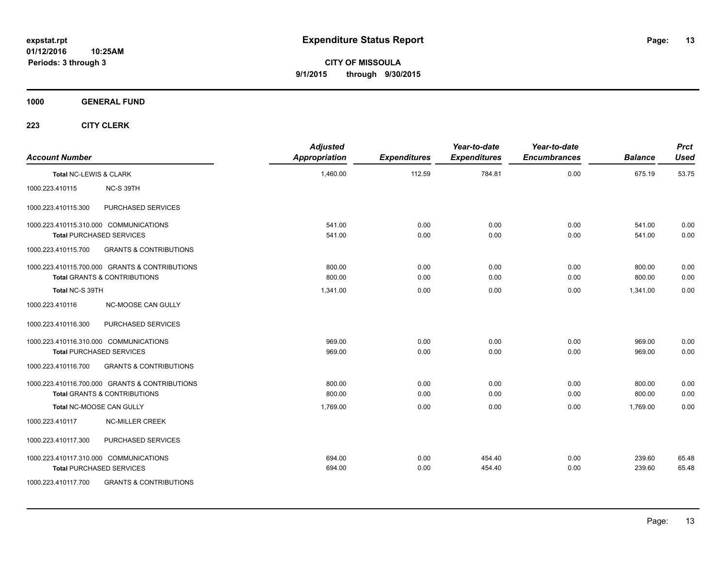**CITY OF MISSOULA 9/1/2015 through 9/30/2015**

**1000 GENERAL FUND**

| <b>Account Number</b>  |                                                                                           | <b>Adjusted</b><br><b>Appropriation</b> | <b>Expenditures</b> | Year-to-date<br><b>Expenditures</b> | Year-to-date<br><b>Encumbrances</b> | <b>Balance</b>   | <b>Prct</b><br><b>Used</b> |
|------------------------|-------------------------------------------------------------------------------------------|-----------------------------------------|---------------------|-------------------------------------|-------------------------------------|------------------|----------------------------|
| Total NC-LEWIS & CLARK |                                                                                           | 1,460.00                                | 112.59              | 784.81                              | 0.00                                | 675.19           | 53.75                      |
| 1000.223.410115        | NC-S 39TH                                                                                 |                                         |                     |                                     |                                     |                  |                            |
| 1000.223.410115.300    | PURCHASED SERVICES                                                                        |                                         |                     |                                     |                                     |                  |                            |
|                        | 1000.223.410115.310.000 COMMUNICATIONS<br><b>Total PURCHASED SERVICES</b>                 | 541.00<br>541.00                        | 0.00<br>0.00        | 0.00<br>0.00                        | 0.00<br>0.00                        | 541.00<br>541.00 | 0.00<br>0.00               |
| 1000.223.410115.700    | <b>GRANTS &amp; CONTRIBUTIONS</b>                                                         |                                         |                     |                                     |                                     |                  |                            |
|                        | 1000.223.410115.700.000 GRANTS & CONTRIBUTIONS<br><b>Total GRANTS &amp; CONTRIBUTIONS</b> | 800.00<br>800.00                        | 0.00<br>0.00        | 0.00<br>0.00                        | 0.00<br>0.00                        | 800.00<br>800.00 | 0.00<br>0.00               |
| Total NC-S 39TH        |                                                                                           | 1,341.00                                | 0.00                | 0.00                                | 0.00                                | 1.341.00         | 0.00                       |
| 1000.223.410116        | NC-MOOSE CAN GULLY                                                                        |                                         |                     |                                     |                                     |                  |                            |
| 1000.223.410116.300    | PURCHASED SERVICES                                                                        |                                         |                     |                                     |                                     |                  |                            |
|                        | 1000.223.410116.310.000 COMMUNICATIONS<br><b>Total PURCHASED SERVICES</b>                 | 969.00<br>969.00                        | 0.00<br>0.00        | 0.00<br>0.00                        | 0.00<br>0.00                        | 969.00<br>969.00 | 0.00<br>0.00               |
| 1000.223.410116.700    | <b>GRANTS &amp; CONTRIBUTIONS</b>                                                         |                                         |                     |                                     |                                     |                  |                            |
|                        | 1000.223.410116.700.000 GRANTS & CONTRIBUTIONS<br><b>Total GRANTS &amp; CONTRIBUTIONS</b> | 800.00<br>800.00                        | 0.00<br>0.00        | 0.00<br>0.00                        | 0.00<br>0.00                        | 800.00<br>800.00 | 0.00<br>0.00               |
|                        | Total NC-MOOSE CAN GULLY                                                                  | 1,769.00                                | 0.00                | 0.00                                | 0.00                                | 1,769.00         | 0.00                       |
| 1000.223.410117        | <b>NC-MILLER CREEK</b>                                                                    |                                         |                     |                                     |                                     |                  |                            |
| 1000.223.410117.300    | PURCHASED SERVICES                                                                        |                                         |                     |                                     |                                     |                  |                            |
|                        | 1000.223.410117.310.000 COMMUNICATIONS<br><b>Total PURCHASED SERVICES</b>                 | 694.00<br>694.00                        | 0.00<br>0.00        | 454.40<br>454.40                    | 0.00<br>0.00                        | 239.60<br>239.60 | 65.48<br>65.48             |
| 1000.223.410117.700    | <b>GRANTS &amp; CONTRIBUTIONS</b>                                                         |                                         |                     |                                     |                                     |                  |                            |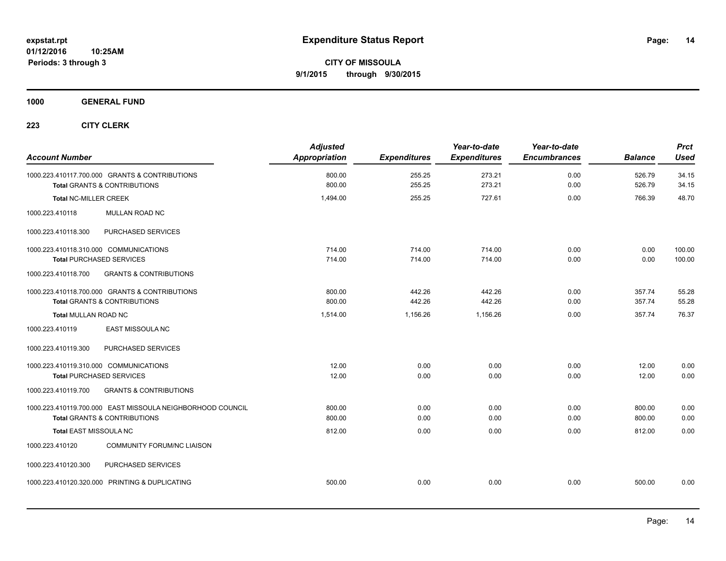**1000 GENERAL FUND**

| <b>Account Number</b>                                      | <b>Adjusted</b><br><b>Appropriation</b> | <b>Expenditures</b> | Year-to-date<br><b>Expenditures</b> | Year-to-date<br><b>Encumbrances</b> | <b>Balance</b> | <b>Prct</b><br><b>Used</b> |
|------------------------------------------------------------|-----------------------------------------|---------------------|-------------------------------------|-------------------------------------|----------------|----------------------------|
| 1000.223.410117.700.000 GRANTS & CONTRIBUTIONS             | 800.00                                  | 255.25              | 273.21                              | 0.00                                | 526.79         | 34.15                      |
| Total GRANTS & CONTRIBUTIONS                               | 800.00                                  | 255.25              | 273.21                              | 0.00                                | 526.79         | 34.15                      |
| <b>Total NC-MILLER CREEK</b>                               | 1,494.00                                | 255.25              | 727.61                              | 0.00                                | 766.39         | 48.70                      |
| MULLAN ROAD NC<br>1000.223.410118                          |                                         |                     |                                     |                                     |                |                            |
| PURCHASED SERVICES<br>1000.223.410118.300                  |                                         |                     |                                     |                                     |                |                            |
| 1000.223.410118.310.000 COMMUNICATIONS                     | 714.00                                  | 714.00              | 714.00                              | 0.00                                | 0.00           | 100.00                     |
| <b>Total PURCHASED SERVICES</b>                            | 714.00                                  | 714.00              | 714.00                              | 0.00                                | 0.00           | 100.00                     |
| 1000.223.410118.700<br><b>GRANTS &amp; CONTRIBUTIONS</b>   |                                         |                     |                                     |                                     |                |                            |
| 1000.223.410118.700.000 GRANTS & CONTRIBUTIONS             | 800.00                                  | 442.26              | 442.26                              | 0.00                                | 357.74         | 55.28                      |
| <b>Total GRANTS &amp; CONTRIBUTIONS</b>                    | 800.00                                  | 442.26              | 442.26                              | 0.00                                | 357.74         | 55.28                      |
| <b>Total MULLAN ROAD NC</b>                                | 1,514.00                                | 1,156.26            | 1,156.26                            | 0.00                                | 357.74         | 76.37                      |
| 1000.223.410119<br>EAST MISSOULA NC                        |                                         |                     |                                     |                                     |                |                            |
| 1000.223.410119.300<br>PURCHASED SERVICES                  |                                         |                     |                                     |                                     |                |                            |
| 1000.223.410119.310.000 COMMUNICATIONS                     | 12.00                                   | 0.00                | 0.00                                | 0.00                                | 12.00          | 0.00                       |
| <b>Total PURCHASED SERVICES</b>                            | 12.00                                   | 0.00                | 0.00                                | 0.00                                | 12.00          | 0.00                       |
| <b>GRANTS &amp; CONTRIBUTIONS</b><br>1000.223.410119.700   |                                         |                     |                                     |                                     |                |                            |
| 1000.223.410119.700.000 EAST MISSOULA NEIGHBORHOOD COUNCIL | 800.00                                  | 0.00                | 0.00                                | 0.00                                | 800.00         | 0.00                       |
| <b>Total GRANTS &amp; CONTRIBUTIONS</b>                    | 800.00                                  | 0.00                | 0.00                                | 0.00                                | 800.00         | 0.00                       |
| <b>Total EAST MISSOULA NC</b>                              | 812.00                                  | 0.00                | 0.00                                | 0.00                                | 812.00         | 0.00                       |
| 1000.223.410120<br><b>COMMUNITY FORUM/NC LIAISON</b>       |                                         |                     |                                     |                                     |                |                            |
| PURCHASED SERVICES<br>1000.223.410120.300                  |                                         |                     |                                     |                                     |                |                            |
| 1000.223.410120.320.000 PRINTING & DUPLICATING             | 500.00                                  | 0.00                | 0.00                                | 0.00                                | 500.00         | 0.00                       |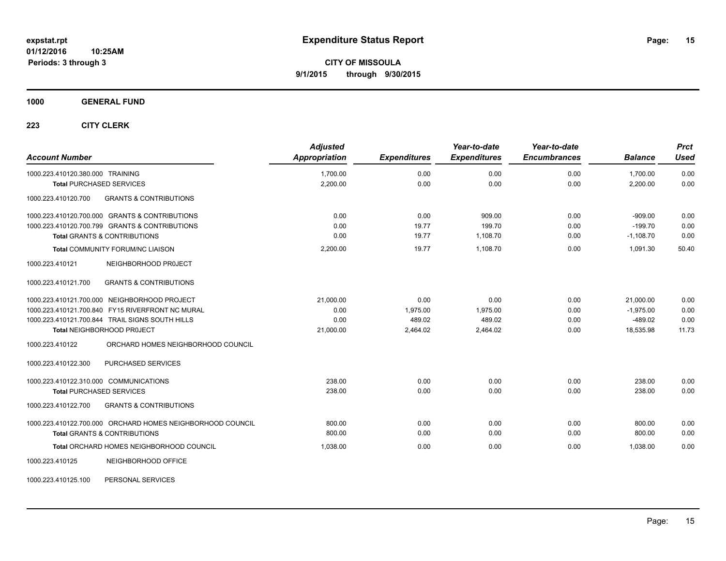**Periods: 3 through 3**

**CITY OF MISSOULA 9/1/2015 through 9/30/2015**

**1000 GENERAL FUND**

| <b>Account Number</b>                                      | <b>Adjusted</b><br>Appropriation | <b>Expenditures</b> | Year-to-date<br><b>Expenditures</b> | Year-to-date<br><b>Encumbrances</b> | <b>Balance</b> | <b>Prct</b><br><b>Used</b> |
|------------------------------------------------------------|----------------------------------|---------------------|-------------------------------------|-------------------------------------|----------------|----------------------------|
| 1000.223.410120.380.000 TRAINING                           | 1,700.00                         | 0.00                | 0.00                                | 0.00                                | 1,700.00       | 0.00                       |
| <b>Total PURCHASED SERVICES</b>                            | 2,200.00                         | 0.00                | 0.00                                | 0.00                                | 2,200.00       | 0.00                       |
| <b>GRANTS &amp; CONTRIBUTIONS</b><br>1000.223.410120.700   |                                  |                     |                                     |                                     |                |                            |
| 1000.223.410120.700.000 GRANTS & CONTRIBUTIONS             | 0.00                             | 0.00                | 909.00                              | 0.00                                | $-909.00$      | 0.00                       |
| 1000.223.410120.700.799 GRANTS & CONTRIBUTIONS             | 0.00                             | 19.77               | 199.70                              | 0.00                                | $-199.70$      | 0.00                       |
| <b>Total GRANTS &amp; CONTRIBUTIONS</b>                    | 0.00                             | 19.77               | 1,108.70                            | 0.00                                | $-1,108.70$    | 0.00                       |
| Total COMMUNITY FORUM/NC LIAISON                           | 2,200.00                         | 19.77               | 1.108.70                            | 0.00                                | 1,091.30       | 50.40                      |
| 1000.223.410121<br>NEIGHBORHOOD PROJECT                    |                                  |                     |                                     |                                     |                |                            |
| <b>GRANTS &amp; CONTRIBUTIONS</b><br>1000.223.410121.700   |                                  |                     |                                     |                                     |                |                            |
| 1000.223.410121.700.000 NEIGHBORHOOD PROJECT               | 21.000.00                        | 0.00                | 0.00                                | 0.00                                | 21,000.00      | 0.00                       |
| 1000.223.410121.700.840 FY15 RIVERFRONT NC MURAL           | 0.00                             | 1,975.00            | 1,975.00                            | 0.00                                | $-1,975.00$    | 0.00                       |
| 1000.223.410121.700.844 TRAIL SIGNS SOUTH HILLS            | 0.00                             | 489.02              | 489.02                              | 0.00                                | $-489.02$      | 0.00                       |
| <b>Total NEIGHBORHOOD PROJECT</b>                          | 21,000.00                        | 2,464.02            | 2,464.02                            | 0.00                                | 18,535.98      | 11.73                      |
| ORCHARD HOMES NEIGHBORHOOD COUNCIL<br>1000.223.410122      |                                  |                     |                                     |                                     |                |                            |
| 1000.223.410122.300<br>PURCHASED SERVICES                  |                                  |                     |                                     |                                     |                |                            |
| 1000.223.410122.310.000 COMMUNICATIONS                     | 238.00                           | 0.00                | 0.00                                | 0.00                                | 238.00         | 0.00                       |
| <b>Total PURCHASED SERVICES</b>                            | 238.00                           | 0.00                | 0.00                                | 0.00                                | 238.00         | 0.00                       |
| 1000.223.410122.700<br><b>GRANTS &amp; CONTRIBUTIONS</b>   |                                  |                     |                                     |                                     |                |                            |
| 1000.223.410122.700.000 ORCHARD HOMES NEIGHBORHOOD COUNCIL | 800.00                           | 0.00                | 0.00                                | 0.00                                | 800.00         | 0.00                       |
| <b>Total GRANTS &amp; CONTRIBUTIONS</b>                    | 800.00                           | 0.00                | 0.00                                | 0.00                                | 800.00         | 0.00                       |
| Total ORCHARD HOMES NEIGHBORHOOD COUNCIL                   | 1,038.00                         | 0.00                | 0.00                                | 0.00                                | 1,038.00       | 0.00                       |
| NEIGHBORHOOD OFFICE<br>1000.223.410125                     |                                  |                     |                                     |                                     |                |                            |
| PERSONAL SERVICES<br>1000.223.410125.100                   |                                  |                     |                                     |                                     |                |                            |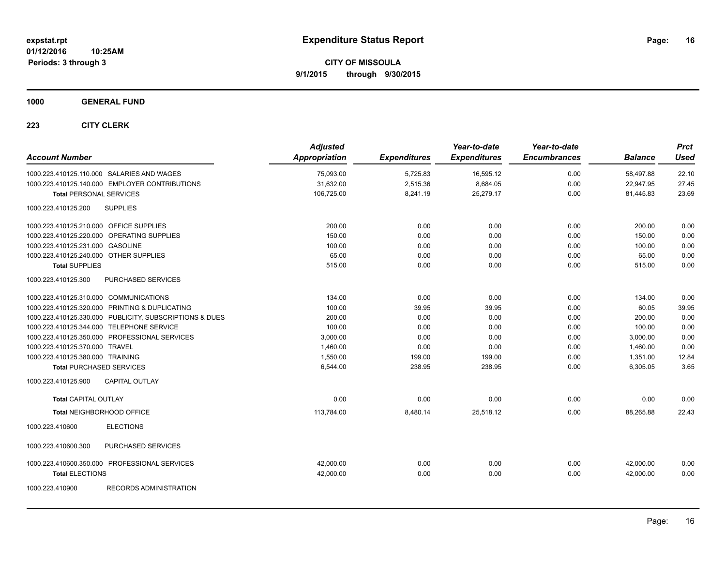**1000 GENERAL FUND**

| <b>Account Number</b>                                   | <b>Adjusted</b><br>Appropriation | <b>Expenditures</b> | Year-to-date<br><b>Expenditures</b> | Year-to-date<br><b>Encumbrances</b> | <b>Balance</b> | <b>Prct</b><br><b>Used</b> |
|---------------------------------------------------------|----------------------------------|---------------------|-------------------------------------|-------------------------------------|----------------|----------------------------|
| 1000.223.410125.110.000 SALARIES AND WAGES              | 75,093.00                        | 5,725.83            | 16,595.12                           | 0.00                                | 58,497.88      | 22.10                      |
| 1000.223.410125.140.000 EMPLOYER CONTRIBUTIONS          | 31,632.00                        | 2.515.36            | 8,684.05                            | 0.00                                | 22,947.95      | 27.45                      |
| <b>Total PERSONAL SERVICES</b>                          | 106,725.00                       | 8,241.19            | 25,279.17                           | 0.00                                | 81,445.83      | 23.69                      |
| <b>SUPPLIES</b><br>1000.223.410125.200                  |                                  |                     |                                     |                                     |                |                            |
| 1000.223.410125.210.000 OFFICE SUPPLIES                 | 200.00                           | 0.00                | 0.00                                | 0.00                                | 200.00         | 0.00                       |
| 1000.223.410125.220.000 OPERATING SUPPLIES              | 150.00                           | 0.00                | 0.00                                | 0.00                                | 150.00         | 0.00                       |
| 1000.223.410125.231.000 GASOLINE                        | 100.00                           | 0.00                | 0.00                                | 0.00                                | 100.00         | 0.00                       |
| 1000.223.410125.240.000 OTHER SUPPLIES                  | 65.00                            | 0.00                | 0.00                                | 0.00                                | 65.00          | 0.00                       |
| <b>Total SUPPLIES</b>                                   | 515.00                           | 0.00                | 0.00                                | 0.00                                | 515.00         | 0.00                       |
| PURCHASED SERVICES<br>1000.223.410125.300               |                                  |                     |                                     |                                     |                |                            |
| 1000.223.410125.310.000 COMMUNICATIONS                  | 134.00                           | 0.00                | 0.00                                | 0.00                                | 134.00         | 0.00                       |
| 1000.223.410125.320.000 PRINTING & DUPLICATING          | 100.00                           | 39.95               | 39.95                               | 0.00                                | 60.05          | 39.95                      |
| 1000.223.410125.330.000 PUBLICITY, SUBSCRIPTIONS & DUES | 200.00                           | 0.00                | 0.00                                | 0.00                                | 200.00         | 0.00                       |
| 1000.223.410125.344.000 TELEPHONE SERVICE               | 100.00                           | 0.00                | 0.00                                | 0.00                                | 100.00         | 0.00                       |
| 1000.223.410125.350.000 PROFESSIONAL SERVICES           | 3,000.00                         | 0.00                | 0.00                                | 0.00                                | 3,000.00       | 0.00                       |
| 1000.223.410125.370.000 TRAVEL                          | 1,460.00                         | 0.00                | 0.00                                | 0.00                                | 1,460.00       | 0.00                       |
| 1000.223.410125.380.000 TRAINING                        | 1,550.00                         | 199.00              | 199.00                              | 0.00                                | 1,351.00       | 12.84                      |
| <b>Total PURCHASED SERVICES</b>                         | 6,544.00                         | 238.95              | 238.95                              | 0.00                                | 6,305.05       | 3.65                       |
| 1000.223.410125.900<br><b>CAPITAL OUTLAY</b>            |                                  |                     |                                     |                                     |                |                            |
| <b>Total CAPITAL OUTLAY</b>                             | 0.00                             | 0.00                | 0.00                                | 0.00                                | 0.00           | 0.00                       |
| Total NEIGHBORHOOD OFFICE                               | 113,784.00                       | 8,480.14            | 25,518.12                           | 0.00                                | 88,265.88      | 22.43                      |
| 1000.223.410600<br><b>ELECTIONS</b>                     |                                  |                     |                                     |                                     |                |                            |
| 1000.223.410600.300<br>PURCHASED SERVICES               |                                  |                     |                                     |                                     |                |                            |
| 1000.223.410600.350.000 PROFESSIONAL SERVICES           | 42,000.00                        | 0.00                | 0.00                                | 0.00                                | 42,000.00      | 0.00                       |
| <b>Total ELECTIONS</b>                                  | 42,000.00                        | 0.00                | 0.00                                | 0.00                                | 42,000.00      | 0.00                       |
| 1000.223.410900<br><b>RECORDS ADMINISTRATION</b>        |                                  |                     |                                     |                                     |                |                            |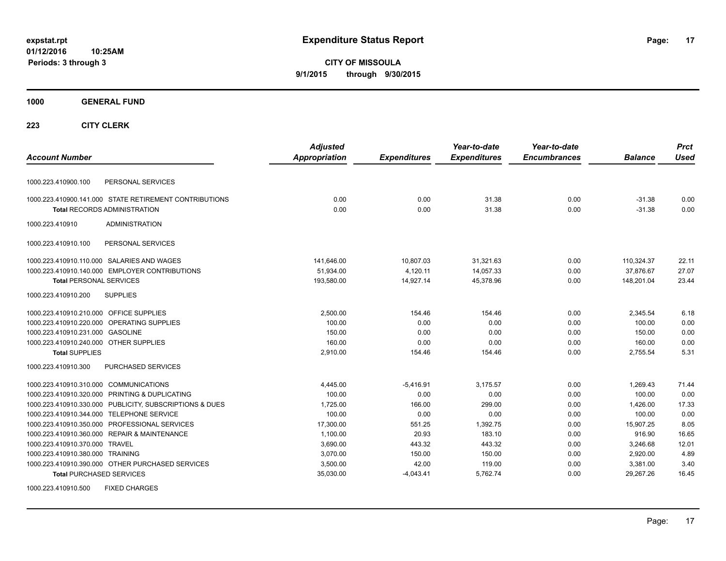**CITY OF MISSOULA 9/1/2015 through 9/30/2015**

# **1000 GENERAL FUND**

| <b>Account Number</b>                                   | <b>Adjusted</b><br><b>Appropriation</b> | <b>Expenditures</b> | Year-to-date<br><b>Expenditures</b> | Year-to-date<br><b>Encumbrances</b> | <b>Balance</b> | <b>Prct</b><br><b>Used</b> |
|---------------------------------------------------------|-----------------------------------------|---------------------|-------------------------------------|-------------------------------------|----------------|----------------------------|
|                                                         |                                         |                     |                                     |                                     |                |                            |
| PERSONAL SERVICES<br>1000.223.410900.100                |                                         |                     |                                     |                                     |                |                            |
| 1000.223.410900.141.000 STATE RETIREMENT CONTRIBUTIONS  | 0.00                                    | 0.00                | 31.38                               | 0.00                                | $-31.38$       | 0.00                       |
| <b>Total RECORDS ADMINISTRATION</b>                     | 0.00                                    | 0.00                | 31.38                               | 0.00                                | $-31.38$       | 0.00                       |
| 1000.223.410910<br><b>ADMINISTRATION</b>                |                                         |                     |                                     |                                     |                |                            |
| PERSONAL SERVICES<br>1000.223.410910.100                |                                         |                     |                                     |                                     |                |                            |
| 1000.223.410910.110.000 SALARIES AND WAGES              | 141,646.00                              | 10,807.03           | 31,321.63                           | 0.00                                | 110,324.37     | 22.11                      |
| 1000.223.410910.140.000 EMPLOYER CONTRIBUTIONS          | 51,934.00                               | 4,120.11            | 14,057.33                           | 0.00                                | 37,876.67      | 27.07                      |
| <b>Total PERSONAL SERVICES</b>                          | 193,580.00                              | 14,927.14           | 45,378.96                           | 0.00                                | 148,201.04     | 23.44                      |
| 1000.223.410910.200<br><b>SUPPLIES</b>                  |                                         |                     |                                     |                                     |                |                            |
| 1000.223.410910.210.000 OFFICE SUPPLIES                 | 2,500.00                                | 154.46              | 154.46                              | 0.00                                | 2,345.54       | 6.18                       |
| 1000.223.410910.220.000 OPERATING SUPPLIES              | 100.00                                  | 0.00                | 0.00                                | 0.00                                | 100.00         | 0.00                       |
| 1000.223.410910.231.000 GASOLINE                        | 150.00                                  | 0.00                | 0.00                                | 0.00                                | 150.00         | 0.00                       |
| 1000.223.410910.240.000 OTHER SUPPLIES                  | 160.00                                  | 0.00                | 0.00                                | 0.00                                | 160.00         | 0.00                       |
| <b>Total SUPPLIES</b>                                   | 2,910.00                                | 154.46              | 154.46                              | 0.00                                | 2,755.54       | 5.31                       |
| PURCHASED SERVICES<br>1000.223.410910.300               |                                         |                     |                                     |                                     |                |                            |
| 1000.223.410910.310.000 COMMUNICATIONS                  | 4,445.00                                | $-5,416.91$         | 3,175.57                            | 0.00                                | 1,269.43       | 71.44                      |
| 1000.223.410910.320.000 PRINTING & DUPLICATING          | 100.00                                  | 0.00                | 0.00                                | 0.00                                | 100.00         | 0.00                       |
| 1000.223.410910.330.000 PUBLICITY, SUBSCRIPTIONS & DUES | 1,725.00                                | 166.00              | 299.00                              | 0.00                                | 1,426.00       | 17.33                      |
| 1000.223.410910.344.000 TELEPHONE SERVICE               | 100.00                                  | 0.00                | 0.00                                | 0.00                                | 100.00         | 0.00                       |
| 1000.223.410910.350.000 PROFESSIONAL SERVICES           | 17,300.00                               | 551.25              | 1,392.75                            | 0.00                                | 15,907.25      | 8.05                       |
| 1000.223.410910.360.000 REPAIR & MAINTENANCE            | 1,100.00                                | 20.93               | 183.10                              | 0.00                                | 916.90         | 16.65                      |
| 1000.223.410910.370.000 TRAVEL                          | 3,690.00                                | 443.32              | 443.32                              | 0.00                                | 3,246.68       | 12.01                      |
| 1000.223.410910.380.000 TRAINING                        | 3,070.00                                | 150.00              | 150.00                              | 0.00                                | 2,920.00       | 4.89                       |
| 1000.223.410910.390.000 OTHER PURCHASED SERVICES        | 3,500.00                                | 42.00               | 119.00                              | 0.00                                | 3,381.00       | 3.40                       |
| <b>Total PURCHASED SERVICES</b>                         | 35,030.00                               | $-4,043.41$         | 5,762.74                            | 0.00                                | 29,267.26      | 16.45                      |
| <b>FIXED CHARGES</b><br>1000.223.410910.500             |                                         |                     |                                     |                                     |                |                            |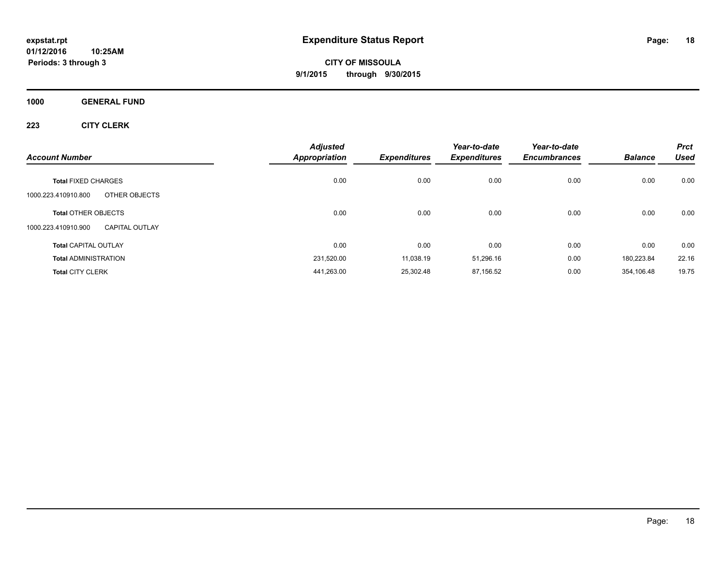**CITY OF MISSOULA 9/1/2015 through 9/30/2015**

**1000 GENERAL FUND**

|                                                                            | <b>Adjusted</b>      |                     | Year-to-date        | Year-to-date        |                | <b>Prct</b> |
|----------------------------------------------------------------------------|----------------------|---------------------|---------------------|---------------------|----------------|-------------|
| <b>Account Number</b>                                                      | <b>Appropriation</b> | <b>Expenditures</b> | <b>Expenditures</b> | <b>Encumbrances</b> | <b>Balance</b> | <b>Used</b> |
| <b>Total FIXED CHARGES</b><br>OTHER OBJECTS<br>1000.223.410910.800         | 0.00                 | 0.00                | 0.00                | 0.00                | 0.00           | 0.00        |
| <b>Total OTHER OBJECTS</b><br>1000.223.410910.900<br><b>CAPITAL OUTLAY</b> | 0.00                 | 0.00                | 0.00                | 0.00                | 0.00           | 0.00        |
| <b>Total CAPITAL OUTLAY</b>                                                | 0.00                 | 0.00                | 0.00                | 0.00                | 0.00           | 0.00        |
| <b>Total ADMINISTRATION</b>                                                | 231,520.00           | 11,038.19           | 51,296.16           | 0.00                | 180,223.84     | 22.16       |
| <b>Total CITY CLERK</b>                                                    | 441,263.00           | 25,302.48           | 87,156.52           | 0.00                | 354,106.48     | 19.75       |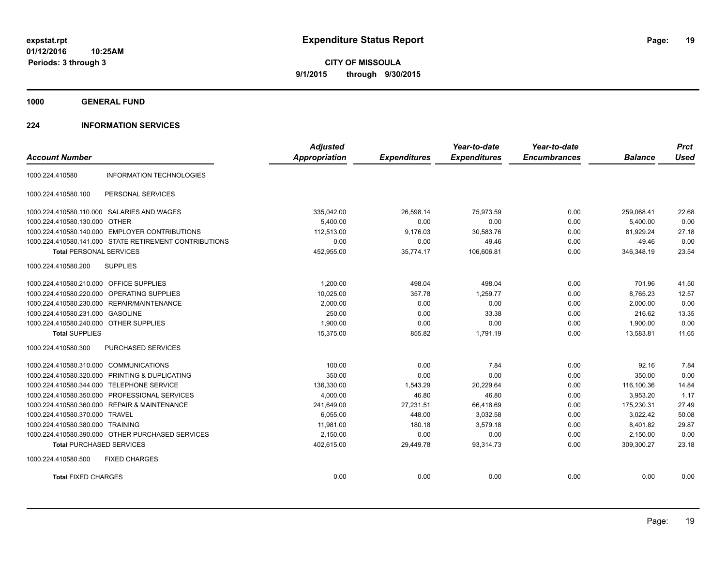**CITY OF MISSOULA 9/1/2015 through 9/30/2015**

**1000 GENERAL FUND**

### **224 INFORMATION SERVICES**

|                                         |                                                        | <b>Adjusted</b>      |                     | Year-to-date        | Year-to-date        |                | <b>Prct</b> |
|-----------------------------------------|--------------------------------------------------------|----------------------|---------------------|---------------------|---------------------|----------------|-------------|
| <b>Account Number</b>                   |                                                        | <b>Appropriation</b> | <b>Expenditures</b> | <b>Expenditures</b> | <b>Encumbrances</b> | <b>Balance</b> | <b>Used</b> |
| 1000.224.410580                         | <b>INFORMATION TECHNOLOGIES</b>                        |                      |                     |                     |                     |                |             |
| 1000.224.410580.100                     | PERSONAL SERVICES                                      |                      |                     |                     |                     |                |             |
|                                         | 1000.224.410580.110.000 SALARIES AND WAGES             | 335,042.00           | 26,598.14           | 75,973.59           | 0.00                | 259,068.41     | 22.68       |
| 1000.224.410580.130.000 OTHER           |                                                        | 5.400.00             | 0.00                | 0.00                | 0.00                | 5,400.00       | 0.00        |
|                                         | 1000.224.410580.140.000 EMPLOYER CONTRIBUTIONS         | 112.513.00           | 9,176.03            | 30.583.76           | 0.00                | 81.929.24      | 27.18       |
|                                         | 1000.224.410580.141.000 STATE RETIREMENT CONTRIBUTIONS | 0.00                 | 0.00                | 49.46               | 0.00                | $-49.46$       | 0.00        |
| <b>Total PERSONAL SERVICES</b>          |                                                        | 452,955.00           | 35,774.17           | 106,606.81          | 0.00                | 346,348.19     | 23.54       |
| 1000.224.410580.200                     | <b>SUPPLIES</b>                                        |                      |                     |                     |                     |                |             |
| 1000.224.410580.210.000 OFFICE SUPPLIES |                                                        | 1,200.00             | 498.04              | 498.04              | 0.00                | 701.96         | 41.50       |
| 1000.224.410580.220.000                 | OPERATING SUPPLIES                                     | 10,025.00            | 357.78              | 1.259.77            | 0.00                | 8,765.23       | 12.57       |
|                                         | 1000.224.410580.230.000 REPAIR/MAINTENANCE             | 2,000.00             | 0.00                | 0.00                | 0.00                | 2,000.00       | 0.00        |
| 1000.224.410580.231.000 GASOLINE        |                                                        | 250.00               | 0.00                | 33.38               | 0.00                | 216.62         | 13.35       |
| 1000.224.410580.240.000 OTHER SUPPLIES  |                                                        | 1,900.00             | 0.00                | 0.00                | 0.00                | 1,900.00       | 0.00        |
| <b>Total SUPPLIES</b>                   |                                                        | 15,375.00            | 855.82              | 1,791.19            | 0.00                | 13,583.81      | 11.65       |
| 1000.224.410580.300                     | <b>PURCHASED SERVICES</b>                              |                      |                     |                     |                     |                |             |
| 1000.224.410580.310.000 COMMUNICATIONS  |                                                        | 100.00               | 0.00                | 7.84                | 0.00                | 92.16          | 7.84        |
| 1000.224.410580.320.000                 | PRINTING & DUPLICATING                                 | 350.00               | 0.00                | 0.00                | 0.00                | 350.00         | 0.00        |
| 1000.224.410580.344.000                 | <b>TELEPHONE SERVICE</b>                               | 136,330.00           | 1,543.29            | 20,229.64           | 0.00                | 116,100.36     | 14.84       |
| 1000.224.410580.350.000                 | PROFESSIONAL SERVICES                                  | 4,000.00             | 46.80               | 46.80               | 0.00                | 3,953.20       | 1.17        |
|                                         | 1000.224.410580.360.000 REPAIR & MAINTENANCE           | 241,649.00           | 27,231.51           | 66,418.69           | 0.00                | 175,230.31     | 27.49       |
| 1000.224.410580.370.000 TRAVEL          |                                                        | 6.055.00             | 448.00              | 3.032.58            | 0.00                | 3.022.42       | 50.08       |
| 1000.224.410580.380.000 TRAINING        |                                                        | 11,981.00            | 180.18              | 3,579.18            | 0.00                | 8,401.82       | 29.87       |
|                                         | 1000.224.410580.390.000 OTHER PURCHASED SERVICES       | 2,150.00             | 0.00                | 0.00                | 0.00                | 2,150.00       | 0.00        |
| <b>Total PURCHASED SERVICES</b>         |                                                        | 402,615.00           | 29,449.78           | 93,314.73           | 0.00                | 309,300.27     | 23.18       |
| 1000.224.410580.500                     | <b>FIXED CHARGES</b>                                   |                      |                     |                     |                     |                |             |
| <b>Total FIXED CHARGES</b>              |                                                        | 0.00                 | 0.00                | 0.00                | 0.00                | 0.00           | 0.00        |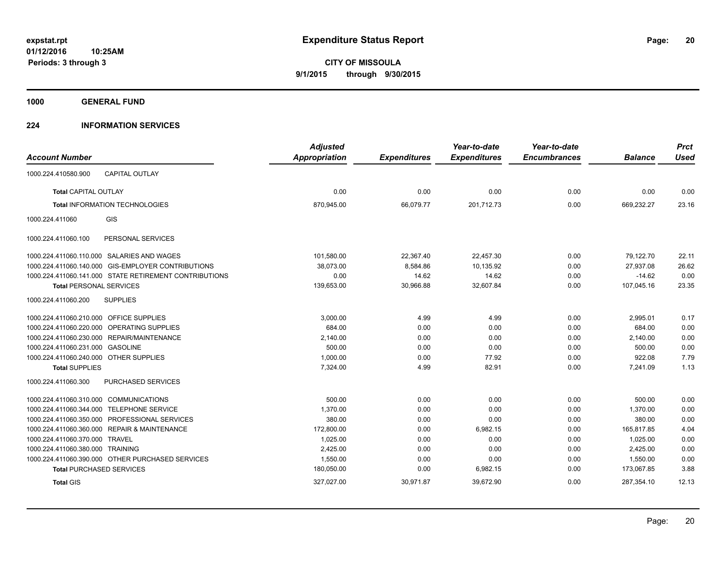**1000 GENERAL FUND**

### **224 INFORMATION SERVICES**

| <b>Account Number</b>                   |                                                        | <b>Adjusted</b><br>Appropriation | <b>Expenditures</b> | Year-to-date<br><b>Expenditures</b> | Year-to-date<br><b>Encumbrances</b> | <b>Balance</b> | <b>Prct</b><br><b>Used</b> |
|-----------------------------------------|--------------------------------------------------------|----------------------------------|---------------------|-------------------------------------|-------------------------------------|----------------|----------------------------|
|                                         |                                                        |                                  |                     |                                     |                                     |                |                            |
| 1000.224.410580.900                     | <b>CAPITAL OUTLAY</b>                                  |                                  |                     |                                     |                                     |                |                            |
| Total CAPITAL OUTLAY                    |                                                        | 0.00                             | 0.00                | 0.00                                | 0.00                                | 0.00           | 0.00                       |
|                                         | <b>Total INFORMATION TECHNOLOGIES</b>                  | 870,945.00                       | 66,079.77           | 201,712.73                          | 0.00                                | 669,232.27     | 23.16                      |
| 1000.224.411060                         | <b>GIS</b>                                             |                                  |                     |                                     |                                     |                |                            |
| 1000.224.411060.100                     | PERSONAL SERVICES                                      |                                  |                     |                                     |                                     |                |                            |
|                                         | 1000.224.411060.110.000 SALARIES AND WAGES             | 101,580.00                       | 22,367.40           | 22,457.30                           | 0.00                                | 79,122.70      | 22.11                      |
|                                         | 1000.224.411060.140.000 GIS-EMPLOYER CONTRIBUTIONS     | 38,073.00                        | 8,584.86            | 10,135.92                           | 0.00                                | 27,937.08      | 26.62                      |
|                                         | 1000.224.411060.141.000 STATE RETIREMENT CONTRIBUTIONS | 0.00                             | 14.62               | 14.62                               | 0.00                                | $-14.62$       | 0.00                       |
| <b>Total PERSONAL SERVICES</b>          |                                                        | 139,653.00                       | 30,966.88           | 32,607.84                           | 0.00                                | 107,045.16     | 23.35                      |
| 1000.224.411060.200                     | <b>SUPPLIES</b>                                        |                                  |                     |                                     |                                     |                |                            |
| 1000.224.411060.210.000 OFFICE SUPPLIES |                                                        | 3,000.00                         | 4.99                | 4.99                                | 0.00                                | 2,995.01       | 0.17                       |
|                                         | 1000.224.411060.220.000 OPERATING SUPPLIES             | 684.00                           | 0.00                | 0.00                                | 0.00                                | 684.00         | 0.00                       |
|                                         | 1000.224.411060.230.000 REPAIR/MAINTENANCE             | 2,140.00                         | 0.00                | 0.00                                | 0.00                                | 2,140.00       | 0.00                       |
| 1000.224.411060.231.000 GASOLINE        |                                                        | 500.00                           | 0.00                | 0.00                                | 0.00                                | 500.00         | 0.00                       |
| 1000.224.411060.240.000 OTHER SUPPLIES  |                                                        | 1,000.00                         | 0.00                | 77.92                               | 0.00                                | 922.08         | 7.79                       |
| <b>Total SUPPLIES</b>                   |                                                        | 7.324.00                         | 4.99                | 82.91                               | 0.00                                | 7,241.09       | 1.13                       |
| 1000.224.411060.300                     | PURCHASED SERVICES                                     |                                  |                     |                                     |                                     |                |                            |
| 1000.224.411060.310.000 COMMUNICATIONS  |                                                        | 500.00                           | 0.00                | 0.00                                | 0.00                                | 500.00         | 0.00                       |
|                                         | 1000.224.411060.344.000 TELEPHONE SERVICE              | 1,370.00                         | 0.00                | 0.00                                | 0.00                                | 1.370.00       | 0.00                       |
|                                         | 1000.224.411060.350.000 PROFESSIONAL SERVICES          | 380.00                           | 0.00                | 0.00                                | 0.00                                | 380.00         | 0.00                       |
|                                         | 1000.224.411060.360.000 REPAIR & MAINTENANCE           | 172,800.00                       | 0.00                | 6,982.15                            | 0.00                                | 165,817.85     | 4.04                       |
| 1000.224.411060.370.000 TRAVEL          |                                                        | 1,025.00                         | 0.00                | 0.00                                | 0.00                                | 1,025.00       | 0.00                       |
| 1000.224.411060.380.000 TRAINING        |                                                        | 2.425.00                         | 0.00                | 0.00                                | 0.00                                | 2.425.00       | 0.00                       |
|                                         | 1000.224.411060.390.000 OTHER PURCHASED SERVICES       | 1,550.00                         | 0.00                | 0.00                                | 0.00                                | 1,550.00       | 0.00                       |
|                                         | <b>Total PURCHASED SERVICES</b>                        | 180,050.00                       | 0.00                | 6,982.15                            | 0.00                                | 173,067.85     | 3.88                       |
| <b>Total GIS</b>                        |                                                        | 327,027.00                       | 30,971.87           | 39,672.90                           | 0.00                                | 287,354.10     | 12.13                      |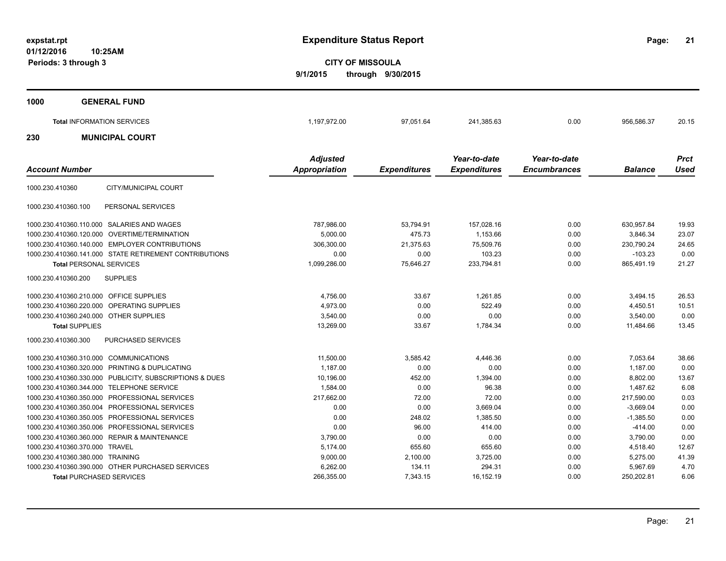**21**

**CITY OF MISSOULA 9/1/2015 through 9/30/2015**

| 1000 | <b>GENERAL FUND</b>               |              |           |                                 |              |            |               |
|------|-----------------------------------|--------------|-----------|---------------------------------|--------------|------------|---------------|
|      | <b>Total INFORMATION SERVICES</b> | 1,197,972.00 | 97,051.64 | 241,385.63                      | 0.00         | 956,586.37 | 20.15         |
| 230  | <b>MUNICIPAL COURT</b>            |              |           |                                 |              |            |               |
|      |                                   | .            |           | $\mathbf{v}$ , and $\mathbf{v}$ | $\mathbf{v}$ |            | $\sim$ $\sim$ |

|                                                         | <b>Adjusted</b> |                     | Year-to-date        | Year-to-date        |                | <b>Prct</b> |
|---------------------------------------------------------|-----------------|---------------------|---------------------|---------------------|----------------|-------------|
| <b>Account Number</b>                                   | Appropriation   | <b>Expenditures</b> | <b>Expenditures</b> | <b>Encumbrances</b> | <b>Balance</b> | <b>Used</b> |
| CITY/MUNICIPAL COURT<br>1000.230.410360                 |                 |                     |                     |                     |                |             |
| PERSONAL SERVICES<br>1000.230.410360.100                |                 |                     |                     |                     |                |             |
| 1000.230.410360.110.000 SALARIES AND WAGES              | 787,986.00      | 53,794.91           | 157,028.16          | 0.00                | 630,957.84     | 19.93       |
| 1000.230.410360.120.000 OVERTIME/TERMINATION            | 5,000.00        | 475.73              | 1,153.66            | 0.00                | 3,846.34       | 23.07       |
| 1000.230.410360.140.000 EMPLOYER CONTRIBUTIONS          | 306,300.00      | 21,375.63           | 75,509.76           | 0.00                | 230,790.24     | 24.65       |
| 1000.230.410360.141.000 STATE RETIREMENT CONTRIBUTIONS  | 0.00            | 0.00                | 103.23              | 0.00                | $-103.23$      | 0.00        |
| <b>Total PERSONAL SERVICES</b>                          | 1,099,286.00    | 75,646.27           | 233,794.81          | 0.00                | 865,491.19     | 21.27       |
| <b>SUPPLIES</b><br>1000.230.410360.200                  |                 |                     |                     |                     |                |             |
| 1000.230.410360.210.000 OFFICE SUPPLIES                 | 4,756.00        | 33.67               | 1.261.85            | 0.00                | 3,494.15       | 26.53       |
| 1000.230.410360.220.000<br><b>OPERATING SUPPLIES</b>    | 4,973.00        | 0.00                | 522.49              | 0.00                | 4,450.51       | 10.51       |
| 1000.230.410360.240.000 OTHER SUPPLIES                  | 3,540.00        | 0.00                | 0.00                | 0.00                | 3,540.00       | 0.00        |
| <b>Total SUPPLIES</b>                                   | 13,269.00       | 33.67               | 1,784.34            | 0.00                | 11,484.66      | 13.45       |
| 1000.230.410360.300<br><b>PURCHASED SERVICES</b>        |                 |                     |                     |                     |                |             |
| 1000.230.410360.310.000 COMMUNICATIONS                  | 11,500.00       | 3,585.42            | 4,446.36            | 0.00                | 7,053.64       | 38.66       |
| 1000.230.410360.320.000 PRINTING & DUPLICATING          | 1,187.00        | 0.00                | 0.00                | 0.00                | 1,187.00       | 0.00        |
| 1000.230.410360.330.000 PUBLICITY, SUBSCRIPTIONS & DUES | 10,196.00       | 452.00              | 1,394.00            | 0.00                | 8,802.00       | 13.67       |
| 1000.230.410360.344.000 TELEPHONE SERVICE               | 1,584.00        | 0.00                | 96.38               | 0.00                | 1.487.62       | 6.08        |
| 1000.230.410360.350.000 PROFESSIONAL SERVICES           | 217,662.00      | 72.00               | 72.00               | 0.00                | 217,590.00     | 0.03        |
| 1000.230.410360.350.004 PROFESSIONAL SERVICES           | 0.00            | 0.00                | 3,669.04            | 0.00                | $-3,669.04$    | 0.00        |
| 1000.230.410360.350.005 PROFESSIONAL SERVICES           | 0.00            | 248.02              | 1,385.50            | 0.00                | $-1,385.50$    | 0.00        |
| 1000.230.410360.350.006 PROFESSIONAL SERVICES           | 0.00            | 96.00               | 414.00              | 0.00                | $-414.00$      | 0.00        |
| 1000.230.410360.360.000 REPAIR & MAINTENANCE            | 3,790.00        | 0.00                | 0.00                | 0.00                | 3,790.00       | 0.00        |
| 1000.230.410360.370.000 TRAVEL                          | 5,174.00        | 655.60              | 655.60              | 0.00                | 4,518.40       | 12.67       |
| 1000.230.410360.380.000 TRAINING                        | 9,000.00        | 2,100.00            | 3,725.00            | 0.00                | 5,275.00       | 41.39       |
| 1000.230.410360.390.000 OTHER PURCHASED SERVICES        | 6,262.00        | 134.11              | 294.31              | 0.00                | 5,967.69       | 4.70        |
| <b>Total PURCHASED SERVICES</b>                         | 266,355.00      | 7,343.15            | 16,152.19           | 0.00                | 250,202.81     | 6.06        |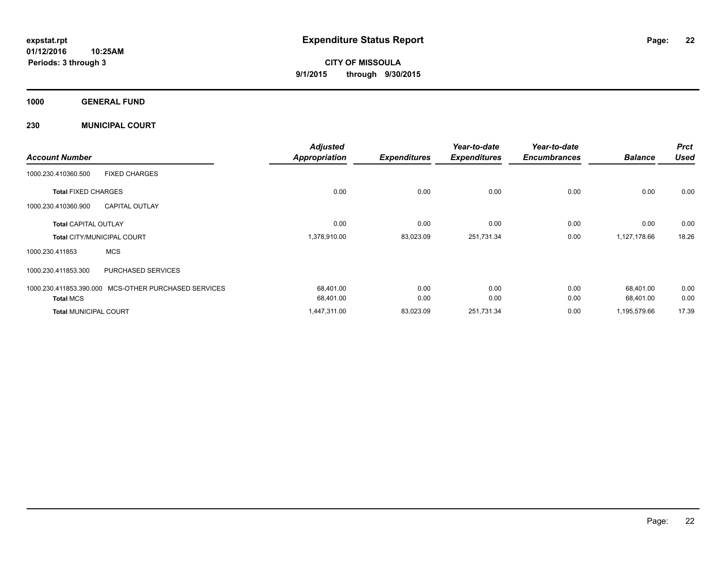**CITY OF MISSOULA 9/1/2015 through 9/30/2015**

**1000 GENERAL FUND**

**230 MUNICIPAL COURT**

| <b>Account Number</b>             |                                                      | <b>Adjusted</b><br><b>Appropriation</b> | <b>Expenditures</b> | Year-to-date<br><b>Expenditures</b> | Year-to-date<br><b>Encumbrances</b> | <b>Balance</b> | <b>Prct</b><br><b>Used</b> |
|-----------------------------------|------------------------------------------------------|-----------------------------------------|---------------------|-------------------------------------|-------------------------------------|----------------|----------------------------|
| 1000.230.410360.500               | <b>FIXED CHARGES</b>                                 |                                         |                     |                                     |                                     |                |                            |
| <b>Total FIXED CHARGES</b>        |                                                      | 0.00                                    | 0.00                | 0.00                                | 0.00                                | 0.00           | 0.00                       |
| 1000.230.410360.900               | <b>CAPITAL OUTLAY</b>                                |                                         |                     |                                     |                                     |                |                            |
| <b>Total CAPITAL OUTLAY</b>       |                                                      | 0.00                                    | 0.00                | 0.00                                | 0.00                                | 0.00           | 0.00                       |
| <b>Total CITY/MUNICIPAL COURT</b> |                                                      | 1,378,910.00                            | 83,023.09           | 251,731.34                          | 0.00                                | 1,127,178.66   | 18.26                      |
| 1000.230.411853                   | <b>MCS</b>                                           |                                         |                     |                                     |                                     |                |                            |
| 1000.230.411853.300               | PURCHASED SERVICES                                   |                                         |                     |                                     |                                     |                |                            |
|                                   | 1000.230.411853.390.000 MCS-OTHER PURCHASED SERVICES | 68,401.00                               | 0.00                | 0.00                                | 0.00                                | 68,401.00      | 0.00                       |
| <b>Total MCS</b>                  |                                                      | 68,401.00                               | 0.00                | 0.00                                | 0.00                                | 68,401.00      | 0.00                       |
| <b>Total MUNICIPAL COURT</b>      |                                                      | 1,447,311.00                            | 83,023.09           | 251,731.34                          | 0.00                                | 1,195,579.66   | 17.39                      |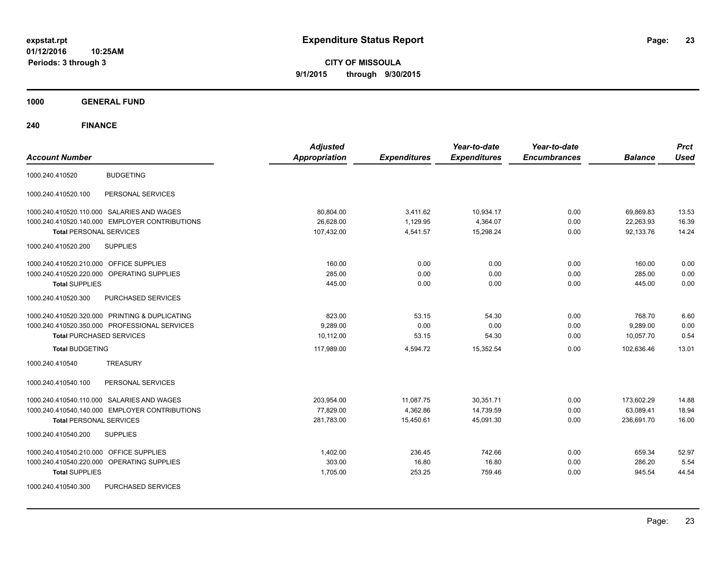**CITY OF MISSOULA 9/1/2015 through 9/30/2015**

**1000 GENERAL FUND**

| <b>Account Number</b>                          | <b>Adjusted</b><br><b>Appropriation</b> | <b>Expenditures</b> | Year-to-date<br><b>Expenditures</b> | Year-to-date<br><b>Encumbrances</b> | <b>Balance</b> | <b>Prct</b><br><b>Used</b> |
|------------------------------------------------|-----------------------------------------|---------------------|-------------------------------------|-------------------------------------|----------------|----------------------------|
| <b>BUDGETING</b><br>1000.240.410520            |                                         |                     |                                     |                                     |                |                            |
| PERSONAL SERVICES<br>1000.240.410520.100       |                                         |                     |                                     |                                     |                |                            |
| 1000.240.410520.110.000 SALARIES AND WAGES     | 80,804.00                               | 3,411.62            | 10,934.17                           | 0.00                                | 69,869.83      | 13.53                      |
| 1000.240.410520.140.000 EMPLOYER CONTRIBUTIONS | 26,628.00                               | 1,129.95            | 4,364.07                            | 0.00                                | 22,263.93      | 16.39                      |
| <b>Total PERSONAL SERVICES</b>                 | 107,432.00                              | 4,541.57            | 15,298.24                           | 0.00                                | 92.133.76      | 14.24                      |
| <b>SUPPLIES</b><br>1000.240.410520.200         |                                         |                     |                                     |                                     |                |                            |
| 1000.240.410520.210.000 OFFICE SUPPLIES        | 160.00                                  | 0.00                | 0.00                                | 0.00                                | 160.00         | 0.00                       |
| 1000.240.410520.220.000 OPERATING SUPPLIES     | 285.00                                  | 0.00                | 0.00                                | 0.00                                | 285.00         | 0.00                       |
| <b>Total SUPPLIES</b>                          | 445.00                                  | 0.00                | 0.00                                | 0.00                                | 445.00         | 0.00                       |
| 1000.240.410520.300<br>PURCHASED SERVICES      |                                         |                     |                                     |                                     |                |                            |
| 1000.240.410520.320.000 PRINTING & DUPLICATING | 823.00                                  | 53.15               | 54.30                               | 0.00                                | 768.70         | 6.60                       |
| 1000.240.410520.350.000 PROFESSIONAL SERVICES  | 9,289.00                                | 0.00                | 0.00                                | 0.00                                | 9,289.00       | 0.00                       |
| <b>Total PURCHASED SERVICES</b>                | 10.112.00                               | 53.15               | 54.30                               | 0.00                                | 10,057.70      | 0.54                       |
| <b>Total BUDGETING</b>                         | 117,989.00                              | 4,594.72            | 15,352.54                           | 0.00                                | 102,636.46     | 13.01                      |
| 1000.240.410540<br><b>TREASURY</b>             |                                         |                     |                                     |                                     |                |                            |
| PERSONAL SERVICES<br>1000.240.410540.100       |                                         |                     |                                     |                                     |                |                            |
| 1000.240.410540.110.000 SALARIES AND WAGES     | 203,954.00                              | 11,087.75           | 30,351.71                           | 0.00                                | 173,602.29     | 14.88                      |
| 1000.240.410540.140.000 EMPLOYER CONTRIBUTIONS | 77,829.00                               | 4,362.86            | 14,739.59                           | 0.00                                | 63,089.41      | 18.94                      |
| <b>Total PERSONAL SERVICES</b>                 | 281,783.00                              | 15,450.61           | 45,091.30                           | 0.00                                | 236.691.70     | 16.00                      |
| 1000.240.410540.200<br><b>SUPPLIES</b>         |                                         |                     |                                     |                                     |                |                            |
| OFFICE SUPPLIES<br>1000.240.410540.210.000     | 1,402.00                                | 236.45              | 742.66                              | 0.00                                | 659.34         | 52.97                      |
| 1000.240.410540.220.000<br>OPERATING SUPPLIES  | 303.00                                  | 16.80               | 16.80                               | 0.00                                | 286.20         | 5.54                       |
| <b>Total SUPPLIES</b>                          | 1,705.00                                | 253.25              | 759.46                              | 0.00                                | 945.54         | 44.54                      |
| 1000.240.410540.300<br>PURCHASED SERVICES      |                                         |                     |                                     |                                     |                |                            |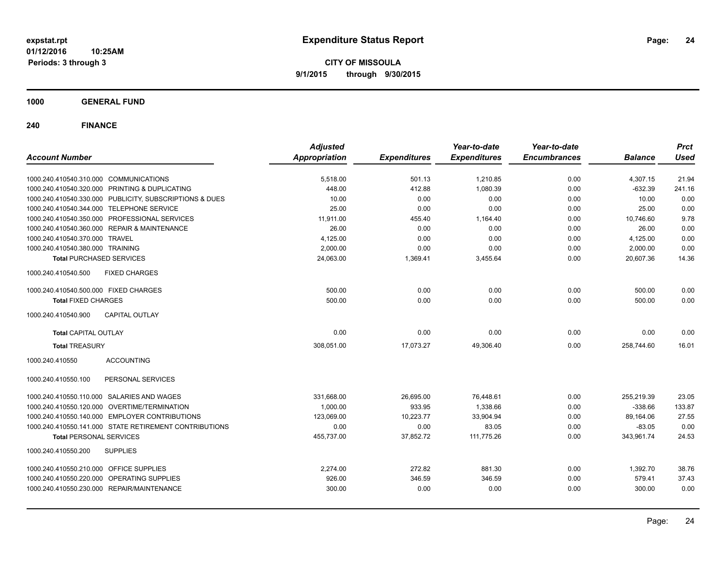**CITY OF MISSOULA 9/1/2015 through 9/30/2015**

**1000 GENERAL FUND**

| <b>Account Number</b>                                   | <b>Adjusted</b><br><b>Appropriation</b> | <b>Expenditures</b> | Year-to-date<br><b>Expenditures</b> | Year-to-date<br><b>Encumbrances</b> | <b>Balance</b> | <b>Prct</b><br><b>Used</b> |
|---------------------------------------------------------|-----------------------------------------|---------------------|-------------------------------------|-------------------------------------|----------------|----------------------------|
|                                                         |                                         |                     |                                     |                                     |                |                            |
| 1000.240.410540.310.000 COMMUNICATIONS                  | 5,518.00                                | 501.13              | 1,210.85                            | 0.00                                | 4,307.15       | 21.94                      |
| 1000.240.410540.320.000 PRINTING & DUPLICATING          | 448.00                                  | 412.88              | 1,080.39                            | 0.00                                | $-632.39$      | 241.16                     |
| 1000.240.410540.330.000 PUBLICITY, SUBSCRIPTIONS & DUES | 10.00                                   | 0.00                | 0.00                                | 0.00                                | 10.00          | 0.00                       |
| 1000.240.410540.344.000 TELEPHONE SERVICE               | 25.00                                   | 0.00                | 0.00                                | 0.00                                | 25.00          | 0.00                       |
| 1000.240.410540.350.000 PROFESSIONAL SERVICES           | 11,911.00                               | 455.40              | 1,164.40                            | 0.00                                | 10,746.60      | 9.78                       |
| 1000.240.410540.360.000 REPAIR & MAINTENANCE            | 26.00                                   | 0.00                | 0.00                                | 0.00                                | 26.00          | 0.00                       |
| 1000.240.410540.370.000 TRAVEL                          | 4,125.00                                | 0.00                | 0.00                                | 0.00                                | 4,125.00       | 0.00                       |
| 1000.240.410540.380.000 TRAINING                        | 2,000.00                                | 0.00                | 0.00                                | 0.00                                | 2,000.00       | 0.00                       |
| <b>Total PURCHASED SERVICES</b>                         | 24,063.00                               | 1,369.41            | 3,455.64                            | 0.00                                | 20.607.36      | 14.36                      |
| <b>FIXED CHARGES</b><br>1000.240.410540.500             |                                         |                     |                                     |                                     |                |                            |
| 1000.240.410540.500.000 FIXED CHARGES                   | 500.00                                  | 0.00                | 0.00                                | 0.00                                | 500.00         | 0.00                       |
| <b>Total FIXED CHARGES</b>                              | 500.00                                  | 0.00                | 0.00                                | 0.00                                | 500.00         | 0.00                       |
| 1000.240.410540.900<br><b>CAPITAL OUTLAY</b>            |                                         |                     |                                     |                                     |                |                            |
| <b>Total CAPITAL OUTLAY</b>                             | 0.00                                    | 0.00                | 0.00                                | 0.00                                | 0.00           | 0.00                       |
| <b>Total TREASURY</b>                                   | 308,051.00                              | 17,073.27           | 49,306.40                           | 0.00                                | 258.744.60     | 16.01                      |
| <b>ACCOUNTING</b><br>1000.240.410550                    |                                         |                     |                                     |                                     |                |                            |
| PERSONAL SERVICES<br>1000.240.410550.100                |                                         |                     |                                     |                                     |                |                            |
| 1000.240.410550.110.000 SALARIES AND WAGES              | 331,668.00                              | 26,695.00           | 76,448.61                           | 0.00                                | 255,219.39     | 23.05                      |
| 1000.240.410550.120.000 OVERTIME/TERMINATION            | 1,000.00                                | 933.95              | 1,338.66                            | 0.00                                | $-338.66$      | 133.87                     |
| 1000.240.410550.140.000 EMPLOYER CONTRIBUTIONS          | 123.069.00                              | 10.223.77           | 33.904.94                           | 0.00                                | 89,164.06      | 27.55                      |
| 1000.240.410550.141.000 STATE RETIREMENT CONTRIBUTIONS  | 0.00                                    | 0.00                | 83.05                               | 0.00                                | $-83.05$       | 0.00                       |
| <b>Total PERSONAL SERVICES</b>                          | 455,737.00                              | 37,852.72           | 111,775.26                          | 0.00                                | 343,961.74     | 24.53                      |
| 1000.240.410550.200<br><b>SUPPLIES</b>                  |                                         |                     |                                     |                                     |                |                            |
| 1000.240.410550.210.000 OFFICE SUPPLIES                 | 2,274.00                                | 272.82              | 881.30                              | 0.00                                | 1,392.70       | 38.76                      |
| 1000.240.410550.220.000 OPERATING SUPPLIES              | 926.00                                  | 346.59              | 346.59                              | 0.00                                | 579.41         | 37.43                      |
| 1000.240.410550.230.000 REPAIR/MAINTENANCE              | 300.00                                  | 0.00                | 0.00                                | 0.00                                | 300.00         | 0.00                       |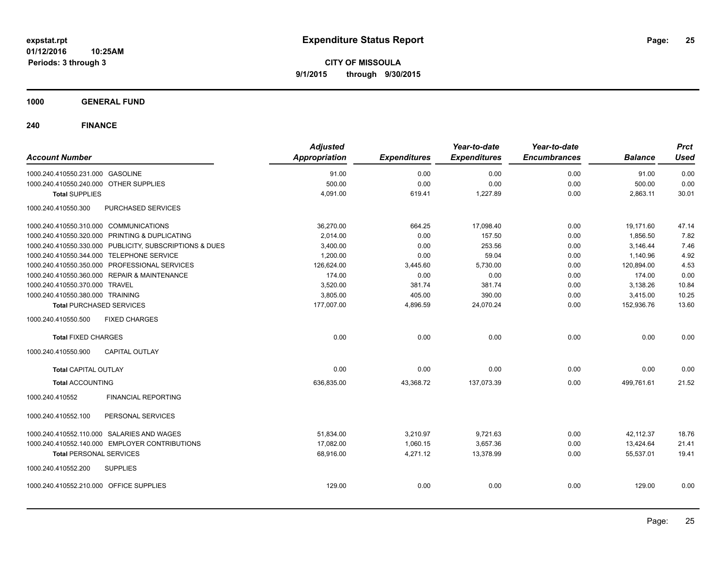**CITY OF MISSOULA 9/1/2015 through 9/30/2015**

**1000 GENERAL FUND**

| <b>Account Number</b>                                   | <b>Adjusted</b><br>Appropriation | <b>Expenditures</b> | Year-to-date<br><b>Expenditures</b> | Year-to-date<br><b>Encumbrances</b> | <b>Balance</b> | <b>Prct</b><br><b>Used</b> |
|---------------------------------------------------------|----------------------------------|---------------------|-------------------------------------|-------------------------------------|----------------|----------------------------|
| 1000.240.410550.231.000 GASOLINE                        | 91.00                            | 0.00                | 0.00                                | 0.00                                | 91.00          | 0.00                       |
| 1000.240.410550.240.000 OTHER SUPPLIES                  | 500.00                           | 0.00                | 0.00                                | 0.00                                | 500.00         | 0.00                       |
| <b>Total SUPPLIES</b>                                   | 4,091.00                         | 619.41              | 1,227.89                            | 0.00                                | 2,863.11       | 30.01                      |
| 1000.240.410550.300<br>PURCHASED SERVICES               |                                  |                     |                                     |                                     |                |                            |
| 1000.240.410550.310.000 COMMUNICATIONS                  | 36,270.00                        | 664.25              | 17,098.40                           | 0.00                                | 19,171.60      | 47.14                      |
| 1000.240.410550.320.000 PRINTING & DUPLICATING          | 2,014.00                         | 0.00                | 157.50                              | 0.00                                | 1,856.50       | 7.82                       |
| 1000.240.410550.330.000 PUBLICITY, SUBSCRIPTIONS & DUES | 3,400.00                         | 0.00                | 253.56                              | 0.00                                | 3,146.44       | 7.46                       |
| 1000.240.410550.344.000 TELEPHONE SERVICE               | 1,200.00                         | 0.00                | 59.04                               | 0.00                                | 1,140.96       | 4.92                       |
| 1000.240.410550.350.000 PROFESSIONAL SERVICES           | 126,624.00                       | 3,445.60            | 5,730.00                            | 0.00                                | 120,894.00     | 4.53                       |
| 1000.240.410550.360.000 REPAIR & MAINTENANCE            | 174.00                           | 0.00                | 0.00                                | 0.00                                | 174.00         | 0.00                       |
| 1000.240.410550.370.000 TRAVEL                          | 3,520.00                         | 381.74              | 381.74                              | 0.00                                | 3,138.26       | 10.84                      |
| 1000.240.410550.380.000 TRAINING                        | 3,805.00                         | 405.00              | 390.00                              | 0.00                                | 3,415.00       | 10.25                      |
| <b>Total PURCHASED SERVICES</b>                         | 177,007.00                       | 4,896.59            | 24,070.24                           | 0.00                                | 152,936.76     | 13.60                      |
| 1000.240.410550.500<br><b>FIXED CHARGES</b>             |                                  |                     |                                     |                                     |                |                            |
| <b>Total FIXED CHARGES</b>                              | 0.00                             | 0.00                | 0.00                                | 0.00                                | 0.00           | 0.00                       |
| <b>CAPITAL OUTLAY</b><br>1000.240.410550.900            |                                  |                     |                                     |                                     |                |                            |
| <b>Total CAPITAL OUTLAY</b>                             | 0.00                             | 0.00                | 0.00                                | 0.00                                | 0.00           | 0.00                       |
| <b>Total ACCOUNTING</b>                                 | 636,835.00                       | 43,368.72           | 137,073.39                          | 0.00                                | 499,761.61     | 21.52                      |
| 1000.240.410552<br><b>FINANCIAL REPORTING</b>           |                                  |                     |                                     |                                     |                |                            |
| PERSONAL SERVICES<br>1000.240.410552.100                |                                  |                     |                                     |                                     |                |                            |
| 1000.240.410552.110.000 SALARIES AND WAGES              | 51,834.00                        | 3,210.97            | 9,721.63                            | 0.00                                | 42,112.37      | 18.76                      |
| 1000.240.410552.140.000 EMPLOYER CONTRIBUTIONS          | 17,082.00                        | 1,060.15            | 3,657.36                            | 0.00                                | 13,424.64      | 21.41                      |
| <b>Total PERSONAL SERVICES</b>                          | 68,916.00                        | 4,271.12            | 13,378.99                           | 0.00                                | 55,537.01      | 19.41                      |
| 1000.240.410552.200<br><b>SUPPLIES</b>                  |                                  |                     |                                     |                                     |                |                            |
| 1000.240.410552.210.000 OFFICE SUPPLIES                 | 129.00                           | 0.00                | 0.00                                | 0.00                                | 129.00         | 0.00                       |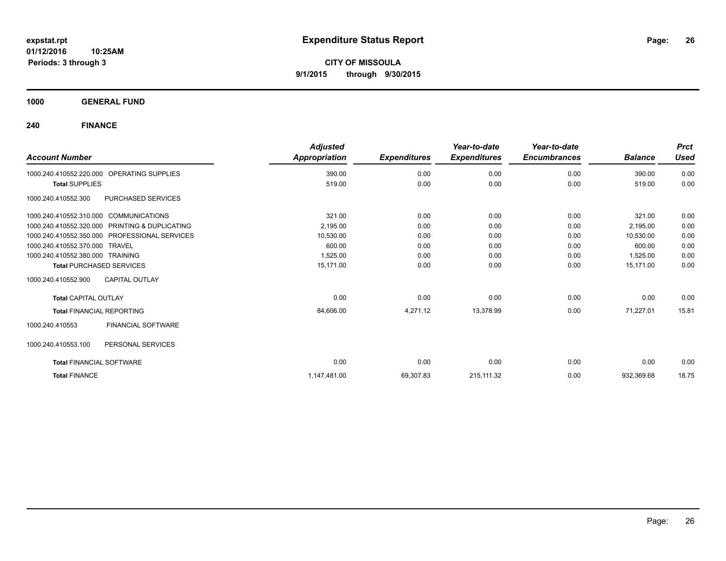**CITY OF MISSOULA 9/1/2015 through 9/30/2015**

**1000 GENERAL FUND**

|                                                      | <b>Adjusted</b> |                     | Year-to-date        | Year-to-date        |                | <b>Prct</b> |
|------------------------------------------------------|-----------------|---------------------|---------------------|---------------------|----------------|-------------|
| <b>Account Number</b>                                | Appropriation   | <b>Expenditures</b> | <b>Expenditures</b> | <b>Encumbrances</b> | <b>Balance</b> | <b>Used</b> |
| <b>OPERATING SUPPLIES</b><br>1000.240.410552.220.000 | 390.00          | 0.00                | 0.00                | 0.00                | 390.00         | 0.00        |
| <b>Total SUPPLIES</b>                                | 519.00          | 0.00                | 0.00                | 0.00                | 519.00         | 0.00        |
| PURCHASED SERVICES<br>1000.240.410552.300            |                 |                     |                     |                     |                |             |
| 1000.240.410552.310.000 COMMUNICATIONS               | 321.00          | 0.00                | 0.00                | 0.00                | 321.00         | 0.00        |
| 1000.240.410552.320.000 PRINTING & DUPLICATING       | 2,195.00        | 0.00                | 0.00                | 0.00                | 2,195.00       | 0.00        |
| 1000.240.410552.350.000 PROFESSIONAL SERVICES        | 10,530.00       | 0.00                | 0.00                | 0.00                | 10,530.00      | 0.00        |
| 1000.240.410552.370.000 TRAVEL                       | 600.00          | 0.00                | 0.00                | 0.00                | 600.00         | 0.00        |
| 1000.240.410552.380.000 TRAINING                     | 1,525.00        | 0.00                | 0.00                | 0.00                | 1,525.00       | 0.00        |
| <b>Total PURCHASED SERVICES</b>                      | 15.171.00       | 0.00                | 0.00                | 0.00                | 15.171.00      | 0.00        |
| <b>CAPITAL OUTLAY</b><br>1000.240.410552.900         |                 |                     |                     |                     |                |             |
| <b>Total CAPITAL OUTLAY</b>                          | 0.00            | 0.00                | 0.00                | 0.00                | 0.00           | 0.00        |
| <b>Total FINANCIAL REPORTING</b>                     | 84,606.00       | 4,271.12            | 13,378.99           | 0.00                | 71,227.01      | 15.81       |
| FINANCIAL SOFTWARE<br>1000.240.410553                |                 |                     |                     |                     |                |             |
| 1000.240.410553.100<br>PERSONAL SERVICES             |                 |                     |                     |                     |                |             |
| <b>Total FINANCIAL SOFTWARE</b>                      | 0.00            | 0.00                | 0.00                | 0.00                | 0.00           | 0.00        |
| <b>Total FINANCE</b>                                 | 1,147,481.00    | 69,307.83           | 215, 111.32         | 0.00                | 932,369.68     | 18.75       |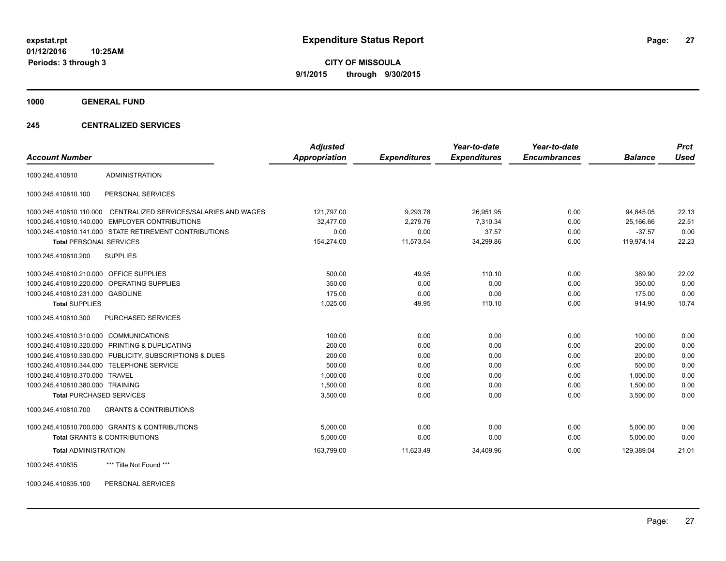**CITY OF MISSOULA 9/1/2015 through 9/30/2015**

**1000 GENERAL FUND**

### **245 CENTRALIZED SERVICES**

| <b>Account Number</b>                   |                                                         | <b>Adjusted</b><br><b>Appropriation</b> | <b>Expenditures</b> | Year-to-date<br><b>Expenditures</b> | Year-to-date<br><b>Encumbrances</b> | <b>Balance</b> | <b>Prct</b><br><b>Used</b> |
|-----------------------------------------|---------------------------------------------------------|-----------------------------------------|---------------------|-------------------------------------|-------------------------------------|----------------|----------------------------|
| 1000.245.410810                         | <b>ADMINISTRATION</b>                                   |                                         |                     |                                     |                                     |                |                            |
| 1000.245.410810.100                     | PERSONAL SERVICES                                       |                                         |                     |                                     |                                     |                |                            |
| 1000.245.410810.110.000                 | CENTRALIZED SERVICES/SALARIES AND WAGES                 | 121,797.00                              | 9,293.78            | 26,951.95                           | 0.00                                | 94,845.05      | 22.13                      |
|                                         | 1000.245.410810.140.000 EMPLOYER CONTRIBUTIONS          | 32,477.00                               | 2,279.76            | 7.310.34                            | 0.00                                | 25.166.66      | 22.51                      |
|                                         | 1000.245.410810.141.000 STATE RETIREMENT CONTRIBUTIONS  | 0.00                                    | 0.00                | 37.57                               | 0.00                                | $-37.57$       | 0.00                       |
| <b>Total PERSONAL SERVICES</b>          |                                                         | 154,274.00                              | 11,573.54           | 34,299.86                           | 0.00                                | 119,974.14     | 22.23                      |
| 1000.245.410810.200                     | <b>SUPPLIES</b>                                         |                                         |                     |                                     |                                     |                |                            |
| 1000.245.410810.210.000 OFFICE SUPPLIES |                                                         | 500.00                                  | 49.95               | 110.10                              | 0.00                                | 389.90         | 22.02                      |
|                                         | 1000.245.410810.220.000 OPERATING SUPPLIES              | 350.00                                  | 0.00                | 0.00                                | 0.00                                | 350.00         | 0.00                       |
| 1000.245.410810.231.000 GASOLINE        |                                                         | 175.00                                  | 0.00                | 0.00                                | 0.00                                | 175.00         | 0.00                       |
| <b>Total SUPPLIES</b>                   |                                                         | 1,025.00                                | 49.95               | 110.10                              | 0.00                                | 914.90         | 10.74                      |
| 1000.245.410810.300                     | <b>PURCHASED SERVICES</b>                               |                                         |                     |                                     |                                     |                |                            |
| 1000.245.410810.310.000 COMMUNICATIONS  |                                                         | 100.00                                  | 0.00                | 0.00                                | 0.00                                | 100.00         | 0.00                       |
|                                         | 1000.245.410810.320.000 PRINTING & DUPLICATING          | 200.00                                  | 0.00                | 0.00                                | 0.00                                | 200.00         | 0.00                       |
|                                         | 1000.245.410810.330.000 PUBLICITY, SUBSCRIPTIONS & DUES | 200.00                                  | 0.00                | 0.00                                | 0.00                                | 200.00         | 0.00                       |
|                                         | 1000.245.410810.344.000 TELEPHONE SERVICE               | 500.00                                  | 0.00                | 0.00                                | 0.00                                | 500.00         | 0.00                       |
| 1000.245.410810.370.000 TRAVEL          |                                                         | 1,000.00                                | 0.00                | 0.00                                | 0.00                                | 1.000.00       | 0.00                       |
| 1000.245.410810.380.000 TRAINING        |                                                         | 1,500.00                                | 0.00                | 0.00                                | 0.00                                | 1,500.00       | 0.00                       |
| <b>Total PURCHASED SERVICES</b>         |                                                         | 3,500.00                                | 0.00                | 0.00                                | 0.00                                | 3,500.00       | 0.00                       |
| 1000.245.410810.700                     | <b>GRANTS &amp; CONTRIBUTIONS</b>                       |                                         |                     |                                     |                                     |                |                            |
|                                         | 1000.245.410810.700.000 GRANTS & CONTRIBUTIONS          | 5.000.00                                | 0.00                | 0.00                                | 0.00                                | 5.000.00       | 0.00                       |
|                                         | <b>Total GRANTS &amp; CONTRIBUTIONS</b>                 | 5,000.00                                | 0.00                | 0.00                                | 0.00                                | 5,000.00       | 0.00                       |
| <b>Total ADMINISTRATION</b>             |                                                         | 163,799.00                              | 11,623.49           | 34,409.96                           | 0.00                                | 129,389.04     | 21.01                      |
| 1000.245.410835                         | *** Title Not Found ***                                 |                                         |                     |                                     |                                     |                |                            |

1000.245.410835.100 PERSONAL SERVICES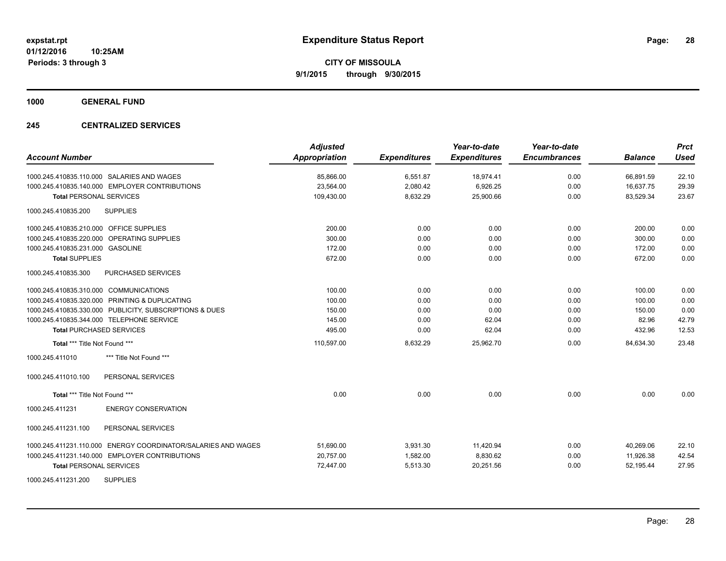**1000 GENERAL FUND**

### **245 CENTRALIZED SERVICES**

| <b>Account Number</b>                                            | <b>Adjusted</b><br><b>Appropriation</b> | <b>Expenditures</b> | Year-to-date<br><b>Expenditures</b> | Year-to-date<br><b>Encumbrances</b> | <b>Balance</b> | <b>Prct</b><br><b>Used</b> |
|------------------------------------------------------------------|-----------------------------------------|---------------------|-------------------------------------|-------------------------------------|----------------|----------------------------|
| 1000.245.410835.110.000 SALARIES AND WAGES                       | 85,866.00                               | 6,551.87            | 18,974.41                           | 0.00                                | 66,891.59      | 22.10                      |
| 1000.245.410835.140.000 EMPLOYER CONTRIBUTIONS                   | 23,564.00                               | 2,080.42            | 6,926.25                            | 0.00                                | 16,637.75      | 29.39                      |
| <b>Total PERSONAL SERVICES</b>                                   | 109,430.00                              | 8,632.29            | 25,900.66                           | 0.00                                | 83,529.34      | 23.67                      |
| <b>SUPPLIES</b><br>1000.245.410835.200                           |                                         |                     |                                     |                                     |                |                            |
| 1000.245.410835.210.000 OFFICE SUPPLIES                          | 200.00                                  | 0.00                | 0.00                                | 0.00                                | 200.00         | 0.00                       |
| 1000.245.410835.220.000 OPERATING SUPPLIES                       | 300.00                                  | 0.00                | 0.00                                | 0.00                                | 300.00         | 0.00                       |
| 1000.245.410835.231.000 GASOLINE                                 | 172.00                                  | 0.00                | 0.00                                | 0.00                                | 172.00         | 0.00                       |
| <b>Total SUPPLIES</b>                                            | 672.00                                  | 0.00                | 0.00                                | 0.00                                | 672.00         | 0.00                       |
| 1000.245.410835.300<br><b>PURCHASED SERVICES</b>                 |                                         |                     |                                     |                                     |                |                            |
| 1000.245.410835.310.000 COMMUNICATIONS                           | 100.00                                  | 0.00                | 0.00                                | 0.00                                | 100.00         | 0.00                       |
| 1000.245.410835.320.000 PRINTING & DUPLICATING                   | 100.00                                  | 0.00                | 0.00                                | 0.00                                | 100.00         | 0.00                       |
| 1000.245.410835.330.000 PUBLICITY, SUBSCRIPTIONS & DUES          | 150.00                                  | 0.00                | 0.00                                | 0.00                                | 150.00         | 0.00                       |
| 1000.245.410835.344.000 TELEPHONE SERVICE                        | 145.00                                  | 0.00                | 62.04                               | 0.00                                | 82.96          | 42.79                      |
| <b>Total PURCHASED SERVICES</b>                                  | 495.00                                  | 0.00                | 62.04                               | 0.00                                | 432.96         | 12.53                      |
| Total *** Title Not Found ***                                    | 110,597.00                              | 8,632.29            | 25,962.70                           | 0.00                                | 84,634.30      | 23.48                      |
| 1000.245.411010<br>*** Title Not Found ***                       |                                         |                     |                                     |                                     |                |                            |
| PERSONAL SERVICES<br>1000.245.411010.100                         |                                         |                     |                                     |                                     |                |                            |
| Total *** Title Not Found ***                                    | 0.00                                    | 0.00                | 0.00                                | 0.00                                | 0.00           | 0.00                       |
| <b>ENERGY CONSERVATION</b><br>1000.245.411231                    |                                         |                     |                                     |                                     |                |                            |
| 1000.245.411231.100<br>PERSONAL SERVICES                         |                                         |                     |                                     |                                     |                |                            |
| ENERGY COORDINATOR/SALARIES AND WAGES<br>1000.245.411231.110.000 | 51,690.00                               | 3,931.30            | 11,420.94                           | 0.00                                | 40.269.06      | 22.10                      |
| 1000.245.411231.140.000 EMPLOYER CONTRIBUTIONS                   | 20,757.00                               | 1,582.00            | 8,830.62                            | 0.00                                | 11,926.38      | 42.54                      |
| <b>Total PERSONAL SERVICES</b>                                   | 72,447.00                               | 5,513.30            | 20,251.56                           | 0.00                                | 52,195.44      | 27.95                      |
| <b>SUPPLIES</b><br>1000.245.411231.200                           |                                         |                     |                                     |                                     |                |                            |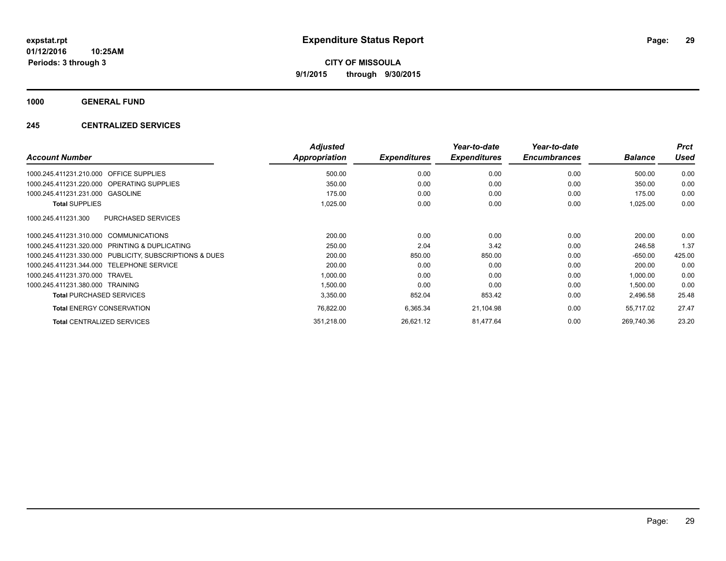**1000 GENERAL FUND**

### **245 CENTRALIZED SERVICES**

|                                                         | <b>Adjusted</b> |                     | Year-to-date        | Year-to-date        |                | <b>Prct</b> |
|---------------------------------------------------------|-----------------|---------------------|---------------------|---------------------|----------------|-------------|
| <b>Account Number</b>                                   | Appropriation   | <b>Expenditures</b> | <b>Expenditures</b> | <b>Encumbrances</b> | <b>Balance</b> | <b>Used</b> |
| 1000.245.411231.210.000<br><b>OFFICE SUPPLIES</b>       | 500.00          | 0.00                | 0.00                | 0.00                | 500.00         | 0.00        |
| 1000.245.411231.220.000 OPERATING SUPPLIES              | 350.00          | 0.00                | 0.00                | 0.00                | 350.00         | 0.00        |
| 1000.245.411231.231.000 GASOLINE                        | 175.00          | 0.00                | 0.00                | 0.00                | 175.00         | 0.00        |
| <b>Total SUPPLIES</b>                                   | 1,025.00        | 0.00                | 0.00                | 0.00                | 1,025.00       | 0.00        |
| PURCHASED SERVICES<br>1000.245.411231.300               |                 |                     |                     |                     |                |             |
| 1000.245.411231.310.000 COMMUNICATIONS                  | 200.00          | 0.00                | 0.00                | 0.00                | 200.00         | 0.00        |
| 1000.245.411231.320.000 PRINTING & DUPLICATING          | 250.00          | 2.04                | 3.42                | 0.00                | 246.58         | 1.37        |
| 1000.245.411231.330.000 PUBLICITY, SUBSCRIPTIONS & DUES | 200.00          | 850.00              | 850.00              | 0.00                | $-650.00$      | 425.00      |
| <b>TELEPHONE SERVICE</b><br>1000.245.411231.344.000     | 200.00          | 0.00                | 0.00                | 0.00                | 200.00         | 0.00        |
| 1000.245.411231.370.000<br>TRAVEL                       | 1,000.00        | 0.00                | 0.00                | 0.00                | 1,000.00       | 0.00        |
| 1000.245.411231.380.000<br>TRAINING                     | 1,500.00        | 0.00                | 0.00                | 0.00                | 1,500.00       | 0.00        |
| <b>Total PURCHASED SERVICES</b>                         | 3,350.00        | 852.04              | 853.42              | 0.00                | 2,496.58       | 25.48       |
| <b>Total ENERGY CONSERVATION</b>                        | 76,822.00       | 6,365.34            | 21,104.98           | 0.00                | 55,717.02      | 27.47       |
| <b>Total CENTRALIZED SERVICES</b>                       | 351,218.00      | 26,621.12           | 81,477.64           | 0.00                | 269.740.36     | 23.20       |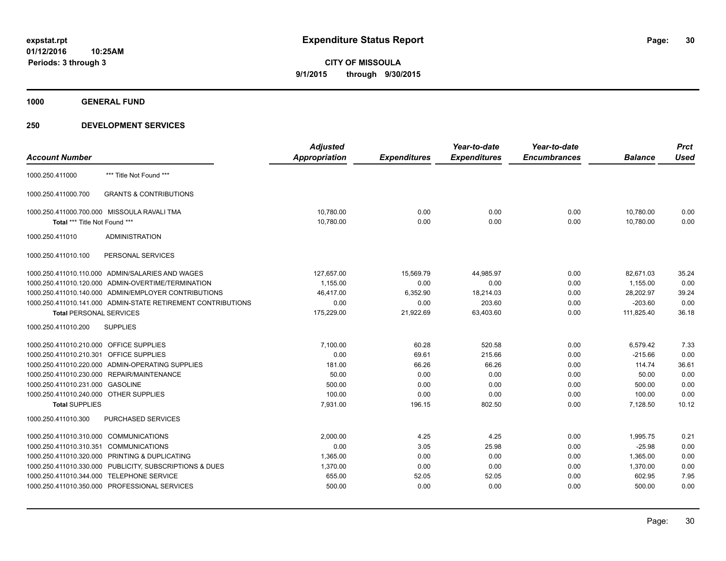**1000 GENERAL FUND**

|                                         |                                                              | <b>Adjusted</b>      |                     | Year-to-date        | Year-to-date        |                | <b>Prct</b> |
|-----------------------------------------|--------------------------------------------------------------|----------------------|---------------------|---------------------|---------------------|----------------|-------------|
| <b>Account Number</b>                   |                                                              | <b>Appropriation</b> | <b>Expenditures</b> | <b>Expenditures</b> | <b>Encumbrances</b> | <b>Balance</b> | <b>Used</b> |
| 1000.250.411000                         | *** Title Not Found ***                                      |                      |                     |                     |                     |                |             |
| 1000.250.411000.700                     | <b>GRANTS &amp; CONTRIBUTIONS</b>                            |                      |                     |                     |                     |                |             |
|                                         | 1000.250.411000.700.000 MISSOULA RAVALI TMA                  | 10,780.00            | 0.00                | 0.00                | 0.00                | 10,780.00      | 0.00        |
| Total *** Title Not Found ***           |                                                              | 10,780.00            | 0.00                | 0.00                | 0.00                | 10,780.00      | 0.00        |
| 1000.250.411010                         | <b>ADMINISTRATION</b>                                        |                      |                     |                     |                     |                |             |
| 1000.250.411010.100                     | PERSONAL SERVICES                                            |                      |                     |                     |                     |                |             |
|                                         | 1000.250.411010.110.000 ADMIN/SALARIES AND WAGES             | 127,657.00           | 15,569.79           | 44,985.97           | 0.00                | 82,671.03      | 35.24       |
|                                         | 1000.250.411010.120.000 ADMIN-OVERTIME/TERMINATION           | 1,155.00             | 0.00                | 0.00                | 0.00                | 1,155.00       | 0.00        |
|                                         | 1000.250.411010.140.000 ADMIN/EMPLOYER CONTRIBUTIONS         | 46,417.00            | 6,352.90            | 18,214.03           | 0.00                | 28,202.97      | 39.24       |
|                                         | 1000.250.411010.141.000 ADMIN-STATE RETIREMENT CONTRIBUTIONS | 0.00                 | 0.00                | 203.60              | 0.00                | $-203.60$      | 0.00        |
| <b>Total PERSONAL SERVICES</b>          |                                                              | 175,229.00           | 21,922.69           | 63,403.60           | 0.00                | 111,825.40     | 36.18       |
| 1000.250.411010.200                     | <b>SUPPLIES</b>                                              |                      |                     |                     |                     |                |             |
| 1000.250.411010.210.000 OFFICE SUPPLIES |                                                              | 7,100.00             | 60.28               | 520.58              | 0.00                | 6,579.42       | 7.33        |
| 1000.250.411010.210.301 OFFICE SUPPLIES |                                                              | 0.00                 | 69.61               | 215.66              | 0.00                | $-215.66$      | 0.00        |
|                                         | 1000.250.411010.220.000 ADMIN-OPERATING SUPPLIES             | 181.00               | 66.26               | 66.26               | 0.00                | 114.74         | 36.61       |
|                                         | 1000.250.411010.230.000 REPAIR/MAINTENANCE                   | 50.00                | 0.00                | 0.00                | 0.00                | 50.00          | 0.00        |
| 1000.250.411010.231.000 GASOLINE        |                                                              | 500.00               | 0.00                | 0.00                | 0.00                | 500.00         | 0.00        |
| 1000.250.411010.240.000 OTHER SUPPLIES  |                                                              | 100.00               | 0.00                | 0.00                | 0.00                | 100.00         | 0.00        |
| <b>Total SUPPLIES</b>                   |                                                              | 7,931.00             | 196.15              | 802.50              | 0.00                | 7,128.50       | 10.12       |
| 1000.250.411010.300                     | <b>PURCHASED SERVICES</b>                                    |                      |                     |                     |                     |                |             |
| 1000.250.411010.310.000 COMMUNICATIONS  |                                                              | 2.000.00             | 4.25                | 4.25                | 0.00                | 1.995.75       | 0.21        |
| 1000.250.411010.310.351                 | <b>COMMUNICATIONS</b>                                        | 0.00                 | 3.05                | 25.98               | 0.00                | $-25.98$       | 0.00        |
|                                         | 1000.250.411010.320.000 PRINTING & DUPLICATING               | 1,365.00             | 0.00                | 0.00                | 0.00                | 1,365.00       | 0.00        |
|                                         | 1000.250.411010.330.000 PUBLICITY, SUBSCRIPTIONS & DUES      | 1,370.00             | 0.00                | 0.00                | 0.00                | 1,370.00       | 0.00        |
|                                         | 1000.250.411010.344.000 TELEPHONE SERVICE                    | 655.00               | 52.05               | 52.05               | 0.00                | 602.95         | 7.95        |
|                                         | 1000.250.411010.350.000 PROFESSIONAL SERVICES                | 500.00               | 0.00                | 0.00                | 0.00                | 500.00         | 0.00        |
|                                         |                                                              |                      |                     |                     |                     |                |             |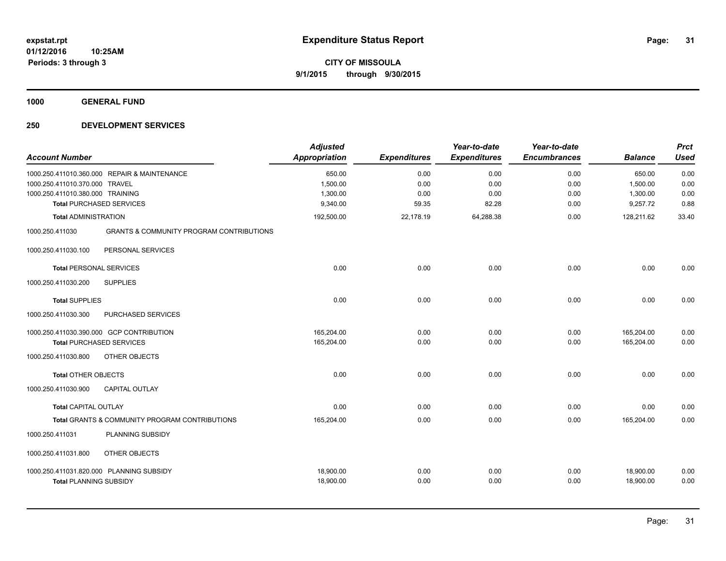**1000 GENERAL FUND**

| <b>Account Number</b>            |                                                     | <b>Adjusted</b><br><b>Appropriation</b> | <b>Expenditures</b> | Year-to-date<br><b>Expenditures</b> | Year-to-date<br><b>Encumbrances</b> | <b>Balance</b> | <b>Prct</b><br><b>Used</b> |
|----------------------------------|-----------------------------------------------------|-----------------------------------------|---------------------|-------------------------------------|-------------------------------------|----------------|----------------------------|
|                                  | 1000.250.411010.360.000 REPAIR & MAINTENANCE        | 650.00                                  | 0.00                | 0.00                                | 0.00                                | 650.00         | 0.00                       |
| 1000.250.411010.370.000 TRAVEL   |                                                     | 1,500.00                                | 0.00                | 0.00                                | 0.00                                | 1,500.00       | 0.00                       |
| 1000.250.411010.380.000 TRAINING |                                                     | 1,300.00                                | 0.00                | 0.00                                | 0.00                                | 1,300.00       | 0.00                       |
|                                  | <b>Total PURCHASED SERVICES</b>                     | 9,340.00                                | 59.35               | 82.28                               | 0.00                                | 9,257.72       | 0.88                       |
| <b>Total ADMINISTRATION</b>      |                                                     | 192,500.00                              | 22,178.19           | 64,288.38                           | 0.00                                | 128,211.62     | 33.40                      |
| 1000.250.411030                  | <b>GRANTS &amp; COMMUNITY PROGRAM CONTRIBUTIONS</b> |                                         |                     |                                     |                                     |                |                            |
| 1000.250.411030.100              | PERSONAL SERVICES                                   |                                         |                     |                                     |                                     |                |                            |
| <b>Total PERSONAL SERVICES</b>   |                                                     | 0.00                                    | 0.00                | 0.00                                | 0.00                                | 0.00           | 0.00                       |
| 1000.250.411030.200              | <b>SUPPLIES</b>                                     |                                         |                     |                                     |                                     |                |                            |
| <b>Total SUPPLIES</b>            |                                                     | 0.00                                    | 0.00                | 0.00                                | 0.00                                | 0.00           | 0.00                       |
| 1000.250.411030.300              | PURCHASED SERVICES                                  |                                         |                     |                                     |                                     |                |                            |
|                                  | 1000.250.411030.390.000 GCP CONTRIBUTION            | 165,204.00                              | 0.00                | 0.00                                | 0.00                                | 165,204.00     | 0.00                       |
|                                  | <b>Total PURCHASED SERVICES</b>                     | 165,204.00                              | 0.00                | 0.00                                | 0.00                                | 165,204.00     | 0.00                       |
| 1000.250.411030.800              | OTHER OBJECTS                                       |                                         |                     |                                     |                                     |                |                            |
| <b>Total OTHER OBJECTS</b>       |                                                     | 0.00                                    | 0.00                | 0.00                                | 0.00                                | 0.00           | 0.00                       |
| 1000.250.411030.900              | <b>CAPITAL OUTLAY</b>                               |                                         |                     |                                     |                                     |                |                            |
| <b>Total CAPITAL OUTLAY</b>      |                                                     | 0.00                                    | 0.00                | 0.00                                | 0.00                                | 0.00           | 0.00                       |
|                                  | Total GRANTS & COMMUNITY PROGRAM CONTRIBUTIONS      | 165,204.00                              | 0.00                | 0.00                                | 0.00                                | 165,204.00     | 0.00                       |
| 1000.250.411031                  | PLANNING SUBSIDY                                    |                                         |                     |                                     |                                     |                |                            |
| 1000.250.411031.800              | OTHER OBJECTS                                       |                                         |                     |                                     |                                     |                |                            |
|                                  | 1000.250.411031.820.000 PLANNING SUBSIDY            | 18,900.00                               | 0.00                | 0.00                                | 0.00                                | 18,900.00      | 0.00                       |
| <b>Total PLANNING SUBSIDY</b>    |                                                     | 18,900.00                               | 0.00                | 0.00                                | 0.00                                | 18,900.00      | 0.00                       |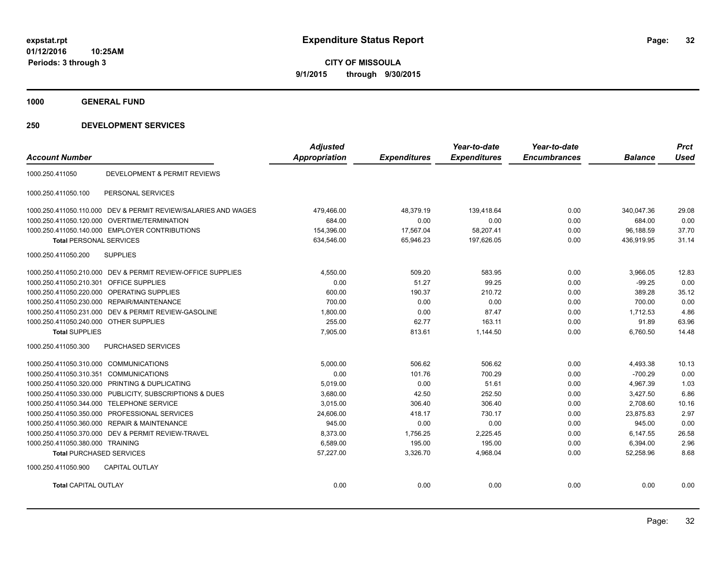**CITY OF MISSOULA 9/1/2015 through 9/30/2015**

**1000 GENERAL FUND**

| <b>Account Number</b>                   |                                                                | <b>Adjusted</b><br><b>Appropriation</b> | <b>Expenditures</b> | Year-to-date<br><b>Expenditures</b> | Year-to-date<br><b>Encumbrances</b> | <b>Balance</b> | <b>Prct</b><br><b>Used</b> |
|-----------------------------------------|----------------------------------------------------------------|-----------------------------------------|---------------------|-------------------------------------|-------------------------------------|----------------|----------------------------|
| 1000.250.411050                         | DEVELOPMENT & PERMIT REVIEWS                                   |                                         |                     |                                     |                                     |                |                            |
| 1000.250.411050.100                     | PERSONAL SERVICES                                              |                                         |                     |                                     |                                     |                |                            |
|                                         | 1000.250.411050.110.000 DEV & PERMIT REVIEW/SALARIES AND WAGES | 479,466.00                              | 48,379.19           | 139,418.64                          | 0.00                                | 340,047.36     | 29.08                      |
| 1000.250.411050.120.000                 | <b>OVERTIME/TERMINATION</b>                                    | 684.00                                  | 0.00                | 0.00                                | 0.00                                | 684.00         | 0.00                       |
|                                         | 1000.250.411050.140.000 EMPLOYER CONTRIBUTIONS                 | 154,396.00                              | 17.567.04           | 58,207.41                           | 0.00                                | 96.188.59      | 37.70                      |
| <b>Total PERSONAL SERVICES</b>          |                                                                | 634,546.00                              | 65,946.23           | 197,626.05                          | 0.00                                | 436,919.95     | 31.14                      |
| 1000.250.411050.200                     | <b>SUPPLIES</b>                                                |                                         |                     |                                     |                                     |                |                            |
|                                         | 1000.250.411050.210.000 DEV & PERMIT REVIEW-OFFICE SUPPLIES    | 4.550.00                                | 509.20              | 583.95                              | 0.00                                | 3,966.05       | 12.83                      |
| 1000.250.411050.210.301 OFFICE SUPPLIES |                                                                | 0.00                                    | 51.27               | 99.25                               | 0.00                                | $-99.25$       | 0.00                       |
| 1000.250.411050.220.000                 | OPERATING SUPPLIES                                             | 600.00                                  | 190.37              | 210.72                              | 0.00                                | 389.28         | 35.12                      |
| 1000.250.411050.230.000                 | <b>REPAIR/MAINTENANCE</b>                                      | 700.00                                  | 0.00                | 0.00                                | 0.00                                | 700.00         | 0.00                       |
| 1000.250.411050.231.000                 | DEV & PERMIT REVIEW-GASOLINE                                   | 1,800.00                                | 0.00                | 87.47                               | 0.00                                | 1,712.53       | 4.86                       |
| 1000.250.411050.240.000 OTHER SUPPLIES  |                                                                | 255.00                                  | 62.77               | 163.11                              | 0.00                                | 91.89          | 63.96                      |
| <b>Total SUPPLIES</b>                   |                                                                | 7.905.00                                | 813.61              | 1,144.50                            | 0.00                                | 6.760.50       | 14.48                      |
| 1000.250.411050.300                     | PURCHASED SERVICES                                             |                                         |                     |                                     |                                     |                |                            |
| 1000.250.411050.310.000 COMMUNICATIONS  |                                                                | 5,000.00                                | 506.62              | 506.62                              | 0.00                                | 4.493.38       | 10.13                      |
| 1000.250.411050.310.351 COMMUNICATIONS  |                                                                | 0.00                                    | 101.76              | 700.29                              | 0.00                                | $-700.29$      | 0.00                       |
|                                         | 1000.250.411050.320.000 PRINTING & DUPLICATING                 | 5.019.00                                | 0.00                | 51.61                               | 0.00                                | 4.967.39       | 1.03                       |
|                                         | 1000.250.411050.330.000 PUBLICITY, SUBSCRIPTIONS & DUES        | 3,680.00                                | 42.50               | 252.50                              | 0.00                                | 3,427.50       | 6.86                       |
| 1000.250.411050.344.000                 | <b>TELEPHONE SERVICE</b>                                       | 3.015.00                                | 306.40              | 306.40                              | 0.00                                | 2.708.60       | 10.16                      |
| 1000.250.411050.350.000                 | PROFESSIONAL SERVICES                                          | 24.606.00                               | 418.17              | 730.17                              | 0.00                                | 23.875.83      | 2.97                       |
| 1000.250.411050.360.000                 | <b>REPAIR &amp; MAINTENANCE</b>                                | 945.00                                  | 0.00                | 0.00                                | 0.00                                | 945.00         | 0.00                       |
| 1000.250.411050.370.000                 | DEV & PERMIT REVIEW-TRAVEL                                     | 8.373.00                                | 1.756.25            | 2.225.45                            | 0.00                                | 6.147.55       | 26.58                      |
| 1000.250.411050.380.000 TRAINING        |                                                                | 6,589.00                                | 195.00              | 195.00                              | 0.00                                | 6,394.00       | 2.96                       |
| <b>Total PURCHASED SERVICES</b>         |                                                                | 57,227.00                               | 3,326.70            | 4,968.04                            | 0.00                                | 52,258.96      | 8.68                       |
| 1000.250.411050.900                     | <b>CAPITAL OUTLAY</b>                                          |                                         |                     |                                     |                                     |                |                            |
| <b>Total CAPITAL OUTLAY</b>             |                                                                | 0.00                                    | 0.00                | 0.00                                | 0.00                                | 0.00           | 0.00                       |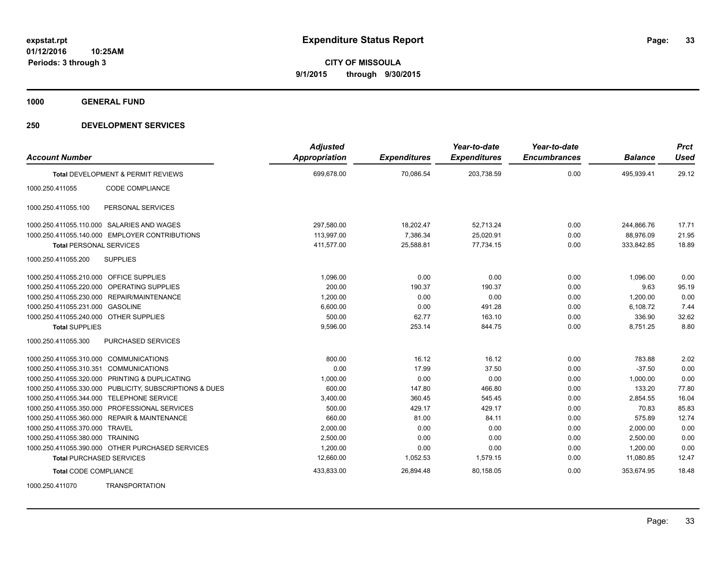**1000 GENERAL FUND**

| <b>Account Number</b>                   |                                                         | <b>Adjusted</b><br>Appropriation | <b>Expenditures</b> | Year-to-date<br><b>Expenditures</b> | Year-to-date<br><b>Encumbrances</b> | <b>Balance</b> | <b>Prct</b><br><b>Used</b> |
|-----------------------------------------|---------------------------------------------------------|----------------------------------|---------------------|-------------------------------------|-------------------------------------|----------------|----------------------------|
|                                         | Total DEVELOPMENT & PERMIT REVIEWS                      | 699,678.00                       | 70,086.54           | 203,738.59                          | 0.00                                | 495,939.41     | 29.12                      |
| 1000.250.411055                         | CODE COMPLIANCE                                         |                                  |                     |                                     |                                     |                |                            |
| 1000.250.411055.100                     | PERSONAL SERVICES                                       |                                  |                     |                                     |                                     |                |                            |
|                                         | 1000.250.411055.110.000 SALARIES AND WAGES              | 297,580.00                       | 18,202.47           | 52,713.24                           | 0.00                                | 244,866.76     | 17.71                      |
|                                         | 1000.250.411055.140.000 EMPLOYER CONTRIBUTIONS          | 113,997.00                       | 7,386.34            | 25,020.91                           | 0.00                                | 88,976.09      | 21.95                      |
| <b>Total PERSONAL SERVICES</b>          |                                                         | 411,577.00                       | 25,588.81           | 77,734.15                           | 0.00                                | 333,842.85     | 18.89                      |
| 1000.250.411055.200                     | <b>SUPPLIES</b>                                         |                                  |                     |                                     |                                     |                |                            |
| 1000.250.411055.210.000 OFFICE SUPPLIES |                                                         | 1,096.00                         | 0.00                | 0.00                                | 0.00                                | 1,096.00       | 0.00                       |
|                                         | 1000.250.411055.220.000 OPERATING SUPPLIES              | 200.00                           | 190.37              | 190.37                              | 0.00                                | 9.63           | 95.19                      |
|                                         | 1000.250.411055.230.000 REPAIR/MAINTENANCE              | 1.200.00                         | 0.00                | 0.00                                | 0.00                                | 1,200.00       | 0.00                       |
| 1000.250.411055.231.000 GASOLINE        |                                                         | 6.600.00                         | 0.00                | 491.28                              | 0.00                                | 6,108.72       | 7.44                       |
| 1000.250.411055.240.000 OTHER SUPPLIES  |                                                         | 500.00                           | 62.77               | 163.10                              | 0.00                                | 336.90         | 32.62                      |
| <b>Total SUPPLIES</b>                   |                                                         | 9,596.00                         | 253.14              | 844.75                              | 0.00                                | 8,751.25       | 8.80                       |
| 1000.250.411055.300                     | PURCHASED SERVICES                                      |                                  |                     |                                     |                                     |                |                            |
| 1000.250.411055.310.000 COMMUNICATIONS  |                                                         | 800.00                           | 16.12               | 16.12                               | 0.00                                | 783.88         | 2.02                       |
| 1000.250.411055.310.351 COMMUNICATIONS  |                                                         | 0.00                             | 17.99               | 37.50                               | 0.00                                | $-37.50$       | 0.00                       |
|                                         | 1000.250.411055.320.000 PRINTING & DUPLICATING          | 1,000.00                         | 0.00                | 0.00                                | 0.00                                | 1,000.00       | 0.00                       |
|                                         | 1000.250.411055.330.000 PUBLICITY, SUBSCRIPTIONS & DUES | 600.00                           | 147.80              | 466.80                              | 0.00                                | 133.20         | 77.80                      |
|                                         | 1000.250.411055.344.000 TELEPHONE SERVICE               | 3,400.00                         | 360.45              | 545.45                              | 0.00                                | 2,854.55       | 16.04                      |
|                                         | 1000.250.411055.350.000 PROFESSIONAL SERVICES           | 500.00                           | 429.17              | 429.17                              | 0.00                                | 70.83          | 85.83                      |
|                                         | 1000.250.411055.360.000 REPAIR & MAINTENANCE            | 660.00                           | 81.00               | 84.11                               | 0.00                                | 575.89         | 12.74                      |
| 1000.250.411055.370.000 TRAVEL          |                                                         | 2,000.00                         | 0.00                | 0.00                                | 0.00                                | 2,000.00       | 0.00                       |
| 1000.250.411055.380.000 TRAINING        |                                                         | 2,500.00                         | 0.00                | 0.00                                | 0.00                                | 2,500.00       | 0.00                       |
|                                         | 1000.250.411055.390.000 OTHER PURCHASED SERVICES        | 1,200.00                         | 0.00                | 0.00                                | 0.00                                | 1,200.00       | 0.00                       |
| <b>Total PURCHASED SERVICES</b>         |                                                         | 12,660.00                        | 1,052.53            | 1,579.15                            | 0.00                                | 11,080.85      | 12.47                      |
| <b>Total CODE COMPLIANCE</b>            |                                                         | 433,833.00                       | 26,894.48           | 80,158.05                           | 0.00                                | 353,674.95     | 18.48                      |
| 1000.250.411070                         | <b>TRANSPORTATION</b>                                   |                                  |                     |                                     |                                     |                |                            |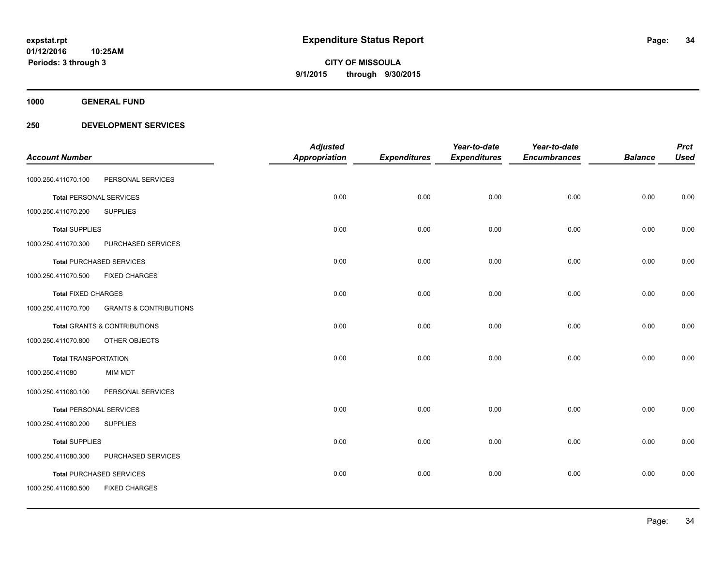**Periods: 3 through 3**

**CITY OF MISSOULA 9/1/2015 through 9/30/2015**

**1000 GENERAL FUND**

|                                |                                         | <b>Adjusted</b> |                     | Year-to-date        | Year-to-date        |                | <b>Prct</b> |
|--------------------------------|-----------------------------------------|-----------------|---------------------|---------------------|---------------------|----------------|-------------|
| <b>Account Number</b>          |                                         | Appropriation   | <b>Expenditures</b> | <b>Expenditures</b> | <b>Encumbrances</b> | <b>Balance</b> | <b>Used</b> |
| 1000.250.411070.100            | PERSONAL SERVICES                       |                 |                     |                     |                     |                |             |
| <b>Total PERSONAL SERVICES</b> |                                         | 0.00            | 0.00                | 0.00                | 0.00                | 0.00           | 0.00        |
| 1000.250.411070.200            | <b>SUPPLIES</b>                         |                 |                     |                     |                     |                |             |
| <b>Total SUPPLIES</b>          |                                         | 0.00            | 0.00                | 0.00                | 0.00                | 0.00           | 0.00        |
| 1000.250.411070.300            | PURCHASED SERVICES                      |                 |                     |                     |                     |                |             |
|                                | <b>Total PURCHASED SERVICES</b>         | 0.00            | 0.00                | 0.00                | 0.00                | 0.00           | 0.00        |
| 1000.250.411070.500            | <b>FIXED CHARGES</b>                    |                 |                     |                     |                     |                |             |
| <b>Total FIXED CHARGES</b>     |                                         | 0.00            | 0.00                | 0.00                | 0.00                | 0.00           | 0.00        |
| 1000.250.411070.700            | <b>GRANTS &amp; CONTRIBUTIONS</b>       |                 |                     |                     |                     |                |             |
|                                | <b>Total GRANTS &amp; CONTRIBUTIONS</b> | 0.00            | 0.00                | 0.00                | 0.00                | 0.00           | 0.00        |
| 1000.250.411070.800            | OTHER OBJECTS                           |                 |                     |                     |                     |                |             |
| <b>Total TRANSPORTATION</b>    |                                         | 0.00            | 0.00                | 0.00                | 0.00                | 0.00           | 0.00        |
| 1000.250.411080                | <b>MIM MDT</b>                          |                 |                     |                     |                     |                |             |
| 1000.250.411080.100            | PERSONAL SERVICES                       |                 |                     |                     |                     |                |             |
| <b>Total PERSONAL SERVICES</b> |                                         | 0.00            | 0.00                | 0.00                | 0.00                | 0.00           | 0.00        |
| 1000.250.411080.200            | <b>SUPPLIES</b>                         |                 |                     |                     |                     |                |             |
| <b>Total SUPPLIES</b>          |                                         | 0.00            | 0.00                | 0.00                | 0.00                | 0.00           | 0.00        |
| 1000.250.411080.300            | PURCHASED SERVICES                      |                 |                     |                     |                     |                |             |
|                                | <b>Total PURCHASED SERVICES</b>         | 0.00            | 0.00                | 0.00                | 0.00                | 0.00           | 0.00        |
| 1000.250.411080.500            | <b>FIXED CHARGES</b>                    |                 |                     |                     |                     |                |             |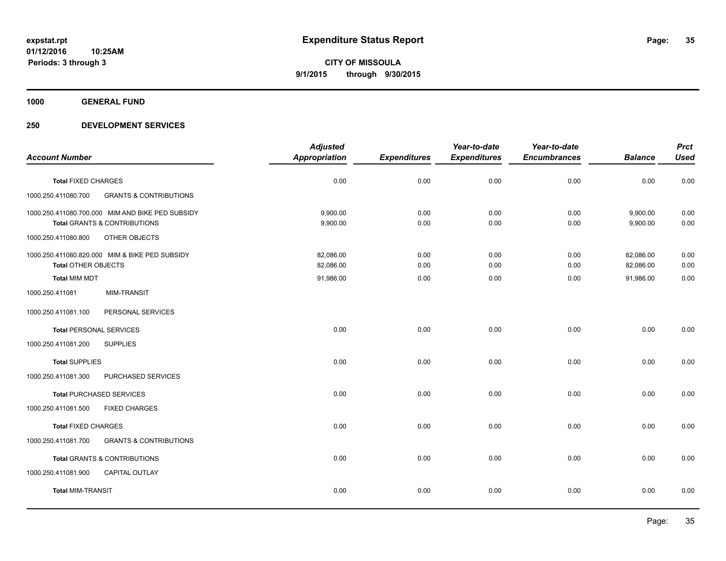**1000 GENERAL FUND**

|                                |                                                  | <b>Adjusted</b>      |                     | Year-to-date        | Year-to-date        |                | <b>Prct</b> |
|--------------------------------|--------------------------------------------------|----------------------|---------------------|---------------------|---------------------|----------------|-------------|
| <b>Account Number</b>          |                                                  | <b>Appropriation</b> | <b>Expenditures</b> | <b>Expenditures</b> | <b>Encumbrances</b> | <b>Balance</b> | <b>Used</b> |
| <b>Total FIXED CHARGES</b>     |                                                  | 0.00                 | 0.00                | 0.00                | 0.00                | 0.00           | 0.00        |
| 1000.250.411080.700            | <b>GRANTS &amp; CONTRIBUTIONS</b>                |                      |                     |                     |                     |                |             |
|                                | 1000.250.411080.700.000 MIM AND BIKE PED SUBSIDY | 9.900.00             | 0.00                | 0.00                | 0.00                | 9,900.00       | 0.00        |
|                                | <b>Total GRANTS &amp; CONTRIBUTIONS</b>          | 9,900.00             | 0.00                | 0.00                | 0.00                | 9,900.00       | 0.00        |
| 1000.250.411080.800            | OTHER OBJECTS                                    |                      |                     |                     |                     |                |             |
|                                | 1000.250.411080.820.000 MIM & BIKE PED SUBSIDY   | 82,086.00            | 0.00                | 0.00                | 0.00                | 82,086.00      | 0.00        |
| <b>Total OTHER OBJECTS</b>     |                                                  | 82,086.00            | 0.00                | 0.00                | 0.00                | 82,086.00      | 0.00        |
| <b>Total MIM MDT</b>           |                                                  | 91,986.00            | 0.00                | 0.00                | 0.00                | 91,986.00      | 0.00        |
| 1000.250.411081                | <b>MIM-TRANSIT</b>                               |                      |                     |                     |                     |                |             |
| 1000.250.411081.100            | PERSONAL SERVICES                                |                      |                     |                     |                     |                |             |
| <b>Total PERSONAL SERVICES</b> |                                                  | 0.00                 | 0.00                | 0.00                | 0.00                | 0.00           | 0.00        |
| 1000.250.411081.200            | <b>SUPPLIES</b>                                  |                      |                     |                     |                     |                |             |
| <b>Total SUPPLIES</b>          |                                                  | 0.00                 | 0.00                | 0.00                | 0.00                | 0.00           | 0.00        |
| 1000.250.411081.300            | PURCHASED SERVICES                               |                      |                     |                     |                     |                |             |
|                                | <b>Total PURCHASED SERVICES</b>                  | 0.00                 | 0.00                | 0.00                | 0.00                | 0.00           | 0.00        |
| 1000.250.411081.500            | <b>FIXED CHARGES</b>                             |                      |                     |                     |                     |                |             |
| <b>Total FIXED CHARGES</b>     |                                                  | 0.00                 | 0.00                | 0.00                | 0.00                | 0.00           | 0.00        |
| 1000.250.411081.700            | <b>GRANTS &amp; CONTRIBUTIONS</b>                |                      |                     |                     |                     |                |             |
|                                | <b>Total GRANTS &amp; CONTRIBUTIONS</b>          | 0.00                 | 0.00                | 0.00                | 0.00                | 0.00           | 0.00        |
| 1000.250.411081.900            | <b>CAPITAL OUTLAY</b>                            |                      |                     |                     |                     |                |             |
| <b>Total MIM-TRANSIT</b>       |                                                  | 0.00                 | 0.00                | 0.00                | 0.00                | 0.00           | 0.00        |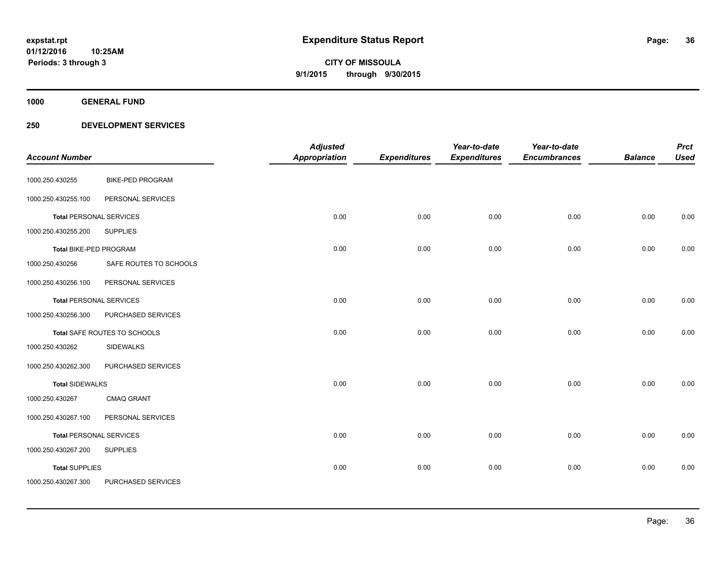**1000 GENERAL FUND**

| <b>Account Number</b>          |                         | <b>Adjusted</b><br><b>Appropriation</b> | <b>Expenditures</b> | Year-to-date<br><b>Expenditures</b> | Year-to-date<br><b>Encumbrances</b> | <b>Balance</b> | <b>Prct</b><br><b>Used</b> |
|--------------------------------|-------------------------|-----------------------------------------|---------------------|-------------------------------------|-------------------------------------|----------------|----------------------------|
| 1000.250.430255                | <b>BIKE-PED PROGRAM</b> |                                         |                     |                                     |                                     |                |                            |
| 1000.250.430255.100            | PERSONAL SERVICES       |                                         |                     |                                     |                                     |                |                            |
| Total PERSONAL SERVICES        |                         | 0.00                                    | 0.00                | 0.00                                | 0.00                                | 0.00           | 0.00                       |
| 1000.250.430255.200            | <b>SUPPLIES</b>         |                                         |                     |                                     |                                     |                |                            |
| Total BIKE-PED PROGRAM         |                         | 0.00                                    | 0.00                | 0.00                                | 0.00                                | 0.00           | 0.00                       |
| 1000.250.430256                | SAFE ROUTES TO SCHOOLS  |                                         |                     |                                     |                                     |                |                            |
| 1000.250.430256.100            | PERSONAL SERVICES       |                                         |                     |                                     |                                     |                |                            |
| <b>Total PERSONAL SERVICES</b> |                         | 0.00                                    | 0.00                | 0.00                                | 0.00                                | 0.00           | 0.00                       |
| 1000.250.430256.300            | PURCHASED SERVICES      |                                         |                     |                                     |                                     |                |                            |
| Total SAFE ROUTES TO SCHOOLS   |                         | 0.00                                    | 0.00                | 0.00                                | 0.00                                | 0.00           | 0.00                       |
| 1000.250.430262                | <b>SIDEWALKS</b>        |                                         |                     |                                     |                                     |                |                            |
| 1000.250.430262.300            | PURCHASED SERVICES      |                                         |                     |                                     |                                     |                |                            |
| <b>Total SIDEWALKS</b>         |                         | 0.00                                    | 0.00                | 0.00                                | 0.00                                | 0.00           | 0.00                       |
| 1000.250.430267                | <b>CMAQ GRANT</b>       |                                         |                     |                                     |                                     |                |                            |
| 1000.250.430267.100            | PERSONAL SERVICES       |                                         |                     |                                     |                                     |                |                            |
| <b>Total PERSONAL SERVICES</b> |                         | 0.00                                    | 0.00                | 0.00                                | 0.00                                | 0.00           | 0.00                       |
| 1000.250.430267.200            | <b>SUPPLIES</b>         |                                         |                     |                                     |                                     |                |                            |
| <b>Total SUPPLIES</b>          |                         | 0.00                                    | 0.00                | 0.00                                | 0.00                                | 0.00           | 0.00                       |
| 1000.250.430267.300            | PURCHASED SERVICES      |                                         |                     |                                     |                                     |                |                            |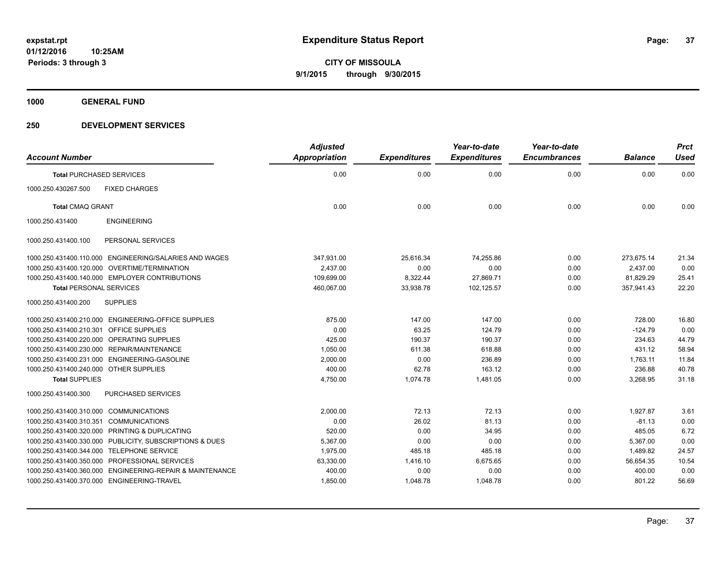**1000 GENERAL FUND**

### **250 DEVELOPMENT SERVICES**

|                                                          | <b>Adjusted</b>      |                     | Year-to-date        | Year-to-date        |                | <b>Prct</b> |
|----------------------------------------------------------|----------------------|---------------------|---------------------|---------------------|----------------|-------------|
| <b>Account Number</b>                                    | <b>Appropriation</b> | <b>Expenditures</b> | <b>Expenditures</b> | <b>Encumbrances</b> | <b>Balance</b> | <b>Used</b> |
| <b>Total PURCHASED SERVICES</b>                          | 0.00                 | 0.00                | 0.00                | 0.00                | 0.00           | 0.00        |
| <b>FIXED CHARGES</b><br>1000.250.430267.500              |                      |                     |                     |                     |                |             |
| <b>Total CMAQ GRANT</b>                                  | 0.00                 | 0.00                | 0.00                | 0.00                | 0.00           | 0.00        |
| <b>ENGINEERING</b><br>1000.250.431400                    |                      |                     |                     |                     |                |             |
| PERSONAL SERVICES<br>1000.250.431400.100                 |                      |                     |                     |                     |                |             |
| 1000.250.431400.110.000 ENGINEERING/SALARIES AND WAGES   | 347,931.00           | 25,616.34           | 74,255.86           | 0.00                | 273,675.14     | 21.34       |
| 1000.250.431400.120.000 OVERTIME/TERMINATION             | 2,437.00             | 0.00                | 0.00                | 0.00                | 2,437.00       | 0.00        |
| 1000.250.431400.140.000 EMPLOYER CONTRIBUTIONS           | 109.699.00           | 8,322.44            | 27,869.71           | 0.00                | 81,829.29      | 25.41       |
| <b>Total PERSONAL SERVICES</b>                           | 460.067.00           | 33.938.78           | 102.125.57          | 0.00                | 357.941.43     | 22.20       |
| 1000.250.431400.200<br><b>SUPPLIES</b>                   |                      |                     |                     |                     |                |             |
| 1000.250.431400.210.000 ENGINEERING-OFFICE SUPPLIES      | 875.00               | 147.00              | 147.00              | 0.00                | 728.00         | 16.80       |
| 1000.250.431400.210.301<br>OFFICE SUPPLIES               | 0.00                 | 63.25               | 124.79              | 0.00                | $-124.79$      | 0.00        |
| 1000.250.431400.220.000 OPERATING SUPPLIES               | 425.00               | 190.37              | 190.37              | 0.00                | 234.63         | 44.79       |
| 1000.250.431400.230.000 REPAIR/MAINTENANCE               | 1,050.00             | 611.38              | 618.88              | 0.00                | 431.12         | 58.94       |
| 1000.250.431400.231.000 ENGINEERING-GASOLINE             | 2,000.00             | 0.00                | 236.89              | 0.00                | 1,763.11       | 11.84       |
| 1000.250.431400.240.000 OTHER SUPPLIES                   | 400.00               | 62.78               | 163.12              | 0.00                | 236.88         | 40.78       |
| <b>Total SUPPLIES</b>                                    | 4,750.00             | 1,074.78            | 1,481.05            | 0.00                | 3,268.95       | 31.18       |
| 1000.250.431400.300<br>PURCHASED SERVICES                |                      |                     |                     |                     |                |             |
| 1000.250.431400.310.000 COMMUNICATIONS                   | 2,000.00             | 72.13               | 72.13               | 0.00                | 1,927.87       | 3.61        |
| 1000.250.431400.310.351<br><b>COMMUNICATIONS</b>         | 0.00                 | 26.02               | 81.13               | 0.00                | $-81.13$       | 0.00        |
| 1000.250.431400.320.000 PRINTING & DUPLICATING           | 520.00               | 0.00                | 34.95               | 0.00                | 485.05         | 6.72        |
| 1000.250.431400.330.000 PUBLICITY, SUBSCRIPTIONS & DUES  | 5,367.00             | 0.00                | 0.00                | 0.00                | 5,367.00       | 0.00        |
| 1000.250.431400.344.000 TELEPHONE SERVICE                | 1,975.00             | 485.18              | 485.18              | 0.00                | 1,489.82       | 24.57       |
| 1000.250.431400.350.000 PROFESSIONAL SERVICES            | 63,330.00            | 1,416.10            | 6,675.65            | 0.00                | 56,654.35      | 10.54       |
| 1000.250.431400.360.000 ENGINEERING-REPAIR & MAINTENANCE | 400.00               | 0.00                | 0.00                | 0.00                | 400.00         | 0.00        |
| 1000.250.431400.370.000 ENGINEERING-TRAVEL               | 1,850.00             | 1,048.78            | 1,048.78            | 0.00                | 801.22         | 56.69       |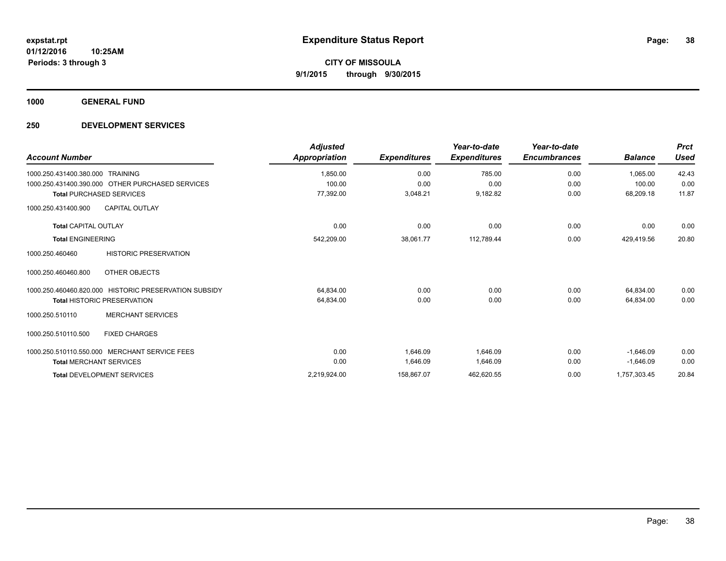**1000 GENERAL FUND**

### **250 DEVELOPMENT SERVICES**

| <b>Account Number</b>                                 | <b>Adjusted</b><br>Appropriation | <b>Expenditures</b> | Year-to-date<br><b>Expenditures</b> | Year-to-date<br><b>Encumbrances</b> | <b>Balance</b> | <b>Prct</b><br><b>Used</b> |
|-------------------------------------------------------|----------------------------------|---------------------|-------------------------------------|-------------------------------------|----------------|----------------------------|
| 1000.250.431400.380.000 TRAINING                      | 1,850.00                         | 0.00                | 785.00                              | 0.00                                | 1.065.00       | 42.43                      |
| 1000.250.431400.390.000 OTHER PURCHASED SERVICES      | 100.00                           | 0.00                | 0.00                                | 0.00                                | 100.00         | 0.00                       |
| <b>Total PURCHASED SERVICES</b>                       | 77,392.00                        | 3,048.21            | 9,182.82                            | 0.00                                | 68,209.18      | 11.87                      |
| <b>CAPITAL OUTLAY</b><br>1000.250.431400.900          |                                  |                     |                                     |                                     |                |                            |
| <b>Total CAPITAL OUTLAY</b>                           | 0.00                             | 0.00                | 0.00                                | 0.00                                | 0.00           | 0.00                       |
| <b>Total ENGINEERING</b>                              | 542,209.00                       | 38,061.77           | 112,789.44                          | 0.00                                | 429,419.56     | 20.80                      |
| <b>HISTORIC PRESERVATION</b><br>1000.250.460460       |                                  |                     |                                     |                                     |                |                            |
| 1000.250.460460.800<br>OTHER OBJECTS                  |                                  |                     |                                     |                                     |                |                            |
| 1000.250.460460.820.000 HISTORIC PRESERVATION SUBSIDY | 64,834.00                        | 0.00                | 0.00                                | 0.00                                | 64,834.00      | 0.00                       |
| <b>Total HISTORIC PRESERVATION</b>                    | 64,834.00                        | 0.00                | 0.00                                | 0.00                                | 64,834.00      | 0.00                       |
| <b>MERCHANT SERVICES</b><br>1000.250.510110           |                                  |                     |                                     |                                     |                |                            |
| <b>FIXED CHARGES</b><br>1000.250.510110.500           |                                  |                     |                                     |                                     |                |                            |
| 1000.250.510110.550.000 MERCHANT SERVICE FEES         | 0.00                             | 1.646.09            | 1,646.09                            | 0.00                                | $-1.646.09$    | 0.00                       |
| <b>Total MERCHANT SERVICES</b>                        | 0.00                             | 1,646.09            | 1,646.09                            | 0.00                                | $-1,646.09$    | 0.00                       |
| <b>Total DEVELOPMENT SERVICES</b>                     | 2,219,924.00                     | 158,867.07          | 462,620.55                          | 0.00                                | 1,757,303.45   | 20.84                      |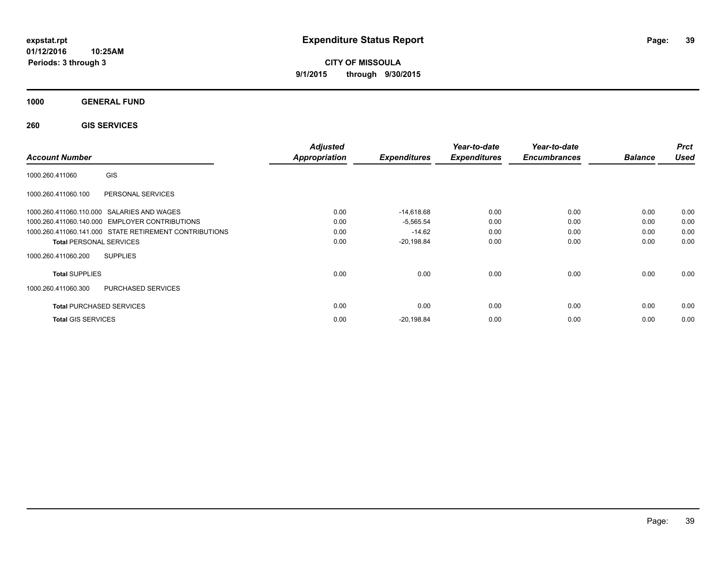**CITY OF MISSOULA 9/1/2015 through 9/30/2015**

**1000 GENERAL FUND**

**260 GIS SERVICES**

| <b>Account Number</b>                                  | <b>Adjusted</b><br>Appropriation | <b>Expenditures</b> | Year-to-date<br><b>Expenditures</b> | Year-to-date<br><b>Encumbrances</b> | <b>Balance</b> | <b>Prct</b><br><b>Used</b> |
|--------------------------------------------------------|----------------------------------|---------------------|-------------------------------------|-------------------------------------|----------------|----------------------------|
| <b>GIS</b><br>1000.260.411060                          |                                  |                     |                                     |                                     |                |                            |
| 1000.260.411060.100<br>PERSONAL SERVICES               |                                  |                     |                                     |                                     |                |                            |
| 1000.260.411060.110.000 SALARIES AND WAGES             | 0.00                             | $-14,618.68$        | 0.00                                | 0.00                                | 0.00           | 0.00                       |
| 1000.260.411060.140.000 EMPLOYER CONTRIBUTIONS         | 0.00                             | $-5,565.54$         | 0.00                                | 0.00                                | 0.00           | 0.00                       |
| 1000.260.411060.141.000 STATE RETIREMENT CONTRIBUTIONS | 0.00                             | $-14.62$            | 0.00                                | 0.00                                | 0.00           | 0.00                       |
| <b>Total PERSONAL SERVICES</b>                         | 0.00                             | $-20,198.84$        | 0.00                                | 0.00                                | 0.00           | 0.00                       |
| 1000.260.411060.200<br><b>SUPPLIES</b>                 |                                  |                     |                                     |                                     |                |                            |
| <b>Total SUPPLIES</b>                                  | 0.00                             | 0.00                | 0.00                                | 0.00                                | 0.00           | 0.00                       |
| <b>PURCHASED SERVICES</b><br>1000.260.411060.300       |                                  |                     |                                     |                                     |                |                            |
| <b>Total PURCHASED SERVICES</b>                        | 0.00                             | 0.00                | 0.00                                | 0.00                                | 0.00           | 0.00                       |
| <b>Total GIS SERVICES</b>                              | 0.00                             | $-20,198.84$        | 0.00                                | 0.00                                | 0.00           | 0.00                       |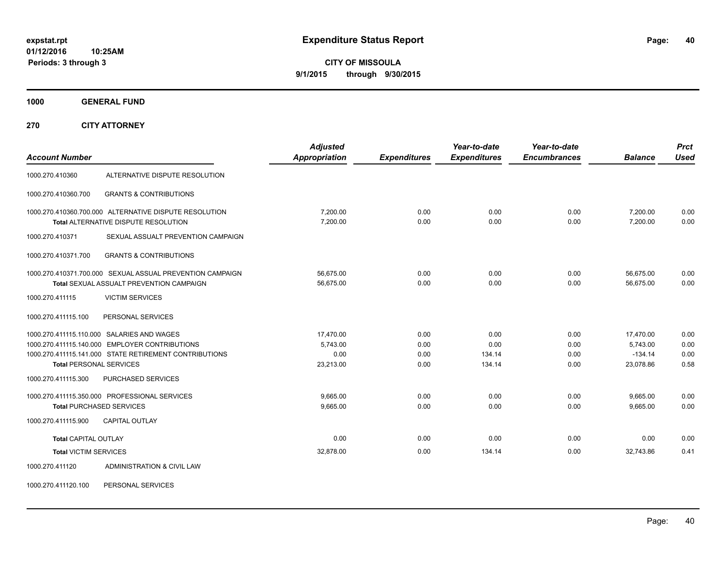**CITY OF MISSOULA 9/1/2015 through 9/30/2015**

**1000 GENERAL FUND**

**270 CITY ATTORNEY**

| <b>Account Number</b>          |                                                                                                                                                        | <b>Adjusted</b><br>Appropriation           | <b>Expenditures</b>          | Year-to-date<br><b>Expenditures</b> | Year-to-date<br><b>Encumbrances</b> | <b>Balance</b>                                  | <b>Prct</b><br><b>Used</b>   |
|--------------------------------|--------------------------------------------------------------------------------------------------------------------------------------------------------|--------------------------------------------|------------------------------|-------------------------------------|-------------------------------------|-------------------------------------------------|------------------------------|
| 1000.270.410360                | ALTERNATIVE DISPUTE RESOLUTION                                                                                                                         |                                            |                              |                                     |                                     |                                                 |                              |
| 1000.270.410360.700            | <b>GRANTS &amp; CONTRIBUTIONS</b>                                                                                                                      |                                            |                              |                                     |                                     |                                                 |                              |
|                                | 1000.270.410360.700.000 ALTERNATIVE DISPUTE RESOLUTION<br>Total ALTERNATIVE DISPUTE RESOLUTION                                                         | 7,200.00<br>7,200.00                       | 0.00<br>0.00                 | 0.00<br>0.00                        | 0.00<br>0.00                        | 7,200.00<br>7.200.00                            | 0.00<br>0.00                 |
| 1000.270.410371                | SEXUAL ASSUALT PREVENTION CAMPAIGN                                                                                                                     |                                            |                              |                                     |                                     |                                                 |                              |
| 1000.270.410371.700            | <b>GRANTS &amp; CONTRIBUTIONS</b>                                                                                                                      |                                            |                              |                                     |                                     |                                                 |                              |
|                                | 1000.270.410371.700.000 SEXUAL ASSUAL PREVENTION CAMPAIGN<br><b>Total SEXUAL ASSUALT PREVENTION CAMPAIGN</b>                                           | 56,675.00<br>56,675.00                     | 0.00<br>0.00                 | 0.00<br>0.00                        | 0.00<br>0.00                        | 56,675.00<br>56,675.00                          | 0.00<br>0.00                 |
| 1000.270.411115                | <b>VICTIM SERVICES</b>                                                                                                                                 |                                            |                              |                                     |                                     |                                                 |                              |
| 1000.270.411115.100            | PERSONAL SERVICES                                                                                                                                      |                                            |                              |                                     |                                     |                                                 |                              |
| <b>Total PERSONAL SERVICES</b> | 1000.270.411115.110.000 SALARIES AND WAGES<br>1000.270.411115.140.000 EMPLOYER CONTRIBUTIONS<br>1000.270.411115.141.000 STATE RETIREMENT CONTRIBUTIONS | 17,470.00<br>5,743.00<br>0.00<br>23,213.00 | 0.00<br>0.00<br>0.00<br>0.00 | 0.00<br>0.00<br>134.14<br>134.14    | 0.00<br>0.00<br>0.00<br>0.00        | 17,470.00<br>5,743.00<br>$-134.14$<br>23,078.86 | 0.00<br>0.00<br>0.00<br>0.58 |
| 1000.270.411115.300            | PURCHASED SERVICES                                                                                                                                     |                                            |                              |                                     |                                     |                                                 |                              |
| 1000.270.411115.900            | 1000.270.411115.350.000 PROFESSIONAL SERVICES<br><b>Total PURCHASED SERVICES</b><br><b>CAPITAL OUTLAY</b>                                              | 9,665.00<br>9,665.00                       | 0.00<br>0.00                 | 0.00<br>0.00                        | 0.00<br>0.00                        | 9,665.00<br>9,665.00                            | 0.00<br>0.00                 |
| <b>Total CAPITAL OUTLAY</b>    |                                                                                                                                                        | 0.00                                       | 0.00                         | 0.00                                | 0.00                                | 0.00                                            | 0.00                         |
| <b>Total VICTIM SERVICES</b>   |                                                                                                                                                        | 32,878.00                                  | 0.00                         | 134.14                              | 0.00                                | 32,743.86                                       | 0.41                         |
| 1000.270.411120                | ADMINISTRATION & CIVIL LAW                                                                                                                             |                                            |                              |                                     |                                     |                                                 |                              |

1000.270.411120.100 PERSONAL SERVICES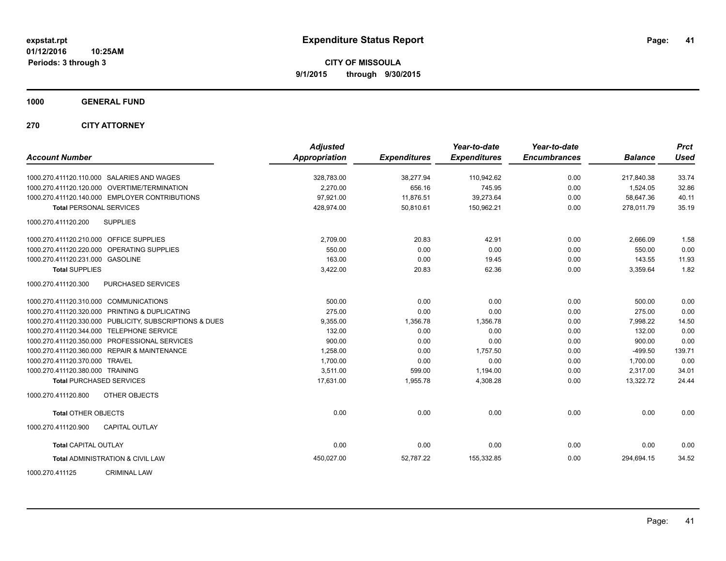**CITY OF MISSOULA 9/1/2015 through 9/30/2015**

**1000 GENERAL FUND**

**270 CITY ATTORNEY**

| <b>Account Number</b>                   |                                                         | <b>Adjusted</b><br><b>Appropriation</b> | <b>Expenditures</b> | Year-to-date<br><b>Expenditures</b> | Year-to-date<br><b>Encumbrances</b> | <b>Balance</b> | <b>Prct</b><br><b>Used</b> |
|-----------------------------------------|---------------------------------------------------------|-----------------------------------------|---------------------|-------------------------------------|-------------------------------------|----------------|----------------------------|
|                                         | 1000.270.411120.110.000 SALARIES AND WAGES              | 328,783.00                              | 38,277.94           | 110,942.62                          | 0.00                                | 217,840.38     | 33.74                      |
|                                         | 1000.270.411120.120.000 OVERTIME/TERMINATION            | 2.270.00                                | 656.16              | 745.95                              | 0.00                                | 1,524.05       | 32.86                      |
|                                         | 1000.270.411120.140.000 EMPLOYER CONTRIBUTIONS          | 97,921.00                               | 11,876.51           | 39,273.64                           | 0.00                                | 58,647.36      | 40.11                      |
| <b>Total PERSONAL SERVICES</b>          |                                                         | 428,974.00                              | 50,810.61           | 150,962.21                          | 0.00                                | 278,011.79     | 35.19                      |
| 1000.270.411120.200                     | <b>SUPPLIES</b>                                         |                                         |                     |                                     |                                     |                |                            |
| 1000.270.411120.210.000 OFFICE SUPPLIES |                                                         | 2,709.00                                | 20.83               | 42.91                               | 0.00                                | 2,666.09       | 1.58                       |
|                                         | 1000.270.411120.220.000 OPERATING SUPPLIES              | 550.00                                  | 0.00                | 0.00                                | 0.00                                | 550.00         | 0.00                       |
| 1000.270.411120.231.000 GASOLINE        |                                                         | 163.00                                  | 0.00                | 19.45                               | 0.00                                | 143.55         | 11.93                      |
| <b>Total SUPPLIES</b>                   |                                                         | 3,422.00                                | 20.83               | 62.36                               | 0.00                                | 3,359.64       | 1.82                       |
| 1000.270.411120.300                     | PURCHASED SERVICES                                      |                                         |                     |                                     |                                     |                |                            |
| 1000.270.411120.310.000 COMMUNICATIONS  |                                                         | 500.00                                  | 0.00                | 0.00                                | 0.00                                | 500.00         | 0.00                       |
|                                         | 1000.270.411120.320.000 PRINTING & DUPLICATING          | 275.00                                  | 0.00                | 0.00                                | 0.00                                | 275.00         | 0.00                       |
|                                         | 1000.270.411120.330.000 PUBLICITY, SUBSCRIPTIONS & DUES | 9,355.00                                | 1,356.78            | 1,356.78                            | 0.00                                | 7,998.22       | 14.50                      |
|                                         | 1000.270.411120.344.000 TELEPHONE SERVICE               | 132.00                                  | 0.00                | 0.00                                | 0.00                                | 132.00         | 0.00                       |
|                                         | 1000.270.411120.350.000 PROFESSIONAL SERVICES           | 900.00                                  | 0.00                | 0.00                                | 0.00                                | 900.00         | 0.00                       |
|                                         | 1000.270.411120.360.000 REPAIR & MAINTENANCE            | 1,258.00                                | 0.00                | 1,757.50                            | 0.00                                | $-499.50$      | 139.71                     |
| 1000.270.411120.370.000 TRAVEL          |                                                         | 1,700.00                                | 0.00                | 0.00                                | 0.00                                | 1,700.00       | 0.00                       |
| 1000.270.411120.380.000 TRAINING        |                                                         | 3,511.00                                | 599.00              | 1,194.00                            | 0.00                                | 2,317.00       | 34.01                      |
|                                         | <b>Total PURCHASED SERVICES</b>                         | 17,631.00                               | 1,955.78            | 4,308.28                            | 0.00                                | 13,322.72      | 24.44                      |
| 1000.270.411120.800                     | <b>OTHER OBJECTS</b>                                    |                                         |                     |                                     |                                     |                |                            |
| <b>Total OTHER OBJECTS</b>              |                                                         | 0.00                                    | 0.00                | 0.00                                | 0.00                                | 0.00           | 0.00                       |
| 1000.270.411120.900                     | <b>CAPITAL OUTLAY</b>                                   |                                         |                     |                                     |                                     |                |                            |
| <b>Total CAPITAL OUTLAY</b>             |                                                         | 0.00                                    | 0.00                | 0.00                                | 0.00                                | 0.00           | 0.00                       |
|                                         | <b>Total ADMINISTRATION &amp; CIVIL LAW</b>             | 450,027.00                              | 52,787.22           | 155,332.85                          | 0.00                                | 294,694.15     | 34.52                      |
| 1000.270.411125                         | <b>CRIMINAL LAW</b>                                     |                                         |                     |                                     |                                     |                |                            |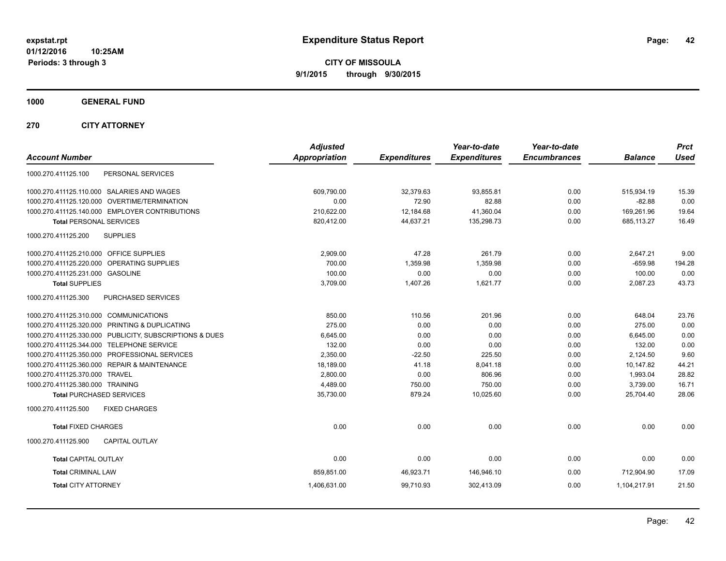**CITY OF MISSOULA 9/1/2015 through 9/30/2015**

**1000 GENERAL FUND**

**270 CITY ATTORNEY**

| <b>Account Number</b>                                   | <b>Adjusted</b><br><b>Appropriation</b> | <b>Expenditures</b> | Year-to-date<br><b>Expenditures</b> | Year-to-date<br><b>Encumbrances</b> | <b>Balance</b> | <b>Prct</b><br><b>Used</b> |
|---------------------------------------------------------|-----------------------------------------|---------------------|-------------------------------------|-------------------------------------|----------------|----------------------------|
| 1000.270.411125.100<br>PERSONAL SERVICES                |                                         |                     |                                     |                                     |                |                            |
| 1000.270.411125.110.000 SALARIES AND WAGES              | 609.790.00                              | 32,379.63           | 93,855.81                           | 0.00                                | 515,934.19     | 15.39                      |
| 1000.270.411125.120.000 OVERTIME/TERMINATION            | 0.00                                    | 72.90               | 82.88                               | 0.00                                | $-82.88$       | 0.00                       |
| 1000.270.411125.140.000 EMPLOYER CONTRIBUTIONS          | 210,622.00                              | 12,184.68           | 41,360.04                           | 0.00                                | 169,261.96     | 19.64                      |
| <b>Total PERSONAL SERVICES</b>                          | 820,412.00                              | 44,637.21           | 135,298.73                          | 0.00                                | 685,113.27     | 16.49                      |
| <b>SUPPLIES</b><br>1000.270.411125.200                  |                                         |                     |                                     |                                     |                |                            |
| 1000.270.411125.210.000 OFFICE SUPPLIES                 | 2,909.00                                | 47.28               | 261.79                              | 0.00                                | 2,647.21       | 9.00                       |
| 1000.270.411125.220.000<br>OPERATING SUPPLIES           | 700.00                                  | 1,359.98            | 1,359.98                            | 0.00                                | $-659.98$      | 194.28                     |
| 1000.270.411125.231.000<br><b>GASOLINE</b>              | 100.00                                  | 0.00                | 0.00                                | 0.00                                | 100.00         | 0.00                       |
| <b>Total SUPPLIES</b>                                   | 3,709.00                                | 1,407.26            | 1,621.77                            | 0.00                                | 2,087.23       | 43.73                      |
| PURCHASED SERVICES<br>1000.270.411125.300               |                                         |                     |                                     |                                     |                |                            |
| 1000.270.411125.310.000 COMMUNICATIONS                  | 850.00                                  | 110.56              | 201.96                              | 0.00                                | 648.04         | 23.76                      |
| 1000.270.411125.320.000 PRINTING & DUPLICATING          | 275.00                                  | 0.00                | 0.00                                | 0.00                                | 275.00         | 0.00                       |
| 1000.270.411125.330.000 PUBLICITY, SUBSCRIPTIONS & DUES | 6,645.00                                | 0.00                | 0.00                                | 0.00                                | 6,645.00       | 0.00                       |
| 1000.270.411125.344.000 TELEPHONE SERVICE               | 132.00                                  | 0.00                | 0.00                                | 0.00                                | 132.00         | 0.00                       |
| 1000.270.411125.350.000 PROFESSIONAL SERVICES           | 2,350.00                                | $-22.50$            | 225.50                              | 0.00                                | 2,124.50       | 9.60                       |
| 1000.270.411125.360.000 REPAIR & MAINTENANCE            | 18,189.00                               | 41.18               | 8,041.18                            | 0.00                                | 10,147.82      | 44.21                      |
| 1000.270.411125.370.000 TRAVEL                          | 2.800.00                                | 0.00                | 806.96                              | 0.00                                | 1,993.04       | 28.82                      |
| 1000.270.411125.380.000 TRAINING                        | 4,489.00                                | 750.00              | 750.00                              | 0.00                                | 3,739.00       | 16.71                      |
| <b>Total PURCHASED SERVICES</b>                         | 35,730.00                               | 879.24              | 10,025.60                           | 0.00                                | 25,704.40      | 28.06                      |
| 1000.270.411125.500<br><b>FIXED CHARGES</b>             |                                         |                     |                                     |                                     |                |                            |
| <b>Total FIXED CHARGES</b>                              | 0.00                                    | 0.00                | 0.00                                | 0.00                                | 0.00           | 0.00                       |
| 1000.270.411125.900<br><b>CAPITAL OUTLAY</b>            |                                         |                     |                                     |                                     |                |                            |
| <b>Total CAPITAL OUTLAY</b>                             | 0.00                                    | 0.00                | 0.00                                | 0.00                                | 0.00           | 0.00                       |
| <b>Total CRIMINAL LAW</b>                               | 859,851.00                              | 46,923.71           | 146,946.10                          | 0.00                                | 712,904.90     | 17.09                      |
| <b>Total CITY ATTORNEY</b>                              | 1,406,631.00                            | 99,710.93           | 302,413.09                          | 0.00                                | 1,104,217.91   | 21.50                      |
|                                                         |                                         |                     |                                     |                                     |                |                            |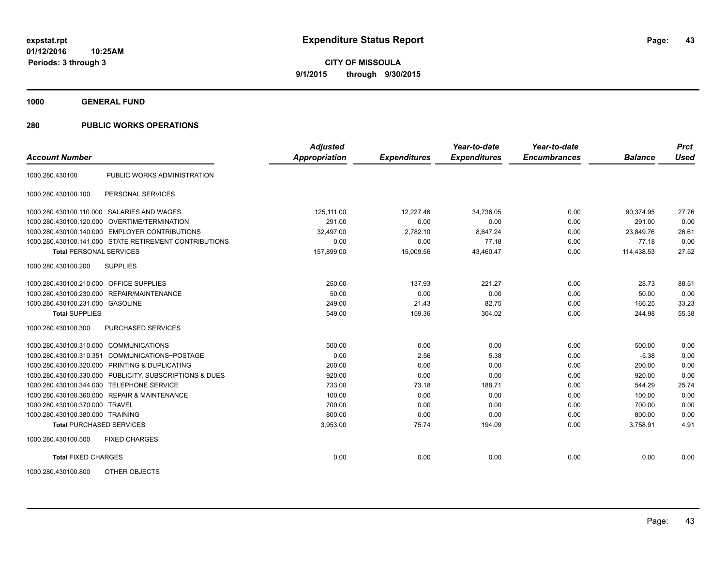**1000 GENERAL FUND**

|                                         |                                                         | <b>Adjusted</b>      |                     | Year-to-date        | Year-to-date        |                | <b>Prct</b> |
|-----------------------------------------|---------------------------------------------------------|----------------------|---------------------|---------------------|---------------------|----------------|-------------|
| <b>Account Number</b>                   |                                                         | <b>Appropriation</b> | <b>Expenditures</b> | <b>Expenditures</b> | <b>Encumbrances</b> | <b>Balance</b> | <b>Used</b> |
| 1000.280.430100                         | PUBLIC WORKS ADMINISTRATION                             |                      |                     |                     |                     |                |             |
| 1000.280.430100.100                     | PERSONAL SERVICES                                       |                      |                     |                     |                     |                |             |
|                                         | 1000.280.430100.110.000 SALARIES AND WAGES              | 125,111.00           | 12,227.46           | 34,736.05           | 0.00                | 90,374.95      | 27.76       |
|                                         | 1000.280.430100.120.000 OVERTIME/TERMINATION            | 291.00               | 0.00                | 0.00                | 0.00                | 291.00         | 0.00        |
|                                         | 1000.280.430100.140.000 EMPLOYER CONTRIBUTIONS          | 32,497.00            | 2,782.10            | 8,647.24            | 0.00                | 23,849.76      | 26.61       |
|                                         | 1000.280.430100.141.000 STATE RETIREMENT CONTRIBUTIONS  | 0.00                 | 0.00                | 77.18               | 0.00                | $-77.18$       | 0.00        |
| <b>Total PERSONAL SERVICES</b>          |                                                         | 157,899.00           | 15,009.56           | 43,460.47           | 0.00                | 114,438.53     | 27.52       |
| 1000.280.430100.200                     | <b>SUPPLIES</b>                                         |                      |                     |                     |                     |                |             |
| 1000.280.430100.210.000 OFFICE SUPPLIES |                                                         | 250.00               | 137.93              | 221.27              | 0.00                | 28.73          | 88.51       |
| 1000.280.430100.230.000                 | REPAIR/MAINTENANCE                                      | 50.00                | 0.00                | 0.00                | 0.00                | 50.00          | 0.00        |
| 1000.280.430100.231.000 GASOLINE        |                                                         | 249.00               | 21.43               | 82.75               | 0.00                | 166.25         | 33.23       |
| <b>Total SUPPLIES</b>                   |                                                         | 549.00               | 159.36              | 304.02              | 0.00                | 244.98         | 55.38       |
| 1000.280.430100.300                     | <b>PURCHASED SERVICES</b>                               |                      |                     |                     |                     |                |             |
| 1000.280.430100.310.000 COMMUNICATIONS  |                                                         | 500.00               | 0.00                | 0.00                | 0.00                | 500.00         | 0.00        |
| 1000.280.430100.310.351                 | COMMUNICATIONS~POSTAGE                                  | 0.00                 | 2.56                | 5.38                | 0.00                | $-5.38$        | 0.00        |
|                                         | 1000.280.430100.320.000 PRINTING & DUPLICATING          | 200.00               | 0.00                | 0.00                | 0.00                | 200.00         | 0.00        |
|                                         | 1000.280.430100.330.000 PUBLICITY, SUBSCRIPTIONS & DUES | 920.00               | 0.00                | 0.00                | 0.00                | 920.00         | 0.00        |
|                                         | 1000.280.430100.344.000 TELEPHONE SERVICE               | 733.00               | 73.18               | 188.71              | 0.00                | 544.29         | 25.74       |
|                                         | 1000.280.430100.360.000 REPAIR & MAINTENANCE            | 100.00               | 0.00                | 0.00                | 0.00                | 100.00         | 0.00        |
| 1000.280.430100.370.000 TRAVEL          |                                                         | 700.00               | 0.00                | 0.00                | 0.00                | 700.00         | 0.00        |
| 1000.280.430100.380.000 TRAINING        |                                                         | 800.00               | 0.00                | 0.00                | 0.00                | 800.00         | 0.00        |
| <b>Total PURCHASED SERVICES</b>         |                                                         | 3,953.00             | 75.74               | 194.09              | 0.00                | 3,758.91       | 4.91        |
| 1000.280.430100.500                     | <b>FIXED CHARGES</b>                                    |                      |                     |                     |                     |                |             |
| <b>Total FIXED CHARGES</b>              |                                                         | 0.00                 | 0.00                | 0.00                | 0.00                | 0.00           | 0.00        |
| 1000.280.430100.800                     | OTHER OBJECTS                                           |                      |                     |                     |                     |                |             |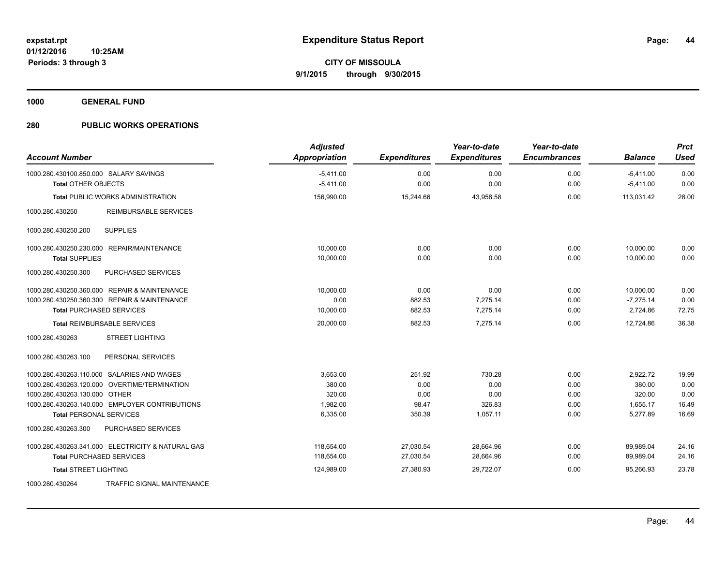**1000 GENERAL FUND**

| <b>Account Number</b>                                | <b>Adjusted</b><br><b>Appropriation</b> | <b>Expenditures</b> | Year-to-date<br><b>Expenditures</b> | Year-to-date<br><b>Encumbrances</b> | <b>Balance</b> | <b>Prct</b><br><b>Used</b> |
|------------------------------------------------------|-----------------------------------------|---------------------|-------------------------------------|-------------------------------------|----------------|----------------------------|
| 1000.280.430100.850.000 SALARY SAVINGS               | $-5.411.00$                             | 0.00                | 0.00                                | 0.00                                | $-5.411.00$    | 0.00                       |
| <b>Total OTHER OBJECTS</b>                           | $-5,411.00$                             | 0.00                | 0.00                                | 0.00                                | $-5,411.00$    | 0.00                       |
| <b>Total PUBLIC WORKS ADMINISTRATION</b>             | 156,990.00                              | 15,244.66           | 43,958.58                           | 0.00                                | 113.031.42     | 28.00                      |
| 1000.280.430250<br><b>REIMBURSABLE SERVICES</b>      |                                         |                     |                                     |                                     |                |                            |
| <b>SUPPLIES</b><br>1000.280.430250.200               |                                         |                     |                                     |                                     |                |                            |
| <b>REPAIR/MAINTENANCE</b><br>1000.280.430250.230.000 | 10,000.00                               | 0.00                | 0.00                                | 0.00                                | 10,000.00      | 0.00                       |
| <b>Total SUPPLIES</b>                                | 10,000.00                               | 0.00                | 0.00                                | 0.00                                | 10.000.00      | 0.00                       |
| 1000.280.430250.300<br>PURCHASED SERVICES            |                                         |                     |                                     |                                     |                |                            |
| 1000.280.430250.360.000 REPAIR & MAINTENANCE         | 10,000.00                               | 0.00                | 0.00                                | 0.00                                | 10,000.00      | 0.00                       |
| 1000.280.430250.360.300 REPAIR & MAINTENANCE         | 0.00                                    | 882.53              | 7,275.14                            | 0.00                                | $-7,275.14$    | 0.00                       |
| <b>Total PURCHASED SERVICES</b>                      | 10,000.00                               | 882.53              | 7,275.14                            | 0.00                                | 2,724.86       | 72.75                      |
| <b>Total REIMBURSABLE SERVICES</b>                   | 20,000.00                               | 882.53              | 7,275.14                            | 0.00                                | 12,724.86      | 36.38                      |
| <b>STREET LIGHTING</b><br>1000.280.430263            |                                         |                     |                                     |                                     |                |                            |
| PERSONAL SERVICES<br>1000.280.430263.100             |                                         |                     |                                     |                                     |                |                            |
| 1000.280.430263.110.000 SALARIES AND WAGES           | 3,653.00                                | 251.92              | 730.28                              | 0.00                                | 2,922.72       | 19.99                      |
| 1000.280.430263.120.000 OVERTIME/TERMINATION         | 380.00                                  | 0.00                | 0.00                                | 0.00                                | 380.00         | 0.00                       |
| 1000.280.430263.130.000 OTHER                        | 320.00                                  | 0.00                | 0.00                                | 0.00                                | 320.00         | 0.00                       |
| 1000.280.430263.140.000 EMPLOYER CONTRIBUTIONS       | 1,982.00                                | 98.47               | 326.83                              | 0.00                                | 1,655.17       | 16.49                      |
| <b>Total PERSONAL SERVICES</b>                       | 6,335.00                                | 350.39              | 1,057.11                            | 0.00                                | 5,277.89       | 16.69                      |
| 1000.280.430263.300<br>PURCHASED SERVICES            |                                         |                     |                                     |                                     |                |                            |
| 1000.280.430263.341.000 ELECTRICITY & NATURAL GAS    | 118,654.00                              | 27,030.54           | 28,664.96                           | 0.00                                | 89,989.04      | 24.16                      |
| <b>Total PURCHASED SERVICES</b>                      | 118,654.00                              | 27,030.54           | 28,664.96                           | 0.00                                | 89,989.04      | 24.16                      |
| <b>Total STREET LIGHTING</b>                         | 124,989.00                              | 27,380.93           | 29,722.07                           | 0.00                                | 95,266.93      | 23.78                      |
| <b>TRAFFIC SIGNAL MAINTENANCE</b><br>1000.280.430264 |                                         |                     |                                     |                                     |                |                            |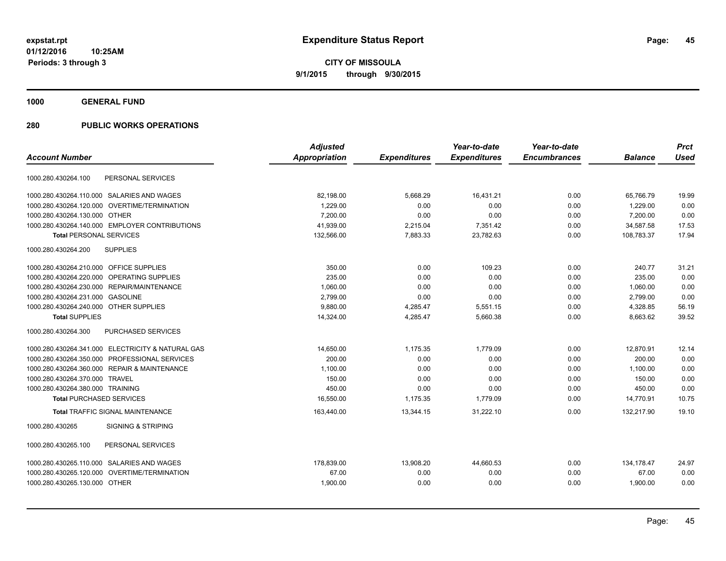**1000 GENERAL FUND**

|                                                   | <b>Adjusted</b> |                     | Year-to-date        | Year-to-date        |                | <b>Prct</b> |
|---------------------------------------------------|-----------------|---------------------|---------------------|---------------------|----------------|-------------|
| <b>Account Number</b>                             | Appropriation   | <b>Expenditures</b> | <b>Expenditures</b> | <b>Encumbrances</b> | <b>Balance</b> | <b>Used</b> |
| PERSONAL SERVICES<br>1000.280.430264.100          |                 |                     |                     |                     |                |             |
| 1000.280.430264.110.000 SALARIES AND WAGES        | 82,198.00       | 5,668.29            | 16,431.21           | 0.00                | 65,766.79      | 19.99       |
| 1000.280.430264.120.000 OVERTIME/TERMINATION      | 1.229.00        | 0.00                | 0.00                | 0.00                | 1.229.00       | 0.00        |
| 1000.280.430264.130.000 OTHER                     | 7.200.00        | 0.00                | 0.00                | 0.00                | 7.200.00       | 0.00        |
| 1000.280.430264.140.000 EMPLOYER CONTRIBUTIONS    | 41,939.00       | 2,215.04            | 7,351.42            | 0.00                | 34,587.58      | 17.53       |
| <b>Total PERSONAL SERVICES</b>                    | 132,566.00      | 7,883.33            | 23,782.63           | 0.00                | 108,783.37     | 17.94       |
| 1000.280.430264.200<br><b>SUPPLIES</b>            |                 |                     |                     |                     |                |             |
| 1000.280.430264.210.000 OFFICE SUPPLIES           | 350.00          | 0.00                | 109.23              | 0.00                | 240.77         | 31.21       |
| OPERATING SUPPLIES<br>1000.280.430264.220.000     | 235.00          | 0.00                | 0.00                | 0.00                | 235.00         | 0.00        |
| 1000.280.430264.230.000 REPAIR/MAINTENANCE        | 1,060.00        | 0.00                | 0.00                | 0.00                | 1,060.00       | 0.00        |
| 1000.280.430264.231.000 GASOLINE                  | 2,799.00        | 0.00                | 0.00                | 0.00                | 2,799.00       | 0.00        |
| 1000.280.430264.240.000 OTHER SUPPLIES            | 9.880.00        | 4,285.47            | 5,551.15            | 0.00                | 4,328.85       | 56.19       |
| <b>Total SUPPLIES</b>                             | 14,324.00       | 4,285.47            | 5,660.38            | 0.00                | 8,663.62       | 39.52       |
| PURCHASED SERVICES<br>1000.280.430264.300         |                 |                     |                     |                     |                |             |
| 1000.280.430264.341.000 ELECTRICITY & NATURAL GAS | 14,650.00       | 1,175.35            | 1.779.09            | 0.00                | 12,870.91      | 12.14       |
| 1000.280.430264.350.000 PROFESSIONAL SERVICES     | 200.00          | 0.00                | 0.00                | 0.00                | 200.00         | 0.00        |
| 1000.280.430264.360.000 REPAIR & MAINTENANCE      | 1,100.00        | 0.00                | 0.00                | 0.00                | 1,100.00       | 0.00        |
| 1000.280.430264.370.000 TRAVEL                    | 150.00          | 0.00                | 0.00                | 0.00                | 150.00         | 0.00        |
| 1000.280.430264.380.000 TRAINING                  | 450.00          | 0.00                | 0.00                | 0.00                | 450.00         | 0.00        |
| <b>Total PURCHASED SERVICES</b>                   | 16,550.00       | 1,175.35            | 1,779.09            | 0.00                | 14,770.91      | 10.75       |
| <b>Total TRAFFIC SIGNAL MAINTENANCE</b>           | 163,440.00      | 13,344.15           | 31,222.10           | 0.00                | 132,217.90     | 19.10       |
| 1000.280.430265<br><b>SIGNING &amp; STRIPING</b>  |                 |                     |                     |                     |                |             |
| 1000.280.430265.100<br>PERSONAL SERVICES          |                 |                     |                     |                     |                |             |
| 1000.280.430265.110.000 SALARIES AND WAGES        | 178,839.00      | 13,908.20           | 44,660.53           | 0.00                | 134, 178.47    | 24.97       |
| OVERTIME/TERMINATION<br>1000.280.430265.120.000   | 67.00           | 0.00                | 0.00                | 0.00                | 67.00          | 0.00        |
| 1000.280.430265.130.000 OTHER                     | 1,900.00        | 0.00                | 0.00                | 0.00                | 1,900.00       | 0.00        |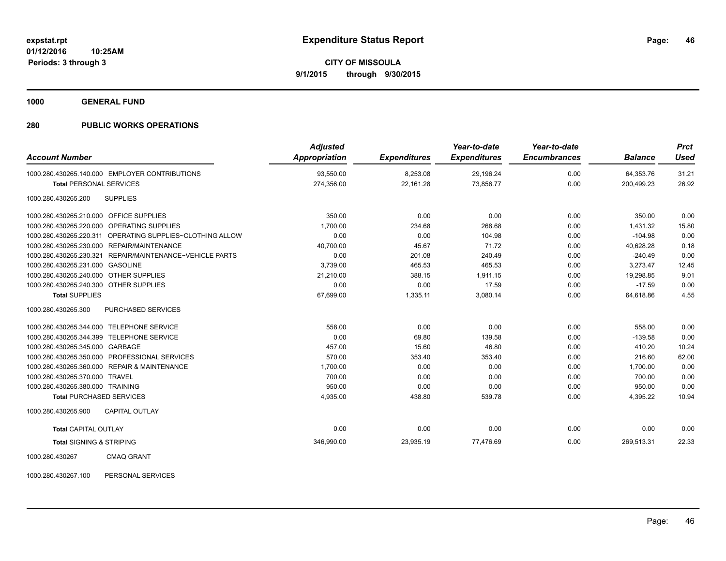**1000 GENERAL FUND**

### **280 PUBLIC WORKS OPERATIONS**

| <b>Account Number</b>                                       | <b>Adjusted</b><br><b>Appropriation</b> | <b>Expenditures</b> | Year-to-date<br><b>Expenditures</b> | Year-to-date<br><b>Encumbrances</b> | <b>Balance</b> | <b>Prct</b><br>Used |
|-------------------------------------------------------------|-----------------------------------------|---------------------|-------------------------------------|-------------------------------------|----------------|---------------------|
| 1000.280.430265.140.000 EMPLOYER CONTRIBUTIONS              | 93,550.00                               | 8,253.08            | 29,196.24                           | 0.00                                | 64,353.76      | 31.21               |
| <b>Total PERSONAL SERVICES</b>                              | 274,356.00                              | 22,161.28           | 73,856.77                           | 0.00                                | 200,499.23     | 26.92               |
| 1000.280.430265.200<br><b>SUPPLIES</b>                      |                                         |                     |                                     |                                     |                |                     |
| 1000.280.430265.210.000 OFFICE SUPPLIES                     | 350.00                                  | 0.00                | 0.00                                | 0.00                                | 350.00         | 0.00                |
| OPERATING SUPPLIES<br>1000.280.430265.220.000               | 1,700.00                                | 234.68              | 268.68                              | 0.00                                | 1.431.32       | 15.80               |
| 1000.280.430265.220.311 OPERATING SUPPLIES~CLOTHING ALLOW   | 0.00                                    | 0.00                | 104.98                              | 0.00                                | $-104.98$      | 0.00                |
| REPAIR/MAINTENANCE<br>1000.280.430265.230.000               | 40,700.00                               | 45.67               | 71.72                               | 0.00                                | 40,628.28      | 0.18                |
| REPAIR/MAINTENANCE~VEHICLE PARTS<br>1000.280.430265.230.321 | 0.00                                    | 201.08              | 240.49                              | 0.00                                | $-240.49$      | 0.00                |
| 1000.280.430265.231.000 GASOLINE                            | 3,739.00                                | 465.53              | 465.53                              | 0.00                                | 3.273.47       | 12.45               |
| 1000.280.430265.240.000 OTHER SUPPLIES                      | 21,210.00                               | 388.15              | 1,911.15                            | 0.00                                | 19,298.85      | 9.01                |
| 1000.280.430265.240.300 OTHER SUPPLIES                      | 0.00                                    | 0.00                | 17.59                               | 0.00                                | $-17.59$       | 0.00                |
| <b>Total SUPPLIES</b>                                       | 67,699.00                               | 1,335.11            | 3,080.14                            | 0.00                                | 64,618.86      | 4.55                |
| 1000.280.430265.300<br>PURCHASED SERVICES                   |                                         |                     |                                     |                                     |                |                     |
| 1000.280.430265.344.000<br><b>TELEPHONE SERVICE</b>         | 558.00                                  | 0.00                | 0.00                                | 0.00                                | 558.00         | 0.00                |
| <b>TELEPHONE SERVICE</b><br>1000.280.430265.344.399         | 0.00                                    | 69.80               | 139.58                              | 0.00                                | $-139.58$      | 0.00                |
| 1000.280.430265.345.000 GARBAGE                             | 457.00                                  | 15.60               | 46.80                               | 0.00                                | 410.20         | 10.24               |
| 1000.280.430265.350.000 PROFESSIONAL SERVICES               | 570.00                                  | 353.40              | 353.40                              | 0.00                                | 216.60         | 62.00               |
| 1000.280.430265.360.000 REPAIR & MAINTENANCE                | 1,700.00                                | 0.00                | 0.00                                | 0.00                                | 1.700.00       | 0.00                |
| 1000.280.430265.370.000 TRAVEL                              | 700.00                                  | 0.00                | 0.00                                | 0.00                                | 700.00         | 0.00                |
| 1000.280.430265.380.000 TRAINING                            | 950.00                                  | 0.00                | 0.00                                | 0.00                                | 950.00         | 0.00                |
| <b>Total PURCHASED SERVICES</b>                             | 4,935.00                                | 438.80              | 539.78                              | 0.00                                | 4,395.22       | 10.94               |
| 1000.280.430265.900<br><b>CAPITAL OUTLAY</b>                |                                         |                     |                                     |                                     |                |                     |
| <b>Total CAPITAL OUTLAY</b>                                 | 0.00                                    | 0.00                | 0.00                                | 0.00                                | 0.00           | 0.00                |
| <b>Total SIGNING &amp; STRIPING</b>                         | 346,990.00                              | 23,935.19           | 77,476.69                           | 0.00                                | 269,513.31     | 22.33               |
| 1000000100007<br>Q                                          |                                         |                     |                                     |                                     |                |                     |

1000.280.430267 CMAQ GRANT

1000.280.430267.100 PERSONAL SERVICES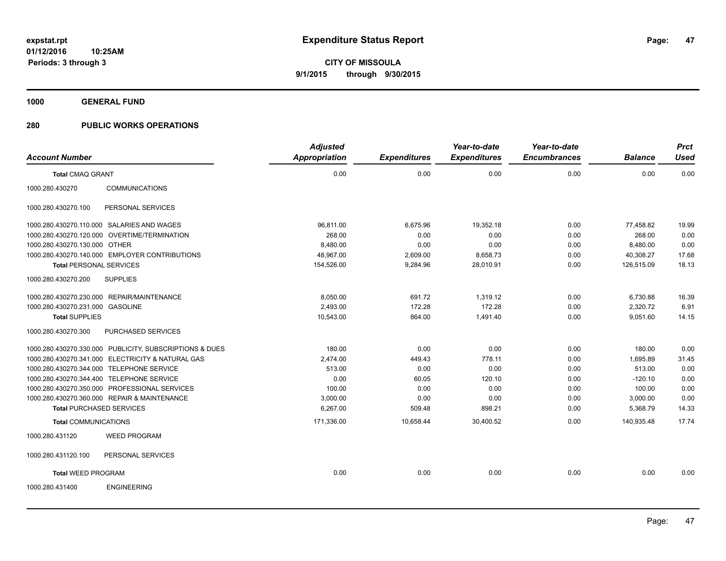**1000 GENERAL FUND**

|                                  |                                                         | <b>Adjusted</b> |                     | Year-to-date        | Year-to-date        |                | <b>Prct</b> |
|----------------------------------|---------------------------------------------------------|-----------------|---------------------|---------------------|---------------------|----------------|-------------|
| <b>Account Number</b>            |                                                         | Appropriation   | <b>Expenditures</b> | <b>Expenditures</b> | <b>Encumbrances</b> | <b>Balance</b> | <b>Used</b> |
| <b>Total CMAQ GRANT</b>          |                                                         | 0.00            | 0.00                | 0.00                | 0.00                | 0.00           | 0.00        |
| 1000.280.430270                  | <b>COMMUNICATIONS</b>                                   |                 |                     |                     |                     |                |             |
| 1000.280.430270.100              | PERSONAL SERVICES                                       |                 |                     |                     |                     |                |             |
|                                  | 1000.280.430270.110.000 SALARIES AND WAGES              | 96,811.00       | 6,675.96            | 19,352.18           | 0.00                | 77,458.82      | 19.99       |
|                                  | 1000.280.430270.120.000 OVERTIME/TERMINATION            | 268.00          | 0.00                | 0.00                | 0.00                | 268.00         | 0.00        |
| 1000.280.430270.130.000 OTHER    |                                                         | 8,480.00        | 0.00                | 0.00                | 0.00                | 8,480.00       | 0.00        |
|                                  | 1000.280.430270.140.000 EMPLOYER CONTRIBUTIONS          | 48,967.00       | 2,609.00            | 8,658.73            | 0.00                | 40,308.27      | 17.68       |
| <b>Total PERSONAL SERVICES</b>   |                                                         | 154,526.00      | 9,284.96            | 28,010.91           | 0.00                | 126,515.09     | 18.13       |
| 1000.280.430270.200              | <b>SUPPLIES</b>                                         |                 |                     |                     |                     |                |             |
|                                  | 1000.280.430270.230.000 REPAIR/MAINTENANCE              | 8,050.00        | 691.72              | 1.319.12            | 0.00                | 6,730.88       | 16.39       |
| 1000.280.430270.231.000 GASOLINE |                                                         | 2,493.00        | 172.28              | 172.28              | 0.00                | 2,320.72       | 6.91        |
| <b>Total SUPPLIES</b>            |                                                         | 10,543.00       | 864.00              | 1,491.40            | 0.00                | 9,051.60       | 14.15       |
| 1000.280.430270.300              | PURCHASED SERVICES                                      |                 |                     |                     |                     |                |             |
|                                  | 1000.280.430270.330.000 PUBLICITY, SUBSCRIPTIONS & DUES | 180.00          | 0.00                | 0.00                | 0.00                | 180.00         | 0.00        |
|                                  | 1000.280.430270.341.000 ELECTRICITY & NATURAL GAS       | 2,474.00        | 449.43              | 778.11              | 0.00                | 1,695.89       | 31.45       |
|                                  | 1000.280.430270.344.000 TELEPHONE SERVICE               | 513.00          | 0.00                | 0.00                | 0.00                | 513.00         | 0.00        |
|                                  | 1000.280.430270.344.400 TELEPHONE SERVICE               | 0.00            | 60.05               | 120.10              | 0.00                | $-120.10$      | 0.00        |
|                                  | 1000.280.430270.350.000 PROFESSIONAL SERVICES           | 100.00          | 0.00                | 0.00                | 0.00                | 100.00         | 0.00        |
|                                  | 1000.280.430270.360.000 REPAIR & MAINTENANCE            | 3,000.00        | 0.00                | 0.00                | 0.00                | 3,000.00       | 0.00        |
|                                  | <b>Total PURCHASED SERVICES</b>                         | 6.267.00        | 509.48              | 898.21              | 0.00                | 5,368.79       | 14.33       |
| <b>Total COMMUNICATIONS</b>      |                                                         | 171,336.00      | 10,658.44           | 30,400.52           | 0.00                | 140,935.48     | 17.74       |
| 1000.280.431120                  | <b>WEED PROGRAM</b>                                     |                 |                     |                     |                     |                |             |
| 1000.280.431120.100              | PERSONAL SERVICES                                       |                 |                     |                     |                     |                |             |
| <b>Total WEED PROGRAM</b>        |                                                         | 0.00            | 0.00                | 0.00                | 0.00                | 0.00           | 0.00        |
| 1000.280.431400                  | <b>ENGINEERING</b>                                      |                 |                     |                     |                     |                |             |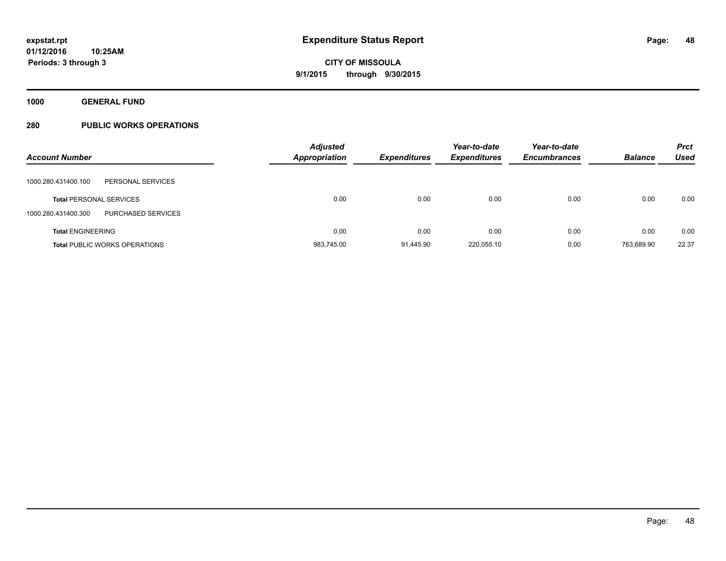**1000 GENERAL FUND**

| <b>Account Number</b>                     | <b>Adjusted</b><br><b>Appropriation</b> | <b>Expenditures</b> | Year-to-date<br><b>Expenditures</b> | Year-to-date<br><b>Encumbrances</b> | <b>Balance</b> | <b>Prct</b><br><b>Used</b> |
|-------------------------------------------|-----------------------------------------|---------------------|-------------------------------------|-------------------------------------|----------------|----------------------------|
| PERSONAL SERVICES<br>1000.280.431400.100  |                                         |                     |                                     |                                     |                |                            |
| <b>Total PERSONAL SERVICES</b>            | 0.00                                    | 0.00                | 0.00                                | 0.00                                | 0.00           | 0.00                       |
| PURCHASED SERVICES<br>1000.280.431400.300 |                                         |                     |                                     |                                     |                |                            |
| <b>Total ENGINEERING</b>                  | 0.00                                    | 0.00                | 0.00                                | 0.00                                | 0.00           | 0.00                       |
| <b>Total PUBLIC WORKS OPERATIONS</b>      | 983,745.00                              | 91.445.90           | 220.055.10                          | 0.00                                | 763.689.90     | 22.37                      |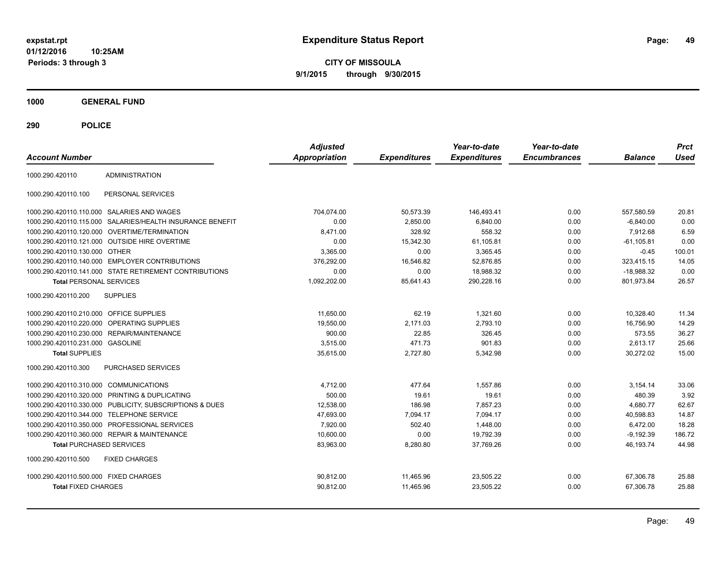**CITY OF MISSOULA 9/1/2015 through 9/30/2015**

**1000 GENERAL FUND**

| <b>Account Number</b>                   |                                                         | <b>Adjusted</b><br><b>Appropriation</b> | <b>Expenditures</b> | Year-to-date<br><b>Expenditures</b> | Year-to-date<br><b>Encumbrances</b> | <b>Balance</b> | <b>Prct</b><br><b>Used</b> |
|-----------------------------------------|---------------------------------------------------------|-----------------------------------------|---------------------|-------------------------------------|-------------------------------------|----------------|----------------------------|
| 1000.290.420110                         | <b>ADMINISTRATION</b>                                   |                                         |                     |                                     |                                     |                |                            |
| 1000.290.420110.100                     | PERSONAL SERVICES                                       |                                         |                     |                                     |                                     |                |                            |
|                                         | 1000.290.420110.110.000 SALARIES AND WAGES              | 704,074.00                              | 50,573.39           | 146,493.41                          | 0.00                                | 557,580.59     | 20.81                      |
| 1000.290.420110.115.000                 | SALARIES/HEALTH INSURANCE BENEFIT                       | 0.00                                    | 2,850.00            | 6,840.00                            | 0.00                                | $-6.840.00$    | 0.00                       |
|                                         | 1000.290.420110.120.000 OVERTIME/TERMINATION            | 8,471.00                                | 328.92              | 558.32                              | 0.00                                | 7,912.68       | 6.59                       |
|                                         | 1000.290.420110.121.000 OUTSIDE HIRE OVERTIME           | 0.00                                    | 15,342.30           | 61,105.81                           | 0.00                                | $-61, 105.81$  | 0.00                       |
| 1000.290.420110.130.000 OTHER           |                                                         | 3.365.00                                | 0.00                | 3.365.45                            | 0.00                                | $-0.45$        | 100.01                     |
|                                         | 1000.290.420110.140.000 EMPLOYER CONTRIBUTIONS          | 376,292.00                              | 16,546.82           | 52,876.85                           | 0.00                                | 323,415.15     | 14.05                      |
|                                         | 1000.290.420110.141.000 STATE RETIREMENT CONTRIBUTIONS  | 0.00                                    | 0.00                | 18.988.32                           | 0.00                                | $-18.988.32$   | 0.00                       |
| <b>Total PERSONAL SERVICES</b>          |                                                         | 1,092,202.00                            | 85,641.43           | 290,228.16                          | 0.00                                | 801,973.84     | 26.57                      |
| 1000.290.420110.200                     | <b>SUPPLIES</b>                                         |                                         |                     |                                     |                                     |                |                            |
| 1000.290.420110.210.000 OFFICE SUPPLIES |                                                         | 11.650.00                               | 62.19               | 1,321.60                            | 0.00                                | 10,328.40      | 11.34                      |
| 1000.290.420110.220.000                 | OPERATING SUPPLIES                                      | 19.550.00                               | 2.171.03            | 2.793.10                            | 0.00                                | 16.756.90      | 14.29                      |
|                                         | 1000.290.420110.230.000 REPAIR/MAINTENANCE              | 900.00                                  | 22.85               | 326.45                              | 0.00                                | 573.55         | 36.27                      |
| 1000.290.420110.231.000 GASOLINE        |                                                         | 3.515.00                                | 471.73              | 901.83                              | 0.00                                | 2,613.17       | 25.66                      |
| <b>Total SUPPLIES</b>                   |                                                         | 35,615.00                               | 2,727.80            | 5,342.98                            | 0.00                                | 30,272.02      | 15.00                      |
| 1000.290.420110.300                     | <b>PURCHASED SERVICES</b>                               |                                         |                     |                                     |                                     |                |                            |
| 1000.290.420110.310.000 COMMUNICATIONS  |                                                         | 4,712.00                                | 477.64              | 1,557.86                            | 0.00                                | 3,154.14       | 33.06                      |
|                                         | 1000.290.420110.320.000 PRINTING & DUPLICATING          | 500.00                                  | 19.61               | 19.61                               | 0.00                                | 480.39         | 3.92                       |
|                                         | 1000.290.420110.330.000 PUBLICITY, SUBSCRIPTIONS & DUES | 12,538.00                               | 186.98              | 7,857.23                            | 0.00                                | 4,680.77       | 62.67                      |
|                                         | 1000.290.420110.344.000 TELEPHONE SERVICE               | 47,693.00                               | 7,094.17            | 7,094.17                            | 0.00                                | 40,598.83      | 14.87                      |
|                                         | 1000.290.420110.350.000 PROFESSIONAL SERVICES           | 7,920.00                                | 502.40              | 1,448.00                            | 0.00                                | 6,472.00       | 18.28                      |
|                                         | 1000.290.420110.360.000 REPAIR & MAINTENANCE            | 10,600.00                               | 0.00                | 19,792.39                           | 0.00                                | $-9,192.39$    | 186.72                     |
| <b>Total PURCHASED SERVICES</b>         |                                                         | 83,963.00                               | 8,280.80            | 37,769.26                           | 0.00                                | 46,193.74      | 44.98                      |
| 1000.290.420110.500                     | <b>FIXED CHARGES</b>                                    |                                         |                     |                                     |                                     |                |                            |
| 1000.290.420110.500.000 FIXED CHARGES   |                                                         | 90,812.00                               | 11,465.96           | 23,505.22                           | 0.00                                | 67,306.78      | 25.88                      |
| <b>Total FIXED CHARGES</b>              |                                                         | 90,812.00                               | 11,465.96           | 23,505.22                           | 0.00                                | 67,306.78      | 25.88                      |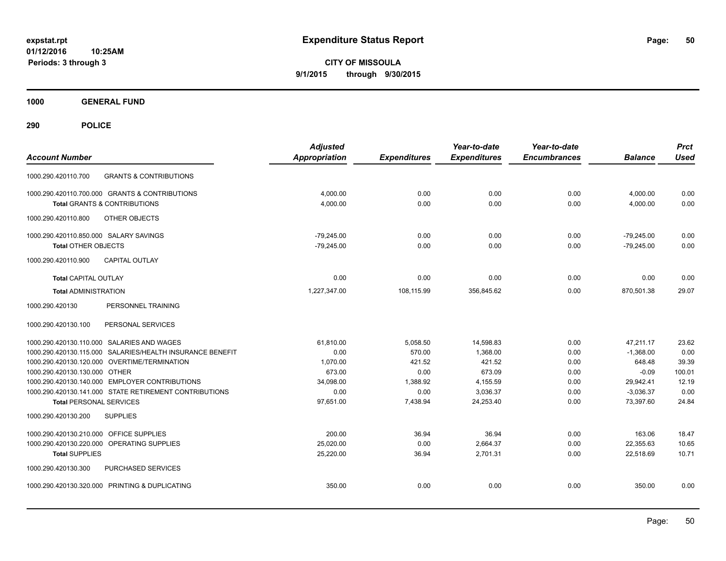**CITY OF MISSOULA 9/1/2015 through 9/30/2015**

**1000 GENERAL FUND**

| <b>Account Number</b>                                     | <b>Adjusted</b><br>Appropriation | <b>Expenditures</b> | Year-to-date<br><b>Expenditures</b> | Year-to-date<br><b>Encumbrances</b> | <b>Balance</b> | <b>Prct</b><br><b>Used</b> |
|-----------------------------------------------------------|----------------------------------|---------------------|-------------------------------------|-------------------------------------|----------------|----------------------------|
| <b>GRANTS &amp; CONTRIBUTIONS</b><br>1000.290.420110.700  |                                  |                     |                                     |                                     |                |                            |
| 1000.290.420110.700.000 GRANTS & CONTRIBUTIONS            | 4,000.00                         | 0.00                | 0.00                                | 0.00                                | 4,000.00       | 0.00                       |
| <b>Total GRANTS &amp; CONTRIBUTIONS</b>                   | 4,000.00                         | 0.00                | 0.00                                | 0.00                                | 4,000.00       | 0.00                       |
| 1000.290.420110.800<br>OTHER OBJECTS                      |                                  |                     |                                     |                                     |                |                            |
| 1000.290.420110.850.000 SALARY SAVINGS                    | $-79,245.00$                     | 0.00                | 0.00                                | 0.00                                | $-79,245.00$   | 0.00                       |
| <b>Total OTHER OBJECTS</b>                                | $-79,245.00$                     | 0.00                | 0.00                                | 0.00                                | $-79,245.00$   | 0.00                       |
| 1000.290.420110.900<br><b>CAPITAL OUTLAY</b>              |                                  |                     |                                     |                                     |                |                            |
| <b>Total CAPITAL OUTLAY</b>                               | 0.00                             | 0.00                | 0.00                                | 0.00                                | 0.00           | 0.00                       |
| <b>Total ADMINISTRATION</b>                               | 1,227,347.00                     | 108,115.99          | 356,845.62                          | 0.00                                | 870,501.38     | 29.07                      |
| PERSONNEL TRAINING<br>1000.290.420130                     |                                  |                     |                                     |                                     |                |                            |
| PERSONAL SERVICES<br>1000.290.420130.100                  |                                  |                     |                                     |                                     |                |                            |
| 1000.290.420130.110.000 SALARIES AND WAGES                | 61,810.00                        | 5,058.50            | 14,598.83                           | 0.00                                | 47,211.17      | 23.62                      |
| 1000.290.420130.115.000 SALARIES/HEALTH INSURANCE BENEFIT | 0.00                             | 570.00              | 1.368.00                            | 0.00                                | $-1,368.00$    | 0.00                       |
| 1000.290.420130.120.000 OVERTIME/TERMINATION              | 1.070.00                         | 421.52              | 421.52                              | 0.00                                | 648.48         | 39.39                      |
| 1000.290.420130.130.000 OTHER                             | 673.00                           | 0.00                | 673.09                              | 0.00                                | $-0.09$        | 100.01                     |
| 1000.290.420130.140.000 EMPLOYER CONTRIBUTIONS            | 34,098.00                        | 1,388.92            | 4,155.59                            | 0.00                                | 29,942.41      | 12.19                      |
| 1000.290.420130.141.000 STATE RETIREMENT CONTRIBUTIONS    | 0.00                             | 0.00                | 3,036.37                            | 0.00                                | $-3.036.37$    | 0.00                       |
| <b>Total PERSONAL SERVICES</b>                            | 97,651.00                        | 7,438.94            | 24,253.40                           | 0.00                                | 73,397.60      | 24.84                      |
| 1000.290.420130.200<br><b>SUPPLIES</b>                    |                                  |                     |                                     |                                     |                |                            |
| 1000.290.420130.210.000 OFFICE SUPPLIES                   | 200.00                           | 36.94               | 36.94                               | 0.00                                | 163.06         | 18.47                      |
| 1000.290.420130.220.000<br>OPERATING SUPPLIES             | 25,020.00                        | 0.00                | 2,664.37                            | 0.00                                | 22,355.63      | 10.65                      |
| <b>Total SUPPLIES</b>                                     | 25,220.00                        | 36.94               | 2,701.31                            | 0.00                                | 22,518.69      | 10.71                      |
| PURCHASED SERVICES<br>1000.290.420130.300                 |                                  |                     |                                     |                                     |                |                            |
| 1000.290.420130.320.000 PRINTING & DUPLICATING            | 350.00                           | 0.00                | 0.00                                | 0.00                                | 350.00         | 0.00                       |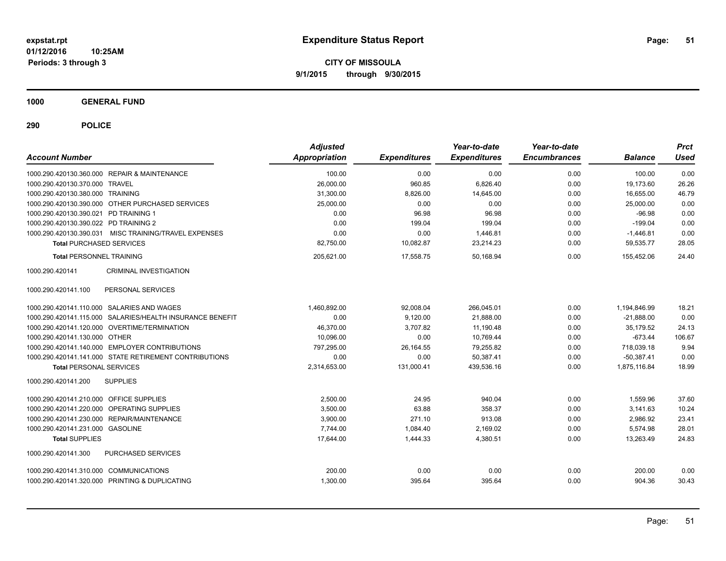**CITY OF MISSOULA 9/1/2015 through 9/30/2015**

**1000 GENERAL FUND**

| <b>Account Number</b>                                     | <b>Adjusted</b><br>Appropriation | <b>Expenditures</b> | Year-to-date<br><b>Expenditures</b> | Year-to-date<br><b>Encumbrances</b> | <b>Balance</b> | <b>Prct</b><br><b>Used</b> |
|-----------------------------------------------------------|----------------------------------|---------------------|-------------------------------------|-------------------------------------|----------------|----------------------------|
| 1000.290.420130.360.000 REPAIR & MAINTENANCE              | 100.00                           | 0.00                | 0.00                                | 0.00                                | 100.00         | 0.00                       |
| 1000.290.420130.370.000 TRAVEL                            | 26,000.00                        | 960.85              | 6,826.40                            | 0.00                                | 19,173.60      | 26.26                      |
| 1000.290.420130.380.000 TRAINING                          | 31,300.00                        | 8,826.00            | 14,645.00                           | 0.00                                | 16,655.00      | 46.79                      |
| 1000.290.420130.390.000 OTHER PURCHASED SERVICES          | 25.000.00                        | 0.00                | 0.00                                | 0.00                                | 25.000.00      | 0.00                       |
| 1000.290.420130.390.021 PD TRAINING 1                     | 0.00                             | 96.98               | 96.98                               | 0.00                                | $-96.98$       | 0.00                       |
| 1000.290.420130.390.022 PD TRAINING 2                     | 0.00                             | 199.04              | 199.04                              | 0.00                                | $-199.04$      | 0.00                       |
| 1000.290.420130.390.031 MISC TRAINING/TRAVEL EXPENSES     | 0.00                             | 0.00                | 1,446.81                            | 0.00                                | $-1,446.81$    | 0.00                       |
| <b>Total PURCHASED SERVICES</b>                           | 82,750.00                        | 10,082.87           | 23,214.23                           | 0.00                                | 59,535.77      | 28.05                      |
| <b>Total PERSONNEL TRAINING</b>                           | 205,621.00                       | 17,558.75           | 50,168.94                           | 0.00                                | 155,452.06     | 24.40                      |
| <b>CRIMINAL INVESTIGATION</b><br>1000.290.420141          |                                  |                     |                                     |                                     |                |                            |
| 1000.290.420141.100<br>PERSONAL SERVICES                  |                                  |                     |                                     |                                     |                |                            |
| 1000.290.420141.110.000 SALARIES AND WAGES                | 1,460,892.00                     | 92,008.04           | 266,045.01                          | 0.00                                | 1,194,846.99   | 18.21                      |
| 1000.290.420141.115.000 SALARIES/HEALTH INSURANCE BENEFIT | 0.00                             | 9,120.00            | 21,888.00                           | 0.00                                | $-21.888.00$   | 0.00                       |
| 1000.290.420141.120.000 OVERTIME/TERMINATION              | 46,370.00                        | 3,707.82            | 11,190.48                           | 0.00                                | 35.179.52      | 24.13                      |
| 1000.290.420141.130.000 OTHER                             | 10,096.00                        | 0.00                | 10,769.44                           | 0.00                                | $-673.44$      | 106.67                     |
| 1000.290.420141.140.000 EMPLOYER CONTRIBUTIONS            | 797,295.00                       | 26,164.55           | 79,255.82                           | 0.00                                | 718,039.18     | 9.94                       |
| 1000.290.420141.141.000 STATE RETIREMENT CONTRIBUTIONS    | 0.00                             | 0.00                | 50,387.41                           | 0.00                                | $-50,387.41$   | 0.00                       |
| <b>Total PERSONAL SERVICES</b>                            | 2,314,653.00                     | 131,000.41          | 439,536.16                          | 0.00                                | 1,875,116.84   | 18.99                      |
| <b>SUPPLIES</b><br>1000.290.420141.200                    |                                  |                     |                                     |                                     |                |                            |
| 1000.290.420141.210.000 OFFICE SUPPLIES                   | 2,500.00                         | 24.95               | 940.04                              | 0.00                                | 1,559.96       | 37.60                      |
| 1000.290.420141.220.000 OPERATING SUPPLIES                | 3,500.00                         | 63.88               | 358.37                              | 0.00                                | 3,141.63       | 10.24                      |
| 1000.290.420141.230.000 REPAIR/MAINTENANCE                | 3,900.00                         | 271.10              | 913.08                              | 0.00                                | 2,986.92       | 23.41                      |
| 1000.290.420141.231.000 GASOLINE                          | 7.744.00                         | 1.084.40            | 2.169.02                            | 0.00                                | 5.574.98       | 28.01                      |
| <b>Total SUPPLIES</b>                                     | 17,644.00                        | 1,444.33            | 4,380.51                            | 0.00                                | 13,263.49      | 24.83                      |
| 1000.290.420141.300<br><b>PURCHASED SERVICES</b>          |                                  |                     |                                     |                                     |                |                            |
| 1000.290.420141.310.000 COMMUNICATIONS                    | 200.00                           | 0.00                | 0.00                                | 0.00                                | 200.00         | 0.00                       |
| 1000.290.420141.320.000 PRINTING & DUPLICATING            | 1,300.00                         | 395.64              | 395.64                              | 0.00                                | 904.36         | 30.43                      |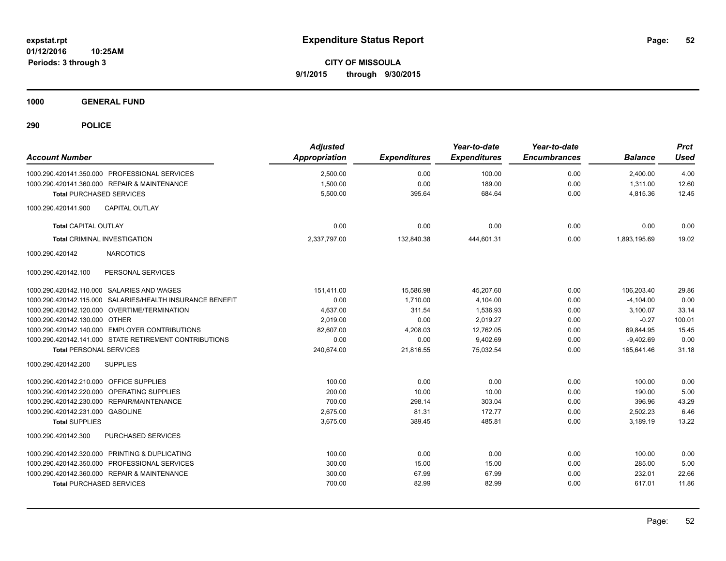**CITY OF MISSOULA 9/1/2015 through 9/30/2015**

**1000 GENERAL FUND**

| <b>Account Number</b>                                     | <b>Adjusted</b><br>Appropriation | <b>Expenditures</b> | Year-to-date<br><b>Expenditures</b> | Year-to-date<br><b>Encumbrances</b> | <b>Balance</b> | <b>Prct</b><br><b>Used</b> |
|-----------------------------------------------------------|----------------------------------|---------------------|-------------------------------------|-------------------------------------|----------------|----------------------------|
| 1000.290.420141.350.000 PROFESSIONAL SERVICES             | 2,500.00                         | 0.00                | 100.00                              | 0.00                                | 2.400.00       | 4.00                       |
| 1000.290.420141.360.000 REPAIR & MAINTENANCE              | 1,500.00                         | 0.00                | 189.00                              | 0.00                                | 1,311.00       | 12.60                      |
| <b>Total PURCHASED SERVICES</b>                           | 5,500.00                         | 395.64              | 684.64                              | 0.00                                | 4,815.36       | 12.45                      |
| <b>CAPITAL OUTLAY</b><br>1000.290.420141.900              |                                  |                     |                                     |                                     |                |                            |
| <b>Total CAPITAL OUTLAY</b>                               | 0.00                             | 0.00                | 0.00                                | 0.00                                | 0.00           | 0.00                       |
| <b>Total CRIMINAL INVESTIGATION</b>                       | 2,337,797.00                     | 132,840.38          | 444.601.31                          | 0.00                                | 1.893.195.69   | 19.02                      |
| 1000.290.420142<br><b>NARCOTICS</b>                       |                                  |                     |                                     |                                     |                |                            |
| PERSONAL SERVICES<br>1000.290.420142.100                  |                                  |                     |                                     |                                     |                |                            |
| 1000.290.420142.110.000 SALARIES AND WAGES                | 151,411.00                       | 15,586.98           | 45,207.60                           | 0.00                                | 106,203.40     | 29.86                      |
| 1000.290.420142.115.000 SALARIES/HEALTH INSURANCE BENEFIT | 0.00                             | 1,710.00            | 4,104.00                            | 0.00                                | $-4.104.00$    | 0.00                       |
| 1000.290.420142.120.000 OVERTIME/TERMINATION              | 4,637.00                         | 311.54              | 1,536.93                            | 0.00                                | 3,100.07       | 33.14                      |
| 1000.290.420142.130.000 OTHER                             | 2,019.00                         | 0.00                | 2,019.27                            | 0.00                                | $-0.27$        | 100.01                     |
| 1000.290.420142.140.000 EMPLOYER CONTRIBUTIONS            | 82,607.00                        | 4,208.03            | 12,762.05                           | 0.00                                | 69,844.95      | 15.45                      |
| 1000.290.420142.141.000 STATE RETIREMENT CONTRIBUTIONS    | 0.00                             | 0.00                | 9,402.69                            | 0.00                                | $-9,402.69$    | 0.00                       |
| <b>Total PERSONAL SERVICES</b>                            | 240,674.00                       | 21,816.55           | 75,032.54                           | 0.00                                | 165,641.46     | 31.18                      |
| 1000.290.420142.200<br><b>SUPPLIES</b>                    |                                  |                     |                                     |                                     |                |                            |
| 1000.290.420142.210.000 OFFICE SUPPLIES                   | 100.00                           | 0.00                | 0.00                                | 0.00                                | 100.00         | 0.00                       |
| 1000.290.420142.220.000 OPERATING SUPPLIES                | 200.00                           | 10.00               | 10.00                               | 0.00                                | 190.00         | 5.00                       |
| 1000.290.420142.230.000 REPAIR/MAINTENANCE                | 700.00                           | 298.14              | 303.04                              | 0.00                                | 396.96         | 43.29                      |
| 1000.290.420142.231.000 GASOLINE                          | 2,675.00                         | 81.31               | 172.77                              | 0.00                                | 2,502.23       | 6.46                       |
| <b>Total SUPPLIES</b>                                     | 3,675.00                         | 389.45              | 485.81                              | 0.00                                | 3,189.19       | 13.22                      |
| 1000.290.420142.300<br><b>PURCHASED SERVICES</b>          |                                  |                     |                                     |                                     |                |                            |
| 1000.290.420142.320.000 PRINTING & DUPLICATING            | 100.00                           | 0.00                | 0.00                                | 0.00                                | 100.00         | 0.00                       |
| 1000.290.420142.350.000 PROFESSIONAL SERVICES             | 300.00                           | 15.00               | 15.00                               | 0.00                                | 285.00         | 5.00                       |
| 1000.290.420142.360.000 REPAIR & MAINTENANCE              | 300.00                           | 67.99               | 67.99                               | 0.00                                | 232.01         | 22.66                      |
| <b>Total PURCHASED SERVICES</b>                           | 700.00                           | 82.99               | 82.99                               | 0.00                                | 617.01         | 11.86                      |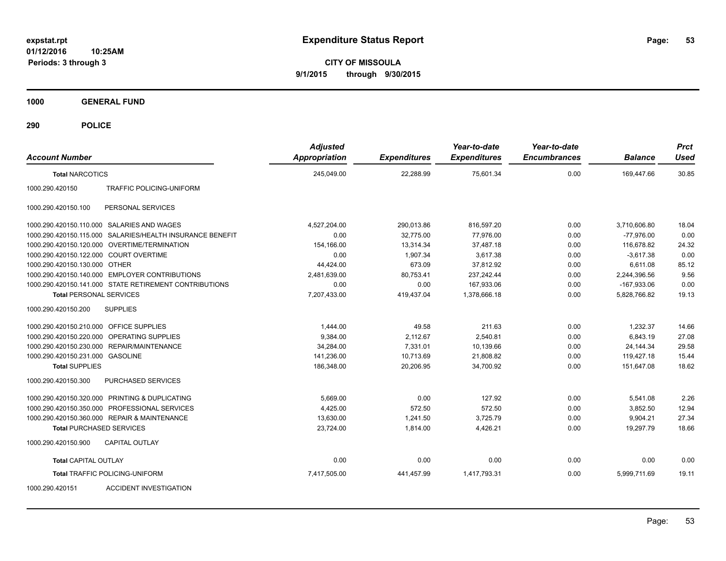**CITY OF MISSOULA 9/1/2015 through 9/30/2015**

**1000 GENERAL FUND**

| <b>Account Number</b>                   |                                                           | <b>Adjusted</b><br><b>Appropriation</b> | <b>Expenditures</b> | Year-to-date<br><b>Expenditures</b> | Year-to-date<br><b>Encumbrances</b> | <b>Balance</b> | <b>Prct</b><br><b>Used</b> |
|-----------------------------------------|-----------------------------------------------------------|-----------------------------------------|---------------------|-------------------------------------|-------------------------------------|----------------|----------------------------|
| <b>Total NARCOTICS</b>                  |                                                           | 245,049.00                              | 22.288.99           | 75,601.34                           | 0.00                                | 169,447.66     | 30.85                      |
| 1000.290.420150                         | TRAFFIC POLICING-UNIFORM                                  |                                         |                     |                                     |                                     |                |                            |
| 1000.290.420150.100                     | PERSONAL SERVICES                                         |                                         |                     |                                     |                                     |                |                            |
|                                         | 1000.290.420150.110.000 SALARIES AND WAGES                | 4,527,204.00                            | 290,013.86          | 816,597.20                          | 0.00                                | 3,710,606.80   | 18.04                      |
|                                         | 1000.290.420150.115.000 SALARIES/HEALTH INSURANCE BENEFIT | 0.00                                    | 32,775.00           | 77,976.00                           | 0.00                                | $-77,976.00$   | 0.00                       |
|                                         | 1000.290.420150.120.000 OVERTIME/TERMINATION              | 154,166.00                              | 13,314.34           | 37,487.18                           | 0.00                                | 116,678.82     | 24.32                      |
| 1000.290.420150.122.000 COURT OVERTIME  |                                                           | 0.00                                    | 1,907.34            | 3,617.38                            | 0.00                                | $-3.617.38$    | 0.00                       |
| 1000.290.420150.130.000 OTHER           |                                                           | 44,424.00                               | 673.09              | 37,812.92                           | 0.00                                | 6,611.08       | 85.12                      |
|                                         | 1000.290.420150.140.000 EMPLOYER CONTRIBUTIONS            | 2,481,639.00                            | 80,753.41           | 237,242.44                          | 0.00                                | 2,244,396.56   | 9.56                       |
|                                         | 1000.290.420150.141.000 STATE RETIREMENT CONTRIBUTIONS    | 0.00                                    | 0.00                | 167,933.06                          | 0.00                                | $-167,933.06$  | 0.00                       |
| <b>Total PERSONAL SERVICES</b>          |                                                           | 7,207,433.00                            | 419,437.04          | 1,378,666.18                        | 0.00                                | 5,828,766.82   | 19.13                      |
| 1000.290.420150.200                     | <b>SUPPLIES</b>                                           |                                         |                     |                                     |                                     |                |                            |
| 1000.290.420150.210.000 OFFICE SUPPLIES |                                                           | 1,444.00                                | 49.58               | 211.63                              | 0.00                                | 1,232.37       | 14.66                      |
|                                         | 1000.290.420150.220.000 OPERATING SUPPLIES                | 9.384.00                                | 2.112.67            | 2.540.81                            | 0.00                                | 6.843.19       | 27.08                      |
| 1000.290.420150.230.000                 | <b>REPAIR/MAINTENANCE</b>                                 | 34,284.00                               | 7,331.01            | 10,139.66                           | 0.00                                | 24,144.34      | 29.58                      |
| 1000.290.420150.231.000 GASOLINE        |                                                           | 141,236.00                              | 10,713.69           | 21,808.82                           | 0.00                                | 119,427.18     | 15.44                      |
| <b>Total SUPPLIES</b>                   |                                                           | 186,348.00                              | 20,206.95           | 34,700.92                           | 0.00                                | 151.647.08     | 18.62                      |
| 1000.290.420150.300                     | PURCHASED SERVICES                                        |                                         |                     |                                     |                                     |                |                            |
|                                         | 1000.290.420150.320.000 PRINTING & DUPLICATING            | 5,669.00                                | 0.00                | 127.92                              | 0.00                                | 5,541.08       | 2.26                       |
|                                         | 1000.290.420150.350.000 PROFESSIONAL SERVICES             | 4,425.00                                | 572.50              | 572.50                              | 0.00                                | 3,852.50       | 12.94                      |
|                                         | 1000.290.420150.360.000 REPAIR & MAINTENANCE              | 13,630.00                               | 1.241.50            | 3,725.79                            | 0.00                                | 9,904.21       | 27.34                      |
| <b>Total PURCHASED SERVICES</b>         |                                                           | 23,724.00                               | 1,814.00            | 4,426.21                            | 0.00                                | 19,297.79      | 18.66                      |
| 1000.290.420150.900                     | CAPITAL OUTLAY                                            |                                         |                     |                                     |                                     |                |                            |
| <b>Total CAPITAL OUTLAY</b>             |                                                           | 0.00                                    | 0.00                | 0.00                                | 0.00                                | 0.00           | 0.00                       |
|                                         | <b>Total TRAFFIC POLICING-UNIFORM</b>                     | 7,417,505.00                            | 441,457.99          | 1,417,793.31                        | 0.00                                | 5,999,711.69   | 19.11                      |
| 1000.290.420151                         | <b>ACCIDENT INVESTIGATION</b>                             |                                         |                     |                                     |                                     |                |                            |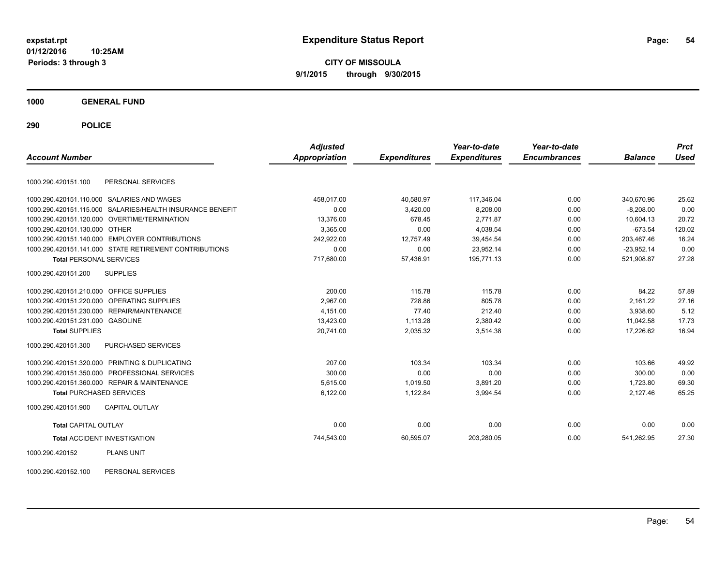**CITY OF MISSOULA 9/1/2015 through 9/30/2015**

**1000 GENERAL FUND**

**290 POLICE**

| <b>Account Number</b>                   |                                                        | <b>Adjusted</b><br>Appropriation | <b>Expenditures</b> | Year-to-date<br><b>Expenditures</b> | Year-to-date<br><b>Encumbrances</b> | <b>Balance</b> | <b>Prct</b><br><b>Used</b> |
|-----------------------------------------|--------------------------------------------------------|----------------------------------|---------------------|-------------------------------------|-------------------------------------|----------------|----------------------------|
| 1000.290.420151.100                     | PERSONAL SERVICES                                      |                                  |                     |                                     |                                     |                |                            |
|                                         | 1000.290.420151.110.000 SALARIES AND WAGES             | 458,017.00                       | 40,580.97           | 117,346.04                          | 0.00                                | 340,670.96     | 25.62                      |
| 1000.290.420151.115.000                 | SALARIES/HEALTH INSURANCE BENEFIT                      | 0.00                             | 3,420.00            | 8,208.00                            | 0.00                                | $-8.208.00$    | 0.00                       |
| 1000.290.420151.120.000                 | OVERTIME/TERMINATION                                   | 13,376.00                        | 678.45              | 2,771.87                            | 0.00                                | 10,604.13      | 20.72                      |
| 1000.290.420151.130.000                 | <b>OTHER</b>                                           | 3,365.00                         | 0.00                | 4,038.54                            | 0.00                                | $-673.54$      | 120.02                     |
|                                         | 1000.290.420151.140.000 EMPLOYER CONTRIBUTIONS         | 242,922.00                       | 12,757.49           | 39,454.54                           | 0.00                                | 203,467.46     | 16.24                      |
|                                         | 1000.290.420151.141.000 STATE RETIREMENT CONTRIBUTIONS | 0.00                             | 0.00                | 23,952.14                           | 0.00                                | $-23.952.14$   | 0.00                       |
| <b>Total PERSONAL SERVICES</b>          |                                                        | 717,680.00                       | 57,436.91           | 195,771.13                          | 0.00                                | 521,908.87     | 27.28                      |
| 1000.290.420151.200                     | <b>SUPPLIES</b>                                        |                                  |                     |                                     |                                     |                |                            |
| 1000.290.420151.210.000 OFFICE SUPPLIES |                                                        | 200.00                           | 115.78              | 115.78                              | 0.00                                | 84.22          | 57.89                      |
| 1000.290.420151.220.000                 | <b>OPERATING SUPPLIES</b>                              | 2.967.00                         | 728.86              | 805.78                              | 0.00                                | 2.161.22       | 27.16                      |
| 1000.290.420151.230.000                 | REPAIR/MAINTENANCE                                     | 4,151.00                         | 77.40               | 212.40                              | 0.00                                | 3,938.60       | 5.12                       |
| 1000.290.420151.231.000 GASOLINE        |                                                        | 13,423.00                        | 1,113.28            | 2,380.42                            | 0.00                                | 11.042.58      | 17.73                      |
| <b>Total SUPPLIES</b>                   |                                                        | 20,741.00                        | 2,035.32            | 3,514.38                            | 0.00                                | 17,226.62      | 16.94                      |
| 1000.290.420151.300                     | PURCHASED SERVICES                                     |                                  |                     |                                     |                                     |                |                            |
|                                         | 1000.290.420151.320.000 PRINTING & DUPLICATING         | 207.00                           | 103.34              | 103.34                              | 0.00                                | 103.66         | 49.92                      |
| 1000.290.420151.350.000                 | PROFESSIONAL SERVICES                                  | 300.00                           | 0.00                | 0.00                                | 0.00                                | 300.00         | 0.00                       |
|                                         | 1000.290.420151.360.000 REPAIR & MAINTENANCE           | 5,615.00                         | 1,019.50            | 3,891.20                            | 0.00                                | 1,723.80       | 69.30                      |
| <b>Total PURCHASED SERVICES</b>         |                                                        | 6,122.00                         | 1,122.84            | 3,994.54                            | 0.00                                | 2,127.46       | 65.25                      |
| 1000.290.420151.900                     | <b>CAPITAL OUTLAY</b>                                  |                                  |                     |                                     |                                     |                |                            |
| <b>Total CAPITAL OUTLAY</b>             |                                                        | 0.00                             | 0.00                | 0.00                                | 0.00                                | 0.00           | 0.00                       |
|                                         | <b>Total ACCIDENT INVESTIGATION</b>                    | 744,543.00                       | 60,595.07           | 203,280.05                          | 0.00                                | 541,262.95     | 27.30                      |
| 1000.290.420152                         | <b>PLANS UNIT</b>                                      |                                  |                     |                                     |                                     |                |                            |

1000.290.420152.100 PERSONAL SERVICES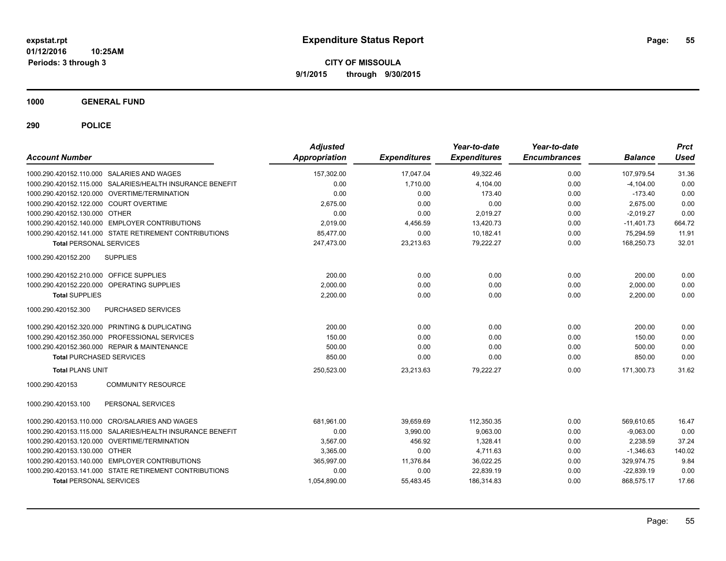**CITY OF MISSOULA 9/1/2015 through 9/30/2015**

**1000 GENERAL FUND**

| <b>Account Number</b>                      |                                                           | <b>Adjusted</b><br>Appropriation | <b>Expenditures</b> | Year-to-date<br><b>Expenditures</b> | Year-to-date<br><b>Encumbrances</b> | <b>Balance</b> | <b>Prct</b><br><b>Used</b> |
|--------------------------------------------|-----------------------------------------------------------|----------------------------------|---------------------|-------------------------------------|-------------------------------------|----------------|----------------------------|
| 1000.290.420152.110.000 SALARIES AND WAGES |                                                           | 157,302.00                       | 17,047.04           | 49,322.46                           | 0.00                                | 107,979.54     | 31.36                      |
|                                            | 1000.290.420152.115.000 SALARIES/HEALTH INSURANCE BENEFIT | 0.00                             | 1,710.00            | 4,104.00                            | 0.00                                | $-4,104.00$    | 0.00                       |
|                                            | 1000.290.420152.120.000 OVERTIME/TERMINATION              | 0.00                             | 0.00                | 173.40                              | 0.00                                | $-173.40$      | 0.00                       |
| 1000.290.420152.122.000 COURT OVERTIME     |                                                           | 2,675.00                         | 0.00                | 0.00                                | 0.00                                | 2,675.00       | 0.00                       |
| 1000.290.420152.130.000                    | <b>OTHER</b>                                              | 0.00                             | 0.00                | 2,019.27                            | 0.00                                | $-2,019.27$    | 0.00                       |
| 1000.290.420152.140.000                    | <b>EMPLOYER CONTRIBUTIONS</b>                             | 2,019.00                         | 4,456.59            | 13,420.73                           | 0.00                                | $-11,401.73$   | 664.72                     |
|                                            | 1000.290.420152.141.000 STATE RETIREMENT CONTRIBUTIONS    | 85,477.00                        | 0.00                | 10,182.41                           | 0.00                                | 75,294.59      | 11.91                      |
| <b>Total PERSONAL SERVICES</b>             |                                                           | 247,473.00                       | 23,213.63           | 79,222.27                           | 0.00                                | 168,250.73     | 32.01                      |
| 1000.290.420152.200                        | <b>SUPPLIES</b>                                           |                                  |                     |                                     |                                     |                |                            |
| 1000.290.420152.210.000 OFFICE SUPPLIES    |                                                           | 200.00                           | 0.00                | 0.00                                | 0.00                                | 200.00         | 0.00                       |
| 1000.290.420152.220.000                    | <b>OPERATING SUPPLIES</b>                                 | 2.000.00                         | 0.00                | 0.00                                | 0.00                                | 2,000.00       | 0.00                       |
| <b>Total SUPPLIES</b>                      |                                                           | 2,200.00                         | 0.00                | 0.00                                | 0.00                                | 2,200.00       | 0.00                       |
| 1000.290.420152.300                        | PURCHASED SERVICES                                        |                                  |                     |                                     |                                     |                |                            |
|                                            | 1000.290.420152.320.000 PRINTING & DUPLICATING            | 200.00                           | 0.00                | 0.00                                | 0.00                                | 200.00         | 0.00                       |
|                                            | 1000.290.420152.350.000 PROFESSIONAL SERVICES             | 150.00                           | 0.00                | 0.00                                | 0.00                                | 150.00         | 0.00                       |
|                                            | 1000.290.420152.360.000 REPAIR & MAINTENANCE              | 500.00                           | 0.00                | 0.00                                | 0.00                                | 500.00         | 0.00                       |
| <b>Total PURCHASED SERVICES</b>            |                                                           | 850.00                           | 0.00                | 0.00                                | 0.00                                | 850.00         | 0.00                       |
| <b>Total PLANS UNIT</b>                    |                                                           | 250,523.00                       | 23,213.63           | 79,222.27                           | 0.00                                | 171,300.73     | 31.62                      |
| 1000.290.420153                            | <b>COMMUNITY RESOURCE</b>                                 |                                  |                     |                                     |                                     |                |                            |
| 1000.290.420153.100                        | PERSONAL SERVICES                                         |                                  |                     |                                     |                                     |                |                            |
| 1000.290.420153.110.000                    | <b>CRO/SALARIES AND WAGES</b>                             | 681,961.00                       | 39,659.69           | 112,350.35                          | 0.00                                | 569,610.65     | 16.47                      |
| 1000.290.420153.115.000                    | SALARIES/HEALTH INSURANCE BENEFIT                         | 0.00                             | 3,990.00            | 9,063.00                            | 0.00                                | $-9,063.00$    | 0.00                       |
|                                            | 1000.290.420153.120.000 OVERTIME/TERMINATION              | 3,567.00                         | 456.92              | 1,328.41                            | 0.00                                | 2.238.59       | 37.24                      |
| 1000.290.420153.130.000 OTHER              |                                                           | 3.365.00                         | 0.00                | 4.711.63                            | 0.00                                | $-1,346.63$    | 140.02                     |
|                                            | 1000.290.420153.140.000 EMPLOYER CONTRIBUTIONS            | 365,997.00                       | 11,376.84           | 36.022.25                           | 0.00                                | 329.974.75     | 9.84                       |
|                                            | 1000.290.420153.141.000 STATE RETIREMENT CONTRIBUTIONS    | 0.00                             | 0.00                | 22,839.19                           | 0.00                                | $-22,839.19$   | 0.00                       |
| <b>Total PERSONAL SERVICES</b>             |                                                           | 1,054,890.00                     | 55,483.45           | 186,314.83                          | 0.00                                | 868,575.17     | 17.66                      |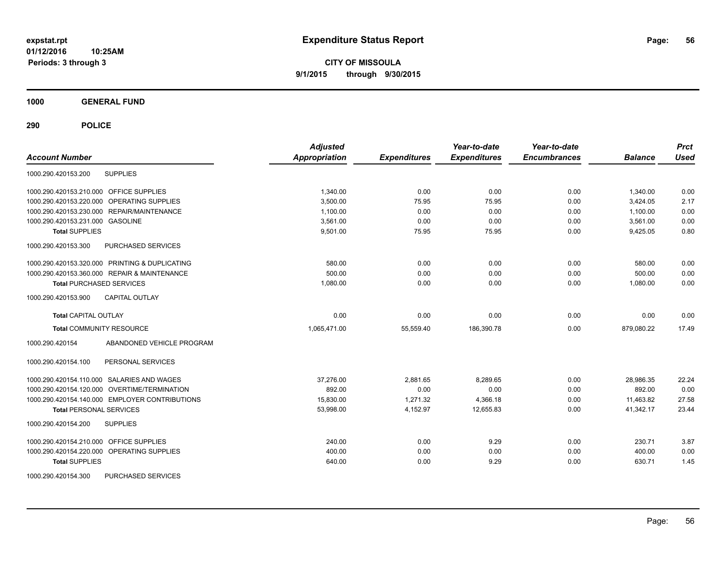**CITY OF MISSOULA 9/1/2015 through 9/30/2015**

**1000 GENERAL FUND**

| <b>Account Number</b>                             | <b>Adjusted</b><br><b>Appropriation</b> | <b>Expenditures</b> | Year-to-date<br><b>Expenditures</b> | Year-to-date<br><b>Encumbrances</b> | <b>Balance</b> | <b>Prct</b><br><b>Used</b> |
|---------------------------------------------------|-----------------------------------------|---------------------|-------------------------------------|-------------------------------------|----------------|----------------------------|
| <b>SUPPLIES</b><br>1000.290.420153.200            |                                         |                     |                                     |                                     |                |                            |
| 1000.290.420153.210.000 OFFICE SUPPLIES           | 1,340.00                                | 0.00                | 0.00                                | 0.00                                | 1,340.00       | 0.00                       |
| OPERATING SUPPLIES<br>1000.290.420153.220.000     | 3.500.00                                | 75.95               | 75.95                               | 0.00                                | 3.424.05       | 2.17                       |
| 1000.290.420153.230.000 REPAIR/MAINTENANCE        | 1.100.00                                | 0.00                | 0.00                                | 0.00                                | 1.100.00       | 0.00                       |
| 1000.290.420153.231.000 GASOLINE                  | 3,561.00                                | 0.00                | 0.00                                | 0.00                                | 3,561.00       | 0.00                       |
| <b>Total SUPPLIES</b>                             | 9,501.00                                | 75.95               | 75.95                               | 0.00                                | 9,425.05       | 0.80                       |
| 1000.290.420153.300<br>PURCHASED SERVICES         |                                         |                     |                                     |                                     |                |                            |
| 1000.290.420153.320.000 PRINTING & DUPLICATING    | 580.00                                  | 0.00                | 0.00                                | 0.00                                | 580.00         | 0.00                       |
| 1000.290.420153.360.000 REPAIR & MAINTENANCE      | 500.00                                  | 0.00                | 0.00                                | 0.00                                | 500.00         | 0.00                       |
| <b>Total PURCHASED SERVICES</b>                   | 1,080.00                                | 0.00                | 0.00                                | 0.00                                | 1,080.00       | 0.00                       |
| <b>CAPITAL OUTLAY</b><br>1000.290.420153.900      |                                         |                     |                                     |                                     |                |                            |
| <b>Total CAPITAL OUTLAY</b>                       | 0.00                                    | 0.00                | 0.00                                | 0.00                                | 0.00           | 0.00                       |
| <b>Total COMMUNITY RESOURCE</b>                   | 1,065,471.00                            | 55,559.40           | 186,390.78                          | 0.00                                | 879,080.22     | 17.49                      |
| ABANDONED VEHICLE PROGRAM<br>1000.290.420154      |                                         |                     |                                     |                                     |                |                            |
| PERSONAL SERVICES<br>1000.290.420154.100          |                                         |                     |                                     |                                     |                |                            |
| 1000.290.420154.110.000 SALARIES AND WAGES        | 37,276.00                               | 2,881.65            | 8,289.65                            | 0.00                                | 28,986.35      | 22.24                      |
| 1000.290.420154.120.000 OVERTIME/TERMINATION      | 892.00                                  | 0.00                | 0.00                                | 0.00                                | 892.00         | 0.00                       |
| 1000.290.420154.140.000 EMPLOYER CONTRIBUTIONS    | 15,830.00                               | 1.271.32            | 4,366.18                            | 0.00                                | 11,463.82      | 27.58                      |
| <b>Total PERSONAL SERVICES</b>                    | 53,998.00                               | 4,152.97            | 12,655.83                           | 0.00                                | 41,342.17      | 23.44                      |
| 1000.290.420154.200<br><b>SUPPLIES</b>            |                                         |                     |                                     |                                     |                |                            |
| 1000.290.420154.210.000<br><b>OFFICE SUPPLIES</b> | 240.00                                  | 0.00                | 9.29                                | 0.00                                | 230.71         | 3.87                       |
| 1000.290.420154.220.000 OPERATING SUPPLIES        | 400.00                                  | 0.00                | 0.00                                | 0.00                                | 400.00         | 0.00                       |
| <b>Total SUPPLIES</b>                             | 640.00                                  | 0.00                | 9.29                                | 0.00                                | 630.71         | 1.45                       |
| PURCHASED SERVICES<br>1000.290.420154.300         |                                         |                     |                                     |                                     |                |                            |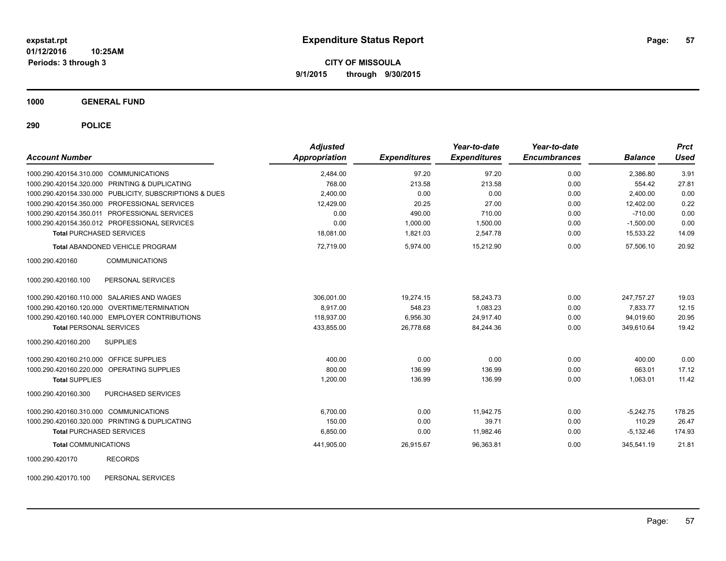**CITY OF MISSOULA 9/1/2015 through 9/30/2015**

**1000 GENERAL FUND**

**290 POLICE**

| <b>Account Number</b>                                   | <b>Adjusted</b><br>Appropriation | <b>Expenditures</b> | Year-to-date<br><b>Expenditures</b> | Year-to-date<br><b>Encumbrances</b> | <b>Balance</b> | <b>Prct</b><br><b>Used</b> |
|---------------------------------------------------------|----------------------------------|---------------------|-------------------------------------|-------------------------------------|----------------|----------------------------|
| 1000.290.420154.310.000 COMMUNICATIONS                  | 2,484.00                         | 97.20               | 97.20                               | 0.00                                | 2,386.80       | 3.91                       |
| 1000.290.420154.320.000 PRINTING & DUPLICATING          | 768.00                           | 213.58              | 213.58                              | 0.00                                | 554.42         | 27.81                      |
| 1000.290.420154.330.000 PUBLICITY, SUBSCRIPTIONS & DUES | 2,400.00                         | 0.00                | 0.00                                | 0.00                                | 2.400.00       | 0.00                       |
| 1000.290.420154.350.000 PROFESSIONAL SERVICES           | 12,429.00                        | 20.25               | 27.00                               | 0.00                                | 12,402.00      | 0.22                       |
| 1000.290.420154.350.011 PROFESSIONAL SERVICES           | 0.00                             | 490.00              | 710.00                              | 0.00                                | $-710.00$      | 0.00                       |
| 1000.290.420154.350.012 PROFESSIONAL SERVICES           | 0.00                             | 1,000.00            | 1,500.00                            | 0.00                                | $-1,500.00$    | 0.00                       |
| <b>Total PURCHASED SERVICES</b>                         | 18.081.00                        | 1,821.03            | 2,547.78                            | 0.00                                | 15,533.22      | 14.09                      |
| <b>Total ABANDONED VEHICLE PROGRAM</b>                  | 72,719.00                        | 5,974.00            | 15,212.90                           | 0.00                                | 57,506.10      | 20.92                      |
| 1000.290.420160<br><b>COMMUNICATIONS</b>                |                                  |                     |                                     |                                     |                |                            |
| 1000.290.420160.100<br>PERSONAL SERVICES                |                                  |                     |                                     |                                     |                |                            |
| 1000.290.420160.110.000 SALARIES AND WAGES              | 306,001.00                       | 19,274.15           | 58,243.73                           | 0.00                                | 247.757.27     | 19.03                      |
| 1000.290.420160.120.000 OVERTIME/TERMINATION            | 8,917.00                         | 548.23              | 1,083.23                            | 0.00                                | 7.833.77       | 12.15                      |
| 1000.290.420160.140.000 EMPLOYER CONTRIBUTIONS          | 118,937.00                       | 6,956.30            | 24,917.40                           | 0.00                                | 94,019.60      | 20.95                      |
| <b>Total PERSONAL SERVICES</b>                          | 433,855.00                       | 26,778.68           | 84,244.36                           | 0.00                                | 349,610.64     | 19.42                      |
| <b>SUPPLIES</b><br>1000.290.420160.200                  |                                  |                     |                                     |                                     |                |                            |
| 1000.290.420160.210.000 OFFICE SUPPLIES                 | 400.00                           | 0.00                | 0.00                                | 0.00                                | 400.00         | 0.00                       |
| 1000.290.420160.220.000 OPERATING SUPPLIES              | 800.00                           | 136.99              | 136.99                              | 0.00                                | 663.01         | 17.12                      |
| <b>Total SUPPLIES</b>                                   | 1,200.00                         | 136.99              | 136.99                              | 0.00                                | 1,063.01       | 11.42                      |
| 1000.290.420160.300<br>PURCHASED SERVICES               |                                  |                     |                                     |                                     |                |                            |
| 1000.290.420160.310.000 COMMUNICATIONS                  | 6,700.00                         | 0.00                | 11,942.75                           | 0.00                                | $-5,242.75$    | 178.25                     |
| 1000.290.420160.320.000 PRINTING & DUPLICATING          | 150.00                           | 0.00                | 39.71                               | 0.00                                | 110.29         | 26.47                      |
| <b>Total PURCHASED SERVICES</b>                         | 6,850.00                         | 0.00                | 11,982.46                           | 0.00                                | $-5,132.46$    | 174.93                     |
| <b>Total COMMUNICATIONS</b>                             | 441,905.00                       | 26,915.67           | 96,363.81                           | 0.00                                | 345,541.19     | 21.81                      |
| 1000.290.420170<br><b>RECORDS</b>                       |                                  |                     |                                     |                                     |                |                            |

1000.290.420170.100 PERSONAL SERVICES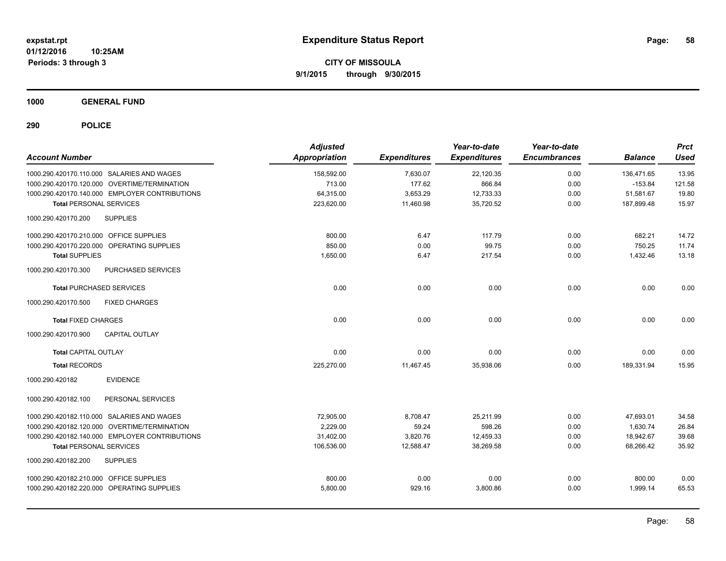**CITY OF MISSOULA 9/1/2015 through 9/30/2015**

**1000 GENERAL FUND**

| <b>Account Number</b>                          | <b>Adjusted</b><br><b>Appropriation</b> | <b>Expenditures</b> | Year-to-date<br><b>Expenditures</b> | Year-to-date<br><b>Encumbrances</b> | <b>Balance</b> | <b>Prct</b><br><b>Used</b> |
|------------------------------------------------|-----------------------------------------|---------------------|-------------------------------------|-------------------------------------|----------------|----------------------------|
| 1000.290.420170.110.000 SALARIES AND WAGES     | 158,592.00                              | 7,630.07            | 22,120.35                           | 0.00                                | 136.471.65     | 13.95                      |
| 1000.290.420170.120.000 OVERTIME/TERMINATION   | 713.00                                  | 177.62              | 866.84                              | 0.00                                | $-153.84$      | 121.58                     |
| 1000.290.420170.140.000 EMPLOYER CONTRIBUTIONS | 64,315.00                               | 3,653.29            | 12,733.33                           | 0.00                                | 51,581.67      | 19.80                      |
| <b>Total PERSONAL SERVICES</b>                 | 223,620.00                              | 11,460.98           | 35,720.52                           | 0.00                                | 187,899.48     | 15.97                      |
| <b>SUPPLIES</b><br>1000.290.420170.200         |                                         |                     |                                     |                                     |                |                            |
| 1000.290.420170.210.000 OFFICE SUPPLIES        | 800.00                                  | 6.47                | 117.79                              | 0.00                                | 682.21         | 14.72                      |
| 1000.290.420170.220.000 OPERATING SUPPLIES     | 850.00                                  | 0.00                | 99.75                               | 0.00                                | 750.25         | 11.74                      |
| <b>Total SUPPLIES</b>                          | 1,650.00                                | 6.47                | 217.54                              | 0.00                                | 1,432.46       | 13.18                      |
| PURCHASED SERVICES<br>1000.290.420170.300      |                                         |                     |                                     |                                     |                |                            |
| <b>Total PURCHASED SERVICES</b>                | 0.00                                    | 0.00                | 0.00                                | 0.00                                | 0.00           | 0.00                       |
| 1000.290.420170.500<br><b>FIXED CHARGES</b>    |                                         |                     |                                     |                                     |                |                            |
| <b>Total FIXED CHARGES</b>                     | 0.00                                    | 0.00                | 0.00                                | 0.00                                | 0.00           | 0.00                       |
| 1000.290.420170.900<br><b>CAPITAL OUTLAY</b>   |                                         |                     |                                     |                                     |                |                            |
| <b>Total CAPITAL OUTLAY</b>                    | 0.00                                    | 0.00                | 0.00                                | 0.00                                | 0.00           | 0.00                       |
| <b>Total RECORDS</b>                           | 225,270.00                              | 11,467.45           | 35,938.06                           | 0.00                                | 189,331.94     | 15.95                      |
| 1000.290.420182<br><b>EVIDENCE</b>             |                                         |                     |                                     |                                     |                |                            |
| 1000.290.420182.100<br>PERSONAL SERVICES       |                                         |                     |                                     |                                     |                |                            |
| 1000.290.420182.110.000 SALARIES AND WAGES     | 72,905.00                               | 8,708.47            | 25,211.99                           | 0.00                                | 47,693.01      | 34.58                      |
| 1000.290.420182.120.000 OVERTIME/TERMINATION   | 2.229.00                                | 59.24               | 598.26                              | 0.00                                | 1,630.74       | 26.84                      |
| 1000.290.420182.140.000 EMPLOYER CONTRIBUTIONS | 31,402.00                               | 3,820.76            | 12,459.33                           | 0.00                                | 18,942.67      | 39.68                      |
| <b>Total PERSONAL SERVICES</b>                 | 106,536.00                              | 12,588.47           | 38,269.58                           | 0.00                                | 68,266.42      | 35.92                      |
| <b>SUPPLIES</b><br>1000.290.420182.200         |                                         |                     |                                     |                                     |                |                            |
| 1000.290.420182.210.000 OFFICE SUPPLIES        | 800.00                                  | 0.00                | 0.00                                | 0.00                                | 800.00         | 0.00                       |
| 1000.290.420182.220.000 OPERATING SUPPLIES     | 5,800.00                                | 929.16              | 3,800.86                            | 0.00                                | 1,999.14       | 65.53                      |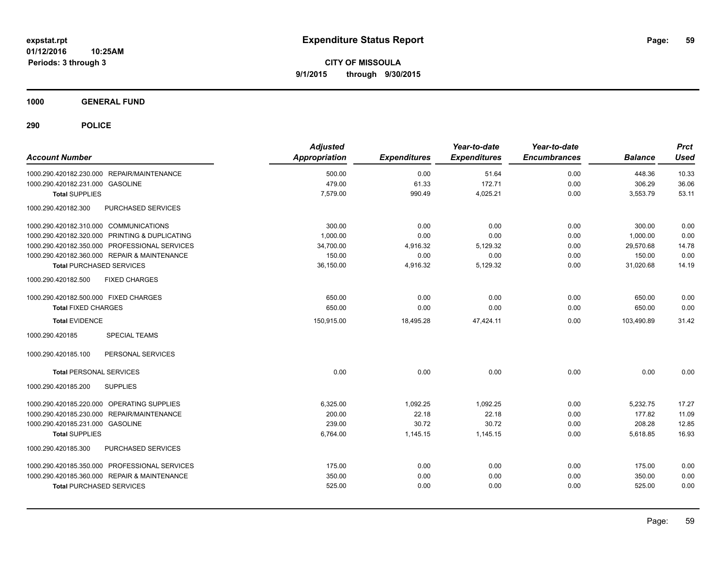**CITY OF MISSOULA 9/1/2015 through 9/30/2015**

**1000 GENERAL FUND**

| <b>Account Number</b>                          | <b>Adjusted</b><br><b>Appropriation</b> | <b>Expenditures</b> | Year-to-date<br><b>Expenditures</b> | Year-to-date<br><b>Encumbrances</b> | <b>Balance</b> | <b>Prct</b><br><b>Used</b> |
|------------------------------------------------|-----------------------------------------|---------------------|-------------------------------------|-------------------------------------|----------------|----------------------------|
| 1000.290.420182.230.000 REPAIR/MAINTENANCE     | 500.00                                  | 0.00                | 51.64                               | 0.00                                | 448.36         | 10.33                      |
| 1000.290.420182.231.000 GASOLINE               | 479.00                                  | 61.33               | 172.71                              | 0.00                                | 306.29         | 36.06                      |
| <b>Total SUPPLIES</b>                          | 7,579.00                                | 990.49              | 4,025.21                            | 0.00                                | 3,553.79       | 53.11                      |
| PURCHASED SERVICES<br>1000.290.420182.300      |                                         |                     |                                     |                                     |                |                            |
| 1000.290.420182.310.000 COMMUNICATIONS         | 300.00                                  | 0.00                | 0.00                                | 0.00                                | 300.00         | 0.00                       |
| 1000.290.420182.320.000 PRINTING & DUPLICATING | 1,000.00                                | 0.00                | 0.00                                | 0.00                                | 1,000.00       | 0.00                       |
| 1000.290.420182.350.000 PROFESSIONAL SERVICES  | 34,700.00                               | 4,916.32            | 5,129.32                            | 0.00                                | 29,570.68      | 14.78                      |
| 1000.290.420182.360.000 REPAIR & MAINTENANCE   | 150.00                                  | 0.00                | 0.00                                | 0.00                                | 150.00         | 0.00                       |
| <b>Total PURCHASED SERVICES</b>                | 36,150.00                               | 4,916.32            | 5,129.32                            | 0.00                                | 31,020.68      | 14.19                      |
| 1000.290.420182.500<br><b>FIXED CHARGES</b>    |                                         |                     |                                     |                                     |                |                            |
| 1000.290.420182.500.000 FIXED CHARGES          | 650.00                                  | 0.00                | 0.00                                | 0.00                                | 650.00         | 0.00                       |
| <b>Total FIXED CHARGES</b>                     | 650.00                                  | 0.00                | 0.00                                | 0.00                                | 650.00         | 0.00                       |
| <b>Total EVIDENCE</b>                          | 150,915.00                              | 18,495.28           | 47,424.11                           | 0.00                                | 103,490.89     | 31.42                      |
| 1000.290.420185<br><b>SPECIAL TEAMS</b>        |                                         |                     |                                     |                                     |                |                            |
| 1000.290.420185.100<br>PERSONAL SERVICES       |                                         |                     |                                     |                                     |                |                            |
| <b>Total PERSONAL SERVICES</b>                 | 0.00                                    | 0.00                | 0.00                                | 0.00                                | 0.00           | 0.00                       |
| 1000.290.420185.200<br><b>SUPPLIES</b>         |                                         |                     |                                     |                                     |                |                            |
| 1000.290.420185.220.000 OPERATING SUPPLIES     | 6,325.00                                | 1,092.25            | 1,092.25                            | 0.00                                | 5,232.75       | 17.27                      |
| 1000.290.420185.230.000 REPAIR/MAINTENANCE     | 200.00                                  | 22.18               | 22.18                               | 0.00                                | 177.82         | 11.09                      |
| 1000.290.420185.231.000 GASOLINE               | 239.00                                  | 30.72               | 30.72                               | 0.00                                | 208.28         | 12.85                      |
| <b>Total SUPPLIES</b>                          | 6,764.00                                | 1,145.15            | 1,145.15                            | 0.00                                | 5,618.85       | 16.93                      |
| 1000.290.420185.300<br>PURCHASED SERVICES      |                                         |                     |                                     |                                     |                |                            |
| 1000.290.420185.350.000 PROFESSIONAL SERVICES  | 175.00                                  | 0.00                | 0.00                                | 0.00                                | 175.00         | 0.00                       |
| 1000.290.420185.360.000 REPAIR & MAINTENANCE   | 350.00                                  | 0.00                | 0.00                                | 0.00                                | 350.00         | 0.00                       |
| <b>Total PURCHASED SERVICES</b>                | 525.00                                  | 0.00                | 0.00                                | 0.00                                | 525.00         | 0.00                       |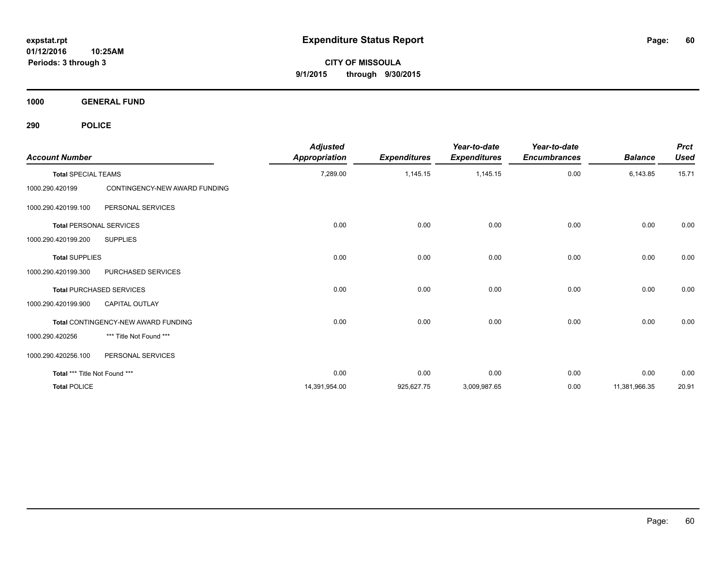**CITY OF MISSOULA 9/1/2015 through 9/30/2015**

**1000 GENERAL FUND**

| <b>Account Number</b>         |                                     | <b>Adjusted</b><br><b>Appropriation</b> | <b>Expenditures</b> | Year-to-date<br><b>Expenditures</b> | Year-to-date<br><b>Encumbrances</b> | <b>Balance</b> | <b>Prct</b><br><b>Used</b> |
|-------------------------------|-------------------------------------|-----------------------------------------|---------------------|-------------------------------------|-------------------------------------|----------------|----------------------------|
| <b>Total SPECIAL TEAMS</b>    |                                     | 7,289.00                                | 1,145.15            | 1,145.15                            | 0.00                                | 6,143.85       | 15.71                      |
| 1000.290.420199               | CONTINGENCY-NEW AWARD FUNDING       |                                         |                     |                                     |                                     |                |                            |
| 1000.290.420199.100           | PERSONAL SERVICES                   |                                         |                     |                                     |                                     |                |                            |
|                               | <b>Total PERSONAL SERVICES</b>      | 0.00                                    | 0.00                | 0.00                                | 0.00                                | 0.00           | 0.00                       |
| 1000.290.420199.200           | <b>SUPPLIES</b>                     |                                         |                     |                                     |                                     |                |                            |
| <b>Total SUPPLIES</b>         |                                     | 0.00                                    | 0.00                | 0.00                                | 0.00                                | 0.00           | 0.00                       |
| 1000.290.420199.300           | PURCHASED SERVICES                  |                                         |                     |                                     |                                     |                |                            |
|                               | <b>Total PURCHASED SERVICES</b>     | 0.00                                    | 0.00                | 0.00                                | 0.00                                | 0.00           | 0.00                       |
| 1000.290.420199.900           | <b>CAPITAL OUTLAY</b>               |                                         |                     |                                     |                                     |                |                            |
|                               | Total CONTINGENCY-NEW AWARD FUNDING | 0.00                                    | 0.00                | 0.00                                | 0.00                                | 0.00           | 0.00                       |
| 1000.290.420256               | *** Title Not Found ***             |                                         |                     |                                     |                                     |                |                            |
| 1000.290.420256.100           | PERSONAL SERVICES                   |                                         |                     |                                     |                                     |                |                            |
| Total *** Title Not Found *** |                                     | 0.00                                    | 0.00                | 0.00                                | 0.00                                | 0.00           | 0.00                       |
| <b>Total POLICE</b>           |                                     | 14,391,954.00                           | 925,627.75          | 3,009,987.65                        | 0.00                                | 11,381,966.35  | 20.91                      |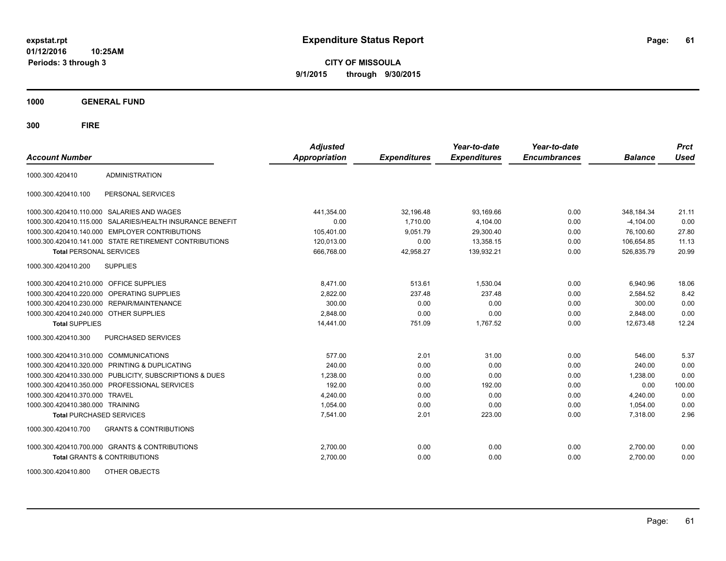**CITY OF MISSOULA 9/1/2015 through 9/30/2015**

**1000 GENERAL FUND**

| <b>Account Number</b>                   |                                                           | <b>Adjusted</b><br><b>Appropriation</b> | <b>Expenditures</b> | Year-to-date<br><b>Expenditures</b> | Year-to-date<br><b>Encumbrances</b> | <b>Balance</b> | <b>Prct</b><br><b>Used</b> |
|-----------------------------------------|-----------------------------------------------------------|-----------------------------------------|---------------------|-------------------------------------|-------------------------------------|----------------|----------------------------|
| 1000.300.420410                         | <b>ADMINISTRATION</b>                                     |                                         |                     |                                     |                                     |                |                            |
| 1000.300.420410.100                     | PERSONAL SERVICES                                         |                                         |                     |                                     |                                     |                |                            |
|                                         | 1000.300.420410.110.000 SALARIES AND WAGES                | 441,354.00                              | 32,196.48           | 93,169.66                           | 0.00                                | 348, 184. 34   | 21.11                      |
|                                         | 1000.300.420410.115.000 SALARIES/HEALTH INSURANCE BENEFIT | 0.00                                    | 1.710.00            | 4,104.00                            | 0.00                                | $-4,104.00$    | 0.00                       |
|                                         | 1000.300.420410.140.000 EMPLOYER CONTRIBUTIONS            | 105,401.00                              | 9.051.79            | 29.300.40                           | 0.00                                | 76.100.60      | 27.80                      |
|                                         | 1000.300.420410.141.000 STATE RETIREMENT CONTRIBUTIONS    | 120,013.00                              | 0.00                | 13,358.15                           | 0.00                                | 106,654.85     | 11.13                      |
| <b>Total PERSONAL SERVICES</b>          |                                                           | 666,768.00                              | 42,958.27           | 139,932.21                          | 0.00                                | 526,835.79     | 20.99                      |
| 1000.300.420410.200                     | <b>SUPPLIES</b>                                           |                                         |                     |                                     |                                     |                |                            |
| 1000.300.420410.210.000 OFFICE SUPPLIES |                                                           | 8,471.00                                | 513.61              | 1,530.04                            | 0.00                                | 6,940.96       | 18.06                      |
|                                         | 1000.300.420410.220.000 OPERATING SUPPLIES                | 2,822.00                                | 237.48              | 237.48                              | 0.00                                | 2,584.52       | 8.42                       |
| 1000.300.420410.230.000                 | REPAIR/MAINTENANCE                                        | 300.00                                  | 0.00                | 0.00                                | 0.00                                | 300.00         | 0.00                       |
| 1000.300.420410.240.000                 | <b>OTHER SUPPLIES</b>                                     | 2,848.00                                | 0.00                | 0.00                                | 0.00                                | 2,848.00       | 0.00                       |
| <b>Total SUPPLIES</b>                   |                                                           | 14,441.00                               | 751.09              | 1,767.52                            | 0.00                                | 12,673.48      | 12.24                      |
| 1000.300.420410.300                     | PURCHASED SERVICES                                        |                                         |                     |                                     |                                     |                |                            |
| 1000.300.420410.310.000                 | <b>COMMUNICATIONS</b>                                     | 577.00                                  | 2.01                | 31.00                               | 0.00                                | 546.00         | 5.37                       |
| 1000.300.420410.320.000                 | <b>PRINTING &amp; DUPLICATING</b>                         | 240.00                                  | 0.00                | 0.00                                | 0.00                                | 240.00         | 0.00                       |
| 1000.300.420410.330.000                 | PUBLICITY, SUBSCRIPTIONS & DUES                           | 1,238.00                                | 0.00                | 0.00                                | 0.00                                | 1,238.00       | 0.00                       |
| 1000.300.420410.350.000                 | PROFESSIONAL SERVICES                                     | 192.00                                  | 0.00                | 192.00                              | 0.00                                | 0.00           | 100.00                     |
| 1000.300.420410.370.000                 | <b>TRAVEL</b>                                             | 4,240.00                                | 0.00                | 0.00                                | 0.00                                | 4,240.00       | 0.00                       |
| 1000.300.420410.380.000 TRAINING        |                                                           | 1,054.00                                | 0.00                | 0.00                                | 0.00                                | 1,054.00       | 0.00                       |
| <b>Total PURCHASED SERVICES</b>         |                                                           | 7,541.00                                | 2.01                | 223.00                              | 0.00                                | 7,318.00       | 2.96                       |
| 1000.300.420410.700                     | <b>GRANTS &amp; CONTRIBUTIONS</b>                         |                                         |                     |                                     |                                     |                |                            |
|                                         | 1000.300.420410.700.000 GRANTS & CONTRIBUTIONS            | 2,700.00                                | 0.00                | 0.00                                | 0.00                                | 2,700.00       | 0.00                       |
|                                         | <b>Total GRANTS &amp; CONTRIBUTIONS</b>                   | 2,700.00                                | 0.00                | 0.00                                | 0.00                                | 2,700.00       | 0.00                       |
| 1000.300.420410.800                     | OTHER OBJECTS                                             |                                         |                     |                                     |                                     |                |                            |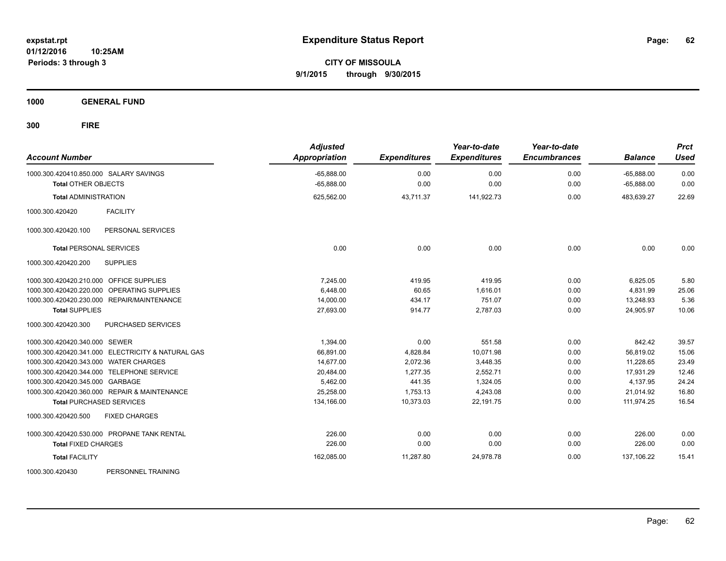**CITY OF MISSOULA 9/1/2015 through 9/30/2015**

**1000 GENERAL FUND**

| <b>Account Number</b>                             | <b>Adjusted</b><br>Appropriation | <b>Expenditures</b> | Year-to-date<br><b>Expenditures</b> | Year-to-date<br><b>Encumbrances</b> | <b>Balance</b>               | <b>Prct</b><br><b>Used</b> |
|---------------------------------------------------|----------------------------------|---------------------|-------------------------------------|-------------------------------------|------------------------------|----------------------------|
| 1000.300.420410.850.000 SALARY SAVINGS            | $-65,888.00$<br>$-65,888.00$     | 0.00<br>0.00        | 0.00<br>0.00                        | 0.00<br>0.00                        | $-65,888.00$<br>$-65,888.00$ | 0.00<br>0.00               |
| <b>Total OTHER OBJECTS</b>                        |                                  |                     |                                     |                                     |                              |                            |
| <b>Total ADMINISTRATION</b>                       | 625,562.00                       | 43,711.37           | 141,922.73                          | 0.00                                | 483,639.27                   | 22.69                      |
| <b>FACILITY</b><br>1000.300.420420                |                                  |                     |                                     |                                     |                              |                            |
| PERSONAL SERVICES<br>1000.300.420420.100          |                                  |                     |                                     |                                     |                              |                            |
| <b>Total PERSONAL SERVICES</b>                    | 0.00                             | 0.00                | 0.00                                | 0.00                                | 0.00                         | 0.00                       |
| <b>SUPPLIES</b><br>1000.300.420420.200            |                                  |                     |                                     |                                     |                              |                            |
| 1000.300.420420.210.000 OFFICE SUPPLIES           | 7,245.00                         | 419.95              | 419.95                              | 0.00                                | 6,825.05                     | 5.80                       |
| 1000.300.420420.220.000 OPERATING SUPPLIES        | 6.448.00                         | 60.65               | 1.616.01                            | 0.00                                | 4.831.99                     | 25.06                      |
| 1000.300.420420.230.000 REPAIR/MAINTENANCE        | 14,000.00                        | 434.17              | 751.07                              | 0.00                                | 13,248.93                    | 5.36                       |
| <b>Total SUPPLIES</b>                             | 27,693.00                        | 914.77              | 2,787.03                            | 0.00                                | 24,905.97                    | 10.06                      |
| PURCHASED SERVICES<br>1000.300.420420.300         |                                  |                     |                                     |                                     |                              |                            |
| 1000.300.420420.340.000 SEWER                     | 1,394.00                         | 0.00                | 551.58                              | 0.00                                | 842.42                       | 39.57                      |
| 1000.300.420420.341.000 ELECTRICITY & NATURAL GAS | 66,891.00                        | 4,828.84            | 10,071.98                           | 0.00                                | 56,819.02                    | 15.06                      |
| 1000.300.420420.343.000 WATER CHARGES             | 14,677.00                        | 2,072.36            | 3,448.35                            | 0.00                                | 11,228.65                    | 23.49                      |
| 1000.300.420420.344.000 TELEPHONE SERVICE         | 20,484.00                        | 1.277.35            | 2,552.71                            | 0.00                                | 17.931.29                    | 12.46                      |
| 1000.300.420420.345.000 GARBAGE                   | 5,462.00                         | 441.35              | 1,324.05                            | 0.00                                | 4,137.95                     | 24.24                      |
| 1000.300.420420.360.000 REPAIR & MAINTENANCE      | 25,258.00                        | 1,753.13            | 4,243.08                            | 0.00                                | 21,014.92                    | 16.80                      |
| <b>Total PURCHASED SERVICES</b>                   | 134,166.00                       | 10,373.03           | 22,191.75                           | 0.00                                | 111,974.25                   | 16.54                      |
| 1000.300.420420.500<br><b>FIXED CHARGES</b>       |                                  |                     |                                     |                                     |                              |                            |
| 1000.300.420420.530.000 PROPANE TANK RENTAL       | 226.00                           | 0.00                | 0.00                                | 0.00                                | 226.00                       | 0.00                       |
| <b>Total FIXED CHARGES</b>                        | 226.00                           | 0.00                | 0.00                                | 0.00                                | 226.00                       | 0.00                       |
| <b>Total FACILITY</b>                             | 162,085.00                       | 11,287.80           | 24,978.78                           | 0.00                                | 137.106.22                   | 15.41                      |
| 1000.300.420430<br>PERSONNEL TRAINING             |                                  |                     |                                     |                                     |                              |                            |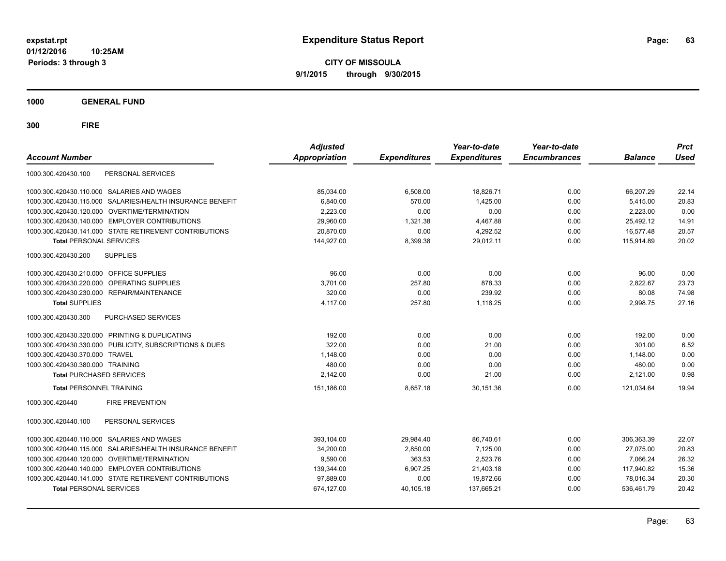**CITY OF MISSOULA 9/1/2015 through 9/30/2015**

**1000 GENERAL FUND**

| PERSONAL SERVICES<br>1000.300.420430.100<br>1000.300.420430.110.000 SALARIES AND WAGES<br>85,034.00<br>6,508.00<br>18,826.71<br>0.00<br>66,207.29<br>22.14<br>SALARIES/HEALTH INSURANCE BENEFIT<br>6.840.00<br>570.00<br>1.425.00<br>0.00<br>5,415.00<br>20.83<br>1000.300.420430.115.000<br>0.00<br>0.00<br>1000.300.420430.120.000 OVERTIME/TERMINATION<br>2,223.00<br>0.00<br>2,223.00<br>0.00<br>1000.300.420430.140.000 EMPLOYER CONTRIBUTIONS<br>29,960.00<br>1,321.38<br>4,467.88<br>0.00<br>25,492.12<br>14.91<br>1000.300.420430.141.000 STATE RETIREMENT CONTRIBUTIONS<br>20,870.00<br>0.00<br>4,292.52<br>16,577.48<br>20.57<br>0.00<br>20.02<br>144,927.00<br>8,399.38<br>29,012.11<br>0.00<br>115,914.89<br><b>Total PERSONAL SERVICES</b><br>1000.300.420430.200<br><b>SUPPLIES</b><br>1000.300.420430.210.000 OFFICE SUPPLIES<br>96.00<br>0.00<br>0.00<br>0.00<br>96.00<br>0.00<br>23.73<br>1000.300.420430.220.000 OPERATING SUPPLIES<br>3,701.00<br>257.80<br>878.33<br>0.00<br>2,822.67 |
|-----------------------------------------------------------------------------------------------------------------------------------------------------------------------------------------------------------------------------------------------------------------------------------------------------------------------------------------------------------------------------------------------------------------------------------------------------------------------------------------------------------------------------------------------------------------------------------------------------------------------------------------------------------------------------------------------------------------------------------------------------------------------------------------------------------------------------------------------------------------------------------------------------------------------------------------------------------------------------------------------------------|
|                                                                                                                                                                                                                                                                                                                                                                                                                                                                                                                                                                                                                                                                                                                                                                                                                                                                                                                                                                                                           |
|                                                                                                                                                                                                                                                                                                                                                                                                                                                                                                                                                                                                                                                                                                                                                                                                                                                                                                                                                                                                           |
|                                                                                                                                                                                                                                                                                                                                                                                                                                                                                                                                                                                                                                                                                                                                                                                                                                                                                                                                                                                                           |
|                                                                                                                                                                                                                                                                                                                                                                                                                                                                                                                                                                                                                                                                                                                                                                                                                                                                                                                                                                                                           |
|                                                                                                                                                                                                                                                                                                                                                                                                                                                                                                                                                                                                                                                                                                                                                                                                                                                                                                                                                                                                           |
|                                                                                                                                                                                                                                                                                                                                                                                                                                                                                                                                                                                                                                                                                                                                                                                                                                                                                                                                                                                                           |
|                                                                                                                                                                                                                                                                                                                                                                                                                                                                                                                                                                                                                                                                                                                                                                                                                                                                                                                                                                                                           |
|                                                                                                                                                                                                                                                                                                                                                                                                                                                                                                                                                                                                                                                                                                                                                                                                                                                                                                                                                                                                           |
|                                                                                                                                                                                                                                                                                                                                                                                                                                                                                                                                                                                                                                                                                                                                                                                                                                                                                                                                                                                                           |
|                                                                                                                                                                                                                                                                                                                                                                                                                                                                                                                                                                                                                                                                                                                                                                                                                                                                                                                                                                                                           |
| 320.00<br>0.00<br>239.92<br>80.08<br>74.98<br>1000.300.420430.230.000 REPAIR/MAINTENANCE<br>0.00                                                                                                                                                                                                                                                                                                                                                                                                                                                                                                                                                                                                                                                                                                                                                                                                                                                                                                          |
| 27.16<br>4.117.00<br>257.80<br>1,118.25<br>0.00<br>2,998.75<br><b>Total SUPPLIES</b>                                                                                                                                                                                                                                                                                                                                                                                                                                                                                                                                                                                                                                                                                                                                                                                                                                                                                                                      |
| <b>PURCHASED SERVICES</b><br>1000.300.420430.300                                                                                                                                                                                                                                                                                                                                                                                                                                                                                                                                                                                                                                                                                                                                                                                                                                                                                                                                                          |
| 0.00<br>0.00<br>0.00<br>1000.300.420430.320.000 PRINTING & DUPLICATING<br>192.00<br>192.00<br>0.00                                                                                                                                                                                                                                                                                                                                                                                                                                                                                                                                                                                                                                                                                                                                                                                                                                                                                                        |
| 322.00<br>6.52<br>1000.300.420430.330.000 PUBLICITY, SUBSCRIPTIONS & DUES<br>0.00<br>21.00<br>0.00<br>301.00                                                                                                                                                                                                                                                                                                                                                                                                                                                                                                                                                                                                                                                                                                                                                                                                                                                                                              |
| 0.00<br>1000.300.420430.370.000 TRAVEL<br>1.148.00<br>0.00<br>0.00<br>1,148.00<br>0.00                                                                                                                                                                                                                                                                                                                                                                                                                                                                                                                                                                                                                                                                                                                                                                                                                                                                                                                    |
| 480.00<br>0.00<br>480.00<br>0.00<br>1000.300.420430.380.000 TRAINING<br>0.00<br>0.00                                                                                                                                                                                                                                                                                                                                                                                                                                                                                                                                                                                                                                                                                                                                                                                                                                                                                                                      |
| 21.00<br>0.98<br>2,142.00<br>0.00<br>0.00<br>2,121.00<br><b>Total PURCHASED SERVICES</b>                                                                                                                                                                                                                                                                                                                                                                                                                                                                                                                                                                                                                                                                                                                                                                                                                                                                                                                  |
| 8,657.18<br>0.00<br>19.94<br><b>Total PERSONNEL TRAINING</b><br>151,186.00<br>30,151.36<br>121.034.64                                                                                                                                                                                                                                                                                                                                                                                                                                                                                                                                                                                                                                                                                                                                                                                                                                                                                                     |
| 1000.300.420440<br><b>FIRE PREVENTION</b>                                                                                                                                                                                                                                                                                                                                                                                                                                                                                                                                                                                                                                                                                                                                                                                                                                                                                                                                                                 |
| 1000.300.420440.100<br>PERSONAL SERVICES                                                                                                                                                                                                                                                                                                                                                                                                                                                                                                                                                                                                                                                                                                                                                                                                                                                                                                                                                                  |
| 1000.300.420440.110.000 SALARIES AND WAGES<br>393.104.00<br>29,984.40<br>86,740.61<br>0.00<br>306.363.39<br>22.07                                                                                                                                                                                                                                                                                                                                                                                                                                                                                                                                                                                                                                                                                                                                                                                                                                                                                         |
| 1000.300.420440.115.000 SALARIES/HEALTH INSURANCE BENEFIT<br>34,200.00<br>2,850.00<br>7,125.00<br>0.00<br>27.075.00<br>20.83                                                                                                                                                                                                                                                                                                                                                                                                                                                                                                                                                                                                                                                                                                                                                                                                                                                                              |
| 1000.300.420440.120.000 OVERTIME/TERMINATION<br>9,590.00<br>363.53<br>2,523.76<br>0.00<br>7,066.24<br>26.32                                                                                                                                                                                                                                                                                                                                                                                                                                                                                                                                                                                                                                                                                                                                                                                                                                                                                               |
| 1000.300.420440.140.000 EMPLOYER CONTRIBUTIONS<br>139,344.00<br>6,907.25<br>21,403.18<br>0.00<br>117,940.82<br>15.36                                                                                                                                                                                                                                                                                                                                                                                                                                                                                                                                                                                                                                                                                                                                                                                                                                                                                      |
| 0.00<br>1000.300.420440.141.000 STATE RETIREMENT CONTRIBUTIONS<br>97,889.00<br>19,872.66<br>0.00<br>78,016.34<br>20.30                                                                                                                                                                                                                                                                                                                                                                                                                                                                                                                                                                                                                                                                                                                                                                                                                                                                                    |
| <b>Total PERSONAL SERVICES</b><br>674,127.00<br>137,665.21<br>0.00<br>536.461.79<br>20.42<br>40.105.18                                                                                                                                                                                                                                                                                                                                                                                                                                                                                                                                                                                                                                                                                                                                                                                                                                                                                                    |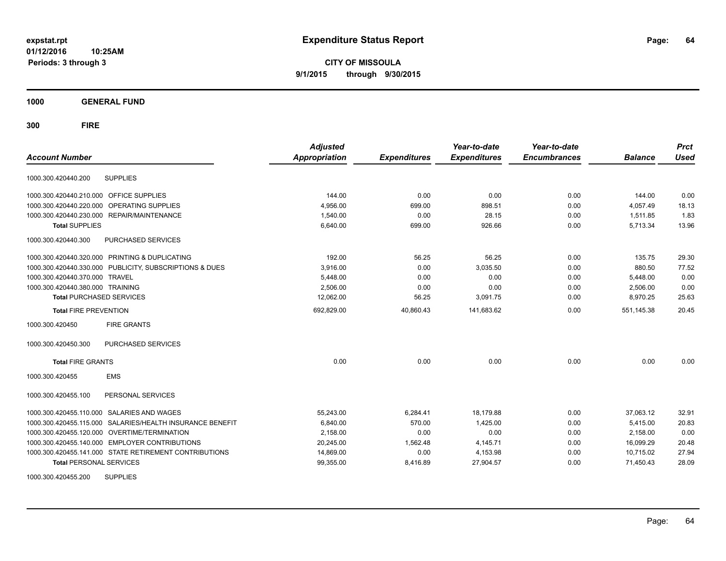**CITY OF MISSOULA 9/1/2015 through 9/30/2015**

**1000 GENERAL FUND**

| <b>Account Number</b>            |                                                         | <b>Adjusted</b><br><b>Appropriation</b> | <b>Expenditures</b> | Year-to-date<br><b>Expenditures</b> | Year-to-date<br><b>Encumbrances</b> | <b>Balance</b> | <b>Prct</b><br><b>Used</b> |
|----------------------------------|---------------------------------------------------------|-----------------------------------------|---------------------|-------------------------------------|-------------------------------------|----------------|----------------------------|
| 1000.300.420440.200              | <b>SUPPLIES</b>                                         |                                         |                     |                                     |                                     |                |                            |
| 1000.300.420440.210.000          | OFFICE SUPPLIES                                         | 144.00                                  | 0.00                | 0.00                                | 0.00                                | 144.00         | 0.00                       |
| 1000.300.420440.220.000          | OPERATING SUPPLIES                                      | 4,956.00                                | 699.00              | 898.51                              | 0.00                                | 4,057.49       | 18.13                      |
| 1000.300.420440.230.000          | REPAIR/MAINTENANCE                                      | 1,540.00                                | 0.00                | 28.15                               | 0.00                                | 1,511.85       | 1.83                       |
| <b>Total SUPPLIES</b>            |                                                         | 6,640.00                                | 699.00              | 926.66                              | 0.00                                | 5,713.34       | 13.96                      |
| 1000.300.420440.300              | PURCHASED SERVICES                                      |                                         |                     |                                     |                                     |                |                            |
|                                  | 1000.300.420440.320.000 PRINTING & DUPLICATING          | 192.00                                  | 56.25               | 56.25                               | 0.00                                | 135.75         | 29.30                      |
|                                  | 1000.300.420440.330.000 PUBLICITY, SUBSCRIPTIONS & DUES | 3,916.00                                | 0.00                | 3,035.50                            | 0.00                                | 880.50         | 77.52                      |
| 1000.300.420440.370.000 TRAVEL   |                                                         | 5,448.00                                | 0.00                | 0.00                                | 0.00                                | 5,448.00       | 0.00                       |
| 1000.300.420440.380.000 TRAINING |                                                         | 2,506.00                                | 0.00                | 0.00                                | 0.00                                | 2,506.00       | 0.00                       |
| <b>Total PURCHASED SERVICES</b>  |                                                         | 12,062.00                               | 56.25               | 3,091.75                            | 0.00                                | 8,970.25       | 25.63                      |
| <b>Total FIRE PREVENTION</b>     |                                                         | 692,829.00                              | 40.860.43           | 141,683.62                          | 0.00                                | 551,145.38     | 20.45                      |
| 1000.300.420450                  | <b>FIRE GRANTS</b>                                      |                                         |                     |                                     |                                     |                |                            |
| 1000.300.420450.300              | <b>PURCHASED SERVICES</b>                               |                                         |                     |                                     |                                     |                |                            |
| <b>Total FIRE GRANTS</b>         |                                                         | 0.00                                    | 0.00                | 0.00                                | 0.00                                | 0.00           | 0.00                       |
| 1000.300.420455                  | <b>EMS</b>                                              |                                         |                     |                                     |                                     |                |                            |
| 1000.300.420455.100              | PERSONAL SERVICES                                       |                                         |                     |                                     |                                     |                |                            |
| 1000.300.420455.110.000          | <b>SALARIES AND WAGES</b>                               | 55,243.00                               | 6,284.41            | 18.179.88                           | 0.00                                | 37,063.12      | 32.91                      |
| 1000.300.420455.115.000          | SALARIES/HEALTH INSURANCE BENEFIT                       | 6,840.00                                | 570.00              | 1,425.00                            | 0.00                                | 5,415.00       | 20.83                      |
|                                  | 1000.300.420455.120.000 OVERTIME/TERMINATION            | 2,158.00                                | 0.00                | 0.00                                | 0.00                                | 2,158.00       | 0.00                       |
|                                  | 1000.300.420455.140.000 EMPLOYER CONTRIBUTIONS          | 20,245.00                               | 1,562.48            | 4,145.71                            | 0.00                                | 16,099.29      | 20.48                      |
|                                  | 1000.300.420455.141.000 STATE RETIREMENT CONTRIBUTIONS  | 14,869.00                               | 0.00                | 4,153.98                            | 0.00                                | 10,715.02      | 27.94                      |
| <b>Total PERSONAL SERVICES</b>   |                                                         | 99,355.00                               | 8,416.89            | 27,904.57                           | 0.00                                | 71,450.43      | 28.09                      |
| 1000.300.420455.200              | <b>SUPPLIES</b>                                         |                                         |                     |                                     |                                     |                |                            |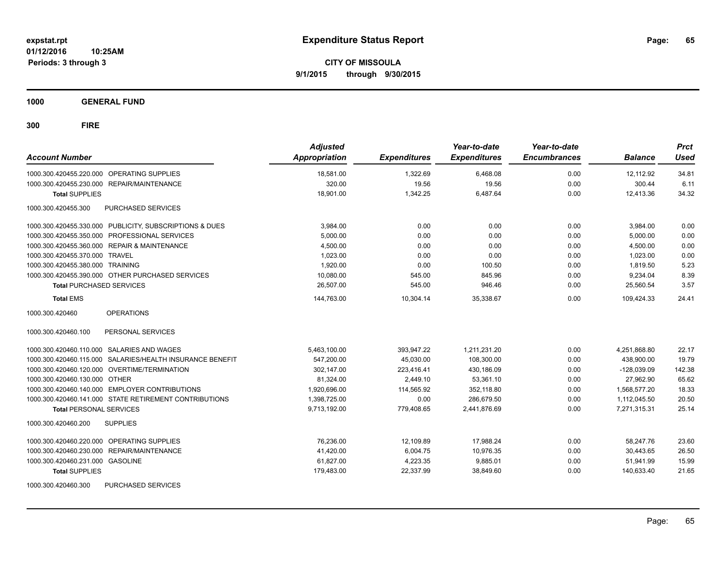**CITY OF MISSOULA 9/1/2015 through 9/30/2015**

**1000 GENERAL FUND**

| <b>Account Number</b>                                      | <b>Adjusted</b><br>Appropriation | <b>Expenditures</b> | Year-to-date<br><b>Expenditures</b> | Year-to-date<br><b>Encumbrances</b> | <b>Balance</b> | <b>Prct</b><br><b>Used</b> |
|------------------------------------------------------------|----------------------------------|---------------------|-------------------------------------|-------------------------------------|----------------|----------------------------|
| 1000.300.420455.220.000 OPERATING SUPPLIES                 | 18,581.00                        | 1,322.69            | 6,468.08                            | 0.00                                | 12,112.92      | 34.81                      |
| 1000.300.420455.230.000 REPAIR/MAINTENANCE                 | 320.00                           | 19.56               | 19.56                               | 0.00                                | 300.44         | 6.11                       |
| <b>Total SUPPLIES</b>                                      | 18,901.00                        | 1,342.25            | 6,487.64                            | 0.00                                | 12,413.36      | 34.32                      |
| PURCHASED SERVICES<br>1000.300.420455.300                  |                                  |                     |                                     |                                     |                |                            |
| 1000.300.420455.330.000 PUBLICITY, SUBSCRIPTIONS & DUES    | 3,984.00                         | 0.00                | 0.00                                | 0.00                                | 3,984.00       | 0.00                       |
| PROFESSIONAL SERVICES<br>1000.300.420455.350.000           | 5,000.00                         | 0.00                | 0.00                                | 0.00                                | 5,000.00       | 0.00                       |
| <b>REPAIR &amp; MAINTENANCE</b><br>1000.300.420455.360.000 | 4,500.00                         | 0.00                | 0.00                                | 0.00                                | 4,500.00       | 0.00                       |
| 1000.300.420455.370.000 TRAVEL                             | 1,023.00                         | 0.00                | 0.00                                | 0.00                                | 1,023.00       | 0.00                       |
| 1000.300.420455.380.000 TRAINING                           | 1,920.00                         | 0.00                | 100.50                              | 0.00                                | 1.819.50       | 5.23                       |
| 1000.300.420455.390.000 OTHER PURCHASED SERVICES           | 10,080.00                        | 545.00              | 845.96                              | 0.00                                | 9,234.04       | 8.39                       |
| <b>Total PURCHASED SERVICES</b>                            | 26,507.00                        | 545.00              | 946.46                              | 0.00                                | 25,560.54      | 3.57                       |
| <b>Total EMS</b>                                           | 144,763.00                       | 10,304.14           | 35,338.67                           | 0.00                                | 109.424.33     | 24.41                      |
| 1000.300.420460<br><b>OPERATIONS</b>                       |                                  |                     |                                     |                                     |                |                            |
| 1000.300.420460.100<br>PERSONAL SERVICES                   |                                  |                     |                                     |                                     |                |                            |
| 1000.300.420460.110.000 SALARIES AND WAGES                 | 5,463,100.00                     | 393,947.22          | 1,211,231.20                        | 0.00                                | 4,251,868.80   | 22.17                      |
| 1000.300.420460.115.000 SALARIES/HEALTH INSURANCE BENEFIT  | 547,200.00                       | 45,030.00           | 108,300.00                          | 0.00                                | 438,900.00     | 19.79                      |
| 1000.300.420460.120.000 OVERTIME/TERMINATION               | 302,147.00                       | 223,416.41          | 430,186.09                          | 0.00                                | $-128,039.09$  | 142.38                     |
| 1000.300.420460.130.000 OTHER                              | 81.324.00                        | 2.449.10            | 53.361.10                           | 0.00                                | 27.962.90      | 65.62                      |
| 1000.300.420460.140.000 EMPLOYER CONTRIBUTIONS             | 1.920.696.00                     | 114.565.92          | 352.118.80                          | 0.00                                | 1.568.577.20   | 18.33                      |
| 1000.300.420460.141.000 STATE RETIREMENT CONTRIBUTIONS     | 1,398,725.00                     | 0.00                | 286,679.50                          | 0.00                                | 1,112,045.50   | 20.50                      |
| <b>Total PERSONAL SERVICES</b>                             | 9,713,192.00                     | 779,408.65          | 2,441,876.69                        | 0.00                                | 7,271,315.31   | 25.14                      |
| 1000.300.420460.200<br><b>SUPPLIES</b>                     |                                  |                     |                                     |                                     |                |                            |
| <b>OPERATING SUPPLIES</b><br>1000.300.420460.220.000       | 76,236.00                        | 12,109.89           | 17,988.24                           | 0.00                                | 58,247.76      | 23.60                      |
| 1000.300.420460.230.000<br><b>REPAIR/MAINTENANCE</b>       | 41,420.00                        | 6,004.75            | 10,976.35                           | 0.00                                | 30,443.65      | 26.50                      |
| 1000.300.420460.231.000 GASOLINE                           | 61,827.00                        | 4,223.35            | 9,885.01                            | 0.00                                | 51,941.99      | 15.99                      |
| <b>Total SUPPLIES</b>                                      | 179,483.00                       | 22,337.99           | 38,849.60                           | 0.00                                | 140,633.40     | 21.65                      |
| 1000.300.420460.300<br>PURCHASED SERVICES                  |                                  |                     |                                     |                                     |                |                            |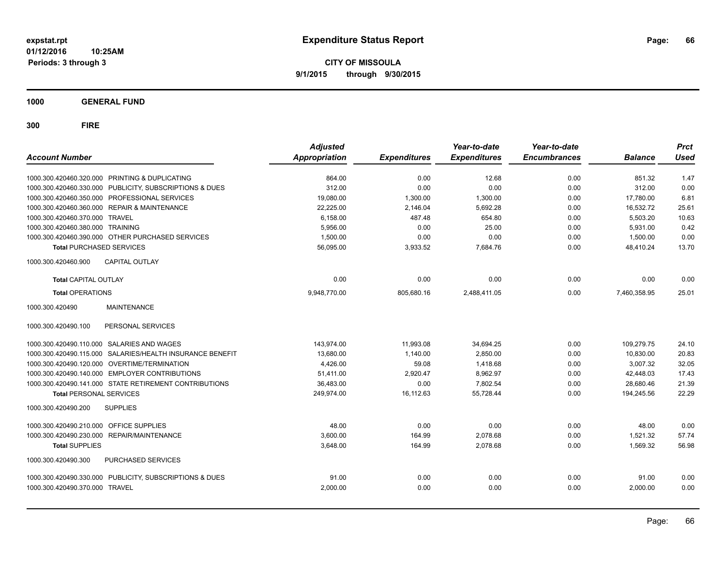**CITY OF MISSOULA 9/1/2015 through 9/30/2015**

**1000 GENERAL FUND**

| <b>Account Number</b>                                     | <b>Adjusted</b><br><b>Appropriation</b> | <b>Expenditures</b> | Year-to-date<br><b>Expenditures</b> | Year-to-date<br><b>Encumbrances</b> | <b>Balance</b> | <b>Prct</b><br><b>Used</b> |
|-----------------------------------------------------------|-----------------------------------------|---------------------|-------------------------------------|-------------------------------------|----------------|----------------------------|
| 1000.300.420460.320.000 PRINTING & DUPLICATING            | 864.00                                  | 0.00                | 12.68                               | 0.00                                | 851.32         | 1.47                       |
| 1000.300.420460.330.000 PUBLICITY, SUBSCRIPTIONS & DUES   | 312.00                                  | 0.00                | 0.00                                | 0.00                                | 312.00         | 0.00                       |
| 1000.300.420460.350.000 PROFESSIONAL SERVICES             | 19,080.00                               | 1,300.00            | 1,300.00                            | 0.00                                | 17,780.00      | 6.81                       |
| 1000.300.420460.360.000 REPAIR & MAINTENANCE              | 22,225.00                               | 2,146.04            | 5,692.28                            | 0.00                                | 16,532.72      | 25.61                      |
| 1000.300.420460.370.000 TRAVEL                            | 6,158.00                                | 487.48              | 654.80                              | 0.00                                | 5.503.20       | 10.63                      |
| 1000.300.420460.380.000 TRAINING                          | 5,956.00                                | 0.00                | 25.00                               | 0.00                                | 5,931.00       | 0.42                       |
| 1000.300.420460.390.000 OTHER PURCHASED SERVICES          | 1,500.00                                | 0.00                | 0.00                                | 0.00                                | 1,500.00       | 0.00                       |
| <b>Total PURCHASED SERVICES</b>                           | 56,095.00                               | 3,933.52            | 7,684.76                            | 0.00                                | 48.410.24      | 13.70                      |
| <b>CAPITAL OUTLAY</b><br>1000.300.420460.900              |                                         |                     |                                     |                                     |                |                            |
| <b>Total CAPITAL OUTLAY</b>                               | 0.00                                    | 0.00                | 0.00                                | 0.00                                | 0.00           | 0.00                       |
| <b>Total OPERATIONS</b>                                   | 9,948,770.00                            | 805,680.16          | 2,488,411.05                        | 0.00                                | 7,460,358.95   | 25.01                      |
| <b>MAINTENANCE</b><br>1000.300.420490                     |                                         |                     |                                     |                                     |                |                            |
| 1000.300.420490.100<br>PERSONAL SERVICES                  |                                         |                     |                                     |                                     |                |                            |
| 1000.300.420490.110.000 SALARIES AND WAGES                | 143.974.00                              | 11,993.08           | 34,694.25                           | 0.00                                | 109,279.75     | 24.10                      |
| 1000.300.420490.115.000 SALARIES/HEALTH INSURANCE BENEFIT | 13,680.00                               | 1,140.00            | 2.850.00                            | 0.00                                | 10.830.00      | 20.83                      |
| 1000.300.420490.120.000 OVERTIME/TERMINATION              | 4,426.00                                | 59.08               | 1,418.68                            | 0.00                                | 3,007.32       | 32.05                      |
| 1000.300.420490.140.000 EMPLOYER CONTRIBUTIONS            | 51,411.00                               | 2,920.47            | 8,962.97                            | 0.00                                | 42,448.03      | 17.43                      |
| 1000.300.420490.141.000 STATE RETIREMENT CONTRIBUTIONS    | 36,483.00                               | 0.00                | 7,802.54                            | 0.00                                | 28,680.46      | 21.39                      |
| <b>Total PERSONAL SERVICES</b>                            | 249,974.00                              | 16,112.63           | 55,728.44                           | 0.00                                | 194,245.56     | 22.29                      |
| 1000.300.420490.200<br><b>SUPPLIES</b>                    |                                         |                     |                                     |                                     |                |                            |
| 1000.300.420490.210.000 OFFICE SUPPLIES                   | 48.00                                   | 0.00                | 0.00                                | 0.00                                | 48.00          | 0.00                       |
| 1000.300.420490.230.000 REPAIR/MAINTENANCE                | 3,600.00                                | 164.99              | 2,078.68                            | 0.00                                | 1,521.32       | 57.74                      |
| <b>Total SUPPLIES</b>                                     | 3,648.00                                | 164.99              | 2,078.68                            | 0.00                                | 1,569.32       | 56.98                      |
| PURCHASED SERVICES<br>1000.300.420490.300                 |                                         |                     |                                     |                                     |                |                            |
| 1000.300.420490.330.000 PUBLICITY, SUBSCRIPTIONS & DUES   | 91.00                                   | 0.00                | 0.00                                | 0.00                                | 91.00          | 0.00                       |
| 1000.300.420490.370.000 TRAVEL                            | 2,000.00                                | 0.00                | 0.00                                | 0.00                                | 2,000.00       | 0.00                       |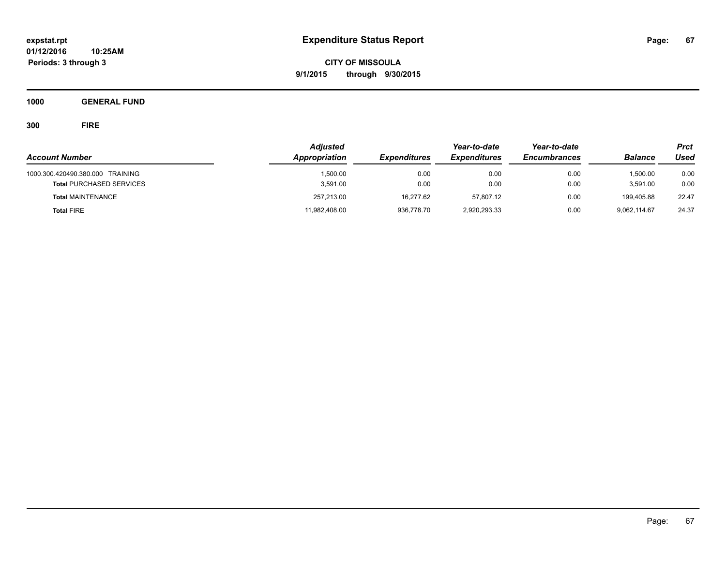**CITY OF MISSOULA 9/1/2015 through 9/30/2015**

**1000 GENERAL FUND**

|                                  | <b>Adjusted</b> |                     | Year-to-date        | Year-to-date        |                | <b>Prct</b> |
|----------------------------------|-----------------|---------------------|---------------------|---------------------|----------------|-------------|
| <b>Account Number</b>            | Appropriation   | <b>Expenditures</b> | <b>Expenditures</b> | <b>Encumbrances</b> | <b>Balance</b> | Used        |
| 1000.300.420490.380.000 TRAINING | 1,500.00        | 0.00                | 0.00                | 0.00                | 1.500.00       | 0.00        |
| <b>Total PURCHASED SERVICES</b>  | 3.591.00        | 0.00                | 0.00                | 0.00                | 3.591.00       | 0.00        |
| <b>Total MAINTENANCE</b>         | 257,213.00      | 16,277.62           | 57.807.12           | 0.00                | 199.405.88     | 22.47       |
| <b>Total FIRE</b>                | 11,982,408.00   | 936,778.70          | 2,920,293.33        | 0.00                | 9,062,114.67   | 24.37       |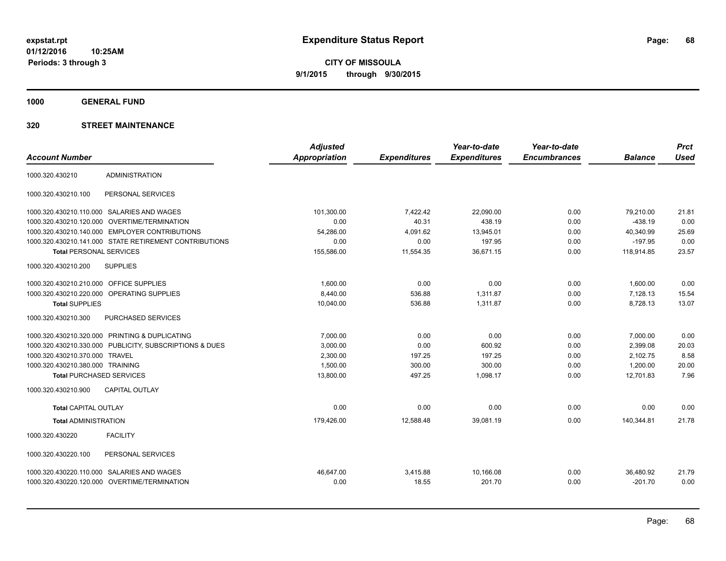**1000 GENERAL FUND**

|                                  |                                                         | <b>Adjusted</b>      |                     | Year-to-date        | Year-to-date        |                | <b>Prct</b> |
|----------------------------------|---------------------------------------------------------|----------------------|---------------------|---------------------|---------------------|----------------|-------------|
| <b>Account Number</b>            |                                                         | <b>Appropriation</b> | <b>Expenditures</b> | <b>Expenditures</b> | <b>Encumbrances</b> | <b>Balance</b> | <b>Used</b> |
| 1000.320.430210                  | <b>ADMINISTRATION</b>                                   |                      |                     |                     |                     |                |             |
| 1000.320.430210.100              | PERSONAL SERVICES                                       |                      |                     |                     |                     |                |             |
|                                  | 1000.320.430210.110.000 SALARIES AND WAGES              | 101.300.00           | 7,422.42            | 22.090.00           | 0.00                | 79,210.00      | 21.81       |
| 1000.320.430210.120.000          | <b>OVERTIME/TERMINATION</b>                             | 0.00                 | 40.31               | 438.19              | 0.00                | $-438.19$      | 0.00        |
|                                  | 1000.320.430210.140.000 EMPLOYER CONTRIBUTIONS          | 54,286.00            | 4,091.62            | 13,945.01           | 0.00                | 40,340.99      | 25.69       |
|                                  | 1000.320.430210.141.000 STATE RETIREMENT CONTRIBUTIONS  | 0.00                 | 0.00                | 197.95              | 0.00                | $-197.95$      | 0.00        |
| <b>Total PERSONAL SERVICES</b>   |                                                         | 155,586.00           | 11,554.35           | 36,671.15           | 0.00                | 118,914.85     | 23.57       |
| 1000.320.430210.200              | <b>SUPPLIES</b>                                         |                      |                     |                     |                     |                |             |
| 1000.320.430210.210.000          | OFFICE SUPPLIES                                         | 1,600.00             | 0.00                | 0.00                | 0.00                | 1,600.00       | 0.00        |
|                                  | 1000.320.430210.220.000 OPERATING SUPPLIES              | 8,440.00             | 536.88              | 1,311.87            | 0.00                | 7,128.13       | 15.54       |
| <b>Total SUPPLIES</b>            |                                                         | 10,040.00            | 536.88              | 1,311.87            | 0.00                | 8,728.13       | 13.07       |
| 1000.320.430210.300              | PURCHASED SERVICES                                      |                      |                     |                     |                     |                |             |
|                                  | 1000.320.430210.320.000 PRINTING & DUPLICATING          | 7,000.00             | 0.00                | 0.00                | 0.00                | 7,000.00       | 0.00        |
|                                  | 1000.320.430210.330.000 PUBLICITY, SUBSCRIPTIONS & DUES | 3,000.00             | 0.00                | 600.92              | 0.00                | 2,399.08       | 20.03       |
| 1000.320.430210.370.000 TRAVEL   |                                                         | 2,300.00             | 197.25              | 197.25              | 0.00                | 2,102.75       | 8.58        |
| 1000.320.430210.380.000 TRAINING |                                                         | 1,500.00             | 300.00              | 300.00              | 0.00                | 1,200.00       | 20.00       |
| <b>Total PURCHASED SERVICES</b>  |                                                         | 13,800.00            | 497.25              | 1,098.17            | 0.00                | 12,701.83      | 7.96        |
| 1000.320.430210.900              | <b>CAPITAL OUTLAY</b>                                   |                      |                     |                     |                     |                |             |
| <b>Total CAPITAL OUTLAY</b>      |                                                         | 0.00                 | 0.00                | 0.00                | 0.00                | 0.00           | 0.00        |
| <b>Total ADMINISTRATION</b>      |                                                         | 179,426.00           | 12,588.48           | 39,081.19           | 0.00                | 140,344.81     | 21.78       |
| 1000.320.430220                  | <b>FACILITY</b>                                         |                      |                     |                     |                     |                |             |
| 1000.320.430220.100              | PERSONAL SERVICES                                       |                      |                     |                     |                     |                |             |
| 1000.320.430220.110.000          | SALARIES AND WAGES                                      | 46.647.00            | 3,415.88            | 10,166.08           | 0.00                | 36,480.92      | 21.79       |
|                                  | 1000.320.430220.120.000 OVERTIME/TERMINATION            | 0.00                 | 18.55               | 201.70              | 0.00                | $-201.70$      | 0.00        |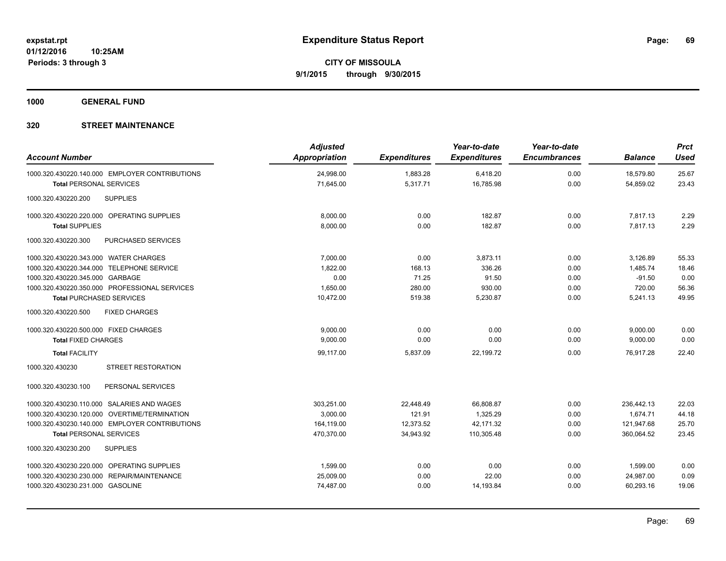**1000 GENERAL FUND**

| <b>Account Number</b>                          | <b>Adjusted</b><br>Appropriation | <b>Expenditures</b> | Year-to-date<br><b>Expenditures</b> | Year-to-date<br><b>Encumbrances</b> | <b>Balance</b> | <b>Prct</b><br><b>Used</b> |
|------------------------------------------------|----------------------------------|---------------------|-------------------------------------|-------------------------------------|----------------|----------------------------|
| 1000.320.430220.140.000 EMPLOYER CONTRIBUTIONS | 24,998.00                        | 1,883.28            | 6,418.20                            | 0.00                                | 18,579.80      | 25.67                      |
| <b>Total PERSONAL SERVICES</b>                 | 71,645.00                        | 5,317.71            | 16,785.98                           | 0.00                                | 54,859.02      | 23.43                      |
| <b>SUPPLIES</b><br>1000.320.430220.200         |                                  |                     |                                     |                                     |                |                            |
| 1000.320.430220.220.000 OPERATING SUPPLIES     | 8,000.00                         | 0.00                | 182.87                              | 0.00                                | 7,817.13       | 2.29                       |
| <b>Total SUPPLIES</b>                          | 8,000.00                         | 0.00                | 182.87                              | 0.00                                | 7,817.13       | 2.29                       |
| 1000.320.430220.300<br>PURCHASED SERVICES      |                                  |                     |                                     |                                     |                |                            |
| 1000.320.430220.343.000 WATER CHARGES          | 7,000.00                         | 0.00                | 3,873.11                            | 0.00                                | 3,126.89       | 55.33                      |
| 1000.320.430220.344.000 TELEPHONE SERVICE      | 1,822.00                         | 168.13              | 336.26                              | 0.00                                | 1.485.74       | 18.46                      |
| 1000.320.430220.345.000 GARBAGE                | 0.00                             | 71.25               | 91.50                               | 0.00                                | $-91.50$       | 0.00                       |
| 1000.320.430220.350.000 PROFESSIONAL SERVICES  | 1,650.00                         | 280.00              | 930.00                              | 0.00                                | 720.00         | 56.36                      |
| <b>Total PURCHASED SERVICES</b>                | 10,472.00                        | 519.38              | 5,230.87                            | 0.00                                | 5,241.13       | 49.95                      |
| <b>FIXED CHARGES</b><br>1000.320.430220.500    |                                  |                     |                                     |                                     |                |                            |
| 1000.320.430220.500.000 FIXED CHARGES          | 9.000.00                         | 0.00                | 0.00                                | 0.00                                | 9,000.00       | 0.00                       |
| <b>Total FIXED CHARGES</b>                     | 9,000.00                         | 0.00                | 0.00                                | 0.00                                | 9,000.00       | 0.00                       |
| <b>Total FACILITY</b>                          | 99,117.00                        | 5,837.09            | 22,199.72                           | 0.00                                | 76,917.28      | 22.40                      |
| <b>STREET RESTORATION</b><br>1000.320.430230   |                                  |                     |                                     |                                     |                |                            |
| PERSONAL SERVICES<br>1000.320.430230.100       |                                  |                     |                                     |                                     |                |                            |
| 1000.320.430230.110.000 SALARIES AND WAGES     | 303.251.00                       | 22.448.49           | 66.808.87                           | 0.00                                | 236.442.13     | 22.03                      |
| 1000.320.430230.120.000 OVERTIME/TERMINATION   | 3,000.00                         | 121.91              | 1,325.29                            | 0.00                                | 1,674.71       | 44.18                      |
| 1000.320.430230.140.000 EMPLOYER CONTRIBUTIONS | 164,119.00                       | 12,373.52           | 42,171.32                           | 0.00                                | 121,947.68     | 25.70                      |
| <b>Total PERSONAL SERVICES</b>                 | 470,370.00                       | 34,943.92           | 110,305.48                          | 0.00                                | 360,064.52     | 23.45                      |
| 1000.320.430230.200<br><b>SUPPLIES</b>         |                                  |                     |                                     |                                     |                |                            |
| 1000.320.430230.220.000 OPERATING SUPPLIES     | 1,599.00                         | 0.00                | 0.00                                | 0.00                                | 1,599.00       | 0.00                       |
| 1000.320.430230.230.000 REPAIR/MAINTENANCE     | 25,009.00                        | 0.00                | 22.00                               | 0.00                                | 24,987.00      | 0.09                       |
| 1000.320.430230.231.000 GASOLINE               | 74,487.00                        | 0.00                | 14,193.84                           | 0.00                                | 60,293.16      | 19.06                      |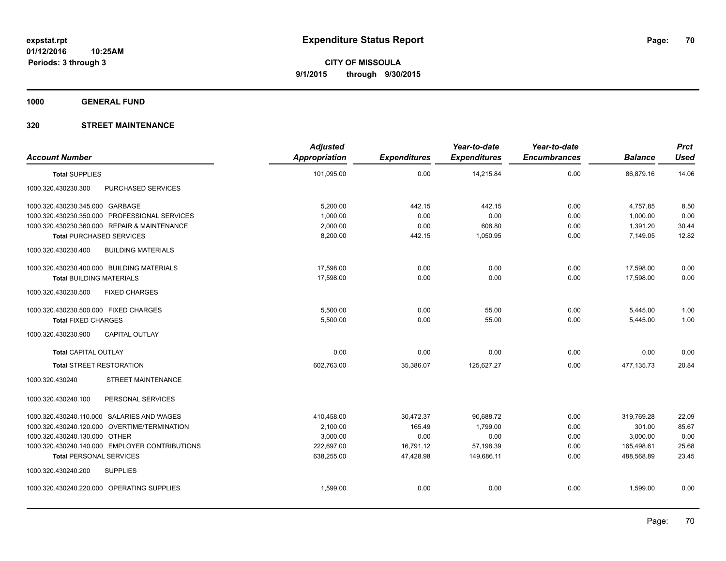**1000 GENERAL FUND**

| <b>Account Number</b>                            | <b>Adjusted</b><br>Appropriation | <b>Expenditures</b> | Year-to-date<br><b>Expenditures</b> | Year-to-date<br><b>Encumbrances</b> | <b>Balance</b> | <b>Prct</b><br><b>Used</b> |
|--------------------------------------------------|----------------------------------|---------------------|-------------------------------------|-------------------------------------|----------------|----------------------------|
| <b>Total SUPPLIES</b>                            | 101,095.00                       | 0.00                | 14,215.84                           | 0.00                                | 86,879.16      | 14.06                      |
| PURCHASED SERVICES<br>1000.320.430230.300        |                                  |                     |                                     |                                     |                |                            |
| 1000.320.430230.345.000 GARBAGE                  | 5,200.00                         | 442.15              | 442.15                              | 0.00                                | 4,757.85       | 8.50                       |
| 1000.320.430230.350.000 PROFESSIONAL SERVICES    | 1,000.00                         | 0.00                | 0.00                                | 0.00                                | 1,000.00       | 0.00                       |
| 1000.320.430230.360.000 REPAIR & MAINTENANCE     | 2,000.00                         | 0.00                | 608.80                              | 0.00                                | 1,391.20       | 30.44                      |
| <b>Total PURCHASED SERVICES</b>                  | 8,200.00                         | 442.15              | 1,050.95                            | 0.00                                | 7.149.05       | 12.82                      |
| 1000.320.430230.400<br><b>BUILDING MATERIALS</b> |                                  |                     |                                     |                                     |                |                            |
| 1000.320.430230.400.000 BUILDING MATERIALS       | 17,598.00                        | 0.00                | 0.00                                | 0.00                                | 17,598.00      | 0.00                       |
| <b>Total BUILDING MATERIALS</b>                  | 17,598.00                        | 0.00                | 0.00                                | 0.00                                | 17,598.00      | 0.00                       |
| 1000.320.430230.500<br><b>FIXED CHARGES</b>      |                                  |                     |                                     |                                     |                |                            |
| 1000.320.430230.500.000 FIXED CHARGES            | 5,500.00                         | 0.00                | 55.00                               | 0.00                                | 5,445.00       | 1.00                       |
| <b>Total FIXED CHARGES</b>                       | 5,500.00                         | 0.00                | 55.00                               | 0.00                                | 5,445.00       | 1.00                       |
| <b>CAPITAL OUTLAY</b><br>1000.320.430230.900     |                                  |                     |                                     |                                     |                |                            |
| <b>Total CAPITAL OUTLAY</b>                      | 0.00                             | 0.00                | 0.00                                | 0.00                                | 0.00           | 0.00                       |
| <b>Total STREET RESTORATION</b>                  | 602,763.00                       | 35,386.07           | 125,627.27                          | 0.00                                | 477, 135.73    | 20.84                      |
| STREET MAINTENANCE<br>1000.320.430240            |                                  |                     |                                     |                                     |                |                            |
| 1000.320.430240.100<br>PERSONAL SERVICES         |                                  |                     |                                     |                                     |                |                            |
| 1000.320.430240.110.000 SALARIES AND WAGES       | 410,458.00                       | 30,472.37           | 90,688.72                           | 0.00                                | 319,769.28     | 22.09                      |
| 1000.320.430240.120.000 OVERTIME/TERMINATION     | 2,100.00                         | 165.49              | 1,799.00                            | 0.00                                | 301.00         | 85.67                      |
| 1000.320.430240.130.000 OTHER                    | 3,000.00                         | 0.00                | 0.00                                | 0.00                                | 3,000.00       | 0.00                       |
| 1000.320.430240.140.000 EMPLOYER CONTRIBUTIONS   | 222,697.00                       | 16,791.12           | 57,198.39                           | 0.00                                | 165,498.61     | 25.68                      |
| <b>Total PERSONAL SERVICES</b>                   | 638,255.00                       | 47,428.98           | 149,686.11                          | 0.00                                | 488.568.89     | 23.45                      |
| 1000.320.430240.200<br><b>SUPPLIES</b>           |                                  |                     |                                     |                                     |                |                            |
| 1000.320.430240.220.000 OPERATING SUPPLIES       | 1,599.00                         | 0.00                | 0.00                                | 0.00                                | 1,599.00       | 0.00                       |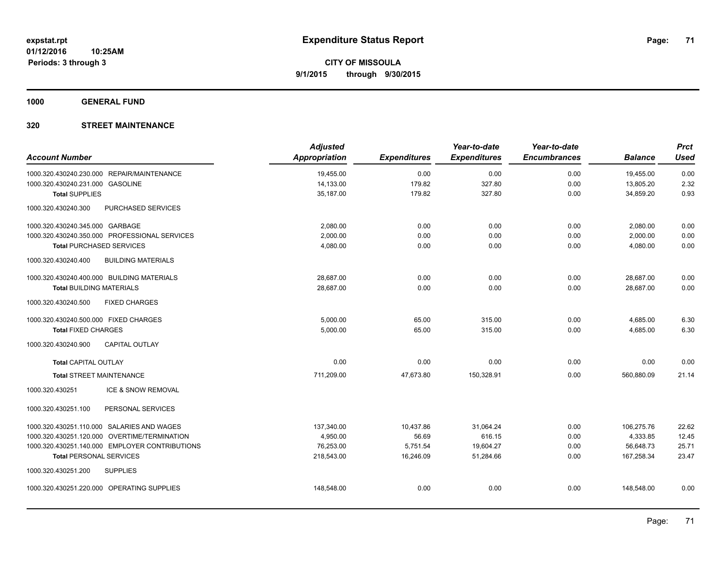**1000 GENERAL FUND**

| <b>Account Number</b>                      |                                                | <b>Adjusted</b> |                     | Year-to-date        | Year-to-date<br><b>Encumbrances</b> | <b>Balance</b> | <b>Prct</b><br><b>Used</b> |
|--------------------------------------------|------------------------------------------------|-----------------|---------------------|---------------------|-------------------------------------|----------------|----------------------------|
|                                            |                                                | Appropriation   | <b>Expenditures</b> | <b>Expenditures</b> |                                     |                |                            |
| 1000.320.430240.230.000 REPAIR/MAINTENANCE |                                                | 19,455.00       | 0.00                | 0.00                | 0.00                                | 19,455.00      | 0.00                       |
| 1000.320.430240.231.000 GASOLINE           |                                                | 14,133.00       | 179.82              | 327.80              | 0.00                                | 13,805.20      | 2.32                       |
| <b>Total SUPPLIES</b>                      |                                                | 35,187.00       | 179.82              | 327.80              | 0.00                                | 34,859.20      | 0.93                       |
| 1000.320.430240.300                        | PURCHASED SERVICES                             |                 |                     |                     |                                     |                |                            |
| 1000.320.430240.345.000 GARBAGE            |                                                | 2,080.00        | 0.00                | 0.00                | 0.00                                | 2,080.00       | 0.00                       |
|                                            | 1000.320.430240.350.000 PROFESSIONAL SERVICES  | 2,000.00        | 0.00                | 0.00                | 0.00                                | 2,000.00       | 0.00                       |
| <b>Total PURCHASED SERVICES</b>            |                                                | 4,080.00        | 0.00                | 0.00                | 0.00                                | 4,080.00       | 0.00                       |
| 1000.320.430240.400                        | <b>BUILDING MATERIALS</b>                      |                 |                     |                     |                                     |                |                            |
| 1000.320.430240.400.000 BUILDING MATERIALS |                                                | 28.687.00       | 0.00                | 0.00                | 0.00                                | 28.687.00      | 0.00                       |
| <b>Total BUILDING MATERIALS</b>            |                                                | 28,687.00       | 0.00                | 0.00                | 0.00                                | 28.687.00      | 0.00                       |
| 1000.320.430240.500                        | <b>FIXED CHARGES</b>                           |                 |                     |                     |                                     |                |                            |
| 1000.320.430240.500.000 FIXED CHARGES      |                                                | 5,000.00        | 65.00               | 315.00              | 0.00                                | 4,685.00       | 6.30                       |
| <b>Total FIXED CHARGES</b>                 |                                                | 5,000.00        | 65.00               | 315.00              | 0.00                                | 4,685.00       | 6.30                       |
| 1000.320.430240.900                        | <b>CAPITAL OUTLAY</b>                          |                 |                     |                     |                                     |                |                            |
| <b>Total CAPITAL OUTLAY</b>                |                                                | 0.00            | 0.00                | 0.00                | 0.00                                | 0.00           | 0.00                       |
| <b>Total STREET MAINTENANCE</b>            |                                                | 711.209.00      | 47.673.80           | 150.328.91          | 0.00                                | 560.880.09     | 21.14                      |
| 1000.320.430251                            | ICE & SNOW REMOVAL                             |                 |                     |                     |                                     |                |                            |
| 1000.320.430251.100                        | PERSONAL SERVICES                              |                 |                     |                     |                                     |                |                            |
| 1000.320.430251.110.000 SALARIES AND WAGES |                                                | 137,340.00      | 10,437.86           | 31,064.24           | 0.00                                | 106,275.76     | 22.62                      |
|                                            | 1000.320.430251.120.000 OVERTIME/TERMINATION   | 4,950.00        | 56.69               | 616.15              | 0.00                                | 4,333.85       | 12.45                      |
|                                            | 1000.320.430251.140.000 EMPLOYER CONTRIBUTIONS | 76,253.00       | 5,751.54            | 19,604.27           | 0.00                                | 56,648.73      | 25.71                      |
| <b>Total PERSONAL SERVICES</b>             |                                                | 218,543.00      | 16,246.09           | 51,284.66           | 0.00                                | 167,258.34     | 23.47                      |
| 1000.320.430251.200                        | <b>SUPPLIES</b>                                |                 |                     |                     |                                     |                |                            |
| 1000.320.430251.220.000 OPERATING SUPPLIES |                                                | 148,548.00      | 0.00                | 0.00                | 0.00                                | 148,548.00     | 0.00                       |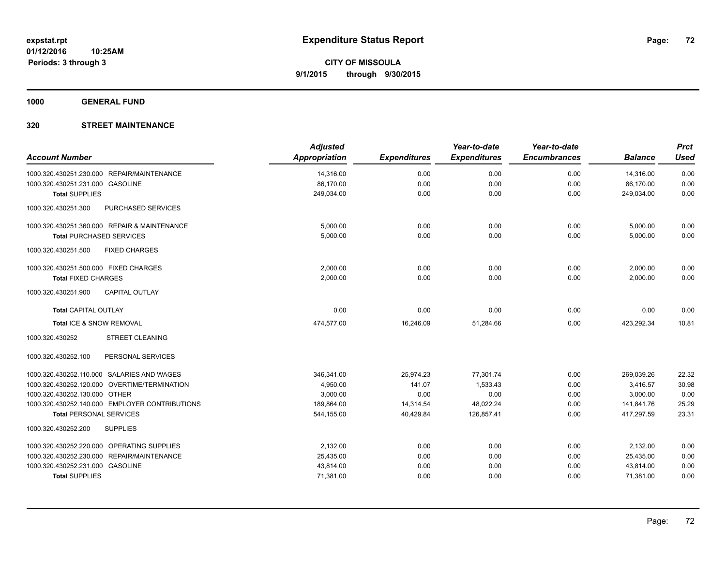**1000 GENERAL FUND**

| <b>Account Number</b>                          | <b>Adjusted</b><br><b>Appropriation</b> | <b>Expenditures</b> | Year-to-date<br><b>Expenditures</b> | Year-to-date<br><b>Encumbrances</b> | <b>Balance</b> | <b>Prct</b><br><b>Used</b> |
|------------------------------------------------|-----------------------------------------|---------------------|-------------------------------------|-------------------------------------|----------------|----------------------------|
| 1000.320.430251.230.000 REPAIR/MAINTENANCE     | 14,316.00                               | 0.00                | 0.00                                | 0.00                                | 14,316.00      | 0.00                       |
| 1000.320.430251.231.000 GASOLINE               | 86,170.00                               | 0.00                | 0.00                                | 0.00                                | 86,170.00      | 0.00                       |
| <b>Total SUPPLIES</b>                          | 249,034.00                              | 0.00                | 0.00                                | 0.00                                | 249,034.00     | 0.00                       |
| 1000.320.430251.300<br>PURCHASED SERVICES      |                                         |                     |                                     |                                     |                |                            |
| 1000.320.430251.360.000 REPAIR & MAINTENANCE   | 5,000.00                                | 0.00                | 0.00                                | 0.00                                | 5,000.00       | 0.00                       |
| <b>Total PURCHASED SERVICES</b>                | 5,000.00                                | 0.00                | 0.00                                | 0.00                                | 5,000.00       | 0.00                       |
| 1000.320.430251.500<br><b>FIXED CHARGES</b>    |                                         |                     |                                     |                                     |                |                            |
| 1000.320.430251.500.000 FIXED CHARGES          | 2,000.00                                | 0.00                | 0.00                                | 0.00                                | 2,000.00       | 0.00                       |
| <b>Total FIXED CHARGES</b>                     | 2,000.00                                | 0.00                | 0.00                                | 0.00                                | 2,000.00       | 0.00                       |
| <b>CAPITAL OUTLAY</b><br>1000.320.430251.900   |                                         |                     |                                     |                                     |                |                            |
| <b>Total CAPITAL OUTLAY</b>                    | 0.00                                    | 0.00                | 0.00                                | 0.00                                | 0.00           | 0.00                       |
| Total ICE & SNOW REMOVAL                       | 474,577.00                              | 16,246.09           | 51,284.66                           | 0.00                                | 423,292.34     | 10.81                      |
| <b>STREET CLEANING</b><br>1000.320.430252      |                                         |                     |                                     |                                     |                |                            |
| PERSONAL SERVICES<br>1000.320.430252.100       |                                         |                     |                                     |                                     |                |                            |
| 1000.320.430252.110.000 SALARIES AND WAGES     | 346,341.00                              | 25,974.23           | 77,301.74                           | 0.00                                | 269,039.26     | 22.32                      |
| 1000.320.430252.120.000 OVERTIME/TERMINATION   | 4,950.00                                | 141.07              | 1,533.43                            | 0.00                                | 3,416.57       | 30.98                      |
| 1000.320.430252.130.000 OTHER                  | 3,000.00                                | 0.00                | 0.00                                | 0.00                                | 3,000.00       | 0.00                       |
| 1000.320.430252.140.000 EMPLOYER CONTRIBUTIONS | 189,864.00                              | 14,314.54           | 48,022.24                           | 0.00                                | 141,841.76     | 25.29                      |
| <b>Total PERSONAL SERVICES</b>                 | 544,155.00                              | 40,429.84           | 126,857.41                          | 0.00                                | 417,297.59     | 23.31                      |
| 1000.320.430252.200<br><b>SUPPLIES</b>         |                                         |                     |                                     |                                     |                |                            |
| 1000.320.430252.220.000 OPERATING SUPPLIES     | 2,132.00                                | 0.00                | 0.00                                | 0.00                                | 2,132.00       | 0.00                       |
| 1000.320.430252.230.000 REPAIR/MAINTENANCE     | 25,435.00                               | 0.00                | 0.00                                | 0.00                                | 25,435.00      | 0.00                       |
| 1000.320.430252.231.000 GASOLINE               | 43,814.00                               | 0.00                | 0.00                                | 0.00                                | 43,814.00      | 0.00                       |
| <b>Total SUPPLIES</b>                          | 71,381.00                               | 0.00                | 0.00                                | 0.00                                | 71,381.00      | 0.00                       |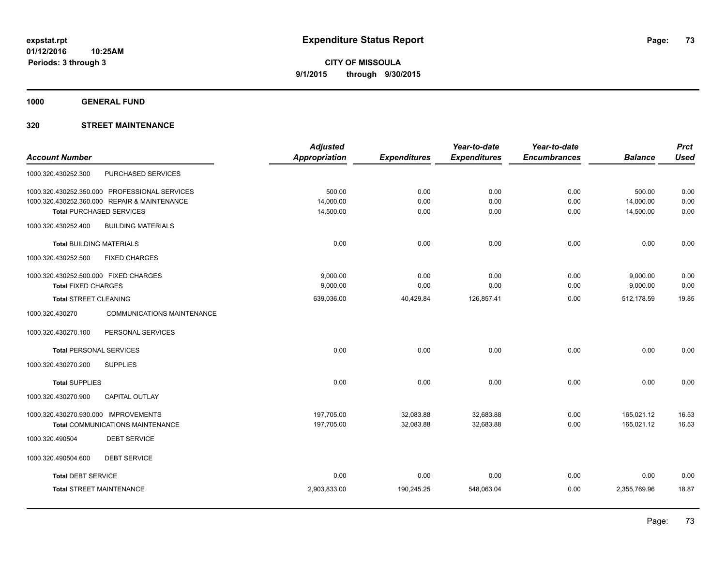**1000 GENERAL FUND**

## **320 STREET MAINTENANCE**

|                                                      | <b>Adjusted</b> |                     | Year-to-date        | Year-to-date        |                | <b>Prct</b> |
|------------------------------------------------------|-----------------|---------------------|---------------------|---------------------|----------------|-------------|
| <b>Account Number</b>                                | Appropriation   | <b>Expenditures</b> | <b>Expenditures</b> | <b>Encumbrances</b> | <b>Balance</b> | <b>Used</b> |
| PURCHASED SERVICES<br>1000.320.430252.300            |                 |                     |                     |                     |                |             |
| 1000.320.430252.350.000 PROFESSIONAL SERVICES        | 500.00          | 0.00                | 0.00                | 0.00                | 500.00         | 0.00        |
| 1000.320.430252.360.000 REPAIR & MAINTENANCE         | 14,000.00       | 0.00                | 0.00                | 0.00                | 14,000.00      | 0.00        |
| <b>Total PURCHASED SERVICES</b>                      | 14,500.00       | 0.00                | 0.00                | 0.00                | 14,500.00      | 0.00        |
| 1000.320.430252.400<br><b>BUILDING MATERIALS</b>     |                 |                     |                     |                     |                |             |
| <b>Total BUILDING MATERIALS</b>                      | 0.00            | 0.00                | 0.00                | 0.00                | 0.00           | 0.00        |
| 1000.320.430252.500<br><b>FIXED CHARGES</b>          |                 |                     |                     |                     |                |             |
| 1000.320.430252.500.000 FIXED CHARGES                | 9,000.00        | 0.00                | 0.00                | 0.00                | 9,000.00       | 0.00        |
| <b>Total FIXED CHARGES</b>                           | 9,000.00        | 0.00                | 0.00                | 0.00                | 9,000.00       | 0.00        |
| Total STREET CLEANING                                | 639,036.00      | 40,429.84           | 126,857.41          | 0.00                | 512,178.59     | 19.85       |
| 1000.320.430270<br><b>COMMUNICATIONS MAINTENANCE</b> |                 |                     |                     |                     |                |             |
| 1000.320.430270.100<br>PERSONAL SERVICES             |                 |                     |                     |                     |                |             |
| <b>Total PERSONAL SERVICES</b>                       | 0.00            | 0.00                | 0.00                | 0.00                | 0.00           | 0.00        |
| 1000.320.430270.200<br><b>SUPPLIES</b>               |                 |                     |                     |                     |                |             |
| <b>Total SUPPLIES</b>                                | 0.00            | 0.00                | 0.00                | 0.00                | 0.00           | 0.00        |
| 1000.320.430270.900<br><b>CAPITAL OUTLAY</b>         |                 |                     |                     |                     |                |             |
| 1000.320.430270.930.000 IMPROVEMENTS                 | 197,705.00      | 32,083.88           | 32,683.88           | 0.00                | 165,021.12     | 16.53       |
| <b>Total COMMUNICATIONS MAINTENANCE</b>              | 197,705.00      | 32,083.88           | 32,683.88           | 0.00                | 165,021.12     | 16.53       |
| <b>DEBT SERVICE</b><br>1000.320.490504               |                 |                     |                     |                     |                |             |
| 1000.320.490504.600<br><b>DEBT SERVICE</b>           |                 |                     |                     |                     |                |             |
| <b>Total DEBT SERVICE</b>                            | 0.00            | 0.00                | 0.00                | 0.00                | 0.00           | 0.00        |
| <b>Total STREET MAINTENANCE</b>                      | 2,903,833.00    | 190,245.25          | 548,063.04          | 0.00                | 2,355,769.96   | 18.87       |
|                                                      |                 |                     |                     |                     |                |             |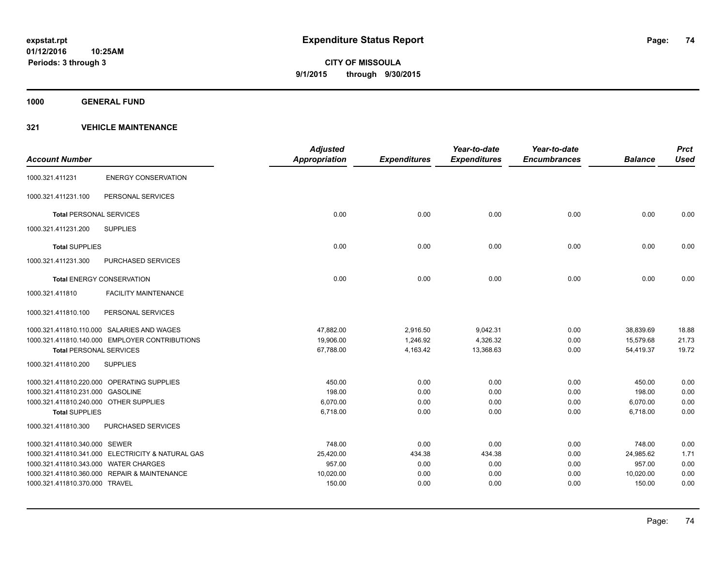**1000 GENERAL FUND**

|                                        |                                                   | <b>Adjusted</b>      |                     | Year-to-date        | Year-to-date        |                | <b>Prct</b> |
|----------------------------------------|---------------------------------------------------|----------------------|---------------------|---------------------|---------------------|----------------|-------------|
| <b>Account Number</b>                  |                                                   | <b>Appropriation</b> | <b>Expenditures</b> | <b>Expenditures</b> | <b>Encumbrances</b> | <b>Balance</b> | <b>Used</b> |
| 1000.321.411231                        | <b>ENERGY CONSERVATION</b>                        |                      |                     |                     |                     |                |             |
| 1000.321.411231.100                    | PERSONAL SERVICES                                 |                      |                     |                     |                     |                |             |
| <b>Total PERSONAL SERVICES</b>         |                                                   | 0.00                 | 0.00                | 0.00                | 0.00                | 0.00           | 0.00        |
| 1000.321.411231.200                    | <b>SUPPLIES</b>                                   |                      |                     |                     |                     |                |             |
| <b>Total SUPPLIES</b>                  |                                                   | 0.00                 | 0.00                | 0.00                | 0.00                | 0.00           | 0.00        |
| 1000.321.411231.300                    | PURCHASED SERVICES                                |                      |                     |                     |                     |                |             |
|                                        | <b>Total ENERGY CONSERVATION</b>                  | 0.00                 | 0.00                | 0.00                | 0.00                | 0.00           | 0.00        |
| 1000.321.411810                        | <b>FACILITY MAINTENANCE</b>                       |                      |                     |                     |                     |                |             |
| 1000.321.411810.100                    | PERSONAL SERVICES                                 |                      |                     |                     |                     |                |             |
|                                        | 1000.321.411810.110.000 SALARIES AND WAGES        | 47.882.00            | 2,916.50            | 9,042.31            | 0.00                | 38,839.69      | 18.88       |
|                                        | 1000.321.411810.140.000 EMPLOYER CONTRIBUTIONS    | 19,906.00            | 1,246.92            | 4,326.32            | 0.00                | 15,579.68      | 21.73       |
| <b>Total PERSONAL SERVICES</b>         |                                                   | 67,788.00            | 4,163.42            | 13,368.63           | 0.00                | 54,419.37      | 19.72       |
| 1000.321.411810.200                    | <b>SUPPLIES</b>                                   |                      |                     |                     |                     |                |             |
|                                        | 1000.321.411810.220.000 OPERATING SUPPLIES        | 450.00               | 0.00                | 0.00                | 0.00                | 450.00         | 0.00        |
| 1000.321.411810.231.000 GASOLINE       |                                                   | 198.00               | 0.00                | 0.00                | 0.00                | 198.00         | 0.00        |
| 1000.321.411810.240.000 OTHER SUPPLIES |                                                   | 6,070.00             | 0.00                | 0.00                | 0.00                | 6,070.00       | 0.00        |
| <b>Total SUPPLIES</b>                  |                                                   | 6,718.00             | 0.00                | 0.00                | 0.00                | 6,718.00       | 0.00        |
| 1000.321.411810.300                    | <b>PURCHASED SERVICES</b>                         |                      |                     |                     |                     |                |             |
| 1000.321.411810.340.000 SEWER          |                                                   | 748.00               | 0.00                | 0.00                | 0.00                | 748.00         | 0.00        |
|                                        | 1000.321.411810.341.000 ELECTRICITY & NATURAL GAS | 25,420.00            | 434.38              | 434.38              | 0.00                | 24,985.62      | 1.71        |
| 1000.321.411810.343.000 WATER CHARGES  |                                                   | 957.00               | 0.00                | 0.00                | 0.00                | 957.00         | 0.00        |
|                                        | 1000.321.411810.360.000 REPAIR & MAINTENANCE      | 10,020.00            | 0.00                | 0.00                | 0.00                | 10,020.00      | 0.00        |
| 1000.321.411810.370.000 TRAVEL         |                                                   | 150.00               | 0.00                | 0.00                | 0.00                | 150.00         | 0.00        |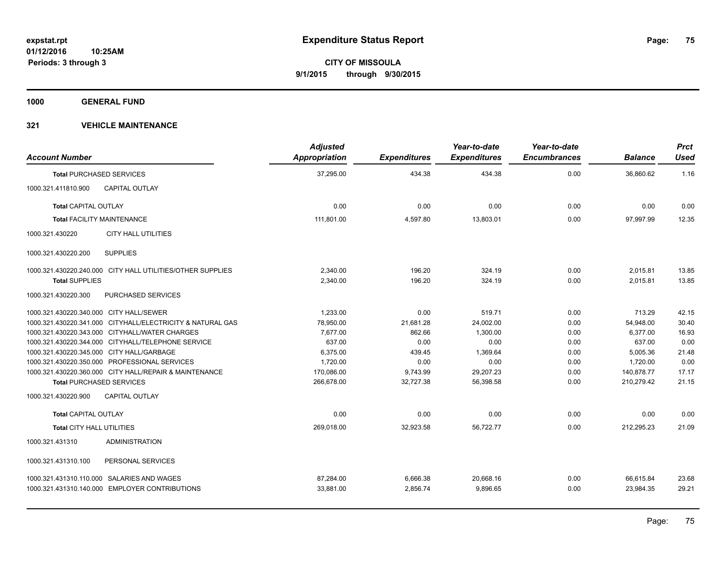**1000 GENERAL FUND**

| <b>Account Number</b>                   |                                                            | <b>Adjusted</b><br>Appropriation | <b>Expenditures</b> | Year-to-date<br><b>Expenditures</b> | Year-to-date<br><b>Encumbrances</b> | <b>Balance</b> | <b>Prct</b><br><b>Used</b> |
|-----------------------------------------|------------------------------------------------------------|----------------------------------|---------------------|-------------------------------------|-------------------------------------|----------------|----------------------------|
|                                         | <b>Total PURCHASED SERVICES</b>                            | 37,295.00                        | 434.38              | 434.38                              | 0.00                                | 36,860.62      | 1.16                       |
| 1000.321.411810.900                     | <b>CAPITAL OUTLAY</b>                                      |                                  |                     |                                     |                                     |                |                            |
| <b>Total CAPITAL OUTLAY</b>             |                                                            | 0.00                             | 0.00                | 0.00                                | 0.00                                | 0.00           | 0.00                       |
|                                         | <b>Total FACILITY MAINTENANCE</b>                          | 111,801.00                       | 4,597.80            | 13,803.01                           | 0.00                                | 97,997.99      | 12.35                      |
| 1000.321.430220                         | <b>CITY HALL UTILITIES</b>                                 |                                  |                     |                                     |                                     |                |                            |
| 1000.321.430220.200                     | <b>SUPPLIES</b>                                            |                                  |                     |                                     |                                     |                |                            |
|                                         | 1000.321.430220.240.000 CITY HALL UTILITIES/OTHER SUPPLIES | 2.340.00                         | 196.20              | 324.19                              | 0.00                                | 2,015.81       | 13.85                      |
| <b>Total SUPPLIES</b>                   |                                                            | 2,340.00                         | 196.20              | 324.19                              | 0.00                                | 2.015.81       | 13.85                      |
| 1000.321.430220.300                     | PURCHASED SERVICES                                         |                                  |                     |                                     |                                     |                |                            |
| 1000.321.430220.340.000 CITY HALL/SEWER |                                                            | 1.233.00                         | 0.00                | 519.71                              | 0.00                                | 713.29         | 42.15                      |
|                                         | 1000.321.430220.341.000 CITYHALL/ELECTRICITY & NATURAL GAS | 78,950.00                        | 21,681.28           | 24,002.00                           | 0.00                                | 54,948.00      | 30.40                      |
|                                         | 1000.321.430220.343.000 CITYHALL/WATER CHARGES             | 7,677.00                         | 862.66              | 1,300.00                            | 0.00                                | 6.377.00       | 16.93                      |
|                                         | 1000.321.430220.344.000 CITYHALL/TELEPHONE SERVICE         | 637.00                           | 0.00                | 0.00                                | 0.00                                | 637.00         | 0.00                       |
|                                         | 1000.321.430220.345.000 CITY HALL/GARBAGE                  | 6,375.00                         | 439.45              | 1,369.64                            | 0.00                                | 5,005.36       | 21.48                      |
|                                         | 1000.321.430220.350.000 PROFESSIONAL SERVICES              | 1,720.00                         | 0.00                | 0.00                                | 0.00                                | 1,720.00       | 0.00                       |
|                                         | 1000.321.430220.360.000 CITY HALL/REPAIR & MAINTENANCE     | 170,086.00                       | 9,743.99            | 29,207.23                           | 0.00                                | 140,878.77     | 17.17                      |
|                                         | <b>Total PURCHASED SERVICES</b>                            | 266,678.00                       | 32,727.38           | 56,398.58                           | 0.00                                | 210,279.42     | 21.15                      |
| 1000.321.430220.900                     | CAPITAL OUTLAY                                             |                                  |                     |                                     |                                     |                |                            |
| <b>Total CAPITAL OUTLAY</b>             |                                                            | 0.00                             | 0.00                | 0.00                                | 0.00                                | 0.00           | 0.00                       |
| Total CITY HALL UTILITIES               |                                                            | 269,018.00                       | 32,923.58           | 56,722.77                           | 0.00                                | 212,295.23     | 21.09                      |
| 1000.321.431310                         | <b>ADMINISTRATION</b>                                      |                                  |                     |                                     |                                     |                |                            |
| 1000.321.431310.100                     | PERSONAL SERVICES                                          |                                  |                     |                                     |                                     |                |                            |
|                                         | 1000.321.431310.110.000 SALARIES AND WAGES                 | 87.284.00                        | 6,666.38            | 20,668.16                           | 0.00                                | 66.615.84      | 23.68                      |
|                                         | 1000.321.431310.140.000 EMPLOYER CONTRIBUTIONS             | 33,881.00                        | 2,856.74            | 9,896.65                            | 0.00                                | 23,984.35      | 29.21                      |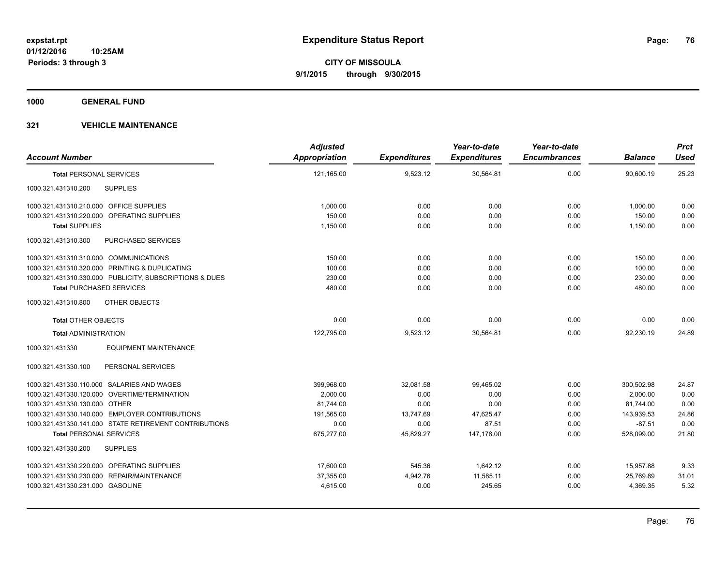**1000 GENERAL FUND**

| <b>Account Number</b>                                   | <b>Adjusted</b><br>Appropriation | <b>Expenditures</b> | Year-to-date<br><b>Expenditures</b> | Year-to-date<br><b>Encumbrances</b> | <b>Balance</b> | <b>Prct</b><br><b>Used</b> |
|---------------------------------------------------------|----------------------------------|---------------------|-------------------------------------|-------------------------------------|----------------|----------------------------|
| <b>Total PERSONAL SERVICES</b>                          | 121,165.00                       | 9,523.12            | 30,564.81                           | 0.00                                | 90.600.19      | 25.23                      |
| <b>SUPPLIES</b><br>1000.321.431310.200                  |                                  |                     |                                     |                                     |                |                            |
| 1000.321.431310.210.000 OFFICE SUPPLIES                 | 1,000.00                         | 0.00                | 0.00                                | 0.00                                | 1,000.00       | 0.00                       |
| 1000.321.431310.220.000 OPERATING SUPPLIES              | 150.00                           | 0.00                | 0.00                                | 0.00                                | 150.00         | 0.00                       |
| <b>Total SUPPLIES</b>                                   | 1,150.00                         | 0.00                | 0.00                                | 0.00                                | 1.150.00       | 0.00                       |
| 1000.321.431310.300<br>PURCHASED SERVICES               |                                  |                     |                                     |                                     |                |                            |
| 1000.321.431310.310.000 COMMUNICATIONS                  | 150.00                           | 0.00                | 0.00                                | 0.00                                | 150.00         | 0.00                       |
| 1000.321.431310.320.000 PRINTING & DUPLICATING          | 100.00                           | 0.00                | 0.00                                | 0.00                                | 100.00         | 0.00                       |
| 1000.321.431310.330.000 PUBLICITY, SUBSCRIPTIONS & DUES | 230.00                           | 0.00                | 0.00                                | 0.00                                | 230.00         | 0.00                       |
| <b>Total PURCHASED SERVICES</b>                         | 480.00                           | 0.00                | 0.00                                | 0.00                                | 480.00         | 0.00                       |
| OTHER OBJECTS<br>1000.321.431310.800                    |                                  |                     |                                     |                                     |                |                            |
| <b>Total OTHER OBJECTS</b>                              | 0.00                             | 0.00                | 0.00                                | 0.00                                | 0.00           | 0.00                       |
| <b>Total ADMINISTRATION</b>                             | 122,795.00                       | 9,523.12            | 30,564.81                           | 0.00                                | 92,230.19      | 24.89                      |
| 1000.321.431330<br><b>EQUIPMENT MAINTENANCE</b>         |                                  |                     |                                     |                                     |                |                            |
| PERSONAL SERVICES<br>1000.321.431330.100                |                                  |                     |                                     |                                     |                |                            |
| 1000.321.431330.110.000 SALARIES AND WAGES              | 399.968.00                       | 32.081.58           | 99.465.02                           | 0.00                                | 300,502.98     | 24.87                      |
| 1000.321.431330.120.000 OVERTIME/TERMINATION            | 2,000.00                         | 0.00                | 0.00                                | 0.00                                | 2,000.00       | 0.00                       |
| 1000.321.431330.130.000 OTHER                           | 81,744.00                        | 0.00                | 0.00                                | 0.00                                | 81,744.00      | 0.00                       |
| 1000.321.431330.140.000 EMPLOYER CONTRIBUTIONS          | 191.565.00                       | 13,747.69           | 47,625.47                           | 0.00                                | 143,939.53     | 24.86                      |
| 1000.321.431330.141.000 STATE RETIREMENT CONTRIBUTIONS  | 0.00                             | 0.00                | 87.51                               | 0.00                                | $-87.51$       | 0.00                       |
| <b>Total PERSONAL SERVICES</b>                          | 675,277.00                       | 45,829.27           | 147,178.00                          | 0.00                                | 528,099.00     | 21.80                      |
| 1000.321.431330.200<br><b>SUPPLIES</b>                  |                                  |                     |                                     |                                     |                |                            |
| 1000.321.431330.220.000 OPERATING SUPPLIES              | 17,600.00                        | 545.36              | 1,642.12                            | 0.00                                | 15,957.88      | 9.33                       |
| 1000.321.431330.230.000 REPAIR/MAINTENANCE              | 37,355.00                        | 4,942.76            | 11,585.11                           | 0.00                                | 25,769.89      | 31.01                      |
| 1000.321.431330.231.000 GASOLINE                        | 4,615.00                         | 0.00                | 245.65                              | 0.00                                | 4,369.35       | 5.32                       |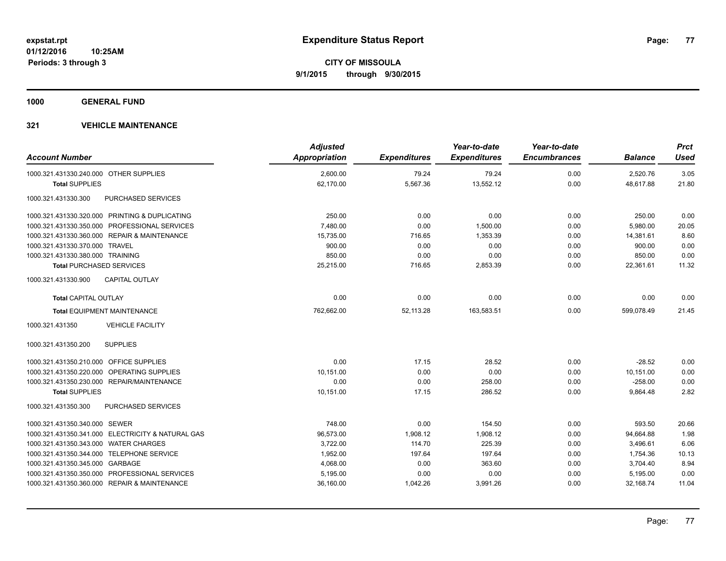**1000 GENERAL FUND**

| <b>Account Number</b>                   |                                                   | <b>Adjusted</b><br>Appropriation | <b>Expenditures</b> | Year-to-date<br><b>Expenditures</b> | Year-to-date<br><b>Encumbrances</b> | <b>Balance</b> | <b>Prct</b><br>Used |
|-----------------------------------------|---------------------------------------------------|----------------------------------|---------------------|-------------------------------------|-------------------------------------|----------------|---------------------|
| 1000.321.431330.240.000 OTHER SUPPLIES  |                                                   | 2,600.00                         | 79.24               | 79.24                               | 0.00                                | 2,520.76       | 3.05                |
| <b>Total SUPPLIES</b>                   |                                                   | 62,170.00                        | 5,567.36            | 13,552.12                           | 0.00                                | 48,617.88      | 21.80               |
| 1000.321.431330.300                     | PURCHASED SERVICES                                |                                  |                     |                                     |                                     |                |                     |
|                                         | 1000.321.431330.320.000 PRINTING & DUPLICATING    | 250.00                           | 0.00                | 0.00                                | 0.00                                | 250.00         | 0.00                |
|                                         | 1000.321.431330.350.000 PROFESSIONAL SERVICES     | 7,480.00                         | 0.00                | 1,500.00                            | 0.00                                | 5,980.00       | 20.05               |
|                                         | 1000.321.431330.360.000 REPAIR & MAINTENANCE      | 15,735.00                        | 716.65              | 1,353.39                            | 0.00                                | 14,381.61      | 8.60                |
| 1000.321.431330.370.000 TRAVEL          |                                                   | 900.00                           | 0.00                | 0.00                                | 0.00                                | 900.00         | 0.00                |
| 1000.321.431330.380.000 TRAINING        |                                                   | 850.00                           | 0.00                | 0.00                                | 0.00                                | 850.00         | 0.00                |
| <b>Total PURCHASED SERVICES</b>         |                                                   | 25,215.00                        | 716.65              | 2,853.39                            | 0.00                                | 22,361.61      | 11.32               |
| 1000.321.431330.900                     | <b>CAPITAL OUTLAY</b>                             |                                  |                     |                                     |                                     |                |                     |
| <b>Total CAPITAL OUTLAY</b>             |                                                   | 0.00                             | 0.00                | 0.00                                | 0.00                                | 0.00           | 0.00                |
|                                         | <b>Total EQUIPMENT MAINTENANCE</b>                | 762,662.00                       | 52,113.28           | 163,583.51                          | 0.00                                | 599,078.49     | 21.45               |
| 1000.321.431350                         | <b>VEHICLE FACILITY</b>                           |                                  |                     |                                     |                                     |                |                     |
| 1000.321.431350.200                     | <b>SUPPLIES</b>                                   |                                  |                     |                                     |                                     |                |                     |
| 1000.321.431350.210.000 OFFICE SUPPLIES |                                                   | 0.00                             | 17.15               | 28.52                               | 0.00                                | $-28.52$       | 0.00                |
|                                         | 1000.321.431350.220.000 OPERATING SUPPLIES        | 10,151.00                        | 0.00                | 0.00                                | 0.00                                | 10,151.00      | 0.00                |
|                                         | 1000.321.431350.230.000 REPAIR/MAINTENANCE        | 0.00                             | 0.00                | 258.00                              | 0.00                                | $-258.00$      | 0.00                |
| <b>Total SUPPLIES</b>                   |                                                   | 10,151.00                        | 17.15               | 286.52                              | 0.00                                | 9,864.48       | 2.82                |
| 1000.321.431350.300                     | PURCHASED SERVICES                                |                                  |                     |                                     |                                     |                |                     |
| 1000.321.431350.340.000 SEWER           |                                                   | 748.00                           | 0.00                | 154.50                              | 0.00                                | 593.50         | 20.66               |
|                                         | 1000.321.431350.341.000 ELECTRICITY & NATURAL GAS | 96,573.00                        | 1,908.12            | 1,908.12                            | 0.00                                | 94,664.88      | 1.98                |
| 1000.321.431350.343.000 WATER CHARGES   |                                                   | 3,722.00                         | 114.70              | 225.39                              | 0.00                                | 3,496.61       | 6.06                |
|                                         | 1000.321.431350.344.000 TELEPHONE SERVICE         | 1,952.00                         | 197.64              | 197.64                              | 0.00                                | 1,754.36       | 10.13               |
| 1000.321.431350.345.000 GARBAGE         |                                                   | 4,068.00                         | 0.00                | 363.60                              | 0.00                                | 3,704.40       | 8.94                |
|                                         | 1000.321.431350.350.000 PROFESSIONAL SERVICES     | 5,195.00                         | 0.00                | 0.00                                | 0.00                                | 5,195.00       | 0.00                |
|                                         | 1000.321.431350.360.000 REPAIR & MAINTENANCE      | 36,160.00                        | 1,042.26            | 3,991.26                            | 0.00                                | 32,168.74      | 11.04               |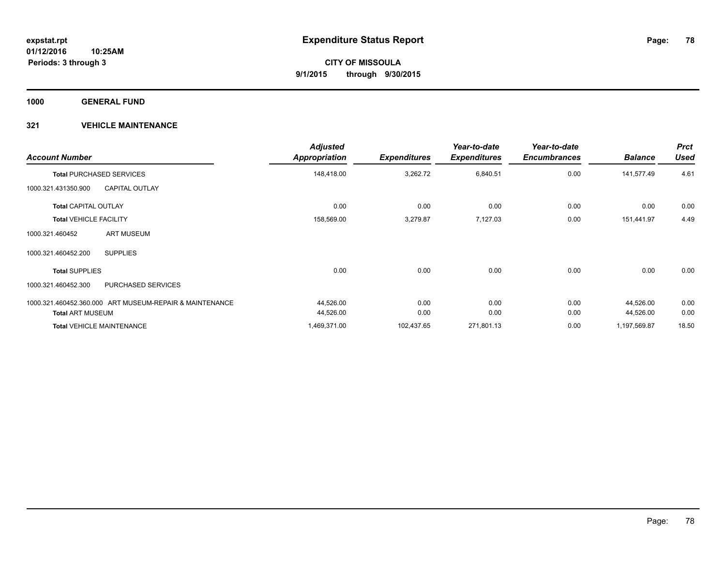**1000 GENERAL FUND**

| <b>Account Number</b>                                   | <b>Adjusted</b><br><b>Appropriation</b> | <b>Expenditures</b> | Year-to-date<br><b>Expenditures</b> | Year-to-date<br><b>Encumbrances</b> | <b>Balance</b> | <b>Prct</b><br><b>Used</b> |
|---------------------------------------------------------|-----------------------------------------|---------------------|-------------------------------------|-------------------------------------|----------------|----------------------------|
| <b>Total PURCHASED SERVICES</b>                         | 148,418.00                              | 3,262.72            | 6,840.51                            | 0.00                                | 141,577.49     | 4.61                       |
| <b>CAPITAL OUTLAY</b><br>1000.321.431350.900            |                                         |                     |                                     |                                     |                |                            |
| <b>Total CAPITAL OUTLAY</b>                             | 0.00                                    | 0.00                | 0.00                                | 0.00                                | 0.00           | 0.00                       |
| <b>Total VEHICLE FACILITY</b>                           | 158,569.00                              | 3,279.87            | 7,127.03                            | 0.00                                | 151,441.97     | 4.49                       |
| <b>ART MUSEUM</b><br>1000.321.460452                    |                                         |                     |                                     |                                     |                |                            |
| <b>SUPPLIES</b><br>1000.321.460452.200                  |                                         |                     |                                     |                                     |                |                            |
| <b>Total SUPPLIES</b>                                   | 0.00                                    | 0.00                | 0.00                                | 0.00                                | 0.00           | 0.00                       |
| PURCHASED SERVICES<br>1000.321.460452.300               |                                         |                     |                                     |                                     |                |                            |
| 1000.321.460452.360.000 ART MUSEUM-REPAIR & MAINTENANCE | 44,526.00                               | 0.00                | 0.00                                | 0.00                                | 44,526.00      | 0.00                       |
| <b>Total ART MUSEUM</b>                                 | 44,526.00                               | 0.00                | 0.00                                | 0.00                                | 44,526.00      | 0.00                       |
| <b>Total VEHICLE MAINTENANCE</b>                        | 1,469,371.00                            | 102,437.65          | 271,801.13                          | 0.00                                | 1,197,569.87   | 18.50                      |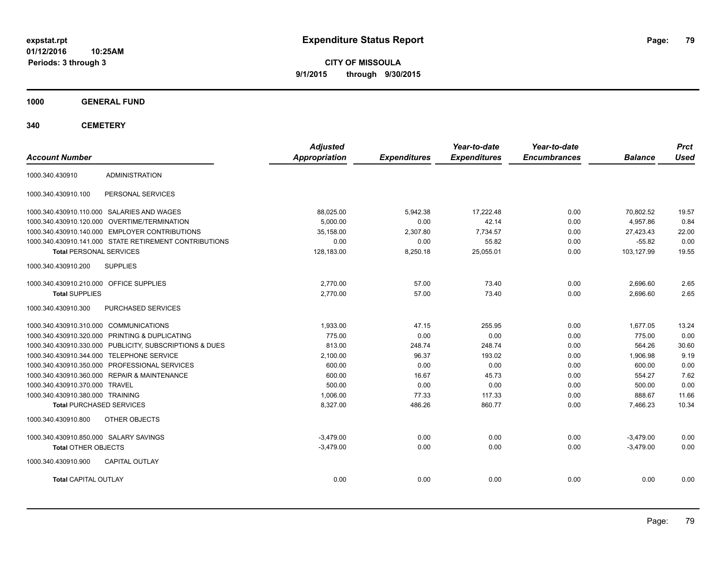**CITY OF MISSOULA 9/1/2015 through 9/30/2015**

**1000 GENERAL FUND**

| <b>Account Number</b>                          |                                                         | <b>Adjusted</b><br><b>Appropriation</b> | <b>Expenditures</b> | Year-to-date<br><b>Expenditures</b> | Year-to-date<br><b>Encumbrances</b> | <b>Balance</b> | <b>Prct</b><br><b>Used</b> |
|------------------------------------------------|---------------------------------------------------------|-----------------------------------------|---------------------|-------------------------------------|-------------------------------------|----------------|----------------------------|
|                                                |                                                         |                                         |                     |                                     |                                     |                |                            |
| 1000.340.430910                                | <b>ADMINISTRATION</b>                                   |                                         |                     |                                     |                                     |                |                            |
| 1000.340.430910.100                            | PERSONAL SERVICES                                       |                                         |                     |                                     |                                     |                |                            |
| 1000.340.430910.110.000 SALARIES AND WAGES     |                                                         | 88,025.00                               | 5,942.38            | 17.222.48                           | 0.00                                | 70.802.52      | 19.57                      |
| 1000.340.430910.120.000 OVERTIME/TERMINATION   |                                                         | 5.000.00                                | 0.00                | 42.14                               | 0.00                                | 4.957.86       | 0.84                       |
| 1000.340.430910.140.000 EMPLOYER CONTRIBUTIONS |                                                         | 35,158.00                               | 2,307.80            | 7,734.57                            | 0.00                                | 27,423.43      | 22.00                      |
|                                                | 1000.340.430910.141.000 STATE RETIREMENT CONTRIBUTIONS  | 0.00                                    | 0.00                | 55.82                               | 0.00                                | $-55.82$       | 0.00                       |
| <b>Total PERSONAL SERVICES</b>                 |                                                         | 128,183.00                              | 8,250.18            | 25,055.01                           | 0.00                                | 103,127.99     | 19.55                      |
| 1000.340.430910.200<br><b>SUPPLIES</b>         |                                                         |                                         |                     |                                     |                                     |                |                            |
| 1000.340.430910.210.000 OFFICE SUPPLIES        |                                                         | 2,770.00                                | 57.00               | 73.40                               | 0.00                                | 2,696.60       | 2.65                       |
| <b>Total SUPPLIES</b>                          |                                                         | 2,770.00                                | 57.00               | 73.40                               | 0.00                                | 2,696.60       | 2.65                       |
| 1000.340.430910.300                            | PURCHASED SERVICES                                      |                                         |                     |                                     |                                     |                |                            |
| 1000.340.430910.310.000 COMMUNICATIONS         |                                                         | 1,933.00                                | 47.15               | 255.95                              | 0.00                                | 1,677.05       | 13.24                      |
| 1000.340.430910.320.000 PRINTING & DUPLICATING |                                                         | 775.00                                  | 0.00                | 0.00                                | 0.00                                | 775.00         | 0.00                       |
|                                                | 1000.340.430910.330.000 PUBLICITY, SUBSCRIPTIONS & DUES | 813.00                                  | 248.74              | 248.74                              | 0.00                                | 564.26         | 30.60                      |
| 1000.340.430910.344.000 TELEPHONE SERVICE      |                                                         | 2,100.00                                | 96.37               | 193.02                              | 0.00                                | 1,906.98       | 9.19                       |
| 1000.340.430910.350.000 PROFESSIONAL SERVICES  |                                                         | 600.00                                  | 0.00                | 0.00                                | 0.00                                | 600.00         | 0.00                       |
| 1000.340.430910.360.000 REPAIR & MAINTENANCE   |                                                         | 600.00                                  | 16.67               | 45.73                               | 0.00                                | 554.27         | 7.62                       |
| 1000.340.430910.370.000 TRAVEL                 |                                                         | 500.00                                  | 0.00                | 0.00                                | 0.00                                | 500.00         | 0.00                       |
| 1000.340.430910.380.000 TRAINING               |                                                         | 1,006.00                                | 77.33               | 117.33                              | 0.00                                | 888.67         | 11.66                      |
| <b>Total PURCHASED SERVICES</b>                |                                                         | 8,327.00                                | 486.26              | 860.77                              | 0.00                                | 7.466.23       | 10.34                      |
| 1000.340.430910.800                            | OTHER OBJECTS                                           |                                         |                     |                                     |                                     |                |                            |
| 1000.340.430910.850.000 SALARY SAVINGS         |                                                         | $-3.479.00$                             | 0.00                | 0.00                                | 0.00                                | $-3,479.00$    | 0.00                       |
| <b>Total OTHER OBJECTS</b>                     |                                                         | $-3,479.00$                             | 0.00                | 0.00                                | 0.00                                | $-3,479.00$    | 0.00                       |
| 1000.340.430910.900                            | <b>CAPITAL OUTLAY</b>                                   |                                         |                     |                                     |                                     |                |                            |
| <b>Total CAPITAL OUTLAY</b>                    |                                                         | 0.00                                    | 0.00                | 0.00                                | 0.00                                | 0.00           | 0.00                       |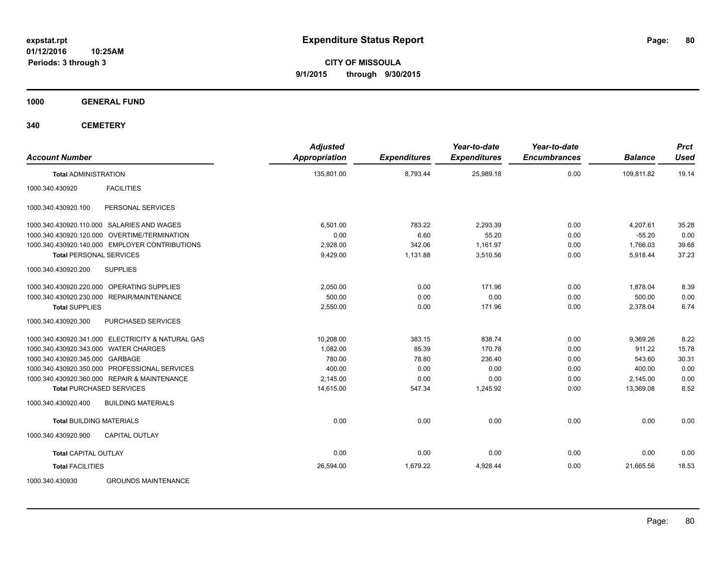**CITY OF MISSOULA 9/1/2015 through 9/30/2015**

**1000 GENERAL FUND**

| <b>Account Number</b>                             | <b>Adjusted</b><br><b>Appropriation</b> | <b>Expenditures</b> | Year-to-date<br><b>Expenditures</b> | Year-to-date<br><b>Encumbrances</b> | <b>Balance</b> | <b>Prct</b><br><b>Used</b> |
|---------------------------------------------------|-----------------------------------------|---------------------|-------------------------------------|-------------------------------------|----------------|----------------------------|
| <b>Total ADMINISTRATION</b>                       | 135,801.00                              | 8,793.44            | 25,989.18                           | 0.00                                | 109.811.82     | 19.14                      |
| <b>FACILITIES</b><br>1000.340.430920              |                                         |                     |                                     |                                     |                |                            |
| 1000.340.430920.100<br>PERSONAL SERVICES          |                                         |                     |                                     |                                     |                |                            |
| 1000.340.430920.110.000 SALARIES AND WAGES        | 6.501.00                                | 783.22              | 2,293.39                            | 0.00                                | 4,207.61       | 35.28                      |
| 1000.340.430920.120.000 OVERTIME/TERMINATION      | 0.00                                    | 6.60                | 55.20                               | 0.00                                | $-55.20$       | 0.00                       |
| 1000.340.430920.140.000 EMPLOYER CONTRIBUTIONS    | 2,928.00                                | 342.06              | 1,161.97                            | 0.00                                | 1,766.03       | 39.68                      |
| <b>Total PERSONAL SERVICES</b>                    | 9,429.00                                | 1,131.88            | 3,510.56                            | 0.00                                | 5,918.44       | 37.23                      |
| 1000.340.430920.200<br><b>SUPPLIES</b>            |                                         |                     |                                     |                                     |                |                            |
| 1000.340.430920.220.000 OPERATING SUPPLIES        | 2,050.00                                | 0.00                | 171.96                              | 0.00                                | 1,878.04       | 8.39                       |
| REPAIR/MAINTENANCE<br>1000.340.430920.230.000     | 500.00                                  | 0.00                | 0.00                                | 0.00                                | 500.00         | 0.00                       |
| <b>Total SUPPLIES</b>                             | 2,550.00                                | 0.00                | 171.96                              | 0.00                                | 2,378.04       | 6.74                       |
| <b>PURCHASED SERVICES</b><br>1000.340.430920.300  |                                         |                     |                                     |                                     |                |                            |
| 1000.340.430920.341.000 ELECTRICITY & NATURAL GAS | 10.208.00                               | 383.15              | 838.74                              | 0.00                                | 9,369.26       | 8.22                       |
| 1000.340.430920.343.000 WATER CHARGES             | 1.082.00                                | 85.39               | 170.78                              | 0.00                                | 911.22         | 15.78                      |
| 1000.340.430920.345.000 GARBAGE                   | 780.00                                  | 78.80               | 236.40                              | 0.00                                | 543.60         | 30.31                      |
| 1000.340.430920.350.000 PROFESSIONAL SERVICES     | 400.00                                  | 0.00                | 0.00                                | 0.00                                | 400.00         | 0.00                       |
| 1000.340.430920.360.000 REPAIR & MAINTENANCE      | 2,145.00                                | 0.00                | 0.00                                | 0.00                                | 2,145.00       | 0.00                       |
| <b>Total PURCHASED SERVICES</b>                   | 14,615.00                               | 547.34              | 1,245.92                            | 0.00                                | 13,369.08      | 8.52                       |
| <b>BUILDING MATERIALS</b><br>1000.340.430920.400  |                                         |                     |                                     |                                     |                |                            |
| <b>Total BUILDING MATERIALS</b>                   | 0.00                                    | 0.00                | 0.00                                | 0.00                                | 0.00           | 0.00                       |
| 1000.340.430920.900<br><b>CAPITAL OUTLAY</b>      |                                         |                     |                                     |                                     |                |                            |
| <b>Total CAPITAL OUTLAY</b>                       | 0.00                                    | 0.00                | 0.00                                | 0.00                                | 0.00           | 0.00                       |
| <b>Total FACILITIES</b>                           | 26,594.00                               | 1,679.22            | 4.928.44                            | 0.00                                | 21.665.56      | 18.53                      |
| 1000.340.430930<br><b>GROUNDS MAINTENANCE</b>     |                                         |                     |                                     |                                     |                |                            |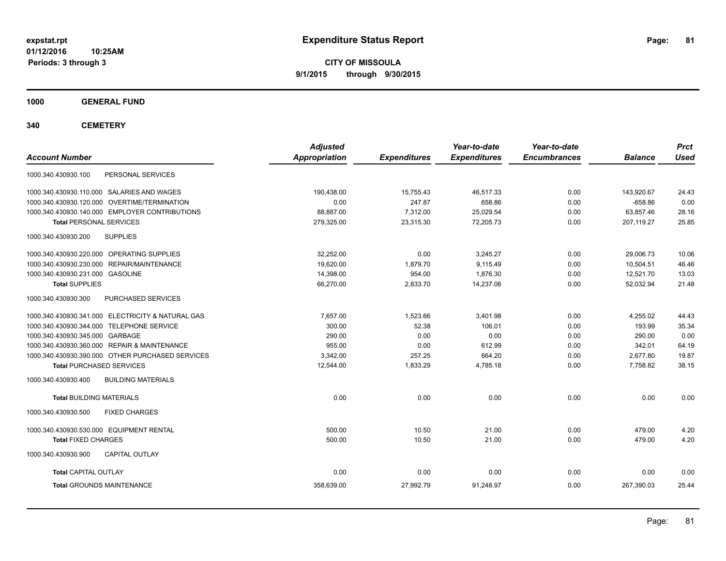**CITY OF MISSOULA 9/1/2015 through 9/30/2015**

**1000 GENERAL FUND**

| <b>Account Number</b>                             | <b>Adjusted</b><br><b>Appropriation</b> | <b>Expenditures</b> | Year-to-date<br><b>Expenditures</b> | Year-to-date<br><b>Encumbrances</b> | <b>Balance</b> | <b>Prct</b><br><b>Used</b> |
|---------------------------------------------------|-----------------------------------------|---------------------|-------------------------------------|-------------------------------------|----------------|----------------------------|
| 1000.340.430930.100<br>PERSONAL SERVICES          |                                         |                     |                                     |                                     |                |                            |
| 1000.340.430930.110.000 SALARIES AND WAGES        | 190,438.00                              | 15,755.43           | 46,517.33                           | 0.00                                | 143,920.67     | 24.43                      |
| 1000.340.430930.120.000 OVERTIME/TERMINATION      | 0.00                                    | 247.87              | 658.86                              | 0.00                                | $-658.86$      | 0.00                       |
| 1000.340.430930.140.000 EMPLOYER CONTRIBUTIONS    | 88,887.00                               | 7,312.00            | 25,029.54                           | 0.00                                | 63,857.46      | 28.16                      |
| <b>Total PERSONAL SERVICES</b>                    | 279,325.00                              | 23.315.30           | 72.205.73                           | 0.00                                | 207.119.27     | 25.85                      |
| 1000.340.430930.200<br><b>SUPPLIES</b>            |                                         |                     |                                     |                                     |                |                            |
| 1000.340.430930.220.000 OPERATING SUPPLIES        | 32,252.00                               | 0.00                | 3,245.27                            | 0.00                                | 29,006.73      | 10.06                      |
| 1000.340.430930.230.000 REPAIR/MAINTENANCE        | 19.620.00                               | 1.879.70            | 9.115.49                            | 0.00                                | 10.504.51      | 46.46                      |
| 1000.340.430930.231.000 GASOLINE                  | 14,398.00                               | 954.00              | 1,876.30                            | 0.00                                | 12,521.70      | 13.03                      |
| <b>Total SUPPLIES</b>                             | 66,270.00                               | 2,833.70            | 14,237.06                           | 0.00                                | 52,032.94      | 21.48                      |
| 1000.340.430930.300<br>PURCHASED SERVICES         |                                         |                     |                                     |                                     |                |                            |
| 1000.340.430930.341.000 ELECTRICITY & NATURAL GAS | 7,657.00                                | 1,523.66            | 3,401.98                            | 0.00                                | 4,255.02       | 44.43                      |
| 1000.340.430930.344.000 TELEPHONE SERVICE         | 300.00                                  | 52.38               | 106.01                              | 0.00                                | 193.99         | 35.34                      |
| 1000.340.430930.345.000 GARBAGE                   | 290.00                                  | 0.00                | 0.00                                | 0.00                                | 290.00         | 0.00                       |
| 1000.340.430930.360.000 REPAIR & MAINTENANCE      | 955.00                                  | 0.00                | 612.99                              | 0.00                                | 342.01         | 64.19                      |
| 1000.340.430930.390.000 OTHER PURCHASED SERVICES  | 3,342.00                                | 257.25              | 664.20                              | 0.00                                | 2,677.80       | 19.87                      |
| <b>Total PURCHASED SERVICES</b>                   | 12,544.00                               | 1,833.29            | 4,785.18                            | 0.00                                | 7,758.82       | 38.15                      |
| 1000.340.430930.400<br><b>BUILDING MATERIALS</b>  |                                         |                     |                                     |                                     |                |                            |
| <b>Total BUILDING MATERIALS</b>                   | 0.00                                    | 0.00                | 0.00                                | 0.00                                | 0.00           | 0.00                       |
| 1000.340.430930.500<br><b>FIXED CHARGES</b>       |                                         |                     |                                     |                                     |                |                            |
| 1000.340.430930.530.000 EQUIPMENT RENTAL          | 500.00                                  | 10.50               | 21.00                               | 0.00                                | 479.00         | 4.20                       |
| <b>Total FIXED CHARGES</b>                        | 500.00                                  | 10.50               | 21.00                               | 0.00                                | 479.00         | 4.20                       |
| 1000.340.430930.900<br><b>CAPITAL OUTLAY</b>      |                                         |                     |                                     |                                     |                |                            |
| <b>Total CAPITAL OUTLAY</b>                       | 0.00                                    | 0.00                | 0.00                                | 0.00                                | 0.00           | 0.00                       |
| <b>Total GROUNDS MAINTENANCE</b>                  | 358,639.00                              | 27,992.79           | 91,248.97                           | 0.00                                | 267,390.03     | 25.44                      |
|                                                   |                                         |                     |                                     |                                     |                |                            |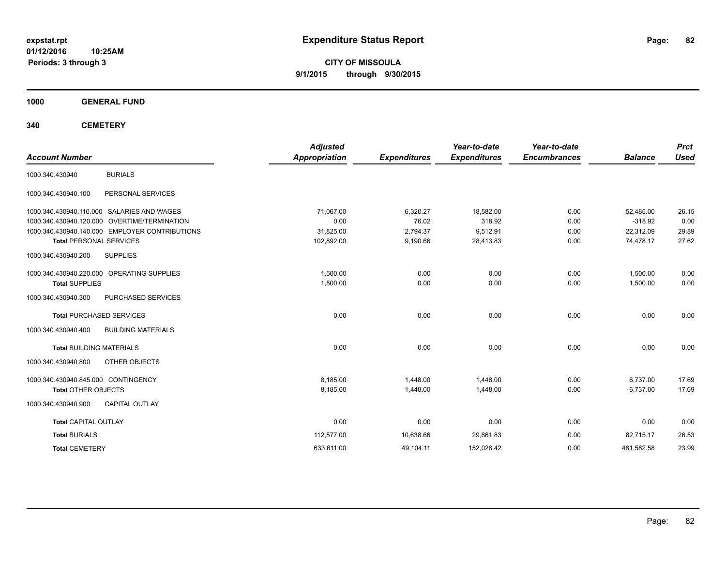**CITY OF MISSOULA 9/1/2015 through 9/30/2015**

**1000 GENERAL FUND**

| <b>Account Number</b>               |                                                | <b>Adjusted</b><br><b>Appropriation</b> | <b>Expenditures</b> | Year-to-date<br><b>Expenditures</b> | Year-to-date<br><b>Encumbrances</b> | <b>Balance</b> | <b>Prct</b><br><b>Used</b> |
|-------------------------------------|------------------------------------------------|-----------------------------------------|---------------------|-------------------------------------|-------------------------------------|----------------|----------------------------|
| 1000.340.430940                     | <b>BURIALS</b>                                 |                                         |                     |                                     |                                     |                |                            |
| 1000.340.430940.100                 | PERSONAL SERVICES                              |                                         |                     |                                     |                                     |                |                            |
|                                     | 1000.340.430940.110.000 SALARIES AND WAGES     | 71.067.00                               | 6,320.27            | 18,582.00                           | 0.00                                | 52,485.00      | 26.15                      |
|                                     | 1000.340.430940.120.000 OVERTIME/TERMINATION   | 0.00                                    | 76.02               | 318.92                              | 0.00                                | $-318.92$      | 0.00                       |
|                                     | 1000.340.430940.140.000 EMPLOYER CONTRIBUTIONS | 31,825.00                               | 2,794.37            | 9,512.91                            | 0.00                                | 22.312.09      | 29.89                      |
| <b>Total PERSONAL SERVICES</b>      |                                                | 102,892.00                              | 9,190.66            | 28,413.83                           | 0.00                                | 74,478.17      | 27.62                      |
| 1000.340.430940.200                 | <b>SUPPLIES</b>                                |                                         |                     |                                     |                                     |                |                            |
|                                     | 1000.340.430940.220.000 OPERATING SUPPLIES     | 1.500.00                                | 0.00                | 0.00                                | 0.00                                | 1,500.00       | 0.00                       |
| <b>Total SUPPLIES</b>               |                                                | 1,500.00                                | 0.00                | 0.00                                | 0.00                                | 1,500.00       | 0.00                       |
| 1000.340.430940.300                 | PURCHASED SERVICES                             |                                         |                     |                                     |                                     |                |                            |
|                                     | <b>Total PURCHASED SERVICES</b>                | 0.00                                    | 0.00                | 0.00                                | 0.00                                | 0.00           | 0.00                       |
| 1000.340.430940.400                 | <b>BUILDING MATERIALS</b>                      |                                         |                     |                                     |                                     |                |                            |
| <b>Total BUILDING MATERIALS</b>     |                                                | 0.00                                    | 0.00                | 0.00                                | 0.00                                | 0.00           | 0.00                       |
| 1000.340.430940.800                 | OTHER OBJECTS                                  |                                         |                     |                                     |                                     |                |                            |
| 1000.340.430940.845.000 CONTINGENCY |                                                | 8,185.00                                | 1,448.00            | 1,448.00                            | 0.00                                | 6,737.00       | 17.69                      |
| <b>Total OTHER OBJECTS</b>          |                                                | 8,185.00                                | 1,448.00            | 1,448.00                            | 0.00                                | 6,737.00       | 17.69                      |
| 1000.340.430940.900                 | <b>CAPITAL OUTLAY</b>                          |                                         |                     |                                     |                                     |                |                            |
| <b>Total CAPITAL OUTLAY</b>         |                                                | 0.00                                    | 0.00                | 0.00                                | 0.00                                | 0.00           | 0.00                       |
| <b>Total BURIALS</b>                |                                                | 112,577.00                              | 10,638.66           | 29,861.83                           | 0.00                                | 82,715.17      | 26.53                      |
| <b>Total CEMETERY</b>               |                                                | 633,611.00                              | 49,104.11           | 152,028.42                          | 0.00                                | 481,582.58     | 23.99                      |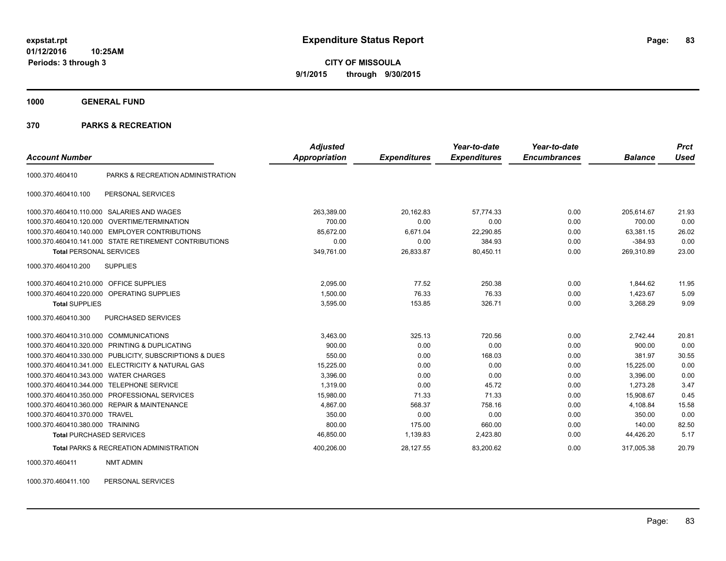**CITY OF MISSOULA 9/1/2015 through 9/30/2015**

**1000 GENERAL FUND**

#### **370 PARKS & RECREATION**

| <b>Account Number</b>                   |                                                         | <b>Adjusted</b><br><b>Appropriation</b> | <b>Expenditures</b> | Year-to-date<br><b>Expenditures</b> | Year-to-date<br><b>Encumbrances</b> | <b>Balance</b> | <b>Prct</b><br>Used |
|-----------------------------------------|---------------------------------------------------------|-----------------------------------------|---------------------|-------------------------------------|-------------------------------------|----------------|---------------------|
|                                         |                                                         |                                         |                     |                                     |                                     |                |                     |
| 1000.370.460410                         | PARKS & RECREATION ADMINISTRATION                       |                                         |                     |                                     |                                     |                |                     |
| 1000.370.460410.100                     | PERSONAL SERVICES                                       |                                         |                     |                                     |                                     |                |                     |
| 1000.370.460410.110.000                 | SALARIES AND WAGES                                      | 263,389.00                              | 20,162.83           | 57.774.33                           | 0.00                                | 205.614.67     | 21.93               |
| 1000.370.460410.120.000                 | OVERTIME/TERMINATION                                    | 700.00                                  | 0.00                | 0.00                                | 0.00                                | 700.00         | 0.00                |
| 1000.370.460410.140.000                 | <b>EMPLOYER CONTRIBUTIONS</b>                           | 85,672.00                               | 6,671.04            | 22,290.85                           | 0.00                                | 63,381.15      | 26.02               |
|                                         | 1000.370.460410.141.000 STATE RETIREMENT CONTRIBUTIONS  | 0.00                                    | 0.00                | 384.93                              | 0.00                                | $-384.93$      | 0.00                |
| <b>Total PERSONAL SERVICES</b>          |                                                         | 349,761.00                              | 26,833.87           | 80,450.11                           | 0.00                                | 269,310.89     | 23.00               |
| 1000.370.460410.200                     | <b>SUPPLIES</b>                                         |                                         |                     |                                     |                                     |                |                     |
| 1000.370.460410.210.000 OFFICE SUPPLIES |                                                         | 2.095.00                                | 77.52               | 250.38                              | 0.00                                | 1,844.62       | 11.95               |
|                                         | 1000.370.460410.220.000 OPERATING SUPPLIES              | 1,500.00                                | 76.33               | 76.33                               | 0.00                                | 1,423.67       | 5.09                |
| <b>Total SUPPLIES</b>                   |                                                         | 3,595.00                                | 153.85              | 326.71                              | 0.00                                | 3,268.29       | 9.09                |
| 1000.370.460410.300                     | <b>PURCHASED SERVICES</b>                               |                                         |                     |                                     |                                     |                |                     |
| 1000.370.460410.310.000                 | <b>COMMUNICATIONS</b>                                   | 3,463.00                                | 325.13              | 720.56                              | 0.00                                | 2,742.44       | 20.81               |
|                                         | 1000.370.460410.320.000 PRINTING & DUPLICATING          | 900.00                                  | 0.00                | 0.00                                | 0.00                                | 900.00         | 0.00                |
|                                         | 1000.370.460410.330.000 PUBLICITY, SUBSCRIPTIONS & DUES | 550.00                                  | 0.00                | 168.03                              | 0.00                                | 381.97         | 30.55               |
|                                         | 1000.370.460410.341.000 ELECTRICITY & NATURAL GAS       | 15,225.00                               | 0.00                | 0.00                                | 0.00                                | 15,225.00      | 0.00                |
| 1000.370.460410.343.000                 | <b>WATER CHARGES</b>                                    | 3,396.00                                | 0.00                | 0.00                                | 0.00                                | 3,396.00       | 0.00                |
| 1000.370.460410.344.000                 | <b>TELEPHONE SERVICE</b>                                | 1.319.00                                | 0.00                | 45.72                               | 0.00                                | 1.273.28       | 3.47                |
| 1000.370.460410.350.000                 | PROFESSIONAL SERVICES                                   | 15,980.00                               | 71.33               | 71.33                               | 0.00                                | 15,908.67      | 0.45                |
|                                         | 1000.370.460410.360.000 REPAIR & MAINTENANCE            | 4.867.00                                | 568.37              | 758.16                              | 0.00                                | 4,108.84       | 15.58               |
| 1000.370.460410.370.000                 | <b>TRAVEL</b>                                           | 350.00                                  | 0.00                | 0.00                                | 0.00                                | 350.00         | 0.00                |
| 1000.370.460410.380.000 TRAINING        |                                                         | 800.00                                  | 175.00              | 660.00                              | 0.00                                | 140.00         | 82.50               |
| <b>Total PURCHASED SERVICES</b>         |                                                         | 46,850.00                               | 1,139.83            | 2,423.80                            | 0.00                                | 44,426.20      | 5.17                |
|                                         | <b>Total PARKS &amp; RECREATION ADMINISTRATION</b>      | 400,206.00                              | 28,127.55           | 83,200.62                           | 0.00                                | 317,005.38     | 20.79               |

1000.370.460411 NMT ADMIN

1000.370.460411.100 PERSONAL SERVICES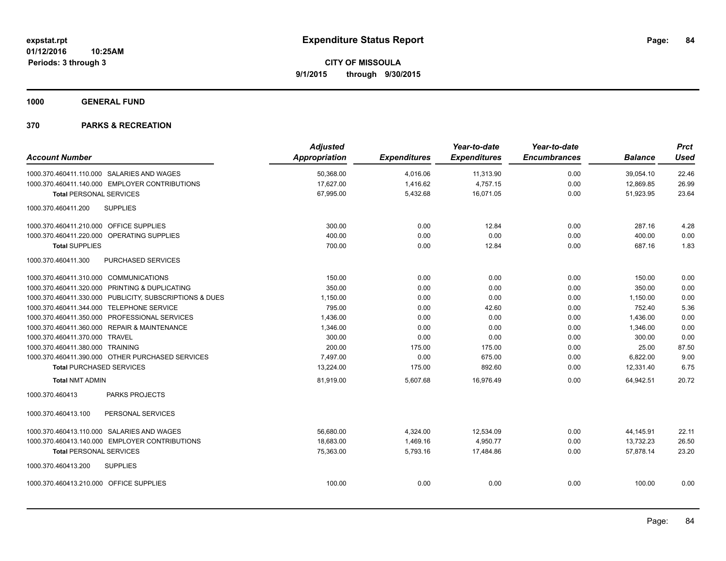**1000 GENERAL FUND**

|                                         |                                                         | <b>Adjusted</b> |                     | Year-to-date        | Year-to-date        |                | <b>Prct</b> |
|-----------------------------------------|---------------------------------------------------------|-----------------|---------------------|---------------------|---------------------|----------------|-------------|
| <b>Account Number</b>                   |                                                         | Appropriation   | <b>Expenditures</b> | <b>Expenditures</b> | <b>Encumbrances</b> | <b>Balance</b> | <b>Used</b> |
|                                         | 1000.370.460411.110.000 SALARIES AND WAGES              | 50,368.00       | 4,016.06            | 11,313.90           | 0.00                | 39,054.10      | 22.46       |
|                                         | 1000.370.460411.140.000 EMPLOYER CONTRIBUTIONS          | 17,627.00       | 1,416.62            | 4,757.15            | 0.00                | 12,869.85      | 26.99       |
| <b>Total PERSONAL SERVICES</b>          |                                                         | 67,995.00       | 5,432.68            | 16,071.05           | 0.00                | 51,923.95      | 23.64       |
| 1000.370.460411.200                     | <b>SUPPLIES</b>                                         |                 |                     |                     |                     |                |             |
| 1000.370.460411.210.000 OFFICE SUPPLIES |                                                         | 300.00          | 0.00                | 12.84               | 0.00                | 287.16         | 4.28        |
|                                         | 1000.370.460411.220.000 OPERATING SUPPLIES              | 400.00          | 0.00                | 0.00                | 0.00                | 400.00         | 0.00        |
| <b>Total SUPPLIES</b>                   |                                                         | 700.00          | 0.00                | 12.84               | 0.00                | 687.16         | 1.83        |
| 1000.370.460411.300                     | <b>PURCHASED SERVICES</b>                               |                 |                     |                     |                     |                |             |
| 1000.370.460411.310.000 COMMUNICATIONS  |                                                         | 150.00          | 0.00                | 0.00                | 0.00                | 150.00         | 0.00        |
|                                         | 1000.370.460411.320.000 PRINTING & DUPLICATING          | 350.00          | 0.00                | 0.00                | 0.00                | 350.00         | 0.00        |
|                                         | 1000.370.460411.330.000 PUBLICITY, SUBSCRIPTIONS & DUES | 1,150.00        | 0.00                | 0.00                | 0.00                | 1,150.00       | 0.00        |
|                                         | 1000.370.460411.344.000 TELEPHONE SERVICE               | 795.00          | 0.00                | 42.60               | 0.00                | 752.40         | 5.36        |
|                                         | 1000.370.460411.350.000 PROFESSIONAL SERVICES           | 1,436.00        | 0.00                | 0.00                | 0.00                | 1,436.00       | 0.00        |
|                                         | 1000.370.460411.360.000 REPAIR & MAINTENANCE            | 1,346.00        | 0.00                | 0.00                | 0.00                | 1,346.00       | 0.00        |
| 1000.370.460411.370.000 TRAVEL          |                                                         | 300.00          | 0.00                | 0.00                | 0.00                | 300.00         | 0.00        |
| 1000.370.460411.380.000 TRAINING        |                                                         | 200.00          | 175.00              | 175.00              | 0.00                | 25.00          | 87.50       |
|                                         | 1000.370.460411.390.000 OTHER PURCHASED SERVICES        | 7,497.00        | 0.00                | 675.00              | 0.00                | 6,822.00       | 9.00        |
| <b>Total PURCHASED SERVICES</b>         |                                                         | 13,224.00       | 175.00              | 892.60              | 0.00                | 12.331.40      | 6.75        |
| <b>Total NMT ADMIN</b>                  |                                                         | 81,919.00       | 5,607.68            | 16,976.49           | 0.00                | 64,942.51      | 20.72       |
| 1000.370.460413                         | <b>PARKS PROJECTS</b>                                   |                 |                     |                     |                     |                |             |
| 1000.370.460413.100                     | PERSONAL SERVICES                                       |                 |                     |                     |                     |                |             |
|                                         | 1000.370.460413.110.000 SALARIES AND WAGES              | 56,680.00       | 4,324.00            | 12,534.09           | 0.00                | 44,145.91      | 22.11       |
|                                         | 1000.370.460413.140.000 EMPLOYER CONTRIBUTIONS          | 18.683.00       | 1.469.16            | 4,950.77            | 0.00                | 13,732.23      | 26.50       |
| <b>Total PERSONAL SERVICES</b>          |                                                         | 75,363.00       | 5,793.16            | 17,484.86           | 0.00                | 57.878.14      | 23.20       |
| 1000.370.460413.200                     | <b>SUPPLIES</b>                                         |                 |                     |                     |                     |                |             |
| 1000.370.460413.210.000 OFFICE SUPPLIES |                                                         | 100.00          | 0.00                | 0.00                | 0.00                | 100.00         | 0.00        |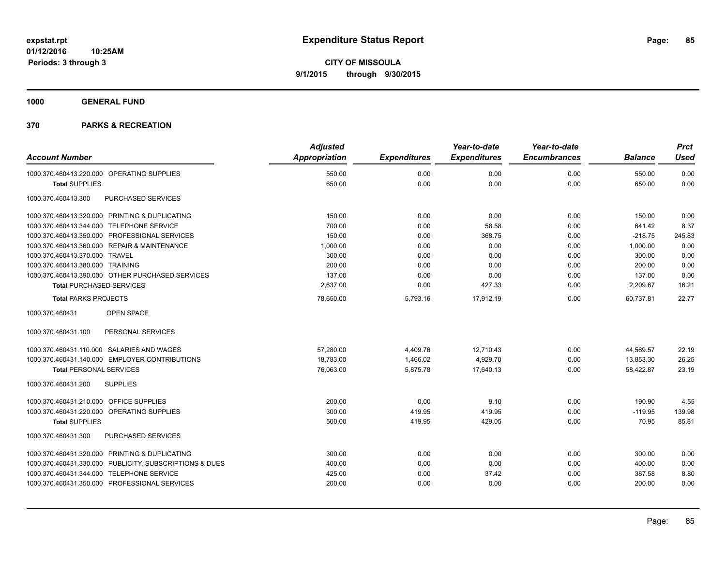**1000 GENERAL FUND**

|                                                         | <b>Adjusted</b>      |                     | Year-to-date        | Year-to-date        |                | <b>Prct</b> |
|---------------------------------------------------------|----------------------|---------------------|---------------------|---------------------|----------------|-------------|
| <b>Account Number</b>                                   | <b>Appropriation</b> | <b>Expenditures</b> | <b>Expenditures</b> | <b>Encumbrances</b> | <b>Balance</b> | <b>Used</b> |
| 1000.370.460413.220.000 OPERATING SUPPLIES              | 550.00               | 0.00                | 0.00                | 0.00                | 550.00         | 0.00        |
| <b>Total SUPPLIES</b>                                   | 650.00               | 0.00                | 0.00                | 0.00                | 650.00         | 0.00        |
| PURCHASED SERVICES<br>1000.370.460413.300               |                      |                     |                     |                     |                |             |
| 1000.370.460413.320.000 PRINTING & DUPLICATING          | 150.00               | 0.00                | 0.00                | 0.00                | 150.00         | 0.00        |
| 1000.370.460413.344.000 TELEPHONE SERVICE               | 700.00               | 0.00                | 58.58               | 0.00                | 641.42         | 8.37        |
| 1000.370.460413.350.000 PROFESSIONAL SERVICES           | 150.00               | 0.00                | 368.75              | 0.00                | $-218.75$      | 245.83      |
| 1000.370.460413.360.000 REPAIR & MAINTENANCE            | 1,000.00             | 0.00                | 0.00                | 0.00                | 1,000.00       | 0.00        |
| 1000.370.460413.370.000 TRAVEL                          | 300.00               | 0.00                | 0.00                | 0.00                | 300.00         | 0.00        |
| 1000.370.460413.380.000 TRAINING                        | 200.00               | 0.00                | 0.00                | 0.00                | 200.00         | 0.00        |
| 1000.370.460413.390.000 OTHER PURCHASED SERVICES        | 137.00               | 0.00                | 0.00                | 0.00                | 137.00         | 0.00        |
| <b>Total PURCHASED SERVICES</b>                         | 2,637.00             | 0.00                | 427.33              | 0.00                | 2,209.67       | 16.21       |
| <b>Total PARKS PROJECTS</b>                             | 78,650.00            | 5,793.16            | 17.912.19           | 0.00                | 60.737.81      | 22.77       |
| 1000.370.460431<br><b>OPEN SPACE</b>                    |                      |                     |                     |                     |                |             |
| 1000.370.460431.100<br>PERSONAL SERVICES                |                      |                     |                     |                     |                |             |
| 1000.370.460431.110.000 SALARIES AND WAGES              | 57,280.00            | 4,409.76            | 12,710.43           | 0.00                | 44,569.57      | 22.19       |
| 1000.370.460431.140.000 EMPLOYER CONTRIBUTIONS          | 18,783.00            | 1,466.02            | 4,929.70            | 0.00                | 13,853.30      | 26.25       |
| <b>Total PERSONAL SERVICES</b>                          | 76,063.00            | 5,875.78            | 17,640.13           | 0.00                | 58,422.87      | 23.19       |
| 1000.370.460431.200<br><b>SUPPLIES</b>                  |                      |                     |                     |                     |                |             |
| 1000.370.460431.210.000 OFFICE SUPPLIES                 | 200.00               | 0.00                | 9.10                | 0.00                | 190.90         | 4.55        |
| 1000.370.460431.220.000 OPERATING SUPPLIES              | 300.00               | 419.95              | 419.95              | 0.00                | $-119.95$      | 139.98      |
| <b>Total SUPPLIES</b>                                   | 500.00               | 419.95              | 429.05              | 0.00                | 70.95          | 85.81       |
| PURCHASED SERVICES<br>1000.370.460431.300               |                      |                     |                     |                     |                |             |
| 1000.370.460431.320.000 PRINTING & DUPLICATING          | 300.00               | 0.00                | 0.00                | 0.00                | 300.00         | 0.00        |
| 1000.370.460431.330.000 PUBLICITY, SUBSCRIPTIONS & DUES | 400.00               | 0.00                | 0.00                | 0.00                | 400.00         | 0.00        |
| 1000.370.460431.344.000 TELEPHONE SERVICE               | 425.00               | 0.00                | 37.42               | 0.00                | 387.58         | 8.80        |
| 1000.370.460431.350.000 PROFESSIONAL SERVICES           | 200.00               | 0.00                | 0.00                | 0.00                | 200.00         | 0.00        |
|                                                         |                      |                     |                     |                     |                |             |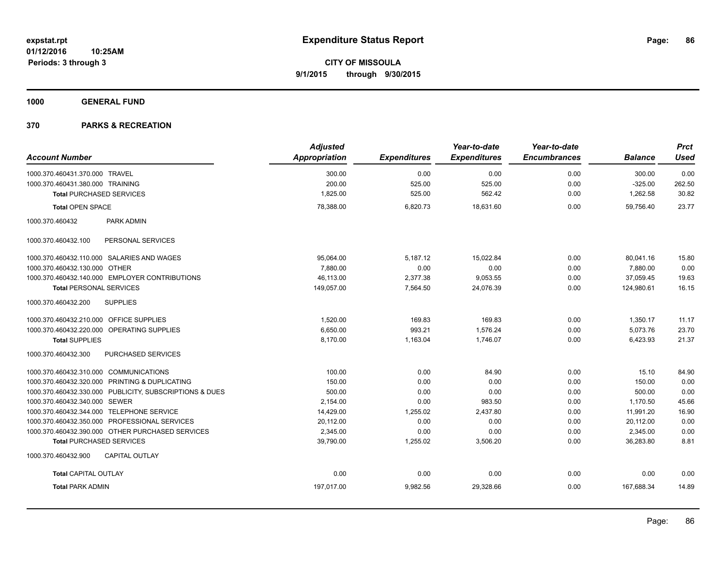**1000 GENERAL FUND**

|                                                         | <b>Adjusted</b>      |                     | Year-to-date        | Year-to-date        |                | <b>Prct</b> |
|---------------------------------------------------------|----------------------|---------------------|---------------------|---------------------|----------------|-------------|
| <b>Account Number</b>                                   | <b>Appropriation</b> | <b>Expenditures</b> | <b>Expenditures</b> | <b>Encumbrances</b> | <b>Balance</b> | <b>Used</b> |
| 1000.370.460431.370.000 TRAVEL                          | 300.00               | 0.00                | 0.00                | 0.00                | 300.00         | 0.00        |
| 1000.370.460431.380.000 TRAINING                        | 200.00               | 525.00              | 525.00              | 0.00                | $-325.00$      | 262.50      |
| <b>Total PURCHASED SERVICES</b>                         | 1,825.00             | 525.00              | 562.42              | 0.00                | 1,262.58       | 30.82       |
| <b>Total OPEN SPACE</b>                                 | 78,388.00            | 6,820.73            | 18,631.60           | 0.00                | 59,756.40      | 23.77       |
| 1000.370.460432<br>PARK ADMIN                           |                      |                     |                     |                     |                |             |
| 1000.370.460432.100<br>PERSONAL SERVICES                |                      |                     |                     |                     |                |             |
| 1000.370.460432.110.000 SALARIES AND WAGES              | 95,064.00            | 5,187.12            | 15,022.84           | 0.00                | 80,041.16      | 15.80       |
| 1000.370.460432.130.000 OTHER                           | 7.880.00             | 0.00                | 0.00                | 0.00                | 7,880.00       | 0.00        |
| 1000.370.460432.140.000 EMPLOYER CONTRIBUTIONS          | 46,113.00            | 2,377.38            | 9,053.55            | 0.00                | 37,059.45      | 19.63       |
| <b>Total PERSONAL SERVICES</b>                          | 149,057.00           | 7,564.50            | 24,076.39           | 0.00                | 124,980.61     | 16.15       |
| 1000.370.460432.200<br><b>SUPPLIES</b>                  |                      |                     |                     |                     |                |             |
| 1000.370.460432.210.000 OFFICE SUPPLIES                 | 1,520.00             | 169.83              | 169.83              | 0.00                | 1,350.17       | 11.17       |
| 1000.370.460432.220.000 OPERATING SUPPLIES              | 6,650.00             | 993.21              | 1,576.24            | 0.00                | 5,073.76       | 23.70       |
| <b>Total SUPPLIES</b>                                   | 8,170.00             | 1,163.04            | 1,746.07            | 0.00                | 6,423.93       | 21.37       |
| 1000.370.460432.300<br>PURCHASED SERVICES               |                      |                     |                     |                     |                |             |
| 1000.370.460432.310.000 COMMUNICATIONS                  | 100.00               | 0.00                | 84.90               | 0.00                | 15.10          | 84.90       |
| 1000.370.460432.320.000 PRINTING & DUPLICATING          | 150.00               | 0.00                | 0.00                | 0.00                | 150.00         | 0.00        |
| 1000.370.460432.330.000 PUBLICITY, SUBSCRIPTIONS & DUES | 500.00               | 0.00                | 0.00                | 0.00                | 500.00         | 0.00        |
| 1000.370.460432.340.000 SEWER                           | 2,154.00             | 0.00                | 983.50              | 0.00                | 1,170.50       | 45.66       |
| 1000.370.460432.344.000 TELEPHONE SERVICE               | 14,429.00            | 1,255.02            | 2,437.80            | 0.00                | 11,991.20      | 16.90       |
| 1000.370.460432.350.000 PROFESSIONAL SERVICES           | 20,112.00            | 0.00                | 0.00                | 0.00                | 20,112.00      | 0.00        |
| 1000.370.460432.390.000 OTHER PURCHASED SERVICES        | 2,345.00             | 0.00                | 0.00                | 0.00                | 2,345.00       | 0.00        |
| <b>Total PURCHASED SERVICES</b>                         | 39,790.00            | 1,255.02            | 3,506.20            | 0.00                | 36,283.80      | 8.81        |
| 1000.370.460432.900<br><b>CAPITAL OUTLAY</b>            |                      |                     |                     |                     |                |             |
| <b>Total CAPITAL OUTLAY</b>                             | 0.00                 | 0.00                | 0.00                | 0.00                | 0.00           | 0.00        |
| <b>Total PARK ADMIN</b>                                 | 197,017.00           | 9,982.56            | 29,328.66           | 0.00                | 167,688.34     | 14.89       |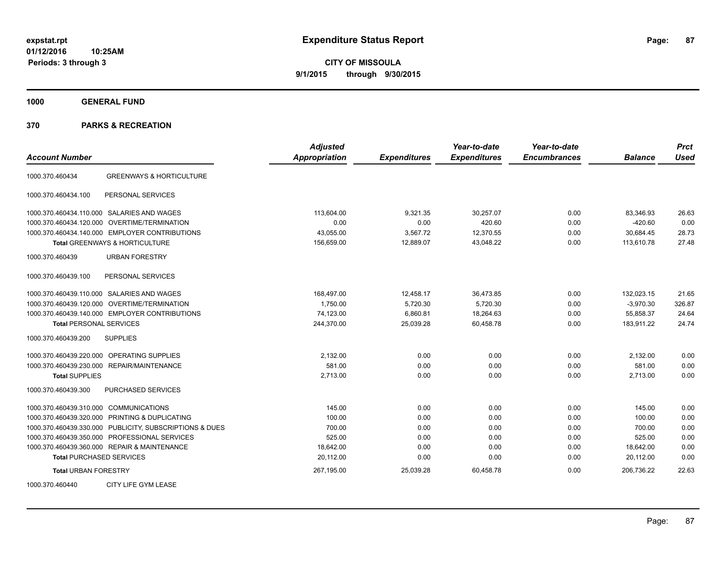**CITY OF MISSOULA 9/1/2015 through 9/30/2015**

**1000 GENERAL FUND**

| <b>Account Number</b>                                   | <b>Adjusted</b><br><b>Appropriation</b> | <b>Expenditures</b> | Year-to-date<br><b>Expenditures</b> | Year-to-date<br><b>Encumbrances</b> | <b>Balance</b> | <b>Prct</b><br><b>Used</b> |
|---------------------------------------------------------|-----------------------------------------|---------------------|-------------------------------------|-------------------------------------|----------------|----------------------------|
| <b>GREENWAYS &amp; HORTICULTURE</b><br>1000.370.460434  |                                         |                     |                                     |                                     |                |                            |
| PERSONAL SERVICES<br>1000.370.460434.100                |                                         |                     |                                     |                                     |                |                            |
| 1000.370.460434.110.000 SALARIES AND WAGES              | 113,604.00                              | 9,321.35            | 30,257.07                           | 0.00                                | 83,346.93      | 26.63                      |
| OVERTIME/TERMINATION<br>1000.370.460434.120.000         | 0.00                                    | 0.00                | 420.60                              | 0.00                                | $-420.60$      | 0.00                       |
| 1000.370.460434.140.000 EMPLOYER CONTRIBUTIONS          | 43,055.00                               | 3,567.72            | 12,370.55                           | 0.00                                | 30,684.45      | 28.73                      |
| <b>Total GREENWAYS &amp; HORTICULTURE</b>               | 156,659.00                              | 12,889.07           | 43,048.22                           | 0.00                                | 113.610.78     | 27.48                      |
| 1000.370.460439<br><b>URBAN FORESTRY</b>                |                                         |                     |                                     |                                     |                |                            |
| PERSONAL SERVICES<br>1000.370.460439.100                |                                         |                     |                                     |                                     |                |                            |
| 1000.370.460439.110.000 SALARIES AND WAGES              | 168,497.00                              | 12,458.17           | 36,473.85                           | 0.00                                | 132,023.15     | 21.65                      |
| 1000.370.460439.120.000 OVERTIME/TERMINATION            | 1,750.00                                | 5,720.30            | 5,720.30                            | 0.00                                | $-3,970.30$    | 326.87                     |
| 1000.370.460439.140.000 EMPLOYER CONTRIBUTIONS          | 74,123.00                               | 6,860.81            | 18,264.63                           | 0.00                                | 55,858.37      | 24.64                      |
| <b>Total PERSONAL SERVICES</b>                          | 244,370.00                              | 25,039.28           | 60,458.78                           | 0.00                                | 183,911.22     | 24.74                      |
| 1000.370.460439.200<br><b>SUPPLIES</b>                  |                                         |                     |                                     |                                     |                |                            |
| <b>OPERATING SUPPLIES</b><br>1000.370.460439.220.000    | 2,132.00                                | 0.00                | 0.00                                | 0.00                                | 2,132.00       | 0.00                       |
| 1000.370.460439.230.000 REPAIR/MAINTENANCE              | 581.00                                  | 0.00                | 0.00                                | 0.00                                | 581.00         | 0.00                       |
| <b>Total SUPPLIES</b>                                   | 2,713.00                                | 0.00                | 0.00                                | 0.00                                | 2,713.00       | 0.00                       |
| PURCHASED SERVICES<br>1000.370.460439.300               |                                         |                     |                                     |                                     |                |                            |
| 1000.370.460439.310.000 COMMUNICATIONS                  | 145.00                                  | 0.00                | 0.00                                | 0.00                                | 145.00         | 0.00                       |
| 1000.370.460439.320.000 PRINTING & DUPLICATING          | 100.00                                  | 0.00                | 0.00                                | 0.00                                | 100.00         | 0.00                       |
| 1000.370.460439.330.000 PUBLICITY, SUBSCRIPTIONS & DUES | 700.00                                  | 0.00                | 0.00                                | 0.00                                | 700.00         | 0.00                       |
| 1000.370.460439.350.000 PROFESSIONAL SERVICES           | 525.00                                  | 0.00                | 0.00                                | 0.00                                | 525.00         | 0.00                       |
| 1000.370.460439.360.000 REPAIR & MAINTENANCE            | 18,642.00                               | 0.00                | 0.00                                | 0.00                                | 18,642.00      | 0.00                       |
| <b>Total PURCHASED SERVICES</b>                         | 20,112.00                               | 0.00                | 0.00                                | 0.00                                | 20,112.00      | 0.00                       |
| <b>Total URBAN FORESTRY</b>                             | 267,195.00                              | 25,039.28           | 60,458.78                           | 0.00                                | 206,736.22     | 22.63                      |
| CITY LIFE GYM LEASE<br>1000.370.460440                  |                                         |                     |                                     |                                     |                |                            |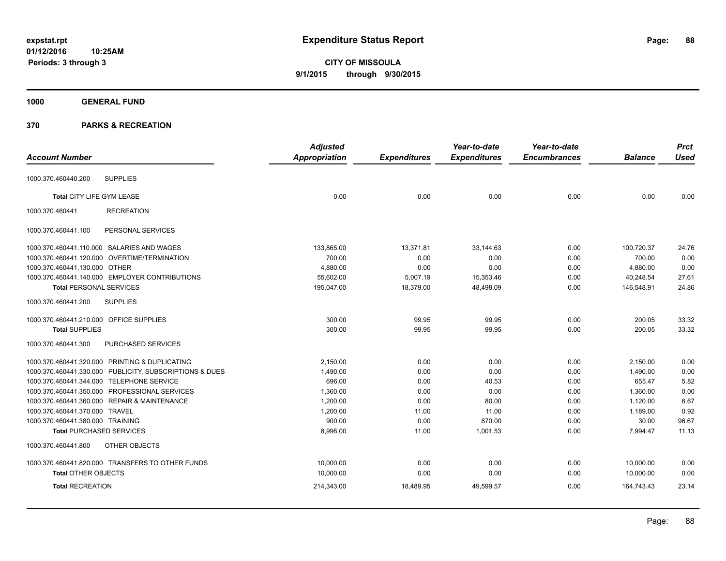**CITY OF MISSOULA 9/1/2015 through 9/30/2015**

## **1000 GENERAL FUND**

|                                         |                                                         | <b>Adjusted</b>      |                     | Year-to-date        | Year-to-date        |                | <b>Prct</b> |
|-----------------------------------------|---------------------------------------------------------|----------------------|---------------------|---------------------|---------------------|----------------|-------------|
| <b>Account Number</b>                   |                                                         | <b>Appropriation</b> | <b>Expenditures</b> | <b>Expenditures</b> | <b>Encumbrances</b> | <b>Balance</b> | <b>Used</b> |
| 1000.370.460440.200                     | <b>SUPPLIES</b>                                         |                      |                     |                     |                     |                |             |
|                                         |                                                         |                      |                     |                     |                     |                |             |
| Total CITY LIFE GYM LEASE               |                                                         | 0.00                 | 0.00                | 0.00                | 0.00                | 0.00           | 0.00        |
| 1000.370.460441                         | <b>RECREATION</b>                                       |                      |                     |                     |                     |                |             |
| 1000.370.460441.100                     | PERSONAL SERVICES                                       |                      |                     |                     |                     |                |             |
|                                         | 1000.370.460441.110.000 SALARIES AND WAGES              | 133,865.00           | 13,371.81           | 33,144.63           | 0.00                | 100,720.37     | 24.76       |
|                                         | 1000.370.460441.120.000 OVERTIME/TERMINATION            | 700.00               | 0.00                | 0.00                | 0.00                | 700.00         | 0.00        |
| 1000.370.460441.130.000 OTHER           |                                                         | 4,880.00             | 0.00                | 0.00                | 0.00                | 4,880.00       | 0.00        |
|                                         | 1000.370.460441.140.000 EMPLOYER CONTRIBUTIONS          | 55,602.00            | 5,007.19            | 15,353.46           | 0.00                | 40,248.54      | 27.61       |
| <b>Total PERSONAL SERVICES</b>          |                                                         | 195,047.00           | 18,379.00           | 48,498.09           | 0.00                | 146,548.91     | 24.86       |
| 1000.370.460441.200                     | <b>SUPPLIES</b>                                         |                      |                     |                     |                     |                |             |
| 1000.370.460441.210.000 OFFICE SUPPLIES |                                                         | 300.00               | 99.95               | 99.95               | 0.00                | 200.05         | 33.32       |
| <b>Total SUPPLIES</b>                   |                                                         | 300.00               | 99.95               | 99.95               | 0.00                | 200.05         | 33.32       |
| 1000.370.460441.300                     | PURCHASED SERVICES                                      |                      |                     |                     |                     |                |             |
|                                         | 1000.370.460441.320.000 PRINTING & DUPLICATING          | 2,150.00             | 0.00                | 0.00                | 0.00                | 2,150.00       | 0.00        |
|                                         | 1000.370.460441.330.000 PUBLICITY, SUBSCRIPTIONS & DUES | 1,490.00             | 0.00                | 0.00                | 0.00                | 1,490.00       | 0.00        |
|                                         | 1000.370.460441.344.000 TELEPHONE SERVICE               | 696.00               | 0.00                | 40.53               | 0.00                | 655.47         | 5.82        |
|                                         | 1000.370.460441.350.000 PROFESSIONAL SERVICES           | 1,360.00             | 0.00                | 0.00                | 0.00                | 1,360.00       | 0.00        |
|                                         | 1000.370.460441.360.000 REPAIR & MAINTENANCE            | 1,200.00             | 0.00                | 80.00               | 0.00                | 1,120.00       | 6.67        |
| 1000.370.460441.370.000 TRAVEL          |                                                         | 1,200.00             | 11.00               | 11.00               | 0.00                | 1,189.00       | 0.92        |
| 1000.370.460441.380.000 TRAINING        |                                                         | 900.00               | 0.00                | 870.00              | 0.00                | 30.00          | 96.67       |
| <b>Total PURCHASED SERVICES</b>         |                                                         | 8,996.00             | 11.00               | 1,001.53            | 0.00                | 7,994.47       | 11.13       |
| 1000.370.460441.800                     | OTHER OBJECTS                                           |                      |                     |                     |                     |                |             |
|                                         | 1000.370.460441.820.000 TRANSFERS TO OTHER FUNDS        | 10,000.00            | 0.00                | 0.00                | 0.00                | 10,000.00      | 0.00        |
| <b>Total OTHER OBJECTS</b>              |                                                         | 10,000.00            | 0.00                | 0.00                | 0.00                | 10,000.00      | 0.00        |
| <b>Total RECREATION</b>                 |                                                         | 214,343.00           | 18,489.95           | 49,599.57           | 0.00                | 164,743.43     | 23.14       |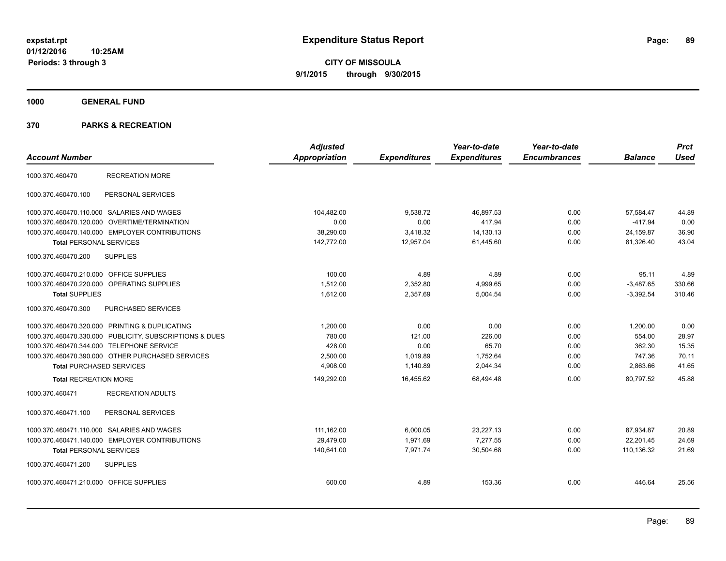**CITY OF MISSOULA 9/1/2015 through 9/30/2015**

**1000 GENERAL FUND**

| <b>Account Number</b>                                   | <b>Adjusted</b><br><b>Appropriation</b> | <b>Expenditures</b> | Year-to-date<br><b>Expenditures</b> | Year-to-date<br><b>Encumbrances</b> | <b>Balance</b> | <b>Prct</b><br><b>Used</b> |
|---------------------------------------------------------|-----------------------------------------|---------------------|-------------------------------------|-------------------------------------|----------------|----------------------------|
| <b>RECREATION MORE</b><br>1000.370.460470               |                                         |                     |                                     |                                     |                |                            |
| PERSONAL SERVICES<br>1000.370.460470.100                |                                         |                     |                                     |                                     |                |                            |
| 1000.370.460470.110.000 SALARIES AND WAGES              | 104,482.00                              | 9,538.72            | 46,897.53                           | 0.00                                | 57,584.47      | 44.89                      |
| 1000.370.460470.120.000 OVERTIME/TERMINATION            | 0.00                                    | 0.00                | 417.94                              | 0.00                                | $-417.94$      | 0.00                       |
| 1000.370.460470.140.000 EMPLOYER CONTRIBUTIONS          | 38,290.00                               | 3,418.32            | 14,130.13                           | 0.00                                | 24,159.87      | 36.90                      |
| <b>Total PERSONAL SERVICES</b>                          | 142,772.00                              | 12,957.04           | 61,445.60                           | 0.00                                | 81,326.40      | 43.04                      |
| <b>SUPPLIES</b><br>1000.370.460470.200                  |                                         |                     |                                     |                                     |                |                            |
| 1000.370.460470.210.000 OFFICE SUPPLIES                 | 100.00                                  | 4.89                | 4.89                                | 0.00                                | 95.11          | 4.89                       |
| 1000.370.460470.220.000 OPERATING SUPPLIES              | 1,512.00                                | 2,352.80            | 4,999.65                            | 0.00                                | $-3,487.65$    | 330.66                     |
| <b>Total SUPPLIES</b>                                   | 1,612.00                                | 2,357.69            | 5,004.54                            | 0.00                                | $-3,392.54$    | 310.46                     |
| PURCHASED SERVICES<br>1000.370.460470.300               |                                         |                     |                                     |                                     |                |                            |
| 1000.370.460470.320.000 PRINTING & DUPLICATING          | 1,200.00                                | 0.00                | 0.00                                | 0.00                                | 1,200.00       | 0.00                       |
| 1000.370.460470.330.000 PUBLICITY, SUBSCRIPTIONS & DUES | 780.00                                  | 121.00              | 226.00                              | 0.00                                | 554.00         | 28.97                      |
| 1000.370.460470.344.000 TELEPHONE SERVICE               | 428.00                                  | 0.00                | 65.70                               | 0.00                                | 362.30         | 15.35                      |
| 1000.370.460470.390.000 OTHER PURCHASED SERVICES        | 2,500.00                                | 1,019.89            | 1,752.64                            | 0.00                                | 747.36         | 70.11                      |
| <b>Total PURCHASED SERVICES</b>                         | 4,908.00                                | 1,140.89            | 2,044.34                            | 0.00                                | 2,863.66       | 41.65                      |
| <b>Total RECREATION MORE</b>                            | 149,292.00                              | 16,455.62           | 68,494.48                           | 0.00                                | 80,797.52      | 45.88                      |
| 1000.370.460471<br><b>RECREATION ADULTS</b>             |                                         |                     |                                     |                                     |                |                            |
| 1000.370.460471.100<br>PERSONAL SERVICES                |                                         |                     |                                     |                                     |                |                            |
| 1000.370.460471.110.000 SALARIES AND WAGES              | 111,162.00                              | 6,000.05            | 23,227.13                           | 0.00                                | 87,934.87      | 20.89                      |
| 1000.370.460471.140.000 EMPLOYER CONTRIBUTIONS          | 29,479.00                               | 1,971.69            | 7.277.55                            | 0.00                                | 22.201.45      | 24.69                      |
| <b>Total PERSONAL SERVICES</b>                          | 140.641.00                              | 7.971.74            | 30,504.68                           | 0.00                                | 110.136.32     | 21.69                      |
| 1000.370.460471.200<br><b>SUPPLIES</b>                  |                                         |                     |                                     |                                     |                |                            |
| 1000.370.460471.210.000 OFFICE SUPPLIES                 | 600.00                                  | 4.89                | 153.36                              | 0.00                                | 446.64         | 25.56                      |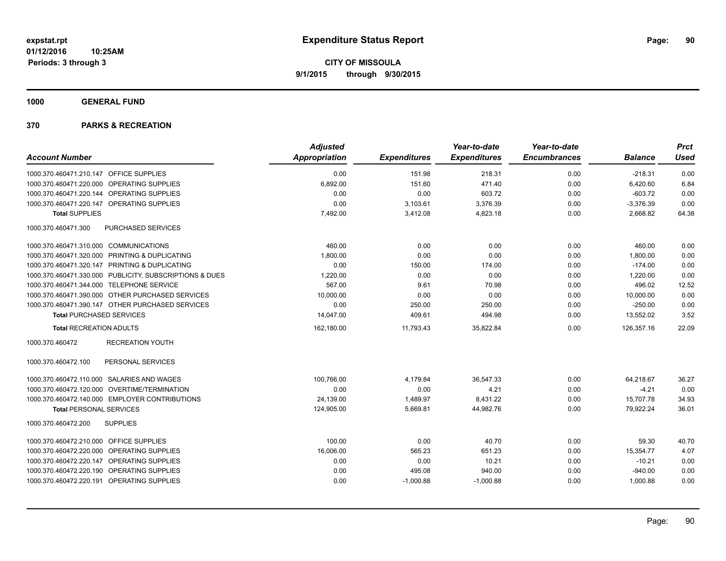**1000 GENERAL FUND**

| <b>Account Number</b>                                   | <b>Adjusted</b><br>Appropriation | <b>Expenditures</b> | Year-to-date<br><b>Expenditures</b> | Year-to-date<br><b>Encumbrances</b> | <b>Balance</b> | <b>Prct</b><br><b>Used</b> |
|---------------------------------------------------------|----------------------------------|---------------------|-------------------------------------|-------------------------------------|----------------|----------------------------|
|                                                         |                                  |                     |                                     |                                     |                |                            |
| 1000.370.460471.210.147 OFFICE SUPPLIES                 | 0.00                             | 151.98              | 218.31                              | 0.00                                | $-218.31$      | 0.00                       |
| 1000.370.460471.220.000 OPERATING SUPPLIES              | 6,892.00                         | 151.60              | 471.40                              | 0.00                                | 6,420.60       | 6.84                       |
| 1000.370.460471.220.144 OPERATING SUPPLIES              | 0.00                             | 0.00                | 603.72                              | 0.00                                | $-603.72$      | 0.00                       |
| 1000.370.460471.220.147 OPERATING SUPPLIES              | 0.00                             | 3,103.61            | 3,376.39                            | 0.00                                | $-3,376.39$    | 0.00                       |
| <b>Total SUPPLIES</b>                                   | 7,492.00                         | 3,412.08            | 4,823.18                            | 0.00                                | 2.668.82       | 64.38                      |
| PURCHASED SERVICES<br>1000.370.460471.300               |                                  |                     |                                     |                                     |                |                            |
| 1000.370.460471.310.000 COMMUNICATIONS                  | 460.00                           | 0.00                | 0.00                                | 0.00                                | 460.00         | 0.00                       |
| 1000.370.460471.320.000 PRINTING & DUPLICATING          | 1,800.00                         | 0.00                | 0.00                                | 0.00                                | 1,800.00       | 0.00                       |
| 1000.370.460471.320.147 PRINTING & DUPLICATING          | 0.00                             | 150.00              | 174.00                              | 0.00                                | $-174.00$      | 0.00                       |
| 1000.370.460471.330.000 PUBLICITY, SUBSCRIPTIONS & DUES | 1,220.00                         | 0.00                | 0.00                                | 0.00                                | 1,220.00       | 0.00                       |
| 1000.370.460471.344.000 TELEPHONE SERVICE               | 567.00                           | 9.61                | 70.98                               | 0.00                                | 496.02         | 12.52                      |
| 1000.370.460471.390.000 OTHER PURCHASED SERVICES        | 10,000.00                        | 0.00                | 0.00                                | 0.00                                | 10,000.00      | 0.00                       |
| 1000.370.460471.390.147 OTHER PURCHASED SERVICES        | 0.00                             | 250.00              | 250.00                              | 0.00                                | $-250.00$      | 0.00                       |
| <b>Total PURCHASED SERVICES</b>                         | 14,047.00                        | 409.61              | 494.98                              | 0.00                                | 13,552.02      | 3.52                       |
| <b>Total RECREATION ADULTS</b>                          | 162,180.00                       | 11,793.43           | 35,822.84                           | 0.00                                | 126,357.16     | 22.09                      |
| 1000.370.460472<br><b>RECREATION YOUTH</b>              |                                  |                     |                                     |                                     |                |                            |
| PERSONAL SERVICES<br>1000.370.460472.100                |                                  |                     |                                     |                                     |                |                            |
| 1000.370.460472.110.000 SALARIES AND WAGES              | 100.766.00                       | 4,179.84            | 36.547.33                           | 0.00                                | 64,218.67      | 36.27                      |
| 1000.370.460472.120.000 OVERTIME/TERMINATION            | 0.00                             | 0.00                | 4.21                                | 0.00                                | $-4.21$        | 0.00                       |
| 1000.370.460472.140.000 EMPLOYER CONTRIBUTIONS          | 24,139.00                        | 1,489.97            | 8,431.22                            | 0.00                                | 15,707.78      | 34.93                      |
| <b>Total PERSONAL SERVICES</b>                          | 124,905.00                       | 5,669.81            | 44,982.76                           | 0.00                                | 79,922.24      | 36.01                      |
| <b>SUPPLIES</b><br>1000.370.460472.200                  |                                  |                     |                                     |                                     |                |                            |
| 1000.370.460472.210.000 OFFICE SUPPLIES                 | 100.00                           | 0.00                | 40.70                               | 0.00                                | 59.30          | 40.70                      |
| 1000.370.460472.220.000 OPERATING SUPPLIES              | 16,006.00                        | 565.23              | 651.23                              | 0.00                                | 15,354.77      | 4.07                       |
| 1000.370.460472.220.147 OPERATING SUPPLIES              | 0.00                             | 0.00                | 10.21                               | 0.00                                | $-10.21$       | 0.00                       |
| 1000.370.460472.220.190 OPERATING SUPPLIES              | 0.00                             | 495.08              | 940.00                              | 0.00                                | $-940.00$      | 0.00                       |
| 1000.370.460472.220.191 OPERATING SUPPLIES              | 0.00                             | $-1,000.88$         | $-1,000.88$                         | 0.00                                | 1,000.88       | 0.00                       |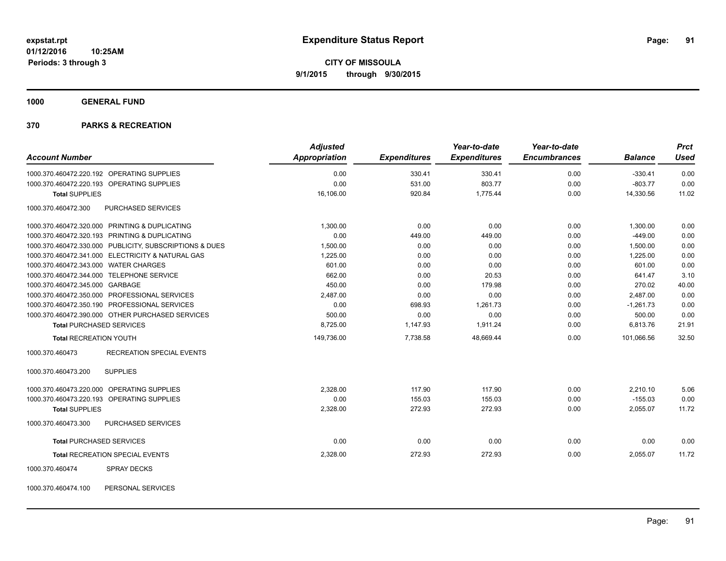**1000 GENERAL FUND**

| <b>Account Number</b>                                   | <b>Adjusted</b><br><b>Appropriation</b> |                     | Year-to-date<br><b>Expenditures</b> | Year-to-date<br><b>Encumbrances</b> | <b>Balance</b> | <b>Prct</b><br><b>Used</b> |
|---------------------------------------------------------|-----------------------------------------|---------------------|-------------------------------------|-------------------------------------|----------------|----------------------------|
|                                                         |                                         | <b>Expenditures</b> |                                     |                                     |                |                            |
| 1000.370.460472.220.192 OPERATING SUPPLIES              | 0.00                                    | 330.41              | 330.41                              | 0.00                                | $-330.41$      | 0.00                       |
| 1000.370.460472.220.193 OPERATING SUPPLIES              | 0.00                                    | 531.00              | 803.77                              | 0.00                                | $-803.77$      | 0.00                       |
| <b>Total SUPPLIES</b>                                   | 16,106.00                               | 920.84              | 1,775.44                            | 0.00                                | 14,330.56      | 11.02                      |
| 1000.370.460472.300<br>PURCHASED SERVICES               |                                         |                     |                                     |                                     |                |                            |
| 1000.370.460472.320.000 PRINTING & DUPLICATING          | 1.300.00                                | 0.00                | 0.00                                | 0.00                                | 1,300.00       | 0.00                       |
| 1000.370.460472.320.193 PRINTING & DUPLICATING          | 0.00                                    | 449.00              | 449.00                              | 0.00                                | $-449.00$      | 0.00                       |
| 1000.370.460472.330.000 PUBLICITY, SUBSCRIPTIONS & DUES | 1,500.00                                | 0.00                | 0.00                                | 0.00                                | 1,500.00       | 0.00                       |
| 1000.370.460472.341.000 ELECTRICITY & NATURAL GAS       | 1,225.00                                | 0.00                | 0.00                                | 0.00                                | 1,225.00       | 0.00                       |
| 1000.370.460472.343.000 WATER CHARGES                   | 601.00                                  | 0.00                | 0.00                                | 0.00                                | 601.00         | 0.00                       |
| 1000.370.460472.344.000 TELEPHONE SERVICE               | 662.00                                  | 0.00                | 20.53                               | 0.00                                | 641.47         | 3.10                       |
| 1000.370.460472.345.000 GARBAGE                         | 450.00                                  | 0.00                | 179.98                              | 0.00                                | 270.02         | 40.00                      |
| 1000.370.460472.350.000 PROFESSIONAL SERVICES           | 2,487.00                                | 0.00                | 0.00                                | 0.00                                | 2,487.00       | 0.00                       |
| 1000.370.460472.350.190 PROFESSIONAL SERVICES           | 0.00                                    | 698.93              | 1,261.73                            | 0.00                                | $-1,261.73$    | 0.00                       |
| 1000.370.460472.390.000 OTHER PURCHASED SERVICES        | 500.00                                  | 0.00                | 0.00                                | 0.00                                | 500.00         | 0.00                       |
| <b>Total PURCHASED SERVICES</b>                         | 8,725.00                                | 1,147.93            | 1,911.24                            | 0.00                                | 6,813.76       | 21.91                      |
| <b>Total RECREATION YOUTH</b>                           | 149,736.00                              | 7.738.58            | 48,669.44                           | 0.00                                | 101.066.56     | 32.50                      |
| <b>RECREATION SPECIAL EVENTS</b><br>1000.370.460473     |                                         |                     |                                     |                                     |                |                            |
| <b>SUPPLIES</b><br>1000.370.460473.200                  |                                         |                     |                                     |                                     |                |                            |
| 1000.370.460473.220.000 OPERATING SUPPLIES              | 2,328.00                                | 117.90              | 117.90                              | 0.00                                | 2,210.10       | 5.06                       |
| 1000.370.460473.220.193 OPERATING SUPPLIES              | 0.00                                    | 155.03              | 155.03                              | 0.00                                | $-155.03$      | 0.00                       |
| <b>Total SUPPLIES</b>                                   | 2,328.00                                | 272.93              | 272.93                              | 0.00                                | 2,055.07       | 11.72                      |
| 1000.370.460473.300<br>PURCHASED SERVICES               |                                         |                     |                                     |                                     |                |                            |
| <b>Total PURCHASED SERVICES</b>                         | 0.00                                    | 0.00                | 0.00                                | 0.00                                | 0.00           | 0.00                       |
| Total RECREATION SPECIAL EVENTS                         | 2,328.00                                | 272.93              | 272.93                              | 0.00                                | 2,055.07       | 11.72                      |
| 1000.370.460474<br><b>SPRAY DECKS</b>                   |                                         |                     |                                     |                                     |                |                            |
| 1000.370.460474.100<br>PERSONAL SERVICES                |                                         |                     |                                     |                                     |                |                            |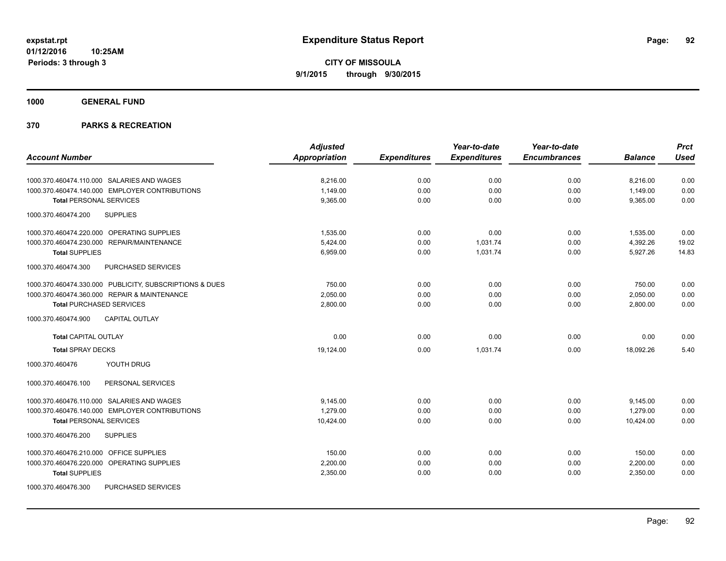**1000 GENERAL FUND**

| <b>Account Number</b>                                   | <b>Adjusted</b><br>Appropriation | <b>Expenditures</b> | Year-to-date<br><b>Expenditures</b> | Year-to-date<br><b>Encumbrances</b> | <b>Balance</b> | <b>Prct</b><br><b>Used</b> |
|---------------------------------------------------------|----------------------------------|---------------------|-------------------------------------|-------------------------------------|----------------|----------------------------|
|                                                         |                                  |                     |                                     |                                     |                |                            |
| 1000.370.460474.110.000 SALARIES AND WAGES              | 8,216.00                         | 0.00                | 0.00                                | 0.00                                | 8,216.00       | 0.00                       |
| 1000.370.460474.140.000 EMPLOYER CONTRIBUTIONS          | 1,149.00                         | 0.00                | 0.00                                | 0.00                                | 1,149.00       | 0.00                       |
| <b>Total PERSONAL SERVICES</b>                          | 9,365.00                         | 0.00                | 0.00                                | 0.00                                | 9,365.00       | 0.00                       |
| 1000.370.460474.200<br><b>SUPPLIES</b>                  |                                  |                     |                                     |                                     |                |                            |
| 1000.370.460474.220.000 OPERATING SUPPLIES              | 1,535.00                         | 0.00                | 0.00                                | 0.00                                | 1,535.00       | 0.00                       |
| 1000.370.460474.230.000 REPAIR/MAINTENANCE              | 5,424.00                         | 0.00                | 1,031.74                            | 0.00                                | 4,392.26       | 19.02                      |
| <b>Total SUPPLIES</b>                                   | 6,959.00                         | 0.00                | 1,031.74                            | 0.00                                | 5,927.26       | 14.83                      |
| 1000.370.460474.300<br>PURCHASED SERVICES               |                                  |                     |                                     |                                     |                |                            |
| 1000.370.460474.330.000 PUBLICITY, SUBSCRIPTIONS & DUES | 750.00                           | 0.00                | 0.00                                | 0.00                                | 750.00         | 0.00                       |
| 1000.370.460474.360.000 REPAIR & MAINTENANCE            | 2,050.00                         | 0.00                | 0.00                                | 0.00                                | 2,050.00       | 0.00                       |
| <b>Total PURCHASED SERVICES</b>                         | 2,800.00                         | 0.00                | 0.00                                | 0.00                                | 2,800.00       | 0.00                       |
| <b>CAPITAL OUTLAY</b><br>1000.370.460474.900            |                                  |                     |                                     |                                     |                |                            |
| <b>Total CAPITAL OUTLAY</b>                             | 0.00                             | 0.00                | 0.00                                | 0.00                                | 0.00           | 0.00                       |
| <b>Total SPRAY DECKS</b>                                | 19,124.00                        | 0.00                | 1,031.74                            | 0.00                                | 18.092.26      | 5.40                       |
| YOUTH DRUG<br>1000.370.460476                           |                                  |                     |                                     |                                     |                |                            |
| PERSONAL SERVICES<br>1000.370.460476.100                |                                  |                     |                                     |                                     |                |                            |
| 1000.370.460476.110.000 SALARIES AND WAGES              | 9,145.00                         | 0.00                | 0.00                                | 0.00                                | 9,145.00       | 0.00                       |
| 1000.370.460476.140.000 EMPLOYER CONTRIBUTIONS          | 1.279.00                         | 0.00                | 0.00                                | 0.00                                | 1.279.00       | 0.00                       |
| <b>Total PERSONAL SERVICES</b>                          | 10,424.00                        | 0.00                | 0.00                                | 0.00                                | 10,424.00      | 0.00                       |
| <b>SUPPLIES</b><br>1000.370.460476.200                  |                                  |                     |                                     |                                     |                |                            |
| 1000.370.460476.210.000 OFFICE SUPPLIES                 | 150.00                           | 0.00                | 0.00                                | 0.00                                | 150.00         | 0.00                       |
| 1000.370.460476.220.000 OPERATING SUPPLIES              | 2,200.00                         | 0.00                | 0.00                                | 0.00                                | 2,200.00       | 0.00                       |
| <b>Total SUPPLIES</b>                                   | 2,350.00                         | 0.00                | 0.00                                | 0.00                                | 2,350.00       | 0.00                       |
| 1000.370.460476.300<br>PURCHASED SERVICES               |                                  |                     |                                     |                                     |                |                            |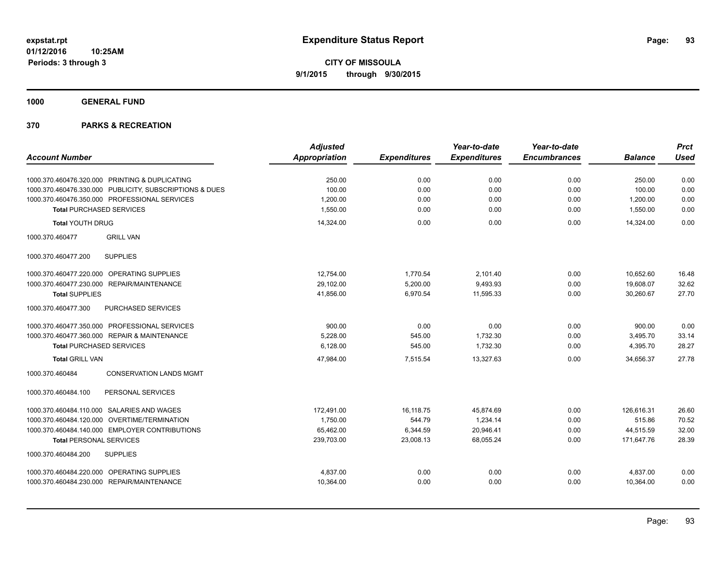## **1000 GENERAL FUND**

| <b>Account Number</b>                                   | <b>Adjusted</b><br>Appropriation | <b>Expenditures</b> | Year-to-date<br><b>Expenditures</b> | Year-to-date<br><b>Encumbrances</b> | <b>Balance</b> | <b>Prct</b><br><b>Used</b> |
|---------------------------------------------------------|----------------------------------|---------------------|-------------------------------------|-------------------------------------|----------------|----------------------------|
|                                                         |                                  |                     |                                     |                                     |                |                            |
| 1000.370.460476.320.000 PRINTING & DUPLICATING          | 250.00                           | 0.00                | 0.00                                | 0.00                                | 250.00         | 0.00                       |
| 1000.370.460476.330.000 PUBLICITY, SUBSCRIPTIONS & DUES | 100.00                           | 0.00                | 0.00                                | 0.00                                | 100.00         | 0.00                       |
| 1000.370.460476.350.000 PROFESSIONAL SERVICES           | 1,200.00                         | 0.00                | 0.00                                | 0.00                                | 1,200.00       | 0.00                       |
| <b>Total PURCHASED SERVICES</b>                         | 1,550.00                         | 0.00                | 0.00                                | 0.00                                | 1,550.00       | 0.00                       |
| <b>Total YOUTH DRUG</b>                                 | 14,324.00                        | 0.00                | 0.00                                | 0.00                                | 14,324.00      | 0.00                       |
| 1000.370.460477<br><b>GRILL VAN</b>                     |                                  |                     |                                     |                                     |                |                            |
| 1000.370.460477.200<br><b>SUPPLIES</b>                  |                                  |                     |                                     |                                     |                |                            |
| 1000.370.460477.220.000 OPERATING SUPPLIES              | 12,754.00                        | 1,770.54            | 2,101.40                            | 0.00                                | 10,652.60      | 16.48                      |
| 1000.370.460477.230.000 REPAIR/MAINTENANCE              | 29,102.00                        | 5,200.00            | 9,493.93                            | 0.00                                | 19,608.07      | 32.62                      |
| <b>Total SUPPLIES</b>                                   | 41,856.00                        | 6,970.54            | 11,595.33                           | 0.00                                | 30,260.67      | 27.70                      |
| PURCHASED SERVICES<br>1000.370.460477.300               |                                  |                     |                                     |                                     |                |                            |
| 1000.370.460477.350.000 PROFESSIONAL SERVICES           | 900.00                           | 0.00                | 0.00                                | 0.00                                | 900.00         | 0.00                       |
| 1000.370.460477.360.000 REPAIR & MAINTENANCE            | 5,228.00                         | 545.00              | 1,732.30                            | 0.00                                | 3,495.70       | 33.14                      |
| <b>Total PURCHASED SERVICES</b>                         | 6,128.00                         | 545.00              | 1,732.30                            | 0.00                                | 4,395.70       | 28.27                      |
| <b>Total GRILL VAN</b>                                  | 47,984.00                        | 7,515.54            | 13.327.63                           | 0.00                                | 34,656.37      | 27.78                      |
| <b>CONSERVATION LANDS MGMT</b><br>1000.370.460484       |                                  |                     |                                     |                                     |                |                            |
| PERSONAL SERVICES<br>1000.370.460484.100                |                                  |                     |                                     |                                     |                |                            |
| 1000.370.460484.110.000 SALARIES AND WAGES              | 172,491.00                       | 16,118.75           | 45,874.69                           | 0.00                                | 126,616.31     | 26.60                      |
| 1000.370.460484.120.000<br>OVERTIME/TERMINATION         | 1,750.00                         | 544.79              | 1,234.14                            | 0.00                                | 515.86         | 70.52                      |
| 1000.370.460484.140.000 EMPLOYER CONTRIBUTIONS          | 65,462.00                        | 6,344.59            | 20,946.41                           | 0.00                                | 44,515.59      | 32.00                      |
| <b>Total PERSONAL SERVICES</b>                          | 239,703.00                       | 23,008.13           | 68,055.24                           | 0.00                                | 171,647.76     | 28.39                      |
| 1000.370.460484.200<br><b>SUPPLIES</b>                  |                                  |                     |                                     |                                     |                |                            |
| 1000.370.460484.220.000 OPERATING SUPPLIES              | 4,837.00                         | 0.00                | 0.00                                | 0.00                                | 4,837.00       | 0.00                       |
| 1000.370.460484.230.000 REPAIR/MAINTENANCE              | 10,364.00                        | 0.00                | 0.00                                | 0.00                                | 10,364.00      | 0.00                       |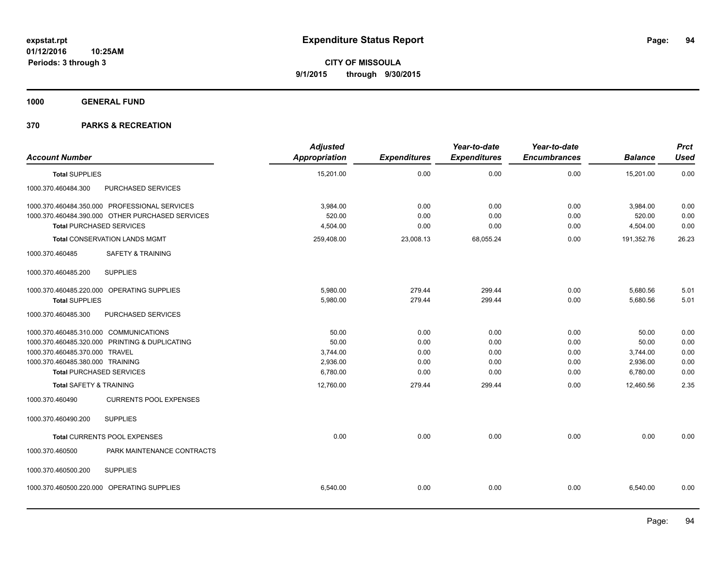**1000 GENERAL FUND**

| 0.00<br>15,201.00<br>0.00<br>0.00<br><b>Total SUPPLIES</b><br>PURCHASED SERVICES<br>1000.370.460484.300<br>1000.370.460484.350.000 PROFESSIONAL SERVICES<br>3,984.00<br>0.00<br>0.00<br>0.00<br>520.00<br>1000.370.460484.390.000 OTHER PURCHASED SERVICES<br>0.00<br>0.00<br>0.00 | 15,201.00<br>3,984.00<br>520.00<br>4,504.00 | 0.00<br>0.00<br>0.00 |
|------------------------------------------------------------------------------------------------------------------------------------------------------------------------------------------------------------------------------------------------------------------------------------|---------------------------------------------|----------------------|
|                                                                                                                                                                                                                                                                                    |                                             |                      |
|                                                                                                                                                                                                                                                                                    |                                             |                      |
|                                                                                                                                                                                                                                                                                    |                                             |                      |
|                                                                                                                                                                                                                                                                                    |                                             |                      |
| <b>Total PURCHASED SERVICES</b><br>0.00<br>4,504.00<br>0.00<br>0.00                                                                                                                                                                                                                |                                             | 0.00                 |
| 259,408.00<br>23,008.13<br>68,055.24<br>0.00<br><b>Total CONSERVATION LANDS MGMT</b>                                                                                                                                                                                               | 191,352.76                                  | 26.23                |
| <b>SAFETY &amp; TRAINING</b><br>1000.370.460485                                                                                                                                                                                                                                    |                                             |                      |
| <b>SUPPLIES</b><br>1000.370.460485.200                                                                                                                                                                                                                                             |                                             |                      |
| 5,980.00<br>279.44<br>299.44<br>0.00<br>1000.370.460485.220.000 OPERATING SUPPLIES                                                                                                                                                                                                 | 5,680.56                                    | 5.01                 |
| 5,980.00<br>279.44<br>299.44<br>0.00<br><b>Total SUPPLIES</b>                                                                                                                                                                                                                      | 5,680.56                                    | 5.01                 |
| PURCHASED SERVICES<br>1000.370.460485.300                                                                                                                                                                                                                                          |                                             |                      |
| 1000.370.460485.310.000 COMMUNICATIONS<br>50.00<br>0.00<br>0.00<br>0.00                                                                                                                                                                                                            | 50.00                                       | 0.00                 |
| 1000.370.460485.320.000 PRINTING & DUPLICATING<br>50.00<br>0.00<br>0.00<br>0.00                                                                                                                                                                                                    | 50.00                                       | 0.00                 |
| 1000.370.460485.370.000 TRAVEL<br>3,744.00<br>0.00<br>0.00<br>0.00                                                                                                                                                                                                                 | 3,744.00                                    | 0.00                 |
| 1000.370.460485.380.000 TRAINING<br>2,936.00<br>0.00<br>0.00<br>0.00                                                                                                                                                                                                               | 2,936.00                                    | 0.00                 |
| <b>Total PURCHASED SERVICES</b><br>6,780.00<br>0.00<br>0.00<br>0.00                                                                                                                                                                                                                | 6,780.00                                    | 0.00                 |
| <b>Total SAFETY &amp; TRAINING</b><br>12,760.00<br>279.44<br>299.44<br>0.00                                                                                                                                                                                                        | 12,460.56                                   | 2.35                 |
| 1000.370.460490<br><b>CURRENTS POOL EXPENSES</b>                                                                                                                                                                                                                                   |                                             |                      |
| <b>SUPPLIES</b><br>1000.370.460490.200                                                                                                                                                                                                                                             |                                             |                      |
| 0.00<br>0.00<br>0.00<br>0.00<br>Total CURRENTS POOL EXPENSES                                                                                                                                                                                                                       | 0.00                                        | 0.00                 |
| 1000.370.460500<br>PARK MAINTENANCE CONTRACTS                                                                                                                                                                                                                                      |                                             |                      |
| <b>SUPPLIES</b><br>1000.370.460500.200                                                                                                                                                                                                                                             |                                             |                      |
| 1000.370.460500.220.000 OPERATING SUPPLIES<br>0.00<br>0.00<br>6,540.00<br>0.00                                                                                                                                                                                                     | 6,540.00                                    | 0.00                 |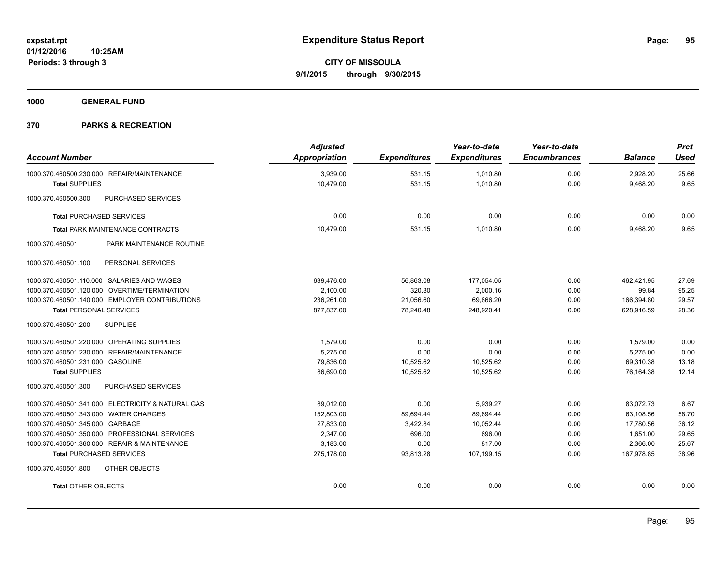**1000 GENERAL FUND**

| <b>Account Number</b>                             | <b>Adjusted</b><br>Appropriation | <b>Expenditures</b> | Year-to-date<br><b>Expenditures</b> | Year-to-date<br><b>Encumbrances</b> | <b>Balance</b> | <b>Prct</b><br><b>Used</b> |
|---------------------------------------------------|----------------------------------|---------------------|-------------------------------------|-------------------------------------|----------------|----------------------------|
| 1000.370.460500.230.000 REPAIR/MAINTENANCE        | 3,939.00                         | 531.15              | 1,010.80                            | 0.00                                | 2,928.20       | 25.66                      |
| <b>Total SUPPLIES</b>                             | 10,479.00                        | 531.15              | 1,010.80                            | 0.00                                | 9,468.20       | 9.65                       |
| 1000.370.460500.300<br>PURCHASED SERVICES         |                                  |                     |                                     |                                     |                |                            |
| <b>Total PURCHASED SERVICES</b>                   | 0.00                             | 0.00                | 0.00                                | 0.00                                | 0.00           | 0.00                       |
| <b>Total PARK MAINTENANCE CONTRACTS</b>           | 10,479.00                        | 531.15              | 1,010.80                            | 0.00                                | 9,468.20       | 9.65                       |
| PARK MAINTENANCE ROUTINE<br>1000.370.460501       |                                  |                     |                                     |                                     |                |                            |
| 1000.370.460501.100<br>PERSONAL SERVICES          |                                  |                     |                                     |                                     |                |                            |
| 1000.370.460501.110.000 SALARIES AND WAGES        | 639,476.00                       | 56,863.08           | 177,054.05                          | 0.00                                | 462,421.95     | 27.69                      |
| 1000.370.460501.120.000 OVERTIME/TERMINATION      | 2,100.00                         | 320.80              | 2,000.16                            | 0.00                                | 99.84          | 95.25                      |
| 1000.370.460501.140.000 EMPLOYER CONTRIBUTIONS    | 236,261.00                       | 21,056.60           | 69,866.20                           | 0.00                                | 166,394.80     | 29.57                      |
| <b>Total PERSONAL SERVICES</b>                    | 877,837.00                       | 78,240.48           | 248,920.41                          | 0.00                                | 628,916.59     | 28.36                      |
| 1000.370.460501.200<br><b>SUPPLIES</b>            |                                  |                     |                                     |                                     |                |                            |
| 1000.370.460501.220.000 OPERATING SUPPLIES        | 1,579.00                         | 0.00                | 0.00                                | 0.00                                | 1,579.00       | 0.00                       |
| 1000.370.460501.230.000 REPAIR/MAINTENANCE        | 5,275.00                         | 0.00                | 0.00                                | 0.00                                | 5,275.00       | 0.00                       |
| 1000.370.460501.231.000 GASOLINE                  | 79,836.00                        | 10,525.62           | 10,525.62                           | 0.00                                | 69,310.38      | 13.18                      |
| <b>Total SUPPLIES</b>                             | 86,690.00                        | 10,525.62           | 10,525.62                           | 0.00                                | 76,164.38      | 12.14                      |
| 1000.370.460501.300<br>PURCHASED SERVICES         |                                  |                     |                                     |                                     |                |                            |
| 1000.370.460501.341.000 ELECTRICITY & NATURAL GAS | 89,012.00                        | 0.00                | 5,939.27                            | 0.00                                | 83,072.73      | 6.67                       |
| 1000.370.460501.343.000 WATER CHARGES             | 152,803.00                       | 89,694.44           | 89,694.44                           | 0.00                                | 63,108.56      | 58.70                      |
| 1000.370.460501.345.000 GARBAGE                   | 27,833.00                        | 3,422.84            | 10.052.44                           | 0.00                                | 17,780.56      | 36.12                      |
| 1000.370.460501.350.000 PROFESSIONAL SERVICES     | 2,347.00                         | 696.00              | 696.00                              | 0.00                                | 1,651.00       | 29.65                      |
| 1000.370.460501.360.000 REPAIR & MAINTENANCE      | 3,183.00                         | 0.00                | 817.00                              | 0.00                                | 2,366.00       | 25.67                      |
| <b>Total PURCHASED SERVICES</b>                   | 275,178.00                       | 93,813.28           | 107,199.15                          | 0.00                                | 167,978.85     | 38.96                      |
| OTHER OBJECTS<br>1000.370.460501.800              |                                  |                     |                                     |                                     |                |                            |
| <b>Total OTHER OBJECTS</b>                        | 0.00                             | 0.00                | 0.00                                | 0.00                                | 0.00           | 0.00                       |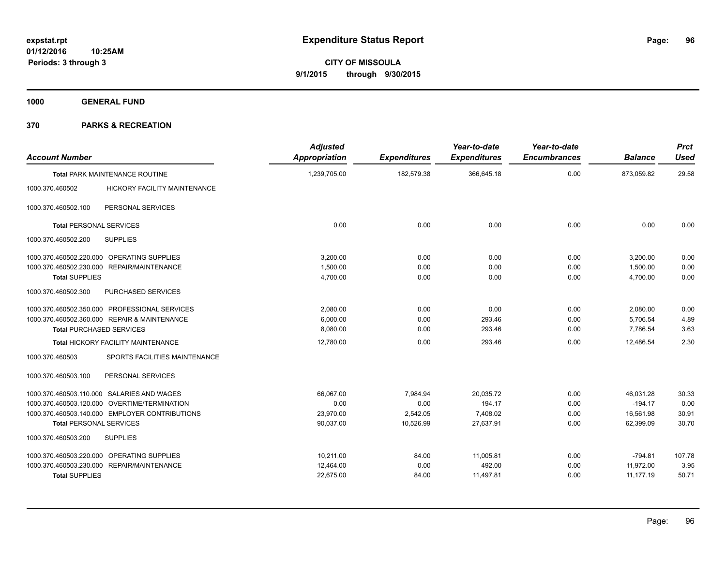**1000 GENERAL FUND**

| <b>Account Number</b>                                  | <b>Adjusted</b><br><b>Appropriation</b> | <b>Expenditures</b> | Year-to-date<br><b>Expenditures</b> | Year-to-date<br><b>Encumbrances</b> | <b>Balance</b> | <b>Prct</b><br><b>Used</b> |
|--------------------------------------------------------|-----------------------------------------|---------------------|-------------------------------------|-------------------------------------|----------------|----------------------------|
| <b>Total PARK MAINTENANCE ROUTINE</b>                  | 1,239,705.00                            | 182,579.38          | 366,645.18                          | 0.00                                | 873,059.82     | 29.58                      |
| <b>HICKORY FACILITY MAINTENANCE</b><br>1000.370.460502 |                                         |                     |                                     |                                     |                |                            |
| PERSONAL SERVICES<br>1000.370.460502.100               |                                         |                     |                                     |                                     |                |                            |
| <b>Total PERSONAL SERVICES</b>                         | 0.00                                    | 0.00                | 0.00                                | 0.00                                | 0.00           | 0.00                       |
| 1000.370.460502.200<br><b>SUPPLIES</b>                 |                                         |                     |                                     |                                     |                |                            |
| 1000.370.460502.220.000 OPERATING SUPPLIES             | 3,200.00                                | 0.00                | 0.00                                | 0.00                                | 3,200.00       | 0.00                       |
| 1000.370.460502.230.000 REPAIR/MAINTENANCE             | 1.500.00                                | 0.00                | 0.00                                | 0.00                                | 1,500.00       | 0.00                       |
| <b>Total SUPPLIES</b>                                  | 4,700.00                                | 0.00                | 0.00                                | 0.00                                | 4.700.00       | 0.00                       |
| PURCHASED SERVICES<br>1000.370.460502.300              |                                         |                     |                                     |                                     |                |                            |
| 1000.370.460502.350.000 PROFESSIONAL SERVICES          | 2,080.00                                | 0.00                | 0.00                                | 0.00                                | 2,080.00       | 0.00                       |
| 1000.370.460502.360.000 REPAIR & MAINTENANCE           | 6,000.00                                | 0.00                | 293.46                              | 0.00                                | 5,706.54       | 4.89                       |
| <b>Total PURCHASED SERVICES</b>                        | 8,080.00                                | 0.00                | 293.46                              | 0.00                                | 7,786.54       | 3.63                       |
| Total HICKORY FACILITY MAINTENANCE                     | 12,780.00                               | 0.00                | 293.46                              | 0.00                                | 12,486.54      | 2.30                       |
| 1000.370.460503<br>SPORTS FACILITIES MAINTENANCE       |                                         |                     |                                     |                                     |                |                            |
| PERSONAL SERVICES<br>1000.370.460503.100               |                                         |                     |                                     |                                     |                |                            |
| 1000.370.460503.110.000 SALARIES AND WAGES             | 66,067.00                               | 7,984.94            | 20,035.72                           | 0.00                                | 46,031.28      | 30.33                      |
| 1000.370.460503.120.000 OVERTIME/TERMINATION           | 0.00                                    | 0.00                | 194.17                              | 0.00                                | $-194.17$      | 0.00                       |
| 1000.370.460503.140.000 EMPLOYER CONTRIBUTIONS         | 23,970.00                               | 2,542.05            | 7,408.02                            | 0.00                                | 16,561.98      | 30.91                      |
| <b>Total PERSONAL SERVICES</b>                         | 90,037.00                               | 10,526.99           | 27,637.91                           | 0.00                                | 62,399.09      | 30.70                      |
| 1000.370.460503.200<br><b>SUPPLIES</b>                 |                                         |                     |                                     |                                     |                |                            |
| 1000.370.460503.220.000 OPERATING SUPPLIES             | 10,211.00                               | 84.00               | 11,005.81                           | 0.00                                | $-794.81$      | 107.78                     |
| 1000.370.460503.230.000 REPAIR/MAINTENANCE             | 12,464.00                               | 0.00                | 492.00                              | 0.00                                | 11,972.00      | 3.95                       |
| <b>Total SUPPLIES</b>                                  | 22,675.00                               | 84.00               | 11,497.81                           | 0.00                                | 11,177.19      | 50.71                      |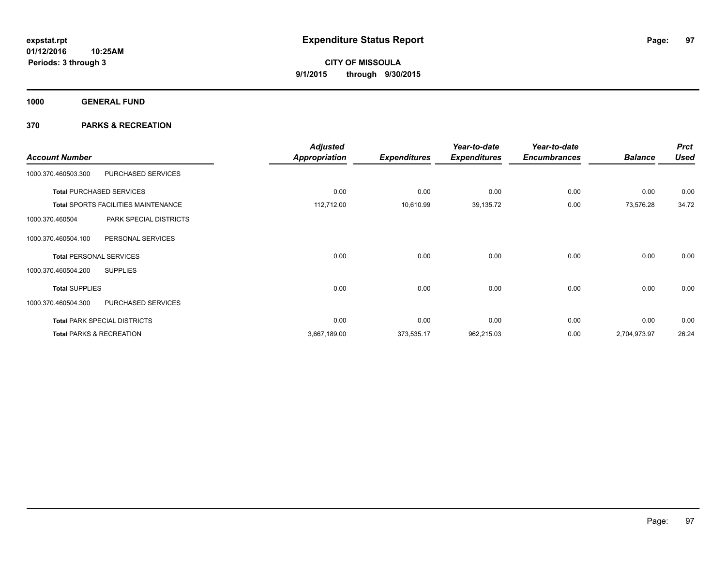**1000 GENERAL FUND**

| <b>Account Number</b>          |                                            | <b>Adjusted</b><br><b>Appropriation</b> | <b>Expenditures</b> | Year-to-date<br><b>Expenditures</b> | Year-to-date<br><b>Encumbrances</b> | <b>Balance</b> | <b>Prct</b><br><b>Used</b> |
|--------------------------------|--------------------------------------------|-----------------------------------------|---------------------|-------------------------------------|-------------------------------------|----------------|----------------------------|
| 1000.370.460503.300            | PURCHASED SERVICES                         |                                         |                     |                                     |                                     |                |                            |
|                                | <b>Total PURCHASED SERVICES</b>            | 0.00                                    | 0.00                | 0.00                                | 0.00                                | 0.00           | 0.00                       |
|                                | <b>Total SPORTS FACILITIES MAINTENANCE</b> | 112,712.00                              | 10,610.99           | 39,135.72                           | 0.00                                | 73,576.28      | 34.72                      |
| 1000.370.460504                | PARK SPECIAL DISTRICTS                     |                                         |                     |                                     |                                     |                |                            |
| 1000.370.460504.100            | PERSONAL SERVICES                          |                                         |                     |                                     |                                     |                |                            |
| <b>Total PERSONAL SERVICES</b> |                                            | 0.00                                    | 0.00                | 0.00                                | 0.00                                | 0.00           | 0.00                       |
| 1000.370.460504.200            | <b>SUPPLIES</b>                            |                                         |                     |                                     |                                     |                |                            |
| <b>Total SUPPLIES</b>          |                                            | 0.00                                    | 0.00                | 0.00                                | 0.00                                | 0.00           | 0.00                       |
| 1000.370.460504.300            | PURCHASED SERVICES                         |                                         |                     |                                     |                                     |                |                            |
|                                | <b>Total PARK SPECIAL DISTRICTS</b>        | 0.00                                    | 0.00                | 0.00                                | 0.00                                | 0.00           | 0.00                       |
|                                | <b>Total PARKS &amp; RECREATION</b>        | 3,667,189.00                            | 373,535.17          | 962,215.03                          | 0.00                                | 2,704,973.97   | 26.24                      |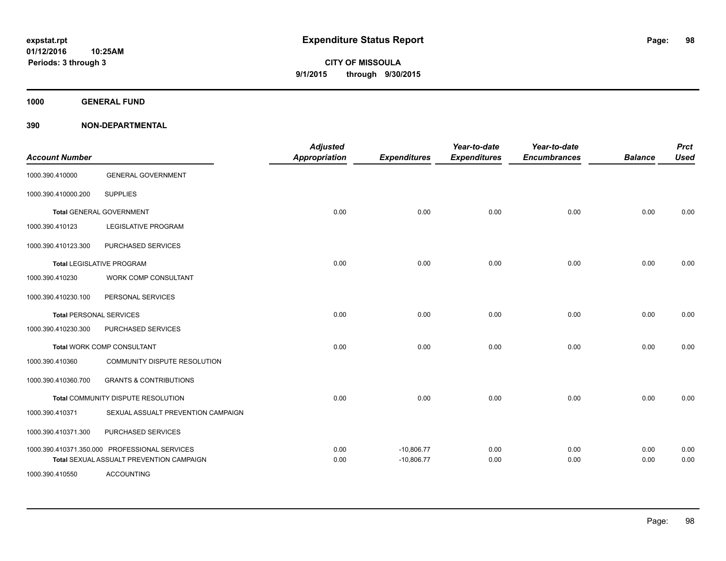**1000 GENERAL FUND**

| <b>Account Number</b>          |                                                                                           | <b>Adjusted</b><br>Appropriation | <b>Expenditures</b>          | Year-to-date<br><b>Expenditures</b> | Year-to-date<br><b>Encumbrances</b> | <b>Balance</b> | <b>Prct</b><br><b>Used</b> |
|--------------------------------|-------------------------------------------------------------------------------------------|----------------------------------|------------------------------|-------------------------------------|-------------------------------------|----------------|----------------------------|
| 1000.390.410000                | <b>GENERAL GOVERNMENT</b>                                                                 |                                  |                              |                                     |                                     |                |                            |
| 1000.390.410000.200            | <b>SUPPLIES</b>                                                                           |                                  |                              |                                     |                                     |                |                            |
|                                | <b>Total GENERAL GOVERNMENT</b>                                                           | 0.00                             | 0.00                         | 0.00                                | 0.00                                | 0.00           | 0.00                       |
| 1000.390.410123                | LEGISLATIVE PROGRAM                                                                       |                                  |                              |                                     |                                     |                |                            |
| 1000.390.410123.300            | PURCHASED SERVICES                                                                        |                                  |                              |                                     |                                     |                |                            |
|                                | <b>Total LEGISLATIVE PROGRAM</b>                                                          | 0.00                             | 0.00                         | 0.00                                | 0.00                                | 0.00           | 0.00                       |
| 1000.390.410230                | WORK COMP CONSULTANT                                                                      |                                  |                              |                                     |                                     |                |                            |
| 1000.390.410230.100            | PERSONAL SERVICES                                                                         |                                  |                              |                                     |                                     |                |                            |
| <b>Total PERSONAL SERVICES</b> |                                                                                           | 0.00                             | 0.00                         | 0.00                                | 0.00                                | 0.00           | 0.00                       |
| 1000.390.410230.300            | PURCHASED SERVICES                                                                        |                                  |                              |                                     |                                     |                |                            |
|                                | Total WORK COMP CONSULTANT                                                                | 0.00                             | 0.00                         | 0.00                                | 0.00                                | 0.00           | 0.00                       |
| 1000.390.410360                | COMMUNITY DISPUTE RESOLUTION                                                              |                                  |                              |                                     |                                     |                |                            |
| 1000.390.410360.700            | <b>GRANTS &amp; CONTRIBUTIONS</b>                                                         |                                  |                              |                                     |                                     |                |                            |
|                                | Total COMMUNITY DISPUTE RESOLUTION                                                        | 0.00                             | 0.00                         | 0.00                                | 0.00                                | 0.00           | 0.00                       |
| 1000.390.410371                | SEXUAL ASSUALT PREVENTION CAMPAIGN                                                        |                                  |                              |                                     |                                     |                |                            |
| 1000.390.410371.300            | PURCHASED SERVICES                                                                        |                                  |                              |                                     |                                     |                |                            |
|                                | 1000.390.410371.350.000 PROFESSIONAL SERVICES<br>Total SEXUAL ASSUALT PREVENTION CAMPAIGN | 0.00<br>0.00                     | $-10,806.77$<br>$-10,806.77$ | 0.00<br>0.00                        | 0.00<br>0.00                        | 0.00<br>0.00   | 0.00<br>0.00               |
| 1000.390.410550                | <b>ACCOUNTING</b>                                                                         |                                  |                              |                                     |                                     |                |                            |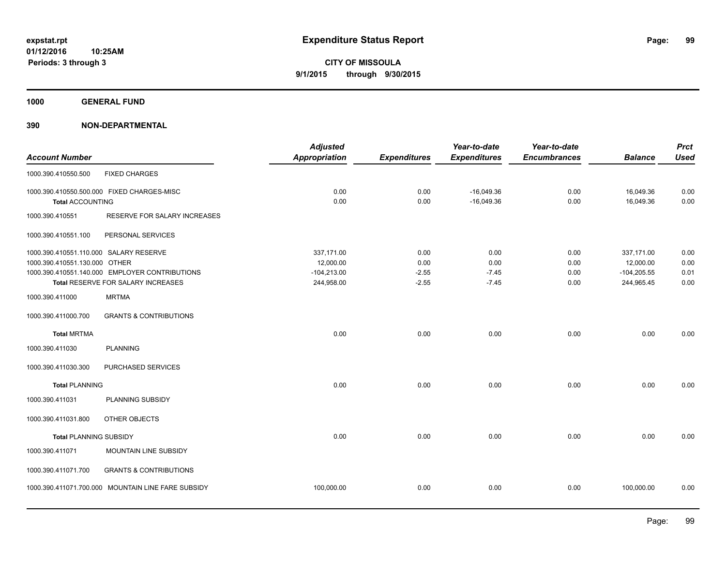**1000 GENERAL FUND**

| <b>Account Number</b>                                                   |                                                                                      | <b>Adjusted</b><br><b>Appropriation</b>                | <b>Expenditures</b>                | Year-to-date<br><b>Expenditures</b> | Year-to-date<br><b>Encumbrances</b> | <b>Balance</b>                                         | <b>Prct</b><br><b>Used</b>   |
|-------------------------------------------------------------------------|--------------------------------------------------------------------------------------|--------------------------------------------------------|------------------------------------|-------------------------------------|-------------------------------------|--------------------------------------------------------|------------------------------|
| 1000.390.410550.500                                                     | <b>FIXED CHARGES</b>                                                                 |                                                        |                                    |                                     |                                     |                                                        |                              |
| <b>Total ACCOUNTING</b>                                                 | 1000.390.410550.500.000 FIXED CHARGES-MISC                                           | 0.00<br>0.00                                           | 0.00<br>0.00                       | $-16,049.36$<br>$-16,049.36$        | 0.00<br>0.00                        | 16,049.36<br>16,049.36                                 | 0.00<br>0.00                 |
| 1000.390.410551                                                         | RESERVE FOR SALARY INCREASES                                                         |                                                        |                                    |                                     |                                     |                                                        |                              |
| 1000.390.410551.100                                                     | PERSONAL SERVICES                                                                    |                                                        |                                    |                                     |                                     |                                                        |                              |
| 1000.390.410551.110.000 SALARY RESERVE<br>1000.390.410551.130.000 OTHER | 1000.390.410551.140.000 EMPLOYER CONTRIBUTIONS<br>Total RESERVE FOR SALARY INCREASES | 337,171.00<br>12,000.00<br>$-104,213.00$<br>244,958.00 | 0.00<br>0.00<br>$-2.55$<br>$-2.55$ | 0.00<br>0.00<br>$-7.45$<br>$-7.45$  | 0.00<br>0.00<br>0.00<br>0.00        | 337,171.00<br>12,000.00<br>$-104,205.55$<br>244,965.45 | 0.00<br>0.00<br>0.01<br>0.00 |
| 1000.390.411000                                                         | <b>MRTMA</b>                                                                         |                                                        |                                    |                                     |                                     |                                                        |                              |
| 1000.390.411000.700                                                     | <b>GRANTS &amp; CONTRIBUTIONS</b>                                                    |                                                        |                                    |                                     |                                     |                                                        |                              |
| <b>Total MRTMA</b>                                                      |                                                                                      | 0.00                                                   | 0.00                               | 0.00                                | 0.00                                | 0.00                                                   | 0.00                         |
| 1000.390.411030                                                         | <b>PLANNING</b>                                                                      |                                                        |                                    |                                     |                                     |                                                        |                              |
| 1000.390.411030.300                                                     | PURCHASED SERVICES                                                                   |                                                        |                                    |                                     |                                     |                                                        |                              |
| <b>Total PLANNING</b>                                                   |                                                                                      | 0.00                                                   | 0.00                               | 0.00                                | 0.00                                | 0.00                                                   | 0.00                         |
| 1000.390.411031                                                         | PLANNING SUBSIDY                                                                     |                                                        |                                    |                                     |                                     |                                                        |                              |
| 1000.390.411031.800                                                     | OTHER OBJECTS                                                                        |                                                        |                                    |                                     |                                     |                                                        |                              |
| <b>Total PLANNING SUBSIDY</b>                                           |                                                                                      | 0.00                                                   | 0.00                               | 0.00                                | 0.00                                | 0.00                                                   | 0.00                         |
| 1000.390.411071                                                         | MOUNTAIN LINE SUBSIDY                                                                |                                                        |                                    |                                     |                                     |                                                        |                              |
| 1000.390.411071.700                                                     | <b>GRANTS &amp; CONTRIBUTIONS</b>                                                    |                                                        |                                    |                                     |                                     |                                                        |                              |
|                                                                         | 1000.390.411071.700.000 MOUNTAIN LINE FARE SUBSIDY                                   | 100,000.00                                             | 0.00                               | 0.00                                | 0.00                                | 100,000.00                                             | 0.00                         |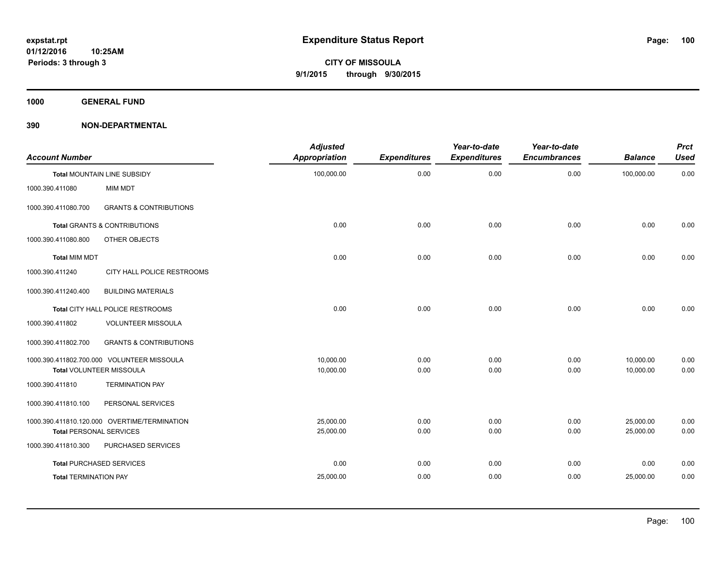**1000 GENERAL FUND**

| <b>Account Number</b>          |                                              | <b>Adjusted</b><br><b>Appropriation</b> | <b>Expenditures</b> | Year-to-date<br><b>Expenditures</b> | Year-to-date<br><b>Encumbrances</b> | <b>Balance</b> | <b>Prct</b><br><b>Used</b> |
|--------------------------------|----------------------------------------------|-----------------------------------------|---------------------|-------------------------------------|-------------------------------------|----------------|----------------------------|
|                                | <b>Total MOUNTAIN LINE SUBSIDY</b>           | 100,000.00                              | 0.00                | 0.00                                | 0.00                                | 100,000.00     | 0.00                       |
| 1000.390.411080                | MIM MDT                                      |                                         |                     |                                     |                                     |                |                            |
| 1000.390.411080.700            | <b>GRANTS &amp; CONTRIBUTIONS</b>            |                                         |                     |                                     |                                     |                |                            |
|                                | <b>Total GRANTS &amp; CONTRIBUTIONS</b>      | 0.00                                    | 0.00                | 0.00                                | 0.00                                | 0.00           | 0.00                       |
| 1000.390.411080.800            | OTHER OBJECTS                                |                                         |                     |                                     |                                     |                |                            |
| <b>Total MIM MDT</b>           |                                              | 0.00                                    | 0.00                | 0.00                                | 0.00                                | 0.00           | 0.00                       |
| 1000.390.411240                | CITY HALL POLICE RESTROOMS                   |                                         |                     |                                     |                                     |                |                            |
| 1000.390.411240.400            | <b>BUILDING MATERIALS</b>                    |                                         |                     |                                     |                                     |                |                            |
|                                | Total CITY HALL POLICE RESTROOMS             | 0.00                                    | 0.00                | 0.00                                | 0.00                                | 0.00           | 0.00                       |
| 1000.390.411802                | <b>VOLUNTEER MISSOULA</b>                    |                                         |                     |                                     |                                     |                |                            |
| 1000.390.411802.700            | <b>GRANTS &amp; CONTRIBUTIONS</b>            |                                         |                     |                                     |                                     |                |                            |
|                                | 1000.390.411802.700.000 VOLUNTEER MISSOULA   | 10.000.00                               | 0.00                | 0.00                                | 0.00                                | 10,000.00      | 0.00                       |
|                                | <b>Total VOLUNTEER MISSOULA</b>              | 10,000.00                               | 0.00                | 0.00                                | 0.00                                | 10,000.00      | 0.00                       |
| 1000.390.411810                | <b>TERMINATION PAY</b>                       |                                         |                     |                                     |                                     |                |                            |
| 1000.390.411810.100            | PERSONAL SERVICES                            |                                         |                     |                                     |                                     |                |                            |
|                                | 1000.390.411810.120.000 OVERTIME/TERMINATION | 25,000.00                               | 0.00                | 0.00                                | 0.00                                | 25,000.00      | 0.00                       |
| <b>Total PERSONAL SERVICES</b> |                                              | 25,000.00                               | 0.00                | 0.00                                | 0.00                                | 25,000.00      | 0.00                       |
| 1000.390.411810.300            | PURCHASED SERVICES                           |                                         |                     |                                     |                                     |                |                            |
|                                | <b>Total PURCHASED SERVICES</b>              | 0.00                                    | 0.00                | 0.00                                | 0.00                                | 0.00           | 0.00                       |
| <b>Total TERMINATION PAY</b>   |                                              | 25,000.00                               | 0.00                | 0.00                                | 0.00                                | 25,000.00      | 0.00                       |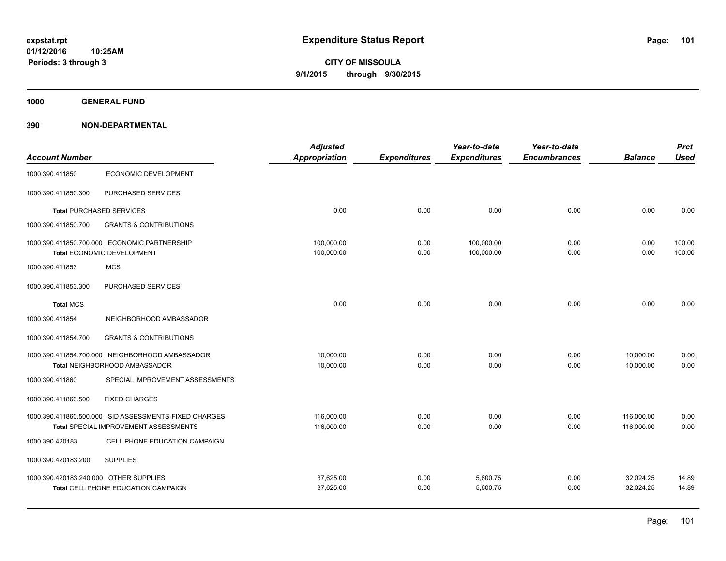**1000 GENERAL FUND**

|                                        |                                                       | <b>Adjusted</b>      |                     | Year-to-date        | Year-to-date        |                | <b>Prct</b> |
|----------------------------------------|-------------------------------------------------------|----------------------|---------------------|---------------------|---------------------|----------------|-------------|
| <b>Account Number</b>                  |                                                       | <b>Appropriation</b> | <b>Expenditures</b> | <b>Expenditures</b> | <b>Encumbrances</b> | <b>Balance</b> | <b>Used</b> |
| 1000.390.411850                        | <b>ECONOMIC DEVELOPMENT</b>                           |                      |                     |                     |                     |                |             |
| 1000.390.411850.300                    | PURCHASED SERVICES                                    |                      |                     |                     |                     |                |             |
|                                        | <b>Total PURCHASED SERVICES</b>                       | 0.00                 | 0.00                | 0.00                | 0.00                | 0.00           | 0.00        |
| 1000.390.411850.700                    | <b>GRANTS &amp; CONTRIBUTIONS</b>                     |                      |                     |                     |                     |                |             |
|                                        | 1000.390.411850.700.000 ECONOMIC PARTNERSHIP          | 100,000.00           | 0.00                | 100,000.00          | 0.00                | 0.00           | 100.00      |
|                                        | Total ECONOMIC DEVELOPMENT                            | 100,000.00           | 0.00                | 100,000.00          | 0.00                | 0.00           | 100.00      |
| 1000.390.411853                        | <b>MCS</b>                                            |                      |                     |                     |                     |                |             |
| 1000.390.411853.300                    | PURCHASED SERVICES                                    |                      |                     |                     |                     |                |             |
| <b>Total MCS</b>                       |                                                       | 0.00                 | 0.00                | 0.00                | 0.00                | 0.00           | 0.00        |
| 1000.390.411854                        | NEIGHBORHOOD AMBASSADOR                               |                      |                     |                     |                     |                |             |
| 1000.390.411854.700                    | <b>GRANTS &amp; CONTRIBUTIONS</b>                     |                      |                     |                     |                     |                |             |
|                                        | 1000.390.411854.700.000 NEIGHBORHOOD AMBASSADOR       | 10,000.00            | 0.00                | 0.00                | 0.00                | 10,000.00      | 0.00        |
|                                        | Total NEIGHBORHOOD AMBASSADOR                         | 10,000.00            | 0.00                | 0.00                | 0.00                | 10.000.00      | 0.00        |
| 1000.390.411860                        | SPECIAL IMPROVEMENT ASSESSMENTS                       |                      |                     |                     |                     |                |             |
| 1000.390.411860.500                    | <b>FIXED CHARGES</b>                                  |                      |                     |                     |                     |                |             |
|                                        | 1000.390.411860.500.000 SID ASSESSMENTS-FIXED CHARGES | 116,000.00           | 0.00                | 0.00                | 0.00                | 116,000.00     | 0.00        |
|                                        | Total SPECIAL IMPROVEMENT ASSESSMENTS                 | 116,000.00           | 0.00                | 0.00                | 0.00                | 116,000.00     | 0.00        |
| 1000.390.420183                        | CELL PHONE EDUCATION CAMPAIGN                         |                      |                     |                     |                     |                |             |
| 1000.390.420183.200                    | <b>SUPPLIES</b>                                       |                      |                     |                     |                     |                |             |
| 1000.390.420183.240.000 OTHER SUPPLIES |                                                       | 37,625.00            | 0.00                | 5,600.75            | 0.00                | 32,024.25      | 14.89       |
|                                        | Total CELL PHONE EDUCATION CAMPAIGN                   | 37,625.00            | 0.00                | 5,600.75            | 0.00                | 32,024.25      | 14.89       |
|                                        |                                                       |                      |                     |                     |                     |                |             |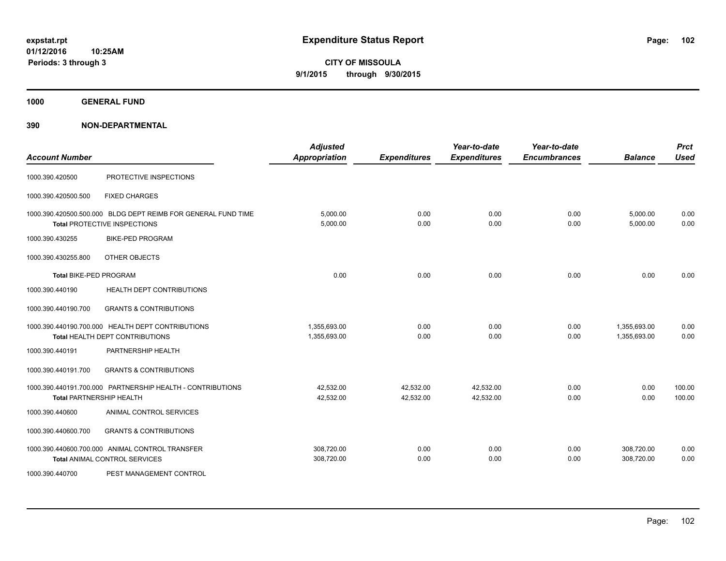**CITY OF MISSOULA 9/1/2015 through 9/30/2015**

**1000 GENERAL FUND**

| <b>Account Number</b>         |                                                                                               | <b>Adjusted</b><br><b>Appropriation</b> | <b>Expenditures</b>    | Year-to-date<br><b>Expenditures</b> | Year-to-date<br><b>Encumbrances</b> | <b>Balance</b>               | <b>Prct</b><br><b>Used</b> |
|-------------------------------|-----------------------------------------------------------------------------------------------|-----------------------------------------|------------------------|-------------------------------------|-------------------------------------|------------------------------|----------------------------|
| 1000.390.420500               | PROTECTIVE INSPECTIONS                                                                        |                                         |                        |                                     |                                     |                              |                            |
| 1000.390.420500.500           | <b>FIXED CHARGES</b>                                                                          |                                         |                        |                                     |                                     |                              |                            |
|                               | 1000.390.420500.500.000 BLDG DEPT REIMB FOR GENERAL FUND TIME<br>Total PROTECTIVE INSPECTIONS | 5,000.00<br>5,000.00                    | 0.00<br>0.00           | 0.00<br>0.00                        | 0.00<br>0.00                        | 5,000.00<br>5,000.00         | 0.00<br>0.00               |
| 1000.390.430255               | <b>BIKE-PED PROGRAM</b>                                                                       |                                         |                        |                                     |                                     |                              |                            |
| 1000.390.430255.800           | OTHER OBJECTS                                                                                 |                                         |                        |                                     |                                     |                              |                            |
| <b>Total BIKE-PED PROGRAM</b> |                                                                                               | 0.00                                    | 0.00                   | 0.00                                | 0.00                                | 0.00                         | 0.00                       |
| 1000.390.440190               | HEALTH DEPT CONTRIBUTIONS                                                                     |                                         |                        |                                     |                                     |                              |                            |
| 1000.390.440190.700           | <b>GRANTS &amp; CONTRIBUTIONS</b>                                                             |                                         |                        |                                     |                                     |                              |                            |
|                               | 1000.390.440190.700.000 HEALTH DEPT CONTRIBUTIONS<br>Total HEALTH DEPT CONTRIBUTIONS          | 1,355,693.00<br>1,355,693.00            | 0.00<br>0.00           | 0.00<br>0.00                        | 0.00<br>0.00                        | 1,355,693.00<br>1,355,693.00 | 0.00<br>0.00               |
| 1000.390.440191               | PARTNERSHIP HEALTH                                                                            |                                         |                        |                                     |                                     |                              |                            |
| 1000.390.440191.700           | <b>GRANTS &amp; CONTRIBUTIONS</b>                                                             |                                         |                        |                                     |                                     |                              |                            |
|                               | 1000.390.440191.700.000 PARTNERSHIP HEALTH - CONTRIBUTIONS<br><b>Total PARTNERSHIP HEALTH</b> | 42,532.00<br>42,532.00                  | 42,532.00<br>42,532.00 | 42,532.00<br>42,532.00              | 0.00<br>0.00                        | 0.00<br>0.00                 | 100.00<br>100.00           |
| 1000.390.440600               | ANIMAL CONTROL SERVICES                                                                       |                                         |                        |                                     |                                     |                              |                            |
| 1000.390.440600.700           | <b>GRANTS &amp; CONTRIBUTIONS</b>                                                             |                                         |                        |                                     |                                     |                              |                            |
|                               | 1000.390.440600.700.000 ANIMAL CONTROL TRANSFER<br><b>Total ANIMAL CONTROL SERVICES</b>       | 308,720.00<br>308,720.00                | 0.00<br>0.00           | 0.00<br>0.00                        | 0.00<br>0.00                        | 308,720.00<br>308,720.00     | 0.00<br>0.00               |
| 1000.390.440700               | PEST MANAGEMENT CONTROL                                                                       |                                         |                        |                                     |                                     |                              |                            |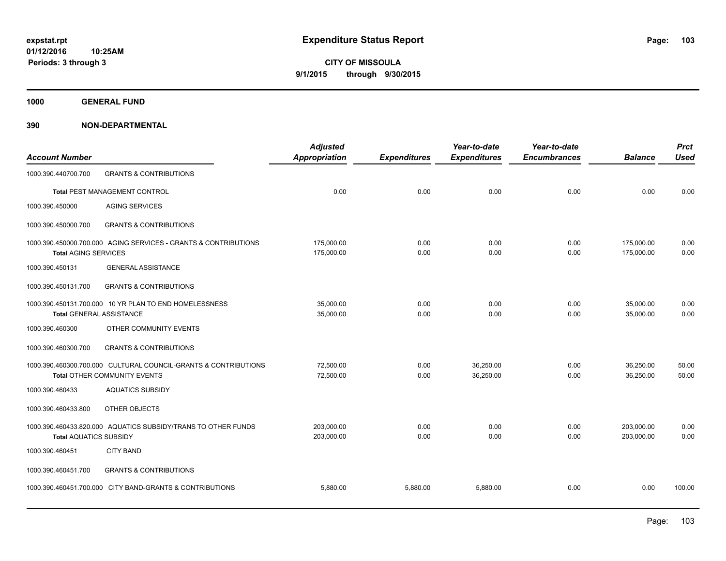**1000 GENERAL FUND**

| <b>Account Number</b>           |                                                                                                 | <b>Adjusted</b><br><b>Appropriation</b> | <b>Expenditures</b> | Year-to-date<br><b>Expenditures</b> | Year-to-date<br><b>Encumbrances</b> | <b>Balance</b>           | <b>Prct</b><br><b>Used</b> |
|---------------------------------|-------------------------------------------------------------------------------------------------|-----------------------------------------|---------------------|-------------------------------------|-------------------------------------|--------------------------|----------------------------|
| 1000.390.440700.700             | <b>GRANTS &amp; CONTRIBUTIONS</b>                                                               |                                         |                     |                                     |                                     |                          |                            |
|                                 | Total PEST MANAGEMENT CONTROL                                                                   | 0.00                                    | 0.00                | 0.00                                | 0.00                                | 0.00                     | 0.00                       |
| 1000.390.450000                 | <b>AGING SERVICES</b>                                                                           |                                         |                     |                                     |                                     |                          |                            |
| 1000.390.450000.700             | <b>GRANTS &amp; CONTRIBUTIONS</b>                                                               |                                         |                     |                                     |                                     |                          |                            |
| <b>Total AGING SERVICES</b>     | 1000.390.450000.700.000 AGING SERVICES - GRANTS & CONTRIBUTIONS                                 | 175,000.00<br>175,000.00                | 0.00<br>0.00        | 0.00<br>0.00                        | 0.00<br>0.00                        | 175,000.00<br>175,000.00 | 0.00<br>0.00               |
| 1000.390.450131                 | <b>GENERAL ASSISTANCE</b>                                                                       |                                         |                     |                                     |                                     |                          |                            |
| 1000.390.450131.700             | <b>GRANTS &amp; CONTRIBUTIONS</b>                                                               |                                         |                     |                                     |                                     |                          |                            |
| <b>Total GENERAL ASSISTANCE</b> | 1000.390.450131.700.000 10 YR PLAN TO END HOMELESSNESS                                          | 35,000.00<br>35,000.00                  | 0.00<br>0.00        | 0.00<br>0.00                        | 0.00<br>0.00                        | 35,000.00<br>35,000.00   | 0.00<br>0.00               |
| 1000.390.460300                 | OTHER COMMUNITY EVENTS                                                                          |                                         |                     |                                     |                                     |                          |                            |
| 1000.390.460300.700             | <b>GRANTS &amp; CONTRIBUTIONS</b>                                                               |                                         |                     |                                     |                                     |                          |                            |
|                                 | 1000.390.460300.700.000 CULTURAL COUNCIL-GRANTS & CONTRIBUTIONS<br>Total OTHER COMMUNITY EVENTS | 72,500.00<br>72,500.00                  | 0.00<br>0.00        | 36,250.00<br>36,250.00              | 0.00<br>0.00                        | 36,250.00<br>36,250.00   | 50.00<br>50.00             |
| 1000.390.460433                 | <b>AQUATICS SUBSIDY</b>                                                                         |                                         |                     |                                     |                                     |                          |                            |
| 1000.390.460433.800             | OTHER OBJECTS                                                                                   |                                         |                     |                                     |                                     |                          |                            |
| <b>Total AQUATICS SUBSIDY</b>   | 1000.390.460433.820.000 AQUATICS SUBSIDY/TRANS TO OTHER FUNDS                                   | 203.000.00<br>203,000.00                | 0.00<br>0.00        | 0.00<br>0.00                        | 0.00<br>0.00                        | 203.000.00<br>203.000.00 | 0.00<br>0.00               |
| 1000.390.460451                 | <b>CITY BAND</b>                                                                                |                                         |                     |                                     |                                     |                          |                            |
| 1000.390.460451.700             | <b>GRANTS &amp; CONTRIBUTIONS</b>                                                               |                                         |                     |                                     |                                     |                          |                            |
|                                 | 1000.390.460451.700.000 CITY BAND-GRANTS & CONTRIBUTIONS                                        | 5,880.00                                | 5,880.00            | 5,880.00                            | 0.00                                | 0.00                     | 100.00                     |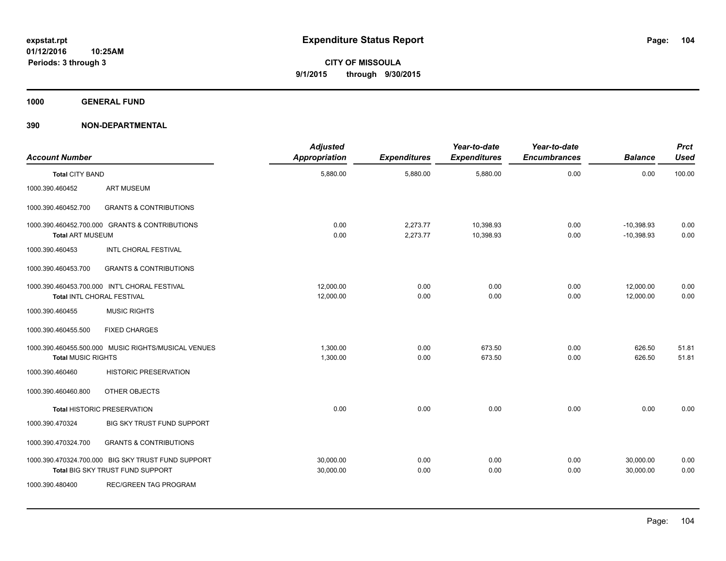**1000 GENERAL FUND**

| <b>Account Number</b>     |                                                                                        | <b>Adjusted</b><br>Appropriation | <b>Expenditures</b>  | Year-to-date<br><b>Expenditures</b> | Year-to-date<br><b>Encumbrances</b> | <b>Balance</b>               | <b>Prct</b><br><b>Used</b> |
|---------------------------|----------------------------------------------------------------------------------------|----------------------------------|----------------------|-------------------------------------|-------------------------------------|------------------------------|----------------------------|
| <b>Total CITY BAND</b>    |                                                                                        | 5,880.00                         | 5,880.00             | 5,880.00                            | 0.00                                | 0.00                         | 100.00                     |
| 1000.390.460452           | <b>ART MUSEUM</b>                                                                      |                                  |                      |                                     |                                     |                              |                            |
| 1000.390.460452.700       | <b>GRANTS &amp; CONTRIBUTIONS</b>                                                      |                                  |                      |                                     |                                     |                              |                            |
| <b>Total ART MUSEUM</b>   | 1000.390.460452.700.000 GRANTS & CONTRIBUTIONS                                         | 0.00<br>0.00                     | 2,273.77<br>2,273.77 | 10,398.93<br>10,398.93              | 0.00<br>0.00                        | $-10,398.93$<br>$-10.398.93$ | 0.00<br>0.00               |
| 1000.390.460453           | <b>INTL CHORAL FESTIVAL</b>                                                            |                                  |                      |                                     |                                     |                              |                            |
| 1000.390.460453.700       | <b>GRANTS &amp; CONTRIBUTIONS</b>                                                      |                                  |                      |                                     |                                     |                              |                            |
|                           | 1000.390.460453.700.000 INT'L CHORAL FESTIVAL<br>Total INTL CHORAL FESTIVAL            | 12,000.00<br>12,000.00           | 0.00<br>0.00         | 0.00<br>0.00                        | 0.00<br>0.00                        | 12,000.00<br>12,000.00       | 0.00<br>0.00               |
| 1000.390.460455           | <b>MUSIC RIGHTS</b>                                                                    |                                  |                      |                                     |                                     |                              |                            |
| 1000.390.460455.500       | <b>FIXED CHARGES</b>                                                                   |                                  |                      |                                     |                                     |                              |                            |
| <b>Total MUSIC RIGHTS</b> | 1000.390.460455.500.000 MUSIC RIGHTS/MUSICAL VENUES                                    | 1.300.00<br>1,300.00             | 0.00<br>0.00         | 673.50<br>673.50                    | 0.00<br>0.00                        | 626.50<br>626.50             | 51.81<br>51.81             |
| 1000.390.460460           | <b>HISTORIC PRESERVATION</b>                                                           |                                  |                      |                                     |                                     |                              |                            |
| 1000.390.460460.800       | OTHER OBJECTS                                                                          |                                  |                      |                                     |                                     |                              |                            |
|                           | <b>Total HISTORIC PRESERVATION</b>                                                     | 0.00                             | 0.00                 | 0.00                                | 0.00                                | 0.00                         | 0.00                       |
| 1000.390.470324           | BIG SKY TRUST FUND SUPPORT                                                             |                                  |                      |                                     |                                     |                              |                            |
| 1000.390.470324.700       | <b>GRANTS &amp; CONTRIBUTIONS</b>                                                      |                                  |                      |                                     |                                     |                              |                            |
|                           | 1000.390.470324.700.000 BIG SKY TRUST FUND SUPPORT<br>Total BIG SKY TRUST FUND SUPPORT | 30,000.00<br>30,000.00           | 0.00<br>0.00         | 0.00<br>0.00                        | 0.00<br>0.00                        | 30,000.00<br>30,000.00       | 0.00<br>0.00               |
| 1000.390.480400           | <b>REC/GREEN TAG PROGRAM</b>                                                           |                                  |                      |                                     |                                     |                              |                            |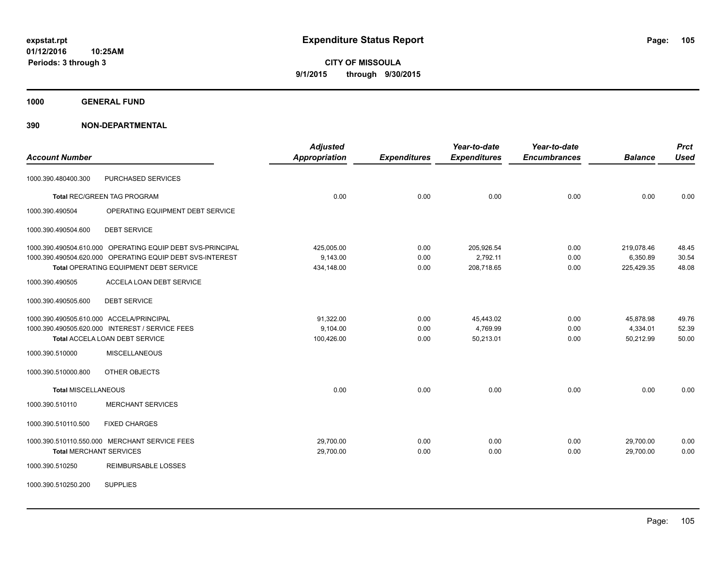**1000 GENERAL FUND**

| <b>Account Number</b>                    |                                                            | <b>Adjusted</b><br><b>Appropriation</b> | <b>Expenditures</b> | Year-to-date<br><b>Expenditures</b> | Year-to-date<br><b>Encumbrances</b> | <b>Balance</b> | <b>Prct</b><br><b>Used</b> |
|------------------------------------------|------------------------------------------------------------|-----------------------------------------|---------------------|-------------------------------------|-------------------------------------|----------------|----------------------------|
| 1000.390.480400.300                      | PURCHASED SERVICES                                         |                                         |                     |                                     |                                     |                |                            |
|                                          | <b>Total REC/GREEN TAG PROGRAM</b>                         | 0.00                                    | 0.00                | 0.00                                | 0.00                                | 0.00           | 0.00                       |
| 1000.390.490504                          | OPERATING EQUIPMENT DEBT SERVICE                           |                                         |                     |                                     |                                     |                |                            |
| 1000.390.490504.600                      | <b>DEBT SERVICE</b>                                        |                                         |                     |                                     |                                     |                |                            |
|                                          | 1000.390.490504.610.000 OPERATING EQUIP DEBT SVS-PRINCIPAL | 425,005.00                              | 0.00                | 205,926.54                          | 0.00                                | 219,078.46     | 48.45                      |
|                                          | 1000.390.490504.620.000 OPERATING EQUIP DEBT SVS-INTEREST  | 9,143.00                                | 0.00                | 2,792.11                            | 0.00                                | 6,350.89       | 30.54                      |
|                                          | Total OPERATING EQUIPMENT DEBT SERVICE                     | 434,148.00                              | 0.00                | 208,718.65                          | 0.00                                | 225,429.35     | 48.08                      |
| 1000.390.490505                          | <b>ACCELA LOAN DEBT SERVICE</b>                            |                                         |                     |                                     |                                     |                |                            |
| 1000.390.490505.600                      | <b>DEBT SERVICE</b>                                        |                                         |                     |                                     |                                     |                |                            |
| 1000.390.490505.610.000 ACCELA/PRINCIPAL |                                                            | 91,322.00                               | 0.00                | 45,443.02                           | 0.00                                | 45,878.98      | 49.76                      |
|                                          | 1000.390.490505.620.000 INTEREST / SERVICE FEES            | 9,104.00                                | 0.00                | 4,769.99                            | 0.00                                | 4,334.01       | 52.39                      |
|                                          | <b>Total ACCELA LOAN DEBT SERVICE</b>                      | 100,426.00                              | 0.00                | 50,213.01                           | 0.00                                | 50,212.99      | 50.00                      |
| 1000.390.510000                          | <b>MISCELLANEOUS</b>                                       |                                         |                     |                                     |                                     |                |                            |
| 1000.390.510000.800                      | OTHER OBJECTS                                              |                                         |                     |                                     |                                     |                |                            |
| <b>Total MISCELLANEOUS</b>               |                                                            | 0.00                                    | 0.00                | 0.00                                | 0.00                                | 0.00           | 0.00                       |
| 1000.390.510110                          | <b>MERCHANT SERVICES</b>                                   |                                         |                     |                                     |                                     |                |                            |
| 1000.390.510110.500                      | <b>FIXED CHARGES</b>                                       |                                         |                     |                                     |                                     |                |                            |
|                                          | 1000.390.510110.550.000 MERCHANT SERVICE FEES              | 29,700.00                               | 0.00                | 0.00                                | 0.00                                | 29,700.00      | 0.00                       |
| <b>Total MERCHANT SERVICES</b>           |                                                            | 29,700.00                               | 0.00                | 0.00                                | 0.00                                | 29,700.00      | 0.00                       |
| 1000.390.510250                          | <b>REIMBURSABLE LOSSES</b>                                 |                                         |                     |                                     |                                     |                |                            |
| 1000.390.510250.200                      | <b>SUPPLIES</b>                                            |                                         |                     |                                     |                                     |                |                            |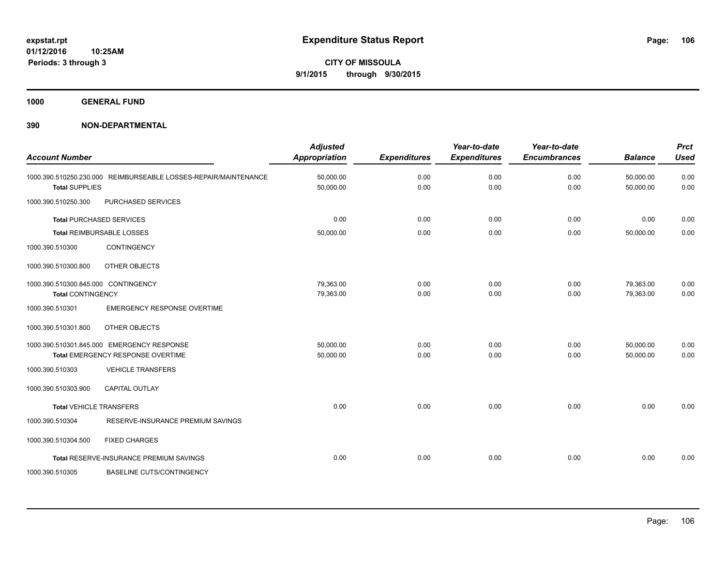**1000 GENERAL FUND**

| <b>Account Number</b>                                           |                                                                                 | <b>Adjusted</b><br><b>Appropriation</b> | <b>Expenditures</b> | Year-to-date<br><b>Expenditures</b> | Year-to-date<br><b>Encumbrances</b> | <b>Balance</b>         | <b>Prct</b><br><b>Used</b> |
|-----------------------------------------------------------------|---------------------------------------------------------------------------------|-----------------------------------------|---------------------|-------------------------------------|-------------------------------------|------------------------|----------------------------|
| <b>Total SUPPLIES</b>                                           | 1000.390.510250.230.000 REIMBURSEABLE LOSSES-REPAIR/MAINTENANCE                 | 50,000.00<br>50,000.00                  | 0.00<br>0.00        | 0.00<br>0.00                        | 0.00<br>0.00                        | 50,000.00<br>50,000.00 | 0.00<br>0.00               |
| 1000.390.510250.300                                             | PURCHASED SERVICES                                                              |                                         |                     |                                     |                                     |                        |                            |
|                                                                 | <b>Total PURCHASED SERVICES</b>                                                 | 0.00                                    | 0.00                | 0.00                                | 0.00                                | 0.00                   | 0.00                       |
|                                                                 | <b>Total REIMBURSABLE LOSSES</b>                                                | 50,000.00                               | 0.00                | 0.00                                | 0.00                                | 50,000.00              | 0.00                       |
| 1000.390.510300                                                 | <b>CONTINGENCY</b>                                                              |                                         |                     |                                     |                                     |                        |                            |
| 1000.390.510300.800                                             | OTHER OBJECTS                                                                   |                                         |                     |                                     |                                     |                        |                            |
| 1000.390.510300.845.000 CONTINGENCY<br><b>Total CONTINGENCY</b> |                                                                                 | 79,363.00<br>79,363.00                  | 0.00<br>0.00        | 0.00<br>0.00                        | 0.00<br>0.00                        | 79,363.00<br>79,363.00 | 0.00<br>0.00               |
| 1000.390.510301                                                 | <b>EMERGENCY RESPONSE OVERTIME</b>                                              |                                         |                     |                                     |                                     |                        |                            |
| 1000.390.510301.800                                             | OTHER OBJECTS                                                                   |                                         |                     |                                     |                                     |                        |                            |
|                                                                 | 1000.390.510301.845.000 EMERGENCY RESPONSE<br>Total EMERGENCY RESPONSE OVERTIME | 50,000.00<br>50,000.00                  | 0.00<br>0.00        | 0.00<br>0.00                        | 0.00<br>0.00                        | 50,000.00<br>50.000.00 | 0.00<br>0.00               |
| 1000.390.510303                                                 | <b>VEHICLE TRANSFERS</b>                                                        |                                         |                     |                                     |                                     |                        |                            |
| 1000.390.510303.900                                             | <b>CAPITAL OUTLAY</b>                                                           |                                         |                     |                                     |                                     |                        |                            |
| <b>Total VEHICLE TRANSFERS</b>                                  |                                                                                 | 0.00                                    | 0.00                | 0.00                                | 0.00                                | 0.00                   | 0.00                       |
| 1000.390.510304                                                 | RESERVE-INSURANCE PREMIUM SAVINGS                                               |                                         |                     |                                     |                                     |                        |                            |
| 1000.390.510304.500                                             | <b>FIXED CHARGES</b>                                                            |                                         |                     |                                     |                                     |                        |                            |
|                                                                 | Total RESERVE-INSURANCE PREMIUM SAVINGS                                         | 0.00                                    | 0.00                | 0.00                                | 0.00                                | 0.00                   | 0.00                       |
| 1000.390.510305                                                 | <b>BASELINE CUTS/CONTINGENCY</b>                                                |                                         |                     |                                     |                                     |                        |                            |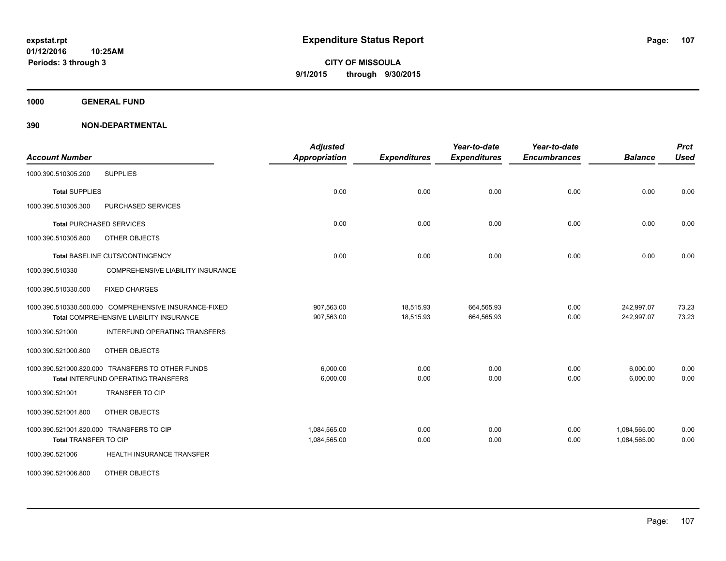**1000 GENERAL FUND**

| <b>Account Number</b>                                                                            | <b>Adjusted</b><br><b>Appropriation</b> | <b>Expenditures</b>    | Year-to-date<br><b>Expenditures</b> | Year-to-date<br><b>Encumbrances</b> | <b>Balance</b>               | <b>Prct</b><br><b>Used</b> |
|--------------------------------------------------------------------------------------------------|-----------------------------------------|------------------------|-------------------------------------|-------------------------------------|------------------------------|----------------------------|
| <b>SUPPLIES</b><br>1000.390.510305.200                                                           |                                         |                        |                                     |                                     |                              |                            |
| <b>Total SUPPLIES</b>                                                                            | 0.00                                    | 0.00                   | 0.00                                | 0.00                                | 0.00                         | 0.00                       |
| 1000.390.510305.300<br>PURCHASED SERVICES                                                        |                                         |                        |                                     |                                     |                              |                            |
| <b>Total PURCHASED SERVICES</b>                                                                  | 0.00                                    | 0.00                   | 0.00                                | 0.00                                | 0.00                         | 0.00                       |
| 1000.390.510305.800<br>OTHER OBJECTS                                                             |                                         |                        |                                     |                                     |                              |                            |
| Total BASELINE CUTS/CONTINGENCY                                                                  | 0.00                                    | 0.00                   | 0.00                                | 0.00                                | 0.00                         | 0.00                       |
| <b>COMPREHENSIVE LIABILITY INSURANCE</b><br>1000.390.510330                                      |                                         |                        |                                     |                                     |                              |                            |
| 1000.390.510330.500<br><b>FIXED CHARGES</b>                                                      |                                         |                        |                                     |                                     |                              |                            |
| 1000.390.510330.500.000 COMPREHENSIVE INSURANCE-FIXED<br>Total COMPREHENSIVE LIABILITY INSURANCE | 907,563.00<br>907,563.00                | 18,515.93<br>18,515.93 | 664,565.93<br>664,565.93            | 0.00<br>0.00                        | 242,997.07<br>242,997.07     | 73.23<br>73.23             |
| 1000.390.521000<br><b>INTERFUND OPERATING TRANSFERS</b>                                          |                                         |                        |                                     |                                     |                              |                            |
| 1000.390.521000.800<br>OTHER OBJECTS                                                             |                                         |                        |                                     |                                     |                              |                            |
| 1000.390.521000.820.000 TRANSFERS TO OTHER FUNDS<br><b>Total INTERFUND OPERATING TRANSFERS</b>   | 6.000.00<br>6,000.00                    | 0.00<br>0.00           | 0.00<br>0.00                        | 0.00<br>0.00                        | 6,000.00<br>6,000.00         | 0.00<br>0.00               |
| <b>TRANSFER TO CIP</b><br>1000.390.521001                                                        |                                         |                        |                                     |                                     |                              |                            |
| 1000.390.521001.800<br>OTHER OBJECTS                                                             |                                         |                        |                                     |                                     |                              |                            |
| 1000.390.521001.820.000 TRANSFERS TO CIP<br>Total TRANSFER TO CIP                                | 1,084,565.00<br>1,084,565.00            | 0.00<br>0.00           | 0.00<br>0.00                        | 0.00<br>0.00                        | 1,084,565.00<br>1,084,565.00 | 0.00<br>0.00               |
| 1000.390.521006<br>HEALTH INSURANCE TRANSFER                                                     |                                         |                        |                                     |                                     |                              |                            |
| OTHER OBJECTS<br>1000.390.521006.800                                                             |                                         |                        |                                     |                                     |                              |                            |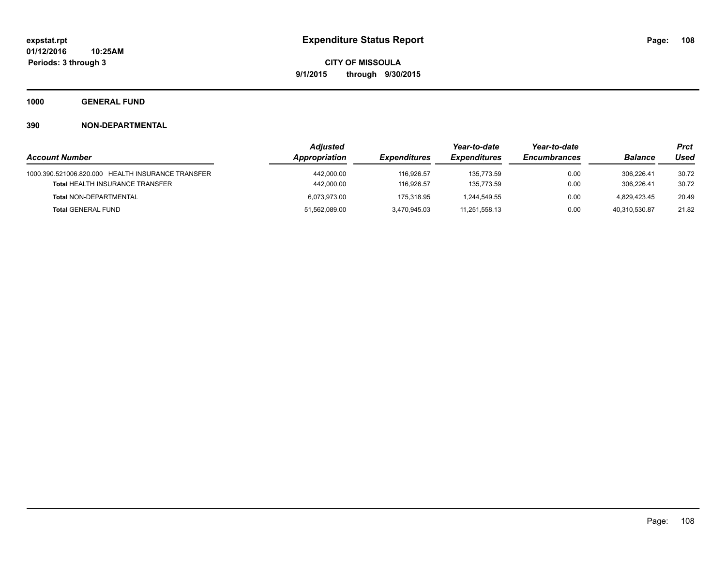**1000 GENERAL FUND**

|                                                                                             | <b>Adjusted</b>          |                          | Year-to-date               | Year-to-date        |                          | Prct           |  |
|---------------------------------------------------------------------------------------------|--------------------------|--------------------------|----------------------------|---------------------|--------------------------|----------------|--|
| <b>Account Number</b>                                                                       | Appropriation            | <b>Expenditures</b>      | <i><b>Expenditures</b></i> | <b>Encumbrances</b> | <b>Balance</b>           | Used           |  |
| 1000.390.521006.820.000 HEALTH INSURANCE TRANSFER<br><b>Total HEALTH INSURANCE TRANSFER</b> | 442,000.00<br>442,000.00 | 116.926.57<br>116.926.57 | 135.773.59<br>135.773.59   | 0.00<br>0.00        | 306.226.41<br>306.226.41 | 30.72<br>30.72 |  |
| <b>Total NON-DEPARTMENTAL</b>                                                               | 6.073.973.00             | 175.318.95               | 1.244.549.55               | 0.00                | 4.829.423.45             | 20.49          |  |
| <b>Total GENERAL FUND</b>                                                                   | 51,562,089.00            | 3,470,945.03             | 11.251.558.13              | 0.00                | 40.310.530.87            | 21.82          |  |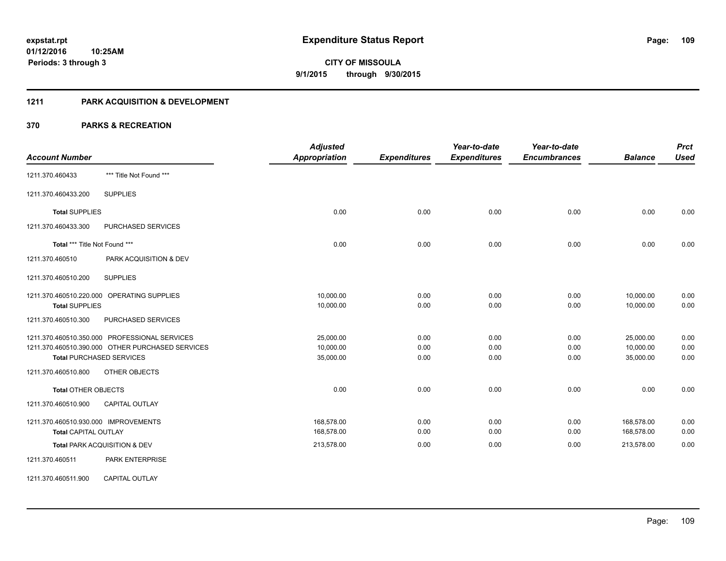#### **1211 PARK ACQUISITION & DEVELOPMENT**

| <b>Account Number</b>                                                                                                                                                        | <b>Adjusted</b><br><b>Appropriation</b> | <b>Expenditures</b>  | Year-to-date<br><b>Expenditures</b> | Year-to-date<br><b>Encumbrances</b> | <b>Balance</b>                      | <b>Prct</b><br><b>Used</b> |
|------------------------------------------------------------------------------------------------------------------------------------------------------------------------------|-----------------------------------------|----------------------|-------------------------------------|-------------------------------------|-------------------------------------|----------------------------|
| *** Title Not Found ***<br>1211.370.460433                                                                                                                                   |                                         |                      |                                     |                                     |                                     |                            |
| <b>SUPPLIES</b><br>1211.370.460433.200                                                                                                                                       |                                         |                      |                                     |                                     |                                     |                            |
| <b>Total SUPPLIES</b>                                                                                                                                                        | 0.00                                    | 0.00                 | 0.00                                | 0.00                                | 0.00                                | 0.00                       |
| 1211.370.460433.300<br><b>PURCHASED SERVICES</b>                                                                                                                             |                                         |                      |                                     |                                     |                                     |                            |
| Total *** Title Not Found ***                                                                                                                                                | 0.00                                    | 0.00                 | 0.00                                | 0.00                                | 0.00                                | 0.00                       |
| 1211.370.460510<br>PARK ACQUISITION & DEV                                                                                                                                    |                                         |                      |                                     |                                     |                                     |                            |
| <b>SUPPLIES</b><br>1211.370.460510.200                                                                                                                                       |                                         |                      |                                     |                                     |                                     |                            |
| 1211.370.460510.220.000 OPERATING SUPPLIES<br><b>Total SUPPLIES</b>                                                                                                          | 10,000.00<br>10,000.00                  | 0.00<br>0.00         | 0.00<br>0.00                        | 0.00<br>0.00                        | 10,000.00<br>10,000.00              | 0.00<br>0.00               |
| 1211.370.460510.300<br>PURCHASED SERVICES                                                                                                                                    |                                         |                      |                                     |                                     |                                     |                            |
| 1211.370.460510.350.000 PROFESSIONAL SERVICES<br>1211.370.460510.390.000 OTHER PURCHASED SERVICES<br><b>Total PURCHASED SERVICES</b><br>1211.370.460510.800<br>OTHER OBJECTS | 25,000.00<br>10,000.00<br>35,000.00     | 0.00<br>0.00<br>0.00 | 0.00<br>0.00<br>0.00                | 0.00<br>0.00<br>0.00                | 25,000.00<br>10,000.00<br>35,000.00 | 0.00<br>0.00<br>0.00       |
| <b>Total OTHER OBJECTS</b>                                                                                                                                                   | 0.00                                    | 0.00                 | 0.00                                | 0.00                                | 0.00                                | 0.00                       |
| <b>CAPITAL OUTLAY</b><br>1211.370.460510.900                                                                                                                                 |                                         |                      |                                     |                                     |                                     |                            |
| 1211.370.460510.930.000 IMPROVEMENTS<br><b>Total CAPITAL OUTLAY</b>                                                                                                          | 168,578.00<br>168,578.00                | 0.00<br>0.00         | 0.00<br>0.00                        | 0.00<br>0.00                        | 168,578.00<br>168,578.00            | 0.00<br>0.00               |
| Total PARK ACQUISITION & DEV                                                                                                                                                 | 213,578.00                              | 0.00                 | 0.00                                | 0.00                                | 213,578.00                          | 0.00                       |
| 1211.370.460511<br><b>PARK ENTERPRISE</b>                                                                                                                                    |                                         |                      |                                     |                                     |                                     |                            |
| <b>CAPITAL OUTLAY</b><br>1211.370.460511.900                                                                                                                                 |                                         |                      |                                     |                                     |                                     |                            |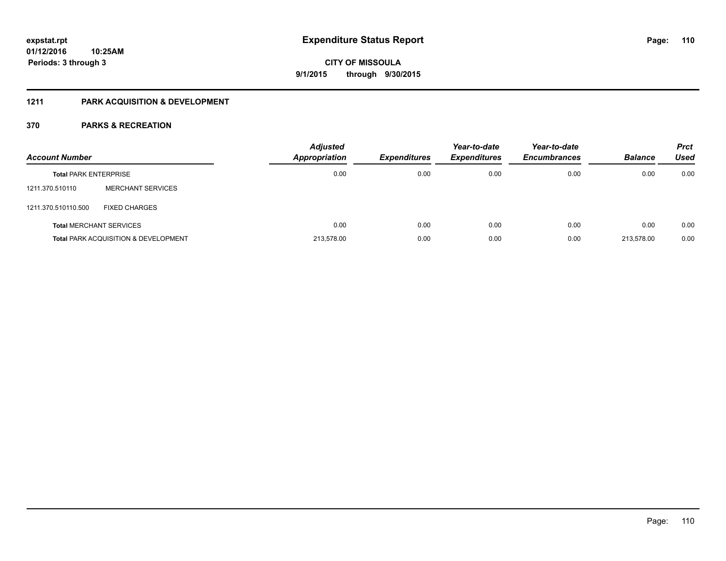### **1211 PARK ACQUISITION & DEVELOPMENT**

| <b>Account Number</b>        |                                                 | <b>Adjusted</b><br>Appropriation | <b>Expenditures</b> | Year-to-date<br><b>Expenditures</b> | Year-to-date<br><b>Encumbrances</b> | <b>Balance</b> | <b>Prct</b><br>Used |
|------------------------------|-------------------------------------------------|----------------------------------|---------------------|-------------------------------------|-------------------------------------|----------------|---------------------|
| <b>Total PARK ENTERPRISE</b> |                                                 | 0.00                             | 0.00                | 0.00                                | 0.00                                | 0.00           | 0.00                |
| 1211.370.510110              | MERCHANT SERVICES                               |                                  |                     |                                     |                                     |                |                     |
| 1211.370.510110.500          | <b>FIXED CHARGES</b>                            |                                  |                     |                                     |                                     |                |                     |
|                              | <b>Total MERCHANT SERVICES</b>                  | 0.00                             | 0.00                | 0.00                                | 0.00                                | 0.00           | 0.00                |
|                              | <b>Total PARK ACQUISITION &amp; DEVELOPMENT</b> | 213,578.00                       | 0.00                | 0.00                                | 0.00                                | 213.578.00     | 0.00                |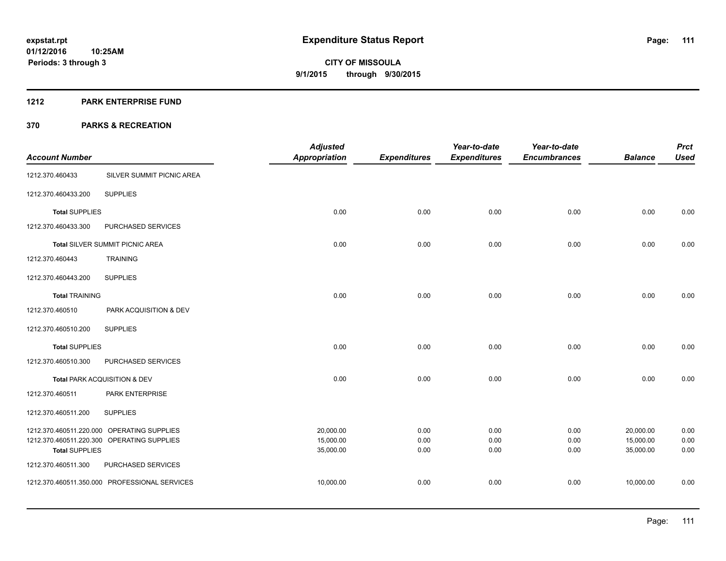#### **1212 PARK ENTERPRISE FUND**

|                       |                                               | <b>Adjusted</b>        |                     | Year-to-date        | Year-to-date        |                        | <b>Prct</b>  |
|-----------------------|-----------------------------------------------|------------------------|---------------------|---------------------|---------------------|------------------------|--------------|
| <b>Account Number</b> |                                               | <b>Appropriation</b>   | <b>Expenditures</b> | <b>Expenditures</b> | <b>Encumbrances</b> | <b>Balance</b>         | <b>Used</b>  |
| 1212.370.460433       | SILVER SUMMIT PICNIC AREA                     |                        |                     |                     |                     |                        |              |
| 1212.370.460433.200   | <b>SUPPLIES</b>                               |                        |                     |                     |                     |                        |              |
| <b>Total SUPPLIES</b> |                                               | 0.00                   | 0.00                | 0.00                | 0.00                | 0.00                   | 0.00         |
| 1212.370.460433.300   | PURCHASED SERVICES                            |                        |                     |                     |                     |                        |              |
|                       | <b>Total SILVER SUMMIT PICNIC AREA</b>        | 0.00                   | 0.00                | 0.00                | 0.00                | 0.00                   | 0.00         |
| 1212.370.460443       | <b>TRAINING</b>                               |                        |                     |                     |                     |                        |              |
| 1212.370.460443.200   | <b>SUPPLIES</b>                               |                        |                     |                     |                     |                        |              |
| <b>Total TRAINING</b> |                                               | 0.00                   | 0.00                | 0.00                | 0.00                | 0.00                   | 0.00         |
| 1212.370.460510       | PARK ACQUISITION & DEV                        |                        |                     |                     |                     |                        |              |
| 1212.370.460510.200   | <b>SUPPLIES</b>                               |                        |                     |                     |                     |                        |              |
| <b>Total SUPPLIES</b> |                                               | 0.00                   | 0.00                | 0.00                | 0.00                | 0.00                   | 0.00         |
| 1212.370.460510.300   | PURCHASED SERVICES                            |                        |                     |                     |                     |                        |              |
|                       | Total PARK ACQUISITION & DEV                  | 0.00                   | 0.00                | 0.00                | 0.00                | 0.00                   | 0.00         |
| 1212.370.460511       | <b>PARK ENTERPRISE</b>                        |                        |                     |                     |                     |                        |              |
| 1212.370.460511.200   | <b>SUPPLIES</b>                               |                        |                     |                     |                     |                        |              |
|                       | 1212.370.460511.220.000 OPERATING SUPPLIES    | 20,000.00              | 0.00                | 0.00                | 0.00                | 20,000.00              | 0.00         |
| <b>Total SUPPLIES</b> | 1212.370.460511.220.300 OPERATING SUPPLIES    | 15,000.00<br>35,000.00 | 0.00<br>0.00        | 0.00<br>0.00        | 0.00<br>0.00        | 15,000.00<br>35,000.00 | 0.00<br>0.00 |
| 1212.370.460511.300   | PURCHASED SERVICES                            |                        |                     |                     |                     |                        |              |
|                       | 1212.370.460511.350.000 PROFESSIONAL SERVICES | 10,000.00              | 0.00                | 0.00                | 0.00                | 10,000.00              | 0.00         |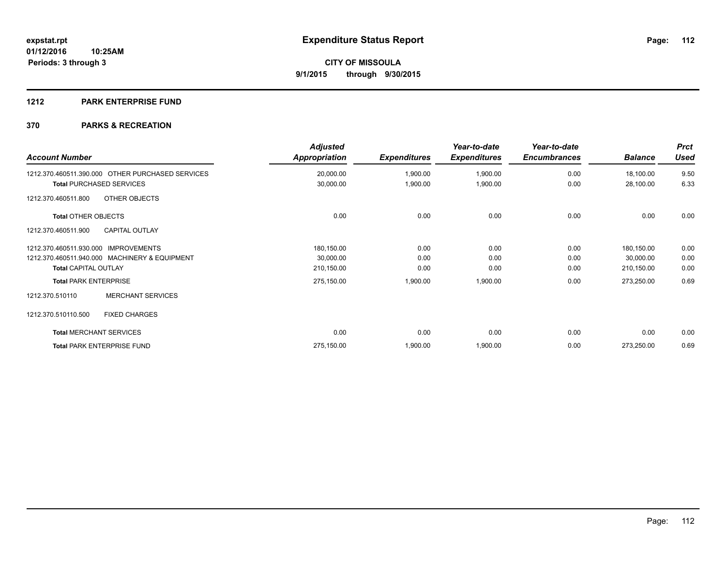### **1212 PARK ENTERPRISE FUND**

| <b>Account Number</b>                            | <b>Adjusted</b><br><b>Appropriation</b> | <b>Expenditures</b> | Year-to-date<br><b>Expenditures</b> | Year-to-date<br><b>Encumbrances</b> | <b>Balance</b> | <b>Prct</b><br><b>Used</b> |
|--------------------------------------------------|-----------------------------------------|---------------------|-------------------------------------|-------------------------------------|----------------|----------------------------|
| 1212.370.460511.390.000 OTHER PURCHASED SERVICES | 20,000.00                               | 1,900.00            | 1,900.00                            | 0.00                                | 18,100.00      | 9.50                       |
| <b>Total PURCHASED SERVICES</b>                  | 30,000.00                               | 1,900.00            | 1,900.00                            | 0.00                                | 28,100.00      | 6.33                       |
| OTHER OBJECTS<br>1212.370.460511.800             |                                         |                     |                                     |                                     |                |                            |
| <b>Total OTHER OBJECTS</b>                       | 0.00                                    | 0.00                | 0.00                                | 0.00                                | 0.00           | 0.00                       |
| 1212.370.460511.900<br><b>CAPITAL OUTLAY</b>     |                                         |                     |                                     |                                     |                |                            |
| 1212.370.460511.930.000 IMPROVEMENTS             | 180,150.00                              | 0.00                | 0.00                                | 0.00                                | 180,150.00     | 0.00                       |
| 1212.370.460511.940.000 MACHINERY & EQUIPMENT    | 30,000.00                               | 0.00                | 0.00                                | 0.00                                | 30,000.00      | 0.00                       |
| <b>Total CAPITAL OUTLAY</b>                      | 210,150.00                              | 0.00                | 0.00                                | 0.00                                | 210,150.00     | 0.00                       |
| <b>Total PARK ENTERPRISE</b>                     | 275,150.00                              | 1,900.00            | 1,900.00                            | 0.00                                | 273,250.00     | 0.69                       |
| <b>MERCHANT SERVICES</b><br>1212.370.510110      |                                         |                     |                                     |                                     |                |                            |
| <b>FIXED CHARGES</b><br>1212.370.510110.500      |                                         |                     |                                     |                                     |                |                            |
| <b>Total MERCHANT SERVICES</b>                   | 0.00                                    | 0.00                | 0.00                                | 0.00                                | 0.00           | 0.00                       |
| <b>Total PARK ENTERPRISE FUND</b>                | 275,150.00                              | 1,900.00            | 1,900.00                            | 0.00                                | 273,250.00     | 0.69                       |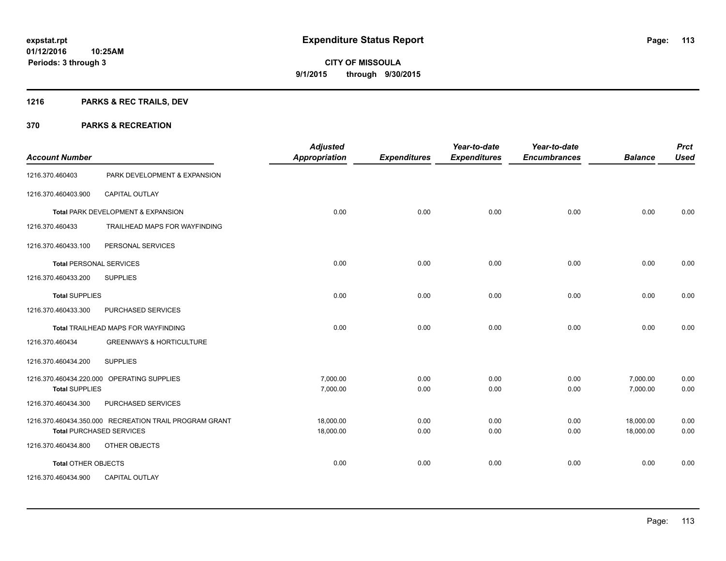### **1216 PARKS & REC TRAILS, DEV**

| <b>Account Number</b>          |                                                        | <b>Adjusted</b><br>Appropriation | <b>Expenditures</b> | Year-to-date<br><b>Expenditures</b> | Year-to-date<br><b>Encumbrances</b> | <b>Balance</b> | <b>Prct</b><br><b>Used</b> |
|--------------------------------|--------------------------------------------------------|----------------------------------|---------------------|-------------------------------------|-------------------------------------|----------------|----------------------------|
| 1216.370.460403                | PARK DEVELOPMENT & EXPANSION                           |                                  |                     |                                     |                                     |                |                            |
| 1216.370.460403.900            | <b>CAPITAL OUTLAY</b>                                  |                                  |                     |                                     |                                     |                |                            |
|                                | Total PARK DEVELOPMENT & EXPANSION                     | 0.00                             | 0.00                | 0.00                                | 0.00                                | 0.00           | 0.00                       |
| 1216.370.460433                | TRAILHEAD MAPS FOR WAYFINDING                          |                                  |                     |                                     |                                     |                |                            |
| 1216.370.460433.100            | PERSONAL SERVICES                                      |                                  |                     |                                     |                                     |                |                            |
| <b>Total PERSONAL SERVICES</b> |                                                        | 0.00                             | 0.00                | 0.00                                | 0.00                                | 0.00           | 0.00                       |
| 1216.370.460433.200            | <b>SUPPLIES</b>                                        |                                  |                     |                                     |                                     |                |                            |
| <b>Total SUPPLIES</b>          |                                                        | 0.00                             | 0.00                | 0.00                                | 0.00                                | 0.00           | 0.00                       |
| 1216.370.460433.300            | PURCHASED SERVICES                                     |                                  |                     |                                     |                                     |                |                            |
|                                | <b>Total TRAILHEAD MAPS FOR WAYFINDING</b>             | 0.00                             | 0.00                | 0.00                                | 0.00                                | 0.00           | 0.00                       |
| 1216.370.460434                | <b>GREENWAYS &amp; HORTICULTURE</b>                    |                                  |                     |                                     |                                     |                |                            |
| 1216.370.460434.200            | <b>SUPPLIES</b>                                        |                                  |                     |                                     |                                     |                |                            |
|                                | 1216.370.460434.220.000 OPERATING SUPPLIES             | 7,000.00                         | 0.00                | 0.00                                | 0.00                                | 7,000.00       | 0.00                       |
| <b>Total SUPPLIES</b>          |                                                        | 7,000.00                         | 0.00                | 0.00                                | 0.00                                | 7,000.00       | 0.00                       |
| 1216.370.460434.300            | PURCHASED SERVICES                                     |                                  |                     |                                     |                                     |                |                            |
|                                | 1216.370.460434.350.000 RECREATION TRAIL PROGRAM GRANT | 18,000.00                        | 0.00                | 0.00                                | 0.00                                | 18,000.00      | 0.00                       |
|                                | <b>Total PURCHASED SERVICES</b>                        | 18,000.00                        | 0.00                | 0.00                                | 0.00                                | 18,000.00      | 0.00                       |
| 1216.370.460434.800            | OTHER OBJECTS                                          |                                  |                     |                                     |                                     |                |                            |
| Total OTHER OBJECTS            |                                                        | 0.00                             | 0.00                | 0.00                                | 0.00                                | 0.00           | 0.00                       |
| 1216.370.460434.900            | <b>CAPITAL OUTLAY</b>                                  |                                  |                     |                                     |                                     |                |                            |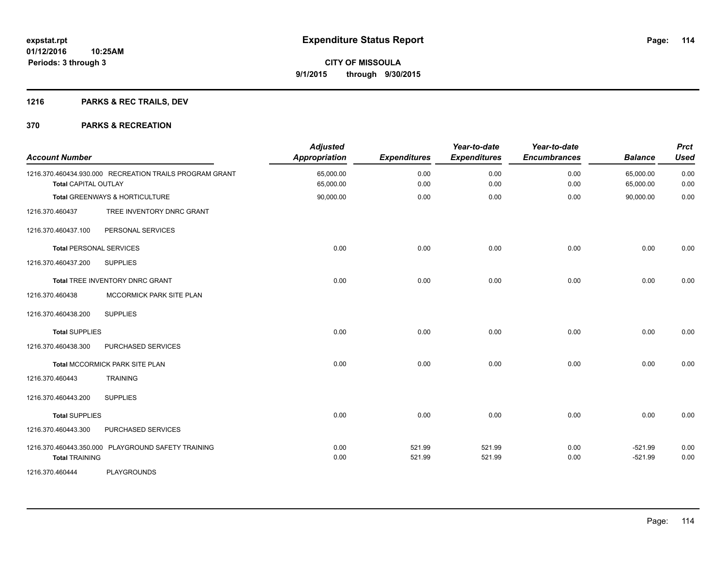### **1216 PARKS & REC TRAILS, DEV**

| <b>Account Number</b>       |                                                         | <b>Adjusted</b><br><b>Appropriation</b> | <b>Expenditures</b> | Year-to-date<br><b>Expenditures</b> | Year-to-date<br><b>Encumbrances</b> | <b>Balance</b>         | <b>Prct</b><br><b>Used</b> |
|-----------------------------|---------------------------------------------------------|-----------------------------------------|---------------------|-------------------------------------|-------------------------------------|------------------------|----------------------------|
| <b>Total CAPITAL OUTLAY</b> | 1216.370.460434.930.000 RECREATION TRAILS PROGRAM GRANT | 65,000.00<br>65,000.00                  | 0.00<br>0.00        | 0.00<br>0.00                        | 0.00<br>0.00                        | 65,000.00<br>65,000.00 | 0.00<br>0.00               |
|                             | <b>Total GREENWAYS &amp; HORTICULTURE</b>               | 90,000.00                               | 0.00                | 0.00                                | 0.00                                | 90,000.00              | 0.00                       |
| 1216.370.460437             | TREE INVENTORY DNRC GRANT                               |                                         |                     |                                     |                                     |                        |                            |
| 1216.370.460437.100         | PERSONAL SERVICES                                       |                                         |                     |                                     |                                     |                        |                            |
|                             | <b>Total PERSONAL SERVICES</b>                          | 0.00                                    | 0.00                | 0.00                                | 0.00                                | 0.00                   | 0.00                       |
| 1216.370.460437.200         | <b>SUPPLIES</b>                                         |                                         |                     |                                     |                                     |                        |                            |
|                             | Total TREE INVENTORY DNRC GRANT                         | 0.00                                    | 0.00                | 0.00                                | 0.00                                | 0.00                   | 0.00                       |
| 1216.370.460438             | MCCORMICK PARK SITE PLAN                                |                                         |                     |                                     |                                     |                        |                            |
| 1216.370.460438.200         | <b>SUPPLIES</b>                                         |                                         |                     |                                     |                                     |                        |                            |
| <b>Total SUPPLIES</b>       |                                                         | 0.00                                    | 0.00                | 0.00                                | 0.00                                | 0.00                   | 0.00                       |
| 1216.370.460438.300         | PURCHASED SERVICES                                      |                                         |                     |                                     |                                     |                        |                            |
|                             | Total MCCORMICK PARK SITE PLAN                          | 0.00                                    | 0.00                | 0.00                                | 0.00                                | 0.00                   | 0.00                       |
| 1216.370.460443             | <b>TRAINING</b>                                         |                                         |                     |                                     |                                     |                        |                            |
| 1216.370.460443.200         | <b>SUPPLIES</b>                                         |                                         |                     |                                     |                                     |                        |                            |
| <b>Total SUPPLIES</b>       |                                                         | 0.00                                    | 0.00                | 0.00                                | 0.00                                | 0.00                   | 0.00                       |
| 1216.370.460443.300         | PURCHASED SERVICES                                      |                                         |                     |                                     |                                     |                        |                            |
| <b>Total TRAINING</b>       | 1216.370.460443.350.000 PLAYGROUND SAFETY TRAINING      | 0.00<br>0.00                            | 521.99<br>521.99    | 521.99<br>521.99                    | 0.00<br>0.00                        | $-521.99$<br>$-521.99$ | 0.00<br>0.00               |
| 1216.370.460444             | <b>PLAYGROUNDS</b>                                      |                                         |                     |                                     |                                     |                        |                            |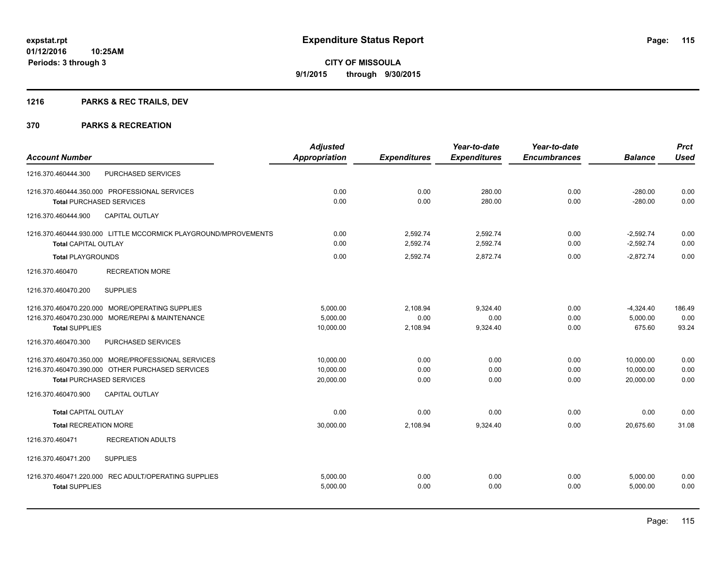### **1216 PARKS & REC TRAILS, DEV**

|                                                                 | <b>Adjusted</b>      |                     | Year-to-date        | Year-to-date        |                | <b>Prct</b> |
|-----------------------------------------------------------------|----------------------|---------------------|---------------------|---------------------|----------------|-------------|
| <b>Account Number</b>                                           | <b>Appropriation</b> | <b>Expenditures</b> | <b>Expenditures</b> | <b>Encumbrances</b> | <b>Balance</b> | <b>Used</b> |
| PURCHASED SERVICES<br>1216.370.460444.300                       |                      |                     |                     |                     |                |             |
| 1216.370.460444.350.000 PROFESSIONAL SERVICES                   | 0.00                 | 0.00                | 280.00              | 0.00                | $-280.00$      | 0.00        |
| <b>Total PURCHASED SERVICES</b>                                 | 0.00                 | 0.00                | 280.00              | 0.00                | $-280.00$      | 0.00        |
| <b>CAPITAL OUTLAY</b><br>1216.370.460444.900                    |                      |                     |                     |                     |                |             |
| 1216.370.460444.930.000 LITTLE MCCORMICK PLAYGROUND/MPROVEMENTS | 0.00                 | 2,592.74            | 2,592.74            | 0.00                | $-2,592.74$    | 0.00        |
| <b>Total CAPITAL OUTLAY</b>                                     | 0.00                 | 2,592.74            | 2,592.74            | 0.00                | $-2,592.74$    | 0.00        |
| <b>Total PLAYGROUNDS</b>                                        | 0.00                 | 2,592.74            | 2,872.74            | 0.00                | $-2,872.74$    | 0.00        |
| <b>RECREATION MORE</b><br>1216.370.460470                       |                      |                     |                     |                     |                |             |
| <b>SUPPLIES</b><br>1216.370.460470.200                          |                      |                     |                     |                     |                |             |
| 1216.370.460470.220.000 MORE/OPERATING SUPPLIES                 | 5.000.00             | 2,108.94            | 9,324.40            | 0.00                | $-4,324.40$    | 186.49      |
| 1216.370.460470.230.000 MORE/REPAI & MAINTENANCE                | 5,000.00             | 0.00                | 0.00                | 0.00                | 5,000.00       | 0.00        |
| <b>Total SUPPLIES</b>                                           | 10,000.00            | 2,108.94            | 9,324.40            | 0.00                | 675.60         | 93.24       |
| 1216.370.460470.300<br>PURCHASED SERVICES                       |                      |                     |                     |                     |                |             |
| 1216.370.460470.350.000 MORE/PROFESSIONAL SERVICES              | 10.000.00            | 0.00                | 0.00                | 0.00                | 10,000.00      | 0.00        |
| 1216.370.460470.390.000 OTHER PURCHASED SERVICES                | 10,000.00            | 0.00                | 0.00                | 0.00                | 10,000.00      | 0.00        |
| <b>Total PURCHASED SERVICES</b>                                 | 20,000.00            | 0.00                | 0.00                | 0.00                | 20,000.00      | 0.00        |
| 1216.370.460470.900<br><b>CAPITAL OUTLAY</b>                    |                      |                     |                     |                     |                |             |
| <b>Total CAPITAL OUTLAY</b>                                     | 0.00                 | 0.00                | 0.00                | 0.00                | 0.00           | 0.00        |
| <b>Total RECREATION MORE</b>                                    | 30,000.00            | 2,108.94            | 9,324.40            | 0.00                | 20,675.60      | 31.08       |
| <b>RECREATION ADULTS</b><br>1216.370.460471                     |                      |                     |                     |                     |                |             |
| 1216.370.460471.200<br><b>SUPPLIES</b>                          |                      |                     |                     |                     |                |             |
| 1216.370.460471.220.000 REC ADULT/OPERATING SUPPLIES            | 5,000.00             | 0.00                | 0.00                | 0.00                | 5,000.00       | 0.00        |
| <b>Total SUPPLIES</b>                                           | 5,000.00             | 0.00                | 0.00                | 0.00                | 5,000.00       | 0.00        |
|                                                                 |                      |                     |                     |                     |                |             |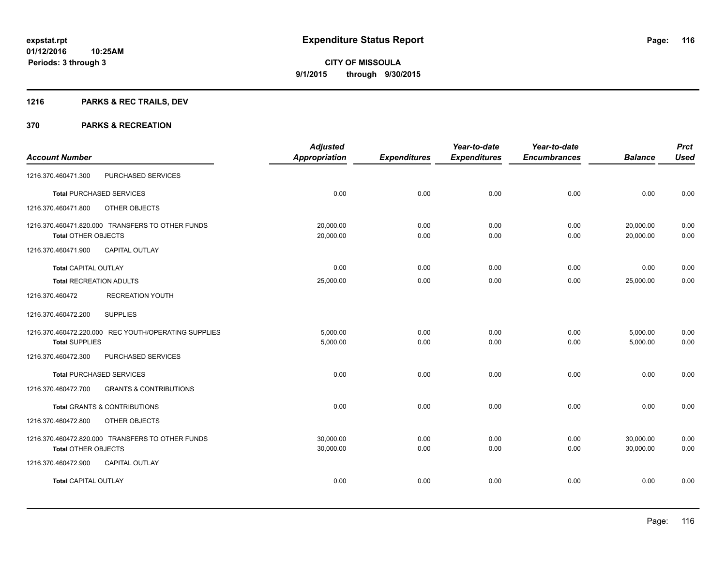### **1216 PARKS & REC TRAILS, DEV**

|                                                          | <b>Adjusted</b>      |                     | Year-to-date        | Year-to-date        |                | <b>Prct</b> |
|----------------------------------------------------------|----------------------|---------------------|---------------------|---------------------|----------------|-------------|
| <b>Account Number</b>                                    | <b>Appropriation</b> | <b>Expenditures</b> | <b>Expenditures</b> | <b>Encumbrances</b> | <b>Balance</b> | <b>Used</b> |
| PURCHASED SERVICES<br>1216.370.460471.300                |                      |                     |                     |                     |                |             |
| <b>Total PURCHASED SERVICES</b>                          | 0.00                 | 0.00                | 0.00                | 0.00                | 0.00           | 0.00        |
| OTHER OBJECTS<br>1216.370.460471.800                     |                      |                     |                     |                     |                |             |
| 1216.370.460471.820.000 TRANSFERS TO OTHER FUNDS         | 20,000.00            | 0.00                | 0.00                | 0.00                | 20,000.00      | 0.00        |
| <b>Total OTHER OBJECTS</b>                               | 20,000.00            | 0.00                | 0.00                | 0.00                | 20,000.00      | 0.00        |
| 1216.370.460471.900<br><b>CAPITAL OUTLAY</b>             |                      |                     |                     |                     |                |             |
| <b>Total CAPITAL OUTLAY</b>                              | 0.00                 | 0.00                | 0.00                | 0.00                | 0.00           | 0.00        |
| <b>Total RECREATION ADULTS</b>                           | 25,000.00            | 0.00                | 0.00                | 0.00                | 25,000.00      | 0.00        |
| 1216.370.460472<br><b>RECREATION YOUTH</b>               |                      |                     |                     |                     |                |             |
| 1216.370.460472.200<br><b>SUPPLIES</b>                   |                      |                     |                     |                     |                |             |
| 1216.370.460472.220.000 REC YOUTH/OPERATING SUPPLIES     | 5.000.00             | 0.00                | 0.00                | 0.00                | 5,000.00       | 0.00        |
| <b>Total SUPPLIES</b>                                    | 5,000.00             | 0.00                | 0.00                | 0.00                | 5,000.00       | 0.00        |
| 1216.370.460472.300<br>PURCHASED SERVICES                |                      |                     |                     |                     |                |             |
| <b>Total PURCHASED SERVICES</b>                          | 0.00                 | 0.00                | 0.00                | 0.00                | 0.00           | 0.00        |
| 1216.370.460472.700<br><b>GRANTS &amp; CONTRIBUTIONS</b> |                      |                     |                     |                     |                |             |
| <b>Total GRANTS &amp; CONTRIBUTIONS</b>                  | 0.00                 | 0.00                | 0.00                | 0.00                | 0.00           | 0.00        |
| 1216.370.460472.800<br>OTHER OBJECTS                     |                      |                     |                     |                     |                |             |
| 1216.370.460472.820.000 TRANSFERS TO OTHER FUNDS         | 30,000.00            | 0.00                | 0.00                | 0.00                | 30,000.00      | 0.00        |
| <b>Total OTHER OBJECTS</b>                               | 30,000.00            | 0.00                | 0.00                | 0.00                | 30,000.00      | 0.00        |
| 1216.370.460472.900<br><b>CAPITAL OUTLAY</b>             |                      |                     |                     |                     |                |             |
| <b>Total CAPITAL OUTLAY</b>                              | 0.00                 | 0.00                | 0.00                | 0.00                | 0.00           | 0.00        |
|                                                          |                      |                     |                     |                     |                |             |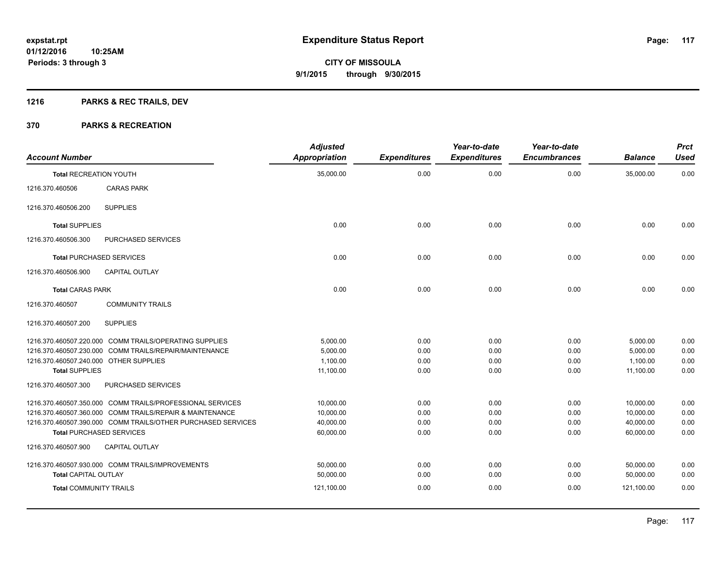### **1216 PARKS & REC TRAILS, DEV**

| <b>Account Number</b>                  |                                                              | <b>Adjusted</b><br><b>Appropriation</b> | <b>Expenditures</b> | Year-to-date<br><b>Expenditures</b> | Year-to-date<br><b>Encumbrances</b> | <b>Balance</b>       | <b>Prct</b><br><b>Used</b> |
|----------------------------------------|--------------------------------------------------------------|-----------------------------------------|---------------------|-------------------------------------|-------------------------------------|----------------------|----------------------------|
| <b>Total RECREATION YOUTH</b>          |                                                              | 35,000.00                               | 0.00                | 0.00                                | 0.00                                | 35,000.00            | 0.00                       |
| 1216.370.460506                        | <b>CARAS PARK</b>                                            |                                         |                     |                                     |                                     |                      |                            |
| 1216.370.460506.200                    | <b>SUPPLIES</b>                                              |                                         |                     |                                     |                                     |                      |                            |
| <b>Total SUPPLIES</b>                  |                                                              | 0.00                                    | 0.00                | 0.00                                | 0.00                                | 0.00                 | 0.00                       |
| 1216.370.460506.300                    | PURCHASED SERVICES                                           |                                         |                     |                                     |                                     |                      |                            |
|                                        | <b>Total PURCHASED SERVICES</b>                              | 0.00                                    | 0.00                | 0.00                                | 0.00                                | 0.00                 | 0.00                       |
| 1216.370.460506.900                    | <b>CAPITAL OUTLAY</b>                                        |                                         |                     |                                     |                                     |                      |                            |
| <b>Total CARAS PARK</b>                |                                                              | 0.00                                    | 0.00                | 0.00                                | 0.00                                | 0.00                 | 0.00                       |
| 1216.370.460507                        | <b>COMMUNITY TRAILS</b>                                      |                                         |                     |                                     |                                     |                      |                            |
| 1216.370.460507.200                    | <b>SUPPLIES</b>                                              |                                         |                     |                                     |                                     |                      |                            |
|                                        | 1216.370.460507.220.000 COMM TRAILS/OPERATING SUPPLIES       | 5,000.00                                | 0.00                | 0.00                                | 0.00                                | 5,000.00             | 0.00                       |
| 1216.370.460507.240.000 OTHER SUPPLIES | 1216.370.460507.230.000 COMM TRAILS/REPAIR/MAINTENANCE       | 5.000.00<br>1.100.00                    | 0.00<br>0.00        | 0.00<br>0.00                        | 0.00<br>0.00                        | 5,000.00<br>1,100.00 | 0.00<br>0.00               |
| <b>Total SUPPLIES</b>                  |                                                              | 11,100.00                               | 0.00                | 0.00                                | 0.00                                | 11,100.00            | 0.00                       |
| 1216.370.460507.300                    | PURCHASED SERVICES                                           |                                         |                     |                                     |                                     |                      |                            |
|                                        | 1216.370.460507.350.000 COMM TRAILS/PROFESSIONAL SERVICES    | 10,000.00                               | 0.00                | 0.00                                | 0.00                                | 10,000.00            | 0.00                       |
|                                        | 1216.370.460507.360.000 COMM TRAILS/REPAIR & MAINTENANCE     | 10,000.00                               | 0.00                | 0.00                                | 0.00                                | 10,000.00            | 0.00                       |
|                                        | 1216.370.460507.390.000 COMM TRAILS/OTHER PURCHASED SERVICES | 40,000.00                               | 0.00                | 0.00                                | 0.00                                | 40,000.00            | 0.00                       |
|                                        | <b>Total PURCHASED SERVICES</b>                              | 60,000.00                               | 0.00                | 0.00                                | 0.00                                | 60,000.00            | 0.00                       |
| 1216.370.460507.900                    | <b>CAPITAL OUTLAY</b>                                        |                                         |                     |                                     |                                     |                      |                            |
|                                        | 1216.370.460507.930.000 COMM TRAILS/IMPROVEMENTS             | 50,000.00                               | 0.00                | 0.00                                | 0.00                                | 50,000.00            | 0.00                       |
| <b>Total CAPITAL OUTLAY</b>            |                                                              | 50,000.00                               | 0.00                | 0.00                                | 0.00                                | 50,000.00            | 0.00                       |
| <b>Total COMMUNITY TRAILS</b>          |                                                              | 121,100.00                              | 0.00                | 0.00                                | 0.00                                | 121,100.00           | 0.00                       |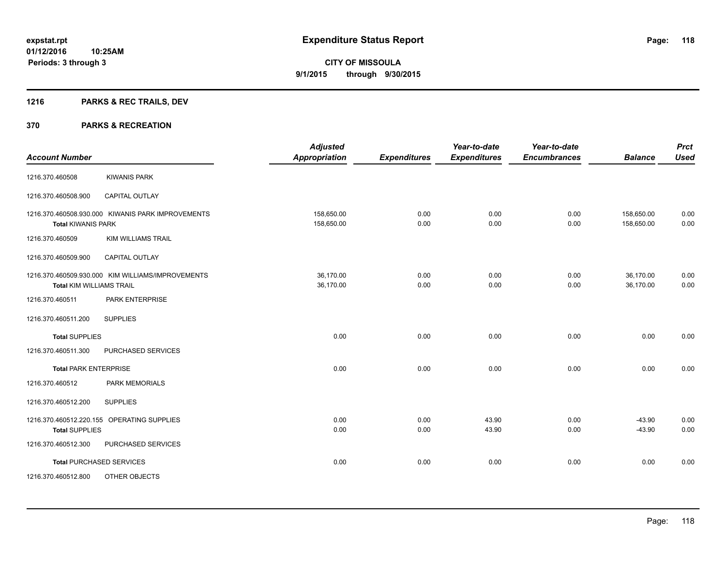### **1216 PARKS & REC TRAILS, DEV**

| <b>Account Number</b>           |                                                   | <b>Adjusted</b><br><b>Appropriation</b> | <b>Expenditures</b> | Year-to-date<br><b>Expenditures</b> | Year-to-date<br><b>Encumbrances</b> | <b>Balance</b>           | <b>Prct</b><br><b>Used</b> |
|---------------------------------|---------------------------------------------------|-----------------------------------------|---------------------|-------------------------------------|-------------------------------------|--------------------------|----------------------------|
| 1216.370.460508                 | <b>KIWANIS PARK</b>                               |                                         |                     |                                     |                                     |                          |                            |
| 1216.370.460508.900             | CAPITAL OUTLAY                                    |                                         |                     |                                     |                                     |                          |                            |
| <b>Total KIWANIS PARK</b>       | 1216.370.460508.930.000 KIWANIS PARK IMPROVEMENTS | 158,650.00<br>158,650.00                | 0.00<br>0.00        | 0.00<br>0.00                        | 0.00<br>0.00                        | 158,650.00<br>158,650.00 | 0.00<br>0.00               |
| 1216.370.460509                 | <b>KIM WILLIAMS TRAIL</b>                         |                                         |                     |                                     |                                     |                          |                            |
| 1216.370.460509.900             | <b>CAPITAL OUTLAY</b>                             |                                         |                     |                                     |                                     |                          |                            |
| <b>Total KIM WILLIAMS TRAIL</b> | 1216.370.460509.930.000 KIM WILLIAMS/IMPROVEMENTS | 36,170.00<br>36,170.00                  | 0.00<br>0.00        | 0.00<br>0.00                        | 0.00<br>0.00                        | 36,170.00<br>36,170.00   | 0.00<br>0.00               |
| 1216.370.460511                 | PARK ENTERPRISE                                   |                                         |                     |                                     |                                     |                          |                            |
| 1216.370.460511.200             | <b>SUPPLIES</b>                                   |                                         |                     |                                     |                                     |                          |                            |
| <b>Total SUPPLIES</b>           |                                                   | 0.00                                    | 0.00                | 0.00                                | 0.00                                | 0.00                     | 0.00                       |
| 1216.370.460511.300             | PURCHASED SERVICES                                |                                         |                     |                                     |                                     |                          |                            |
| <b>Total PARK ENTERPRISE</b>    |                                                   | 0.00                                    | 0.00                | 0.00                                | 0.00                                | 0.00                     | 0.00                       |
| 1216.370.460512                 | <b>PARK MEMORIALS</b>                             |                                         |                     |                                     |                                     |                          |                            |
| 1216.370.460512.200             | <b>SUPPLIES</b>                                   |                                         |                     |                                     |                                     |                          |                            |
| <b>Total SUPPLIES</b>           | 1216.370.460512.220.155 OPERATING SUPPLIES        | 0.00<br>0.00                            | 0.00<br>0.00        | 43.90<br>43.90                      | 0.00<br>0.00                        | $-43.90$<br>$-43.90$     | 0.00<br>0.00               |
| 1216.370.460512.300             | PURCHASED SERVICES                                |                                         |                     |                                     |                                     |                          |                            |
|                                 | <b>Total PURCHASED SERVICES</b>                   | 0.00                                    | 0.00                | 0.00                                | 0.00                                | 0.00                     | 0.00                       |
| 1216.370.460512.800             | OTHER OBJECTS                                     |                                         |                     |                                     |                                     |                          |                            |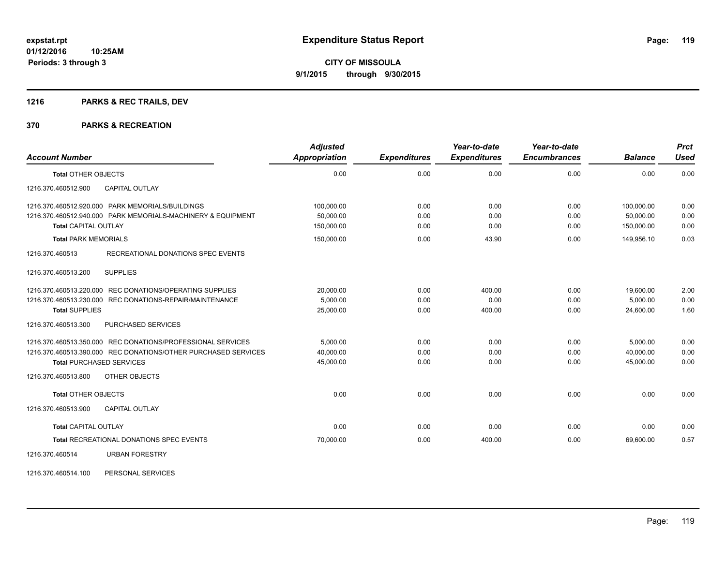### **1216 PARKS & REC TRAILS, DEV**

#### **370 PARKS & RECREATION**

| <b>Account Number</b>                                          | <b>Adjusted</b><br>Appropriation | <b>Expenditures</b> | Year-to-date<br><b>Expenditures</b> | Year-to-date<br><b>Encumbrances</b> | <b>Balance</b> | <b>Prct</b><br><b>Used</b> |
|----------------------------------------------------------------|----------------------------------|---------------------|-------------------------------------|-------------------------------------|----------------|----------------------------|
| <b>Total OTHER OBJECTS</b>                                     | 0.00                             | 0.00                | 0.00                                | 0.00                                | 0.00           | 0.00                       |
| CAPITAL OUTLAY<br>1216.370.460512.900                          |                                  |                     |                                     |                                     |                |                            |
| 1216.370.460512.920.000 PARK MEMORIALS/BUILDINGS               | 100,000.00                       | 0.00                | 0.00                                | 0.00                                | 100,000.00     | 0.00                       |
| 1216.370.460512.940.000 PARK MEMORIALS-MACHINERY & EQUIPMENT   | 50,000.00                        | 0.00                | 0.00                                | 0.00                                | 50.000.00      | 0.00                       |
| <b>Total CAPITAL OUTLAY</b>                                    | 150,000.00                       | 0.00                | 0.00                                | 0.00                                | 150,000.00     | 0.00                       |
| <b>Total PARK MEMORIALS</b>                                    | 150,000.00                       | 0.00                | 43.90                               | 0.00                                | 149,956.10     | 0.03                       |
| RECREATIONAL DONATIONS SPEC EVENTS<br>1216.370.460513          |                                  |                     |                                     |                                     |                |                            |
| <b>SUPPLIES</b><br>1216.370.460513.200                         |                                  |                     |                                     |                                     |                |                            |
| 1216.370.460513.220.000 REC DONATIONS/OPERATING SUPPLIES       | 20,000.00                        | 0.00                | 400.00                              | 0.00                                | 19,600.00      | 2.00                       |
| 1216.370.460513.230.000 REC DONATIONS-REPAIR/MAINTENANCE       | 5,000.00                         | 0.00                | 0.00                                | 0.00                                | 5,000.00       | 0.00                       |
| <b>Total SUPPLIES</b>                                          | 25,000.00                        | 0.00                | 400.00                              | 0.00                                | 24.600.00      | 1.60                       |
| 1216.370.460513.300<br><b>PURCHASED SERVICES</b>               |                                  |                     |                                     |                                     |                |                            |
| 1216.370.460513.350.000 REC DONATIONS/PROFESSIONAL SERVICES    | 5.000.00                         | 0.00                | 0.00                                | 0.00                                | 5,000.00       | 0.00                       |
| 1216.370.460513.390.000 REC DONATIONS/OTHER PURCHASED SERVICES | 40,000.00                        | 0.00                | 0.00                                | 0.00                                | 40,000.00      | 0.00                       |
| <b>Total PURCHASED SERVICES</b>                                | 45,000.00                        | 0.00                | 0.00                                | 0.00                                | 45.000.00      | 0.00                       |
| 1216.370.460513.800<br>OTHER OBJECTS                           |                                  |                     |                                     |                                     |                |                            |
| <b>Total OTHER OBJECTS</b>                                     | 0.00                             | 0.00                | 0.00                                | 0.00                                | 0.00           | 0.00                       |
| 1216.370.460513.900<br><b>CAPITAL OUTLAY</b>                   |                                  |                     |                                     |                                     |                |                            |
| <b>Total CAPITAL OUTLAY</b>                                    | 0.00                             | 0.00                | 0.00                                | 0.00                                | 0.00           | 0.00                       |
| <b>Total RECREATIONAL DONATIONS SPEC EVENTS</b>                | 70,000.00                        | 0.00                | 400.00                              | 0.00                                | 69,600.00      | 0.57                       |
| <b>URBAN FORESTRY</b><br>1216.370.460514                       |                                  |                     |                                     |                                     |                |                            |

1216.370.460514.100 PERSONAL SERVICES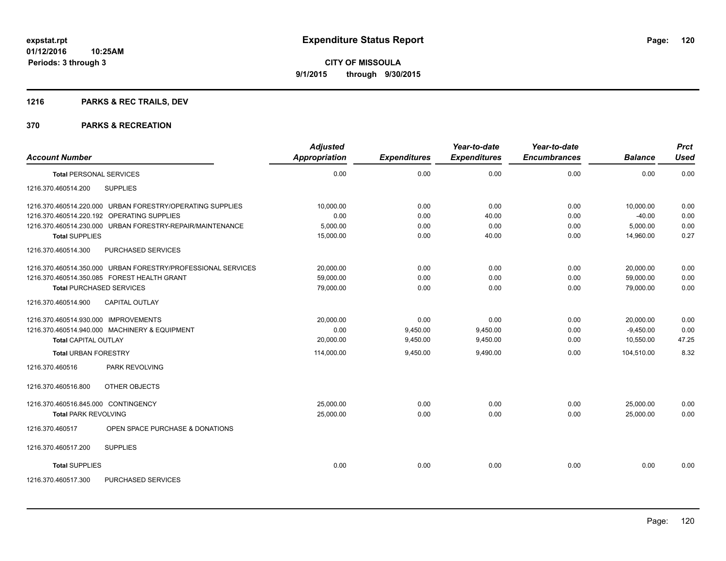### **1216 PARKS & REC TRAILS, DEV**

|                                                              | <b>Adjusted</b>      |                     | Year-to-date        | Year-to-date        |                | <b>Prct</b> |
|--------------------------------------------------------------|----------------------|---------------------|---------------------|---------------------|----------------|-------------|
| <b>Account Number</b>                                        | <b>Appropriation</b> | <b>Expenditures</b> | <b>Expenditures</b> | <b>Encumbrances</b> | <b>Balance</b> | <b>Used</b> |
| <b>Total PERSONAL SERVICES</b>                               | 0.00                 | 0.00                | 0.00                | 0.00                | 0.00           | 0.00        |
| <b>SUPPLIES</b><br>1216.370.460514.200                       |                      |                     |                     |                     |                |             |
| 1216.370.460514.220.000 URBAN FORESTRY/OPERATING SUPPLIES    | 10.000.00            | 0.00                | 0.00                | 0.00                | 10,000.00      | 0.00        |
| 1216.370.460514.220.192 OPERATING SUPPLIES                   | 0.00                 | 0.00                | 40.00               | 0.00                | $-40.00$       | 0.00        |
| 1216.370.460514.230.000 URBAN FORESTRY-REPAIR/MAINTENANCE    | 5,000.00             | 0.00                | 0.00                | 0.00                | 5,000.00       | 0.00        |
| <b>Total SUPPLIES</b>                                        | 15,000.00            | 0.00                | 40.00               | 0.00                | 14,960.00      | 0.27        |
| PURCHASED SERVICES<br>1216.370.460514.300                    |                      |                     |                     |                     |                |             |
| 1216.370.460514.350.000 URBAN FORESTRY/PROFESSIONAL SERVICES | 20,000.00            | 0.00                | 0.00                | 0.00                | 20,000.00      | 0.00        |
| 1216.370.460514.350.085 FOREST HEALTH GRANT                  | 59,000.00            | 0.00                | 0.00                | 0.00                | 59,000.00      | 0.00        |
| <b>Total PURCHASED SERVICES</b>                              | 79,000.00            | 0.00                | 0.00                | 0.00                | 79.000.00      | 0.00        |
| <b>CAPITAL OUTLAY</b><br>1216.370.460514.900                 |                      |                     |                     |                     |                |             |
| 1216.370.460514.930.000 IMPROVEMENTS                         | 20.000.00            | 0.00                | 0.00                | 0.00                | 20,000.00      | 0.00        |
| 1216.370.460514.940.000 MACHINERY & EQUIPMENT                | 0.00                 | 9,450.00            | 9,450.00            | 0.00                | $-9,450.00$    | 0.00        |
| <b>Total CAPITAL OUTLAY</b>                                  | 20,000.00            | 9,450.00            | 9,450.00            | 0.00                | 10,550.00      | 47.25       |
| <b>Total URBAN FORESTRY</b>                                  | 114,000.00           | 9,450.00            | 9,490.00            | 0.00                | 104,510.00     | 8.32        |
| <b>PARK REVOLVING</b><br>1216.370.460516                     |                      |                     |                     |                     |                |             |
| 1216.370.460516.800<br>OTHER OBJECTS                         |                      |                     |                     |                     |                |             |
| 1216.370.460516.845.000 CONTINGENCY                          | 25,000.00            | 0.00                | 0.00                | 0.00                | 25,000.00      | 0.00        |
| <b>Total PARK REVOLVING</b>                                  | 25,000.00            | 0.00                | 0.00                | 0.00                | 25,000.00      | 0.00        |
| 1216.370.460517<br>OPEN SPACE PURCHASE & DONATIONS           |                      |                     |                     |                     |                |             |
| 1216.370.460517.200<br><b>SUPPLIES</b>                       |                      |                     |                     |                     |                |             |
| <b>Total SUPPLIES</b>                                        | 0.00                 | 0.00                | 0.00                | 0.00                | 0.00           | 0.00        |
| 1216.370.460517.300<br>PURCHASED SERVICES                    |                      |                     |                     |                     |                |             |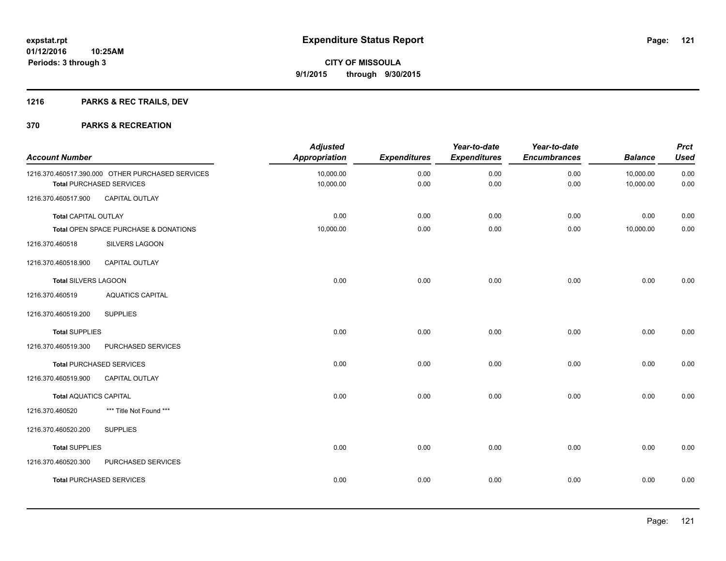### **1216 PARKS & REC TRAILS, DEV**

| <b>Account Number</b>         |                                                                                     | <b>Adjusted</b><br><b>Appropriation</b> | <b>Expenditures</b> | Year-to-date<br><b>Expenditures</b> | Year-to-date<br><b>Encumbrances</b> | <b>Balance</b>         | <b>Prct</b><br><b>Used</b> |
|-------------------------------|-------------------------------------------------------------------------------------|-----------------------------------------|---------------------|-------------------------------------|-------------------------------------|------------------------|----------------------------|
|                               | 1216.370.460517.390.000 OTHER PURCHASED SERVICES<br><b>Total PURCHASED SERVICES</b> | 10,000.00<br>10,000.00                  | 0.00<br>0.00        | 0.00<br>0.00                        | 0.00<br>0.00                        | 10,000.00<br>10,000.00 | 0.00<br>0.00               |
| 1216.370.460517.900           | CAPITAL OUTLAY                                                                      |                                         |                     |                                     |                                     |                        |                            |
| <b>Total CAPITAL OUTLAY</b>   |                                                                                     | 0.00                                    | 0.00                | 0.00                                | 0.00                                | 0.00                   | 0.00                       |
|                               | Total OPEN SPACE PURCHASE & DONATIONS                                               | 10,000.00                               | 0.00                | 0.00                                | 0.00                                | 10,000.00              | $0.00\,$                   |
| 1216.370.460518               | SILVERS LAGOON                                                                      |                                         |                     |                                     |                                     |                        |                            |
| 1216.370.460518.900           | <b>CAPITAL OUTLAY</b>                                                               |                                         |                     |                                     |                                     |                        |                            |
| <b>Total SILVERS LAGOON</b>   |                                                                                     | 0.00                                    | 0.00                | 0.00                                | 0.00                                | 0.00                   | 0.00                       |
| 1216.370.460519               | <b>AQUATICS CAPITAL</b>                                                             |                                         |                     |                                     |                                     |                        |                            |
| 1216.370.460519.200           | <b>SUPPLIES</b>                                                                     |                                         |                     |                                     |                                     |                        |                            |
| <b>Total SUPPLIES</b>         |                                                                                     | 0.00                                    | 0.00                | 0.00                                | 0.00                                | 0.00                   | 0.00                       |
| 1216.370.460519.300           | PURCHASED SERVICES                                                                  |                                         |                     |                                     |                                     |                        |                            |
|                               | <b>Total PURCHASED SERVICES</b>                                                     | 0.00                                    | 0.00                | 0.00                                | 0.00                                | 0.00                   | 0.00                       |
| 1216.370.460519.900           | <b>CAPITAL OUTLAY</b>                                                               |                                         |                     |                                     |                                     |                        |                            |
| <b>Total AQUATICS CAPITAL</b> |                                                                                     | 0.00                                    | 0.00                | 0.00                                | 0.00                                | 0.00                   | 0.00                       |
| 1216.370.460520               | *** Title Not Found ***                                                             |                                         |                     |                                     |                                     |                        |                            |
| 1216.370.460520.200           | <b>SUPPLIES</b>                                                                     |                                         |                     |                                     |                                     |                        |                            |
| <b>Total SUPPLIES</b>         |                                                                                     | 0.00                                    | 0.00                | 0.00                                | 0.00                                | 0.00                   | 0.00                       |
| 1216.370.460520.300           | PURCHASED SERVICES                                                                  |                                         |                     |                                     |                                     |                        |                            |
|                               | <b>Total PURCHASED SERVICES</b>                                                     | 0.00                                    | 0.00                | 0.00                                | 0.00                                | 0.00                   | 0.00                       |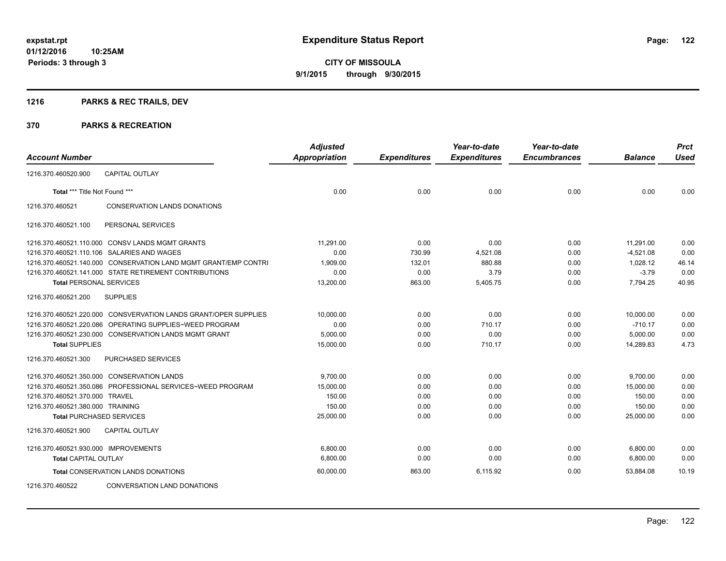### **1216 PARKS & REC TRAILS, DEV**

|                                      |                                                                 | <b>Adjusted</b>      |                     | Year-to-date        | Year-to-date        |                | <b>Prct</b> |
|--------------------------------------|-----------------------------------------------------------------|----------------------|---------------------|---------------------|---------------------|----------------|-------------|
| <b>Account Number</b>                |                                                                 | <b>Appropriation</b> | <b>Expenditures</b> | <b>Expenditures</b> | <b>Encumbrances</b> | <b>Balance</b> | Used        |
| 1216.370.460520.900                  | <b>CAPITAL OUTLAY</b>                                           |                      |                     |                     |                     |                |             |
| Total *** Title Not Found ***        |                                                                 | 0.00                 | 0.00                | 0.00                | 0.00                | 0.00           | 0.00        |
| 1216.370.460521                      | CONSERVATION LANDS DONATIONS                                    |                      |                     |                     |                     |                |             |
| 1216.370.460521.100                  | PERSONAL SERVICES                                               |                      |                     |                     |                     |                |             |
|                                      | 1216.370.460521.110.000 CONSV LANDS MGMT GRANTS                 | 11,291.00            | 0.00                | 0.00                | 0.00                | 11,291.00      | 0.00        |
|                                      | 1216.370.460521.110.106 SALARIES AND WAGES                      | 0.00                 | 730.99              | 4,521.08            | 0.00                | $-4,521.08$    | 0.00        |
|                                      | 1216.370.460521.140.000 CONSERVATION LAND MGMT GRANT/EMP CONTRI | 1,909.00             | 132.01              | 880.88              | 0.00                | 1,028.12       | 46.14       |
|                                      | 1216.370.460521.141.000 STATE RETIREMENT CONTRIBUTIONS          | 0.00                 | 0.00                | 3.79                | 0.00                | $-3.79$        | 0.00        |
| <b>Total PERSONAL SERVICES</b>       |                                                                 | 13,200.00            | 863.00              | 5,405.75            | 0.00                | 7,794.25       | 40.95       |
| 1216.370.460521.200                  | <b>SUPPLIES</b>                                                 |                      |                     |                     |                     |                |             |
|                                      | 1216.370.460521.220.000 CONSVERVATION LANDS GRANT/OPER SUPPLIES | 10,000.00            | 0.00                | 0.00                | 0.00                | 10,000.00      | 0.00        |
| 1216.370.460521.220.086              | OPERATING SUPPLIES~WEED PROGRAM                                 | 0.00                 | 0.00                | 710.17              | 0.00                | $-710.17$      | 0.00        |
|                                      | 1216.370.460521.230.000 CONSERVATION LANDS MGMT GRANT           | 5,000.00             | 0.00                | 0.00                | 0.00                | 5,000.00       | 0.00        |
| <b>Total SUPPLIES</b>                |                                                                 | 15,000.00            | 0.00                | 710.17              | 0.00                | 14,289.83      | 4.73        |
| 1216.370.460521.300                  | <b>PURCHASED SERVICES</b>                                       |                      |                     |                     |                     |                |             |
|                                      | 1216.370.460521.350.000 CONSERVATION LANDS                      | 9,700.00             | 0.00                | 0.00                | 0.00                | 9,700.00       | 0.00        |
|                                      | 1216.370.460521.350.086 PROFESSIONAL SERVICES~WEED PROGRAM      | 15,000.00            | 0.00                | 0.00                | 0.00                | 15,000.00      | 0.00        |
| 1216.370.460521.370.000 TRAVEL       |                                                                 | 150.00               | 0.00                | 0.00                | 0.00                | 150.00         | 0.00        |
| 1216.370.460521.380.000 TRAINING     |                                                                 | 150.00               | 0.00                | 0.00                | 0.00                | 150.00         | 0.00        |
| <b>Total PURCHASED SERVICES</b>      |                                                                 | 25,000.00            | 0.00                | 0.00                | 0.00                | 25,000.00      | 0.00        |
| 1216.370.460521.900                  | <b>CAPITAL OUTLAY</b>                                           |                      |                     |                     |                     |                |             |
| 1216.370.460521.930.000 IMPROVEMENTS |                                                                 | 6,800.00             | 0.00                | 0.00                | 0.00                | 6,800.00       | 0.00        |
| <b>Total CAPITAL OUTLAY</b>          |                                                                 | 6.800.00             | 0.00                | 0.00                | 0.00                | 6,800.00       | 0.00        |
|                                      | <b>Total CONSERVATION LANDS DONATIONS</b>                       | 60,000.00            | 863.00              | 6,115.92            | 0.00                | 53,884.08      | 10.19       |
| 1216.370.460522                      | <b>CONVERSATION LAND DONATIONS</b>                              |                      |                     |                     |                     |                |             |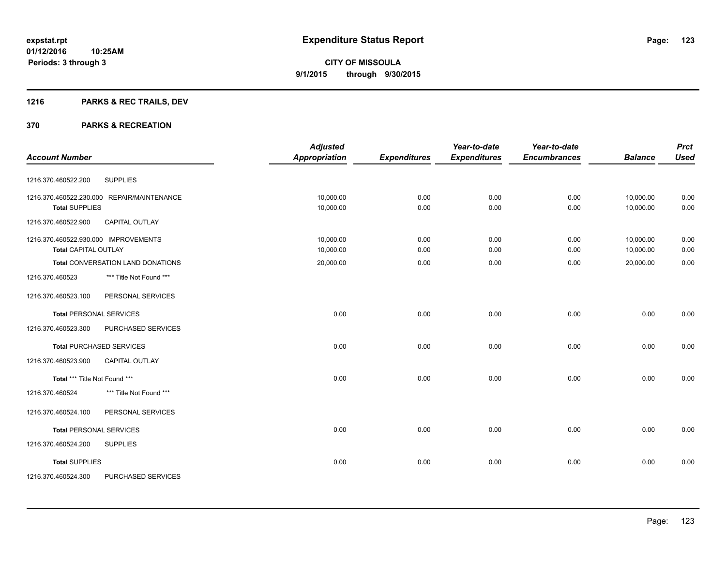### **1216 PARKS & REC TRAILS, DEV**

|                                              | <b>Adjusted</b>      |                     | Year-to-date        | Year-to-date        |                | <b>Prct</b> |
|----------------------------------------------|----------------------|---------------------|---------------------|---------------------|----------------|-------------|
| <b>Account Number</b>                        | <b>Appropriation</b> | <b>Expenditures</b> | <b>Expenditures</b> | <b>Encumbrances</b> | <b>Balance</b> | <b>Used</b> |
| <b>SUPPLIES</b><br>1216.370.460522.200       |                      |                     |                     |                     |                |             |
| 1216.370.460522.230.000 REPAIR/MAINTENANCE   | 10,000.00            | 0.00                | 0.00                | 0.00                | 10,000.00      | 0.00        |
| <b>Total SUPPLIES</b>                        | 10,000.00            | 0.00                | 0.00                | 0.00                | 10,000.00      | 0.00        |
| <b>CAPITAL OUTLAY</b><br>1216.370.460522.900 |                      |                     |                     |                     |                |             |
| 1216.370.460522.930.000 IMPROVEMENTS         | 10,000.00            | 0.00                | 0.00                | 0.00                | 10,000.00      | 0.00        |
| <b>Total CAPITAL OUTLAY</b>                  | 10,000.00            | 0.00                | 0.00                | 0.00                | 10,000.00      | 0.00        |
| Total CONVERSATION LAND DONATIONS            | 20,000.00            | 0.00                | 0.00                | 0.00                | 20,000.00      | 0.00        |
| *** Title Not Found ***<br>1216.370.460523   |                      |                     |                     |                     |                |             |
| 1216.370.460523.100<br>PERSONAL SERVICES     |                      |                     |                     |                     |                |             |
| <b>Total PERSONAL SERVICES</b>               | 0.00                 | 0.00                | 0.00                | 0.00                | 0.00           | 0.00        |
| 1216.370.460523.300<br>PURCHASED SERVICES    |                      |                     |                     |                     |                |             |
| <b>Total PURCHASED SERVICES</b>              | 0.00                 | 0.00                | 0.00                | 0.00                | 0.00           | 0.00        |
| <b>CAPITAL OUTLAY</b><br>1216.370.460523.900 |                      |                     |                     |                     |                |             |
| Total *** Title Not Found ***                | 0.00                 | 0.00                | 0.00                | 0.00                | 0.00           | 0.00        |
| 1216.370.460524<br>*** Title Not Found ***   |                      |                     |                     |                     |                |             |
| PERSONAL SERVICES<br>1216.370.460524.100     |                      |                     |                     |                     |                |             |
| <b>Total PERSONAL SERVICES</b>               | 0.00                 | 0.00                | 0.00                | 0.00                | 0.00           | 0.00        |
| 1216.370.460524.200<br><b>SUPPLIES</b>       |                      |                     |                     |                     |                |             |
| <b>Total SUPPLIES</b>                        | 0.00                 | 0.00                | 0.00                | 0.00                | 0.00           | 0.00        |
| PURCHASED SERVICES<br>1216.370.460524.300    |                      |                     |                     |                     |                |             |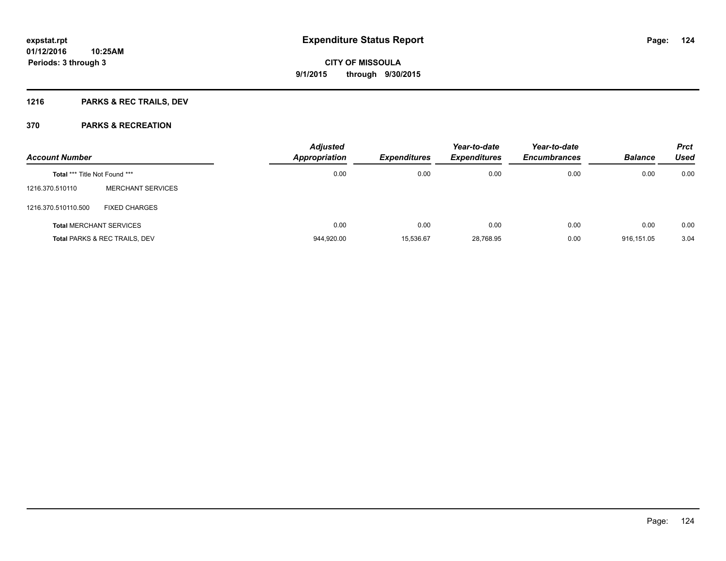### **1216 PARKS & REC TRAILS, DEV**

| <b>Account Number</b>                |                                          | <b>Adjusted</b><br>Appropriation<br><b>Expenditures</b> | Year-to-date<br><b>Expenditures</b> | Year-to-date<br><b>Encumbrances</b> | <b>Balance</b> | <b>Prct</b><br><b>Used</b> |      |
|--------------------------------------|------------------------------------------|---------------------------------------------------------|-------------------------------------|-------------------------------------|----------------|----------------------------|------|
| <b>Total *** Title Not Found ***</b> |                                          | 0.00                                                    | 0.00                                | 0.00                                | 0.00           | 0.00                       | 0.00 |
| 1216.370.510110                      | <b>MERCHANT SERVICES</b>                 |                                                         |                                     |                                     |                |                            |      |
| 1216.370.510110.500                  | <b>FIXED CHARGES</b>                     |                                                         |                                     |                                     |                |                            |      |
|                                      | <b>Total MERCHANT SERVICES</b>           | 0.00                                                    | 0.00                                | 0.00                                | 0.00           | 0.00                       | 0.00 |
|                                      | <b>Total PARKS &amp; REC TRAILS, DEV</b> | 944,920.00                                              | 15,536.67                           | 28,768.95                           | 0.00           | 916.151.05                 | 3.04 |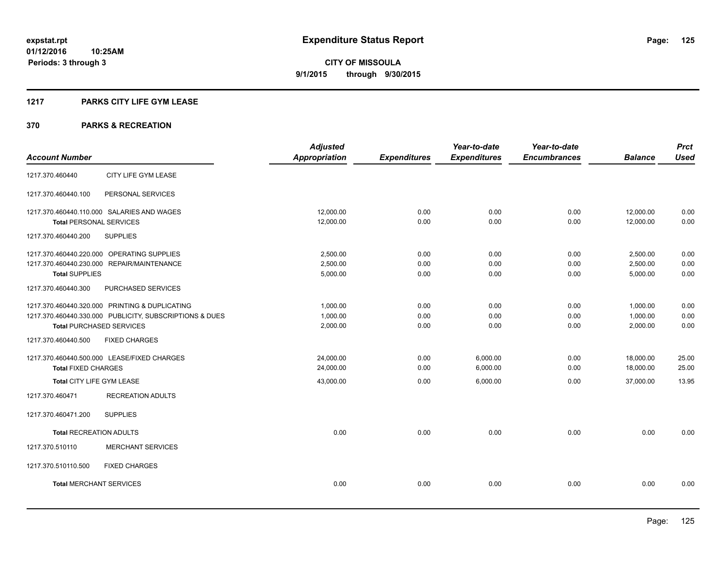### **1217 PARKS CITY LIFE GYM LEASE**

|                                                         | <b>Adjusted</b>      |                     | Year-to-date        | Year-to-date        |                | <b>Prct</b> |
|---------------------------------------------------------|----------------------|---------------------|---------------------|---------------------|----------------|-------------|
| <b>Account Number</b>                                   | <b>Appropriation</b> | <b>Expenditures</b> | <b>Expenditures</b> | <b>Encumbrances</b> | <b>Balance</b> | <b>Used</b> |
| CITY LIFE GYM LEASE<br>1217.370.460440                  |                      |                     |                     |                     |                |             |
| 1217.370.460440.100<br>PERSONAL SERVICES                |                      |                     |                     |                     |                |             |
| 1217.370.460440.110.000 SALARIES AND WAGES              | 12,000.00            | 0.00                | 0.00                | 0.00                | 12,000.00      | 0.00        |
| <b>Total PERSONAL SERVICES</b>                          | 12,000.00            | 0.00                | 0.00                | 0.00                | 12,000.00      | 0.00        |
| 1217.370.460440.200<br><b>SUPPLIES</b>                  |                      |                     |                     |                     |                |             |
| 1217.370.460440.220.000 OPERATING SUPPLIES              | 2,500.00             | 0.00                | 0.00                | 0.00                | 2,500.00       | 0.00        |
| 1217.370.460440.230.000 REPAIR/MAINTENANCE              | 2,500.00             | 0.00                | 0.00                | 0.00                | 2,500.00       | 0.00        |
| <b>Total SUPPLIES</b>                                   | 5,000.00             | 0.00                | 0.00                | 0.00                | 5,000.00       | 0.00        |
| PURCHASED SERVICES<br>1217.370.460440.300               |                      |                     |                     |                     |                |             |
| 1217.370.460440.320.000 PRINTING & DUPLICATING          | 1,000.00             | 0.00                | 0.00                | 0.00                | 1,000.00       | 0.00        |
| 1217.370.460440.330.000 PUBLICITY, SUBSCRIPTIONS & DUES | 1,000.00             | 0.00                | 0.00                | 0.00                | 1,000.00       | 0.00        |
| <b>Total PURCHASED SERVICES</b>                         | 2,000.00             | 0.00                | 0.00                | 0.00                | 2,000.00       | 0.00        |
| <b>FIXED CHARGES</b><br>1217.370.460440.500             |                      |                     |                     |                     |                |             |
| 1217.370.460440.500.000 LEASE/FIXED CHARGES             | 24,000.00            | 0.00                | 6,000.00            | 0.00                | 18,000.00      | 25.00       |
| <b>Total FIXED CHARGES</b>                              | 24,000.00            | 0.00                | 6,000.00            | 0.00                | 18,000.00      | 25.00       |
| Total CITY LIFE GYM LEASE                               | 43,000.00            | 0.00                | 6,000.00            | 0.00                | 37,000.00      | 13.95       |
| 1217.370.460471<br><b>RECREATION ADULTS</b>             |                      |                     |                     |                     |                |             |
| <b>SUPPLIES</b><br>1217.370.460471.200                  |                      |                     |                     |                     |                |             |
| <b>Total RECREATION ADULTS</b>                          | 0.00                 | 0.00                | 0.00                | 0.00                | 0.00           | 0.00        |
| 1217.370.510110<br><b>MERCHANT SERVICES</b>             |                      |                     |                     |                     |                |             |
| <b>FIXED CHARGES</b><br>1217.370.510110.500             |                      |                     |                     |                     |                |             |
| <b>Total MERCHANT SERVICES</b>                          | 0.00                 | 0.00                | 0.00                | 0.00                | 0.00           | 0.00        |
|                                                         |                      |                     |                     |                     |                |             |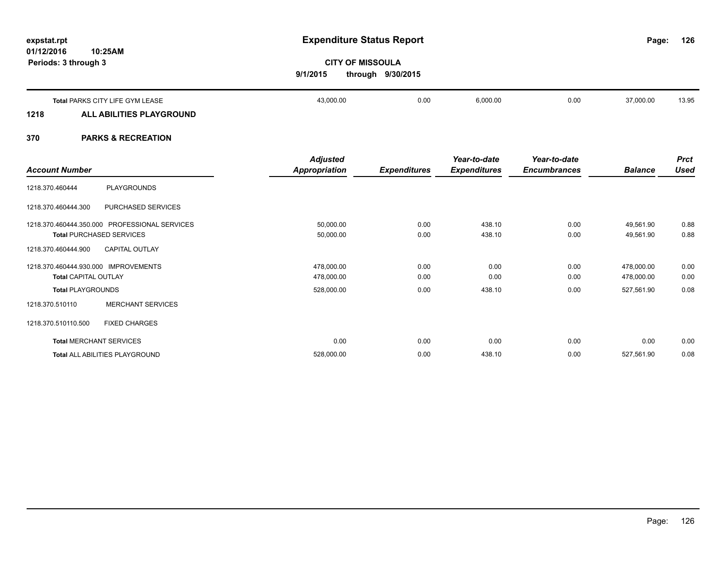#### **01/12/2016 10:25AM Periods: 3 through 3**

# **expstat.rpt Expenditure Status Report**

**126**

## **CITY OF MISSOULA 9/1/2015 through 9/30/2015**

|      | Total PARKS CITY LIFE GYM LEASE | 43,000.00 | 0.00 | 6,000.00 | 0.00 | 37,000.00 | 13.95 |
|------|---------------------------------|-----------|------|----------|------|-----------|-------|
| 1218 | ALL ABILITIES PLAYGROUND        |           |      |          |      |           |       |
|      |                                 |           |      |          |      |           |       |

|                                               | <b>Adjusted</b>      |                     | Year-to-date        | Year-to-date        |                | <b>Prct</b> |
|-----------------------------------------------|----------------------|---------------------|---------------------|---------------------|----------------|-------------|
| <b>Account Number</b>                         | <b>Appropriation</b> | <b>Expenditures</b> | <b>Expenditures</b> | <b>Encumbrances</b> | <b>Balance</b> | <b>Used</b> |
| PLAYGROUNDS<br>1218.370.460444                |                      |                     |                     |                     |                |             |
| 1218.370.460444.300<br>PURCHASED SERVICES     |                      |                     |                     |                     |                |             |
| 1218.370.460444.350.000 PROFESSIONAL SERVICES | 50,000.00            | 0.00                | 438.10              | 0.00                | 49,561.90      | 0.88        |
| <b>Total PURCHASED SERVICES</b>               | 50,000.00            | 0.00                | 438.10              | 0.00                | 49,561.90      | 0.88        |
| 1218.370.460444.900<br><b>CAPITAL OUTLAY</b>  |                      |                     |                     |                     |                |             |
| 1218.370.460444.930.000 IMPROVEMENTS          | 478,000.00           | 0.00                | 0.00                | 0.00                | 478,000.00     | 0.00        |
| <b>Total CAPITAL OUTLAY</b>                   | 478,000.00           | 0.00                | 0.00                | 0.00                | 478,000.00     | 0.00        |
| <b>Total PLAYGROUNDS</b>                      | 528,000.00           | 0.00                | 438.10              | 0.00                | 527,561.90     | 0.08        |
| <b>MERCHANT SERVICES</b><br>1218.370.510110   |                      |                     |                     |                     |                |             |
| <b>FIXED CHARGES</b><br>1218.370.510110.500   |                      |                     |                     |                     |                |             |
| <b>Total MERCHANT SERVICES</b>                | 0.00                 | 0.00                | 0.00                | 0.00                | 0.00           | 0.00        |
| Total ALL ABILITIES PLAYGROUND                | 528,000.00           | 0.00                | 438.10              | 0.00                | 527,561.90     | 0.08        |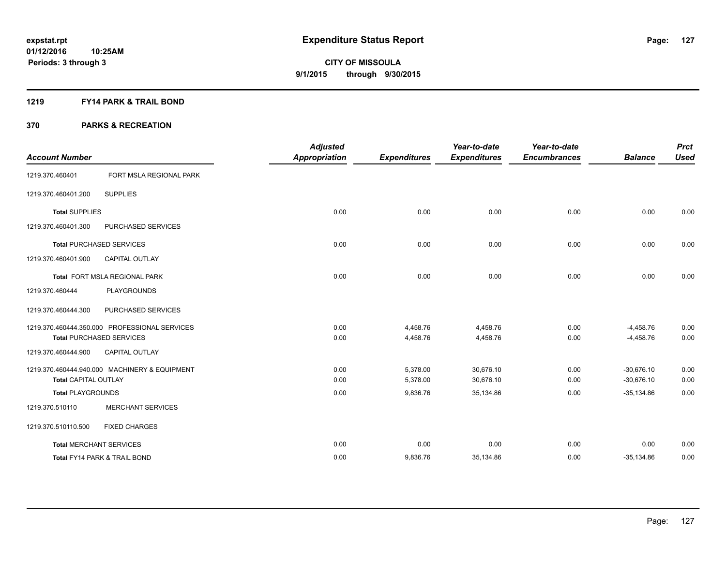### **1219 FY14 PARK & TRAIL BOND**

|                                |                                               | <b>Adjusted</b>      |                     | Year-to-date        | Year-to-date        |                | <b>Prct</b> |
|--------------------------------|-----------------------------------------------|----------------------|---------------------|---------------------|---------------------|----------------|-------------|
| <b>Account Number</b>          |                                               | <b>Appropriation</b> | <b>Expenditures</b> | <b>Expenditures</b> | <b>Encumbrances</b> | <b>Balance</b> | <b>Used</b> |
| 1219.370.460401                | FORT MSLA REGIONAL PARK                       |                      |                     |                     |                     |                |             |
| 1219.370.460401.200            | <b>SUPPLIES</b>                               |                      |                     |                     |                     |                |             |
| <b>Total SUPPLIES</b>          |                                               | 0.00                 | 0.00                | 0.00                | 0.00                | 0.00           | 0.00        |
| 1219.370.460401.300            | PURCHASED SERVICES                            |                      |                     |                     |                     |                |             |
|                                | Total PURCHASED SERVICES                      | 0.00                 | 0.00                | 0.00                | 0.00                | 0.00           | 0.00        |
| 1219.370.460401.900            | <b>CAPITAL OUTLAY</b>                         |                      |                     |                     |                     |                |             |
|                                | Total FORT MSLA REGIONAL PARK                 | 0.00                 | 0.00                | 0.00                | 0.00                | 0.00           | 0.00        |
| 1219.370.460444                | <b>PLAYGROUNDS</b>                            |                      |                     |                     |                     |                |             |
| 1219.370.460444.300            | PURCHASED SERVICES                            |                      |                     |                     |                     |                |             |
|                                | 1219.370.460444.350.000 PROFESSIONAL SERVICES | 0.00                 | 4,458.76            | 4,458.76            | 0.00                | $-4,458.76$    | 0.00        |
|                                | <b>Total PURCHASED SERVICES</b>               | 0.00                 | 4,458.76            | 4,458.76            | 0.00                | $-4,458.76$    | 0.00        |
| 1219.370.460444.900            | <b>CAPITAL OUTLAY</b>                         |                      |                     |                     |                     |                |             |
|                                | 1219.370.460444.940.000 MACHINERY & EQUIPMENT | 0.00                 | 5,378.00            | 30,676.10           | 0.00                | $-30,676.10$   | 0.00        |
| <b>Total CAPITAL OUTLAY</b>    |                                               | 0.00                 | 5,378.00            | 30,676.10           | 0.00                | $-30,676.10$   | 0.00        |
| <b>Total PLAYGROUNDS</b>       |                                               | 0.00                 | 9,836.76            | 35,134.86           | 0.00                | $-35,134.86$   | 0.00        |
| 1219.370.510110                | <b>MERCHANT SERVICES</b>                      |                      |                     |                     |                     |                |             |
| 1219.370.510110.500            | <b>FIXED CHARGES</b>                          |                      |                     |                     |                     |                |             |
| <b>Total MERCHANT SERVICES</b> |                                               | 0.00                 | 0.00                | 0.00                | 0.00                | 0.00           | 0.00        |
|                                | Total FY14 PARK & TRAIL BOND                  | 0.00                 | 9,836.76            | 35,134.86           | 0.00                | $-35,134.86$   | 0.00        |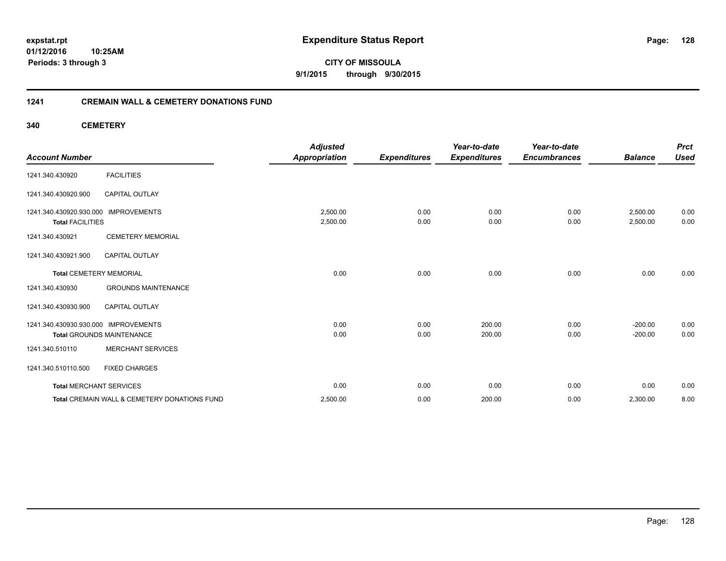**01/12/2016 10:25AM Periods: 3 through 3**

**CITY OF MISSOULA 9/1/2015 through 9/30/2015**

### **1241 CREMAIN WALL & CEMETERY DONATIONS FUND**

**340 CEMETERY**

| <b>Account Number</b>                              |                                              | <b>Adjusted</b><br><b>Appropriation</b> | <b>Expenditures</b> | Year-to-date<br><b>Expenditures</b> | Year-to-date<br><b>Encumbrances</b> | <b>Balance</b>       | <b>Prct</b><br><b>Used</b> |
|----------------------------------------------------|----------------------------------------------|-----------------------------------------|---------------------|-------------------------------------|-------------------------------------|----------------------|----------------------------|
| 1241.340.430920                                    | <b>FACILITIES</b>                            |                                         |                     |                                     |                                     |                      |                            |
| 1241.340.430920.900                                | <b>CAPITAL OUTLAY</b>                        |                                         |                     |                                     |                                     |                      |                            |
| 1241.340.430920.930.000<br><b>Total FACILITIES</b> | <b>IMPROVEMENTS</b>                          | 2,500.00<br>2,500.00                    | 0.00<br>0.00        | 0.00<br>0.00                        | 0.00<br>0.00                        | 2,500.00<br>2,500.00 | 0.00<br>0.00               |
| 1241.340.430921                                    | <b>CEMETERY MEMORIAL</b>                     |                                         |                     |                                     |                                     |                      |                            |
| 1241.340.430921.900                                | <b>CAPITAL OUTLAY</b>                        |                                         |                     |                                     |                                     |                      |                            |
| <b>Total CEMETERY MEMORIAL</b>                     |                                              | 0.00                                    | 0.00                | 0.00                                | 0.00                                | 0.00                 | 0.00                       |
| 1241.340.430930                                    | <b>GROUNDS MAINTENANCE</b>                   |                                         |                     |                                     |                                     |                      |                            |
| 1241.340.430930.900                                | <b>CAPITAL OUTLAY</b>                        |                                         |                     |                                     |                                     |                      |                            |
| 1241.340.430930.930.000                            | <b>IMPROVEMENTS</b>                          | 0.00                                    | 0.00                | 200.00                              | 0.00                                | $-200.00$            | 0.00                       |
|                                                    | <b>Total GROUNDS MAINTENANCE</b>             | 0.00                                    | 0.00                | 200.00                              | 0.00                                | $-200.00$            | 0.00                       |
| 1241.340.510110                                    | <b>MERCHANT SERVICES</b>                     |                                         |                     |                                     |                                     |                      |                            |
| 1241.340.510110.500                                | <b>FIXED CHARGES</b>                         |                                         |                     |                                     |                                     |                      |                            |
| <b>Total MERCHANT SERVICES</b>                     |                                              | 0.00                                    | 0.00                | 0.00                                | 0.00                                | 0.00                 | 0.00                       |
|                                                    | Total CREMAIN WALL & CEMETERY DONATIONS FUND | 2,500.00                                | 0.00                | 200.00                              | 0.00                                | 2,300.00             | 8.00                       |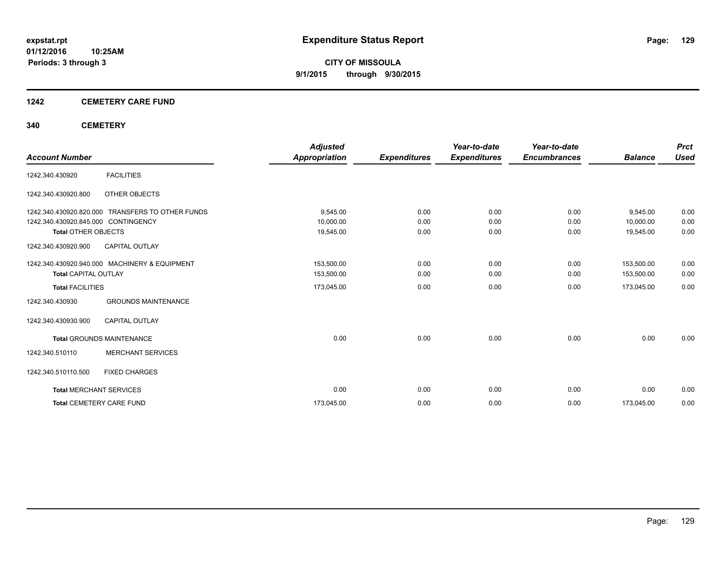### **1242 CEMETERY CARE FUND**

### **340 CEMETERY**

|                                     |                                                  | <b>Adjusted</b>      |                     | Year-to-date        | Year-to-date        |                | <b>Prct</b> |
|-------------------------------------|--------------------------------------------------|----------------------|---------------------|---------------------|---------------------|----------------|-------------|
| <b>Account Number</b>               |                                                  | <b>Appropriation</b> | <b>Expenditures</b> | <b>Expenditures</b> | <b>Encumbrances</b> | <b>Balance</b> | <b>Used</b> |
| 1242.340.430920                     | <b>FACILITIES</b>                                |                      |                     |                     |                     |                |             |
| 1242.340.430920.800                 | OTHER OBJECTS                                    |                      |                     |                     |                     |                |             |
|                                     | 1242.340.430920.820.000 TRANSFERS TO OTHER FUNDS | 9,545.00             | 0.00                | 0.00                | 0.00                | 9,545.00       | 0.00        |
| 1242.340.430920.845.000 CONTINGENCY |                                                  | 10,000.00            | 0.00                | 0.00                | 0.00                | 10,000.00      | 0.00        |
| <b>Total OTHER OBJECTS</b>          |                                                  | 19,545.00            | 0.00                | 0.00                | 0.00                | 19,545.00      | 0.00        |
| 1242.340.430920.900                 | <b>CAPITAL OUTLAY</b>                            |                      |                     |                     |                     |                |             |
|                                     | 1242.340.430920.940.000 MACHINERY & EQUIPMENT    | 153,500.00           | 0.00                | 0.00                | 0.00                | 153,500.00     | 0.00        |
| <b>Total CAPITAL OUTLAY</b>         |                                                  | 153,500.00           | 0.00                | 0.00                | 0.00                | 153,500.00     | 0.00        |
| <b>Total FACILITIES</b>             |                                                  | 173,045.00           | 0.00                | 0.00                | 0.00                | 173,045.00     | 0.00        |
| 1242.340.430930                     | <b>GROUNDS MAINTENANCE</b>                       |                      |                     |                     |                     |                |             |
| 1242.340.430930.900                 | <b>CAPITAL OUTLAY</b>                            |                      |                     |                     |                     |                |             |
|                                     | <b>Total GROUNDS MAINTENANCE</b>                 | 0.00                 | 0.00                | 0.00                | 0.00                | 0.00           | 0.00        |
| 1242.340.510110                     | <b>MERCHANT SERVICES</b>                         |                      |                     |                     |                     |                |             |
| 1242.340.510110.500                 | <b>FIXED CHARGES</b>                             |                      |                     |                     |                     |                |             |
|                                     | <b>Total MERCHANT SERVICES</b>                   | 0.00                 | 0.00                | 0.00                | 0.00                | 0.00           | 0.00        |
|                                     | <b>Total CEMETERY CARE FUND</b>                  | 173,045.00           | 0.00                | 0.00                | 0.00                | 173,045.00     | 0.00        |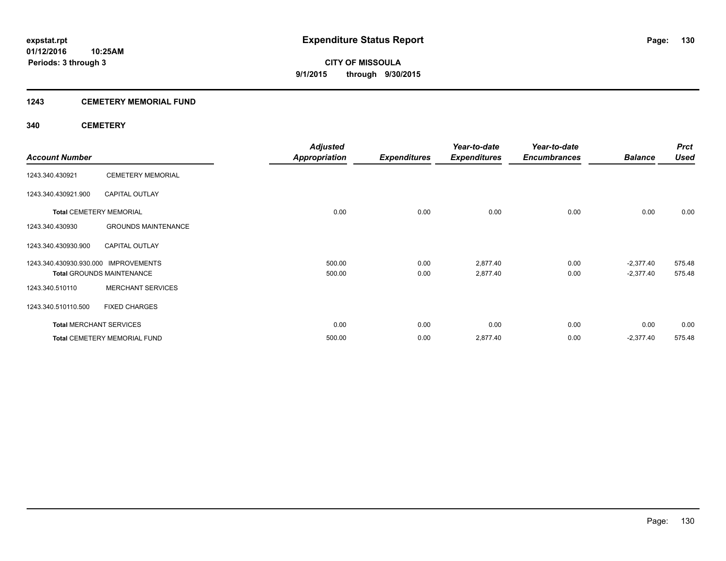### **1243 CEMETERY MEMORIAL FUND**

### **340 CEMETERY**

|                                      |                                     | <b>Adjusted</b>      |                     | Year-to-date        | Year-to-date        |                | <b>Prct</b> |
|--------------------------------------|-------------------------------------|----------------------|---------------------|---------------------|---------------------|----------------|-------------|
| <b>Account Number</b>                |                                     | <b>Appropriation</b> | <b>Expenditures</b> | <b>Expenditures</b> | <b>Encumbrances</b> | <b>Balance</b> | <b>Used</b> |
| 1243.340.430921                      | <b>CEMETERY MEMORIAL</b>            |                      |                     |                     |                     |                |             |
| 1243.340.430921.900                  | <b>CAPITAL OUTLAY</b>               |                      |                     |                     |                     |                |             |
|                                      | <b>Total CEMETERY MEMORIAL</b>      | 0.00                 | 0.00                | 0.00                | 0.00                | 0.00           | 0.00        |
| 1243.340.430930                      | <b>GROUNDS MAINTENANCE</b>          |                      |                     |                     |                     |                |             |
| 1243.340.430930.900                  | <b>CAPITAL OUTLAY</b>               |                      |                     |                     |                     |                |             |
| 1243.340.430930.930.000 IMPROVEMENTS |                                     | 500.00               | 0.00                | 2,877.40            | 0.00                | $-2,377.40$    | 575.48      |
|                                      | <b>Total GROUNDS MAINTENANCE</b>    | 500.00               | 0.00                | 2,877.40            | 0.00                | $-2,377.40$    | 575.48      |
| 1243.340.510110                      | <b>MERCHANT SERVICES</b>            |                      |                     |                     |                     |                |             |
| 1243.340.510110.500                  | <b>FIXED CHARGES</b>                |                      |                     |                     |                     |                |             |
|                                      | <b>Total MERCHANT SERVICES</b>      | 0.00                 | 0.00                | 0.00                | 0.00                | 0.00           | 0.00        |
|                                      | <b>Total CEMETERY MEMORIAL FUND</b> | 500.00               | 0.00                | 2,877.40            | 0.00                | $-2,377.40$    | 575.48      |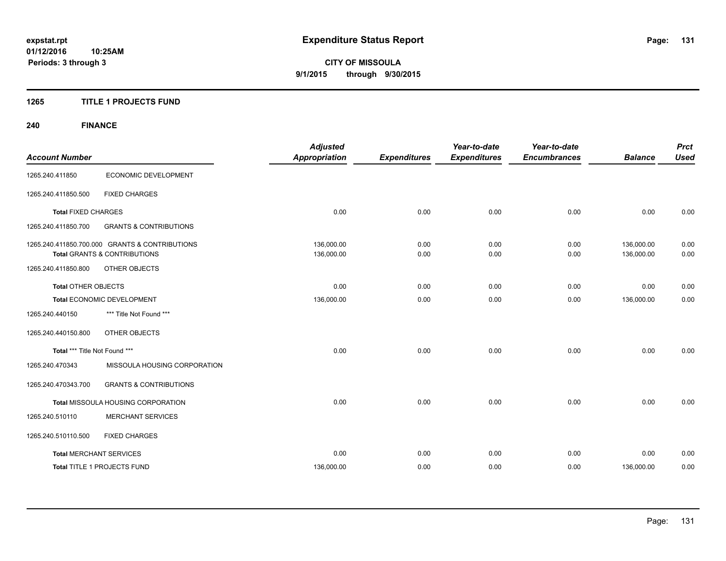### **1265 TITLE 1 PROJECTS FUND**

### **240 FINANCE**

| <b>Account Number</b>          |                                                | <b>Adjusted</b><br><b>Appropriation</b> | <b>Expenditures</b> | Year-to-date<br><b>Expenditures</b> | Year-to-date<br><b>Encumbrances</b> | <b>Balance</b> | <b>Prct</b><br><b>Used</b> |
|--------------------------------|------------------------------------------------|-----------------------------------------|---------------------|-------------------------------------|-------------------------------------|----------------|----------------------------|
|                                |                                                |                                         |                     |                                     |                                     |                |                            |
| 1265.240.411850                | ECONOMIC DEVELOPMENT                           |                                         |                     |                                     |                                     |                |                            |
| 1265.240.411850.500            | <b>FIXED CHARGES</b>                           |                                         |                     |                                     |                                     |                |                            |
| <b>Total FIXED CHARGES</b>     |                                                | 0.00                                    | 0.00                | 0.00                                | 0.00                                | 0.00           | 0.00                       |
| 1265.240.411850.700            | <b>GRANTS &amp; CONTRIBUTIONS</b>              |                                         |                     |                                     |                                     |                |                            |
|                                | 1265.240.411850.700.000 GRANTS & CONTRIBUTIONS | 136,000.00                              | 0.00                | 0.00                                | 0.00                                | 136,000.00     | 0.00                       |
|                                | <b>Total GRANTS &amp; CONTRIBUTIONS</b>        | 136,000.00                              | 0.00                | 0.00                                | 0.00                                | 136,000.00     | 0.00                       |
| 1265.240.411850.800            | <b>OTHER OBJECTS</b>                           |                                         |                     |                                     |                                     |                |                            |
| <b>Total OTHER OBJECTS</b>     |                                                | 0.00                                    | 0.00                | 0.00                                | 0.00                                | 0.00           | 0.00                       |
| Total ECONOMIC DEVELOPMENT     |                                                | 136,000.00                              | 0.00                | 0.00                                | 0.00                                | 136,000.00     | 0.00                       |
| 1265.240.440150                | *** Title Not Found ***                        |                                         |                     |                                     |                                     |                |                            |
| 1265.240.440150.800            | OTHER OBJECTS                                  |                                         |                     |                                     |                                     |                |                            |
| Total *** Title Not Found ***  |                                                | 0.00                                    | 0.00                | 0.00                                | 0.00                                | 0.00           | 0.00                       |
| 1265.240.470343                | MISSOULA HOUSING CORPORATION                   |                                         |                     |                                     |                                     |                |                            |
| 1265.240.470343.700            | <b>GRANTS &amp; CONTRIBUTIONS</b>              |                                         |                     |                                     |                                     |                |                            |
|                                | Total MISSOULA HOUSING CORPORATION             | 0.00                                    | 0.00                | 0.00                                | 0.00                                | 0.00           | 0.00                       |
| 1265.240.510110                | <b>MERCHANT SERVICES</b>                       |                                         |                     |                                     |                                     |                |                            |
| 1265.240.510110.500            | <b>FIXED CHARGES</b>                           |                                         |                     |                                     |                                     |                |                            |
| <b>Total MERCHANT SERVICES</b> |                                                | 0.00                                    | 0.00                | 0.00                                | 0.00                                | 0.00           | 0.00                       |
|                                | Total TITLE 1 PROJECTS FUND                    | 136,000.00                              | 0.00                | 0.00                                | 0.00                                | 136,000.00     | 0.00                       |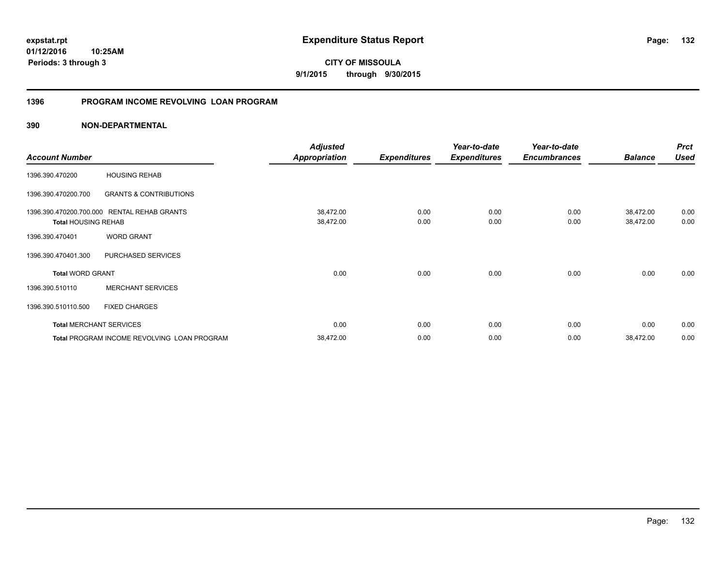### **1396 PROGRAM INCOME REVOLVING LOAN PROGRAM**

|                                |                                             | <b>Adjusted</b>      |                     | Year-to-date        | Year-to-date        |                | <b>Prct</b> |
|--------------------------------|---------------------------------------------|----------------------|---------------------|---------------------|---------------------|----------------|-------------|
| <b>Account Number</b>          |                                             | <b>Appropriation</b> | <b>Expenditures</b> | <b>Expenditures</b> | <b>Encumbrances</b> | <b>Balance</b> | <b>Used</b> |
| 1396.390.470200                | <b>HOUSING REHAB</b>                        |                      |                     |                     |                     |                |             |
| 1396.390.470200.700            | <b>GRANTS &amp; CONTRIBUTIONS</b>           |                      |                     |                     |                     |                |             |
| 1396.390.470200.700.000        | <b>RENTAL REHAB GRANTS</b>                  | 38,472.00            | 0.00                | 0.00                | 0.00                | 38,472.00      | 0.00        |
| <b>Total HOUSING REHAB</b>     |                                             | 38,472.00            | 0.00                | 0.00                | 0.00                | 38,472.00      | 0.00        |
| 1396.390.470401                | <b>WORD GRANT</b>                           |                      |                     |                     |                     |                |             |
| 1396.390.470401.300            | PURCHASED SERVICES                          |                      |                     |                     |                     |                |             |
| <b>Total WORD GRANT</b>        |                                             | 0.00                 | 0.00                | 0.00                | 0.00                | 0.00           | 0.00        |
| 1396.390.510110                | <b>MERCHANT SERVICES</b>                    |                      |                     |                     |                     |                |             |
| 1396.390.510110.500            | <b>FIXED CHARGES</b>                        |                      |                     |                     |                     |                |             |
| <b>Total MERCHANT SERVICES</b> |                                             | 0.00                 | 0.00                | 0.00                | 0.00                | 0.00           | 0.00        |
|                                | Total PROGRAM INCOME REVOLVING LOAN PROGRAM | 38,472.00            | 0.00                | 0.00                | 0.00                | 38,472.00      | 0.00        |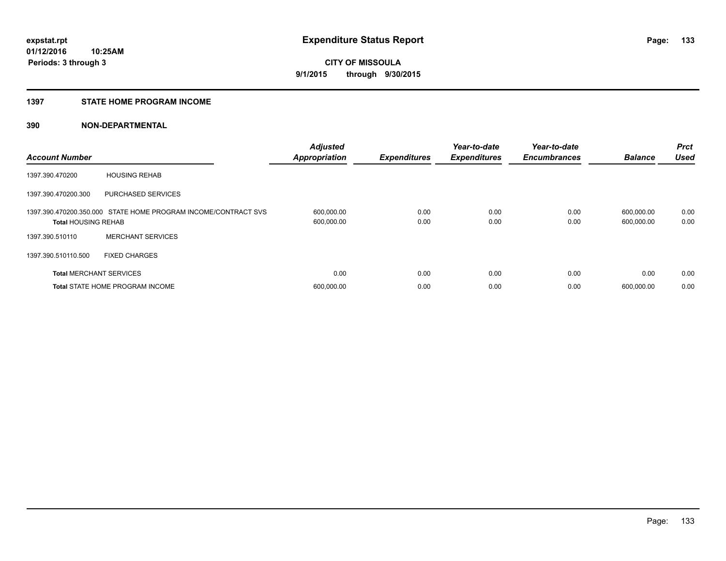### **1397 STATE HOME PROGRAM INCOME**

| <b>Account Number</b>          |                                                                | <b>Adjusted</b><br><b>Appropriation</b> | <b>Expenditures</b> | Year-to-date<br><b>Expenditures</b> | Year-to-date<br><b>Encumbrances</b> | <b>Balance</b>           | <b>Prct</b><br><b>Used</b> |
|--------------------------------|----------------------------------------------------------------|-----------------------------------------|---------------------|-------------------------------------|-------------------------------------|--------------------------|----------------------------|
| 1397.390.470200                | <b>HOUSING REHAB</b>                                           |                                         |                     |                                     |                                     |                          |                            |
| 1397.390.470200.300            | <b>PURCHASED SERVICES</b>                                      |                                         |                     |                                     |                                     |                          |                            |
| <b>Total HOUSING REHAB</b>     | 1397.390.470200.350.000 STATE HOME PROGRAM INCOME/CONTRACT SVS | 600,000.00<br>600,000.00                | 0.00<br>0.00        | 0.00<br>0.00                        | 0.00<br>0.00                        | 600,000.00<br>600,000.00 | 0.00<br>0.00               |
| 1397.390.510110                | <b>MERCHANT SERVICES</b>                                       |                                         |                     |                                     |                                     |                          |                            |
| 1397.390.510110.500            | <b>FIXED CHARGES</b>                                           |                                         |                     |                                     |                                     |                          |                            |
| <b>Total MERCHANT SERVICES</b> |                                                                | 0.00                                    | 0.00                | 0.00                                | 0.00                                | 0.00                     | 0.00                       |
|                                | <b>Total STATE HOME PROGRAM INCOME</b>                         | 600,000.00                              | 0.00                | 0.00                                | 0.00                                | 600.000.00               | 0.00                       |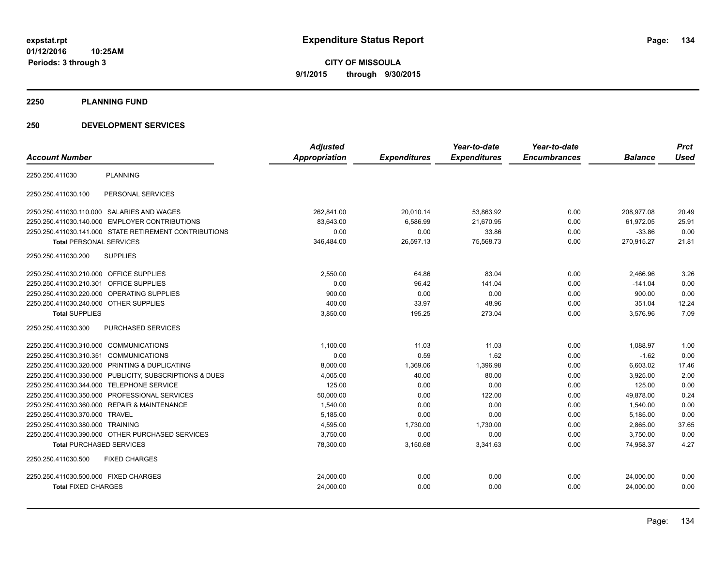**01/12/2016 10:25AM Periods: 3 through 3**

**CITY OF MISSOULA 9/1/2015 through 9/30/2015**

**2250 PLANNING FUND**

### **250 DEVELOPMENT SERVICES**

|                                            |                                                         | <b>Adjusted</b> |                     | Year-to-date        | Year-to-date        |                | <b>Prct</b> |
|--------------------------------------------|---------------------------------------------------------|-----------------|---------------------|---------------------|---------------------|----------------|-------------|
| <b>Account Number</b>                      |                                                         | Appropriation   | <b>Expenditures</b> | <b>Expenditures</b> | <b>Encumbrances</b> | <b>Balance</b> | <b>Used</b> |
| 2250.250.411030                            | <b>PLANNING</b>                                         |                 |                     |                     |                     |                |             |
| 2250.250.411030.100                        | PERSONAL SERVICES                                       |                 |                     |                     |                     |                |             |
| 2250.250.411030.110.000 SALARIES AND WAGES |                                                         | 262.841.00      | 20,010.14           | 53,863.92           | 0.00                | 208.977.08     | 20.49       |
|                                            | 2250.250.411030.140.000 EMPLOYER CONTRIBUTIONS          | 83,643.00       | 6,586.99            | 21,670.95           | 0.00                | 61,972.05      | 25.91       |
|                                            | 2250.250.411030.141.000 STATE RETIREMENT CONTRIBUTIONS  | 0.00            | 0.00                | 33.86               | 0.00                | $-33.86$       | 0.00        |
| <b>Total PERSONAL SERVICES</b>             |                                                         | 346,484.00      | 26,597.13           | 75,568.73           | 0.00                | 270,915.27     | 21.81       |
| 2250.250.411030.200                        | <b>SUPPLIES</b>                                         |                 |                     |                     |                     |                |             |
| 2250.250.411030.210.000 OFFICE SUPPLIES    |                                                         | 2,550.00        | 64.86               | 83.04               | 0.00                | 2,466.96       | 3.26        |
| 2250.250.411030.210.301                    | <b>OFFICE SUPPLIES</b>                                  | 0.00            | 96.42               | 141.04              | 0.00                | $-141.04$      | 0.00        |
| 2250.250.411030.220.000                    | OPERATING SUPPLIES                                      | 900.00          | 0.00                | 0.00                | 0.00                | 900.00         | 0.00        |
| 2250.250.411030.240.000 OTHER SUPPLIES     |                                                         | 400.00          | 33.97               | 48.96               | 0.00                | 351.04         | 12.24       |
| <b>Total SUPPLIES</b>                      |                                                         | 3,850.00        | 195.25              | 273.04              | 0.00                | 3,576.96       | 7.09        |
| 2250.250.411030.300                        | PURCHASED SERVICES                                      |                 |                     |                     |                     |                |             |
| 2250.250.411030.310.000 COMMUNICATIONS     |                                                         | 1,100.00        | 11.03               | 11.03               | 0.00                | 1,088.97       | 1.00        |
| 2250.250.411030.310.351                    | <b>COMMUNICATIONS</b>                                   | 0.00            | 0.59                | 1.62                | 0.00                | $-1.62$        | 0.00        |
|                                            | 2250.250.411030.320.000 PRINTING & DUPLICATING          | 8,000.00        | 1,369.06            | 1,396.98            | 0.00                | 6,603.02       | 17.46       |
|                                            | 2250.250.411030.330.000 PUBLICITY, SUBSCRIPTIONS & DUES | 4,005.00        | 40.00               | 80.00               | 0.00                | 3,925.00       | 2.00        |
| 2250.250.411030.344.000 TELEPHONE SERVICE  |                                                         | 125.00          | 0.00                | 0.00                | 0.00                | 125.00         | 0.00        |
|                                            | 2250.250.411030.350.000 PROFESSIONAL SERVICES           | 50,000.00       | 0.00                | 122.00              | 0.00                | 49,878.00      | 0.24        |
|                                            | 2250.250.411030.360.000 REPAIR & MAINTENANCE            | 1,540.00        | 0.00                | 0.00                | 0.00                | 1,540.00       | 0.00        |
| 2250.250.411030.370.000                    | <b>TRAVEL</b>                                           | 5,185.00        | 0.00                | 0.00                | 0.00                | 5,185.00       | 0.00        |
| 2250.250.411030.380.000 TRAINING           |                                                         | 4,595.00        | 1,730.00            | 1,730.00            | 0.00                | 2,865.00       | 37.65       |
|                                            | 2250.250.411030.390.000 OTHER PURCHASED SERVICES        | 3,750.00        | 0.00                | 0.00                | 0.00                | 3,750.00       | 0.00        |
| <b>Total PURCHASED SERVICES</b>            |                                                         | 78,300.00       | 3,150.68            | 3,341.63            | 0.00                | 74,958.37      | 4.27        |
| 2250.250.411030.500                        | <b>FIXED CHARGES</b>                                    |                 |                     |                     |                     |                |             |
| 2250.250.411030.500.000 FIXED CHARGES      |                                                         | 24,000.00       | 0.00                | 0.00                | 0.00                | 24,000.00      | 0.00        |
| <b>Total FIXED CHARGES</b>                 |                                                         | 24,000.00       | 0.00                | 0.00                | 0.00                | 24,000.00      | 0.00        |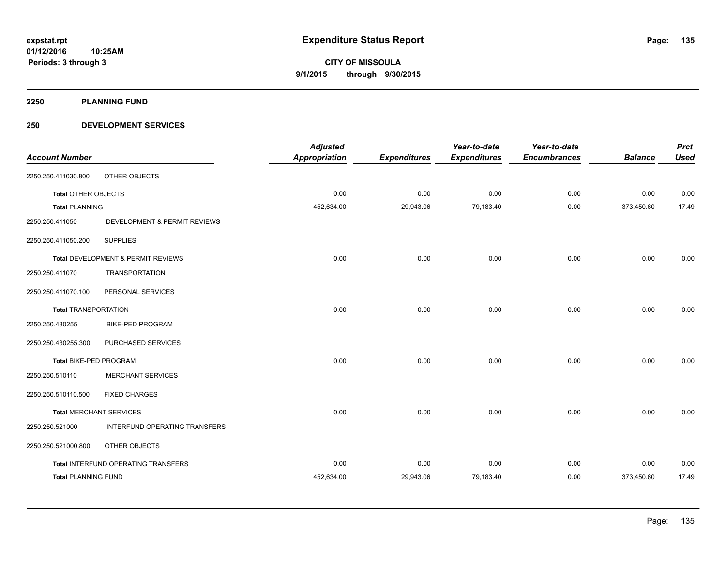**2250 PLANNING FUND**

### **250 DEVELOPMENT SERVICES**

| <b>Account Number</b>         |                                     | <b>Adjusted</b><br><b>Appropriation</b> | <b>Expenditures</b> | Year-to-date<br><b>Expenditures</b> | Year-to-date<br><b>Encumbrances</b> | <b>Balance</b> | <b>Prct</b><br><b>Used</b> |
|-------------------------------|-------------------------------------|-----------------------------------------|---------------------|-------------------------------------|-------------------------------------|----------------|----------------------------|
| 2250.250.411030.800           | OTHER OBJECTS                       |                                         |                     |                                     |                                     |                |                            |
| <b>Total OTHER OBJECTS</b>    |                                     | 0.00                                    | 0.00                | 0.00                                | 0.00                                | 0.00           | 0.00                       |
| <b>Total PLANNING</b>         |                                     | 452,634.00                              | 29,943.06           | 79,183.40                           | 0.00                                | 373,450.60     | 17.49                      |
| 2250.250.411050               | DEVELOPMENT & PERMIT REVIEWS        |                                         |                     |                                     |                                     |                |                            |
| 2250.250.411050.200           | <b>SUPPLIES</b>                     |                                         |                     |                                     |                                     |                |                            |
|                               | Total DEVELOPMENT & PERMIT REVIEWS  | 0.00                                    | 0.00                | 0.00                                | 0.00                                | 0.00           | 0.00                       |
| 2250.250.411070               | <b>TRANSPORTATION</b>               |                                         |                     |                                     |                                     |                |                            |
| 2250.250.411070.100           | PERSONAL SERVICES                   |                                         |                     |                                     |                                     |                |                            |
| <b>Total TRANSPORTATION</b>   |                                     | 0.00                                    | 0.00                | 0.00                                | 0.00                                | 0.00           | 0.00                       |
| 2250.250.430255               | <b>BIKE-PED PROGRAM</b>             |                                         |                     |                                     |                                     |                |                            |
| 2250.250.430255.300           | PURCHASED SERVICES                  |                                         |                     |                                     |                                     |                |                            |
| <b>Total BIKE-PED PROGRAM</b> |                                     | 0.00                                    | 0.00                | 0.00                                | 0.00                                | 0.00           | 0.00                       |
| 2250.250.510110               | <b>MERCHANT SERVICES</b>            |                                         |                     |                                     |                                     |                |                            |
| 2250.250.510110.500           | <b>FIXED CHARGES</b>                |                                         |                     |                                     |                                     |                |                            |
|                               | <b>Total MERCHANT SERVICES</b>      | 0.00                                    | 0.00                | 0.00                                | 0.00                                | 0.00           | 0.00                       |
| 2250.250.521000               | INTERFUND OPERATING TRANSFERS       |                                         |                     |                                     |                                     |                |                            |
| 2250.250.521000.800           | OTHER OBJECTS                       |                                         |                     |                                     |                                     |                |                            |
|                               | Total INTERFUND OPERATING TRANSFERS | 0.00                                    | 0.00                | 0.00                                | 0.00                                | 0.00           | 0.00                       |
| <b>Total PLANNING FUND</b>    |                                     | 452,634.00                              | 29,943.06           | 79,183.40                           | 0.00                                | 373,450.60     | 17.49                      |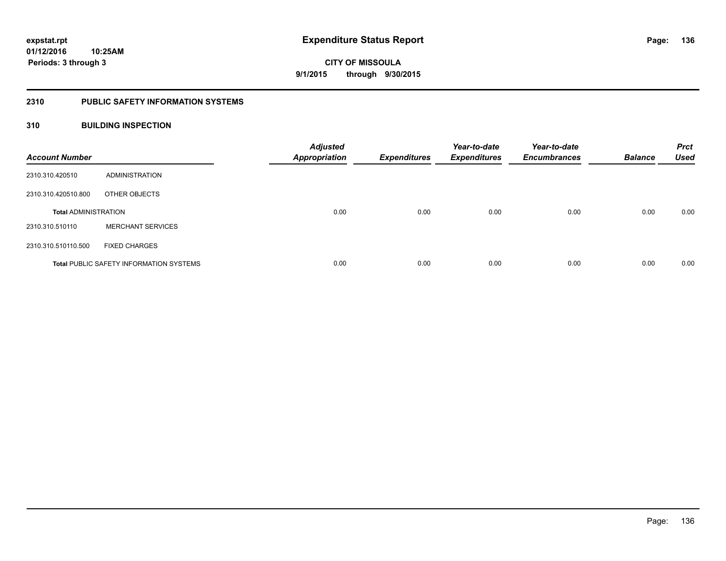### **2310 PUBLIC SAFETY INFORMATION SYSTEMS**

### **310 BUILDING INSPECTION**

| <b>Account Number</b>       |                                                | <b>Adjusted</b><br><b>Appropriation</b> | <b>Expenditures</b> | Year-to-date<br><b>Expenditures</b> | Year-to-date<br><b>Encumbrances</b> | <b>Balance</b> | <b>Prct</b><br><b>Used</b> |
|-----------------------------|------------------------------------------------|-----------------------------------------|---------------------|-------------------------------------|-------------------------------------|----------------|----------------------------|
| 2310.310.420510             | ADMINISTRATION                                 |                                         |                     |                                     |                                     |                |                            |
| 2310.310.420510.800         | OTHER OBJECTS                                  |                                         |                     |                                     |                                     |                |                            |
| <b>Total ADMINISTRATION</b> |                                                | 0.00                                    | 0.00                | 0.00                                | 0.00                                | 0.00           | 0.00                       |
| 2310.310.510110             | <b>MERCHANT SERVICES</b>                       |                                         |                     |                                     |                                     |                |                            |
| 2310.310.510110.500         | <b>FIXED CHARGES</b>                           |                                         |                     |                                     |                                     |                |                            |
|                             | <b>Total PUBLIC SAFETY INFORMATION SYSTEMS</b> | 0.00                                    | 0.00                | 0.00                                | 0.00                                | 0.00           | 0.00                       |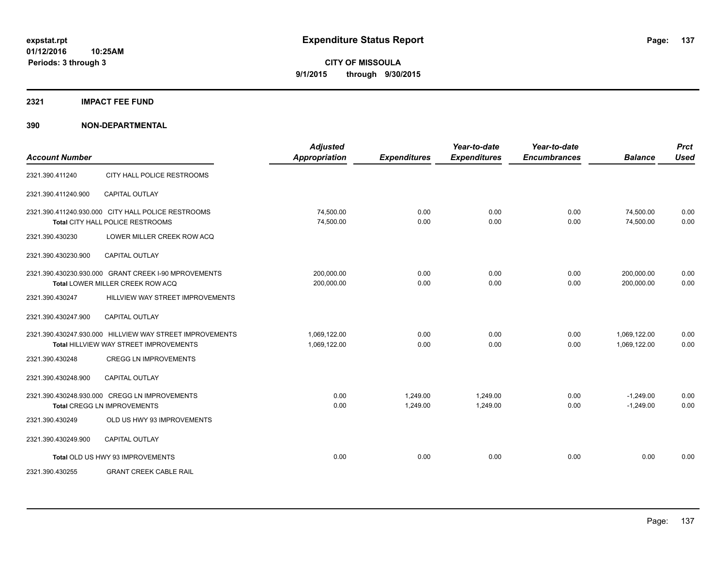### **2321 IMPACT FEE FUND**

| <b>Account Number</b> |                                                                                                           | <b>Adjusted</b><br><b>Appropriation</b> | <b>Expenditures</b>  | Year-to-date<br><b>Expenditures</b> | Year-to-date<br><b>Encumbrances</b> | <b>Balance</b>               | <b>Prct</b><br><b>Used</b> |
|-----------------------|-----------------------------------------------------------------------------------------------------------|-----------------------------------------|----------------------|-------------------------------------|-------------------------------------|------------------------------|----------------------------|
| 2321.390.411240       | CITY HALL POLICE RESTROOMS                                                                                |                                         |                      |                                     |                                     |                              |                            |
| 2321.390.411240.900   | <b>CAPITAL OUTLAY</b>                                                                                     |                                         |                      |                                     |                                     |                              |                            |
|                       | 2321.390.411240.930.000 CITY HALL POLICE RESTROOMS<br>Total CITY HALL POLICE RESTROOMS                    | 74,500.00<br>74,500.00                  | 0.00<br>0.00         | 0.00<br>0.00                        | 0.00<br>0.00                        | 74,500.00<br>74,500.00       | 0.00<br>0.00               |
| 2321.390.430230       | LOWER MILLER CREEK ROW ACQ                                                                                |                                         |                      |                                     |                                     |                              |                            |
| 2321.390.430230.900   | <b>CAPITAL OUTLAY</b>                                                                                     |                                         |                      |                                     |                                     |                              |                            |
|                       | 2321.390.430230.930.000 GRANT CREEK I-90 MPROVEMENTS<br>Total LOWER MILLER CREEK ROW ACQ                  | 200,000.00<br>200,000.00                | 0.00<br>0.00         | 0.00<br>0.00                        | 0.00<br>0.00                        | 200,000.00<br>200,000.00     | 0.00<br>0.00               |
| 2321.390.430247       | HILLVIEW WAY STREET IMPROVEMENTS                                                                          |                                         |                      |                                     |                                     |                              |                            |
| 2321.390.430247.900   | <b>CAPITAL OUTLAY</b>                                                                                     |                                         |                      |                                     |                                     |                              |                            |
|                       | 2321.390.430247.930.000 HILLVIEW WAY STREET IMPROVEMENTS<br><b>Total HILLVIEW WAY STREET IMPROVEMENTS</b> | 1,069,122.00<br>1,069,122.00            | 0.00<br>0.00         | 0.00<br>0.00                        | 0.00<br>0.00                        | 1,069,122.00<br>1,069,122.00 | 0.00<br>0.00               |
| 2321.390.430248       | <b>CREGG LN IMPROVEMENTS</b>                                                                              |                                         |                      |                                     |                                     |                              |                            |
| 2321.390.430248.900   | <b>CAPITAL OUTLAY</b>                                                                                     |                                         |                      |                                     |                                     |                              |                            |
|                       | 2321.390.430248.930.000 CREGG LN IMPROVEMENTS<br><b>Total CREGG LN IMPROVEMENTS</b>                       | 0.00<br>0.00                            | 1.249.00<br>1,249.00 | 1.249.00<br>1,249.00                | 0.00<br>0.00                        | $-1.249.00$<br>$-1,249.00$   | 0.00<br>0.00               |
| 2321.390.430249       | OLD US HWY 93 IMPROVEMENTS                                                                                |                                         |                      |                                     |                                     |                              |                            |
| 2321.390.430249.900   | <b>CAPITAL OUTLAY</b>                                                                                     |                                         |                      |                                     |                                     |                              |                            |
|                       | Total OLD US HWY 93 IMPROVEMENTS                                                                          | 0.00                                    | 0.00                 | 0.00                                | 0.00                                | 0.00                         | 0.00                       |
| 2321.390.430255       | <b>GRANT CREEK CABLE RAIL</b>                                                                             |                                         |                      |                                     |                                     |                              |                            |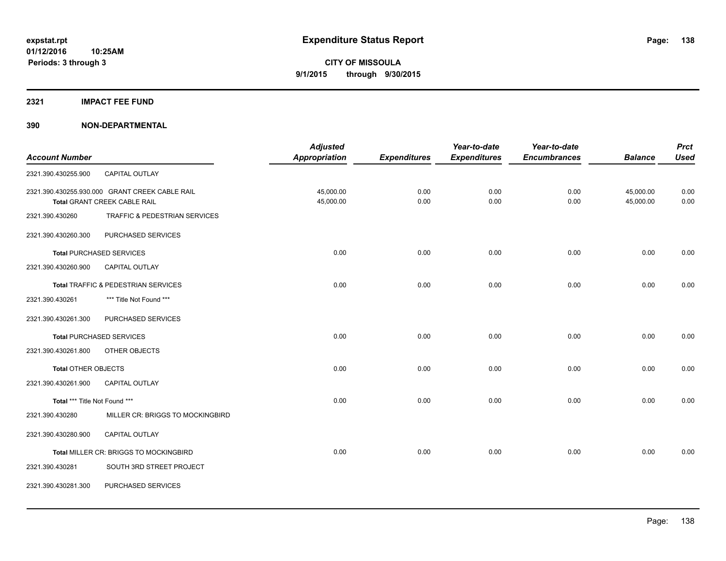### **2321 IMPACT FEE FUND**

|                               |                                                | <b>Adjusted</b>      |                     | Year-to-date        | Year-to-date        |                | <b>Prct</b> |
|-------------------------------|------------------------------------------------|----------------------|---------------------|---------------------|---------------------|----------------|-------------|
| <b>Account Number</b>         |                                                | <b>Appropriation</b> | <b>Expenditures</b> | <b>Expenditures</b> | <b>Encumbrances</b> | <b>Balance</b> | <b>Used</b> |
| 2321.390.430255.900           | CAPITAL OUTLAY                                 |                      |                     |                     |                     |                |             |
|                               | 2321.390.430255.930.000 GRANT CREEK CABLE RAIL | 45,000.00            | 0.00                | 0.00                | 0.00                | 45,000.00      | 0.00        |
|                               | Total GRANT CREEK CABLE RAIL                   | 45,000.00            | 0.00                | 0.00                | 0.00                | 45,000.00      | 0.00        |
| 2321.390.430260               | TRAFFIC & PEDESTRIAN SERVICES                  |                      |                     |                     |                     |                |             |
| 2321.390.430260.300           | PURCHASED SERVICES                             |                      |                     |                     |                     |                |             |
|                               | <b>Total PURCHASED SERVICES</b>                | 0.00                 | 0.00                | 0.00                | 0.00                | 0.00           | 0.00        |
| 2321.390.430260.900           | <b>CAPITAL OUTLAY</b>                          |                      |                     |                     |                     |                |             |
|                               | Total TRAFFIC & PEDESTRIAN SERVICES            | 0.00                 | 0.00                | 0.00                | 0.00                | 0.00           | 0.00        |
| 2321.390.430261               | *** Title Not Found ***                        |                      |                     |                     |                     |                |             |
| 2321.390.430261.300           | PURCHASED SERVICES                             |                      |                     |                     |                     |                |             |
|                               | <b>Total PURCHASED SERVICES</b>                | 0.00                 | 0.00                | 0.00                | 0.00                | 0.00           | 0.00        |
| 2321.390.430261.800           | OTHER OBJECTS                                  |                      |                     |                     |                     |                |             |
| <b>Total OTHER OBJECTS</b>    |                                                | 0.00                 | 0.00                | 0.00                | 0.00                | 0.00           | 0.00        |
| 2321.390.430261.900           | <b>CAPITAL OUTLAY</b>                          |                      |                     |                     |                     |                |             |
| Total *** Title Not Found *** |                                                | 0.00                 | 0.00                | 0.00                | 0.00                | 0.00           | 0.00        |
| 2321.390.430280               | MILLER CR: BRIGGS TO MOCKINGBIRD               |                      |                     |                     |                     |                |             |
| 2321.390.430280.900           | <b>CAPITAL OUTLAY</b>                          |                      |                     |                     |                     |                |             |
|                               | Total MILLER CR: BRIGGS TO MOCKINGBIRD         | 0.00                 | 0.00                | 0.00                | 0.00                | 0.00           | 0.00        |
| 2321.390.430281               | SOUTH 3RD STREET PROJECT                       |                      |                     |                     |                     |                |             |
| 2321.390.430281.300           | PURCHASED SERVICES                             |                      |                     |                     |                     |                |             |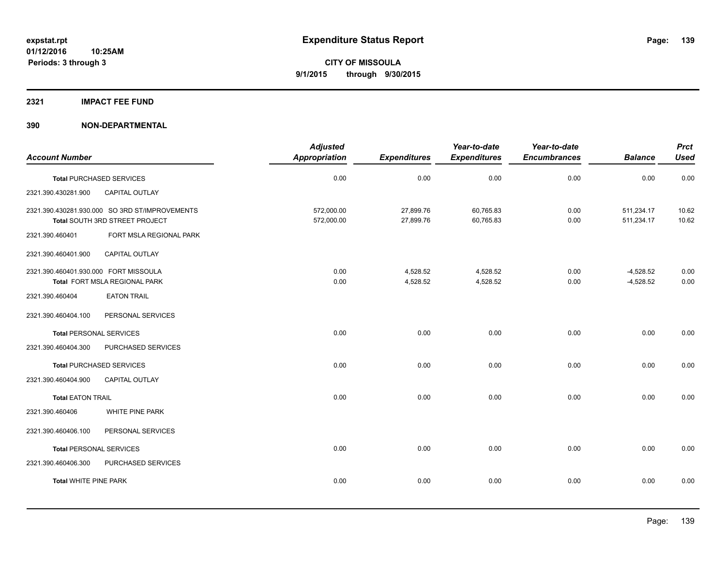### **2321 IMPACT FEE FUND**

|                                       |                                                                                  | <b>Adjusted</b>          |                        | Year-to-date           | Year-to-date        |                            | <b>Prct</b>    |
|---------------------------------------|----------------------------------------------------------------------------------|--------------------------|------------------------|------------------------|---------------------|----------------------------|----------------|
| <b>Account Number</b>                 |                                                                                  | Appropriation            | <b>Expenditures</b>    | <b>Expenditures</b>    | <b>Encumbrances</b> | <b>Balance</b>             | <b>Used</b>    |
|                                       | <b>Total PURCHASED SERVICES</b>                                                  | 0.00                     | 0.00                   | 0.00                   | 0.00                | 0.00                       | 0.00           |
| 2321.390.430281.900                   | CAPITAL OUTLAY                                                                   |                          |                        |                        |                     |                            |                |
|                                       | 2321.390.430281.930.000 SO 3RD ST/IMPROVEMENTS<br>Total SOUTH 3RD STREET PROJECT | 572,000.00<br>572,000.00 | 27,899.76<br>27,899.76 | 60,765.83<br>60,765.83 | 0.00<br>0.00        | 511,234.17<br>511,234.17   | 10.62<br>10.62 |
| 2321.390.460401                       | FORT MSLA REGIONAL PARK                                                          |                          |                        |                        |                     |                            |                |
| 2321.390.460401.900                   | CAPITAL OUTLAY                                                                   |                          |                        |                        |                     |                            |                |
| 2321.390.460401.930.000 FORT MISSOULA | Total FORT MSLA REGIONAL PARK                                                    | 0.00<br>0.00             | 4,528.52<br>4,528.52   | 4,528.52<br>4,528.52   | 0.00<br>0.00        | $-4,528.52$<br>$-4,528.52$ | 0.00<br>0.00   |
| 2321.390.460404                       | <b>EATON TRAIL</b>                                                               |                          |                        |                        |                     |                            |                |
| 2321.390.460404.100                   | PERSONAL SERVICES                                                                |                          |                        |                        |                     |                            |                |
| <b>Total PERSONAL SERVICES</b>        |                                                                                  | 0.00                     | 0.00                   | 0.00                   | 0.00                | 0.00                       | 0.00           |
| 2321.390.460404.300                   | PURCHASED SERVICES                                                               |                          |                        |                        |                     |                            |                |
|                                       | <b>Total PURCHASED SERVICES</b>                                                  | 0.00                     | 0.00                   | 0.00                   | 0.00                | 0.00                       | 0.00           |
| 2321.390.460404.900                   | <b>CAPITAL OUTLAY</b>                                                            |                          |                        |                        |                     |                            |                |
| <b>Total EATON TRAIL</b>              |                                                                                  | 0.00                     | 0.00                   | 0.00                   | 0.00                | 0.00                       | 0.00           |
| 2321.390.460406                       | WHITE PINE PARK                                                                  |                          |                        |                        |                     |                            |                |
| 2321.390.460406.100                   | PERSONAL SERVICES                                                                |                          |                        |                        |                     |                            |                |
| <b>Total PERSONAL SERVICES</b>        |                                                                                  | 0.00                     | 0.00                   | 0.00                   | 0.00                | 0.00                       | 0.00           |
| 2321.390.460406.300                   | PURCHASED SERVICES                                                               |                          |                        |                        |                     |                            |                |
| <b>Total WHITE PINE PARK</b>          |                                                                                  | 0.00                     | 0.00                   | 0.00                   | 0.00                | 0.00                       | 0.00           |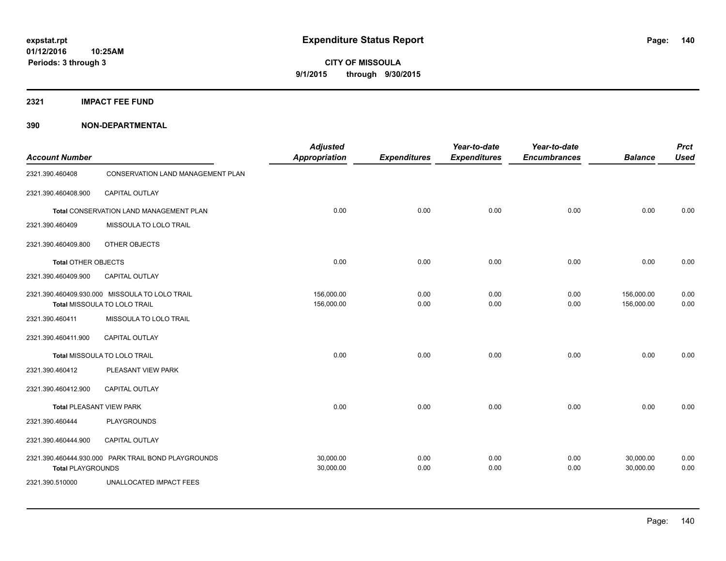**2321 IMPACT FEE FUND**

| <b>Account Number</b>                                                          |                                                     | <b>Adjusted</b><br><b>Appropriation</b> | <b>Expenditures</b> | Year-to-date<br><b>Expenditures</b> | Year-to-date<br><b>Encumbrances</b> | <b>Balance</b>           | <b>Prct</b><br><b>Used</b> |
|--------------------------------------------------------------------------------|-----------------------------------------------------|-----------------------------------------|---------------------|-------------------------------------|-------------------------------------|--------------------------|----------------------------|
| 2321.390.460408                                                                | CONSERVATION LAND MANAGEMENT PLAN                   |                                         |                     |                                     |                                     |                          |                            |
| 2321.390.460408.900                                                            | CAPITAL OUTLAY                                      |                                         |                     |                                     |                                     |                          |                            |
|                                                                                | Total CONSERVATION LAND MANAGEMENT PLAN             | 0.00                                    | 0.00                | 0.00                                | 0.00                                | 0.00                     | 0.00                       |
| 2321.390.460409                                                                | MISSOULA TO LOLO TRAIL                              |                                         |                     |                                     |                                     |                          |                            |
| 2321.390.460409.800                                                            | OTHER OBJECTS                                       |                                         |                     |                                     |                                     |                          |                            |
| <b>Total OTHER OBJECTS</b>                                                     |                                                     | 0.00                                    | 0.00                | 0.00                                | 0.00                                | 0.00                     | 0.00                       |
| 2321.390.460409.900                                                            | <b>CAPITAL OUTLAY</b>                               |                                         |                     |                                     |                                     |                          |                            |
| 2321.390.460409.930.000 MISSOULA TO LOLO TRAIL<br>Total MISSOULA TO LOLO TRAIL |                                                     | 156,000.00<br>156,000.00                | 0.00<br>0.00        | 0.00<br>0.00                        | 0.00<br>0.00                        | 156,000.00<br>156,000.00 | 0.00<br>0.00               |
| 2321.390.460411                                                                | MISSOULA TO LOLO TRAIL                              |                                         |                     |                                     |                                     |                          |                            |
| 2321.390.460411.900                                                            | <b>CAPITAL OUTLAY</b>                               |                                         |                     |                                     |                                     |                          |                            |
|                                                                                | Total MISSOULA TO LOLO TRAIL                        | 0.00                                    | 0.00                | 0.00                                | 0.00                                | 0.00                     | 0.00                       |
| 2321.390.460412                                                                | PLEASANT VIEW PARK                                  |                                         |                     |                                     |                                     |                          |                            |
| 2321.390.460412.900                                                            | <b>CAPITAL OUTLAY</b>                               |                                         |                     |                                     |                                     |                          |                            |
| Total PLEASANT VIEW PARK                                                       |                                                     | 0.00                                    | 0.00                | 0.00                                | 0.00                                | 0.00                     | 0.00                       |
| 2321.390.460444                                                                | <b>PLAYGROUNDS</b>                                  |                                         |                     |                                     |                                     |                          |                            |
| 2321.390.460444.900                                                            | CAPITAL OUTLAY                                      |                                         |                     |                                     |                                     |                          |                            |
| <b>Total PLAYGROUNDS</b>                                                       | 2321.390.460444.930.000 PARK TRAIL BOND PLAYGROUNDS | 30.000.00<br>30,000.00                  | 0.00<br>0.00        | 0.00<br>0.00                        | 0.00<br>0.00                        | 30,000.00<br>30,000.00   | 0.00<br>0.00               |
| 2321.390.510000                                                                | <b>UNALLOCATED IMPACT FEES</b>                      |                                         |                     |                                     |                                     |                          |                            |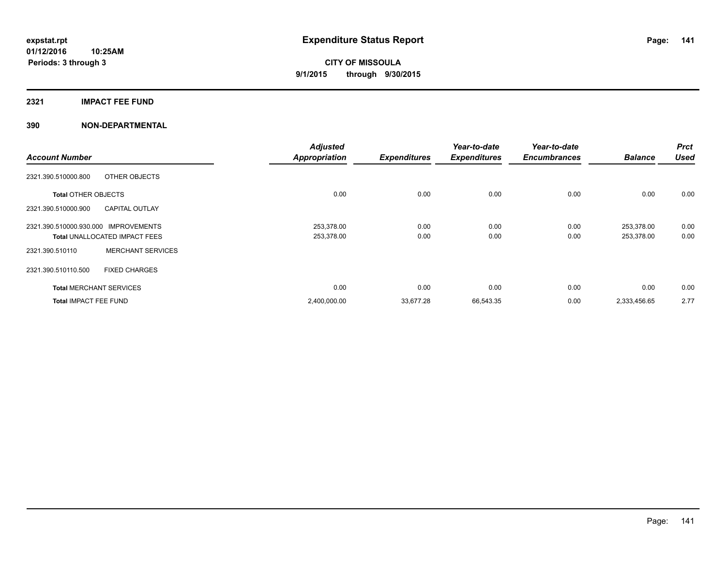### **2321 IMPACT FEE FUND**

|                                      |                                      | <b>Adjusted</b>      |                     | Year-to-date        | Year-to-date        |                | <b>Prct</b> |
|--------------------------------------|--------------------------------------|----------------------|---------------------|---------------------|---------------------|----------------|-------------|
| <b>Account Number</b>                |                                      | <b>Appropriation</b> | <b>Expenditures</b> | <b>Expenditures</b> | <b>Encumbrances</b> | <b>Balance</b> | <b>Used</b> |
| 2321.390.510000.800                  | OTHER OBJECTS                        |                      |                     |                     |                     |                |             |
| <b>Total OTHER OBJECTS</b>           |                                      | 0.00                 | 0.00                | 0.00                | 0.00                | 0.00           | 0.00        |
| 2321.390.510000.900                  | <b>CAPITAL OUTLAY</b>                |                      |                     |                     |                     |                |             |
| 2321.390.510000.930.000 IMPROVEMENTS |                                      | 253,378.00           | 0.00                | 0.00                | 0.00                | 253,378.00     | 0.00        |
|                                      | <b>Total UNALLOCATED IMPACT FEES</b> | 253,378.00           | 0.00                | 0.00                | 0.00                | 253,378.00     | 0.00        |
| 2321.390.510110                      | <b>MERCHANT SERVICES</b>             |                      |                     |                     |                     |                |             |
| 2321.390.510110.500                  | <b>FIXED CHARGES</b>                 |                      |                     |                     |                     |                |             |
| <b>Total MERCHANT SERVICES</b>       |                                      | 0.00                 | 0.00                | 0.00                | 0.00                | 0.00           | 0.00        |
| <b>Total IMPACT FEE FUND</b>         |                                      | 2,400,000.00         | 33,677.28           | 66,543.35           | 0.00                | 2,333,456.65   | 2.77        |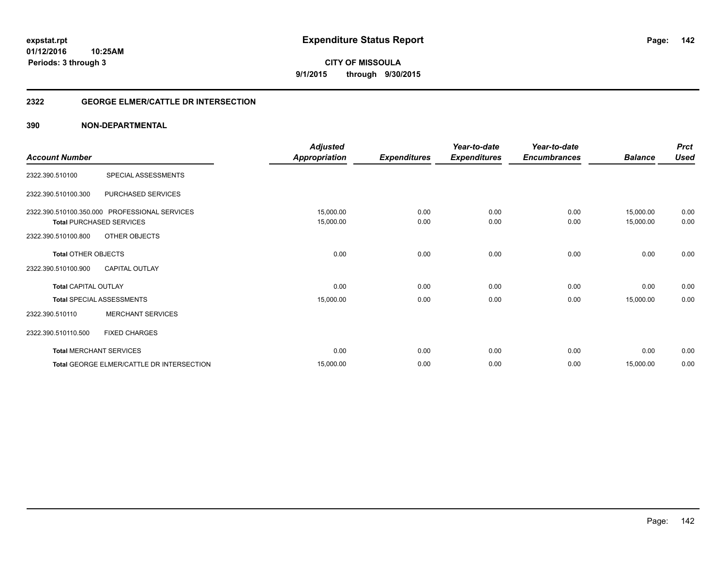**Periods: 3 through 3**

**CITY OF MISSOULA 9/1/2015 through 9/30/2015**

### **2322 GEORGE ELMER/CATTLE DR INTERSECTION**

### **390 NON-DEPARTMENTAL**

**10:25AM**

| <b>Account Number</b>                             |                                                                                                   | <b>Adjusted</b><br><b>Appropriation</b> | <b>Expenditures</b> | Year-to-date<br><b>Expenditures</b> | Year-to-date<br><b>Encumbrances</b> | <b>Balance</b>         | <b>Prct</b><br><b>Used</b> |
|---------------------------------------------------|---------------------------------------------------------------------------------------------------|-----------------------------------------|---------------------|-------------------------------------|-------------------------------------|------------------------|----------------------------|
| 2322.390.510100                                   | SPECIAL ASSESSMENTS                                                                               |                                         |                     |                                     |                                     |                        |                            |
| 2322.390.510100.300                               | PURCHASED SERVICES                                                                                |                                         |                     |                                     |                                     |                        |                            |
| 2322.390.510100.800                               | 2322.390.510100.350.000 PROFESSIONAL SERVICES<br><b>Total PURCHASED SERVICES</b><br>OTHER OBJECTS | 15,000.00<br>15,000.00                  | 0.00<br>0.00        | 0.00<br>0.00                        | 0.00<br>0.00                        | 15,000.00<br>15,000.00 | 0.00<br>0.00               |
| <b>Total OTHER OBJECTS</b><br>2322.390.510100.900 | <b>CAPITAL OUTLAY</b>                                                                             | 0.00                                    | 0.00                | 0.00                                | 0.00                                | 0.00                   | 0.00                       |
| <b>Total CAPITAL OUTLAY</b>                       |                                                                                                   | 0.00                                    | 0.00                | 0.00                                | 0.00                                | 0.00                   | 0.00                       |
| 2322.390.510110                                   | <b>Total SPECIAL ASSESSMENTS</b><br><b>MERCHANT SERVICES</b>                                      | 15,000.00                               | 0.00                | 0.00                                | 0.00                                | 15,000.00              | 0.00                       |
| 2322.390.510110.500                               | <b>FIXED CHARGES</b>                                                                              |                                         |                     |                                     |                                     |                        |                            |
|                                                   | <b>Total MERCHANT SERVICES</b>                                                                    | 0.00                                    | 0.00                | 0.00                                | 0.00                                | 0.00                   | 0.00                       |
|                                                   | Total GEORGE ELMER/CATTLE DR INTERSECTION                                                         | 15,000.00                               | 0.00                | 0.00                                | 0.00                                | 15,000.00              | 0.00                       |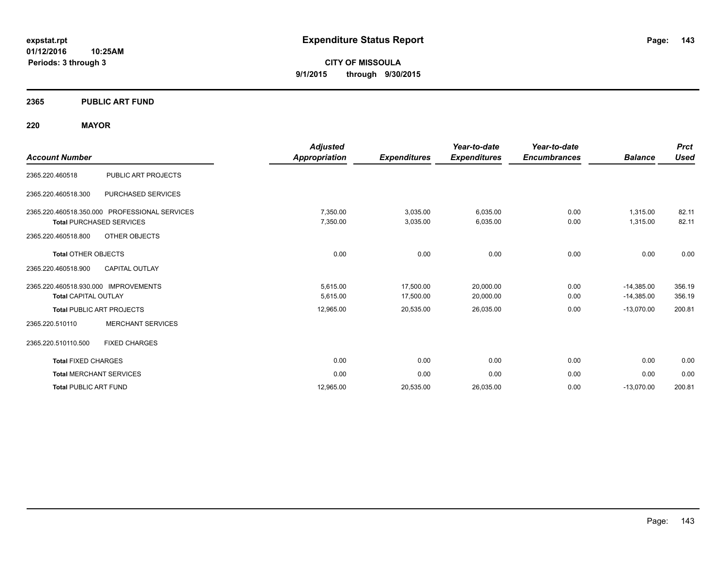**01/12/2016 10:25AM Periods: 3 through 3**

**CITY OF MISSOULA 9/1/2015 through 9/30/2015**

### **2365 PUBLIC ART FUND**

### **220 MAYOR**

| <b>Account Number</b>                                                            |                           | <b>Adjusted</b><br>Appropriation | <b>Expenditures</b>    | Year-to-date<br><b>Expenditures</b> | Year-to-date<br><b>Encumbrances</b> | <b>Balance</b>               | <b>Prct</b><br><b>Used</b> |
|----------------------------------------------------------------------------------|---------------------------|----------------------------------|------------------------|-------------------------------------|-------------------------------------|------------------------------|----------------------------|
| 2365.220.460518                                                                  | PUBLIC ART PROJECTS       |                                  |                        |                                     |                                     |                              |                            |
| 2365.220.460518.300                                                              | <b>PURCHASED SERVICES</b> |                                  |                        |                                     |                                     |                              |                            |
| 2365.220.460518.350.000 PROFESSIONAL SERVICES<br><b>Total PURCHASED SERVICES</b> |                           | 7,350.00<br>7,350.00             | 3,035.00<br>3,035.00   | 6,035.00<br>6,035.00                | 0.00<br>0.00                        | 1,315.00<br>1,315.00         | 82.11<br>82.11             |
| OTHER OBJECTS<br>2365.220.460518.800<br><b>Total OTHER OBJECTS</b>               |                           | 0.00                             | 0.00                   | 0.00                                | 0.00                                | 0.00                         | 0.00                       |
| 2365.220.460518.900<br><b>CAPITAL OUTLAY</b>                                     |                           |                                  |                        |                                     |                                     |                              |                            |
| 2365.220.460518.930.000 IMPROVEMENTS<br><b>Total CAPITAL OUTLAY</b>              |                           | 5,615.00<br>5,615.00             | 17,500.00<br>17,500.00 | 20,000.00<br>20,000.00              | 0.00<br>0.00                        | $-14,385.00$<br>$-14,385.00$ | 356.19<br>356.19           |
| <b>Total PUBLIC ART PROJECTS</b>                                                 |                           | 12,965.00                        | 20,535.00              | 26,035.00                           | 0.00                                | $-13,070.00$                 | 200.81                     |
| 2365.220.510110                                                                  | <b>MERCHANT SERVICES</b>  |                                  |                        |                                     |                                     |                              |                            |
| <b>FIXED CHARGES</b><br>2365.220.510110.500                                      |                           |                                  |                        |                                     |                                     |                              |                            |
| <b>Total FIXED CHARGES</b>                                                       |                           | 0.00                             | 0.00                   | 0.00                                | 0.00                                | 0.00                         | 0.00                       |
| <b>Total MERCHANT SERVICES</b>                                                   |                           | 0.00                             | 0.00                   | 0.00                                | 0.00                                | 0.00                         | 0.00                       |
| <b>Total PUBLIC ART FUND</b>                                                     |                           | 12.965.00                        | 20,535.00              | 26,035.00                           | 0.00                                | $-13,070.00$                 | 200.81                     |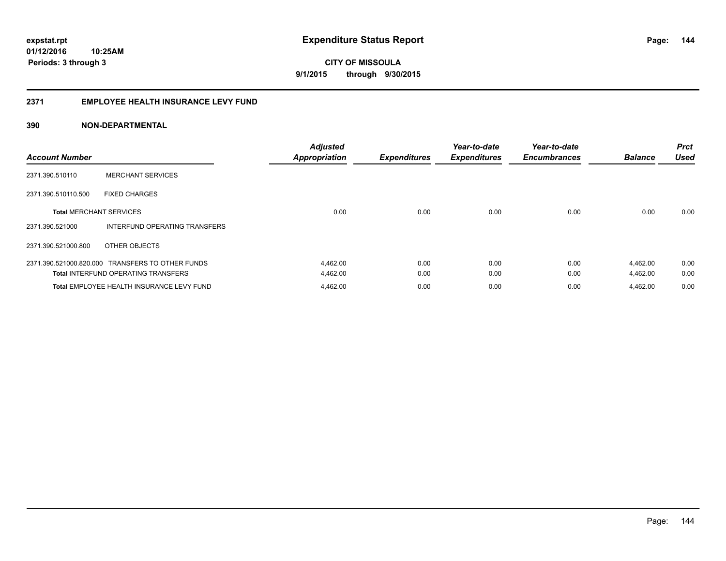#### **2371 EMPLOYEE HEALTH INSURANCE LEVY FUND**

| <b>Account Number</b>          |                                                  | <b>Adjusted</b><br><b>Appropriation</b> | <b>Expenditures</b> | Year-to-date<br><b>Expenditures</b> | Year-to-date<br><b>Encumbrances</b> | <b>Balance</b> | <b>Prct</b><br><b>Used</b> |
|--------------------------------|--------------------------------------------------|-----------------------------------------|---------------------|-------------------------------------|-------------------------------------|----------------|----------------------------|
| 2371.390.510110                | <b>MERCHANT SERVICES</b>                         |                                         |                     |                                     |                                     |                |                            |
| 2371.390.510110.500            | <b>FIXED CHARGES</b>                             |                                         |                     |                                     |                                     |                |                            |
| <b>Total MERCHANT SERVICES</b> |                                                  | 0.00                                    | 0.00                | 0.00                                | 0.00                                | 0.00           | 0.00                       |
| 2371.390.521000                | INTERFUND OPERATING TRANSFERS                    |                                         |                     |                                     |                                     |                |                            |
| 2371.390.521000.800            | OTHER OBJECTS                                    |                                         |                     |                                     |                                     |                |                            |
|                                | 2371.390.521000.820.000 TRANSFERS TO OTHER FUNDS | 4,462.00                                | 0.00                | 0.00                                | 0.00                                | 4,462.00       | 0.00                       |
|                                | <b>Total INTERFUND OPERATING TRANSFERS</b>       | 4,462.00                                | 0.00                | 0.00                                | 0.00                                | 4,462.00       | 0.00                       |
|                                | Total EMPLOYEE HEALTH INSURANCE LEVY FUND        | 4,462.00                                | 0.00                | 0.00                                | 0.00                                | 4,462.00       | 0.00                       |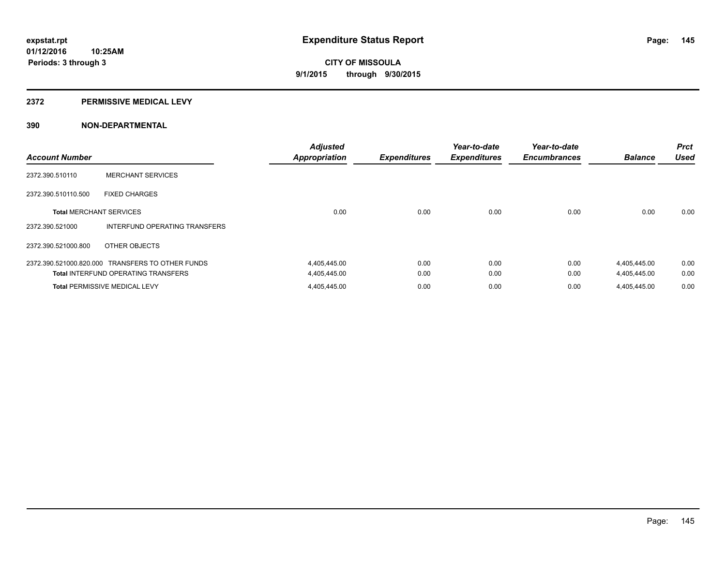#### **2372 PERMISSIVE MEDICAL LEVY**

### **390 NON-DEPARTMENTAL**

| <b>Account Number</b>          |                                                  | <b>Adjusted</b><br><b>Appropriation</b> | <b>Expenditures</b> | Year-to-date<br><b>Expenditures</b> | Year-to-date<br><b>Encumbrances</b> | <b>Balance</b> | <b>Prct</b><br><b>Used</b> |
|--------------------------------|--------------------------------------------------|-----------------------------------------|---------------------|-------------------------------------|-------------------------------------|----------------|----------------------------|
| 2372.390.510110                | <b>MERCHANT SERVICES</b>                         |                                         |                     |                                     |                                     |                |                            |
| 2372.390.510110.500            | <b>FIXED CHARGES</b>                             |                                         |                     |                                     |                                     |                |                            |
| <b>Total MERCHANT SERVICES</b> |                                                  | 0.00                                    | 0.00                | 0.00                                | 0.00                                | 0.00           | 0.00                       |
| 2372.390.521000                | INTERFUND OPERATING TRANSFERS                    |                                         |                     |                                     |                                     |                |                            |
| 2372.390.521000.800            | OTHER OBJECTS                                    |                                         |                     |                                     |                                     |                |                            |
|                                | 2372.390.521000.820.000 TRANSFERS TO OTHER FUNDS | 4,405,445.00                            | 0.00                | 0.00                                | 0.00                                | 4,405,445.00   | 0.00                       |
|                                | <b>Total INTERFUND OPERATING TRANSFERS</b>       | 4,405,445.00                            | 0.00                | 0.00                                | 0.00                                | 4,405,445.00   | 0.00                       |
|                                | <b>Total PERMISSIVE MEDICAL LEVY</b>             | 4,405,445.00                            | 0.00                | 0.00                                | 0.00                                | 4.405.445.00   | 0.00                       |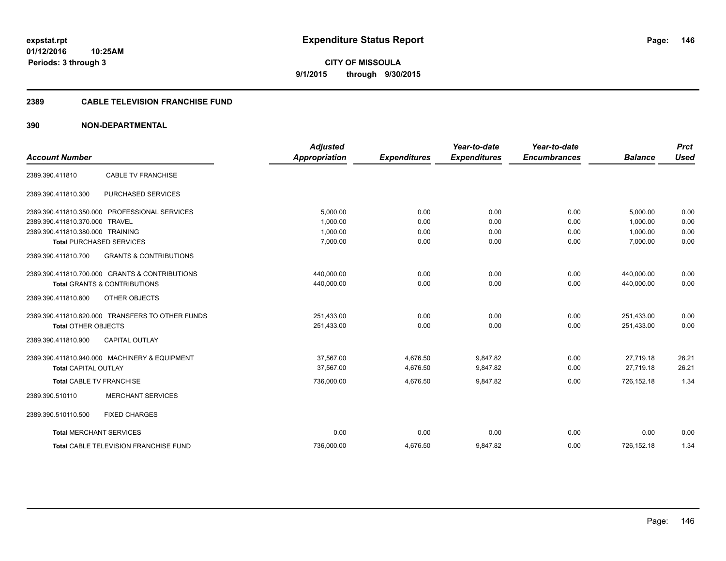**CITY OF MISSOULA 9/1/2015 through 9/30/2015**

#### **2389 CABLE TELEVISION FRANCHISE FUND**

### **390 NON-DEPARTMENTAL**

|                                  |                                                  | <b>Adjusted</b>      |                     | Year-to-date        | Year-to-date        |                | <b>Prct</b> |
|----------------------------------|--------------------------------------------------|----------------------|---------------------|---------------------|---------------------|----------------|-------------|
| <b>Account Number</b>            |                                                  | <b>Appropriation</b> | <b>Expenditures</b> | <b>Expenditures</b> | <b>Encumbrances</b> | <b>Balance</b> | <b>Used</b> |
| 2389.390.411810                  | CABLE TV FRANCHISE                               |                      |                     |                     |                     |                |             |
| 2389.390.411810.300              | PURCHASED SERVICES                               |                      |                     |                     |                     |                |             |
|                                  | 2389.390.411810.350.000 PROFESSIONAL SERVICES    | 5.000.00             | 0.00                | 0.00                | 0.00                | 5.000.00       | 0.00        |
| 2389.390.411810.370.000 TRAVEL   |                                                  | 1,000.00             | 0.00                | 0.00                | 0.00                | 1,000.00       | 0.00        |
| 2389.390.411810.380.000 TRAINING |                                                  | 1.000.00             | 0.00                | 0.00                | 0.00                | 1.000.00       | 0.00        |
|                                  | <b>Total PURCHASED SERVICES</b>                  | 7,000.00             | 0.00                | 0.00                | 0.00                | 7,000.00       | 0.00        |
| 2389.390.411810.700              | <b>GRANTS &amp; CONTRIBUTIONS</b>                |                      |                     |                     |                     |                |             |
|                                  | 2389.390.411810.700.000 GRANTS & CONTRIBUTIONS   | 440,000.00           | 0.00                | 0.00                | 0.00                | 440,000.00     | 0.00        |
|                                  | <b>Total GRANTS &amp; CONTRIBUTIONS</b>          | 440,000.00           | 0.00                | 0.00                | 0.00                | 440,000.00     | 0.00        |
| 2389.390.411810.800              | OTHER OBJECTS                                    |                      |                     |                     |                     |                |             |
|                                  | 2389.390.411810.820.000 TRANSFERS TO OTHER FUNDS | 251,433.00           | 0.00                | 0.00                | 0.00                | 251,433.00     | 0.00        |
| <b>Total OTHER OBJECTS</b>       |                                                  | 251,433.00           | 0.00                | 0.00                | 0.00                | 251,433.00     | 0.00        |
| 2389.390.411810.900              | <b>CAPITAL OUTLAY</b>                            |                      |                     |                     |                     |                |             |
|                                  | 2389.390.411810.940.000 MACHINERY & EQUIPMENT    | 37.567.00            | 4.676.50            | 9.847.82            | 0.00                | 27.719.18      | 26.21       |
| <b>Total CAPITAL OUTLAY</b>      |                                                  | 37,567.00            | 4,676.50            | 9,847.82            | 0.00                | 27.719.18      | 26.21       |
| <b>Total CABLE TV FRANCHISE</b>  |                                                  | 736,000.00           | 4,676.50            | 9.847.82            | 0.00                | 726.152.18     | 1.34        |
| 2389.390.510110                  | <b>MERCHANT SERVICES</b>                         |                      |                     |                     |                     |                |             |
| 2389.390.510110.500              | <b>FIXED CHARGES</b>                             |                      |                     |                     |                     |                |             |
| <b>Total MERCHANT SERVICES</b>   |                                                  | 0.00                 | 0.00                | 0.00                | 0.00                | 0.00           | 0.00        |
|                                  | <b>Total CABLE TELEVISION FRANCHISE FUND</b>     | 736.000.00           | 4,676.50            | 9,847.82            | 0.00                | 726.152.18     | 1.34        |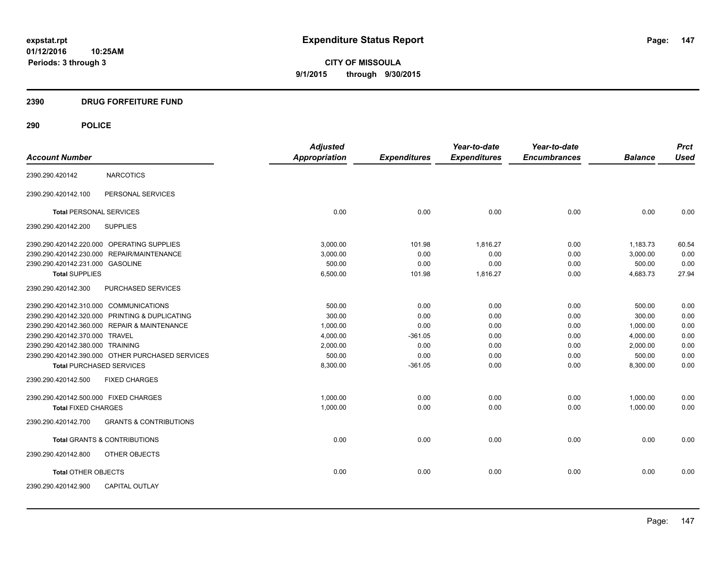**CITY OF MISSOULA 9/1/2015 through 9/30/2015**

### **2390 DRUG FORFEITURE FUND**

| <b>Account Number</b>                  |                                                  | <b>Adjusted</b><br><b>Appropriation</b> | <b>Expenditures</b> | Year-to-date<br><b>Expenditures</b> | Year-to-date<br><b>Encumbrances</b> | <b>Balance</b> | <b>Prct</b><br><b>Used</b> |
|----------------------------------------|--------------------------------------------------|-----------------------------------------|---------------------|-------------------------------------|-------------------------------------|----------------|----------------------------|
|                                        |                                                  |                                         |                     |                                     |                                     |                |                            |
| 2390.290.420142                        | <b>NARCOTICS</b>                                 |                                         |                     |                                     |                                     |                |                            |
| 2390.290.420142.100                    | PERSONAL SERVICES                                |                                         |                     |                                     |                                     |                |                            |
| <b>Total PERSONAL SERVICES</b>         |                                                  | 0.00                                    | 0.00                | 0.00                                | 0.00                                | 0.00           | 0.00                       |
| 2390.290.420142.200                    | <b>SUPPLIES</b>                                  |                                         |                     |                                     |                                     |                |                            |
|                                        | 2390.290.420142.220.000 OPERATING SUPPLIES       | 3.000.00                                | 101.98              | 1,816.27                            | 0.00                                | 1,183.73       | 60.54                      |
|                                        | 2390.290.420142.230.000 REPAIR/MAINTENANCE       | 3,000.00                                | 0.00                | 0.00                                | 0.00                                | 3,000.00       | 0.00                       |
| 2390.290.420142.231.000 GASOLINE       |                                                  | 500.00                                  | 0.00                | 0.00                                | 0.00                                | 500.00         | 0.00                       |
| <b>Total SUPPLIES</b>                  |                                                  | 6,500.00                                | 101.98              | 1,816.27                            | 0.00                                | 4,683.73       | 27.94                      |
| 2390.290.420142.300                    | PURCHASED SERVICES                               |                                         |                     |                                     |                                     |                |                            |
| 2390.290.420142.310.000 COMMUNICATIONS |                                                  | 500.00                                  | 0.00                | 0.00                                | 0.00                                | 500.00         | 0.00                       |
|                                        | 2390.290.420142.320.000 PRINTING & DUPLICATING   | 300.00                                  | 0.00                | 0.00                                | 0.00                                | 300.00         | 0.00                       |
|                                        | 2390.290.420142.360.000 REPAIR & MAINTENANCE     | 1,000.00                                | 0.00                | 0.00                                | 0.00                                | 1,000.00       | 0.00                       |
| 2390.290.420142.370.000 TRAVEL         |                                                  | 4,000.00                                | $-361.05$           | 0.00                                | 0.00                                | 4,000.00       | 0.00                       |
| 2390.290.420142.380.000 TRAINING       |                                                  | 2,000.00                                | 0.00                | 0.00                                | 0.00                                | 2,000.00       | 0.00                       |
|                                        | 2390.290.420142.390.000 OTHER PURCHASED SERVICES | 500.00                                  | 0.00                | 0.00                                | 0.00                                | 500.00         | 0.00                       |
| <b>Total PURCHASED SERVICES</b>        |                                                  | 8,300.00                                | $-361.05$           | 0.00                                | 0.00                                | 8,300.00       | 0.00                       |
| 2390.290.420142.500                    | <b>FIXED CHARGES</b>                             |                                         |                     |                                     |                                     |                |                            |
| 2390.290.420142.500.000 FIXED CHARGES  |                                                  | 1,000.00                                | 0.00                | 0.00                                | 0.00                                | 1,000.00       | 0.00                       |
| <b>Total FIXED CHARGES</b>             |                                                  | 1,000.00                                | 0.00                | 0.00                                | 0.00                                | 1,000.00       | 0.00                       |
| 2390.290.420142.700                    | <b>GRANTS &amp; CONTRIBUTIONS</b>                |                                         |                     |                                     |                                     |                |                            |
|                                        | <b>Total GRANTS &amp; CONTRIBUTIONS</b>          | 0.00                                    | 0.00                | 0.00                                | 0.00                                | 0.00           | 0.00                       |
| 2390.290.420142.800                    | OTHER OBJECTS                                    |                                         |                     |                                     |                                     |                |                            |
| <b>Total OTHER OBJECTS</b>             |                                                  | 0.00                                    | 0.00                | 0.00                                | 0.00                                | 0.00           | 0.00                       |
| 2390.290.420142.900                    | <b>CAPITAL OUTLAY</b>                            |                                         |                     |                                     |                                     |                |                            |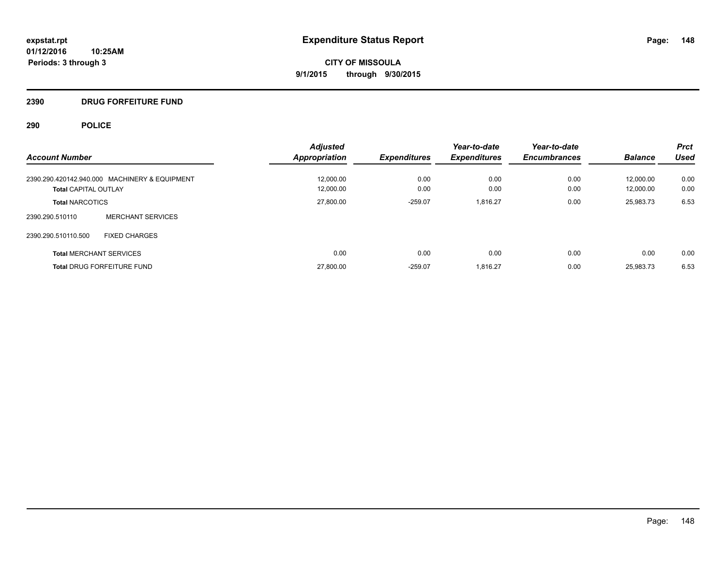### **2390 DRUG FORFEITURE FUND**

|                                               | <b>Adjusted</b>      |                     | Year-to-date        | Year-to-date        |                | <b>Prct</b> |
|-----------------------------------------------|----------------------|---------------------|---------------------|---------------------|----------------|-------------|
| <b>Account Number</b>                         | <b>Appropriation</b> | <b>Expenditures</b> | <b>Expenditures</b> | <b>Encumbrances</b> | <b>Balance</b> | <b>Used</b> |
| 2390.290.420142.940.000 MACHINERY & EQUIPMENT | 12,000.00            | 0.00                | 0.00                | 0.00                | 12.000.00      | 0.00        |
| <b>Total CAPITAL OUTLAY</b>                   | 12.000.00            | 0.00                | 0.00                | 0.00                | 12.000.00      | 0.00        |
| <b>Total NARCOTICS</b>                        | 27,800.00            | $-259.07$           | 1,816.27            | 0.00                | 25,983.73      | 6.53        |
| <b>MERCHANT SERVICES</b><br>2390.290.510110   |                      |                     |                     |                     |                |             |
| 2390.290.510110.500<br><b>FIXED CHARGES</b>   |                      |                     |                     |                     |                |             |
| <b>Total MERCHANT SERVICES</b>                | 0.00                 | 0.00                | 0.00                | 0.00                | 0.00           | 0.00        |
| <b>Total DRUG FORFEITURE FUND</b>             | 27,800.00            | $-259.07$           | 1.816.27            | 0.00                | 25,983.73      | 6.53        |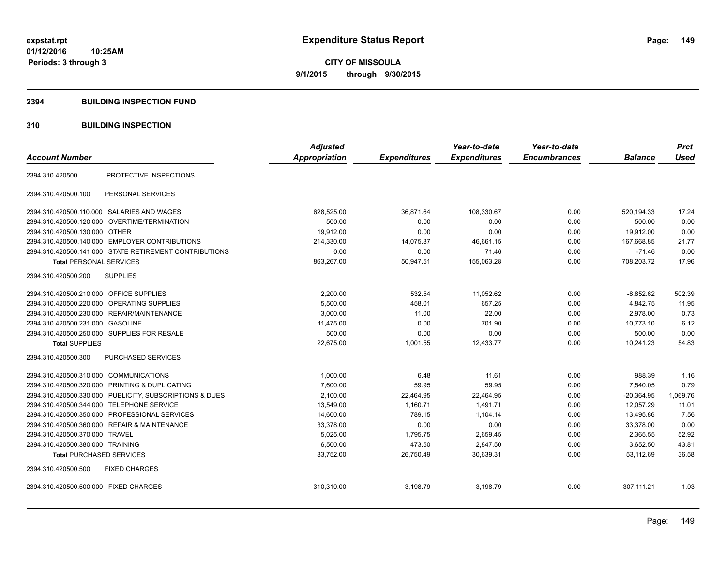#### **2394 BUILDING INSPECTION FUND**

### **310 BUILDING INSPECTION**

| <b>Account Number</b>                                        | <b>Adjusted</b><br><b>Appropriation</b> | <b>Expenditures</b> | Year-to-date<br><b>Expenditures</b> | Year-to-date<br><b>Encumbrances</b> | <b>Balance</b> | <b>Prct</b><br><b>Used</b> |
|--------------------------------------------------------------|-----------------------------------------|---------------------|-------------------------------------|-------------------------------------|----------------|----------------------------|
|                                                              |                                         |                     |                                     |                                     |                |                            |
| PROTECTIVE INSPECTIONS<br>2394.310.420500                    |                                         |                     |                                     |                                     |                |                            |
| 2394.310.420500.100<br>PERSONAL SERVICES                     |                                         |                     |                                     |                                     |                |                            |
| 2394.310.420500.110.000 SALARIES AND WAGES                   | 628,525.00                              | 36,871.64           | 108,330.67                          | 0.00                                | 520,194.33     | 17.24                      |
| <b>OVERTIME/TERMINATION</b><br>2394.310.420500.120.000       | 500.00                                  | 0.00                | 0.00                                | 0.00                                | 500.00         | 0.00                       |
| 2394.310.420500.130.000 OTHER                                | 19,912.00                               | 0.00                | 0.00                                | 0.00                                | 19,912.00      | 0.00                       |
| 2394.310.420500.140.000 EMPLOYER CONTRIBUTIONS               | 214,330.00                              | 14,075.87           | 46,661.15                           | 0.00                                | 167,668.85     | 21.77                      |
| 2394.310.420500.141.000 STATE RETIREMENT CONTRIBUTIONS       | 0.00                                    | 0.00                | 71.46                               | 0.00                                | $-71.46$       | 0.00                       |
| <b>Total PERSONAL SERVICES</b>                               | 863,267.00                              | 50,947.51           | 155,063.28                          | 0.00                                | 708,203.72     | 17.96                      |
| <b>SUPPLIES</b><br>2394.310.420500.200                       |                                         |                     |                                     |                                     |                |                            |
| 2394.310.420500.210.000 OFFICE SUPPLIES                      | 2,200.00                                | 532.54              | 11,052.62                           | 0.00                                | $-8,852.62$    | 502.39                     |
| OPERATING SUPPLIES<br>2394.310.420500.220.000                | 5,500.00                                | 458.01              | 657.25                              | 0.00                                | 4,842.75       | 11.95                      |
| 2394.310.420500.230.000 REPAIR/MAINTENANCE                   | 3,000.00                                | 11.00               | 22.00                               | 0.00                                | 2.978.00       | 0.73                       |
| 2394.310.420500.231.000 GASOLINE                             | 11,475.00                               | 0.00                | 701.90                              | 0.00                                | 10,773.10      | 6.12                       |
| 2394.310.420500.250.000 SUPPLIES FOR RESALE                  | 500.00                                  | 0.00                | 0.00                                | 0.00                                | 500.00         | 0.00                       |
| <b>Total SUPPLIES</b>                                        | 22,675.00                               | 1,001.55            | 12,433.77                           | 0.00                                | 10,241.23      | 54.83                      |
| PURCHASED SERVICES<br>2394.310.420500.300                    |                                         |                     |                                     |                                     |                |                            |
| 2394.310.420500.310.000 COMMUNICATIONS                       | 1,000.00                                | 6.48                | 11.61                               | 0.00                                | 988.39         | 1.16                       |
| 2394.310.420500.320.000<br><b>PRINTING &amp; DUPLICATING</b> | 7,600.00                                | 59.95               | 59.95                               | 0.00                                | 7,540.05       | 0.79                       |
| 2394.310.420500.330.000 PUBLICITY, SUBSCRIPTIONS & DUES      | 2,100.00                                | 22,464.95           | 22,464.95                           | 0.00                                | $-20,364.95$   | 1,069.76                   |
| 2394.310.420500.344.000<br><b>TELEPHONE SERVICE</b>          | 13,549.00                               | 1,160.71            | 1,491.71                            | 0.00                                | 12,057.29      | 11.01                      |
| PROFESSIONAL SERVICES<br>2394.310.420500.350.000             | 14,600.00                               | 789.15              | 1,104.14                            | 0.00                                | 13,495.86      | 7.56                       |
| <b>REPAIR &amp; MAINTENANCE</b><br>2394.310.420500.360.000   | 33,378.00                               | 0.00                | 0.00                                | 0.00                                | 33,378.00      | 0.00                       |
| 2394.310.420500.370.000<br><b>TRAVEL</b>                     | 5,025.00                                | 1,795.75            | 2,659.45                            | 0.00                                | 2,365.55       | 52.92                      |
| 2394.310.420500.380.000 TRAINING                             | 6,500.00                                | 473.50              | 2,847.50                            | 0.00                                | 3,652.50       | 43.81                      |
| <b>Total PURCHASED SERVICES</b>                              | 83,752.00                               | 26,750.49           | 30,639.31                           | 0.00                                | 53,112.69      | 36.58                      |
| 2394.310.420500.500<br><b>FIXED CHARGES</b>                  |                                         |                     |                                     |                                     |                |                            |
| 2394.310.420500.500.000 FIXED CHARGES                        | 310,310.00                              | 3,198.79            | 3,198.79                            | 0.00                                | 307,111.21     | 1.03                       |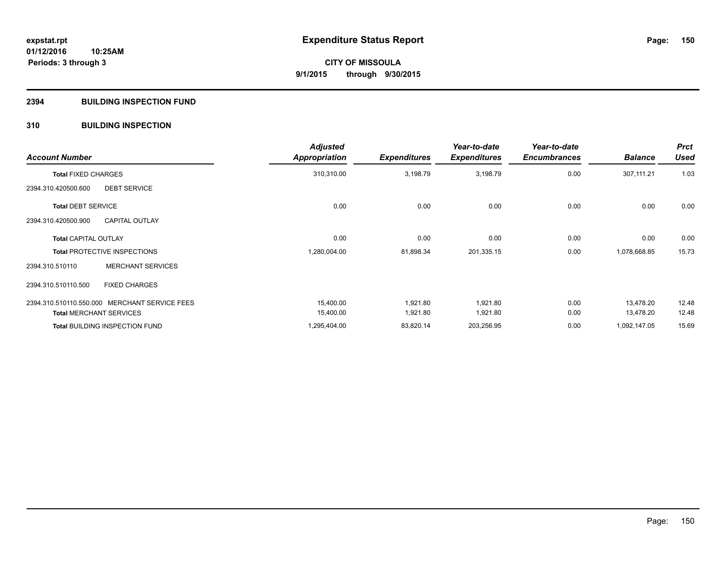### **2394 BUILDING INSPECTION FUND**

### **310 BUILDING INSPECTION**

| <b>Account Number</b>                         | <b>Adjusted</b><br><b>Appropriation</b> | <b>Expenditures</b> | Year-to-date<br><b>Expenditures</b> | Year-to-date<br><b>Encumbrances</b> | <b>Balance</b> | <b>Prct</b><br><b>Used</b> |
|-----------------------------------------------|-----------------------------------------|---------------------|-------------------------------------|-------------------------------------|----------------|----------------------------|
| <b>Total FIXED CHARGES</b>                    | 310,310.00                              | 3,198.79            | 3,198.79                            | 0.00                                | 307,111.21     | 1.03                       |
| <b>DEBT SERVICE</b><br>2394.310.420500.600    |                                         |                     |                                     |                                     |                |                            |
| <b>Total DEBT SERVICE</b>                     | 0.00                                    | 0.00                | 0.00                                | 0.00                                | 0.00           | 0.00                       |
| <b>CAPITAL OUTLAY</b><br>2394.310.420500.900  |                                         |                     |                                     |                                     |                |                            |
| <b>Total CAPITAL OUTLAY</b>                   | 0.00                                    | 0.00                | 0.00                                | 0.00                                | 0.00           | 0.00                       |
| <b>Total PROTECTIVE INSPECTIONS</b>           | 1,280,004.00                            | 81,898.34           | 201,335.15                          | 0.00                                | 1,078,668.85   | 15.73                      |
| <b>MERCHANT SERVICES</b><br>2394.310.510110   |                                         |                     |                                     |                                     |                |                            |
| <b>FIXED CHARGES</b><br>2394.310.510110.500   |                                         |                     |                                     |                                     |                |                            |
| 2394.310.510110.550.000 MERCHANT SERVICE FEES | 15,400.00                               | 1,921.80            | 1,921.80                            | 0.00                                | 13,478.20      | 12.48                      |
| <b>Total MERCHANT SERVICES</b>                | 15,400.00                               | 1,921.80            | 1,921.80                            | 0.00                                | 13,478.20      | 12.48                      |
| <b>Total BUILDING INSPECTION FUND</b>         | 1,295,404.00                            | 83,820.14           | 203,256.95                          | 0.00                                | 1,092,147.05   | 15.69                      |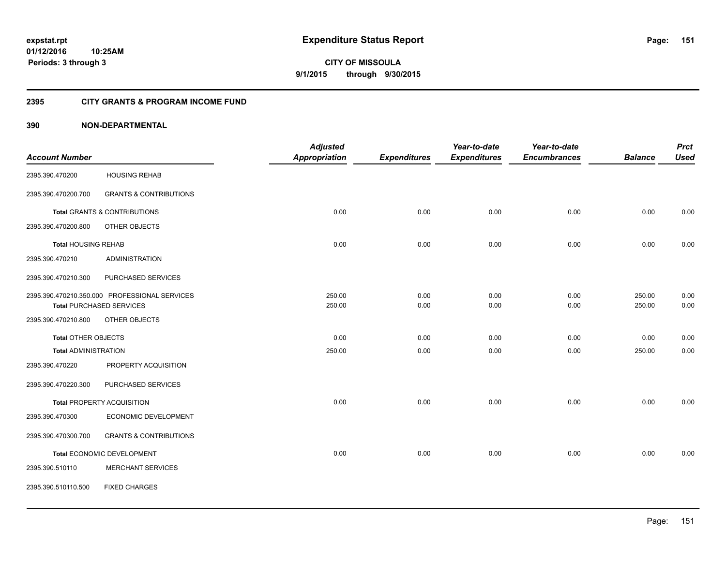**Periods: 3 through 3**

**151**

**CITY OF MISSOULA 9/1/2015 through 9/30/2015**

#### **2395 CITY GRANTS & PROGRAM INCOME FUND**

### **390 NON-DEPARTMENTAL**

**10:25AM**

|                             |                                               | <b>Adjusted</b> |                     | Year-to-date        | Year-to-date        |                | <b>Prct</b> |
|-----------------------------|-----------------------------------------------|-----------------|---------------------|---------------------|---------------------|----------------|-------------|
| <b>Account Number</b>       |                                               | Appropriation   | <b>Expenditures</b> | <b>Expenditures</b> | <b>Encumbrances</b> | <b>Balance</b> | <b>Used</b> |
| 2395.390.470200             | <b>HOUSING REHAB</b>                          |                 |                     |                     |                     |                |             |
| 2395.390.470200.700         | <b>GRANTS &amp; CONTRIBUTIONS</b>             |                 |                     |                     |                     |                |             |
|                             | <b>Total GRANTS &amp; CONTRIBUTIONS</b>       | 0.00            | 0.00                | 0.00                | 0.00                | 0.00           | 0.00        |
| 2395.390.470200.800         | OTHER OBJECTS                                 |                 |                     |                     |                     |                |             |
| <b>Total HOUSING REHAB</b>  |                                               | 0.00            | 0.00                | 0.00                | 0.00                | 0.00           | 0.00        |
| 2395.390.470210             | <b>ADMINISTRATION</b>                         |                 |                     |                     |                     |                |             |
| 2395.390.470210.300         | PURCHASED SERVICES                            |                 |                     |                     |                     |                |             |
|                             | 2395.390.470210.350.000 PROFESSIONAL SERVICES | 250.00          | 0.00                | 0.00                | 0.00                | 250.00         | 0.00        |
|                             | <b>Total PURCHASED SERVICES</b>               | 250.00          | 0.00                | 0.00                | 0.00                | 250.00         | 0.00        |
| 2395.390.470210.800         | OTHER OBJECTS                                 |                 |                     |                     |                     |                |             |
| Total OTHER OBJECTS         |                                               | 0.00            | 0.00                | 0.00                | 0.00                | 0.00           | 0.00        |
| <b>Total ADMINISTRATION</b> |                                               | 250.00          | 0.00                | 0.00                | 0.00                | 250.00         | 0.00        |
| 2395.390.470220             | PROPERTY ACQUISITION                          |                 |                     |                     |                     |                |             |
| 2395.390.470220.300         | PURCHASED SERVICES                            |                 |                     |                     |                     |                |             |
|                             | <b>Total PROPERTY ACQUISITION</b>             | 0.00            | 0.00                | 0.00                | 0.00                | 0.00           | 0.00        |
| 2395.390.470300             | ECONOMIC DEVELOPMENT                          |                 |                     |                     |                     |                |             |
| 2395.390.470300.700         | <b>GRANTS &amp; CONTRIBUTIONS</b>             |                 |                     |                     |                     |                |             |
|                             | Total ECONOMIC DEVELOPMENT                    | 0.00            | 0.00                | 0.00                | 0.00                | 0.00           | 0.00        |
| 2395.390.510110             | <b>MERCHANT SERVICES</b>                      |                 |                     |                     |                     |                |             |
| 2395.390.510110.500         | <b>FIXED CHARGES</b>                          |                 |                     |                     |                     |                |             |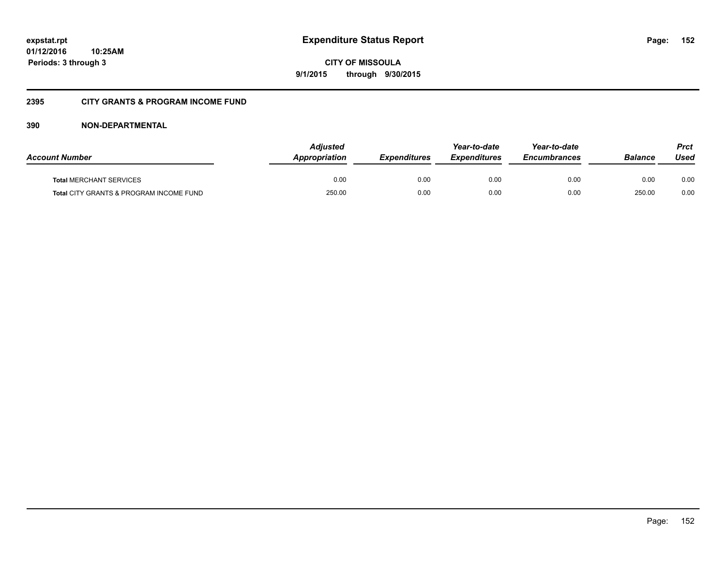**CITY OF MISSOULA 9/1/2015 through 9/30/2015**

### **2395 CITY GRANTS & PROGRAM INCOME FUND**

### **390 NON-DEPARTMENTAL**

| <b>Account Number</b>                   | <b>Adjusted</b><br>Appropriation | <b>Expenditures</b> | Year-to-date<br><b>Expenditures</b> | Year-to-date<br><i><b>Encumbrances</b></i> | <b>Balance</b> | Prct<br>Used |
|-----------------------------------------|----------------------------------|---------------------|-------------------------------------|--------------------------------------------|----------------|--------------|
| <b>Total MERCHANT SERVICES</b>          | 0.00                             | 0.00                | 0.00                                | 0.00                                       | 0.00           | 0.00         |
| Total CITY GRANTS & PROGRAM INCOME FUND | 250.00                           | 0.00                | 0.00                                | 0.00                                       | 250.00         | 0.00         |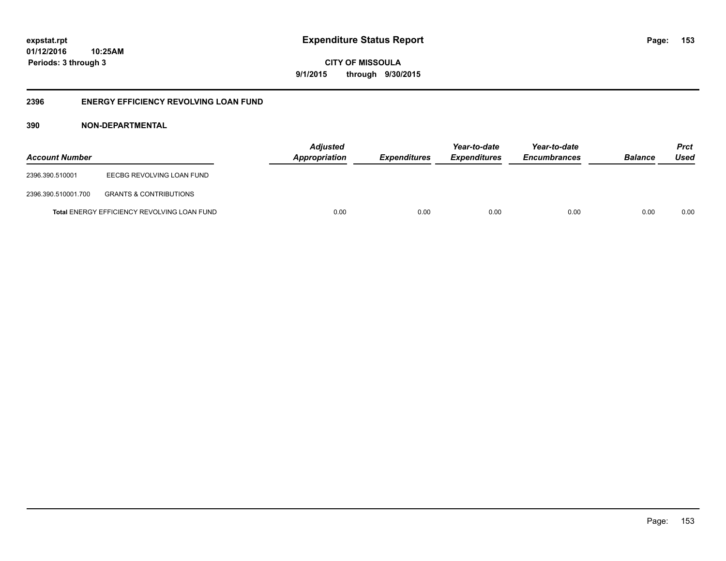**CITY OF MISSOULA 9/1/2015 through 9/30/2015**

### **2396 ENERGY EFFICIENCY REVOLVING LOAN FUND**

### **390 NON-DEPARTMENTAL**

| <b>Account Number</b> |                                                    | <b>Adjusted</b><br>Appropriation | <b>Expenditures</b> | Year-to-date<br><i><b>Expenditures</b></i> | Year-to-date<br><b>Encumbrances</b> | <b>Balance</b> | <b>Prct</b><br>Used |
|-----------------------|----------------------------------------------------|----------------------------------|---------------------|--------------------------------------------|-------------------------------------|----------------|---------------------|
| 2396.390.510001       | EECBG REVOLVING LOAN FUND                          |                                  |                     |                                            |                                     |                |                     |
| 2396.390.510001.700   | <b>GRANTS &amp; CONTRIBUTIONS</b>                  |                                  |                     |                                            |                                     |                |                     |
|                       | <b>Total ENERGY EFFICIENCY REVOLVING LOAN FUND</b> | 0.00                             | 0.00                | 0.00                                       | 0.00                                | 0.00           | 0.00                |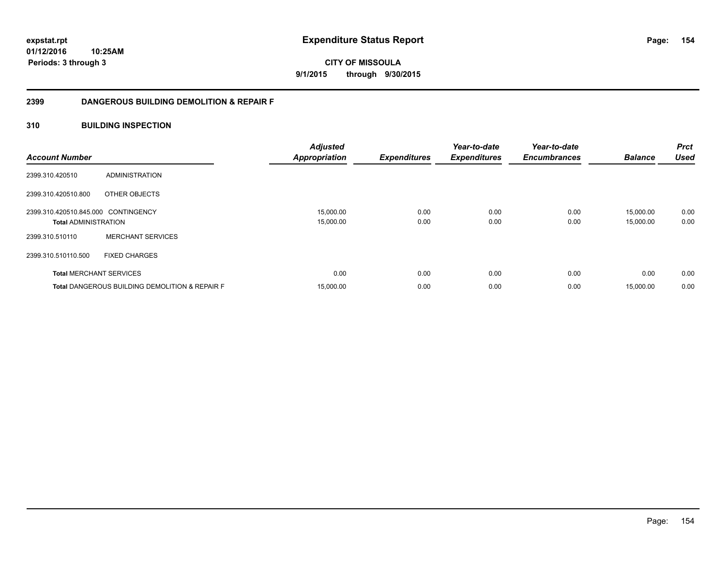**CITY OF MISSOULA 9/1/2015 through 9/30/2015**

### **2399 DANGEROUS BUILDING DEMOLITION & REPAIR F**

### **310 BUILDING INSPECTION**

| <b>Account Number</b>               |                                                           | <b>Adjusted</b><br><b>Appropriation</b> | <b>Expenditures</b> | Year-to-date<br><b>Expenditures</b> | Year-to-date<br><b>Encumbrances</b> | <b>Balance</b> | <b>Prct</b><br><b>Used</b> |
|-------------------------------------|-----------------------------------------------------------|-----------------------------------------|---------------------|-------------------------------------|-------------------------------------|----------------|----------------------------|
| 2399.310.420510                     | ADMINISTRATION                                            |                                         |                     |                                     |                                     |                |                            |
| 2399.310.420510.800                 | OTHER OBJECTS                                             |                                         |                     |                                     |                                     |                |                            |
| 2399.310.420510.845.000 CONTINGENCY |                                                           | 15,000.00                               | 0.00                | 0.00                                | 0.00                                | 15,000.00      | 0.00                       |
| <b>Total ADMINISTRATION</b>         |                                                           | 15,000.00                               | 0.00                | 0.00                                | 0.00                                | 15,000.00      | 0.00                       |
| 2399.310.510110                     | <b>MERCHANT SERVICES</b>                                  |                                         |                     |                                     |                                     |                |                            |
| 2399.310.510110.500                 | <b>FIXED CHARGES</b>                                      |                                         |                     |                                     |                                     |                |                            |
|                                     | <b>Total MERCHANT SERVICES</b>                            | 0.00                                    | 0.00                | 0.00                                | 0.00                                | 0.00           | 0.00                       |
|                                     | <b>Total DANGEROUS BUILDING DEMOLITION &amp; REPAIR F</b> | 15,000.00                               | 0.00                | 0.00                                | 0.00                                | 15,000.00      | 0.00                       |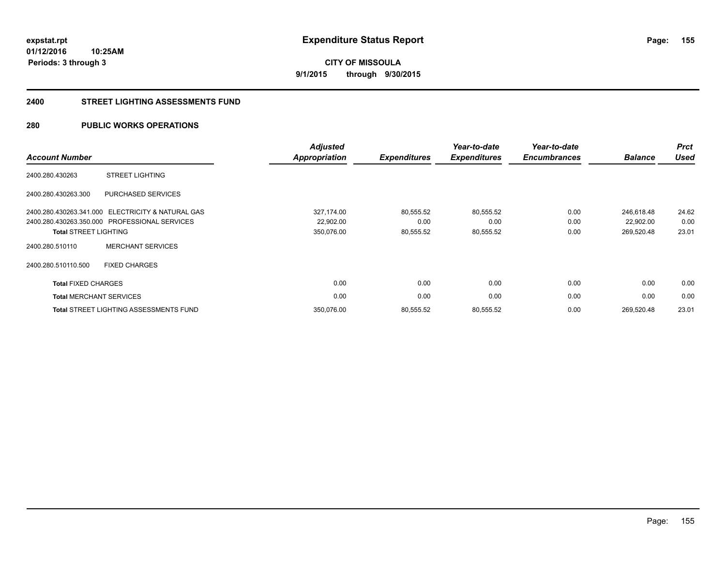**CITY OF MISSOULA 9/1/2015 through 9/30/2015**

#### **2400 STREET LIGHTING ASSESSMENTS FUND**

### **280 PUBLIC WORKS OPERATIONS**

| <b>Account Number</b>          |                                               | <b>Adjusted</b><br><b>Appropriation</b> | <b>Expenditures</b> | Year-to-date<br><b>Expenditures</b> | Year-to-date<br><b>Encumbrances</b> | <b>Balance</b> | <b>Prct</b><br><b>Used</b> |
|--------------------------------|-----------------------------------------------|-----------------------------------------|---------------------|-------------------------------------|-------------------------------------|----------------|----------------------------|
| 2400.280.430263                | <b>STREET LIGHTING</b>                        |                                         |                     |                                     |                                     |                |                            |
| 2400.280.430263.300            | PURCHASED SERVICES                            |                                         |                     |                                     |                                     |                |                            |
| 2400.280.430263.341.000        | ELECTRICITY & NATURAL GAS                     | 327,174.00                              | 80,555.52           | 80,555.52                           | 0.00                                | 246,618.48     | 24.62                      |
|                                | 2400.280.430263.350.000 PROFESSIONAL SERVICES | 22,902.00                               | 0.00                | 0.00                                | 0.00                                | 22,902.00      | 0.00                       |
| <b>Total STREET LIGHTING</b>   |                                               | 350,076.00                              | 80,555.52           | 80,555.52                           | 0.00                                | 269,520.48     | 23.01                      |
| 2400.280.510110                | <b>MERCHANT SERVICES</b>                      |                                         |                     |                                     |                                     |                |                            |
| 2400.280.510110.500            | <b>FIXED CHARGES</b>                          |                                         |                     |                                     |                                     |                |                            |
| <b>Total FIXED CHARGES</b>     |                                               | 0.00                                    | 0.00                | 0.00                                | 0.00                                | 0.00           | 0.00                       |
| <b>Total MERCHANT SERVICES</b> |                                               | 0.00                                    | 0.00                | 0.00                                | 0.00                                | 0.00           | 0.00                       |
|                                | <b>Total STREET LIGHTING ASSESSMENTS FUND</b> | 350,076.00                              | 80,555.52           | 80,555.52                           | 0.00                                | 269.520.48     | 23.01                      |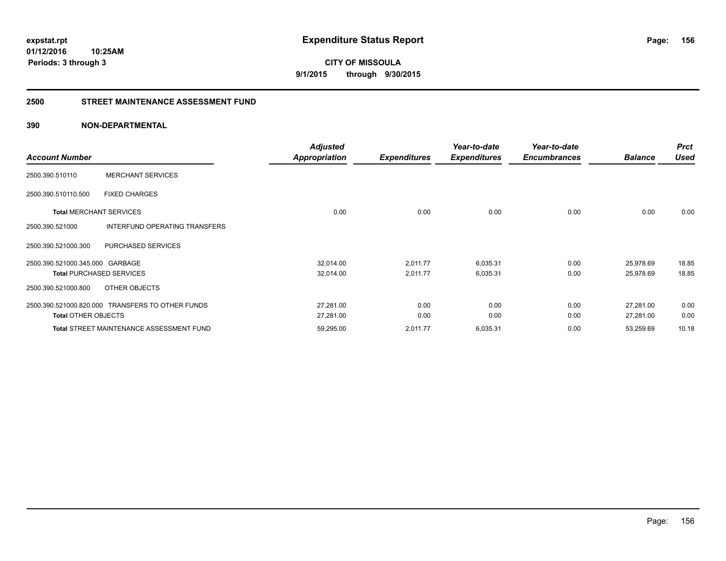**CITY OF MISSOULA 9/1/2015 through 9/30/2015**

#### **2500 STREET MAINTENANCE ASSESSMENT FUND**

### **390 NON-DEPARTMENTAL**

|                                 |                                                  | <b>Adjusted</b>      |                     | Year-to-date        | Year-to-date        |                | <b>Prct</b> |
|---------------------------------|--------------------------------------------------|----------------------|---------------------|---------------------|---------------------|----------------|-------------|
| <b>Account Number</b>           |                                                  | <b>Appropriation</b> | <b>Expenditures</b> | <b>Expenditures</b> | <b>Encumbrances</b> | <b>Balance</b> | <b>Used</b> |
| 2500.390.510110                 | <b>MERCHANT SERVICES</b>                         |                      |                     |                     |                     |                |             |
| 2500.390.510110.500             | <b>FIXED CHARGES</b>                             |                      |                     |                     |                     |                |             |
| <b>Total MERCHANT SERVICES</b>  |                                                  | 0.00                 | 0.00                | 0.00                | 0.00                | 0.00           | 0.00        |
| 2500.390.521000                 | INTERFUND OPERATING TRANSFERS                    |                      |                     |                     |                     |                |             |
| 2500.390.521000.300             | PURCHASED SERVICES                               |                      |                     |                     |                     |                |             |
| 2500.390.521000.345.000 GARBAGE |                                                  | 32,014.00            | 2,011.77            | 6,035.31            | 0.00                | 25,978.69      | 18.85       |
|                                 | <b>Total PURCHASED SERVICES</b>                  | 32,014.00            | 2,011.77            | 6,035.31            | 0.00                | 25,978.69      | 18.85       |
| 2500.390.521000.800             | OTHER OBJECTS                                    |                      |                     |                     |                     |                |             |
|                                 | 2500.390.521000.820.000 TRANSFERS TO OTHER FUNDS | 27,281.00            | 0.00                | 0.00                | 0.00                | 27,281.00      | 0.00        |
| <b>Total OTHER OBJECTS</b>      |                                                  | 27,281.00            | 0.00                | 0.00                | 0.00                | 27,281.00      | 0.00        |
|                                 | <b>Total STREET MAINTENANCE ASSESSMENT FUND</b>  | 59,295.00            | 2,011.77            | 6,035.31            | 0.00                | 53,259.69      | 10.18       |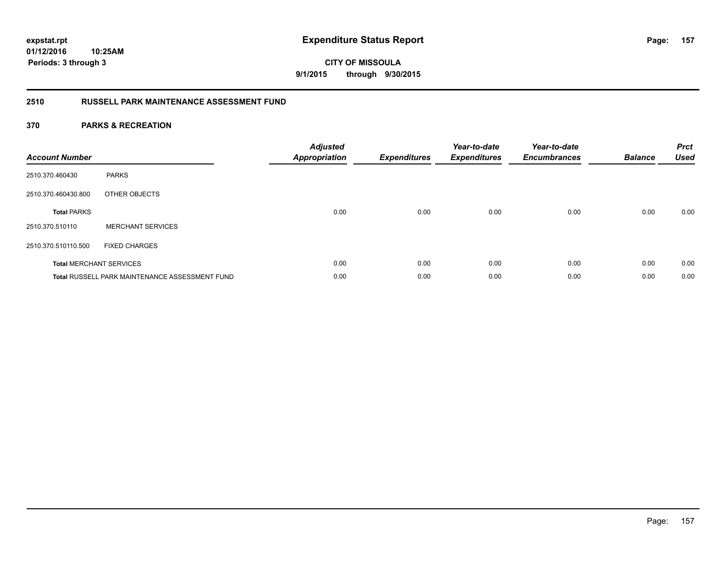## **CITY OF MISSOULA 9/1/2015 through 9/30/2015**

### **2510 RUSSELL PARK MAINTENANCE ASSESSMENT FUND**

| <b>Account Number</b> |                                                       | <b>Adjusted</b><br><b>Appropriation</b> | <b>Expenditures</b> | Year-to-date<br><b>Expenditures</b> | Year-to-date<br><b>Encumbrances</b> | <b>Balance</b> | <b>Prct</b><br><b>Used</b> |
|-----------------------|-------------------------------------------------------|-----------------------------------------|---------------------|-------------------------------------|-------------------------------------|----------------|----------------------------|
| 2510.370.460430       | <b>PARKS</b>                                          |                                         |                     |                                     |                                     |                |                            |
| 2510.370.460430.800   | OTHER OBJECTS                                         |                                         |                     |                                     |                                     |                |                            |
| <b>Total PARKS</b>    |                                                       | 0.00                                    | 0.00                | 0.00                                | 0.00                                | 0.00           | 0.00                       |
| 2510.370.510110       | <b>MERCHANT SERVICES</b>                              |                                         |                     |                                     |                                     |                |                            |
| 2510.370.510110.500   | <b>FIXED CHARGES</b>                                  |                                         |                     |                                     |                                     |                |                            |
|                       | <b>Total MERCHANT SERVICES</b>                        | 0.00                                    | 0.00                | 0.00                                | 0.00                                | 0.00           | 0.00                       |
|                       | <b>Total RUSSELL PARK MAINTENANCE ASSESSMENT FUND</b> | 0.00                                    | 0.00                | 0.00                                | 0.00                                | 0.00           | 0.00                       |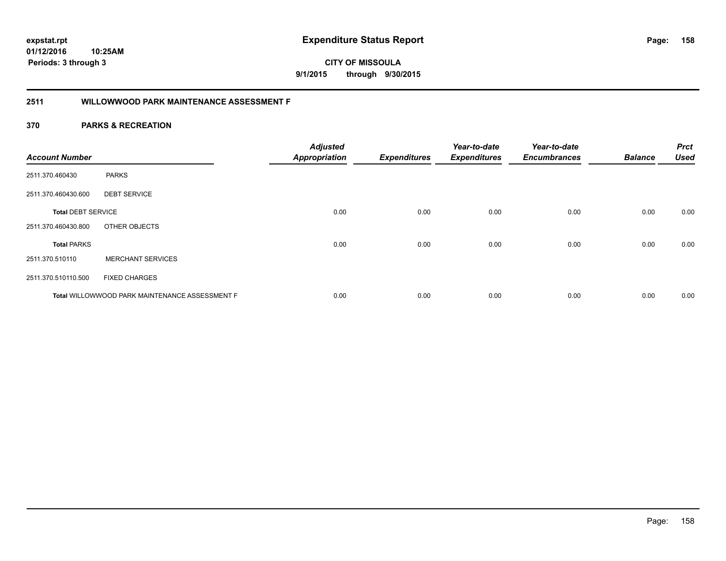**158**

**01/12/2016 10:25AM Periods: 3 through 3**

# **CITY OF MISSOULA 9/1/2015 through 9/30/2015**

# **2511 WILLOWWOOD PARK MAINTENANCE ASSESSMENT F**

| <b>Account Number</b>     |                                                | <b>Adjusted</b><br><b>Appropriation</b> | <b>Expenditures</b> | Year-to-date<br><b>Expenditures</b> | Year-to-date<br><b>Encumbrances</b> | <b>Balance</b> | <b>Prct</b><br><b>Used</b> |
|---------------------------|------------------------------------------------|-----------------------------------------|---------------------|-------------------------------------|-------------------------------------|----------------|----------------------------|
| 2511.370.460430           | <b>PARKS</b>                                   |                                         |                     |                                     |                                     |                |                            |
| 2511.370.460430.600       | <b>DEBT SERVICE</b>                            |                                         |                     |                                     |                                     |                |                            |
| <b>Total DEBT SERVICE</b> |                                                | 0.00                                    | 0.00                | 0.00                                | 0.00                                | 0.00           | 0.00                       |
| 2511.370.460430.800       | OTHER OBJECTS                                  |                                         |                     |                                     |                                     |                |                            |
| <b>Total PARKS</b>        |                                                | 0.00                                    | 0.00                | 0.00                                | 0.00                                | 0.00           | 0.00                       |
| 2511.370.510110           | <b>MERCHANT SERVICES</b>                       |                                         |                     |                                     |                                     |                |                            |
| 2511.370.510110.500       | <b>FIXED CHARGES</b>                           |                                         |                     |                                     |                                     |                |                            |
|                           | Total WILLOWWOOD PARK MAINTENANCE ASSESSMENT F | 0.00                                    | 0.00                | 0.00                                | 0.00                                | 0.00           | 0.00                       |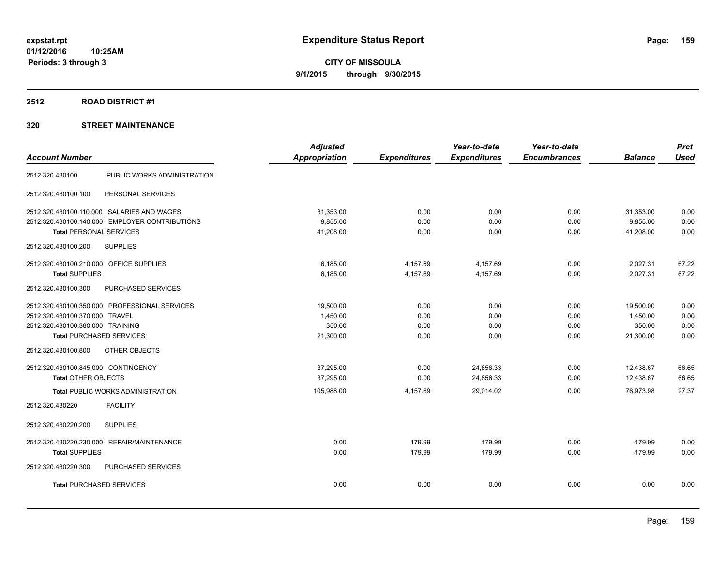### **2512 ROAD DISTRICT #1**

|                                                | <b>Adjusted</b>      |                     | Year-to-date        | Year-to-date        |                | <b>Prct</b> |
|------------------------------------------------|----------------------|---------------------|---------------------|---------------------|----------------|-------------|
| <b>Account Number</b>                          | <b>Appropriation</b> | <b>Expenditures</b> | <b>Expenditures</b> | <b>Encumbrances</b> | <b>Balance</b> | <b>Used</b> |
| PUBLIC WORKS ADMINISTRATION<br>2512.320.430100 |                      |                     |                     |                     |                |             |
| 2512.320.430100.100<br>PERSONAL SERVICES       |                      |                     |                     |                     |                |             |
| 2512.320.430100.110.000 SALARIES AND WAGES     | 31,353.00            | 0.00                | 0.00                | 0.00                | 31,353.00      | 0.00        |
| 2512.320.430100.140.000 EMPLOYER CONTRIBUTIONS | 9,855.00             | 0.00                | 0.00                | 0.00                | 9,855.00       | 0.00        |
| <b>Total PERSONAL SERVICES</b>                 | 41,208.00            | 0.00                | 0.00                | 0.00                | 41,208.00      | 0.00        |
| 2512.320.430100.200<br><b>SUPPLIES</b>         |                      |                     |                     |                     |                |             |
| 2512.320.430100.210.000 OFFICE SUPPLIES        | 6,185.00             | 4,157.69            | 4,157.69            | 0.00                | 2,027.31       | 67.22       |
| <b>Total SUPPLIES</b>                          | 6,185.00             | 4,157.69            | 4,157.69            | 0.00                | 2,027.31       | 67.22       |
| PURCHASED SERVICES<br>2512.320.430100.300      |                      |                     |                     |                     |                |             |
| 2512.320.430100.350.000 PROFESSIONAL SERVICES  | 19,500.00            | 0.00                | 0.00                | 0.00                | 19,500.00      | 0.00        |
| 2512.320.430100.370.000 TRAVEL                 | 1,450.00             | 0.00                | 0.00                | 0.00                | 1,450.00       | 0.00        |
| 2512.320.430100.380.000 TRAINING               | 350.00               | 0.00                | 0.00                | 0.00                | 350.00         | 0.00        |
| <b>Total PURCHASED SERVICES</b>                | 21,300.00            | 0.00                | 0.00                | 0.00                | 21,300.00      | 0.00        |
| OTHER OBJECTS<br>2512.320.430100.800           |                      |                     |                     |                     |                |             |
| 2512.320.430100.845.000 CONTINGENCY            | 37,295.00            | 0.00                | 24,856.33           | 0.00                | 12,438.67      | 66.65       |
| <b>Total OTHER OBJECTS</b>                     | 37,295.00            | 0.00                | 24,856.33           | 0.00                | 12,438.67      | 66.65       |
| <b>Total PUBLIC WORKS ADMINISTRATION</b>       | 105,988.00           | 4,157.69            | 29.014.02           | 0.00                | 76.973.98      | 27.37       |
| 2512.320.430220<br><b>FACILITY</b>             |                      |                     |                     |                     |                |             |
| 2512.320.430220.200<br><b>SUPPLIES</b>         |                      |                     |                     |                     |                |             |
| 2512.320.430220.230.000 REPAIR/MAINTENANCE     | 0.00                 | 179.99              | 179.99              | 0.00                | $-179.99$      | 0.00        |
| <b>Total SUPPLIES</b>                          | 0.00                 | 179.99              | 179.99              | 0.00                | $-179.99$      | 0.00        |
| 2512.320.430220.300<br>PURCHASED SERVICES      |                      |                     |                     |                     |                |             |
| <b>Total PURCHASED SERVICES</b>                | 0.00                 | 0.00                | 0.00                | 0.00                | 0.00           | 0.00        |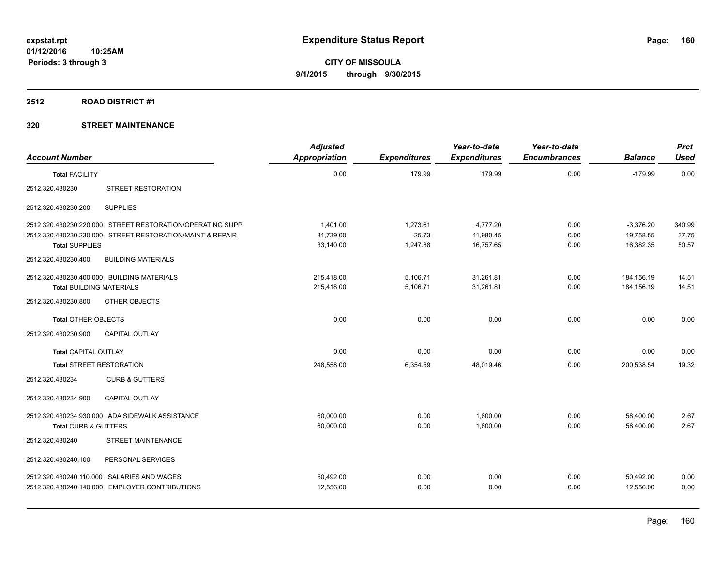#### **2512 ROAD DISTRICT #1**

| <b>Account Number</b>           |                                                           | <b>Adjusted</b><br>Appropriation | <b>Expenditures</b> | Year-to-date<br><b>Expenditures</b> | Year-to-date<br><b>Encumbrances</b> | <b>Balance</b> | <b>Prct</b><br><b>Used</b> |
|---------------------------------|-----------------------------------------------------------|----------------------------------|---------------------|-------------------------------------|-------------------------------------|----------------|----------------------------|
| <b>Total FACILITY</b>           |                                                           | 0.00                             | 179.99              | 179.99                              | 0.00                                | $-179.99$      | 0.00                       |
| 2512.320.430230                 | STREET RESTORATION                                        |                                  |                     |                                     |                                     |                |                            |
| 2512.320.430230.200             | <b>SUPPLIES</b>                                           |                                  |                     |                                     |                                     |                |                            |
|                                 | 2512.320.430230.220.000 STREET RESTORATION/OPERATING SUPP | 1.401.00                         | 1,273.61            | 4,777.20                            | 0.00                                | $-3,376.20$    | 340.99                     |
|                                 | 2512.320.430230.230.000 STREET RESTORATION/MAINT & REPAIR | 31,739.00                        | $-25.73$            | 11,980.45                           | 0.00                                | 19,758.55      | 37.75                      |
| <b>Total SUPPLIES</b>           |                                                           | 33,140.00                        | 1,247.88            | 16,757.65                           | 0.00                                | 16.382.35      | 50.57                      |
| 2512.320.430230.400             | <b>BUILDING MATERIALS</b>                                 |                                  |                     |                                     |                                     |                |                            |
|                                 | 2512.320.430230.400.000 BUILDING MATERIALS                | 215,418.00                       | 5,106.71            | 31,261.81                           | 0.00                                | 184, 156. 19   | 14.51                      |
| <b>Total BUILDING MATERIALS</b> |                                                           | 215,418.00                       | 5,106.71            | 31,261.81                           | 0.00                                | 184, 156. 19   | 14.51                      |
| 2512.320.430230.800             | OTHER OBJECTS                                             |                                  |                     |                                     |                                     |                |                            |
| Total OTHER OBJECTS             |                                                           | 0.00                             | 0.00                | 0.00                                | 0.00                                | 0.00           | 0.00                       |
| 2512.320.430230.900             | <b>CAPITAL OUTLAY</b>                                     |                                  |                     |                                     |                                     |                |                            |
| <b>Total CAPITAL OUTLAY</b>     |                                                           | 0.00                             | 0.00                | 0.00                                | 0.00                                | 0.00           | 0.00                       |
| <b>Total STREET RESTORATION</b> |                                                           | 248,558.00                       | 6,354.59            | 48,019.46                           | 0.00                                | 200,538.54     | 19.32                      |
| 2512.320.430234                 | <b>CURB &amp; GUTTERS</b>                                 |                                  |                     |                                     |                                     |                |                            |
| 2512.320.430234.900             | CAPITAL OUTLAY                                            |                                  |                     |                                     |                                     |                |                            |
|                                 | 2512.320.430234.930.000 ADA SIDEWALK ASSISTANCE           | 60,000.00                        | 0.00                | 1.600.00                            | 0.00                                | 58,400.00      | 2.67                       |
| Total CURB & GUTTERS            |                                                           | 60,000.00                        | 0.00                | 1,600.00                            | 0.00                                | 58,400.00      | 2.67                       |
| 2512.320.430240                 | <b>STREET MAINTENANCE</b>                                 |                                  |                     |                                     |                                     |                |                            |
| 2512.320.430240.100             | PERSONAL SERVICES                                         |                                  |                     |                                     |                                     |                |                            |
|                                 | 2512.320.430240.110.000 SALARIES AND WAGES                | 50,492.00                        | 0.00                | 0.00                                | 0.00                                | 50,492.00      | 0.00                       |
|                                 | 2512.320.430240.140.000 EMPLOYER CONTRIBUTIONS            | 12,556.00                        | 0.00                | 0.00                                | 0.00                                | 12,556.00      | 0.00                       |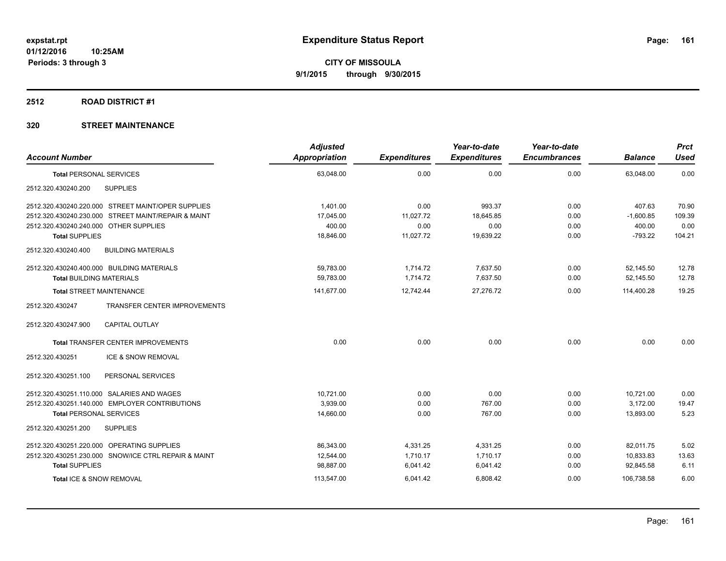#### **2512 ROAD DISTRICT #1**

|                                                        | <b>Adjusted</b> |                     | Year-to-date        | Year-to-date        |                | <b>Prct</b> |
|--------------------------------------------------------|-----------------|---------------------|---------------------|---------------------|----------------|-------------|
| <b>Account Number</b>                                  | Appropriation   | <b>Expenditures</b> | <b>Expenditures</b> | <b>Encumbrances</b> | <b>Balance</b> | <b>Used</b> |
| <b>Total PERSONAL SERVICES</b>                         | 63,048.00       | 0.00                | 0.00                | 0.00                | 63,048.00      | 0.00        |
| <b>SUPPLIES</b><br>2512.320.430240.200                 |                 |                     |                     |                     |                |             |
| 2512.320.430240.220.000 STREET MAINT/OPER SUPPLIES     | 1,401.00        | 0.00                | 993.37              | 0.00                | 407.63         | 70.90       |
| 2512.320.430240.230.000 STREET MAINT/REPAIR & MAINT    | 17,045.00       | 11,027.72           | 18,645.85           | 0.00                | $-1,600.85$    | 109.39      |
| 2512.320.430240.240.000 OTHER SUPPLIES                 | 400.00          | 0.00                | 0.00                | 0.00                | 400.00         | 0.00        |
| <b>Total SUPPLIES</b>                                  | 18,846.00       | 11,027.72           | 19,639.22           | 0.00                | $-793.22$      | 104.21      |
| 2512.320.430240.400<br><b>BUILDING MATERIALS</b>       |                 |                     |                     |                     |                |             |
| 2512.320.430240.400.000 BUILDING MATERIALS             | 59,783.00       | 1,714.72            | 7,637.50            | 0.00                | 52,145.50      | 12.78       |
| <b>Total BUILDING MATERIALS</b>                        | 59,783.00       | 1,714.72            | 7,637.50            | 0.00                | 52,145.50      | 12.78       |
| <b>Total STREET MAINTENANCE</b>                        | 141,677.00      | 12,742.44           | 27,276.72           | 0.00                | 114,400.28     | 19.25       |
| <b>TRANSFER CENTER IMPROVEMENTS</b><br>2512.320.430247 |                 |                     |                     |                     |                |             |
| <b>CAPITAL OUTLAY</b><br>2512.320.430247.900           |                 |                     |                     |                     |                |             |
| <b>Total TRANSFER CENTER IMPROVEMENTS</b>              | 0.00            | 0.00                | 0.00                | 0.00                | 0.00           | 0.00        |
| 2512.320.430251<br><b>ICE &amp; SNOW REMOVAL</b>       |                 |                     |                     |                     |                |             |
| PERSONAL SERVICES<br>2512.320.430251.100               |                 |                     |                     |                     |                |             |
| 2512.320.430251.110.000 SALARIES AND WAGES             | 10,721.00       | 0.00                | 0.00                | 0.00                | 10,721.00      | 0.00        |
| 2512.320.430251.140.000 EMPLOYER CONTRIBUTIONS         | 3,939.00        | 0.00                | 767.00              | 0.00                | 3,172.00       | 19.47       |
| <b>Total PERSONAL SERVICES</b>                         | 14,660.00       | 0.00                | 767.00              | 0.00                | 13.893.00      | 5.23        |
| 2512.320.430251.200<br><b>SUPPLIES</b>                 |                 |                     |                     |                     |                |             |
| 2512.320.430251.220.000 OPERATING SUPPLIES             | 86,343.00       | 4,331.25            | 4,331.25            | 0.00                | 82.011.75      | 5.02        |
| 2512.320.430251.230.000 SNOW/ICE CTRL REPAIR & MAINT   | 12,544.00       | 1,710.17            | 1,710.17            | 0.00                | 10,833.83      | 13.63       |
| <b>Total SUPPLIES</b>                                  | 98,887.00       | 6,041.42            | 6,041.42            | 0.00                | 92,845.58      | 6.11        |
| Total ICE & SNOW REMOVAL                               | 113,547.00      | 6,041.42            | 6,808.42            | 0.00                | 106,738.58     | 6.00        |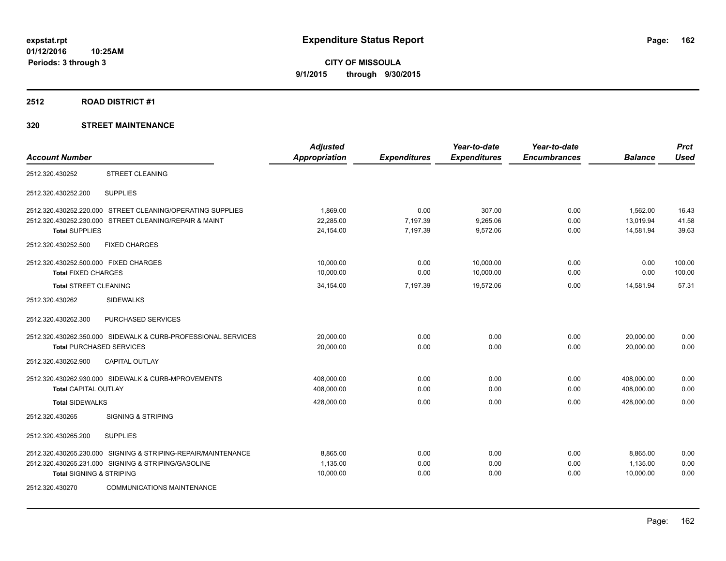#### **2512 ROAD DISTRICT #1**

|                                       |                                                               | <b>Adjusted</b>      |                     | Year-to-date        | Year-to-date        |                | <b>Prct</b> |
|---------------------------------------|---------------------------------------------------------------|----------------------|---------------------|---------------------|---------------------|----------------|-------------|
| <b>Account Number</b>                 |                                                               | <b>Appropriation</b> | <b>Expenditures</b> | <b>Expenditures</b> | <b>Encumbrances</b> | <b>Balance</b> | <b>Used</b> |
| 2512.320.430252                       | <b>STREET CLEANING</b>                                        |                      |                     |                     |                     |                |             |
| 2512.320.430252.200                   | <b>SUPPLIES</b>                                               |                      |                     |                     |                     |                |             |
|                                       | 2512.320.430252.220.000 STREET CLEANING/OPERATING SUPPLIES    | 1.869.00             | 0.00                | 307.00              | 0.00                | 1,562.00       | 16.43       |
| 2512.320.430252.230.000               | STREET CLEANING/REPAIR & MAINT                                | 22.285.00            | 7,197.39            | 9,265.06            | 0.00                | 13.019.94      | 41.58       |
| <b>Total SUPPLIES</b>                 |                                                               | 24,154.00            | 7,197.39            | 9,572.06            | 0.00                | 14,581.94      | 39.63       |
| 2512.320.430252.500                   | <b>FIXED CHARGES</b>                                          |                      |                     |                     |                     |                |             |
| 2512.320.430252.500.000 FIXED CHARGES |                                                               | 10,000.00            | 0.00                | 10,000.00           | 0.00                | 0.00           | 100.00      |
| <b>Total FIXED CHARGES</b>            |                                                               | 10,000.00            | 0.00                | 10,000.00           | 0.00                | 0.00           | 100.00      |
| <b>Total STREET CLEANING</b>          |                                                               | 34,154.00            | 7,197.39            | 19,572.06           | 0.00                | 14,581.94      | 57.31       |
| 2512.320.430262                       | <b>SIDEWALKS</b>                                              |                      |                     |                     |                     |                |             |
| 2512.320.430262.300                   | PURCHASED SERVICES                                            |                      |                     |                     |                     |                |             |
|                                       | 2512.320.430262.350.000 SIDEWALK & CURB-PROFESSIONAL SERVICES | 20,000.00            | 0.00                | 0.00                | 0.00                | 20,000.00      | 0.00        |
| <b>Total PURCHASED SERVICES</b>       |                                                               | 20.000.00            | 0.00                | 0.00                | 0.00                | 20.000.00      | 0.00        |
| 2512.320.430262.900                   | <b>CAPITAL OUTLAY</b>                                         |                      |                     |                     |                     |                |             |
|                                       | 2512.320.430262.930.000 SIDEWALK & CURB-MPROVEMENTS           | 408,000.00           | 0.00                | 0.00                | 0.00                | 408,000.00     | 0.00        |
| <b>Total CAPITAL OUTLAY</b>           |                                                               | 408,000.00           | 0.00                | 0.00                | 0.00                | 408.000.00     | 0.00        |
| <b>Total SIDEWALKS</b>                |                                                               | 428,000.00           | 0.00                | 0.00                | 0.00                | 428,000.00     | 0.00        |
| 2512.320.430265                       | <b>SIGNING &amp; STRIPING</b>                                 |                      |                     |                     |                     |                |             |
| 2512.320.430265.200                   | <b>SUPPLIES</b>                                               |                      |                     |                     |                     |                |             |
| 2512.320.430265.230.000               | SIGNING & STRIPING-REPAIR/MAINTENANCE                         | 8.865.00             | 0.00                | 0.00                | 0.00                | 8.865.00       | 0.00        |
|                                       | 2512.320.430265.231.000 SIGNING & STRIPING/GASOLINE           | 1,135.00             | 0.00                | 0.00                | 0.00                | 1,135.00       | 0.00        |
| <b>Total SIGNING &amp; STRIPING</b>   |                                                               | 10,000.00            | 0.00                | 0.00                | 0.00                | 10,000.00      | 0.00        |
| 2512.320.430270                       | <b>COMMUNICATIONS MAINTENANCE</b>                             |                      |                     |                     |                     |                |             |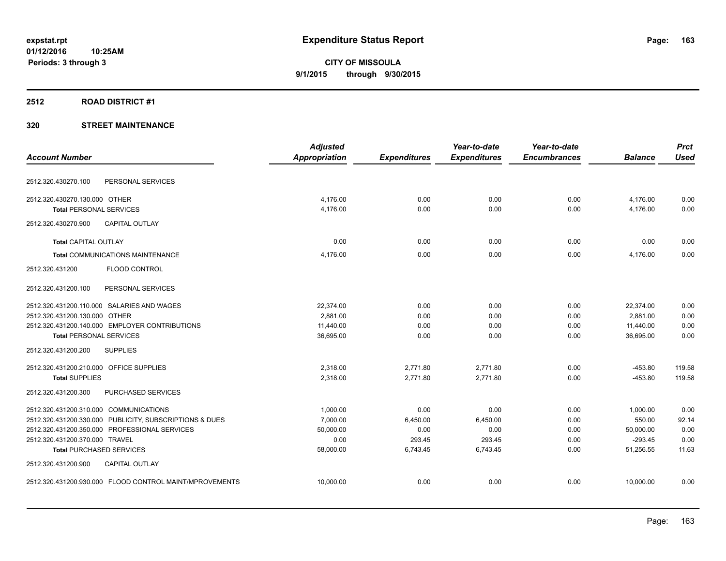#### **2512 ROAD DISTRICT #1**

|                                         |                                                         | <b>Adjusted</b>      |                     | Year-to-date        | Year-to-date        |                | <b>Prct</b> |
|-----------------------------------------|---------------------------------------------------------|----------------------|---------------------|---------------------|---------------------|----------------|-------------|
| <b>Account Number</b>                   |                                                         | <b>Appropriation</b> | <b>Expenditures</b> | <b>Expenditures</b> | <b>Encumbrances</b> | <b>Balance</b> | <b>Used</b> |
| 2512.320.430270.100                     | PERSONAL SERVICES                                       |                      |                     |                     |                     |                |             |
| 2512.320.430270.130.000 OTHER           |                                                         | 4.176.00             | 0.00                | 0.00                | 0.00                | 4,176.00       | 0.00        |
| <b>Total PERSONAL SERVICES</b>          |                                                         | 4.176.00             | 0.00                | 0.00                | 0.00                | 4.176.00       | 0.00        |
| 2512.320.430270.900                     | <b>CAPITAL OUTLAY</b>                                   |                      |                     |                     |                     |                |             |
| <b>Total CAPITAL OUTLAY</b>             |                                                         | 0.00                 | 0.00                | 0.00                | 0.00                | 0.00           | 0.00        |
|                                         | Total COMMUNICATIONS MAINTENANCE                        | 4,176.00             | 0.00                | 0.00                | 0.00                | 4.176.00       | 0.00        |
| 2512.320.431200                         | <b>FLOOD CONTROL</b>                                    |                      |                     |                     |                     |                |             |
| 2512.320.431200.100                     | PERSONAL SERVICES                                       |                      |                     |                     |                     |                |             |
|                                         | 2512.320.431200.110.000 SALARIES AND WAGES              | 22,374.00            | 0.00                | 0.00                | 0.00                | 22,374.00      | 0.00        |
| 2512.320.431200.130.000 OTHER           |                                                         | 2,881.00             | 0.00                | 0.00                | 0.00                | 2,881.00       | 0.00        |
|                                         | 2512.320.431200.140.000 EMPLOYER CONTRIBUTIONS          | 11,440.00            | 0.00                | 0.00                | 0.00                | 11,440.00      | 0.00        |
| <b>Total PERSONAL SERVICES</b>          |                                                         | 36,695.00            | 0.00                | 0.00                | 0.00                | 36,695.00      | 0.00        |
| 2512.320.431200.200                     | <b>SUPPLIES</b>                                         |                      |                     |                     |                     |                |             |
| 2512.320.431200.210.000 OFFICE SUPPLIES |                                                         | 2,318.00             | 2,771.80            | 2,771.80            | 0.00                | $-453.80$      | 119.58      |
| <b>Total SUPPLIES</b>                   |                                                         | 2.318.00             | 2.771.80            | 2.771.80            | 0.00                | $-453.80$      | 119.58      |
| 2512.320.431200.300                     | PURCHASED SERVICES                                      |                      |                     |                     |                     |                |             |
| 2512.320.431200.310.000 COMMUNICATIONS  |                                                         | 1,000.00             | 0.00                | 0.00                | 0.00                | 1,000.00       | 0.00        |
|                                         | 2512.320.431200.330.000 PUBLICITY, SUBSCRIPTIONS & DUES | 7,000.00             | 6,450.00            | 6,450.00            | 0.00                | 550.00         | 92.14       |
|                                         | 2512.320.431200.350.000 PROFESSIONAL SERVICES           | 50,000.00            | 0.00                | 0.00                | 0.00                | 50,000.00      | 0.00        |
| 2512.320.431200.370.000 TRAVEL          |                                                         | 0.00                 | 293.45              | 293.45              | 0.00                | $-293.45$      | 0.00        |
| <b>Total PURCHASED SERVICES</b>         |                                                         | 58,000.00            | 6,743.45            | 6,743.45            | 0.00                | 51,256.55      | 11.63       |
| 2512.320.431200.900                     | <b>CAPITAL OUTLAY</b>                                   |                      |                     |                     |                     |                |             |
|                                         | 2512.320.431200.930.000 FLOOD CONTROL MAINT/MPROVEMENTS | 10,000.00            | 0.00                | 0.00                | 0.00                | 10,000.00      | 0.00        |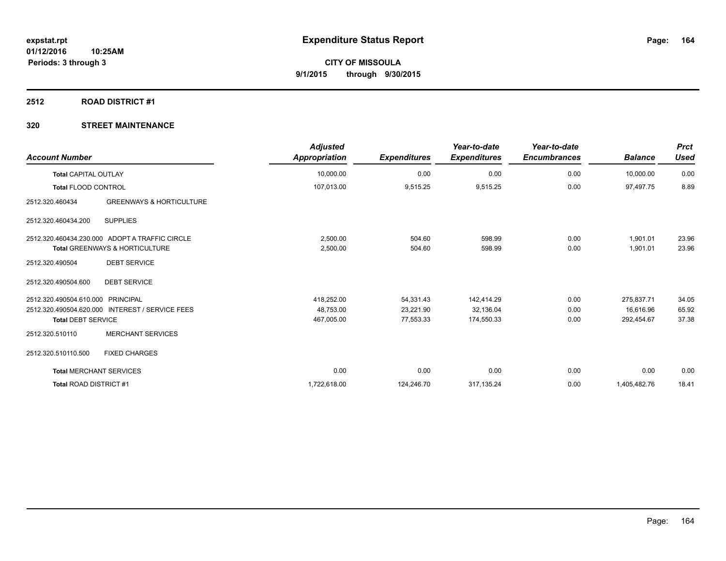#### **2512 ROAD DISTRICT #1**

| <b>Account Number</b>             |                                                 | <b>Adjusted</b><br><b>Appropriation</b> | <b>Expenditures</b> | Year-to-date<br><b>Expenditures</b> | Year-to-date<br><b>Encumbrances</b> | <b>Balance</b> | <b>Prct</b><br><b>Used</b> |
|-----------------------------------|-------------------------------------------------|-----------------------------------------|---------------------|-------------------------------------|-------------------------------------|----------------|----------------------------|
| <b>Total CAPITAL OUTLAY</b>       |                                                 | 10,000.00                               | 0.00                | 0.00                                | 0.00                                | 10,000.00      | 0.00                       |
| <b>Total FLOOD CONTROL</b>        |                                                 | 107,013.00                              | 9,515.25            | 9,515.25                            | 0.00                                | 97,497.75      | 8.89                       |
| 2512.320.460434                   | <b>GREENWAYS &amp; HORTICULTURE</b>             |                                         |                     |                                     |                                     |                |                            |
| 2512.320.460434.200               | <b>SUPPLIES</b>                                 |                                         |                     |                                     |                                     |                |                            |
|                                   | 2512.320.460434.230.000 ADOPT A TRAFFIC CIRCLE  | 2,500.00                                | 504.60              | 598.99                              | 0.00                                | 1,901.01       | 23.96                      |
|                                   | <b>Total GREENWAYS &amp; HORTICULTURE</b>       | 2,500.00                                | 504.60              | 598.99                              | 0.00                                | 1,901.01       | 23.96                      |
| 2512.320.490504                   | <b>DEBT SERVICE</b>                             |                                         |                     |                                     |                                     |                |                            |
| 2512.320.490504.600               | <b>DEBT SERVICE</b>                             |                                         |                     |                                     |                                     |                |                            |
| 2512.320.490504.610.000 PRINCIPAL |                                                 | 418,252.00                              | 54,331.43           | 142,414.29                          | 0.00                                | 275.837.71     | 34.05                      |
|                                   | 2512.320.490504.620.000 INTEREST / SERVICE FEES | 48,753.00                               | 23,221.90           | 32,136.04                           | 0.00                                | 16,616.96      | 65.92                      |
| <b>Total DEBT SERVICE</b>         |                                                 | 467,005.00                              | 77,553.33           | 174,550.33                          | 0.00                                | 292,454.67     | 37.38                      |
| 2512.320.510110                   | <b>MERCHANT SERVICES</b>                        |                                         |                     |                                     |                                     |                |                            |
| 2512.320.510110.500               | <b>FIXED CHARGES</b>                            |                                         |                     |                                     |                                     |                |                            |
| <b>Total MERCHANT SERVICES</b>    |                                                 | 0.00                                    | 0.00                | 0.00                                | 0.00                                | 0.00           | 0.00                       |
| Total ROAD DISTRICT #1            |                                                 | 1,722,618.00                            | 124,246.70          | 317,135.24                          | 0.00                                | 1,405,482.76   | 18.41                      |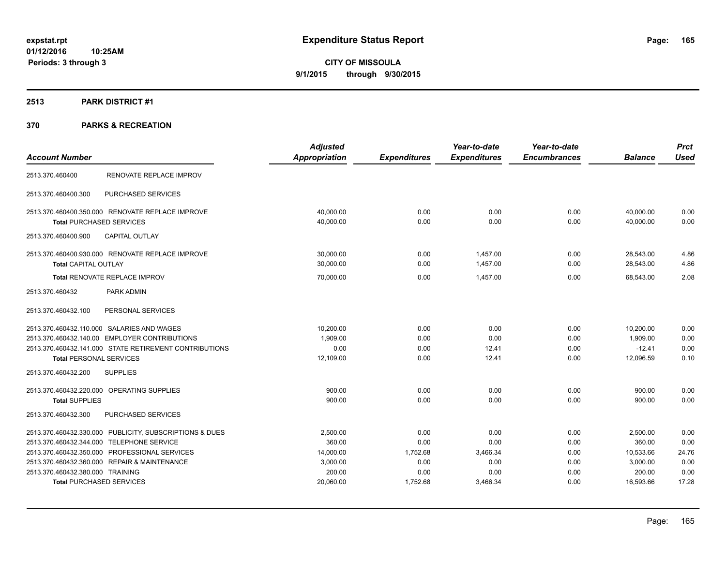### **2513 PARK DISTRICT #1**

|                                                         | <b>Adjusted</b>      |                     | Year-to-date        | Year-to-date        |                | <b>Prct</b> |
|---------------------------------------------------------|----------------------|---------------------|---------------------|---------------------|----------------|-------------|
| <b>Account Number</b>                                   | <b>Appropriation</b> | <b>Expenditures</b> | <b>Expenditures</b> | <b>Encumbrances</b> | <b>Balance</b> | <b>Used</b> |
| RENOVATE REPLACE IMPROV<br>2513.370.460400              |                      |                     |                     |                     |                |             |
| PURCHASED SERVICES<br>2513.370.460400.300               |                      |                     |                     |                     |                |             |
| 2513.370.460400.350.000 RENOVATE REPLACE IMPROVE        | 40,000.00            | 0.00                | 0.00                | 0.00                | 40,000.00      | 0.00        |
| <b>Total PURCHASED SERVICES</b>                         | 40,000.00            | 0.00                | 0.00                | 0.00                | 40,000.00      | 0.00        |
| <b>CAPITAL OUTLAY</b><br>2513.370.460400.900            |                      |                     |                     |                     |                |             |
| 2513.370.460400.930.000 RENOVATE REPLACE IMPROVE        | 30,000.00            | 0.00                | 1.457.00            | 0.00                | 28,543.00      | 4.86        |
| Total CAPITAL OUTLAY                                    | 30,000.00            | 0.00                | 1,457.00            | 0.00                | 28,543.00      | 4.86        |
| Total RENOVATE REPLACE IMPROV                           | 70,000.00            | 0.00                | 1.457.00            | 0.00                | 68.543.00      | 2.08        |
| PARK ADMIN<br>2513.370.460432                           |                      |                     |                     |                     |                |             |
| PERSONAL SERVICES<br>2513.370.460432.100                |                      |                     |                     |                     |                |             |
| 2513.370.460432.110.000 SALARIES AND WAGES              | 10,200.00            | 0.00                | 0.00                | 0.00                | 10,200.00      | 0.00        |
| 2513.370.460432.140.00 EMPLOYER CONTRIBUTIONS           | 1,909.00             | 0.00                | 0.00                | 0.00                | 1,909.00       | 0.00        |
| 2513.370.460432.141.000 STATE RETIREMENT CONTRIBUTIONS  | 0.00                 | 0.00                | 12.41               | 0.00                | $-12.41$       | 0.00        |
| <b>Total PERSONAL SERVICES</b>                          | 12,109.00            | 0.00                | 12.41               | 0.00                | 12,096.59      | 0.10        |
| <b>SUPPLIES</b><br>2513.370.460432.200                  |                      |                     |                     |                     |                |             |
| 2513.370.460432.220.000 OPERATING SUPPLIES              | 900.00               | 0.00                | 0.00                | 0.00                | 900.00         | 0.00        |
| <b>Total SUPPLIES</b>                                   | 900.00               | 0.00                | 0.00                | 0.00                | 900.00         | 0.00        |
| PURCHASED SERVICES<br>2513.370.460432.300               |                      |                     |                     |                     |                |             |
| 2513.370.460432.330.000 PUBLICITY, SUBSCRIPTIONS & DUES | 2,500.00             | 0.00                | 0.00                | 0.00                | 2,500.00       | 0.00        |
| 2513.370.460432.344.000 TELEPHONE SERVICE               | 360.00               | 0.00                | 0.00                | 0.00                | 360.00         | 0.00        |
| 2513.370.460432.350.000 PROFESSIONAL SERVICES           | 14,000.00            | 1,752.68            | 3,466.34            | 0.00                | 10,533.66      | 24.76       |
| 2513.370.460432.360.000 REPAIR & MAINTENANCE            | 3,000.00             | 0.00                | 0.00                | 0.00                | 3,000.00       | 0.00        |
| 2513.370.460432.380.000 TRAINING                        | 200.00               | 0.00                | 0.00                | 0.00                | 200.00         | 0.00        |
| <b>Total PURCHASED SERVICES</b>                         | 20,060.00            | 1,752.68            | 3,466.34            | 0.00                | 16,593.66      | 17.28       |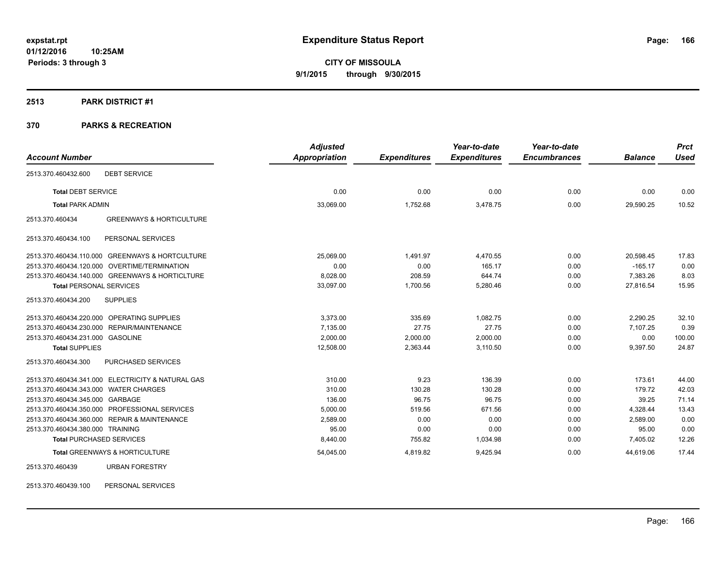#### **2513 PARK DISTRICT #1**

### **370 PARKS & RECREATION**

|                                                        | <b>Adjusted</b>      |                     | Year-to-date        | Year-to-date        |                | <b>Prct</b> |
|--------------------------------------------------------|----------------------|---------------------|---------------------|---------------------|----------------|-------------|
| <b>Account Number</b>                                  | <b>Appropriation</b> | <b>Expenditures</b> | <b>Expenditures</b> | <b>Encumbrances</b> | <b>Balance</b> | <b>Used</b> |
| 2513.370.460432.600<br><b>DEBT SERVICE</b>             |                      |                     |                     |                     |                |             |
| <b>Total DEBT SERVICE</b>                              | 0.00                 | 0.00                | 0.00                | 0.00                | 0.00           | 0.00        |
| <b>Total PARK ADMIN</b>                                | 33,069.00            | 1,752.68            | 3,478.75            | 0.00                | 29,590.25      | 10.52       |
| <b>GREENWAYS &amp; HORTICULTURE</b><br>2513.370.460434 |                      |                     |                     |                     |                |             |
| PERSONAL SERVICES<br>2513.370.460434.100               |                      |                     |                     |                     |                |             |
| 2513.370.460434.110.000 GREENWAYS & HORTCULTURE        | 25,069.00            | 1,491.97            | 4,470.55            | 0.00                | 20,598.45      | 17.83       |
| 2513.370.460434.120.000 OVERTIME/TERMINATION           | 0.00                 | 0.00                | 165.17              | 0.00                | $-165.17$      | 0.00        |
| 2513.370.460434.140.000 GREENWAYS & HORTICLTURE        | 8.028.00             | 208.59              | 644.74              | 0.00                | 7.383.26       | 8.03        |
| <b>Total PERSONAL SERVICES</b>                         | 33,097.00            | 1,700.56            | 5,280.46            | 0.00                | 27,816.54      | 15.95       |
| 2513.370.460434.200<br><b>SUPPLIES</b>                 |                      |                     |                     |                     |                |             |
| 2513.370.460434.220.000 OPERATING SUPPLIES             | 3,373.00             | 335.69              | 1.082.75            | 0.00                | 2,290.25       | 32.10       |
| 2513.370.460434.230.000 REPAIR/MAINTENANCE             | 7.135.00             | 27.75               | 27.75               | 0.00                | 7.107.25       | 0.39        |
| 2513.370.460434.231.000 GASOLINE                       | 2,000.00             | 2,000.00            | 2,000.00            | 0.00                | 0.00           | 100.00      |
| <b>Total SUPPLIES</b>                                  | 12,508.00            | 2,363.44            | 3,110.50            | 0.00                | 9,397.50       | 24.87       |
| PURCHASED SERVICES<br>2513.370.460434.300              |                      |                     |                     |                     |                |             |
| 2513.370.460434.341.000 ELECTRICITY & NATURAL GAS      | 310.00               | 9.23                | 136.39              | 0.00                | 173.61         | 44.00       |
| 2513.370.460434.343.000 WATER CHARGES                  | 310.00               | 130.28              | 130.28              | 0.00                | 179.72         | 42.03       |
| 2513.370.460434.345.000 GARBAGE                        | 136.00               | 96.75               | 96.75               | 0.00                | 39.25          | 71.14       |
| 2513.370.460434.350.000 PROFESSIONAL SERVICES          | 5,000.00             | 519.56              | 671.56              | 0.00                | 4,328.44       | 13.43       |
| 2513.370.460434.360.000 REPAIR & MAINTENANCE           | 2,589.00             | 0.00                | 0.00                | 0.00                | 2,589.00       | 0.00        |
| 2513.370.460434.380.000 TRAINING                       | 95.00                | 0.00                | 0.00                | 0.00                | 95.00          | 0.00        |
| <b>Total PURCHASED SERVICES</b>                        | 8,440.00             | 755.82              | 1,034.98            | 0.00                | 7,405.02       | 12.26       |
| Total GREENWAYS & HORTICULTURE                         | 54,045.00            | 4,819.82            | 9,425.94            | 0.00                | 44,619.06      | 17.44       |
| 2513.370.460439<br><b>URBAN FORESTRY</b>               |                      |                     |                     |                     |                |             |

2513.370.460439.100 PERSONAL SERVICES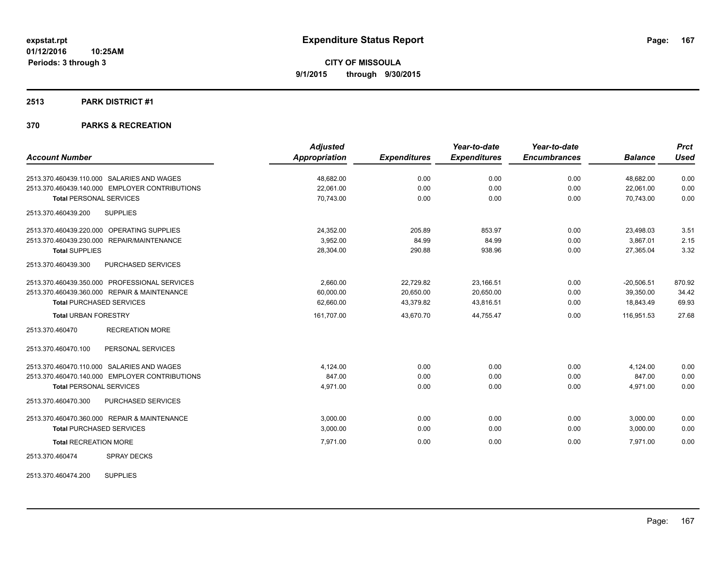#### **2513 PARK DISTRICT #1**

### **370 PARKS & RECREATION**

|                                                | <b>Adjusted</b> |                     | Year-to-date        | Year-to-date        |                | <b>Prct</b> |
|------------------------------------------------|-----------------|---------------------|---------------------|---------------------|----------------|-------------|
| <b>Account Number</b>                          | Appropriation   | <b>Expenditures</b> | <b>Expenditures</b> | <b>Encumbrances</b> | <b>Balance</b> | <b>Used</b> |
| 2513.370.460439.110.000 SALARIES AND WAGES     | 48,682.00       | 0.00                | 0.00                | 0.00                | 48,682.00      | 0.00        |
| 2513.370.460439.140.000 EMPLOYER CONTRIBUTIONS | 22.061.00       | 0.00                | 0.00                | 0.00                | 22,061.00      | 0.00        |
| <b>Total PERSONAL SERVICES</b>                 | 70,743.00       | 0.00                | 0.00                | 0.00                | 70.743.00      | 0.00        |
| 2513.370.460439.200<br><b>SUPPLIES</b>         |                 |                     |                     |                     |                |             |
| 2513.370.460439.220.000 OPERATING SUPPLIES     | 24,352.00       | 205.89              | 853.97              | 0.00                | 23,498.03      | 3.51        |
| 2513.370.460439.230.000 REPAIR/MAINTENANCE     | 3,952.00        | 84.99               | 84.99               | 0.00                | 3,867.01       | 2.15        |
| <b>Total SUPPLIES</b>                          | 28,304.00       | 290.88              | 938.96              | 0.00                | 27,365.04      | 3.32        |
| 2513.370.460439.300<br>PURCHASED SERVICES      |                 |                     |                     |                     |                |             |
| 2513.370.460439.350.000 PROFESSIONAL SERVICES  | 2.660.00        | 22,729.82           | 23.166.51           | 0.00                | $-20,506.51$   | 870.92      |
| 2513.370.460439.360.000 REPAIR & MAINTENANCE   | 60,000.00       | 20,650.00           | 20,650.00           | 0.00                | 39,350.00      | 34.42       |
| <b>Total PURCHASED SERVICES</b>                | 62,660.00       | 43,379.82           | 43,816.51           | 0.00                | 18.843.49      | 69.93       |
| <b>Total URBAN FORESTRY</b>                    | 161,707.00      | 43,670.70           | 44,755.47           | 0.00                | 116,951.53     | 27.68       |
| <b>RECREATION MORE</b><br>2513.370.460470      |                 |                     |                     |                     |                |             |
| PERSONAL SERVICES<br>2513.370.460470.100       |                 |                     |                     |                     |                |             |
| 2513.370.460470.110.000 SALARIES AND WAGES     | 4.124.00        | 0.00                | 0.00                | 0.00                | 4,124.00       | 0.00        |
| 2513.370.460470.140.000 EMPLOYER CONTRIBUTIONS | 847.00          | 0.00                | 0.00                | 0.00                | 847.00         | 0.00        |
| <b>Total PERSONAL SERVICES</b>                 | 4,971.00        | 0.00                | 0.00                | 0.00                | 4,971.00       | 0.00        |
| 2513.370.460470.300<br>PURCHASED SERVICES      |                 |                     |                     |                     |                |             |
| 2513.370.460470.360.000 REPAIR & MAINTENANCE   | 3,000.00        | 0.00                | 0.00                | 0.00                | 3,000.00       | 0.00        |
| <b>Total PURCHASED SERVICES</b>                | 3,000.00        | 0.00                | 0.00                | 0.00                | 3,000.00       | 0.00        |
| <b>Total RECREATION MORE</b>                   | 7,971.00        | 0.00                | 0.00                | 0.00                | 7,971.00       | 0.00        |
| <b>SPRAY DECKS</b><br>2513.370.460474          |                 |                     |                     |                     |                |             |

2513.370.460474.200 SUPPLIES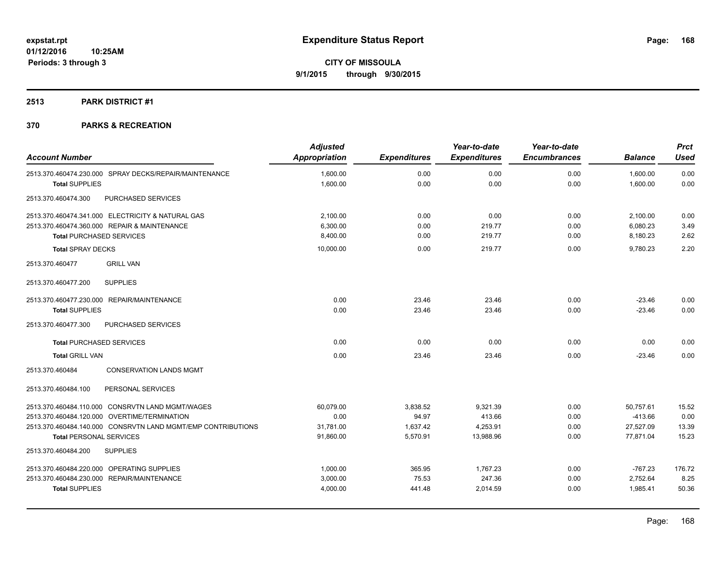### **2513 PARK DISTRICT #1**

|                                                              | <b>Adjusted</b> |                     | Year-to-date        | Year-to-date        |                | <b>Prct</b> |
|--------------------------------------------------------------|-----------------|---------------------|---------------------|---------------------|----------------|-------------|
| <b>Account Number</b>                                        | Appropriation   | <b>Expenditures</b> | <b>Expenditures</b> | <b>Encumbrances</b> | <b>Balance</b> | <b>Used</b> |
| 2513.370.460474.230.000 SPRAY DECKS/REPAIR/MAINTENANCE       | 1,600.00        | 0.00                | 0.00                | 0.00                | 1,600.00       | 0.00        |
| <b>Total SUPPLIES</b>                                        | 1,600.00        | 0.00                | 0.00                | 0.00                | 1,600.00       | 0.00        |
| 2513.370.460474.300<br>PURCHASED SERVICES                    |                 |                     |                     |                     |                |             |
| 2513.370.460474.341.000 ELECTRICITY & NATURAL GAS            | 2.100.00        | 0.00                | 0.00                | 0.00                | 2,100.00       | 0.00        |
| 2513.370.460474.360.000 REPAIR & MAINTENANCE                 | 6,300.00        | 0.00                | 219.77              | 0.00                | 6,080.23       | 3.49        |
| <b>Total PURCHASED SERVICES</b>                              | 8,400.00        | 0.00                | 219.77              | 0.00                | 8,180.23       | 2.62        |
| <b>Total SPRAY DECKS</b>                                     | 10,000.00       | 0.00                | 219.77              | 0.00                | 9.780.23       | 2.20        |
| <b>GRILL VAN</b><br>2513.370.460477                          |                 |                     |                     |                     |                |             |
| <b>SUPPLIES</b><br>2513.370.460477.200                       |                 |                     |                     |                     |                |             |
| 2513.370.460477.230.000 REPAIR/MAINTENANCE                   | 0.00            | 23.46               | 23.46               | 0.00                | $-23.46$       | 0.00        |
| <b>Total SUPPLIES</b>                                        | 0.00            | 23.46               | 23.46               | 0.00                | $-23.46$       | 0.00        |
| 2513.370.460477.300<br>PURCHASED SERVICES                    |                 |                     |                     |                     |                |             |
| <b>Total PURCHASED SERVICES</b>                              | 0.00            | 0.00                | 0.00                | 0.00                | 0.00           | 0.00        |
| <b>Total GRILL VAN</b>                                       | 0.00            | 23.46               | 23.46               | 0.00                | $-23.46$       | 0.00        |
| <b>CONSERVATION LANDS MGMT</b><br>2513.370.460484            |                 |                     |                     |                     |                |             |
| PERSONAL SERVICES<br>2513.370.460484.100                     |                 |                     |                     |                     |                |             |
| 2513.370.460484.110.000 CONSRVTN LAND MGMT/WAGES             | 60,079.00       | 3,838.52            | 9,321.39            | 0.00                | 50,757.61      | 15.52       |
| 2513.370.460484.120.000 OVERTIME/TERMINATION                 | 0.00            | 94.97               | 413.66              | 0.00                | $-413.66$      | 0.00        |
| 2513.370.460484.140.000 CONSRVTN LAND MGMT/EMP CONTRIBUTIONS | 31,781.00       | 1,637.42            | 4,253.91            | 0.00                | 27,527.09      | 13.39       |
| <b>Total PERSONAL SERVICES</b>                               | 91,860.00       | 5,570.91            | 13,988.96           | 0.00                | 77,871.04      | 15.23       |
| 2513.370.460484.200<br><b>SUPPLIES</b>                       |                 |                     |                     |                     |                |             |
| 2513.370.460484.220.000 OPERATING SUPPLIES                   | 1,000.00        | 365.95              | 1,767.23            | 0.00                | $-767.23$      | 176.72      |
| 2513.370.460484.230.000 REPAIR/MAINTENANCE                   | 3,000.00        | 75.53               | 247.36              | 0.00                | 2,752.64       | 8.25        |
| <b>Total SUPPLIES</b>                                        | 4,000.00        | 441.48              | 2,014.59            | 0.00                | 1,985.41       | 50.36       |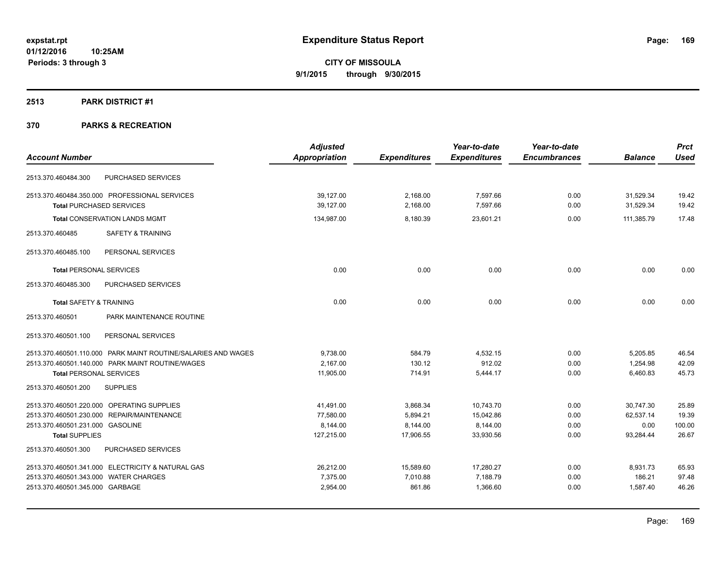### **2513 PARK DISTRICT #1**

|                                            |                                                               | <b>Adjusted</b> |                     | Year-to-date        | Year-to-date        |                | <b>Prct</b> |
|--------------------------------------------|---------------------------------------------------------------|-----------------|---------------------|---------------------|---------------------|----------------|-------------|
| <b>Account Number</b>                      |                                                               | Appropriation   | <b>Expenditures</b> | <b>Expenditures</b> | <b>Encumbrances</b> | <b>Balance</b> | <b>Used</b> |
| 2513.370.460484.300                        | PURCHASED SERVICES                                            |                 |                     |                     |                     |                |             |
|                                            | 2513.370.460484.350.000 PROFESSIONAL SERVICES                 | 39,127.00       | 2,168.00            | 7,597.66            | 0.00                | 31,529.34      | 19.42       |
| <b>Total PURCHASED SERVICES</b>            |                                                               | 39,127.00       | 2,168.00            | 7,597.66            | 0.00                | 31,529.34      | 19.42       |
|                                            | <b>Total CONSERVATION LANDS MGMT</b>                          | 134,987.00      | 8,180.39            | 23,601.21           | 0.00                | 111,385.79     | 17.48       |
| 2513.370.460485                            | <b>SAFETY &amp; TRAINING</b>                                  |                 |                     |                     |                     |                |             |
| 2513.370.460485.100                        | PERSONAL SERVICES                                             |                 |                     |                     |                     |                |             |
| <b>Total PERSONAL SERVICES</b>             |                                                               | 0.00            | 0.00                | 0.00                | 0.00                | 0.00           | 0.00        |
| 2513.370.460485.300                        | PURCHASED SERVICES                                            |                 |                     |                     |                     |                |             |
| <b>Total SAFETY &amp; TRAINING</b>         |                                                               | 0.00            | 0.00                | 0.00                | 0.00                | 0.00           | 0.00        |
| 2513.370.460501                            | PARK MAINTENANCE ROUTINE                                      |                 |                     |                     |                     |                |             |
| 2513.370.460501.100                        | PERSONAL SERVICES                                             |                 |                     |                     |                     |                |             |
|                                            | 2513.370.460501.110.000 PARK MAINT ROUTINE/SALARIES AND WAGES | 9,738.00        | 584.79              | 4,532.15            | 0.00                | 5,205.85       | 46.54       |
|                                            | 2513.370.460501.140.000 PARK MAINT ROUTINE/WAGES              | 2,167.00        | 130.12              | 912.02              | 0.00                | 1,254.98       | 42.09       |
| <b>Total PERSONAL SERVICES</b>             |                                                               | 11,905.00       | 714.91              | 5,444.17            | 0.00                | 6,460.83       | 45.73       |
| 2513.370.460501.200                        | <b>SUPPLIES</b>                                               |                 |                     |                     |                     |                |             |
| 2513.370.460501.220.000 OPERATING SUPPLIES |                                                               | 41,491.00       | 3,868.34            | 10,743.70           | 0.00                | 30,747.30      | 25.89       |
| 2513.370.460501.230.000 REPAIR/MAINTENANCE |                                                               | 77,580.00       | 5,894.21            | 15,042.86           | 0.00                | 62,537.14      | 19.39       |
| 2513.370.460501.231.000 GASOLINE           |                                                               | 8,144.00        | 8,144.00            | 8,144.00            | 0.00                | 0.00           | 100.00      |
| <b>Total SUPPLIES</b>                      |                                                               | 127,215.00      | 17,906.55           | 33,930.56           | 0.00                | 93,284.44      | 26.67       |
| 2513.370.460501.300                        | PURCHASED SERVICES                                            |                 |                     |                     |                     |                |             |
|                                            | 2513.370.460501.341.000 ELECTRICITY & NATURAL GAS             | 26,212.00       | 15,589.60           | 17,280.27           | 0.00                | 8,931.73       | 65.93       |
| 2513.370.460501.343.000 WATER CHARGES      |                                                               | 7,375.00        | 7,010.88            | 7,188.79            | 0.00                | 186.21         | 97.48       |
| 2513.370.460501.345.000 GARBAGE            |                                                               | 2,954.00        | 861.86              | 1,366.60            | 0.00                | 1,587.40       | 46.26       |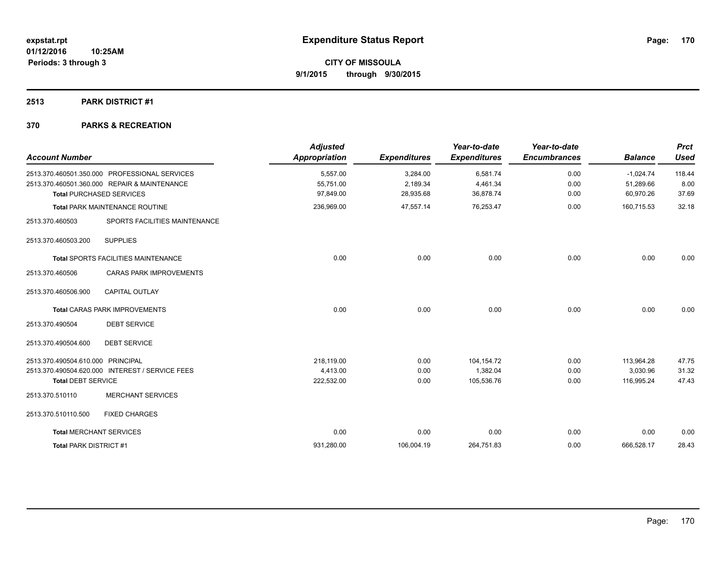### **2513 PARK DISTRICT #1**

| <b>Account Number</b>                                                                                                            | <b>Adjusted</b><br><b>Appropriation</b> | <b>Expenditures</b>               | Year-to-date<br><b>Expenditures</b> | Year-to-date<br><b>Encumbrances</b> | <b>Balance</b>                        | <b>Prct</b><br><b>Used</b> |
|----------------------------------------------------------------------------------------------------------------------------------|-----------------------------------------|-----------------------------------|-------------------------------------|-------------------------------------|---------------------------------------|----------------------------|
| 2513.370.460501.350.000 PROFESSIONAL SERVICES<br>2513.370.460501.360.000 REPAIR & MAINTENANCE<br><b>Total PURCHASED SERVICES</b> | 5.557.00<br>55,751.00<br>97,849.00      | 3,284.00<br>2,189.34<br>28,935.68 | 6,581.74<br>4,461.34<br>36,878.74   | 0.00<br>0.00<br>0.00                | $-1,024.74$<br>51,289.66<br>60,970.26 | 118.44<br>8.00<br>37.69    |
| <b>Total PARK MAINTENANCE ROUTINE</b>                                                                                            | 236,969.00                              | 47,557.14                         | 76,253.47                           | 0.00                                | 160,715.53                            | 32.18                      |
| SPORTS FACILITIES MAINTENANCE<br>2513.370.460503                                                                                 |                                         |                                   |                                     |                                     |                                       |                            |
| <b>SUPPLIES</b><br>2513.370.460503.200                                                                                           |                                         |                                   |                                     |                                     |                                       |                            |
| Total SPORTS FACILITIES MAINTENANCE                                                                                              | 0.00                                    | 0.00                              | 0.00                                | 0.00                                | 0.00                                  | 0.00                       |
| 2513.370.460506<br><b>CARAS PARK IMPROVEMENTS</b>                                                                                |                                         |                                   |                                     |                                     |                                       |                            |
| 2513.370.460506.900<br><b>CAPITAL OUTLAY</b>                                                                                     |                                         |                                   |                                     |                                     |                                       |                            |
| <b>Total CARAS PARK IMPROVEMENTS</b>                                                                                             | 0.00                                    | 0.00                              | 0.00                                | 0.00                                | 0.00                                  | 0.00                       |
| <b>DEBT SERVICE</b><br>2513.370.490504                                                                                           |                                         |                                   |                                     |                                     |                                       |                            |
| 2513.370.490504.600<br><b>DEBT SERVICE</b>                                                                                       |                                         |                                   |                                     |                                     |                                       |                            |
| 2513.370.490504.610.000 PRINCIPAL                                                                                                | 218.119.00                              | 0.00                              | 104,154.72                          | 0.00                                | 113,964.28                            | 47.75                      |
| 2513.370.490504.620.000 INTEREST / SERVICE FEES                                                                                  | 4,413.00                                | 0.00                              | 1,382.04                            | 0.00                                | 3,030.96                              | 31.32                      |
| <b>Total DEBT SERVICE</b>                                                                                                        | 222,532.00                              | 0.00                              | 105,536.76                          | 0.00                                | 116,995.24                            | 47.43                      |
| 2513.370.510110<br><b>MERCHANT SERVICES</b>                                                                                      |                                         |                                   |                                     |                                     |                                       |                            |
| <b>FIXED CHARGES</b><br>2513.370.510110.500                                                                                      |                                         |                                   |                                     |                                     |                                       |                            |
| <b>Total MERCHANT SERVICES</b>                                                                                                   | 0.00                                    | 0.00                              | 0.00                                | 0.00                                | 0.00                                  | 0.00                       |
| Total PARK DISTRICT #1                                                                                                           | 931,280.00                              | 106,004.19                        | 264,751.83                          | 0.00                                | 666,528.17                            | 28.43                      |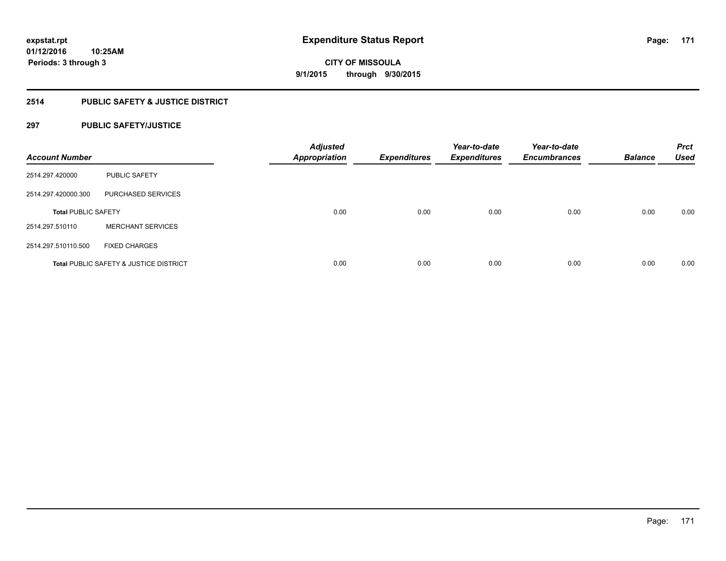### **2514 PUBLIC SAFETY & JUSTICE DISTRICT**

### **297 PUBLIC SAFETY/JUSTICE**

| <b>Account Number</b>      |                                                   | <b>Adjusted</b><br><b>Appropriation</b> | <b>Expenditures</b> | Year-to-date<br><b>Expenditures</b> | Year-to-date<br><b>Encumbrances</b> | <b>Balance</b> | <b>Prct</b><br><b>Used</b> |
|----------------------------|---------------------------------------------------|-----------------------------------------|---------------------|-------------------------------------|-------------------------------------|----------------|----------------------------|
| 2514.297.420000            | <b>PUBLIC SAFETY</b>                              |                                         |                     |                                     |                                     |                |                            |
| 2514.297.420000.300        | PURCHASED SERVICES                                |                                         |                     |                                     |                                     |                |                            |
| <b>Total PUBLIC SAFETY</b> |                                                   | 0.00                                    | 0.00                | 0.00                                | 0.00                                | 0.00           | 0.00                       |
| 2514.297.510110            | <b>MERCHANT SERVICES</b>                          |                                         |                     |                                     |                                     |                |                            |
| 2514.297.510110.500        | <b>FIXED CHARGES</b>                              |                                         |                     |                                     |                                     |                |                            |
|                            | <b>Total PUBLIC SAFETY &amp; JUSTICE DISTRICT</b> | 0.00                                    | 0.00                | 0.00                                | 0.00                                | 0.00           | 0.00                       |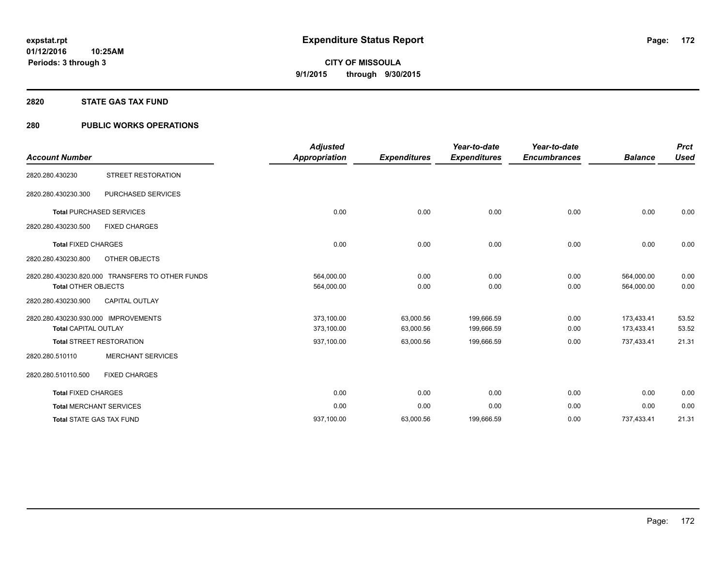#### **2820 STATE GAS TAX FUND**

### **280 PUBLIC WORKS OPERATIONS**

| <b>Account Number</b>                                               |                                                  | <b>Adjusted</b><br><b>Appropriation</b> | <b>Expenditures</b>    | Year-to-date<br><b>Expenditures</b> | Year-to-date<br><b>Encumbrances</b> | <b>Balance</b>           | <b>Prct</b><br><b>Used</b> |
|---------------------------------------------------------------------|--------------------------------------------------|-----------------------------------------|------------------------|-------------------------------------|-------------------------------------|--------------------------|----------------------------|
| 2820.280.430230                                                     | <b>STREET RESTORATION</b>                        |                                         |                        |                                     |                                     |                          |                            |
| 2820.280.430230.300                                                 | <b>PURCHASED SERVICES</b>                        |                                         |                        |                                     |                                     |                          |                            |
|                                                                     | <b>Total PURCHASED SERVICES</b>                  | 0.00                                    | 0.00                   | 0.00                                | 0.00                                | 0.00                     | 0.00                       |
| 2820.280.430230.500                                                 | <b>FIXED CHARGES</b>                             |                                         |                        |                                     |                                     |                          |                            |
| <b>Total FIXED CHARGES</b>                                          |                                                  | 0.00                                    | 0.00                   | 0.00                                | 0.00                                | 0.00                     | 0.00                       |
| 2820.280.430230.800                                                 | OTHER OBJECTS                                    |                                         |                        |                                     |                                     |                          |                            |
| <b>Total OTHER OBJECTS</b>                                          | 2820.280.430230.820.000 TRANSFERS TO OTHER FUNDS | 564,000.00<br>564,000.00                | 0.00<br>0.00           | 0.00<br>0.00                        | 0.00<br>0.00                        | 564,000.00<br>564,000.00 | 0.00<br>0.00               |
| 2820.280.430230.900                                                 | <b>CAPITAL OUTLAY</b>                            |                                         |                        |                                     |                                     |                          |                            |
| 2820.280.430230.930.000 IMPROVEMENTS<br><b>Total CAPITAL OUTLAY</b> |                                                  | 373,100.00<br>373,100.00                | 63,000.56<br>63,000.56 | 199,666.59<br>199,666.59            | 0.00<br>0.00                        | 173.433.41<br>173,433.41 | 53.52<br>53.52             |
| <b>Total STREET RESTORATION</b>                                     |                                                  | 937,100.00                              | 63,000.56              | 199,666.59                          | 0.00                                | 737,433.41               | 21.31                      |
| 2820.280.510110                                                     | <b>MERCHANT SERVICES</b>                         |                                         |                        |                                     |                                     |                          |                            |
| 2820.280.510110.500                                                 | <b>FIXED CHARGES</b>                             |                                         |                        |                                     |                                     |                          |                            |
| <b>Total FIXED CHARGES</b>                                          |                                                  | 0.00                                    | 0.00                   | 0.00                                | 0.00                                | 0.00                     | 0.00                       |
| <b>Total MERCHANT SERVICES</b>                                      |                                                  | 0.00                                    | 0.00                   | 0.00                                | 0.00                                | 0.00                     | 0.00                       |
| <b>Total STATE GAS TAX FUND</b>                                     |                                                  | 937.100.00                              | 63,000.56              | 199,666.59                          | 0.00                                | 737.433.41               | 21.31                      |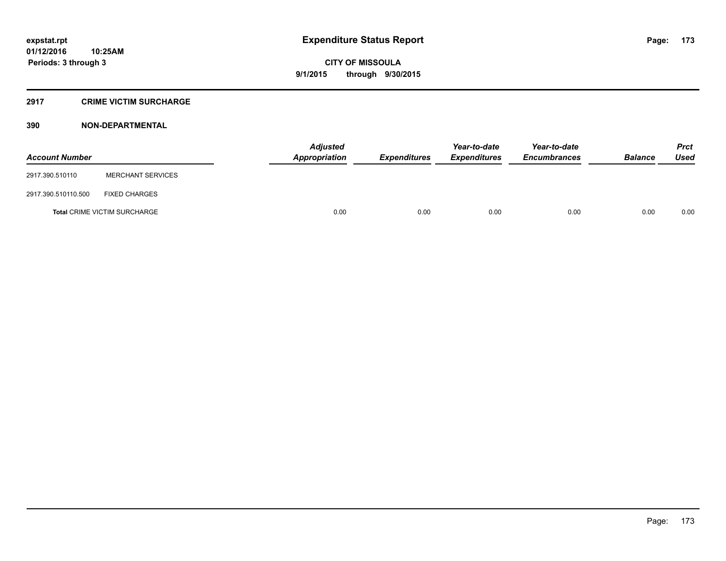#### **2917 CRIME VICTIM SURCHARGE**

### **390 NON-DEPARTMENTAL**

| <b>Account Number</b> |                                     | <b>Adjusted</b><br>Appropriation | <b>Expenditures</b> | Year-to-date<br><b>Expenditures</b> | Year-to-date<br><b>Encumbrances</b> | <b>Balance</b> | <b>Prct</b><br>Used |
|-----------------------|-------------------------------------|----------------------------------|---------------------|-------------------------------------|-------------------------------------|----------------|---------------------|
| 2917.390.510110       | <b>MERCHANT SERVICES</b>            |                                  |                     |                                     |                                     |                |                     |
| 2917.390.510110.500   | <b>FIXED CHARGES</b>                |                                  |                     |                                     |                                     |                |                     |
|                       | <b>Total CRIME VICTIM SURCHARGE</b> | 0.00                             | 0.00                | 0.00                                | 0.00                                | 0.00           | 0.00                |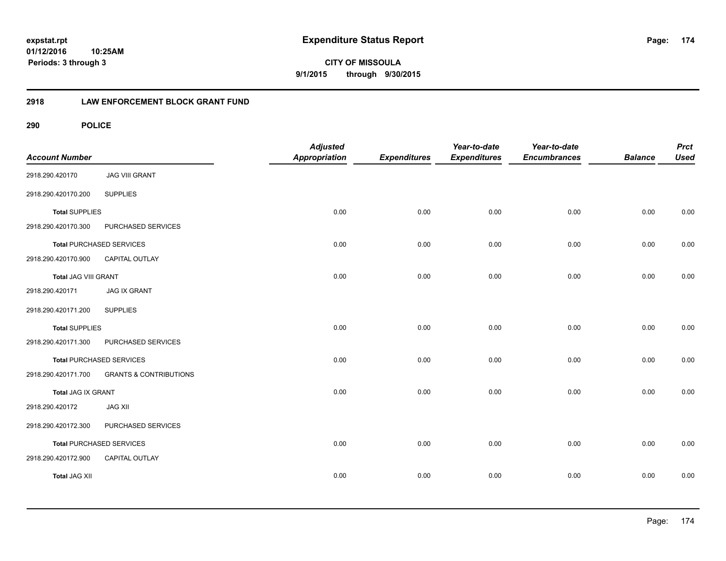**CITY OF MISSOULA 9/1/2015 through 9/30/2015**

### **2918 LAW ENFORCEMENT BLOCK GRANT FUND**

| <b>Account Number</b> |                                   | <b>Adjusted</b><br>Appropriation | <b>Expenditures</b> | Year-to-date<br><b>Expenditures</b> | Year-to-date<br><b>Encumbrances</b> | <b>Balance</b> | <b>Prct</b><br><b>Used</b> |
|-----------------------|-----------------------------------|----------------------------------|---------------------|-------------------------------------|-------------------------------------|----------------|----------------------------|
| 2918.290.420170       | <b>JAG VIII GRANT</b>             |                                  |                     |                                     |                                     |                |                            |
| 2918.290.420170.200   | <b>SUPPLIES</b>                   |                                  |                     |                                     |                                     |                |                            |
| <b>Total SUPPLIES</b> |                                   | 0.00                             | 0.00                | 0.00                                | 0.00                                | 0.00           | 0.00                       |
| 2918.290.420170.300   | PURCHASED SERVICES                |                                  |                     |                                     |                                     |                |                            |
|                       | <b>Total PURCHASED SERVICES</b>   | 0.00                             | 0.00                | 0.00                                | 0.00                                | 0.00           | 0.00                       |
| 2918.290.420170.900   | CAPITAL OUTLAY                    |                                  |                     |                                     |                                     |                |                            |
| Total JAG VIII GRANT  |                                   | 0.00                             | 0.00                | 0.00                                | 0.00                                | 0.00           | 0.00                       |
| 2918.290.420171       | <b>JAG IX GRANT</b>               |                                  |                     |                                     |                                     |                |                            |
| 2918.290.420171.200   | <b>SUPPLIES</b>                   |                                  |                     |                                     |                                     |                |                            |
| <b>Total SUPPLIES</b> |                                   | 0.00                             | 0.00                | 0.00                                | 0.00                                | 0.00           | 0.00                       |
| 2918.290.420171.300   | PURCHASED SERVICES                |                                  |                     |                                     |                                     |                |                            |
|                       | <b>Total PURCHASED SERVICES</b>   | 0.00                             | 0.00                | 0.00                                | 0.00                                | 0.00           | 0.00                       |
| 2918.290.420171.700   | <b>GRANTS &amp; CONTRIBUTIONS</b> |                                  |                     |                                     |                                     |                |                            |
| Total JAG IX GRANT    |                                   | 0.00                             | 0.00                | 0.00                                | 0.00                                | 0.00           | 0.00                       |
| 2918.290.420172       | <b>JAG XII</b>                    |                                  |                     |                                     |                                     |                |                            |
| 2918.290.420172.300   | PURCHASED SERVICES                |                                  |                     |                                     |                                     |                |                            |
|                       | <b>Total PURCHASED SERVICES</b>   | 0.00                             | 0.00                | 0.00                                | 0.00                                | 0.00           | 0.00                       |
| 2918.290.420172.900   | CAPITAL OUTLAY                    |                                  |                     |                                     |                                     |                |                            |
| <b>Total JAG XII</b>  |                                   | 0.00                             | 0.00                | 0.00                                | 0.00                                | 0.00           | 0.00                       |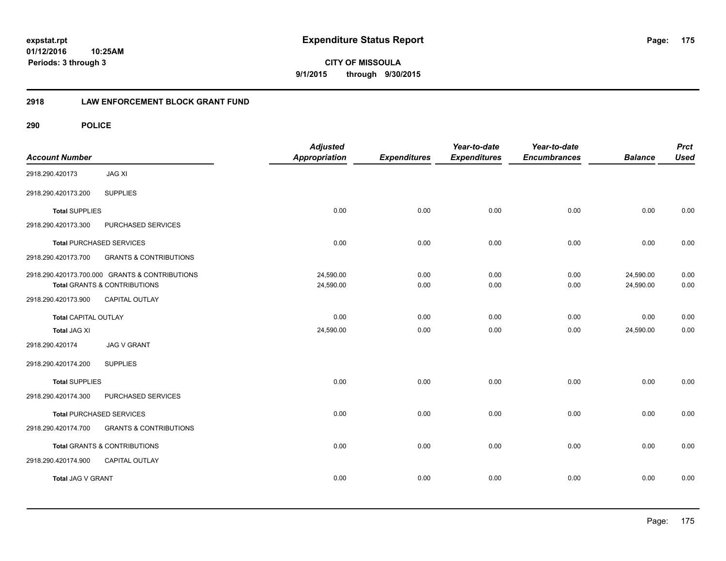**CITY OF MISSOULA 9/1/2015 through 9/30/2015**

### **2918 LAW ENFORCEMENT BLOCK GRANT FUND**

| <b>Account Number</b>       |                                                | <b>Adjusted</b><br>Appropriation | <b>Expenditures</b> | Year-to-date<br><b>Expenditures</b> | Year-to-date<br><b>Encumbrances</b> | <b>Balance</b> | <b>Prct</b><br><b>Used</b> |
|-----------------------------|------------------------------------------------|----------------------------------|---------------------|-------------------------------------|-------------------------------------|----------------|----------------------------|
| 2918.290.420173             | <b>JAG XI</b>                                  |                                  |                     |                                     |                                     |                |                            |
| 2918.290.420173.200         | <b>SUPPLIES</b>                                |                                  |                     |                                     |                                     |                |                            |
| <b>Total SUPPLIES</b>       |                                                | 0.00                             | 0.00                | 0.00                                | 0.00                                | 0.00           | 0.00                       |
| 2918.290.420173.300         | PURCHASED SERVICES                             |                                  |                     |                                     |                                     |                |                            |
|                             | <b>Total PURCHASED SERVICES</b>                | 0.00                             | 0.00                | 0.00                                | 0.00                                | 0.00           | 0.00                       |
| 2918.290.420173.700         | <b>GRANTS &amp; CONTRIBUTIONS</b>              |                                  |                     |                                     |                                     |                |                            |
|                             | 2918.290.420173.700.000 GRANTS & CONTRIBUTIONS | 24,590.00                        | 0.00                | 0.00                                | 0.00                                | 24,590.00      | 0.00                       |
|                             | Total GRANTS & CONTRIBUTIONS                   | 24,590.00                        | 0.00                | 0.00                                | 0.00                                | 24,590.00      | 0.00                       |
| 2918.290.420173.900         | <b>CAPITAL OUTLAY</b>                          |                                  |                     |                                     |                                     |                |                            |
| <b>Total CAPITAL OUTLAY</b> |                                                | 0.00                             | 0.00                | 0.00                                | 0.00                                | 0.00           | 0.00                       |
| <b>Total JAG XI</b>         |                                                | 24,590.00                        | 0.00                | 0.00                                | 0.00                                | 24,590.00      | 0.00                       |
| 2918.290.420174             | <b>JAG V GRANT</b>                             |                                  |                     |                                     |                                     |                |                            |
| 2918.290.420174.200         | <b>SUPPLIES</b>                                |                                  |                     |                                     |                                     |                |                            |
| <b>Total SUPPLIES</b>       |                                                | 0.00                             | 0.00                | 0.00                                | 0.00                                | 0.00           | 0.00                       |
| 2918.290.420174.300         | PURCHASED SERVICES                             |                                  |                     |                                     |                                     |                |                            |
|                             | <b>Total PURCHASED SERVICES</b>                | 0.00                             | 0.00                | 0.00                                | 0.00                                | 0.00           | 0.00                       |
| 2918.290.420174.700         | <b>GRANTS &amp; CONTRIBUTIONS</b>              |                                  |                     |                                     |                                     |                |                            |
|                             | Total GRANTS & CONTRIBUTIONS                   | 0.00                             | 0.00                | 0.00                                | 0.00                                | 0.00           | 0.00                       |
| 2918.290.420174.900         | <b>CAPITAL OUTLAY</b>                          |                                  |                     |                                     |                                     |                |                            |
| Total JAG V GRANT           |                                                | 0.00                             | 0.00                | 0.00                                | 0.00                                | 0.00           | 0.00                       |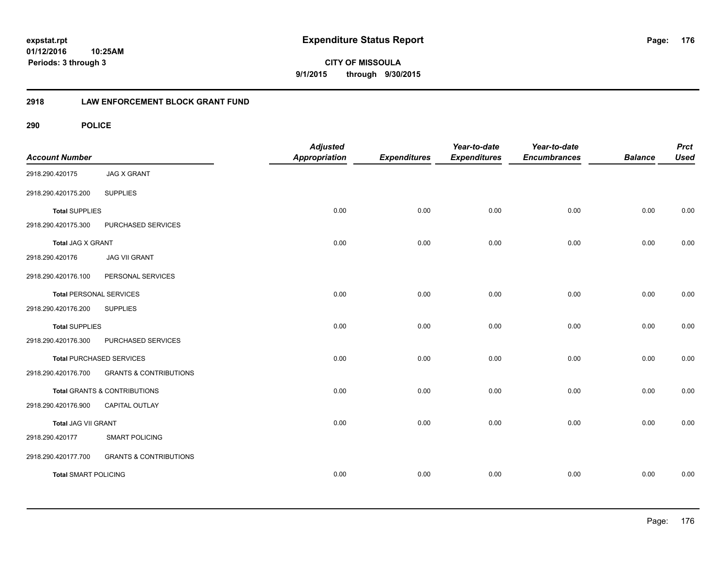**CITY OF MISSOULA 9/1/2015 through 9/30/2015**

### **2918 LAW ENFORCEMENT BLOCK GRANT FUND**

| <b>Account Number</b>          |                                   | <b>Adjusted</b><br><b>Appropriation</b> | <b>Expenditures</b> | Year-to-date<br><b>Expenditures</b> | Year-to-date<br><b>Encumbrances</b> | <b>Balance</b> | <b>Prct</b><br><b>Used</b> |
|--------------------------------|-----------------------------------|-----------------------------------------|---------------------|-------------------------------------|-------------------------------------|----------------|----------------------------|
| 2918.290.420175                | <b>JAG X GRANT</b>                |                                         |                     |                                     |                                     |                |                            |
| 2918.290.420175.200            | <b>SUPPLIES</b>                   |                                         |                     |                                     |                                     |                |                            |
| <b>Total SUPPLIES</b>          |                                   | 0.00                                    | 0.00                | 0.00                                | 0.00                                | 0.00           | 0.00                       |
| 2918.290.420175.300            | PURCHASED SERVICES                |                                         |                     |                                     |                                     |                |                            |
| Total JAG X GRANT              |                                   | 0.00                                    | 0.00                | 0.00                                | 0.00                                | 0.00           | 0.00                       |
| 2918.290.420176                | <b>JAG VII GRANT</b>              |                                         |                     |                                     |                                     |                |                            |
| 2918.290.420176.100            | PERSONAL SERVICES                 |                                         |                     |                                     |                                     |                |                            |
| <b>Total PERSONAL SERVICES</b> |                                   | 0.00                                    | 0.00                | 0.00                                | 0.00                                | 0.00           | 0.00                       |
| 2918.290.420176.200            | <b>SUPPLIES</b>                   |                                         |                     |                                     |                                     |                |                            |
| <b>Total SUPPLIES</b>          |                                   | 0.00                                    | 0.00                | 0.00                                | 0.00                                | 0.00           | 0.00                       |
| 2918.290.420176.300            | PURCHASED SERVICES                |                                         |                     |                                     |                                     |                |                            |
|                                | <b>Total PURCHASED SERVICES</b>   | 0.00                                    | 0.00                | 0.00                                | 0.00                                | 0.00           | 0.00                       |
| 2918.290.420176.700            | <b>GRANTS &amp; CONTRIBUTIONS</b> |                                         |                     |                                     |                                     |                |                            |
|                                | Total GRANTS & CONTRIBUTIONS      | 0.00                                    | 0.00                | 0.00                                | 0.00                                | 0.00           | 0.00                       |
| 2918.290.420176.900            | CAPITAL OUTLAY                    |                                         |                     |                                     |                                     |                |                            |
| Total JAG VII GRANT            |                                   | 0.00                                    | 0.00                | 0.00                                | 0.00                                | 0.00           | 0.00                       |
| 2918.290.420177                | <b>SMART POLICING</b>             |                                         |                     |                                     |                                     |                |                            |
| 2918.290.420177.700            | <b>GRANTS &amp; CONTRIBUTIONS</b> |                                         |                     |                                     |                                     |                |                            |
| <b>Total SMART POLICING</b>    |                                   | 0.00                                    | 0.00                | 0.00                                | 0.00                                | 0.00           | 0.00                       |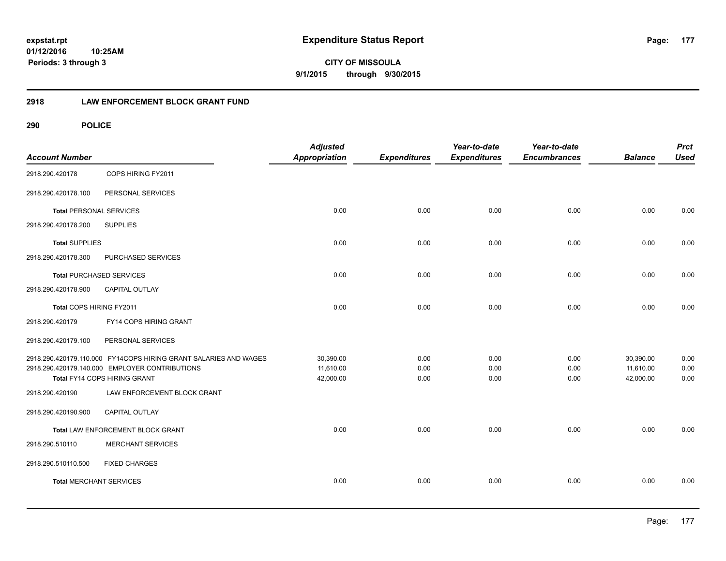**CITY OF MISSOULA 9/1/2015 through 9/30/2015**

### **2918 LAW ENFORCEMENT BLOCK GRANT FUND**

| <b>Account Number</b>          |                                                                  | <b>Adjusted</b><br><b>Appropriation</b> | <b>Expenditures</b> | Year-to-date<br><b>Expenditures</b> | Year-to-date<br><b>Encumbrances</b> | <b>Balance</b> | <b>Prct</b><br><b>Used</b> |
|--------------------------------|------------------------------------------------------------------|-----------------------------------------|---------------------|-------------------------------------|-------------------------------------|----------------|----------------------------|
| 2918.290.420178                | COPS HIRING FY2011                                               |                                         |                     |                                     |                                     |                |                            |
| 2918.290.420178.100            | PERSONAL SERVICES                                                |                                         |                     |                                     |                                     |                |                            |
| <b>Total PERSONAL SERVICES</b> |                                                                  | 0.00                                    | 0.00                | 0.00                                | 0.00                                | 0.00           | 0.00                       |
| 2918.290.420178.200            | <b>SUPPLIES</b>                                                  |                                         |                     |                                     |                                     |                |                            |
| <b>Total SUPPLIES</b>          |                                                                  | 0.00                                    | 0.00                | 0.00                                | 0.00                                | 0.00           | 0.00                       |
| 2918.290.420178.300            | PURCHASED SERVICES                                               |                                         |                     |                                     |                                     |                |                            |
|                                | <b>Total PURCHASED SERVICES</b>                                  | 0.00                                    | 0.00                | 0.00                                | 0.00                                | 0.00           | 0.00                       |
| 2918.290.420178.900            | <b>CAPITAL OUTLAY</b>                                            |                                         |                     |                                     |                                     |                |                            |
| Total COPS HIRING FY2011       |                                                                  | 0.00                                    | 0.00                | 0.00                                | 0.00                                | 0.00           | 0.00                       |
| 2918.290.420179                | FY14 COPS HIRING GRANT                                           |                                         |                     |                                     |                                     |                |                            |
| 2918.290.420179.100            | PERSONAL SERVICES                                                |                                         |                     |                                     |                                     |                |                            |
|                                | 2918.290.420179.110.000 FY14COPS HIRING GRANT SALARIES AND WAGES | 30,390.00                               | 0.00                | 0.00                                | 0.00                                | 30,390.00      | 0.00                       |
|                                | 2918.290.420179.140.000 EMPLOYER CONTRIBUTIONS                   | 11,610.00                               | 0.00                | 0.00                                | 0.00                                | 11,610.00      | 0.00                       |
|                                | Total FY14 COPS HIRING GRANT                                     | 42,000.00                               | 0.00                | 0.00                                | 0.00                                | 42,000.00      | 0.00                       |
| 2918.290.420190                | LAW ENFORCEMENT BLOCK GRANT                                      |                                         |                     |                                     |                                     |                |                            |
| 2918.290.420190.900            | CAPITAL OUTLAY                                                   |                                         |                     |                                     |                                     |                |                            |
|                                | Total LAW ENFORCEMENT BLOCK GRANT                                | 0.00                                    | 0.00                | 0.00                                | 0.00                                | 0.00           | 0.00                       |
| 2918.290.510110                | <b>MERCHANT SERVICES</b>                                         |                                         |                     |                                     |                                     |                |                            |
| 2918.290.510110.500            | <b>FIXED CHARGES</b>                                             |                                         |                     |                                     |                                     |                |                            |
| <b>Total MERCHANT SERVICES</b> |                                                                  | 0.00                                    | 0.00                | 0.00                                | 0.00                                | 0.00           | 0.00                       |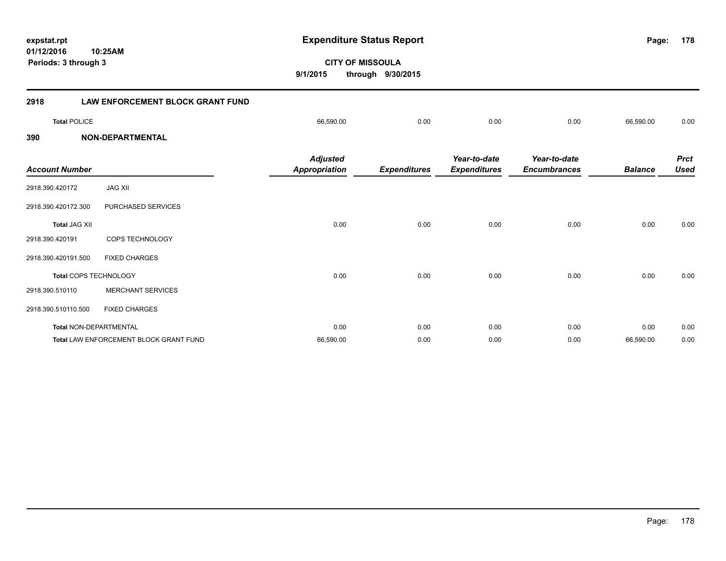**CITY OF MISSOULA 9/1/2015 through 9/30/2015 Periods: 3 through 3 2918 LAW ENFORCEMENT BLOCK GRANT FUND Total** POLICE 66,590.00 0.00 0.00 0.00 66,590.00 0.00 **390 NON-DEPARTMENTAL** *Prct Balance Used Year-to-date Encumbrances Year-to-date Expenditures Expenditures Adjusted Account Number Appropriation* 2918.390.420172 JAG XII 2918.390.420172.300 PURCHASED SERVICES **Total** JAG XII 0.00 0.00 0.00 0.00 0.00 0.00 2918.390.420191 COPS TECHNOLOGY 2918.390.420191.500 FIXED CHARGES **Total** COPS TECHNOLOGY 0.00 0.00 0.00 0.00 0.00 0.00 2918.390.510110 MERCHANT SERVICES 2918.390.510110.500 FIXED CHARGES **Total** NON-DEPARTMENTAL 0.00 0.00 0.00 0.00 0.00 0.00

**Total** LAW ENFORCEMENT BLOCK GRANT FUND 66,590.00 0.00 0.00 0.00 66,590.00 0.00

**expstat.rpt Expenditure Status Report** 

**178**

**01/12/2016 10:25AM**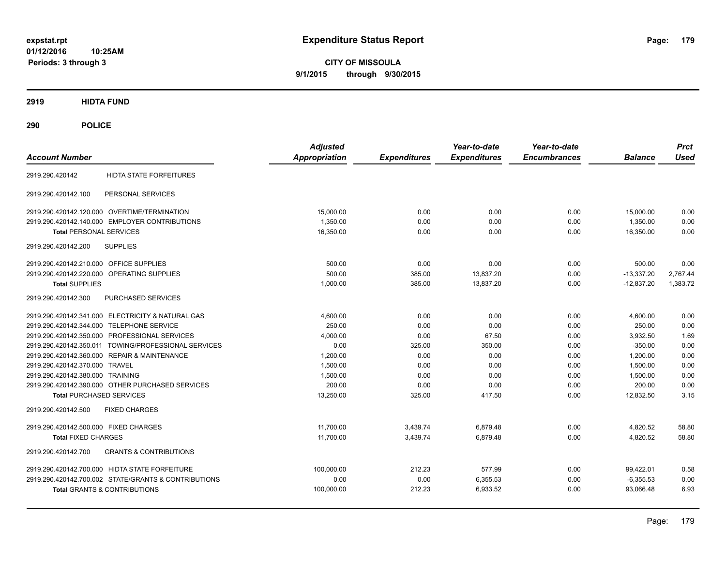**CITY OF MISSOULA 9/1/2015 through 9/30/2015**

**2919 HIDTA FUND**

| <b>Account Number</b>                                    | <b>Adjusted</b><br><b>Appropriation</b> | <b>Expenditures</b> | Year-to-date<br><b>Expenditures</b> | Year-to-date<br><b>Encumbrances</b> | <b>Balance</b> | <b>Prct</b><br><b>Used</b> |
|----------------------------------------------------------|-----------------------------------------|---------------------|-------------------------------------|-------------------------------------|----------------|----------------------------|
| <b>HIDTA STATE FORFEITURES</b><br>2919.290.420142        |                                         |                     |                                     |                                     |                |                            |
| PERSONAL SERVICES<br>2919.290.420142.100                 |                                         |                     |                                     |                                     |                |                            |
| 2919.290.420142.120.000 OVERTIME/TERMINATION             | 15,000.00                               | 0.00                | 0.00                                | 0.00                                | 15,000.00      | 0.00                       |
| 2919.290.420142.140.000 EMPLOYER CONTRIBUTIONS           | 1,350.00                                | 0.00                | 0.00                                | 0.00                                | 1,350.00       | 0.00                       |
| <b>Total PERSONAL SERVICES</b>                           | 16,350.00                               | 0.00                | 0.00                                | 0.00                                | 16,350.00      | 0.00                       |
| <b>SUPPLIES</b><br>2919.290.420142.200                   |                                         |                     |                                     |                                     |                |                            |
| 2919.290.420142.210.000 OFFICE SUPPLIES                  | 500.00                                  | 0.00                | 0.00                                | 0.00                                | 500.00         | 0.00                       |
| 2919.290.420142.220.000 OPERATING SUPPLIES               | 500.00                                  | 385.00              | 13,837.20                           | 0.00                                | $-13,337.20$   | 2,767.44                   |
| <b>Total SUPPLIES</b>                                    | 1,000.00                                | 385.00              | 13,837.20                           | 0.00                                | $-12,837.20$   | 1,383.72                   |
| 2919.290.420142.300<br>PURCHASED SERVICES                |                                         |                     |                                     |                                     |                |                            |
| 2919.290.420142.341.000 ELECTRICITY & NATURAL GAS        | 4.600.00                                | 0.00                | 0.00                                | 0.00                                | 4,600.00       | 0.00                       |
| 2919.290.420142.344.000 TELEPHONE SERVICE                | 250.00                                  | 0.00                | 0.00                                | 0.00                                | 250.00         | 0.00                       |
| 2919.290.420142.350.000 PROFESSIONAL SERVICES            | 4.000.00                                | 0.00                | 67.50                               | 0.00                                | 3,932.50       | 1.69                       |
| 2919.290.420142.350.011 TOWING/PROFESSIONAL SERVICES     | 0.00                                    | 325.00              | 350.00                              | 0.00                                | $-350.00$      | 0.00                       |
| 2919.290.420142.360.000 REPAIR & MAINTENANCE             | 1.200.00                                | 0.00                | 0.00                                | 0.00                                | 1.200.00       | 0.00                       |
| 2919.290.420142.370.000 TRAVEL                           | 1,500.00                                | 0.00                | 0.00                                | 0.00                                | 1.500.00       | 0.00                       |
| 2919.290.420142.380.000 TRAINING                         | 1,500.00                                | 0.00                | 0.00                                | 0.00                                | 1,500.00       | 0.00                       |
| 2919.290.420142.390.000 OTHER PURCHASED SERVICES         | 200.00                                  | 0.00                | 0.00                                | 0.00                                | 200.00         | 0.00                       |
| <b>Total PURCHASED SERVICES</b>                          | 13,250.00                               | 325.00              | 417.50                              | 0.00                                | 12,832.50      | 3.15                       |
| 2919.290.420142.500<br><b>FIXED CHARGES</b>              |                                         |                     |                                     |                                     |                |                            |
| 2919.290.420142.500.000 FIXED CHARGES                    | 11.700.00                               | 3,439.74            | 6,879.48                            | 0.00                                | 4,820.52       | 58.80                      |
| <b>Total FIXED CHARGES</b>                               | 11,700.00                               | 3,439.74            | 6,879.48                            | 0.00                                | 4,820.52       | 58.80                      |
| <b>GRANTS &amp; CONTRIBUTIONS</b><br>2919.290.420142.700 |                                         |                     |                                     |                                     |                |                            |
| 2919.290.420142.700.000 HIDTA STATE FORFEITURE           | 100,000.00                              | 212.23              | 577.99                              | 0.00                                | 99,422.01      | 0.58                       |
| 2919.290.420142.700.002 STATE/GRANTS & CONTRIBUTIONS     | 0.00                                    | 0.00                | 6,355.53                            | 0.00                                | $-6,355.53$    | 0.00                       |
| <b>Total GRANTS &amp; CONTRIBUTIONS</b>                  | 100,000.00                              | 212.23              | 6,933.52                            | 0.00                                | 93,066.48      | 6.93                       |
|                                                          |                                         |                     |                                     |                                     |                |                            |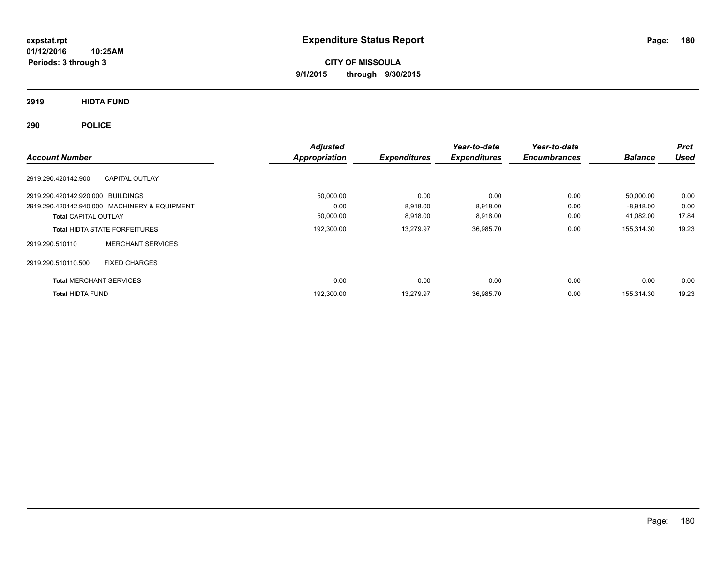**CITY OF MISSOULA 9/1/2015 through 9/30/2015**

**2919 HIDTA FUND**

| <b>Account Number</b>             |                                               | <b>Adjusted</b><br>Appropriation | <b>Expenditures</b> | Year-to-date<br><b>Expenditures</b> | Year-to-date<br><b>Encumbrances</b> | <b>Balance</b> | <b>Prct</b><br><b>Used</b> |
|-----------------------------------|-----------------------------------------------|----------------------------------|---------------------|-------------------------------------|-------------------------------------|----------------|----------------------------|
| 2919.290.420142.900               | <b>CAPITAL OUTLAY</b>                         |                                  |                     |                                     |                                     |                |                            |
| 2919.290.420142.920.000 BUILDINGS |                                               | 50,000.00                        | 0.00                | 0.00                                | 0.00                                | 50,000.00      | 0.00                       |
|                                   | 2919.290.420142.940.000 MACHINERY & EQUIPMENT | 0.00                             | 8,918.00            | 8.918.00                            | 0.00                                | $-8,918.00$    | 0.00                       |
| <b>Total CAPITAL OUTLAY</b>       |                                               | 50,000.00                        | 8,918.00            | 8,918.00                            | 0.00                                | 41,082.00      | 17.84                      |
|                                   | <b>Total HIDTA STATE FORFEITURES</b>          | 192,300.00                       | 13,279.97           | 36,985.70                           | 0.00                                | 155,314.30     | 19.23                      |
| 2919.290.510110                   | <b>MERCHANT SERVICES</b>                      |                                  |                     |                                     |                                     |                |                            |
| 2919.290.510110.500               | <b>FIXED CHARGES</b>                          |                                  |                     |                                     |                                     |                |                            |
| <b>Total MERCHANT SERVICES</b>    |                                               | 0.00                             | 0.00                | 0.00                                | 0.00                                | 0.00           | 0.00                       |
| <b>Total HIDTA FUND</b>           |                                               | 192,300.00                       | 13,279.97           | 36,985.70                           | 0.00                                | 155,314.30     | 19.23                      |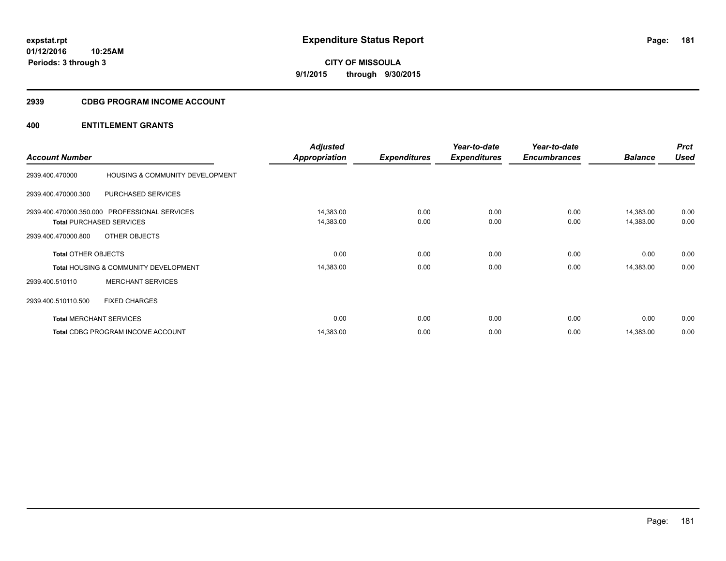**181**

**01/12/2016 10:25AM Periods: 3 through 3**

# **CITY OF MISSOULA 9/1/2015 through 9/30/2015**

# **2939 CDBG PROGRAM INCOME ACCOUNT**

| <b>Account Number</b>      |                                                                                  | <b>Adjusted</b><br><b>Appropriation</b> | <b>Expenditures</b> | Year-to-date<br><b>Expenditures</b> | Year-to-date<br><b>Encumbrances</b> | <b>Balance</b>         | <b>Prct</b><br><b>Used</b> |
|----------------------------|----------------------------------------------------------------------------------|-----------------------------------------|---------------------|-------------------------------------|-------------------------------------|------------------------|----------------------------|
| 2939.400.470000            | HOUSING & COMMUNITY DEVELOPMENT                                                  |                                         |                     |                                     |                                     |                        |                            |
| 2939.400.470000.300        | PURCHASED SERVICES                                                               |                                         |                     |                                     |                                     |                        |                            |
|                            | 2939.400.470000.350.000 PROFESSIONAL SERVICES<br><b>Total PURCHASED SERVICES</b> | 14,383.00<br>14,383.00                  | 0.00<br>0.00        | 0.00<br>0.00                        | 0.00<br>0.00                        | 14,383.00<br>14,383.00 | 0.00<br>0.00               |
| 2939.400.470000.800        | OTHER OBJECTS                                                                    |                                         |                     |                                     |                                     |                        |                            |
| <b>Total OTHER OBJECTS</b> |                                                                                  | 0.00                                    | 0.00                | 0.00                                | 0.00                                | 0.00                   | 0.00                       |
|                            | <b>Total HOUSING &amp; COMMUNITY DEVELOPMENT</b>                                 | 14,383.00                               | 0.00                | 0.00                                | 0.00                                | 14,383.00              | 0.00                       |
| 2939.400.510110            | <b>MERCHANT SERVICES</b>                                                         |                                         |                     |                                     |                                     |                        |                            |
| 2939.400.510110.500        | <b>FIXED CHARGES</b>                                                             |                                         |                     |                                     |                                     |                        |                            |
|                            | <b>Total MERCHANT SERVICES</b>                                                   | 0.00                                    | 0.00                | 0.00                                | 0.00                                | 0.00                   | 0.00                       |
|                            | Total CDBG PROGRAM INCOME ACCOUNT                                                | 14,383.00                               | 0.00                | 0.00                                | 0.00                                | 14,383.00              | 0.00                       |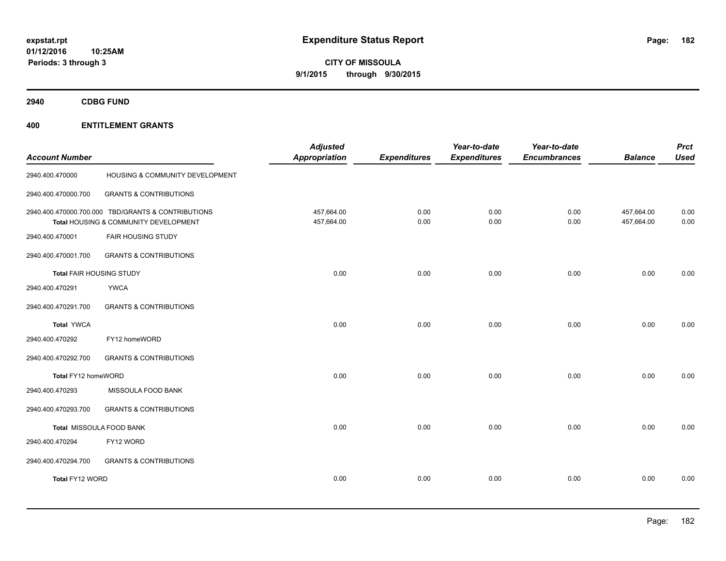**Periods: 3 through 3**

**CITY OF MISSOULA 9/1/2015 through 9/30/2015**

**2940 CDBG FUND**

| <b>Account Number</b>    |                                                                                             | <b>Adjusted</b><br><b>Appropriation</b> | <b>Expenditures</b> | Year-to-date<br><b>Expenditures</b> | Year-to-date<br><b>Encumbrances</b> | <b>Balance</b>           | <b>Prct</b><br><b>Used</b> |
|--------------------------|---------------------------------------------------------------------------------------------|-----------------------------------------|---------------------|-------------------------------------|-------------------------------------|--------------------------|----------------------------|
| 2940.400.470000          | HOUSING & COMMUNITY DEVELOPMENT                                                             |                                         |                     |                                     |                                     |                          |                            |
| 2940.400.470000.700      | <b>GRANTS &amp; CONTRIBUTIONS</b>                                                           |                                         |                     |                                     |                                     |                          |                            |
|                          | 2940.400.470000.700.000 TBD/GRANTS & CONTRIBUTIONS<br>Total HOUSING & COMMUNITY DEVELOPMENT | 457,664.00<br>457,664.00                | 0.00<br>0.00        | 0.00<br>0.00                        | 0.00<br>0.00                        | 457,664.00<br>457,664.00 | 0.00<br>0.00               |
| 2940.400.470001          | <b>FAIR HOUSING STUDY</b>                                                                   |                                         |                     |                                     |                                     |                          |                            |
| 2940.400.470001.700      | <b>GRANTS &amp; CONTRIBUTIONS</b>                                                           |                                         |                     |                                     |                                     |                          |                            |
| Total FAIR HOUSING STUDY |                                                                                             | 0.00                                    | 0.00                | 0.00                                | 0.00                                | 0.00                     | 0.00                       |
| 2940.400.470291          | <b>YWCA</b>                                                                                 |                                         |                     |                                     |                                     |                          |                            |
| 2940.400.470291.700      | <b>GRANTS &amp; CONTRIBUTIONS</b>                                                           |                                         |                     |                                     |                                     |                          |                            |
| Total YWCA               |                                                                                             | 0.00                                    | 0.00                | 0.00                                | 0.00                                | 0.00                     | 0.00                       |
| 2940.400.470292          | FY12 homeWORD                                                                               |                                         |                     |                                     |                                     |                          |                            |
| 2940.400.470292.700      | <b>GRANTS &amp; CONTRIBUTIONS</b>                                                           |                                         |                     |                                     |                                     |                          |                            |
| Total FY12 homeWORD      |                                                                                             | 0.00                                    | 0.00                | 0.00                                | 0.00                                | 0.00                     | 0.00                       |
| 2940.400.470293          | MISSOULA FOOD BANK                                                                          |                                         |                     |                                     |                                     |                          |                            |
| 2940.400.470293.700      | <b>GRANTS &amp; CONTRIBUTIONS</b>                                                           |                                         |                     |                                     |                                     |                          |                            |
|                          | Total MISSOULA FOOD BANK                                                                    | 0.00                                    | 0.00                | 0.00                                | 0.00                                | 0.00                     | 0.00                       |
| 2940.400.470294          | FY12 WORD                                                                                   |                                         |                     |                                     |                                     |                          |                            |
| 2940.400.470294.700      | <b>GRANTS &amp; CONTRIBUTIONS</b>                                                           |                                         |                     |                                     |                                     |                          |                            |
| Total FY12 WORD          |                                                                                             | 0.00                                    | 0.00                | 0.00                                | 0.00                                | 0.00                     | 0.00                       |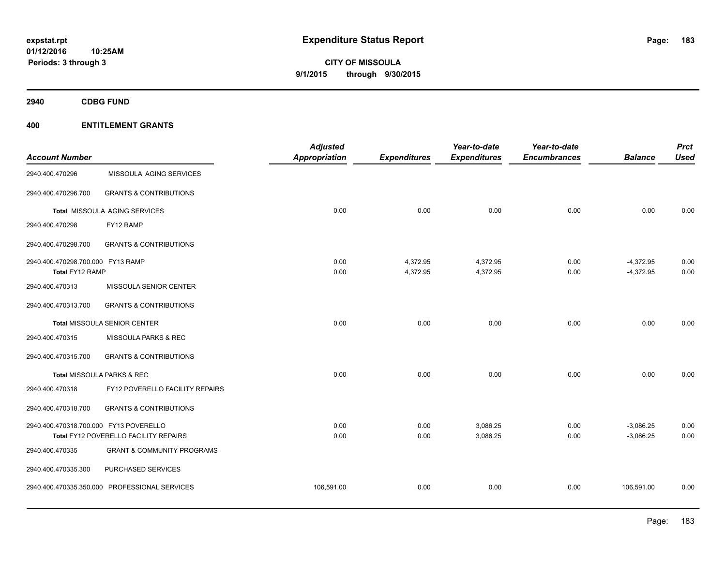**2940 CDBG FUND**

| <b>Account Number</b>                                |                                               | <b>Adjusted</b><br><b>Appropriation</b> | <b>Expenditures</b>  | Year-to-date<br><b>Expenditures</b> | Year-to-date<br><b>Encumbrances</b> | <b>Balance</b>             | <b>Prct</b><br><b>Used</b> |
|------------------------------------------------------|-----------------------------------------------|-----------------------------------------|----------------------|-------------------------------------|-------------------------------------|----------------------------|----------------------------|
| 2940.400.470296                                      | MISSOULA AGING SERVICES                       |                                         |                      |                                     |                                     |                            |                            |
| 2940.400.470296.700                                  | <b>GRANTS &amp; CONTRIBUTIONS</b>             |                                         |                      |                                     |                                     |                            |                            |
|                                                      | Total MISSOULA AGING SERVICES                 | 0.00                                    | 0.00                 | 0.00                                | 0.00                                | 0.00                       | 0.00                       |
| 2940.400.470298                                      | FY12 RAMP                                     |                                         |                      |                                     |                                     |                            |                            |
| 2940.400.470298.700                                  | <b>GRANTS &amp; CONTRIBUTIONS</b>             |                                         |                      |                                     |                                     |                            |                            |
| 2940.400.470298.700.000 FY13 RAMP<br>Total FY12 RAMP |                                               | 0.00<br>0.00                            | 4,372.95<br>4,372.95 | 4,372.95<br>4,372.95                | 0.00<br>0.00                        | $-4,372.95$<br>$-4,372.95$ | 0.00<br>0.00               |
| 2940.400.470313                                      | MISSOULA SENIOR CENTER                        |                                         |                      |                                     |                                     |                            |                            |
| 2940.400.470313.700                                  | <b>GRANTS &amp; CONTRIBUTIONS</b>             |                                         |                      |                                     |                                     |                            |                            |
|                                                      | Total MISSOULA SENIOR CENTER                  | 0.00                                    | 0.00                 | 0.00                                | 0.00                                | 0.00                       | 0.00                       |
| 2940.400.470315                                      | MISSOULA PARKS & REC                          |                                         |                      |                                     |                                     |                            |                            |
| 2940.400.470315.700                                  | <b>GRANTS &amp; CONTRIBUTIONS</b>             |                                         |                      |                                     |                                     |                            |                            |
|                                                      | Total MISSOULA PARKS & REC                    | 0.00                                    | 0.00                 | 0.00                                | 0.00                                | 0.00                       | 0.00                       |
| 2940.400.470318                                      | FY12 POVERELLO FACILITY REPAIRS               |                                         |                      |                                     |                                     |                            |                            |
| 2940.400.470318.700                                  | <b>GRANTS &amp; CONTRIBUTIONS</b>             |                                         |                      |                                     |                                     |                            |                            |
| 2940.400.470318.700.000 FY13 POVERELLO               |                                               | 0.00                                    | 0.00                 | 3,086.25                            | 0.00                                | $-3,086.25$                | 0.00                       |
|                                                      | Total FY12 POVERELLO FACILITY REPAIRS         | 0.00                                    | 0.00                 | 3,086.25                            | 0.00                                | $-3,086.25$                | 0.00                       |
| 2940.400.470335                                      | <b>GRANT &amp; COMMUNITY PROGRAMS</b>         |                                         |                      |                                     |                                     |                            |                            |
| 2940.400.470335.300                                  | PURCHASED SERVICES                            |                                         |                      |                                     |                                     |                            |                            |
|                                                      | 2940.400.470335.350.000 PROFESSIONAL SERVICES | 106,591.00                              | 0.00                 | 0.00                                | 0.00                                | 106,591.00                 | 0.00                       |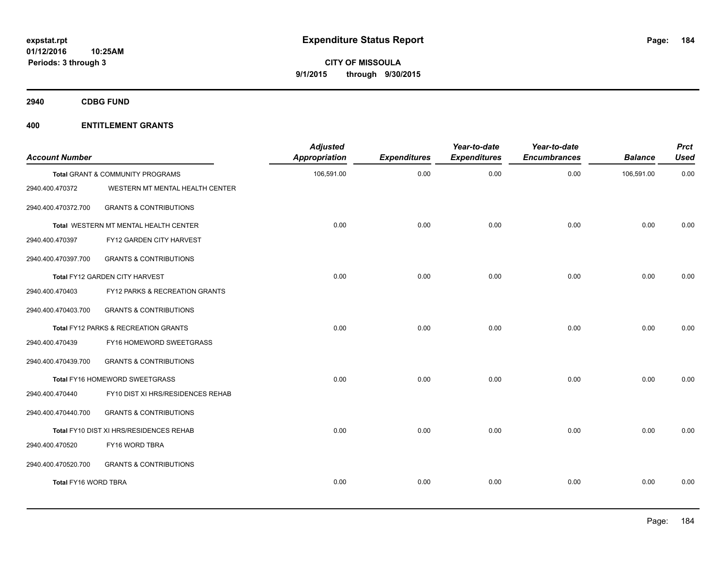**2940 CDBG FUND**

| <b>Account Number</b> |                                             | <b>Adjusted</b><br><b>Appropriation</b> | <b>Expenditures</b> | Year-to-date<br><b>Expenditures</b> | Year-to-date<br><b>Encumbrances</b> | <b>Balance</b> | <b>Prct</b><br><b>Used</b> |
|-----------------------|---------------------------------------------|-----------------------------------------|---------------------|-------------------------------------|-------------------------------------|----------------|----------------------------|
|                       | <b>Total GRANT &amp; COMMUNITY PROGRAMS</b> | 106,591.00                              | 0.00                | 0.00                                | 0.00                                | 106,591.00     | 0.00                       |
| 2940.400.470372       | WESTERN MT MENTAL HEALTH CENTER             |                                         |                     |                                     |                                     |                |                            |
| 2940.400.470372.700   | <b>GRANTS &amp; CONTRIBUTIONS</b>           |                                         |                     |                                     |                                     |                |                            |
|                       | Total WESTERN MT MENTAL HEALTH CENTER       | 0.00                                    | 0.00                | 0.00                                | 0.00                                | 0.00           | 0.00                       |
| 2940.400.470397       | FY12 GARDEN CITY HARVEST                    |                                         |                     |                                     |                                     |                |                            |
| 2940.400.470397.700   | <b>GRANTS &amp; CONTRIBUTIONS</b>           |                                         |                     |                                     |                                     |                |                            |
|                       | Total FY12 GARDEN CITY HARVEST              | 0.00                                    | 0.00                | 0.00                                | 0.00                                | 0.00           | 0.00                       |
| 2940.400.470403       | FY12 PARKS & RECREATION GRANTS              |                                         |                     |                                     |                                     |                |                            |
| 2940.400.470403.700   | <b>GRANTS &amp; CONTRIBUTIONS</b>           |                                         |                     |                                     |                                     |                |                            |
|                       | Total FY12 PARKS & RECREATION GRANTS        | 0.00                                    | 0.00                | 0.00                                | 0.00                                | 0.00           | 0.00                       |
| 2940.400.470439       | FY16 HOMEWORD SWEETGRASS                    |                                         |                     |                                     |                                     |                |                            |
| 2940.400.470439.700   | <b>GRANTS &amp; CONTRIBUTIONS</b>           |                                         |                     |                                     |                                     |                |                            |
|                       | Total FY16 HOMEWORD SWEETGRASS              | 0.00                                    | 0.00                | 0.00                                | 0.00                                | 0.00           | 0.00                       |
| 2940.400.470440       | FY10 DIST XI HRS/RESIDENCES REHAB           |                                         |                     |                                     |                                     |                |                            |
| 2940.400.470440.700   | <b>GRANTS &amp; CONTRIBUTIONS</b>           |                                         |                     |                                     |                                     |                |                            |
|                       | Total FY10 DIST XI HRS/RESIDENCES REHAB     | 0.00                                    | 0.00                | 0.00                                | 0.00                                | 0.00           | 0.00                       |
| 2940.400.470520       | FY16 WORD TBRA                              |                                         |                     |                                     |                                     |                |                            |
| 2940.400.470520.700   | <b>GRANTS &amp; CONTRIBUTIONS</b>           |                                         |                     |                                     |                                     |                |                            |
| Total FY16 WORD TBRA  |                                             | 0.00                                    | 0.00                | 0.00                                | 0.00                                | 0.00           | 0.00                       |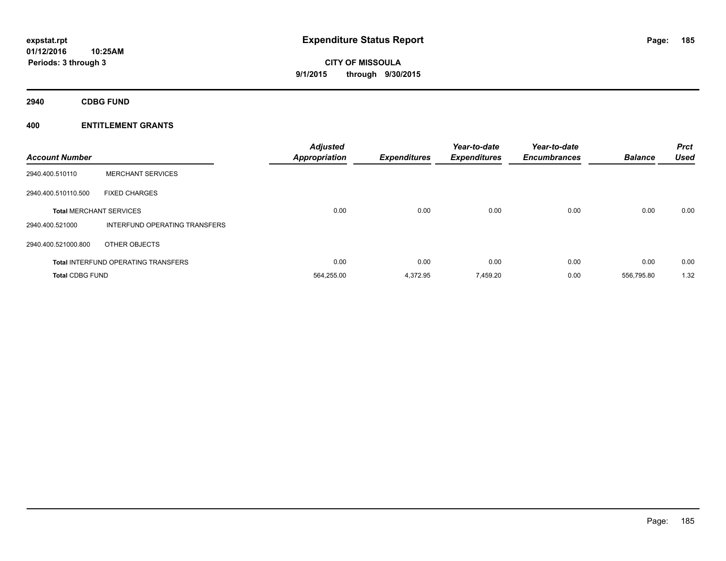**01/12/2016 10:25AM Periods: 3 through 3**

**CITY OF MISSOULA 9/1/2015 through 9/30/2015**

**2940 CDBG FUND**

| <b>Account Number</b>  |                                            | <b>Adjusted</b><br><b>Appropriation</b> | <b>Expenditures</b> | Year-to-date<br><b>Expenditures</b> | Year-to-date<br><b>Encumbrances</b> | <b>Balance</b> | <b>Prct</b><br><b>Used</b> |
|------------------------|--------------------------------------------|-----------------------------------------|---------------------|-------------------------------------|-------------------------------------|----------------|----------------------------|
| 2940.400.510110        | <b>MERCHANT SERVICES</b>                   |                                         |                     |                                     |                                     |                |                            |
| 2940.400.510110.500    | <b>FIXED CHARGES</b>                       |                                         |                     |                                     |                                     |                |                            |
|                        | <b>Total MERCHANT SERVICES</b>             | 0.00                                    | 0.00                | 0.00                                | 0.00                                | 0.00           | 0.00                       |
| 2940.400.521000        | INTERFUND OPERATING TRANSFERS              |                                         |                     |                                     |                                     |                |                            |
| 2940.400.521000.800    | OTHER OBJECTS                              |                                         |                     |                                     |                                     |                |                            |
|                        | <b>Total INTERFUND OPERATING TRANSFERS</b> | 0.00                                    | 0.00                | 0.00                                | 0.00                                | 0.00           | 0.00                       |
| <b>Total CDBG FUND</b> |                                            | 564,255.00                              | 4,372.95            | 7,459.20                            | 0.00                                | 556.795.80     | 1.32                       |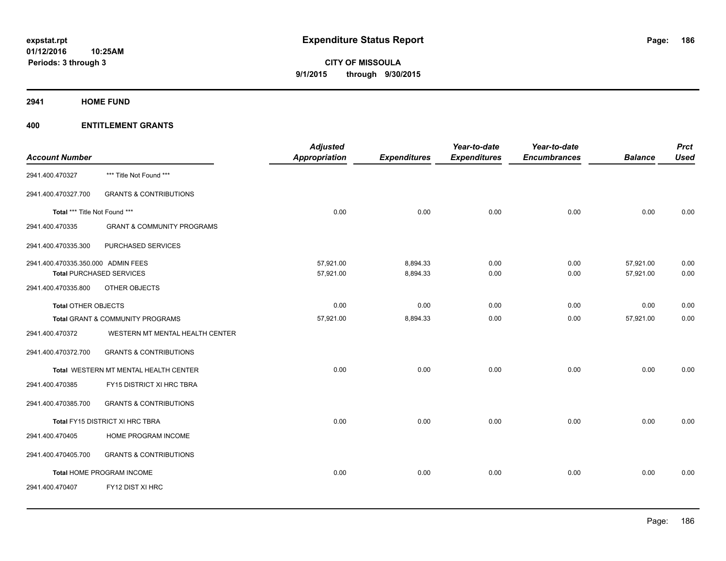**2941 HOME FUND**

|                                    |                                       | <b>Adjusted</b>      |                     | Year-to-date        | Year-to-date        |                | <b>Prct</b> |
|------------------------------------|---------------------------------------|----------------------|---------------------|---------------------|---------------------|----------------|-------------|
| <b>Account Number</b>              |                                       | <b>Appropriation</b> | <b>Expenditures</b> | <b>Expenditures</b> | <b>Encumbrances</b> | <b>Balance</b> | <b>Used</b> |
| 2941.400.470327                    | *** Title Not Found ***               |                      |                     |                     |                     |                |             |
| 2941.400.470327.700                | <b>GRANTS &amp; CONTRIBUTIONS</b>     |                      |                     |                     |                     |                |             |
| Total *** Title Not Found ***      |                                       | 0.00                 | 0.00                | 0.00                | 0.00                | 0.00           | 0.00        |
| 2941.400.470335                    | <b>GRANT &amp; COMMUNITY PROGRAMS</b> |                      |                     |                     |                     |                |             |
| 2941.400.470335.300                | PURCHASED SERVICES                    |                      |                     |                     |                     |                |             |
| 2941.400.470335.350.000 ADMIN FEES |                                       | 57,921.00            | 8,894.33            | 0.00                | 0.00                | 57,921.00      | 0.00        |
|                                    | <b>Total PURCHASED SERVICES</b>       | 57,921.00            | 8,894.33            | 0.00                | 0.00                | 57,921.00      | 0.00        |
| 2941.400.470335.800                | OTHER OBJECTS                         |                      |                     |                     |                     |                |             |
| Total OTHER OBJECTS                |                                       | 0.00                 | 0.00                | 0.00                | 0.00                | 0.00           | 0.00        |
|                                    | Total GRANT & COMMUNITY PROGRAMS      | 57,921.00            | 8,894.33            | 0.00                | 0.00                | 57,921.00      | 0.00        |
| 2941.400.470372                    | WESTERN MT MENTAL HEALTH CENTER       |                      |                     |                     |                     |                |             |
| 2941.400.470372.700                | <b>GRANTS &amp; CONTRIBUTIONS</b>     |                      |                     |                     |                     |                |             |
|                                    | Total WESTERN MT MENTAL HEALTH CENTER | 0.00                 | 0.00                | 0.00                | 0.00                | 0.00           | 0.00        |
| 2941.400.470385                    | FY15 DISTRICT XI HRC TBRA             |                      |                     |                     |                     |                |             |
| 2941.400.470385.700                | <b>GRANTS &amp; CONTRIBUTIONS</b>     |                      |                     |                     |                     |                |             |
|                                    | Total FY15 DISTRICT XI HRC TBRA       | 0.00                 | 0.00                | 0.00                | 0.00                | 0.00           | 0.00        |
| 2941.400.470405                    | HOME PROGRAM INCOME                   |                      |                     |                     |                     |                |             |
| 2941.400.470405.700                | <b>GRANTS &amp; CONTRIBUTIONS</b>     |                      |                     |                     |                     |                |             |
|                                    | Total HOME PROGRAM INCOME             | 0.00                 | 0.00                | 0.00                | 0.00                | 0.00           | 0.00        |
| 2941.400.470407                    | FY12 DIST XI HRC                      |                      |                     |                     |                     |                |             |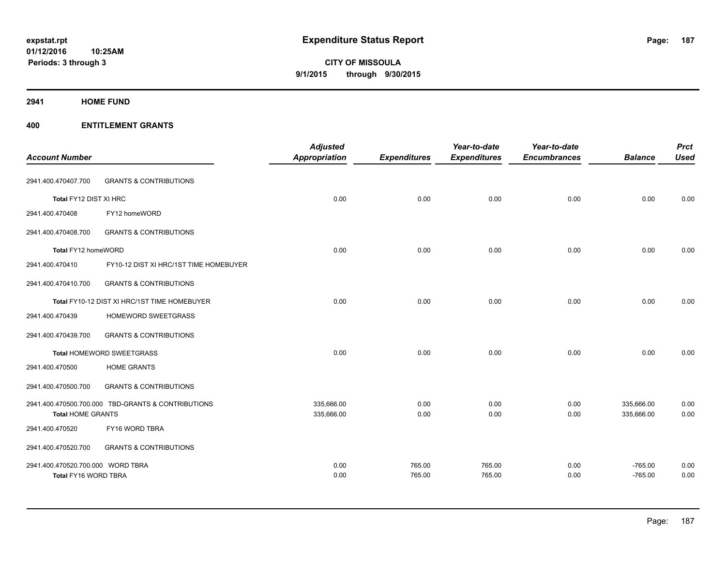**Periods: 3 through 3**

# **CITY OF MISSOULA 9/1/2015 through 9/30/2015**

## **2941 HOME FUND**

| <b>Account Number</b>             |                                                    | <b>Adjusted</b><br>Appropriation | <b>Expenditures</b> | Year-to-date<br><b>Expenditures</b> | Year-to-date<br><b>Encumbrances</b> | <b>Balance</b> | <b>Prct</b><br><b>Used</b> |
|-----------------------------------|----------------------------------------------------|----------------------------------|---------------------|-------------------------------------|-------------------------------------|----------------|----------------------------|
| 2941.400.470407.700               | <b>GRANTS &amp; CONTRIBUTIONS</b>                  |                                  |                     |                                     |                                     |                |                            |
| Total FY12 DIST XI HRC            |                                                    | 0.00                             | 0.00                | 0.00                                | 0.00                                | 0.00           | 0.00                       |
| 2941.400.470408                   | FY12 homeWORD                                      |                                  |                     |                                     |                                     |                |                            |
| 2941.400.470408.700               | <b>GRANTS &amp; CONTRIBUTIONS</b>                  |                                  |                     |                                     |                                     |                |                            |
| Total FY12 homeWORD               |                                                    | 0.00                             | 0.00                | 0.00                                | 0.00                                | 0.00           | 0.00                       |
| 2941.400.470410                   | FY10-12 DIST XI HRC/1ST TIME HOMEBUYER             |                                  |                     |                                     |                                     |                |                            |
| 2941.400.470410.700               | <b>GRANTS &amp; CONTRIBUTIONS</b>                  |                                  |                     |                                     |                                     |                |                            |
|                                   | Total FY10-12 DIST XI HRC/1ST TIME HOMEBUYER       | 0.00                             | 0.00                | 0.00                                | 0.00                                | 0.00           | 0.00                       |
| 2941.400.470439                   | HOMEWORD SWEETGRASS                                |                                  |                     |                                     |                                     |                |                            |
| 2941.400.470439.700               | <b>GRANTS &amp; CONTRIBUTIONS</b>                  |                                  |                     |                                     |                                     |                |                            |
|                                   | Total HOMEWORD SWEETGRASS                          | 0.00                             | 0.00                | 0.00                                | 0.00                                | 0.00           | 0.00                       |
| 2941.400.470500                   | <b>HOME GRANTS</b>                                 |                                  |                     |                                     |                                     |                |                            |
| 2941.400.470500.700               | <b>GRANTS &amp; CONTRIBUTIONS</b>                  |                                  |                     |                                     |                                     |                |                            |
|                                   | 2941.400.470500.700.000 TBD-GRANTS & CONTRIBUTIONS | 335,666.00                       | 0.00                | 0.00                                | 0.00                                | 335,666.00     | 0.00                       |
| <b>Total HOME GRANTS</b>          |                                                    | 335,666.00                       | 0.00                | 0.00                                | 0.00                                | 335,666.00     | 0.00                       |
| 2941.400.470520                   | FY16 WORD TBRA                                     |                                  |                     |                                     |                                     |                |                            |
| 2941.400.470520.700               | <b>GRANTS &amp; CONTRIBUTIONS</b>                  |                                  |                     |                                     |                                     |                |                            |
| 2941.400.470520.700.000 WORD TBRA |                                                    | 0.00                             | 765.00              | 765.00                              | 0.00                                | $-765.00$      | 0.00                       |
| Total FY16 WORD TBRA              |                                                    | 0.00                             | 765.00              | 765.00                              | 0.00                                | $-765.00$      | 0.00                       |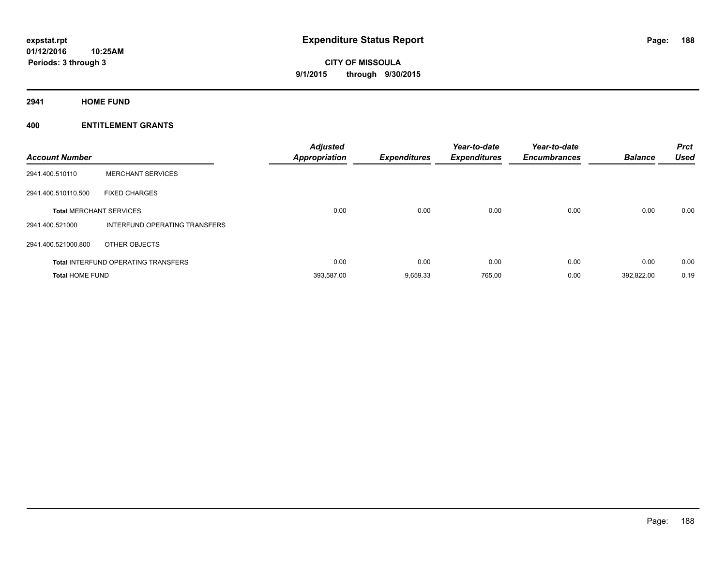**2941 HOME FUND**

| <b>Account Number</b>  |                                            | <b>Adjusted</b><br>Appropriation | Expenditures | Year-to-date<br><b>Expenditures</b> | Year-to-date<br><b>Encumbrances</b> | <b>Balance</b> | <b>Prct</b><br><b>Used</b> |
|------------------------|--------------------------------------------|----------------------------------|--------------|-------------------------------------|-------------------------------------|----------------|----------------------------|
| 2941.400.510110        | <b>MERCHANT SERVICES</b>                   |                                  |              |                                     |                                     |                |                            |
| 2941.400.510110.500    | <b>FIXED CHARGES</b>                       |                                  |              |                                     |                                     |                |                            |
|                        | <b>Total MERCHANT SERVICES</b>             | 0.00                             | 0.00         | 0.00                                | 0.00                                | 0.00           | 0.00                       |
| 2941.400.521000        | INTERFUND OPERATING TRANSFERS              |                                  |              |                                     |                                     |                |                            |
| 2941.400.521000.800    | OTHER OBJECTS                              |                                  |              |                                     |                                     |                |                            |
|                        | <b>Total INTERFUND OPERATING TRANSFERS</b> | 0.00                             | 0.00         | 0.00                                | 0.00                                | 0.00           | 0.00                       |
| <b>Total HOME FUND</b> |                                            | 393,587.00                       | 9,659.33     | 765.00                              | 0.00                                | 392.822.00     | 0.19                       |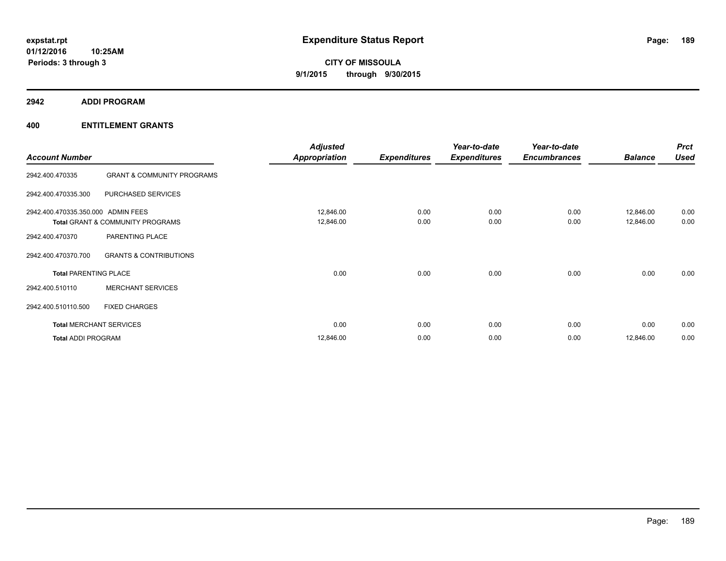**2942 ADDI PROGRAM**

|                                    |                                       | <b>Adjusted</b>      |                     | Year-to-date        | Year-to-date        |                | <b>Prct</b> |
|------------------------------------|---------------------------------------|----------------------|---------------------|---------------------|---------------------|----------------|-------------|
| <b>Account Number</b>              |                                       | <b>Appropriation</b> | <b>Expenditures</b> | <b>Expenditures</b> | <b>Encumbrances</b> | <b>Balance</b> | <b>Used</b> |
| 2942.400.470335                    | <b>GRANT &amp; COMMUNITY PROGRAMS</b> |                      |                     |                     |                     |                |             |
| 2942.400.470335.300                | PURCHASED SERVICES                    |                      |                     |                     |                     |                |             |
| 2942.400.470335.350.000 ADMIN FEES |                                       | 12,846.00            | 0.00                | 0.00                | 0.00                | 12,846.00      | 0.00        |
|                                    | Total GRANT & COMMUNITY PROGRAMS      | 12,846.00            | 0.00                | 0.00                | 0.00                | 12,846.00      | 0.00        |
| 2942.400.470370                    | PARENTING PLACE                       |                      |                     |                     |                     |                |             |
| 2942.400.470370.700                | <b>GRANTS &amp; CONTRIBUTIONS</b>     |                      |                     |                     |                     |                |             |
| <b>Total PARENTING PLACE</b>       |                                       | 0.00                 | 0.00                | 0.00                | 0.00                | 0.00           | 0.00        |
| 2942.400.510110                    | <b>MERCHANT SERVICES</b>              |                      |                     |                     |                     |                |             |
| 2942.400.510110.500                | <b>FIXED CHARGES</b>                  |                      |                     |                     |                     |                |             |
|                                    | <b>Total MERCHANT SERVICES</b>        | 0.00                 | 0.00                | 0.00                | 0.00                | 0.00           | 0.00        |
| <b>Total ADDI PROGRAM</b>          |                                       | 12,846.00            | 0.00                | 0.00                | 0.00                | 12,846.00      | 0.00        |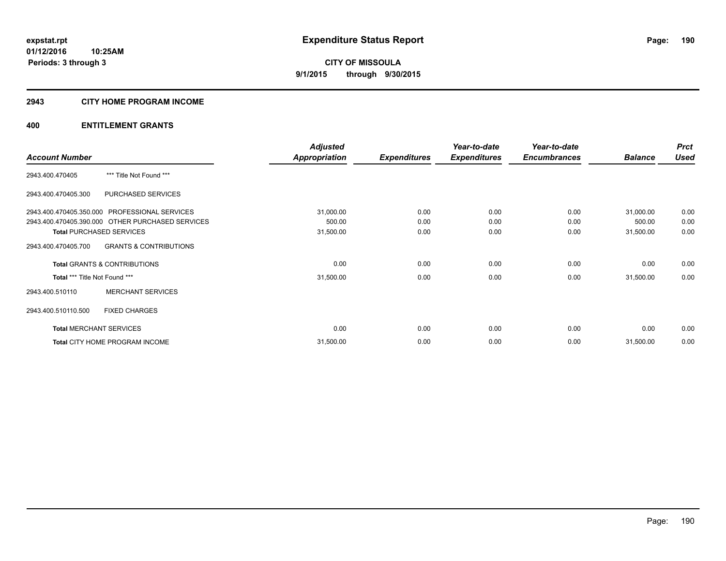## **2943 CITY HOME PROGRAM INCOME**

|                               |                                                  | <b>Adjusted</b>      |                     | Year-to-date        | Year-to-date        |                | <b>Prct</b> |
|-------------------------------|--------------------------------------------------|----------------------|---------------------|---------------------|---------------------|----------------|-------------|
| <b>Account Number</b>         |                                                  | <b>Appropriation</b> | <b>Expenditures</b> | <b>Expenditures</b> | <b>Encumbrances</b> | <b>Balance</b> | <b>Used</b> |
| 2943.400.470405               | *** Title Not Found ***                          |                      |                     |                     |                     |                |             |
| 2943.400.470405.300           | PURCHASED SERVICES                               |                      |                     |                     |                     |                |             |
|                               | 2943.400.470405.350.000 PROFESSIONAL SERVICES    | 31,000.00            | 0.00                | 0.00                | 0.00                | 31,000.00      | 0.00        |
|                               | 2943.400.470405.390.000 OTHER PURCHASED SERVICES | 500.00               | 0.00                | 0.00                | 0.00                | 500.00         | 0.00        |
|                               | <b>Total PURCHASED SERVICES</b>                  | 31,500.00            | 0.00                | 0.00                | 0.00                | 31,500.00      | 0.00        |
| 2943.400.470405.700           | <b>GRANTS &amp; CONTRIBUTIONS</b>                |                      |                     |                     |                     |                |             |
|                               | <b>Total GRANTS &amp; CONTRIBUTIONS</b>          | 0.00                 | 0.00                | 0.00                | 0.00                | 0.00           | 0.00        |
| Total *** Title Not Found *** |                                                  | 31,500.00            | 0.00                | 0.00                | 0.00                | 31,500.00      | 0.00        |
| 2943.400.510110               | <b>MERCHANT SERVICES</b>                         |                      |                     |                     |                     |                |             |
| 2943.400.510110.500           | <b>FIXED CHARGES</b>                             |                      |                     |                     |                     |                |             |
|                               | <b>Total MERCHANT SERVICES</b>                   | 0.00                 | 0.00                | 0.00                | 0.00                | 0.00           | 0.00        |
|                               | Total CITY HOME PROGRAM INCOME                   | 31,500.00            | 0.00                | 0.00                | 0.00                | 31,500.00      | 0.00        |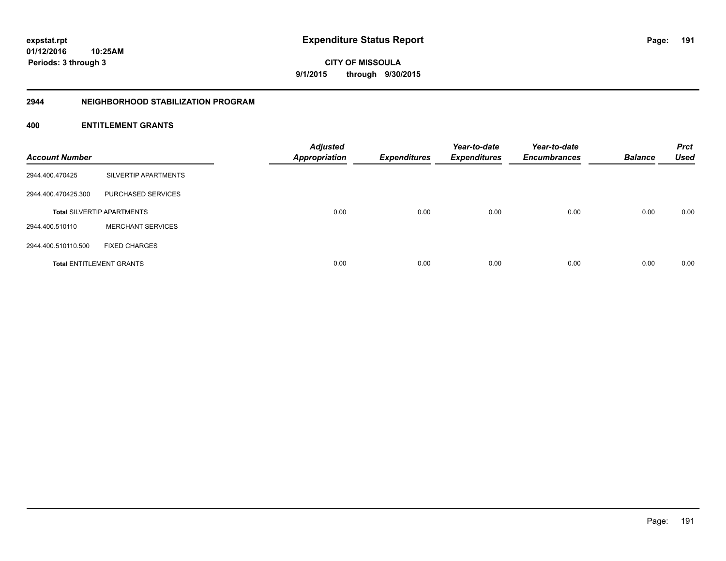**01/12/2016 10:25AM Periods: 3 through 3**

**CITY OF MISSOULA 9/1/2015 through 9/30/2015**

### **2944 NEIGHBORHOOD STABILIZATION PROGRAM**

| <b>Account Number</b> |                                   | <b>Adjusted</b><br><b>Appropriation</b> | <b>Expenditures</b> | Year-to-date<br><b>Expenditures</b> | Year-to-date<br><b>Encumbrances</b> | <b>Balance</b> | <b>Prct</b><br><b>Used</b> |
|-----------------------|-----------------------------------|-----------------------------------------|---------------------|-------------------------------------|-------------------------------------|----------------|----------------------------|
| 2944.400.470425       | SILVERTIP APARTMENTS              |                                         |                     |                                     |                                     |                |                            |
| 2944.400.470425.300   | PURCHASED SERVICES                |                                         |                     |                                     |                                     |                |                            |
|                       | <b>Total SILVERTIP APARTMENTS</b> | 0.00                                    | 0.00                | 0.00                                | 0.00                                | 0.00           | 0.00                       |
| 2944.400.510110       | <b>MERCHANT SERVICES</b>          |                                         |                     |                                     |                                     |                |                            |
| 2944.400.510110.500   | <b>FIXED CHARGES</b>              |                                         |                     |                                     |                                     |                |                            |
|                       | <b>Total ENTITLEMENT GRANTS</b>   | 0.00                                    | 0.00                | 0.00                                | 0.00                                | 0.00           | 0.00                       |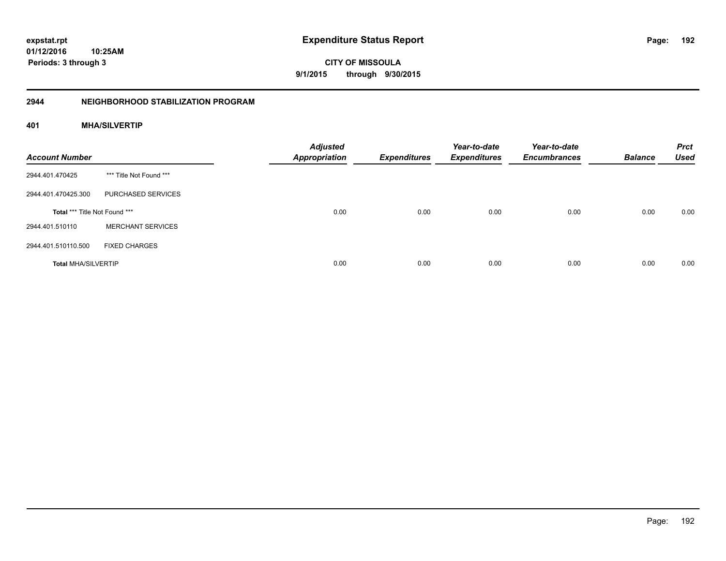Page: 192

**01/12/2016 10:25AM Periods: 3 through 3**

**CITY OF MISSOULA 9/1/2015 through 9/30/2015**

# **2944 NEIGHBORHOOD STABILIZATION PROGRAM**

# **401 MHA/SILVERTIP**

| <b>Account Number</b>         |                          | <b>Adjusted</b><br><b>Appropriation</b> | <b>Expenditures</b> | Year-to-date<br><b>Expenditures</b> | Year-to-date<br><b>Encumbrances</b> | <b>Balance</b> | <b>Prct</b><br><b>Used</b> |
|-------------------------------|--------------------------|-----------------------------------------|---------------------|-------------------------------------|-------------------------------------|----------------|----------------------------|
| 2944.401.470425               | *** Title Not Found ***  |                                         |                     |                                     |                                     |                |                            |
| 2944.401.470425.300           | PURCHASED SERVICES       |                                         |                     |                                     |                                     |                |                            |
| Total *** Title Not Found *** |                          | 0.00                                    | 0.00                | 0.00                                | 0.00                                | 0.00           | 0.00                       |
| 2944.401.510110               | <b>MERCHANT SERVICES</b> |                                         |                     |                                     |                                     |                |                            |
| 2944.401.510110.500           | <b>FIXED CHARGES</b>     |                                         |                     |                                     |                                     |                |                            |
| <b>Total MHA/SILVERTIP</b>    |                          | 0.00                                    | 0.00                | 0.00                                | 0.00                                | 0.00           | 0.00                       |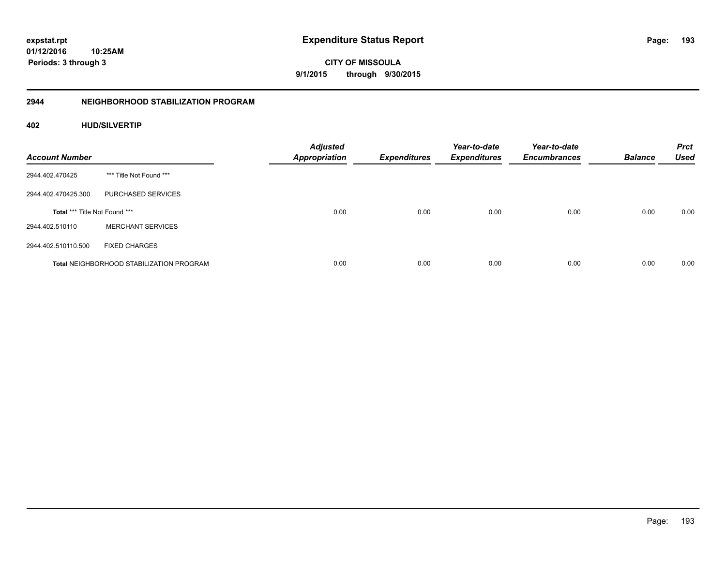**01/12/2016 10:25AM Periods: 3 through 3**

**CITY OF MISSOULA 9/1/2015 through 9/30/2015**

# **2944 NEIGHBORHOOD STABILIZATION PROGRAM**

# **402 HUD/SILVERTIP**

| <b>Account Number</b>                |                                                 | <b>Adjusted</b><br><b>Appropriation</b> | <b>Expenditures</b> | Year-to-date<br><b>Expenditures</b> | Year-to-date<br><b>Encumbrances</b> | <b>Balance</b> | <b>Prct</b><br><b>Used</b> |
|--------------------------------------|-------------------------------------------------|-----------------------------------------|---------------------|-------------------------------------|-------------------------------------|----------------|----------------------------|
| 2944.402.470425                      | *** Title Not Found ***                         |                                         |                     |                                     |                                     |                |                            |
| 2944.402.470425.300                  | PURCHASED SERVICES                              |                                         |                     |                                     |                                     |                |                            |
| <b>Total *** Title Not Found ***</b> |                                                 | 0.00                                    | 0.00                | 0.00                                | 0.00                                | 0.00           | 0.00                       |
| 2944.402.510110                      | <b>MERCHANT SERVICES</b>                        |                                         |                     |                                     |                                     |                |                            |
| 2944.402.510110.500                  | <b>FIXED CHARGES</b>                            |                                         |                     |                                     |                                     |                |                            |
|                                      | <b>Total NEIGHBORHOOD STABILIZATION PROGRAM</b> | 0.00                                    | 0.00                | 0.00                                | 0.00                                | 0.00           | 0.00                       |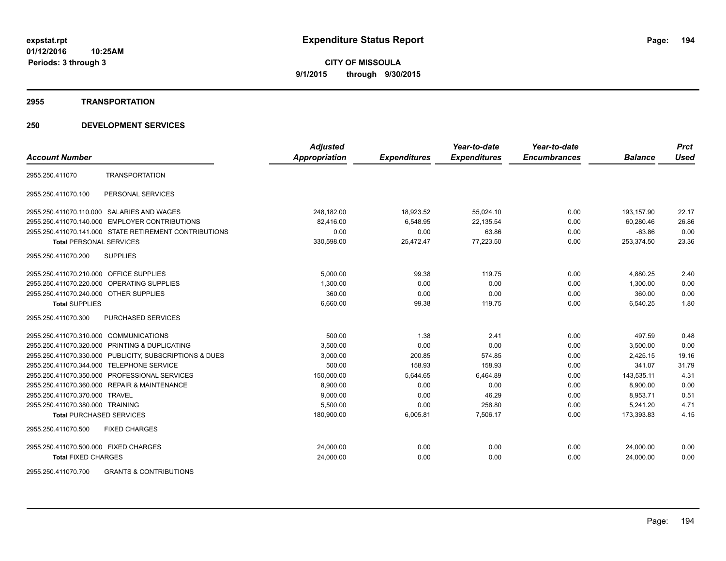#### **2955 TRANSPORTATION**

# **250 DEVELOPMENT SERVICES**

|                                                         | <b>Adjusted</b>      |                     | Year-to-date        | Year-to-date        |                | <b>Prct</b> |
|---------------------------------------------------------|----------------------|---------------------|---------------------|---------------------|----------------|-------------|
| <b>Account Number</b>                                   | <b>Appropriation</b> | <b>Expenditures</b> | <b>Expenditures</b> | <b>Encumbrances</b> | <b>Balance</b> | <b>Used</b> |
| <b>TRANSPORTATION</b><br>2955.250.411070                |                      |                     |                     |                     |                |             |
| PERSONAL SERVICES<br>2955.250.411070.100                |                      |                     |                     |                     |                |             |
| 2955.250.411070.110.000 SALARIES AND WAGES              | 248,182.00           | 18,923.52           | 55,024.10           | 0.00                | 193,157.90     | 22.17       |
| 2955.250.411070.140.000 EMPLOYER CONTRIBUTIONS          | 82.416.00            | 6,548.95            | 22,135.54           | 0.00                | 60.280.46      | 26.86       |
| 2955.250.411070.141.000 STATE RETIREMENT CONTRIBUTIONS  | 0.00                 | 0.00                | 63.86               | 0.00                | $-63.86$       | 0.00        |
| <b>Total PERSONAL SERVICES</b>                          | 330,598.00           | 25,472.47           | 77,223.50           | 0.00                | 253,374.50     | 23.36       |
| 2955.250.411070.200<br><b>SUPPLIES</b>                  |                      |                     |                     |                     |                |             |
| 2955.250.411070.210.000 OFFICE SUPPLIES                 | 5,000.00             | 99.38               | 119.75              | 0.00                | 4,880.25       | 2.40        |
| 2955.250.411070.220.000 OPERATING SUPPLIES              | 1,300.00             | 0.00                | 0.00                | 0.00                | 1,300.00       | 0.00        |
| 2955.250.411070.240.000 OTHER SUPPLIES                  | 360.00               | 0.00                | 0.00                | 0.00                | 360.00         | 0.00        |
| <b>Total SUPPLIES</b>                                   | 6,660.00             | 99.38               | 119.75              | 0.00                | 6,540.25       | 1.80        |
| 2955.250.411070.300<br><b>PURCHASED SERVICES</b>        |                      |                     |                     |                     |                |             |
| 2955.250.411070.310.000 COMMUNICATIONS                  | 500.00               | 1.38                | 2.41                | 0.00                | 497.59         | 0.48        |
| 2955.250.411070.320.000 PRINTING & DUPLICATING          | 3,500.00             | 0.00                | 0.00                | 0.00                | 3,500.00       | 0.00        |
| 2955.250.411070.330.000 PUBLICITY, SUBSCRIPTIONS & DUES | 3,000.00             | 200.85              | 574.85              | 0.00                | 2,425.15       | 19.16       |
| 2955.250.411070.344.000 TELEPHONE SERVICE               | 500.00               | 158.93              | 158.93              | 0.00                | 341.07         | 31.79       |
| 2955.250.411070.350.000 PROFESSIONAL SERVICES           | 150,000.00           | 5,644.65            | 6,464.89            | 0.00                | 143,535.11     | 4.31        |
| 2955.250.411070.360.000 REPAIR & MAINTENANCE            | 8,900.00             | 0.00                | 0.00                | 0.00                | 8,900.00       | 0.00        |
| 2955.250.411070.370.000 TRAVEL                          | 9,000.00             | 0.00                | 46.29               | 0.00                | 8,953.71       | 0.51        |
| 2955.250.411070.380.000 TRAINING                        | 5,500.00             | 0.00                | 258.80              | 0.00                | 5,241.20       | 4.71        |
| <b>Total PURCHASED SERVICES</b>                         | 180,900.00           | 6,005.81            | 7,506.17            | 0.00                | 173,393.83     | 4.15        |
| 2955.250.411070.500<br><b>FIXED CHARGES</b>             |                      |                     |                     |                     |                |             |
| 2955.250.411070.500.000 FIXED CHARGES                   | 24,000.00            | 0.00                | 0.00                | 0.00                | 24,000.00      | 0.00        |
| <b>Total FIXED CHARGES</b>                              | 24,000.00            | 0.00                | 0.00                | 0.00                | 24,000.00      | 0.00        |
|                                                         |                      |                     |                     |                     |                |             |

2955.250.411070.700 GRANTS & CONTRIBUTIONS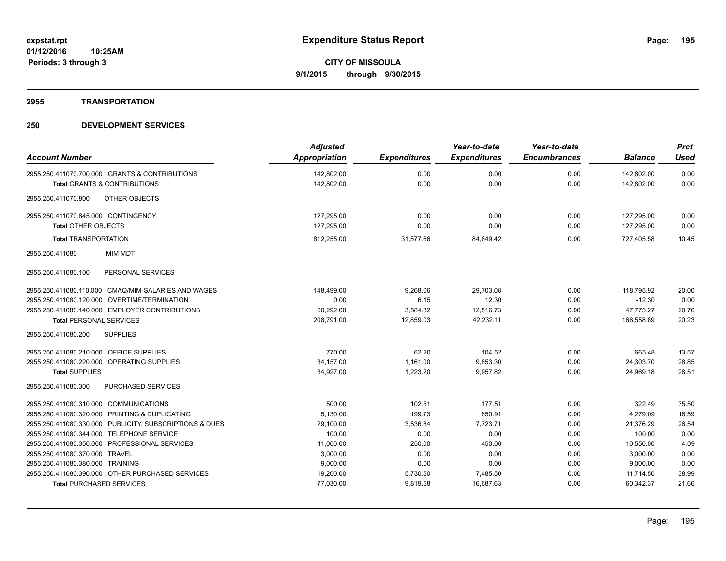# **2955 TRANSPORTATION**

| <b>Account Number</b>                                   | <b>Adjusted</b><br><b>Appropriation</b> | <b>Expenditures</b> | Year-to-date<br><b>Expenditures</b> | Year-to-date<br><b>Encumbrances</b> | <b>Balance</b> | <b>Prct</b><br><b>Used</b> |
|---------------------------------------------------------|-----------------------------------------|---------------------|-------------------------------------|-------------------------------------|----------------|----------------------------|
| 2955.250.411070.700.000 GRANTS & CONTRIBUTIONS          | 142,802.00                              | 0.00                | 0.00                                | 0.00                                | 142,802.00     | 0.00                       |
| Total GRANTS & CONTRIBUTIONS                            | 142,802.00                              | 0.00                | 0.00                                | 0.00                                | 142,802.00     | 0.00                       |
|                                                         |                                         |                     |                                     |                                     |                |                            |
| OTHER OBJECTS<br>2955.250.411070.800                    |                                         |                     |                                     |                                     |                |                            |
| 2955.250.411070.845.000 CONTINGENCY                     | 127,295.00                              | 0.00                | 0.00                                | 0.00                                | 127,295.00     | 0.00                       |
| <b>Total OTHER OBJECTS</b>                              | 127,295.00                              | 0.00                | 0.00                                | 0.00                                | 127,295.00     | 0.00                       |
| <b>Total TRANSPORTATION</b>                             | 812,255.00                              | 31,577.66           | 84,849.42                           | 0.00                                | 727,405.58     | 10.45                      |
| <b>MIM MDT</b><br>2955.250.411080                       |                                         |                     |                                     |                                     |                |                            |
| PERSONAL SERVICES<br>2955.250.411080.100                |                                         |                     |                                     |                                     |                |                            |
| 2955.250.411080.110.000 CMAQ/MIM-SALARIES AND WAGES     | 148,499.00                              | 9,268.06            | 29,703.08                           | 0.00                                | 118,795.92     | 20.00                      |
| 2955.250.411080.120.000 OVERTIME/TERMINATION            | 0.00                                    | 6.15                | 12.30                               | 0.00                                | $-12.30$       | 0.00                       |
| 2955.250.411080.140.000 EMPLOYER CONTRIBUTIONS          | 60,292.00                               | 3,584.82            | 12,516.73                           | 0.00                                | 47,775.27      | 20.76                      |
| <b>Total PERSONAL SERVICES</b>                          | 208.791.00                              | 12,859.03           | 42.232.11                           | 0.00                                | 166.558.89     | 20.23                      |
| <b>SUPPLIES</b><br>2955.250.411080.200                  |                                         |                     |                                     |                                     |                |                            |
| 2955.250.411080.210.000 OFFICE SUPPLIES                 | 770.00                                  | 62.20               | 104.52                              | 0.00                                | 665.48         | 13.57                      |
| 2955.250.411080.220.000 OPERATING SUPPLIES              | 34,157.00                               | 1,161.00            | 9,853.30                            | 0.00                                | 24,303.70      | 28.85                      |
| <b>Total SUPPLIES</b>                                   | 34,927.00                               | 1,223.20            | 9.957.82                            | 0.00                                | 24.969.18      | 28.51                      |
| PURCHASED SERVICES<br>2955.250.411080.300               |                                         |                     |                                     |                                     |                |                            |
| 2955.250.411080.310.000 COMMUNICATIONS                  | 500.00                                  | 102.51              | 177.51                              | 0.00                                | 322.49         | 35.50                      |
| 2955.250.411080.320.000 PRINTING & DUPLICATING          | 5,130.00                                | 199.73              | 850.91                              | 0.00                                | 4,279.09       | 16.59                      |
| 2955.250.411080.330.000 PUBLICITY, SUBSCRIPTIONS & DUES | 29,100.00                               | 3,536.84            | 7,723.71                            | 0.00                                | 21,376.29      | 26.54                      |
| 2955.250.411080.344.000 TELEPHONE SERVICE               | 100.00                                  | 0.00                | 0.00                                | 0.00                                | 100.00         | 0.00                       |
| 2955.250.411080.350.000 PROFESSIONAL SERVICES           | 11,000.00                               | 250.00              | 450.00                              | 0.00                                | 10,550.00      | 4.09                       |
| 2955.250.411080.370.000 TRAVEL                          | 3,000.00                                | 0.00                | 0.00                                | 0.00                                | 3,000.00       | 0.00                       |
| 2955.250.411080.380.000 TRAINING                        | 9,000.00                                | 0.00                | 0.00                                | 0.00                                | 9,000.00       | 0.00                       |
| 2955.250.411080.390.000 OTHER PURCHASED SERVICES        | 19,200.00                               | 5,730.50            | 7,485.50                            | 0.00                                | 11,714.50      | 38.99                      |
| <b>Total PURCHASED SERVICES</b>                         | 77,030.00                               | 9,819.58            | 16,687.63                           | 0.00                                | 60,342.37      | 21.66                      |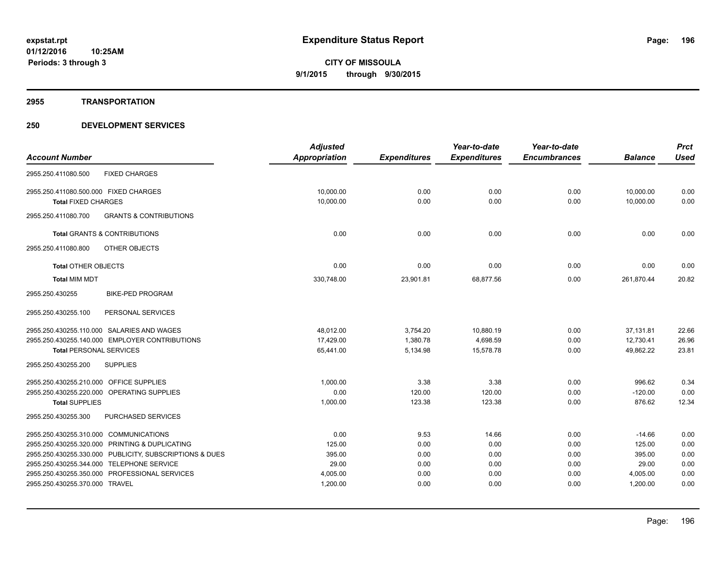#### **2955 TRANSPORTATION**

|                                                          | <b>Adjusted</b> |                     | Year-to-date        | Year-to-date        |                | <b>Prct</b> |
|----------------------------------------------------------|-----------------|---------------------|---------------------|---------------------|----------------|-------------|
| <b>Account Number</b>                                    | Appropriation   | <b>Expenditures</b> | <b>Expenditures</b> | <b>Encumbrances</b> | <b>Balance</b> | <b>Used</b> |
| <b>FIXED CHARGES</b><br>2955.250.411080.500              |                 |                     |                     |                     |                |             |
| 2955.250.411080.500.000 FIXED CHARGES                    | 10,000.00       | 0.00                | 0.00                | 0.00                | 10,000.00      | 0.00        |
| <b>Total FIXED CHARGES</b>                               | 10,000.00       | 0.00                | 0.00                | 0.00                | 10,000.00      | 0.00        |
| 2955.250.411080.700<br><b>GRANTS &amp; CONTRIBUTIONS</b> |                 |                     |                     |                     |                |             |
| <b>Total GRANTS &amp; CONTRIBUTIONS</b>                  | 0.00            | 0.00                | 0.00                | 0.00                | 0.00           | 0.00        |
| OTHER OBJECTS<br>2955.250.411080.800                     |                 |                     |                     |                     |                |             |
| <b>Total OTHER OBJECTS</b>                               | 0.00            | 0.00                | 0.00                | 0.00                | 0.00           | 0.00        |
| <b>Total MIM MDT</b>                                     | 330,748.00      | 23,901.81           | 68,877.56           | 0.00                | 261,870.44     | 20.82       |
| 2955.250.430255<br><b>BIKE-PED PROGRAM</b>               |                 |                     |                     |                     |                |             |
| 2955.250.430255.100<br>PERSONAL SERVICES                 |                 |                     |                     |                     |                |             |
| 2955.250.430255.110.000 SALARIES AND WAGES               | 48,012.00       | 3,754.20            | 10,880.19           | 0.00                | 37,131.81      | 22.66       |
| 2955.250.430255.140.000 EMPLOYER CONTRIBUTIONS           | 17,429.00       | 1,380.78            | 4,698.59            | 0.00                | 12,730.41      | 26.96       |
| <b>Total PERSONAL SERVICES</b>                           | 65,441.00       | 5,134.98            | 15,578.78           | 0.00                | 49,862.22      | 23.81       |
| 2955.250.430255.200<br><b>SUPPLIES</b>                   |                 |                     |                     |                     |                |             |
| 2955.250.430255.210.000 OFFICE SUPPLIES                  | 1,000.00        | 3.38                | 3.38                | 0.00                | 996.62         | 0.34        |
| 2955.250.430255.220.000 OPERATING SUPPLIES               | 0.00            | 120.00              | 120.00              | 0.00                | $-120.00$      | 0.00        |
| <b>Total SUPPLIES</b>                                    | 1,000.00        | 123.38              | 123.38              | 0.00                | 876.62         | 12.34       |
| 2955.250.430255.300<br>PURCHASED SERVICES                |                 |                     |                     |                     |                |             |
| 2955.250.430255.310.000 COMMUNICATIONS                   | 0.00            | 9.53                | 14.66               | 0.00                | $-14.66$       | 0.00        |
| 2955.250.430255.320.000 PRINTING & DUPLICATING           | 125.00          | 0.00                | 0.00                | 0.00                | 125.00         | 0.00        |
| 2955.250.430255.330.000 PUBLICITY, SUBSCRIPTIONS & DUES  | 395.00          | 0.00                | 0.00                | 0.00                | 395.00         | 0.00        |
| 2955.250.430255.344.000 TELEPHONE SERVICE                | 29.00           | 0.00                | 0.00                | 0.00                | 29.00          | 0.00        |
| 2955.250.430255.350.000 PROFESSIONAL SERVICES            | 4,005.00        | 0.00                | 0.00                | 0.00                | 4,005.00       | 0.00        |
| 2955.250.430255.370.000 TRAVEL                           | 1,200.00        | 0.00                | 0.00                | 0.00                | 1,200.00       | 0.00        |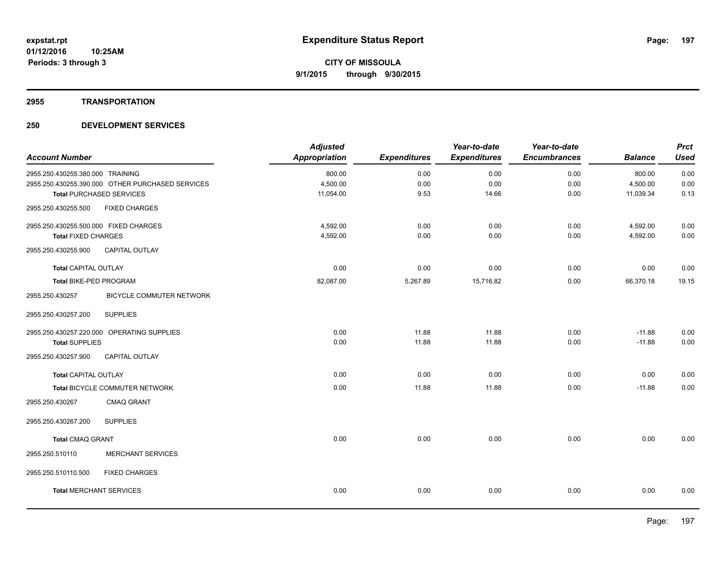### **2955 TRANSPORTATION**

| <b>Account Number</b>                            |                          | <b>Adjusted</b><br><b>Appropriation</b> | <b>Expenditures</b> | Year-to-date<br><b>Expenditures</b> | Year-to-date<br><b>Encumbrances</b> | <b>Balance</b> | <b>Prct</b><br><b>Used</b> |
|--------------------------------------------------|--------------------------|-----------------------------------------|---------------------|-------------------------------------|-------------------------------------|----------------|----------------------------|
| 2955.250.430255.380.000 TRAINING                 |                          | 800.00                                  | 0.00                | 0.00                                | 0.00                                | 800.00         | 0.00                       |
| 2955.250.430255.390.000 OTHER PURCHASED SERVICES |                          | 4,500.00                                | 0.00                | 0.00                                | 0.00                                | 4,500.00       | 0.00                       |
| <b>Total PURCHASED SERVICES</b>                  |                          | 11,054.00                               | 9.53                | 14.66                               | 0.00                                | 11,039.34      | 0.13                       |
| 2955.250.430255.500                              | <b>FIXED CHARGES</b>     |                                         |                     |                                     |                                     |                |                            |
| 2955.250.430255.500.000 FIXED CHARGES            |                          | 4,592.00                                | 0.00                | 0.00                                | 0.00                                | 4,592.00       | 0.00                       |
| <b>Total FIXED CHARGES</b>                       |                          | 4,592.00                                | 0.00                | 0.00                                | 0.00                                | 4,592.00       | 0.00                       |
| 2955.250.430255.900                              | <b>CAPITAL OUTLAY</b>    |                                         |                     |                                     |                                     |                |                            |
| <b>Total CAPITAL OUTLAY</b>                      |                          | 0.00                                    | 0.00                | 0.00                                | 0.00                                | 0.00           | 0.00                       |
| Total BIKE-PED PROGRAM                           |                          | 82,087.00                               | 5,267.89            | 15,716.82                           | 0.00                                | 66,370.18      | 19.15                      |
| 2955.250.430257                                  | BICYCLE COMMUTER NETWORK |                                         |                     |                                     |                                     |                |                            |
| <b>SUPPLIES</b><br>2955.250.430257.200           |                          |                                         |                     |                                     |                                     |                |                            |
| 2955.250.430257.220.000 OPERATING SUPPLIES       |                          | 0.00                                    | 11.88               | 11.88                               | 0.00                                | $-11.88$       | 0.00                       |
| <b>Total SUPPLIES</b>                            |                          | 0.00                                    | 11.88               | 11.88                               | 0.00                                | $-11.88$       | 0.00                       |
| 2955.250.430257.900                              | CAPITAL OUTLAY           |                                         |                     |                                     |                                     |                |                            |
| <b>Total CAPITAL OUTLAY</b>                      |                          | 0.00                                    | 0.00                | 0.00                                | 0.00                                | 0.00           | 0.00                       |
| Total BICYCLE COMMUTER NETWORK                   |                          | 0.00                                    | 11.88               | 11.88                               | 0.00                                | $-11.88$       | 0.00                       |
| 2955.250.430267                                  | <b>CMAQ GRANT</b>        |                                         |                     |                                     |                                     |                |                            |
| 2955.250.430267.200<br><b>SUPPLIES</b>           |                          |                                         |                     |                                     |                                     |                |                            |
| <b>Total CMAQ GRANT</b>                          |                          | 0.00                                    | 0.00                | 0.00                                | 0.00                                | 0.00           | 0.00                       |
| 2955.250.510110                                  | <b>MERCHANT SERVICES</b> |                                         |                     |                                     |                                     |                |                            |
| 2955.250.510110.500                              | <b>FIXED CHARGES</b>     |                                         |                     |                                     |                                     |                |                            |
| <b>Total MERCHANT SERVICES</b>                   |                          | 0.00                                    | 0.00                | 0.00                                | 0.00                                | 0.00           | 0.00                       |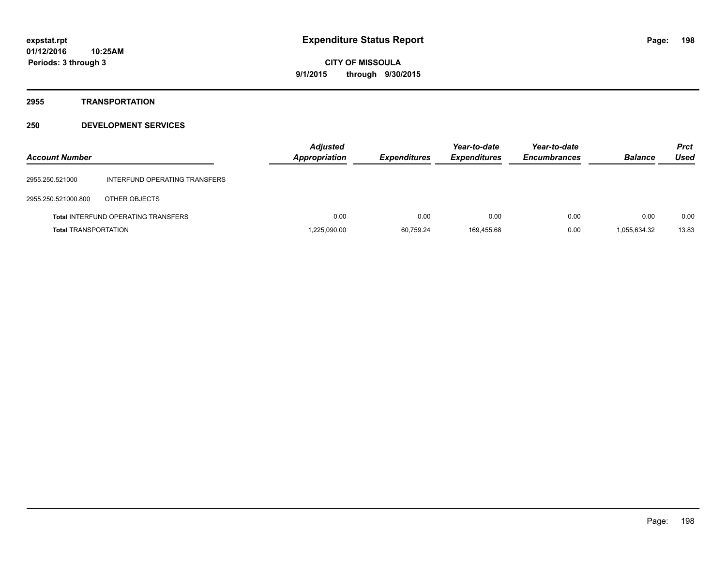# **2955 TRANSPORTATION**

| <b>Account Number</b>       |                                            | <b>Adjusted</b><br><b>Appropriation</b> | <b>Expenditures</b> | Year-to-date<br><b>Expenditures</b> | Year-to-date<br><b>Encumbrances</b> | <b>Balance</b> | <b>Prct</b><br>Used |
|-----------------------------|--------------------------------------------|-----------------------------------------|---------------------|-------------------------------------|-------------------------------------|----------------|---------------------|
| 2955.250.521000             | INTERFUND OPERATING TRANSFERS              |                                         |                     |                                     |                                     |                |                     |
| 2955.250.521000.800         | OTHER OBJECTS                              |                                         |                     |                                     |                                     |                |                     |
|                             | <b>Total INTERFUND OPERATING TRANSFERS</b> | 0.00                                    | 0.00                | 0.00                                | 0.00                                | 0.00           | 0.00                |
| <b>Total TRANSPORTATION</b> |                                            | 1,225,090.00                            | 60,759.24           | 169.455.68                          | 0.00                                | 1,055,634.32   | 13.83               |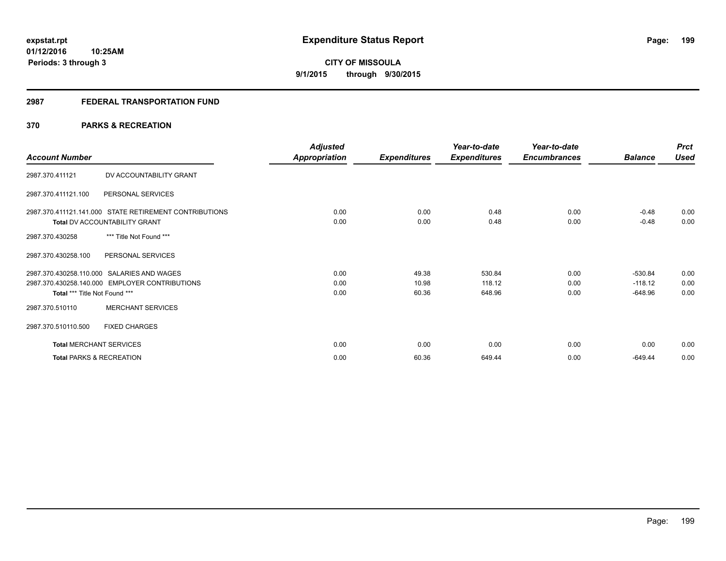## **2987 FEDERAL TRANSPORTATION FUND**

# **370 PARKS & RECREATION**

| <b>Account Number</b>                                                                                                         | <b>Adjusted</b><br>Appropriation | <b>Expenditures</b>     | Year-to-date<br><b>Expenditures</b> | Year-to-date<br><b>Encumbrances</b> | <b>Balance</b>                      | <b>Prct</b><br><b>Used</b> |
|-------------------------------------------------------------------------------------------------------------------------------|----------------------------------|-------------------------|-------------------------------------|-------------------------------------|-------------------------------------|----------------------------|
| DV ACCOUNTABILITY GRANT<br>2987.370.411121                                                                                    |                                  |                         |                                     |                                     |                                     |                            |
| 2987.370.411121.100<br>PERSONAL SERVICES                                                                                      |                                  |                         |                                     |                                     |                                     |                            |
| 2987.370.411121.141.000 STATE RETIREMENT CONTRIBUTIONS<br><b>Total DV ACCOUNTABILITY GRANT</b>                                | 0.00<br>0.00                     | 0.00<br>0.00            | 0.48<br>0.48                        | 0.00<br>0.00                        | $-0.48$<br>$-0.48$                  | 0.00<br>0.00               |
| *** Title Not Found ***<br>2987.370.430258                                                                                    |                                  |                         |                                     |                                     |                                     |                            |
| 2987.370.430258.100<br>PERSONAL SERVICES                                                                                      |                                  |                         |                                     |                                     |                                     |                            |
| 2987.370.430258.110.000 SALARIES AND WAGES<br>2987.370.430258.140.000 EMPLOYER CONTRIBUTIONS<br>Total *** Title Not Found *** | 0.00<br>0.00<br>0.00             | 49.38<br>10.98<br>60.36 | 530.84<br>118.12<br>648.96          | 0.00<br>0.00<br>0.00                | $-530.84$<br>$-118.12$<br>$-648.96$ | 0.00<br>0.00<br>0.00       |
| <b>MERCHANT SERVICES</b><br>2987.370.510110                                                                                   |                                  |                         |                                     |                                     |                                     |                            |
| 2987.370.510110.500<br><b>FIXED CHARGES</b>                                                                                   |                                  |                         |                                     |                                     |                                     |                            |
| <b>Total MERCHANT SERVICES</b>                                                                                                | 0.00                             | 0.00                    | 0.00                                | 0.00                                | 0.00                                | 0.00                       |
| <b>Total PARKS &amp; RECREATION</b>                                                                                           | 0.00                             | 60.36                   | 649.44                              | 0.00                                | $-649.44$                           | 0.00                       |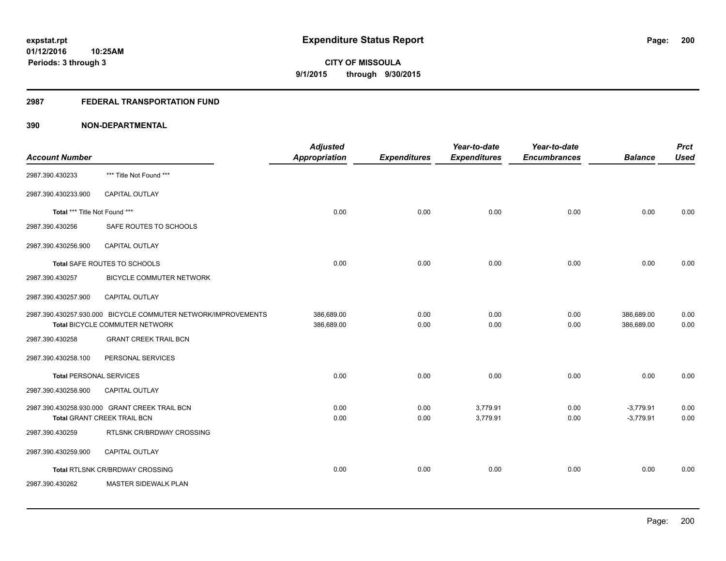## **2987 FEDERAL TRANSPORTATION FUND**

| <b>Account Number</b>          |                                                                                                 | <b>Adjusted</b><br><b>Appropriation</b> | <b>Expenditures</b> | Year-to-date<br><b>Expenditures</b> | Year-to-date<br><b>Encumbrances</b> | <b>Balance</b>           | <b>Prct</b><br><b>Used</b> |
|--------------------------------|-------------------------------------------------------------------------------------------------|-----------------------------------------|---------------------|-------------------------------------|-------------------------------------|--------------------------|----------------------------|
| 2987.390.430233                | *** Title Not Found ***                                                                         |                                         |                     |                                     |                                     |                          |                            |
| 2987.390.430233.900            | <b>CAPITAL OUTLAY</b>                                                                           |                                         |                     |                                     |                                     |                          |                            |
| Total *** Title Not Found ***  |                                                                                                 | 0.00                                    | 0.00                | 0.00                                | 0.00                                | 0.00                     | 0.00                       |
| 2987.390.430256                | SAFE ROUTES TO SCHOOLS                                                                          |                                         |                     |                                     |                                     |                          |                            |
| 2987.390.430256.900            | CAPITAL OUTLAY                                                                                  |                                         |                     |                                     |                                     |                          |                            |
|                                | Total SAFE ROUTES TO SCHOOLS                                                                    | 0.00                                    | 0.00                | 0.00                                | 0.00                                | 0.00                     | 0.00                       |
| 2987.390.430257                | BICYCLE COMMUTER NETWORK                                                                        |                                         |                     |                                     |                                     |                          |                            |
| 2987.390.430257.900            | <b>CAPITAL OUTLAY</b>                                                                           |                                         |                     |                                     |                                     |                          |                            |
|                                | 2987.390.430257.930.000 BICYCLE COMMUTER NETWORK/IMPROVEMENTS<br>Total BICYCLE COMMUTER NETWORK | 386,689.00<br>386,689.00                | 0.00<br>0.00        | 0.00<br>0.00                        | 0.00<br>0.00                        | 386,689.00<br>386,689.00 | 0.00<br>0.00               |
| 2987.390.430258                | <b>GRANT CREEK TRAIL BCN</b>                                                                    |                                         |                     |                                     |                                     |                          |                            |
|                                |                                                                                                 |                                         |                     |                                     |                                     |                          |                            |
| 2987.390.430258.100            | PERSONAL SERVICES                                                                               |                                         |                     |                                     |                                     |                          |                            |
| <b>Total PERSONAL SERVICES</b> |                                                                                                 | 0.00                                    | 0.00                | 0.00                                | 0.00                                | 0.00                     | 0.00                       |
| 2987.390.430258.900            | CAPITAL OUTLAY                                                                                  |                                         |                     |                                     |                                     |                          |                            |
|                                | 2987.390.430258.930.000 GRANT CREEK TRAIL BCN                                                   | 0.00                                    | 0.00                | 3,779.91                            | 0.00                                | $-3,779.91$              | 0.00                       |
|                                | Total GRANT CREEK TRAIL BCN                                                                     | 0.00                                    | 0.00                | 3,779.91                            | 0.00                                | $-3,779.91$              | 0.00                       |
| 2987.390.430259                | RTLSNK CR/BRDWAY CROSSING                                                                       |                                         |                     |                                     |                                     |                          |                            |
| 2987.390.430259.900            | <b>CAPITAL OUTLAY</b>                                                                           |                                         |                     |                                     |                                     |                          |                            |
|                                | Total RTLSNK CR/BRDWAY CROSSING                                                                 | 0.00                                    | 0.00                | 0.00                                | 0.00                                | 0.00                     | 0.00                       |
| 2987.390.430262                | MASTER SIDEWALK PLAN                                                                            |                                         |                     |                                     |                                     |                          |                            |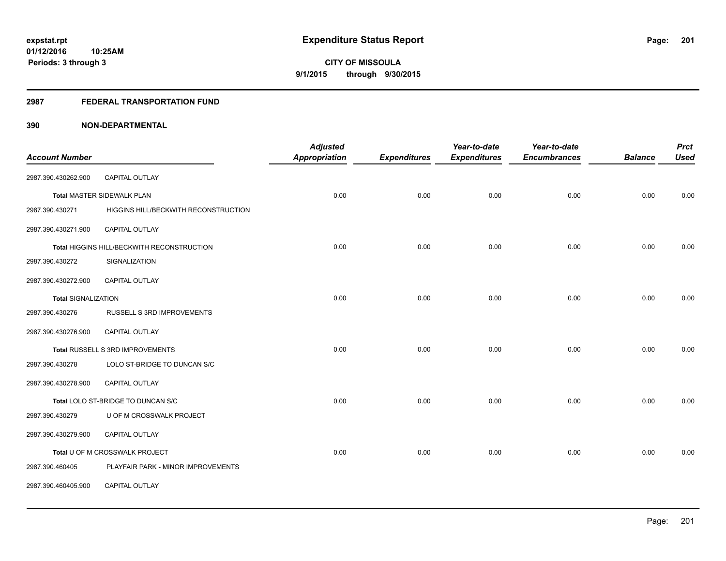## **2987 FEDERAL TRANSPORTATION FUND**

| <b>Account Number</b>      |                                            | <b>Adjusted</b><br><b>Appropriation</b> | <b>Expenditures</b> | Year-to-date<br><b>Expenditures</b> | Year-to-date<br><b>Encumbrances</b> | <b>Balance</b> | <b>Prct</b><br><b>Used</b> |
|----------------------------|--------------------------------------------|-----------------------------------------|---------------------|-------------------------------------|-------------------------------------|----------------|----------------------------|
|                            |                                            |                                         |                     |                                     |                                     |                |                            |
| 2987.390.430262.900        | CAPITAL OUTLAY                             |                                         |                     |                                     |                                     |                |                            |
|                            | <b>Total MASTER SIDEWALK PLAN</b>          | 0.00                                    | 0.00                | 0.00                                | 0.00                                | 0.00           | 0.00                       |
| 2987.390.430271            | HIGGINS HILL/BECKWITH RECONSTRUCTION       |                                         |                     |                                     |                                     |                |                            |
| 2987.390.430271.900        | <b>CAPITAL OUTLAY</b>                      |                                         |                     |                                     |                                     |                |                            |
|                            | Total HIGGINS HILL/BECKWITH RECONSTRUCTION | 0.00                                    | 0.00                | 0.00                                | 0.00                                | 0.00           | 0.00                       |
| 2987.390.430272            | SIGNALIZATION                              |                                         |                     |                                     |                                     |                |                            |
| 2987.390.430272.900        | <b>CAPITAL OUTLAY</b>                      |                                         |                     |                                     |                                     |                |                            |
| <b>Total SIGNALIZATION</b> |                                            | 0.00                                    | 0.00                | 0.00                                | 0.00                                | 0.00           | 0.00                       |
| 2987.390.430276            | RUSSELL S 3RD IMPROVEMENTS                 |                                         |                     |                                     |                                     |                |                            |
| 2987.390.430276.900        | <b>CAPITAL OUTLAY</b>                      |                                         |                     |                                     |                                     |                |                            |
|                            | Total RUSSELL S 3RD IMPROVEMENTS           | 0.00                                    | 0.00                | 0.00                                | 0.00                                | 0.00           | 0.00                       |
| 2987.390.430278            | LOLO ST-BRIDGE TO DUNCAN S/C               |                                         |                     |                                     |                                     |                |                            |
| 2987.390.430278.900        | CAPITAL OUTLAY                             |                                         |                     |                                     |                                     |                |                            |
|                            | Total LOLO ST-BRIDGE TO DUNCAN S/C         | 0.00                                    | 0.00                | 0.00                                | 0.00                                | 0.00           | 0.00                       |
| 2987.390.430279            | U OF M CROSSWALK PROJECT                   |                                         |                     |                                     |                                     |                |                            |
| 2987.390.430279.900        | CAPITAL OUTLAY                             |                                         |                     |                                     |                                     |                |                            |
|                            | Total U OF M CROSSWALK PROJECT             | 0.00                                    | 0.00                | 0.00                                | 0.00                                | 0.00           | 0.00                       |
| 2987.390.460405            | PLAYFAIR PARK - MINOR IMPROVEMENTS         |                                         |                     |                                     |                                     |                |                            |
| 2987.390.460405.900        | CAPITAL OUTLAY                             |                                         |                     |                                     |                                     |                |                            |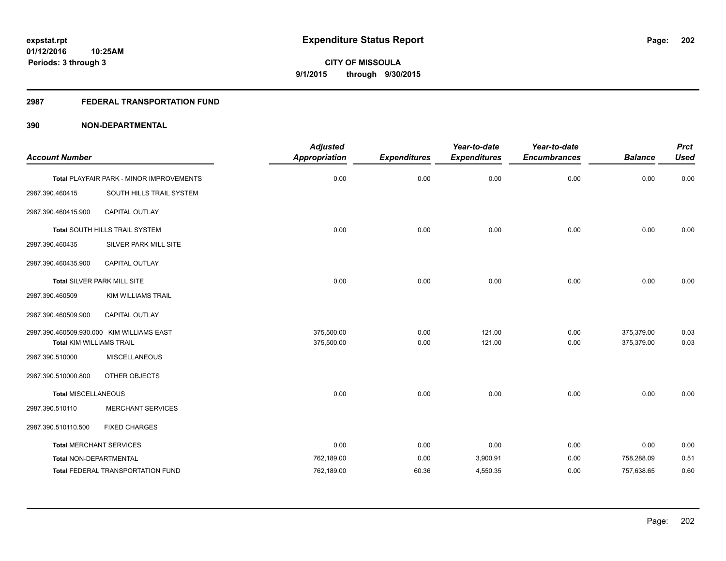## **2987 FEDERAL TRANSPORTATION FUND**

|                                 |                                           | <b>Adjusted</b>      |                     | Year-to-date        | Year-to-date        |                | <b>Prct</b> |
|---------------------------------|-------------------------------------------|----------------------|---------------------|---------------------|---------------------|----------------|-------------|
| <b>Account Number</b>           |                                           | <b>Appropriation</b> | <b>Expenditures</b> | <b>Expenditures</b> | <b>Encumbrances</b> | <b>Balance</b> | <b>Used</b> |
|                                 | Total PLAYFAIR PARK - MINOR IMPROVEMENTS  | 0.00                 | 0.00                | 0.00                | 0.00                | 0.00           | 0.00        |
| 2987.390.460415                 | SOUTH HILLS TRAIL SYSTEM                  |                      |                     |                     |                     |                |             |
| 2987.390.460415.900             | <b>CAPITAL OUTLAY</b>                     |                      |                     |                     |                     |                |             |
|                                 | <b>Total SOUTH HILLS TRAIL SYSTEM</b>     | 0.00                 | 0.00                | 0.00                | 0.00                | 0.00           | 0.00        |
| 2987.390.460435                 | SILVER PARK MILL SITE                     |                      |                     |                     |                     |                |             |
| 2987.390.460435.900             | CAPITAL OUTLAY                            |                      |                     |                     |                     |                |             |
|                                 | Total SILVER PARK MILL SITE               | 0.00                 | 0.00                | 0.00                | 0.00                | 0.00           | 0.00        |
| 2987.390.460509                 | KIM WILLIAMS TRAIL                        |                      |                     |                     |                     |                |             |
| 2987.390.460509.900             | CAPITAL OUTLAY                            |                      |                     |                     |                     |                |             |
|                                 | 2987.390.460509.930.000 KIM WILLIAMS EAST | 375,500.00           | 0.00                | 121.00              | 0.00                | 375,379.00     | 0.03        |
| <b>Total KIM WILLIAMS TRAIL</b> |                                           | 375,500.00           | 0.00                | 121.00              | 0.00                | 375,379.00     | 0.03        |
| 2987.390.510000                 | <b>MISCELLANEOUS</b>                      |                      |                     |                     |                     |                |             |
| 2987.390.510000.800             | OTHER OBJECTS                             |                      |                     |                     |                     |                |             |
| <b>Total MISCELLANEOUS</b>      |                                           | 0.00                 | 0.00                | 0.00                | 0.00                | 0.00           | 0.00        |
| 2987.390.510110                 | <b>MERCHANT SERVICES</b>                  |                      |                     |                     |                     |                |             |
| 2987.390.510110.500             | <b>FIXED CHARGES</b>                      |                      |                     |                     |                     |                |             |
| <b>Total MERCHANT SERVICES</b>  |                                           | 0.00                 | 0.00                | 0.00                | 0.00                | 0.00           | 0.00        |
| Total NON-DEPARTMENTAL          |                                           | 762,189.00           | 0.00                | 3,900.91            | 0.00                | 758,288.09     | 0.51        |
|                                 | <b>Total FEDERAL TRANSPORTATION FUND</b>  | 762,189.00           | 60.36               | 4,550.35            | 0.00                | 757,638.65     | 0.60        |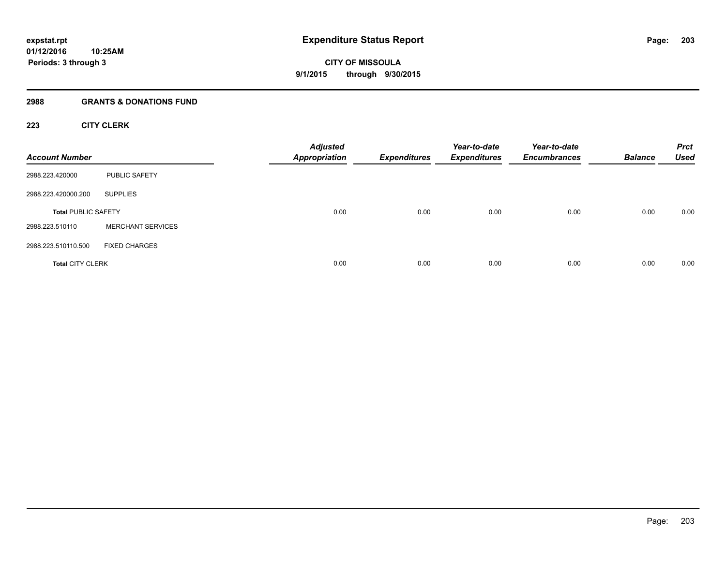# **2988 GRANTS & DONATIONS FUND**

# **223 CITY CLERK**

| <b>Account Number</b>      |                          | <b>Adjusted</b><br><b>Appropriation</b> | <b>Expenditures</b> | Year-to-date<br><b>Expenditures</b> | Year-to-date<br><b>Encumbrances</b> | <b>Balance</b> | <b>Prct</b><br><b>Used</b> |
|----------------------------|--------------------------|-----------------------------------------|---------------------|-------------------------------------|-------------------------------------|----------------|----------------------------|
| 2988.223.420000            | PUBLIC SAFETY            |                                         |                     |                                     |                                     |                |                            |
| 2988.223.420000.200        | <b>SUPPLIES</b>          |                                         |                     |                                     |                                     |                |                            |
| <b>Total PUBLIC SAFETY</b> |                          | 0.00                                    | 0.00                | 0.00                                | 0.00                                | 0.00           | 0.00                       |
| 2988.223.510110            | <b>MERCHANT SERVICES</b> |                                         |                     |                                     |                                     |                |                            |
| 2988.223.510110.500        | <b>FIXED CHARGES</b>     |                                         |                     |                                     |                                     |                |                            |
| <b>Total CITY CLERK</b>    |                          | 0.00                                    | 0.00                | 0.00                                | 0.00                                | 0.00           | 0.00                       |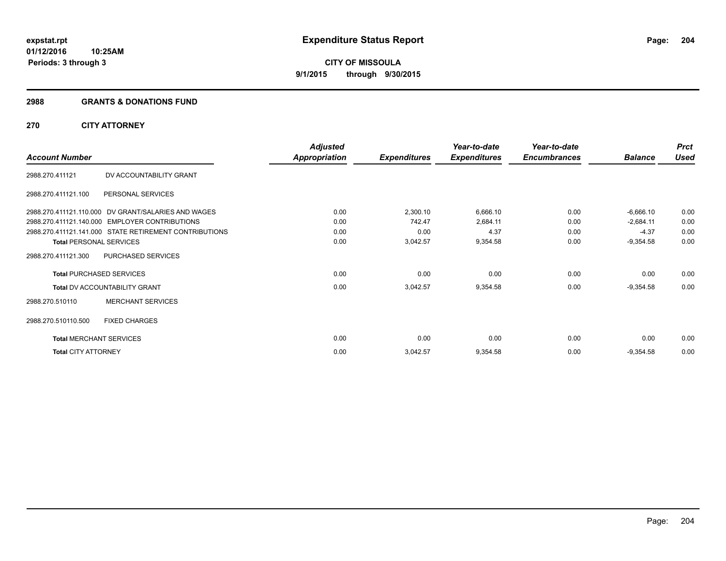#### **2988 GRANTS & DONATIONS FUND**

# **270 CITY ATTORNEY**

|                                |                                                        | <b>Adjusted</b>      |                     | Year-to-date        | Year-to-date        |                | <b>Prct</b> |
|--------------------------------|--------------------------------------------------------|----------------------|---------------------|---------------------|---------------------|----------------|-------------|
| <b>Account Number</b>          |                                                        | <b>Appropriation</b> | <b>Expenditures</b> | <b>Expenditures</b> | <b>Encumbrances</b> | <b>Balance</b> | <b>Used</b> |
| 2988.270.411121                | DV ACCOUNTABILITY GRANT                                |                      |                     |                     |                     |                |             |
| 2988.270.411121.100            | PERSONAL SERVICES                                      |                      |                     |                     |                     |                |             |
|                                | 2988.270.411121.110.000 DV GRANT/SALARIES AND WAGES    | 0.00                 | 2,300.10            | 6,666.10            | 0.00                | $-6,666.10$    | 0.00        |
|                                | 2988.270.411121.140.000 EMPLOYER CONTRIBUTIONS         | 0.00                 | 742.47              | 2,684.11            | 0.00                | $-2,684.11$    | 0.00        |
|                                | 2988.270.411121.141.000 STATE RETIREMENT CONTRIBUTIONS | 0.00                 | 0.00                | 4.37                | 0.00                | $-4.37$        | 0.00        |
| <b>Total PERSONAL SERVICES</b> |                                                        | 0.00                 | 3,042.57            | 9,354.58            | 0.00                | $-9,354.58$    | 0.00        |
| 2988.270.411121.300            | PURCHASED SERVICES                                     |                      |                     |                     |                     |                |             |
|                                | <b>Total PURCHASED SERVICES</b>                        | 0.00                 | 0.00                | 0.00                | 0.00                | 0.00           | 0.00        |
|                                | <b>Total DV ACCOUNTABILITY GRANT</b>                   | 0.00                 | 3,042.57            | 9,354.58            | 0.00                | $-9,354.58$    | 0.00        |
| 2988.270.510110                | <b>MERCHANT SERVICES</b>                               |                      |                     |                     |                     |                |             |
| 2988.270.510110.500            | <b>FIXED CHARGES</b>                                   |                      |                     |                     |                     |                |             |
| <b>Total MERCHANT SERVICES</b> |                                                        | 0.00                 | 0.00                | 0.00                | 0.00                | 0.00           | 0.00        |
| <b>Total CITY ATTORNEY</b>     |                                                        | 0.00                 | 3,042.57            | 9,354.58            | 0.00                | $-9,354.58$    | 0.00        |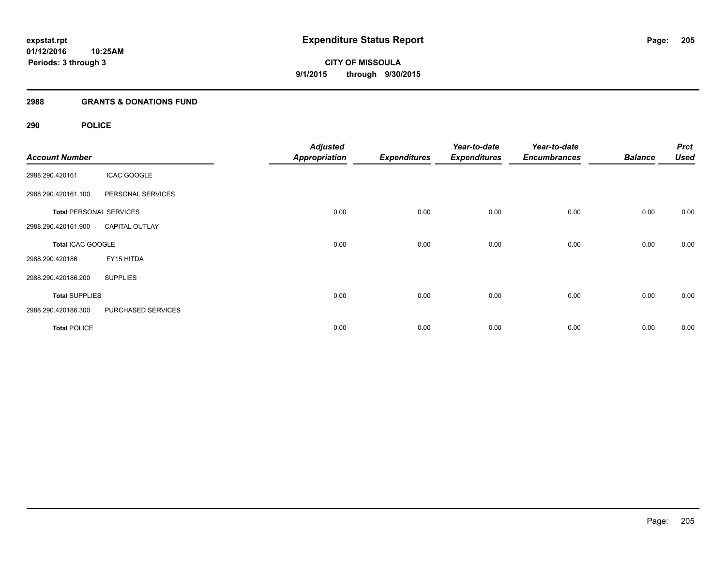## **2988 GRANTS & DONATIONS FUND**

# **290 POLICE**

| <b>Account Number</b>          |                       | <b>Adjusted</b><br>Appropriation | <b>Expenditures</b> | Year-to-date<br><b>Expenditures</b> | Year-to-date<br><b>Encumbrances</b> | <b>Balance</b> | <b>Prct</b><br><b>Used</b> |
|--------------------------------|-----------------------|----------------------------------|---------------------|-------------------------------------|-------------------------------------|----------------|----------------------------|
| 2988.290.420161                | <b>ICAC GOOGLE</b>    |                                  |                     |                                     |                                     |                |                            |
| 2988.290.420161.100            | PERSONAL SERVICES     |                                  |                     |                                     |                                     |                |                            |
| <b>Total PERSONAL SERVICES</b> |                       | 0.00                             | 0.00                | 0.00                                | 0.00                                | 0.00           | 0.00                       |
| 2988.290.420161.900            | <b>CAPITAL OUTLAY</b> |                                  |                     |                                     |                                     |                |                            |
| Total ICAC GOOGLE              |                       | 0.00                             | 0.00                | 0.00                                | 0.00                                | 0.00           | 0.00                       |
| 2988.290.420186                | FY15 HITDA            |                                  |                     |                                     |                                     |                |                            |
| 2988.290.420186.200            | <b>SUPPLIES</b>       |                                  |                     |                                     |                                     |                |                            |
| <b>Total SUPPLIES</b>          |                       | 0.00                             | 0.00                | 0.00                                | 0.00                                | 0.00           | 0.00                       |
| 2988.290.420186.300            | PURCHASED SERVICES    |                                  |                     |                                     |                                     |                |                            |
| <b>Total POLICE</b>            |                       | 0.00                             | 0.00                | 0.00                                | 0.00                                | 0.00           | 0.00                       |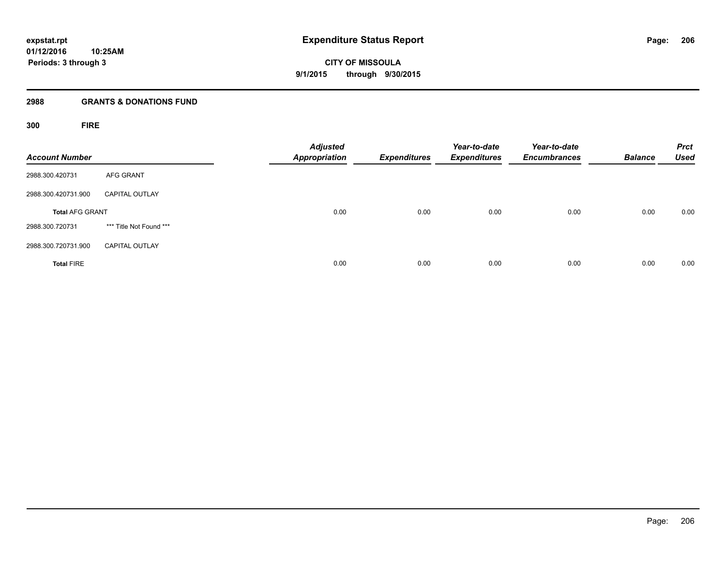# **2988 GRANTS & DONATIONS FUND**

**300 FIRE**

| <b>Account Number</b>  |                         | <b>Adjusted</b><br><b>Appropriation</b> | <b>Expenditures</b> | Year-to-date<br><b>Expenditures</b> | Year-to-date<br><b>Encumbrances</b> | <b>Balance</b> | <b>Prct</b><br><b>Used</b> |
|------------------------|-------------------------|-----------------------------------------|---------------------|-------------------------------------|-------------------------------------|----------------|----------------------------|
| 2988.300.420731        | AFG GRANT               |                                         |                     |                                     |                                     |                |                            |
| 2988.300.420731.900    | <b>CAPITAL OUTLAY</b>   |                                         |                     |                                     |                                     |                |                            |
| <b>Total AFG GRANT</b> |                         | 0.00                                    | 0.00                | 0.00                                | 0.00                                | 0.00           | 0.00                       |
| 2988.300.720731        | *** Title Not Found *** |                                         |                     |                                     |                                     |                |                            |
| 2988.300.720731.900    | <b>CAPITAL OUTLAY</b>   |                                         |                     |                                     |                                     |                |                            |
| <b>Total FIRE</b>      |                         | 0.00                                    | 0.00                | 0.00                                | 0.00                                | 0.00           | 0.00                       |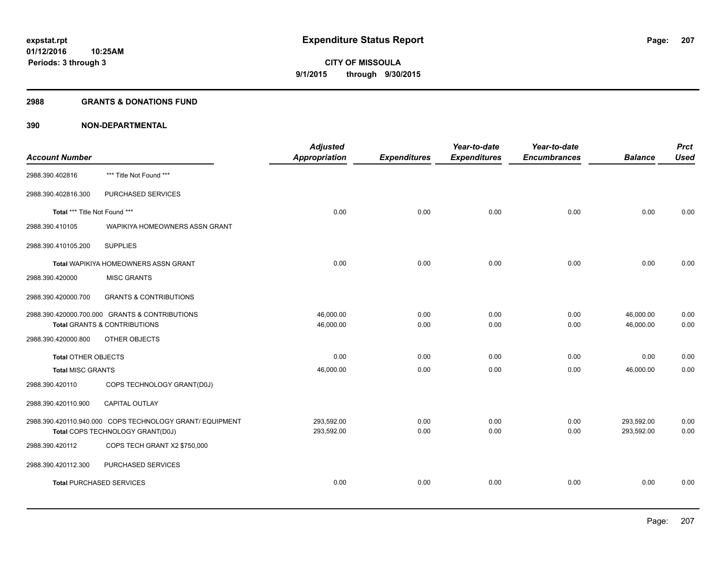#### **2988 GRANTS & DONATIONS FUND**

| <b>Account Number</b>           |                                                          | <b>Adjusted</b><br>Appropriation | <b>Expenditures</b> | Year-to-date<br><b>Expenditures</b> | Year-to-date<br><b>Encumbrances</b> | <b>Balance</b> | <b>Prct</b><br><b>Used</b> |
|---------------------------------|----------------------------------------------------------|----------------------------------|---------------------|-------------------------------------|-------------------------------------|----------------|----------------------------|
|                                 |                                                          |                                  |                     |                                     |                                     |                |                            |
| 2988.390.402816                 | *** Title Not Found ***                                  |                                  |                     |                                     |                                     |                |                            |
| 2988.390.402816.300             | PURCHASED SERVICES                                       |                                  |                     |                                     |                                     |                |                            |
| Total *** Title Not Found ***   |                                                          | 0.00                             | 0.00                | 0.00                                | 0.00                                | 0.00           | 0.00                       |
| 2988.390.410105                 | WAPIKIYA HOMEOWNERS ASSN GRANT                           |                                  |                     |                                     |                                     |                |                            |
| 2988.390.410105.200             | <b>SUPPLIES</b>                                          |                                  |                     |                                     |                                     |                |                            |
|                                 | <b>Total WAPIKIYA HOMEOWNERS ASSN GRANT</b>              | 0.00                             | 0.00                | 0.00                                | 0.00                                | 0.00           | 0.00                       |
| 2988.390.420000                 | <b>MISC GRANTS</b>                                       |                                  |                     |                                     |                                     |                |                            |
| 2988.390.420000.700             | <b>GRANTS &amp; CONTRIBUTIONS</b>                        |                                  |                     |                                     |                                     |                |                            |
|                                 | 2988.390.420000.700.000 GRANTS & CONTRIBUTIONS           | 46,000.00                        | 0.00                | 0.00                                | 0.00                                | 46,000.00      | 0.00                       |
|                                 | <b>Total GRANTS &amp; CONTRIBUTIONS</b>                  | 46,000.00                        | 0.00                | 0.00                                | 0.00                                | 46,000.00      | 0.00                       |
| 2988.390.420000.800             | OTHER OBJECTS                                            |                                  |                     |                                     |                                     |                |                            |
| <b>Total OTHER OBJECTS</b>      |                                                          | 0.00                             | 0.00                | 0.00                                | 0.00                                | 0.00           | 0.00                       |
| <b>Total MISC GRANTS</b>        |                                                          | 46,000.00                        | 0.00                | 0.00                                | 0.00                                | 46,000.00      | 0.00                       |
| 2988.390.420110                 | COPS TECHNOLOGY GRANT(D0J)                               |                                  |                     |                                     |                                     |                |                            |
| 2988.390.420110.900             | CAPITAL OUTLAY                                           |                                  |                     |                                     |                                     |                |                            |
|                                 | 2988.390.420110.940.000 COPS TECHNOLOGY GRANT/ EQUIPMENT | 293,592.00                       | 0.00                | 0.00                                | 0.00                                | 293,592.00     | 0.00                       |
|                                 | Total COPS TECHNOLOGY GRANT(D0J)                         | 293,592.00                       | 0.00                | 0.00                                | 0.00                                | 293,592.00     | 0.00                       |
| 2988.390.420112                 | COPS TECH GRANT X2 \$750,000                             |                                  |                     |                                     |                                     |                |                            |
| 2988.390.420112.300             | PURCHASED SERVICES                                       |                                  |                     |                                     |                                     |                |                            |
| <b>Total PURCHASED SERVICES</b> |                                                          | 0.00                             | 0.00                | 0.00                                | 0.00                                | 0.00           | 0.00                       |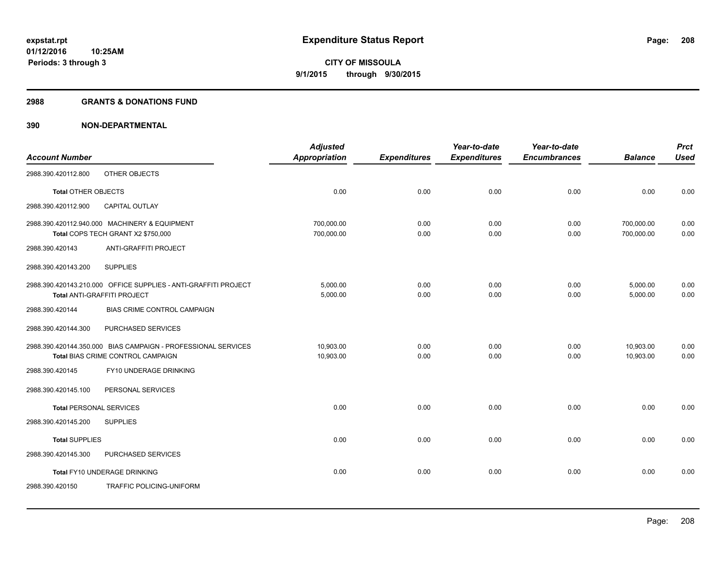#### **2988 GRANTS & DONATIONS FUND**

|                                |                                                                                                    | <b>Adjusted</b>          |                     | Year-to-date        | Year-to-date        |                          | <b>Prct</b>  |
|--------------------------------|----------------------------------------------------------------------------------------------------|--------------------------|---------------------|---------------------|---------------------|--------------------------|--------------|
| <b>Account Number</b>          |                                                                                                    | <b>Appropriation</b>     | <b>Expenditures</b> | <b>Expenditures</b> | <b>Encumbrances</b> | <b>Balance</b>           | <b>Used</b>  |
| 2988.390.420112.800            | OTHER OBJECTS                                                                                      |                          |                     |                     |                     |                          |              |
| <b>Total OTHER OBJECTS</b>     |                                                                                                    | 0.00                     | 0.00                | 0.00                | 0.00                | 0.00                     | 0.00         |
| 2988.390.420112.900            | CAPITAL OUTLAY                                                                                     |                          |                     |                     |                     |                          |              |
|                                | 2988.390.420112.940.000 MACHINERY & EQUIPMENT<br>Total COPS TECH GRANT X2 \$750,000                | 700,000.00<br>700,000.00 | 0.00<br>0.00        | 0.00<br>0.00        | 0.00<br>0.00        | 700,000.00<br>700,000.00 | 0.00<br>0.00 |
| 2988.390.420143                | ANTI-GRAFFITI PROJECT                                                                              |                          |                     |                     |                     |                          |              |
| 2988.390.420143.200            | <b>SUPPLIES</b>                                                                                    |                          |                     |                     |                     |                          |              |
|                                | 2988.390.420143.210.000 OFFICE SUPPLIES - ANTI-GRAFFITI PROJECT<br>Total ANTI-GRAFFITI PROJECT     | 5,000.00<br>5,000.00     | 0.00<br>0.00        | 0.00<br>0.00        | 0.00<br>0.00        | 5,000.00<br>5,000.00     | 0.00<br>0.00 |
| 2988.390.420144                | BIAS CRIME CONTROL CAMPAIGN                                                                        |                          |                     |                     |                     |                          |              |
| 2988.390.420144.300            | PURCHASED SERVICES                                                                                 |                          |                     |                     |                     |                          |              |
|                                | 2988.390.420144.350.000 BIAS CAMPAIGN - PROFESSIONAL SERVICES<br>Total BIAS CRIME CONTROL CAMPAIGN | 10,903.00<br>10,903.00   | 0.00<br>0.00        | 0.00<br>0.00        | 0.00<br>0.00        | 10,903.00<br>10.903.00   | 0.00<br>0.00 |
| 2988.390.420145                | FY10 UNDERAGE DRINKING                                                                             |                          |                     |                     |                     |                          |              |
| 2988.390.420145.100            | PERSONAL SERVICES                                                                                  |                          |                     |                     |                     |                          |              |
| <b>Total PERSONAL SERVICES</b> |                                                                                                    | 0.00                     | 0.00                | 0.00                | 0.00                | 0.00                     | 0.00         |
| 2988.390.420145.200            | <b>SUPPLIES</b>                                                                                    |                          |                     |                     |                     |                          |              |
| <b>Total SUPPLIES</b>          |                                                                                                    | 0.00                     | 0.00                | 0.00                | 0.00                | 0.00                     | 0.00         |
| 2988.390.420145.300            | PURCHASED SERVICES                                                                                 |                          |                     |                     |                     |                          |              |
|                                | Total FY10 UNDERAGE DRINKING                                                                       | 0.00                     | 0.00                | 0.00                | 0.00                | 0.00                     | 0.00         |
| 2988.390.420150                | TRAFFIC POLICING-UNIFORM                                                                           |                          |                     |                     |                     |                          |              |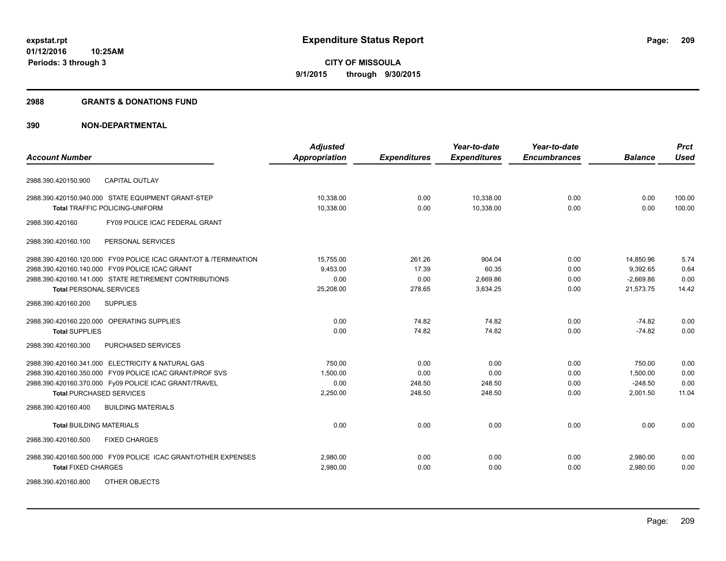#### **2988 GRANTS & DONATIONS FUND**

| <b>Account Number</b>                                            | <b>Adjusted</b><br><b>Appropriation</b> | <b>Expenditures</b> | Year-to-date<br><b>Expenditures</b> | Year-to-date<br><b>Encumbrances</b> | <b>Balance</b> | <b>Prct</b><br><b>Used</b> |
|------------------------------------------------------------------|-----------------------------------------|---------------------|-------------------------------------|-------------------------------------|----------------|----------------------------|
|                                                                  |                                         |                     |                                     |                                     |                |                            |
| <b>CAPITAL OUTLAY</b><br>2988.390.420150.900                     |                                         |                     |                                     |                                     |                |                            |
| 2988.390.420150.940.000 STATE EQUIPMENT GRANT-STEP               | 10,338.00                               | 0.00                | 10,338.00                           | 0.00                                | 0.00           | 100.00                     |
| <b>Total TRAFFIC POLICING-UNIFORM</b>                            | 10,338.00                               | 0.00                | 10,338.00                           | 0.00                                | 0.00           | 100.00                     |
| FY09 POLICE ICAC FEDERAL GRANT<br>2988.390.420160                |                                         |                     |                                     |                                     |                |                            |
| PERSONAL SERVICES<br>2988.390.420160.100                         |                                         |                     |                                     |                                     |                |                            |
| 2988.390.420160.120.000 FY09 POLICE ICAC GRANT/OT & /TERMINATION | 15,755.00                               | 261.26              | 904.04                              | 0.00                                | 14,850.96      | 5.74                       |
| 2988.390.420160.140.000 FY09 POLICE ICAC GRANT                   | 9,453.00                                | 17.39               | 60.35                               | 0.00                                | 9,392.65       | 0.64                       |
| 2988.390.420160.141.000 STATE RETIREMENT CONTRIBUTIONS           | 0.00                                    | 0.00                | 2,669.86                            | 0.00                                | $-2,669.86$    | 0.00                       |
| <b>Total PERSONAL SERVICES</b>                                   | 25,208.00                               | 278.65              | 3,634.25                            | 0.00                                | 21,573.75      | 14.42                      |
| <b>SUPPLIES</b><br>2988.390.420160.200                           |                                         |                     |                                     |                                     |                |                            |
| 2988.390.420160.220.000 OPERATING SUPPLIES                       | 0.00                                    | 74.82               | 74.82                               | 0.00                                | $-74.82$       | 0.00                       |
| <b>Total SUPPLIES</b>                                            | 0.00                                    | 74.82               | 74.82                               | 0.00                                | $-74.82$       | 0.00                       |
| PURCHASED SERVICES<br>2988.390.420160.300                        |                                         |                     |                                     |                                     |                |                            |
| 2988.390.420160.341.000 ELECTRICITY & NATURAL GAS                | 750.00                                  | 0.00                | 0.00                                | 0.00                                | 750.00         | 0.00                       |
| 2988.390.420160.350.000 FY09 POLICE ICAC GRANT/PROF SVS          | 1,500.00                                | 0.00                | 0.00                                | 0.00                                | 1,500.00       | 0.00                       |
| 2988.390.420160.370.000 Fy09 POLICE ICAC GRANT/TRAVEL            | 0.00                                    | 248.50              | 248.50                              | 0.00                                | $-248.50$      | 0.00                       |
| <b>Total PURCHASED SERVICES</b>                                  | 2,250.00                                | 248.50              | 248.50                              | 0.00                                | 2,001.50       | 11.04                      |
| <b>BUILDING MATERIALS</b><br>2988.390.420160.400                 |                                         |                     |                                     |                                     |                |                            |
| <b>Total BUILDING MATERIALS</b>                                  | 0.00                                    | 0.00                | 0.00                                | 0.00                                | 0.00           | 0.00                       |
| 2988.390.420160.500<br><b>FIXED CHARGES</b>                      |                                         |                     |                                     |                                     |                |                            |
| 2988.390.420160.500.000 FY09 POLICE ICAC GRANT/OTHER EXPENSES    | 2,980.00                                | 0.00                | 0.00                                | 0.00                                | 2,980.00       | 0.00                       |
| <b>Total FIXED CHARGES</b>                                       | 2,980.00                                | 0.00                | 0.00                                | 0.00                                | 2,980.00       | 0.00                       |
| 2988.390.420160.800<br>OTHER OBJECTS                             |                                         |                     |                                     |                                     |                |                            |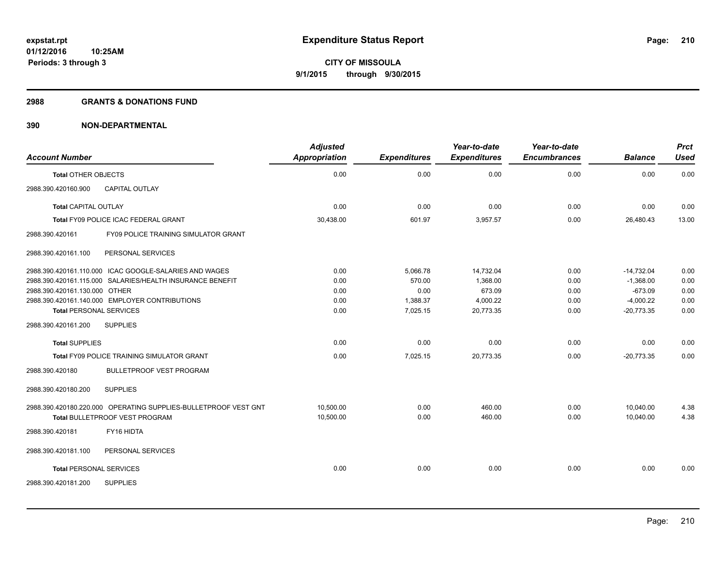#### **2988 GRANTS & DONATIONS FUND**

| <b>Account Number</b>          |                                                                                                          | <b>Adjusted</b><br><b>Appropriation</b> | <b>Expenditures</b> | Year-to-date<br><b>Expenditures</b> | Year-to-date<br><b>Encumbrances</b> | <b>Balance</b>         | <b>Prct</b><br><b>Used</b> |
|--------------------------------|----------------------------------------------------------------------------------------------------------|-----------------------------------------|---------------------|-------------------------------------|-------------------------------------|------------------------|----------------------------|
| <b>Total OTHER OBJECTS</b>     |                                                                                                          | 0.00                                    | 0.00                | 0.00                                | 0.00                                | 0.00                   | 0.00                       |
| 2988.390.420160.900            | <b>CAPITAL OUTLAY</b>                                                                                    |                                         |                     |                                     |                                     |                        |                            |
| <b>Total CAPITAL OUTLAY</b>    |                                                                                                          | 0.00                                    | 0.00                | 0.00                                | 0.00                                | 0.00                   | 0.00                       |
|                                | Total FY09 POLICE ICAC FEDERAL GRANT                                                                     | 30,438.00                               | 601.97              | 3,957.57                            | 0.00                                | 26,480.43              | 13.00                      |
| 2988.390.420161                | FY09 POLICE TRAINING SIMULATOR GRANT                                                                     |                                         |                     |                                     |                                     |                        |                            |
| 2988.390.420161.100            | PERSONAL SERVICES                                                                                        |                                         |                     |                                     |                                     |                        |                            |
|                                | 2988.390.420161.110.000 ICAC GOOGLE-SALARIES AND WAGES                                                   | 0.00                                    | 5,066.78            | 14,732.04                           | 0.00                                | $-14,732.04$           | 0.00                       |
|                                | 2988.390.420161.115.000 SALARIES/HEALTH INSURANCE BENEFIT                                                | 0.00                                    | 570.00              | 1.368.00                            | 0.00                                | $-1,368.00$            | 0.00                       |
| 2988.390.420161.130.000 OTHER  |                                                                                                          | 0.00                                    | 0.00                | 673.09                              | 0.00                                | $-673.09$              | 0.00                       |
|                                | 2988.390.420161.140.000 EMPLOYER CONTRIBUTIONS                                                           | 0.00                                    | 1,388.37            | 4,000.22                            | 0.00                                | $-4,000.22$            | 0.00                       |
| <b>Total PERSONAL SERVICES</b> |                                                                                                          | 0.00                                    | 7,025.15            | 20,773.35                           | 0.00                                | $-20,773.35$           | 0.00                       |
| 2988.390.420161.200            | <b>SUPPLIES</b>                                                                                          |                                         |                     |                                     |                                     |                        |                            |
| <b>Total SUPPLIES</b>          |                                                                                                          | 0.00                                    | 0.00                | 0.00                                | 0.00                                | 0.00                   | 0.00                       |
|                                | Total FY09 POLICE TRAINING SIMULATOR GRANT                                                               | 0.00                                    | 7,025.15            | 20.773.35                           | 0.00                                | $-20.773.35$           | 0.00                       |
| 2988.390.420180                | <b>BULLETPROOF VEST PROGRAM</b>                                                                          |                                         |                     |                                     |                                     |                        |                            |
| 2988.390.420180.200            | <b>SUPPLIES</b>                                                                                          |                                         |                     |                                     |                                     |                        |                            |
|                                | 2988.390.420180.220.000 OPERATING SUPPLIES-BULLETPROOF VEST GNT<br><b>Total BULLETPROOF VEST PROGRAM</b> | 10.500.00<br>10,500.00                  | 0.00<br>0.00        | 460.00<br>460.00                    | 0.00<br>0.00                        | 10,040.00<br>10,040.00 | 4.38<br>4.38               |
| 2988.390.420181                | FY16 HIDTA                                                                                               |                                         |                     |                                     |                                     |                        |                            |
| 2988.390.420181.100            | PERSONAL SERVICES                                                                                        |                                         |                     |                                     |                                     |                        |                            |
| <b>Total PERSONAL SERVICES</b> |                                                                                                          | 0.00                                    | 0.00                | 0.00                                | 0.00                                | 0.00                   | 0.00                       |
| 2988.390.420181.200            | <b>SUPPLIES</b>                                                                                          |                                         |                     |                                     |                                     |                        |                            |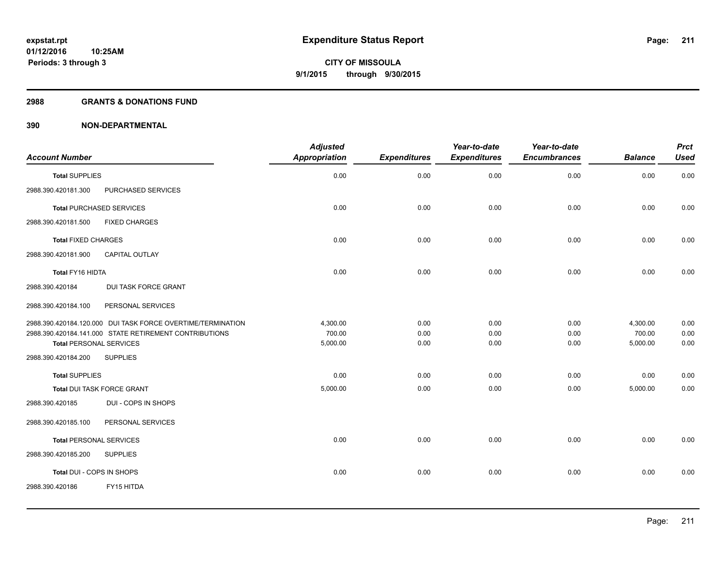### **2988 GRANTS & DONATIONS FUND**

|                                                             | <b>Adjusted</b> |                     | Year-to-date        | Year-to-date        |                | <b>Prct</b> |
|-------------------------------------------------------------|-----------------|---------------------|---------------------|---------------------|----------------|-------------|
| <b>Account Number</b>                                       | Appropriation   | <b>Expenditures</b> | <b>Expenditures</b> | <b>Encumbrances</b> | <b>Balance</b> | <b>Used</b> |
| <b>Total SUPPLIES</b>                                       | 0.00            | 0.00                | 0.00                | 0.00                | 0.00           | 0.00        |
| 2988.390.420181.300<br>PURCHASED SERVICES                   |                 |                     |                     |                     |                |             |
| <b>Total PURCHASED SERVICES</b>                             | 0.00            | 0.00                | 0.00                | 0.00                | 0.00           | 0.00        |
| <b>FIXED CHARGES</b><br>2988.390.420181.500                 |                 |                     |                     |                     |                |             |
| <b>Total FIXED CHARGES</b>                                  | 0.00            | 0.00                | 0.00                | 0.00                | 0.00           | 0.00        |
| 2988.390.420181.900<br><b>CAPITAL OUTLAY</b>                |                 |                     |                     |                     |                |             |
| Total FY16 HIDTA                                            | 0.00            | 0.00                | 0.00                | 0.00                | 0.00           | 0.00        |
| 2988.390.420184<br><b>DUI TASK FORCE GRANT</b>              |                 |                     |                     |                     |                |             |
| 2988.390.420184.100<br>PERSONAL SERVICES                    |                 |                     |                     |                     |                |             |
| 2988.390.420184.120.000 DUI TASK FORCE OVERTIME/TERMINATION | 4,300.00        | 0.00                | 0.00                | 0.00                | 4,300.00       | 0.00        |
| 2988.390.420184.141.000 STATE RETIREMENT CONTRIBUTIONS      | 700.00          | 0.00                | 0.00                | 0.00                | 700.00         | 0.00        |
| <b>Total PERSONAL SERVICES</b>                              | 5,000.00        | 0.00                | 0.00                | 0.00                | 5,000.00       | 0.00        |
| 2988.390.420184.200<br><b>SUPPLIES</b>                      |                 |                     |                     |                     |                |             |
| <b>Total SUPPLIES</b>                                       | 0.00            | 0.00                | 0.00                | 0.00                | 0.00           | 0.00        |
| Total DUI TASK FORCE GRANT                                  | 5,000.00        | 0.00                | 0.00                | 0.00                | 5,000.00       | 0.00        |
| 2988.390.420185<br>DUI - COPS IN SHOPS                      |                 |                     |                     |                     |                |             |
| 2988.390.420185.100<br>PERSONAL SERVICES                    |                 |                     |                     |                     |                |             |
| <b>Total PERSONAL SERVICES</b>                              | 0.00            | 0.00                | 0.00                | 0.00                | 0.00           | 0.00        |
| 2988.390.420185.200<br><b>SUPPLIES</b>                      |                 |                     |                     |                     |                |             |
| Total DUI - COPS IN SHOPS                                   | 0.00            | 0.00                | 0.00                | 0.00                | 0.00           | 0.00        |
| 2988.390.420186<br>FY15 HITDA                               |                 |                     |                     |                     |                |             |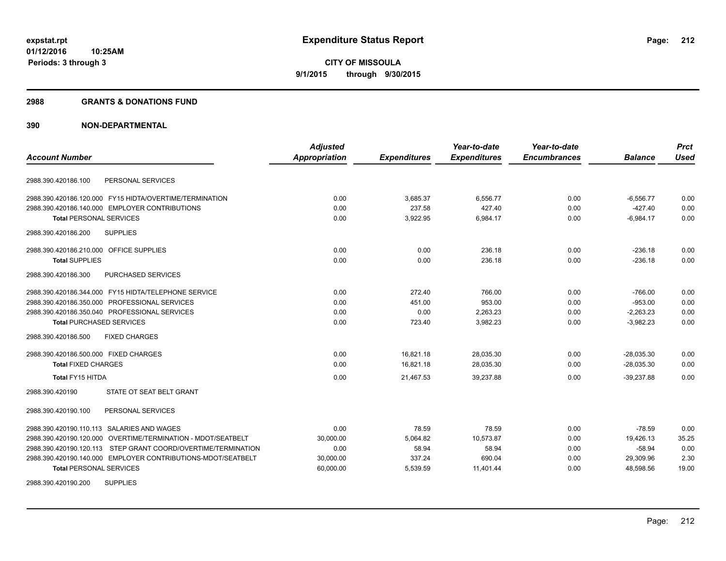#### **2988 GRANTS & DONATIONS FUND**

| <b>Account Number</b>                                         | <b>Adjusted</b><br><b>Appropriation</b> | <b>Expenditures</b> | Year-to-date<br><b>Expenditures</b> | Year-to-date<br><b>Encumbrances</b> | <b>Balance</b> | <b>Prct</b><br><b>Used</b> |
|---------------------------------------------------------------|-----------------------------------------|---------------------|-------------------------------------|-------------------------------------|----------------|----------------------------|
| PERSONAL SERVICES<br>2988.390.420186.100                      |                                         |                     |                                     |                                     |                |                            |
|                                                               |                                         |                     |                                     |                                     |                |                            |
| 2988.390.420186.120.000 FY15 HIDTA/OVERTIME/TERMINATION       | 0.00                                    | 3,685.37            | 6,556.77                            | 0.00                                | $-6,556.77$    | 0.00                       |
| 2988.390.420186.140.000 EMPLOYER CONTRIBUTIONS                | 0.00                                    | 237.58              | 427.40                              | 0.00                                | $-427.40$      | 0.00<br>0.00               |
| <b>Total PERSONAL SERVICES</b>                                | 0.00                                    | 3,922.95            | 6,984.17                            | 0.00                                | $-6.984.17$    |                            |
| 2988.390.420186.200<br><b>SUPPLIES</b>                        |                                         |                     |                                     |                                     |                |                            |
| 2988.390.420186.210.000 OFFICE SUPPLIES                       | 0.00                                    | 0.00                | 236.18                              | 0.00                                | $-236.18$      | 0.00                       |
| <b>Total SUPPLIES</b>                                         | 0.00                                    | 0.00                | 236.18                              | 0.00                                | $-236.18$      | 0.00                       |
| PURCHASED SERVICES<br>2988.390.420186.300                     |                                         |                     |                                     |                                     |                |                            |
| 2988.390.420186.344.000 FY15 HIDTA/TELEPHONE SERVICE          | 0.00                                    | 272.40              | 766.00                              | 0.00                                | $-766.00$      | 0.00                       |
| 2988.390.420186.350.000 PROFESSIONAL SERVICES                 | 0.00                                    | 451.00              | 953.00                              | 0.00                                | $-953.00$      | 0.00                       |
| 2988.390.420186.350.040 PROFESSIONAL SERVICES                 | 0.00                                    | 0.00                | 2,263.23                            | 0.00                                | $-2,263.23$    | 0.00                       |
| <b>Total PURCHASED SERVICES</b>                               | 0.00                                    | 723.40              | 3,982.23                            | 0.00                                | $-3,982.23$    | 0.00                       |
| 2988.390.420186.500<br><b>FIXED CHARGES</b>                   |                                         |                     |                                     |                                     |                |                            |
| 2988.390.420186.500.000 FIXED CHARGES                         | 0.00                                    | 16,821.18           | 28,035.30                           | 0.00                                | $-28,035.30$   | 0.00                       |
| <b>Total FIXED CHARGES</b>                                    | 0.00                                    | 16.821.18           | 28,035.30                           | 0.00                                | $-28,035.30$   | 0.00                       |
| Total FY15 HITDA                                              | 0.00                                    | 21,467.53           | 39,237.88                           | 0.00                                | $-39,237.88$   | 0.00                       |
| STATE OT SEAT BELT GRANT<br>2988.390.420190                   |                                         |                     |                                     |                                     |                |                            |
| PERSONAL SERVICES<br>2988.390.420190.100                      |                                         |                     |                                     |                                     |                |                            |
| 2988.390.420190.110.113 SALARIES AND WAGES                    | 0.00                                    | 78.59               | 78.59                               | 0.00                                | $-78.59$       | 0.00                       |
| 2988.390.420190.120.000 OVERTIME/TERMINATION - MDOT/SEATBELT  | 30,000.00                               | 5,064.82            | 10,573.87                           | 0.00                                | 19,426.13      | 35.25                      |
| 2988.390.420190.120.113 STEP GRANT COORD/OVERTIME/TERMINATION | 0.00                                    | 58.94               | 58.94                               | 0.00                                | $-58.94$       | 0.00                       |
| 2988.390.420190.140.000 EMPLOYER CONTRIBUTIONS-MDOT/SEATBELT  | 30,000.00                               | 337.24              | 690.04                              | 0.00                                | 29,309.96      | 2.30                       |
| <b>Total PERSONAL SERVICES</b>                                | 60,000.00                               | 5,539.59            | 11,401.44                           | 0.00                                | 48,598.56      | 19.00                      |
| <b>SUPPLIES</b><br>2988.390.420190.200                        |                                         |                     |                                     |                                     |                |                            |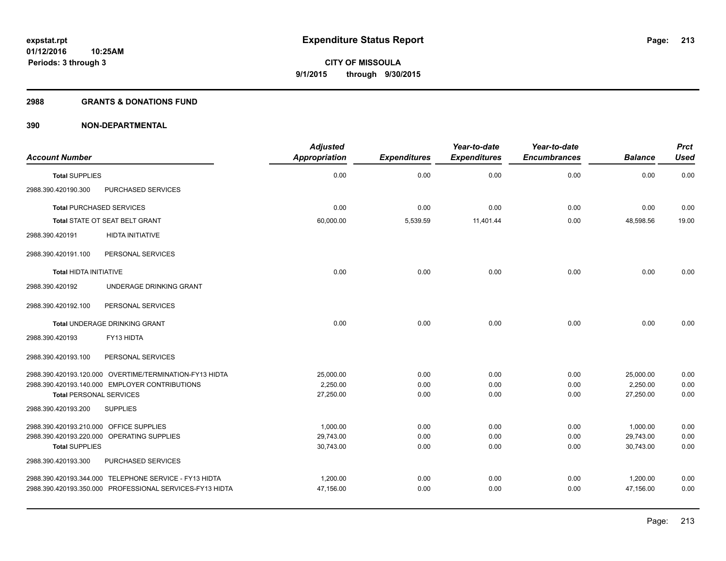#### **2988 GRANTS & DONATIONS FUND**

|                                         |                                                          | <b>Adjusted</b>      |                     | Year-to-date        | Year-to-date        |                | <b>Prct</b> |
|-----------------------------------------|----------------------------------------------------------|----------------------|---------------------|---------------------|---------------------|----------------|-------------|
| <b>Account Number</b>                   |                                                          | <b>Appropriation</b> | <b>Expenditures</b> | <b>Expenditures</b> | <b>Encumbrances</b> | <b>Balance</b> | <b>Used</b> |
| <b>Total SUPPLIES</b>                   |                                                          | 0.00                 | 0.00                | 0.00                | 0.00                | 0.00           | 0.00        |
| 2988.390.420190.300                     | PURCHASED SERVICES                                       |                      |                     |                     |                     |                |             |
| <b>Total PURCHASED SERVICES</b>         |                                                          | 0.00                 | 0.00                | 0.00                | 0.00                | 0.00           | 0.00        |
|                                         | <b>Total STATE OT SEAT BELT GRANT</b>                    | 60,000.00            | 5,539.59            | 11,401.44           | 0.00                | 48,598.56      |             |
| 2988.390.420191                         | <b>HIDTA INITIATIVE</b>                                  |                      |                     |                     |                     |                |             |
| 2988.390.420191.100                     | PERSONAL SERVICES                                        |                      |                     |                     |                     |                |             |
| <b>Total HIDTA INITIATIVE</b>           |                                                          | 0.00                 | 0.00                | 0.00                | 0.00                | 0.00           | 0.00        |
| 2988.390.420192                         | UNDERAGE DRINKING GRANT                                  |                      |                     |                     |                     |                |             |
| 2988.390.420192.100                     | PERSONAL SERVICES                                        |                      |                     |                     |                     |                |             |
|                                         | Total UNDERAGE DRINKING GRANT                            | 0.00                 | 0.00                | 0.00                | 0.00                | 0.00           | 0.00        |
| 2988.390.420193                         | FY13 HIDTA                                               |                      |                     |                     |                     |                |             |
| 2988.390.420193.100                     | PERSONAL SERVICES                                        |                      |                     |                     |                     |                |             |
|                                         | 2988.390.420193.120.000 OVERTIME/TERMINATION-FY13 HIDTA  | 25,000.00            | 0.00                | 0.00                | 0.00                | 25,000.00      | 0.00        |
|                                         | 2988.390.420193.140.000 EMPLOYER CONTRIBUTIONS           | 2,250.00             | 0.00                | 0.00                | 0.00                | 2,250.00       | 0.00        |
| <b>Total PERSONAL SERVICES</b>          |                                                          | 27,250.00            | 0.00                | 0.00                | 0.00                | 27,250.00      | 0.00        |
| 2988.390.420193.200                     | <b>SUPPLIES</b>                                          |                      |                     |                     |                     |                |             |
| 2988.390.420193.210.000 OFFICE SUPPLIES |                                                          | 1,000.00             | 0.00                | 0.00                | 0.00                | 1,000.00       | 0.00        |
|                                         | 2988.390.420193.220.000 OPERATING SUPPLIES               | 29,743.00            | 0.00                | 0.00                | 0.00                | 29,743.00      | 0.00        |
| <b>Total SUPPLIES</b>                   |                                                          | 30,743.00            | 0.00                | 0.00                | 0.00                | 30,743.00      | 0.00        |
| 2988.390.420193.300                     | PURCHASED SERVICES                                       |                      |                     |                     |                     |                |             |
|                                         | 2988.390.420193.344.000 TELEPHONE SERVICE - FY13 HIDTA   | 1,200.00             | 0.00                | 0.00                | 0.00                | 1,200.00       | 0.00        |
|                                         | 2988.390.420193.350.000 PROFESSIONAL SERVICES-FY13 HIDTA | 47,156.00            | 0.00                | 0.00                | 0.00                | 47,156.00      | 0.00        |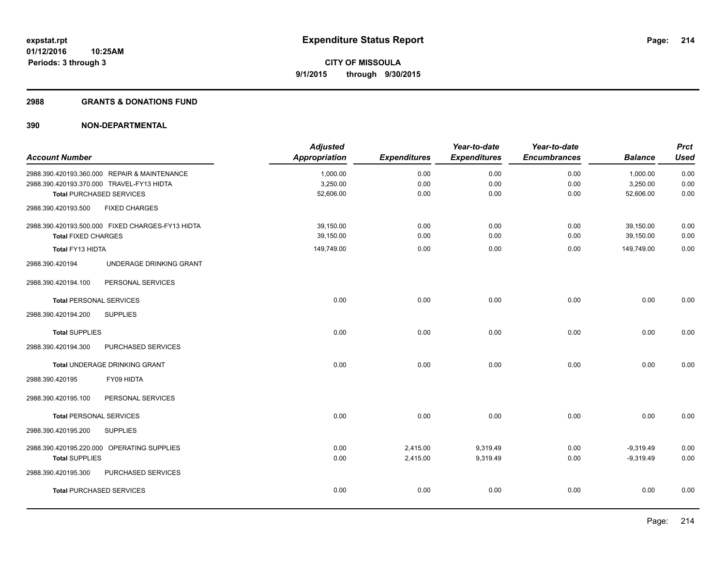## **2988 GRANTS & DONATIONS FUND**

| <b>Account Number</b>          |                                                  | <b>Adjusted</b><br><b>Appropriation</b> | <b>Expenditures</b> | Year-to-date<br><b>Expenditures</b> | Year-to-date<br><b>Encumbrances</b> | <b>Balance</b> | <b>Prct</b><br><b>Used</b> |
|--------------------------------|--------------------------------------------------|-----------------------------------------|---------------------|-------------------------------------|-------------------------------------|----------------|----------------------------|
|                                | 2988.390.420193.360.000 REPAIR & MAINTENANCE     | 1,000.00                                | 0.00                | 0.00                                | 0.00                                | 1,000.00       | 0.00                       |
|                                | 2988.390.420193.370.000 TRAVEL-FY13 HIDTA        | 3,250.00                                | 0.00                | 0.00                                | 0.00                                | 3,250.00       | 0.00                       |
|                                | <b>Total PURCHASED SERVICES</b>                  | 52,606.00                               | 0.00                | 0.00                                | 0.00                                | 52,606.00      | 0.00                       |
| 2988.390.420193.500            | <b>FIXED CHARGES</b>                             |                                         |                     |                                     |                                     |                |                            |
|                                | 2988.390.420193.500.000 FIXED CHARGES-FY13 HIDTA | 39,150.00                               | 0.00                | 0.00                                | 0.00                                | 39,150.00      | 0.00                       |
| <b>Total FIXED CHARGES</b>     |                                                  | 39,150.00                               | 0.00                | 0.00                                | 0.00                                | 39,150.00      | 0.00                       |
| Total FY13 HIDTA               |                                                  | 149,749.00                              | 0.00                | 0.00                                | 0.00                                | 149,749.00     | 0.00                       |
| 2988.390.420194                | UNDERAGE DRINKING GRANT                          |                                         |                     |                                     |                                     |                |                            |
| 2988.390.420194.100            | PERSONAL SERVICES                                |                                         |                     |                                     |                                     |                |                            |
| <b>Total PERSONAL SERVICES</b> |                                                  | 0.00                                    | 0.00                | 0.00                                | 0.00                                | 0.00           | 0.00                       |
| 2988.390.420194.200            | <b>SUPPLIES</b>                                  |                                         |                     |                                     |                                     |                |                            |
| <b>Total SUPPLIES</b>          |                                                  | 0.00                                    | 0.00                | 0.00                                | 0.00                                | 0.00           | 0.00                       |
| 2988.390.420194.300            | PURCHASED SERVICES                               |                                         |                     |                                     |                                     |                |                            |
|                                | Total UNDERAGE DRINKING GRANT                    | 0.00                                    | 0.00                | 0.00                                | 0.00                                | 0.00           | 0.00                       |
| 2988.390.420195                | FY09 HIDTA                                       |                                         |                     |                                     |                                     |                |                            |
| 2988.390.420195.100            | PERSONAL SERVICES                                |                                         |                     |                                     |                                     |                |                            |
| <b>Total PERSONAL SERVICES</b> |                                                  | 0.00                                    | 0.00                | 0.00                                | 0.00                                | 0.00           | 0.00                       |
| 2988.390.420195.200            | <b>SUPPLIES</b>                                  |                                         |                     |                                     |                                     |                |                            |
|                                | 2988.390.420195.220.000 OPERATING SUPPLIES       | 0.00                                    | 2,415.00            | 9,319.49                            | 0.00                                | $-9,319.49$    | 0.00                       |
| <b>Total SUPPLIES</b>          |                                                  | 0.00                                    | 2,415.00            | 9,319.49                            | 0.00                                | $-9,319.49$    | 0.00                       |
| 2988.390.420195.300            | PURCHASED SERVICES                               |                                         |                     |                                     |                                     |                |                            |
|                                | <b>Total PURCHASED SERVICES</b>                  | 0.00                                    | 0.00                | 0.00                                | 0.00                                | 0.00           | 0.00                       |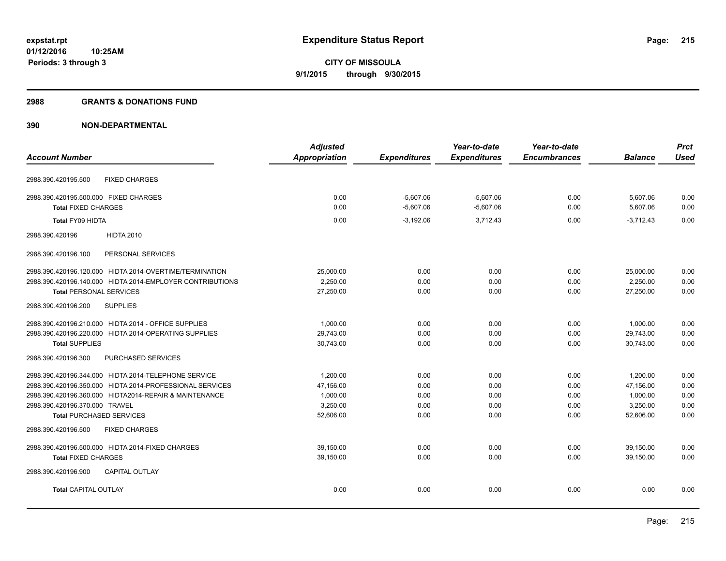## **2988 GRANTS & DONATIONS FUND**

| Appropriation<br><b>Expenditures</b><br><b>Expenditures</b><br><b>Encumbrances</b><br><b>Account Number</b><br><b>Balance</b><br><b>FIXED CHARGES</b><br>2988.390.420195.500<br>2988.390.420195.500.000 FIXED CHARGES<br>0.00<br>$-5,607.06$<br>$-5,607.06$<br>5,607.06<br>0.00<br><b>Total FIXED CHARGES</b><br>$-5,607.06$<br>$-5,607.06$<br>5.607.06<br>0.00<br>0.00<br>Total FY09 HIDTA<br>0.00<br>$-3,192.06$<br>3,712.43<br>0.00<br>$-3,712.43$<br><b>HIDTA 2010</b><br>2988.390.420196<br>PERSONAL SERVICES<br>2988.390.420196.100<br>2988.390.420196.120.000 HIDTA 2014-OVERTIME/TERMINATION<br>25,000.00<br>0.00<br>0.00<br>0.00<br>25,000.00 | <b>Prct</b>  |
|--------------------------------------------------------------------------------------------------------------------------------------------------------------------------------------------------------------------------------------------------------------------------------------------------------------------------------------------------------------------------------------------------------------------------------------------------------------------------------------------------------------------------------------------------------------------------------------------------------------------------------------------------------|--------------|
|                                                                                                                                                                                                                                                                                                                                                                                                                                                                                                                                                                                                                                                        | <b>Used</b>  |
|                                                                                                                                                                                                                                                                                                                                                                                                                                                                                                                                                                                                                                                        |              |
|                                                                                                                                                                                                                                                                                                                                                                                                                                                                                                                                                                                                                                                        | 0.00         |
|                                                                                                                                                                                                                                                                                                                                                                                                                                                                                                                                                                                                                                                        | 0.00         |
|                                                                                                                                                                                                                                                                                                                                                                                                                                                                                                                                                                                                                                                        | 0.00         |
|                                                                                                                                                                                                                                                                                                                                                                                                                                                                                                                                                                                                                                                        |              |
|                                                                                                                                                                                                                                                                                                                                                                                                                                                                                                                                                                                                                                                        |              |
|                                                                                                                                                                                                                                                                                                                                                                                                                                                                                                                                                                                                                                                        | 0.00         |
| 2,250.00<br>2,250.00<br>2988.390.420196.140.000 HIDTA 2014-EMPLOYER CONTRIBUTIONS<br>0.00<br>0.00<br>0.00                                                                                                                                                                                                                                                                                                                                                                                                                                                                                                                                              | 0.00         |
| <b>Total PERSONAL SERVICES</b><br>27,250.00<br>0.00<br>0.00<br>0.00<br>27,250.00                                                                                                                                                                                                                                                                                                                                                                                                                                                                                                                                                                       | 0.00         |
| <b>SUPPLIES</b><br>2988.390.420196.200                                                                                                                                                                                                                                                                                                                                                                                                                                                                                                                                                                                                                 |              |
| 2988.390.420196.210.000 HIDTA 2014 - OFFICE SUPPLIES<br>1,000.00<br>0.00<br>0.00<br>0.00<br>1,000.00                                                                                                                                                                                                                                                                                                                                                                                                                                                                                                                                                   | 0.00         |
| 2988.390.420196.220.000 HIDTA 2014-OPERATING SUPPLIES<br>29,743.00<br>29,743.00<br>0.00<br>0.00<br>0.00                                                                                                                                                                                                                                                                                                                                                                                                                                                                                                                                                | 0.00         |
| 30,743.00<br>0.00<br>0.00<br>0.00<br>30,743.00<br><b>Total SUPPLIES</b>                                                                                                                                                                                                                                                                                                                                                                                                                                                                                                                                                                                | 0.00         |
| 2988.390.420196.300<br>PURCHASED SERVICES                                                                                                                                                                                                                                                                                                                                                                                                                                                                                                                                                                                                              |              |
| 2988.390.420196.344.000 HIDTA 2014-TELEPHONE SERVICE<br>1,200.00<br>1.200.00<br>0.00<br>0.00<br>0.00                                                                                                                                                                                                                                                                                                                                                                                                                                                                                                                                                   | 0.00         |
| 2988.390.420196.350.000 HIDTA 2014-PROFESSIONAL SERVICES<br>47,156.00<br>0.00<br>47,156.00<br>0.00<br>0.00                                                                                                                                                                                                                                                                                                                                                                                                                                                                                                                                             | 0.00         |
| 2988.390.420196.360.000 HIDTA2014-REPAIR & MAINTENANCE<br>1,000.00<br>0.00<br>1,000.00<br>0.00<br>0.00                                                                                                                                                                                                                                                                                                                                                                                                                                                                                                                                                 | 0.00         |
| 2988.390.420196.370.000 TRAVEL<br>3,250.00<br>0.00<br>3,250.00<br>0.00<br>0.00                                                                                                                                                                                                                                                                                                                                                                                                                                                                                                                                                                         | 0.00         |
| 52,606.00<br>0.00<br>0.00<br>52,606.00<br><b>Total PURCHASED SERVICES</b><br>0.00                                                                                                                                                                                                                                                                                                                                                                                                                                                                                                                                                                      | 0.00         |
| <b>FIXED CHARGES</b><br>2988.390.420196.500                                                                                                                                                                                                                                                                                                                                                                                                                                                                                                                                                                                                            |              |
| 2988.390.420196.500.000 HIDTA 2014-FIXED CHARGES<br>39.150.00<br>0.00<br>39,150.00<br>0.00<br>0.00                                                                                                                                                                                                                                                                                                                                                                                                                                                                                                                                                     | 0.00         |
| <b>Total FIXED CHARGES</b><br>39.150.00<br>39,150.00<br>0.00<br>0.00<br>0.00                                                                                                                                                                                                                                                                                                                                                                                                                                                                                                                                                                           | 0.00         |
| <b>CAPITAL OUTLAY</b><br>2988.390.420196.900                                                                                                                                                                                                                                                                                                                                                                                                                                                                                                                                                                                                           |              |
| 0.00<br>0.00<br><b>Total CAPITAL OUTLAY</b><br>0.00<br>0.00                                                                                                                                                                                                                                                                                                                                                                                                                                                                                                                                                                                            | 0.00<br>0.00 |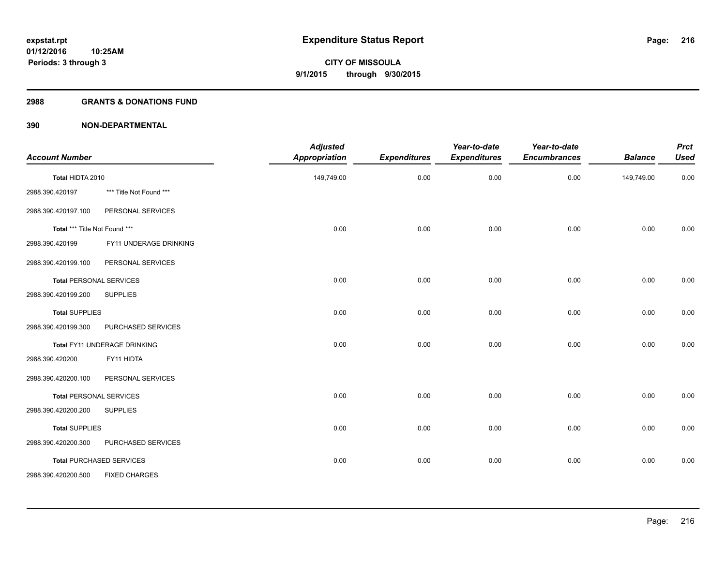### **2988 GRANTS & DONATIONS FUND**

| <b>Account Number</b>         |                                 | <b>Adjusted</b><br><b>Appropriation</b> | <b>Expenditures</b> | Year-to-date<br><b>Expenditures</b> | Year-to-date<br><b>Encumbrances</b> | <b>Balance</b> | <b>Prct</b><br><b>Used</b> |
|-------------------------------|---------------------------------|-----------------------------------------|---------------------|-------------------------------------|-------------------------------------|----------------|----------------------------|
| Total HIDTA 2010              |                                 | 149,749.00                              | 0.00                | 0.00                                | 0.00                                | 149,749.00     | 0.00                       |
| 2988.390.420197               | *** Title Not Found ***         |                                         |                     |                                     |                                     |                |                            |
| 2988.390.420197.100           | PERSONAL SERVICES               |                                         |                     |                                     |                                     |                |                            |
| Total *** Title Not Found *** |                                 | 0.00                                    | 0.00                | 0.00                                | 0.00                                | 0.00           | 0.00                       |
| 2988.390.420199               | FY11 UNDERAGE DRINKING          |                                         |                     |                                     |                                     |                |                            |
| 2988.390.420199.100           | PERSONAL SERVICES               |                                         |                     |                                     |                                     |                |                            |
|                               | <b>Total PERSONAL SERVICES</b>  | 0.00                                    | 0.00                | 0.00                                | 0.00                                | 0.00           | 0.00                       |
| 2988.390.420199.200           | <b>SUPPLIES</b>                 |                                         |                     |                                     |                                     |                |                            |
| <b>Total SUPPLIES</b>         |                                 | 0.00                                    | 0.00                | 0.00                                | 0.00                                | 0.00           | 0.00                       |
| 2988.390.420199.300           | PURCHASED SERVICES              |                                         |                     |                                     |                                     |                |                            |
|                               | Total FY11 UNDERAGE DRINKING    | 0.00                                    | 0.00                | 0.00                                | 0.00                                | 0.00           | 0.00                       |
| 2988.390.420200               | FY11 HIDTA                      |                                         |                     |                                     |                                     |                |                            |
| 2988.390.420200.100           | PERSONAL SERVICES               |                                         |                     |                                     |                                     |                |                            |
|                               | <b>Total PERSONAL SERVICES</b>  | 0.00                                    | 0.00                | 0.00                                | 0.00                                | 0.00           | 0.00                       |
| 2988.390.420200.200           | <b>SUPPLIES</b>                 |                                         |                     |                                     |                                     |                |                            |
| <b>Total SUPPLIES</b>         |                                 | 0.00                                    | 0.00                | 0.00                                | 0.00                                | 0.00           | 0.00                       |
| 2988.390.420200.300           | PURCHASED SERVICES              |                                         |                     |                                     |                                     |                |                            |
|                               | <b>Total PURCHASED SERVICES</b> | 0.00                                    | 0.00                | 0.00                                | 0.00                                | 0.00           | 0.00                       |
| 2988.390.420200.500           | <b>FIXED CHARGES</b>            |                                         |                     |                                     |                                     |                |                            |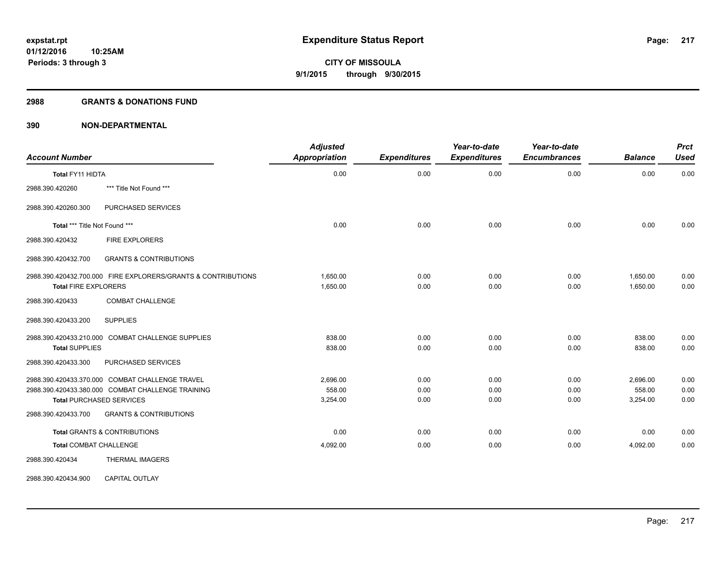### **2988 GRANTS & DONATIONS FUND**

| <b>Account Number</b>                                                                                                                   | <b>Adjusted</b><br><b>Appropriation</b> | <b>Expenditures</b>  | Year-to-date<br><b>Expenditures</b> | Year-to-date<br><b>Encumbrances</b> | <b>Balance</b>                 | <b>Prct</b><br><b>Used</b> |
|-----------------------------------------------------------------------------------------------------------------------------------------|-----------------------------------------|----------------------|-------------------------------------|-------------------------------------|--------------------------------|----------------------------|
| <b>Total FY11 HIDTA</b>                                                                                                                 | 0.00                                    | 0.00                 | 0.00                                | 0.00                                | 0.00                           | 0.00                       |
| *** Title Not Found ***<br>2988.390.420260                                                                                              |                                         |                      |                                     |                                     |                                |                            |
| PURCHASED SERVICES<br>2988.390.420260.300                                                                                               |                                         |                      |                                     |                                     |                                |                            |
| Total *** Title Not Found ***                                                                                                           | 0.00                                    | 0.00                 | 0.00                                | 0.00                                | 0.00                           | 0.00                       |
| 2988.390.420432<br><b>FIRE EXPLORERS</b>                                                                                                |                                         |                      |                                     |                                     |                                |                            |
| <b>GRANTS &amp; CONTRIBUTIONS</b><br>2988.390.420432.700                                                                                |                                         |                      |                                     |                                     |                                |                            |
| 2988.390.420432.700.000 FIRE EXPLORERS/GRANTS & CONTRIBUTIONS<br><b>Total FIRE EXPLORERS</b>                                            | 1,650.00<br>1,650.00                    | 0.00<br>0.00         | 0.00<br>0.00                        | 0.00<br>0.00                        | 1,650.00<br>1.650.00           | 0.00<br>0.00               |
| <b>COMBAT CHALLENGE</b><br>2988.390.420433                                                                                              |                                         |                      |                                     |                                     |                                |                            |
| <b>SUPPLIES</b><br>2988.390.420433.200                                                                                                  |                                         |                      |                                     |                                     |                                |                            |
| 2988.390.420433.210.000 COMBAT CHALLENGE SUPPLIES<br><b>Total SUPPLIES</b>                                                              | 838.00<br>838.00                        | 0.00<br>0.00         | 0.00<br>0.00                        | 0.00<br>0.00                        | 838.00<br>838.00               | 0.00<br>0.00               |
| 2988.390.420433.300<br>PURCHASED SERVICES                                                                                               |                                         |                      |                                     |                                     |                                |                            |
| 2988.390.420433.370.000 COMBAT CHALLENGE TRAVEL<br>2988.390.420433.380.000 COMBAT CHALLENGE TRAINING<br><b>Total PURCHASED SERVICES</b> | 2,696.00<br>558.00<br>3,254.00          | 0.00<br>0.00<br>0.00 | 0.00<br>0.00<br>0.00                | 0.00<br>0.00<br>0.00                | 2,696.00<br>558.00<br>3,254.00 | 0.00<br>0.00<br>0.00       |
| 2988.390.420433.700<br><b>GRANTS &amp; CONTRIBUTIONS</b>                                                                                |                                         |                      |                                     |                                     |                                |                            |
| <b>Total GRANTS &amp; CONTRIBUTIONS</b>                                                                                                 | 0.00                                    | 0.00                 | 0.00                                | 0.00                                | 0.00                           | 0.00                       |
| <b>Total COMBAT CHALLENGE</b>                                                                                                           | 4,092.00                                | 0.00                 | 0.00                                | 0.00                                | 4,092.00                       | 0.00                       |
| THERMAL IMAGERS<br>2988.390.420434                                                                                                      |                                         |                      |                                     |                                     |                                |                            |
| <b>CAPITAL OUTLAY</b><br>2988.390.420434.900                                                                                            |                                         |                      |                                     |                                     |                                |                            |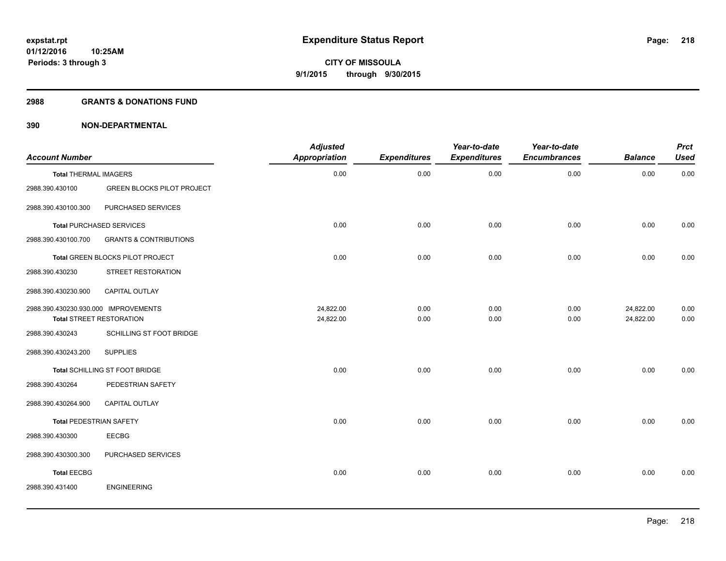### **2988 GRANTS & DONATIONS FUND**

| <b>Account Number</b>                |                                   | <b>Adjusted</b><br>Appropriation | <b>Expenditures</b> | Year-to-date<br><b>Expenditures</b> | Year-to-date<br><b>Encumbrances</b> | <b>Balance</b> | <b>Prct</b><br><b>Used</b> |
|--------------------------------------|-----------------------------------|----------------------------------|---------------------|-------------------------------------|-------------------------------------|----------------|----------------------------|
| <b>Total THERMAL IMAGERS</b>         |                                   | 0.00                             | 0.00                | 0.00                                | 0.00                                | 0.00           | 0.00                       |
| 2988.390.430100                      | <b>GREEN BLOCKS PILOT PROJECT</b> |                                  |                     |                                     |                                     |                |                            |
| 2988.390.430100.300                  | PURCHASED SERVICES                |                                  |                     |                                     |                                     |                |                            |
|                                      | <b>Total PURCHASED SERVICES</b>   | 0.00                             | 0.00                | 0.00                                | 0.00                                | 0.00           | 0.00                       |
| 2988.390.430100.700                  | <b>GRANTS &amp; CONTRIBUTIONS</b> |                                  |                     |                                     |                                     |                |                            |
|                                      | Total GREEN BLOCKS PILOT PROJECT  | 0.00                             | 0.00                | 0.00                                | 0.00                                | 0.00           | 0.00                       |
| 2988.390.430230                      | STREET RESTORATION                |                                  |                     |                                     |                                     |                |                            |
| 2988.390.430230.900                  | CAPITAL OUTLAY                    |                                  |                     |                                     |                                     |                |                            |
| 2988.390.430230.930.000 IMPROVEMENTS |                                   | 24,822.00                        | 0.00                | 0.00                                | 0.00                                | 24,822.00      | 0.00                       |
|                                      | <b>Total STREET RESTORATION</b>   | 24,822.00                        | 0.00                | 0.00                                | 0.00                                | 24,822.00      | 0.00                       |
| 2988.390.430243                      | SCHILLING ST FOOT BRIDGE          |                                  |                     |                                     |                                     |                |                            |
| 2988.390.430243.200                  | <b>SUPPLIES</b>                   |                                  |                     |                                     |                                     |                |                            |
|                                      | Total SCHILLING ST FOOT BRIDGE    | 0.00                             | 0.00                | 0.00                                | 0.00                                | 0.00           | 0.00                       |
| 2988.390.430264                      | PEDESTRIAN SAFETY                 |                                  |                     |                                     |                                     |                |                            |
| 2988.390.430264.900                  | <b>CAPITAL OUTLAY</b>             |                                  |                     |                                     |                                     |                |                            |
| Total PEDESTRIAN SAFETY              |                                   | 0.00                             | 0.00                | 0.00                                | 0.00                                | 0.00           | 0.00                       |
| 2988.390.430300                      | <b>EECBG</b>                      |                                  |                     |                                     |                                     |                |                            |
| 2988.390.430300.300                  | PURCHASED SERVICES                |                                  |                     |                                     |                                     |                |                            |
| <b>Total EECBG</b>                   |                                   | 0.00                             | 0.00                | 0.00                                | 0.00                                | 0.00           | 0.00                       |
| 2988.390.431400                      | <b>ENGINEERING</b>                |                                  |                     |                                     |                                     |                |                            |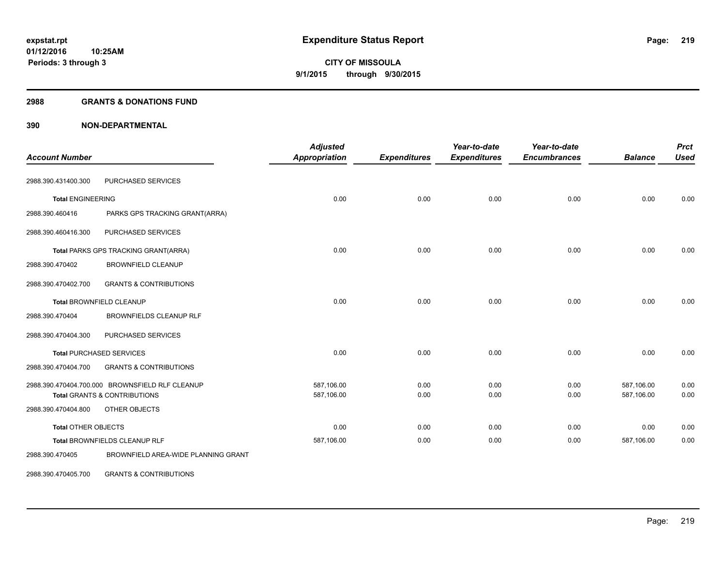### **2988 GRANTS & DONATIONS FUND**

## **390 NON-DEPARTMENTAL**

| <b>Account Number</b>      |                                                 | <b>Adjusted</b><br><b>Appropriation</b> | <b>Expenditures</b> | Year-to-date<br><b>Expenditures</b> | Year-to-date<br><b>Encumbrances</b> | <b>Balance</b> | <b>Prct</b><br><b>Used</b> |
|----------------------------|-------------------------------------------------|-----------------------------------------|---------------------|-------------------------------------|-------------------------------------|----------------|----------------------------|
| 2988.390.431400.300        | PURCHASED SERVICES                              |                                         |                     |                                     |                                     |                |                            |
| <b>Total ENGINEERING</b>   |                                                 | 0.00                                    | 0.00                | 0.00                                | 0.00                                | 0.00           | 0.00                       |
| 2988.390.460416            | PARKS GPS TRACKING GRANT(ARRA)                  |                                         |                     |                                     |                                     |                |                            |
| 2988.390.460416.300        | PURCHASED SERVICES                              |                                         |                     |                                     |                                     |                |                            |
|                            | Total PARKS GPS TRACKING GRANT(ARRA)            | 0.00                                    | 0.00                | 0.00                                | 0.00                                | 0.00           | 0.00                       |
| 2988.390.470402            | <b>BROWNFIELD CLEANUP</b>                       |                                         |                     |                                     |                                     |                |                            |
| 2988.390.470402.700        | <b>GRANTS &amp; CONTRIBUTIONS</b>               |                                         |                     |                                     |                                     |                |                            |
|                            | <b>Total BROWNFIELD CLEANUP</b>                 | 0.00                                    | 0.00                | 0.00                                | 0.00                                | 0.00           | 0.00                       |
| 2988.390.470404            | <b>BROWNFIELDS CLEANUP RLF</b>                  |                                         |                     |                                     |                                     |                |                            |
| 2988.390.470404.300        | PURCHASED SERVICES                              |                                         |                     |                                     |                                     |                |                            |
|                            | <b>Total PURCHASED SERVICES</b>                 | 0.00                                    | 0.00                | 0.00                                | 0.00                                | 0.00           | 0.00                       |
| 2988.390.470404.700        | <b>GRANTS &amp; CONTRIBUTIONS</b>               |                                         |                     |                                     |                                     |                |                            |
|                            | 2988.390.470404.700.000 BROWNSFIELD RLF CLEANUP | 587,106.00                              | 0.00                | 0.00                                | 0.00                                | 587,106.00     | 0.00                       |
|                            | <b>Total GRANTS &amp; CONTRIBUTIONS</b>         | 587,106.00                              | 0.00                | 0.00                                | 0.00                                | 587,106.00     | 0.00                       |
| 2988.390.470404.800        | OTHER OBJECTS                                   |                                         |                     |                                     |                                     |                |                            |
| <b>Total OTHER OBJECTS</b> |                                                 | 0.00                                    | 0.00                | 0.00                                | 0.00                                | 0.00           | 0.00                       |
|                            | Total BROWNFIELDS CLEANUP RLF                   | 587,106.00                              | 0.00                | 0.00                                | 0.00                                | 587,106.00     | 0.00                       |
| 2988.390.470405            | BROWNFIELD AREA-WIDE PLANNING GRANT             |                                         |                     |                                     |                                     |                |                            |

2988.390.470405.700 GRANTS & CONTRIBUTIONS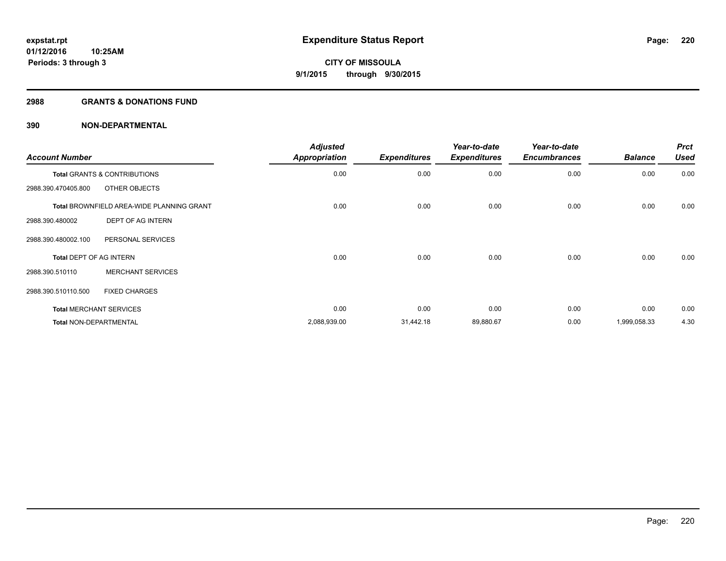### **2988 GRANTS & DONATIONS FUND**

| <b>Account Number</b>          |                                                  | <b>Adjusted</b><br><b>Appropriation</b> | <b>Expenditures</b> | Year-to-date<br><b>Expenditures</b> | Year-to-date<br><b>Encumbrances</b> | <b>Balance</b> | <b>Prct</b><br><b>Used</b> |
|--------------------------------|--------------------------------------------------|-----------------------------------------|---------------------|-------------------------------------|-------------------------------------|----------------|----------------------------|
|                                | Total GRANTS & CONTRIBUTIONS                     | 0.00                                    | 0.00                | 0.00                                | 0.00                                | 0.00           | 0.00                       |
| 2988.390.470405.800            | OTHER OBJECTS                                    |                                         |                     |                                     |                                     |                |                            |
|                                | <b>Total BROWNFIELD AREA-WIDE PLANNING GRANT</b> | 0.00                                    | 0.00                | 0.00                                | 0.00                                | 0.00           | 0.00                       |
| 2988.390.480002                | DEPT OF AG INTERN                                |                                         |                     |                                     |                                     |                |                            |
| 2988.390.480002.100            | PERSONAL SERVICES                                |                                         |                     |                                     |                                     |                |                            |
| <b>Total DEPT OF AG INTERN</b> |                                                  | 0.00                                    | 0.00                | 0.00                                | 0.00                                | 0.00           | 0.00                       |
| 2988.390.510110                | <b>MERCHANT SERVICES</b>                         |                                         |                     |                                     |                                     |                |                            |
| 2988.390.510110.500            | <b>FIXED CHARGES</b>                             |                                         |                     |                                     |                                     |                |                            |
|                                | <b>Total MERCHANT SERVICES</b>                   | 0.00                                    | 0.00                | 0.00                                | 0.00                                | 0.00           | 0.00                       |
| <b>Total NON-DEPARTMENTAL</b>  |                                                  | 2,088,939.00                            | 31,442.18           | 89,880.67                           | 0.00                                | 1,999,058.33   | 4.30                       |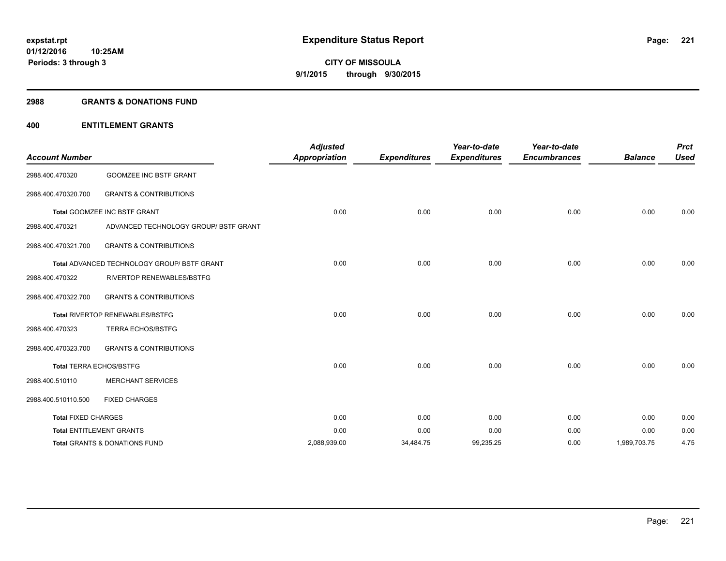### **2988 GRANTS & DONATIONS FUND**

## **400 ENTITLEMENT GRANTS**

| <b>Account Number</b>      |                                                    | <b>Adjusted</b><br><b>Appropriation</b> | <b>Expenditures</b> | Year-to-date<br><b>Expenditures</b> | Year-to-date<br><b>Encumbrances</b> | <b>Balance</b> | <b>Prct</b><br><b>Used</b> |
|----------------------------|----------------------------------------------------|-----------------------------------------|---------------------|-------------------------------------|-------------------------------------|----------------|----------------------------|
| 2988.400.470320            | <b>GOOMZEE INC BSTF GRANT</b>                      |                                         |                     |                                     |                                     |                |                            |
| 2988.400.470320.700        | <b>GRANTS &amp; CONTRIBUTIONS</b>                  |                                         |                     |                                     |                                     |                |                            |
|                            | Total GOOMZEE INC BSTF GRANT                       | 0.00                                    | 0.00                | 0.00                                | 0.00                                | 0.00           | 0.00                       |
| 2988.400.470321            | ADVANCED TECHNOLOGY GROUP/ BSTF GRANT              |                                         |                     |                                     |                                     |                |                            |
| 2988.400.470321.700        | <b>GRANTS &amp; CONTRIBUTIONS</b>                  |                                         |                     |                                     |                                     |                |                            |
|                            | <b>Total ADVANCED TECHNOLOGY GROUP/ BSTF GRANT</b> | 0.00                                    | 0.00                | 0.00                                | 0.00                                | 0.00           | 0.00                       |
| 2988.400.470322            | <b>RIVERTOP RENEWABLES/BSTFG</b>                   |                                         |                     |                                     |                                     |                |                            |
| 2988.400.470322.700        | <b>GRANTS &amp; CONTRIBUTIONS</b>                  |                                         |                     |                                     |                                     |                |                            |
|                            | Total RIVERTOP RENEWABLES/BSTFG                    | 0.00                                    | 0.00                | 0.00                                | 0.00                                | 0.00           | 0.00                       |
| 2988.400.470323            | <b>TERRA ECHOS/BSTFG</b>                           |                                         |                     |                                     |                                     |                |                            |
| 2988.400.470323.700        | <b>GRANTS &amp; CONTRIBUTIONS</b>                  |                                         |                     |                                     |                                     |                |                            |
|                            | <b>Total TERRA ECHOS/BSTFG</b>                     | 0.00                                    | 0.00                | 0.00                                | 0.00                                | 0.00           | 0.00                       |
| 2988.400.510110            | <b>MERCHANT SERVICES</b>                           |                                         |                     |                                     |                                     |                |                            |
| 2988.400.510110.500        | <b>FIXED CHARGES</b>                               |                                         |                     |                                     |                                     |                |                            |
| <b>Total FIXED CHARGES</b> |                                                    | 0.00                                    | 0.00                | 0.00                                | 0.00                                | 0.00           | 0.00                       |
|                            | <b>Total ENTITLEMENT GRANTS</b>                    | 0.00                                    | 0.00                | 0.00                                | 0.00                                | 0.00           | 0.00                       |
|                            | Total GRANTS & DONATIONS FUND                      | 2,088,939.00                            | 34,484.75           | 99,235.25                           | 0.00                                | 1,989,703.75   | 4.75                       |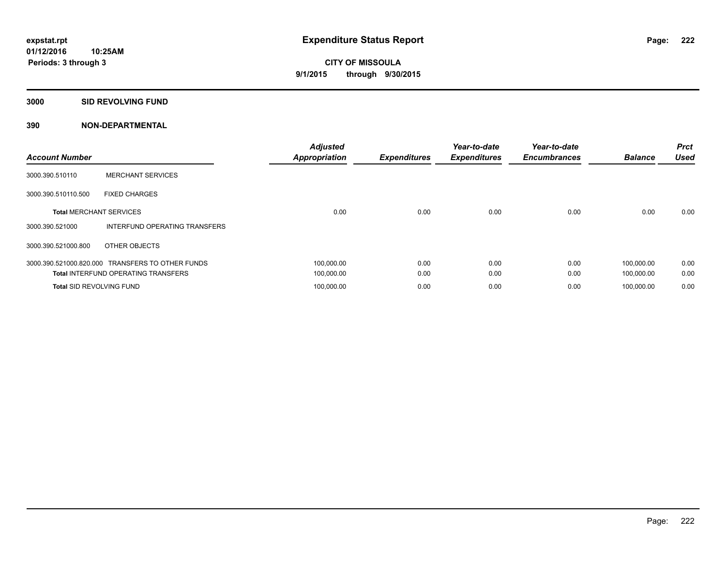## **3000 SID REVOLVING FUND**

| <b>Account Number</b>           |                                                  | <b>Adjusted</b><br><b>Appropriation</b> | <b>Expenditures</b> | Year-to-date<br><b>Expenditures</b> | Year-to-date<br><b>Encumbrances</b> | <b>Balance</b> | <b>Prct</b><br><b>Used</b> |
|---------------------------------|--------------------------------------------------|-----------------------------------------|---------------------|-------------------------------------|-------------------------------------|----------------|----------------------------|
| 3000.390.510110                 | <b>MERCHANT SERVICES</b>                         |                                         |                     |                                     |                                     |                |                            |
| 3000.390.510110.500             | <b>FIXED CHARGES</b>                             |                                         |                     |                                     |                                     |                |                            |
| <b>Total MERCHANT SERVICES</b>  |                                                  | 0.00                                    | 0.00                | 0.00                                | 0.00                                | 0.00           | 0.00                       |
| 3000.390.521000                 | INTERFUND OPERATING TRANSFERS                    |                                         |                     |                                     |                                     |                |                            |
| 3000.390.521000.800             | OTHER OBJECTS                                    |                                         |                     |                                     |                                     |                |                            |
|                                 | 3000.390.521000.820.000 TRANSFERS TO OTHER FUNDS | 100.000.00                              | 0.00                | 0.00                                | 0.00                                | 100.000.00     | 0.00                       |
|                                 | <b>Total INTERFUND OPERATING TRANSFERS</b>       | 100,000.00                              | 0.00                | 0.00                                | 0.00                                | 100,000.00     | 0.00                       |
| <b>Total SID REVOLVING FUND</b> |                                                  | 100.000.00                              | 0.00                | 0.00                                | 0.00                                | 100.000.00     | 0.00                       |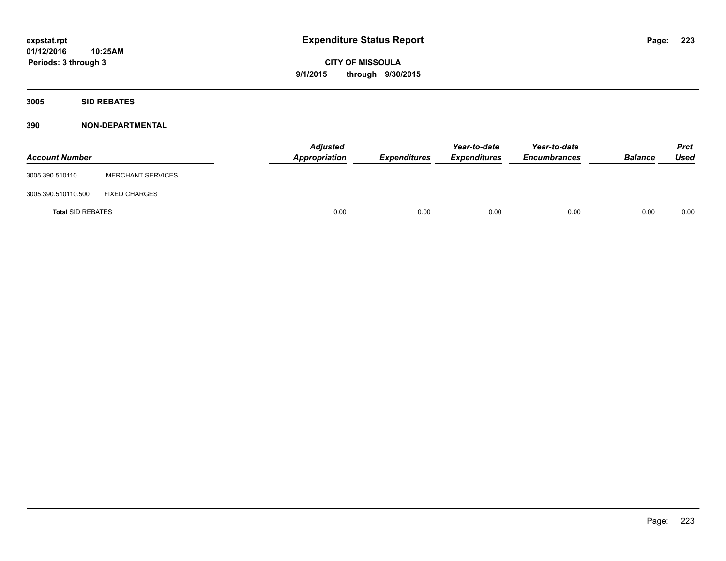**3005 SID REBATES**

| <b>Account Number</b>    |                          | <b>Adjusted</b><br>Appropriation | Expenditures | Year-to-date<br><b>Expenditures</b> | Year-to-date<br><b>Encumbrances</b> | <b>Balance</b> | <b>Prct</b><br>Used |
|--------------------------|--------------------------|----------------------------------|--------------|-------------------------------------|-------------------------------------|----------------|---------------------|
| 3005.390.510110          | <b>MERCHANT SERVICES</b> |                                  |              |                                     |                                     |                |                     |
| 3005.390.510110.500      | <b>FIXED CHARGES</b>     |                                  |              |                                     |                                     |                |                     |
| <b>Total SID REBATES</b> |                          | 0.00                             | 0.00         | 0.00                                | 0.00                                | 0.00           | 0.00                |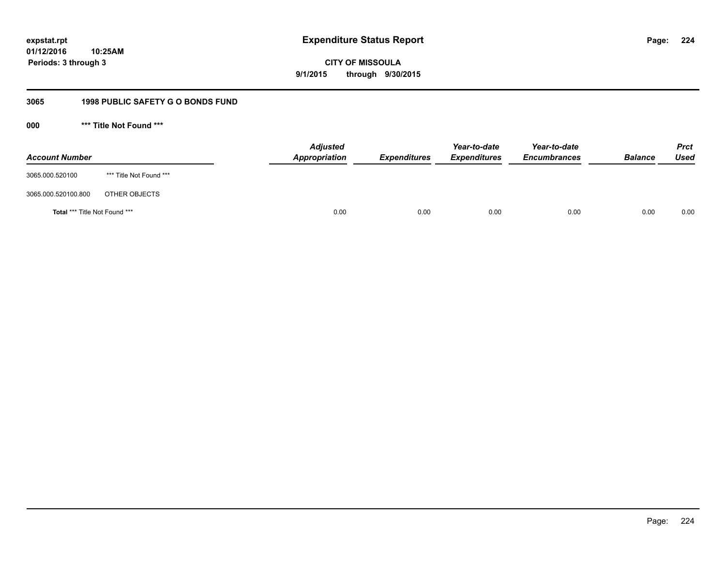**224**

**01/12/2016 10:25AM Periods: 3 through 3**

# **CITY OF MISSOULA 9/1/2015 through 9/30/2015**

## **3065 1998 PUBLIC SAFETY G O BONDS FUND**

**000 \*\*\* Title Not Found \*\*\***

| <b>Account Number</b>         |                         | <b>Adjusted</b><br>Appropriation | <b>Expenditures</b> | Year-to-date<br><b>Expenditures</b> | Year-to-date<br><b>Encumbrances</b> | <b>Balance</b> | <b>Prct</b><br>Used |
|-------------------------------|-------------------------|----------------------------------|---------------------|-------------------------------------|-------------------------------------|----------------|---------------------|
| 3065.000.520100               | *** Title Not Found *** |                                  |                     |                                     |                                     |                |                     |
| 3065.000.520100.800           | OTHER OBJECTS           |                                  |                     |                                     |                                     |                |                     |
| Total *** Title Not Found *** |                         | 0.00                             | 0.00                | 0.00                                | 0.00                                | 0.00           | 0.00                |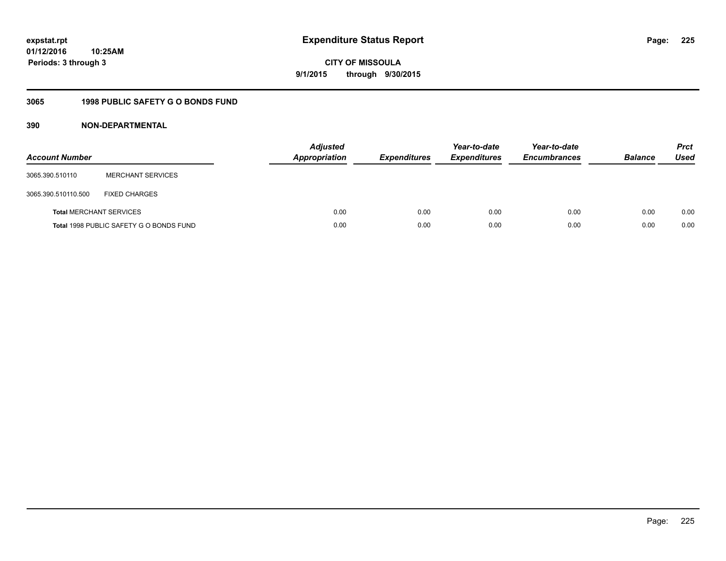**225**

**01/12/2016 10:25AM Periods: 3 through 3**

**CITY OF MISSOULA 9/1/2015 through 9/30/2015**

## **3065 1998 PUBLIC SAFETY G O BONDS FUND**

| <b>Account Number</b>          |                                         | <b>Adjusted</b><br><b>Appropriation</b> | <b>Expenditures</b> | Year-to-date<br><b>Expenditures</b> | Year-to-date<br><b>Encumbrances</b> | <b>Balance</b> | <b>Prct</b><br>Used |
|--------------------------------|-----------------------------------------|-----------------------------------------|---------------------|-------------------------------------|-------------------------------------|----------------|---------------------|
| 3065.390.510110                | <b>MERCHANT SERVICES</b>                |                                         |                     |                                     |                                     |                |                     |
| 3065.390.510110.500            | <b>FIXED CHARGES</b>                    |                                         |                     |                                     |                                     |                |                     |
| <b>Total MERCHANT SERVICES</b> |                                         | 0.00                                    | 0.00                | 0.00                                | 0.00                                | 0.00           | 0.00                |
|                                | Total 1998 PUBLIC SAFETY G O BONDS FUND | 0.00                                    | 0.00                | 0.00                                | 0.00                                | 0.00           | 0.00                |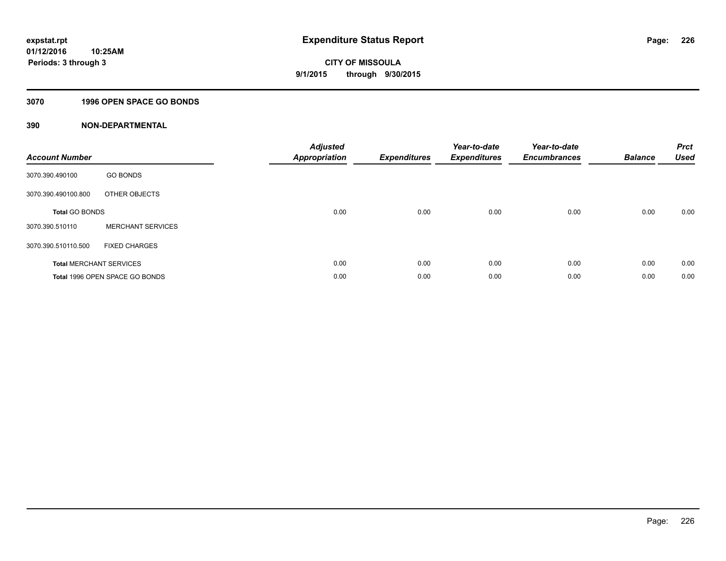## **3070 1996 OPEN SPACE GO BONDS**

| <b>Account Number</b>          |                                       | <b>Adjusted</b><br><b>Appropriation</b> | <b>Expenditures</b> | Year-to-date<br><b>Expenditures</b> | Year-to-date<br><b>Encumbrances</b> | <b>Balance</b> | <b>Prct</b><br><b>Used</b> |
|--------------------------------|---------------------------------------|-----------------------------------------|---------------------|-------------------------------------|-------------------------------------|----------------|----------------------------|
| 3070.390.490100                | <b>GO BONDS</b>                       |                                         |                     |                                     |                                     |                |                            |
| 3070.390.490100.800            | OTHER OBJECTS                         |                                         |                     |                                     |                                     |                |                            |
| <b>Total GO BONDS</b>          |                                       | 0.00                                    | 0.00                | 0.00                                | 0.00                                | 0.00           | 0.00                       |
| 3070.390.510110                | <b>MERCHANT SERVICES</b>              |                                         |                     |                                     |                                     |                |                            |
| 3070.390.510110.500            | <b>FIXED CHARGES</b>                  |                                         |                     |                                     |                                     |                |                            |
| <b>Total MERCHANT SERVICES</b> |                                       | 0.00                                    | 0.00                | 0.00                                | 0.00                                | 0.00           | 0.00                       |
|                                | <b>Total 1996 OPEN SPACE GO BONDS</b> | 0.00                                    | 0.00                | 0.00                                | 0.00                                | 0.00           | 0.00                       |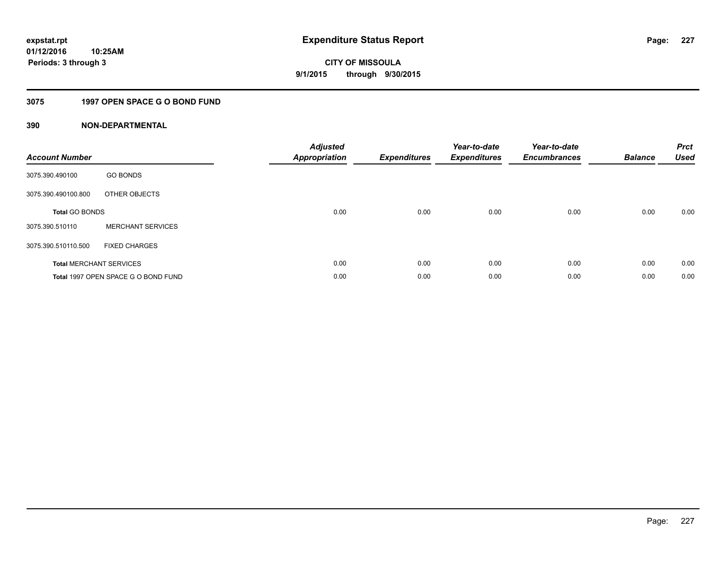## **3075 1997 OPEN SPACE G O BOND FUND**

| <b>Account Number</b> |                                     | <b>Adjusted</b><br>Appropriation | <b>Expenditures</b> | Year-to-date<br><b>Expenditures</b> | Year-to-date<br><b>Encumbrances</b> | <b>Balance</b> | <b>Prct</b><br><b>Used</b> |
|-----------------------|-------------------------------------|----------------------------------|---------------------|-------------------------------------|-------------------------------------|----------------|----------------------------|
| 3075.390.490100       | <b>GO BONDS</b>                     |                                  |                     |                                     |                                     |                |                            |
| 3075.390.490100.800   | OTHER OBJECTS                       |                                  |                     |                                     |                                     |                |                            |
| <b>Total GO BONDS</b> |                                     | 0.00                             | 0.00                | 0.00                                | 0.00                                | 0.00           | 0.00                       |
| 3075.390.510110       | <b>MERCHANT SERVICES</b>            |                                  |                     |                                     |                                     |                |                            |
| 3075.390.510110.500   | <b>FIXED CHARGES</b>                |                                  |                     |                                     |                                     |                |                            |
|                       | <b>Total MERCHANT SERVICES</b>      | 0.00                             | 0.00                | 0.00                                | 0.00                                | 0.00           | 0.00                       |
|                       | Total 1997 OPEN SPACE G O BOND FUND | 0.00                             | 0.00                | 0.00                                | 0.00                                | 0.00           | 0.00                       |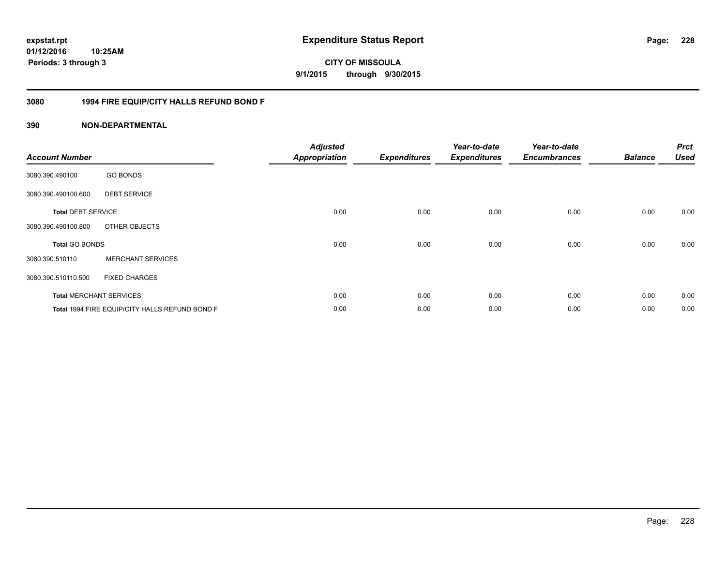**228**

**01/12/2016 10:25AM Periods: 3 through 3**

# **CITY OF MISSOULA 9/1/2015 through 9/30/2015**

## **3080 1994 FIRE EQUIP/CITY HALLS REFUND BOND F**

| <b>Account Number</b>     |                                                | <b>Adjusted</b><br><b>Appropriation</b> | <b>Expenditures</b> | Year-to-date<br><b>Expenditures</b> | Year-to-date<br><b>Encumbrances</b> | <b>Balance</b> | <b>Prct</b><br><b>Used</b> |
|---------------------------|------------------------------------------------|-----------------------------------------|---------------------|-------------------------------------|-------------------------------------|----------------|----------------------------|
| 3080.390.490100           | <b>GO BONDS</b>                                |                                         |                     |                                     |                                     |                |                            |
| 3080.390.490100.600       | <b>DEBT SERVICE</b>                            |                                         |                     |                                     |                                     |                |                            |
| <b>Total DEBT SERVICE</b> |                                                | 0.00                                    | 0.00                | 0.00                                | 0.00                                | 0.00           | 0.00                       |
| 3080.390.490100.800       | OTHER OBJECTS                                  |                                         |                     |                                     |                                     |                |                            |
| <b>Total GO BONDS</b>     |                                                | 0.00                                    | 0.00                | 0.00                                | 0.00                                | 0.00           | 0.00                       |
| 3080.390.510110           | <b>MERCHANT SERVICES</b>                       |                                         |                     |                                     |                                     |                |                            |
| 3080.390.510110.500       | <b>FIXED CHARGES</b>                           |                                         |                     |                                     |                                     |                |                            |
|                           | <b>Total MERCHANT SERVICES</b>                 | 0.00                                    | 0.00                | 0.00                                | 0.00                                | 0.00           | 0.00                       |
|                           | Total 1994 FIRE EQUIP/CITY HALLS REFUND BOND F | 0.00                                    | 0.00                | 0.00                                | 0.00                                | 0.00           | 0.00                       |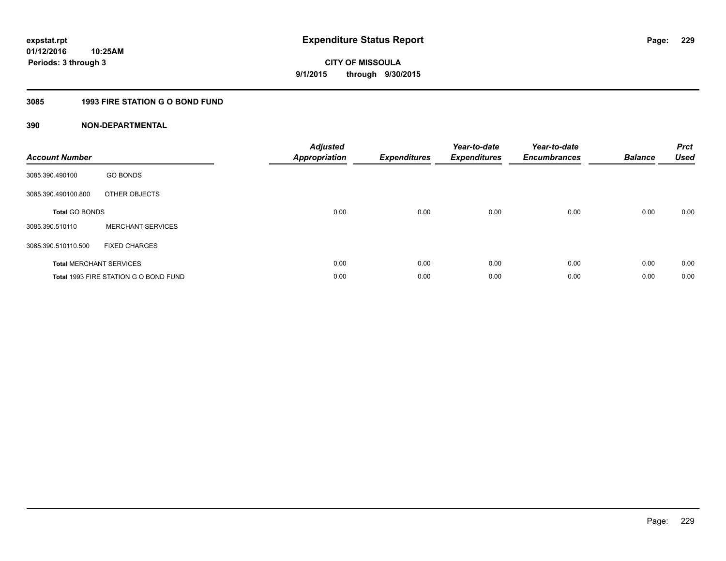## **3085 1993 FIRE STATION G O BOND FUND**

| <b>Account Number</b> |                                       | <b>Adjusted</b><br>Appropriation | <b>Expenditures</b> | Year-to-date<br><b>Expenditures</b> | Year-to-date<br><b>Encumbrances</b> | <b>Balance</b> | <b>Prct</b><br><b>Used</b> |
|-----------------------|---------------------------------------|----------------------------------|---------------------|-------------------------------------|-------------------------------------|----------------|----------------------------|
| 3085.390.490100       | <b>GO BONDS</b>                       |                                  |                     |                                     |                                     |                |                            |
| 3085.390.490100.800   | OTHER OBJECTS                         |                                  |                     |                                     |                                     |                |                            |
| <b>Total GO BONDS</b> |                                       | 0.00                             | 0.00                | 0.00                                | 0.00                                | 0.00           | 0.00                       |
| 3085.390.510110       | <b>MERCHANT SERVICES</b>              |                                  |                     |                                     |                                     |                |                            |
| 3085.390.510110.500   | <b>FIXED CHARGES</b>                  |                                  |                     |                                     |                                     |                |                            |
|                       | <b>Total MERCHANT SERVICES</b>        | 0.00                             | 0.00                | 0.00                                | 0.00                                | 0.00           | 0.00                       |
|                       | Total 1993 FIRE STATION G O BOND FUND | 0.00                             | 0.00                | 0.00                                | 0.00                                | 0.00           | 0.00                       |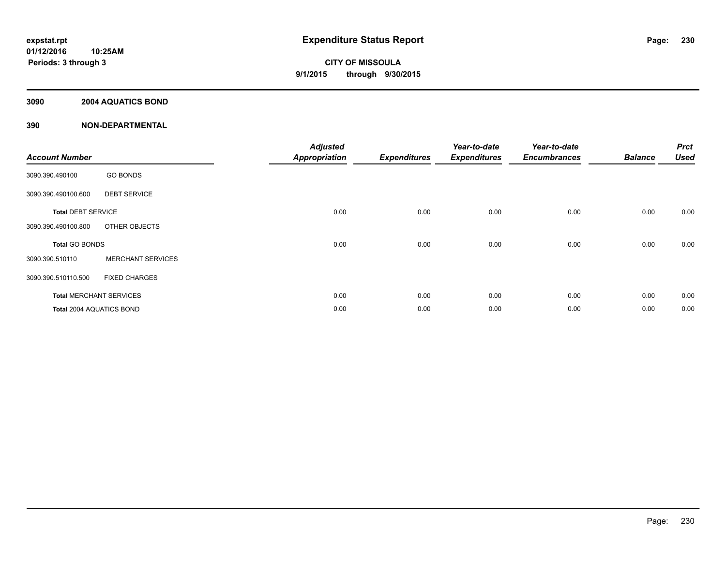## **3090 2004 AQUATICS BOND**

| <b>Account Number</b>          |                          | <b>Adjusted</b><br><b>Appropriation</b> | <b>Expenditures</b> | Year-to-date<br><b>Expenditures</b> | Year-to-date<br><b>Encumbrances</b> | <b>Balance</b> | <b>Prct</b><br><b>Used</b> |
|--------------------------------|--------------------------|-----------------------------------------|---------------------|-------------------------------------|-------------------------------------|----------------|----------------------------|
| 3090.390.490100                | <b>GO BONDS</b>          |                                         |                     |                                     |                                     |                |                            |
| 3090.390.490100.600            | <b>DEBT SERVICE</b>      |                                         |                     |                                     |                                     |                |                            |
| <b>Total DEBT SERVICE</b>      |                          | 0.00                                    | 0.00                | 0.00                                | 0.00                                | 0.00           | 0.00                       |
| 3090.390.490100.800            | OTHER OBJECTS            |                                         |                     |                                     |                                     |                |                            |
| <b>Total GO BONDS</b>          |                          | 0.00                                    | 0.00                | 0.00                                | 0.00                                | 0.00           | 0.00                       |
| 3090.390.510110                | <b>MERCHANT SERVICES</b> |                                         |                     |                                     |                                     |                |                            |
| 3090.390.510110.500            | <b>FIXED CHARGES</b>     |                                         |                     |                                     |                                     |                |                            |
| <b>Total MERCHANT SERVICES</b> |                          | 0.00                                    | 0.00                | 0.00                                | 0.00                                | 0.00           | 0.00                       |
| Total 2004 AQUATICS BOND       |                          | 0.00                                    | 0.00                | 0.00                                | 0.00                                | 0.00           | 0.00                       |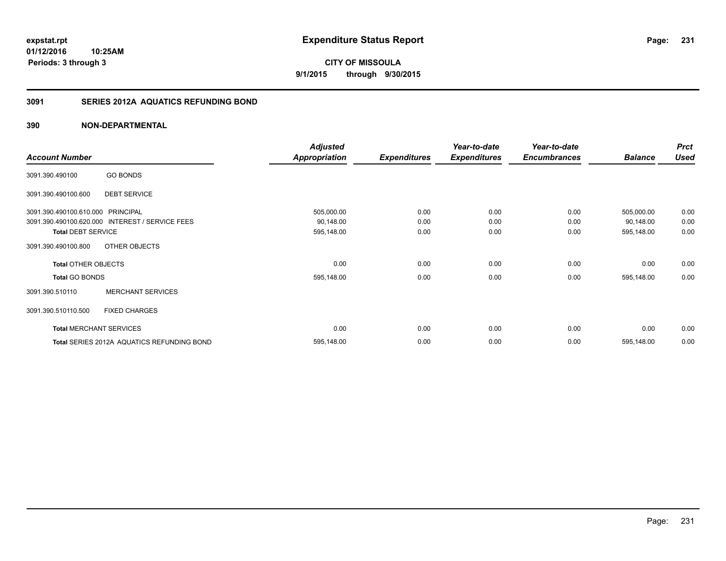**expstat.rpt Expenditure Status Report** 

**01/12/2016 10:25AM Periods: 3 through 3**

**CITY OF MISSOULA 9/1/2015 through 9/30/2015**

## **3091 SERIES 2012A AQUATICS REFUNDING BOND**

|                                   |                                                 | <b>Adjusted</b>      |                     | Year-to-date        | Year-to-date        |                | <b>Prct</b> |
|-----------------------------------|-------------------------------------------------|----------------------|---------------------|---------------------|---------------------|----------------|-------------|
| <b>Account Number</b>             |                                                 | <b>Appropriation</b> | <b>Expenditures</b> | <b>Expenditures</b> | <b>Encumbrances</b> | <b>Balance</b> | <b>Used</b> |
| 3091.390.490100                   | <b>GO BONDS</b>                                 |                      |                     |                     |                     |                |             |
| 3091.390.490100.600               | <b>DEBT SERVICE</b>                             |                      |                     |                     |                     |                |             |
| 3091.390.490100.610.000 PRINCIPAL |                                                 | 505,000.00           | 0.00                | 0.00                | 0.00                | 505,000.00     | 0.00        |
|                                   | 3091.390.490100.620.000 INTEREST / SERVICE FEES | 90,148.00            | 0.00                | 0.00                | 0.00                | 90,148.00      | 0.00        |
| <b>Total DEBT SERVICE</b>         |                                                 | 595,148.00           | 0.00                | 0.00                | 0.00                | 595,148.00     | 0.00        |
| 3091.390.490100.800               | OTHER OBJECTS                                   |                      |                     |                     |                     |                |             |
| <b>Total OTHER OBJECTS</b>        |                                                 | 0.00                 | 0.00                | 0.00                | 0.00                | 0.00           | 0.00        |
| <b>Total GO BONDS</b>             |                                                 | 595,148.00           | 0.00                | 0.00                | 0.00                | 595,148.00     | 0.00        |
| 3091.390.510110                   | <b>MERCHANT SERVICES</b>                        |                      |                     |                     |                     |                |             |
| 3091.390.510110.500               | <b>FIXED CHARGES</b>                            |                      |                     |                     |                     |                |             |
|                                   | <b>Total MERCHANT SERVICES</b>                  | 0.00                 | 0.00                | 0.00                | 0.00                | 0.00           | 0.00        |
|                                   | Total SERIES 2012A AQUATICS REFUNDING BOND      | 595,148.00           | 0.00                | 0.00                | 0.00                | 595,148.00     | 0.00        |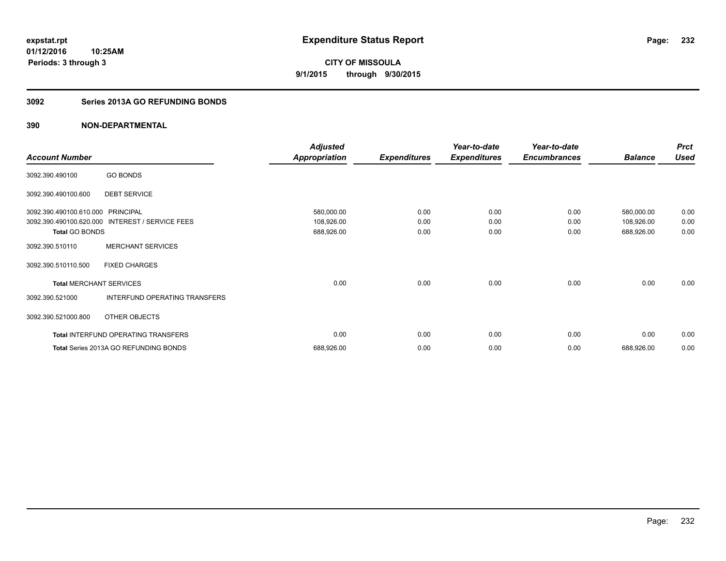**Periods: 3 through 3**

**CITY OF MISSOULA 9/1/2015 through 9/30/2015**

### **3092 Series 2013A GO REFUNDING BONDS**

## **390 NON-DEPARTMENTAL**

**10:25AM**

|                                |                                       | <b>Adjusted</b>      |                     | Year-to-date        | Year-to-date        |                | <b>Prct</b> |
|--------------------------------|---------------------------------------|----------------------|---------------------|---------------------|---------------------|----------------|-------------|
| <b>Account Number</b>          |                                       | <b>Appropriation</b> | <b>Expenditures</b> | <b>Expenditures</b> | <b>Encumbrances</b> | <b>Balance</b> | <b>Used</b> |
| 3092.390.490100                | <b>GO BONDS</b>                       |                      |                     |                     |                     |                |             |
| 3092.390.490100.600            | <b>DEBT SERVICE</b>                   |                      |                     |                     |                     |                |             |
| 3092.390.490100.610.000        | <b>PRINCIPAL</b>                      | 580,000.00           | 0.00                | 0.00                | 0.00                | 580,000.00     | 0.00        |
| 3092.390.490100.620.000        | <b>INTEREST / SERVICE FEES</b>        | 108,926.00           | 0.00                | 0.00                | 0.00                | 108,926.00     | 0.00        |
| <b>Total GO BONDS</b>          |                                       | 688,926.00           | 0.00                | 0.00                | 0.00                | 688,926.00     | 0.00        |
| 3092.390.510110                | <b>MERCHANT SERVICES</b>              |                      |                     |                     |                     |                |             |
| 3092.390.510110.500            | <b>FIXED CHARGES</b>                  |                      |                     |                     |                     |                |             |
| <b>Total MERCHANT SERVICES</b> |                                       | 0.00                 | 0.00                | 0.00                | 0.00                | 0.00           | 0.00        |
| 3092.390.521000                | INTERFUND OPERATING TRANSFERS         |                      |                     |                     |                     |                |             |
| 3092.390.521000.800            | OTHER OBJECTS                         |                      |                     |                     |                     |                |             |
|                                | Total INTERFUND OPERATING TRANSFERS   | 0.00                 | 0.00                | 0.00                | 0.00                | 0.00           | 0.00        |
|                                | Total Series 2013A GO REFUNDING BONDS | 688,926.00           | 0.00                | 0.00                | 0.00                | 688,926.00     | 0.00        |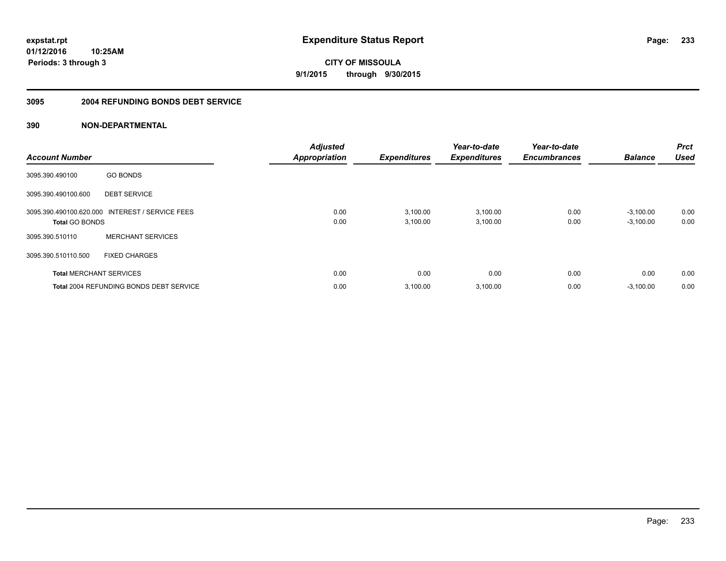**Periods: 3 through 3**

**CITY OF MISSOULA 9/1/2015 through 9/30/2015**

### **3095 2004 REFUNDING BONDS DEBT SERVICE**

## **390 NON-DEPARTMENTAL**

**10:25AM**

| <b>Account Number</b> |                                                 | <b>Adjusted</b><br><b>Appropriation</b> | <b>Expenditures</b>  | Year-to-date<br><b>Expenditures</b> | Year-to-date<br><b>Encumbrances</b> | <b>Balance</b>             | <b>Prct</b><br><b>Used</b> |
|-----------------------|-------------------------------------------------|-----------------------------------------|----------------------|-------------------------------------|-------------------------------------|----------------------------|----------------------------|
| 3095.390.490100       | <b>GO BONDS</b>                                 |                                         |                      |                                     |                                     |                            |                            |
| 3095.390.490100.600   | <b>DEBT SERVICE</b>                             |                                         |                      |                                     |                                     |                            |                            |
| <b>Total GO BONDS</b> | 3095.390.490100.620.000 INTEREST / SERVICE FEES | 0.00<br>0.00                            | 3,100.00<br>3,100.00 | 3,100.00<br>3,100.00                | 0.00<br>0.00                        | $-3.100.00$<br>$-3,100.00$ | 0.00<br>0.00               |
| 3095.390.510110       | <b>MERCHANT SERVICES</b>                        |                                         |                      |                                     |                                     |                            |                            |
| 3095.390.510110.500   | <b>FIXED CHARGES</b>                            |                                         |                      |                                     |                                     |                            |                            |
|                       | <b>Total MERCHANT SERVICES</b>                  | 0.00                                    | 0.00                 | 0.00                                | 0.00                                | 0.00                       | 0.00                       |
|                       | <b>Total 2004 REFUNDING BONDS DEBT SERVICE</b>  | 0.00                                    | 3,100.00             | 3,100.00                            | 0.00                                | $-3,100.00$                | 0.00                       |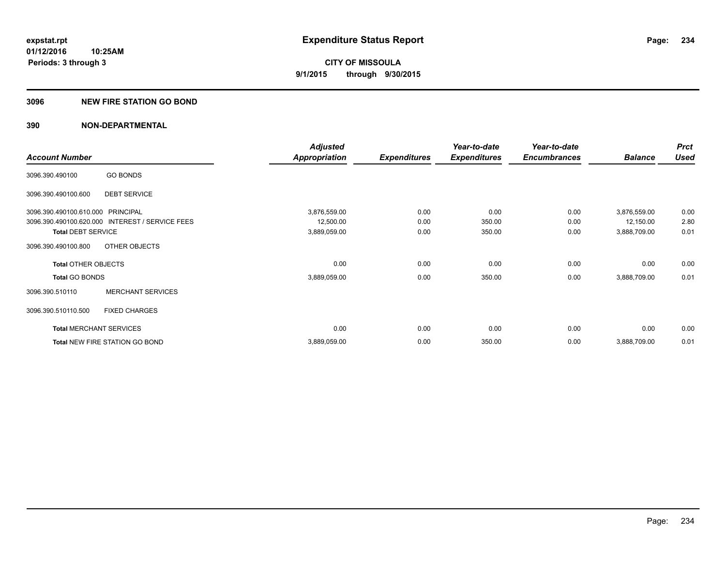### **3096 NEW FIRE STATION GO BOND**

|                                   |                                                 | <b>Adjusted</b> |                     | Year-to-date        | Year-to-date        |                | <b>Prct</b> |
|-----------------------------------|-------------------------------------------------|-----------------|---------------------|---------------------|---------------------|----------------|-------------|
| <b>Account Number</b>             |                                                 | Appropriation   | <b>Expenditures</b> | <b>Expenditures</b> | <b>Encumbrances</b> | <b>Balance</b> | <b>Used</b> |
| 3096.390.490100                   | <b>GO BONDS</b>                                 |                 |                     |                     |                     |                |             |
| 3096.390.490100.600               | <b>DEBT SERVICE</b>                             |                 |                     |                     |                     |                |             |
| 3096.390.490100.610.000 PRINCIPAL |                                                 | 3,876,559.00    | 0.00                | 0.00                | 0.00                | 3,876,559.00   | 0.00        |
|                                   | 3096.390.490100.620.000 INTEREST / SERVICE FEES | 12,500.00       | 0.00                | 350.00              | 0.00                | 12,150.00      | 2.80        |
| <b>Total DEBT SERVICE</b>         |                                                 | 3,889,059.00    | 0.00                | 350.00              | 0.00                | 3,888,709.00   | 0.01        |
| 3096.390.490100.800               | OTHER OBJECTS                                   |                 |                     |                     |                     |                |             |
| <b>Total OTHER OBJECTS</b>        |                                                 | 0.00            | 0.00                | 0.00                | 0.00                | 0.00           | 0.00        |
| <b>Total GO BONDS</b>             |                                                 | 3,889,059.00    | 0.00                | 350.00              | 0.00                | 3,888,709.00   | 0.01        |
| 3096.390.510110                   | <b>MERCHANT SERVICES</b>                        |                 |                     |                     |                     |                |             |
| 3096.390.510110.500               | <b>FIXED CHARGES</b>                            |                 |                     |                     |                     |                |             |
|                                   | <b>Total MERCHANT SERVICES</b>                  | 0.00            | 0.00                | 0.00                | 0.00                | 0.00           | 0.00        |
|                                   | Total NEW FIRE STATION GO BOND                  | 3,889,059.00    | 0.00                | 350.00              | 0.00                | 3,888,709.00   | 0.01        |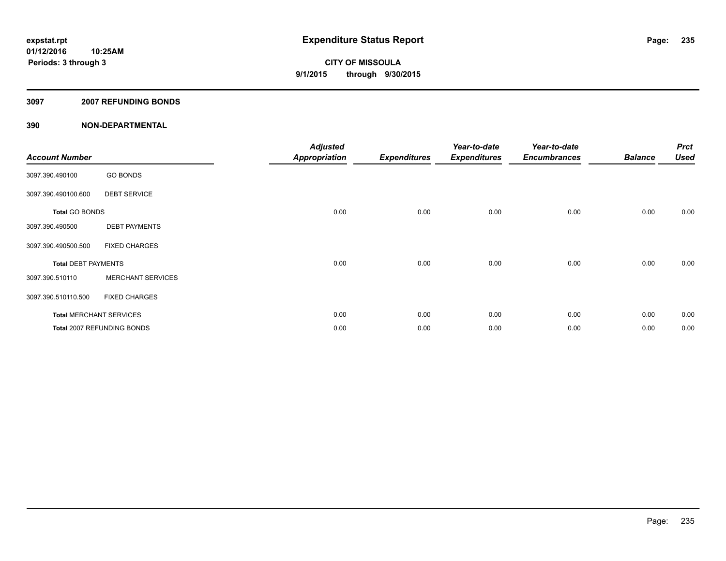### **3097 2007 REFUNDING BONDS**

| <b>Account Number</b>      |                                | <b>Adjusted</b><br><b>Appropriation</b> | <b>Expenditures</b> | Year-to-date<br><b>Expenditures</b> | Year-to-date<br><b>Encumbrances</b> | <b>Balance</b> | <b>Prct</b><br><b>Used</b> |
|----------------------------|--------------------------------|-----------------------------------------|---------------------|-------------------------------------|-------------------------------------|----------------|----------------------------|
| 3097.390.490100            | <b>GO BONDS</b>                |                                         |                     |                                     |                                     |                |                            |
| 3097.390.490100.600        | <b>DEBT SERVICE</b>            |                                         |                     |                                     |                                     |                |                            |
| <b>Total GO BONDS</b>      |                                | 0.00                                    | 0.00                | 0.00                                | 0.00                                | 0.00           | 0.00                       |
| 3097.390.490500            | <b>DEBT PAYMENTS</b>           |                                         |                     |                                     |                                     |                |                            |
| 3097.390.490500.500        | <b>FIXED CHARGES</b>           |                                         |                     |                                     |                                     |                |                            |
| <b>Total DEBT PAYMENTS</b> |                                | 0.00                                    | 0.00                | 0.00                                | 0.00                                | 0.00           | 0.00                       |
| 3097.390.510110            | <b>MERCHANT SERVICES</b>       |                                         |                     |                                     |                                     |                |                            |
| 3097.390.510110.500        | <b>FIXED CHARGES</b>           |                                         |                     |                                     |                                     |                |                            |
|                            | <b>Total MERCHANT SERVICES</b> | 0.00                                    | 0.00                | 0.00                                | 0.00                                | 0.00           | 0.00                       |
|                            | Total 2007 REFUNDING BONDS     | 0.00                                    | 0.00                | 0.00                                | 0.00                                | 0.00           | 0.00                       |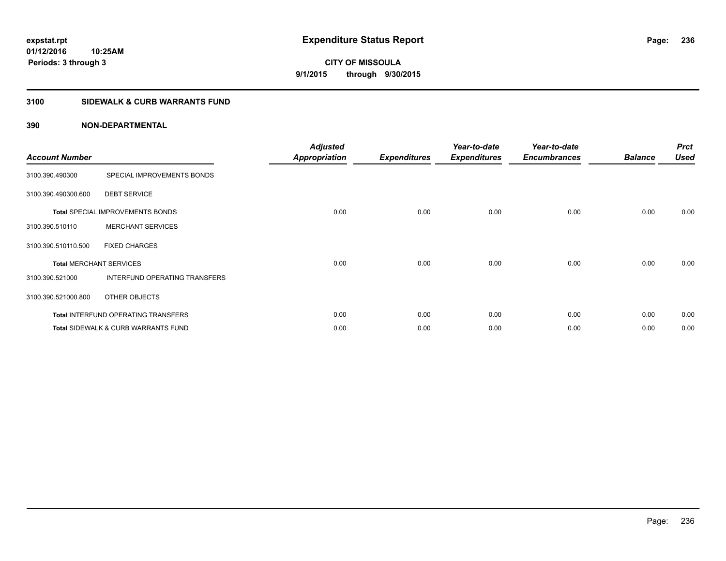**Periods: 3 through 3**

**CITY OF MISSOULA 9/1/2015 through 9/30/2015**

## **3100 SIDEWALK & CURB WARRANTS FUND**

| <b>Account Number</b>          |                                                | <b>Adjusted</b><br><b>Appropriation</b> | <b>Expenditures</b> | Year-to-date<br><b>Expenditures</b> | Year-to-date<br><b>Encumbrances</b> | <b>Balance</b> | <b>Prct</b><br><b>Used</b> |
|--------------------------------|------------------------------------------------|-----------------------------------------|---------------------|-------------------------------------|-------------------------------------|----------------|----------------------------|
| 3100.390.490300                | SPECIAL IMPROVEMENTS BONDS                     |                                         |                     |                                     |                                     |                |                            |
| 3100.390.490300.600            | <b>DEBT SERVICE</b>                            |                                         |                     |                                     |                                     |                |                            |
|                                | <b>Total SPECIAL IMPROVEMENTS BONDS</b>        | 0.00                                    | 0.00                | 0.00                                | 0.00                                | 0.00           | 0.00                       |
| 3100.390.510110                | <b>MERCHANT SERVICES</b>                       |                                         |                     |                                     |                                     |                |                            |
| 3100.390.510110.500            | <b>FIXED CHARGES</b>                           |                                         |                     |                                     |                                     |                |                            |
| <b>Total MERCHANT SERVICES</b> |                                                | 0.00                                    | 0.00                | 0.00                                | 0.00                                | 0.00           | 0.00                       |
| 3100.390.521000                | INTERFUND OPERATING TRANSFERS                  |                                         |                     |                                     |                                     |                |                            |
| 3100.390.521000.800            | OTHER OBJECTS                                  |                                         |                     |                                     |                                     |                |                            |
|                                | Total INTERFUND OPERATING TRANSFERS            | 0.00                                    | 0.00                | 0.00                                | 0.00                                | 0.00           | 0.00                       |
|                                | <b>Total SIDEWALK &amp; CURB WARRANTS FUND</b> | 0.00                                    | 0.00                | 0.00                                | 0.00                                | 0.00           | 0.00                       |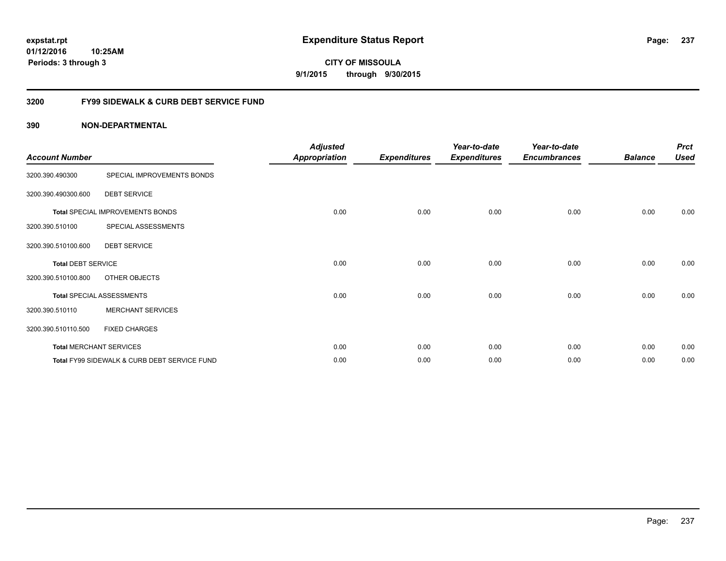**CITY OF MISSOULA 9/1/2015 through 9/30/2015**

## **3200 FY99 SIDEWALK & CURB DEBT SERVICE FUND**

| <b>Account Number</b>     |                                              | <b>Adjusted</b><br>Appropriation | <b>Expenditures</b> | Year-to-date<br><b>Expenditures</b> | Year-to-date<br><b>Encumbrances</b> | <b>Balance</b> | <b>Prct</b><br><b>Used</b> |
|---------------------------|----------------------------------------------|----------------------------------|---------------------|-------------------------------------|-------------------------------------|----------------|----------------------------|
| 3200.390.490300           | SPECIAL IMPROVEMENTS BONDS                   |                                  |                     |                                     |                                     |                |                            |
| 3200.390.490300.600       | <b>DEBT SERVICE</b>                          |                                  |                     |                                     |                                     |                |                            |
|                           | Total SPECIAL IMPROVEMENTS BONDS             | 0.00                             | 0.00                | 0.00                                | 0.00                                | 0.00           | 0.00                       |
| 3200.390.510100           | SPECIAL ASSESSMENTS                          |                                  |                     |                                     |                                     |                |                            |
| 3200.390.510100.600       | <b>DEBT SERVICE</b>                          |                                  |                     |                                     |                                     |                |                            |
| <b>Total DEBT SERVICE</b> |                                              | 0.00                             | 0.00                | 0.00                                | 0.00                                | 0.00           | 0.00                       |
| 3200.390.510100.800       | OTHER OBJECTS                                |                                  |                     |                                     |                                     |                |                            |
|                           | <b>Total SPECIAL ASSESSMENTS</b>             | 0.00                             | 0.00                | 0.00                                | 0.00                                | 0.00           | 0.00                       |
| 3200.390.510110           | <b>MERCHANT SERVICES</b>                     |                                  |                     |                                     |                                     |                |                            |
| 3200.390.510110.500       | <b>FIXED CHARGES</b>                         |                                  |                     |                                     |                                     |                |                            |
|                           | <b>Total MERCHANT SERVICES</b>               | 0.00                             | 0.00                | 0.00                                | 0.00                                | 0.00           | 0.00                       |
|                           | Total FY99 SIDEWALK & CURB DEBT SERVICE FUND | 0.00                             | 0.00                | 0.00                                | 0.00                                | 0.00           | 0.00                       |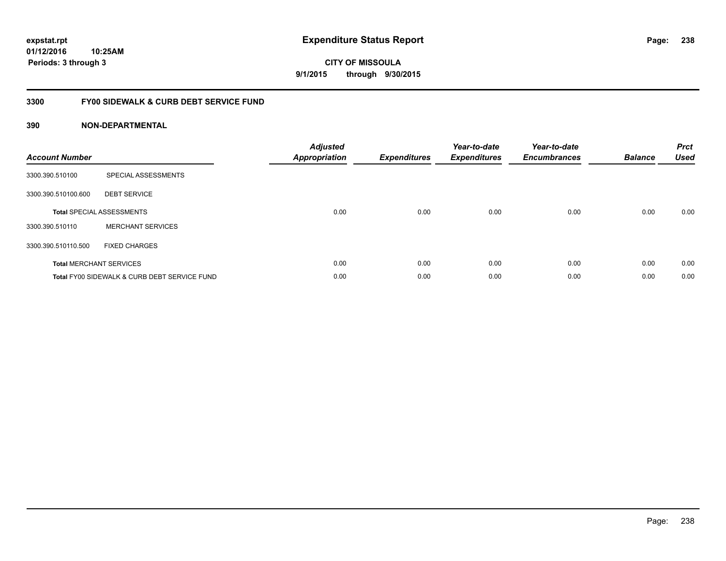**CITY OF MISSOULA 9/1/2015 through 9/30/2015**

## **3300 FY00 SIDEWALK & CURB DEBT SERVICE FUND**

| <b>Account Number</b> |                                              | <b>Adjusted</b><br><b>Appropriation</b> | <b>Expenditures</b> | Year-to-date<br><b>Expenditures</b> | Year-to-date<br><b>Encumbrances</b> | <b>Balance</b> | <b>Prct</b><br><b>Used</b> |
|-----------------------|----------------------------------------------|-----------------------------------------|---------------------|-------------------------------------|-------------------------------------|----------------|----------------------------|
| 3300.390.510100       | SPECIAL ASSESSMENTS                          |                                         |                     |                                     |                                     |                |                            |
| 3300.390.510100.600   | <b>DEBT SERVICE</b>                          |                                         |                     |                                     |                                     |                |                            |
|                       | <b>Total SPECIAL ASSESSMENTS</b>             | 0.00                                    | 0.00                | 0.00                                | 0.00                                | 0.00           | 0.00                       |
| 3300.390.510110       | <b>MERCHANT SERVICES</b>                     |                                         |                     |                                     |                                     |                |                            |
| 3300.390.510110.500   | <b>FIXED CHARGES</b>                         |                                         |                     |                                     |                                     |                |                            |
|                       | <b>Total MERCHANT SERVICES</b>               | 0.00                                    | 0.00                | 0.00                                | 0.00                                | 0.00           | 0.00                       |
|                       | Total FY00 SIDEWALK & CURB DEBT SERVICE FUND | 0.00                                    | 0.00                | 0.00                                | 0.00                                | 0.00           | 0.00                       |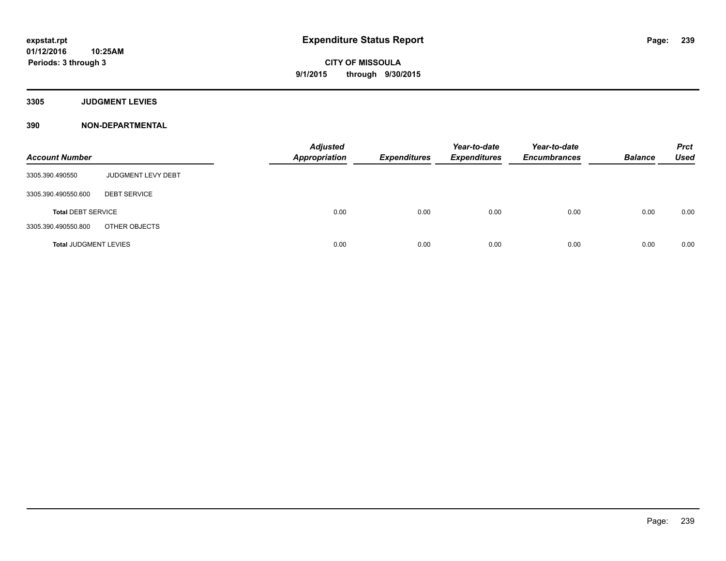**3305 JUDGMENT LEVIES**

| <b>Account Number</b>        |                     | <b>Adjusted</b><br><b>Appropriation</b> | <b>Expenditures</b> | Year-to-date<br><b>Expenditures</b> | Year-to-date<br><b>Encumbrances</b> | <b>Balance</b> | <b>Prct</b><br><b>Used</b> |
|------------------------------|---------------------|-----------------------------------------|---------------------|-------------------------------------|-------------------------------------|----------------|----------------------------|
| 3305.390.490550              | JUDGMENT LEVY DEBT  |                                         |                     |                                     |                                     |                |                            |
| 3305.390.490550.600          | <b>DEBT SERVICE</b> |                                         |                     |                                     |                                     |                |                            |
| <b>Total DEBT SERVICE</b>    |                     | 0.00                                    | 0.00                | 0.00                                | 0.00                                | 0.00           | 0.00                       |
| 3305.390.490550.800          | OTHER OBJECTS       |                                         |                     |                                     |                                     |                |                            |
| <b>Total JUDGMENT LEVIES</b> |                     | 0.00                                    | 0.00                | 0.00                                | 0.00                                | 0.00           | 0.00                       |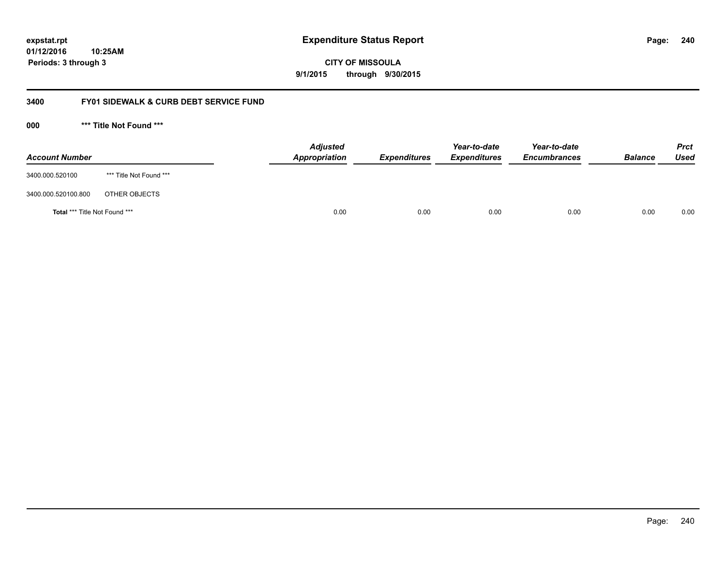**CITY OF MISSOULA 9/1/2015 through 9/30/2015**

## **3400 FY01 SIDEWALK & CURB DEBT SERVICE FUND**

**000 \*\*\* Title Not Found \*\*\***

| <b>Account Number</b>         |                         | <b>Adjusted</b><br>Appropriation | <b>Expenditures</b> | Year-to-date<br><b>Expenditures</b> | Year-to-date<br><b>Encumbrances</b> | <b>Balance</b> | Prct<br><b>Used</b> |
|-------------------------------|-------------------------|----------------------------------|---------------------|-------------------------------------|-------------------------------------|----------------|---------------------|
| 3400.000.520100               | *** Title Not Found *** |                                  |                     |                                     |                                     |                |                     |
| 3400.000.520100.800           | OTHER OBJECTS           |                                  |                     |                                     |                                     |                |                     |
| Total *** Title Not Found *** |                         | 0.00                             | 0.00                | 0.00                                | 0.00                                | 0.00           | 0.00                |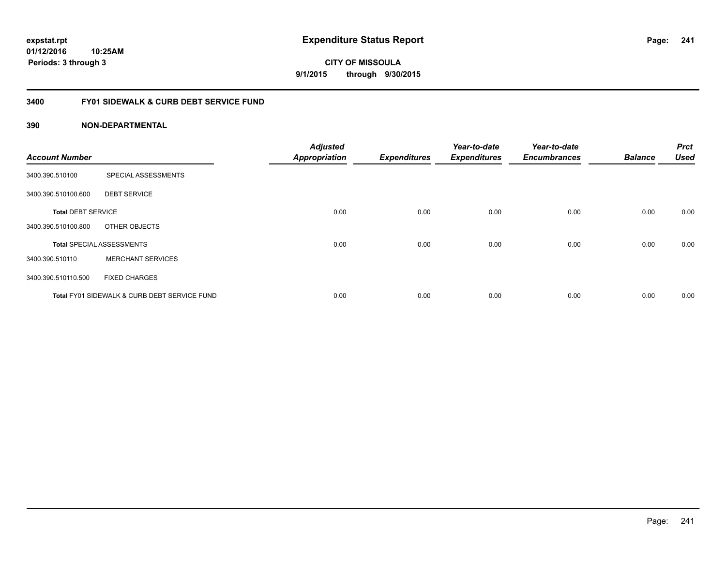**CITY OF MISSOULA 9/1/2015 through 9/30/2015**

## **3400 FY01 SIDEWALK & CURB DEBT SERVICE FUND**

| <b>Account Number</b>     |                                              | <b>Adjusted</b><br><b>Appropriation</b> | <b>Expenditures</b> | Year-to-date<br><b>Expenditures</b> | Year-to-date<br><b>Encumbrances</b> | <b>Balance</b> | <b>Prct</b><br><b>Used</b> |
|---------------------------|----------------------------------------------|-----------------------------------------|---------------------|-------------------------------------|-------------------------------------|----------------|----------------------------|
| 3400.390.510100           | SPECIAL ASSESSMENTS                          |                                         |                     |                                     |                                     |                |                            |
| 3400.390.510100.600       | <b>DEBT SERVICE</b>                          |                                         |                     |                                     |                                     |                |                            |
| <b>Total DEBT SERVICE</b> |                                              | 0.00                                    | 0.00                | 0.00                                | 0.00                                | 0.00           | 0.00                       |
| 3400.390.510100.800       | OTHER OBJECTS                                |                                         |                     |                                     |                                     |                |                            |
|                           | <b>Total SPECIAL ASSESSMENTS</b>             | 0.00                                    | 0.00                | 0.00                                | 0.00                                | 0.00           | 0.00                       |
| 3400.390.510110           | <b>MERCHANT SERVICES</b>                     |                                         |                     |                                     |                                     |                |                            |
| 3400.390.510110.500       | <b>FIXED CHARGES</b>                         |                                         |                     |                                     |                                     |                |                            |
|                           | Total FY01 SIDEWALK & CURB DEBT SERVICE FUND | 0.00                                    | 0.00                | 0.00                                | 0.00                                | 0.00           | 0.00                       |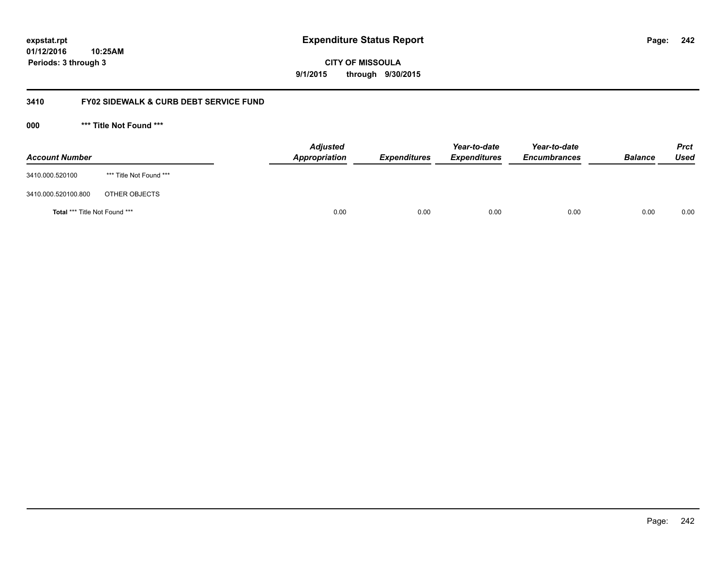**242**

**01/12/2016 10:25AM Periods: 3 through 3**

**CITY OF MISSOULA 9/1/2015 through 9/30/2015**

## **3410 FY02 SIDEWALK & CURB DEBT SERVICE FUND**

**000 \*\*\* Title Not Found \*\*\***

| <b>Account Number</b>         |                         | <b>Adjusted</b><br>Appropriation | <b>Expenditures</b> | Year-to-date<br><b>Expenditures</b> | Year-to-date<br><b>Encumbrances</b> | <b>Balance</b> | <b>Prct</b><br>Used |
|-------------------------------|-------------------------|----------------------------------|---------------------|-------------------------------------|-------------------------------------|----------------|---------------------|
| 3410.000.520100               | *** Title Not Found *** |                                  |                     |                                     |                                     |                |                     |
| 3410.000.520100.800           | OTHER OBJECTS           |                                  |                     |                                     |                                     |                |                     |
| Total *** Title Not Found *** |                         | 0.00                             | 0.00                | 0.00                                | 0.00                                | 0.00           | 0.00                |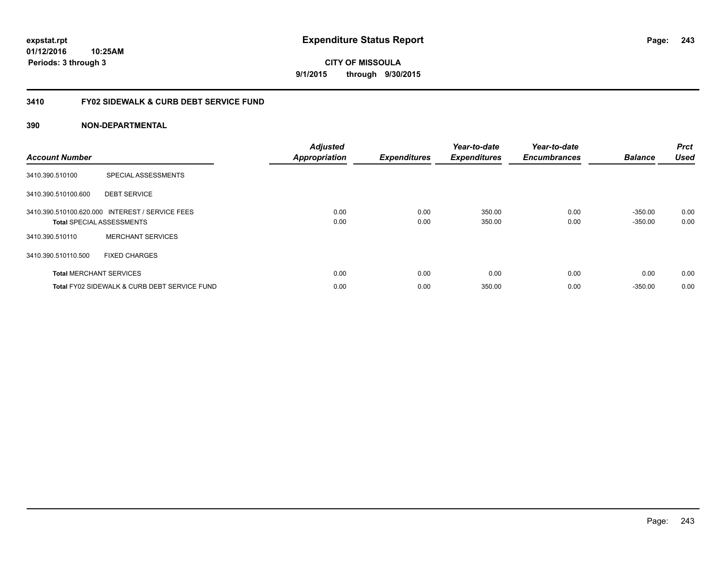**CITY OF MISSOULA 9/1/2015 through 9/30/2015**

## **3410 FY02 SIDEWALK & CURB DEBT SERVICE FUND**

| <b>Account Number</b> |                                                                                     | <b>Adjusted</b><br><b>Appropriation</b> | <b>Expenditures</b> | Year-to-date<br><b>Expenditures</b> | Year-to-date<br><b>Encumbrances</b> | <b>Balance</b>         | <b>Prct</b><br><b>Used</b> |
|-----------------------|-------------------------------------------------------------------------------------|-----------------------------------------|---------------------|-------------------------------------|-------------------------------------|------------------------|----------------------------|
| 3410.390.510100       | SPECIAL ASSESSMENTS                                                                 |                                         |                     |                                     |                                     |                        |                            |
| 3410.390.510100.600   | <b>DEBT SERVICE</b>                                                                 |                                         |                     |                                     |                                     |                        |                            |
|                       | 3410.390.510100.620.000 INTEREST / SERVICE FEES<br><b>Total SPECIAL ASSESSMENTS</b> | 0.00<br>0.00                            | 0.00<br>0.00        | 350.00<br>350.00                    | 0.00<br>0.00                        | $-350.00$<br>$-350.00$ | 0.00<br>0.00               |
| 3410.390.510110       | <b>MERCHANT SERVICES</b>                                                            |                                         |                     |                                     |                                     |                        |                            |
| 3410.390.510110.500   | <b>FIXED CHARGES</b>                                                                |                                         |                     |                                     |                                     |                        |                            |
|                       | <b>Total MERCHANT SERVICES</b>                                                      | 0.00                                    | 0.00                | 0.00                                | 0.00                                | 0.00                   | 0.00                       |
|                       | Total FY02 SIDEWALK & CURB DEBT SERVICE FUND                                        | 0.00                                    | 0.00                | 350.00                              | 0.00                                | $-350.00$              | 0.00                       |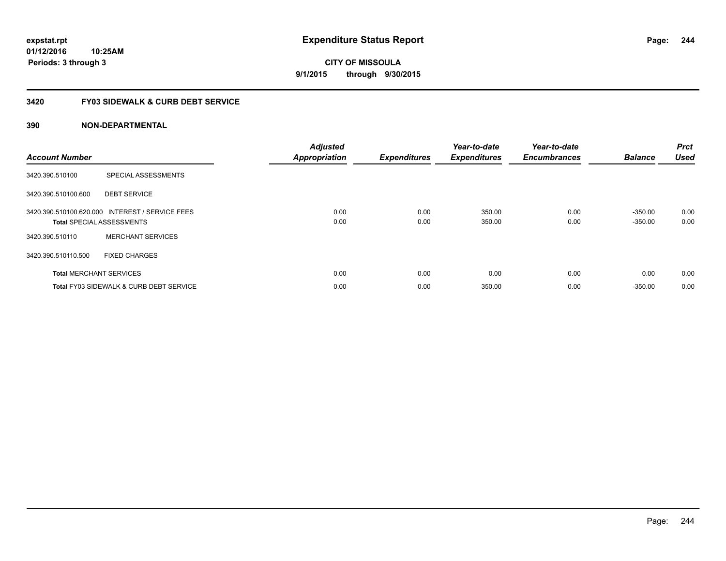**CITY OF MISSOULA 9/1/2015 through 9/30/2015**

## **3420 FY03 SIDEWALK & CURB DEBT SERVICE**

| <b>Account Number</b> |                                                                                     | <b>Adjusted</b><br><b>Appropriation</b> | <b>Expenditures</b> | Year-to-date<br><b>Expenditures</b> | Year-to-date<br><b>Encumbrances</b> | <b>Balance</b>         | <b>Prct</b><br><b>Used</b> |
|-----------------------|-------------------------------------------------------------------------------------|-----------------------------------------|---------------------|-------------------------------------|-------------------------------------|------------------------|----------------------------|
| 3420.390.510100       | SPECIAL ASSESSMENTS                                                                 |                                         |                     |                                     |                                     |                        |                            |
| 3420.390.510100.600   | <b>DEBT SERVICE</b>                                                                 |                                         |                     |                                     |                                     |                        |                            |
|                       | 3420.390.510100.620.000 INTEREST / SERVICE FEES<br><b>Total SPECIAL ASSESSMENTS</b> | 0.00<br>0.00                            | 0.00<br>0.00        | 350.00<br>350.00                    | 0.00<br>0.00                        | $-350.00$<br>$-350.00$ | 0.00<br>0.00               |
| 3420.390.510110       | <b>MERCHANT SERVICES</b>                                                            |                                         |                     |                                     |                                     |                        |                            |
| 3420.390.510110.500   | <b>FIXED CHARGES</b>                                                                |                                         |                     |                                     |                                     |                        |                            |
|                       | <b>Total MERCHANT SERVICES</b>                                                      | 0.00                                    | 0.00                | 0.00                                | 0.00                                | 0.00                   | 0.00                       |
|                       | <b>Total FY03 SIDEWALK &amp; CURB DEBT SERVICE</b>                                  | 0.00                                    | 0.00                | 350.00                              | 0.00                                | $-350.00$              | 0.00                       |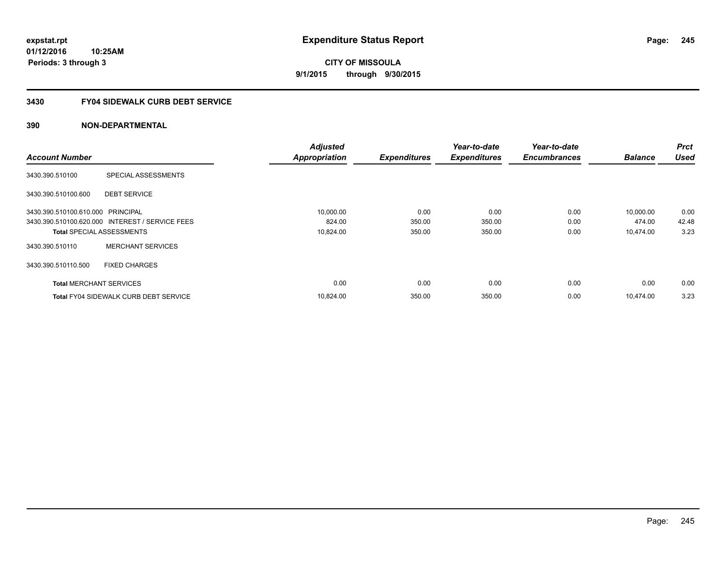**CITY OF MISSOULA 9/1/2015 through 9/30/2015**

## **3430 FY04 SIDEWALK CURB DEBT SERVICE**

|                                   |                                                 | <b>Adjusted</b>      |                     | Year-to-date        | Year-to-date        |                | <b>Prct</b> |
|-----------------------------------|-------------------------------------------------|----------------------|---------------------|---------------------|---------------------|----------------|-------------|
| <b>Account Number</b>             |                                                 | <b>Appropriation</b> | <b>Expenditures</b> | <b>Expenditures</b> | <b>Encumbrances</b> | <b>Balance</b> | <b>Used</b> |
| 3430.390.510100                   | SPECIAL ASSESSMENTS                             |                      |                     |                     |                     |                |             |
| 3430.390.510100.600               | <b>DEBT SERVICE</b>                             |                      |                     |                     |                     |                |             |
| 3430.390.510100.610.000 PRINCIPAL |                                                 | 10,000.00            | 0.00                | 0.00                | 0.00                | 10,000.00      | 0.00        |
|                                   | 3430.390.510100.620.000 INTEREST / SERVICE FEES | 824.00               | 350.00              | 350.00              | 0.00                | 474.00         | 42.48       |
| <b>Total SPECIAL ASSESSMENTS</b>  |                                                 | 10,824.00            | 350.00              | 350.00              | 0.00                | 10.474.00      | 3.23        |
| 3430.390.510110                   | <b>MERCHANT SERVICES</b>                        |                      |                     |                     |                     |                |             |
| 3430.390.510110.500               | <b>FIXED CHARGES</b>                            |                      |                     |                     |                     |                |             |
| <b>Total MERCHANT SERVICES</b>    |                                                 | 0.00                 | 0.00                | 0.00                | 0.00                | 0.00           | 0.00        |
|                                   | <b>Total FY04 SIDEWALK CURB DEBT SERVICE</b>    | 10.824.00            | 350.00              | 350.00              | 0.00                | 10.474.00      | 3.23        |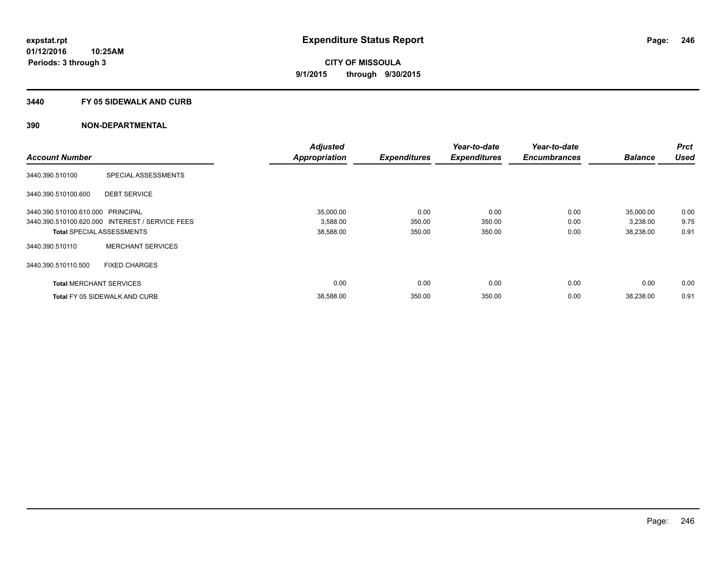### **3440 FY 05 SIDEWALK AND CURB**

|                                   |                                                 | <b>Adjusted</b>      |                     | Year-to-date        | Year-to-date        |                | <b>Prct</b> |
|-----------------------------------|-------------------------------------------------|----------------------|---------------------|---------------------|---------------------|----------------|-------------|
| <b>Account Number</b>             |                                                 | <b>Appropriation</b> | <b>Expenditures</b> | <b>Expenditures</b> | <b>Encumbrances</b> | <b>Balance</b> | <b>Used</b> |
| 3440.390.510100                   | SPECIAL ASSESSMENTS                             |                      |                     |                     |                     |                |             |
| 3440.390.510100.600               | <b>DEBT SERVICE</b>                             |                      |                     |                     |                     |                |             |
| 3440.390.510100.610.000 PRINCIPAL |                                                 | 35,000.00            | 0.00                | 0.00                | 0.00                | 35,000.00      | 0.00        |
|                                   | 3440.390.510100.620.000 INTEREST / SERVICE FEES | 3,588.00             | 350.00              | 350.00              | 0.00                | 3,238.00       | 9.75        |
| <b>Total SPECIAL ASSESSMENTS</b>  |                                                 | 38,588.00            | 350.00              | 350.00              | 0.00                | 38,238.00      | 0.91        |
| 3440.390.510110                   | <b>MERCHANT SERVICES</b>                        |                      |                     |                     |                     |                |             |
| 3440.390.510110.500               | <b>FIXED CHARGES</b>                            |                      |                     |                     |                     |                |             |
| <b>Total MERCHANT SERVICES</b>    |                                                 | 0.00                 | 0.00                | 0.00                | 0.00                | 0.00           | 0.00        |
|                                   | <b>Total FY 05 SIDEWALK AND CURB</b>            | 38,588.00            | 350.00              | 350.00              | 0.00                | 38,238.00      | 0.91        |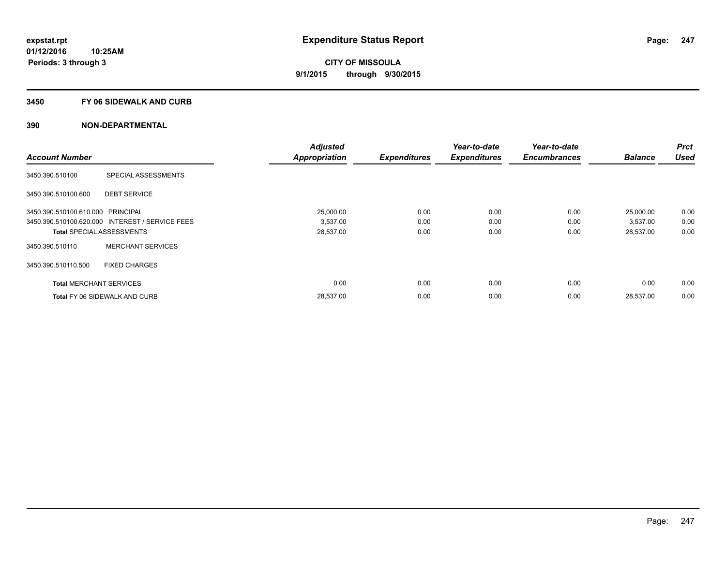### **3450 FY 06 SIDEWALK AND CURB**

| <b>Account Number</b>             |                                                 | <b>Adjusted</b>      |                     | Year-to-date        | Year-to-date<br><b>Encumbrances</b> | <b>Balance</b> | <b>Prct</b><br><b>Used</b> |
|-----------------------------------|-------------------------------------------------|----------------------|---------------------|---------------------|-------------------------------------|----------------|----------------------------|
|                                   |                                                 | <b>Appropriation</b> | <b>Expenditures</b> | <b>Expenditures</b> |                                     |                |                            |
| 3450.390.510100                   | SPECIAL ASSESSMENTS                             |                      |                     |                     |                                     |                |                            |
| 3450.390.510100.600               | <b>DEBT SERVICE</b>                             |                      |                     |                     |                                     |                |                            |
| 3450.390.510100.610.000 PRINCIPAL |                                                 | 25,000.00            | 0.00                | 0.00                | 0.00                                | 25,000.00      | 0.00                       |
|                                   | 3450.390.510100.620.000 INTEREST / SERVICE FEES | 3,537.00             | 0.00                | 0.00                | 0.00                                | 3,537.00       | 0.00                       |
| <b>Total SPECIAL ASSESSMENTS</b>  |                                                 | 28,537.00            | 0.00                | 0.00                | 0.00                                | 28,537.00      | 0.00                       |
| 3450.390.510110                   | <b>MERCHANT SERVICES</b>                        |                      |                     |                     |                                     |                |                            |
| 3450.390.510110.500               | <b>FIXED CHARGES</b>                            |                      |                     |                     |                                     |                |                            |
| <b>Total MERCHANT SERVICES</b>    |                                                 | 0.00                 | 0.00                | 0.00                | 0.00                                | 0.00           | 0.00                       |
|                                   | <b>Total FY 06 SIDEWALK AND CURB</b>            | 28,537.00            | 0.00                | 0.00                | 0.00                                | 28,537.00      | 0.00                       |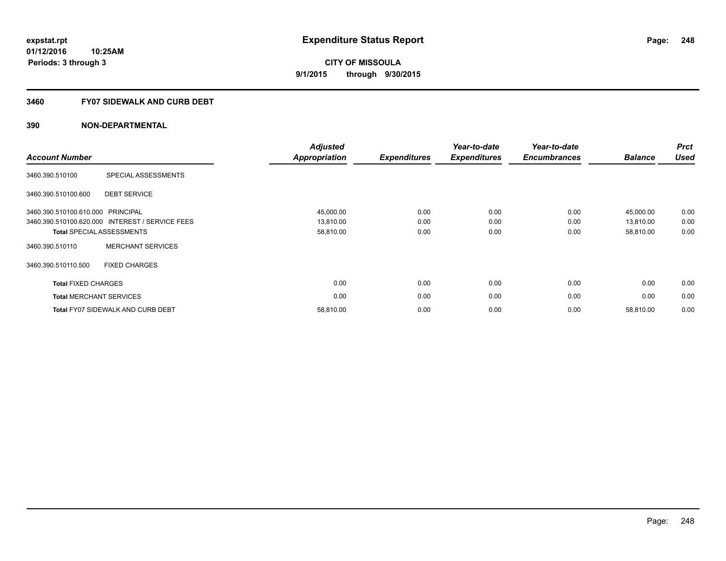### **3460 FY07 SIDEWALK AND CURB DEBT**

| <b>Account Number</b>             |                                                 | <b>Adjusted</b><br>Appropriation | <b>Expenditures</b> | Year-to-date<br><b>Expenditures</b> | Year-to-date<br><b>Encumbrances</b> | <b>Balance</b> | <b>Prct</b><br><b>Used</b> |
|-----------------------------------|-------------------------------------------------|----------------------------------|---------------------|-------------------------------------|-------------------------------------|----------------|----------------------------|
| 3460.390.510100                   | SPECIAL ASSESSMENTS                             |                                  |                     |                                     |                                     |                |                            |
| 3460.390.510100.600               | <b>DEBT SERVICE</b>                             |                                  |                     |                                     |                                     |                |                            |
| 3460.390.510100.610.000 PRINCIPAL |                                                 | 45,000.00                        | 0.00                | 0.00                                | 0.00                                | 45,000.00      | 0.00                       |
|                                   | 3460.390.510100.620.000 INTEREST / SERVICE FEES | 13,810.00                        | 0.00                | 0.00                                | 0.00                                | 13,810.00      | 0.00                       |
|                                   | <b>Total SPECIAL ASSESSMENTS</b>                | 58,810.00                        | 0.00                | 0.00                                | 0.00                                | 58,810.00      | 0.00                       |
| 3460.390.510110                   | <b>MERCHANT SERVICES</b>                        |                                  |                     |                                     |                                     |                |                            |
| 3460.390.510110.500               | <b>FIXED CHARGES</b>                            |                                  |                     |                                     |                                     |                |                            |
| <b>Total FIXED CHARGES</b>        |                                                 | 0.00                             | 0.00                | 0.00                                | 0.00                                | 0.00           | 0.00                       |
|                                   | <b>Total MERCHANT SERVICES</b>                  | 0.00                             | 0.00                | 0.00                                | 0.00                                | 0.00           | 0.00                       |
|                                   | <b>Total FY07 SIDEWALK AND CURB DEBT</b>        | 58,810.00                        | 0.00                | 0.00                                | 0.00                                | 58,810.00      | 0.00                       |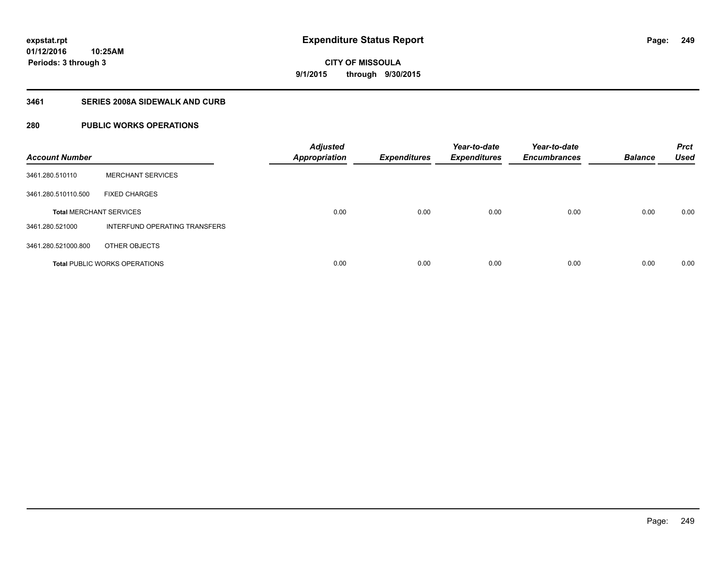### **3461 SERIES 2008A SIDEWALK AND CURB**

## **280 PUBLIC WORKS OPERATIONS**

| <b>Account Number</b>          |                                      | <b>Adjusted</b><br><b>Appropriation</b> | <b>Expenditures</b> | Year-to-date<br><b>Expenditures</b> | Year-to-date<br><b>Encumbrances</b> | <b>Balance</b> | <b>Prct</b><br><b>Used</b> |
|--------------------------------|--------------------------------------|-----------------------------------------|---------------------|-------------------------------------|-------------------------------------|----------------|----------------------------|
| 3461.280.510110                | <b>MERCHANT SERVICES</b>             |                                         |                     |                                     |                                     |                |                            |
| 3461.280.510110.500            | <b>FIXED CHARGES</b>                 |                                         |                     |                                     |                                     |                |                            |
| <b>Total MERCHANT SERVICES</b> |                                      | 0.00                                    | 0.00                | 0.00                                | 0.00                                | 0.00           | 0.00                       |
| 3461.280.521000                | INTERFUND OPERATING TRANSFERS        |                                         |                     |                                     |                                     |                |                            |
| 3461.280.521000.800            | OTHER OBJECTS                        |                                         |                     |                                     |                                     |                |                            |
|                                | <b>Total PUBLIC WORKS OPERATIONS</b> | 0.00                                    | 0.00                | 0.00                                | 0.00                                | 0.00           | 0.00                       |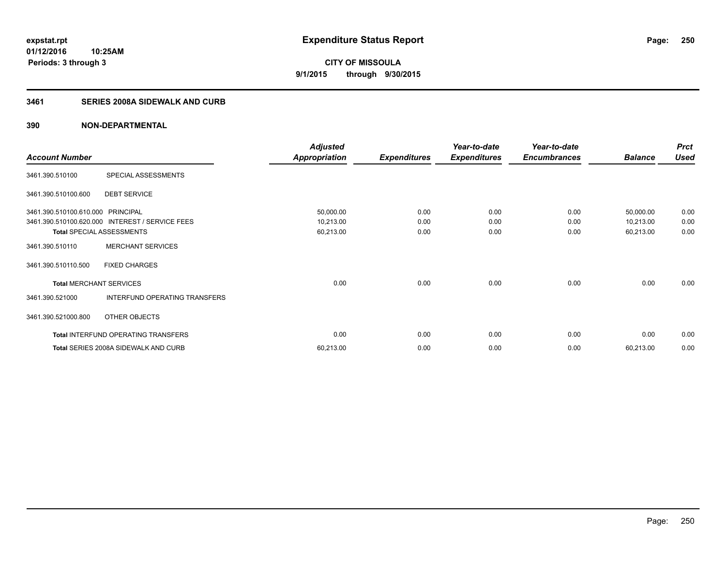# **CITY OF MISSOULA 9/1/2015 through 9/30/2015**

## **3461 SERIES 2008A SIDEWALK AND CURB**

|                                   |                                                 | <b>Adjusted</b> |                     | Year-to-date        | Year-to-date        |                | <b>Prct</b> |
|-----------------------------------|-------------------------------------------------|-----------------|---------------------|---------------------|---------------------|----------------|-------------|
| <b>Account Number</b>             |                                                 | Appropriation   | <b>Expenditures</b> | <b>Expenditures</b> | <b>Encumbrances</b> | <b>Balance</b> | <b>Used</b> |
| 3461.390.510100                   | SPECIAL ASSESSMENTS                             |                 |                     |                     |                     |                |             |
| 3461.390.510100.600               | <b>DEBT SERVICE</b>                             |                 |                     |                     |                     |                |             |
| 3461.390.510100.610.000 PRINCIPAL |                                                 | 50,000.00       | 0.00                | 0.00                | 0.00                | 50,000.00      | 0.00        |
|                                   | 3461.390.510100.620.000 INTEREST / SERVICE FEES | 10,213.00       | 0.00                | 0.00                | 0.00                | 10,213.00      | 0.00        |
| <b>Total SPECIAL ASSESSMENTS</b>  |                                                 | 60,213.00       | 0.00                | 0.00                | 0.00                | 60,213.00      | 0.00        |
| 3461.390.510110                   | <b>MERCHANT SERVICES</b>                        |                 |                     |                     |                     |                |             |
| 3461.390.510110.500               | <b>FIXED CHARGES</b>                            |                 |                     |                     |                     |                |             |
| <b>Total MERCHANT SERVICES</b>    |                                                 | 0.00            | 0.00                | 0.00                | 0.00                | 0.00           | 0.00        |
| 3461.390.521000                   | INTERFUND OPERATING TRANSFERS                   |                 |                     |                     |                     |                |             |
| 3461.390.521000.800               | OTHER OBJECTS                                   |                 |                     |                     |                     |                |             |
|                                   | Total INTERFUND OPERATING TRANSFERS             | 0.00            | 0.00                | 0.00                | 0.00                | 0.00           | 0.00        |
|                                   | Total SERIES 2008A SIDEWALK AND CURB            | 60,213.00       | 0.00                | 0.00                | 0.00                | 60,213.00      | 0.00        |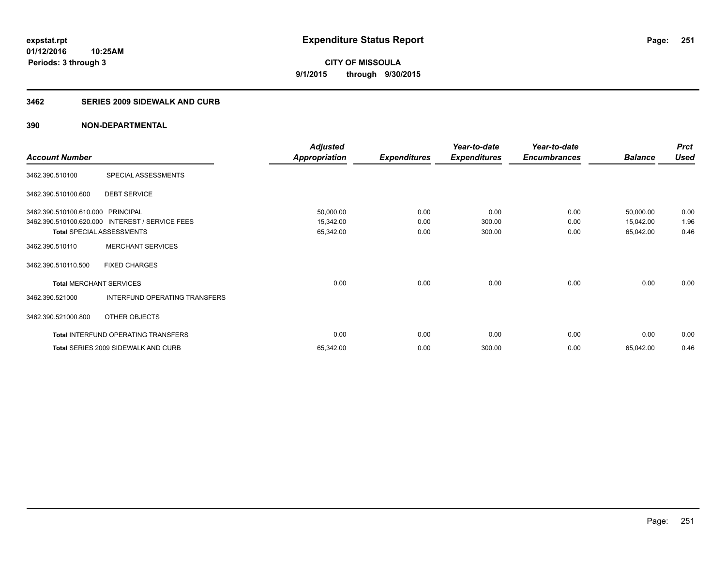### **3462 SERIES 2009 SIDEWALK AND CURB**

|                                   |                                                 | <b>Adjusted</b>      |                     | Year-to-date        | Year-to-date        |                | <b>Prct</b> |
|-----------------------------------|-------------------------------------------------|----------------------|---------------------|---------------------|---------------------|----------------|-------------|
| <b>Account Number</b>             |                                                 | <b>Appropriation</b> | <b>Expenditures</b> | <b>Expenditures</b> | <b>Encumbrances</b> | <b>Balance</b> | <b>Used</b> |
| 3462.390.510100                   | SPECIAL ASSESSMENTS                             |                      |                     |                     |                     |                |             |
| 3462.390.510100.600               | <b>DEBT SERVICE</b>                             |                      |                     |                     |                     |                |             |
| 3462.390.510100.610.000 PRINCIPAL |                                                 | 50,000.00            | 0.00                | 0.00                | 0.00                | 50,000.00      | 0.00        |
|                                   | 3462.390.510100.620.000 INTEREST / SERVICE FEES | 15,342.00            | 0.00                | 300.00              | 0.00                | 15,042.00      | 1.96        |
|                                   | <b>Total SPECIAL ASSESSMENTS</b>                | 65,342.00            | 0.00                | 300.00              | 0.00                | 65,042.00      | 0.46        |
| 3462.390.510110                   | <b>MERCHANT SERVICES</b>                        |                      |                     |                     |                     |                |             |
| 3462.390.510110.500               | <b>FIXED CHARGES</b>                            |                      |                     |                     |                     |                |             |
| <b>Total MERCHANT SERVICES</b>    |                                                 | 0.00                 | 0.00                | 0.00                | 0.00                | 0.00           | 0.00        |
| 3462.390.521000                   | INTERFUND OPERATING TRANSFERS                   |                      |                     |                     |                     |                |             |
| 3462.390.521000.800               | OTHER OBJECTS                                   |                      |                     |                     |                     |                |             |
|                                   | <b>Total INTERFUND OPERATING TRANSFERS</b>      | 0.00                 | 0.00                | 0.00                | 0.00                | 0.00           | 0.00        |
|                                   | Total SERIES 2009 SIDEWALK AND CURB             | 65,342.00            | 0.00                | 300.00              | 0.00                | 65,042.00      | 0.46        |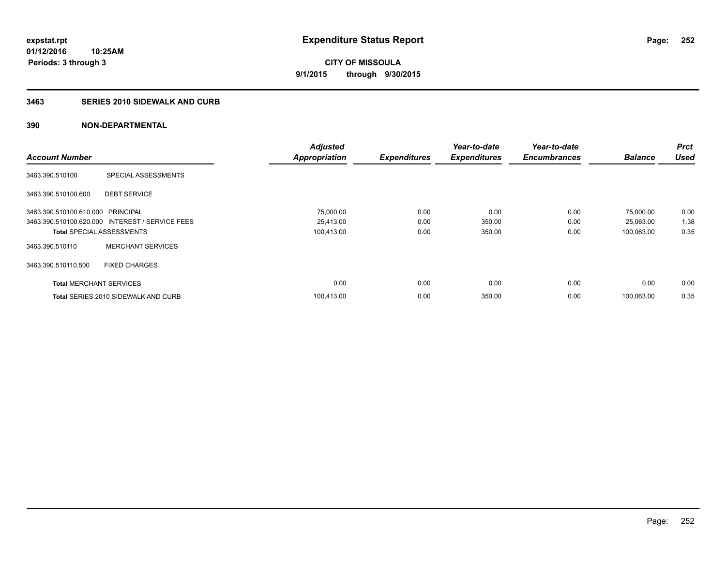### **3463 SERIES 2010 SIDEWALK AND CURB**

|                                   |                                                 | <b>Adjusted</b>      |                     | Year-to-date        | Year-to-date        |                | <b>Prct</b> |
|-----------------------------------|-------------------------------------------------|----------------------|---------------------|---------------------|---------------------|----------------|-------------|
| <b>Account Number</b>             |                                                 | <b>Appropriation</b> | <b>Expenditures</b> | <b>Expenditures</b> | <b>Encumbrances</b> | <b>Balance</b> | <b>Used</b> |
| 3463.390.510100                   | SPECIAL ASSESSMENTS                             |                      |                     |                     |                     |                |             |
| 3463.390.510100.600               | <b>DEBT SERVICE</b>                             |                      |                     |                     |                     |                |             |
| 3463.390.510100.610.000 PRINCIPAL |                                                 | 75,000.00            | 0.00                | 0.00                | 0.00                | 75,000.00      | 0.00        |
|                                   | 3463.390.510100.620.000 INTEREST / SERVICE FEES | 25,413.00            | 0.00                | 350.00              | 0.00                | 25,063.00      | 1.38        |
| <b>Total SPECIAL ASSESSMENTS</b>  |                                                 | 100,413.00           | 0.00                | 350.00              | 0.00                | 100,063.00     | 0.35        |
| 3463.390.510110                   | <b>MERCHANT SERVICES</b>                        |                      |                     |                     |                     |                |             |
| 3463.390.510110.500               | <b>FIXED CHARGES</b>                            |                      |                     |                     |                     |                |             |
| <b>Total MERCHANT SERVICES</b>    |                                                 | 0.00                 | 0.00                | 0.00                | 0.00                | 0.00           | 0.00        |
|                                   | <b>Total SERIES 2010 SIDEWALK AND CURB</b>      | 100,413.00           | 0.00                | 350.00              | 0.00                | 100,063.00     | 0.35        |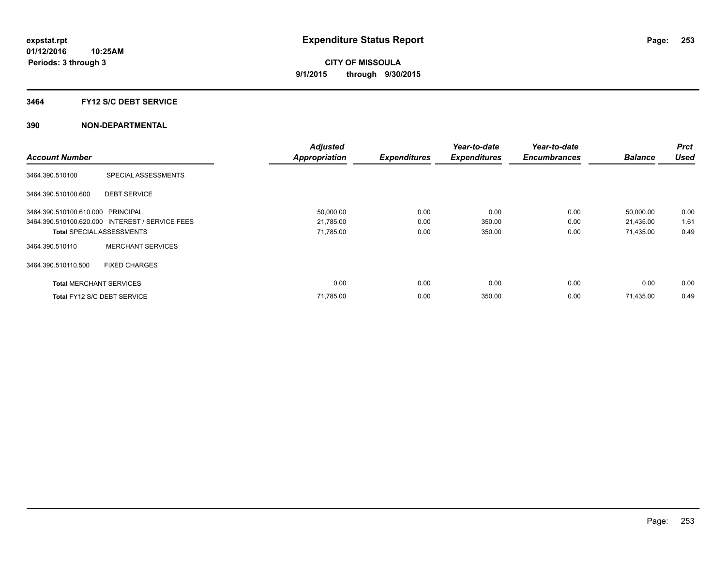## **3464 FY12 S/C DEBT SERVICE**

|                                   |                                                 | <b>Adjusted</b>      |                     | Year-to-date        | Year-to-date        |                | Prct        |
|-----------------------------------|-------------------------------------------------|----------------------|---------------------|---------------------|---------------------|----------------|-------------|
| <b>Account Number</b>             |                                                 | <b>Appropriation</b> | <b>Expenditures</b> | <b>Expenditures</b> | <b>Encumbrances</b> | <b>Balance</b> | <b>Used</b> |
| 3464.390.510100                   | SPECIAL ASSESSMENTS                             |                      |                     |                     |                     |                |             |
| 3464.390.510100.600               | <b>DEBT SERVICE</b>                             |                      |                     |                     |                     |                |             |
| 3464.390.510100.610.000 PRINCIPAL |                                                 | 50,000.00            | 0.00                | 0.00                | 0.00                | 50,000.00      | 0.00        |
|                                   | 3464.390.510100.620.000 INTEREST / SERVICE FEES | 21,785.00            | 0.00                | 350.00              | 0.00                | 21,435.00      | 1.61        |
| <b>Total SPECIAL ASSESSMENTS</b>  |                                                 | 71,785.00            | 0.00                | 350.00              | 0.00                | 71,435.00      | 0.49        |
| 3464.390.510110                   | <b>MERCHANT SERVICES</b>                        |                      |                     |                     |                     |                |             |
| 3464.390.510110.500               | <b>FIXED CHARGES</b>                            |                      |                     |                     |                     |                |             |
| <b>Total MERCHANT SERVICES</b>    |                                                 | 0.00                 | 0.00                | 0.00                | 0.00                | 0.00           | 0.00        |
| Total FY12 S/C DEBT SERVICE       |                                                 | 71,785.00            | 0.00                | 350.00              | 0.00                | 71,435.00      | 0.49        |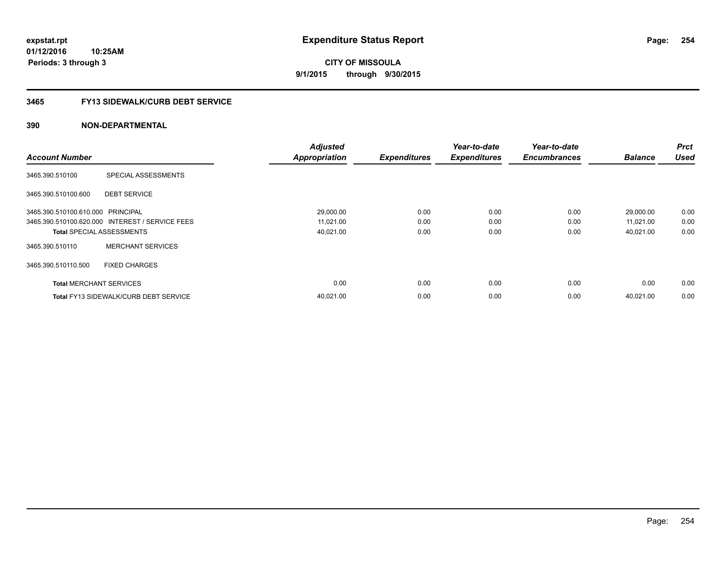**01/12/2016 10:25AM Periods: 3 through 3**

# **CITY OF MISSOULA 9/1/2015 through 9/30/2015**

# **3465 FY13 SIDEWALK/CURB DEBT SERVICE**

|                                   |                                                 | <b>Adjusted</b>      |                     | Year-to-date        | Year-to-date        |                | <b>Prct</b> |
|-----------------------------------|-------------------------------------------------|----------------------|---------------------|---------------------|---------------------|----------------|-------------|
| <b>Account Number</b>             |                                                 | <b>Appropriation</b> | <b>Expenditures</b> | <b>Expenditures</b> | <b>Encumbrances</b> | <b>Balance</b> | <b>Used</b> |
| 3465.390.510100                   | SPECIAL ASSESSMENTS                             |                      |                     |                     |                     |                |             |
| 3465.390.510100.600               | <b>DEBT SERVICE</b>                             |                      |                     |                     |                     |                |             |
| 3465.390.510100.610.000 PRINCIPAL |                                                 | 29,000.00            | 0.00                | 0.00                | 0.00                | 29,000.00      | 0.00        |
|                                   | 3465.390.510100.620.000 INTEREST / SERVICE FEES | 11,021.00            | 0.00                | 0.00                | 0.00                | 11,021.00      | 0.00        |
| <b>Total SPECIAL ASSESSMENTS</b>  |                                                 | 40,021.00            | 0.00                | 0.00                | 0.00                | 40,021.00      | 0.00        |
| 3465.390.510110                   | <b>MERCHANT SERVICES</b>                        |                      |                     |                     |                     |                |             |
| 3465.390.510110.500               | <b>FIXED CHARGES</b>                            |                      |                     |                     |                     |                |             |
| <b>Total MERCHANT SERVICES</b>    |                                                 | 0.00                 | 0.00                | 0.00                | 0.00                | 0.00           | 0.00        |
|                                   | <b>Total FY13 SIDEWALK/CURB DEBT SERVICE</b>    | 40,021.00            | 0.00                | 0.00                | 0.00                | 40.021.00      | 0.00        |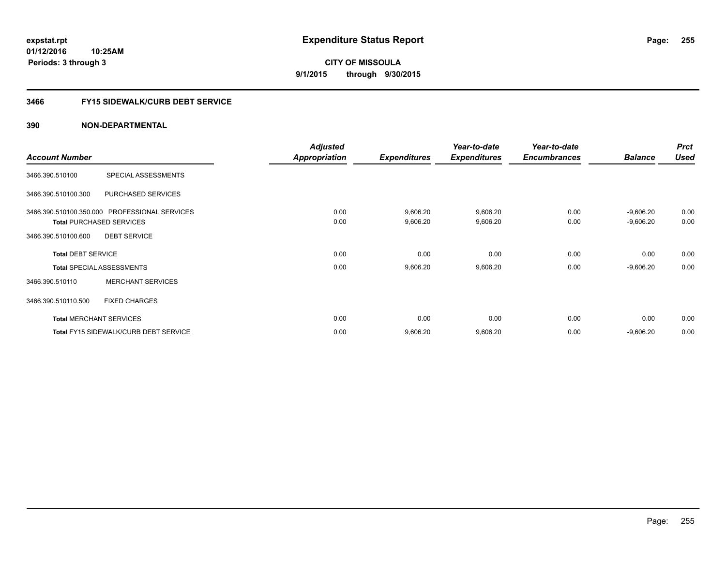**01/12/2016 10:25AM Periods: 3 through 3**

# **CITY OF MISSOULA 9/1/2015 through 9/30/2015**

# **3466 FY15 SIDEWALK/CURB DEBT SERVICE**

|                           |                                               | <b>Adjusted</b>      |                     | Year-to-date        | Year-to-date        |                | <b>Prct</b> |
|---------------------------|-----------------------------------------------|----------------------|---------------------|---------------------|---------------------|----------------|-------------|
| <b>Account Number</b>     |                                               | <b>Appropriation</b> | <b>Expenditures</b> | <b>Expenditures</b> | <b>Encumbrances</b> | <b>Balance</b> | <b>Used</b> |
| 3466.390.510100           | SPECIAL ASSESSMENTS                           |                      |                     |                     |                     |                |             |
| 3466.390.510100.300       | PURCHASED SERVICES                            |                      |                     |                     |                     |                |             |
|                           | 3466.390.510100.350.000 PROFESSIONAL SERVICES | 0.00                 | 9,606.20            | 9,606.20            | 0.00                | $-9,606.20$    | 0.00        |
|                           | <b>Total PURCHASED SERVICES</b>               | 0.00                 | 9,606.20            | 9,606.20            | 0.00                | $-9,606.20$    | 0.00        |
| 3466.390.510100.600       | <b>DEBT SERVICE</b>                           |                      |                     |                     |                     |                |             |
| <b>Total DEBT SERVICE</b> |                                               | 0.00                 | 0.00                | 0.00                | 0.00                | 0.00           | 0.00        |
|                           | <b>Total SPECIAL ASSESSMENTS</b>              | 0.00                 | 9,606.20            | 9,606.20            | 0.00                | $-9,606.20$    | 0.00        |
| 3466.390.510110           | <b>MERCHANT SERVICES</b>                      |                      |                     |                     |                     |                |             |
| 3466.390.510110.500       | <b>FIXED CHARGES</b>                          |                      |                     |                     |                     |                |             |
|                           | <b>Total MERCHANT SERVICES</b>                | 0.00                 | 0.00                | 0.00                | 0.00                | 0.00           | 0.00        |
|                           | <b>Total FY15 SIDEWALK/CURB DEBT SERVICE</b>  | 0.00                 | 9,606.20            | 9,606.20            | 0.00                | $-9,606.20$    | 0.00        |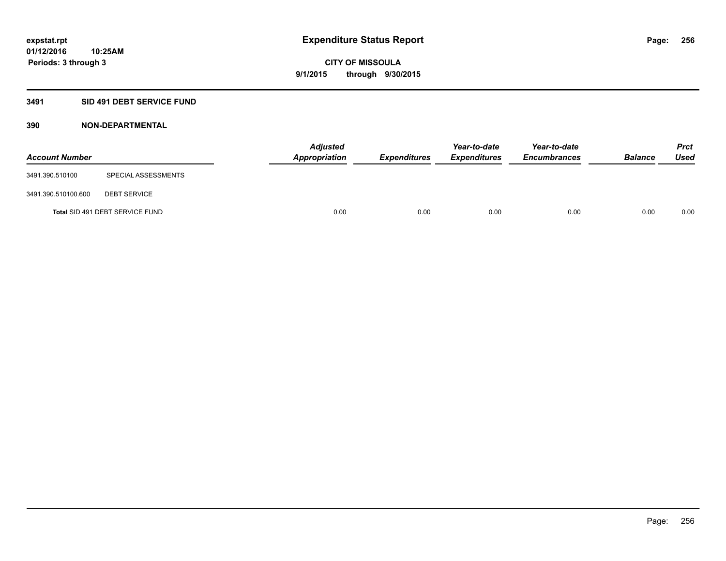## **3491 SID 491 DEBT SERVICE FUND**

| <b>Account Number</b> |                                 | <b>Adjusted</b><br>Appropriation | <b>Expenditures</b> | Year-to-date<br><b>Expenditures</b> | Year-to-date<br><b>Encumbrances</b> | <b>Balance</b> | <b>Prct</b><br><b>Used</b> |
|-----------------------|---------------------------------|----------------------------------|---------------------|-------------------------------------|-------------------------------------|----------------|----------------------------|
| 3491.390.510100       | SPECIAL ASSESSMENTS             |                                  |                     |                                     |                                     |                |                            |
| 3491.390.510100.600   | <b>DEBT SERVICE</b>             |                                  |                     |                                     |                                     |                |                            |
|                       | Total SID 491 DEBT SERVICE FUND | 0.00                             | 0.00                | 0.00                                | 0.00                                | 0.00           | 0.00                       |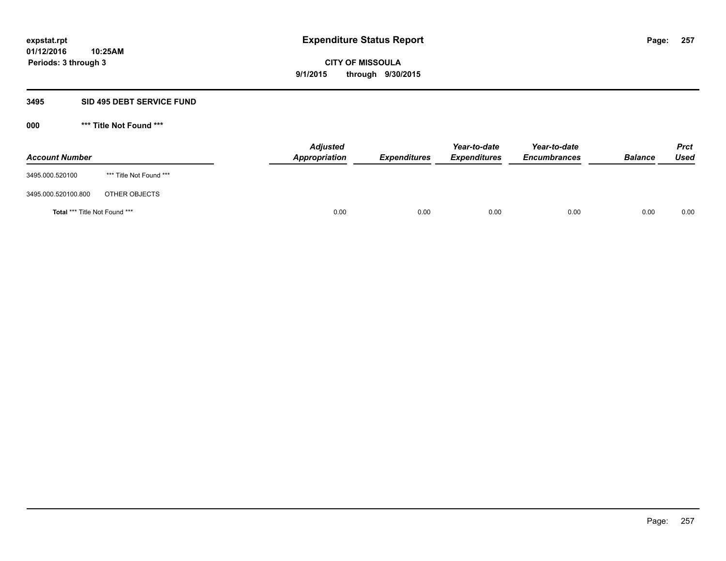## **3495 SID 495 DEBT SERVICE FUND**

| <b>Account Number</b>         |                         | <b>Adjusted</b><br>Appropriation | <b>Expenditures</b> | Year-to-date<br><b>Expenditures</b> | Year-to-date<br><b>Encumbrances</b> | <b>Balance</b> | <b>Prct</b><br>Used |
|-------------------------------|-------------------------|----------------------------------|---------------------|-------------------------------------|-------------------------------------|----------------|---------------------|
| 3495.000.520100               | *** Title Not Found *** |                                  |                     |                                     |                                     |                |                     |
| 3495.000.520100.800           | OTHER OBJECTS           |                                  |                     |                                     |                                     |                |                     |
| Total *** Title Not Found *** |                         | 0.00                             | 0.00                | 0.00                                | 0.00                                | 0.00           | 0.00                |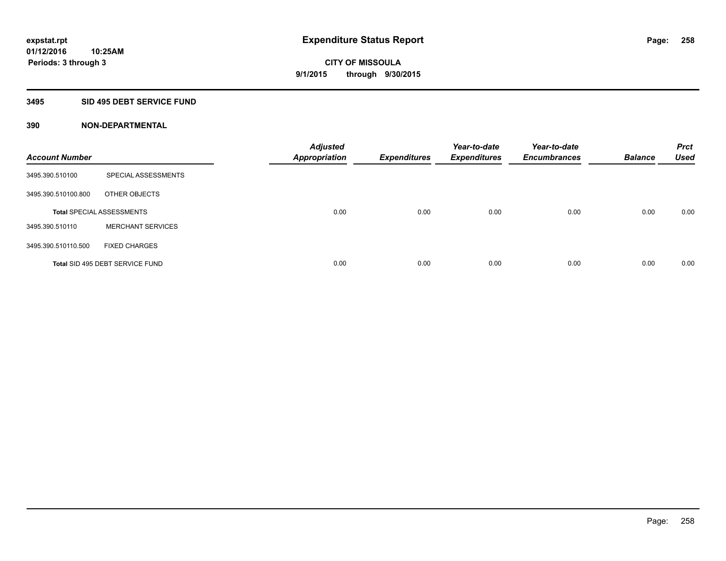## **3495 SID 495 DEBT SERVICE FUND**

| <b>Account Number</b> |                                  | <b>Adjusted</b><br><b>Appropriation</b> | <b>Expenditures</b> | Year-to-date<br><b>Expenditures</b> | Year-to-date<br><b>Encumbrances</b> | <b>Balance</b> | <b>Prct</b><br><b>Used</b> |
|-----------------------|----------------------------------|-----------------------------------------|---------------------|-------------------------------------|-------------------------------------|----------------|----------------------------|
| 3495.390.510100       | SPECIAL ASSESSMENTS              |                                         |                     |                                     |                                     |                |                            |
| 3495.390.510100.800   | OTHER OBJECTS                    |                                         |                     |                                     |                                     |                |                            |
|                       | <b>Total SPECIAL ASSESSMENTS</b> | 0.00                                    | 0.00                | 0.00                                | 0.00                                | 0.00           | 0.00                       |
| 3495.390.510110       | <b>MERCHANT SERVICES</b>         |                                         |                     |                                     |                                     |                |                            |
| 3495.390.510110.500   | <b>FIXED CHARGES</b>             |                                         |                     |                                     |                                     |                |                            |
|                       | Total SID 495 DEBT SERVICE FUND  | 0.00                                    | 0.00                | 0.00                                | 0.00                                | 0.00           | 0.00                       |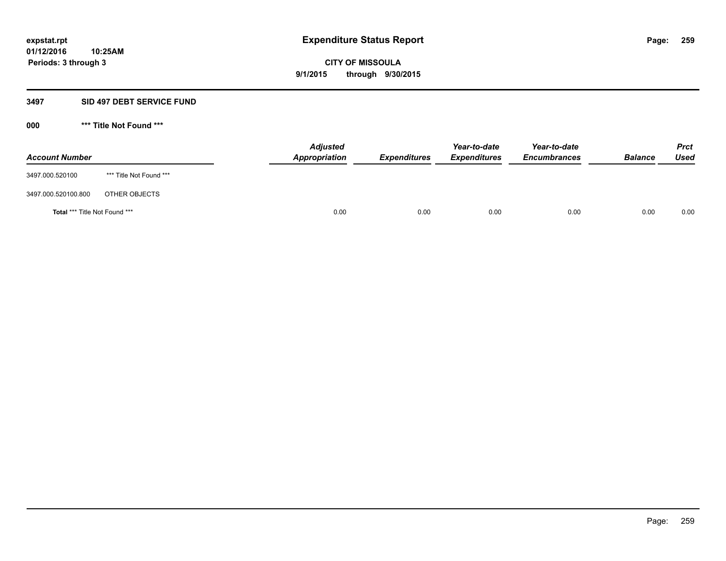## **3497 SID 497 DEBT SERVICE FUND**

| <b>Account Number</b>                |                         | <b>Adjusted</b><br><b>Appropriation</b> | <b>Expenditures</b> | Year-to-date<br><b>Expenditures</b> | Year-to-date<br><b>Encumbrances</b> | <b>Balance</b> | <b>Prct</b><br><b>Used</b> |
|--------------------------------------|-------------------------|-----------------------------------------|---------------------|-------------------------------------|-------------------------------------|----------------|----------------------------|
| 3497.000.520100                      | *** Title Not Found *** |                                         |                     |                                     |                                     |                |                            |
| 3497.000.520100.800                  | OTHER OBJECTS           |                                         |                     |                                     |                                     |                |                            |
| <b>Total *** Title Not Found ***</b> |                         | 0.00                                    | 0.00                | 0.00                                | 0.00                                | 0.00           | 0.00                       |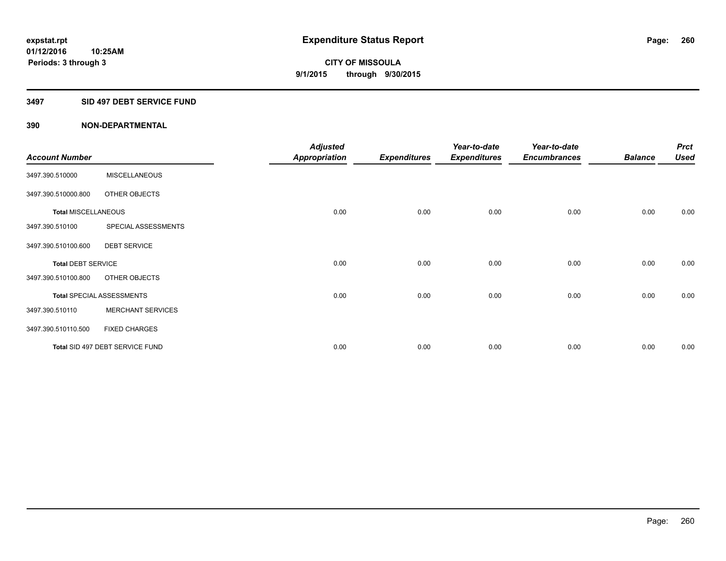## **3497 SID 497 DEBT SERVICE FUND**

|                            |                                  | <b>Adjusted</b>      |                     | Year-to-date        | Year-to-date        |                | <b>Prct</b> |
|----------------------------|----------------------------------|----------------------|---------------------|---------------------|---------------------|----------------|-------------|
| <b>Account Number</b>      |                                  | <b>Appropriation</b> | <b>Expenditures</b> | <b>Expenditures</b> | <b>Encumbrances</b> | <b>Balance</b> | <b>Used</b> |
| 3497.390.510000            | <b>MISCELLANEOUS</b>             |                      |                     |                     |                     |                |             |
| 3497.390.510000.800        | OTHER OBJECTS                    |                      |                     |                     |                     |                |             |
| <b>Total MISCELLANEOUS</b> |                                  | 0.00                 | 0.00                | 0.00                | 0.00                | 0.00           | 0.00        |
| 3497.390.510100            | SPECIAL ASSESSMENTS              |                      |                     |                     |                     |                |             |
| 3497.390.510100.600        | <b>DEBT SERVICE</b>              |                      |                     |                     |                     |                |             |
| <b>Total DEBT SERVICE</b>  |                                  | 0.00                 | 0.00                | 0.00                | 0.00                | 0.00           | 0.00        |
| 3497.390.510100.800        | OTHER OBJECTS                    |                      |                     |                     |                     |                |             |
|                            | <b>Total SPECIAL ASSESSMENTS</b> | 0.00                 | 0.00                | 0.00                | 0.00                | 0.00           | 0.00        |
| 3497.390.510110            | <b>MERCHANT SERVICES</b>         |                      |                     |                     |                     |                |             |
| 3497.390.510110.500        | <b>FIXED CHARGES</b>             |                      |                     |                     |                     |                |             |
|                            | Total SID 497 DEBT SERVICE FUND  | 0.00                 | 0.00                | 0.00                | 0.00                | 0.00           | 0.00        |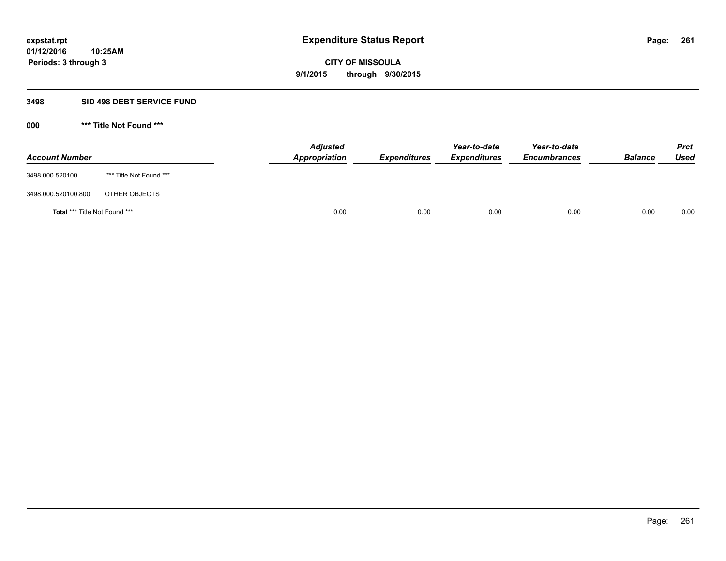## **3498 SID 498 DEBT SERVICE FUND**

| <b>Account Number</b>         |                         | <b>Adjusted</b><br>Appropriation | <b>Expenditures</b> | Year-to-date<br><b>Expenditures</b> | Year-to-date<br><b>Encumbrances</b> | <b>Balance</b> | <b>Prct</b><br><b>Used</b> |
|-------------------------------|-------------------------|----------------------------------|---------------------|-------------------------------------|-------------------------------------|----------------|----------------------------|
| 3498.000.520100               | *** Title Not Found *** |                                  |                     |                                     |                                     |                |                            |
| 3498.000.520100.800           | OTHER OBJECTS           |                                  |                     |                                     |                                     |                |                            |
| Total *** Title Not Found *** |                         | 0.00                             | 0.00                | 0.00                                | 0.00                                | 0.00           | 0.00                       |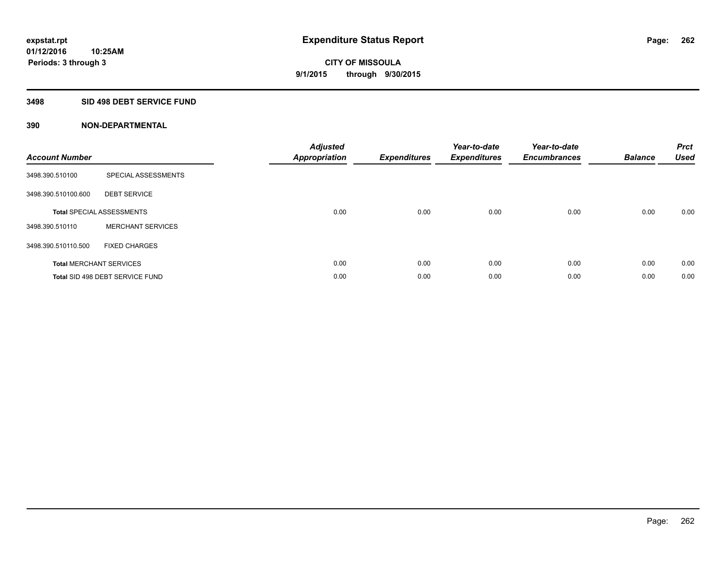## **3498 SID 498 DEBT SERVICE FUND**

| <b>Account Number</b> |                                  | <b>Adjusted</b><br><b>Appropriation</b> | <b>Expenditures</b> | Year-to-date<br><b>Expenditures</b> | Year-to-date<br><b>Encumbrances</b> | <b>Balance</b> | <b>Prct</b><br><b>Used</b> |
|-----------------------|----------------------------------|-----------------------------------------|---------------------|-------------------------------------|-------------------------------------|----------------|----------------------------|
| 3498.390.510100       | SPECIAL ASSESSMENTS              |                                         |                     |                                     |                                     |                |                            |
| 3498.390.510100.600   | <b>DEBT SERVICE</b>              |                                         |                     |                                     |                                     |                |                            |
|                       | <b>Total SPECIAL ASSESSMENTS</b> | 0.00                                    | 0.00                | 0.00                                | 0.00                                | 0.00           | 0.00                       |
| 3498.390.510110       | <b>MERCHANT SERVICES</b>         |                                         |                     |                                     |                                     |                |                            |
| 3498.390.510110.500   | <b>FIXED CHARGES</b>             |                                         |                     |                                     |                                     |                |                            |
|                       | <b>Total MERCHANT SERVICES</b>   | 0.00                                    | 0.00                | 0.00                                | 0.00                                | 0.00           | 0.00                       |
|                       | Total SID 498 DEBT SERVICE FUND  | 0.00                                    | 0.00                | 0.00                                | 0.00                                | 0.00           | 0.00                       |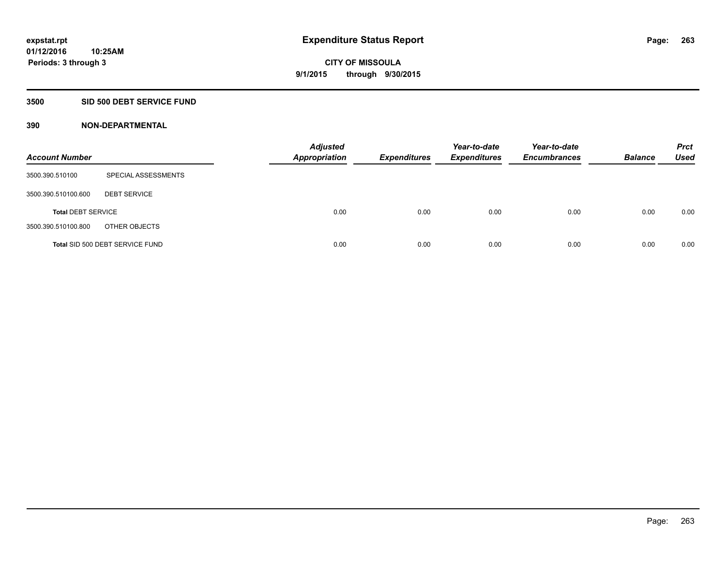# **3500 SID 500 DEBT SERVICE FUND**

| <b>Account Number</b>     |                                 | <b>Adjusted</b><br><b>Appropriation</b> | <b>Expenditures</b> | Year-to-date<br><b>Expenditures</b> | Year-to-date<br><b>Encumbrances</b> | <b>Balance</b> | <b>Prct</b><br><b>Used</b> |
|---------------------------|---------------------------------|-----------------------------------------|---------------------|-------------------------------------|-------------------------------------|----------------|----------------------------|
| 3500.390.510100           | SPECIAL ASSESSMENTS             |                                         |                     |                                     |                                     |                |                            |
| 3500.390.510100.600       | <b>DEBT SERVICE</b>             |                                         |                     |                                     |                                     |                |                            |
| <b>Total DEBT SERVICE</b> |                                 | 0.00                                    | 0.00                | 0.00                                | 0.00                                | 0.00           | 0.00                       |
| 3500.390.510100.800       | OTHER OBJECTS                   |                                         |                     |                                     |                                     |                |                            |
|                           | Total SID 500 DEBT SERVICE FUND | 0.00                                    | 0.00                | 0.00                                | 0.00                                | 0.00           | 0.00                       |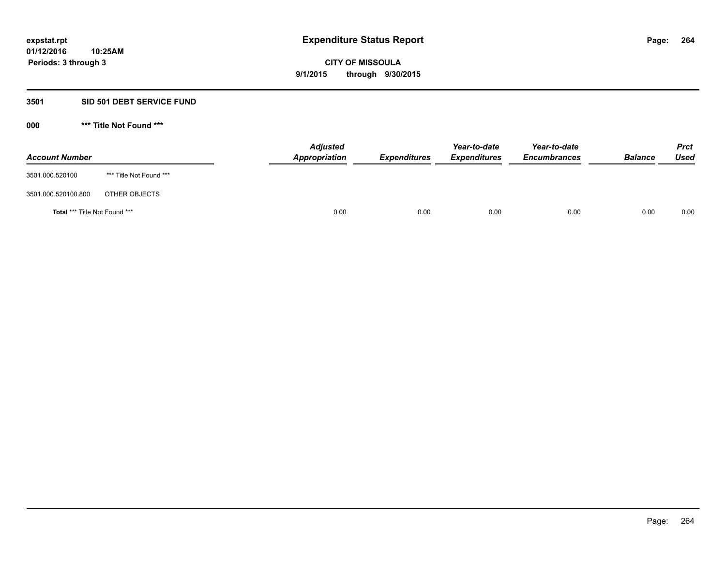## **3501 SID 501 DEBT SERVICE FUND**

| <b>Account Number</b>                |                         | <b>Adjusted</b><br><b>Appropriation</b> | <b>Expenditures</b> | Year-to-date<br><b>Expenditures</b> | Year-to-date<br><b>Encumbrances</b> | <b>Balance</b> | <b>Prct</b><br><b>Used</b> |
|--------------------------------------|-------------------------|-----------------------------------------|---------------------|-------------------------------------|-------------------------------------|----------------|----------------------------|
| 3501.000.520100                      | *** Title Not Found *** |                                         |                     |                                     |                                     |                |                            |
| 3501.000.520100.800                  | OTHER OBJECTS           |                                         |                     |                                     |                                     |                |                            |
| <b>Total *** Title Not Found ***</b> |                         | 0.00                                    | 0.00                | 0.00                                | 0.00                                | 0.00           | 0.00                       |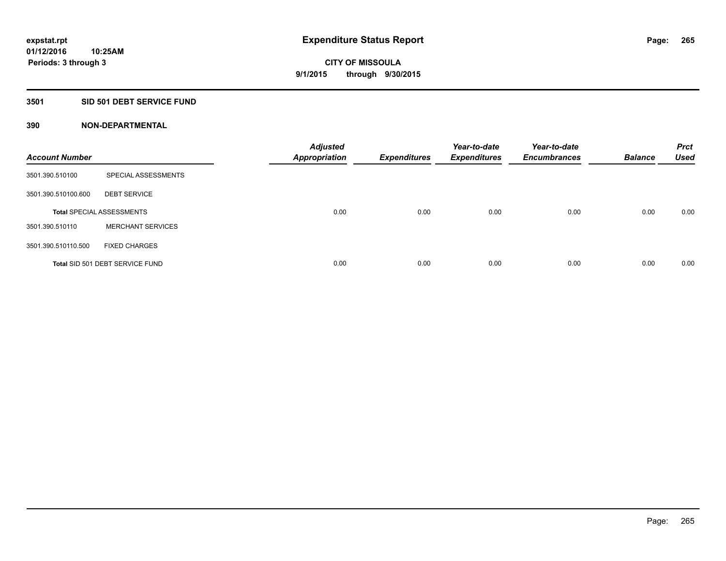# **3501 SID 501 DEBT SERVICE FUND**

| <b>Account Number</b> |                                  | <b>Adjusted</b><br><b>Appropriation</b> | <b>Expenditures</b> | Year-to-date<br><b>Expenditures</b> | Year-to-date<br><b>Encumbrances</b> | <b>Balance</b> | <b>Prct</b><br><b>Used</b> |
|-----------------------|----------------------------------|-----------------------------------------|---------------------|-------------------------------------|-------------------------------------|----------------|----------------------------|
| 3501.390.510100       | SPECIAL ASSESSMENTS              |                                         |                     |                                     |                                     |                |                            |
| 3501.390.510100.600   | <b>DEBT SERVICE</b>              |                                         |                     |                                     |                                     |                |                            |
|                       | <b>Total SPECIAL ASSESSMENTS</b> | 0.00                                    | 0.00                | 0.00                                | 0.00                                | 0.00           | 0.00                       |
| 3501.390.510110       | <b>MERCHANT SERVICES</b>         |                                         |                     |                                     |                                     |                |                            |
| 3501.390.510110.500   | <b>FIXED CHARGES</b>             |                                         |                     |                                     |                                     |                |                            |
|                       | Total SID 501 DEBT SERVICE FUND  | 0.00                                    | 0.00                | 0.00                                | 0.00                                | 0.00           | 0.00                       |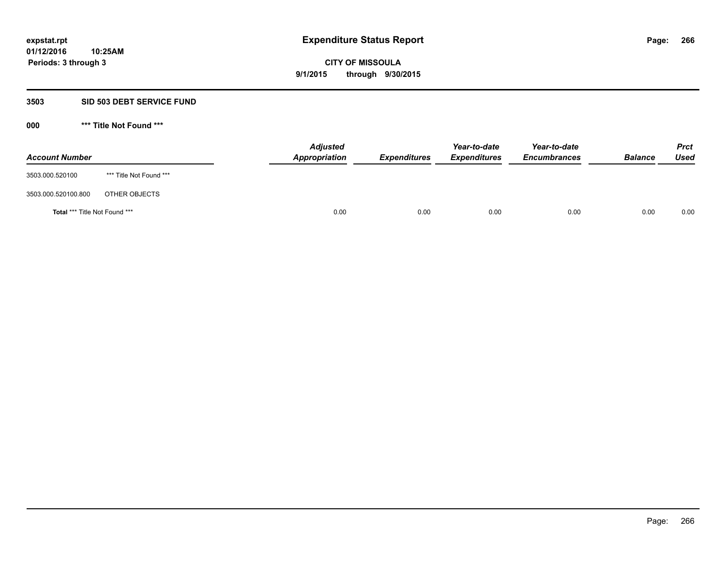## **3503 SID 503 DEBT SERVICE FUND**

| <b>Account Number</b>         |                         | <b>Adjusted</b><br>Appropriation | <b>Expenditures</b> | Year-to-date<br><b>Expenditures</b> | Year-to-date<br><b>Encumbrances</b> | <b>Balance</b> | <b>Prct</b><br><b>Used</b> |
|-------------------------------|-------------------------|----------------------------------|---------------------|-------------------------------------|-------------------------------------|----------------|----------------------------|
| 3503.000.520100               | *** Title Not Found *** |                                  |                     |                                     |                                     |                |                            |
| 3503.000.520100.800           | OTHER OBJECTS           |                                  |                     |                                     |                                     |                |                            |
| Total *** Title Not Found *** |                         | 0.00                             | 0.00                | 0.00                                | 0.00                                | 0.00           | 0.00                       |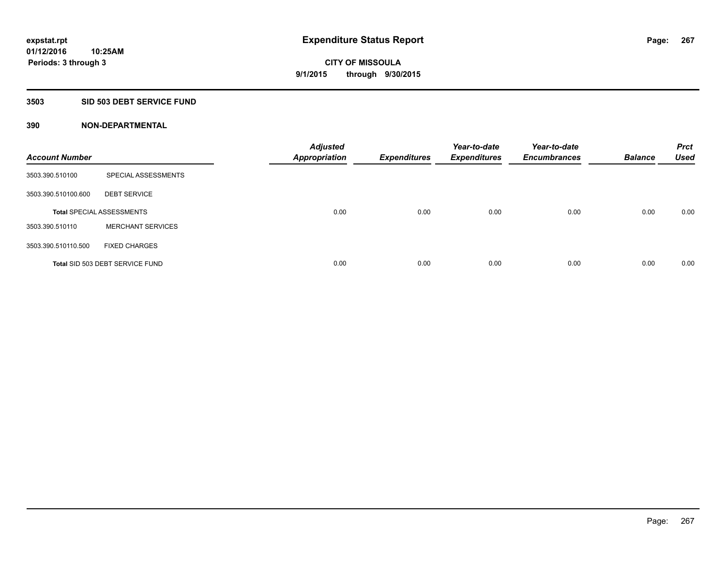# **3503 SID 503 DEBT SERVICE FUND**

| <b>Account Number</b> |                                  | <b>Adjusted</b><br><b>Appropriation</b> | <b>Expenditures</b> | Year-to-date<br><b>Expenditures</b> | Year-to-date<br><b>Encumbrances</b> | <b>Balance</b> | <b>Prct</b><br><b>Used</b> |
|-----------------------|----------------------------------|-----------------------------------------|---------------------|-------------------------------------|-------------------------------------|----------------|----------------------------|
| 3503.390.510100       | SPECIAL ASSESSMENTS              |                                         |                     |                                     |                                     |                |                            |
| 3503.390.510100.600   | <b>DEBT SERVICE</b>              |                                         |                     |                                     |                                     |                |                            |
|                       | <b>Total SPECIAL ASSESSMENTS</b> | 0.00                                    | 0.00                | 0.00                                | 0.00                                | 0.00           | 0.00                       |
| 3503.390.510110       | <b>MERCHANT SERVICES</b>         |                                         |                     |                                     |                                     |                |                            |
| 3503.390.510110.500   | <b>FIXED CHARGES</b>             |                                         |                     |                                     |                                     |                |                            |
|                       | Total SID 503 DEBT SERVICE FUND  | 0.00                                    | 0.00                | 0.00                                | 0.00                                | 0.00           | 0.00                       |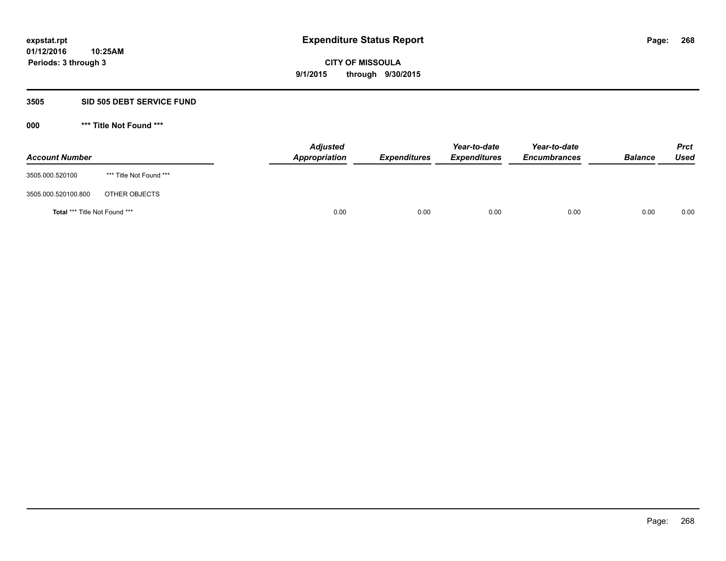## **3505 SID 505 DEBT SERVICE FUND**

| <b>Account Number</b>                |                         | <b>Adjusted</b><br>Appropriation | <b>Expenditures</b> | Year-to-date<br><b>Expenditures</b> | Year-to-date<br><b>Encumbrances</b> | <b>Balance</b> | <b>Prct</b><br><b>Used</b> |
|--------------------------------------|-------------------------|----------------------------------|---------------------|-------------------------------------|-------------------------------------|----------------|----------------------------|
| 3505.000.520100                      | *** Title Not Found *** |                                  |                     |                                     |                                     |                |                            |
| 3505.000.520100.800                  | OTHER OBJECTS           |                                  |                     |                                     |                                     |                |                            |
| <b>Total *** Title Not Found ***</b> |                         | 0.00                             | 0.00                | 0.00                                | 0.00                                | 0.00           | 0.00                       |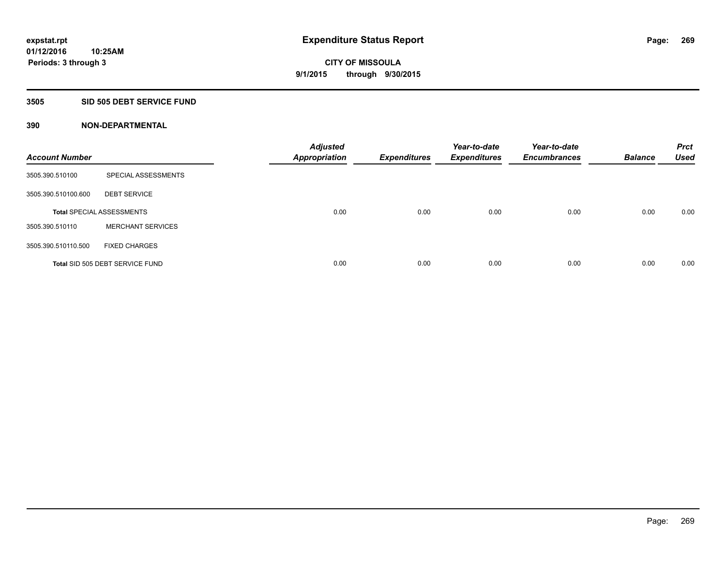## **3505 SID 505 DEBT SERVICE FUND**

| <b>Account Number</b> |                                  | <b>Adjusted</b><br><b>Appropriation</b> | <b>Expenditures</b> | Year-to-date<br><b>Expenditures</b> | Year-to-date<br><b>Encumbrances</b> | <b>Balance</b> | <b>Prct</b><br><b>Used</b> |
|-----------------------|----------------------------------|-----------------------------------------|---------------------|-------------------------------------|-------------------------------------|----------------|----------------------------|
| 3505.390.510100       | SPECIAL ASSESSMENTS              |                                         |                     |                                     |                                     |                |                            |
| 3505.390.510100.600   | <b>DEBT SERVICE</b>              |                                         |                     |                                     |                                     |                |                            |
|                       | <b>Total SPECIAL ASSESSMENTS</b> | 0.00                                    | 0.00                | 0.00                                | 0.00                                | 0.00           | 0.00                       |
| 3505.390.510110       | <b>MERCHANT SERVICES</b>         |                                         |                     |                                     |                                     |                |                            |
| 3505.390.510110.500   | <b>FIXED CHARGES</b>             |                                         |                     |                                     |                                     |                |                            |
|                       | Total SID 505 DEBT SERVICE FUND  | 0.00                                    | 0.00                | 0.00                                | 0.00                                | 0.00           | 0.00                       |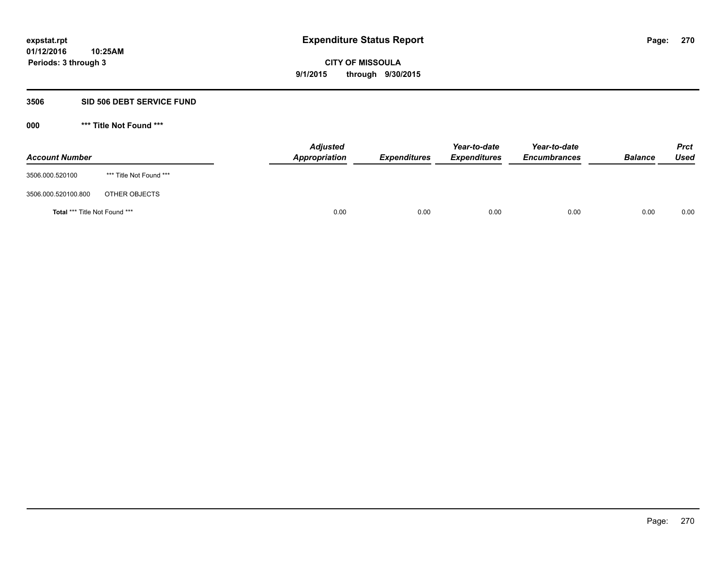## **3506 SID 506 DEBT SERVICE FUND**

| <b>Account Number</b>                |                         | <b>Adjusted</b><br>Appropriation | <b>Expenditures</b> | Year-to-date<br><b>Expenditures</b> | Year-to-date<br><b>Encumbrances</b> | <b>Balance</b> | <b>Prct</b><br><b>Used</b> |
|--------------------------------------|-------------------------|----------------------------------|---------------------|-------------------------------------|-------------------------------------|----------------|----------------------------|
| 3506.000.520100                      | *** Title Not Found *** |                                  |                     |                                     |                                     |                |                            |
| 3506.000.520100.800                  | OTHER OBJECTS           |                                  |                     |                                     |                                     |                |                            |
| <b>Total *** Title Not Found ***</b> |                         | 0.00                             | 0.00                | 0.00                                | 0.00                                | 0.00           | 0.00                       |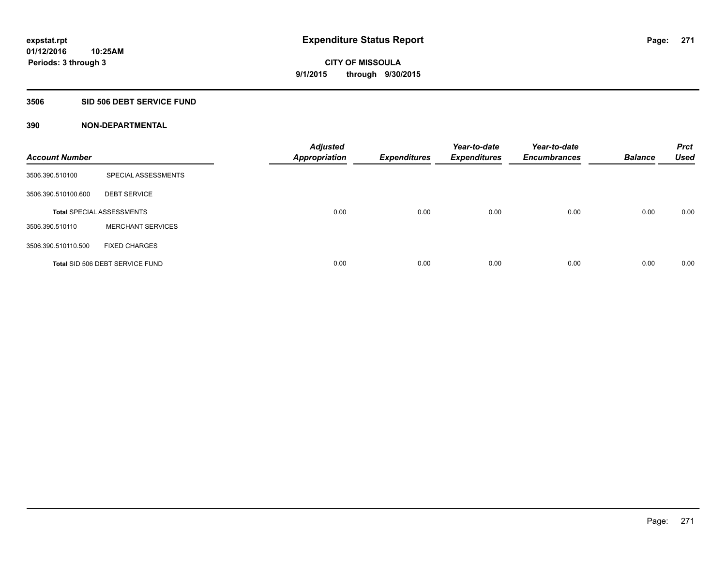## **3506 SID 506 DEBT SERVICE FUND**

| <b>Account Number</b> |                                  | <b>Adjusted</b><br><b>Appropriation</b> | <b>Expenditures</b> | Year-to-date<br><b>Expenditures</b> | Year-to-date<br><b>Encumbrances</b> | <b>Balance</b> | <b>Prct</b><br><b>Used</b> |
|-----------------------|----------------------------------|-----------------------------------------|---------------------|-------------------------------------|-------------------------------------|----------------|----------------------------|
| 3506.390.510100       | SPECIAL ASSESSMENTS              |                                         |                     |                                     |                                     |                |                            |
| 3506.390.510100.600   | <b>DEBT SERVICE</b>              |                                         |                     |                                     |                                     |                |                            |
|                       | <b>Total SPECIAL ASSESSMENTS</b> | 0.00                                    | 0.00                | 0.00                                | 0.00                                | 0.00           | 0.00                       |
| 3506.390.510110       | <b>MERCHANT SERVICES</b>         |                                         |                     |                                     |                                     |                |                            |
| 3506.390.510110.500   | <b>FIXED CHARGES</b>             |                                         |                     |                                     |                                     |                |                            |
|                       | Total SID 506 DEBT SERVICE FUND  | 0.00                                    | 0.00                | 0.00                                | 0.00                                | 0.00           | 0.00                       |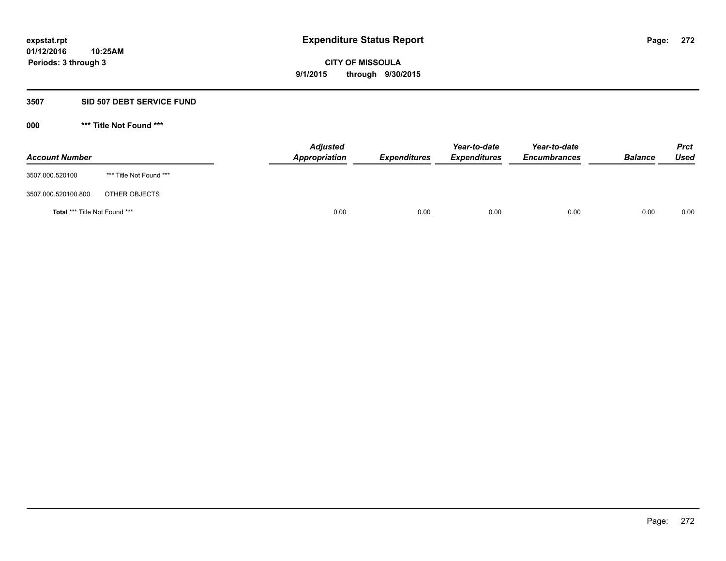### **3507 SID 507 DEBT SERVICE FUND**

| <b>Account Number</b>         |                         | <b>Adjusted</b><br>Appropriation | <b>Expenditures</b> | Year-to-date<br><b>Expenditures</b> | Year-to-date<br><b>Encumbrances</b> | <b>Balance</b> | <b>Prct</b><br><b>Used</b> |
|-------------------------------|-------------------------|----------------------------------|---------------------|-------------------------------------|-------------------------------------|----------------|----------------------------|
| 3507.000.520100               | *** Title Not Found *** |                                  |                     |                                     |                                     |                |                            |
| 3507.000.520100.800           | OTHER OBJECTS           |                                  |                     |                                     |                                     |                |                            |
| Total *** Title Not Found *** |                         | 0.00                             | 0.00                | 0.00                                | 0.00                                | 0.00           | 0.00                       |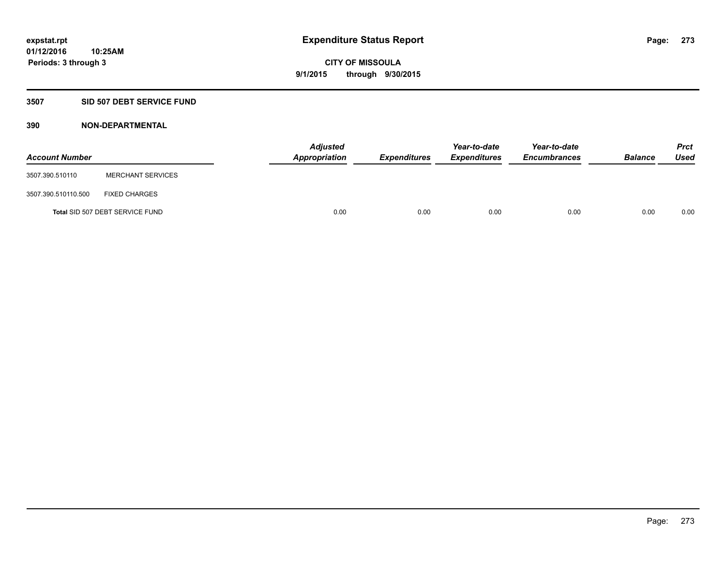# **3507 SID 507 DEBT SERVICE FUND**

| <b>Account Number</b> |                                 | <b>Adjusted</b><br><b>Appropriation</b> | <b>Expenditures</b> | Year-to-date<br><b>Expenditures</b> | Year-to-date<br><b>Encumbrances</b> | <b>Balance</b> | <b>Prct</b><br><b>Used</b> |
|-----------------------|---------------------------------|-----------------------------------------|---------------------|-------------------------------------|-------------------------------------|----------------|----------------------------|
| 3507.390.510110       | <b>MERCHANT SERVICES</b>        |                                         |                     |                                     |                                     |                |                            |
| 3507.390.510110.500   | <b>FIXED CHARGES</b>            |                                         |                     |                                     |                                     |                |                            |
|                       | Total SID 507 DEBT SERVICE FUND | 0.00                                    | 0.00                | 0.00                                | 0.00                                | 0.00           | 0.00                       |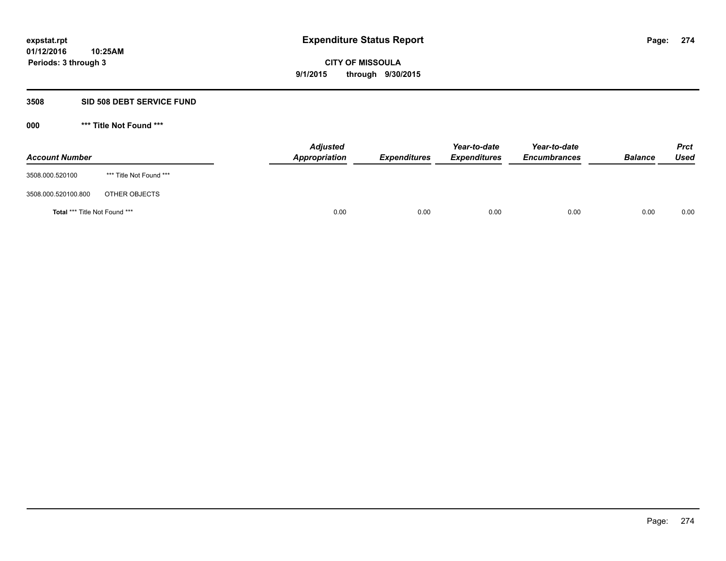## **3508 SID 508 DEBT SERVICE FUND**

| <b>Account Number</b>         |                         | <b>Adjusted</b><br>Appropriation | <b>Expenditures</b> | Year-to-date<br><b>Expenditures</b> | Year-to-date<br><b>Encumbrances</b> | <b>Balance</b> | <b>Prct</b><br><b>Used</b> |
|-------------------------------|-------------------------|----------------------------------|---------------------|-------------------------------------|-------------------------------------|----------------|----------------------------|
| 3508.000.520100               | *** Title Not Found *** |                                  |                     |                                     |                                     |                |                            |
| 3508.000.520100.800           | OTHER OBJECTS           |                                  |                     |                                     |                                     |                |                            |
| Total *** Title Not Found *** |                         | 0.00                             | 0.00                | 0.00                                | 0.00                                | 0.00           | 0.00                       |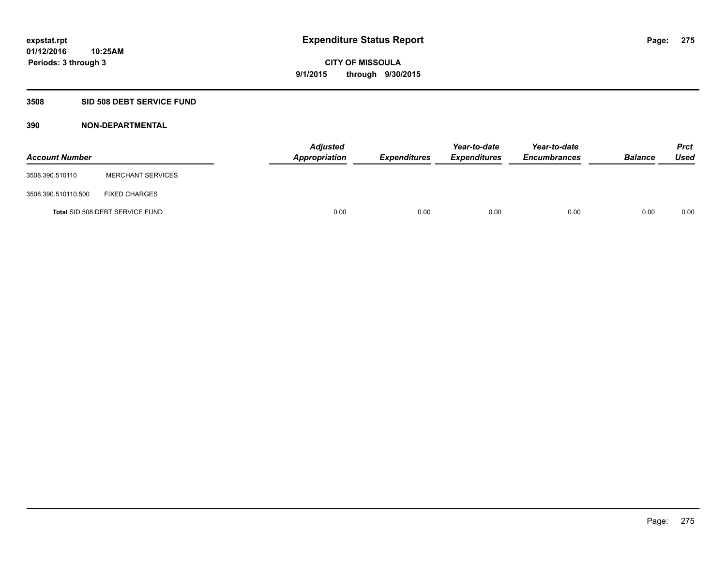## **3508 SID 508 DEBT SERVICE FUND**

| <b>Account Number</b> |                                 | <b>Adjusted</b><br>Appropriation | <b>Expenditures</b> | Year-to-date<br><b>Expenditures</b> | Year-to-date<br><b>Encumbrances</b> | <b>Balance</b> | <b>Prct</b><br><b>Used</b> |
|-----------------------|---------------------------------|----------------------------------|---------------------|-------------------------------------|-------------------------------------|----------------|----------------------------|
| 3508.390.510110       | <b>MERCHANT SERVICES</b>        |                                  |                     |                                     |                                     |                |                            |
| 3508.390.510110.500   | <b>FIXED CHARGES</b>            |                                  |                     |                                     |                                     |                |                            |
|                       | Total SID 508 DEBT SERVICE FUND | 0.00                             | 0.00                | 0.00                                | 0.00                                | 0.00           | 0.00                       |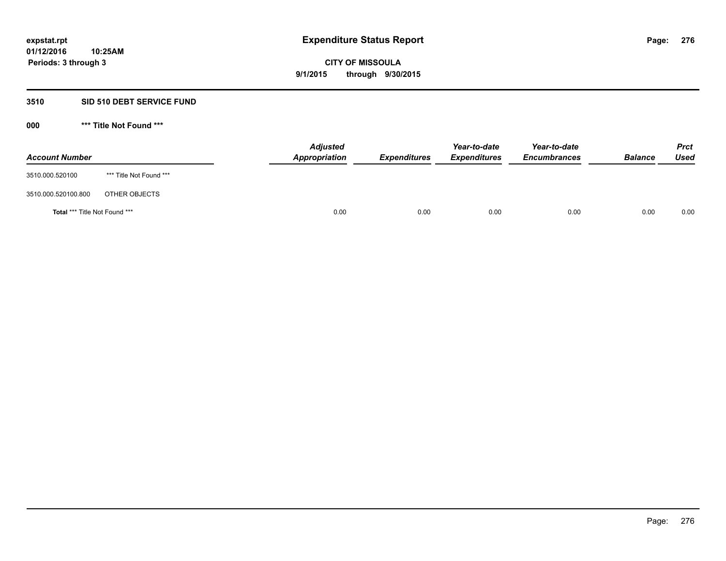## **3510 SID 510 DEBT SERVICE FUND**

| <b>Account Number</b>                |                         | <b>Adjusted</b><br><b>Appropriation</b> | <b>Expenditures</b> | Year-to-date<br><b>Expenditures</b> | Year-to-date<br><b>Encumbrances</b> | <b>Balance</b> | <b>Prct</b><br><b>Used</b> |
|--------------------------------------|-------------------------|-----------------------------------------|---------------------|-------------------------------------|-------------------------------------|----------------|----------------------------|
| 3510.000.520100                      | *** Title Not Found *** |                                         |                     |                                     |                                     |                |                            |
| 3510.000.520100.800                  | OTHER OBJECTS           |                                         |                     |                                     |                                     |                |                            |
| <b>Total *** Title Not Found ***</b> |                         | 0.00                                    | 0.00                | 0.00                                | 0.00                                | 0.00           | 0.00                       |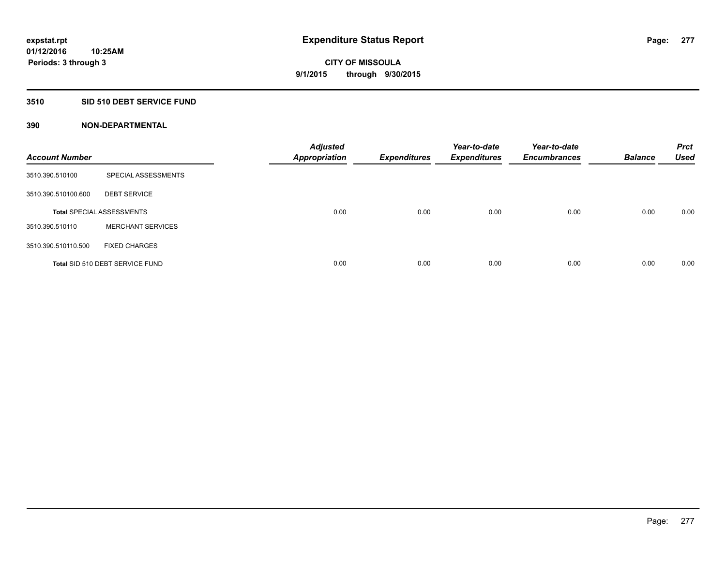## **3510 SID 510 DEBT SERVICE FUND**

| <b>Account Number</b> |                                  | <b>Adjusted</b><br><b>Appropriation</b> | <b>Expenditures</b> | Year-to-date<br><b>Expenditures</b> | Year-to-date<br><b>Encumbrances</b> | <b>Balance</b> | <b>Prct</b><br><b>Used</b> |
|-----------------------|----------------------------------|-----------------------------------------|---------------------|-------------------------------------|-------------------------------------|----------------|----------------------------|
| 3510.390.510100       | SPECIAL ASSESSMENTS              |                                         |                     |                                     |                                     |                |                            |
| 3510.390.510100.600   | <b>DEBT SERVICE</b>              |                                         |                     |                                     |                                     |                |                            |
|                       | <b>Total SPECIAL ASSESSMENTS</b> | 0.00                                    | 0.00                | 0.00                                | 0.00                                | 0.00           | 0.00                       |
| 3510.390.510110       | <b>MERCHANT SERVICES</b>         |                                         |                     |                                     |                                     |                |                            |
| 3510.390.510110.500   | <b>FIXED CHARGES</b>             |                                         |                     |                                     |                                     |                |                            |
|                       | Total SID 510 DEBT SERVICE FUND  | 0.00                                    | 0.00                | 0.00                                | 0.00                                | 0.00           | 0.00                       |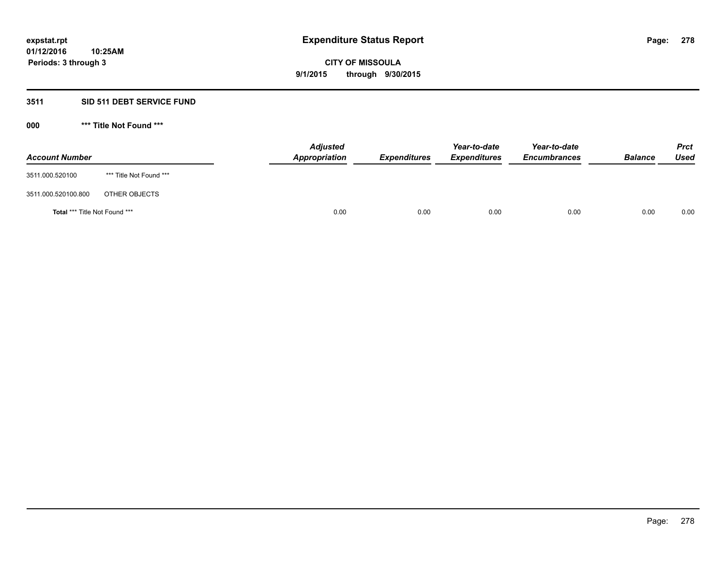# **3511 SID 511 DEBT SERVICE FUND**

| <b>Account Number</b>                |                         | <b>Adjusted</b><br><b>Appropriation</b> | <b>Expenditures</b> | Year-to-date<br><b>Expenditures</b> | Year-to-date<br><b>Encumbrances</b> | <b>Balance</b> | <b>Prct</b><br><b>Used</b> |
|--------------------------------------|-------------------------|-----------------------------------------|---------------------|-------------------------------------|-------------------------------------|----------------|----------------------------|
| 3511.000.520100                      | *** Title Not Found *** |                                         |                     |                                     |                                     |                |                            |
| 3511.000.520100.800                  | OTHER OBJECTS           |                                         |                     |                                     |                                     |                |                            |
| <b>Total *** Title Not Found ***</b> |                         | 0.00                                    | 0.00                | 0.00                                | 0.00                                | 0.00           | 0.00                       |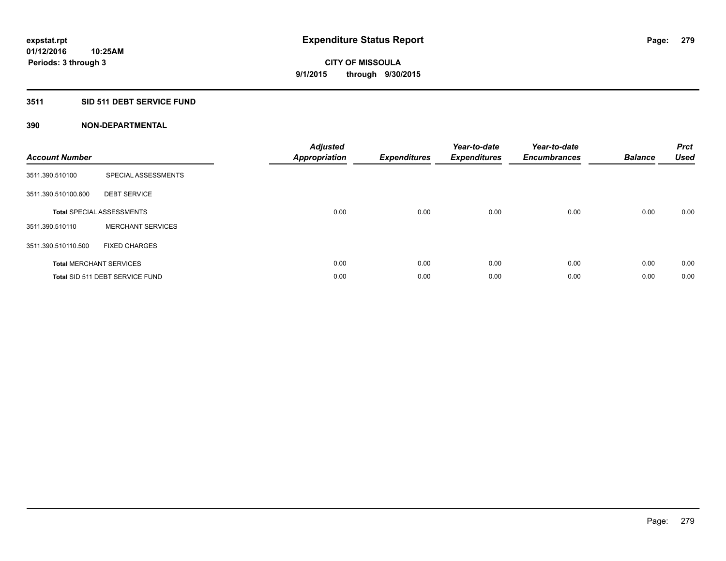# **3511 SID 511 DEBT SERVICE FUND**

| <b>Account Number</b> |                                  | <b>Adjusted</b><br>Appropriation | <b>Expenditures</b> | Year-to-date<br><b>Expenditures</b> | Year-to-date<br><b>Encumbrances</b> | <b>Balance</b> | <b>Prct</b><br><b>Used</b> |
|-----------------------|----------------------------------|----------------------------------|---------------------|-------------------------------------|-------------------------------------|----------------|----------------------------|
| 3511.390.510100       | SPECIAL ASSESSMENTS              |                                  |                     |                                     |                                     |                |                            |
| 3511.390.510100.600   | <b>DEBT SERVICE</b>              |                                  |                     |                                     |                                     |                |                            |
|                       | <b>Total SPECIAL ASSESSMENTS</b> | 0.00                             | 0.00                | 0.00                                | 0.00                                | 0.00           | 0.00                       |
| 3511.390.510110       | <b>MERCHANT SERVICES</b>         |                                  |                     |                                     |                                     |                |                            |
| 3511.390.510110.500   | <b>FIXED CHARGES</b>             |                                  |                     |                                     |                                     |                |                            |
|                       | <b>Total MERCHANT SERVICES</b>   | 0.00                             | 0.00                | 0.00                                | 0.00                                | 0.00           | 0.00                       |
|                       | Total SID 511 DEBT SERVICE FUND  | 0.00                             | 0.00                | 0.00                                | 0.00                                | 0.00           | 0.00                       |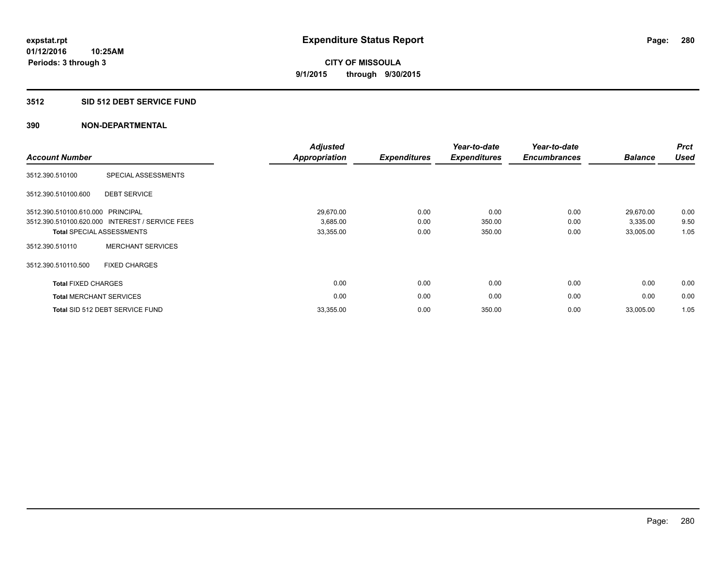## **3512 SID 512 DEBT SERVICE FUND**

| <b>Account Number</b>             |                                                 | <b>Adjusted</b><br><b>Appropriation</b> | <b>Expenditures</b> | Year-to-date<br><b>Expenditures</b> | Year-to-date<br><b>Encumbrances</b> | <b>Balance</b> | <b>Prct</b><br><b>Used</b> |
|-----------------------------------|-------------------------------------------------|-----------------------------------------|---------------------|-------------------------------------|-------------------------------------|----------------|----------------------------|
| 3512.390.510100                   | SPECIAL ASSESSMENTS                             |                                         |                     |                                     |                                     |                |                            |
| 3512.390.510100.600               | <b>DEBT SERVICE</b>                             |                                         |                     |                                     |                                     |                |                            |
| 3512.390.510100.610.000 PRINCIPAL |                                                 | 29,670.00                               | 0.00                | 0.00                                | 0.00                                | 29,670.00      | 0.00                       |
|                                   | 3512.390.510100.620.000 INTEREST / SERVICE FEES | 3,685.00                                | 0.00                | 350.00                              | 0.00                                | 3,335.00       | 9.50                       |
|                                   | <b>Total SPECIAL ASSESSMENTS</b>                | 33,355.00                               | 0.00                | 350.00                              | 0.00                                | 33,005.00      | 1.05                       |
| 3512.390.510110                   | <b>MERCHANT SERVICES</b>                        |                                         |                     |                                     |                                     |                |                            |
| 3512.390.510110.500               | <b>FIXED CHARGES</b>                            |                                         |                     |                                     |                                     |                |                            |
| <b>Total FIXED CHARGES</b>        |                                                 | 0.00                                    | 0.00                | 0.00                                | 0.00                                | 0.00           | 0.00                       |
|                                   | <b>Total MERCHANT SERVICES</b>                  | 0.00                                    | 0.00                | 0.00                                | 0.00                                | 0.00           | 0.00                       |
|                                   | Total SID 512 DEBT SERVICE FUND                 | 33,355.00                               | 0.00                | 350.00                              | 0.00                                | 33,005.00      | 1.05                       |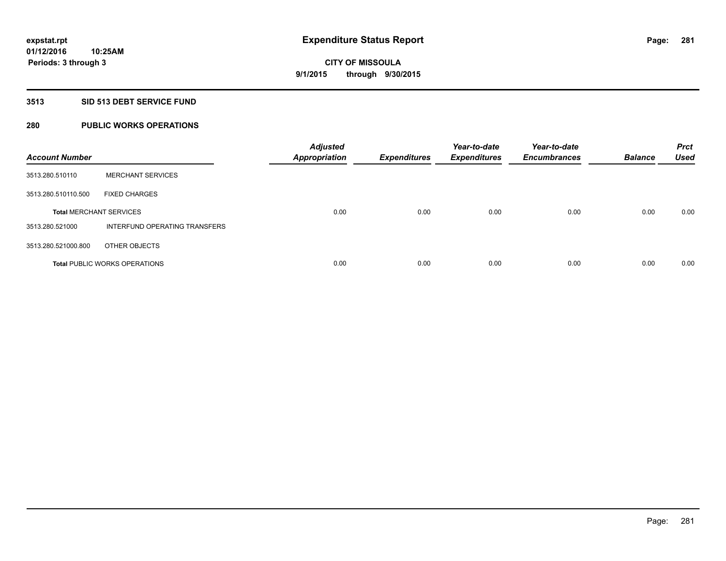## **3513 SID 513 DEBT SERVICE FUND**

# **280 PUBLIC WORKS OPERATIONS**

| <b>Account Number</b>          |                                      | <b>Adjusted</b><br><b>Appropriation</b> | <b>Expenditures</b> | Year-to-date<br><b>Expenditures</b> | Year-to-date<br><b>Encumbrances</b> | <b>Balance</b> | <b>Prct</b><br><b>Used</b> |
|--------------------------------|--------------------------------------|-----------------------------------------|---------------------|-------------------------------------|-------------------------------------|----------------|----------------------------|
| 3513.280.510110                | <b>MERCHANT SERVICES</b>             |                                         |                     |                                     |                                     |                |                            |
| 3513.280.510110.500            | <b>FIXED CHARGES</b>                 |                                         |                     |                                     |                                     |                |                            |
| <b>Total MERCHANT SERVICES</b> |                                      | 0.00                                    | 0.00                | 0.00                                | 0.00                                | 0.00           | 0.00                       |
| 3513.280.521000                | INTERFUND OPERATING TRANSFERS        |                                         |                     |                                     |                                     |                |                            |
| 3513.280.521000.800            | OTHER OBJECTS                        |                                         |                     |                                     |                                     |                |                            |
|                                | <b>Total PUBLIC WORKS OPERATIONS</b> | 0.00                                    | 0.00                | 0.00                                | 0.00                                | 0.00           | 0.00                       |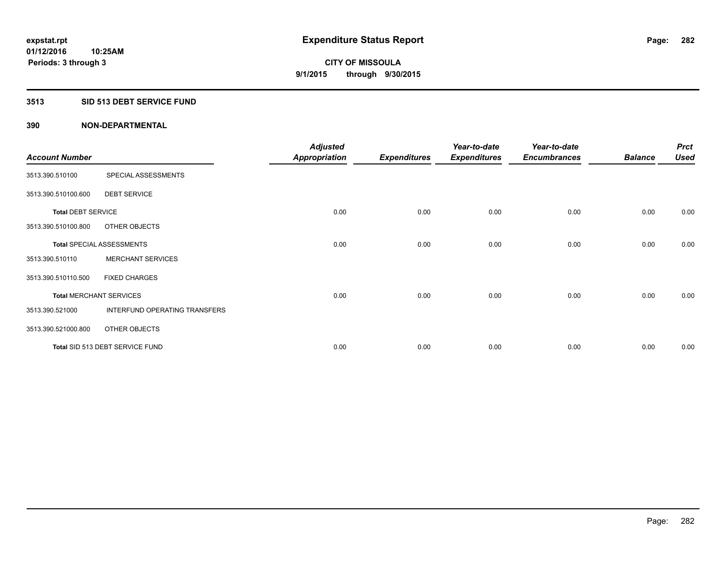## **3513 SID 513 DEBT SERVICE FUND**

|                                |                                  | <b>Adjusted</b>      |                     | Year-to-date        | Year-to-date        |                | <b>Prct</b> |
|--------------------------------|----------------------------------|----------------------|---------------------|---------------------|---------------------|----------------|-------------|
| <b>Account Number</b>          |                                  | <b>Appropriation</b> | <b>Expenditures</b> | <b>Expenditures</b> | <b>Encumbrances</b> | <b>Balance</b> | <b>Used</b> |
| 3513.390.510100                | SPECIAL ASSESSMENTS              |                      |                     |                     |                     |                |             |
| 3513.390.510100.600            | <b>DEBT SERVICE</b>              |                      |                     |                     |                     |                |             |
| <b>Total DEBT SERVICE</b>      |                                  | 0.00                 | 0.00                | 0.00                | 0.00                | 0.00           | 0.00        |
| 3513.390.510100.800            | OTHER OBJECTS                    |                      |                     |                     |                     |                |             |
|                                | <b>Total SPECIAL ASSESSMENTS</b> | 0.00                 | 0.00                | 0.00                | 0.00                | 0.00           | 0.00        |
| 3513.390.510110                | <b>MERCHANT SERVICES</b>         |                      |                     |                     |                     |                |             |
| 3513.390.510110.500            | <b>FIXED CHARGES</b>             |                      |                     |                     |                     |                |             |
| <b>Total MERCHANT SERVICES</b> |                                  | 0.00                 | 0.00                | 0.00                | 0.00                | 0.00           | 0.00        |
| 3513.390.521000                | INTERFUND OPERATING TRANSFERS    |                      |                     |                     |                     |                |             |
| 3513.390.521000.800            | OTHER OBJECTS                    |                      |                     |                     |                     |                |             |
|                                | Total SID 513 DEBT SERVICE FUND  | 0.00                 | 0.00                | 0.00                | 0.00                | 0.00           | 0.00        |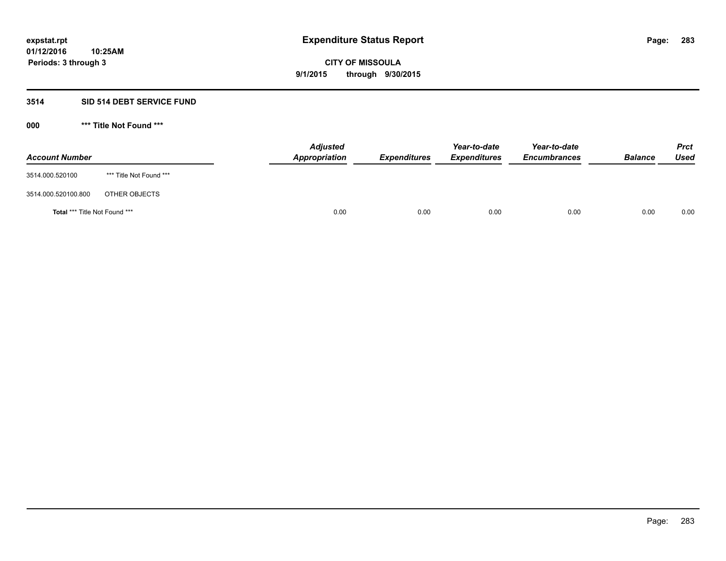## **3514 SID 514 DEBT SERVICE FUND**

| <b>Account Number</b>                |                         | <b>Adjusted</b><br><b>Appropriation</b> | <b>Expenditures</b> | Year-to-date<br><b>Expenditures</b> | Year-to-date<br><b>Encumbrances</b> | <b>Balance</b> | <b>Prct</b><br><b>Used</b> |
|--------------------------------------|-------------------------|-----------------------------------------|---------------------|-------------------------------------|-------------------------------------|----------------|----------------------------|
| 3514.000.520100                      | *** Title Not Found *** |                                         |                     |                                     |                                     |                |                            |
| 3514.000.520100.800                  | OTHER OBJECTS           |                                         |                     |                                     |                                     |                |                            |
| <b>Total *** Title Not Found ***</b> |                         | 0.00                                    | 0.00                | 0.00                                | 0.00                                | 0.00           | 0.00                       |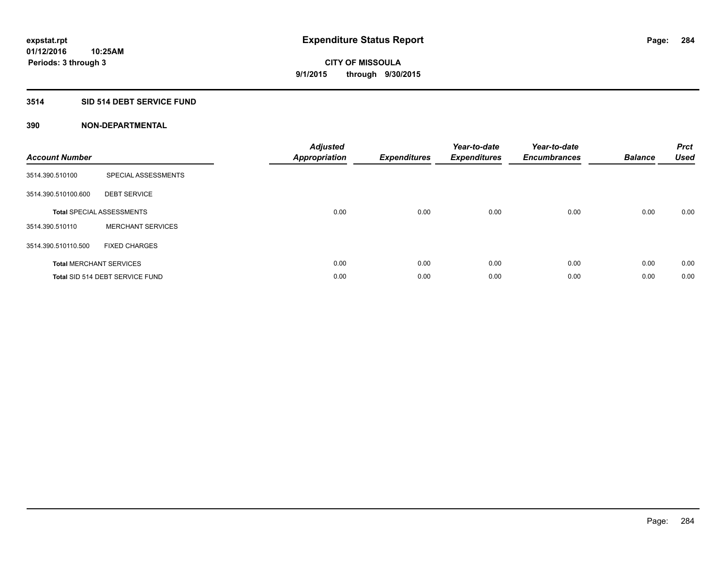# **3514 SID 514 DEBT SERVICE FUND**

| <b>Account Number</b> |                                  | <b>Adjusted</b><br><b>Appropriation</b> | <b>Expenditures</b> | Year-to-date<br><b>Expenditures</b> | Year-to-date<br><b>Encumbrances</b> | <b>Balance</b> | <b>Prct</b><br><b>Used</b> |
|-----------------------|----------------------------------|-----------------------------------------|---------------------|-------------------------------------|-------------------------------------|----------------|----------------------------|
| 3514.390.510100       | SPECIAL ASSESSMENTS              |                                         |                     |                                     |                                     |                |                            |
| 3514.390.510100.600   | <b>DEBT SERVICE</b>              |                                         |                     |                                     |                                     |                |                            |
|                       | <b>Total SPECIAL ASSESSMENTS</b> | 0.00                                    | 0.00                | 0.00                                | 0.00                                | 0.00           | 0.00                       |
| 3514.390.510110       | <b>MERCHANT SERVICES</b>         |                                         |                     |                                     |                                     |                |                            |
| 3514.390.510110.500   | <b>FIXED CHARGES</b>             |                                         |                     |                                     |                                     |                |                            |
|                       | <b>Total MERCHANT SERVICES</b>   | 0.00                                    | 0.00                | 0.00                                | 0.00                                | 0.00           | 0.00                       |
|                       | Total SID 514 DEBT SERVICE FUND  | 0.00                                    | 0.00                | 0.00                                | 0.00                                | 0.00           | 0.00                       |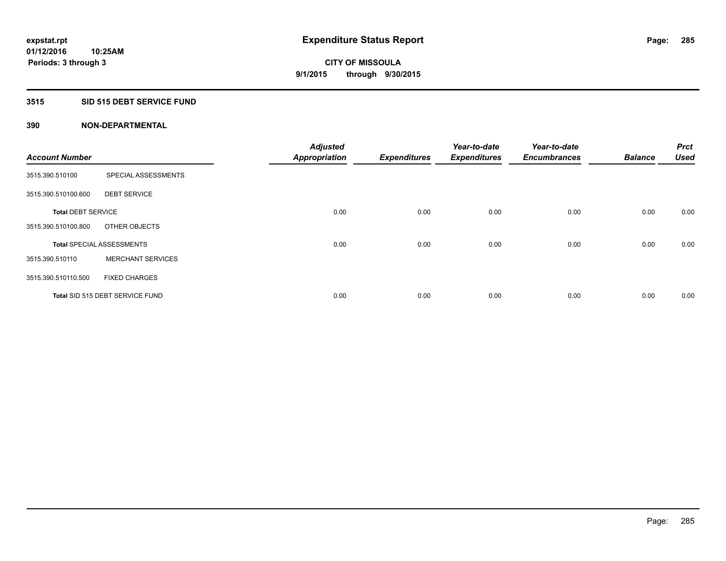# **3515 SID 515 DEBT SERVICE FUND**

| <b>Account Number</b>     |                                  | <b>Adjusted</b><br><b>Appropriation</b> | <b>Expenditures</b> | Year-to-date<br><b>Expenditures</b> | Year-to-date<br><b>Encumbrances</b> | <b>Balance</b> | <b>Prct</b><br><b>Used</b> |
|---------------------------|----------------------------------|-----------------------------------------|---------------------|-------------------------------------|-------------------------------------|----------------|----------------------------|
| 3515.390.510100           | SPECIAL ASSESSMENTS              |                                         |                     |                                     |                                     |                |                            |
| 3515.390.510100.600       | <b>DEBT SERVICE</b>              |                                         |                     |                                     |                                     |                |                            |
| <b>Total DEBT SERVICE</b> |                                  | 0.00                                    | 0.00                | 0.00                                | 0.00                                | 0.00           | 0.00                       |
| 3515.390.510100.800       | OTHER OBJECTS                    |                                         |                     |                                     |                                     |                |                            |
|                           | <b>Total SPECIAL ASSESSMENTS</b> | 0.00                                    | 0.00                | 0.00                                | 0.00                                | 0.00           | 0.00                       |
| 3515.390.510110           | <b>MERCHANT SERVICES</b>         |                                         |                     |                                     |                                     |                |                            |
| 3515.390.510110.500       | <b>FIXED CHARGES</b>             |                                         |                     |                                     |                                     |                |                            |
|                           | Total SID 515 DEBT SERVICE FUND  | 0.00                                    | 0.00                | 0.00                                | 0.00                                | 0.00           | 0.00                       |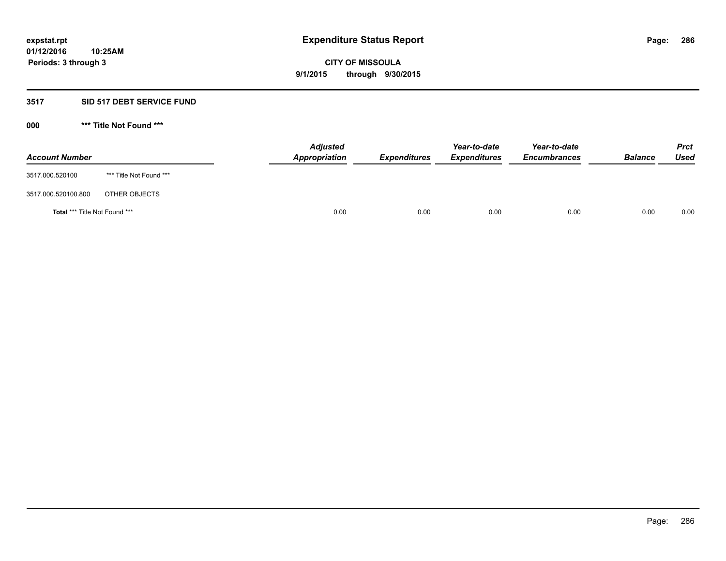# **3517 SID 517 DEBT SERVICE FUND**

| <b>Account Number</b>                |                         | <b>Adjusted</b><br>Appropriation | <b>Expenditures</b> | Year-to-date<br><b>Expenditures</b> | Year-to-date<br><b>Encumbrances</b> | <b>Balance</b> | <b>Prct</b><br>Used |
|--------------------------------------|-------------------------|----------------------------------|---------------------|-------------------------------------|-------------------------------------|----------------|---------------------|
| 3517.000.520100                      | *** Title Not Found *** |                                  |                     |                                     |                                     |                |                     |
| 3517.000.520100.800                  | OTHER OBJECTS           |                                  |                     |                                     |                                     |                |                     |
| <b>Total *** Title Not Found ***</b> |                         | 0.00                             | 0.00                | 0.00                                | 0.00                                | 0.00           | 0.00                |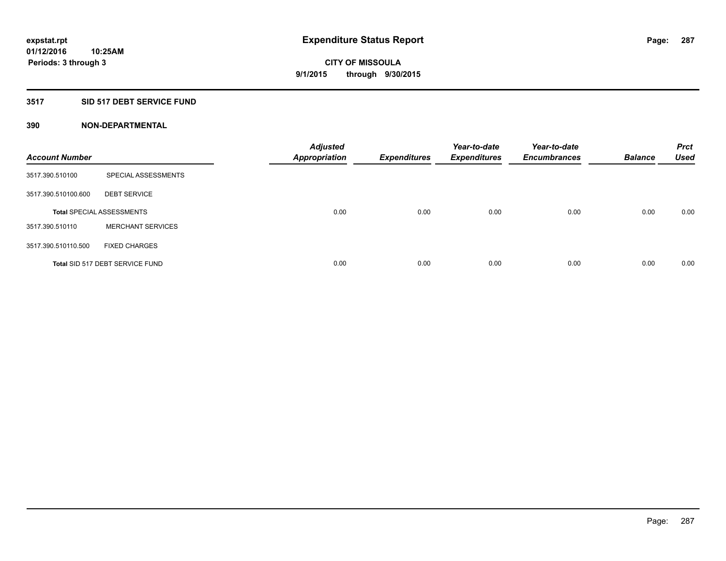# **3517 SID 517 DEBT SERVICE FUND**

| <b>Account Number</b> |                                  | <b>Adjusted</b><br><b>Appropriation</b> | <b>Expenditures</b> | Year-to-date<br><b>Expenditures</b> | Year-to-date<br><b>Encumbrances</b> | <b>Balance</b> | <b>Prct</b><br><b>Used</b> |
|-----------------------|----------------------------------|-----------------------------------------|---------------------|-------------------------------------|-------------------------------------|----------------|----------------------------|
| 3517.390.510100       | SPECIAL ASSESSMENTS              |                                         |                     |                                     |                                     |                |                            |
| 3517.390.510100.600   | <b>DEBT SERVICE</b>              |                                         |                     |                                     |                                     |                |                            |
|                       | <b>Total SPECIAL ASSESSMENTS</b> | 0.00                                    | 0.00                | 0.00                                | 0.00                                | 0.00           | 0.00                       |
| 3517.390.510110       | <b>MERCHANT SERVICES</b>         |                                         |                     |                                     |                                     |                |                            |
| 3517.390.510110.500   | <b>FIXED CHARGES</b>             |                                         |                     |                                     |                                     |                |                            |
|                       | Total SID 517 DEBT SERVICE FUND  | 0.00                                    | 0.00                | 0.00                                | 0.00                                | 0.00           | 0.00                       |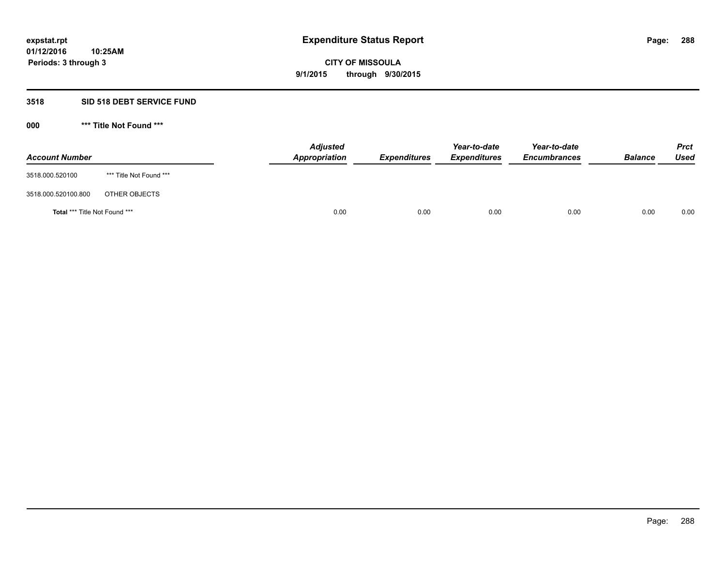## **3518 SID 518 DEBT SERVICE FUND**

| <b>Account Number</b>         |                         | <b>Adjusted</b><br>Appropriation | <b>Expenditures</b> | Year-to-date<br><b>Expenditures</b> | Year-to-date<br><b>Encumbrances</b> | <b>Balance</b> | <b>Prct</b><br><b>Used</b> |
|-------------------------------|-------------------------|----------------------------------|---------------------|-------------------------------------|-------------------------------------|----------------|----------------------------|
| 3518.000.520100               | *** Title Not Found *** |                                  |                     |                                     |                                     |                |                            |
| 3518.000.520100.800           | OTHER OBJECTS           |                                  |                     |                                     |                                     |                |                            |
| Total *** Title Not Found *** |                         | 0.00                             | 0.00                | 0.00                                | 0.00                                | 0.00           | 0.00                       |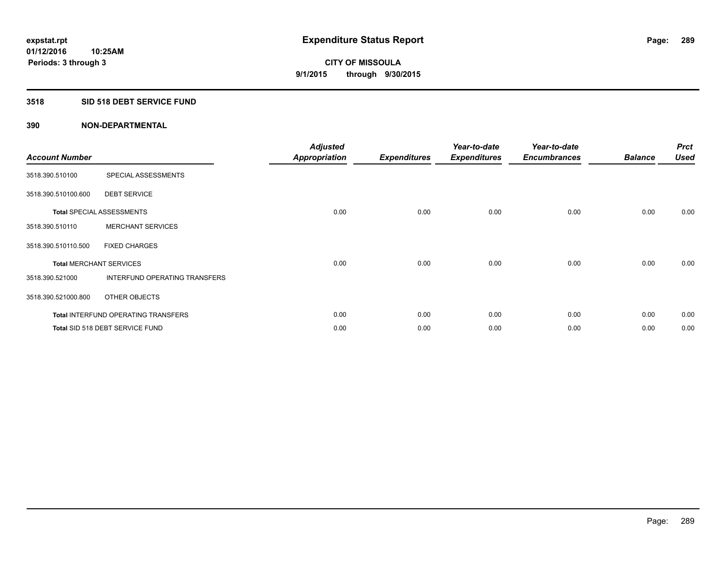#### **3518 SID 518 DEBT SERVICE FUND**

| <b>Account Number</b> |                                            | <b>Adjusted</b><br><b>Appropriation</b> | <b>Expenditures</b> | Year-to-date<br><b>Expenditures</b> | Year-to-date<br><b>Encumbrances</b> | <b>Balance</b> | <b>Prct</b><br><b>Used</b> |
|-----------------------|--------------------------------------------|-----------------------------------------|---------------------|-------------------------------------|-------------------------------------|----------------|----------------------------|
| 3518.390.510100       | SPECIAL ASSESSMENTS                        |                                         |                     |                                     |                                     |                |                            |
| 3518.390.510100.600   | <b>DEBT SERVICE</b>                        |                                         |                     |                                     |                                     |                |                            |
|                       | <b>Total SPECIAL ASSESSMENTS</b>           | 0.00                                    | 0.00                | 0.00                                | 0.00                                | 0.00           | 0.00                       |
| 3518.390.510110       | <b>MERCHANT SERVICES</b>                   |                                         |                     |                                     |                                     |                |                            |
| 3518.390.510110.500   | <b>FIXED CHARGES</b>                       |                                         |                     |                                     |                                     |                |                            |
|                       | <b>Total MERCHANT SERVICES</b>             | 0.00                                    | 0.00                | 0.00                                | 0.00                                | 0.00           | 0.00                       |
| 3518.390.521000       | <b>INTERFUND OPERATING TRANSFERS</b>       |                                         |                     |                                     |                                     |                |                            |
| 3518.390.521000.800   | OTHER OBJECTS                              |                                         |                     |                                     |                                     |                |                            |
|                       | <b>Total INTERFUND OPERATING TRANSFERS</b> | 0.00                                    | 0.00                | 0.00                                | 0.00                                | 0.00           | 0.00                       |
|                       | Total SID 518 DEBT SERVICE FUND            | 0.00                                    | 0.00                | 0.00                                | 0.00                                | 0.00           | 0.00                       |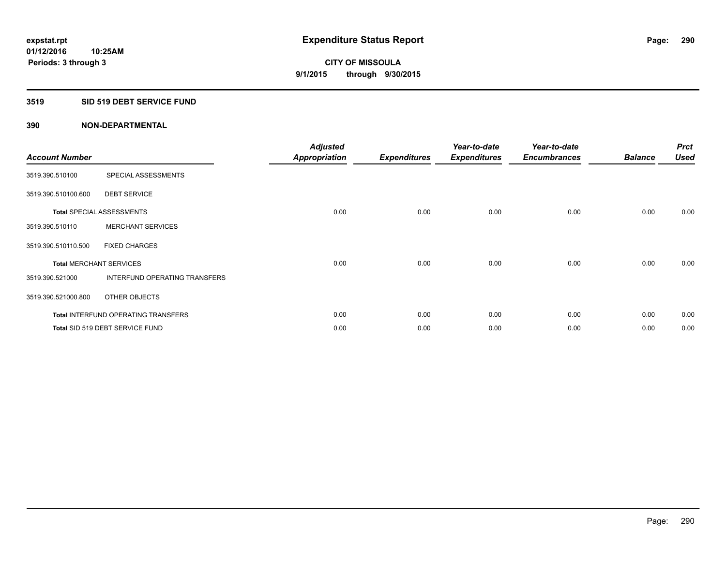#### **3519 SID 519 DEBT SERVICE FUND**

| <b>Account Number</b> |                                            | <b>Adjusted</b><br><b>Appropriation</b> | <b>Expenditures</b> | Year-to-date<br><b>Expenditures</b> | Year-to-date<br><b>Encumbrances</b> | <b>Balance</b> | <b>Prct</b><br><b>Used</b> |
|-----------------------|--------------------------------------------|-----------------------------------------|---------------------|-------------------------------------|-------------------------------------|----------------|----------------------------|
| 3519.390.510100       | SPECIAL ASSESSMENTS                        |                                         |                     |                                     |                                     |                |                            |
| 3519.390.510100.600   | <b>DEBT SERVICE</b>                        |                                         |                     |                                     |                                     |                |                            |
|                       | <b>Total SPECIAL ASSESSMENTS</b>           | 0.00                                    | 0.00                | 0.00                                | 0.00                                | 0.00           | 0.00                       |
| 3519.390.510110       | <b>MERCHANT SERVICES</b>                   |                                         |                     |                                     |                                     |                |                            |
| 3519.390.510110.500   | <b>FIXED CHARGES</b>                       |                                         |                     |                                     |                                     |                |                            |
|                       | <b>Total MERCHANT SERVICES</b>             | 0.00                                    | 0.00                | 0.00                                | 0.00                                | 0.00           | 0.00                       |
| 3519.390.521000       | <b>INTERFUND OPERATING TRANSFERS</b>       |                                         |                     |                                     |                                     |                |                            |
| 3519.390.521000.800   | OTHER OBJECTS                              |                                         |                     |                                     |                                     |                |                            |
|                       | <b>Total INTERFUND OPERATING TRANSFERS</b> | 0.00                                    | 0.00                | 0.00                                | 0.00                                | 0.00           | 0.00                       |
|                       | Total SID 519 DEBT SERVICE FUND            | 0.00                                    | 0.00                | 0.00                                | 0.00                                | 0.00           | 0.00                       |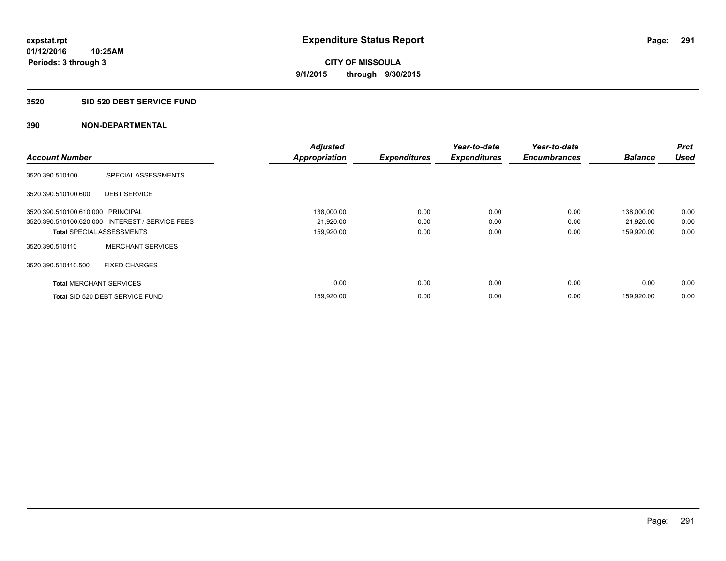#### **3520 SID 520 DEBT SERVICE FUND**

| <b>Account Number</b>             |                                                 | <b>Adjusted</b><br><b>Appropriation</b> | <b>Expenditures</b> | Year-to-date<br><b>Expenditures</b> | Year-to-date<br><b>Encumbrances</b> | <b>Balance</b> | <b>Prct</b><br><b>Used</b> |
|-----------------------------------|-------------------------------------------------|-----------------------------------------|---------------------|-------------------------------------|-------------------------------------|----------------|----------------------------|
|                                   |                                                 |                                         |                     |                                     |                                     |                |                            |
| 3520.390.510100                   | SPECIAL ASSESSMENTS                             |                                         |                     |                                     |                                     |                |                            |
| 3520.390.510100.600               | <b>DEBT SERVICE</b>                             |                                         |                     |                                     |                                     |                |                            |
| 3520.390.510100.610.000 PRINCIPAL |                                                 | 138,000.00                              | 0.00                | 0.00                                | 0.00                                | 138,000.00     | 0.00                       |
|                                   | 3520.390.510100.620.000 INTEREST / SERVICE FEES | 21,920.00                               | 0.00                | 0.00                                | 0.00                                | 21,920.00      | 0.00                       |
| <b>Total SPECIAL ASSESSMENTS</b>  |                                                 | 159,920.00                              | 0.00                | 0.00                                | 0.00                                | 159,920.00     | 0.00                       |
| 3520.390.510110                   | <b>MERCHANT SERVICES</b>                        |                                         |                     |                                     |                                     |                |                            |
| 3520.390.510110.500               | <b>FIXED CHARGES</b>                            |                                         |                     |                                     |                                     |                |                            |
| <b>Total MERCHANT SERVICES</b>    |                                                 | 0.00                                    | 0.00                | 0.00                                | 0.00                                | 0.00           | 0.00                       |
|                                   | Total SID 520 DEBT SERVICE FUND                 | 159,920.00                              | 0.00                | 0.00                                | 0.00                                | 159,920.00     | 0.00                       |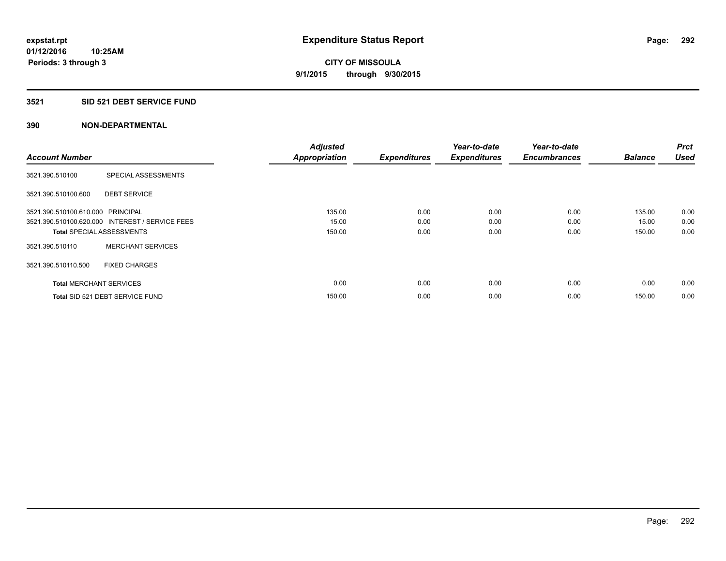#### **3521 SID 521 DEBT SERVICE FUND**

|                                   |                                                 | <b>Adjusted</b>      |                     | Year-to-date        | Year-to-date        |                | <b>Prct</b> |
|-----------------------------------|-------------------------------------------------|----------------------|---------------------|---------------------|---------------------|----------------|-------------|
| <b>Account Number</b>             |                                                 | <b>Appropriation</b> | <b>Expenditures</b> | <b>Expenditures</b> | <b>Encumbrances</b> | <b>Balance</b> | <b>Used</b> |
| 3521.390.510100                   | SPECIAL ASSESSMENTS                             |                      |                     |                     |                     |                |             |
| 3521.390.510100.600               | <b>DEBT SERVICE</b>                             |                      |                     |                     |                     |                |             |
| 3521.390.510100.610.000 PRINCIPAL |                                                 | 135.00               | 0.00                | 0.00                | 0.00                | 135.00         | 0.00        |
|                                   | 3521.390.510100.620.000 INTEREST / SERVICE FEES | 15.00                | 0.00                | 0.00                | 0.00                | 15.00          | 0.00        |
| <b>Total SPECIAL ASSESSMENTS</b>  |                                                 | 150.00               | 0.00                | 0.00                | 0.00                | 150.00         | 0.00        |
| 3521.390.510110                   | <b>MERCHANT SERVICES</b>                        |                      |                     |                     |                     |                |             |
| 3521.390.510110.500               | <b>FIXED CHARGES</b>                            |                      |                     |                     |                     |                |             |
| <b>Total MERCHANT SERVICES</b>    |                                                 | 0.00                 | 0.00                | 0.00                | 0.00                | 0.00           | 0.00        |
|                                   | Total SID 521 DEBT SERVICE FUND                 | 150.00               | 0.00                | 0.00                | 0.00                | 150.00         | 0.00        |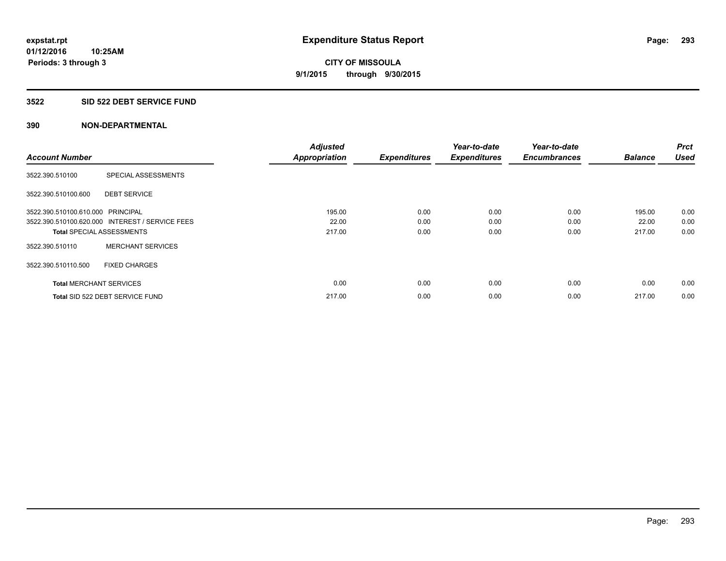#### **3522 SID 522 DEBT SERVICE FUND**

|                                   |                                                 | <b>Adjusted</b>      |                     | Year-to-date        | Year-to-date        |                | <b>Prct</b> |
|-----------------------------------|-------------------------------------------------|----------------------|---------------------|---------------------|---------------------|----------------|-------------|
| <b>Account Number</b>             |                                                 | <b>Appropriation</b> | <b>Expenditures</b> | <b>Expenditures</b> | <b>Encumbrances</b> | <b>Balance</b> | <b>Used</b> |
| 3522.390.510100                   | SPECIAL ASSESSMENTS                             |                      |                     |                     |                     |                |             |
| 3522.390.510100.600               | <b>DEBT SERVICE</b>                             |                      |                     |                     |                     |                |             |
| 3522.390.510100.610.000 PRINCIPAL |                                                 | 195.00               | 0.00                | 0.00                | 0.00                | 195.00         | 0.00        |
|                                   | 3522.390.510100.620.000 INTEREST / SERVICE FEES | 22.00                | 0.00                | 0.00                | 0.00                | 22.00          | 0.00        |
| <b>Total SPECIAL ASSESSMENTS</b>  |                                                 | 217.00               | 0.00                | 0.00                | 0.00                | 217.00         | 0.00        |
| 3522.390.510110                   | <b>MERCHANT SERVICES</b>                        |                      |                     |                     |                     |                |             |
| 3522.390.510110.500               | <b>FIXED CHARGES</b>                            |                      |                     |                     |                     |                |             |
| <b>Total MERCHANT SERVICES</b>    |                                                 | 0.00                 | 0.00                | 0.00                | 0.00                | 0.00           | 0.00        |
|                                   | Total SID 522 DEBT SERVICE FUND                 | 217.00               | 0.00                | 0.00                | 0.00                | 217.00         | 0.00        |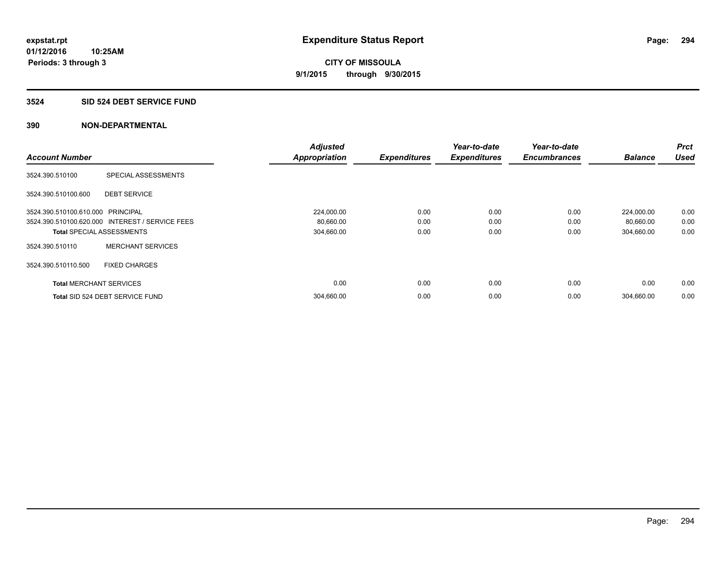#### **3524 SID 524 DEBT SERVICE FUND**

|                                   |                                                 | <b>Adjusted</b>      |                     | Year-to-date        | Year-to-date        |                | <b>Prct</b> |
|-----------------------------------|-------------------------------------------------|----------------------|---------------------|---------------------|---------------------|----------------|-------------|
| <b>Account Number</b>             |                                                 | <b>Appropriation</b> | <b>Expenditures</b> | <b>Expenditures</b> | <b>Encumbrances</b> | <b>Balance</b> | <b>Used</b> |
| 3524.390.510100                   | SPECIAL ASSESSMENTS                             |                      |                     |                     |                     |                |             |
| 3524.390.510100.600               | <b>DEBT SERVICE</b>                             |                      |                     |                     |                     |                |             |
| 3524.390.510100.610.000 PRINCIPAL |                                                 | 224,000.00           | 0.00                | 0.00                | 0.00                | 224,000.00     | 0.00        |
|                                   | 3524.390.510100.620.000 INTEREST / SERVICE FEES | 80,660.00            | 0.00                | 0.00                | 0.00                | 80,660.00      | 0.00        |
| <b>Total SPECIAL ASSESSMENTS</b>  |                                                 | 304,660.00           | 0.00                | 0.00                | 0.00                | 304,660.00     | 0.00        |
| 3524.390.510110                   | <b>MERCHANT SERVICES</b>                        |                      |                     |                     |                     |                |             |
| 3524.390.510110.500               | <b>FIXED CHARGES</b>                            |                      |                     |                     |                     |                |             |
| <b>Total MERCHANT SERVICES</b>    |                                                 | 0.00                 | 0.00                | 0.00                | 0.00                | 0.00           | 0.00        |
|                                   | Total SID 524 DEBT SERVICE FUND                 | 304,660.00           | 0.00                | 0.00                | 0.00                | 304,660.00     | 0.00        |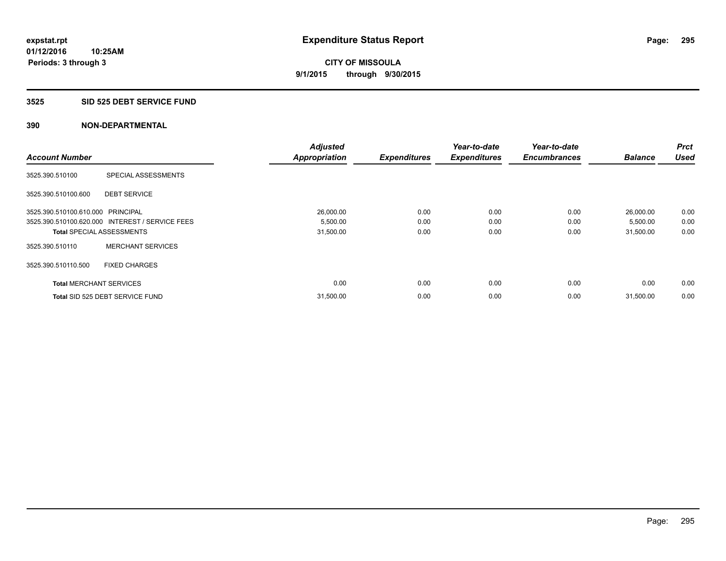#### **3525 SID 525 DEBT SERVICE FUND**

|                                   |                                                 | <b>Adjusted</b>      |                     | Year-to-date        | Year-to-date        |                | Prct        |
|-----------------------------------|-------------------------------------------------|----------------------|---------------------|---------------------|---------------------|----------------|-------------|
| <b>Account Number</b>             |                                                 | <b>Appropriation</b> | <b>Expenditures</b> | <b>Expenditures</b> | <b>Encumbrances</b> | <b>Balance</b> | <b>Used</b> |
| 3525.390.510100                   | SPECIAL ASSESSMENTS                             |                      |                     |                     |                     |                |             |
| 3525.390.510100.600               | <b>DEBT SERVICE</b>                             |                      |                     |                     |                     |                |             |
| 3525.390.510100.610.000 PRINCIPAL |                                                 | 26,000.00            | 0.00                | 0.00                | 0.00                | 26,000.00      | 0.00        |
|                                   | 3525.390.510100.620.000 INTEREST / SERVICE FEES | 5,500.00             | 0.00                | 0.00                | 0.00                | 5,500.00       | 0.00        |
| <b>Total SPECIAL ASSESSMENTS</b>  |                                                 | 31,500.00            | 0.00                | 0.00                | 0.00                | 31,500.00      | 0.00        |
| 3525.390.510110                   | <b>MERCHANT SERVICES</b>                        |                      |                     |                     |                     |                |             |
| 3525.390.510110.500               | <b>FIXED CHARGES</b>                            |                      |                     |                     |                     |                |             |
| <b>Total MERCHANT SERVICES</b>    |                                                 | 0.00                 | 0.00                | 0.00                | 0.00                | 0.00           | 0.00        |
|                                   | Total SID 525 DEBT SERVICE FUND                 | 31,500.00            | 0.00                | 0.00                | 0.00                | 31,500.00      | 0.00        |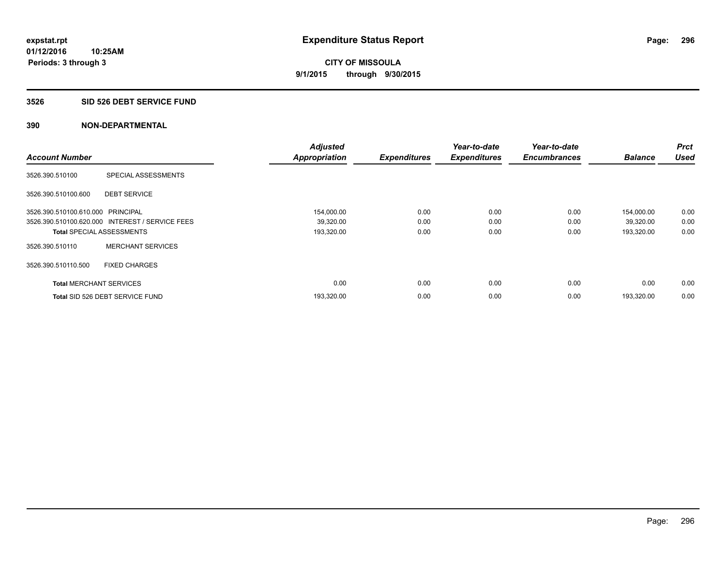#### **3526 SID 526 DEBT SERVICE FUND**

| <b>Account Number</b>             |                                                 | <b>Adjusted</b><br><b>Appropriation</b> | <b>Expenditures</b> | Year-to-date<br><b>Expenditures</b> | Year-to-date<br><b>Encumbrances</b> | <b>Balance</b> | <b>Prct</b><br><b>Used</b> |
|-----------------------------------|-------------------------------------------------|-----------------------------------------|---------------------|-------------------------------------|-------------------------------------|----------------|----------------------------|
|                                   |                                                 |                                         |                     |                                     |                                     |                |                            |
| 3526.390.510100                   | SPECIAL ASSESSMENTS                             |                                         |                     |                                     |                                     |                |                            |
| 3526.390.510100.600               | <b>DEBT SERVICE</b>                             |                                         |                     |                                     |                                     |                |                            |
| 3526.390.510100.610.000 PRINCIPAL |                                                 | 154,000.00                              | 0.00                | 0.00                                | 0.00                                | 154,000.00     | 0.00                       |
|                                   | 3526.390.510100.620.000 INTEREST / SERVICE FEES | 39,320.00                               | 0.00                | 0.00                                | 0.00                                | 39,320.00      | 0.00                       |
| <b>Total SPECIAL ASSESSMENTS</b>  |                                                 | 193,320.00                              | 0.00                | 0.00                                | 0.00                                | 193,320.00     | 0.00                       |
| 3526.390.510110                   | <b>MERCHANT SERVICES</b>                        |                                         |                     |                                     |                                     |                |                            |
| 3526.390.510110.500               | <b>FIXED CHARGES</b>                            |                                         |                     |                                     |                                     |                |                            |
| <b>Total MERCHANT SERVICES</b>    |                                                 | 0.00                                    | 0.00                | 0.00                                | 0.00                                | 0.00           | 0.00                       |
|                                   | Total SID 526 DEBT SERVICE FUND                 | 193,320.00                              | 0.00                | 0.00                                | 0.00                                | 193.320.00     | 0.00                       |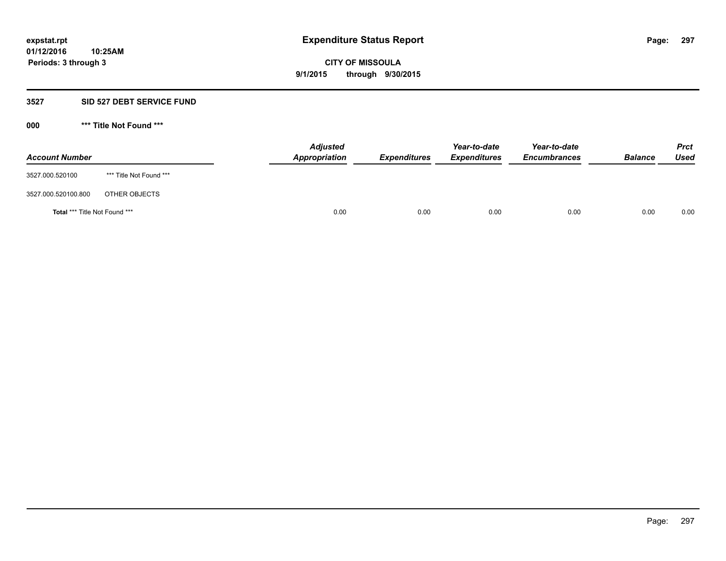#### **3527 SID 527 DEBT SERVICE FUND**

**000 \*\*\* Title Not Found \*\*\***

| <b>Account Number</b>         |                         | <b>Adjusted</b><br>Appropriation | <b>Expenditures</b> | Year-to-date<br><b>Expenditures</b> | Year-to-date<br><b>Encumbrances</b> | <b>Balance</b> | <b>Prct</b><br><b>Used</b> |
|-------------------------------|-------------------------|----------------------------------|---------------------|-------------------------------------|-------------------------------------|----------------|----------------------------|
| 3527.000.520100               | *** Title Not Found *** |                                  |                     |                                     |                                     |                |                            |
| 3527.000.520100.800           | OTHER OBJECTS           |                                  |                     |                                     |                                     |                |                            |
| Total *** Title Not Found *** |                         | 0.00                             | 0.00                | 0.00                                | 0.00                                | 0.00           | 0.00                       |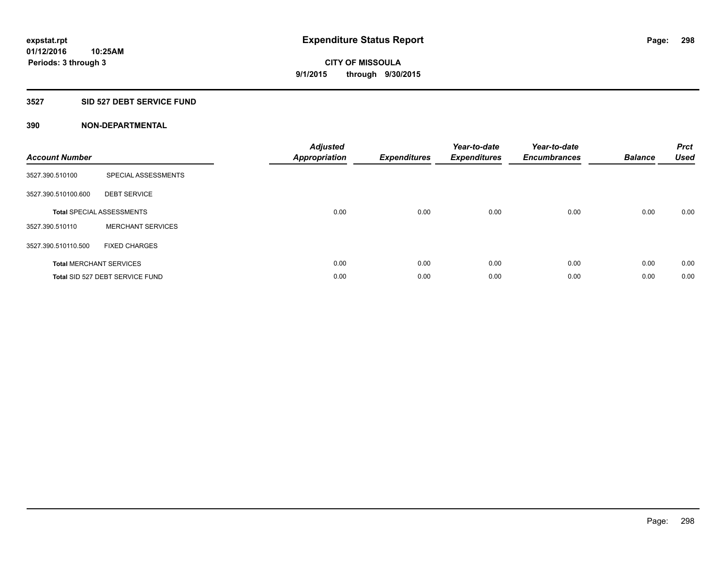#### **3527 SID 527 DEBT SERVICE FUND**

| <b>Account Number</b> |                                  | <b>Adjusted</b><br><b>Appropriation</b> | <b>Expenditures</b> | Year-to-date<br><b>Expenditures</b> | Year-to-date<br><b>Encumbrances</b> | <b>Balance</b> | <b>Prct</b><br><b>Used</b> |
|-----------------------|----------------------------------|-----------------------------------------|---------------------|-------------------------------------|-------------------------------------|----------------|----------------------------|
| 3527.390.510100       | SPECIAL ASSESSMENTS              |                                         |                     |                                     |                                     |                |                            |
| 3527.390.510100.600   | <b>DEBT SERVICE</b>              |                                         |                     |                                     |                                     |                |                            |
|                       | <b>Total SPECIAL ASSESSMENTS</b> | 0.00                                    | 0.00                | 0.00                                | 0.00                                | 0.00           | 0.00                       |
| 3527.390.510110       | <b>MERCHANT SERVICES</b>         |                                         |                     |                                     |                                     |                |                            |
| 3527.390.510110.500   | <b>FIXED CHARGES</b>             |                                         |                     |                                     |                                     |                |                            |
|                       | <b>Total MERCHANT SERVICES</b>   | 0.00                                    | 0.00                | 0.00                                | 0.00                                | 0.00           | 0.00                       |
|                       | Total SID 527 DEBT SERVICE FUND  | 0.00                                    | 0.00                | 0.00                                | 0.00                                | 0.00           | 0.00                       |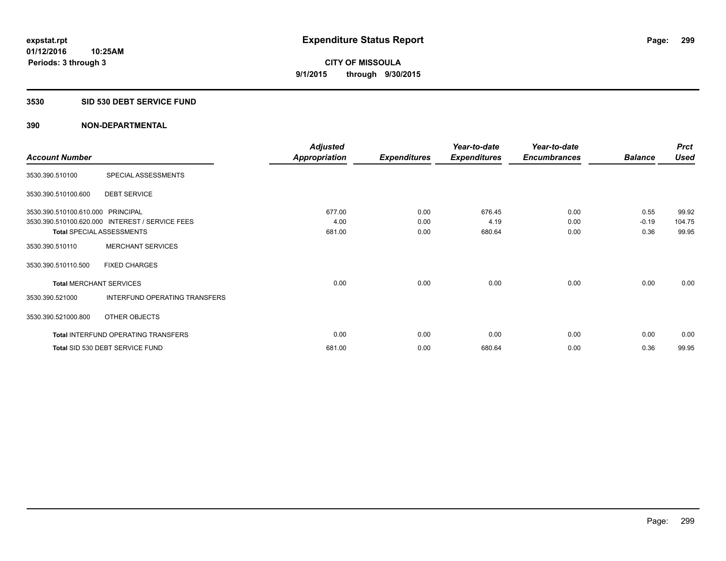#### **3530 SID 530 DEBT SERVICE FUND**

|                                   |                                                 | <b>Adjusted</b>      |                     | Year-to-date        | Year-to-date        |                | <b>Prct</b> |
|-----------------------------------|-------------------------------------------------|----------------------|---------------------|---------------------|---------------------|----------------|-------------|
| <b>Account Number</b>             |                                                 | <b>Appropriation</b> | <b>Expenditures</b> | <b>Expenditures</b> | <b>Encumbrances</b> | <b>Balance</b> | <b>Used</b> |
| 3530.390.510100                   | SPECIAL ASSESSMENTS                             |                      |                     |                     |                     |                |             |
| 3530.390.510100.600               | <b>DEBT SERVICE</b>                             |                      |                     |                     |                     |                |             |
| 3530.390.510100.610.000 PRINCIPAL |                                                 | 677.00               | 0.00                | 676.45              | 0.00                | 0.55           | 99.92       |
|                                   | 3530.390.510100.620.000 INTEREST / SERVICE FEES | 4.00                 | 0.00                | 4.19                | 0.00                | $-0.19$        | 104.75      |
| <b>Total SPECIAL ASSESSMENTS</b>  |                                                 | 681.00               | 0.00                | 680.64              | 0.00                | 0.36           | 99.95       |
| 3530.390.510110                   | <b>MERCHANT SERVICES</b>                        |                      |                     |                     |                     |                |             |
| 3530.390.510110.500               | <b>FIXED CHARGES</b>                            |                      |                     |                     |                     |                |             |
| <b>Total MERCHANT SERVICES</b>    |                                                 | 0.00                 | 0.00                | 0.00                | 0.00                | 0.00           | 0.00        |
| 3530.390.521000                   | INTERFUND OPERATING TRANSFERS                   |                      |                     |                     |                     |                |             |
| 3530.390.521000.800               | OTHER OBJECTS                                   |                      |                     |                     |                     |                |             |
|                                   | Total INTERFUND OPERATING TRANSFERS             | 0.00                 | 0.00                | 0.00                | 0.00                | 0.00           | 0.00        |
|                                   | Total SID 530 DEBT SERVICE FUND                 | 681.00               | 0.00                | 680.64              | 0.00                | 0.36           | 99.95       |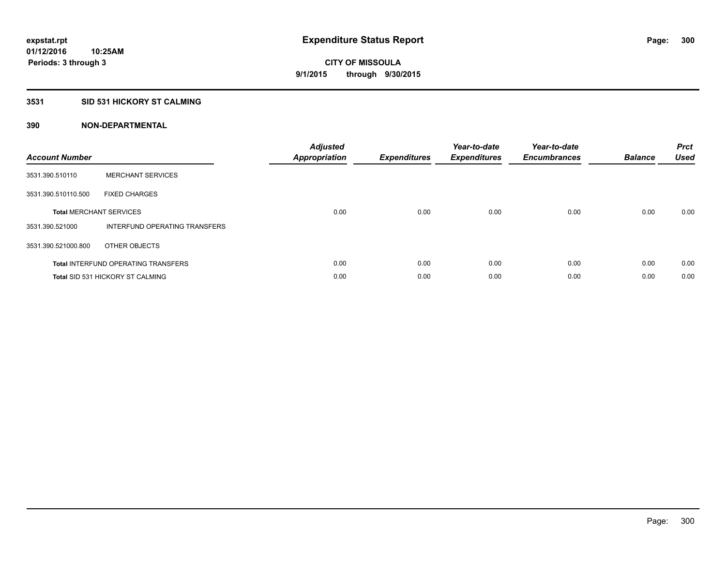#### **3531 SID 531 HICKORY ST CALMING**

| <b>Account Number</b> |                                            | <b>Adjusted</b><br>Appropriation | <b>Expenditures</b> | Year-to-date<br><b>Expenditures</b> | Year-to-date<br><b>Encumbrances</b> | <b>Balance</b> | <b>Prct</b><br><b>Used</b> |
|-----------------------|--------------------------------------------|----------------------------------|---------------------|-------------------------------------|-------------------------------------|----------------|----------------------------|
| 3531.390.510110       | <b>MERCHANT SERVICES</b>                   |                                  |                     |                                     |                                     |                |                            |
| 3531.390.510110.500   | <b>FIXED CHARGES</b>                       |                                  |                     |                                     |                                     |                |                            |
|                       | <b>Total MERCHANT SERVICES</b>             | 0.00                             | 0.00                | 0.00                                | 0.00                                | 0.00           | 0.00                       |
| 3531.390.521000       | INTERFUND OPERATING TRANSFERS              |                                  |                     |                                     |                                     |                |                            |
| 3531.390.521000.800   | OTHER OBJECTS                              |                                  |                     |                                     |                                     |                |                            |
|                       | <b>Total INTERFUND OPERATING TRANSFERS</b> | 0.00                             | 0.00                | 0.00                                | 0.00                                | 0.00           | 0.00                       |
|                       | <b>Total SID 531 HICKORY ST CALMING</b>    | 0.00                             | 0.00                | 0.00                                | 0.00                                | 0.00           | 0.00                       |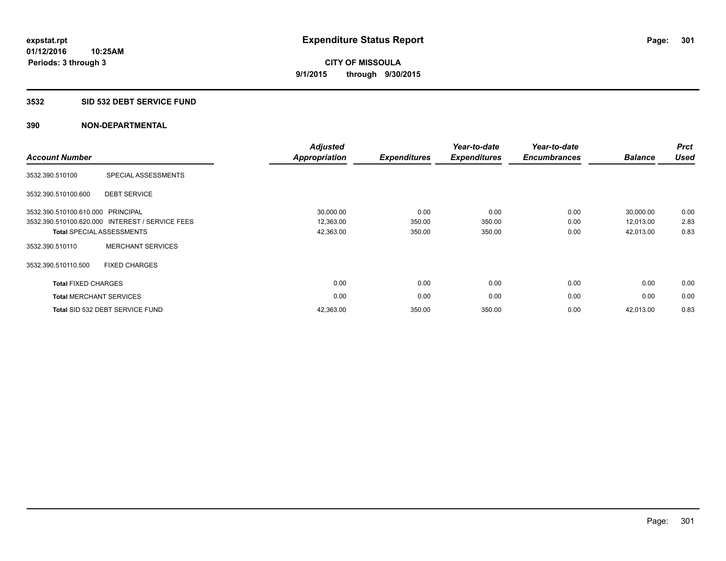#### **3532 SID 532 DEBT SERVICE FUND**

| <b>Account Number</b>      |                                                 | <b>Adjusted</b><br><b>Appropriation</b> | <b>Expenditures</b> | Year-to-date<br><b>Expenditures</b> | Year-to-date<br><b>Encumbrances</b> | <b>Balance</b> | <b>Prct</b><br><b>Used</b> |
|----------------------------|-------------------------------------------------|-----------------------------------------|---------------------|-------------------------------------|-------------------------------------|----------------|----------------------------|
| 3532.390.510100            | SPECIAL ASSESSMENTS                             |                                         |                     |                                     |                                     |                |                            |
| 3532.390.510100.600        | <b>DEBT SERVICE</b>                             |                                         |                     |                                     |                                     |                |                            |
| 3532.390.510100.610.000    | PRINCIPAL                                       | 30,000.00                               | 0.00                | 0.00                                | 0.00                                | 30,000.00      | 0.00                       |
|                            | 3532.390.510100.620.000 INTEREST / SERVICE FEES | 12,363.00                               | 350.00              | 350.00                              | 0.00                                | 12,013.00      | 2.83                       |
|                            | <b>Total SPECIAL ASSESSMENTS</b>                | 42,363.00                               | 350.00              | 350.00                              | 0.00                                | 42,013.00      | 0.83                       |
| 3532.390.510110            | <b>MERCHANT SERVICES</b>                        |                                         |                     |                                     |                                     |                |                            |
| 3532.390.510110.500        | <b>FIXED CHARGES</b>                            |                                         |                     |                                     |                                     |                |                            |
| <b>Total FIXED CHARGES</b> |                                                 | 0.00                                    | 0.00                | 0.00                                | 0.00                                | 0.00           | 0.00                       |
|                            | <b>Total MERCHANT SERVICES</b>                  | 0.00                                    | 0.00                | 0.00                                | 0.00                                | 0.00           | 0.00                       |
|                            | Total SID 532 DEBT SERVICE FUND                 | 42,363.00                               | 350.00              | 350.00                              | 0.00                                | 42,013.00      | 0.83                       |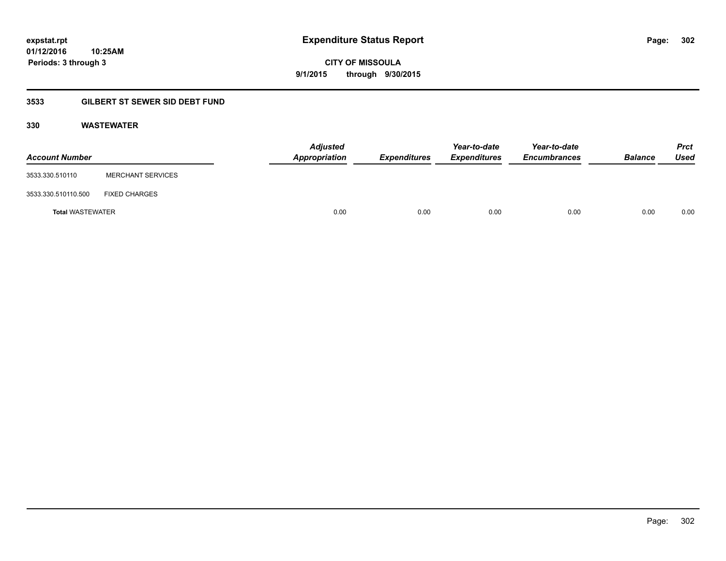**CITY OF MISSOULA 9/1/2015 through 9/30/2015**

### **3533 GILBERT ST SEWER SID DEBT FUND**

#### **330 WASTEWATER**

| <b>Account Number</b>   |                          | <b>Adjusted</b><br>Appropriation | <b>Expenditures</b> | Year-to-date<br><b>Expenditures</b> | Year-to-date<br><b>Encumbrances</b> | <b>Balance</b> | <b>Prct</b><br>Used |
|-------------------------|--------------------------|----------------------------------|---------------------|-------------------------------------|-------------------------------------|----------------|---------------------|
| 3533.330.510110         | <b>MERCHANT SERVICES</b> |                                  |                     |                                     |                                     |                |                     |
| 3533.330.510110.500     | <b>FIXED CHARGES</b>     |                                  |                     |                                     |                                     |                |                     |
| <b>Total WASTEWATER</b> |                          | 0.00                             | 0.00                | 0.00                                | 0.00                                | 0.00           | 0.00                |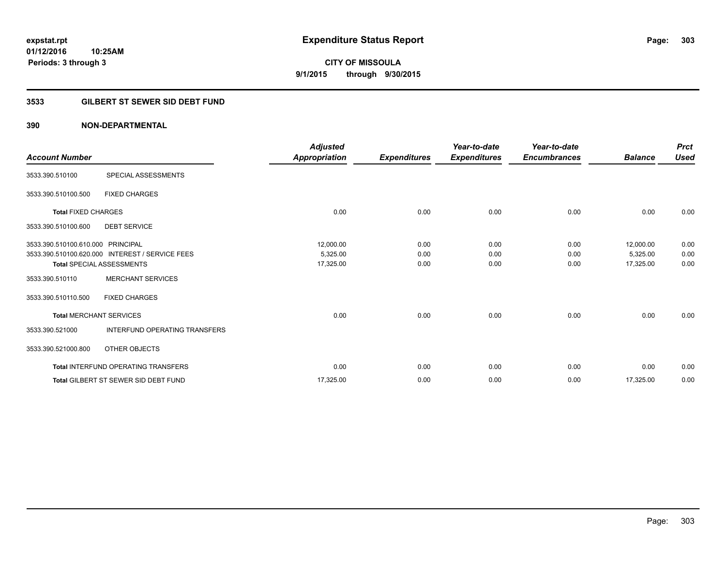**CITY OF MISSOULA 9/1/2015 through 9/30/2015**

#### **3533 GILBERT ST SEWER SID DEBT FUND**

| <b>Account Number</b>             |                                                 | <b>Adjusted</b><br>Appropriation | <b>Expenditures</b> | Year-to-date<br><b>Expenditures</b> | Year-to-date<br><b>Encumbrances</b> | <b>Balance</b> | <b>Prct</b><br><b>Used</b> |
|-----------------------------------|-------------------------------------------------|----------------------------------|---------------------|-------------------------------------|-------------------------------------|----------------|----------------------------|
| 3533.390.510100                   | SPECIAL ASSESSMENTS                             |                                  |                     |                                     |                                     |                |                            |
| 3533.390.510100.500               | <b>FIXED CHARGES</b>                            |                                  |                     |                                     |                                     |                |                            |
| <b>Total FIXED CHARGES</b>        |                                                 | 0.00                             | 0.00                | 0.00                                | 0.00                                | 0.00           | 0.00                       |
| 3533.390.510100.600               | <b>DEBT SERVICE</b>                             |                                  |                     |                                     |                                     |                |                            |
| 3533.390.510100.610.000 PRINCIPAL |                                                 | 12,000.00                        | 0.00                | 0.00                                | 0.00                                | 12,000.00      | 0.00                       |
|                                   | 3533.390.510100.620.000 INTEREST / SERVICE FEES | 5,325.00                         | 0.00                | 0.00                                | 0.00                                | 5,325.00       | 0.00                       |
|                                   | Total SPECIAL ASSESSMENTS                       | 17,325.00                        | 0.00                | 0.00                                | 0.00                                | 17,325.00      | 0.00                       |
| 3533.390.510110                   | <b>MERCHANT SERVICES</b>                        |                                  |                     |                                     |                                     |                |                            |
| 3533.390.510110.500               | <b>FIXED CHARGES</b>                            |                                  |                     |                                     |                                     |                |                            |
| <b>Total MERCHANT SERVICES</b>    |                                                 | 0.00                             | 0.00                | 0.00                                | 0.00                                | 0.00           | 0.00                       |
| 3533.390.521000                   | INTERFUND OPERATING TRANSFERS                   |                                  |                     |                                     |                                     |                |                            |
| 3533.390.521000.800               | <b>OTHER OBJECTS</b>                            |                                  |                     |                                     |                                     |                |                            |
|                                   | <b>Total INTERFUND OPERATING TRANSFERS</b>      | 0.00                             | 0.00                | 0.00                                | 0.00                                | 0.00           | 0.00                       |
|                                   | <b>Total GILBERT ST SEWER SID DEBT FUND</b>     | 17,325.00                        | 0.00                | 0.00                                | 0.00                                | 17,325.00      | 0.00                       |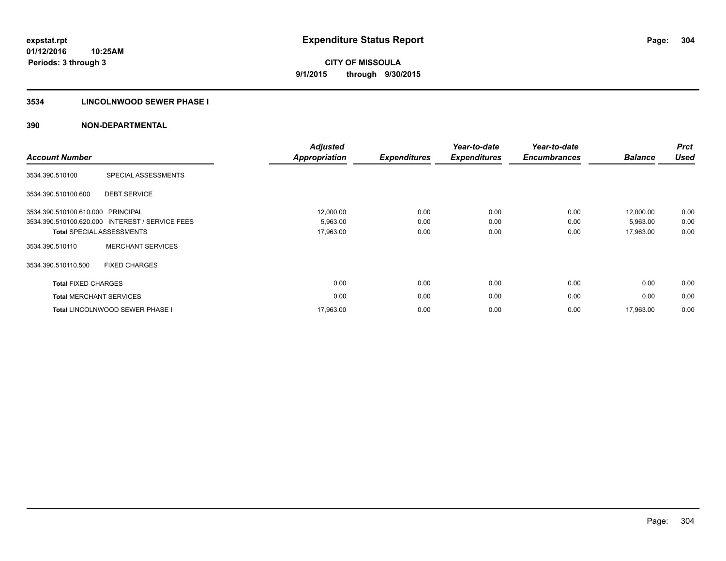#### **3534 LINCOLNWOOD SEWER PHASE I**

| <b>Account Number</b>             |                                                 | <b>Adjusted</b><br><b>Appropriation</b> | <b>Expenditures</b> | Year-to-date<br><b>Expenditures</b> | Year-to-date<br><b>Encumbrances</b> | <b>Balance</b> | <b>Prct</b><br><b>Used</b> |
|-----------------------------------|-------------------------------------------------|-----------------------------------------|---------------------|-------------------------------------|-------------------------------------|----------------|----------------------------|
| 3534.390.510100                   | SPECIAL ASSESSMENTS                             |                                         |                     |                                     |                                     |                |                            |
| 3534.390.510100.600               | <b>DEBT SERVICE</b>                             |                                         |                     |                                     |                                     |                |                            |
| 3534.390.510100.610.000 PRINCIPAL |                                                 | 12,000.00                               | 0.00                | 0.00                                | 0.00                                | 12,000.00      | 0.00                       |
|                                   | 3534.390.510100.620.000 INTEREST / SERVICE FEES | 5,963.00                                | 0.00                | 0.00                                | 0.00                                | 5,963.00       | 0.00                       |
|                                   | <b>Total SPECIAL ASSESSMENTS</b>                | 17,963.00                               | 0.00                | 0.00                                | 0.00                                | 17,963.00      | 0.00                       |
| 3534.390.510110                   | <b>MERCHANT SERVICES</b>                        |                                         |                     |                                     |                                     |                |                            |
| 3534.390.510110.500               | <b>FIXED CHARGES</b>                            |                                         |                     |                                     |                                     |                |                            |
| <b>Total FIXED CHARGES</b>        |                                                 | 0.00                                    | 0.00                | 0.00                                | 0.00                                | 0.00           | 0.00                       |
| <b>Total MERCHANT SERVICES</b>    |                                                 | 0.00                                    | 0.00                | 0.00                                | 0.00                                | 0.00           | 0.00                       |
|                                   | <b>Total LINCOLNWOOD SEWER PHASE I</b>          | 17,963.00                               | 0.00                | 0.00                                | 0.00                                | 17,963.00      | 0.00                       |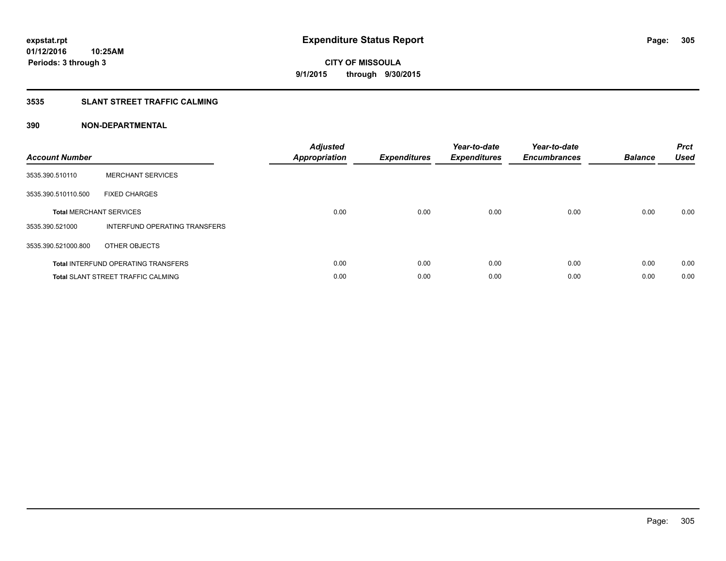#### **3535 SLANT STREET TRAFFIC CALMING**

| <b>Account Number</b> |                                            | <b>Adjusted</b><br><b>Appropriation</b> | <b>Expenditures</b> | Year-to-date<br><b>Expenditures</b> | Year-to-date<br><b>Encumbrances</b> | <b>Balance</b> | <b>Prct</b><br><b>Used</b> |
|-----------------------|--------------------------------------------|-----------------------------------------|---------------------|-------------------------------------|-------------------------------------|----------------|----------------------------|
| 3535.390.510110       | <b>MERCHANT SERVICES</b>                   |                                         |                     |                                     |                                     |                |                            |
| 3535.390.510110.500   | <b>FIXED CHARGES</b>                       |                                         |                     |                                     |                                     |                |                            |
|                       | <b>Total MERCHANT SERVICES</b>             | 0.00                                    | 0.00                | 0.00                                | 0.00                                | 0.00           | 0.00                       |
| 3535.390.521000       | INTERFUND OPERATING TRANSFERS              |                                         |                     |                                     |                                     |                |                            |
| 3535.390.521000.800   | OTHER OBJECTS                              |                                         |                     |                                     |                                     |                |                            |
|                       | <b>Total INTERFUND OPERATING TRANSFERS</b> | 0.00                                    | 0.00                | 0.00                                | 0.00                                | 0.00           | 0.00                       |
|                       | <b>Total SLANT STREET TRAFFIC CALMING</b>  | 0.00                                    | 0.00                | 0.00                                | 0.00                                | 0.00           | 0.00                       |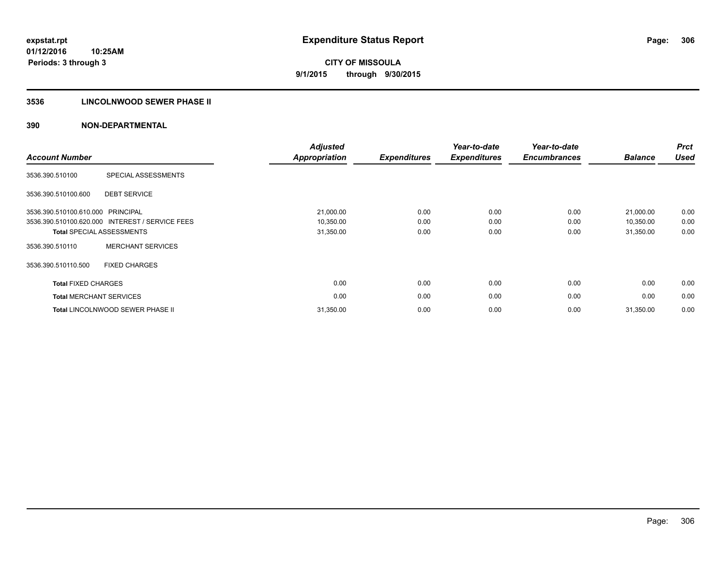#### **3536 LINCOLNWOOD SEWER PHASE II**

| <b>Account Number</b>             |                                                 | <b>Adjusted</b><br>Appropriation | <b>Expenditures</b> | Year-to-date<br><b>Expenditures</b> | Year-to-date<br><b>Encumbrances</b> | <b>Balance</b> | <b>Prct</b><br><b>Used</b> |
|-----------------------------------|-------------------------------------------------|----------------------------------|---------------------|-------------------------------------|-------------------------------------|----------------|----------------------------|
| 3536.390.510100                   | SPECIAL ASSESSMENTS                             |                                  |                     |                                     |                                     |                |                            |
| 3536.390.510100.600               | <b>DEBT SERVICE</b>                             |                                  |                     |                                     |                                     |                |                            |
| 3536.390.510100.610.000 PRINCIPAL |                                                 | 21,000.00                        | 0.00                | 0.00                                | 0.00                                | 21,000.00      | 0.00                       |
|                                   | 3536.390.510100.620.000 INTEREST / SERVICE FEES | 10,350.00                        | 0.00                | 0.00                                | 0.00                                | 10,350.00      | 0.00                       |
|                                   | <b>Total SPECIAL ASSESSMENTS</b>                | 31,350.00                        | 0.00                | 0.00                                | 0.00                                | 31,350.00      | 0.00                       |
| 3536.390.510110                   | <b>MERCHANT SERVICES</b>                        |                                  |                     |                                     |                                     |                |                            |
| 3536.390.510110.500               | <b>FIXED CHARGES</b>                            |                                  |                     |                                     |                                     |                |                            |
| <b>Total FIXED CHARGES</b>        |                                                 | 0.00                             | 0.00                | 0.00                                | 0.00                                | 0.00           | 0.00                       |
| <b>Total MERCHANT SERVICES</b>    |                                                 | 0.00                             | 0.00                | 0.00                                | 0.00                                | 0.00           | 0.00                       |
|                                   | Total LINCOLNWOOD SEWER PHASE II                | 31,350.00                        | 0.00                | 0.00                                | 0.00                                | 31,350.00      | 0.00                       |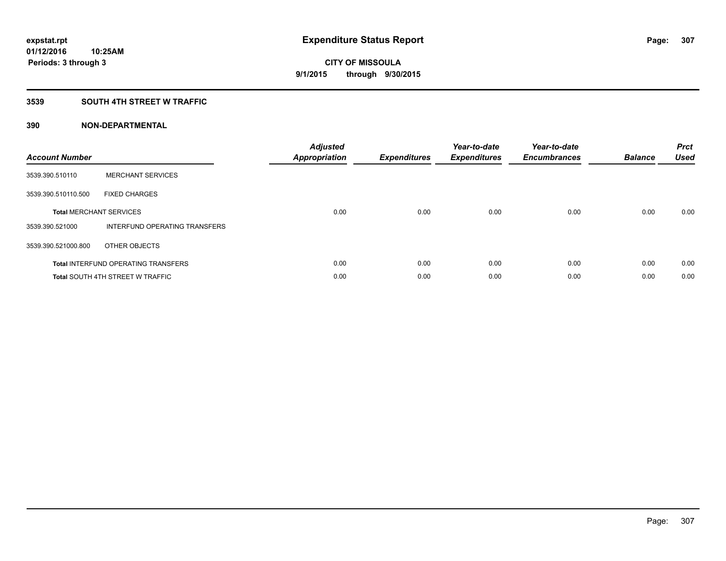#### **3539 SOUTH 4TH STREET W TRAFFIC**

| <b>Account Number</b> |                                            | <b>Adjusted</b><br><b>Appropriation</b> | <b>Expenditures</b> | Year-to-date<br><b>Expenditures</b> | Year-to-date<br><b>Encumbrances</b> | <b>Balance</b> | <b>Prct</b><br><b>Used</b> |
|-----------------------|--------------------------------------------|-----------------------------------------|---------------------|-------------------------------------|-------------------------------------|----------------|----------------------------|
| 3539.390.510110       | <b>MERCHANT SERVICES</b>                   |                                         |                     |                                     |                                     |                |                            |
| 3539.390.510110.500   | <b>FIXED CHARGES</b>                       |                                         |                     |                                     |                                     |                |                            |
|                       | <b>Total MERCHANT SERVICES</b>             | 0.00                                    | 0.00                | 0.00                                | 0.00                                | 0.00           | 0.00                       |
| 3539.390.521000       | INTERFUND OPERATING TRANSFERS              |                                         |                     |                                     |                                     |                |                            |
| 3539.390.521000.800   | OTHER OBJECTS                              |                                         |                     |                                     |                                     |                |                            |
|                       | <b>Total INTERFUND OPERATING TRANSFERS</b> | 0.00                                    | 0.00                | 0.00                                | 0.00                                | 0.00           | 0.00                       |
|                       | <b>Total SOUTH 4TH STREET W TRAFFIC</b>    | 0.00                                    | 0.00                | 0.00                                | 0.00                                | 0.00           | 0.00                       |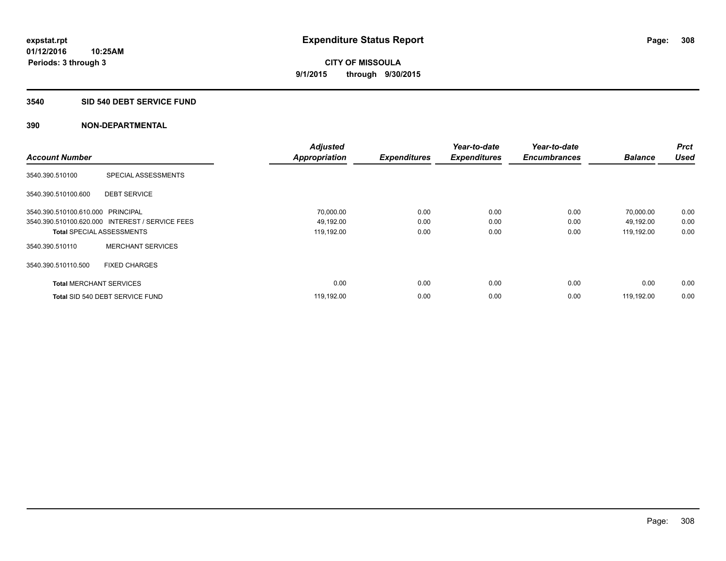#### **3540 SID 540 DEBT SERVICE FUND**

|                                   |                                                 | <b>Adjusted</b>      |                     | Year-to-date        | Year-to-date        |                | <b>Prct</b><br><b>Used</b> |
|-----------------------------------|-------------------------------------------------|----------------------|---------------------|---------------------|---------------------|----------------|----------------------------|
| <b>Account Number</b>             |                                                 | <b>Appropriation</b> | <b>Expenditures</b> | <b>Expenditures</b> | <b>Encumbrances</b> | <b>Balance</b> |                            |
| 3540.390.510100                   | SPECIAL ASSESSMENTS                             |                      |                     |                     |                     |                |                            |
| 3540.390.510100.600               | <b>DEBT SERVICE</b>                             |                      |                     |                     |                     |                |                            |
| 3540.390.510100.610.000 PRINCIPAL |                                                 | 70,000.00            | 0.00                | 0.00                | 0.00                | 70,000.00      | 0.00                       |
|                                   | 3540.390.510100.620.000 INTEREST / SERVICE FEES | 49,192.00            | 0.00                | 0.00                | 0.00                | 49,192.00      | 0.00                       |
| <b>Total SPECIAL ASSESSMENTS</b>  |                                                 | 119,192.00           | 0.00                | 0.00                | 0.00                | 119,192.00     | 0.00                       |
| 3540.390.510110                   | <b>MERCHANT SERVICES</b>                        |                      |                     |                     |                     |                |                            |
| 3540.390.510110.500               | <b>FIXED CHARGES</b>                            |                      |                     |                     |                     |                |                            |
| <b>Total MERCHANT SERVICES</b>    |                                                 | 0.00                 | 0.00                | 0.00                | 0.00                | 0.00           | 0.00                       |
|                                   | Total SID 540 DEBT SERVICE FUND                 | 119,192.00           | 0.00                | 0.00                | 0.00                | 119.192.00     | 0.00                       |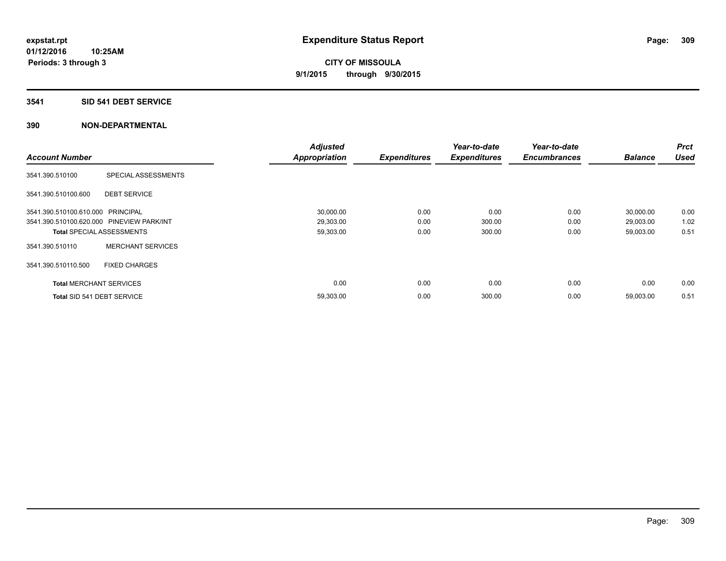#### **3541 SID 541 DEBT SERVICE**

|                                           |                                  | <b>Adjusted</b> |                     | Year-to-date        | Year-to-date        |                | <b>Prct</b> |
|-------------------------------------------|----------------------------------|-----------------|---------------------|---------------------|---------------------|----------------|-------------|
| <b>Account Number</b>                     |                                  | Appropriation   | <b>Expenditures</b> | <b>Expenditures</b> | <b>Encumbrances</b> | <b>Balance</b> | <b>Used</b> |
| 3541.390.510100                           | SPECIAL ASSESSMENTS              |                 |                     |                     |                     |                |             |
| 3541.390.510100.600                       | <b>DEBT SERVICE</b>              |                 |                     |                     |                     |                |             |
| 3541.390.510100.610.000 PRINCIPAL         |                                  | 30,000.00       | 0.00                | 0.00                | 0.00                | 30,000.00      | 0.00        |
| 3541.390.510100.620.000 PINEVIEW PARK/INT |                                  | 29,303.00       | 0.00                | 300.00              | 0.00                | 29,003.00      | 1.02        |
|                                           | <b>Total SPECIAL ASSESSMENTS</b> | 59,303.00       | 0.00                | 300.00              | 0.00                | 59,003.00      | 0.51        |
| 3541.390.510110                           | <b>MERCHANT SERVICES</b>         |                 |                     |                     |                     |                |             |
| 3541.390.510110.500                       | <b>FIXED CHARGES</b>             |                 |                     |                     |                     |                |             |
| <b>Total MERCHANT SERVICES</b>            |                                  | 0.00            | 0.00                | 0.00                | 0.00                | 0.00           | 0.00        |
| Total SID 541 DEBT SERVICE                |                                  | 59,303.00       | 0.00                | 300.00              | 0.00                | 59,003.00      | 0.51        |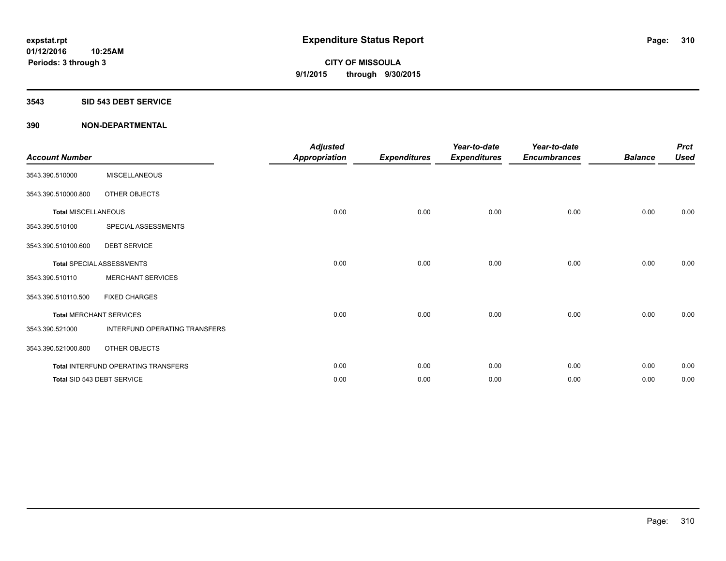#### **3543 SID 543 DEBT SERVICE**

| <b>Account Number</b>      |                                     | <b>Adjusted</b><br><b>Appropriation</b> | <b>Expenditures</b> | Year-to-date<br><b>Expenditures</b> | Year-to-date<br><b>Encumbrances</b> | <b>Balance</b> | <b>Prct</b><br><b>Used</b> |
|----------------------------|-------------------------------------|-----------------------------------------|---------------------|-------------------------------------|-------------------------------------|----------------|----------------------------|
| 3543.390.510000            | <b>MISCELLANEOUS</b>                |                                         |                     |                                     |                                     |                |                            |
| 3543.390.510000.800        | OTHER OBJECTS                       |                                         |                     |                                     |                                     |                |                            |
| <b>Total MISCELLANEOUS</b> |                                     | 0.00                                    | 0.00                | 0.00                                | 0.00                                | 0.00           | 0.00                       |
| 3543.390.510100            | SPECIAL ASSESSMENTS                 |                                         |                     |                                     |                                     |                |                            |
| 3543.390.510100.600        | <b>DEBT SERVICE</b>                 |                                         |                     |                                     |                                     |                |                            |
|                            | <b>Total SPECIAL ASSESSMENTS</b>    | 0.00                                    | 0.00                | 0.00                                | 0.00                                | 0.00           | 0.00                       |
| 3543.390.510110            | <b>MERCHANT SERVICES</b>            |                                         |                     |                                     |                                     |                |                            |
| 3543.390.510110.500        | <b>FIXED CHARGES</b>                |                                         |                     |                                     |                                     |                |                            |
|                            | <b>Total MERCHANT SERVICES</b>      | 0.00                                    | 0.00                | 0.00                                | 0.00                                | 0.00           | 0.00                       |
| 3543.390.521000            | INTERFUND OPERATING TRANSFERS       |                                         |                     |                                     |                                     |                |                            |
| 3543.390.521000.800        | OTHER OBJECTS                       |                                         |                     |                                     |                                     |                |                            |
|                            | Total INTERFUND OPERATING TRANSFERS | 0.00                                    | 0.00                | 0.00                                | 0.00                                | 0.00           | 0.00                       |
|                            | Total SID 543 DEBT SERVICE          | 0.00                                    | 0.00                | 0.00                                | 0.00                                | 0.00           | 0.00                       |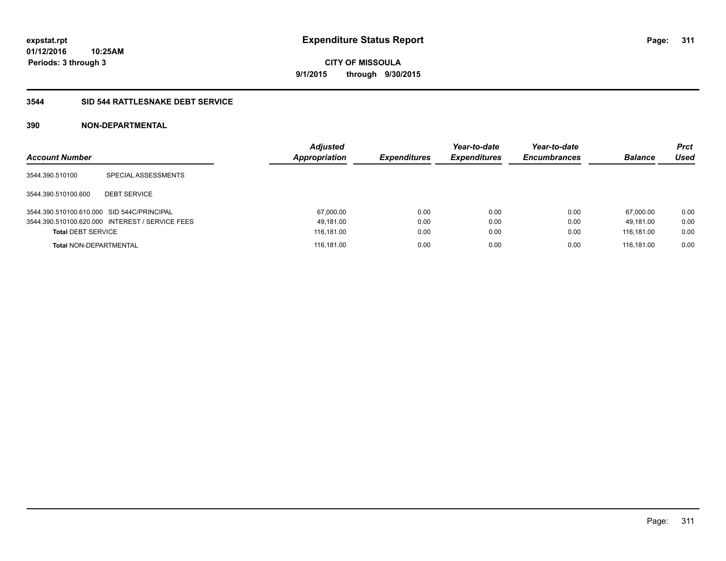# **CITY OF MISSOULA 9/1/2015 through 9/30/2015**

#### **3544 SID 544 RATTLESNAKE DEBT SERVICE**

| <b>Account Number</b>                      |                                                 | <b>Adjusted</b><br><b>Appropriation</b> | <b>Expenditures</b> | Year-to-date<br><b>Expenditures</b> | Year-to-date<br><b>Encumbrances</b> | <b>Balance</b> | <b>Prct</b><br>Used |
|--------------------------------------------|-------------------------------------------------|-----------------------------------------|---------------------|-------------------------------------|-------------------------------------|----------------|---------------------|
| 3544.390.510100                            | SPECIAL ASSESSMENTS                             |                                         |                     |                                     |                                     |                |                     |
| 3544.390.510100.600                        | <b>DEBT SERVICE</b>                             |                                         |                     |                                     |                                     |                |                     |
| 3544.390.510100.610.000 SID 544C/PRINCIPAL |                                                 | 67,000.00                               | 0.00                | 0.00                                | 0.00                                | 67.000.00      | 0.00                |
|                                            | 3544.390.510100.620.000 INTEREST / SERVICE FEES | 49,181.00                               | 0.00                | 0.00                                | 0.00                                | 49.181.00      | 0.00                |
| <b>Total DEBT SERVICE</b>                  |                                                 | 116,181.00                              | 0.00                | 0.00                                | 0.00                                | 116,181.00     | 0.00                |
| <b>Total NON-DEPARTMENTAL</b>              |                                                 | 116,181.00                              | 0.00                | 0.00                                | 0.00                                | 116.181.00     | 0.00                |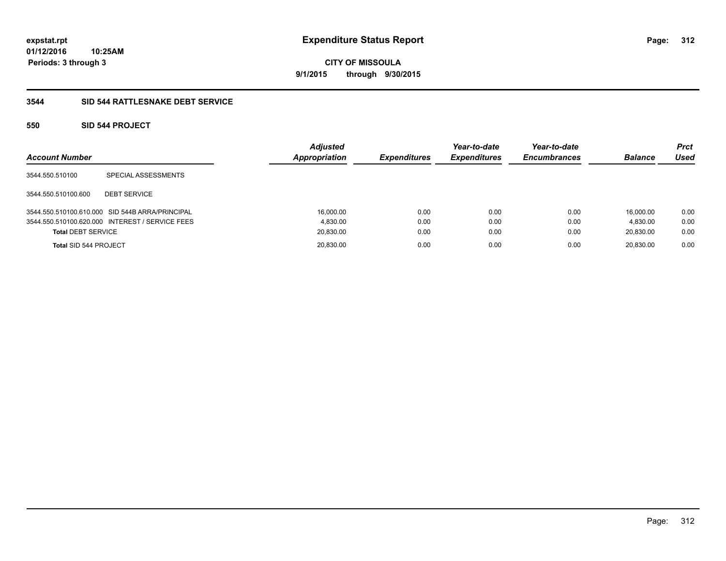**CITY OF MISSOULA 9/1/2015 through 9/30/2015**

#### **3544 SID 544 RATTLESNAKE DEBT SERVICE**

#### **550 SID 544 PROJECT**

| <b>Account Number</b>     |                                                 | <b>Adjusted</b><br>Appropriation | <b>Expenditures</b> | Year-to-date<br><b>Expenditures</b> | Year-to-date<br><b>Encumbrances</b> | <b>Balance</b> | <b>Prct</b><br>Used |
|---------------------------|-------------------------------------------------|----------------------------------|---------------------|-------------------------------------|-------------------------------------|----------------|---------------------|
| 3544.550.510100           | SPECIAL ASSESSMENTS                             |                                  |                     |                                     |                                     |                |                     |
| 3544.550.510100.600       | <b>DEBT SERVICE</b>                             |                                  |                     |                                     |                                     |                |                     |
|                           | 3544.550.510100.610.000 SID 544B ARRA/PRINCIPAL | 16,000.00                        | 0.00                | 0.00                                | 0.00                                | 16.000.00      | 0.00                |
|                           | 3544.550.510100.620.000 INTEREST / SERVICE FEES | 4.830.00                         | 0.00                | 0.00                                | 0.00                                | 4.830.00       | 0.00                |
| <b>Total DEBT SERVICE</b> |                                                 | 20,830.00                        | 0.00                | 0.00                                | 0.00                                | 20,830.00      | 0.00                |
| Total SID 544 PROJECT     |                                                 | 20,830.00                        | 0.00                | 0.00                                | 0.00                                | 20.830.00      | 0.00                |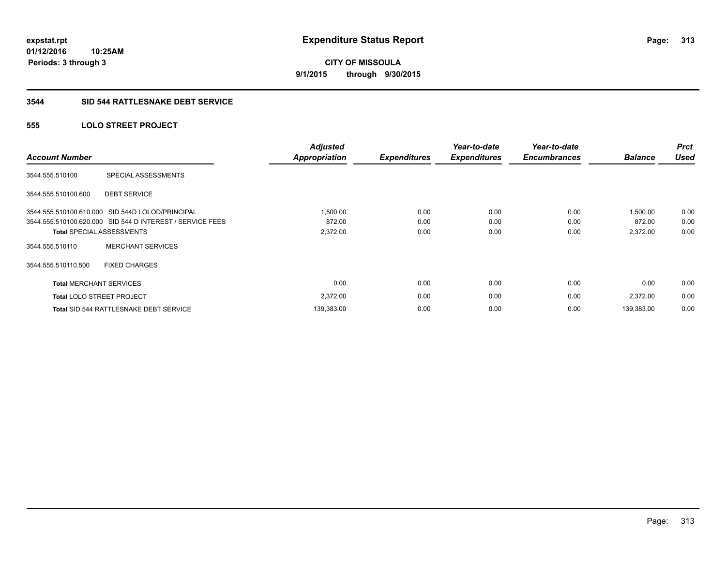# **CITY OF MISSOULA 9/1/2015 through 9/30/2015**

#### **3544 SID 544 RATTLESNAKE DEBT SERVICE**

#### **555 LOLO STREET PROJECT**

| <b>Account Number</b>          |                                                           | <b>Adjusted</b><br><b>Appropriation</b> | <b>Expenditures</b> | Year-to-date<br><b>Expenditures</b> | Year-to-date<br><b>Encumbrances</b> | <b>Balance</b> | <b>Prct</b><br><b>Used</b> |
|--------------------------------|-----------------------------------------------------------|-----------------------------------------|---------------------|-------------------------------------|-------------------------------------|----------------|----------------------------|
| 3544.555.510100                | SPECIAL ASSESSMENTS                                       |                                         |                     |                                     |                                     |                |                            |
| 3544.555.510100.600            | <b>DEBT SERVICE</b>                                       |                                         |                     |                                     |                                     |                |                            |
|                                | 3544.555.510100.610.000 SID 544D LOLOD/PRINCIPAL          | 1,500.00                                | 0.00                | 0.00                                | 0.00                                | 1.500.00       | 0.00                       |
|                                | 3544.555.510100.620.000 SID 544 D INTEREST / SERVICE FEES | 872.00                                  | 0.00                | 0.00                                | 0.00                                | 872.00         | 0.00                       |
|                                | <b>Total SPECIAL ASSESSMENTS</b>                          | 2,372.00                                | 0.00                | 0.00                                | 0.00                                | 2,372.00       | 0.00                       |
| 3544.555.510110                | <b>MERCHANT SERVICES</b>                                  |                                         |                     |                                     |                                     |                |                            |
| 3544.555.510110.500            | <b>FIXED CHARGES</b>                                      |                                         |                     |                                     |                                     |                |                            |
| <b>Total MERCHANT SERVICES</b> |                                                           | 0.00                                    | 0.00                | 0.00                                | 0.00                                | 0.00           | 0.00                       |
|                                | <b>Total LOLO STREET PROJECT</b>                          | 2,372.00                                | 0.00                | 0.00                                | 0.00                                | 2,372.00       | 0.00                       |
|                                | <b>Total SID 544 RATTLESNAKE DEBT SERVICE</b>             | 139,383.00                              | 0.00                | 0.00                                | 0.00                                | 139.383.00     | 0.00                       |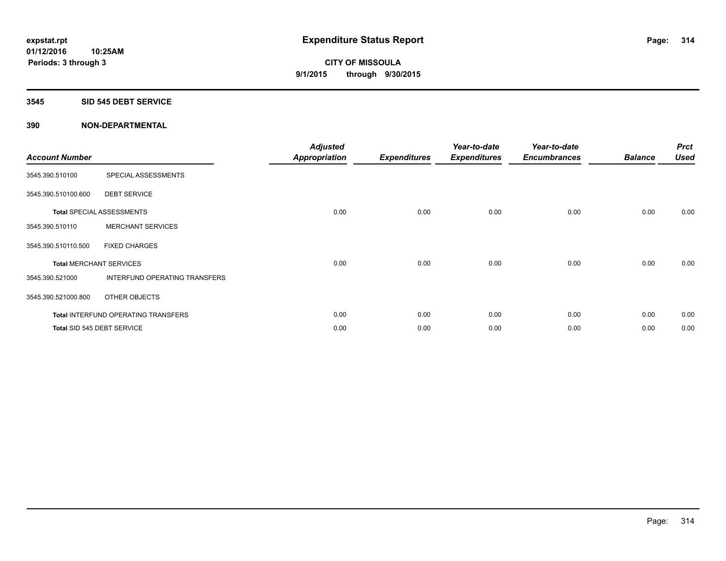#### **3545 SID 545 DEBT SERVICE**

| <b>Account Number</b> |                                     | <b>Adjusted</b><br>Appropriation | <b>Expenditures</b> | Year-to-date<br><b>Expenditures</b> | Year-to-date<br><b>Encumbrances</b> | <b>Balance</b> | <b>Prct</b><br><b>Used</b> |
|-----------------------|-------------------------------------|----------------------------------|---------------------|-------------------------------------|-------------------------------------|----------------|----------------------------|
| 3545.390.510100       | SPECIAL ASSESSMENTS                 |                                  |                     |                                     |                                     |                |                            |
| 3545.390.510100.600   | <b>DEBT SERVICE</b>                 |                                  |                     |                                     |                                     |                |                            |
|                       | <b>Total SPECIAL ASSESSMENTS</b>    | 0.00                             | 0.00                | 0.00                                | 0.00                                | 0.00           | 0.00                       |
| 3545.390.510110       | <b>MERCHANT SERVICES</b>            |                                  |                     |                                     |                                     |                |                            |
| 3545.390.510110.500   | <b>FIXED CHARGES</b>                |                                  |                     |                                     |                                     |                |                            |
|                       | <b>Total MERCHANT SERVICES</b>      | 0.00                             | 0.00                | 0.00                                | 0.00                                | 0.00           | 0.00                       |
| 3545.390.521000       | INTERFUND OPERATING TRANSFERS       |                                  |                     |                                     |                                     |                |                            |
| 3545.390.521000.800   | OTHER OBJECTS                       |                                  |                     |                                     |                                     |                |                            |
|                       | Total INTERFUND OPERATING TRANSFERS | 0.00                             | 0.00                | 0.00                                | 0.00                                | 0.00           | 0.00                       |
|                       | Total SID 545 DEBT SERVICE          | 0.00                             | 0.00                | 0.00                                | 0.00                                | 0.00           | 0.00                       |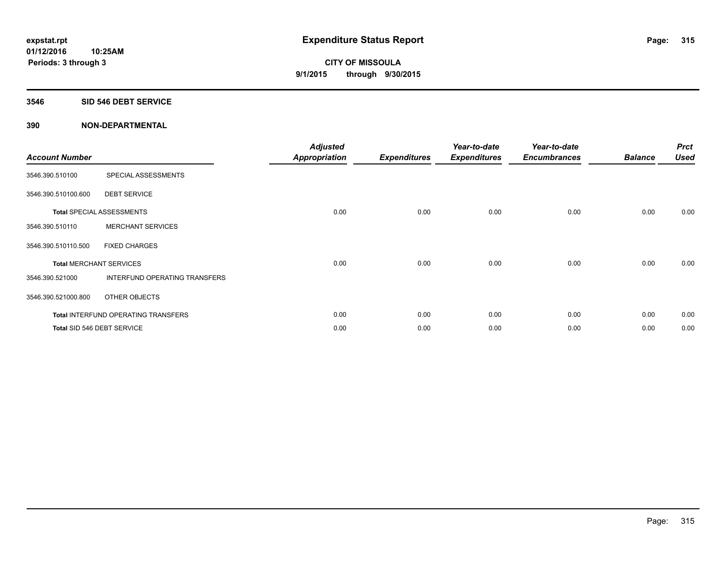#### **3546 SID 546 DEBT SERVICE**

| <b>Account Number</b> |                                     | <b>Adjusted</b><br><b>Appropriation</b> | <b>Expenditures</b> | Year-to-date<br><b>Expenditures</b> | Year-to-date<br><b>Encumbrances</b> | <b>Balance</b> | <b>Prct</b><br><b>Used</b> |
|-----------------------|-------------------------------------|-----------------------------------------|---------------------|-------------------------------------|-------------------------------------|----------------|----------------------------|
| 3546.390.510100       | SPECIAL ASSESSMENTS                 |                                         |                     |                                     |                                     |                |                            |
| 3546.390.510100.600   | <b>DEBT SERVICE</b>                 |                                         |                     |                                     |                                     |                |                            |
|                       | Total SPECIAL ASSESSMENTS           | 0.00                                    | 0.00                | 0.00                                | 0.00                                | 0.00           | 0.00                       |
| 3546.390.510110       | <b>MERCHANT SERVICES</b>            |                                         |                     |                                     |                                     |                |                            |
| 3546.390.510110.500   | <b>FIXED CHARGES</b>                |                                         |                     |                                     |                                     |                |                            |
|                       | <b>Total MERCHANT SERVICES</b>      | 0.00                                    | 0.00                | 0.00                                | 0.00                                | 0.00           | 0.00                       |
| 3546.390.521000       | INTERFUND OPERATING TRANSFERS       |                                         |                     |                                     |                                     |                |                            |
| 3546.390.521000.800   | OTHER OBJECTS                       |                                         |                     |                                     |                                     |                |                            |
|                       | Total INTERFUND OPERATING TRANSFERS | 0.00                                    | 0.00                | 0.00                                | 0.00                                | 0.00           | 0.00                       |
|                       | Total SID 546 DEBT SERVICE          | 0.00                                    | 0.00                | 0.00                                | 0.00                                | 0.00           | 0.00                       |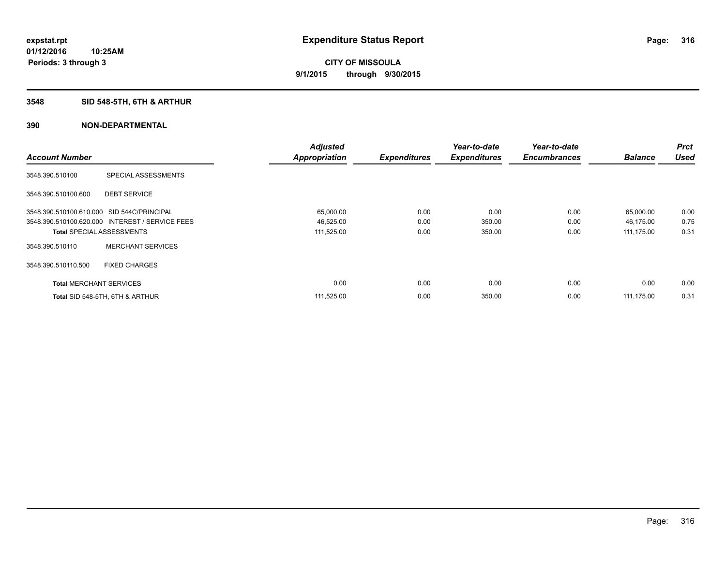## **3548 SID 548-5TH, 6TH & ARTHUR**

|                                            |                                                 | <b>Adjusted</b>      |                     | Year-to-date        | Year-to-date        |                | Prct        |
|--------------------------------------------|-------------------------------------------------|----------------------|---------------------|---------------------|---------------------|----------------|-------------|
| <b>Account Number</b>                      |                                                 | <b>Appropriation</b> | <b>Expenditures</b> | <b>Expenditures</b> | <b>Encumbrances</b> | <b>Balance</b> | <b>Used</b> |
| 3548.390.510100                            | SPECIAL ASSESSMENTS                             |                      |                     |                     |                     |                |             |
| 3548.390.510100.600                        | <b>DEBT SERVICE</b>                             |                      |                     |                     |                     |                |             |
| 3548.390.510100.610.000 SID 544C/PRINCIPAL |                                                 | 65,000.00            | 0.00                | 0.00                | 0.00                | 65,000.00      | 0.00        |
|                                            | 3548.390.510100.620.000 INTEREST / SERVICE FEES | 46,525.00            | 0.00                | 350.00              | 0.00                | 46,175.00      | 0.75        |
| <b>Total SPECIAL ASSESSMENTS</b>           |                                                 | 111,525.00           | 0.00                | 350.00              | 0.00                | 111,175.00     | 0.31        |
| 3548.390.510110                            | <b>MERCHANT SERVICES</b>                        |                      |                     |                     |                     |                |             |
| 3548.390.510110.500                        | <b>FIXED CHARGES</b>                            |                      |                     |                     |                     |                |             |
| <b>Total MERCHANT SERVICES</b>             |                                                 | 0.00                 | 0.00                | 0.00                | 0.00                | 0.00           | 0.00        |
|                                            | Total SID 548-5TH, 6TH & ARTHUR                 | 111,525.00           | 0.00                | 350.00              | 0.00                | 111,175.00     | 0.31        |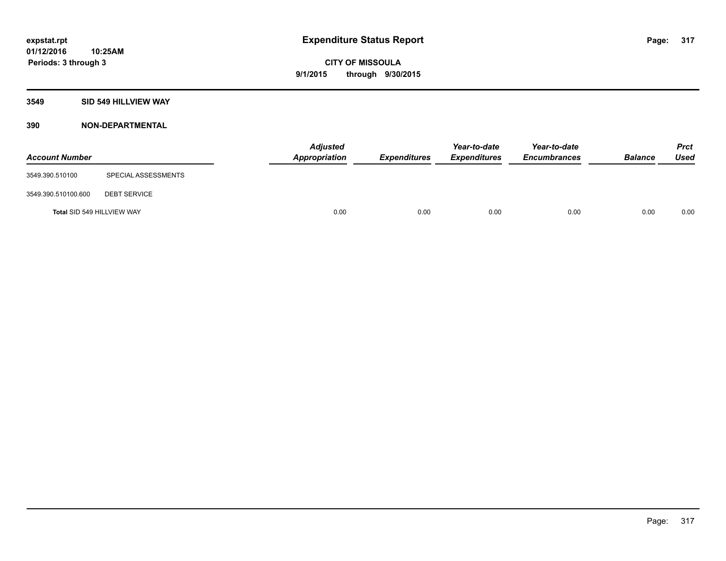#### **3549 SID 549 HILLVIEW WAY**

| <b>Account Number</b>      |                     | <b>Adjusted</b><br>Appropriation | <b>Expenditures</b> | Year-to-date<br><b>Expenditures</b> | Year-to-date<br><b>Encumbrances</b> | <b>Balance</b> | <b>Prct</b><br><b>Used</b> |
|----------------------------|---------------------|----------------------------------|---------------------|-------------------------------------|-------------------------------------|----------------|----------------------------|
| 3549.390.510100            | SPECIAL ASSESSMENTS |                                  |                     |                                     |                                     |                |                            |
| 3549.390.510100.600        | <b>DEBT SERVICE</b> |                                  |                     |                                     |                                     |                |                            |
| Total SID 549 HILLVIEW WAY |                     | 0.00                             | 0.00                | 0.00                                | 0.00                                | 0.00           | 0.00                       |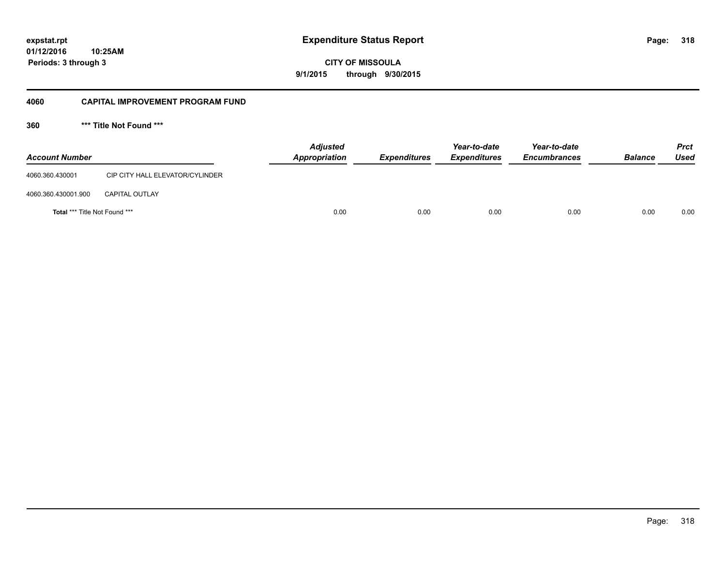# **01/12/2016**

**Periods: 3 through 3**

**318**

**CITY OF MISSOULA 9/1/2015 through 9/30/2015**

#### **4060 CAPITAL IMPROVEMENT PROGRAM FUND**

**360 \*\*\* Title Not Found \*\*\***

| <b>Account Number</b>                |                                 | <b>Adjusted</b><br>Appropriation | <b>Expenditures</b> | Year-to-date<br><b>Expenditures</b> | Year-to-date<br><b>Encumbrances</b> | <b>Balance</b> | Prct<br><b>Used</b> |
|--------------------------------------|---------------------------------|----------------------------------|---------------------|-------------------------------------|-------------------------------------|----------------|---------------------|
| 4060.360.430001                      | CIP CITY HALL ELEVATOR/CYLINDER |                                  |                     |                                     |                                     |                |                     |
| 4060.360.430001.900                  | <b>CAPITAL OUTLAY</b>           |                                  |                     |                                     |                                     |                |                     |
| <b>Total *** Title Not Found ***</b> |                                 | 0.00                             | 0.00                | 0.00                                | 0.00                                | 0.00           | 0.00                |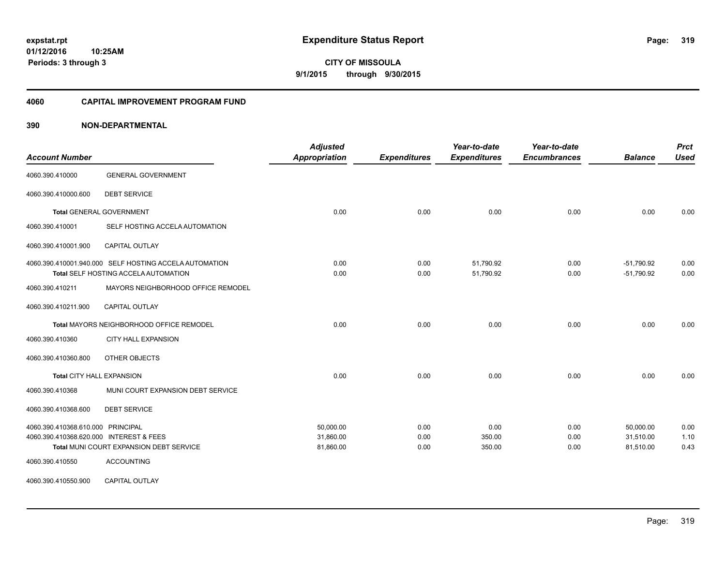**319**

**01/12/2016 10:25AM Periods: 3 through 3**

**CITY OF MISSOULA 9/1/2015 through 9/30/2015**

#### **4060 CAPITAL IMPROVEMENT PROGRAM FUND**

| <b>Account Number</b>                   |                                                                                                | <b>Adjusted</b><br><b>Appropriation</b> | <b>Expenditures</b> | Year-to-date<br><b>Expenditures</b> | Year-to-date<br><b>Encumbrances</b> | <b>Balance</b>               | <b>Prct</b><br><b>Used</b> |
|-----------------------------------------|------------------------------------------------------------------------------------------------|-----------------------------------------|---------------------|-------------------------------------|-------------------------------------|------------------------------|----------------------------|
| 4060.390.410000                         | <b>GENERAL GOVERNMENT</b>                                                                      |                                         |                     |                                     |                                     |                              |                            |
| 4060.390.410000.600                     | <b>DEBT SERVICE</b>                                                                            |                                         |                     |                                     |                                     |                              |                            |
|                                         | <b>Total GENERAL GOVERNMENT</b>                                                                | 0.00                                    | 0.00                | 0.00                                | 0.00                                | 0.00                         | 0.00                       |
| 4060.390.410001                         | SELF HOSTING ACCELA AUTOMATION                                                                 |                                         |                     |                                     |                                     |                              |                            |
| 4060.390.410001.900                     | CAPITAL OUTLAY                                                                                 |                                         |                     |                                     |                                     |                              |                            |
|                                         | 4060.390.410001.940.000 SELF HOSTING ACCELA AUTOMATION<br>Total SELF HOSTING ACCELA AUTOMATION | 0.00<br>0.00                            | 0.00<br>0.00        | 51,790.92<br>51,790.92              | 0.00<br>0.00                        | $-51,790.92$<br>$-51,790.92$ | 0.00<br>0.00               |
| 4060.390.410211                         | MAYORS NEIGHBORHOOD OFFICE REMODEL                                                             |                                         |                     |                                     |                                     |                              |                            |
| 4060.390.410211.900                     | <b>CAPITAL OUTLAY</b>                                                                          |                                         |                     |                                     |                                     |                              |                            |
|                                         | Total MAYORS NEIGHBORHOOD OFFICE REMODEL                                                       | 0.00                                    | 0.00                | 0.00                                | 0.00                                | 0.00                         | 0.00                       |
| 4060.390.410360                         | <b>CITY HALL EXPANSION</b>                                                                     |                                         |                     |                                     |                                     |                              |                            |
| 4060.390.410360.800                     | OTHER OBJECTS                                                                                  |                                         |                     |                                     |                                     |                              |                            |
|                                         | Total CITY HALL EXPANSION                                                                      | 0.00                                    | 0.00                | 0.00                                | 0.00                                | 0.00                         | 0.00                       |
| 4060.390.410368                         | MUNI COURT EXPANSION DEBT SERVICE                                                              |                                         |                     |                                     |                                     |                              |                            |
| 4060.390.410368.600                     | <b>DEBT SERVICE</b>                                                                            |                                         |                     |                                     |                                     |                              |                            |
| 4060.390.410368.610.000 PRINCIPAL       |                                                                                                | 50.000.00                               | 0.00                | 0.00                                | 0.00                                | 50.000.00                    | 0.00                       |
| 4060.390.410368.620.000 INTEREST & FEES |                                                                                                | 31,860.00                               | 0.00                | 350.00                              | 0.00                                | 31,510.00                    | 1.10                       |
|                                         | Total MUNI COURT EXPANSION DEBT SERVICE                                                        | 81,860.00                               | 0.00                | 350.00                              | 0.00                                | 81,510.00                    | 0.43                       |
| 4060.390.410550                         | <b>ACCOUNTING</b>                                                                              |                                         |                     |                                     |                                     |                              |                            |
| 4060.390.410550.900                     | CAPITAL OUTLAY                                                                                 |                                         |                     |                                     |                                     |                              |                            |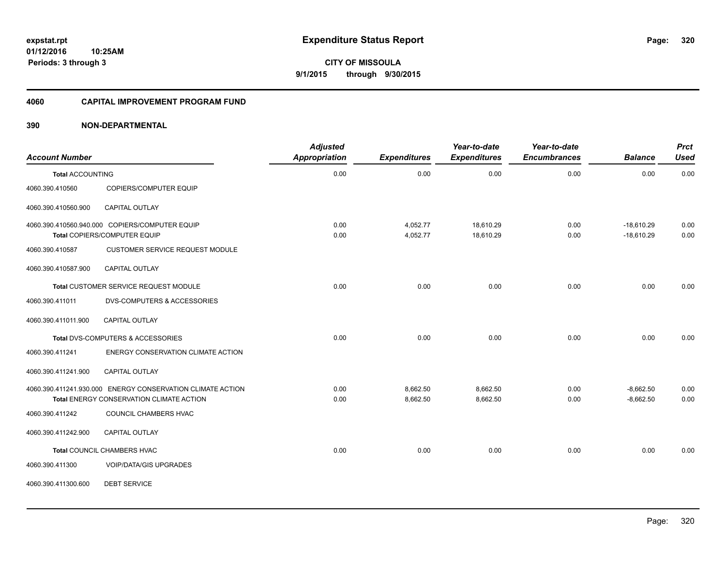**CITY OF MISSOULA 9/1/2015 through 9/30/2015**

#### **4060 CAPITAL IMPROVEMENT PROGRAM FUND**

#### **390 NON-DEPARTMENTAL**

| <b>Account Number</b>   |                                                            | <b>Adjusted</b><br>Appropriation | <b>Expenditures</b> | Year-to-date<br><b>Expenditures</b> | Year-to-date<br><b>Encumbrances</b> | <b>Balance</b> | <b>Prct</b><br><b>Used</b> |
|-------------------------|------------------------------------------------------------|----------------------------------|---------------------|-------------------------------------|-------------------------------------|----------------|----------------------------|
| <b>Total ACCOUNTING</b> |                                                            | 0.00                             | 0.00                | 0.00                                | 0.00                                | 0.00           | 0.00                       |
| 4060.390.410560         | COPIERS/COMPUTER EQUIP                                     |                                  |                     |                                     |                                     |                |                            |
| 4060.390.410560.900     | <b>CAPITAL OUTLAY</b>                                      |                                  |                     |                                     |                                     |                |                            |
|                         | 4060.390.410560.940.000 COPIERS/COMPUTER EQUIP             | 0.00                             | 4,052.77            | 18,610.29                           | 0.00                                | $-18,610.29$   | 0.00                       |
|                         | Total COPIERS/COMPUTER EQUIP                               | 0.00                             | 4,052.77            | 18,610.29                           | 0.00                                | $-18,610.29$   | 0.00                       |
| 4060.390.410587         | <b>CUSTOMER SERVICE REQUEST MODULE</b>                     |                                  |                     |                                     |                                     |                |                            |
| 4060.390.410587.900     | <b>CAPITAL OUTLAY</b>                                      |                                  |                     |                                     |                                     |                |                            |
|                         | Total CUSTOMER SERVICE REQUEST MODULE                      | 0.00                             | 0.00                | 0.00                                | 0.00                                | 0.00           | 0.00                       |
| 4060.390.411011         | <b>DVS-COMPUTERS &amp; ACCESSORIES</b>                     |                                  |                     |                                     |                                     |                |                            |
| 4060.390.411011.900     | <b>CAPITAL OUTLAY</b>                                      |                                  |                     |                                     |                                     |                |                            |
|                         | Total DVS-COMPUTERS & ACCESSORIES                          | 0.00                             | 0.00                | 0.00                                | 0.00                                | 0.00           | 0.00                       |
| 4060.390.411241         | ENERGY CONSERVATION CLIMATE ACTION                         |                                  |                     |                                     |                                     |                |                            |
| 4060.390.411241.900     | <b>CAPITAL OUTLAY</b>                                      |                                  |                     |                                     |                                     |                |                            |
|                         | 4060.390.411241.930.000 ENERGY CONSERVATION CLIMATE ACTION | 0.00                             | 8,662.50            | 8,662.50                            | 0.00                                | $-8,662.50$    | 0.00                       |
|                         | Total ENERGY CONSERVATION CLIMATE ACTION                   | 0.00                             | 8,662.50            | 8,662.50                            | 0.00                                | $-8,662.50$    | 0.00                       |
| 4060.390.411242         | COUNCIL CHAMBERS HVAC                                      |                                  |                     |                                     |                                     |                |                            |
| 4060.390.411242.900     | <b>CAPITAL OUTLAY</b>                                      |                                  |                     |                                     |                                     |                |                            |
|                         | Total COUNCIL CHAMBERS HVAC                                | 0.00                             | 0.00                | 0.00                                | 0.00                                | 0.00           | 0.00                       |
| 4060.390.411300         | <b>VOIP/DATA/GIS UPGRADES</b>                              |                                  |                     |                                     |                                     |                |                            |
| 4060.390.411300.600     | <b>DEBT SERVICE</b>                                        |                                  |                     |                                     |                                     |                |                            |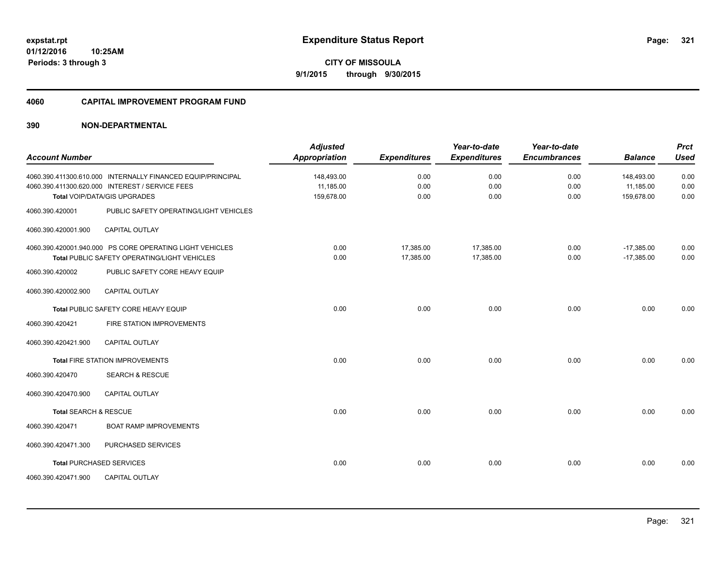# **CITY OF MISSOULA 9/1/2015 through 9/30/2015**

#### **4060 CAPITAL IMPROVEMENT PROGRAM FUND**

| <b>Account Number</b> |                                                                                                                                                   | <b>Adjusted</b><br><b>Appropriation</b> | <b>Expenditures</b>    | Year-to-date<br><b>Expenditures</b> | Year-to-date<br><b>Encumbrances</b> | <b>Balance</b>                        | <b>Prct</b><br><b>Used</b> |
|-----------------------|---------------------------------------------------------------------------------------------------------------------------------------------------|-----------------------------------------|------------------------|-------------------------------------|-------------------------------------|---------------------------------------|----------------------------|
|                       | 4060.390.411300.610.000 INTERNALLY FINANCED EQUIP/PRINCIPAL<br>4060.390.411300.620.000 INTEREST / SERVICE FEES<br>Total VOIP/DATA/GIS UPGRADES    | 148,493.00<br>11.185.00<br>159,678.00   | 0.00<br>0.00<br>0.00   | 0.00<br>0.00<br>0.00                | 0.00<br>0.00<br>0.00                | 148,493.00<br>11,185.00<br>159,678.00 | 0.00<br>0.00<br>0.00       |
| 4060.390.420001       | PUBLIC SAFETY OPERATING/LIGHT VEHICLES                                                                                                            |                                         |                        |                                     |                                     |                                       |                            |
| 4060.390.420001.900   | <b>CAPITAL OUTLAY</b>                                                                                                                             |                                         |                        |                                     |                                     |                                       |                            |
| 4060.390.420002       | 4060.390.420001.940.000 PS CORE OPERATING LIGHT VEHICLES<br><b>Total PUBLIC SAFETY OPERATING/LIGHT VEHICLES</b><br>PUBLIC SAFETY CORE HEAVY EQUIP | 0.00<br>0.00                            | 17,385.00<br>17,385.00 | 17,385.00<br>17,385.00              | 0.00<br>0.00                        | $-17,385.00$<br>$-17,385.00$          | 0.00<br>0.00               |
| 4060.390.420002.900   | <b>CAPITAL OUTLAY</b>                                                                                                                             |                                         |                        |                                     |                                     |                                       |                            |
|                       | Total PUBLIC SAFETY CORE HEAVY EQUIP                                                                                                              | 0.00                                    | 0.00                   | 0.00                                | 0.00                                | 0.00                                  | 0.00                       |
| 4060.390.420421       | FIRE STATION IMPROVEMENTS                                                                                                                         |                                         |                        |                                     |                                     |                                       |                            |
| 4060.390.420421.900   | <b>CAPITAL OUTLAY</b>                                                                                                                             |                                         |                        |                                     |                                     |                                       |                            |
|                       | Total FIRE STATION IMPROVEMENTS                                                                                                                   | 0.00                                    | 0.00                   | 0.00                                | 0.00                                | 0.00                                  | 0.00                       |
| 4060.390.420470       | <b>SEARCH &amp; RESCUE</b>                                                                                                                        |                                         |                        |                                     |                                     |                                       |                            |
| 4060.390.420470.900   | <b>CAPITAL OUTLAY</b>                                                                                                                             |                                         |                        |                                     |                                     |                                       |                            |
| Total SEARCH & RESCUE |                                                                                                                                                   | 0.00                                    | 0.00                   | 0.00                                | 0.00                                | 0.00                                  | 0.00                       |
| 4060.390.420471       | <b>BOAT RAMP IMPROVEMENTS</b>                                                                                                                     |                                         |                        |                                     |                                     |                                       |                            |
| 4060.390.420471.300   | PURCHASED SERVICES                                                                                                                                |                                         |                        |                                     |                                     |                                       |                            |
|                       | <b>Total PURCHASED SERVICES</b>                                                                                                                   | 0.00                                    | 0.00                   | 0.00                                | 0.00                                | 0.00                                  | 0.00                       |
| 4060.390.420471.900   | <b>CAPITAL OUTLAY</b>                                                                                                                             |                                         |                        |                                     |                                     |                                       |                            |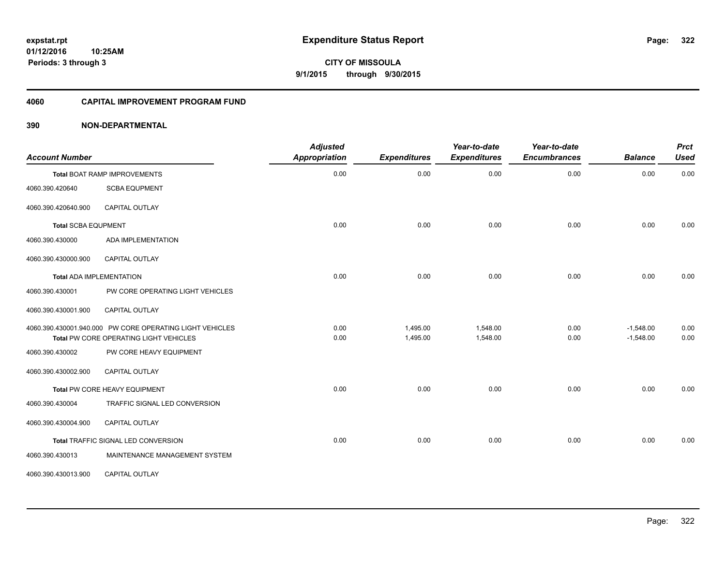**CITY OF MISSOULA 9/1/2015 through 9/30/2015**

#### **4060 CAPITAL IMPROVEMENT PROGRAM FUND**

#### **390 NON-DEPARTMENTAL**

| <b>Account Number</b>      |                                                                                                    | <b>Adjusted</b><br><b>Appropriation</b> | <b>Expenditures</b>  | Year-to-date<br><b>Expenditures</b> | Year-to-date<br><b>Encumbrances</b> | <b>Balance</b>             | <b>Prct</b><br><b>Used</b> |
|----------------------------|----------------------------------------------------------------------------------------------------|-----------------------------------------|----------------------|-------------------------------------|-------------------------------------|----------------------------|----------------------------|
|                            | <b>Total BOAT RAMP IMPROVEMENTS</b>                                                                | 0.00                                    | 0.00                 | 0.00                                | 0.00                                | 0.00                       | 0.00                       |
| 4060.390.420640            | <b>SCBA EQUPMENT</b>                                                                               |                                         |                      |                                     |                                     |                            |                            |
| 4060.390.420640.900        | CAPITAL OUTLAY                                                                                     |                                         |                      |                                     |                                     |                            |                            |
| <b>Total SCBA EQUPMENT</b> |                                                                                                    | 0.00                                    | 0.00                 | 0.00                                | 0.00                                | 0.00                       | 0.00                       |
| 4060.390.430000            | ADA IMPLEMENTATION                                                                                 |                                         |                      |                                     |                                     |                            |                            |
| 4060.390.430000.900        | <b>CAPITAL OUTLAY</b>                                                                              |                                         |                      |                                     |                                     |                            |                            |
|                            | <b>Total ADA IMPLEMENTATION</b>                                                                    | 0.00                                    | 0.00                 | 0.00                                | 0.00                                | 0.00                       | 0.00                       |
| 4060.390.430001            | PW CORE OPERATING LIGHT VEHICLES                                                                   |                                         |                      |                                     |                                     |                            |                            |
| 4060.390.430001.900        | CAPITAL OUTLAY                                                                                     |                                         |                      |                                     |                                     |                            |                            |
|                            | 4060.390.430001.940.000 PW CORE OPERATING LIGHT VEHICLES<br>Total PW CORE OPERATING LIGHT VEHICLES | 0.00<br>0.00                            | 1,495.00<br>1,495.00 | 1,548.00<br>1,548.00                | 0.00<br>0.00                        | $-1,548.00$<br>$-1,548.00$ | 0.00<br>0.00               |
| 4060.390.430002            | PW CORE HEAVY EQUIPMENT                                                                            |                                         |                      |                                     |                                     |                            |                            |
| 4060.390.430002.900        | <b>CAPITAL OUTLAY</b>                                                                              |                                         |                      |                                     |                                     |                            |                            |
|                            | Total PW CORE HEAVY EQUIPMENT                                                                      | 0.00                                    | 0.00                 | 0.00                                | 0.00                                | 0.00                       | 0.00                       |
| 4060.390.430004            | TRAFFIC SIGNAL LED CONVERSION                                                                      |                                         |                      |                                     |                                     |                            |                            |
| 4060.390.430004.900        | <b>CAPITAL OUTLAY</b>                                                                              |                                         |                      |                                     |                                     |                            |                            |
|                            | Total TRAFFIC SIGNAL LED CONVERSION                                                                | 0.00                                    | 0.00                 | 0.00                                | 0.00                                | 0.00                       | 0.00                       |
| 4060.390.430013            | MAINTENANCE MANAGEMENT SYSTEM                                                                      |                                         |                      |                                     |                                     |                            |                            |
| 4060.390.430013.900        | CAPITAL OUTLAY                                                                                     |                                         |                      |                                     |                                     |                            |                            |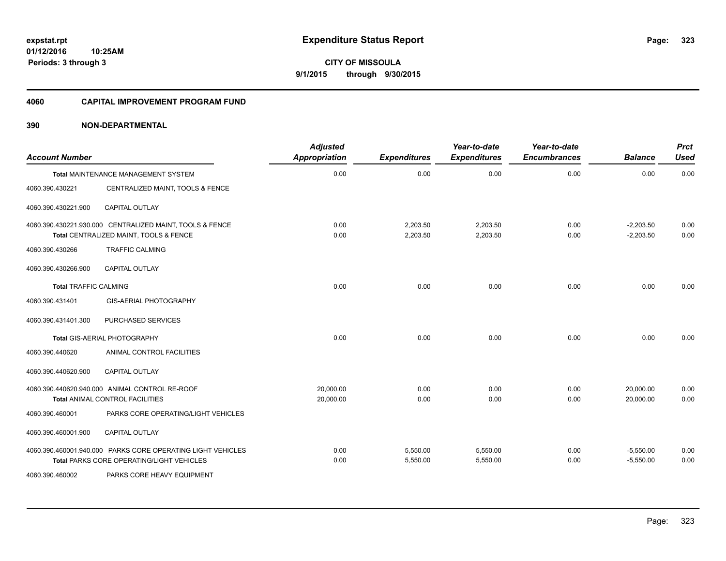**CITY OF MISSOULA 9/1/2015 through 9/30/2015**

#### **4060 CAPITAL IMPROVEMENT PROGRAM FUND**

#### **390 NON-DEPARTMENTAL**

| <b>Account Number</b>        |                                                                                                          | <b>Adjusted</b><br>Appropriation | <b>Expenditures</b>  | Year-to-date<br><b>Expenditures</b> | Year-to-date<br><b>Encumbrances</b> | <b>Balance</b>             | <b>Prct</b><br><b>Used</b> |
|------------------------------|----------------------------------------------------------------------------------------------------------|----------------------------------|----------------------|-------------------------------------|-------------------------------------|----------------------------|----------------------------|
|                              | Total MAINTENANCE MANAGEMENT SYSTEM                                                                      | 0.00                             | 0.00                 | 0.00                                | 0.00                                | 0.00                       | 0.00                       |
| 4060.390.430221              | CENTRALIZED MAINT, TOOLS & FENCE                                                                         |                                  |                      |                                     |                                     |                            |                            |
| 4060.390.430221.900          | <b>CAPITAL OUTLAY</b>                                                                                    |                                  |                      |                                     |                                     |                            |                            |
|                              | 4060.390.430221.930.000 CENTRALIZED MAINT, TOOLS & FENCE<br>Total CENTRALIZED MAINT, TOOLS & FENCE       | 0.00<br>0.00                     | 2,203.50<br>2,203.50 | 2,203.50<br>2,203.50                | 0.00<br>0.00                        | $-2,203.50$<br>$-2,203.50$ | 0.00<br>0.00               |
| 4060.390.430266              | <b>TRAFFIC CALMING</b>                                                                                   |                                  |                      |                                     |                                     |                            |                            |
| 4060.390.430266.900          | <b>CAPITAL OUTLAY</b>                                                                                    |                                  |                      |                                     |                                     |                            |                            |
| <b>Total TRAFFIC CALMING</b> |                                                                                                          | 0.00                             | 0.00                 | 0.00                                | 0.00                                | 0.00                       | 0.00                       |
| 4060.390.431401              | GIS-AERIAL PHOTOGRAPHY                                                                                   |                                  |                      |                                     |                                     |                            |                            |
| 4060.390.431401.300          | PURCHASED SERVICES                                                                                       |                                  |                      |                                     |                                     |                            |                            |
|                              | Total GIS-AERIAL PHOTOGRAPHY                                                                             | 0.00                             | 0.00                 | 0.00                                | 0.00                                | 0.00                       | 0.00                       |
| 4060.390.440620              | ANIMAL CONTROL FACILITIES                                                                                |                                  |                      |                                     |                                     |                            |                            |
| 4060.390.440620.900          | <b>CAPITAL OUTLAY</b>                                                                                    |                                  |                      |                                     |                                     |                            |                            |
|                              | 4060.390.440620.940.000 ANIMAL CONTROL RE-ROOF<br>Total ANIMAL CONTROL FACILITIES                        | 20,000.00<br>20,000.00           | 0.00<br>0.00         | 0.00<br>0.00                        | 0.00<br>0.00                        | 20,000.00<br>20,000.00     | 0.00<br>0.00               |
| 4060.390.460001              | PARKS CORE OPERATING/LIGHT VEHICLES                                                                      |                                  |                      |                                     |                                     |                            |                            |
| 4060.390.460001.900          | <b>CAPITAL OUTLAY</b>                                                                                    |                                  |                      |                                     |                                     |                            |                            |
|                              | 4060.390.460001.940.000 PARKS CORE OPERATING LIGHT VEHICLES<br>Total PARKS CORE OPERATING/LIGHT VEHICLES | 0.00<br>0.00                     | 5,550.00<br>5,550.00 | 5,550.00<br>5,550.00                | 0.00<br>0.00                        | $-5,550.00$<br>$-5,550.00$ | 0.00<br>0.00               |
| 4060.390.460002              | PARKS CORE HEAVY EQUIPMENT                                                                               |                                  |                      |                                     |                                     |                            |                            |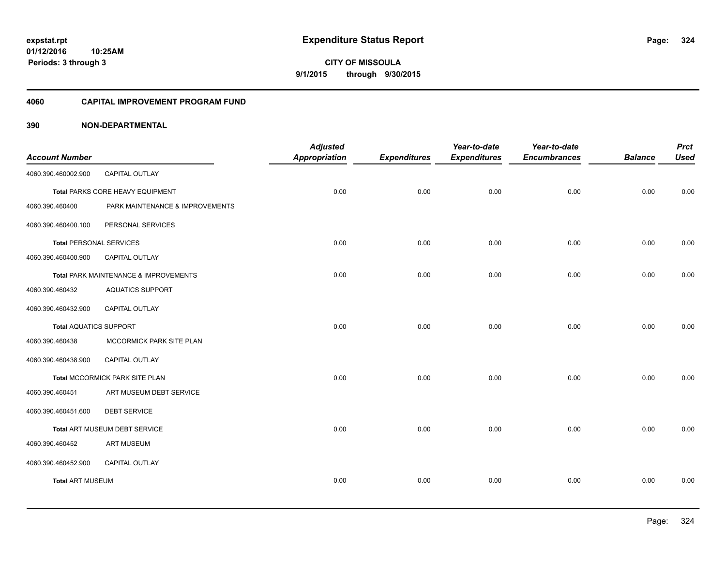**CITY OF MISSOULA 9/1/2015 through 9/30/2015**

#### **4060 CAPITAL IMPROVEMENT PROGRAM FUND**

#### **390 NON-DEPARTMENTAL**

|                                |                                       | <b>Adjusted</b> |                     | Year-to-date        | Year-to-date        |                | <b>Prct</b> |
|--------------------------------|---------------------------------------|-----------------|---------------------|---------------------|---------------------|----------------|-------------|
| <b>Account Number</b>          |                                       | Appropriation   | <b>Expenditures</b> | <b>Expenditures</b> | <b>Encumbrances</b> | <b>Balance</b> | <b>Used</b> |
| 4060.390.460002.900            | CAPITAL OUTLAY                        |                 |                     |                     |                     |                |             |
|                                | Total PARKS CORE HEAVY EQUIPMENT      | 0.00            | 0.00                | 0.00                | 0.00                | 0.00           | 0.00        |
| 4060.390.460400                | PARK MAINTENANCE & IMPROVEMENTS       |                 |                     |                     |                     |                |             |
| 4060.390.460400.100            | PERSONAL SERVICES                     |                 |                     |                     |                     |                |             |
| <b>Total PERSONAL SERVICES</b> |                                       | 0.00            | 0.00                | 0.00                | 0.00                | 0.00           | 0.00        |
| 4060.390.460400.900            | CAPITAL OUTLAY                        |                 |                     |                     |                     |                |             |
|                                | Total PARK MAINTENANCE & IMPROVEMENTS | 0.00            | 0.00                | 0.00                | 0.00                | 0.00           | 0.00        |
| 4060.390.460432                | <b>AQUATICS SUPPORT</b>               |                 |                     |                     |                     |                |             |
| 4060.390.460432.900            | <b>CAPITAL OUTLAY</b>                 |                 |                     |                     |                     |                |             |
| <b>Total AQUATICS SUPPORT</b>  |                                       | 0.00            | 0.00                | 0.00                | 0.00                | 0.00           | 0.00        |
| 4060.390.460438                | MCCORMICK PARK SITE PLAN              |                 |                     |                     |                     |                |             |
| 4060.390.460438.900            | CAPITAL OUTLAY                        |                 |                     |                     |                     |                |             |
|                                | Total MCCORMICK PARK SITE PLAN        | 0.00            | 0.00                | 0.00                | 0.00                | 0.00           | 0.00        |
| 4060.390.460451                | ART MUSEUM DEBT SERVICE               |                 |                     |                     |                     |                |             |
| 4060.390.460451.600            | <b>DEBT SERVICE</b>                   |                 |                     |                     |                     |                |             |
|                                | Total ART MUSEUM DEBT SERVICE         | 0.00            | 0.00                | 0.00                | 0.00                | 0.00           | 0.00        |
| 4060.390.460452                | <b>ART MUSEUM</b>                     |                 |                     |                     |                     |                |             |
| 4060.390.460452.900            | CAPITAL OUTLAY                        |                 |                     |                     |                     |                |             |
| <b>Total ART MUSEUM</b>        |                                       | 0.00            | 0.00                | 0.00                | 0.00                | 0.00           | 0.00        |
|                                |                                       |                 |                     |                     |                     |                |             |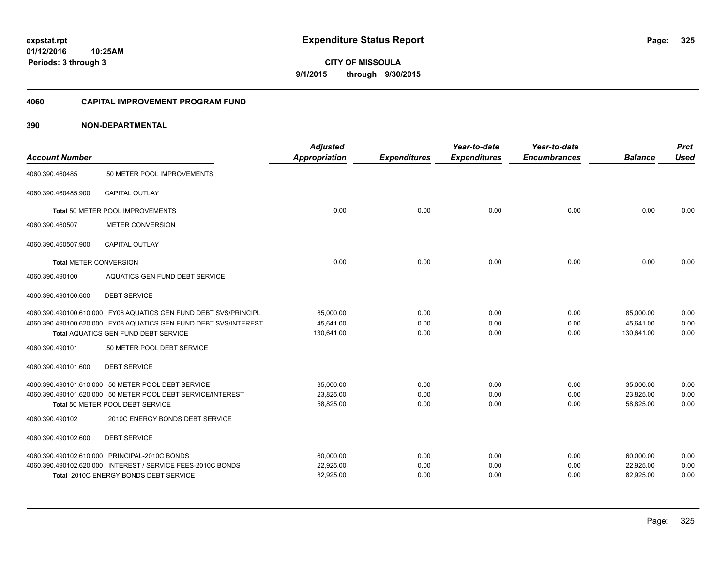**01/12/2016 10:25AM Periods: 3 through 3**

**CITY OF MISSOULA 9/1/2015 through 9/30/2015**

#### **4060 CAPITAL IMPROVEMENT PROGRAM FUND**

| <b>Account Number</b>         |                                                                  | <b>Adjusted</b><br><b>Appropriation</b> | <b>Expenditures</b> | Year-to-date<br><b>Expenditures</b> | Year-to-date<br><b>Encumbrances</b> | <b>Balance</b> | <b>Prct</b><br><b>Used</b> |
|-------------------------------|------------------------------------------------------------------|-----------------------------------------|---------------------|-------------------------------------|-------------------------------------|----------------|----------------------------|
| 4060.390.460485               | 50 METER POOL IMPROVEMENTS                                       |                                         |                     |                                     |                                     |                |                            |
| 4060.390.460485.900           | <b>CAPITAL OUTLAY</b>                                            |                                         |                     |                                     |                                     |                |                            |
|                               | Total 50 METER POOL IMPROVEMENTS                                 | 0.00                                    | 0.00                | 0.00                                | 0.00                                | 0.00           | 0.00                       |
| 4060.390.460507               | <b>METER CONVERSION</b>                                          |                                         |                     |                                     |                                     |                |                            |
| 4060.390.460507.900           | CAPITAL OUTLAY                                                   |                                         |                     |                                     |                                     |                |                            |
| <b>Total METER CONVERSION</b> |                                                                  | 0.00                                    | 0.00                | 0.00                                | 0.00                                | 0.00           | 0.00                       |
| 4060.390.490100               | AQUATICS GEN FUND DEBT SERVICE                                   |                                         |                     |                                     |                                     |                |                            |
| 4060.390.490100.600           | <b>DEBT SERVICE</b>                                              |                                         |                     |                                     |                                     |                |                            |
|                               | 4060.390.490100.610.000 FY08 AQUATICS GEN FUND DEBT SVS/PRINCIPL | 85.000.00                               | 0.00                | 0.00                                | 0.00                                | 85.000.00      | 0.00                       |
|                               | 4060.390.490100.620.000 FY08 AQUATICS GEN FUND DEBT SVS/INTEREST | 45,641.00                               | 0.00                | 0.00                                | 0.00                                | 45,641.00      | 0.00                       |
|                               | <b>Total AQUATICS GEN FUND DEBT SERVICE</b>                      | 130,641.00                              | 0.00                | 0.00                                | 0.00                                | 130,641.00     | 0.00                       |
| 4060.390.490101               | 50 METER POOL DEBT SERVICE                                       |                                         |                     |                                     |                                     |                |                            |
| 4060.390.490101.600           | <b>DEBT SERVICE</b>                                              |                                         |                     |                                     |                                     |                |                            |
|                               | 4060.390.490101.610.000 50 METER POOL DEBT SERVICE               | 35,000.00                               | 0.00                | 0.00                                | 0.00                                | 35,000.00      | 0.00                       |
|                               | 4060.390.490101.620.000 50 METER POOL DEBT SERVICE/INTEREST      | 23,825.00                               | 0.00                | 0.00                                | 0.00                                | 23,825.00      | 0.00                       |
|                               | Total 50 METER POOL DEBT SERVICE                                 | 58,825.00                               | 0.00                | 0.00                                | 0.00                                | 58,825.00      | 0.00                       |
| 4060.390.490102               | 2010C ENERGY BONDS DEBT SERVICE                                  |                                         |                     |                                     |                                     |                |                            |
| 4060.390.490102.600           | <b>DEBT SERVICE</b>                                              |                                         |                     |                                     |                                     |                |                            |
|                               | 4060.390.490102.610.000 PRINCIPAL-2010C BONDS                    | 60,000.00                               | 0.00                | 0.00                                | 0.00                                | 60,000.00      | 0.00                       |
|                               | 4060.390.490102.620.000 INTEREST / SERVICE FEES-2010C BONDS      | 22,925.00                               | 0.00                | 0.00                                | 0.00                                | 22,925.00      | 0.00                       |
|                               | Total 2010C ENERGY BONDS DEBT SERVICE                            | 82,925.00                               | 0.00                | 0.00                                | 0.00                                | 82,925.00      | 0.00                       |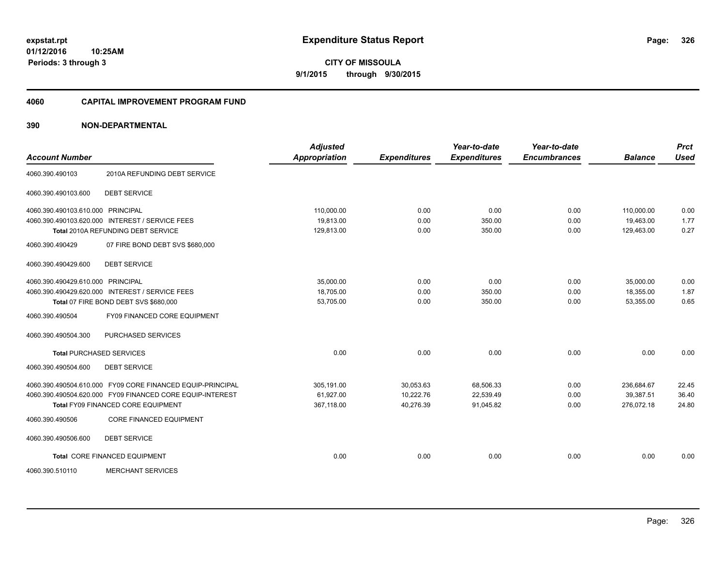**01/12/2016 10:25AM Periods: 3 through 3**

**CITY OF MISSOULA 9/1/2015 through 9/30/2015**

#### **4060 CAPITAL IMPROVEMENT PROGRAM FUND**

| <b>Account Number</b>                           |                                                            | <b>Adjusted</b><br><b>Appropriation</b> |                     | Year-to-date        | Year-to-date<br><b>Encumbrances</b> | <b>Balance</b> | <b>Prct</b><br><b>Used</b> |
|-------------------------------------------------|------------------------------------------------------------|-----------------------------------------|---------------------|---------------------|-------------------------------------|----------------|----------------------------|
|                                                 |                                                            |                                         | <b>Expenditures</b> | <b>Expenditures</b> |                                     |                |                            |
| 4060.390.490103                                 | 2010A REFUNDING DEBT SERVICE                               |                                         |                     |                     |                                     |                |                            |
| 4060.390.490103.600<br><b>DEBT SERVICE</b>      |                                                            |                                         |                     |                     |                                     |                |                            |
| 4060.390.490103.610.000 PRINCIPAL               |                                                            | 110,000.00                              | 0.00                | 0.00                | 0.00                                | 110,000.00     | 0.00                       |
| 4060.390.490103.620.000 INTEREST / SERVICE FEES |                                                            | 19,813.00                               | 0.00                | 350.00              | 0.00                                | 19,463.00      | 1.77                       |
| Total 2010A REFUNDING DEBT SERVICE              |                                                            | 129,813.00                              | 0.00                | 350.00              | 0.00                                | 129,463.00     | 0.27                       |
| 4060.390.490429                                 | 07 FIRE BOND DEBT SVS \$680,000                            |                                         |                     |                     |                                     |                |                            |
| <b>DEBT SERVICE</b><br>4060.390.490429.600      |                                                            |                                         |                     |                     |                                     |                |                            |
| 4060.390.490429.610.000 PRINCIPAL               |                                                            | 35,000.00                               | 0.00                | 0.00                | 0.00                                | 35,000.00      | 0.00                       |
| 4060.390.490429.620.000 INTEREST / SERVICE FEES |                                                            | 18,705.00                               | 0.00                | 350.00              | 0.00                                | 18,355.00      | 1.87                       |
| Total 07 FIRE BOND DEBT SVS \$680,000           |                                                            | 53,705.00                               | 0.00                | 350.00              | 0.00                                | 53,355.00      | 0.65                       |
| 4060.390.490504                                 | FY09 FINANCED CORE EQUIPMENT                               |                                         |                     |                     |                                     |                |                            |
| 4060.390.490504.300                             | PURCHASED SERVICES                                         |                                         |                     |                     |                                     |                |                            |
| <b>Total PURCHASED SERVICES</b>                 |                                                            | 0.00                                    | 0.00                | 0.00                | 0.00                                | 0.00           | 0.00                       |
| 4060.390.490504.600<br><b>DEBT SERVICE</b>      |                                                            |                                         |                     |                     |                                     |                |                            |
|                                                 | 4060.390.490504.610.000 FY09 CORE FINANCED EQUIP-PRINCIPAL | 305,191.00                              | 30,053.63           | 68,506.33           | 0.00                                | 236,684.67     | 22.45                      |
|                                                 | 4060.390.490504.620.000 FY09 FINANCED CORE EQUIP-INTEREST  | 61,927.00                               | 10,222.76           | 22,539.49           | 0.00                                | 39,387.51      | 36.40                      |
| Total FY09 FINANCED CORE EQUIPMENT              |                                                            | 367,118.00                              | 40,276.39           | 91,045.82           | 0.00                                | 276,072.18     | 24.80                      |
| 4060.390.490506                                 | <b>CORE FINANCED EQUIPMENT</b>                             |                                         |                     |                     |                                     |                |                            |
| <b>DEBT SERVICE</b><br>4060.390.490506.600      |                                                            |                                         |                     |                     |                                     |                |                            |
| Total CORE FINANCED EQUIPMENT                   |                                                            | 0.00                                    | 0.00                | 0.00                | 0.00                                | 0.00           | 0.00                       |
| 4060.390.510110                                 | <b>MERCHANT SERVICES</b>                                   |                                         |                     |                     |                                     |                |                            |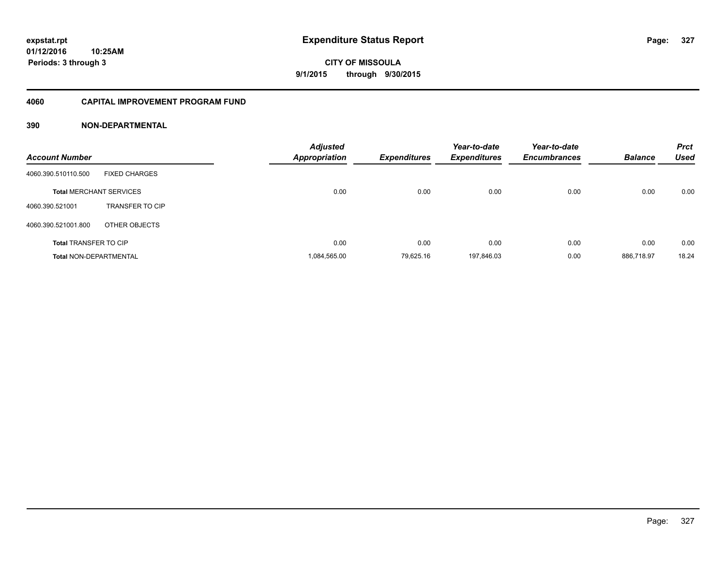### **4060 CAPITAL IMPROVEMENT PROGRAM FUND**

| <b>Account Number</b>          |                        | <b>Adjusted</b><br><b>Appropriation</b> | <b>Expenditures</b> | Year-to-date<br><b>Expenditures</b> | Year-to-date<br><b>Encumbrances</b> | <b>Balance</b> | <b>Prct</b><br><b>Used</b> |
|--------------------------------|------------------------|-----------------------------------------|---------------------|-------------------------------------|-------------------------------------|----------------|----------------------------|
| 4060.390.510110.500            | <b>FIXED CHARGES</b>   |                                         |                     |                                     |                                     |                |                            |
| <b>Total MERCHANT SERVICES</b> |                        | 0.00                                    | 0.00                | 0.00                                | 0.00                                | 0.00           | 0.00                       |
| 4060.390.521001                | <b>TRANSFER TO CIP</b> |                                         |                     |                                     |                                     |                |                            |
| 4060.390.521001.800            | OTHER OBJECTS          |                                         |                     |                                     |                                     |                |                            |
| <b>Total TRANSFER TO CIP</b>   |                        | 0.00                                    | 0.00                | 0.00                                | 0.00                                | 0.00           | 0.00                       |
| <b>Total NON-DEPARTMENTAL</b>  |                        | 1.084.565.00                            | 79.625.16           | 197.846.03                          | 0.00                                | 886.718.97     | 18.24                      |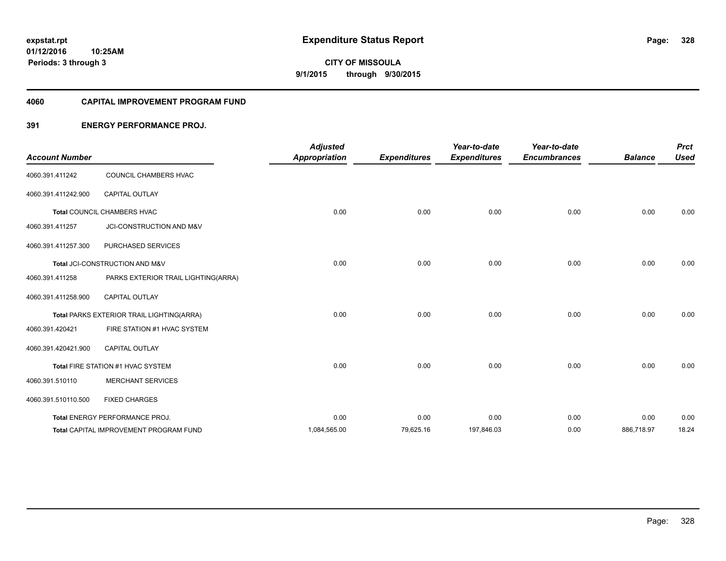**Periods: 3 through 3**

**CITY OF MISSOULA 9/1/2015 through 9/30/2015**

#### **4060 CAPITAL IMPROVEMENT PROGRAM FUND**

## **391 ENERGY PERFORMANCE PROJ.**

| <b>Account Number</b> |                                               | <b>Adjusted</b><br><b>Appropriation</b> | <b>Expenditures</b> | Year-to-date<br><b>Expenditures</b> | Year-to-date<br><b>Encumbrances</b> | <b>Balance</b> | <b>Prct</b><br><b>Used</b> |
|-----------------------|-----------------------------------------------|-----------------------------------------|---------------------|-------------------------------------|-------------------------------------|----------------|----------------------------|
| 4060.391.411242       | COUNCIL CHAMBERS HVAC                         |                                         |                     |                                     |                                     |                |                            |
| 4060.391.411242.900   | <b>CAPITAL OUTLAY</b>                         |                                         |                     |                                     |                                     |                |                            |
|                       | Total COUNCIL CHAMBERS HVAC                   | 0.00                                    | 0.00                | 0.00                                | 0.00                                | 0.00           | 0.00                       |
| 4060.391.411257       | JCI-CONSTRUCTION AND M&V                      |                                         |                     |                                     |                                     |                |                            |
| 4060.391.411257.300   | PURCHASED SERVICES                            |                                         |                     |                                     |                                     |                |                            |
|                       | Total JCI-CONSTRUCTION AND M&V                | 0.00                                    | 0.00                | 0.00                                | 0.00                                | 0.00           | 0.00                       |
| 4060.391.411258       | PARKS EXTERIOR TRAIL LIGHTING(ARRA)           |                                         |                     |                                     |                                     |                |                            |
| 4060.391.411258.900   | CAPITAL OUTLAY                                |                                         |                     |                                     |                                     |                |                            |
|                       | Total PARKS EXTERIOR TRAIL LIGHTING(ARRA)     | 0.00                                    | 0.00                | 0.00                                | 0.00                                | 0.00           | 0.00                       |
| 4060.391.420421       | FIRE STATION #1 HVAC SYSTEM                   |                                         |                     |                                     |                                     |                |                            |
| 4060.391.420421.900   | <b>CAPITAL OUTLAY</b>                         |                                         |                     |                                     |                                     |                |                            |
|                       | Total FIRE STATION #1 HVAC SYSTEM             | 0.00                                    | 0.00                | 0.00                                | 0.00                                | 0.00           | 0.00                       |
| 4060.391.510110       | <b>MERCHANT SERVICES</b>                      |                                         |                     |                                     |                                     |                |                            |
| 4060.391.510110.500   | <b>FIXED CHARGES</b>                          |                                         |                     |                                     |                                     |                |                            |
|                       | Total ENERGY PERFORMANCE PROJ.                | 0.00                                    | 0.00                | 0.00                                | 0.00                                | 0.00           | 0.00                       |
|                       | <b>Total CAPITAL IMPROVEMENT PROGRAM FUND</b> | 1,084,565.00                            | 79,625.16           | 197,846.03                          | 0.00                                | 886,718.97     | 18.24                      |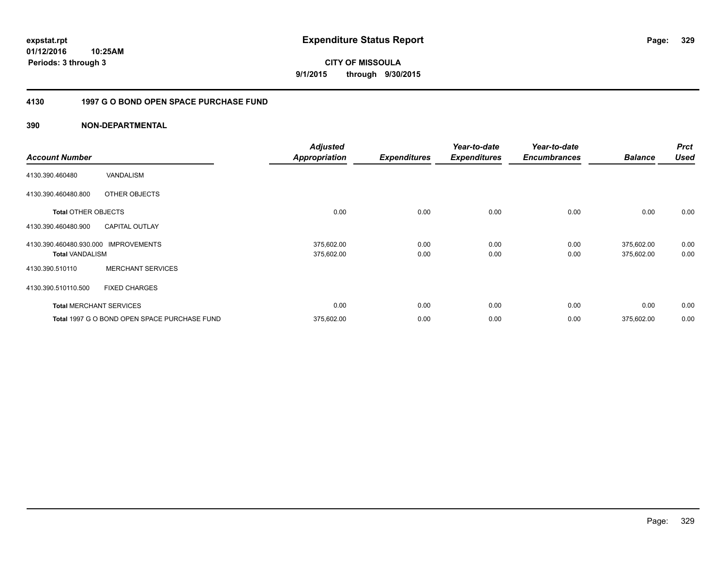**01/12/2016 10:25AM Periods: 3 through 3**

**9/1/2015 through 9/30/2015**

## **4130 1997 G O BOND OPEN SPACE PURCHASE FUND**

| <b>Account Number</b>                             |                                              | <b>Adjusted</b><br><b>Appropriation</b> | <b>Expenditures</b> | Year-to-date<br><b>Expenditures</b> | Year-to-date<br><b>Encumbrances</b> | <b>Balance</b>           | <b>Prct</b><br><b>Used</b> |
|---------------------------------------------------|----------------------------------------------|-----------------------------------------|---------------------|-------------------------------------|-------------------------------------|--------------------------|----------------------------|
| 4130.390.460480                                   | <b>VANDALISM</b>                             |                                         |                     |                                     |                                     |                          |                            |
| 4130.390.460480.800                               | OTHER OBJECTS                                |                                         |                     |                                     |                                     |                          |                            |
| <b>Total OTHER OBJECTS</b>                        |                                              | 0.00                                    | 0.00                | 0.00                                | 0.00                                | 0.00                     | 0.00                       |
| 4130.390.460480.900                               | <b>CAPITAL OUTLAY</b>                        |                                         |                     |                                     |                                     |                          |                            |
| 4130.390.460480.930.000<br><b>Total VANDALISM</b> | <b>IMPROVEMENTS</b>                          | 375,602.00<br>375,602.00                | 0.00<br>0.00        | 0.00<br>0.00                        | 0.00<br>0.00                        | 375,602.00<br>375,602.00 | 0.00<br>0.00               |
| 4130.390.510110                                   | <b>MERCHANT SERVICES</b>                     |                                         |                     |                                     |                                     |                          |                            |
| 4130.390.510110.500                               | <b>FIXED CHARGES</b>                         |                                         |                     |                                     |                                     |                          |                            |
|                                                   | <b>Total MERCHANT SERVICES</b>               | 0.00                                    | 0.00                | 0.00                                | 0.00                                | 0.00                     | 0.00                       |
|                                                   | Total 1997 G O BOND OPEN SPACE PURCHASE FUND | 375,602.00                              | 0.00                | 0.00                                | 0.00                                | 375,602.00               | 0.00                       |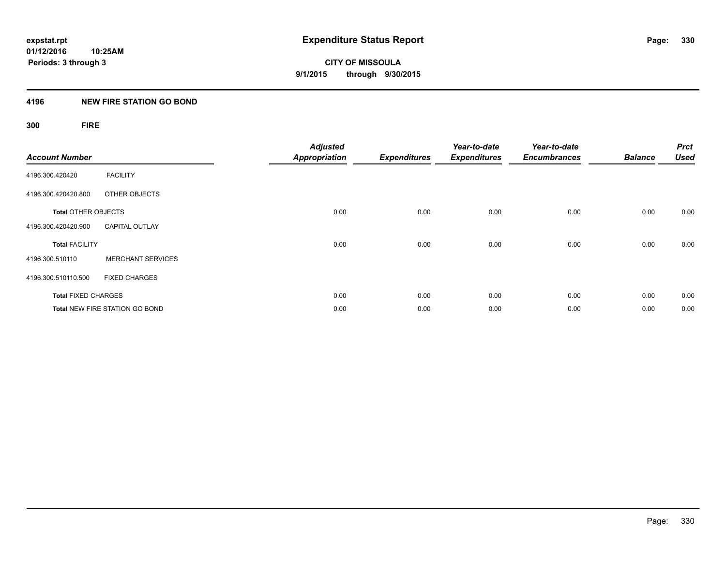## **4196 NEW FIRE STATION GO BOND**

## **300 FIRE**

| <b>Account Number</b>      |                                       | <b>Adjusted</b><br><b>Appropriation</b> | <b>Expenditures</b> | Year-to-date<br><b>Expenditures</b> | Year-to-date<br><b>Encumbrances</b> | <b>Balance</b> | <b>Prct</b><br><b>Used</b> |
|----------------------------|---------------------------------------|-----------------------------------------|---------------------|-------------------------------------|-------------------------------------|----------------|----------------------------|
| 4196.300.420420            | <b>FACILITY</b>                       |                                         |                     |                                     |                                     |                |                            |
| 4196.300.420420.800        | OTHER OBJECTS                         |                                         |                     |                                     |                                     |                |                            |
| <b>Total OTHER OBJECTS</b> |                                       | 0.00                                    | 0.00                | 0.00                                | 0.00                                | 0.00           | 0.00                       |
| 4196.300.420420.900        | <b>CAPITAL OUTLAY</b>                 |                                         |                     |                                     |                                     |                |                            |
| <b>Total FACILITY</b>      |                                       | 0.00                                    | 0.00                | 0.00                                | 0.00                                | 0.00           | 0.00                       |
| 4196.300.510110            | <b>MERCHANT SERVICES</b>              |                                         |                     |                                     |                                     |                |                            |
| 4196.300.510110.500        | <b>FIXED CHARGES</b>                  |                                         |                     |                                     |                                     |                |                            |
| <b>Total FIXED CHARGES</b> |                                       | 0.00                                    | 0.00                | 0.00                                | 0.00                                | 0.00           | 0.00                       |
|                            | <b>Total NEW FIRE STATION GO BOND</b> | 0.00                                    | 0.00                | 0.00                                | 0.00                                | 0.00           | 0.00                       |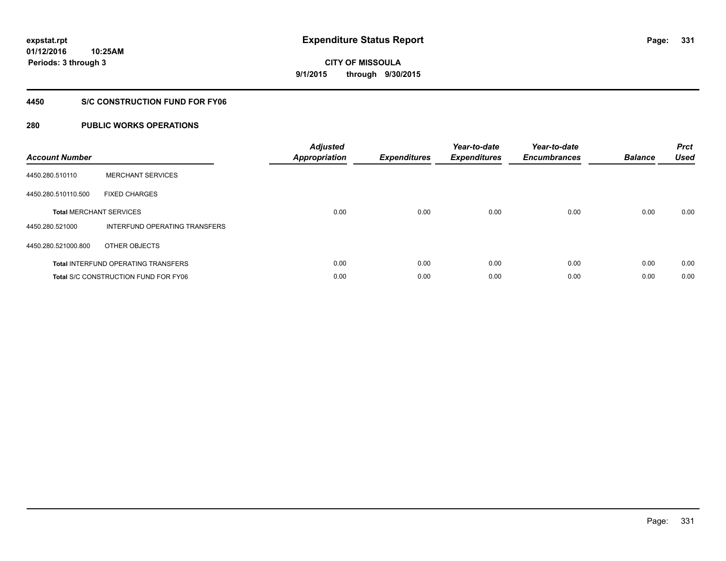**01/12/2016 10:25AM Periods: 3 through 3**

# **CITY OF MISSOULA 9/1/2015 through 9/30/2015**

## **4450 S/C CONSTRUCTION FUND FOR FY06**

| <b>Account Number</b> |                                             | <b>Adjusted</b><br><b>Appropriation</b> | <b>Expenditures</b> | Year-to-date<br><b>Expenditures</b> | Year-to-date<br><b>Encumbrances</b> | <b>Balance</b> | <b>Prct</b><br><b>Used</b> |
|-----------------------|---------------------------------------------|-----------------------------------------|---------------------|-------------------------------------|-------------------------------------|----------------|----------------------------|
| 4450.280.510110       | <b>MERCHANT SERVICES</b>                    |                                         |                     |                                     |                                     |                |                            |
| 4450.280.510110.500   | <b>FIXED CHARGES</b>                        |                                         |                     |                                     |                                     |                |                            |
|                       | <b>Total MERCHANT SERVICES</b>              | 0.00                                    | 0.00                | 0.00                                | 0.00                                | 0.00           | 0.00                       |
| 4450.280.521000       | INTERFUND OPERATING TRANSFERS               |                                         |                     |                                     |                                     |                |                            |
| 4450.280.521000.800   | OTHER OBJECTS                               |                                         |                     |                                     |                                     |                |                            |
|                       | <b>Total INTERFUND OPERATING TRANSFERS</b>  | 0.00                                    | 0.00                | 0.00                                | 0.00                                | 0.00           | 0.00                       |
|                       | <b>Total S/C CONSTRUCTION FUND FOR FY06</b> | 0.00                                    | 0.00                | 0.00                                | 0.00                                | 0.00           | 0.00                       |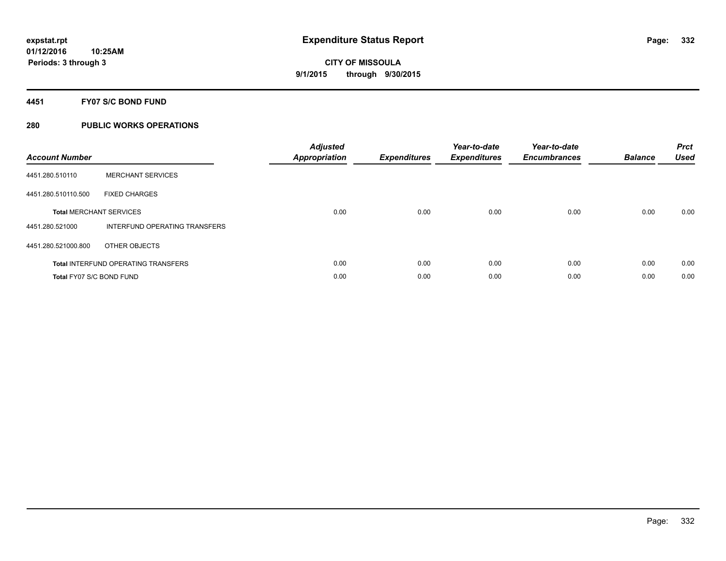## **4451 FY07 S/C BOND FUND**

| <b>Account Number</b>           |                                            | <b>Adjusted</b><br>Appropriation | <b>Expenditures</b> | Year-to-date<br><b>Expenditures</b> | Year-to-date<br><b>Encumbrances</b> | <b>Balance</b> | <b>Prct</b><br><b>Used</b> |
|---------------------------------|--------------------------------------------|----------------------------------|---------------------|-------------------------------------|-------------------------------------|----------------|----------------------------|
| 4451.280.510110                 | <b>MERCHANT SERVICES</b>                   |                                  |                     |                                     |                                     |                |                            |
| 4451.280.510110.500             | <b>FIXED CHARGES</b>                       |                                  |                     |                                     |                                     |                |                            |
|                                 | <b>Total MERCHANT SERVICES</b>             | 0.00                             | 0.00                | 0.00                                | 0.00                                | 0.00           | 0.00                       |
| 4451.280.521000                 | INTERFUND OPERATING TRANSFERS              |                                  |                     |                                     |                                     |                |                            |
| 4451.280.521000.800             | OTHER OBJECTS                              |                                  |                     |                                     |                                     |                |                            |
|                                 | <b>Total INTERFUND OPERATING TRANSFERS</b> | 0.00                             | 0.00                | 0.00                                | 0.00                                | 0.00           | 0.00                       |
| <b>Total FY07 S/C BOND FUND</b> |                                            | 0.00                             | 0.00                | 0.00                                | 0.00                                | 0.00           | 0.00                       |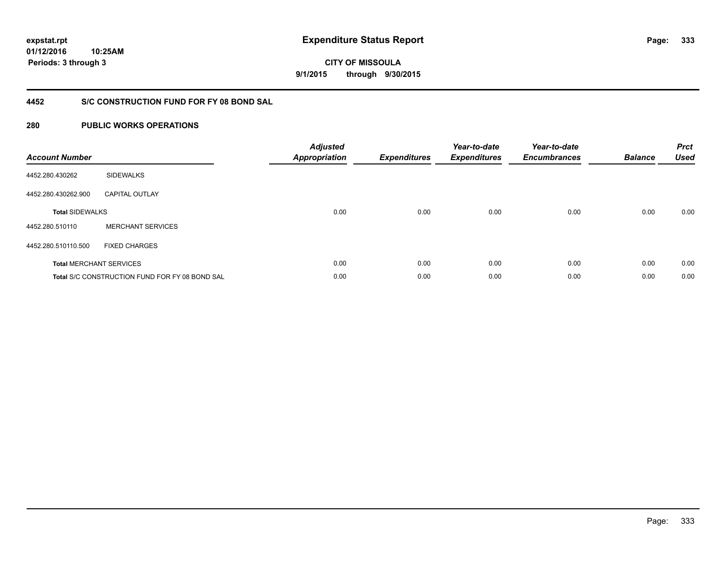**01/12/2016 10:25AM Periods: 3 through 3**

**CITY OF MISSOULA 9/1/2015 through 9/30/2015**

## **4452 S/C CONSTRUCTION FUND FOR FY 08 BOND SAL**

| <b>Account Number</b>  |                                                       | <b>Adjusted</b><br><b>Appropriation</b> | <b>Expenditures</b> | Year-to-date<br><b>Expenditures</b> | Year-to-date<br><b>Encumbrances</b> | <b>Balance</b> | <b>Prct</b><br><b>Used</b> |
|------------------------|-------------------------------------------------------|-----------------------------------------|---------------------|-------------------------------------|-------------------------------------|----------------|----------------------------|
| 4452.280.430262        | <b>SIDEWALKS</b>                                      |                                         |                     |                                     |                                     |                |                            |
| 4452.280.430262.900    | <b>CAPITAL OUTLAY</b>                                 |                                         |                     |                                     |                                     |                |                            |
| <b>Total SIDEWALKS</b> |                                                       | 0.00                                    | 0.00                | 0.00                                | 0.00                                | 0.00           | 0.00                       |
| 4452.280.510110        | <b>MERCHANT SERVICES</b>                              |                                         |                     |                                     |                                     |                |                            |
| 4452.280.510110.500    | <b>FIXED CHARGES</b>                                  |                                         |                     |                                     |                                     |                |                            |
|                        | <b>Total MERCHANT SERVICES</b>                        | 0.00                                    | 0.00                | 0.00                                | 0.00                                | 0.00           | 0.00                       |
|                        | <b>Total S/C CONSTRUCTION FUND FOR FY 08 BOND SAL</b> | 0.00                                    | 0.00                | 0.00                                | 0.00                                | 0.00           | 0.00                       |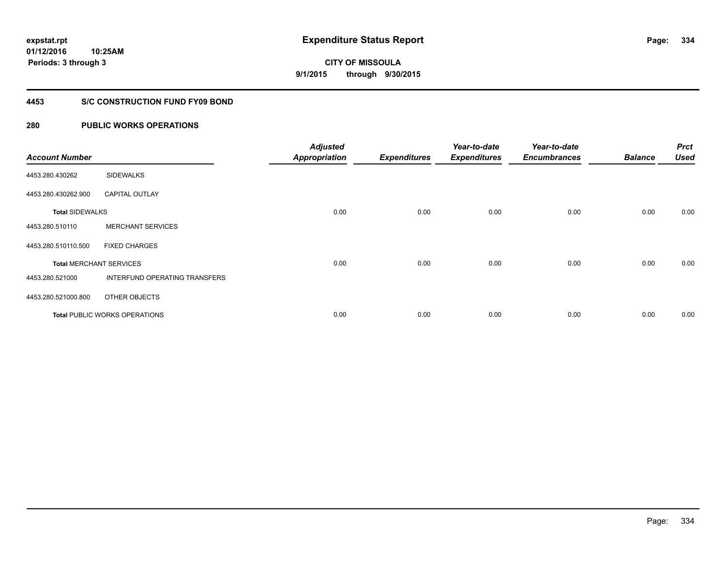**01/12/2016 10:25AM Periods: 3 through 3**

**CITY OF MISSOULA 9/1/2015 through 9/30/2015**

## **4453 S/C CONSTRUCTION FUND FY09 BOND**

| <b>Account Number</b>  |                                      | <b>Adjusted</b><br><b>Appropriation</b> | <b>Expenditures</b> | Year-to-date<br><b>Expenditures</b> | Year-to-date<br><b>Encumbrances</b> | <b>Balance</b> | <b>Prct</b><br><b>Used</b> |
|------------------------|--------------------------------------|-----------------------------------------|---------------------|-------------------------------------|-------------------------------------|----------------|----------------------------|
| 4453.280.430262        | <b>SIDEWALKS</b>                     |                                         |                     |                                     |                                     |                |                            |
| 4453.280.430262.900    | <b>CAPITAL OUTLAY</b>                |                                         |                     |                                     |                                     |                |                            |
| <b>Total SIDEWALKS</b> |                                      | 0.00                                    | 0.00                | 0.00                                | 0.00                                | 0.00           | 0.00                       |
| 4453.280.510110        | <b>MERCHANT SERVICES</b>             |                                         |                     |                                     |                                     |                |                            |
| 4453.280.510110.500    | <b>FIXED CHARGES</b>                 |                                         |                     |                                     |                                     |                |                            |
|                        | <b>Total MERCHANT SERVICES</b>       | 0.00                                    | 0.00                | 0.00                                | 0.00                                | 0.00           | 0.00                       |
| 4453.280.521000        | <b>INTERFUND OPERATING TRANSFERS</b> |                                         |                     |                                     |                                     |                |                            |
| 4453.280.521000.800    | OTHER OBJECTS                        |                                         |                     |                                     |                                     |                |                            |
|                        | <b>Total PUBLIC WORKS OPERATIONS</b> | 0.00                                    | 0.00                | 0.00                                | 0.00                                | 0.00           | 0.00                       |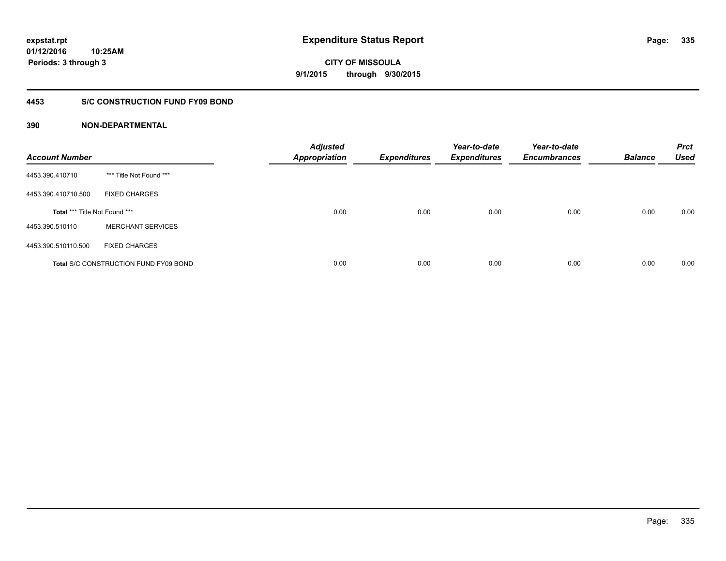## **4453 S/C CONSTRUCTION FUND FY09 BOND**

| <b>Account Number</b>         |                                              | <b>Adjusted</b><br>Appropriation | <b>Expenditures</b> | Year-to-date<br><b>Expenditures</b> | Year-to-date<br><b>Encumbrances</b> | <b>Balance</b> | <b>Prct</b><br><b>Used</b> |
|-------------------------------|----------------------------------------------|----------------------------------|---------------------|-------------------------------------|-------------------------------------|----------------|----------------------------|
| 4453.390.410710               | *** Title Not Found ***                      |                                  |                     |                                     |                                     |                |                            |
| 4453.390.410710.500           | <b>FIXED CHARGES</b>                         |                                  |                     |                                     |                                     |                |                            |
| Total *** Title Not Found *** |                                              | 0.00                             | 0.00                | 0.00                                | 0.00                                | 0.00           | 0.00                       |
| 4453.390.510110               | <b>MERCHANT SERVICES</b>                     |                                  |                     |                                     |                                     |                |                            |
| 4453.390.510110.500           | <b>FIXED CHARGES</b>                         |                                  |                     |                                     |                                     |                |                            |
|                               | <b>Total S/C CONSTRUCTION FUND FY09 BOND</b> | 0.00                             | 0.00                | 0.00                                | 0.00                                | 0.00           | 0.00                       |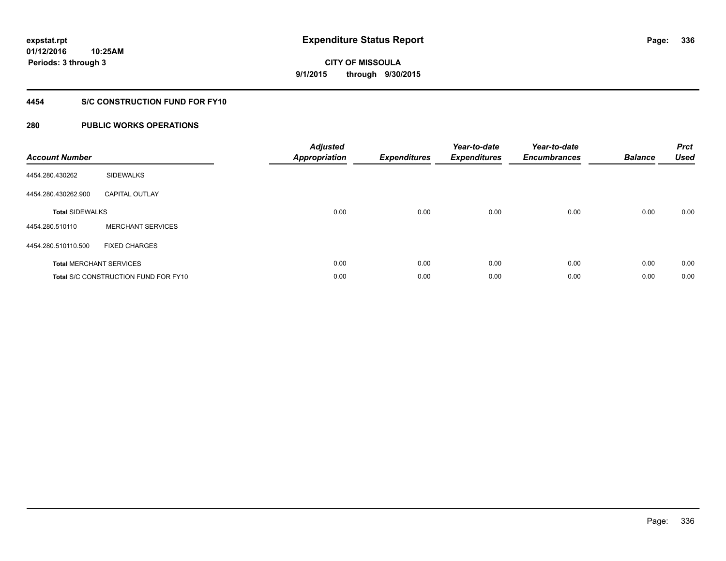**01/12/2016 10:25AM Periods: 3 through 3**

# **CITY OF MISSOULA 9/1/2015 through 9/30/2015**

## **4454 S/C CONSTRUCTION FUND FOR FY10**

| <b>Account Number</b>  |                                             | <b>Adjusted</b><br><b>Appropriation</b> | <b>Expenditures</b> | Year-to-date<br><b>Expenditures</b> | Year-to-date<br><b>Encumbrances</b> | <b>Balance</b> | <b>Prct</b><br><b>Used</b> |
|------------------------|---------------------------------------------|-----------------------------------------|---------------------|-------------------------------------|-------------------------------------|----------------|----------------------------|
| 4454.280.430262        | <b>SIDEWALKS</b>                            |                                         |                     |                                     |                                     |                |                            |
| 4454.280.430262.900    | <b>CAPITAL OUTLAY</b>                       |                                         |                     |                                     |                                     |                |                            |
| <b>Total SIDEWALKS</b> |                                             | 0.00                                    | 0.00                | 0.00                                | 0.00                                | 0.00           | 0.00                       |
| 4454.280.510110        | <b>MERCHANT SERVICES</b>                    |                                         |                     |                                     |                                     |                |                            |
| 4454.280.510110.500    | <b>FIXED CHARGES</b>                        |                                         |                     |                                     |                                     |                |                            |
|                        | <b>Total MERCHANT SERVICES</b>              | 0.00                                    | 0.00                | 0.00                                | 0.00                                | 0.00           | 0.00                       |
|                        | <b>Total S/C CONSTRUCTION FUND FOR FY10</b> | 0.00                                    | 0.00                | 0.00                                | 0.00                                | 0.00           | 0.00                       |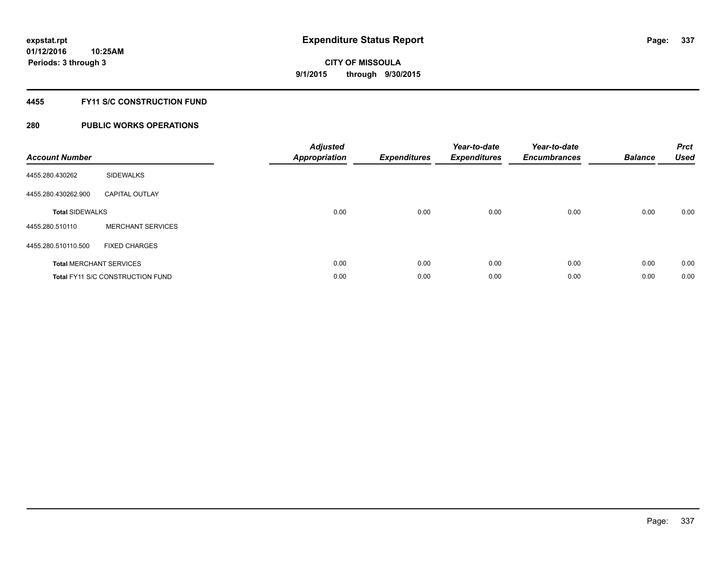## **4455 FY11 S/C CONSTRUCTION FUND**

| <b>Account Number</b>          |                                         | <b>Adjusted</b><br><b>Appropriation</b> | <b>Expenditures</b> | Year-to-date<br><b>Expenditures</b> | Year-to-date<br><b>Encumbrances</b> | <b>Balance</b> | <b>Prct</b><br><b>Used</b> |
|--------------------------------|-----------------------------------------|-----------------------------------------|---------------------|-------------------------------------|-------------------------------------|----------------|----------------------------|
| 4455.280.430262                | SIDEWALKS                               |                                         |                     |                                     |                                     |                |                            |
| 4455.280.430262.900            | <b>CAPITAL OUTLAY</b>                   |                                         |                     |                                     |                                     |                |                            |
| <b>Total SIDEWALKS</b>         |                                         | 0.00                                    | 0.00                | 0.00                                | 0.00                                | 0.00           | 0.00                       |
| 4455.280.510110                | <b>MERCHANT SERVICES</b>                |                                         |                     |                                     |                                     |                |                            |
| 4455.280.510110.500            | <b>FIXED CHARGES</b>                    |                                         |                     |                                     |                                     |                |                            |
| <b>Total MERCHANT SERVICES</b> |                                         | 0.00                                    | 0.00                | 0.00                                | 0.00                                | 0.00           | 0.00                       |
|                                | <b>Total FY11 S/C CONSTRUCTION FUND</b> | 0.00                                    | 0.00                | 0.00                                | 0.00                                | 0.00           | 0.00                       |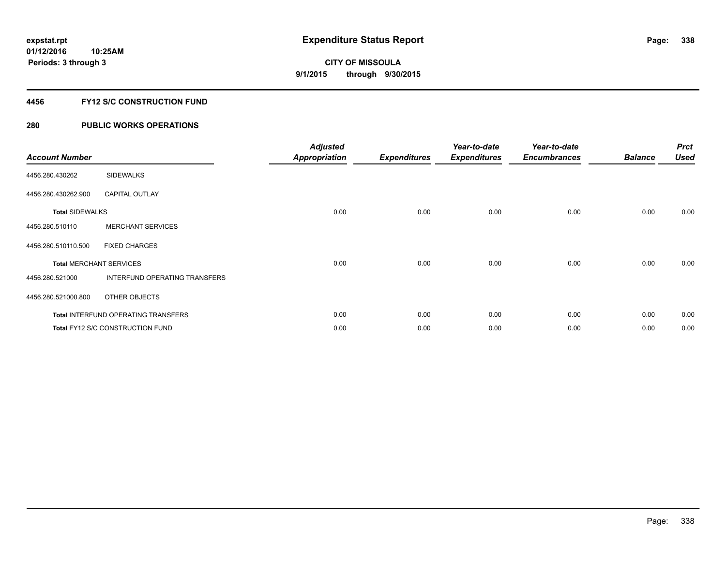## **4456 FY12 S/C CONSTRUCTION FUND**

| <b>Account Number</b>          |                                            | <b>Adjusted</b><br><b>Appropriation</b> | <b>Expenditures</b> | Year-to-date<br><b>Expenditures</b> | Year-to-date<br><b>Encumbrances</b> | <b>Balance</b> | <b>Prct</b><br><b>Used</b> |
|--------------------------------|--------------------------------------------|-----------------------------------------|---------------------|-------------------------------------|-------------------------------------|----------------|----------------------------|
| 4456.280.430262                | <b>SIDEWALKS</b>                           |                                         |                     |                                     |                                     |                |                            |
| 4456.280.430262.900            | <b>CAPITAL OUTLAY</b>                      |                                         |                     |                                     |                                     |                |                            |
| <b>Total SIDEWALKS</b>         |                                            | 0.00                                    | 0.00                | 0.00                                | 0.00                                | 0.00           | 0.00                       |
| 4456.280.510110                | <b>MERCHANT SERVICES</b>                   |                                         |                     |                                     |                                     |                |                            |
| 4456.280.510110.500            | <b>FIXED CHARGES</b>                       |                                         |                     |                                     |                                     |                |                            |
| <b>Total MERCHANT SERVICES</b> |                                            | 0.00                                    | 0.00                | 0.00                                | 0.00                                | 0.00           | 0.00                       |
| 4456.280.521000                | INTERFUND OPERATING TRANSFERS              |                                         |                     |                                     |                                     |                |                            |
| 4456.280.521000.800            | OTHER OBJECTS                              |                                         |                     |                                     |                                     |                |                            |
|                                | <b>Total INTERFUND OPERATING TRANSFERS</b> | 0.00                                    | 0.00                | 0.00                                | 0.00                                | 0.00           | 0.00                       |
|                                | <b>Total FY12 S/C CONSTRUCTION FUND</b>    | 0.00                                    | 0.00                | 0.00                                | 0.00                                | 0.00           | 0.00                       |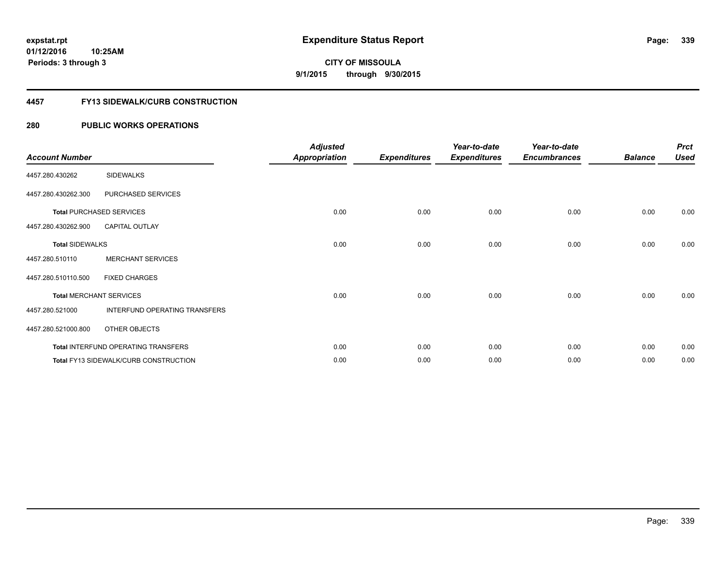**Periods: 3 through 3**

**339**

**CITY OF MISSOULA 9/1/2015 through 9/30/2015**

## **4457 FY13 SIDEWALK/CURB CONSTRUCTION**

## **280 PUBLIC WORKS OPERATIONS**

**10:25AM**

| <b>Account Number</b>  |                                              | <b>Adjusted</b><br><b>Appropriation</b> | <b>Expenditures</b> | Year-to-date<br><b>Expenditures</b> | Year-to-date<br><b>Encumbrances</b> | <b>Balance</b> | <b>Prct</b><br><b>Used</b> |
|------------------------|----------------------------------------------|-----------------------------------------|---------------------|-------------------------------------|-------------------------------------|----------------|----------------------------|
| 4457.280.430262        | <b>SIDEWALKS</b>                             |                                         |                     |                                     |                                     |                |                            |
| 4457.280.430262.300    | PURCHASED SERVICES                           |                                         |                     |                                     |                                     |                |                            |
|                        | <b>Total PURCHASED SERVICES</b>              | 0.00                                    | 0.00                | 0.00                                | 0.00                                | 0.00           | 0.00                       |
| 4457.280.430262.900    | <b>CAPITAL OUTLAY</b>                        |                                         |                     |                                     |                                     |                |                            |
| <b>Total SIDEWALKS</b> |                                              | 0.00                                    | 0.00                | 0.00                                | 0.00                                | 0.00           | 0.00                       |
| 4457.280.510110        | <b>MERCHANT SERVICES</b>                     |                                         |                     |                                     |                                     |                |                            |
| 4457.280.510110.500    | <b>FIXED CHARGES</b>                         |                                         |                     |                                     |                                     |                |                            |
|                        | <b>Total MERCHANT SERVICES</b>               | 0.00                                    | 0.00                | 0.00                                | 0.00                                | 0.00           | 0.00                       |
| 4457.280.521000        | INTERFUND OPERATING TRANSFERS                |                                         |                     |                                     |                                     |                |                            |
| 4457.280.521000.800    | OTHER OBJECTS                                |                                         |                     |                                     |                                     |                |                            |
|                        | Total INTERFUND OPERATING TRANSFERS          | 0.00                                    | 0.00                | 0.00                                | 0.00                                | 0.00           | 0.00                       |
|                        | <b>Total FY13 SIDEWALK/CURB CONSTRUCTION</b> | 0.00                                    | 0.00                | 0.00                                | 0.00                                | 0.00           | 0.00                       |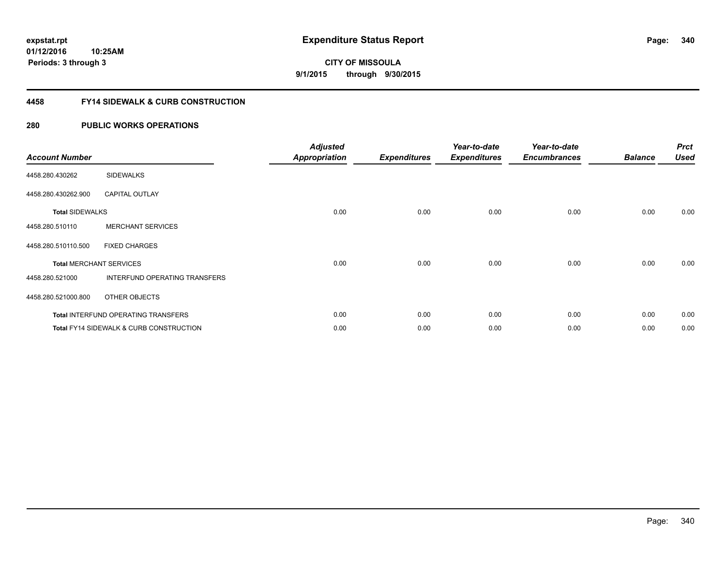**01/12/2016 10:25AM Periods: 3 through 3**

**CITY OF MISSOULA 9/1/2015 through 9/30/2015**

## **4458 FY14 SIDEWALK & CURB CONSTRUCTION**

| <b>Account Number</b>  |                                            | <b>Adjusted</b><br><b>Appropriation</b> | <b>Expenditures</b> | Year-to-date<br><b>Expenditures</b> | Year-to-date<br><b>Encumbrances</b> | <b>Balance</b> | <b>Prct</b><br><b>Used</b> |
|------------------------|--------------------------------------------|-----------------------------------------|---------------------|-------------------------------------|-------------------------------------|----------------|----------------------------|
| 4458.280.430262        | <b>SIDEWALKS</b>                           |                                         |                     |                                     |                                     |                |                            |
| 4458.280.430262.900    | <b>CAPITAL OUTLAY</b>                      |                                         |                     |                                     |                                     |                |                            |
| <b>Total SIDEWALKS</b> |                                            | 0.00                                    | 0.00                | 0.00                                | 0.00                                | 0.00           | 0.00                       |
| 4458.280.510110        | <b>MERCHANT SERVICES</b>                   |                                         |                     |                                     |                                     |                |                            |
| 4458.280.510110.500    | <b>FIXED CHARGES</b>                       |                                         |                     |                                     |                                     |                |                            |
|                        | <b>Total MERCHANT SERVICES</b>             | 0.00                                    | 0.00                | 0.00                                | 0.00                                | 0.00           | 0.00                       |
| 4458.280.521000        | INTERFUND OPERATING TRANSFERS              |                                         |                     |                                     |                                     |                |                            |
| 4458.280.521000.800    | OTHER OBJECTS                              |                                         |                     |                                     |                                     |                |                            |
|                        | <b>Total INTERFUND OPERATING TRANSFERS</b> | 0.00                                    | 0.00                | 0.00                                | 0.00                                | 0.00           | 0.00                       |
|                        | Total FY14 SIDEWALK & CURB CONSTRUCTION    | 0.00                                    | 0.00                | 0.00                                | 0.00                                | 0.00           | 0.00                       |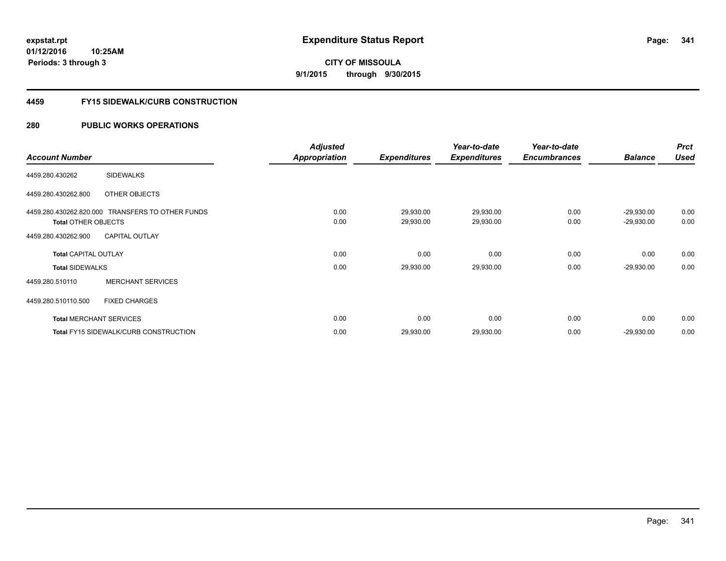**01/12/2016 10:25AM Periods: 3 through 3**

# **CITY OF MISSOULA 9/1/2015 through 9/30/2015**

### **4459 FY15 SIDEWALK/CURB CONSTRUCTION**

|                                |                                                  | <b>Adjusted</b>      |                     | Year-to-date        | Year-to-date        |                | <b>Prct</b> |
|--------------------------------|--------------------------------------------------|----------------------|---------------------|---------------------|---------------------|----------------|-------------|
| <b>Account Number</b>          |                                                  | <b>Appropriation</b> | <b>Expenditures</b> | <b>Expenditures</b> | <b>Encumbrances</b> | <b>Balance</b> | <b>Used</b> |
| 4459.280.430262                | <b>SIDEWALKS</b>                                 |                      |                     |                     |                     |                |             |
| 4459.280.430262.800            | OTHER OBJECTS                                    |                      |                     |                     |                     |                |             |
|                                | 4459.280.430262.820.000 TRANSFERS TO OTHER FUNDS | 0.00                 | 29,930.00           | 29,930.00           | 0.00                | $-29,930.00$   | 0.00        |
| <b>Total OTHER OBJECTS</b>     |                                                  | 0.00                 | 29,930.00           | 29,930.00           | 0.00                | $-29,930.00$   | 0.00        |
| 4459.280.430262.900            | <b>CAPITAL OUTLAY</b>                            |                      |                     |                     |                     |                |             |
| <b>Total CAPITAL OUTLAY</b>    |                                                  | 0.00                 | 0.00                | 0.00                | 0.00                | 0.00           | 0.00        |
| <b>Total SIDEWALKS</b>         |                                                  | 0.00                 | 29,930.00           | 29,930.00           | 0.00                | $-29,930.00$   | 0.00        |
| 4459.280.510110                | <b>MERCHANT SERVICES</b>                         |                      |                     |                     |                     |                |             |
| 4459.280.510110.500            | <b>FIXED CHARGES</b>                             |                      |                     |                     |                     |                |             |
| <b>Total MERCHANT SERVICES</b> |                                                  | 0.00                 | 0.00                | 0.00                | 0.00                | 0.00           | 0.00        |
|                                | <b>Total FY15 SIDEWALK/CURB CONSTRUCTION</b>     | 0.00                 | 29,930.00           | 29,930.00           | 0.00                | $-29,930.00$   | 0.00        |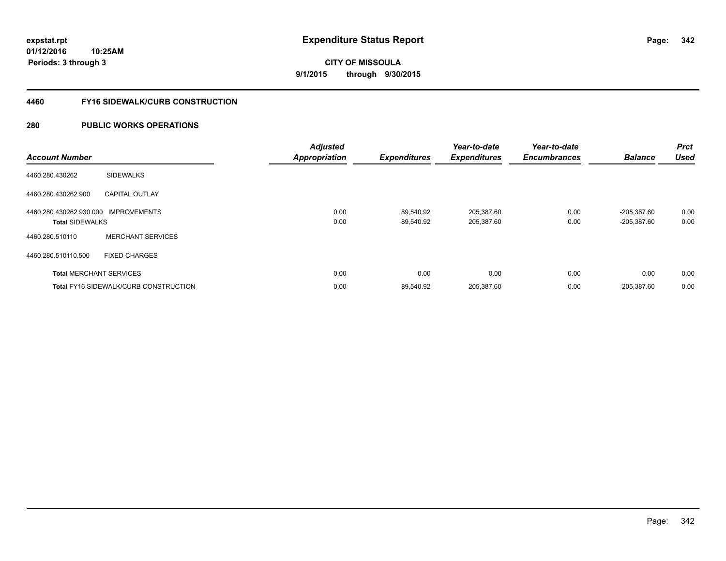**01/12/2016 10:25AM Periods: 3 through 3**

**CITY OF MISSOULA 9/1/2015 through 9/30/2015**

### **4460 FY16 SIDEWALK/CURB CONSTRUCTION**

| <b>Account Number</b>                                          |                                              | <b>Adjusted</b><br><b>Appropriation</b> | <b>Expenditures</b>    | Year-to-date<br><b>Expenditures</b> | Year-to-date<br><b>Encumbrances</b> | <b>Balance</b>             | Prct<br><b>Used</b> |
|----------------------------------------------------------------|----------------------------------------------|-----------------------------------------|------------------------|-------------------------------------|-------------------------------------|----------------------------|---------------------|
| 4460.280.430262                                                | <b>SIDEWALKS</b>                             |                                         |                        |                                     |                                     |                            |                     |
| 4460.280.430262.900                                            | <b>CAPITAL OUTLAY</b>                        |                                         |                        |                                     |                                     |                            |                     |
| 4460.280.430262.930.000 IMPROVEMENTS<br><b>Total SIDEWALKS</b> |                                              | 0.00<br>0.00                            | 89,540.92<br>89.540.92 | 205,387.60<br>205,387.60            | 0.00<br>0.00                        | -205,387.60<br>-205,387.60 | 0.00<br>0.00        |
| 4460.280.510110                                                | <b>MERCHANT SERVICES</b>                     |                                         |                        |                                     |                                     |                            |                     |
| 4460.280.510110.500                                            | <b>FIXED CHARGES</b>                         |                                         |                        |                                     |                                     |                            |                     |
| <b>Total MERCHANT SERVICES</b>                                 |                                              | 0.00                                    | 0.00                   | 0.00                                | 0.00                                | 0.00                       | 0.00                |
|                                                                | <b>Total FY16 SIDEWALK/CURB CONSTRUCTION</b> | 0.00                                    | 89,540.92              | 205,387.60                          | 0.00                                | $-205,387.60$              | 0.00                |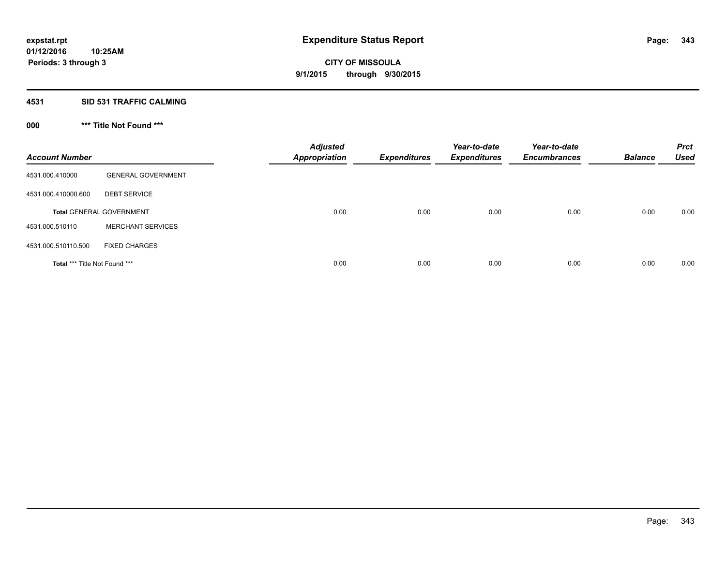## **4531 SID 531 TRAFFIC CALMING**

## **000 \*\*\* Title Not Found \*\*\***

| <b>Account Number</b>         |                                 | <b>Adjusted</b><br><b>Appropriation</b> | <b>Expenditures</b> | Year-to-date<br><b>Expenditures</b> | Year-to-date<br><b>Encumbrances</b> | <b>Balance</b> | <b>Prct</b><br><b>Used</b> |
|-------------------------------|---------------------------------|-----------------------------------------|---------------------|-------------------------------------|-------------------------------------|----------------|----------------------------|
| 4531.000.410000               | <b>GENERAL GOVERNMENT</b>       |                                         |                     |                                     |                                     |                |                            |
| 4531.000.410000.600           | <b>DEBT SERVICE</b>             |                                         |                     |                                     |                                     |                |                            |
|                               | <b>Total GENERAL GOVERNMENT</b> | 0.00                                    | 0.00                | 0.00                                | 0.00                                | 0.00           | 0.00                       |
| 4531.000.510110               | <b>MERCHANT SERVICES</b>        |                                         |                     |                                     |                                     |                |                            |
| 4531.000.510110.500           | <b>FIXED CHARGES</b>            |                                         |                     |                                     |                                     |                |                            |
| Total *** Title Not Found *** |                                 | 0.00                                    | 0.00                | 0.00                                | 0.00                                | 0.00           | 0.00                       |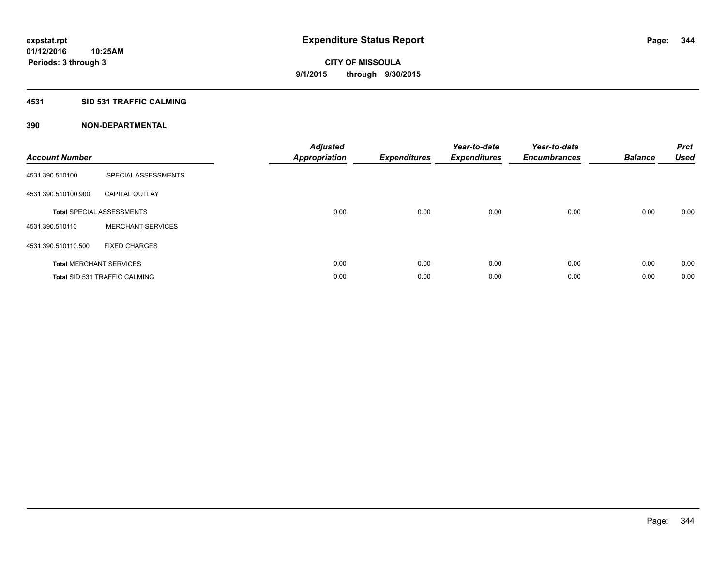## **4531 SID 531 TRAFFIC CALMING**

| <b>Account Number</b> |                                      | <b>Adjusted</b><br>Appropriation | <b>Expenditures</b> | Year-to-date<br><b>Expenditures</b> | Year-to-date<br><b>Encumbrances</b> | <b>Balance</b> | <b>Prct</b><br><b>Used</b> |
|-----------------------|--------------------------------------|----------------------------------|---------------------|-------------------------------------|-------------------------------------|----------------|----------------------------|
| 4531.390.510100       | SPECIAL ASSESSMENTS                  |                                  |                     |                                     |                                     |                |                            |
| 4531.390.510100.900   | <b>CAPITAL OUTLAY</b>                |                                  |                     |                                     |                                     |                |                            |
|                       | <b>Total SPECIAL ASSESSMENTS</b>     | 0.00                             | 0.00                | 0.00                                | 0.00                                | 0.00           | 0.00                       |
| 4531.390.510110       | <b>MERCHANT SERVICES</b>             |                                  |                     |                                     |                                     |                |                            |
| 4531.390.510110.500   | <b>FIXED CHARGES</b>                 |                                  |                     |                                     |                                     |                |                            |
|                       | <b>Total MERCHANT SERVICES</b>       | 0.00                             | 0.00                | 0.00                                | 0.00                                | 0.00           | 0.00                       |
|                       | <b>Total SID 531 TRAFFIC CALMING</b> | 0.00                             | 0.00                | 0.00                                | 0.00                                | 0.00           | 0.00                       |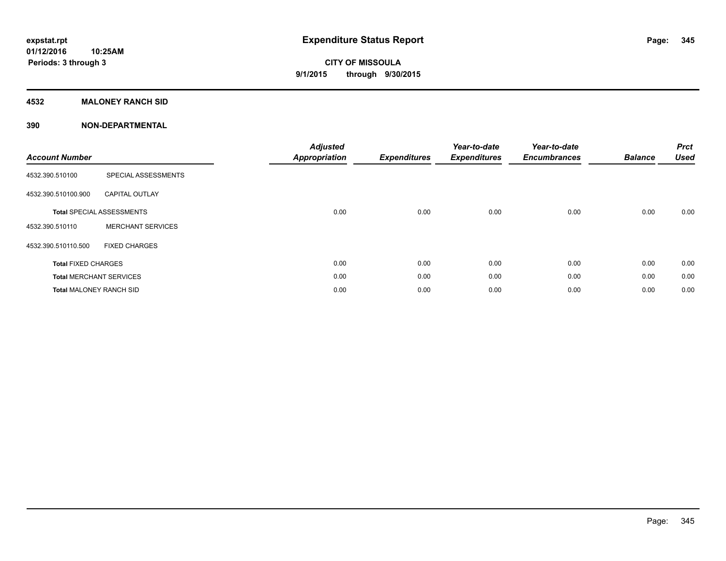## **4532 MALONEY RANCH SID**

| <b>Account Number</b>          |                                  | <b>Adjusted</b><br><b>Appropriation</b> | <b>Expenditures</b> | Year-to-date<br><b>Expenditures</b> | Year-to-date<br><b>Encumbrances</b> | <b>Balance</b> | <b>Prct</b><br><b>Used</b> |
|--------------------------------|----------------------------------|-----------------------------------------|---------------------|-------------------------------------|-------------------------------------|----------------|----------------------------|
| 4532.390.510100                | SPECIAL ASSESSMENTS              |                                         |                     |                                     |                                     |                |                            |
| 4532.390.510100.900            | <b>CAPITAL OUTLAY</b>            |                                         |                     |                                     |                                     |                |                            |
|                                | <b>Total SPECIAL ASSESSMENTS</b> | 0.00                                    | 0.00                | 0.00                                | 0.00                                | 0.00           | 0.00                       |
| 4532.390.510110                | <b>MERCHANT SERVICES</b>         |                                         |                     |                                     |                                     |                |                            |
| 4532.390.510110.500            | <b>FIXED CHARGES</b>             |                                         |                     |                                     |                                     |                |                            |
| <b>Total FIXED CHARGES</b>     |                                  | 0.00                                    | 0.00                | 0.00                                | 0.00                                | 0.00           | 0.00                       |
|                                | <b>Total MERCHANT SERVICES</b>   | 0.00                                    | 0.00                | 0.00                                | 0.00                                | 0.00           | 0.00                       |
| <b>Total MALONEY RANCH SID</b> |                                  | 0.00                                    | 0.00                | 0.00                                | 0.00                                | 0.00           | 0.00                       |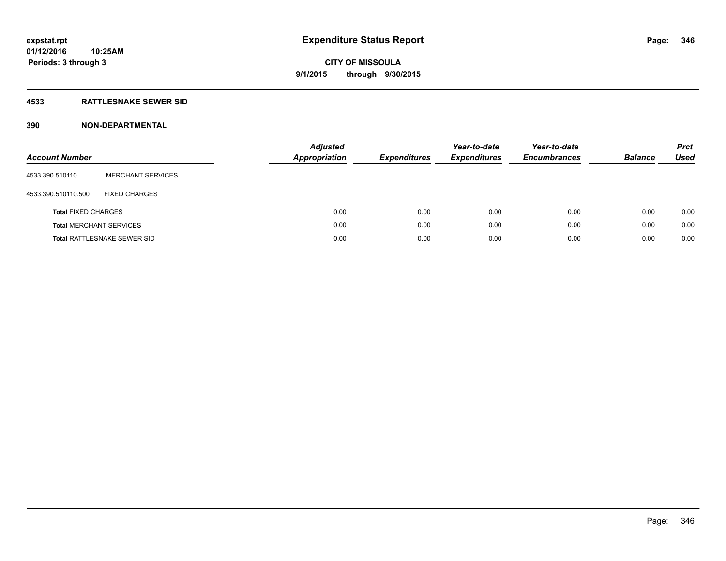## **4533 RATTLESNAKE SEWER SID**

| <b>Account Number</b>      |                                    | <b>Adjusted</b><br>Appropriation | <b>Expenditures</b> | Year-to-date<br><b>Expenditures</b> | Year-to-date<br><b>Encumbrances</b> | <b>Balance</b> | <b>Prct</b><br><b>Used</b> |
|----------------------------|------------------------------------|----------------------------------|---------------------|-------------------------------------|-------------------------------------|----------------|----------------------------|
| 4533.390.510110            | <b>MERCHANT SERVICES</b>           |                                  |                     |                                     |                                     |                |                            |
| 4533.390.510110.500        | <b>FIXED CHARGES</b>               |                                  |                     |                                     |                                     |                |                            |
| <b>Total FIXED CHARGES</b> |                                    |                                  | 0.00<br>0.00        | 0.00                                | 0.00                                | 0.00           | 0.00                       |
|                            | <b>Total MERCHANT SERVICES</b>     |                                  | 0.00<br>0.00        | 0.00                                | 0.00                                | 0.00           | 0.00                       |
|                            | <b>Total RATTLESNAKE SEWER SID</b> |                                  | 0.00<br>0.00        | 0.00                                | 0.00                                | 0.00           | 0.00                       |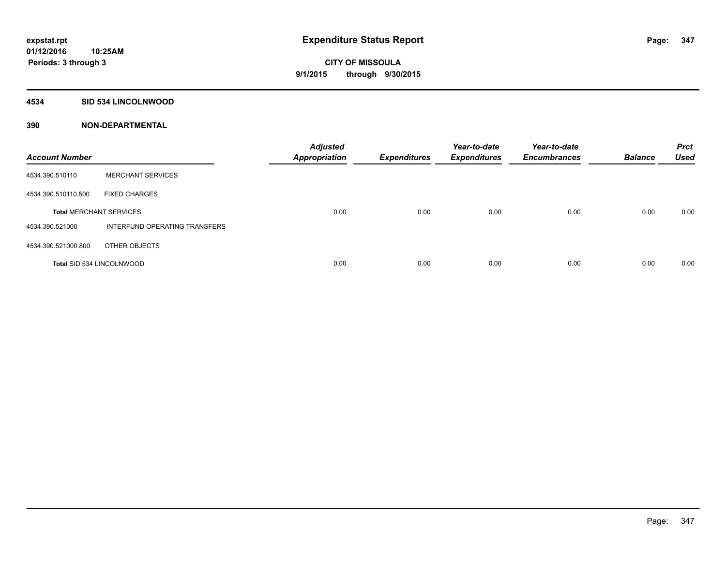## **4534 SID 534 LINCOLNWOOD**

| <b>Account Number</b>            |                               | <b>Adjusted</b><br><b>Appropriation</b> | <b>Expenditures</b> | Year-to-date<br><b>Expenditures</b> | Year-to-date<br><b>Encumbrances</b> | <b>Balance</b> | <b>Prct</b><br><b>Used</b> |
|----------------------------------|-------------------------------|-----------------------------------------|---------------------|-------------------------------------|-------------------------------------|----------------|----------------------------|
| 4534.390.510110                  | <b>MERCHANT SERVICES</b>      |                                         |                     |                                     |                                     |                |                            |
| 4534.390.510110.500              | <b>FIXED CHARGES</b>          |                                         |                     |                                     |                                     |                |                            |
| <b>Total MERCHANT SERVICES</b>   |                               | 0.00                                    | 0.00                | 0.00                                | 0.00                                | 0.00           | 0.00                       |
| 4534.390.521000                  | INTERFUND OPERATING TRANSFERS |                                         |                     |                                     |                                     |                |                            |
| 4534.390.521000.800              | OTHER OBJECTS                 |                                         |                     |                                     |                                     |                |                            |
| <b>Total SID 534 LINCOLNWOOD</b> |                               | 0.00                                    | 0.00                | 0.00                                | 0.00                                | 0.00           | 0.00                       |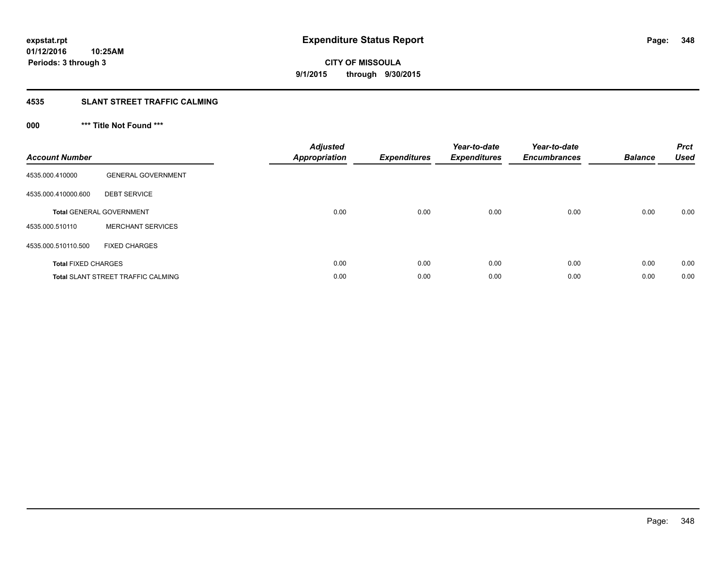# **4535 SLANT STREET TRAFFIC CALMING**

## **000 \*\*\* Title Not Found \*\*\***

| <b>Account Number</b>      |                                           | <b>Adjusted</b><br><b>Appropriation</b> | <b>Expenditures</b> | Year-to-date<br><b>Expenditures</b> | Year-to-date<br><b>Encumbrances</b> | <b>Balance</b> | <b>Prct</b><br><b>Used</b> |
|----------------------------|-------------------------------------------|-----------------------------------------|---------------------|-------------------------------------|-------------------------------------|----------------|----------------------------|
| 4535.000.410000            | <b>GENERAL GOVERNMENT</b>                 |                                         |                     |                                     |                                     |                |                            |
| 4535.000.410000.600        | <b>DEBT SERVICE</b>                       |                                         |                     |                                     |                                     |                |                            |
|                            | <b>Total GENERAL GOVERNMENT</b>           | 0.00                                    | 0.00                | 0.00                                | 0.00                                | 0.00           | 0.00                       |
| 4535.000.510110            | <b>MERCHANT SERVICES</b>                  |                                         |                     |                                     |                                     |                |                            |
| 4535.000.510110.500        | <b>FIXED CHARGES</b>                      |                                         |                     |                                     |                                     |                |                            |
| <b>Total FIXED CHARGES</b> |                                           | 0.00                                    | 0.00                | 0.00                                | 0.00                                | 0.00           | 0.00                       |
|                            | <b>Total SLANT STREET TRAFFIC CALMING</b> | 0.00                                    | 0.00                | 0.00                                | 0.00                                | 0.00           | 0.00                       |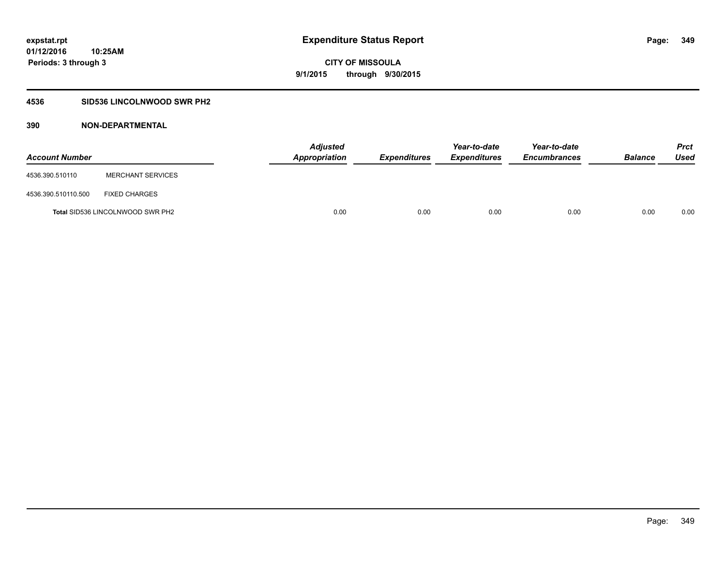## **4536 SID536 LINCOLNWOOD SWR PH2**

| <b>Account Number</b> |                                         | <b>Adjusted</b><br>Appropriation | <b>Expenditures</b> | Year-to-date<br><b>Expenditures</b> | Year-to-date<br><b>Encumbrances</b> | <b>Balance</b> | Prct<br><b>Used</b> |
|-----------------------|-----------------------------------------|----------------------------------|---------------------|-------------------------------------|-------------------------------------|----------------|---------------------|
| 4536.390.510110       | <b>MERCHANT SERVICES</b>                |                                  |                     |                                     |                                     |                |                     |
| 4536.390.510110.500   | <b>FIXED CHARGES</b>                    |                                  |                     |                                     |                                     |                |                     |
|                       | <b>Total SID536 LINCOLNWOOD SWR PH2</b> | 0.00                             | 0.00                | 0.00                                | 0.00                                | 0.00           | 0.00                |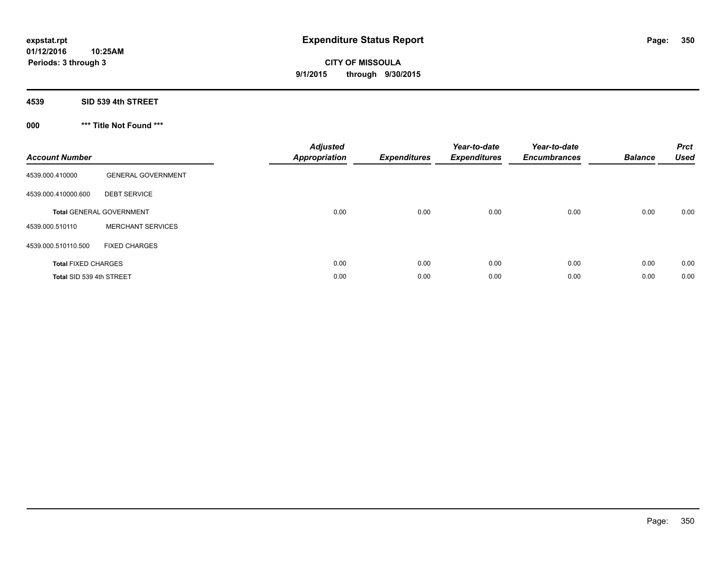## **4539 SID 539 4th STREET**

## **000 \*\*\* Title Not Found \*\*\***

| <b>Account Number</b>      |                                 | <b>Adjusted</b><br><b>Appropriation</b> | <b>Expenditures</b> | Year-to-date<br><b>Expenditures</b> | Year-to-date<br><b>Encumbrances</b> | <b>Balance</b> | <b>Prct</b><br><b>Used</b> |
|----------------------------|---------------------------------|-----------------------------------------|---------------------|-------------------------------------|-------------------------------------|----------------|----------------------------|
| 4539.000.410000            | <b>GENERAL GOVERNMENT</b>       |                                         |                     |                                     |                                     |                |                            |
| 4539.000.410000.600        | <b>DEBT SERVICE</b>             |                                         |                     |                                     |                                     |                |                            |
|                            | <b>Total GENERAL GOVERNMENT</b> | 0.00                                    | 0.00                | 0.00                                | 0.00                                | 0.00           | 0.00                       |
| 4539.000.510110            | <b>MERCHANT SERVICES</b>        |                                         |                     |                                     |                                     |                |                            |
| 4539.000.510110.500        | <b>FIXED CHARGES</b>            |                                         |                     |                                     |                                     |                |                            |
| <b>Total FIXED CHARGES</b> |                                 | 0.00                                    | 0.00                | 0.00                                | 0.00                                | 0.00           | 0.00                       |
| Total SID 539 4th STREET   |                                 | 0.00                                    | 0.00                | 0.00                                | 0.00                                | 0.00           | 0.00                       |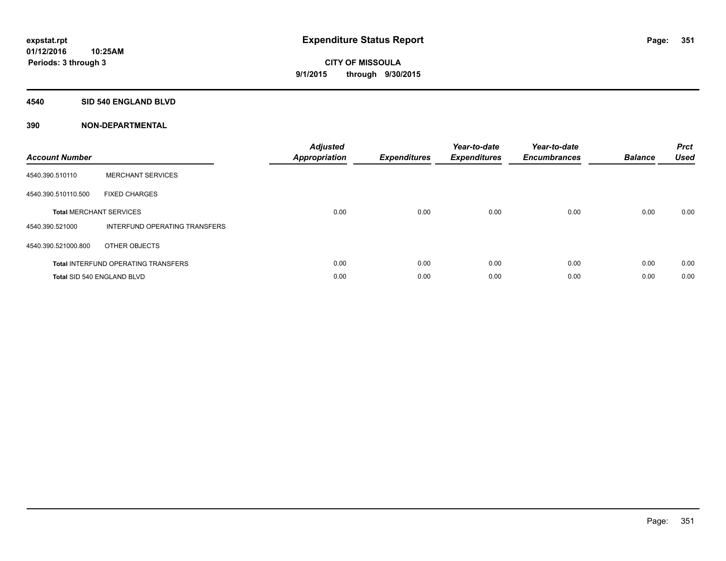#### **4540 SID 540 ENGLAND BLVD**

| <b>Account Number</b> |                                            | <b>Adjusted</b><br>Appropriation | <b>Expenditures</b> | Year-to-date<br><b>Expenditures</b> | Year-to-date<br><b>Encumbrances</b> | <b>Balance</b> | <b>Prct</b><br><b>Used</b> |
|-----------------------|--------------------------------------------|----------------------------------|---------------------|-------------------------------------|-------------------------------------|----------------|----------------------------|
| 4540.390.510110       | <b>MERCHANT SERVICES</b>                   |                                  |                     |                                     |                                     |                |                            |
| 4540.390.510110.500   | <b>FIXED CHARGES</b>                       |                                  |                     |                                     |                                     |                |                            |
|                       | <b>Total MERCHANT SERVICES</b>             | 0.00                             | 0.00                | 0.00                                | 0.00                                | 0.00           | 0.00                       |
| 4540.390.521000       | INTERFUND OPERATING TRANSFERS              |                                  |                     |                                     |                                     |                |                            |
| 4540.390.521000.800   | OTHER OBJECTS                              |                                  |                     |                                     |                                     |                |                            |
|                       | <b>Total INTERFUND OPERATING TRANSFERS</b> | 0.00                             | 0.00                | 0.00                                | 0.00                                | 0.00           | 0.00                       |
|                       | Total SID 540 ENGLAND BLVD                 | 0.00                             | 0.00                | 0.00                                | 0.00                                | 0.00           | 0.00                       |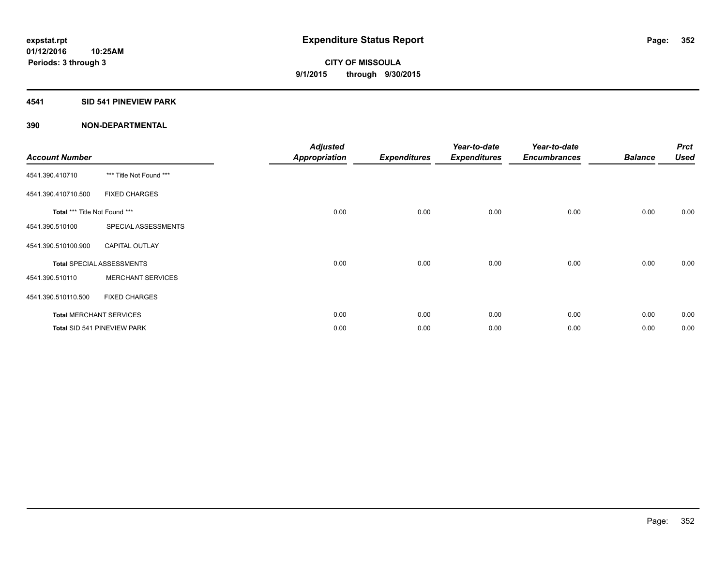## **4541 SID 541 PINEVIEW PARK**

| <b>Account Number</b>         |                                  | <b>Adjusted</b><br>Appropriation | <b>Expenditures</b> | Year-to-date<br><b>Expenditures</b> | Year-to-date<br><b>Encumbrances</b> | <b>Balance</b> | <b>Prct</b><br><b>Used</b> |
|-------------------------------|----------------------------------|----------------------------------|---------------------|-------------------------------------|-------------------------------------|----------------|----------------------------|
| 4541.390.410710               | *** Title Not Found ***          |                                  |                     |                                     |                                     |                |                            |
| 4541.390.410710.500           | <b>FIXED CHARGES</b>             |                                  |                     |                                     |                                     |                |                            |
| Total *** Title Not Found *** |                                  | 0.00                             | 0.00                | 0.00                                | 0.00                                | 0.00           | 0.00                       |
| 4541.390.510100               | SPECIAL ASSESSMENTS              |                                  |                     |                                     |                                     |                |                            |
| 4541.390.510100.900           | <b>CAPITAL OUTLAY</b>            |                                  |                     |                                     |                                     |                |                            |
|                               | <b>Total SPECIAL ASSESSMENTS</b> | 0.00                             | 0.00                | 0.00                                | 0.00                                | 0.00           | 0.00                       |
| 4541.390.510110               | <b>MERCHANT SERVICES</b>         |                                  |                     |                                     |                                     |                |                            |
| 4541.390.510110.500           | <b>FIXED CHARGES</b>             |                                  |                     |                                     |                                     |                |                            |
|                               | <b>Total MERCHANT SERVICES</b>   | 0.00                             | 0.00                | 0.00                                | 0.00                                | 0.00           | 0.00                       |
|                               | Total SID 541 PINEVIEW PARK      | 0.00                             | 0.00                | 0.00                                | 0.00                                | 0.00           | 0.00                       |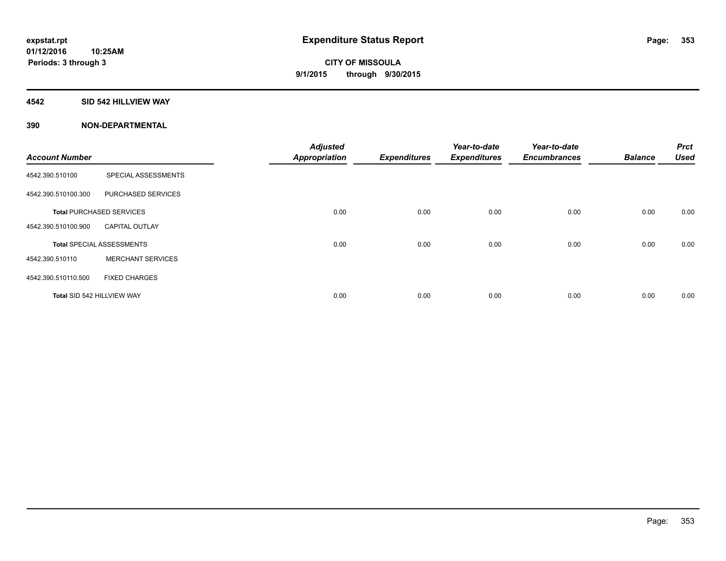## **4542 SID 542 HILLVIEW WAY**

| <b>Account Number</b> |                                  | <b>Adjusted</b><br><b>Appropriation</b> | <b>Expenditures</b> | Year-to-date<br><b>Expenditures</b> | Year-to-date<br><b>Encumbrances</b> | <b>Balance</b> | <b>Prct</b><br><b>Used</b> |
|-----------------------|----------------------------------|-----------------------------------------|---------------------|-------------------------------------|-------------------------------------|----------------|----------------------------|
| 4542.390.510100       | SPECIAL ASSESSMENTS              |                                         |                     |                                     |                                     |                |                            |
| 4542.390.510100.300   | PURCHASED SERVICES               |                                         |                     |                                     |                                     |                |                            |
|                       | <b>Total PURCHASED SERVICES</b>  | 0.00                                    | 0.00                | 0.00                                | 0.00                                | 0.00           | 0.00                       |
| 4542.390.510100.900   | <b>CAPITAL OUTLAY</b>            |                                         |                     |                                     |                                     |                |                            |
|                       | <b>Total SPECIAL ASSESSMENTS</b> | 0.00                                    | 0.00                | 0.00                                | 0.00                                | 0.00           | 0.00                       |
| 4542.390.510110       | <b>MERCHANT SERVICES</b>         |                                         |                     |                                     |                                     |                |                            |
| 4542.390.510110.500   | <b>FIXED CHARGES</b>             |                                         |                     |                                     |                                     |                |                            |
|                       | Total SID 542 HILLVIEW WAY       | 0.00                                    | 0.00                | 0.00                                | 0.00                                | 0.00           | 0.00                       |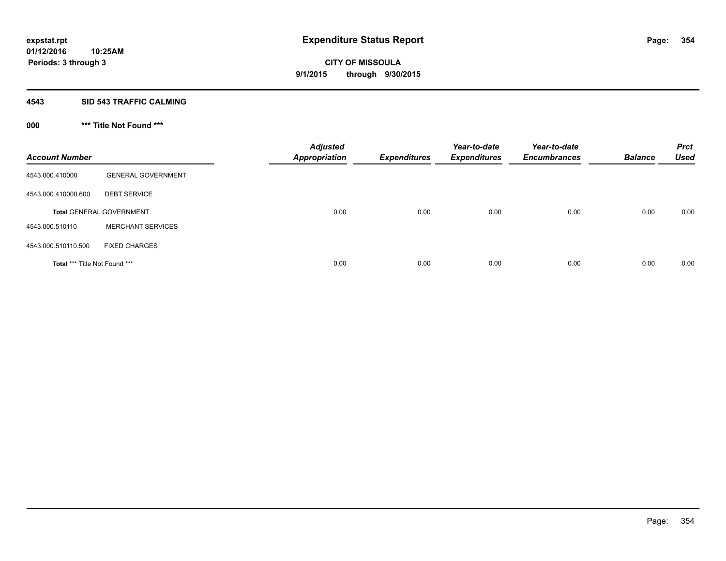#### **4543 SID 543 TRAFFIC CALMING**

## **000 \*\*\* Title Not Found \*\*\***

| <b>Account Number</b>         |                                 | <b>Adjusted</b><br><b>Appropriation</b> | <b>Expenditures</b> | Year-to-date<br><b>Expenditures</b> | Year-to-date<br><b>Encumbrances</b> | <b>Balance</b> | <b>Prct</b><br><b>Used</b> |
|-------------------------------|---------------------------------|-----------------------------------------|---------------------|-------------------------------------|-------------------------------------|----------------|----------------------------|
| 4543.000.410000               | <b>GENERAL GOVERNMENT</b>       |                                         |                     |                                     |                                     |                |                            |
| 4543.000.410000.600           | <b>DEBT SERVICE</b>             |                                         |                     |                                     |                                     |                |                            |
|                               | <b>Total GENERAL GOVERNMENT</b> | 0.00                                    | 0.00                | 0.00                                | 0.00                                | 0.00           | 0.00                       |
| 4543.000.510110               | <b>MERCHANT SERVICES</b>        |                                         |                     |                                     |                                     |                |                            |
| 4543.000.510110.500           | <b>FIXED CHARGES</b>            |                                         |                     |                                     |                                     |                |                            |
| Total *** Title Not Found *** |                                 | 0.00                                    | 0.00                | 0.00                                | 0.00                                | 0.00           | 0.00                       |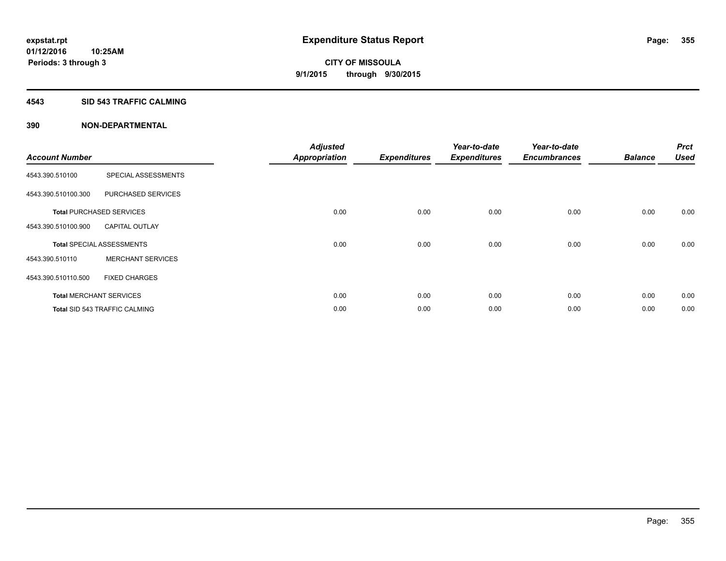## **4543 SID 543 TRAFFIC CALMING**

|                       |                                      | <b>Adjusted</b>      |                     | Year-to-date        | Year-to-date        |                | <b>Prct</b> |
|-----------------------|--------------------------------------|----------------------|---------------------|---------------------|---------------------|----------------|-------------|
| <b>Account Number</b> |                                      | <b>Appropriation</b> | <b>Expenditures</b> | <b>Expenditures</b> | <b>Encumbrances</b> | <b>Balance</b> | <b>Used</b> |
| 4543.390.510100       | SPECIAL ASSESSMENTS                  |                      |                     |                     |                     |                |             |
| 4543.390.510100.300   | PURCHASED SERVICES                   |                      |                     |                     |                     |                |             |
|                       | <b>Total PURCHASED SERVICES</b>      | 0.00                 | 0.00                | 0.00                | 0.00                | 0.00           | 0.00        |
| 4543.390.510100.900   | <b>CAPITAL OUTLAY</b>                |                      |                     |                     |                     |                |             |
|                       | <b>Total SPECIAL ASSESSMENTS</b>     | 0.00                 | 0.00                | 0.00                | 0.00                | 0.00           | 0.00        |
| 4543.390.510110       | <b>MERCHANT SERVICES</b>             |                      |                     |                     |                     |                |             |
| 4543.390.510110.500   | <b>FIXED CHARGES</b>                 |                      |                     |                     |                     |                |             |
|                       | <b>Total MERCHANT SERVICES</b>       | 0.00                 | 0.00                | 0.00                | 0.00                | 0.00           | 0.00        |
|                       | <b>Total SID 543 TRAFFIC CALMING</b> | 0.00                 | 0.00                | 0.00                | 0.00                | 0.00           | 0.00        |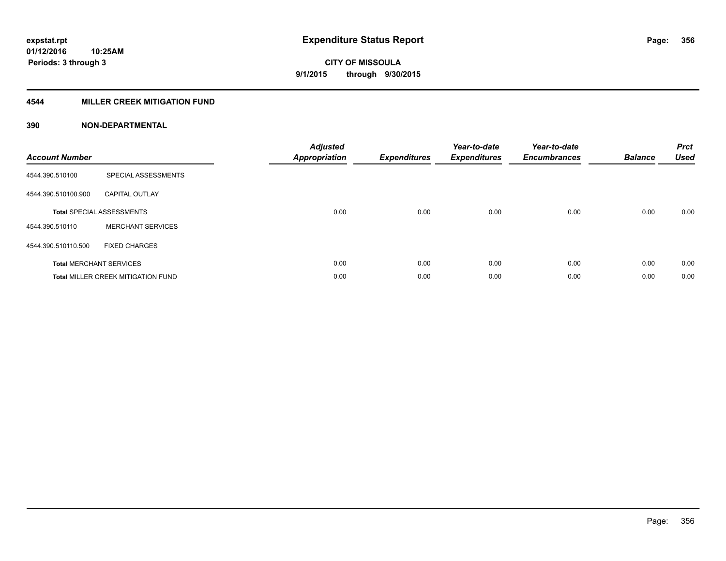## **4544 MILLER CREEK MITIGATION FUND**

| <b>Account Number</b> |                                           | <b>Adjusted</b><br><b>Appropriation</b> | <b>Expenditures</b> | Year-to-date<br><b>Expenditures</b> | Year-to-date<br><b>Encumbrances</b> | <b>Balance</b> | <b>Prct</b><br><b>Used</b> |
|-----------------------|-------------------------------------------|-----------------------------------------|---------------------|-------------------------------------|-------------------------------------|----------------|----------------------------|
| 4544.390.510100       | SPECIAL ASSESSMENTS                       |                                         |                     |                                     |                                     |                |                            |
| 4544.390.510100.900   | <b>CAPITAL OUTLAY</b>                     |                                         |                     |                                     |                                     |                |                            |
|                       | <b>Total SPECIAL ASSESSMENTS</b>          | 0.00                                    | 0.00                | 0.00                                | 0.00                                | 0.00           | 0.00                       |
| 4544.390.510110       | <b>MERCHANT SERVICES</b>                  |                                         |                     |                                     |                                     |                |                            |
| 4544.390.510110.500   | <b>FIXED CHARGES</b>                      |                                         |                     |                                     |                                     |                |                            |
|                       | <b>Total MERCHANT SERVICES</b>            | 0.00                                    | 0.00                | 0.00                                | 0.00                                | 0.00           | 0.00                       |
|                       | <b>Total MILLER CREEK MITIGATION FUND</b> | 0.00                                    | 0.00                | 0.00                                | 0.00                                | 0.00           | 0.00                       |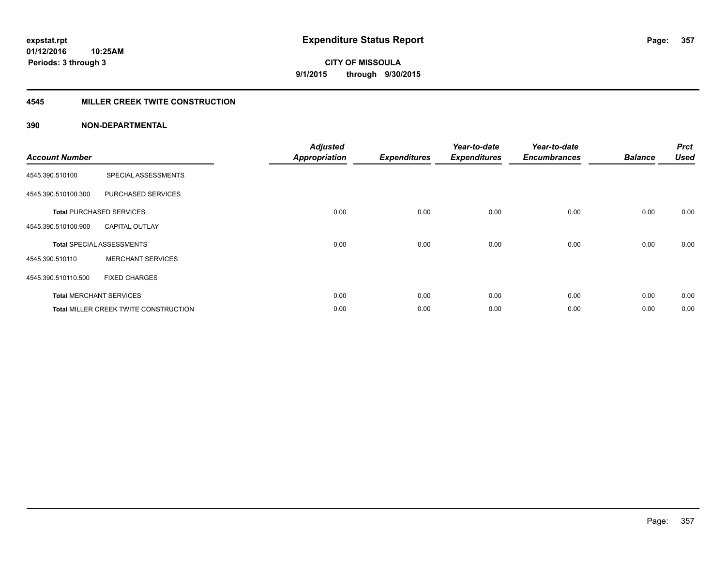## **4545 MILLER CREEK TWITE CONSTRUCTION**

| <b>Account Number</b> |                                              | <b>Adjusted</b>      |                     | Year-to-date        | Year-to-date        |                | <b>Prct</b> |
|-----------------------|----------------------------------------------|----------------------|---------------------|---------------------|---------------------|----------------|-------------|
|                       |                                              | <b>Appropriation</b> | <b>Expenditures</b> | <b>Expenditures</b> | <b>Encumbrances</b> | <b>Balance</b> | <b>Used</b> |
| 4545.390.510100       | SPECIAL ASSESSMENTS                          |                      |                     |                     |                     |                |             |
| 4545.390.510100.300   | PURCHASED SERVICES                           |                      |                     |                     |                     |                |             |
|                       | <b>Total PURCHASED SERVICES</b>              | 0.00                 | 0.00                | 0.00                | 0.00                | 0.00           | 0.00        |
| 4545.390.510100.900   | <b>CAPITAL OUTLAY</b>                        |                      |                     |                     |                     |                |             |
|                       | <b>Total SPECIAL ASSESSMENTS</b>             | 0.00                 | 0.00                | 0.00                | 0.00                | 0.00           | 0.00        |
| 4545.390.510110       | <b>MERCHANT SERVICES</b>                     |                      |                     |                     |                     |                |             |
| 4545.390.510110.500   | <b>FIXED CHARGES</b>                         |                      |                     |                     |                     |                |             |
|                       | <b>Total MERCHANT SERVICES</b>               | 0.00                 | 0.00                | 0.00                | 0.00                | 0.00           | 0.00        |
|                       | <b>Total MILLER CREEK TWITE CONSTRUCTION</b> | 0.00                 | 0.00                | 0.00                | 0.00                | 0.00           | 0.00        |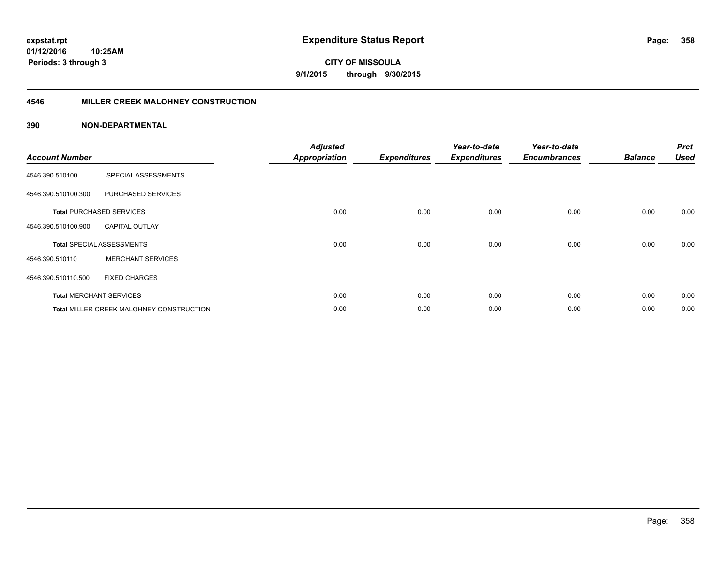**Periods: 3 through 3**

**CITY OF MISSOULA 9/1/2015 through 9/30/2015**

## **4546 MILLER CREEK MALOHNEY CONSTRUCTION**

| <b>Account Number</b> |                                          | <b>Adjusted</b><br><b>Appropriation</b> | <b>Expenditures</b> | Year-to-date<br><b>Expenditures</b> | Year-to-date<br><b>Encumbrances</b> | <b>Balance</b> | <b>Prct</b><br><b>Used</b> |
|-----------------------|------------------------------------------|-----------------------------------------|---------------------|-------------------------------------|-------------------------------------|----------------|----------------------------|
| 4546.390.510100       | SPECIAL ASSESSMENTS                      |                                         |                     |                                     |                                     |                |                            |
| 4546.390.510100.300   | PURCHASED SERVICES                       |                                         |                     |                                     |                                     |                |                            |
|                       | <b>Total PURCHASED SERVICES</b>          | 0.00                                    | 0.00                | 0.00                                | 0.00                                | 0.00           | 0.00                       |
| 4546.390.510100.900   | <b>CAPITAL OUTLAY</b>                    |                                         |                     |                                     |                                     |                |                            |
|                       | <b>Total SPECIAL ASSESSMENTS</b>         | 0.00                                    | 0.00                | 0.00                                | 0.00                                | 0.00           | 0.00                       |
| 4546.390.510110       | <b>MERCHANT SERVICES</b>                 |                                         |                     |                                     |                                     |                |                            |
| 4546.390.510110.500   | <b>FIXED CHARGES</b>                     |                                         |                     |                                     |                                     |                |                            |
|                       | <b>Total MERCHANT SERVICES</b>           | 0.00                                    | 0.00                | 0.00                                | 0.00                                | 0.00           | 0.00                       |
|                       | Total MILLER CREEK MALOHNEY CONSTRUCTION | 0.00                                    | 0.00                | 0.00                                | 0.00                                | 0.00           | 0.00                       |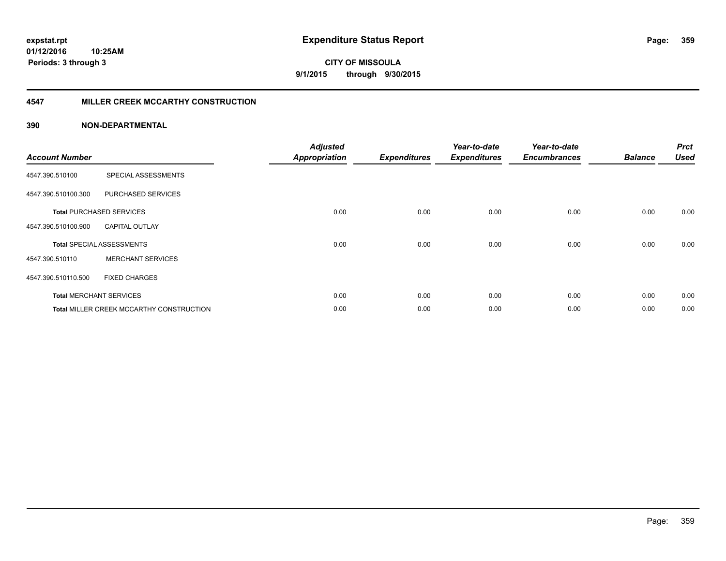## **4547 MILLER CREEK MCCARTHY CONSTRUCTION**

| <b>Account Number</b> |                                                 | <b>Adjusted</b><br><b>Appropriation</b> | <b>Expenditures</b> | Year-to-date<br><b>Expenditures</b> | Year-to-date<br><b>Encumbrances</b> | <b>Balance</b> | <b>Prct</b><br><b>Used</b> |
|-----------------------|-------------------------------------------------|-----------------------------------------|---------------------|-------------------------------------|-------------------------------------|----------------|----------------------------|
| 4547.390.510100       | SPECIAL ASSESSMENTS                             |                                         |                     |                                     |                                     |                |                            |
| 4547.390.510100.300   | PURCHASED SERVICES                              |                                         |                     |                                     |                                     |                |                            |
|                       | <b>Total PURCHASED SERVICES</b>                 | 0.00                                    | 0.00                | 0.00                                | 0.00                                | 0.00           | 0.00                       |
| 4547.390.510100.900   | <b>CAPITAL OUTLAY</b>                           |                                         |                     |                                     |                                     |                |                            |
|                       | <b>Total SPECIAL ASSESSMENTS</b>                | 0.00                                    | 0.00                | 0.00                                | 0.00                                | 0.00           | 0.00                       |
| 4547.390.510110       | <b>MERCHANT SERVICES</b>                        |                                         |                     |                                     |                                     |                |                            |
| 4547.390.510110.500   | <b>FIXED CHARGES</b>                            |                                         |                     |                                     |                                     |                |                            |
|                       | <b>Total MERCHANT SERVICES</b>                  | 0.00                                    | 0.00                | 0.00                                | 0.00                                | 0.00           | 0.00                       |
|                       | <b>Total MILLER CREEK MCCARTHY CONSTRUCTION</b> | 0.00                                    | 0.00                | 0.00                                | 0.00                                | 0.00           | 0.00                       |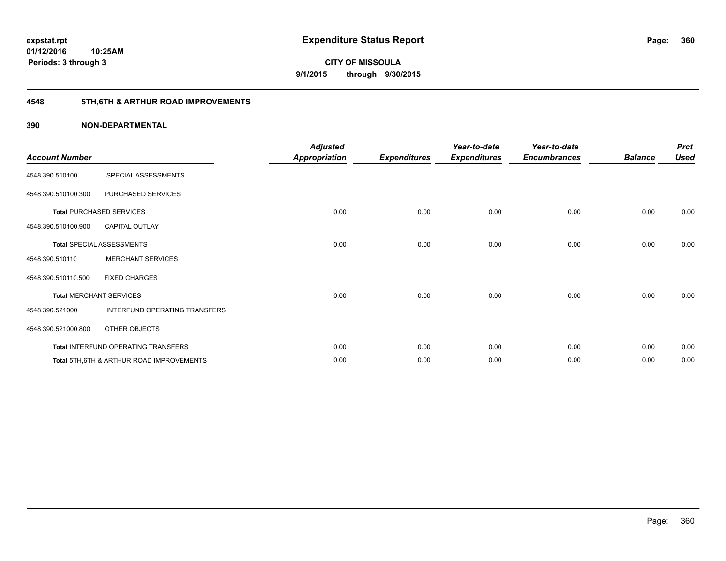## **4548 5TH,6TH & ARTHUR ROAD IMPROVEMENTS**

| <b>Account Number</b> |                                                     | <b>Adjusted</b><br><b>Appropriation</b> | <b>Expenditures</b> | Year-to-date<br><b>Expenditures</b> | Year-to-date<br><b>Encumbrances</b> | <b>Balance</b> | <b>Prct</b><br><b>Used</b> |
|-----------------------|-----------------------------------------------------|-----------------------------------------|---------------------|-------------------------------------|-------------------------------------|----------------|----------------------------|
| 4548.390.510100       | SPECIAL ASSESSMENTS                                 |                                         |                     |                                     |                                     |                |                            |
| 4548.390.510100.300   | PURCHASED SERVICES                                  |                                         |                     |                                     |                                     |                |                            |
|                       | <b>Total PURCHASED SERVICES</b>                     | 0.00                                    | 0.00                | 0.00                                | 0.00                                | 0.00           | 0.00                       |
| 4548.390.510100.900   | <b>CAPITAL OUTLAY</b>                               |                                         |                     |                                     |                                     |                |                            |
|                       | <b>Total SPECIAL ASSESSMENTS</b>                    | 0.00                                    | 0.00                | 0.00                                | 0.00                                | 0.00           | 0.00                       |
| 4548.390.510110       | <b>MERCHANT SERVICES</b>                            |                                         |                     |                                     |                                     |                |                            |
| 4548.390.510110.500   | <b>FIXED CHARGES</b>                                |                                         |                     |                                     |                                     |                |                            |
|                       | <b>Total MERCHANT SERVICES</b>                      | 0.00                                    | 0.00                | 0.00                                | 0.00                                | 0.00           | 0.00                       |
| 4548.390.521000       | INTERFUND OPERATING TRANSFERS                       |                                         |                     |                                     |                                     |                |                            |
| 4548.390.521000.800   | OTHER OBJECTS                                       |                                         |                     |                                     |                                     |                |                            |
|                       | Total INTERFUND OPERATING TRANSFERS                 | 0.00                                    | 0.00                | 0.00                                | 0.00                                | 0.00           | 0.00                       |
|                       | <b>Total 5TH.6TH &amp; ARTHUR ROAD IMPROVEMENTS</b> | 0.00                                    | 0.00                | 0.00                                | 0.00                                | 0.00           | 0.00                       |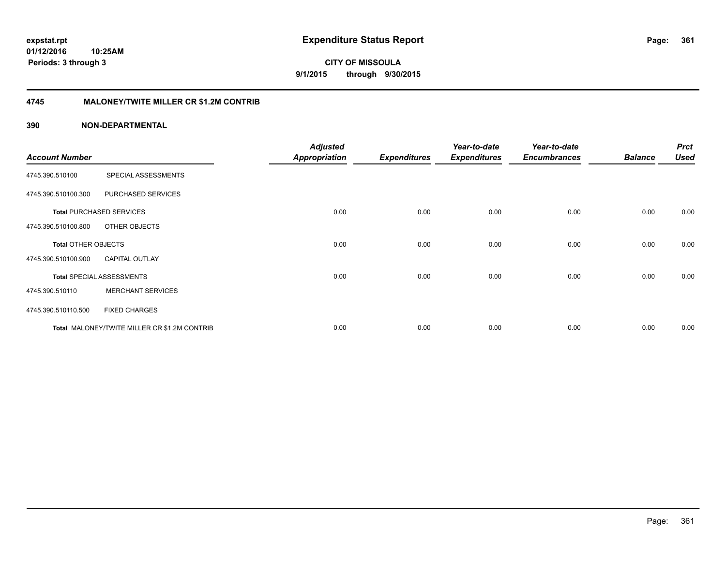**CITY OF MISSOULA 9/1/2015 through 9/30/2015**

#### **4745 MALONEY/TWITE MILLER CR \$1.2M CONTRIB**

|                            |                                              | <b>Adjusted</b>      |                     | Year-to-date        | Year-to-date        |                | <b>Prct</b> |
|----------------------------|----------------------------------------------|----------------------|---------------------|---------------------|---------------------|----------------|-------------|
| <b>Account Number</b>      |                                              | <b>Appropriation</b> | <b>Expenditures</b> | <b>Expenditures</b> | <b>Encumbrances</b> | <b>Balance</b> | <b>Used</b> |
| 4745.390.510100            | SPECIAL ASSESSMENTS                          |                      |                     |                     |                     |                |             |
| 4745.390.510100.300        | PURCHASED SERVICES                           |                      |                     |                     |                     |                |             |
|                            | <b>Total PURCHASED SERVICES</b>              | 0.00                 | 0.00                | 0.00                | 0.00                | 0.00           | 0.00        |
| 4745.390.510100.800        | OTHER OBJECTS                                |                      |                     |                     |                     |                |             |
| <b>Total OTHER OBJECTS</b> |                                              | 0.00                 | 0.00                | 0.00                | 0.00                | 0.00           | 0.00        |
| 4745.390.510100.900        | <b>CAPITAL OUTLAY</b>                        |                      |                     |                     |                     |                |             |
|                            | <b>Total SPECIAL ASSESSMENTS</b>             | 0.00                 | 0.00                | 0.00                | 0.00                | 0.00           | 0.00        |
| 4745.390.510110            | <b>MERCHANT SERVICES</b>                     |                      |                     |                     |                     |                |             |
| 4745.390.510110.500        | <b>FIXED CHARGES</b>                         |                      |                     |                     |                     |                |             |
|                            | Total MALONEY/TWITE MILLER CR \$1.2M CONTRIB | 0.00                 | 0.00                | 0.00                | 0.00                | 0.00           | 0.00        |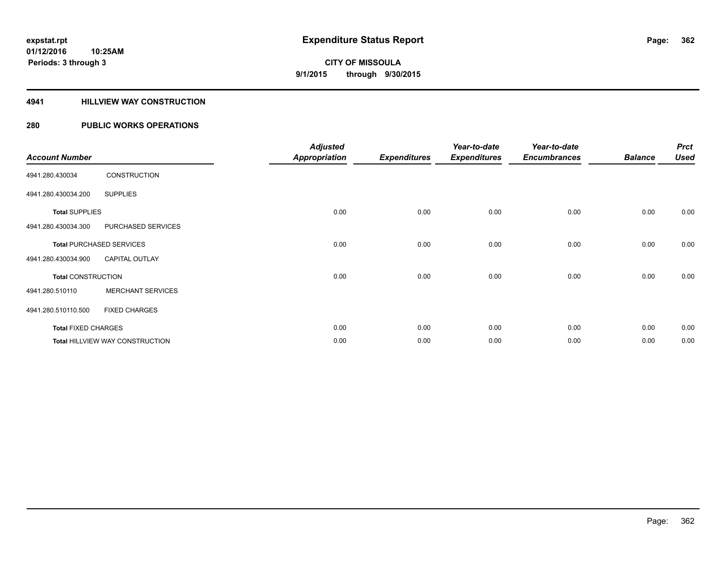#### **4941 HILLVIEW WAY CONSTRUCTION**

### **280 PUBLIC WORKS OPERATIONS**

|                            |                                        | <b>Adjusted</b>      |                     | Year-to-date        | Year-to-date        |                | <b>Prct</b> |
|----------------------------|----------------------------------------|----------------------|---------------------|---------------------|---------------------|----------------|-------------|
| <b>Account Number</b>      |                                        | <b>Appropriation</b> | <b>Expenditures</b> | <b>Expenditures</b> | <b>Encumbrances</b> | <b>Balance</b> | <b>Used</b> |
| 4941.280.430034            | <b>CONSTRUCTION</b>                    |                      |                     |                     |                     |                |             |
| 4941.280.430034.200        | <b>SUPPLIES</b>                        |                      |                     |                     |                     |                |             |
| <b>Total SUPPLIES</b>      |                                        | 0.00                 | 0.00                | 0.00                | 0.00                | 0.00           | 0.00        |
| 4941.280.430034.300        | PURCHASED SERVICES                     |                      |                     |                     |                     |                |             |
|                            | <b>Total PURCHASED SERVICES</b>        | 0.00                 | 0.00                | 0.00                | 0.00                | 0.00           | 0.00        |
| 4941.280.430034.900        | <b>CAPITAL OUTLAY</b>                  |                      |                     |                     |                     |                |             |
| <b>Total CONSTRUCTION</b>  |                                        | 0.00                 | 0.00                | 0.00                | 0.00                | 0.00           | 0.00        |
| 4941.280.510110            | <b>MERCHANT SERVICES</b>               |                      |                     |                     |                     |                |             |
| 4941.280.510110.500        | <b>FIXED CHARGES</b>                   |                      |                     |                     |                     |                |             |
| <b>Total FIXED CHARGES</b> |                                        | 0.00                 | 0.00                | 0.00                | 0.00                | 0.00           | 0.00        |
|                            | <b>Total HILLVIEW WAY CONSTRUCTION</b> | 0.00                 | 0.00                | 0.00                | 0.00                | 0.00           | 0.00        |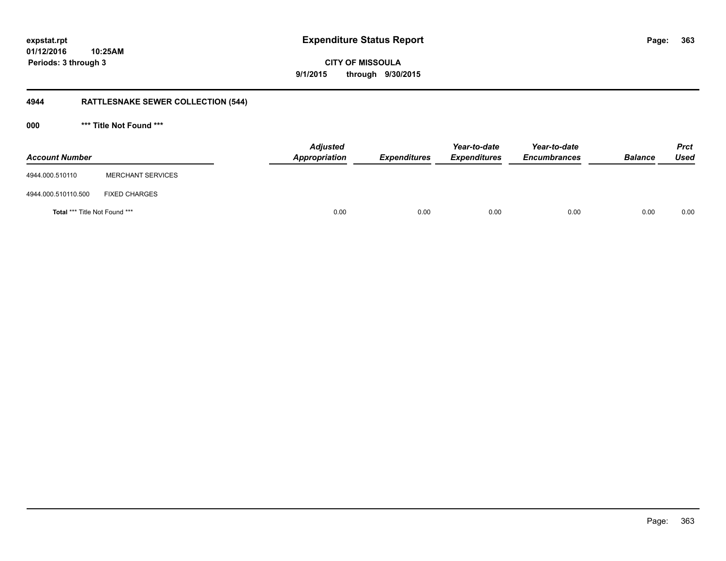**363**

**CITY OF MISSOULA 9/1/2015 through 9/30/2015**

## **4944 RATTLESNAKE SEWER COLLECTION (544)**

**000 \*\*\* Title Not Found \*\*\***

| <b>Account Number</b>         |                          | <b>Adjusted</b><br>Appropriation | <b>Expenditures</b> | Year-to-date<br><b>Expenditures</b> | Year-to-date<br><b>Encumbrances</b> | <b>Balance</b> | <b>Prct</b><br><b>Used</b> |
|-------------------------------|--------------------------|----------------------------------|---------------------|-------------------------------------|-------------------------------------|----------------|----------------------------|
| 4944.000.510110               | <b>MERCHANT SERVICES</b> |                                  |                     |                                     |                                     |                |                            |
| 4944.000.510110.500           | <b>FIXED CHARGES</b>     |                                  |                     |                                     |                                     |                |                            |
| Total *** Title Not Found *** |                          |                                  | 0.00<br>0.00        | 0.00                                | 0.00                                | 0.00           | 0.00                       |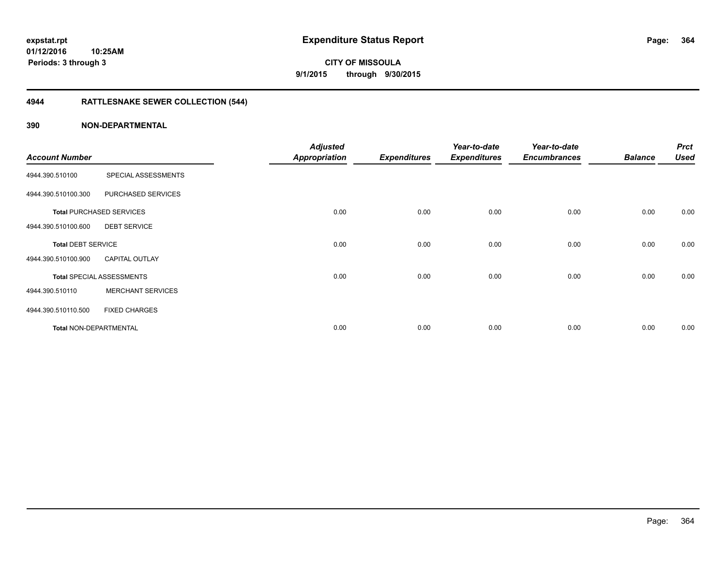**Periods: 3 through 3**

# **CITY OF MISSOULA 9/1/2015 through 9/30/2015**

## **4944 RATTLESNAKE SEWER COLLECTION (544)**

| <b>Account Number</b>         |                                  | <b>Adjusted</b>      | <b>Expenditures</b> | Year-to-date        | Year-to-date        | <b>Balance</b> | <b>Prct</b><br><b>Used</b> |
|-------------------------------|----------------------------------|----------------------|---------------------|---------------------|---------------------|----------------|----------------------------|
|                               |                                  | <b>Appropriation</b> |                     | <b>Expenditures</b> | <b>Encumbrances</b> |                |                            |
| 4944.390.510100               | SPECIAL ASSESSMENTS              |                      |                     |                     |                     |                |                            |
| 4944.390.510100.300           | PURCHASED SERVICES               |                      |                     |                     |                     |                |                            |
|                               | <b>Total PURCHASED SERVICES</b>  | 0.00                 | 0.00                | 0.00                | 0.00                | 0.00           | 0.00                       |
| 4944.390.510100.600           | <b>DEBT SERVICE</b>              |                      |                     |                     |                     |                |                            |
| <b>Total DEBT SERVICE</b>     |                                  | 0.00                 | 0.00                | 0.00                | 0.00                | 0.00           | 0.00                       |
| 4944.390.510100.900           | <b>CAPITAL OUTLAY</b>            |                      |                     |                     |                     |                |                            |
|                               | <b>Total SPECIAL ASSESSMENTS</b> | 0.00                 | 0.00                | 0.00                | 0.00                | 0.00           | 0.00                       |
| 4944.390.510110               | <b>MERCHANT SERVICES</b>         |                      |                     |                     |                     |                |                            |
| 4944.390.510110.500           | <b>FIXED CHARGES</b>             |                      |                     |                     |                     |                |                            |
| <b>Total NON-DEPARTMENTAL</b> |                                  | 0.00                 | 0.00                | 0.00                | 0.00                | 0.00           | 0.00                       |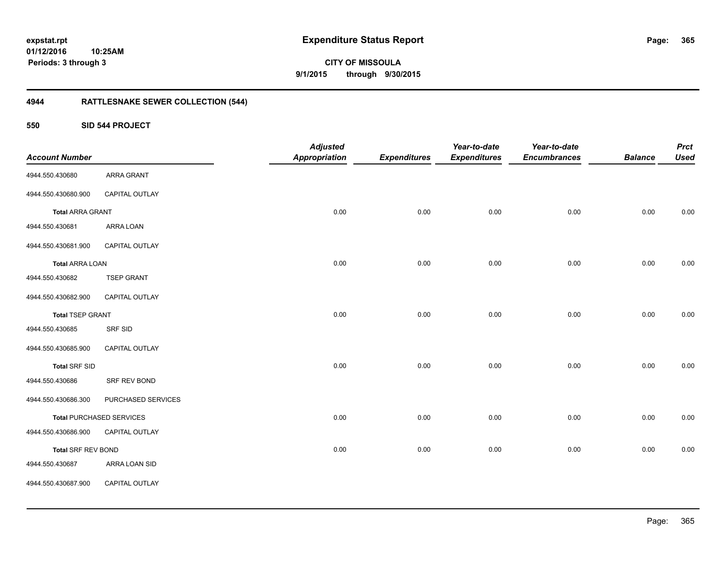**CITY OF MISSOULA 9/1/2015 through 9/30/2015**

## **4944 RATTLESNAKE SEWER COLLECTION (544)**

#### **550 SID 544 PROJECT**

| <b>Account Number</b>     |                                 | <b>Adjusted</b><br><b>Appropriation</b> | <b>Expenditures</b> | Year-to-date<br><b>Expenditures</b> | Year-to-date<br><b>Encumbrances</b> | <b>Balance</b> | <b>Prct</b><br><b>Used</b> |
|---------------------------|---------------------------------|-----------------------------------------|---------------------|-------------------------------------|-------------------------------------|----------------|----------------------------|
| 4944.550.430680           | <b>ARRA GRANT</b>               |                                         |                     |                                     |                                     |                |                            |
| 4944.550.430680.900       | <b>CAPITAL OUTLAY</b>           |                                         |                     |                                     |                                     |                |                            |
| <b>Total ARRA GRANT</b>   |                                 | 0.00                                    | 0.00                | 0.00                                | 0.00                                | 0.00           | 0.00                       |
| 4944.550.430681           | ARRA LOAN                       |                                         |                     |                                     |                                     |                |                            |
| 4944.550.430681.900       | CAPITAL OUTLAY                  |                                         |                     |                                     |                                     |                |                            |
| <b>Total ARRA LOAN</b>    |                                 | 0.00                                    | 0.00                | 0.00                                | 0.00                                | 0.00           | 0.00                       |
| 4944.550.430682           | <b>TSEP GRANT</b>               |                                         |                     |                                     |                                     |                |                            |
| 4944.550.430682.900       | <b>CAPITAL OUTLAY</b>           |                                         |                     |                                     |                                     |                |                            |
| <b>Total TSEP GRANT</b>   |                                 | 0.00                                    | 0.00                | 0.00                                | 0.00                                | 0.00           | 0.00                       |
| 4944.550.430685           | <b>SRF SID</b>                  |                                         |                     |                                     |                                     |                |                            |
| 4944.550.430685.900       | CAPITAL OUTLAY                  |                                         |                     |                                     |                                     |                |                            |
| <b>Total SRF SID</b>      |                                 | 0.00                                    | 0.00                | 0.00                                | 0.00                                | 0.00           | 0.00                       |
| 4944.550.430686           | SRF REV BOND                    |                                         |                     |                                     |                                     |                |                            |
| 4944.550.430686.300       | PURCHASED SERVICES              |                                         |                     |                                     |                                     |                |                            |
|                           | <b>Total PURCHASED SERVICES</b> | 0.00                                    | 0.00                | 0.00                                | 0.00                                | 0.00           | 0.00                       |
| 4944.550.430686.900       | CAPITAL OUTLAY                  |                                         |                     |                                     |                                     |                |                            |
| <b>Total SRF REV BOND</b> |                                 | 0.00                                    | 0.00                | 0.00                                | 0.00                                | 0.00           | 0.00                       |
| 4944.550.430687           | ARRA LOAN SID                   |                                         |                     |                                     |                                     |                |                            |
| 4944.550.430687.900       | CAPITAL OUTLAY                  |                                         |                     |                                     |                                     |                |                            |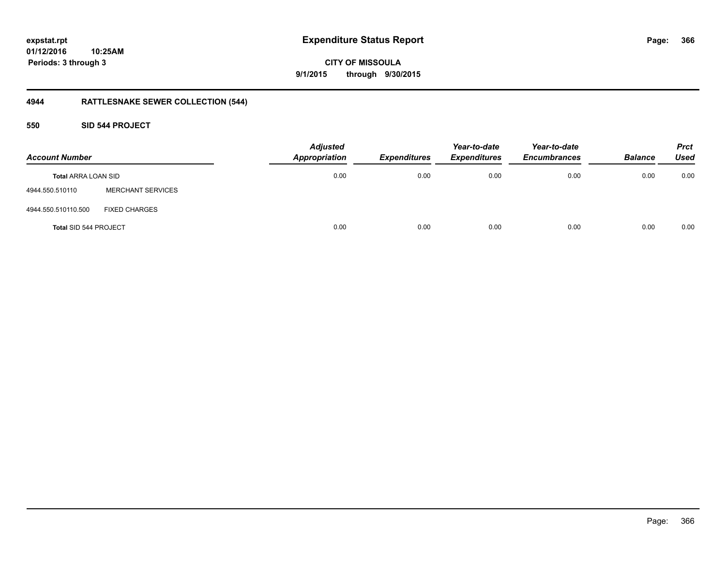**366**

**01/12/2016 10:25AM Periods: 3 through 3**

**CITY OF MISSOULA 9/1/2015 through 9/30/2015**

## **4944 RATTLESNAKE SEWER COLLECTION (544)**

### **550 SID 544 PROJECT**

| <b>Account Number</b>      |                          | <b>Adjusted</b><br><b>Appropriation</b> | <b>Expenditures</b> | Year-to-date<br><b>Expenditures</b> | Year-to-date<br><b>Encumbrances</b> | <b>Balance</b> | <b>Prct</b><br><b>Used</b> |
|----------------------------|--------------------------|-----------------------------------------|---------------------|-------------------------------------|-------------------------------------|----------------|----------------------------|
| <b>Total ARRA LOAN SID</b> |                          | 0.00                                    | 0.00                | 0.00                                | 0.00                                | 0.00           | 0.00                       |
| 4944.550.510110            | <b>MERCHANT SERVICES</b> |                                         |                     |                                     |                                     |                |                            |
| 4944.550.510110.500        | <b>FIXED CHARGES</b>     |                                         |                     |                                     |                                     |                |                            |
| Total SID 544 PROJECT      |                          | 0.00                                    | 0.00                | 0.00                                | 0.00                                | 0.00           | 0.00                       |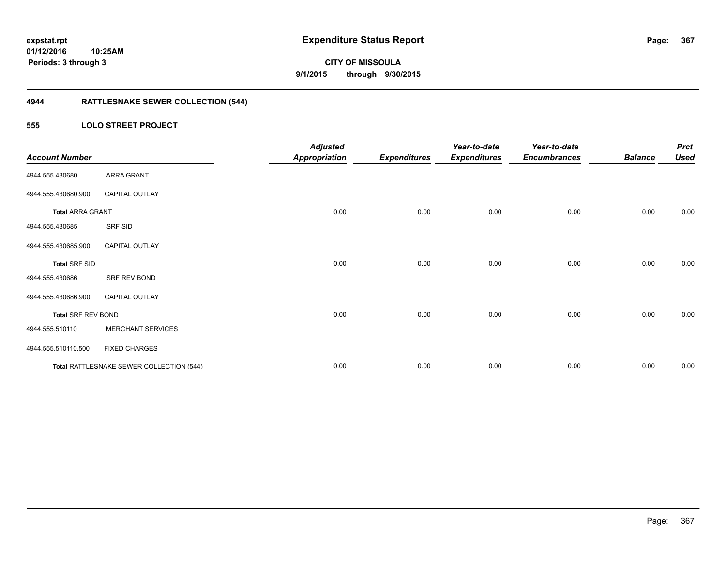**Periods: 3 through 3**

**CITY OF MISSOULA 9/1/2015 through 9/30/2015**

## **4944 RATTLESNAKE SEWER COLLECTION (544)**

#### **555 LOLO STREET PROJECT**

**10:25AM**

| <b>Account Number</b>     |                                          | <b>Adjusted</b><br><b>Appropriation</b> | <b>Expenditures</b> | Year-to-date<br><b>Expenditures</b> | Year-to-date<br><b>Encumbrances</b> | <b>Balance</b> | <b>Prct</b><br><b>Used</b> |
|---------------------------|------------------------------------------|-----------------------------------------|---------------------|-------------------------------------|-------------------------------------|----------------|----------------------------|
| 4944.555.430680           | ARRA GRANT                               |                                         |                     |                                     |                                     |                |                            |
| 4944.555.430680.900       | CAPITAL OUTLAY                           |                                         |                     |                                     |                                     |                |                            |
| <b>Total ARRA GRANT</b>   |                                          | 0.00                                    | 0.00                | 0.00                                | 0.00                                | 0.00           | 0.00                       |
| 4944.555.430685           | SRF SID                                  |                                         |                     |                                     |                                     |                |                            |
| 4944.555.430685.900       | <b>CAPITAL OUTLAY</b>                    |                                         |                     |                                     |                                     |                |                            |
| <b>Total SRF SID</b>      |                                          | 0.00                                    | 0.00                | 0.00                                | 0.00                                | 0.00           | 0.00                       |
| 4944.555.430686           | SRF REV BOND                             |                                         |                     |                                     |                                     |                |                            |
| 4944.555.430686.900       | <b>CAPITAL OUTLAY</b>                    |                                         |                     |                                     |                                     |                |                            |
| <b>Total SRF REV BOND</b> |                                          | 0.00                                    | 0.00                | 0.00                                | 0.00                                | 0.00           | 0.00                       |
| 4944.555.510110           | <b>MERCHANT SERVICES</b>                 |                                         |                     |                                     |                                     |                |                            |
| 4944.555.510110.500       | <b>FIXED CHARGES</b>                     |                                         |                     |                                     |                                     |                |                            |
|                           | Total RATTLESNAKE SEWER COLLECTION (544) | 0.00                                    | 0.00                | 0.00                                | 0.00                                | 0.00           | 0.00                       |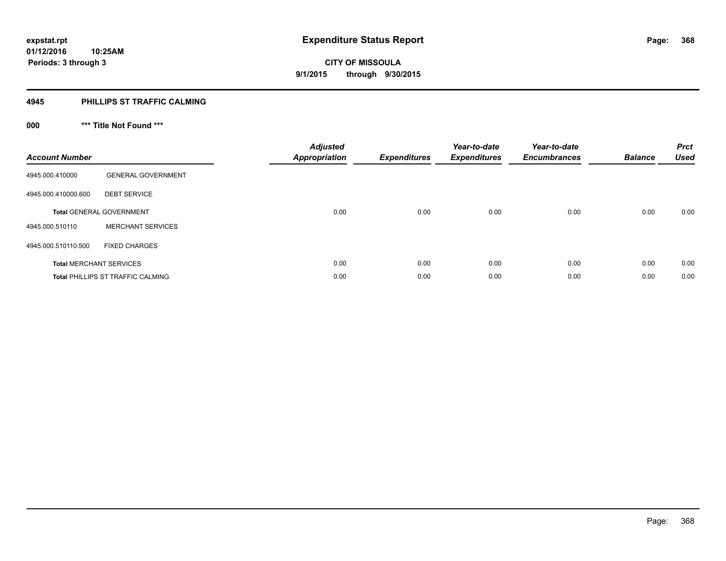#### **4945 PHILLIPS ST TRAFFIC CALMING**

## **000 \*\*\* Title Not Found \*\*\***

| <b>Account Number</b>          |                                   | <b>Adjusted</b><br><b>Appropriation</b> | <b>Expenditures</b> | Year-to-date<br><b>Expenditures</b> | Year-to-date<br><b>Encumbrances</b> | <b>Balance</b> | <b>Prct</b><br><b>Used</b> |
|--------------------------------|-----------------------------------|-----------------------------------------|---------------------|-------------------------------------|-------------------------------------|----------------|----------------------------|
| 4945.000.410000                | <b>GENERAL GOVERNMENT</b>         |                                         |                     |                                     |                                     |                |                            |
| 4945.000.410000.600            | <b>DEBT SERVICE</b>               |                                         |                     |                                     |                                     |                |                            |
|                                | <b>Total GENERAL GOVERNMENT</b>   | 0.00                                    | 0.00                | 0.00                                | 0.00                                | 0.00           | 0.00                       |
| 4945.000.510110                | <b>MERCHANT SERVICES</b>          |                                         |                     |                                     |                                     |                |                            |
| 4945.000.510110.500            | <b>FIXED CHARGES</b>              |                                         |                     |                                     |                                     |                |                            |
| <b>Total MERCHANT SERVICES</b> |                                   | 0.00                                    | 0.00                | 0.00                                | 0.00                                | 0.00           | 0.00                       |
|                                | Total PHILLIPS ST TRAFFIC CALMING | 0.00                                    | 0.00                | 0.00                                | 0.00                                | 0.00           | 0.00                       |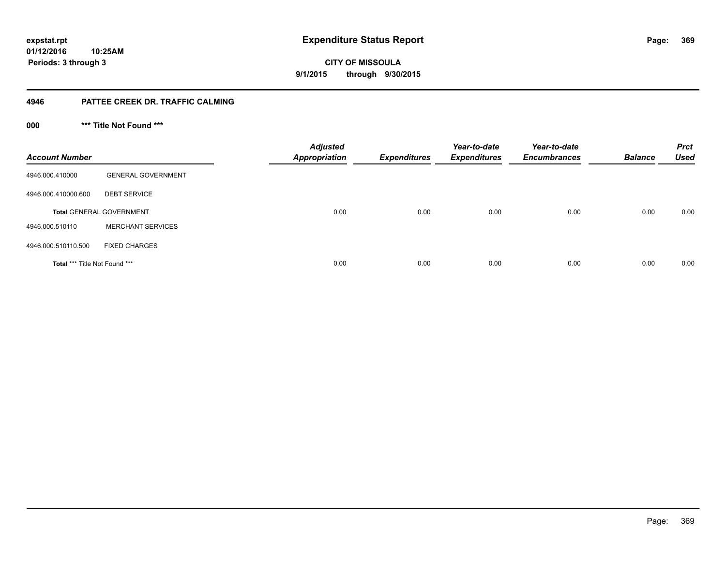**369**

**CITY OF MISSOULA 9/1/2015 through 9/30/2015**

#### **4946 PATTEE CREEK DR. TRAFFIC CALMING**

**000 \*\*\* Title Not Found \*\*\***

| <b>Account Number</b>         |                                 | <b>Adjusted</b><br><b>Appropriation</b> | <b>Expenditures</b> | Year-to-date<br><b>Expenditures</b> | Year-to-date<br><b>Encumbrances</b> | <b>Balance</b> | <b>Prct</b><br><b>Used</b> |
|-------------------------------|---------------------------------|-----------------------------------------|---------------------|-------------------------------------|-------------------------------------|----------------|----------------------------|
| 4946.000.410000               | <b>GENERAL GOVERNMENT</b>       |                                         |                     |                                     |                                     |                |                            |
| 4946.000.410000.600           | <b>DEBT SERVICE</b>             |                                         |                     |                                     |                                     |                |                            |
|                               | <b>Total GENERAL GOVERNMENT</b> | 0.00                                    | 0.00                | 0.00                                | 0.00                                | 0.00           | 0.00                       |
| 4946.000.510110               | <b>MERCHANT SERVICES</b>        |                                         |                     |                                     |                                     |                |                            |
| 4946.000.510110.500           | <b>FIXED CHARGES</b>            |                                         |                     |                                     |                                     |                |                            |
| Total *** Title Not Found *** |                                 | 0.00                                    | 0.00                | 0.00                                | 0.00                                | 0.00           | 0.00                       |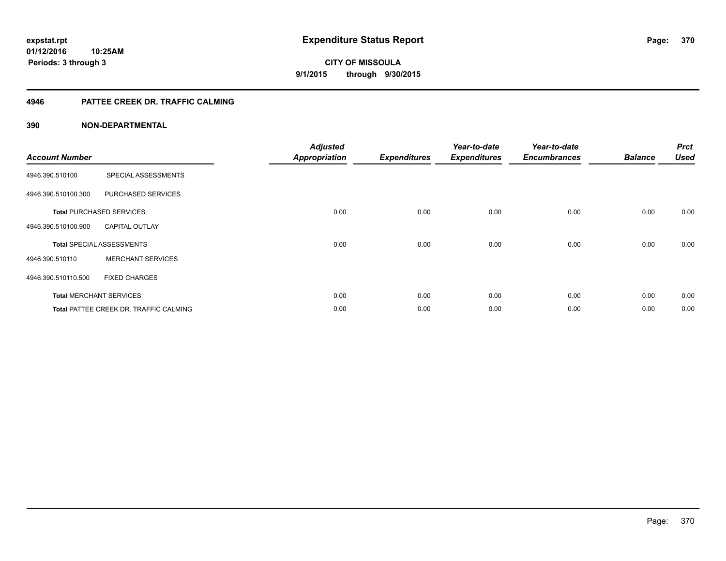#### **4946 PATTEE CREEK DR. TRAFFIC CALMING**

| <b>Account Number</b> |                                               | <b>Adjusted</b><br><b>Appropriation</b> | <b>Expenditures</b> | Year-to-date<br><b>Expenditures</b> | Year-to-date<br><b>Encumbrances</b> | <b>Balance</b> | <b>Prct</b><br><b>Used</b> |
|-----------------------|-----------------------------------------------|-----------------------------------------|---------------------|-------------------------------------|-------------------------------------|----------------|----------------------------|
| 4946.390.510100       | SPECIAL ASSESSMENTS                           |                                         |                     |                                     |                                     |                |                            |
| 4946.390.510100.300   | PURCHASED SERVICES                            |                                         |                     |                                     |                                     |                |                            |
|                       | <b>Total PURCHASED SERVICES</b>               | 0.00                                    | 0.00                | 0.00                                | 0.00                                | 0.00           | 0.00                       |
| 4946.390.510100.900   | <b>CAPITAL OUTLAY</b>                         |                                         |                     |                                     |                                     |                |                            |
|                       | <b>Total SPECIAL ASSESSMENTS</b>              | 0.00                                    | 0.00                | 0.00                                | 0.00                                | 0.00           | 0.00                       |
| 4946.390.510110       | <b>MERCHANT SERVICES</b>                      |                                         |                     |                                     |                                     |                |                            |
| 4946.390.510110.500   | <b>FIXED CHARGES</b>                          |                                         |                     |                                     |                                     |                |                            |
|                       | <b>Total MERCHANT SERVICES</b>                | 0.00                                    | 0.00                | 0.00                                | 0.00                                | 0.00           | 0.00                       |
|                       | <b>Total PATTEE CREEK DR. TRAFFIC CALMING</b> | 0.00                                    | 0.00                | 0.00                                | 0.00                                | 0.00           | 0.00                       |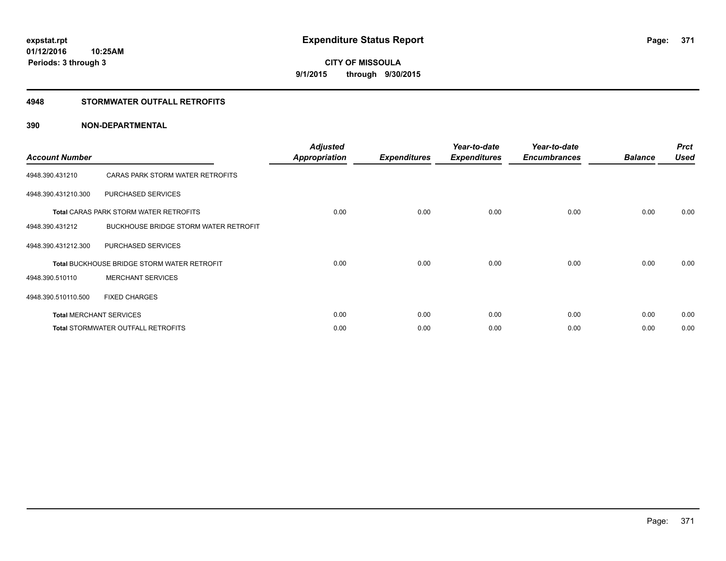#### **4948 STORMWATER OUTFALL RETROFITS**

| <b>Account Number</b> |                                                    | <b>Adjusted</b><br><b>Appropriation</b> | <b>Expenditures</b> | Year-to-date<br><b>Expenditures</b> | Year-to-date<br><b>Encumbrances</b> | <b>Balance</b> | <b>Prct</b><br><b>Used</b> |
|-----------------------|----------------------------------------------------|-----------------------------------------|---------------------|-------------------------------------|-------------------------------------|----------------|----------------------------|
| 4948.390.431210       | CARAS PARK STORM WATER RETROFITS                   |                                         |                     |                                     |                                     |                |                            |
| 4948.390.431210.300   | PURCHASED SERVICES                                 |                                         |                     |                                     |                                     |                |                            |
|                       | <b>Total CARAS PARK STORM WATER RETROFITS</b>      | 0.00                                    | 0.00                | 0.00                                | 0.00                                | 0.00           | 0.00                       |
| 4948.390.431212       | BUCKHOUSE BRIDGE STORM WATER RETROFIT              |                                         |                     |                                     |                                     |                |                            |
| 4948.390.431212.300   | PURCHASED SERVICES                                 |                                         |                     |                                     |                                     |                |                            |
|                       | <b>Total BUCKHOUSE BRIDGE STORM WATER RETROFIT</b> | 0.00                                    | 0.00                | 0.00                                | 0.00                                | 0.00           | 0.00                       |
| 4948.390.510110       | <b>MERCHANT SERVICES</b>                           |                                         |                     |                                     |                                     |                |                            |
| 4948.390.510110.500   | <b>FIXED CHARGES</b>                               |                                         |                     |                                     |                                     |                |                            |
|                       | <b>Total MERCHANT SERVICES</b>                     | 0.00                                    | 0.00                | 0.00                                | 0.00                                | 0.00           | 0.00                       |
|                       | <b>Total STORMWATER OUTFALL RETROFITS</b>          | 0.00                                    | 0.00                | 0.00                                | 0.00                                | 0.00           | 0.00                       |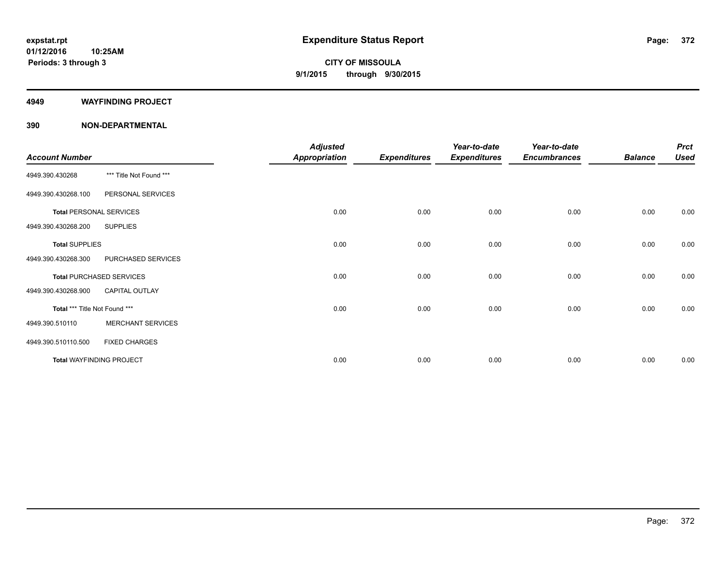#### **4949 WAYFINDING PROJECT**

| <b>Account Number</b>         |                                 | <b>Adjusted</b><br><b>Appropriation</b> | <b>Expenditures</b> | Year-to-date<br><b>Expenditures</b> | Year-to-date<br><b>Encumbrances</b> | <b>Balance</b> | <b>Prct</b><br><b>Used</b> |
|-------------------------------|---------------------------------|-----------------------------------------|---------------------|-------------------------------------|-------------------------------------|----------------|----------------------------|
| 4949.390.430268               | *** Title Not Found ***         |                                         |                     |                                     |                                     |                |                            |
| 4949.390.430268.100           | PERSONAL SERVICES               |                                         |                     |                                     |                                     |                |                            |
|                               | <b>Total PERSONAL SERVICES</b>  | 0.00                                    | 0.00                | 0.00                                | 0.00                                | 0.00           | 0.00                       |
| 4949.390.430268.200           | <b>SUPPLIES</b>                 |                                         |                     |                                     |                                     |                |                            |
| <b>Total SUPPLIES</b>         |                                 | 0.00                                    | 0.00                | 0.00                                | 0.00                                | 0.00           | 0.00                       |
| 4949.390.430268.300           | PURCHASED SERVICES              |                                         |                     |                                     |                                     |                |                            |
|                               | <b>Total PURCHASED SERVICES</b> | 0.00                                    | 0.00                | 0.00                                | 0.00                                | 0.00           | 0.00                       |
| 4949.390.430268.900           | <b>CAPITAL OUTLAY</b>           |                                         |                     |                                     |                                     |                |                            |
| Total *** Title Not Found *** |                                 | 0.00                                    | 0.00                | 0.00                                | 0.00                                | 0.00           | 0.00                       |
| 4949.390.510110               | <b>MERCHANT SERVICES</b>        |                                         |                     |                                     |                                     |                |                            |
| 4949.390.510110.500           | <b>FIXED CHARGES</b>            |                                         |                     |                                     |                                     |                |                            |
|                               | <b>Total WAYFINDING PROJECT</b> | 0.00                                    | 0.00                | 0.00                                | 0.00                                | 0.00           | 0.00                       |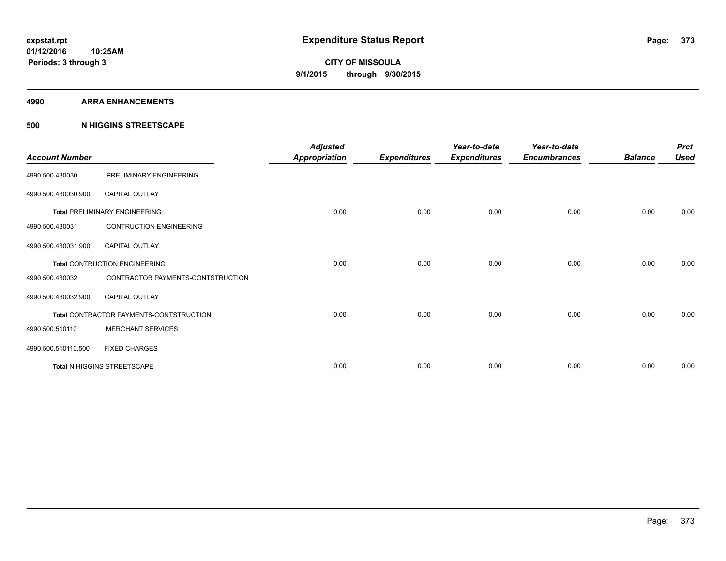#### **4990 ARRA ENHANCEMENTS**

#### **500 N HIGGINS STREETSCAPE**

| <b>Account Number</b> |                                         | <b>Adjusted</b><br><b>Appropriation</b> | <b>Expenditures</b> | Year-to-date<br><b>Expenditures</b> | Year-to-date<br><b>Encumbrances</b> | <b>Balance</b> | <b>Prct</b><br><b>Used</b> |
|-----------------------|-----------------------------------------|-----------------------------------------|---------------------|-------------------------------------|-------------------------------------|----------------|----------------------------|
| 4990.500.430030       | PRELIMINARY ENGINEERING                 |                                         |                     |                                     |                                     |                |                            |
| 4990.500.430030.900   | <b>CAPITAL OUTLAY</b>                   |                                         |                     |                                     |                                     |                |                            |
|                       | <b>Total PRELIMINARY ENGINEERING</b>    | 0.00                                    | 0.00                | 0.00                                | 0.00                                | 0.00           | 0.00                       |
| 4990.500.430031       | <b>CONTRUCTION ENGINEERING</b>          |                                         |                     |                                     |                                     |                |                            |
| 4990.500.430031.900   | <b>CAPITAL OUTLAY</b>                   |                                         |                     |                                     |                                     |                |                            |
|                       | <b>Total CONTRUCTION ENGINEERING</b>    | 0.00                                    | 0.00                | 0.00                                | 0.00                                | 0.00           | 0.00                       |
| 4990.500.430032       | CONTRACTOR PAYMENTS-CONTSTRUCTION       |                                         |                     |                                     |                                     |                |                            |
| 4990.500.430032.900   | <b>CAPITAL OUTLAY</b>                   |                                         |                     |                                     |                                     |                |                            |
|                       | Total CONTRACTOR PAYMENTS-CONTSTRUCTION | 0.00                                    | 0.00                | 0.00                                | 0.00                                | 0.00           | 0.00                       |
| 4990.500.510110       | <b>MERCHANT SERVICES</b>                |                                         |                     |                                     |                                     |                |                            |
| 4990.500.510110.500   | <b>FIXED CHARGES</b>                    |                                         |                     |                                     |                                     |                |                            |
|                       | Total N HIGGINS STREETSCAPE             | 0.00                                    | 0.00                | 0.00                                | 0.00                                | 0.00           | 0.00                       |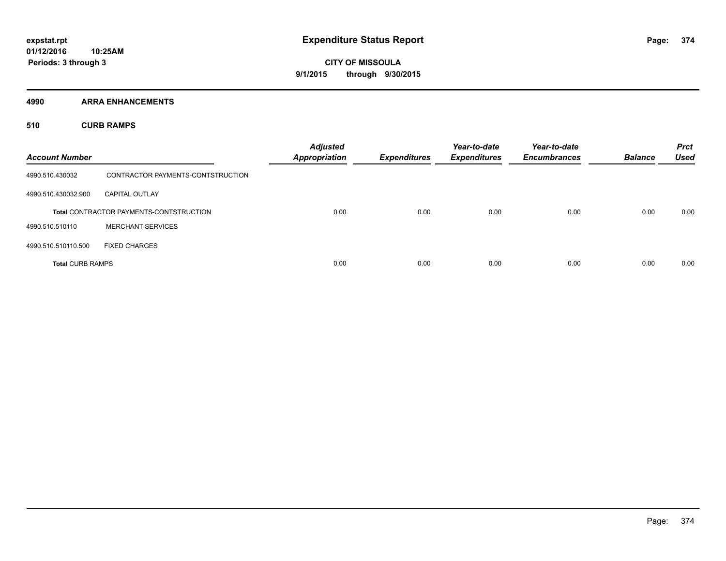**4990 ARRA ENHANCEMENTS**

**510 CURB RAMPS**

| <b>Account Number</b>   |                                                | <b>Adjusted</b><br><b>Appropriation</b> | <b>Expenditures</b> | Year-to-date<br><b>Expenditures</b> | Year-to-date<br><b>Encumbrances</b> | <b>Balance</b> | <b>Prct</b><br><b>Used</b> |
|-------------------------|------------------------------------------------|-----------------------------------------|---------------------|-------------------------------------|-------------------------------------|----------------|----------------------------|
| 4990.510.430032         | CONTRACTOR PAYMENTS-CONTSTRUCTION              |                                         |                     |                                     |                                     |                |                            |
| 4990.510.430032.900     | <b>CAPITAL OUTLAY</b>                          |                                         |                     |                                     |                                     |                |                            |
|                         | <b>Total CONTRACTOR PAYMENTS-CONTSTRUCTION</b> | 0.00                                    | 0.00                | 0.00                                | 0.00                                | 0.00           | 0.00                       |
| 4990.510.510110         | <b>MERCHANT SERVICES</b>                       |                                         |                     |                                     |                                     |                |                            |
| 4990.510.510110.500     | <b>FIXED CHARGES</b>                           |                                         |                     |                                     |                                     |                |                            |
| <b>Total CURB RAMPS</b> |                                                | 0.00                                    | 0.00                | 0.00                                | 0.00                                | 0.00           | 0.00                       |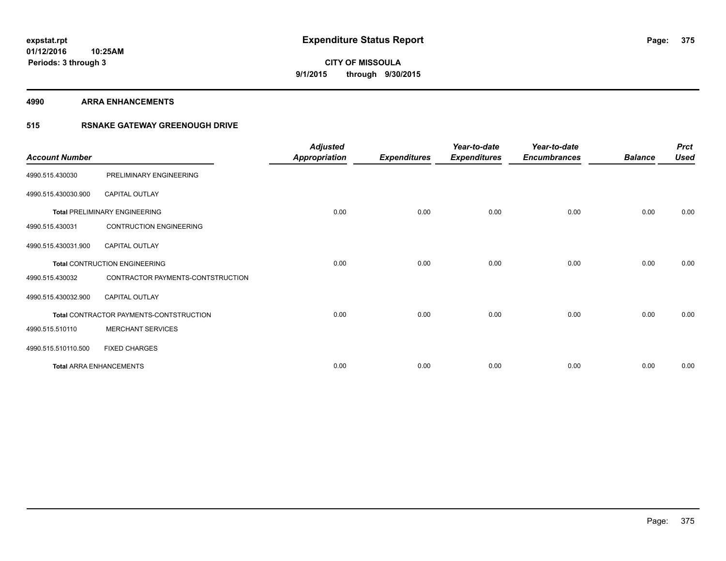#### **4990 ARRA ENHANCEMENTS**

### **515 RSNAKE GATEWAY GREENOUGH DRIVE**

| <b>Account Number</b> |                                         | <b>Adjusted</b><br><b>Appropriation</b> | <b>Expenditures</b> | Year-to-date<br><b>Expenditures</b> | Year-to-date<br><b>Encumbrances</b> | <b>Balance</b> | <b>Prct</b><br><b>Used</b> |
|-----------------------|-----------------------------------------|-----------------------------------------|---------------------|-------------------------------------|-------------------------------------|----------------|----------------------------|
| 4990.515.430030       | PRELIMINARY ENGINEERING                 |                                         |                     |                                     |                                     |                |                            |
| 4990.515.430030.900   | <b>CAPITAL OUTLAY</b>                   |                                         |                     |                                     |                                     |                |                            |
|                       | <b>Total PRELIMINARY ENGINEERING</b>    | 0.00                                    | 0.00                | 0.00                                | 0.00                                | 0.00           | 0.00                       |
| 4990.515.430031       | <b>CONTRUCTION ENGINEERING</b>          |                                         |                     |                                     |                                     |                |                            |
| 4990.515.430031.900   | CAPITAL OUTLAY                          |                                         |                     |                                     |                                     |                |                            |
|                       | <b>Total CONTRUCTION ENGINEERING</b>    | 0.00                                    | 0.00                | 0.00                                | 0.00                                | 0.00           | 0.00                       |
| 4990.515.430032       | CONTRACTOR PAYMENTS-CONTSTRUCTION       |                                         |                     |                                     |                                     |                |                            |
| 4990.515.430032.900   | <b>CAPITAL OUTLAY</b>                   |                                         |                     |                                     |                                     |                |                            |
|                       | Total CONTRACTOR PAYMENTS-CONTSTRUCTION | 0.00                                    | 0.00                | 0.00                                | 0.00                                | 0.00           | 0.00                       |
| 4990.515.510110       | <b>MERCHANT SERVICES</b>                |                                         |                     |                                     |                                     |                |                            |
| 4990.515.510110.500   | <b>FIXED CHARGES</b>                    |                                         |                     |                                     |                                     |                |                            |
|                       | <b>Total ARRA ENHANCEMENTS</b>          | 0.00                                    | 0.00                | 0.00                                | 0.00                                | 0.00           | 0.00                       |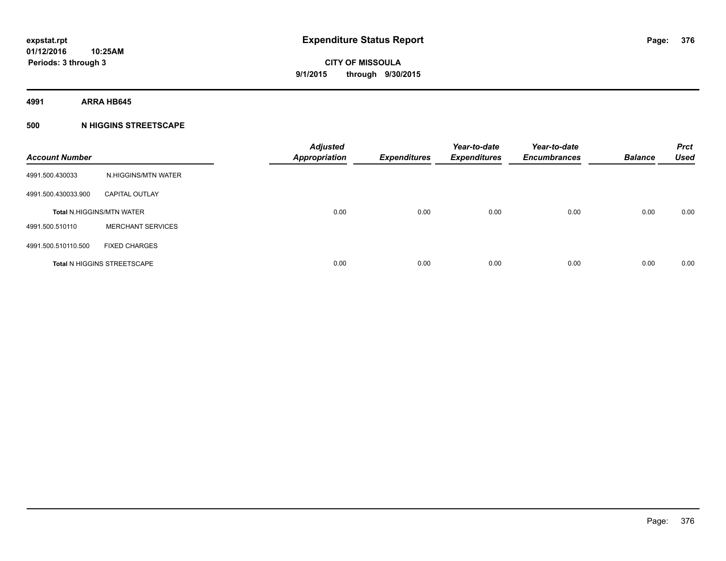**4991 ARRA HB645**

#### **500 N HIGGINS STREETSCAPE**

| <b>Account Number</b> |                                    | <b>Adjusted</b><br><b>Appropriation</b> | <b>Expenditures</b> | Year-to-date<br><b>Expenditures</b> | Year-to-date<br><b>Encumbrances</b> | <b>Balance</b> | <b>Prct</b><br><b>Used</b> |
|-----------------------|------------------------------------|-----------------------------------------|---------------------|-------------------------------------|-------------------------------------|----------------|----------------------------|
| 4991.500.430033       | N.HIGGINS/MTN WATER                |                                         |                     |                                     |                                     |                |                            |
| 4991.500.430033.900   | <b>CAPITAL OUTLAY</b>              |                                         |                     |                                     |                                     |                |                            |
|                       | <b>Total N.HIGGINS/MTN WATER</b>   | 0.00                                    | 0.00                | 0.00                                | 0.00                                | 0.00           | 0.00                       |
| 4991.500.510110       | <b>MERCHANT SERVICES</b>           |                                         |                     |                                     |                                     |                |                            |
| 4991.500.510110.500   | <b>FIXED CHARGES</b>               |                                         |                     |                                     |                                     |                |                            |
|                       | <b>Total N HIGGINS STREETSCAPE</b> | 0.00                                    | 0.00                | 0.00                                | 0.00                                | 0.00           | 0.00                       |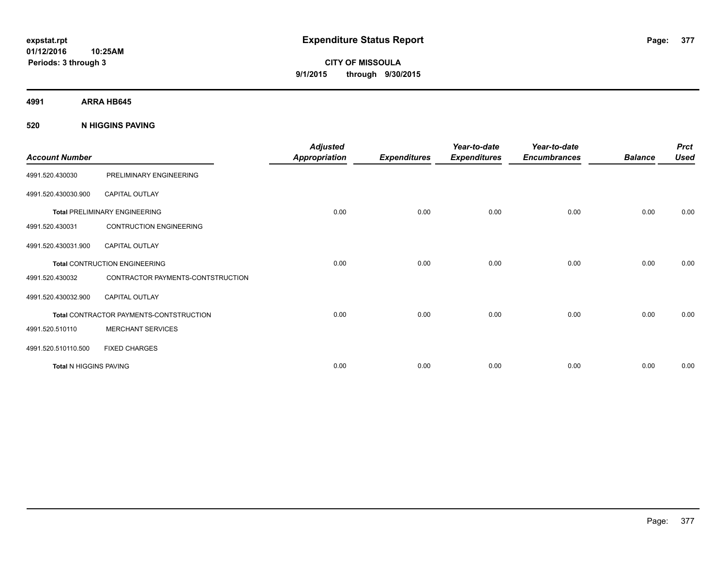**CITY OF MISSOULA 9/1/2015 through 9/30/2015**

**4991 ARRA HB645**

**520 N HIGGINS PAVING**

| <b>Account Number</b>  |                                         | <b>Adjusted</b><br><b>Appropriation</b> | <b>Expenditures</b> | Year-to-date<br><b>Expenditures</b> | Year-to-date<br><b>Encumbrances</b> | <b>Balance</b> | <b>Prct</b><br><b>Used</b> |
|------------------------|-----------------------------------------|-----------------------------------------|---------------------|-------------------------------------|-------------------------------------|----------------|----------------------------|
| 4991.520.430030        | PRELIMINARY ENGINEERING                 |                                         |                     |                                     |                                     |                |                            |
| 4991.520.430030.900    | <b>CAPITAL OUTLAY</b>                   |                                         |                     |                                     |                                     |                |                            |
|                        | <b>Total PRELIMINARY ENGINEERING</b>    | 0.00                                    | 0.00                | 0.00                                | 0.00                                | 0.00           | 0.00                       |
| 4991.520.430031        | <b>CONTRUCTION ENGINEERING</b>          |                                         |                     |                                     |                                     |                |                            |
| 4991.520.430031.900    | <b>CAPITAL OUTLAY</b>                   |                                         |                     |                                     |                                     |                |                            |
|                        | <b>Total CONTRUCTION ENGINEERING</b>    | 0.00                                    | 0.00                | 0.00                                | 0.00                                | 0.00           | 0.00                       |
| 4991.520.430032        | CONTRACTOR PAYMENTS-CONTSTRUCTION       |                                         |                     |                                     |                                     |                |                            |
| 4991.520.430032.900    | <b>CAPITAL OUTLAY</b>                   |                                         |                     |                                     |                                     |                |                            |
|                        | Total CONTRACTOR PAYMENTS-CONTSTRUCTION | 0.00                                    | 0.00                | 0.00                                | 0.00                                | 0.00           | 0.00                       |
| 4991.520.510110        | <b>MERCHANT SERVICES</b>                |                                         |                     |                                     |                                     |                |                            |
| 4991.520.510110.500    | <b>FIXED CHARGES</b>                    |                                         |                     |                                     |                                     |                |                            |
| Total N HIGGINS PAVING |                                         | 0.00                                    | 0.00                | 0.00                                | 0.00                                | 0.00           | 0.00                       |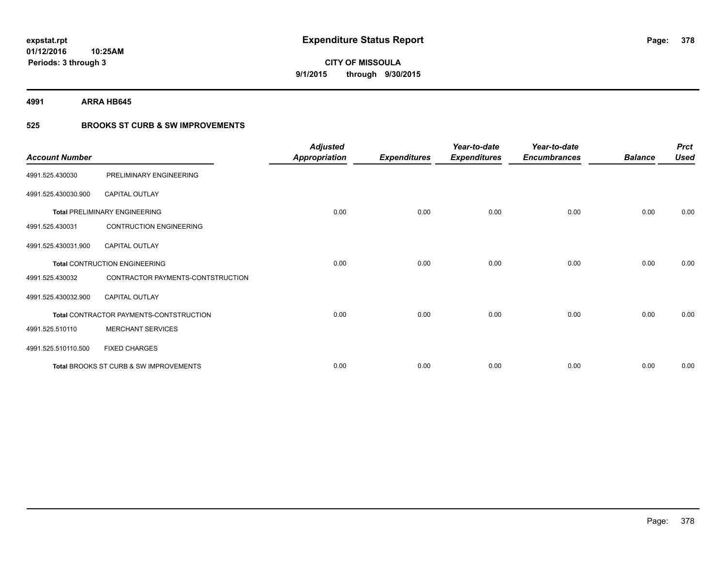**4991 ARRA HB645**

### **525 BROOKS ST CURB & SW IMPROVEMENTS**

| <b>Account Number</b> |                                         | <b>Adjusted</b><br><b>Appropriation</b> | <b>Expenditures</b> | Year-to-date<br><b>Expenditures</b> | Year-to-date<br><b>Encumbrances</b> | <b>Balance</b> | <b>Prct</b><br><b>Used</b> |
|-----------------------|-----------------------------------------|-----------------------------------------|---------------------|-------------------------------------|-------------------------------------|----------------|----------------------------|
| 4991.525.430030       | PRELIMINARY ENGINEERING                 |                                         |                     |                                     |                                     |                |                            |
| 4991.525.430030.900   | CAPITAL OUTLAY                          |                                         |                     |                                     |                                     |                |                            |
|                       | <b>Total PRELIMINARY ENGINEERING</b>    | 0.00                                    | 0.00                | 0.00                                | 0.00                                | 0.00           | 0.00                       |
| 4991.525.430031       | <b>CONTRUCTION ENGINEERING</b>          |                                         |                     |                                     |                                     |                |                            |
| 4991.525.430031.900   | <b>CAPITAL OUTLAY</b>                   |                                         |                     |                                     |                                     |                |                            |
|                       | <b>Total CONTRUCTION ENGINEERING</b>    | 0.00                                    | 0.00                | 0.00                                | 0.00                                | 0.00           | 0.00                       |
| 4991.525.430032       | CONTRACTOR PAYMENTS-CONTSTRUCTION       |                                         |                     |                                     |                                     |                |                            |
| 4991.525.430032.900   | <b>CAPITAL OUTLAY</b>                   |                                         |                     |                                     |                                     |                |                            |
|                       | Total CONTRACTOR PAYMENTS-CONTSTRUCTION | 0.00                                    | 0.00                | 0.00                                | 0.00                                | 0.00           | 0.00                       |
| 4991.525.510110       | <b>MERCHANT SERVICES</b>                |                                         |                     |                                     |                                     |                |                            |
| 4991.525.510110.500   | <b>FIXED CHARGES</b>                    |                                         |                     |                                     |                                     |                |                            |
|                       | Total BROOKS ST CURB & SW IMPROVEMENTS  | 0.00                                    | 0.00                | 0.00                                | 0.00                                | 0.00           | 0.00                       |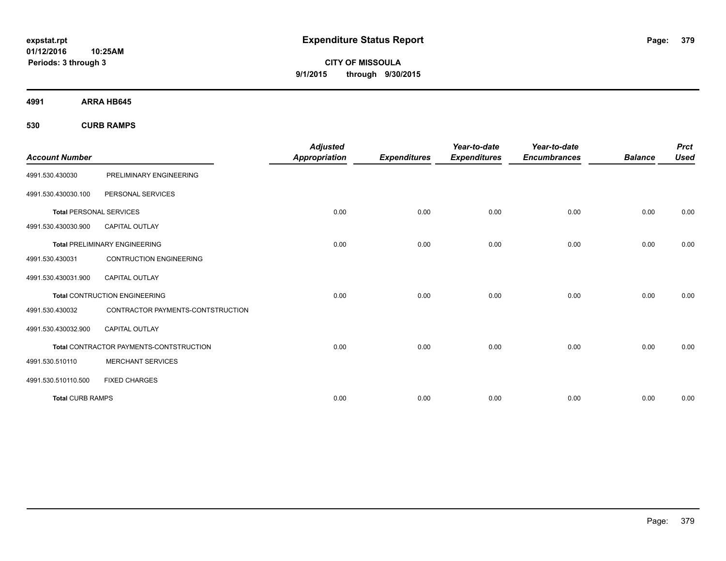**CITY OF MISSOULA 9/1/2015 through 9/30/2015**

**4991 ARRA HB645**

**530 CURB RAMPS**

|                                |                                         | <b>Adjusted</b>      |                     | Year-to-date        | Year-to-date        |                | <b>Prct</b> |
|--------------------------------|-----------------------------------------|----------------------|---------------------|---------------------|---------------------|----------------|-------------|
| <b>Account Number</b>          |                                         | <b>Appropriation</b> | <b>Expenditures</b> | <b>Expenditures</b> | <b>Encumbrances</b> | <b>Balance</b> | <b>Used</b> |
| 4991.530.430030                | PRELIMINARY ENGINEERING                 |                      |                     |                     |                     |                |             |
| 4991.530.430030.100            | PERSONAL SERVICES                       |                      |                     |                     |                     |                |             |
| <b>Total PERSONAL SERVICES</b> |                                         | 0.00                 | 0.00                | 0.00                | 0.00                | 0.00           | 0.00        |
| 4991.530.430030.900            | <b>CAPITAL OUTLAY</b>                   |                      |                     |                     |                     |                |             |
|                                | <b>Total PRELIMINARY ENGINEERING</b>    | 0.00                 | 0.00                | 0.00                | 0.00                | 0.00           | 0.00        |
| 4991.530.430031                | <b>CONTRUCTION ENGINEERING</b>          |                      |                     |                     |                     |                |             |
| 4991.530.430031.900            | CAPITAL OUTLAY                          |                      |                     |                     |                     |                |             |
|                                | <b>Total CONTRUCTION ENGINEERING</b>    | 0.00                 | 0.00                | 0.00                | 0.00                | 0.00           | 0.00        |
| 4991.530.430032                | CONTRACTOR PAYMENTS-CONTSTRUCTION       |                      |                     |                     |                     |                |             |
| 4991.530.430032.900            | <b>CAPITAL OUTLAY</b>                   |                      |                     |                     |                     |                |             |
|                                | Total CONTRACTOR PAYMENTS-CONTSTRUCTION | 0.00                 | 0.00                | 0.00                | 0.00                | 0.00           | 0.00        |
| 4991.530.510110                | <b>MERCHANT SERVICES</b>                |                      |                     |                     |                     |                |             |
| 4991.530.510110.500            | <b>FIXED CHARGES</b>                    |                      |                     |                     |                     |                |             |
| <b>Total CURB RAMPS</b>        |                                         | 0.00                 | 0.00                | 0.00                | 0.00                | 0.00           | 0.00        |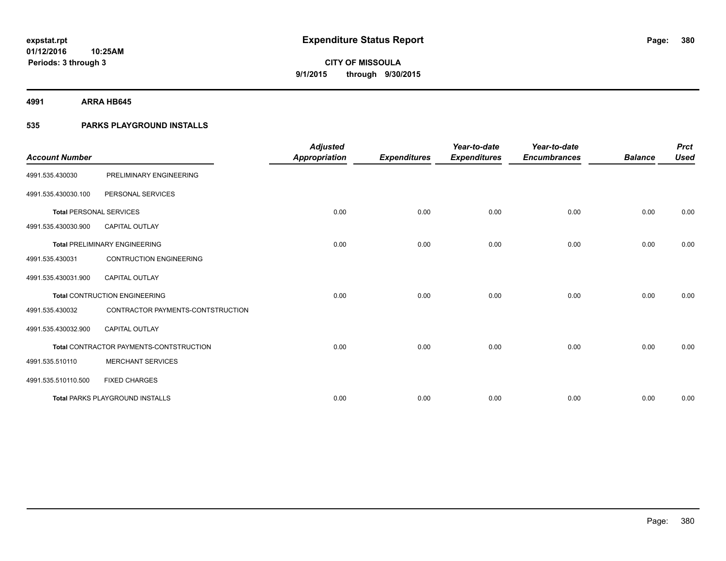**4991 ARRA HB645**

### **535 PARKS PLAYGROUND INSTALLS**

| <b>Account Number</b>          |                                         | <b>Adjusted</b><br><b>Appropriation</b> | <b>Expenditures</b> | Year-to-date<br><b>Expenditures</b> | Year-to-date<br><b>Encumbrances</b> | <b>Balance</b> | <b>Prct</b><br><b>Used</b> |
|--------------------------------|-----------------------------------------|-----------------------------------------|---------------------|-------------------------------------|-------------------------------------|----------------|----------------------------|
| 4991.535.430030                | PRELIMINARY ENGINEERING                 |                                         |                     |                                     |                                     |                |                            |
|                                |                                         |                                         |                     |                                     |                                     |                |                            |
| 4991.535.430030.100            | PERSONAL SERVICES                       |                                         |                     |                                     |                                     |                |                            |
| <b>Total PERSONAL SERVICES</b> |                                         | 0.00                                    | 0.00                | 0.00                                | 0.00                                | 0.00           | 0.00                       |
| 4991.535.430030.900            | <b>CAPITAL OUTLAY</b>                   |                                         |                     |                                     |                                     |                |                            |
|                                | <b>Total PRELIMINARY ENGINEERING</b>    | 0.00                                    | 0.00                | 0.00                                | 0.00                                | 0.00           | 0.00                       |
| 4991.535.430031                | <b>CONTRUCTION ENGINEERING</b>          |                                         |                     |                                     |                                     |                |                            |
| 4991.535.430031.900            | <b>CAPITAL OUTLAY</b>                   |                                         |                     |                                     |                                     |                |                            |
|                                | <b>Total CONTRUCTION ENGINEERING</b>    | 0.00                                    | 0.00                | 0.00                                | 0.00                                | 0.00           | 0.00                       |
| 4991.535.430032                | CONTRACTOR PAYMENTS-CONTSTRUCTION       |                                         |                     |                                     |                                     |                |                            |
| 4991.535.430032.900            | <b>CAPITAL OUTLAY</b>                   |                                         |                     |                                     |                                     |                |                            |
|                                | Total CONTRACTOR PAYMENTS-CONTSTRUCTION | 0.00                                    | 0.00                | 0.00                                | 0.00                                | 0.00           | 0.00                       |
| 4991.535.510110                | <b>MERCHANT SERVICES</b>                |                                         |                     |                                     |                                     |                |                            |
| 4991.535.510110.500            | <b>FIXED CHARGES</b>                    |                                         |                     |                                     |                                     |                |                            |
|                                | <b>Total PARKS PLAYGROUND INSTALLS</b>  | 0.00                                    | 0.00                | 0.00                                | 0.00                                | 0.00           | 0.00                       |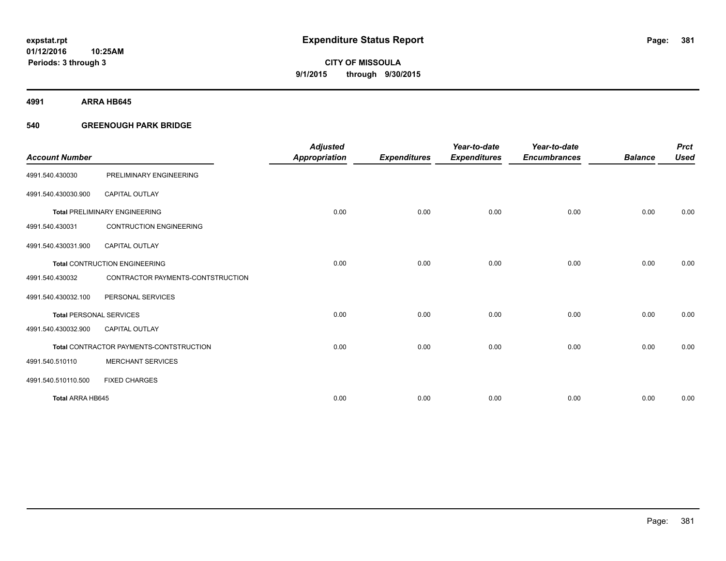**4991 ARRA HB645**

#### **540 GREENOUGH PARK BRIDGE**

|                                |                                         | <b>Adjusted</b>      |                     | Year-to-date        | Year-to-date        |                | <b>Prct</b> |
|--------------------------------|-----------------------------------------|----------------------|---------------------|---------------------|---------------------|----------------|-------------|
| <b>Account Number</b>          |                                         | <b>Appropriation</b> | <b>Expenditures</b> | <b>Expenditures</b> | <b>Encumbrances</b> | <b>Balance</b> | <b>Used</b> |
| 4991.540.430030                | PRELIMINARY ENGINEERING                 |                      |                     |                     |                     |                |             |
| 4991.540.430030.900            | <b>CAPITAL OUTLAY</b>                   |                      |                     |                     |                     |                |             |
|                                | <b>Total PRELIMINARY ENGINEERING</b>    | 0.00                 | 0.00                | 0.00                | 0.00                | 0.00           | 0.00        |
| 4991.540.430031                | <b>CONTRUCTION ENGINEERING</b>          |                      |                     |                     |                     |                |             |
| 4991.540.430031.900            | <b>CAPITAL OUTLAY</b>                   |                      |                     |                     |                     |                |             |
|                                | <b>Total CONTRUCTION ENGINEERING</b>    | 0.00                 | 0.00                | 0.00                | 0.00                | 0.00           | 0.00        |
| 4991.540.430032                | CONTRACTOR PAYMENTS-CONTSTRUCTION       |                      |                     |                     |                     |                |             |
| 4991.540.430032.100            | PERSONAL SERVICES                       |                      |                     |                     |                     |                |             |
| <b>Total PERSONAL SERVICES</b> |                                         | 0.00                 | 0.00                | 0.00                | 0.00                | 0.00           | 0.00        |
| 4991.540.430032.900            | <b>CAPITAL OUTLAY</b>                   |                      |                     |                     |                     |                |             |
|                                | Total CONTRACTOR PAYMENTS-CONTSTRUCTION | 0.00                 | 0.00                | 0.00                | 0.00                | 0.00           | 0.00        |
| 4991.540.510110                | <b>MERCHANT SERVICES</b>                |                      |                     |                     |                     |                |             |
| 4991.540.510110.500            | <b>FIXED CHARGES</b>                    |                      |                     |                     |                     |                |             |
| Total ARRA HB645               |                                         | 0.00                 | 0.00                | 0.00                | 0.00                | 0.00           | 0.00        |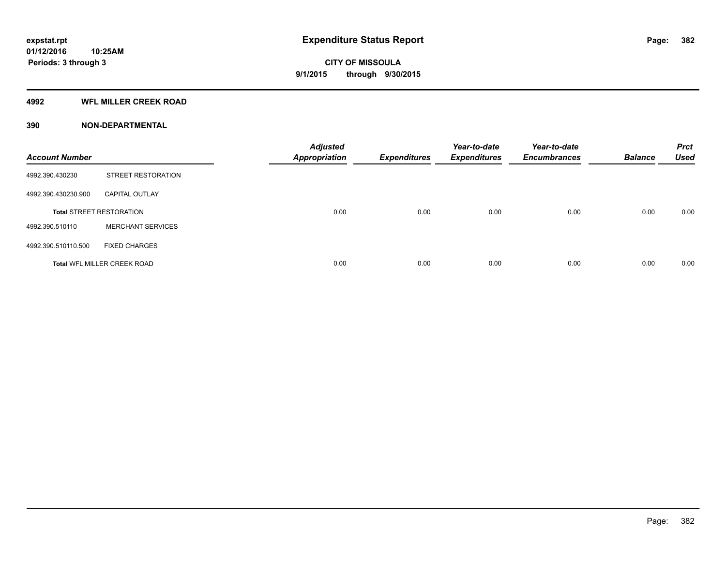#### **4992 WFL MILLER CREEK ROAD**

| <b>Account Number</b> |                                    | <b>Adjusted</b><br><b>Appropriation</b> | <b>Expenditures</b> | Year-to-date<br><b>Expenditures</b> | Year-to-date<br><b>Encumbrances</b> | <b>Balance</b> | <b>Prct</b><br><b>Used</b> |
|-----------------------|------------------------------------|-----------------------------------------|---------------------|-------------------------------------|-------------------------------------|----------------|----------------------------|
| 4992.390.430230       | STREET RESTORATION                 |                                         |                     |                                     |                                     |                |                            |
| 4992.390.430230.900   | <b>CAPITAL OUTLAY</b>              |                                         |                     |                                     |                                     |                |                            |
|                       | <b>Total STREET RESTORATION</b>    | 0.00                                    | 0.00                | 0.00                                | 0.00                                | 0.00           | 0.00                       |
| 4992.390.510110       | <b>MERCHANT SERVICES</b>           |                                         |                     |                                     |                                     |                |                            |
| 4992.390.510110.500   | <b>FIXED CHARGES</b>               |                                         |                     |                                     |                                     |                |                            |
|                       | <b>Total WFL MILLER CREEK ROAD</b> | 0.00                                    | 0.00                | 0.00                                | 0.00                                | 0.00           | 0.00                       |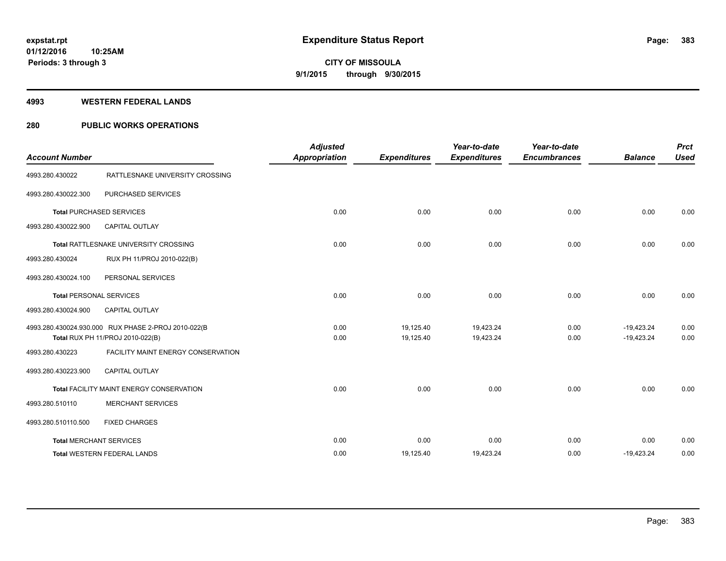#### **4993 WESTERN FEDERAL LANDS**

### **280 PUBLIC WORKS OPERATIONS**

| <b>Account Number</b> |                                                                                         | <b>Adjusted</b><br><b>Appropriation</b> | <b>Expenditures</b>    | Year-to-date<br><b>Expenditures</b> | Year-to-date<br><b>Encumbrances</b> | <b>Balance</b>               | <b>Prct</b><br><b>Used</b> |
|-----------------------|-----------------------------------------------------------------------------------------|-----------------------------------------|------------------------|-------------------------------------|-------------------------------------|------------------------------|----------------------------|
| 4993.280.430022       | RATTLESNAKE UNIVERSITY CROSSING                                                         |                                         |                        |                                     |                                     |                              |                            |
| 4993.280.430022.300   | PURCHASED SERVICES                                                                      |                                         |                        |                                     |                                     |                              |                            |
|                       | <b>Total PURCHASED SERVICES</b>                                                         | 0.00                                    | 0.00                   | 0.00                                | 0.00                                | 0.00                         | 0.00                       |
| 4993.280.430022.900   | <b>CAPITAL OUTLAY</b>                                                                   |                                         |                        |                                     |                                     |                              |                            |
|                       | Total RATTLESNAKE UNIVERSITY CROSSING                                                   | 0.00                                    | 0.00                   | 0.00                                | 0.00                                | 0.00                         | 0.00                       |
| 4993.280.430024       | RUX PH 11/PROJ 2010-022(B)                                                              |                                         |                        |                                     |                                     |                              |                            |
| 4993.280.430024.100   | PERSONAL SERVICES                                                                       |                                         |                        |                                     |                                     |                              |                            |
|                       | <b>Total PERSONAL SERVICES</b>                                                          | 0.00                                    | 0.00                   | 0.00                                | 0.00                                | 0.00                         | 0.00                       |
| 4993.280.430024.900   | <b>CAPITAL OUTLAY</b>                                                                   |                                         |                        |                                     |                                     |                              |                            |
|                       | 4993.280.430024.930.000 RUX PHASE 2-PROJ 2010-022(B<br>Total RUX PH 11/PROJ 2010-022(B) | 0.00<br>0.00                            | 19,125.40<br>19,125.40 | 19,423.24<br>19,423.24              | 0.00<br>0.00                        | $-19,423.24$<br>$-19,423.24$ | 0.00<br>0.00               |
| 4993.280.430223       | FACILITY MAINT ENERGY CONSERVATION                                                      |                                         |                        |                                     |                                     |                              |                            |
| 4993.280.430223.900   | <b>CAPITAL OUTLAY</b>                                                                   |                                         |                        |                                     |                                     |                              |                            |
|                       | Total FACILITY MAINT ENERGY CONSERVATION                                                | 0.00                                    | 0.00                   | 0.00                                | 0.00                                | 0.00                         | 0.00                       |
| 4993.280.510110       | <b>MERCHANT SERVICES</b>                                                                |                                         |                        |                                     |                                     |                              |                            |
| 4993.280.510110.500   | <b>FIXED CHARGES</b>                                                                    |                                         |                        |                                     |                                     |                              |                            |
|                       | <b>Total MERCHANT SERVICES</b>                                                          | 0.00                                    | 0.00                   | 0.00                                | 0.00                                | 0.00                         | 0.00                       |
|                       | <b>Total WESTERN FEDERAL LANDS</b>                                                      | 0.00                                    | 19,125.40              | 19,423.24                           | 0.00                                | $-19,423.24$                 | 0.00                       |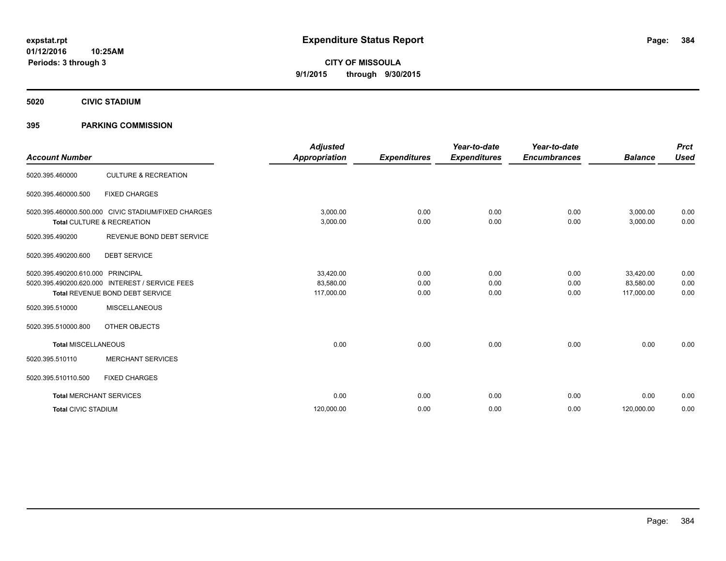**5020 CIVIC STADIUM**

#### **395 PARKING COMMISSION**

| <b>Account Number</b>             |                                                     | <b>Adjusted</b> |                     | Year-to-date        | Year-to-date        | <b>Balance</b> | <b>Prct</b> |
|-----------------------------------|-----------------------------------------------------|-----------------|---------------------|---------------------|---------------------|----------------|-------------|
|                                   |                                                     | Appropriation   | <b>Expenditures</b> | <b>Expenditures</b> | <b>Encumbrances</b> |                | <b>Used</b> |
| 5020.395.460000                   | <b>CULTURE &amp; RECREATION</b>                     |                 |                     |                     |                     |                |             |
| 5020.395.460000.500               | <b>FIXED CHARGES</b>                                |                 |                     |                     |                     |                |             |
|                                   | 5020.395.460000.500.000 CIVIC STADIUM/FIXED CHARGES | 3,000.00        | 0.00                | 0.00                | 0.00                | 3,000.00       | 0.00        |
|                                   | Total CULTURE & RECREATION                          | 3,000.00        | 0.00                | 0.00                | 0.00                | 3,000.00       | 0.00        |
| 5020.395.490200                   | REVENUE BOND DEBT SERVICE                           |                 |                     |                     |                     |                |             |
| 5020.395.490200.600               | <b>DEBT SERVICE</b>                                 |                 |                     |                     |                     |                |             |
| 5020.395.490200.610.000 PRINCIPAL |                                                     | 33,420.00       | 0.00                | 0.00                | 0.00                | 33,420.00      | 0.00        |
|                                   | 5020.395.490200.620.000 INTEREST / SERVICE FEES     | 83,580.00       | 0.00                | 0.00                | 0.00                | 83,580.00      | 0.00        |
|                                   | <b>Total REVENUE BOND DEBT SERVICE</b>              | 117,000.00      | 0.00                | 0.00                | 0.00                | 117,000.00     | 0.00        |
| 5020.395.510000                   | <b>MISCELLANEOUS</b>                                |                 |                     |                     |                     |                |             |
| 5020.395.510000.800               | OTHER OBJECTS                                       |                 |                     |                     |                     |                |             |
| <b>Total MISCELLANEOUS</b>        |                                                     | 0.00            | 0.00                | 0.00                | 0.00                | 0.00           | 0.00        |
| 5020.395.510110                   | <b>MERCHANT SERVICES</b>                            |                 |                     |                     |                     |                |             |
| 5020.395.510110.500               | <b>FIXED CHARGES</b>                                |                 |                     |                     |                     |                |             |
| <b>Total MERCHANT SERVICES</b>    |                                                     | 0.00            | 0.00                | 0.00                | 0.00                | 0.00           | 0.00        |
| <b>Total CIVIC STADIUM</b>        |                                                     | 120,000.00      | 0.00                | 0.00                | 0.00                | 120,000.00     | 0.00        |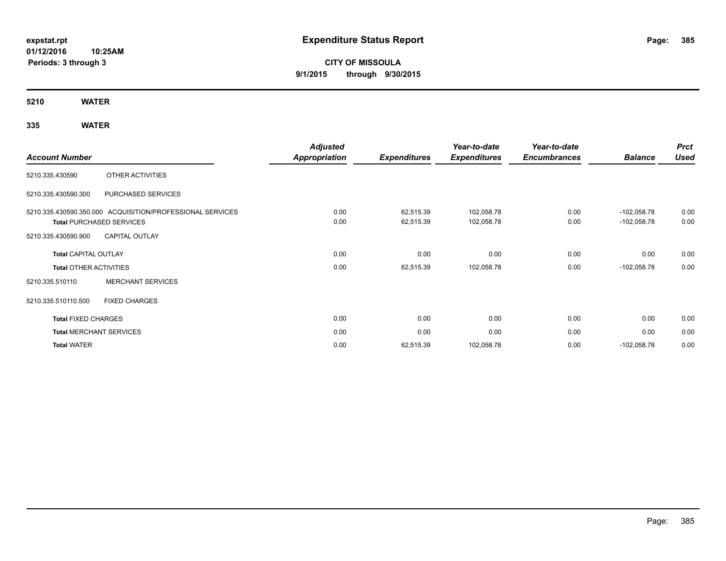# **CITY OF MISSOULA 9/1/2015 through 9/30/2015**

**5210 WATER**

## **335 WATER**

|                                                                                                                                                                                                                                                                                                                                                                          |                                | <b>Adjusted</b>      |                     | Year-to-date        | Year-to-date        |                | <b>Prct</b> |
|--------------------------------------------------------------------------------------------------------------------------------------------------------------------------------------------------------------------------------------------------------------------------------------------------------------------------------------------------------------------------|--------------------------------|----------------------|---------------------|---------------------|---------------------|----------------|-------------|
| <b>Account Number</b><br>OTHER ACTIVITIES<br>5210.335.430590<br>5210.335.430590.300<br>PURCHASED SERVICES<br>5210.335.430590.350.000 ACQUISITION/PROFESSIONAL SERVICES<br><b>Total PURCHASED SERVICES</b><br><b>CAPITAL OUTLAY</b><br>5210.335.430590.900<br><b>Total CAPITAL OUTLAY</b><br><b>Total OTHER ACTIVITIES</b><br><b>MERCHANT SERVICES</b><br>5210.335.510110 |                                | <b>Appropriation</b> | <b>Expenditures</b> | <b>Expenditures</b> | <b>Encumbrances</b> | <b>Balance</b> | <b>Used</b> |
|                                                                                                                                                                                                                                                                                                                                                                          |                                |                      |                     |                     |                     |                |             |
|                                                                                                                                                                                                                                                                                                                                                                          |                                |                      |                     |                     |                     |                |             |
|                                                                                                                                                                                                                                                                                                                                                                          |                                | 0.00                 | 62,515.39           | 102,058.78          | 0.00                | $-102,058.78$  | 0.00        |
|                                                                                                                                                                                                                                                                                                                                                                          |                                | 0.00                 | 62,515.39           | 102,058.78          | 0.00                | $-102,058.78$  | 0.00        |
|                                                                                                                                                                                                                                                                                                                                                                          |                                |                      |                     |                     |                     |                |             |
|                                                                                                                                                                                                                                                                                                                                                                          |                                | 0.00                 | 0.00                | 0.00                | 0.00                | 0.00           | 0.00        |
|                                                                                                                                                                                                                                                                                                                                                                          |                                | 0.00                 | 62,515.39           | 102,058.78          | 0.00                | $-102,058.78$  | 0.00        |
|                                                                                                                                                                                                                                                                                                                                                                          |                                |                      |                     |                     |                     |                |             |
| 5210.335.510110.500                                                                                                                                                                                                                                                                                                                                                      | <b>FIXED CHARGES</b>           |                      |                     |                     |                     |                |             |
| <b>Total FIXED CHARGES</b>                                                                                                                                                                                                                                                                                                                                               |                                | 0.00                 | 0.00                | 0.00                | 0.00                | 0.00           | 0.00        |
|                                                                                                                                                                                                                                                                                                                                                                          | <b>Total MERCHANT SERVICES</b> | 0.00                 | 0.00                | 0.00                | 0.00                | 0.00           | 0.00        |
| <b>Total WATER</b>                                                                                                                                                                                                                                                                                                                                                       |                                | 0.00                 | 62,515.39           | 102,058.78          | 0.00                | $-102,058.78$  | 0.00        |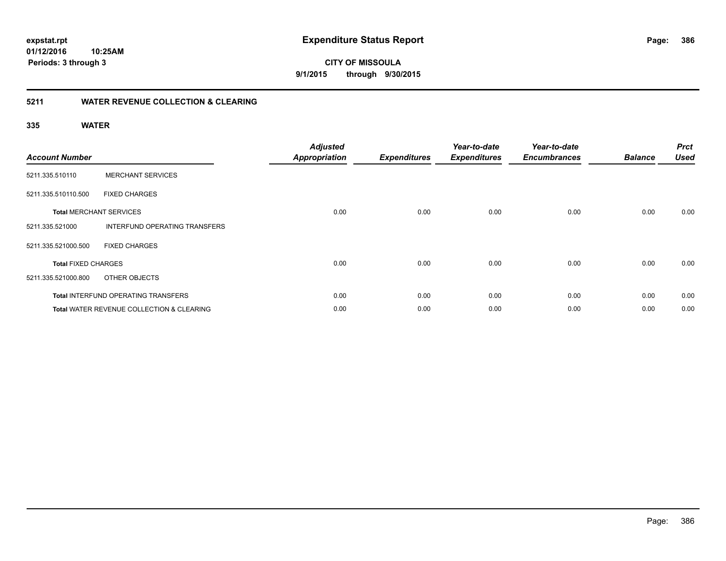#### **5211 WATER REVENUE COLLECTION & CLEARING**

**10:25AM**

#### **335 WATER**

**Periods: 3 through 3**

| <b>Account Number</b>      |                                                      | <b>Adjusted</b><br><b>Appropriation</b> | <b>Expenditures</b> | Year-to-date<br><b>Expenditures</b> | Year-to-date<br><b>Encumbrances</b> | <b>Balance</b> | <b>Prct</b><br><b>Used</b> |
|----------------------------|------------------------------------------------------|-----------------------------------------|---------------------|-------------------------------------|-------------------------------------|----------------|----------------------------|
| 5211.335.510110            | <b>MERCHANT SERVICES</b>                             |                                         |                     |                                     |                                     |                |                            |
| 5211.335.510110.500        | <b>FIXED CHARGES</b>                                 |                                         |                     |                                     |                                     |                |                            |
|                            | <b>Total MERCHANT SERVICES</b>                       | 0.00                                    | 0.00                | 0.00                                | 0.00                                | 0.00           | 0.00                       |
| 5211.335.521000            | <b>INTERFUND OPERATING TRANSFERS</b>                 |                                         |                     |                                     |                                     |                |                            |
| 5211.335.521000.500        | <b>FIXED CHARGES</b>                                 |                                         |                     |                                     |                                     |                |                            |
| <b>Total FIXED CHARGES</b> |                                                      | 0.00                                    | 0.00                | 0.00                                | 0.00                                | 0.00           | 0.00                       |
| 5211.335.521000.800        | OTHER OBJECTS                                        |                                         |                     |                                     |                                     |                |                            |
|                            | <b>Total INTERFUND OPERATING TRANSFERS</b>           | 0.00                                    | 0.00                | 0.00                                | 0.00                                | 0.00           | 0.00                       |
|                            | <b>Total WATER REVENUE COLLECTION &amp; CLEARING</b> | 0.00                                    | 0.00                | 0.00                                | 0.00                                | 0.00           | 0.00                       |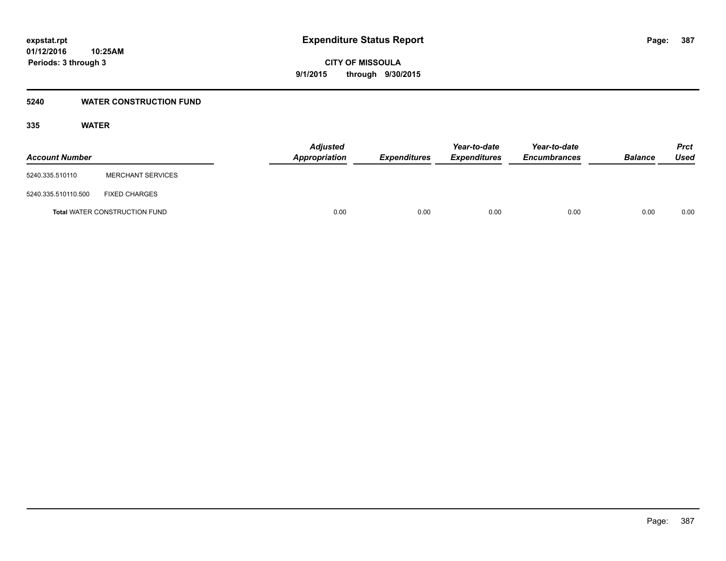#### **5240 WATER CONSTRUCTION FUND**

#### **335 WATER**

| <b>Account Number</b> |                                      | <b>Adjusted</b><br><b>Appropriation</b> | <b>Expenditures</b> | Year-to-date<br><b>Expenditures</b> | Year-to-date<br><b>Encumbrances</b> | <b>Balance</b> | Prct<br><b>Used</b> |
|-----------------------|--------------------------------------|-----------------------------------------|---------------------|-------------------------------------|-------------------------------------|----------------|---------------------|
| 5240.335.510110       | <b>MERCHANT SERVICES</b>             |                                         |                     |                                     |                                     |                |                     |
| 5240.335.510110.500   | <b>FIXED CHARGES</b>                 |                                         |                     |                                     |                                     |                |                     |
|                       | <b>Total WATER CONSTRUCTION FUND</b> | 0.00                                    | 0.00                | 0.00                                | 0.00                                | 0.00           | 0.00                |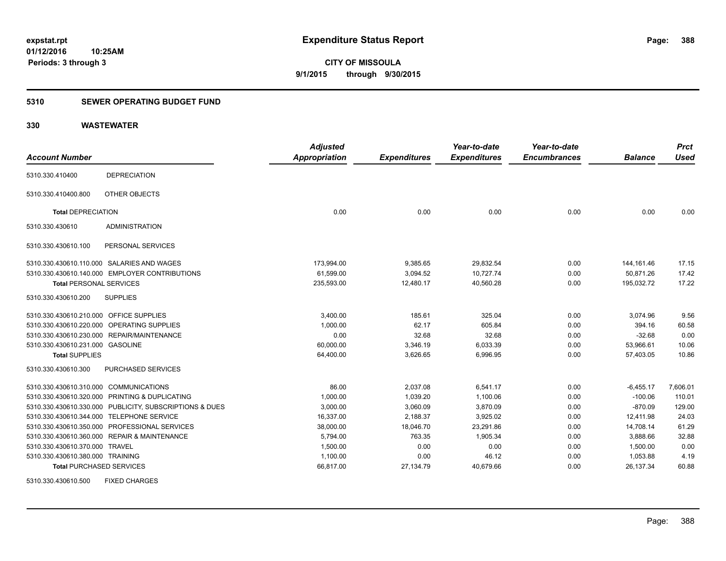#### **5310 SEWER OPERATING BUDGET FUND**

#### **330 WASTEWATER**

| <b>Account Number</b>                   |                                                         | <b>Adjusted</b><br><b>Appropriation</b> | <b>Expenditures</b> | Year-to-date<br><b>Expenditures</b> | Year-to-date<br><b>Encumbrances</b> | <b>Balance</b> | <b>Prct</b><br><b>Used</b> |
|-----------------------------------------|---------------------------------------------------------|-----------------------------------------|---------------------|-------------------------------------|-------------------------------------|----------------|----------------------------|
|                                         |                                                         |                                         |                     |                                     |                                     |                |                            |
| 5310.330.410400                         | <b>DEPRECIATION</b>                                     |                                         |                     |                                     |                                     |                |                            |
| 5310.330.410400.800                     | OTHER OBJECTS                                           |                                         |                     |                                     |                                     |                |                            |
| <b>Total DEPRECIATION</b>               |                                                         | 0.00                                    | 0.00                | 0.00                                | 0.00                                | 0.00           | 0.00                       |
| 5310.330.430610                         | <b>ADMINISTRATION</b>                                   |                                         |                     |                                     |                                     |                |                            |
| 5310.330.430610.100                     | PERSONAL SERVICES                                       |                                         |                     |                                     |                                     |                |                            |
|                                         | 5310.330.430610.110.000 SALARIES AND WAGES              | 173,994.00                              | 9,385.65            | 29,832.54                           | 0.00                                | 144, 161. 46   | 17.15                      |
|                                         | 5310.330.430610.140.000 EMPLOYER CONTRIBUTIONS          | 61,599.00                               | 3,094.52            | 10,727.74                           | 0.00                                | 50,871.26      | 17.42                      |
| <b>Total PERSONAL SERVICES</b>          |                                                         | 235,593.00                              | 12,480.17           | 40,560.28                           | 0.00                                | 195.032.72     | 17.22                      |
| 5310.330.430610.200                     | <b>SUPPLIES</b>                                         |                                         |                     |                                     |                                     |                |                            |
| 5310.330.430610.210.000 OFFICE SUPPLIES |                                                         | 3,400.00                                | 185.61              | 325.04                              | 0.00                                | 3,074.96       | 9.56                       |
|                                         | 5310.330.430610.220.000 OPERATING SUPPLIES              | 1,000.00                                | 62.17               | 605.84                              | 0.00                                | 394.16         | 60.58                      |
|                                         | 5310.330.430610.230.000 REPAIR/MAINTENANCE              | 0.00                                    | 32.68               | 32.68                               | 0.00                                | $-32.68$       | 0.00                       |
| 5310.330.430610.231.000 GASOLINE        |                                                         | 60,000.00                               | 3,346.19            | 6,033.39                            | 0.00                                | 53,966.61      | 10.06                      |
| <b>Total SUPPLIES</b>                   |                                                         | 64,400.00                               | 3,626.65            | 6,996.95                            | 0.00                                | 57,403.05      | 10.86                      |
| 5310.330.430610.300                     | PURCHASED SERVICES                                      |                                         |                     |                                     |                                     |                |                            |
| 5310.330.430610.310.000 COMMUNICATIONS  |                                                         | 86.00                                   | 2,037.08            | 6.541.17                            | 0.00                                | $-6,455.17$    | 7,606.01                   |
|                                         | 5310.330.430610.320.000 PRINTING & DUPLICATING          | 1,000.00                                | 1,039.20            | 1,100.06                            | 0.00                                | $-100.06$      | 110.01                     |
|                                         | 5310.330.430610.330.000 PUBLICITY, SUBSCRIPTIONS & DUES | 3,000.00                                | 3,060.09            | 3,870.09                            | 0.00                                | $-870.09$      | 129.00                     |
|                                         | 5310.330.430610.344.000 TELEPHONE SERVICE               | 16,337.00                               | 2,188.37            | 3,925.02                            | 0.00                                | 12,411.98      | 24.03                      |
|                                         | 5310.330.430610.350.000 PROFESSIONAL SERVICES           | 38,000.00                               | 18,046.70           | 23,291.86                           | 0.00                                | 14,708.14      | 61.29                      |
|                                         | 5310.330.430610.360.000 REPAIR & MAINTENANCE            | 5,794.00                                | 763.35              | 1,905.34                            | 0.00                                | 3,888.66       | 32.88                      |
| 5310.330.430610.370.000 TRAVEL          |                                                         | 1.500.00                                | 0.00                | 0.00                                | 0.00                                | 1.500.00       | 0.00                       |
| 5310.330.430610.380.000 TRAINING        |                                                         | 1,100.00                                | 0.00                | 46.12                               | 0.00                                | 1,053.88       | 4.19                       |
| <b>Total PURCHASED SERVICES</b>         |                                                         | 66,817.00                               | 27,134.79           | 40,679.66                           | 0.00                                | 26,137.34      | 60.88                      |
|                                         |                                                         |                                         |                     |                                     |                                     |                |                            |

5310.330.430610.500 FIXED CHARGES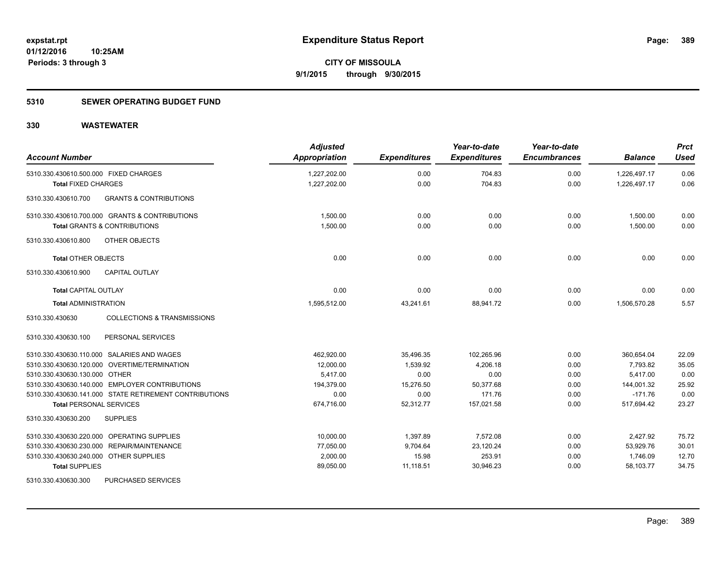#### **5310 SEWER OPERATING BUDGET FUND**

| <b>Account Number</b>                                     | <b>Adjusted</b><br>Appropriation | <b>Expenditures</b> | Year-to-date<br><b>Expenditures</b> | Year-to-date<br><b>Encumbrances</b> | <b>Balance</b> | <b>Prct</b><br>Used |
|-----------------------------------------------------------|----------------------------------|---------------------|-------------------------------------|-------------------------------------|----------------|---------------------|
| 5310.330.430610.500.000 FIXED CHARGES                     | 1,227,202.00                     | 0.00                | 704.83                              | 0.00                                | 1,226,497.17   | 0.06                |
| <b>Total FIXED CHARGES</b>                                | 1,227,202.00                     | 0.00                | 704.83                              | 0.00                                | 1,226,497.17   | 0.06                |
| <b>GRANTS &amp; CONTRIBUTIONS</b><br>5310.330.430610.700  |                                  |                     |                                     |                                     |                |                     |
| 5310.330.430610.700.000 GRANTS & CONTRIBUTIONS            | 1,500.00                         | 0.00                | 0.00                                | 0.00                                | 1,500.00       | 0.00                |
| <b>Total GRANTS &amp; CONTRIBUTIONS</b>                   | 1,500.00                         | 0.00                | 0.00                                | 0.00                                | 1,500.00       | 0.00                |
| 5310.330.430610.800<br>OTHER OBJECTS                      |                                  |                     |                                     |                                     |                |                     |
| <b>Total OTHER OBJECTS</b>                                | 0.00                             | 0.00                | 0.00                                | 0.00                                | 0.00           | 0.00                |
| 5310.330.430610.900<br><b>CAPITAL OUTLAY</b>              |                                  |                     |                                     |                                     |                |                     |
| <b>Total CAPITAL OUTLAY</b>                               | 0.00                             | 0.00                | 0.00                                | 0.00                                | 0.00           | 0.00                |
| <b>Total ADMINISTRATION</b>                               | 1,595,512.00                     | 43,241.61           | 88,941.72                           | 0.00                                | 1,506,570.28   | 5.57                |
| <b>COLLECTIONS &amp; TRANSMISSIONS</b><br>5310.330.430630 |                                  |                     |                                     |                                     |                |                     |
| 5310.330.430630.100<br>PERSONAL SERVICES                  |                                  |                     |                                     |                                     |                |                     |
| 5310.330.430630.110.000 SALARIES AND WAGES                | 462,920.00                       | 35,496.35           | 102,265.96                          | 0.00                                | 360,654.04     | 22.09               |
| 5310.330.430630.120.000 OVERTIME/TERMINATION              | 12,000.00                        | 1,539.92            | 4,206.18                            | 0.00                                | 7,793.82       | 35.05               |
| 5310.330.430630.130.000 OTHER                             | 5,417.00                         | 0.00                | 0.00                                | 0.00                                | 5,417.00       | 0.00                |
| 5310.330.430630.140.000 EMPLOYER CONTRIBUTIONS            | 194,379.00                       | 15,276.50           | 50,377.68                           | 0.00                                | 144,001.32     | 25.92               |
| 5310.330.430630.141.000 STATE RETIREMENT CONTRIBUTIONS    | 0.00                             | 0.00                | 171.76                              | 0.00                                | $-171.76$      | 0.00                |
| <b>Total PERSONAL SERVICES</b>                            | 674,716.00                       | 52,312.77           | 157,021.58                          | 0.00                                | 517,694.42     | 23.27               |
| 5310.330.430630.200<br><b>SUPPLIES</b>                    |                                  |                     |                                     |                                     |                |                     |
| 5310.330.430630.220.000 OPERATING SUPPLIES                | 10,000.00                        | 1,397.89            | 7,572.08                            | 0.00                                | 2,427.92       | 75.72               |
| 5310.330.430630.230.000 REPAIR/MAINTENANCE                | 77,050.00                        | 9,704.64            | 23,120.24                           | 0.00                                | 53,929.76      | 30.01               |
| 5310.330.430630.240.000 OTHER SUPPLIES                    | 2,000.00                         | 15.98               | 253.91                              | 0.00                                | 1,746.09       | 12.70               |
| <b>Total SUPPLIES</b>                                     | 89,050.00                        | 11,118.51           | 30,946.23                           | 0.00                                | 58,103.77      | 34.75               |
| 5310.330.430630.300<br>PURCHASED SERVICES                 |                                  |                     |                                     |                                     |                |                     |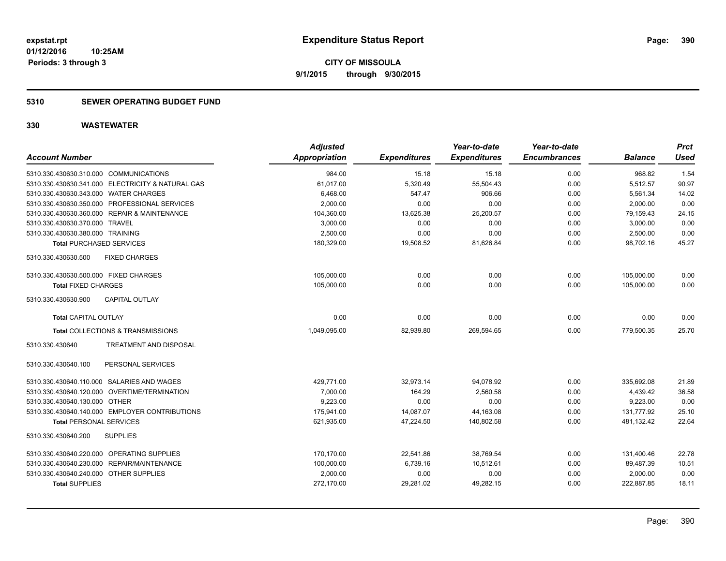#### **5310 SEWER OPERATING BUDGET FUND**

| <b>Account Number</b>                             | <b>Adjusted</b><br><b>Appropriation</b> | <b>Expenditures</b> | Year-to-date<br><b>Expenditures</b> | Year-to-date<br><b>Encumbrances</b> | <b>Balance</b> | <b>Prct</b><br><b>Used</b> |
|---------------------------------------------------|-----------------------------------------|---------------------|-------------------------------------|-------------------------------------|----------------|----------------------------|
| 5310.330.430630.310.000 COMMUNICATIONS            | 984.00                                  | 15.18               | 15.18                               | 0.00                                | 968.82         | 1.54                       |
| 5310.330.430630.341.000 ELECTRICITY & NATURAL GAS | 61,017.00                               | 5,320.49            | 55,504.43                           | 0.00                                | 5,512.57       | 90.97                      |
| 5310.330.430630.343.000 WATER CHARGES             | 6,468.00                                | 547.47              | 906.66                              | 0.00                                | 5,561.34       | 14.02                      |
| 5310.330.430630.350.000 PROFESSIONAL SERVICES     | 2,000.00                                | 0.00                | 0.00                                | 0.00                                | 2,000.00       | 0.00                       |
| 5310.330.430630.360.000 REPAIR & MAINTENANCE      | 104,360.00                              | 13,625.38           | 25,200.57                           | 0.00                                | 79,159.43      | 24.15                      |
| 5310.330.430630.370.000 TRAVEL                    | 3,000.00                                | 0.00                | 0.00                                | 0.00                                | 3,000.00       | 0.00                       |
| 5310.330.430630.380.000 TRAINING                  | 2.500.00                                | 0.00                | 0.00                                | 0.00                                | 2,500.00       | 0.00                       |
| <b>Total PURCHASED SERVICES</b>                   | 180,329.00                              | 19,508.52           | 81,626.84                           | 0.00                                | 98,702.16      | 45.27                      |
| <b>FIXED CHARGES</b><br>5310.330.430630.500       |                                         |                     |                                     |                                     |                |                            |
| 5310.330.430630.500.000 FIXED CHARGES             | 105,000.00                              | 0.00                | 0.00                                | 0.00                                | 105,000.00     | 0.00                       |
| <b>Total FIXED CHARGES</b>                        | 105,000.00                              | 0.00                | 0.00                                | 0.00                                | 105,000.00     | 0.00                       |
| 5310.330.430630.900<br><b>CAPITAL OUTLAY</b>      |                                         |                     |                                     |                                     |                |                            |
| <b>Total CAPITAL OUTLAY</b>                       | 0.00                                    | 0.00                | 0.00                                | 0.00                                | 0.00           | 0.00                       |
| Total COLLECTIONS & TRANSMISSIONS                 | 1,049,095.00                            | 82,939.80           | 269,594.65                          | 0.00                                | 779,500.35     | 25.70                      |
| <b>TREATMENT AND DISPOSAL</b><br>5310.330.430640  |                                         |                     |                                     |                                     |                |                            |
| PERSONAL SERVICES<br>5310.330.430640.100          |                                         |                     |                                     |                                     |                |                            |
| 5310.330.430640.110.000 SALARIES AND WAGES        | 429,771.00                              | 32,973.14           | 94,078.92                           | 0.00                                | 335,692.08     | 21.89                      |
| 5310.330.430640.120.000 OVERTIME/TERMINATION      | 7,000.00                                | 164.29              | 2,560.58                            | 0.00                                | 4,439.42       | 36.58                      |
| 5310.330.430640.130.000 OTHER                     | 9,223.00                                | 0.00                | 0.00                                | 0.00                                | 9,223.00       | 0.00                       |
| 5310.330.430640.140.000 EMPLOYER CONTRIBUTIONS    | 175,941.00                              | 14,087.07           | 44,163.08                           | 0.00                                | 131,777.92     | 25.10                      |
| <b>Total PERSONAL SERVICES</b>                    | 621,935.00                              | 47.224.50           | 140.802.58                          | 0.00                                | 481,132.42     | 22.64                      |
| 5310.330.430640.200<br><b>SUPPLIES</b>            |                                         |                     |                                     |                                     |                |                            |
| 5310.330.430640.220.000 OPERATING SUPPLIES        | 170,170.00                              | 22,541.86           | 38,769.54                           | 0.00                                | 131,400.46     | 22.78                      |
| 5310.330.430640.230.000 REPAIR/MAINTENANCE        | 100,000.00                              | 6,739.16            | 10,512.61                           | 0.00                                | 89,487.39      | 10.51                      |
| 5310.330.430640.240.000 OTHER SUPPLIES            | 2,000.00                                | 0.00                | 0.00                                | 0.00                                | 2,000.00       | 0.00                       |
| <b>Total SUPPLIES</b>                             | 272,170.00                              | 29,281.02           | 49,282.15                           | 0.00                                | 222,887.85     | 18.11                      |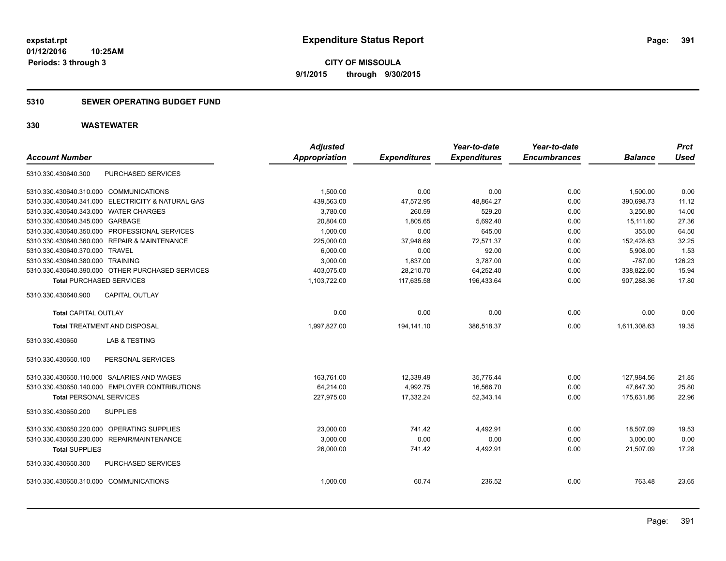**Periods: 3 through 3**

**CITY OF MISSOULA 9/1/2015 through 9/30/2015**

#### **5310 SEWER OPERATING BUDGET FUND**

| <b>Account Number</b>                      |                                                   | <b>Adjusted</b><br><b>Appropriation</b> |                     | Year-to-date<br><b>Expenditures</b> | Year-to-date<br><b>Encumbrances</b> | <b>Balance</b> | <b>Prct</b><br><b>Used</b> |
|--------------------------------------------|---------------------------------------------------|-----------------------------------------|---------------------|-------------------------------------|-------------------------------------|----------------|----------------------------|
|                                            |                                                   |                                         | <b>Expenditures</b> |                                     |                                     |                |                            |
| 5310.330.430640.300                        | PURCHASED SERVICES                                |                                         |                     |                                     |                                     |                |                            |
| 5310.330.430640.310.000 COMMUNICATIONS     |                                                   | 1.500.00                                | 0.00                | 0.00                                | 0.00                                | 1,500.00       | 0.00                       |
|                                            | 5310.330.430640.341.000 ELECTRICITY & NATURAL GAS | 439,563.00                              | 47,572.95           | 48,864.27                           | 0.00                                | 390,698.73     | 11.12                      |
| 5310.330.430640.343.000 WATER CHARGES      |                                                   | 3,780.00                                | 260.59              | 529.20                              | 0.00                                | 3,250.80       | 14.00                      |
| 5310.330.430640.345.000 GARBAGE            |                                                   | 20,804.00                               | 1,805.65            | 5,692.40                            | 0.00                                | 15,111.60      | 27.36                      |
|                                            | 5310.330.430640.350.000 PROFESSIONAL SERVICES     | 1,000.00                                | 0.00                | 645.00                              | 0.00                                | 355.00         | 64.50                      |
|                                            | 5310.330.430640.360.000 REPAIR & MAINTENANCE      | 225,000.00                              | 37,948.69           | 72,571.37                           | 0.00                                | 152,428.63     | 32.25                      |
| 5310.330.430640.370.000 TRAVEL             |                                                   | 6,000.00                                | 0.00                | 92.00                               | 0.00                                | 5,908.00       | 1.53                       |
| 5310.330.430640.380.000 TRAINING           |                                                   | 3,000.00                                | 1,837.00            | 3,787.00                            | 0.00                                | $-787.00$      | 126.23                     |
|                                            | 5310.330.430640.390.000 OTHER PURCHASED SERVICES  | 403,075.00                              | 28,210.70           | 64,252.40                           | 0.00                                | 338,822.60     | 15.94                      |
| <b>Total PURCHASED SERVICES</b>            |                                                   | 1,103,722.00                            | 117,635.58          | 196,433.64                          | 0.00                                | 907,288.36     | 17.80                      |
| 5310.330.430640.900                        | <b>CAPITAL OUTLAY</b>                             |                                         |                     |                                     |                                     |                |                            |
| <b>Total CAPITAL OUTLAY</b>                |                                                   | 0.00                                    | 0.00                | 0.00                                | 0.00                                | 0.00           | 0.00                       |
|                                            | <b>Total TREATMENT AND DISPOSAL</b>               | 1,997,827.00                            | 194,141.10          | 386,518.37                          | 0.00                                | 1,611,308.63   | 19.35                      |
| 5310.330.430650                            | <b>LAB &amp; TESTING</b>                          |                                         |                     |                                     |                                     |                |                            |
| 5310.330.430650.100                        | PERSONAL SERVICES                                 |                                         |                     |                                     |                                     |                |                            |
|                                            | 5310.330.430650.110.000 SALARIES AND WAGES        | 163,761.00                              | 12,339.49           | 35,776.44                           | 0.00                                | 127,984.56     | 21.85                      |
|                                            | 5310.330.430650.140.000 EMPLOYER CONTRIBUTIONS    | 64,214.00                               | 4,992.75            | 16,566.70                           | 0.00                                | 47,647.30      | 25.80                      |
| <b>Total PERSONAL SERVICES</b>             |                                                   | 227,975.00                              | 17,332.24           | 52,343.14                           | 0.00                                | 175,631.86     | 22.96                      |
| 5310.330.430650.200                        | <b>SUPPLIES</b>                                   |                                         |                     |                                     |                                     |                |                            |
| 5310.330.430650.220.000 OPERATING SUPPLIES |                                                   | 23,000.00                               | 741.42              | 4,492.91                            | 0.00                                | 18,507.09      | 19.53                      |
|                                            | 5310.330.430650.230.000 REPAIR/MAINTENANCE        | 3,000.00                                | 0.00                | 0.00                                | 0.00                                | 3,000.00       | 0.00                       |
| <b>Total SUPPLIES</b>                      |                                                   | 26,000.00                               | 741.42              | 4,492.91                            | 0.00                                | 21,507.09      | 17.28                      |
| 5310.330.430650.300                        | PURCHASED SERVICES                                |                                         |                     |                                     |                                     |                |                            |
| 5310.330.430650.310.000 COMMUNICATIONS     |                                                   | 1,000.00                                | 60.74               | 236.52                              | 0.00                                | 763.48         | 23.65                      |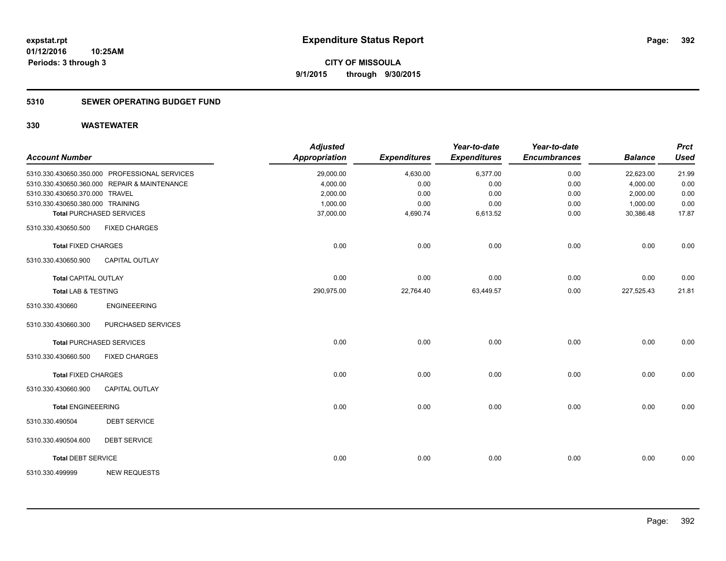### **5310 SEWER OPERATING BUDGET FUND**

| <b>Account Number</b>            |                                               | <b>Adjusted</b><br><b>Appropriation</b> | <b>Expenditures</b> | Year-to-date<br><b>Expenditures</b> | Year-to-date<br><b>Encumbrances</b> | <b>Balance</b> | <b>Prct</b><br><b>Used</b> |
|----------------------------------|-----------------------------------------------|-----------------------------------------|---------------------|-------------------------------------|-------------------------------------|----------------|----------------------------|
|                                  | 5310.330.430650.350.000 PROFESSIONAL SERVICES | 29,000.00                               | 4,630.00            | 6,377.00                            | 0.00                                | 22,623.00      | 21.99                      |
|                                  | 5310.330.430650.360.000 REPAIR & MAINTENANCE  | 4,000.00                                | 0.00                | 0.00                                | 0.00                                | 4,000.00       | 0.00                       |
| 5310.330.430650.370.000 TRAVEL   |                                               | 2,000.00                                | 0.00                | 0.00                                | 0.00                                | 2,000.00       | 0.00                       |
| 5310.330.430650.380.000 TRAINING |                                               | 1,000.00                                | 0.00                | 0.00                                | 0.00                                | 1,000.00       | 0.00                       |
|                                  | <b>Total PURCHASED SERVICES</b>               | 37,000.00                               | 4,690.74            | 6,613.52                            | 0.00                                | 30,386.48      | 17.87                      |
| 5310.330.430650.500              | <b>FIXED CHARGES</b>                          |                                         |                     |                                     |                                     |                |                            |
| <b>Total FIXED CHARGES</b>       |                                               | 0.00                                    | 0.00                | 0.00                                | 0.00                                | 0.00           | 0.00                       |
| 5310.330.430650.900              | <b>CAPITAL OUTLAY</b>                         |                                         |                     |                                     |                                     |                |                            |
| <b>Total CAPITAL OUTLAY</b>      |                                               | 0.00                                    | 0.00                | 0.00                                | 0.00                                | 0.00           | 0.00                       |
| <b>Total LAB &amp; TESTING</b>   |                                               | 290,975.00                              | 22,764.40           | 63,449.57                           | 0.00                                | 227,525.43     | 21.81                      |
| 5310.330.430660                  | <b>ENGINEEERING</b>                           |                                         |                     |                                     |                                     |                |                            |
| 5310.330.430660.300              | PURCHASED SERVICES                            |                                         |                     |                                     |                                     |                |                            |
|                                  | <b>Total PURCHASED SERVICES</b>               | 0.00                                    | 0.00                | 0.00                                | 0.00                                | 0.00           | 0.00                       |
| 5310.330.430660.500              | <b>FIXED CHARGES</b>                          |                                         |                     |                                     |                                     |                |                            |
| <b>Total FIXED CHARGES</b>       |                                               | 0.00                                    | 0.00                | 0.00                                | 0.00                                | 0.00           | 0.00                       |
| 5310.330.430660.900              | <b>CAPITAL OUTLAY</b>                         |                                         |                     |                                     |                                     |                |                            |
| <b>Total ENGINEEERING</b>        |                                               | 0.00                                    | 0.00                | 0.00                                | 0.00                                | 0.00           | 0.00                       |
| 5310.330.490504                  | <b>DEBT SERVICE</b>                           |                                         |                     |                                     |                                     |                |                            |
| 5310.330.490504.600              | <b>DEBT SERVICE</b>                           |                                         |                     |                                     |                                     |                |                            |
| <b>Total DEBT SERVICE</b>        |                                               | 0.00                                    | 0.00                | 0.00                                | 0.00                                | 0.00           | 0.00                       |
| 5310.330.499999                  | <b>NEW REQUESTS</b>                           |                                         |                     |                                     |                                     |                |                            |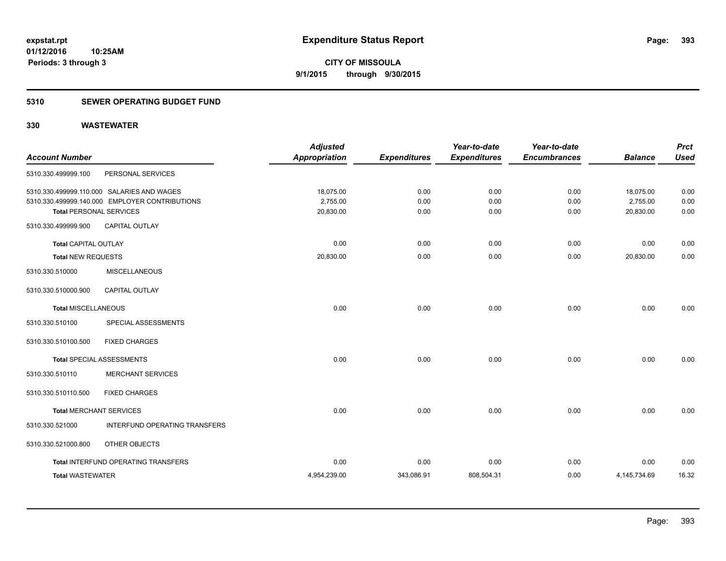#### **5310 SEWER OPERATING BUDGET FUND**

| <b>Account Number</b>          |                                                | <b>Adjusted</b><br><b>Appropriation</b> | <b>Expenditures</b> | Year-to-date<br><b>Expenditures</b> | Year-to-date<br><b>Encumbrances</b> | <b>Balance</b> | <b>Prct</b><br><b>Used</b> |
|--------------------------------|------------------------------------------------|-----------------------------------------|---------------------|-------------------------------------|-------------------------------------|----------------|----------------------------|
| 5310.330.499999.100            | PERSONAL SERVICES                              |                                         |                     |                                     |                                     |                |                            |
|                                | 5310.330.499999.110.000 SALARIES AND WAGES     | 18,075.00                               | 0.00                | 0.00                                | 0.00                                | 18,075.00      | 0.00                       |
|                                | 5310.330.499999.140.000 EMPLOYER CONTRIBUTIONS | 2,755.00                                | 0.00                | 0.00                                | 0.00                                | 2,755.00       | 0.00                       |
| <b>Total PERSONAL SERVICES</b> |                                                | 20,830.00                               | 0.00                | 0.00                                | 0.00                                | 20,830.00      | 0.00                       |
| 5310.330.499999.900            | <b>CAPITAL OUTLAY</b>                          |                                         |                     |                                     |                                     |                |                            |
| <b>Total CAPITAL OUTLAY</b>    |                                                | 0.00                                    | 0.00                | 0.00                                | 0.00                                | 0.00           | 0.00                       |
| <b>Total NEW REQUESTS</b>      |                                                | 20,830.00                               | 0.00                | 0.00                                | 0.00                                | 20,830.00      | 0.00                       |
| 5310.330.510000                | <b>MISCELLANEOUS</b>                           |                                         |                     |                                     |                                     |                |                            |
| 5310.330.510000.900            | CAPITAL OUTLAY                                 |                                         |                     |                                     |                                     |                |                            |
| <b>Total MISCELLANEOUS</b>     |                                                | 0.00                                    | 0.00                | 0.00                                | 0.00                                | 0.00           | 0.00                       |
| 5310.330.510100                | SPECIAL ASSESSMENTS                            |                                         |                     |                                     |                                     |                |                            |
| 5310.330.510100.500            | <b>FIXED CHARGES</b>                           |                                         |                     |                                     |                                     |                |                            |
|                                | Total SPECIAL ASSESSMENTS                      | 0.00                                    | 0.00                | 0.00                                | 0.00                                | 0.00           | 0.00                       |
| 5310.330.510110                | <b>MERCHANT SERVICES</b>                       |                                         |                     |                                     |                                     |                |                            |
| 5310.330.510110.500            | <b>FIXED CHARGES</b>                           |                                         |                     |                                     |                                     |                |                            |
| <b>Total MERCHANT SERVICES</b> |                                                | 0.00                                    | 0.00                | 0.00                                | 0.00                                | 0.00           | 0.00                       |
| 5310.330.521000                | INTERFUND OPERATING TRANSFERS                  |                                         |                     |                                     |                                     |                |                            |
| 5310.330.521000.800            | OTHER OBJECTS                                  |                                         |                     |                                     |                                     |                |                            |
|                                | Total INTERFUND OPERATING TRANSFERS            | 0.00                                    | 0.00                | 0.00                                | 0.00                                | 0.00           | 0.00                       |
| <b>Total WASTEWATER</b>        |                                                | 4,954,239.00                            | 343,086.91          | 808,504.31                          | 0.00                                | 4,145,734.69   | 16.32                      |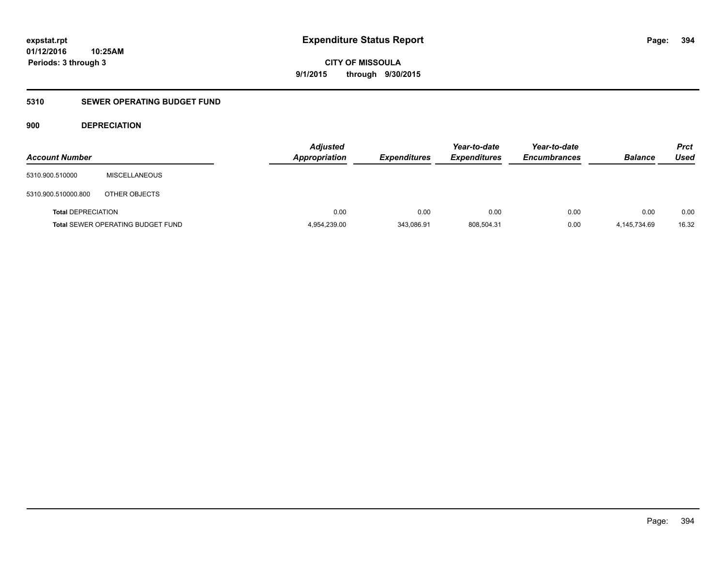**394**

**01/12/2016 10:25AM Periods: 3 through 3**

**CITY OF MISSOULA 9/1/2015 through 9/30/2015**

### **5310 SEWER OPERATING BUDGET FUND**

#### **900 DEPRECIATION**

| <b>Account Number</b>     |                                          | <b>Adjusted</b><br>Appropriation | <b>Expenditures</b> | Year-to-date<br><b>Expenditures</b> | Year-to-date<br><b>Encumbrances</b> | <b>Balance</b> | <b>Prct</b><br><b>Used</b> |
|---------------------------|------------------------------------------|----------------------------------|---------------------|-------------------------------------|-------------------------------------|----------------|----------------------------|
| 5310.900.510000           | <b>MISCELLANEOUS</b>                     |                                  |                     |                                     |                                     |                |                            |
| 5310.900.510000.800       | OTHER OBJECTS                            |                                  |                     |                                     |                                     |                |                            |
| <b>Total DEPRECIATION</b> |                                          | 0.00                             | 0.00                | 0.00                                | 0.00                                | 0.00           | 0.00                       |
|                           | <b>Total SEWER OPERATING BUDGET FUND</b> | 4,954,239.00                     | 343,086.91          | 808,504.31                          | 0.00                                | 4.145.734.69   | 16.32                      |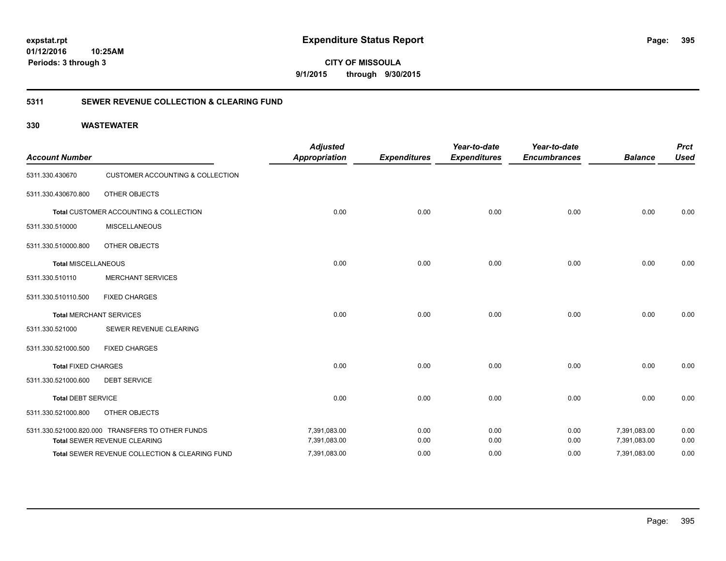**CITY OF MISSOULA 9/1/2015 through 9/30/2015**

#### **5311 SEWER REVENUE COLLECTION & CLEARING FUND**

| <b>Account Number</b>      |                                                  | <b>Adjusted</b><br><b>Appropriation</b> | <b>Expenditures</b> | Year-to-date<br><b>Expenditures</b> | Year-to-date<br><b>Encumbrances</b> | <b>Balance</b> | <b>Prct</b><br><b>Used</b> |
|----------------------------|--------------------------------------------------|-----------------------------------------|---------------------|-------------------------------------|-------------------------------------|----------------|----------------------------|
| 5311.330.430670            | <b>CUSTOMER ACCOUNTING &amp; COLLECTION</b>      |                                         |                     |                                     |                                     |                |                            |
| 5311.330.430670.800        | OTHER OBJECTS                                    |                                         |                     |                                     |                                     |                |                            |
|                            | Total CUSTOMER ACCOUNTING & COLLECTION           | 0.00                                    | 0.00                | 0.00                                | 0.00                                | 0.00           | 0.00                       |
| 5311.330.510000            | <b>MISCELLANEOUS</b>                             |                                         |                     |                                     |                                     |                |                            |
| 5311.330.510000.800        | OTHER OBJECTS                                    |                                         |                     |                                     |                                     |                |                            |
| <b>Total MISCELLANEOUS</b> |                                                  | 0.00                                    | 0.00                | 0.00                                | 0.00                                | 0.00           | 0.00                       |
| 5311.330.510110            | <b>MERCHANT SERVICES</b>                         |                                         |                     |                                     |                                     |                |                            |
| 5311.330.510110.500        | <b>FIXED CHARGES</b>                             |                                         |                     |                                     |                                     |                |                            |
|                            | <b>Total MERCHANT SERVICES</b>                   | 0.00                                    | 0.00                | 0.00                                | 0.00                                | 0.00           | 0.00                       |
| 5311.330.521000            | SEWER REVENUE CLEARING                           |                                         |                     |                                     |                                     |                |                            |
| 5311.330.521000.500        | <b>FIXED CHARGES</b>                             |                                         |                     |                                     |                                     |                |                            |
| <b>Total FIXED CHARGES</b> |                                                  | 0.00                                    | 0.00                | 0.00                                | 0.00                                | 0.00           | 0.00                       |
| 5311.330.521000.600        | <b>DEBT SERVICE</b>                              |                                         |                     |                                     |                                     |                |                            |
| <b>Total DEBT SERVICE</b>  |                                                  | 0.00                                    | 0.00                | 0.00                                | 0.00                                | 0.00           | 0.00                       |
| 5311.330.521000.800        | OTHER OBJECTS                                    |                                         |                     |                                     |                                     |                |                            |
|                            | 5311.330.521000.820.000 TRANSFERS TO OTHER FUNDS | 7,391,083.00                            | 0.00                | 0.00                                | 0.00                                | 7,391,083.00   | 0.00                       |
|                            | Total SEWER REVENUE CLEARING                     | 7,391,083.00                            | 0.00                | 0.00                                | 0.00                                | 7,391,083.00   | 0.00                       |
|                            | Total SEWER REVENUE COLLECTION & CLEARING FUND   | 7,391,083.00                            | 0.00                | 0.00                                | 0.00                                | 7,391,083.00   | 0.00                       |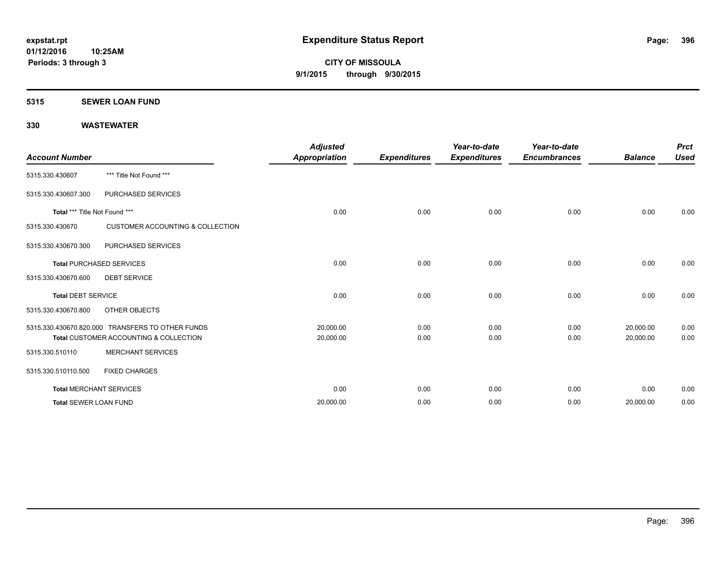#### **5315 SEWER LOAN FUND**

| <b>Account Number</b>           |                                                                                            | <b>Adjusted</b><br><b>Appropriation</b> | <b>Expenditures</b> | Year-to-date<br><b>Expenditures</b> | Year-to-date<br><b>Encumbrances</b> | <b>Balance</b>         | <b>Prct</b><br><b>Used</b> |
|---------------------------------|--------------------------------------------------------------------------------------------|-----------------------------------------|---------------------|-------------------------------------|-------------------------------------|------------------------|----------------------------|
| 5315.330.430607                 | *** Title Not Found ***                                                                    |                                         |                     |                                     |                                     |                        |                            |
| 5315.330.430607.300             | PURCHASED SERVICES                                                                         |                                         |                     |                                     |                                     |                        |                            |
| Total *** Title Not Found ***   |                                                                                            | 0.00                                    | 0.00                | 0.00                                | 0.00                                | 0.00                   | 0.00                       |
| 5315.330.430670                 | <b>CUSTOMER ACCOUNTING &amp; COLLECTION</b>                                                |                                         |                     |                                     |                                     |                        |                            |
| 5315.330.430670.300             | PURCHASED SERVICES                                                                         |                                         |                     |                                     |                                     |                        |                            |
| <b>Total PURCHASED SERVICES</b> |                                                                                            | 0.00                                    | 0.00                | 0.00                                | 0.00                                | 0.00                   | 0.00                       |
| 5315.330.430670.600             | <b>DEBT SERVICE</b>                                                                        |                                         |                     |                                     |                                     |                        |                            |
| <b>Total DEBT SERVICE</b>       |                                                                                            | 0.00                                    | 0.00                | 0.00                                | 0.00                                | 0.00                   | 0.00                       |
| 5315.330.430670.800             | OTHER OBJECTS                                                                              |                                         |                     |                                     |                                     |                        |                            |
|                                 | 5315.330.430670.820.000 TRANSFERS TO OTHER FUNDS<br>Total CUSTOMER ACCOUNTING & COLLECTION | 20,000.00<br>20,000.00                  | 0.00<br>0.00        | 0.00<br>0.00                        | 0.00<br>0.00                        | 20,000.00<br>20,000.00 | 0.00<br>0.00               |
| 5315.330.510110                 | <b>MERCHANT SERVICES</b>                                                                   |                                         |                     |                                     |                                     |                        |                            |
| 5315.330.510110.500             | <b>FIXED CHARGES</b>                                                                       |                                         |                     |                                     |                                     |                        |                            |
|                                 | <b>Total MERCHANT SERVICES</b>                                                             | 0.00                                    | 0.00                | 0.00                                | 0.00                                | 0.00                   | 0.00                       |
| <b>Total SEWER LOAN FUND</b>    |                                                                                            | 20,000.00                               | 0.00                | 0.00                                | 0.00                                | 20,000.00              | 0.00                       |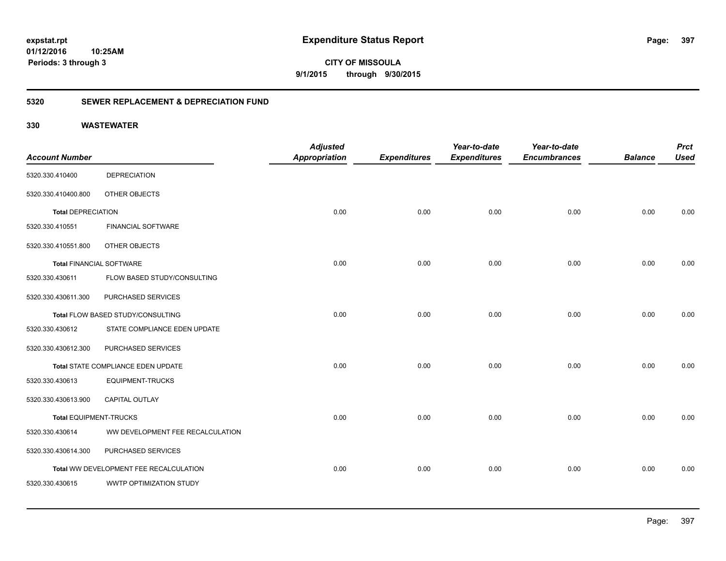**CITY OF MISSOULA 9/1/2015 through 9/30/2015**

### **5320 SEWER REPLACEMENT & DEPRECIATION FUND**

| <b>Account Number</b>           |                                        | <b>Adjusted</b><br><b>Appropriation</b> | <b>Expenditures</b> | Year-to-date<br><b>Expenditures</b> | Year-to-date<br><b>Encumbrances</b> | <b>Balance</b> | <b>Prct</b><br><b>Used</b> |
|---------------------------------|----------------------------------------|-----------------------------------------|---------------------|-------------------------------------|-------------------------------------|----------------|----------------------------|
| 5320.330.410400                 | <b>DEPRECIATION</b>                    |                                         |                     |                                     |                                     |                |                            |
| 5320.330.410400.800             | OTHER OBJECTS                          |                                         |                     |                                     |                                     |                |                            |
| <b>Total DEPRECIATION</b>       |                                        | 0.00                                    | 0.00                | 0.00                                | 0.00                                | 0.00           | 0.00                       |
| 5320.330.410551                 | <b>FINANCIAL SOFTWARE</b>              |                                         |                     |                                     |                                     |                |                            |
| 5320.330.410551.800             | OTHER OBJECTS                          |                                         |                     |                                     |                                     |                |                            |
| <b>Total FINANCIAL SOFTWARE</b> |                                        | 0.00                                    | 0.00                | 0.00                                | 0.00                                | 0.00           | 0.00                       |
| 5320.330.430611                 | FLOW BASED STUDY/CONSULTING            |                                         |                     |                                     |                                     |                |                            |
| 5320.330.430611.300             | PURCHASED SERVICES                     |                                         |                     |                                     |                                     |                |                            |
|                                 | Total FLOW BASED STUDY/CONSULTING      | 0.00                                    | 0.00                | 0.00                                | 0.00                                | 0.00           | 0.00                       |
| 5320.330.430612                 | STATE COMPLIANCE EDEN UPDATE           |                                         |                     |                                     |                                     |                |                            |
| 5320.330.430612.300             | PURCHASED SERVICES                     |                                         |                     |                                     |                                     |                |                            |
|                                 | Total STATE COMPLIANCE EDEN UPDATE     | 0.00                                    | 0.00                | 0.00                                | 0.00                                | 0.00           | 0.00                       |
| 5320.330.430613                 | <b>EQUIPMENT-TRUCKS</b>                |                                         |                     |                                     |                                     |                |                            |
| 5320.330.430613.900             | CAPITAL OUTLAY                         |                                         |                     |                                     |                                     |                |                            |
| <b>Total EQUIPMENT-TRUCKS</b>   |                                        | 0.00                                    | 0.00                | 0.00                                | 0.00                                | 0.00           | 0.00                       |
| 5320.330.430614                 | WW DEVELOPMENT FEE RECALCULATION       |                                         |                     |                                     |                                     |                |                            |
| 5320.330.430614.300             | PURCHASED SERVICES                     |                                         |                     |                                     |                                     |                |                            |
|                                 | Total WW DEVELOPMENT FEE RECALCULATION | 0.00                                    | 0.00                | 0.00                                | 0.00                                | 0.00           | 0.00                       |
| 5320.330.430615                 | WWTP OPTIMIZATION STUDY                |                                         |                     |                                     |                                     |                |                            |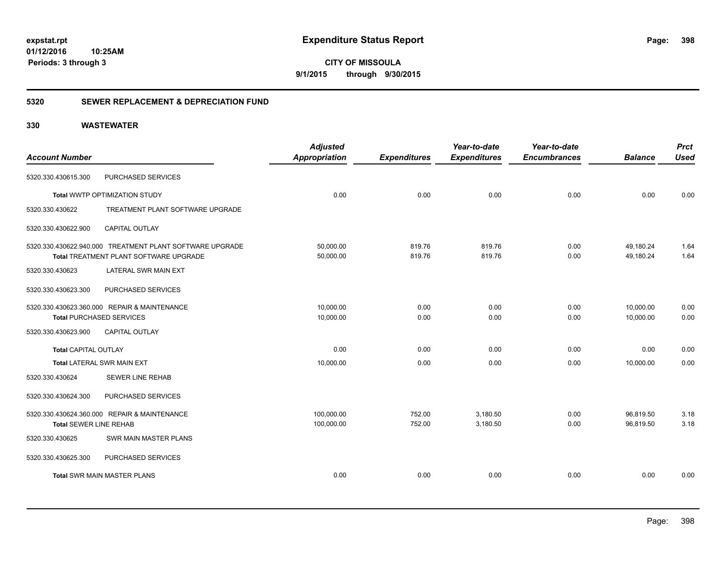**CITY OF MISSOULA 9/1/2015 through 9/30/2015**

### **5320 SEWER REPLACEMENT & DEPRECIATION FUND**

|                               |                                                          | <b>Adjusted</b>      |                     | Year-to-date        | Year-to-date        |                | <b>Prct</b> |
|-------------------------------|----------------------------------------------------------|----------------------|---------------------|---------------------|---------------------|----------------|-------------|
| <b>Account Number</b>         |                                                          | <b>Appropriation</b> | <b>Expenditures</b> | <b>Expenditures</b> | <b>Encumbrances</b> | <b>Balance</b> | <b>Used</b> |
| 5320.330.430615.300           | PURCHASED SERVICES                                       |                      |                     |                     |                     |                |             |
|                               | Total WWTP OPTIMIZATION STUDY                            | 0.00                 | 0.00                | 0.00                | 0.00                | 0.00           | 0.00        |
| 5320.330.430622               | TREATMENT PLANT SOFTWARE UPGRADE                         |                      |                     |                     |                     |                |             |
| 5320.330.430622.900           | <b>CAPITAL OUTLAY</b>                                    |                      |                     |                     |                     |                |             |
|                               | 5320.330.430622.940.000 TREATMENT PLANT SOFTWARE UPGRADE | 50,000.00            | 819.76              | 819.76              | 0.00                | 49,180.24      | 1.64        |
|                               | Total TREATMENT PLANT SOFTWARE UPGRADE                   | 50,000.00            | 819.76              | 819.76              | 0.00                | 49.180.24      | 1.64        |
| 5320.330.430623               | LATERAL SWR MAIN EXT                                     |                      |                     |                     |                     |                |             |
| 5320.330.430623.300           | PURCHASED SERVICES                                       |                      |                     |                     |                     |                |             |
|                               | 5320.330.430623.360.000 REPAIR & MAINTENANCE             | 10,000.00            | 0.00                | 0.00                | 0.00                | 10.000.00      | 0.00        |
|                               | <b>Total PURCHASED SERVICES</b>                          | 10,000.00            | 0.00                | 0.00                | 0.00                | 10,000.00      | 0.00        |
| 5320.330.430623.900           | <b>CAPITAL OUTLAY</b>                                    |                      |                     |                     |                     |                |             |
| <b>Total CAPITAL OUTLAY</b>   |                                                          | 0.00                 | 0.00                | 0.00                | 0.00                | 0.00           | 0.00        |
|                               | <b>Total LATERAL SWR MAIN EXT</b>                        | 10,000.00            | 0.00                | 0.00                | 0.00                | 10,000.00      | 0.00        |
| 5320.330.430624               | <b>SEWER LINE REHAB</b>                                  |                      |                     |                     |                     |                |             |
| 5320.330.430624.300           | PURCHASED SERVICES                                       |                      |                     |                     |                     |                |             |
|                               | 5320.330.430624.360.000 REPAIR & MAINTENANCE             | 100,000.00           | 752.00              | 3,180.50            | 0.00                | 96,819.50      | 3.18        |
| <b>Total SEWER LINE REHAB</b> |                                                          | 100,000.00           | 752.00              | 3,180.50            | 0.00                | 96,819.50      | 3.18        |
| 5320.330.430625               | <b>SWR MAIN MASTER PLANS</b>                             |                      |                     |                     |                     |                |             |
| 5320.330.430625.300           | PURCHASED SERVICES                                       |                      |                     |                     |                     |                |             |
|                               | <b>Total SWR MAIN MASTER PLANS</b>                       | 0.00                 | 0.00                | 0.00                | 0.00                | 0.00           | 0.00        |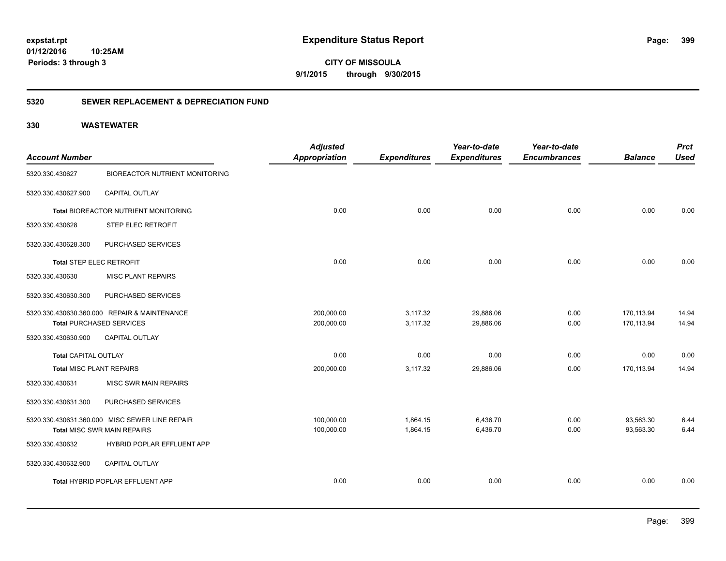**CITY OF MISSOULA 9/1/2015 through 9/30/2015**

### **5320 SEWER REPLACEMENT & DEPRECIATION FUND**

| <b>Account Number</b>           |                                                | <b>Adjusted</b><br><b>Appropriation</b> | <b>Expenditures</b> | Year-to-date<br><b>Expenditures</b> | Year-to-date<br><b>Encumbrances</b> | <b>Balance</b> | <b>Prct</b><br><b>Used</b> |
|---------------------------------|------------------------------------------------|-----------------------------------------|---------------------|-------------------------------------|-------------------------------------|----------------|----------------------------|
| 5320.330.430627                 | <b>BIOREACTOR NUTRIENT MONITORING</b>          |                                         |                     |                                     |                                     |                |                            |
| 5320.330.430627.900             | CAPITAL OUTLAY                                 |                                         |                     |                                     |                                     |                |                            |
|                                 | Total BIOREACTOR NUTRIENT MONITORING           | 0.00                                    | 0.00                | 0.00                                | 0.00                                | 0.00           | 0.00                       |
| 5320.330.430628                 | <b>STEP ELEC RETROFIT</b>                      |                                         |                     |                                     |                                     |                |                            |
| 5320.330.430628.300             | PURCHASED SERVICES                             |                                         |                     |                                     |                                     |                |                            |
| <b>Total STEP ELEC RETROFIT</b> |                                                | 0.00                                    | 0.00                | 0.00                                | 0.00                                | 0.00           | 0.00                       |
| 5320.330.430630                 | <b>MISC PLANT REPAIRS</b>                      |                                         |                     |                                     |                                     |                |                            |
| 5320.330.430630.300             | PURCHASED SERVICES                             |                                         |                     |                                     |                                     |                |                            |
|                                 | 5320.330.430630.360.000 REPAIR & MAINTENANCE   | 200,000.00                              | 3,117.32            | 29,886.06                           | 0.00                                | 170,113.94     | 14.94                      |
|                                 | <b>Total PURCHASED SERVICES</b>                | 200,000.00                              | 3,117.32            | 29,886.06                           | 0.00                                | 170,113.94     | 14.94                      |
| 5320.330.430630.900             | <b>CAPITAL OUTLAY</b>                          |                                         |                     |                                     |                                     |                |                            |
| <b>Total CAPITAL OUTLAY</b>     |                                                | 0.00                                    | 0.00                | 0.00                                | 0.00                                | 0.00           | 0.00                       |
| <b>Total MISC PLANT REPAIRS</b> |                                                | 200,000.00                              | 3,117.32            | 29,886.06                           | 0.00                                | 170,113.94     | 14.94                      |
| 5320.330.430631                 | MISC SWR MAIN REPAIRS                          |                                         |                     |                                     |                                     |                |                            |
| 5320.330.430631.300             | PURCHASED SERVICES                             |                                         |                     |                                     |                                     |                |                            |
|                                 | 5320.330.430631.360.000 MISC SEWER LINE REPAIR | 100,000.00                              | 1,864.15            | 6,436.70                            | 0.00                                | 93,563.30      | 6.44                       |
|                                 | Total MISC SWR MAIN REPAIRS                    | 100,000.00                              | 1,864.15            | 6,436.70                            | 0.00                                | 93,563.30      | 6.44                       |
| 5320.330.430632                 | HYBRID POPLAR EFFLUENT APP                     |                                         |                     |                                     |                                     |                |                            |
| 5320.330.430632.900             | CAPITAL OUTLAY                                 |                                         |                     |                                     |                                     |                |                            |
|                                 | Total HYBRID POPLAR EFFLUENT APP               | 0.00                                    | 0.00                | 0.00                                | 0.00                                | 0.00           | 0.00                       |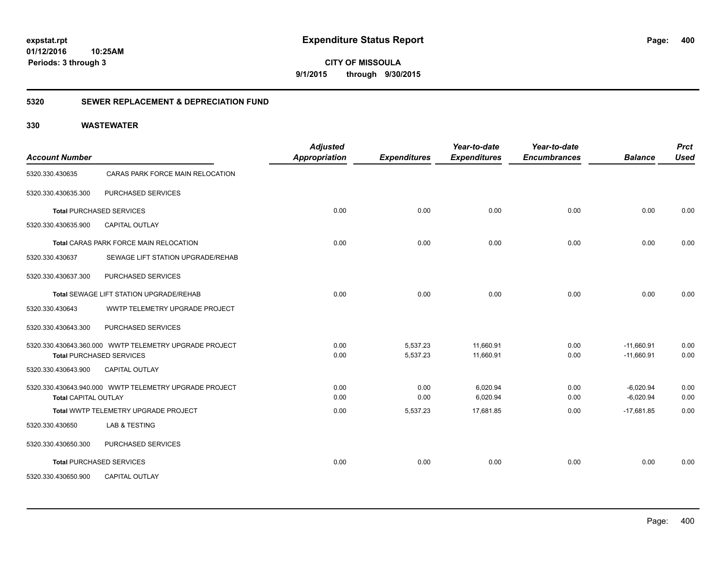**CITY OF MISSOULA 9/1/2015 through 9/30/2015**

### **5320 SEWER REPLACEMENT & DEPRECIATION FUND**

| <b>Account Number</b>       |                                                        | <b>Adjusted</b><br><b>Appropriation</b> | <b>Expenditures</b>  | Year-to-date<br><b>Expenditures</b> | Year-to-date<br><b>Encumbrances</b> | <b>Balance</b>               | <b>Prct</b><br><b>Used</b> |
|-----------------------------|--------------------------------------------------------|-----------------------------------------|----------------------|-------------------------------------|-------------------------------------|------------------------------|----------------------------|
| 5320.330.430635             | CARAS PARK FORCE MAIN RELOCATION                       |                                         |                      |                                     |                                     |                              |                            |
| 5320.330.430635.300         | PURCHASED SERVICES                                     |                                         |                      |                                     |                                     |                              |                            |
|                             | <b>Total PURCHASED SERVICES</b>                        | 0.00                                    | 0.00                 | 0.00                                | 0.00                                | 0.00                         | 0.00                       |
| 5320.330.430635.900         | <b>CAPITAL OUTLAY</b>                                  |                                         |                      |                                     |                                     |                              |                            |
|                             | Total CARAS PARK FORCE MAIN RELOCATION                 | 0.00                                    | 0.00                 | 0.00                                | 0.00                                | 0.00                         | 0.00                       |
| 5320.330.430637             | SEWAGE LIFT STATION UPGRADE/REHAB                      |                                         |                      |                                     |                                     |                              |                            |
| 5320.330.430637.300         | PURCHASED SERVICES                                     |                                         |                      |                                     |                                     |                              |                            |
|                             | Total SEWAGE LIFT STATION UPGRADE/REHAB                | 0.00                                    | 0.00                 | 0.00                                | 0.00                                | 0.00                         | 0.00                       |
| 5320.330.430643             | WWTP TELEMETRY UPGRADE PROJECT                         |                                         |                      |                                     |                                     |                              |                            |
| 5320.330.430643.300         | PURCHASED SERVICES                                     |                                         |                      |                                     |                                     |                              |                            |
|                             | <b>Total PURCHASED SERVICES</b>                        | 0.00<br>0.00                            | 5,537.23<br>5,537.23 | 11,660.91<br>11,660.91              | 0.00<br>0.00                        | $-11,660.91$<br>$-11,660.91$ | 0.00<br>0.00               |
| 5320.330.430643.900         | <b>CAPITAL OUTLAY</b>                                  |                                         |                      |                                     |                                     |                              |                            |
| <b>Total CAPITAL OUTLAY</b> | 5320.330.430643.940.000 WWTP TELEMETRY UPGRADE PROJECT | 0.00<br>0.00                            | 0.00<br>0.00         | 6,020.94<br>6,020.94                | 0.00<br>0.00                        | $-6,020.94$<br>$-6,020.94$   | 0.00<br>0.00               |
|                             | Total WWTP TELEMETRY UPGRADE PROJECT                   | 0.00                                    | 5,537.23             | 17,681.85                           | 0.00                                | $-17,681.85$                 | 0.00                       |
| 5320.330.430650             | <b>LAB &amp; TESTING</b>                               |                                         |                      |                                     |                                     |                              |                            |
| 5320.330.430650.300         | PURCHASED SERVICES                                     |                                         |                      |                                     |                                     |                              |                            |
|                             | <b>Total PURCHASED SERVICES</b>                        | 0.00                                    | 0.00                 | 0.00                                | 0.00                                | 0.00                         | 0.00                       |
| 5320.330.430650.900         | <b>CAPITAL OUTLAY</b>                                  |                                         |                      |                                     |                                     |                              |                            |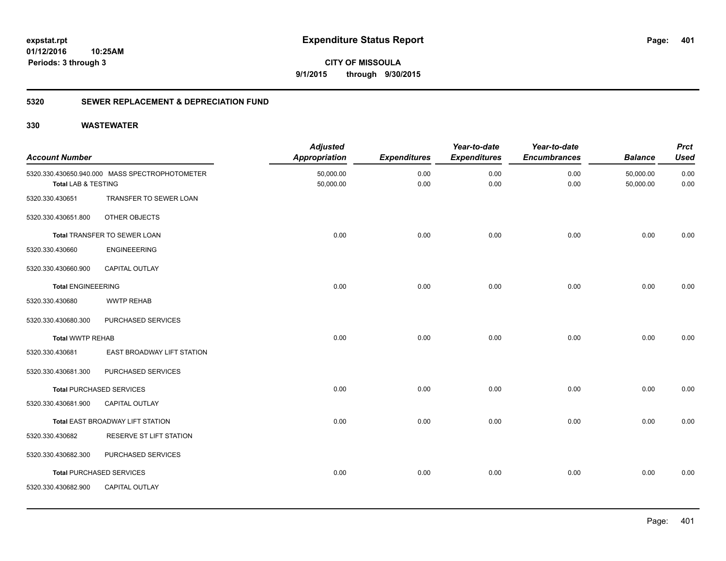**401**

**CITY OF MISSOULA 9/1/2015 through 9/30/2015**

### **5320 SEWER REPLACEMENT & DEPRECIATION FUND**

| <b>Account Number</b>     |                                                | <b>Adjusted</b><br><b>Appropriation</b> | <b>Expenditures</b> | Year-to-date<br><b>Expenditures</b> | Year-to-date<br><b>Encumbrances</b> | <b>Balance</b>         | <b>Prct</b><br><b>Used</b> |
|---------------------------|------------------------------------------------|-----------------------------------------|---------------------|-------------------------------------|-------------------------------------|------------------------|----------------------------|
| Total LAB & TESTING       | 5320.330.430650.940.000 MASS SPECTROPHOTOMETER | 50,000.00<br>50,000.00                  | 0.00<br>0.00        | 0.00<br>0.00                        | 0.00<br>0.00                        | 50,000.00<br>50,000.00 | 0.00<br>0.00               |
| 5320.330.430651           | TRANSFER TO SEWER LOAN                         |                                         |                     |                                     |                                     |                        |                            |
| 5320.330.430651.800       | OTHER OBJECTS                                  |                                         |                     |                                     |                                     |                        |                            |
|                           | Total TRANSFER TO SEWER LOAN                   | 0.00                                    | 0.00                | 0.00                                | 0.00                                | 0.00                   | 0.00                       |
| 5320.330.430660           | <b>ENGINEEERING</b>                            |                                         |                     |                                     |                                     |                        |                            |
| 5320.330.430660.900       | CAPITAL OUTLAY                                 |                                         |                     |                                     |                                     |                        |                            |
| <b>Total ENGINEEERING</b> |                                                | 0.00                                    | 0.00                | 0.00                                | 0.00                                | 0.00                   | 0.00                       |
| 5320.330.430680           | <b>WWTP REHAB</b>                              |                                         |                     |                                     |                                     |                        |                            |
| 5320.330.430680.300       | PURCHASED SERVICES                             |                                         |                     |                                     |                                     |                        |                            |
| <b>Total WWTP REHAB</b>   |                                                | 0.00                                    | 0.00                | 0.00                                | 0.00                                | 0.00                   | 0.00                       |
| 5320.330.430681           | EAST BROADWAY LIFT STATION                     |                                         |                     |                                     |                                     |                        |                            |
| 5320.330.430681.300       | PURCHASED SERVICES                             |                                         |                     |                                     |                                     |                        |                            |
|                           | <b>Total PURCHASED SERVICES</b>                | 0.00                                    | 0.00                | 0.00                                | 0.00                                | 0.00                   | 0.00                       |
| 5320.330.430681.900       | <b>CAPITAL OUTLAY</b>                          |                                         |                     |                                     |                                     |                        |                            |
|                           | Total EAST BROADWAY LIFT STATION               | 0.00                                    | 0.00                | 0.00                                | 0.00                                | 0.00                   | 0.00                       |
| 5320.330.430682           | RESERVE ST LIFT STATION                        |                                         |                     |                                     |                                     |                        |                            |
| 5320.330.430682.300       | PURCHASED SERVICES                             |                                         |                     |                                     |                                     |                        |                            |
|                           | <b>Total PURCHASED SERVICES</b>                | 0.00                                    | 0.00                | 0.00                                | 0.00                                | 0.00                   | 0.00                       |
| 5320.330.430682.900       | CAPITAL OUTLAY                                 |                                         |                     |                                     |                                     |                        |                            |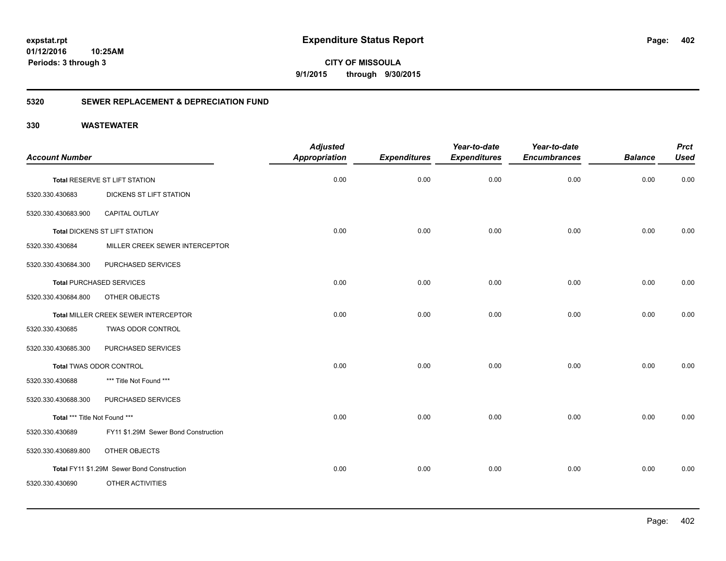**CITY OF MISSOULA 9/1/2015 through 9/30/2015**

### **5320 SEWER REPLACEMENT & DEPRECIATION FUND**

| <b>Account Number</b>         |                                            | <b>Adjusted</b><br><b>Appropriation</b> | <b>Expenditures</b> | Year-to-date<br><b>Expenditures</b> | Year-to-date<br><b>Encumbrances</b> | <b>Balance</b> | <b>Prct</b><br><b>Used</b> |
|-------------------------------|--------------------------------------------|-----------------------------------------|---------------------|-------------------------------------|-------------------------------------|----------------|----------------------------|
|                               | Total RESERVE ST LIFT STATION              | 0.00                                    | 0.00                | 0.00                                | 0.00                                | 0.00           | 0.00                       |
| 5320.330.430683               | DICKENS ST LIFT STATION                    |                                         |                     |                                     |                                     |                |                            |
| 5320.330.430683.900           | <b>CAPITAL OUTLAY</b>                      |                                         |                     |                                     |                                     |                |                            |
|                               | Total DICKENS ST LIFT STATION              | 0.00                                    | 0.00                | 0.00                                | 0.00                                | 0.00           | 0.00                       |
| 5320.330.430684               | MILLER CREEK SEWER INTERCEPTOR             |                                         |                     |                                     |                                     |                |                            |
| 5320.330.430684.300           | PURCHASED SERVICES                         |                                         |                     |                                     |                                     |                |                            |
|                               | <b>Total PURCHASED SERVICES</b>            | 0.00                                    | 0.00                | 0.00                                | 0.00                                | 0.00           | 0.00                       |
| 5320.330.430684.800           | OTHER OBJECTS                              |                                         |                     |                                     |                                     |                |                            |
|                               | Total MILLER CREEK SEWER INTERCEPTOR       | 0.00                                    | 0.00                | 0.00                                | 0.00                                | 0.00           | 0.00                       |
| 5320.330.430685               | TWAS ODOR CONTROL                          |                                         |                     |                                     |                                     |                |                            |
| 5320.330.430685.300           | PURCHASED SERVICES                         |                                         |                     |                                     |                                     |                |                            |
|                               | Total TWAS ODOR CONTROL                    | 0.00                                    | 0.00                | 0.00                                | 0.00                                | 0.00           | 0.00                       |
| 5320.330.430688               | *** Title Not Found ***                    |                                         |                     |                                     |                                     |                |                            |
| 5320.330.430688.300           | PURCHASED SERVICES                         |                                         |                     |                                     |                                     |                |                            |
| Total *** Title Not Found *** |                                            | 0.00                                    | 0.00                | 0.00                                | 0.00                                | 0.00           | 0.00                       |
| 5320.330.430689               | FY11 \$1.29M Sewer Bond Construction       |                                         |                     |                                     |                                     |                |                            |
| 5320.330.430689.800           | OTHER OBJECTS                              |                                         |                     |                                     |                                     |                |                            |
|                               | Total FY11 \$1.29M Sewer Bond Construction | 0.00                                    | 0.00                | 0.00                                | 0.00                                | 0.00           | 0.00                       |
| 5320.330.430690               | OTHER ACTIVITIES                           |                                         |                     |                                     |                                     |                |                            |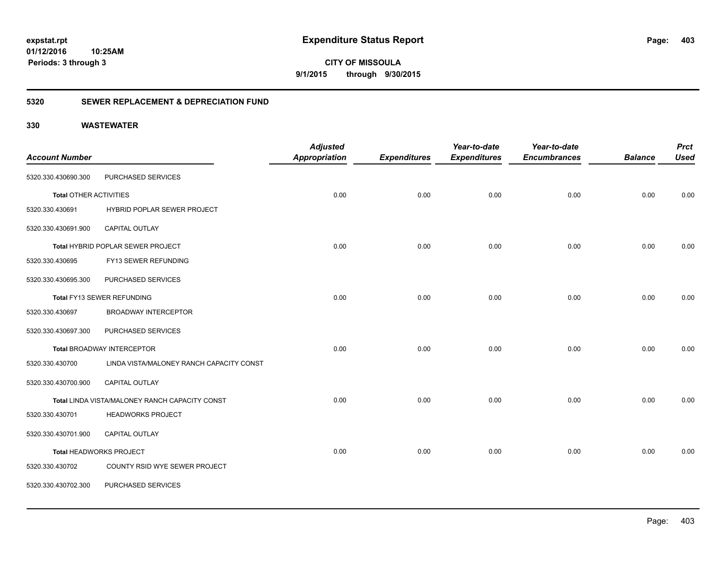**CITY OF MISSOULA 9/1/2015 through 9/30/2015**

### **5320 SEWER REPLACEMENT & DEPRECIATION FUND**

|                               |                                                | <b>Adjusted</b>      |                     | Year-to-date        | Year-to-date        |                | <b>Prct</b> |
|-------------------------------|------------------------------------------------|----------------------|---------------------|---------------------|---------------------|----------------|-------------|
| <b>Account Number</b>         |                                                | <b>Appropriation</b> | <b>Expenditures</b> | <b>Expenditures</b> | <b>Encumbrances</b> | <b>Balance</b> | <b>Used</b> |
| 5320.330.430690.300           | PURCHASED SERVICES                             |                      |                     |                     |                     |                |             |
| <b>Total OTHER ACTIVITIES</b> |                                                | 0.00                 | 0.00                | 0.00                | 0.00                | 0.00           | 0.00        |
| 5320.330.430691               | HYBRID POPLAR SEWER PROJECT                    |                      |                     |                     |                     |                |             |
| 5320.330.430691.900           | CAPITAL OUTLAY                                 |                      |                     |                     |                     |                |             |
|                               | Total HYBRID POPLAR SEWER PROJECT              | 0.00                 | 0.00                | 0.00                | 0.00                | 0.00           | 0.00        |
| 5320.330.430695               | FY13 SEWER REFUNDING                           |                      |                     |                     |                     |                |             |
| 5320.330.430695.300           | PURCHASED SERVICES                             |                      |                     |                     |                     |                |             |
|                               | Total FY13 SEWER REFUNDING                     | 0.00                 | 0.00                | 0.00                | 0.00                | 0.00           | 0.00        |
| 5320.330.430697               | <b>BROADWAY INTERCEPTOR</b>                    |                      |                     |                     |                     |                |             |
| 5320.330.430697.300           | PURCHASED SERVICES                             |                      |                     |                     |                     |                |             |
|                               | <b>Total BROADWAY INTERCEPTOR</b>              | 0.00                 | 0.00                | 0.00                | 0.00                | 0.00           | 0.00        |
| 5320.330.430700               | LINDA VISTA/MALONEY RANCH CAPACITY CONST       |                      |                     |                     |                     |                |             |
| 5320.330.430700.900           | CAPITAL OUTLAY                                 |                      |                     |                     |                     |                |             |
|                               | Total LINDA VISTA/MALONEY RANCH CAPACITY CONST | 0.00                 | 0.00                | 0.00                | 0.00                | 0.00           | 0.00        |
| 5320.330.430701               | <b>HEADWORKS PROJECT</b>                       |                      |                     |                     |                     |                |             |
| 5320.330.430701.900           | <b>CAPITAL OUTLAY</b>                          |                      |                     |                     |                     |                |             |
|                               | Total HEADWORKS PROJECT                        | 0.00                 | 0.00                | 0.00                | 0.00                | 0.00           | 0.00        |
| 5320.330.430702               | COUNTY RSID WYE SEWER PROJECT                  |                      |                     |                     |                     |                |             |
| 5320.330.430702.300           | PURCHASED SERVICES                             |                      |                     |                     |                     |                |             |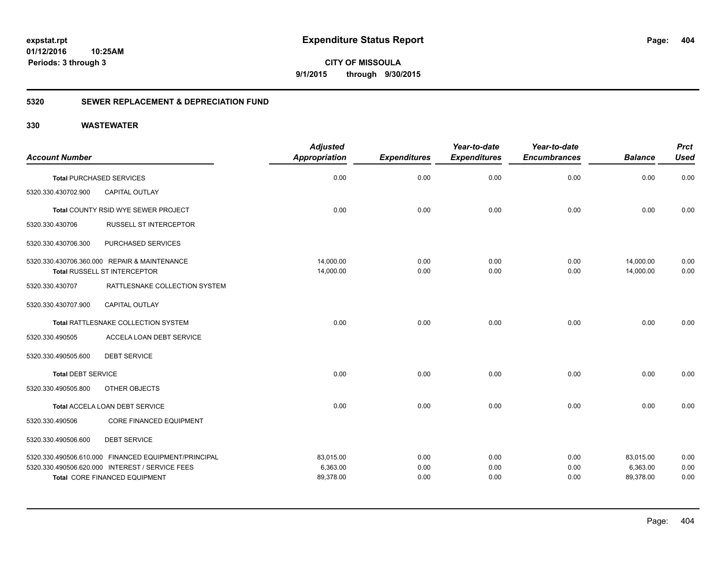**CITY OF MISSOULA 9/1/2015 through 9/30/2015**

### **5320 SEWER REPLACEMENT & DEPRECIATION FUND**

| <b>Account Number</b>     |                                                      | <b>Adjusted</b><br><b>Appropriation</b> | <b>Expenditures</b> | Year-to-date<br><b>Expenditures</b> | Year-to-date<br><b>Encumbrances</b> | <b>Balance</b> | <b>Prct</b><br><b>Used</b> |
|---------------------------|------------------------------------------------------|-----------------------------------------|---------------------|-------------------------------------|-------------------------------------|----------------|----------------------------|
|                           | <b>Total PURCHASED SERVICES</b>                      | 0.00                                    | 0.00                | 0.00                                | 0.00                                | 0.00           | 0.00                       |
| 5320.330.430702.900       | <b>CAPITAL OUTLAY</b>                                |                                         |                     |                                     |                                     |                |                            |
|                           | Total COUNTY RSID WYE SEWER PROJECT                  | 0.00                                    | 0.00                | 0.00                                | 0.00                                | 0.00           | 0.00                       |
| 5320.330.430706           | <b>RUSSELL ST INTERCEPTOR</b>                        |                                         |                     |                                     |                                     |                |                            |
| 5320.330.430706.300       | PURCHASED SERVICES                                   |                                         |                     |                                     |                                     |                |                            |
|                           | 5320.330.430706.360.000 REPAIR & MAINTENANCE         | 14,000.00                               | 0.00                | 0.00                                | 0.00                                | 14,000.00      | 0.00                       |
|                           | Total RUSSELL ST INTERCEPTOR                         | 14,000.00                               | 0.00                | 0.00                                | 0.00                                | 14,000.00      | 0.00                       |
| 5320.330.430707           | RATTLESNAKE COLLECTION SYSTEM                        |                                         |                     |                                     |                                     |                |                            |
| 5320.330.430707.900       | <b>CAPITAL OUTLAY</b>                                |                                         |                     |                                     |                                     |                |                            |
|                           | Total RATTLESNAKE COLLECTION SYSTEM                  | 0.00                                    | 0.00                | 0.00                                | 0.00                                | 0.00           | 0.00                       |
| 5320.330.490505           | ACCELA LOAN DEBT SERVICE                             |                                         |                     |                                     |                                     |                |                            |
| 5320.330.490505.600       | <b>DEBT SERVICE</b>                                  |                                         |                     |                                     |                                     |                |                            |
| <b>Total DEBT SERVICE</b> |                                                      | 0.00                                    | 0.00                | 0.00                                | 0.00                                | 0.00           | 0.00                       |
| 5320.330.490505.800       | OTHER OBJECTS                                        |                                         |                     |                                     |                                     |                |                            |
|                           | Total ACCELA LOAN DEBT SERVICE                       | 0.00                                    | 0.00                | 0.00                                | 0.00                                | 0.00           | 0.00                       |
| 5320.330.490506           | <b>CORE FINANCED EQUIPMENT</b>                       |                                         |                     |                                     |                                     |                |                            |
| 5320.330.490506.600       | <b>DEBT SERVICE</b>                                  |                                         |                     |                                     |                                     |                |                            |
|                           | 5320.330.490506.610.000 FINANCED EQUIPMENT/PRINCIPAL | 83,015.00                               | 0.00                | 0.00                                | 0.00                                | 83,015.00      | 0.00                       |
|                           | 5320.330.490506.620.000 INTEREST / SERVICE FEES      | 6,363.00                                | 0.00                | 0.00                                | 0.00                                | 6,363.00       | 0.00                       |
|                           | Total CORE FINANCED EQUIPMENT                        | 89,378.00                               | 0.00                | 0.00                                | 0.00                                | 89,378.00      | 0.00                       |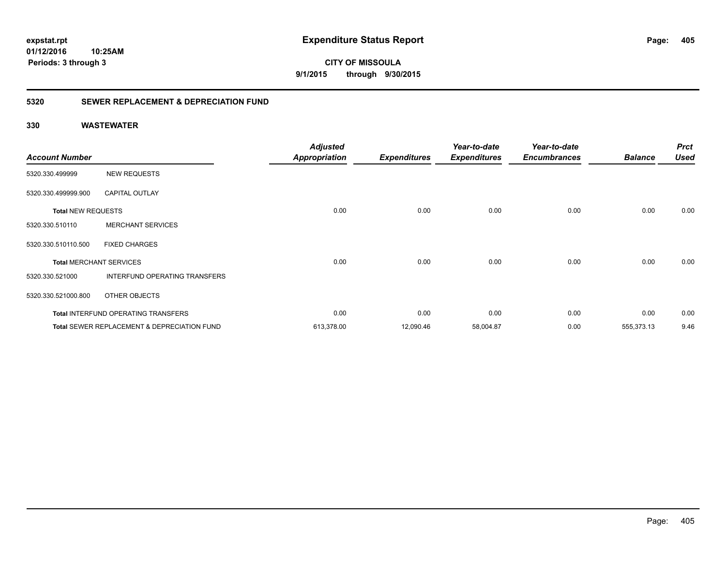**CITY OF MISSOULA 9/1/2015 through 9/30/2015**

### **5320 SEWER REPLACEMENT & DEPRECIATION FUND**

| <b>Account Number</b>     |                                                        | <b>Adjusted</b><br><b>Appropriation</b> | <b>Expenditures</b> | Year-to-date<br><b>Expenditures</b> | Year-to-date<br><b>Encumbrances</b> | <b>Balance</b> | <b>Prct</b><br><b>Used</b> |
|---------------------------|--------------------------------------------------------|-----------------------------------------|---------------------|-------------------------------------|-------------------------------------|----------------|----------------------------|
|                           |                                                        |                                         |                     |                                     |                                     |                |                            |
| 5320.330.499999           | <b>NEW REQUESTS</b>                                    |                                         |                     |                                     |                                     |                |                            |
| 5320.330.499999.900       | <b>CAPITAL OUTLAY</b>                                  |                                         |                     |                                     |                                     |                |                            |
| <b>Total NEW REQUESTS</b> |                                                        | 0.00                                    | 0.00                | 0.00                                | 0.00                                | 0.00           | 0.00                       |
| 5320.330.510110           | <b>MERCHANT SERVICES</b>                               |                                         |                     |                                     |                                     |                |                            |
| 5320.330.510110.500       | <b>FIXED CHARGES</b>                                   |                                         |                     |                                     |                                     |                |                            |
|                           | <b>Total MERCHANT SERVICES</b>                         | 0.00                                    | 0.00                | 0.00                                | 0.00                                | 0.00           | 0.00                       |
| 5320.330.521000           | INTERFUND OPERATING TRANSFERS                          |                                         |                     |                                     |                                     |                |                            |
| 5320.330.521000.800       | OTHER OBJECTS                                          |                                         |                     |                                     |                                     |                |                            |
|                           | <b>Total INTERFUND OPERATING TRANSFERS</b>             | 0.00                                    | 0.00                | 0.00                                | 0.00                                | 0.00           | 0.00                       |
|                           | <b>Total SEWER REPLACEMENT &amp; DEPRECIATION FUND</b> | 613,378.00                              | 12,090.46           | 58,004.87                           | 0.00                                | 555,373.13     | 9.46                       |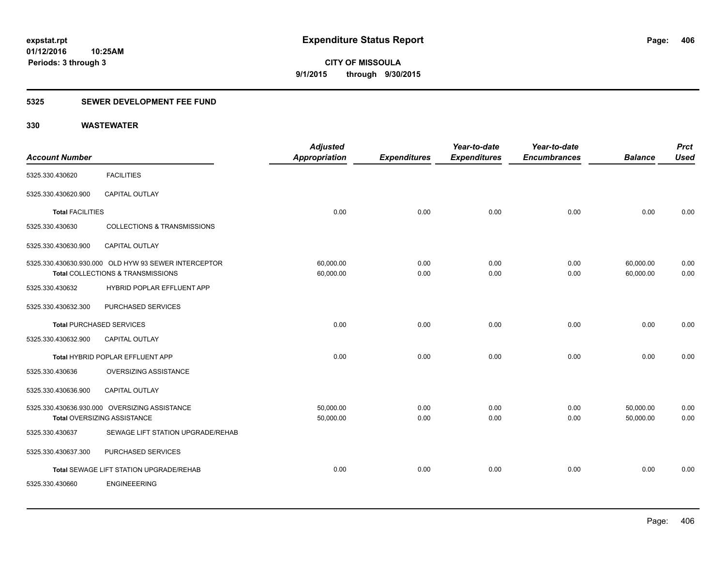### **5325 SEWER DEVELOPMENT FEE FUND**

| <b>Account Number</b>   |                                                                                           | <b>Adjusted</b><br>Appropriation | <b>Expenditures</b> | Year-to-date<br><b>Expenditures</b> | Year-to-date<br><b>Encumbrances</b> | <b>Balance</b>         | <b>Prct</b><br><b>Used</b> |
|-------------------------|-------------------------------------------------------------------------------------------|----------------------------------|---------------------|-------------------------------------|-------------------------------------|------------------------|----------------------------|
| 5325.330.430620         | <b>FACILITIES</b>                                                                         |                                  |                     |                                     |                                     |                        |                            |
| 5325.330.430620.900     | <b>CAPITAL OUTLAY</b>                                                                     |                                  |                     |                                     |                                     |                        |                            |
| <b>Total FACILITIES</b> |                                                                                           | 0.00                             | 0.00                | 0.00                                | 0.00                                | 0.00                   | 0.00                       |
| 5325.330.430630         | <b>COLLECTIONS &amp; TRANSMISSIONS</b>                                                    |                                  |                     |                                     |                                     |                        |                            |
| 5325.330.430630.900     | CAPITAL OUTLAY                                                                            |                                  |                     |                                     |                                     |                        |                            |
|                         | 5325.330.430630.930.000 OLD HYW 93 SEWER INTERCEPTOR<br>Total COLLECTIONS & TRANSMISSIONS | 60,000.00<br>60,000.00           | 0.00<br>0.00        | 0.00<br>0.00                        | 0.00<br>0.00                        | 60,000.00<br>60,000.00 | 0.00<br>0.00               |
| 5325.330.430632         | HYBRID POPLAR EFFLUENT APP                                                                |                                  |                     |                                     |                                     |                        |                            |
| 5325.330.430632.300     | PURCHASED SERVICES                                                                        |                                  |                     |                                     |                                     |                        |                            |
|                         | <b>Total PURCHASED SERVICES</b>                                                           | 0.00                             | 0.00                | 0.00                                | 0.00                                | 0.00                   | 0.00                       |
| 5325.330.430632.900     | <b>CAPITAL OUTLAY</b>                                                                     |                                  |                     |                                     |                                     |                        |                            |
|                         | Total HYBRID POPLAR EFFLUENT APP                                                          | 0.00                             | 0.00                | 0.00                                | 0.00                                | 0.00                   | 0.00                       |
| 5325.330.430636         | OVERSIZING ASSISTANCE                                                                     |                                  |                     |                                     |                                     |                        |                            |
| 5325.330.430636.900     | CAPITAL OUTLAY                                                                            |                                  |                     |                                     |                                     |                        |                            |
|                         | 5325.330.430636.930.000 OVERSIZING ASSISTANCE<br>Total OVERSIZING ASSISTANCE              | 50,000.00<br>50,000.00           | 0.00<br>0.00        | 0.00<br>0.00                        | 0.00<br>0.00                        | 50,000.00<br>50,000.00 | 0.00<br>0.00               |
| 5325.330.430637         | SEWAGE LIFT STATION UPGRADE/REHAB                                                         |                                  |                     |                                     |                                     |                        |                            |
| 5325.330.430637.300     | PURCHASED SERVICES                                                                        |                                  |                     |                                     |                                     |                        |                            |
|                         | Total SEWAGE LIFT STATION UPGRADE/REHAB                                                   | 0.00                             | 0.00                | 0.00                                | 0.00                                | 0.00                   | 0.00                       |
| 5325.330.430660         | <b>ENGINEEERING</b>                                                                       |                                  |                     |                                     |                                     |                        |                            |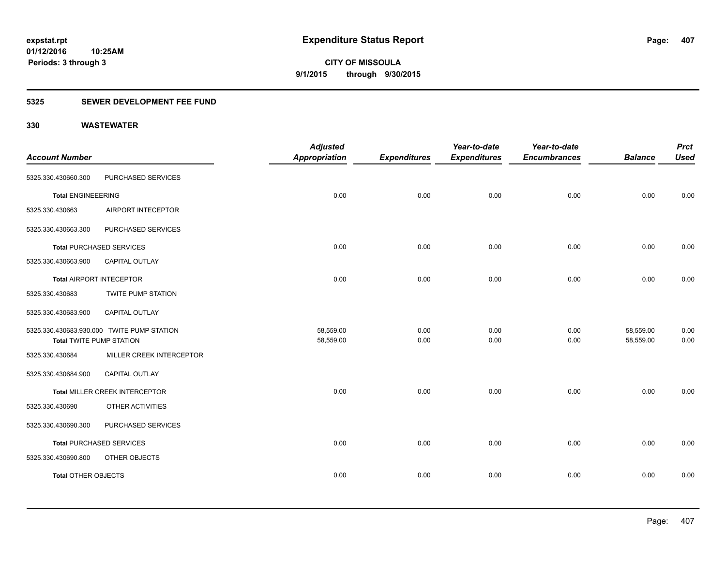### **5325 SEWER DEVELOPMENT FEE FUND**

|                                 |                                            | <b>Adjusted</b>        |                     | Year-to-date        | Year-to-date        |                        | <b>Prct</b>  |
|---------------------------------|--------------------------------------------|------------------------|---------------------|---------------------|---------------------|------------------------|--------------|
| <b>Account Number</b>           |                                            | <b>Appropriation</b>   | <b>Expenditures</b> | <b>Expenditures</b> | <b>Encumbrances</b> | <b>Balance</b>         | <b>Used</b>  |
| 5325.330.430660.300             | PURCHASED SERVICES                         |                        |                     |                     |                     |                        |              |
| <b>Total ENGINEEERING</b>       |                                            | 0.00                   | 0.00                | 0.00                | 0.00                | 0.00                   | 0.00         |
| 5325.330.430663                 | AIRPORT INTECEPTOR                         |                        |                     |                     |                     |                        |              |
| 5325.330.430663.300             | PURCHASED SERVICES                         |                        |                     |                     |                     |                        |              |
|                                 | <b>Total PURCHASED SERVICES</b>            | 0.00                   | 0.00                | 0.00                | 0.00                | 0.00                   | 0.00         |
| 5325.330.430663.900             | CAPITAL OUTLAY                             |                        |                     |                     |                     |                        |              |
|                                 | Total AIRPORT INTECEPTOR                   | 0.00                   | 0.00                | 0.00                | 0.00                | 0.00                   | 0.00         |
| 5325.330.430683                 | TWITE PUMP STATION                         |                        |                     |                     |                     |                        |              |
| 5325.330.430683.900             | CAPITAL OUTLAY                             |                        |                     |                     |                     |                        |              |
| <b>Total TWITE PUMP STATION</b> | 5325.330.430683.930.000 TWITE PUMP STATION | 58,559.00<br>58,559.00 | 0.00<br>0.00        | 0.00<br>0.00        | 0.00<br>0.00        | 58,559.00<br>58,559.00 | 0.00<br>0.00 |
| 5325.330.430684                 | MILLER CREEK INTERCEPTOR                   |                        |                     |                     |                     |                        |              |
| 5325.330.430684.900             | CAPITAL OUTLAY                             |                        |                     |                     |                     |                        |              |
|                                 | Total MILLER CREEK INTERCEPTOR             | 0.00                   | 0.00                | 0.00                | 0.00                | 0.00                   | 0.00         |
| 5325.330.430690                 | OTHER ACTIVITIES                           |                        |                     |                     |                     |                        |              |
| 5325.330.430690.300             | PURCHASED SERVICES                         |                        |                     |                     |                     |                        |              |
|                                 | <b>Total PURCHASED SERVICES</b>            | 0.00                   | 0.00                | 0.00                | 0.00                | 0.00                   | 0.00         |
| 5325.330.430690.800             | OTHER OBJECTS                              |                        |                     |                     |                     |                        |              |
| <b>Total OTHER OBJECTS</b>      |                                            | 0.00                   | 0.00                | 0.00                | 0.00                | 0.00                   | 0.00         |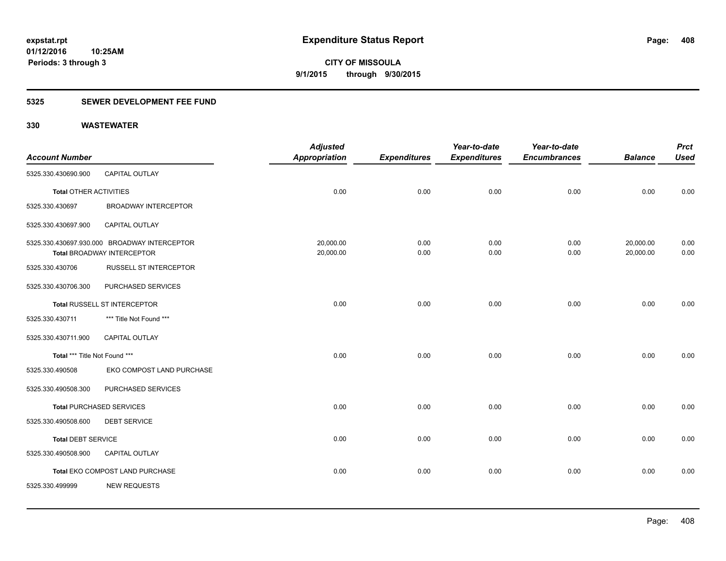### **5325 SEWER DEVELOPMENT FEE FUND**

|                               |                                              | <b>Adjusted</b>      |                     | Year-to-date        | Year-to-date        |                | <b>Prct</b> |
|-------------------------------|----------------------------------------------|----------------------|---------------------|---------------------|---------------------|----------------|-------------|
| <b>Account Number</b>         |                                              | <b>Appropriation</b> | <b>Expenditures</b> | <b>Expenditures</b> | <b>Encumbrances</b> | <b>Balance</b> | <b>Used</b> |
| 5325.330.430690.900           | CAPITAL OUTLAY                               |                      |                     |                     |                     |                |             |
| <b>Total OTHER ACTIVITIES</b> |                                              | 0.00                 | 0.00                | 0.00                | 0.00                | 0.00           | 0.00        |
| 5325.330.430697               | <b>BROADWAY INTERCEPTOR</b>                  |                      |                     |                     |                     |                |             |
| 5325.330.430697.900           | <b>CAPITAL OUTLAY</b>                        |                      |                     |                     |                     |                |             |
|                               | 5325.330.430697.930.000 BROADWAY INTERCEPTOR | 20,000.00            | 0.00                | 0.00                | 0.00                | 20,000.00      | 0.00        |
|                               | <b>Total BROADWAY INTERCEPTOR</b>            | 20,000.00            | 0.00                | 0.00                | 0.00                | 20,000.00      | 0.00        |
| 5325.330.430706               | <b>RUSSELL ST INTERCEPTOR</b>                |                      |                     |                     |                     |                |             |
| 5325.330.430706.300           | PURCHASED SERVICES                           |                      |                     |                     |                     |                |             |
|                               | <b>Total RUSSELL ST INTERCEPTOR</b>          | 0.00                 | 0.00                | 0.00                | 0.00                | 0.00           | 0.00        |
| 5325.330.430711               | *** Title Not Found ***                      |                      |                     |                     |                     |                |             |
| 5325.330.430711.900           | <b>CAPITAL OUTLAY</b>                        |                      |                     |                     |                     |                |             |
| Total *** Title Not Found *** |                                              | 0.00                 | 0.00                | 0.00                | 0.00                | 0.00           | 0.00        |
| 5325.330.490508               | EKO COMPOST LAND PURCHASE                    |                      |                     |                     |                     |                |             |
| 5325.330.490508.300           | PURCHASED SERVICES                           |                      |                     |                     |                     |                |             |
|                               | <b>Total PURCHASED SERVICES</b>              | 0.00                 | 0.00                | 0.00                | 0.00                | 0.00           | 0.00        |
| 5325.330.490508.600           | <b>DEBT SERVICE</b>                          |                      |                     |                     |                     |                |             |
| <b>Total DEBT SERVICE</b>     |                                              | 0.00                 | 0.00                | 0.00                | 0.00                | 0.00           | 0.00        |
| 5325.330.490508.900           | CAPITAL OUTLAY                               |                      |                     |                     |                     |                |             |
|                               | Total EKO COMPOST LAND PURCHASE              | 0.00                 | 0.00                | 0.00                | 0.00                | 0.00           | 0.00        |
| 5325.330.499999               | <b>NEW REQUESTS</b>                          |                      |                     |                     |                     |                |             |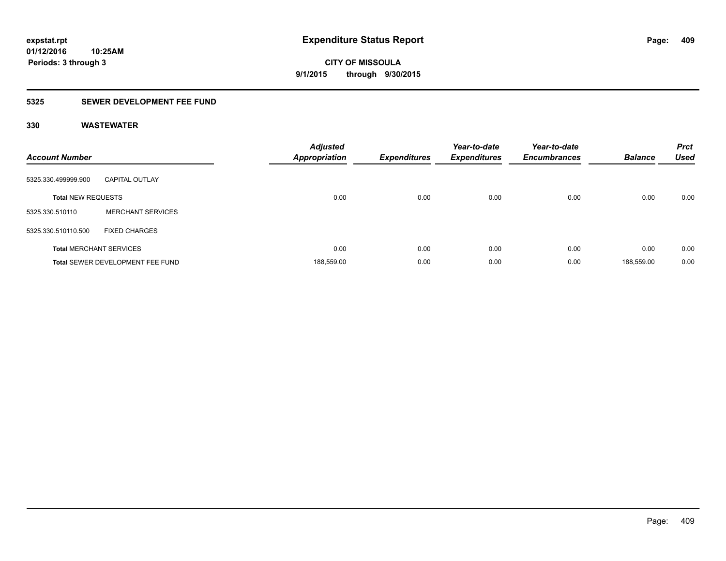### **5325 SEWER DEVELOPMENT FEE FUND**

| <b>Account Number</b>     |                                  | <b>Adjusted</b><br><b>Appropriation</b> | <b>Expenditures</b> | Year-to-date<br><b>Expenditures</b> | Year-to-date<br><b>Encumbrances</b> | <b>Balance</b> | <b>Prct</b><br><b>Used</b> |
|---------------------------|----------------------------------|-----------------------------------------|---------------------|-------------------------------------|-------------------------------------|----------------|----------------------------|
| 5325.330.499999.900       | <b>CAPITAL OUTLAY</b>            |                                         |                     |                                     |                                     |                |                            |
| <b>Total NEW REQUESTS</b> |                                  | 0.00                                    | 0.00                | 0.00                                | 0.00                                | 0.00           | 0.00                       |
| 5325.330.510110           | <b>MERCHANT SERVICES</b>         |                                         |                     |                                     |                                     |                |                            |
| 5325.330.510110.500       | <b>FIXED CHARGES</b>             |                                         |                     |                                     |                                     |                |                            |
|                           | <b>Total MERCHANT SERVICES</b>   | 0.00                                    | 0.00                | 0.00                                | 0.00                                | 0.00           | 0.00                       |
|                           | Total SEWER DEVELOPMENT FEE FUND | 188,559.00                              | 0.00                | 0.00                                | 0.00                                | 188.559.00     | 0.00                       |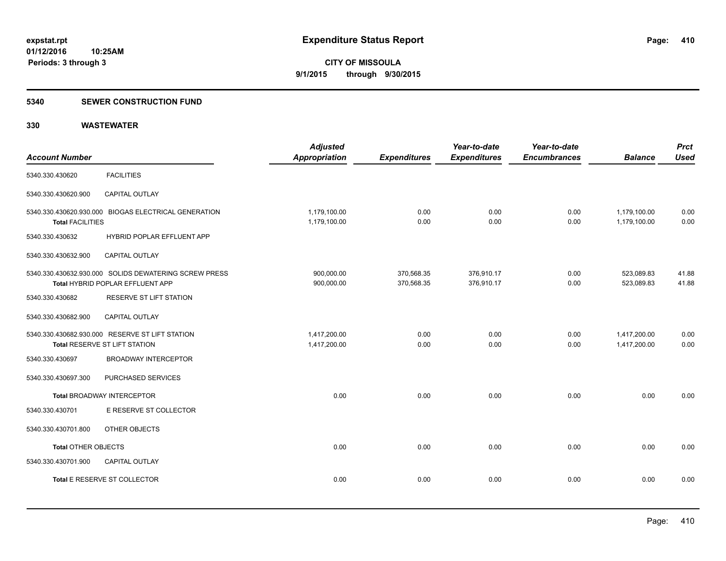#### **5340 SEWER CONSTRUCTION FUND**

| <b>Account Number</b>      |                                                                                           | <b>Adjusted</b><br><b>Appropriation</b> | <b>Expenditures</b>      | Year-to-date<br><b>Expenditures</b> | Year-to-date<br><b>Encumbrances</b> | <b>Balance</b>               | <b>Prct</b><br><b>Used</b> |
|----------------------------|-------------------------------------------------------------------------------------------|-----------------------------------------|--------------------------|-------------------------------------|-------------------------------------|------------------------------|----------------------------|
| 5340.330.430620            | <b>FACILITIES</b>                                                                         |                                         |                          |                                     |                                     |                              |                            |
| 5340.330.430620.900        | CAPITAL OUTLAY                                                                            |                                         |                          |                                     |                                     |                              |                            |
| <b>Total FACILITIES</b>    | 5340.330.430620.930.000 BIOGAS ELECTRICAL GENERATION                                      | 1,179,100.00<br>1,179,100.00            | 0.00<br>0.00             | 0.00<br>0.00                        | 0.00<br>0.00                        | 1,179,100.00<br>1,179,100.00 | 0.00<br>0.00               |
| 5340.330.430632            | HYBRID POPLAR EFFLUENT APP                                                                |                                         |                          |                                     |                                     |                              |                            |
| 5340.330.430632.900        | <b>CAPITAL OUTLAY</b>                                                                     |                                         |                          |                                     |                                     |                              |                            |
|                            | 5340.330.430632.930.000 SOLIDS DEWATERING SCREW PRESS<br>Total HYBRID POPLAR EFFLUENT APP | 900,000.00<br>900,000.00                | 370,568.35<br>370,568.35 | 376,910.17<br>376,910.17            | 0.00<br>0.00                        | 523,089.83<br>523,089.83     | 41.88<br>41.88             |
| 5340.330.430682            | RESERVE ST LIFT STATION                                                                   |                                         |                          |                                     |                                     |                              |                            |
| 5340.330.430682.900        | <b>CAPITAL OUTLAY</b>                                                                     |                                         |                          |                                     |                                     |                              |                            |
|                            | 5340.330.430682.930.000 RESERVE ST LIFT STATION<br>Total RESERVE ST LIFT STATION          | 1,417,200.00<br>1,417,200.00            | 0.00<br>0.00             | 0.00<br>0.00                        | 0.00<br>0.00                        | 1,417,200.00<br>1,417,200.00 | 0.00<br>0.00               |
| 5340.330.430697            | <b>BROADWAY INTERCEPTOR</b>                                                               |                                         |                          |                                     |                                     |                              |                            |
| 5340.330.430697.300        | PURCHASED SERVICES                                                                        |                                         |                          |                                     |                                     |                              |                            |
|                            | <b>Total BROADWAY INTERCEPTOR</b>                                                         | 0.00                                    | 0.00                     | 0.00                                | 0.00                                | 0.00                         | 0.00                       |
| 5340.330.430701            | E RESERVE ST COLLECTOR                                                                    |                                         |                          |                                     |                                     |                              |                            |
| 5340.330.430701.800        | OTHER OBJECTS                                                                             |                                         |                          |                                     |                                     |                              |                            |
| <b>Total OTHER OBJECTS</b> |                                                                                           | 0.00                                    | 0.00                     | 0.00                                | 0.00                                | 0.00                         | 0.00                       |
| 5340.330.430701.900        | <b>CAPITAL OUTLAY</b>                                                                     |                                         |                          |                                     |                                     |                              |                            |
|                            | Total E RESERVE ST COLLECTOR                                                              | 0.00                                    | 0.00                     | 0.00                                | 0.00                                | 0.00                         | 0.00                       |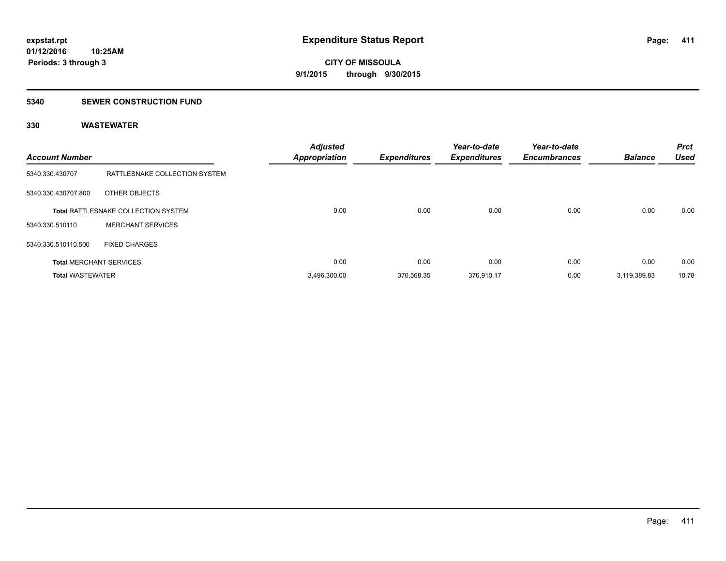#### **5340 SEWER CONSTRUCTION FUND**

| <b>Account Number</b>   |                                            | <b>Adjusted</b><br><b>Appropriation</b> | <b>Expenditures</b> | Year-to-date<br><b>Expenditures</b> | Year-to-date<br><b>Encumbrances</b> | <b>Balance</b> | <b>Prct</b><br><b>Used</b> |
|-------------------------|--------------------------------------------|-----------------------------------------|---------------------|-------------------------------------|-------------------------------------|----------------|----------------------------|
| 5340.330.430707         | RATTLESNAKE COLLECTION SYSTEM              |                                         |                     |                                     |                                     |                |                            |
| 5340.330.430707.800     | OTHER OBJECTS                              |                                         |                     |                                     |                                     |                |                            |
|                         | <b>Total RATTLESNAKE COLLECTION SYSTEM</b> | 0.00                                    | 0.00                | 0.00                                | 0.00                                | 0.00           | 0.00                       |
| 5340.330.510110         | <b>MERCHANT SERVICES</b>                   |                                         |                     |                                     |                                     |                |                            |
| 5340.330.510110.500     | <b>FIXED CHARGES</b>                       |                                         |                     |                                     |                                     |                |                            |
|                         | <b>Total MERCHANT SERVICES</b>             | 0.00                                    | 0.00                | 0.00                                | 0.00                                | 0.00           | 0.00                       |
| <b>Total WASTEWATER</b> |                                            | 3,496,300.00                            | 370.568.35          | 376,910.17                          | 0.00                                | 3,119,389.83   | 10.78                      |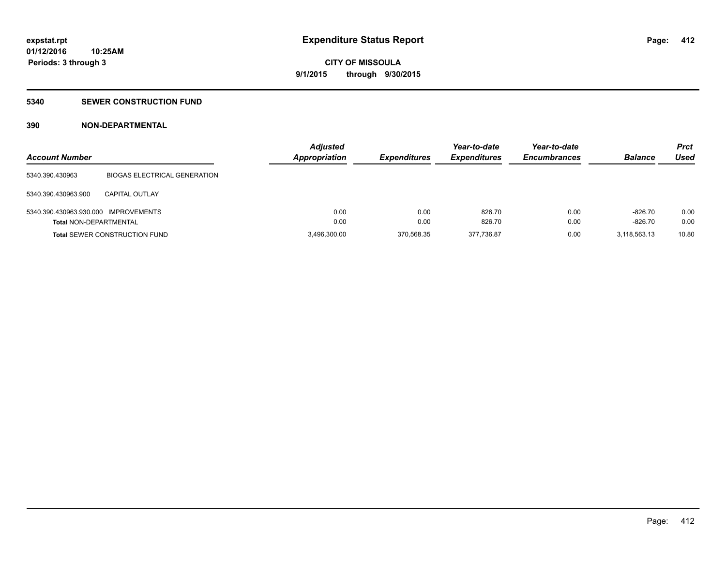### **5340 SEWER CONSTRUCTION FUND**

### **390 NON-DEPARTMENTAL**

| <b>Account Number</b>                |                                      | <b>Adjusted</b><br><b>Appropriation</b> | <b>Expenditures</b> | Year-to-date<br><b>Expenditures</b> | Year-to-date<br><b>Encumbrances</b> | <b>Balance</b> | <b>Prct</b><br>Used |
|--------------------------------------|--------------------------------------|-----------------------------------------|---------------------|-------------------------------------|-------------------------------------|----------------|---------------------|
| 5340.390.430963                      | <b>BIOGAS ELECTRICAL GENERATION</b>  |                                         |                     |                                     |                                     |                |                     |
| 5340.390.430963.900                  | <b>CAPITAL OUTLAY</b>                |                                         |                     |                                     |                                     |                |                     |
| 5340.390.430963.930.000 IMPROVEMENTS |                                      | 0.00                                    | 0.00                | 826.70                              | 0.00                                | $-826.70$      | 0.00                |
| <b>Total NON-DEPARTMENTAL</b>        |                                      | 0.00                                    | 0.00                | 826.70                              | 0.00                                | $-826.70$      | 0.00                |
|                                      | <b>Total SEWER CONSTRUCTION FUND</b> | 3.496.300.00                            | 370.568.35          | 377.736.87                          | 0.00                                | 3.118.563.13   | 10.80               |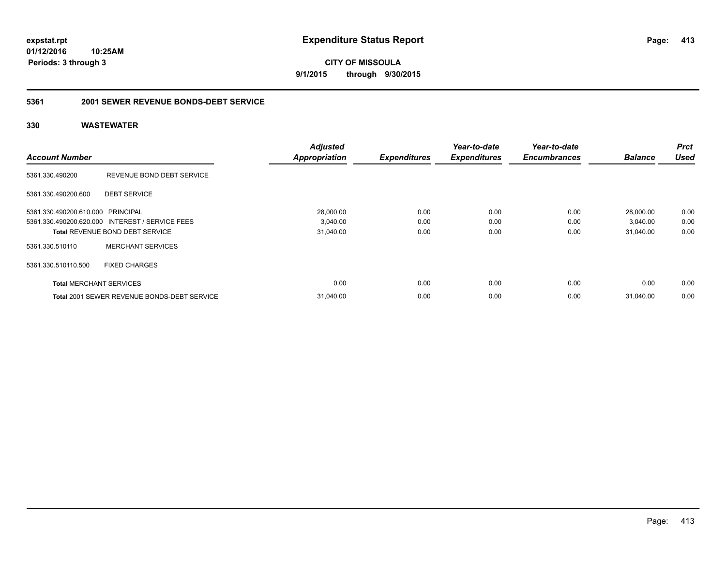**CITY OF MISSOULA 9/1/2015 through 9/30/2015**

#### **5361 2001 SEWER REVENUE BONDS-DEBT SERVICE**

| <b>Account Number</b>             |                                                 | <b>Adjusted</b>      | <b>Expenditures</b> | Year-to-date<br><b>Expenditures</b> | Year-to-date<br><b>Encumbrances</b> | <b>Balance</b> | <b>Prct</b><br><b>Used</b> |
|-----------------------------------|-------------------------------------------------|----------------------|---------------------|-------------------------------------|-------------------------------------|----------------|----------------------------|
|                                   |                                                 | <b>Appropriation</b> |                     |                                     |                                     |                |                            |
| 5361.330.490200                   | REVENUE BOND DEBT SERVICE                       |                      |                     |                                     |                                     |                |                            |
| 5361.330.490200.600               | <b>DEBT SERVICE</b>                             |                      |                     |                                     |                                     |                |                            |
| 5361.330.490200.610.000 PRINCIPAL |                                                 | 28,000.00            | 0.00                | 0.00                                | 0.00                                | 28,000.00      | 0.00                       |
|                                   | 5361.330.490200.620.000 INTEREST / SERVICE FEES | 3,040.00             | 0.00                | 0.00                                | 0.00                                | 3,040.00       | 0.00                       |
|                                   | <b>Total REVENUE BOND DEBT SERVICE</b>          | 31,040.00            | 0.00                | 0.00                                | 0.00                                | 31,040.00      | 0.00                       |
| 5361.330.510110                   | <b>MERCHANT SERVICES</b>                        |                      |                     |                                     |                                     |                |                            |
| 5361.330.510110.500               | <b>FIXED CHARGES</b>                            |                      |                     |                                     |                                     |                |                            |
| <b>Total MERCHANT SERVICES</b>    |                                                 | 0.00                 | 0.00                | 0.00                                | 0.00                                | 0.00           | 0.00                       |
|                                   | Total 2001 SEWER REVENUE BONDS-DEBT SERVICE     | 31.040.00            | 0.00                | 0.00                                | 0.00                                | 31.040.00      | 0.00                       |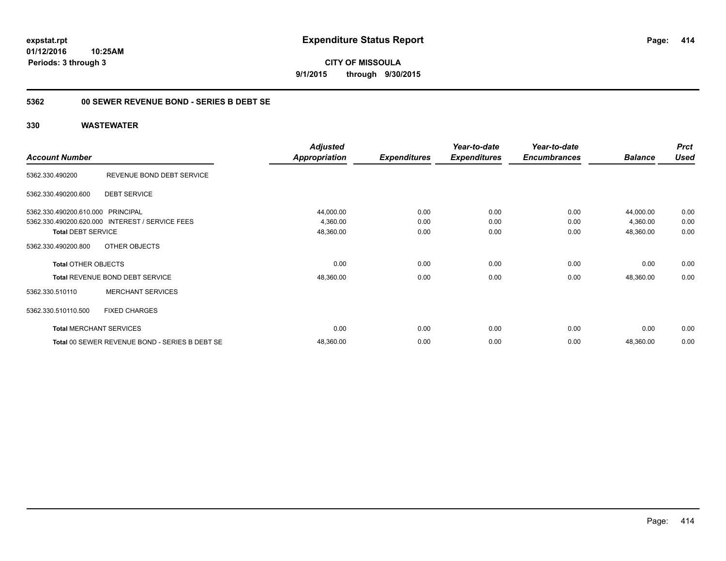**CITY OF MISSOULA 9/1/2015 through 9/30/2015**

### **5362 00 SEWER REVENUE BOND - SERIES B DEBT SE**

|                                   |                                                 | <b>Adjusted</b>      |                     | Year-to-date        | Year-to-date        |                | <b>Prct</b> |
|-----------------------------------|-------------------------------------------------|----------------------|---------------------|---------------------|---------------------|----------------|-------------|
| <b>Account Number</b>             |                                                 | <b>Appropriation</b> | <b>Expenditures</b> | <b>Expenditures</b> | <b>Encumbrances</b> | <b>Balance</b> | <b>Used</b> |
| 5362.330.490200                   | REVENUE BOND DEBT SERVICE                       |                      |                     |                     |                     |                |             |
| 5362.330.490200.600               | <b>DEBT SERVICE</b>                             |                      |                     |                     |                     |                |             |
| 5362.330.490200.610.000 PRINCIPAL |                                                 | 44,000.00            | 0.00                | 0.00                | 0.00                | 44,000.00      | 0.00        |
|                                   | 5362.330.490200.620.000 INTEREST / SERVICE FEES | 4,360.00             | 0.00                | 0.00                | 0.00                | 4,360.00       | 0.00        |
| <b>Total DEBT SERVICE</b>         |                                                 | 48,360.00            | 0.00                | 0.00                | 0.00                | 48,360.00      | 0.00        |
| 5362.330.490200.800               | OTHER OBJECTS                                   |                      |                     |                     |                     |                |             |
| <b>Total OTHER OBJECTS</b>        |                                                 | 0.00                 | 0.00                | 0.00                | 0.00                | 0.00           | 0.00        |
|                                   | <b>Total REVENUE BOND DEBT SERVICE</b>          | 48,360.00            | 0.00                | 0.00                | 0.00                | 48,360.00      | 0.00        |
| 5362.330.510110                   | <b>MERCHANT SERVICES</b>                        |                      |                     |                     |                     |                |             |
| 5362.330.510110.500               | <b>FIXED CHARGES</b>                            |                      |                     |                     |                     |                |             |
|                                   | <b>Total MERCHANT SERVICES</b>                  | 0.00                 | 0.00                | 0.00                | 0.00                | 0.00           | 0.00        |
|                                   | Total 00 SEWER REVENUE BOND - SERIES B DEBT SE  | 48,360.00            | 0.00                | 0.00                | 0.00                | 48,360.00      | 0.00        |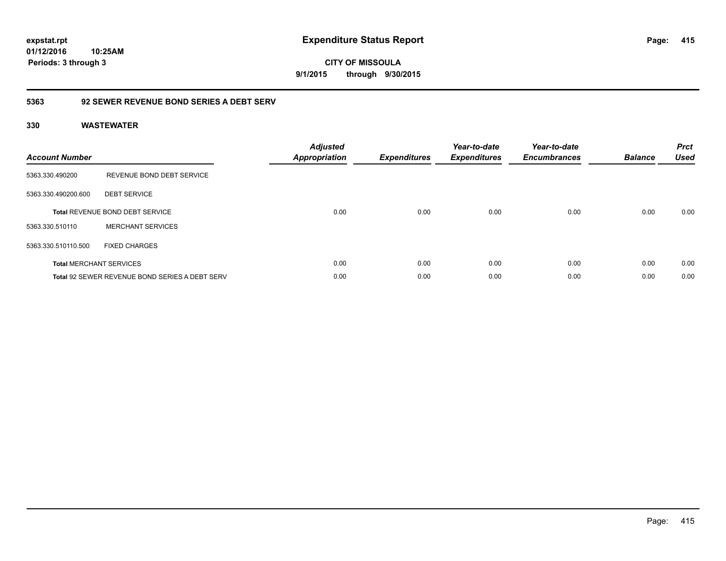**CITY OF MISSOULA 9/1/2015 through 9/30/2015**

### **5363 92 SEWER REVENUE BOND SERIES A DEBT SERV**

| <b>Account Number</b> |                                                       | <b>Adjusted</b><br><b>Appropriation</b> | <b>Expenditures</b> | Year-to-date<br><b>Expenditures</b> | Year-to-date<br><b>Encumbrances</b> | <b>Balance</b> | <b>Prct</b><br><b>Used</b> |
|-----------------------|-------------------------------------------------------|-----------------------------------------|---------------------|-------------------------------------|-------------------------------------|----------------|----------------------------|
| 5363.330.490200       | REVENUE BOND DEBT SERVICE                             |                                         |                     |                                     |                                     |                |                            |
| 5363.330.490200.600   | <b>DEBT SERVICE</b>                                   |                                         |                     |                                     |                                     |                |                            |
|                       | <b>Total REVENUE BOND DEBT SERVICE</b>                | 0.00                                    | 0.00                | 0.00                                | 0.00                                | 0.00           | 0.00                       |
| 5363.330.510110       | <b>MERCHANT SERVICES</b>                              |                                         |                     |                                     |                                     |                |                            |
| 5363.330.510110.500   | <b>FIXED CHARGES</b>                                  |                                         |                     |                                     |                                     |                |                            |
|                       | <b>Total MERCHANT SERVICES</b>                        | 0.00                                    | 0.00                | 0.00                                | 0.00                                | 0.00           | 0.00                       |
|                       | <b>Total 92 SEWER REVENUE BOND SERIES A DEBT SERV</b> | 0.00                                    | 0.00                | 0.00                                | 0.00                                | 0.00           | 0.00                       |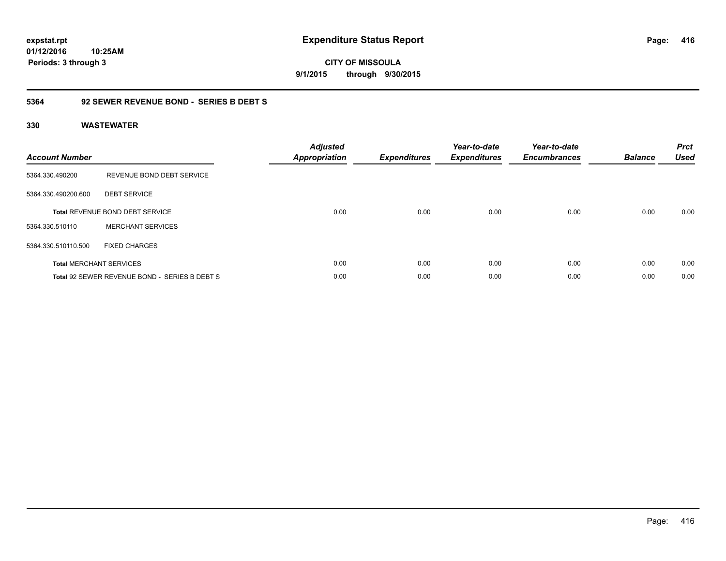**CITY OF MISSOULA 9/1/2015 through 9/30/2015**

### **5364 92 SEWER REVENUE BOND - SERIES B DEBT S**

| <b>Account Number</b> |                                               | <b>Adjusted</b><br><b>Appropriation</b> | <b>Expenditures</b> | Year-to-date<br><b>Expenditures</b> | Year-to-date<br><b>Encumbrances</b> | <b>Balance</b> | <b>Prct</b><br><b>Used</b> |
|-----------------------|-----------------------------------------------|-----------------------------------------|---------------------|-------------------------------------|-------------------------------------|----------------|----------------------------|
| 5364.330.490200       | REVENUE BOND DEBT SERVICE                     |                                         |                     |                                     |                                     |                |                            |
| 5364.330.490200.600   | <b>DEBT SERVICE</b>                           |                                         |                     |                                     |                                     |                |                            |
|                       | <b>Total REVENUE BOND DEBT SERVICE</b>        | 0.00                                    | 0.00                | 0.00                                | 0.00                                | 0.00           | 0.00                       |
| 5364.330.510110       | <b>MERCHANT SERVICES</b>                      |                                         |                     |                                     |                                     |                |                            |
| 5364.330.510110.500   | <b>FIXED CHARGES</b>                          |                                         |                     |                                     |                                     |                |                            |
|                       | <b>Total MERCHANT SERVICES</b>                | 0.00                                    | 0.00                | 0.00                                | 0.00                                | 0.00           | 0.00                       |
|                       | Total 92 SEWER REVENUE BOND - SERIES B DEBT S | 0.00                                    | 0.00                | 0.00                                | 0.00                                | 0.00           | 0.00                       |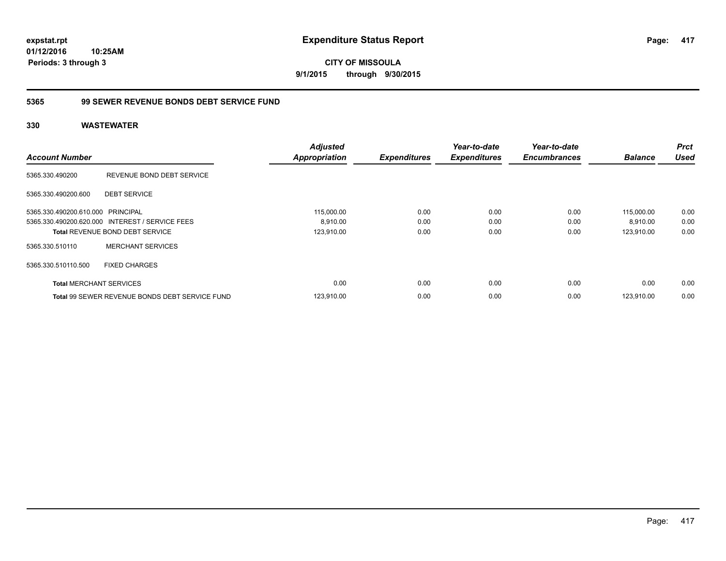**CITY OF MISSOULA 9/1/2015 through 9/30/2015**

### **5365 99 SEWER REVENUE BONDS DEBT SERVICE FUND**

|                                   |                                                       | <b>Adjusted</b>      |                     | Year-to-date        | Year-to-date        |                | <b>Prct</b> |
|-----------------------------------|-------------------------------------------------------|----------------------|---------------------|---------------------|---------------------|----------------|-------------|
| <b>Account Number</b>             |                                                       | <b>Appropriation</b> | <b>Expenditures</b> | <b>Expenditures</b> | <b>Encumbrances</b> | <b>Balance</b> | <b>Used</b> |
| 5365.330.490200                   | REVENUE BOND DEBT SERVICE                             |                      |                     |                     |                     |                |             |
| 5365.330.490200.600               | <b>DEBT SERVICE</b>                                   |                      |                     |                     |                     |                |             |
| 5365.330.490200.610.000 PRINCIPAL |                                                       | 115,000.00           | 0.00                | 0.00                | 0.00                | 115,000.00     | 0.00        |
|                                   | 5365.330.490200.620.000 INTEREST / SERVICE FEES       | 8,910.00             | 0.00                | 0.00                | 0.00                | 8,910.00       | 0.00        |
|                                   | <b>Total REVENUE BOND DEBT SERVICE</b>                | 123,910.00           | 0.00                | 0.00                | 0.00                | 123.910.00     | 0.00        |
| 5365.330.510110                   | <b>MERCHANT SERVICES</b>                              |                      |                     |                     |                     |                |             |
| 5365.330.510110.500               | <b>FIXED CHARGES</b>                                  |                      |                     |                     |                     |                |             |
| <b>Total MERCHANT SERVICES</b>    |                                                       | 0.00                 | 0.00                | 0.00                | 0.00                | 0.00           | 0.00        |
|                                   | <b>Total 99 SEWER REVENUE BONDS DEBT SERVICE FUND</b> | 123.910.00           | 0.00                | 0.00                | 0.00                | 123.910.00     | 0.00        |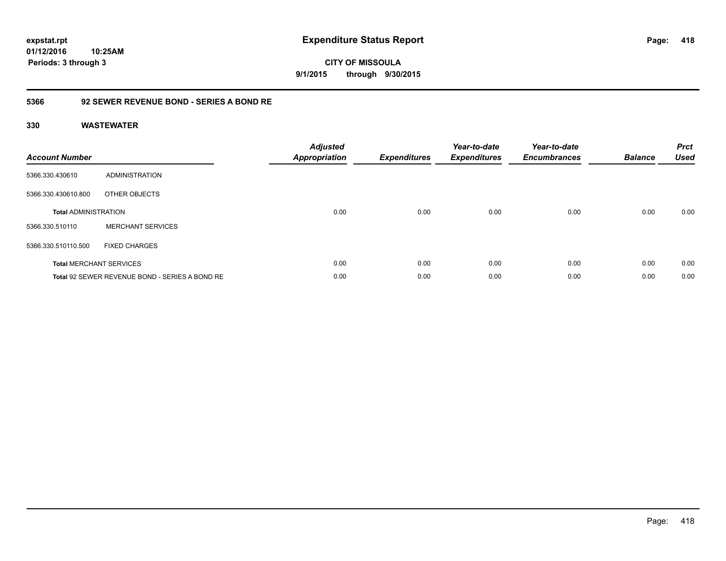**CITY OF MISSOULA 9/1/2015 through 9/30/2015**

### **5366 92 SEWER REVENUE BOND - SERIES A BOND RE**

| <b>Account Number</b>       |                                                | <b>Adjusted</b><br><b>Appropriation</b> | <b>Expenditures</b> | Year-to-date<br><b>Expenditures</b> | Year-to-date<br><b>Encumbrances</b> | <b>Balance</b> | <b>Prct</b><br><b>Used</b> |
|-----------------------------|------------------------------------------------|-----------------------------------------|---------------------|-------------------------------------|-------------------------------------|----------------|----------------------------|
| 5366.330.430610             | ADMINISTRATION                                 |                                         |                     |                                     |                                     |                |                            |
| 5366.330.430610.800         | OTHER OBJECTS                                  |                                         |                     |                                     |                                     |                |                            |
| <b>Total ADMINISTRATION</b> |                                                | 0.00                                    | 0.00                | 0.00                                | 0.00                                | 0.00           | 0.00                       |
| 5366.330.510110             | <b>MERCHANT SERVICES</b>                       |                                         |                     |                                     |                                     |                |                            |
| 5366.330.510110.500         | <b>FIXED CHARGES</b>                           |                                         |                     |                                     |                                     |                |                            |
|                             | <b>Total MERCHANT SERVICES</b>                 | 0.00                                    | 0.00                | 0.00                                | 0.00                                | 0.00           | 0.00                       |
|                             | Total 92 SEWER REVENUE BOND - SERIES A BOND RE | 0.00                                    | 0.00                | 0.00                                | 0.00                                | 0.00           | 0.00                       |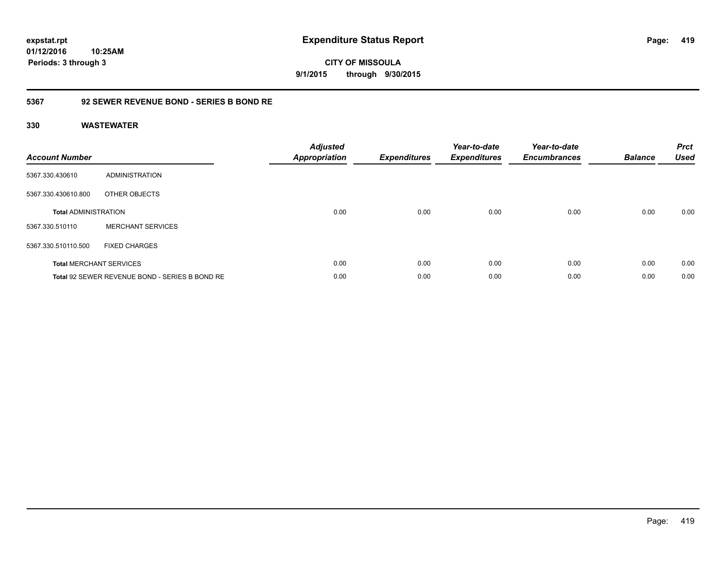**CITY OF MISSOULA 9/1/2015 through 9/30/2015**

### **5367 92 SEWER REVENUE BOND - SERIES B BOND RE**

| <b>Account Number</b>       |                                                | <b>Adjusted</b><br><b>Appropriation</b> | <b>Expenditures</b> | Year-to-date<br><b>Expenditures</b> | Year-to-date<br><b>Encumbrances</b> | <b>Balance</b> | <b>Prct</b><br><b>Used</b> |
|-----------------------------|------------------------------------------------|-----------------------------------------|---------------------|-------------------------------------|-------------------------------------|----------------|----------------------------|
| 5367.330.430610             | ADMINISTRATION                                 |                                         |                     |                                     |                                     |                |                            |
| 5367.330.430610.800         | OTHER OBJECTS                                  |                                         |                     |                                     |                                     |                |                            |
| <b>Total ADMINISTRATION</b> |                                                | 0.00                                    | 0.00                | 0.00                                | 0.00                                | 0.00           | 0.00                       |
| 5367.330.510110             | <b>MERCHANT SERVICES</b>                       |                                         |                     |                                     |                                     |                |                            |
| 5367.330.510110.500         | <b>FIXED CHARGES</b>                           |                                         |                     |                                     |                                     |                |                            |
|                             | <b>Total MERCHANT SERVICES</b>                 | 0.00                                    | 0.00                | 0.00                                | 0.00                                | 0.00           | 0.00                       |
|                             | Total 92 SEWER REVENUE BOND - SERIES B BOND RE | 0.00                                    | 0.00                | 0.00                                | 0.00                                | 0.00           | 0.00                       |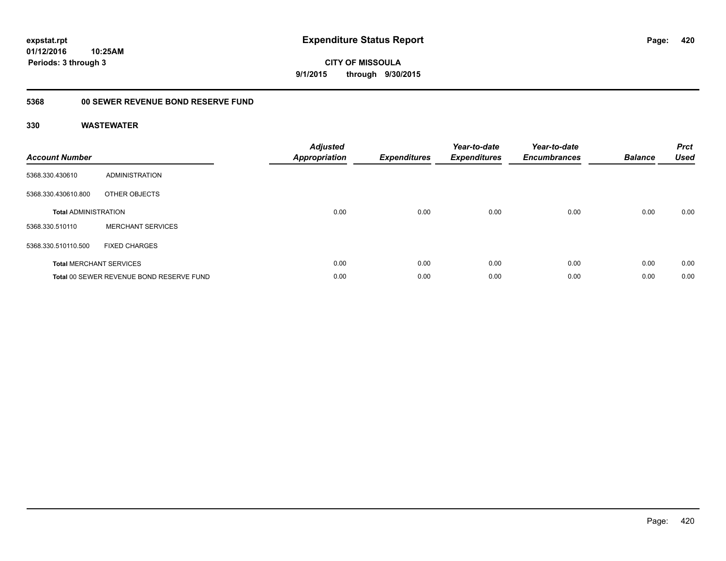**CITY OF MISSOULA 9/1/2015 through 9/30/2015**

## **5368 00 SEWER REVENUE BOND RESERVE FUND**

| <b>Account Number</b>       |                                          | <b>Adjusted</b><br>Appropriation | <b>Expenditures</b> | Year-to-date<br><b>Expenditures</b> | Year-to-date<br><b>Encumbrances</b> | <b>Balance</b> | <b>Prct</b><br><b>Used</b> |
|-----------------------------|------------------------------------------|----------------------------------|---------------------|-------------------------------------|-------------------------------------|----------------|----------------------------|
| 5368.330.430610             | <b>ADMINISTRATION</b>                    |                                  |                     |                                     |                                     |                |                            |
| 5368.330.430610.800         | OTHER OBJECTS                            |                                  |                     |                                     |                                     |                |                            |
| <b>Total ADMINISTRATION</b> |                                          | 0.00                             | 0.00                | 0.00                                | 0.00                                | 0.00           | 0.00                       |
| 5368.330.510110             | <b>MERCHANT SERVICES</b>                 |                                  |                     |                                     |                                     |                |                            |
| 5368.330.510110.500         | <b>FIXED CHARGES</b>                     |                                  |                     |                                     |                                     |                |                            |
|                             | <b>Total MERCHANT SERVICES</b>           | 0.00                             | 0.00                | 0.00                                | 0.00                                | 0.00           | 0.00                       |
|                             | Total 00 SEWER REVENUE BOND RESERVE FUND | 0.00                             | 0.00                | 0.00                                | 0.00                                | 0.00           | 0.00                       |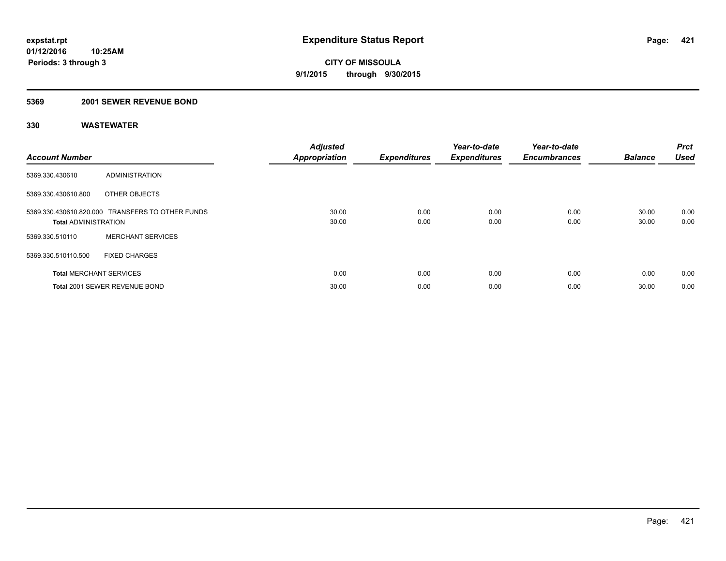#### **5369 2001 SEWER REVENUE BOND**

| <b>Account Number</b>          |                                                  | <b>Adjusted</b><br><b>Appropriation</b> | <b>Expenditures</b> | Year-to-date<br><b>Expenditures</b> | Year-to-date<br><b>Encumbrances</b> | <b>Balance</b> | Prct<br><b>Used</b> |
|--------------------------------|--------------------------------------------------|-----------------------------------------|---------------------|-------------------------------------|-------------------------------------|----------------|---------------------|
| 5369.330.430610                | ADMINISTRATION                                   |                                         |                     |                                     |                                     |                |                     |
| 5369.330.430610.800            | OTHER OBJECTS                                    |                                         |                     |                                     |                                     |                |                     |
| <b>Total ADMINISTRATION</b>    | 5369.330.430610.820.000 TRANSFERS TO OTHER FUNDS | 30.00<br>30.00                          | 0.00<br>0.00        | 0.00<br>0.00                        | 0.00<br>0.00                        | 30.00<br>30.00 | 0.00<br>0.00        |
| 5369.330.510110                | <b>MERCHANT SERVICES</b>                         |                                         |                     |                                     |                                     |                |                     |
| 5369.330.510110.500            | <b>FIXED CHARGES</b>                             |                                         |                     |                                     |                                     |                |                     |
| <b>Total MERCHANT SERVICES</b> |                                                  | 0.00                                    | 0.00                | 0.00                                | 0.00                                | 0.00           | 0.00                |
|                                | Total 2001 SEWER REVENUE BOND                    | 30.00                                   | 0.00                | 0.00                                | 0.00                                | 30.00          | 0.00                |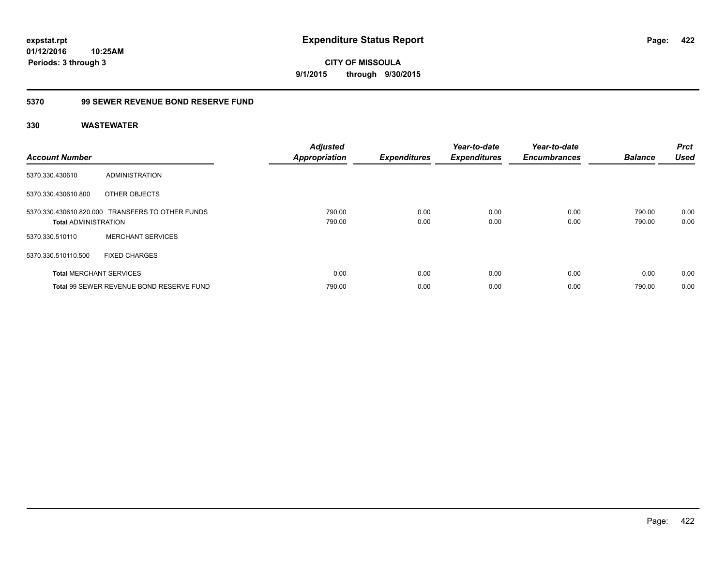**CITY OF MISSOULA 9/1/2015 through 9/30/2015**

### **5370 99 SEWER REVENUE BOND RESERVE FUND**

| <b>Account Number</b>          |                                                  | <b>Adjusted</b><br><b>Appropriation</b> | <b>Expenditures</b> | Year-to-date<br><b>Expenditures</b> | Year-to-date<br><b>Encumbrances</b> | <b>Balance</b>   | <b>Prct</b><br><b>Used</b> |
|--------------------------------|--------------------------------------------------|-----------------------------------------|---------------------|-------------------------------------|-------------------------------------|------------------|----------------------------|
| 5370.330.430610                | ADMINISTRATION                                   |                                         |                     |                                     |                                     |                  |                            |
| 5370.330.430610.800            | OTHER OBJECTS                                    |                                         |                     |                                     |                                     |                  |                            |
| <b>Total ADMINISTRATION</b>    | 5370.330.430610.820.000 TRANSFERS TO OTHER FUNDS | 790.00<br>790.00                        | 0.00<br>0.00        | 0.00<br>0.00                        | 0.00<br>0.00                        | 790.00<br>790.00 | 0.00<br>0.00               |
| 5370.330.510110                | <b>MERCHANT SERVICES</b>                         |                                         |                     |                                     |                                     |                  |                            |
| 5370.330.510110.500            | <b>FIXED CHARGES</b>                             |                                         |                     |                                     |                                     |                  |                            |
| <b>Total MERCHANT SERVICES</b> |                                                  | 0.00                                    | 0.00                | 0.00                                | 0.00                                | 0.00             | 0.00                       |
|                                | Total 99 SEWER REVENUE BOND RESERVE FUND         | 790.00                                  | 0.00                | 0.00                                | 0.00                                | 790.00           | 0.00                       |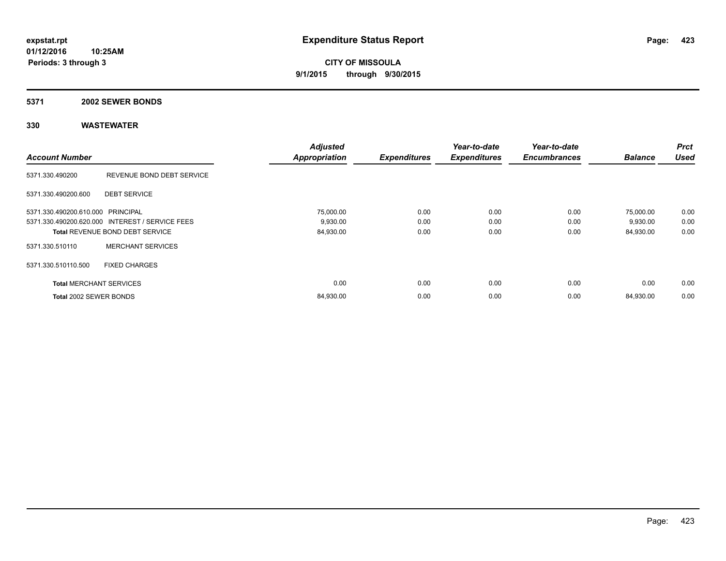#### **5371 2002 SEWER BONDS**

| <b>Account Number</b>             |                                                 | <b>Adjusted</b><br><b>Appropriation</b> | <b>Expenditures</b> | Year-to-date<br><b>Expenditures</b> | Year-to-date<br><b>Encumbrances</b> | <b>Balance</b> | <b>Prct</b><br><b>Used</b> |
|-----------------------------------|-------------------------------------------------|-----------------------------------------|---------------------|-------------------------------------|-------------------------------------|----------------|----------------------------|
|                                   |                                                 |                                         |                     |                                     |                                     |                |                            |
| 5371.330.490200                   | REVENUE BOND DEBT SERVICE                       |                                         |                     |                                     |                                     |                |                            |
| 5371.330.490200.600               | <b>DEBT SERVICE</b>                             |                                         |                     |                                     |                                     |                |                            |
| 5371.330.490200.610.000 PRINCIPAL |                                                 | 75,000.00                               | 0.00                | 0.00                                | 0.00                                | 75,000.00      | 0.00                       |
|                                   | 5371.330.490200.620.000 INTEREST / SERVICE FEES | 9,930.00                                | 0.00                | 0.00                                | 0.00                                | 9,930.00       | 0.00                       |
|                                   | <b>Total REVENUE BOND DEBT SERVICE</b>          | 84,930.00                               | 0.00                | 0.00                                | 0.00                                | 84,930.00      | 0.00                       |
| 5371.330.510110                   | <b>MERCHANT SERVICES</b>                        |                                         |                     |                                     |                                     |                |                            |
| 5371.330.510110.500               | <b>FIXED CHARGES</b>                            |                                         |                     |                                     |                                     |                |                            |
| <b>Total MERCHANT SERVICES</b>    |                                                 | 0.00                                    | 0.00                | 0.00                                | 0.00                                | 0.00           | 0.00                       |
| Total 2002 SEWER BONDS            |                                                 | 84,930.00                               | 0.00                | 0.00                                | 0.00                                | 84,930.00      | 0.00                       |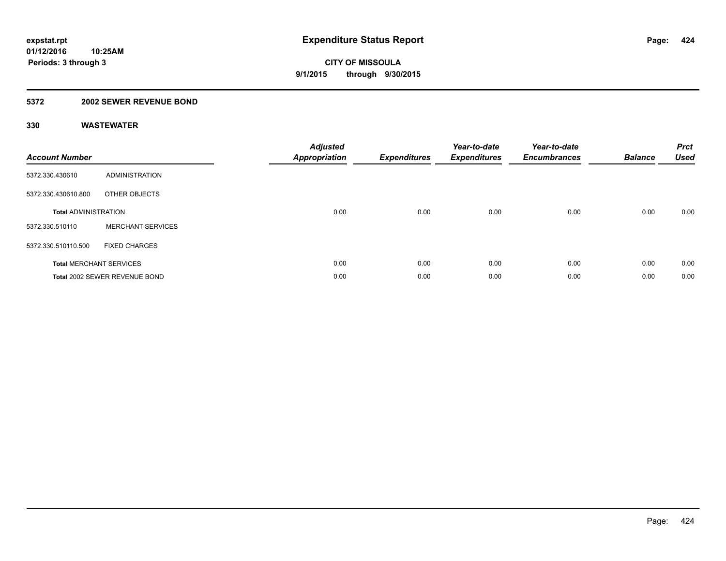### **5372 2002 SEWER REVENUE BOND**

| <b>Account Number</b>       |                                | <b>Adjusted</b><br><b>Appropriation</b> | <b>Expenditures</b> | Year-to-date<br><b>Expenditures</b> | Year-to-date<br><b>Encumbrances</b> | <b>Balance</b> | <b>Prct</b><br><b>Used</b> |
|-----------------------------|--------------------------------|-----------------------------------------|---------------------|-------------------------------------|-------------------------------------|----------------|----------------------------|
| 5372.330.430610             | <b>ADMINISTRATION</b>          |                                         |                     |                                     |                                     |                |                            |
| 5372.330.430610.800         | OTHER OBJECTS                  |                                         |                     |                                     |                                     |                |                            |
| <b>Total ADMINISTRATION</b> |                                | 0.00                                    | 0.00                | 0.00                                | 0.00                                | 0.00           | 0.00                       |
| 5372.330.510110             | <b>MERCHANT SERVICES</b>       |                                         |                     |                                     |                                     |                |                            |
| 5372.330.510110.500         | <b>FIXED CHARGES</b>           |                                         |                     |                                     |                                     |                |                            |
|                             | <b>Total MERCHANT SERVICES</b> | 0.00                                    | 0.00                | 0.00                                | 0.00                                | 0.00           | 0.00                       |
|                             | Total 2002 SEWER REVENUE BOND  | 0.00                                    | 0.00                | 0.00                                | 0.00                                | 0.00           | 0.00                       |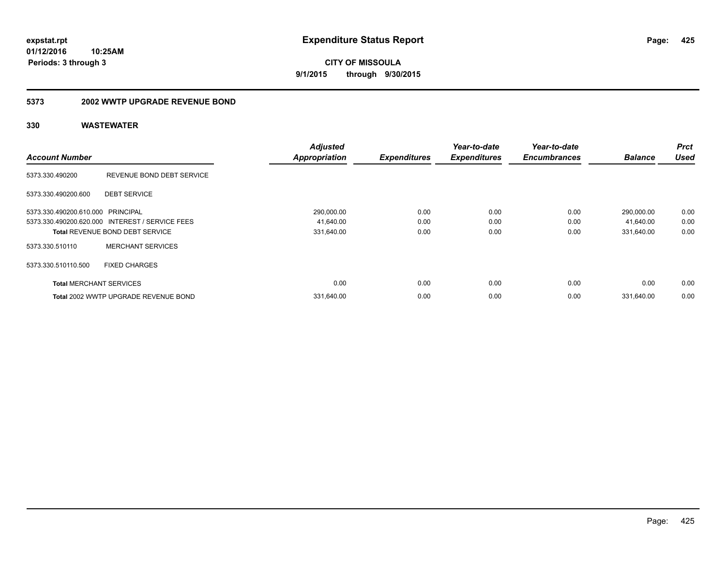**CITY OF MISSOULA 9/1/2015 through 9/30/2015**

#### **5373 2002 WWTP UPGRADE REVENUE BOND**

| <b>Account Number</b>             |                                                 | <b>Adjusted</b><br><b>Appropriation</b> | <b>Expenditures</b> | Year-to-date<br><b>Expenditures</b> | Year-to-date<br><b>Encumbrances</b> | <b>Balance</b> | <b>Prct</b><br><b>Used</b> |
|-----------------------------------|-------------------------------------------------|-----------------------------------------|---------------------|-------------------------------------|-------------------------------------|----------------|----------------------------|
| 5373.330.490200                   | REVENUE BOND DEBT SERVICE                       |                                         |                     |                                     |                                     |                |                            |
| 5373.330.490200.600               | <b>DEBT SERVICE</b>                             |                                         |                     |                                     |                                     |                |                            |
| 5373.330.490200.610.000 PRINCIPAL |                                                 | 290,000.00                              | 0.00                | 0.00                                | 0.00                                | 290,000.00     | 0.00                       |
|                                   | 5373.330.490200.620.000 INTEREST / SERVICE FEES | 41,640.00                               | 0.00                | 0.00                                | 0.00                                | 41,640.00      | 0.00                       |
|                                   | <b>Total REVENUE BOND DEBT SERVICE</b>          | 331,640.00                              | 0.00                | 0.00                                | 0.00                                | 331,640.00     | 0.00                       |
| 5373.330.510110                   | <b>MERCHANT SERVICES</b>                        |                                         |                     |                                     |                                     |                |                            |
| 5373.330.510110.500               | <b>FIXED CHARGES</b>                            |                                         |                     |                                     |                                     |                |                            |
| <b>Total MERCHANT SERVICES</b>    |                                                 | 0.00                                    | 0.00                | 0.00                                | 0.00                                | 0.00           | 0.00                       |
|                                   | Total 2002 WWTP UPGRADE REVENUE BOND            | 331,640.00                              | 0.00                | 0.00                                | 0.00                                | 331.640.00     | 0.00                       |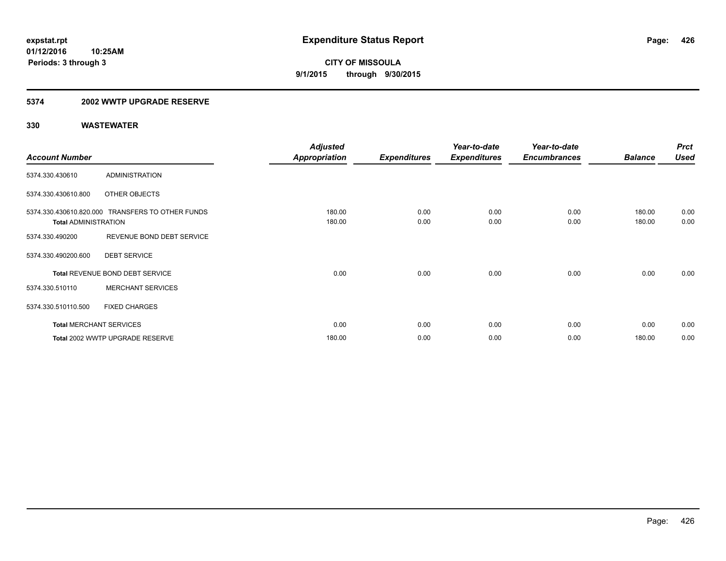#### **5374 2002 WWTP UPGRADE RESERVE**

|                             |                                                  | <b>Adjusted</b>      |                     | Year-to-date        | Year-to-date        |                | <b>Prct</b> |
|-----------------------------|--------------------------------------------------|----------------------|---------------------|---------------------|---------------------|----------------|-------------|
| <b>Account Number</b>       |                                                  | <b>Appropriation</b> | <b>Expenditures</b> | <b>Expenditures</b> | <b>Encumbrances</b> | <b>Balance</b> | <b>Used</b> |
| 5374.330.430610             | <b>ADMINISTRATION</b>                            |                      |                     |                     |                     |                |             |
| 5374.330.430610.800         | OTHER OBJECTS                                    |                      |                     |                     |                     |                |             |
|                             | 5374.330.430610.820.000 TRANSFERS TO OTHER FUNDS | 180.00               | 0.00                | 0.00                | 0.00                | 180.00         | 0.00        |
| <b>Total ADMINISTRATION</b> |                                                  | 180.00               | 0.00                | 0.00                | 0.00                | 180.00         | 0.00        |
| 5374.330.490200             | REVENUE BOND DEBT SERVICE                        |                      |                     |                     |                     |                |             |
| 5374.330.490200.600         | <b>DEBT SERVICE</b>                              |                      |                     |                     |                     |                |             |
|                             | Total REVENUE BOND DEBT SERVICE                  | 0.00                 | 0.00                | 0.00                | 0.00                | 0.00           | 0.00        |
| 5374.330.510110             | <b>MERCHANT SERVICES</b>                         |                      |                     |                     |                     |                |             |
| 5374.330.510110.500         | <b>FIXED CHARGES</b>                             |                      |                     |                     |                     |                |             |
|                             | <b>Total MERCHANT SERVICES</b>                   | 0.00                 | 0.00                | 0.00                | 0.00                | 0.00           | 0.00        |
|                             | Total 2002 WWTP UPGRADE RESERVE                  | 180.00               | 0.00                | 0.00                | 0.00                | 180.00         | 0.00        |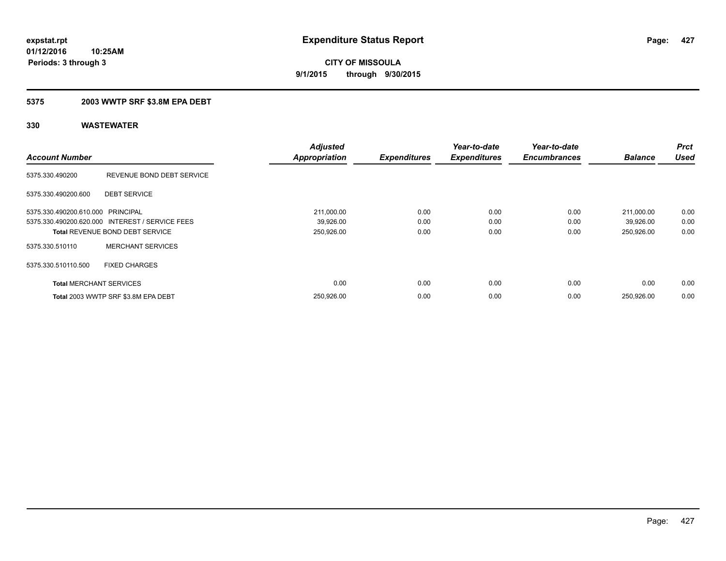### **5375 2003 WWTP SRF \$3.8M EPA DEBT**

|                                   |                                                 | <b>Adjusted</b>      |                     | Year-to-date        | Year-to-date        |                | <b>Prct</b> |
|-----------------------------------|-------------------------------------------------|----------------------|---------------------|---------------------|---------------------|----------------|-------------|
| <b>Account Number</b>             |                                                 | <b>Appropriation</b> | <b>Expenditures</b> | <b>Expenditures</b> | <b>Encumbrances</b> | <b>Balance</b> | <b>Used</b> |
| 5375.330.490200                   | REVENUE BOND DEBT SERVICE                       |                      |                     |                     |                     |                |             |
| 5375.330.490200.600               | <b>DEBT SERVICE</b>                             |                      |                     |                     |                     |                |             |
| 5375.330.490200.610.000 PRINCIPAL |                                                 | 211,000.00           | 0.00                | 0.00                | 0.00                | 211.000.00     | 0.00        |
|                                   | 5375.330.490200.620.000 INTEREST / SERVICE FEES | 39,926.00            | 0.00                | 0.00                | 0.00                | 39,926.00      | 0.00        |
|                                   | <b>Total REVENUE BOND DEBT SERVICE</b>          | 250,926.00           | 0.00                | 0.00                | 0.00                | 250,926.00     | 0.00        |
| 5375.330.510110                   | <b>MERCHANT SERVICES</b>                        |                      |                     |                     |                     |                |             |
| 5375.330.510110.500               | <b>FIXED CHARGES</b>                            |                      |                     |                     |                     |                |             |
| <b>Total MERCHANT SERVICES</b>    |                                                 | 0.00                 | 0.00                | 0.00                | 0.00                | 0.00           | 0.00        |
|                                   | Total 2003 WWTP SRF \$3.8M EPA DEBT             | 250,926.00           | 0.00                | 0.00                | 0.00                | 250,926.00     | 0.00        |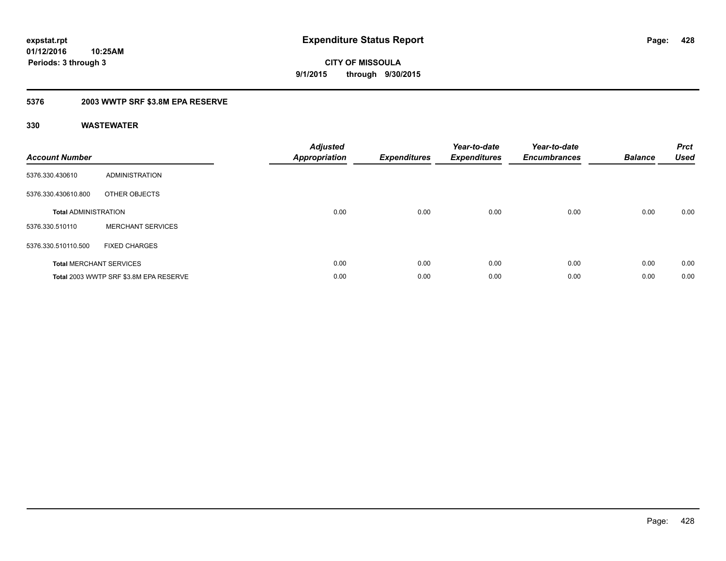**Periods: 3 through 3**

**CITY OF MISSOULA 9/1/2015 through 9/30/2015**

### **5376 2003 WWTP SRF \$3.8M EPA RESERVE**

**10:25AM**

| <b>Account Number</b>          |                                        | <b>Adjusted</b><br><b>Appropriation</b> | <b>Expenditures</b> | Year-to-date<br><b>Expenditures</b> | Year-to-date<br><b>Encumbrances</b> | <b>Balance</b> | <b>Prct</b><br><b>Used</b> |
|--------------------------------|----------------------------------------|-----------------------------------------|---------------------|-------------------------------------|-------------------------------------|----------------|----------------------------|
| 5376.330.430610                | ADMINISTRATION                         |                                         |                     |                                     |                                     |                |                            |
| 5376.330.430610.800            | OTHER OBJECTS                          |                                         |                     |                                     |                                     |                |                            |
| <b>Total ADMINISTRATION</b>    |                                        | 0.00                                    | 0.00                | 0.00                                | 0.00                                | 0.00           | 0.00                       |
| 5376.330.510110                | <b>MERCHANT SERVICES</b>               |                                         |                     |                                     |                                     |                |                            |
| 5376.330.510110.500            | <b>FIXED CHARGES</b>                   |                                         |                     |                                     |                                     |                |                            |
| <b>Total MERCHANT SERVICES</b> |                                        | 0.00                                    | 0.00                | 0.00                                | 0.00                                | 0.00           | 0.00                       |
|                                | Total 2003 WWTP SRF \$3.8M EPA RESERVE | 0.00                                    | 0.00                | 0.00                                | 0.00                                | 0.00           | 0.00                       |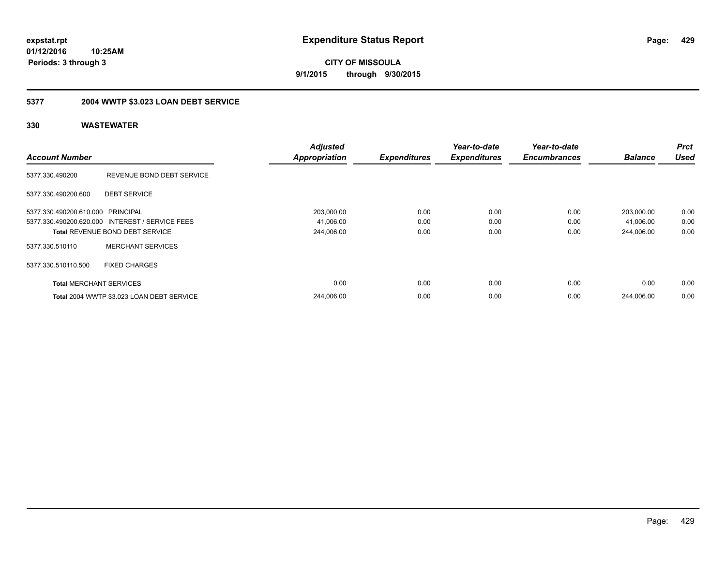**CITY OF MISSOULA 9/1/2015 through 9/30/2015**

## **5377 2004 WWTP \$3.023 LOAN DEBT SERVICE**

|                                   |                                                 | <b>Adjusted</b>      |                     | Year-to-date        | Year-to-date        |                | <b>Prct</b> |
|-----------------------------------|-------------------------------------------------|----------------------|---------------------|---------------------|---------------------|----------------|-------------|
| <b>Account Number</b>             |                                                 | <b>Appropriation</b> | <b>Expenditures</b> | <b>Expenditures</b> | <b>Encumbrances</b> | <b>Balance</b> | <b>Used</b> |
| 5377.330.490200                   | REVENUE BOND DEBT SERVICE                       |                      |                     |                     |                     |                |             |
| 5377.330.490200.600               | <b>DEBT SERVICE</b>                             |                      |                     |                     |                     |                |             |
| 5377.330.490200.610.000 PRINCIPAL |                                                 | 203,000.00           | 0.00                | 0.00                | 0.00                | 203,000.00     | 0.00        |
|                                   | 5377.330.490200.620.000 INTEREST / SERVICE FEES | 41,006.00            | 0.00                | 0.00                | 0.00                | 41,006.00      | 0.00        |
|                                   | <b>Total REVENUE BOND DEBT SERVICE</b>          | 244,006.00           | 0.00                | 0.00                | 0.00                | 244,006.00     | 0.00        |
| 5377.330.510110                   | <b>MERCHANT SERVICES</b>                        |                      |                     |                     |                     |                |             |
| 5377.330.510110.500               | <b>FIXED CHARGES</b>                            |                      |                     |                     |                     |                |             |
| <b>Total MERCHANT SERVICES</b>    |                                                 | 0.00                 | 0.00                | 0.00                | 0.00                | 0.00           | 0.00        |
|                                   | Total 2004 WWTP \$3.023 LOAN DEBT SERVICE       | 244,006.00           | 0.00                | 0.00                | 0.00                | 244.006.00     | 0.00        |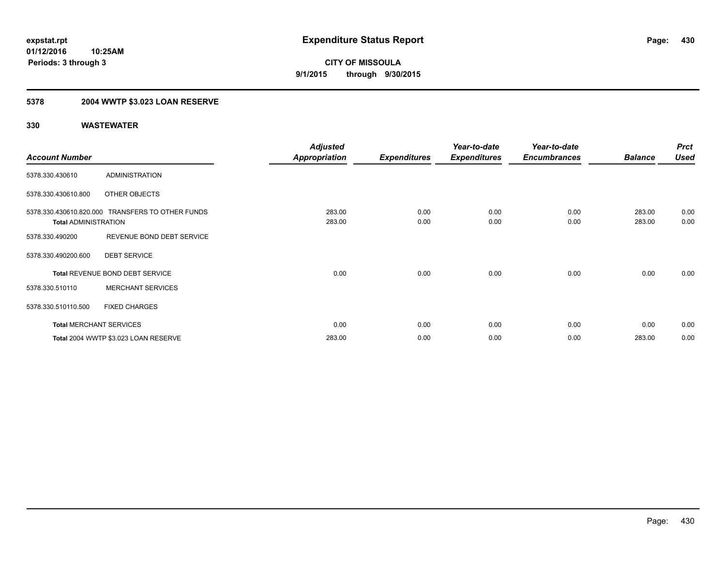## **5378 2004 WWTP \$3.023 LOAN RESERVE**

|                             |                                                  | <b>Adjusted</b>      |                     | Year-to-date        | Year-to-date        |                | <b>Prct</b> |
|-----------------------------|--------------------------------------------------|----------------------|---------------------|---------------------|---------------------|----------------|-------------|
| <b>Account Number</b>       |                                                  | <b>Appropriation</b> | <b>Expenditures</b> | <b>Expenditures</b> | <b>Encumbrances</b> | <b>Balance</b> | <b>Used</b> |
| 5378.330.430610             | <b>ADMINISTRATION</b>                            |                      |                     |                     |                     |                |             |
| 5378.330.430610.800         | OTHER OBJECTS                                    |                      |                     |                     |                     |                |             |
|                             | 5378.330.430610.820.000 TRANSFERS TO OTHER FUNDS | 283.00               | 0.00                | 0.00                | 0.00                | 283.00         | 0.00        |
| <b>Total ADMINISTRATION</b> |                                                  | 283.00               | 0.00                | 0.00                | 0.00                | 283.00         | 0.00        |
| 5378.330.490200             | REVENUE BOND DEBT SERVICE                        |                      |                     |                     |                     |                |             |
| 5378.330.490200.600         | <b>DEBT SERVICE</b>                              |                      |                     |                     |                     |                |             |
|                             | <b>Total REVENUE BOND DEBT SERVICE</b>           | 0.00                 | 0.00                | 0.00                | 0.00                | 0.00           | 0.00        |
| 5378.330.510110             | <b>MERCHANT SERVICES</b>                         |                      |                     |                     |                     |                |             |
| 5378.330.510110.500         | <b>FIXED CHARGES</b>                             |                      |                     |                     |                     |                |             |
|                             | <b>Total MERCHANT SERVICES</b>                   | 0.00                 | 0.00                | 0.00                | 0.00                | 0.00           | 0.00        |
|                             | Total 2004 WWTP \$3.023 LOAN RESERVE             | 283.00               | 0.00                | 0.00                | 0.00                | 283.00         | 0.00        |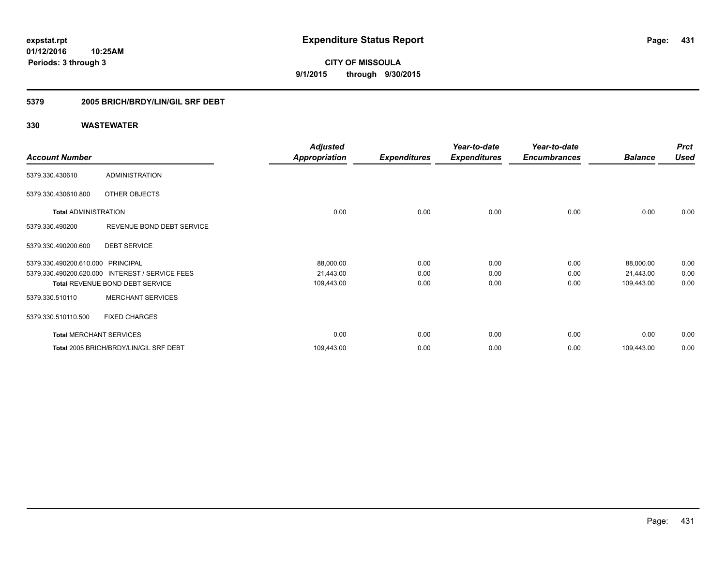**431**

**01/12/2016 10:25AM Periods: 3 through 3**

**CITY OF MISSOULA 9/1/2015 through 9/30/2015**

### **5379 2005 BRICH/BRDY/LIN/GIL SRF DEBT**

|                                   |                                                 | <b>Adjusted</b>      |                     | Year-to-date        | Year-to-date        |                | <b>Prct</b> |
|-----------------------------------|-------------------------------------------------|----------------------|---------------------|---------------------|---------------------|----------------|-------------|
| <b>Account Number</b>             |                                                 | <b>Appropriation</b> | <b>Expenditures</b> | <b>Expenditures</b> | <b>Encumbrances</b> | <b>Balance</b> | <b>Used</b> |
| 5379.330.430610                   | <b>ADMINISTRATION</b>                           |                      |                     |                     |                     |                |             |
| 5379.330.430610.800               | OTHER OBJECTS                                   |                      |                     |                     |                     |                |             |
| <b>Total ADMINISTRATION</b>       |                                                 | 0.00                 | 0.00                | 0.00                | 0.00                | 0.00           | 0.00        |
| 5379.330.490200                   | REVENUE BOND DEBT SERVICE                       |                      |                     |                     |                     |                |             |
| 5379.330.490200.600               | <b>DEBT SERVICE</b>                             |                      |                     |                     |                     |                |             |
| 5379.330.490200.610.000 PRINCIPAL |                                                 | 88,000.00            | 0.00                | 0.00                | 0.00                | 88,000.00      | 0.00        |
|                                   | 5379.330.490200.620.000 INTEREST / SERVICE FEES | 21,443.00            | 0.00                | 0.00                | 0.00                | 21,443.00      | 0.00        |
|                                   | Total REVENUE BOND DEBT SERVICE                 | 109,443.00           | 0.00                | 0.00                | 0.00                | 109,443.00     | 0.00        |
| 5379.330.510110                   | <b>MERCHANT SERVICES</b>                        |                      |                     |                     |                     |                |             |
| 5379.330.510110.500               | <b>FIXED CHARGES</b>                            |                      |                     |                     |                     |                |             |
| <b>Total MERCHANT SERVICES</b>    |                                                 | 0.00                 | 0.00                | 0.00                | 0.00                | 0.00           | 0.00        |
|                                   | Total 2005 BRICH/BRDY/LIN/GIL SRF DEBT          | 109,443.00           | 0.00                | 0.00                | 0.00                | 109,443.00     | 0.00        |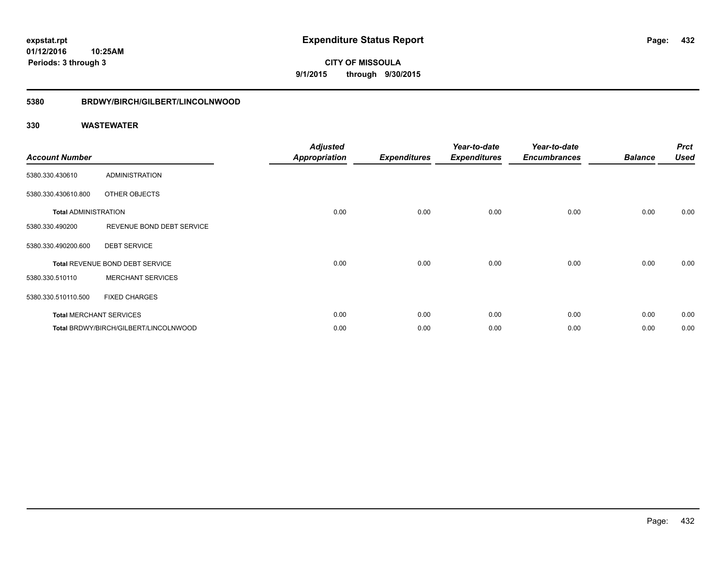**CITY OF MISSOULA 9/1/2015 through 9/30/2015**

### **5380 BRDWY/BIRCH/GILBERT/LINCOLNWOOD**

| <b>Account Number</b>       |                                       | <b>Adjusted</b><br><b>Appropriation</b> | <b>Expenditures</b> | Year-to-date<br><b>Expenditures</b> | Year-to-date<br><b>Encumbrances</b> | <b>Balance</b> | <b>Prct</b><br><b>Used</b> |
|-----------------------------|---------------------------------------|-----------------------------------------|---------------------|-------------------------------------|-------------------------------------|----------------|----------------------------|
| 5380.330.430610             | ADMINISTRATION                        |                                         |                     |                                     |                                     |                |                            |
| 5380.330.430610.800         | OTHER OBJECTS                         |                                         |                     |                                     |                                     |                |                            |
| <b>Total ADMINISTRATION</b> |                                       | 0.00                                    | 0.00                | 0.00                                | 0.00                                | 0.00           | 0.00                       |
| 5380.330.490200             | REVENUE BOND DEBT SERVICE             |                                         |                     |                                     |                                     |                |                            |
| 5380.330.490200.600         | <b>DEBT SERVICE</b>                   |                                         |                     |                                     |                                     |                |                            |
|                             | Total REVENUE BOND DEBT SERVICE       | 0.00                                    | 0.00                | 0.00                                | 0.00                                | 0.00           | 0.00                       |
| 5380.330.510110             | <b>MERCHANT SERVICES</b>              |                                         |                     |                                     |                                     |                |                            |
| 5380.330.510110.500         | <b>FIXED CHARGES</b>                  |                                         |                     |                                     |                                     |                |                            |
|                             | <b>Total MERCHANT SERVICES</b>        | 0.00                                    | 0.00                | 0.00                                | 0.00                                | 0.00           | 0.00                       |
|                             | Total BRDWY/BIRCH/GILBERT/LINCOLNWOOD | 0.00                                    | 0.00                | 0.00                                | 0.00                                | 0.00           | 0.00                       |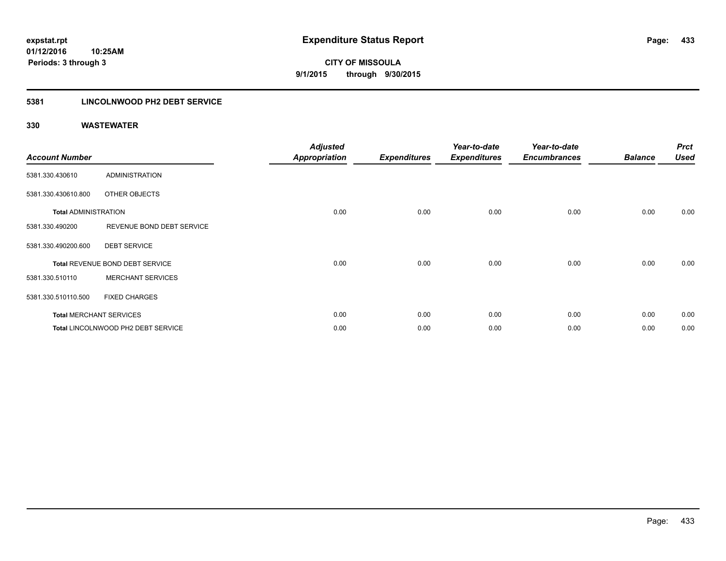# **5381 LINCOLNWOOD PH2 DEBT SERVICE**

| <b>Account Number</b>       |                                    | <b>Adjusted</b><br><b>Appropriation</b> | <b>Expenditures</b> | Year-to-date<br><b>Expenditures</b> | Year-to-date<br><b>Encumbrances</b> | <b>Balance</b> | <b>Prct</b><br><b>Used</b> |
|-----------------------------|------------------------------------|-----------------------------------------|---------------------|-------------------------------------|-------------------------------------|----------------|----------------------------|
| 5381.330.430610             | <b>ADMINISTRATION</b>              |                                         |                     |                                     |                                     |                |                            |
| 5381.330.430610.800         | OTHER OBJECTS                      |                                         |                     |                                     |                                     |                |                            |
| <b>Total ADMINISTRATION</b> |                                    | 0.00                                    | 0.00                | 0.00                                | 0.00                                | 0.00           | 0.00                       |
| 5381.330.490200             | REVENUE BOND DEBT SERVICE          |                                         |                     |                                     |                                     |                |                            |
| 5381.330.490200.600         | <b>DEBT SERVICE</b>                |                                         |                     |                                     |                                     |                |                            |
|                             | Total REVENUE BOND DEBT SERVICE    | 0.00                                    | 0.00                | 0.00                                | 0.00                                | 0.00           | 0.00                       |
| 5381.330.510110             | <b>MERCHANT SERVICES</b>           |                                         |                     |                                     |                                     |                |                            |
| 5381.330.510110.500         | <b>FIXED CHARGES</b>               |                                         |                     |                                     |                                     |                |                            |
|                             | <b>Total MERCHANT SERVICES</b>     | 0.00                                    | 0.00                | 0.00                                | 0.00                                | 0.00           | 0.00                       |
|                             | Total LINCOLNWOOD PH2 DEBT SERVICE | 0.00                                    | 0.00                | 0.00                                | 0.00                                | 0.00           | 0.00                       |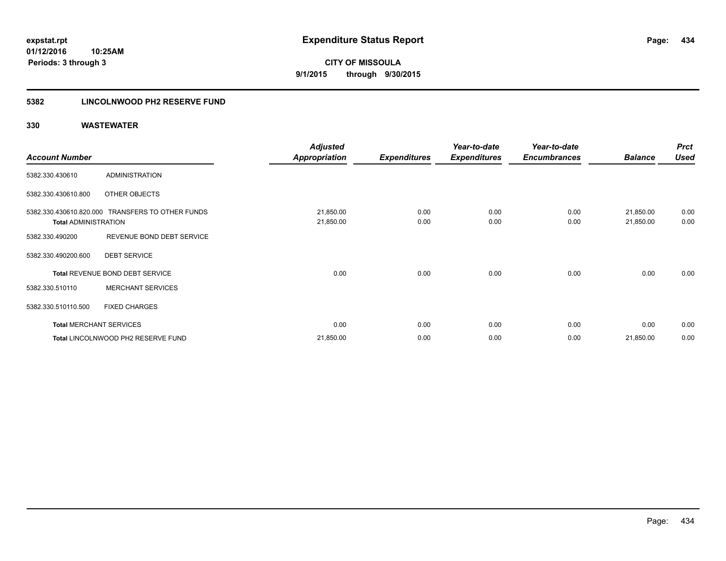**Periods: 3 through 3**

**CITY OF MISSOULA 9/1/2015 through 9/30/2015**

# **5382 LINCOLNWOOD PH2 RESERVE FUND**

|                             |                                                  | <b>Adjusted</b>        |                     | Year-to-date        | Year-to-date        |                        | <b>Prct</b>  |
|-----------------------------|--------------------------------------------------|------------------------|---------------------|---------------------|---------------------|------------------------|--------------|
| <b>Account Number</b>       |                                                  | <b>Appropriation</b>   | <b>Expenditures</b> | <b>Expenditures</b> | <b>Encumbrances</b> | <b>Balance</b>         | <b>Used</b>  |
| 5382.330.430610             | <b>ADMINISTRATION</b>                            |                        |                     |                     |                     |                        |              |
| 5382.330.430610.800         | OTHER OBJECTS                                    |                        |                     |                     |                     |                        |              |
| <b>Total ADMINISTRATION</b> | 5382.330.430610.820.000 TRANSFERS TO OTHER FUNDS | 21,850.00<br>21,850.00 | 0.00<br>0.00        | 0.00<br>0.00        | 0.00<br>0.00        | 21,850.00<br>21,850.00 | 0.00<br>0.00 |
| 5382.330.490200             | REVENUE BOND DEBT SERVICE                        |                        |                     |                     |                     |                        |              |
| 5382.330.490200.600         | <b>DEBT SERVICE</b>                              |                        |                     |                     |                     |                        |              |
|                             | Total REVENUE BOND DEBT SERVICE                  | 0.00                   | 0.00                | 0.00                | 0.00                | 0.00                   | 0.00         |
| 5382.330.510110             | <b>MERCHANT SERVICES</b>                         |                        |                     |                     |                     |                        |              |
| 5382.330.510110.500         | <b>FIXED CHARGES</b>                             |                        |                     |                     |                     |                        |              |
|                             | <b>Total MERCHANT SERVICES</b>                   | 0.00                   | 0.00                | 0.00                | 0.00                | 0.00                   | 0.00         |
|                             | Total LINCOLNWOOD PH2 RESERVE FUND               | 21,850.00              | 0.00                | 0.00                | 0.00                | 21,850.00              | 0.00         |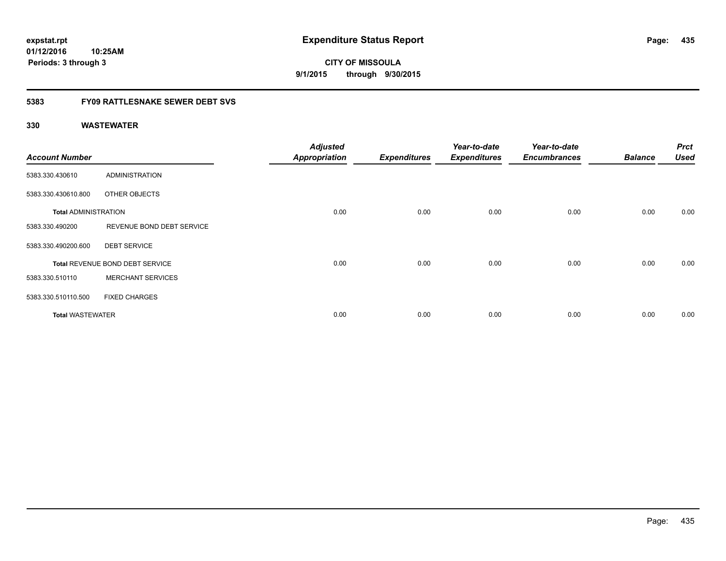**01/12/2016 10:25AM Periods: 3 through 3**

**CITY OF MISSOULA 9/1/2015 through 9/30/2015**

# **5383 FY09 RATTLESNAKE SEWER DEBT SVS**

| <b>Account Number</b>       |                                 | <b>Adjusted</b><br><b>Appropriation</b> | <b>Expenditures</b> | Year-to-date<br><b>Expenditures</b> | Year-to-date<br><b>Encumbrances</b> | <b>Balance</b> | <b>Prct</b><br><b>Used</b> |
|-----------------------------|---------------------------------|-----------------------------------------|---------------------|-------------------------------------|-------------------------------------|----------------|----------------------------|
| 5383.330.430610             | <b>ADMINISTRATION</b>           |                                         |                     |                                     |                                     |                |                            |
| 5383.330.430610.800         | OTHER OBJECTS                   |                                         |                     |                                     |                                     |                |                            |
| <b>Total ADMINISTRATION</b> |                                 | 0.00                                    | 0.00                | 0.00                                | 0.00                                | 0.00           | 0.00                       |
| 5383.330.490200             | REVENUE BOND DEBT SERVICE       |                                         |                     |                                     |                                     |                |                            |
| 5383.330.490200.600         | <b>DEBT SERVICE</b>             |                                         |                     |                                     |                                     |                |                            |
|                             | Total REVENUE BOND DEBT SERVICE | 0.00                                    | 0.00                | 0.00                                | 0.00                                | 0.00           | 0.00                       |
| 5383.330.510110             | <b>MERCHANT SERVICES</b>        |                                         |                     |                                     |                                     |                |                            |
| 5383.330.510110.500         | <b>FIXED CHARGES</b>            |                                         |                     |                                     |                                     |                |                            |
| <b>Total WASTEWATER</b>     |                                 | 0.00                                    | 0.00                | 0.00                                | 0.00                                | 0.00           | 0.00                       |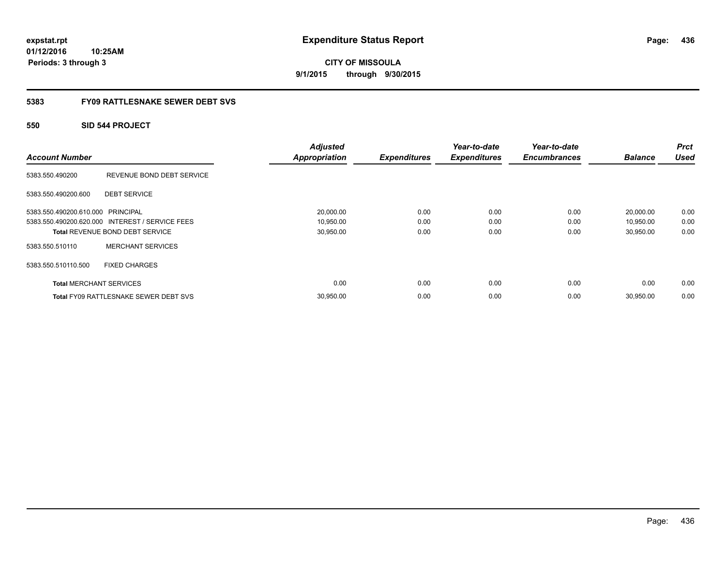**01/12/2016 10:25AM Periods: 3 through 3**

**CITY OF MISSOULA 9/1/2015 through 9/30/2015**

# **5383 FY09 RATTLESNAKE SEWER DEBT SVS**

# **550 SID 544 PROJECT**

| <b>Account Number</b>             |                                                 | <b>Adjusted</b><br><b>Appropriation</b> | <b>Expenditures</b> | Year-to-date<br><b>Expenditures</b> | Year-to-date<br><b>Encumbrances</b> | <b>Balance</b> | <b>Prct</b><br><b>Used</b> |
|-----------------------------------|-------------------------------------------------|-----------------------------------------|---------------------|-------------------------------------|-------------------------------------|----------------|----------------------------|
| 5383.550.490200                   | REVENUE BOND DEBT SERVICE                       |                                         |                     |                                     |                                     |                |                            |
| 5383.550.490200.600               | <b>DEBT SERVICE</b>                             |                                         |                     |                                     |                                     |                |                            |
| 5383.550.490200.610.000 PRINCIPAL |                                                 | 20,000.00                               | 0.00                | 0.00                                | 0.00                                | 20,000.00      | 0.00                       |
|                                   | 5383.550.490200.620.000 INTEREST / SERVICE FEES | 10,950.00                               | 0.00                | 0.00                                | 0.00                                | 10,950.00      | 0.00                       |
|                                   | <b>Total REVENUE BOND DEBT SERVICE</b>          | 30,950.00                               | 0.00                | 0.00                                | 0.00                                | 30,950.00      | 0.00                       |
| 5383.550.510110                   | <b>MERCHANT SERVICES</b>                        |                                         |                     |                                     |                                     |                |                            |
| 5383.550.510110.500               | <b>FIXED CHARGES</b>                            |                                         |                     |                                     |                                     |                |                            |
| <b>Total MERCHANT SERVICES</b>    |                                                 | 0.00                                    | 0.00                | 0.00                                | 0.00                                | 0.00           | 0.00                       |
|                                   | <b>Total FY09 RATTLESNAKE SEWER DEBT SVS</b>    | 30,950.00                               | 0.00                | 0.00                                | 0.00                                | 30,950.00      | 0.00                       |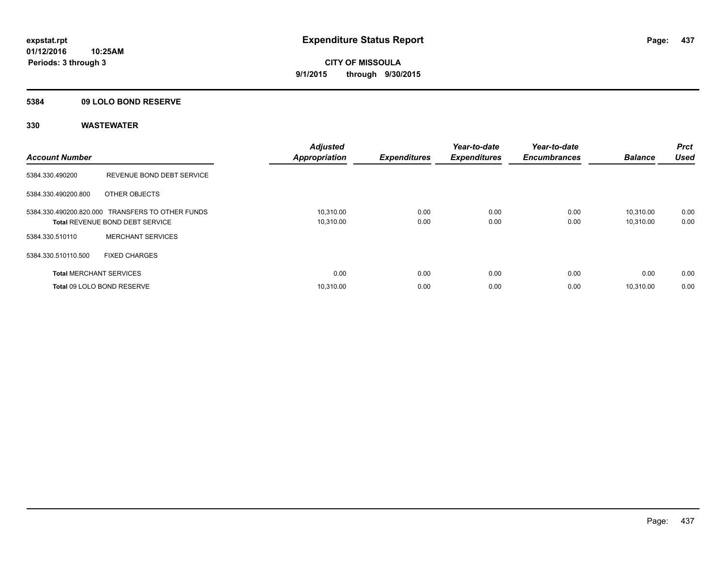# **5384 09 LOLO BOND RESERVE**

| <b>Account Number</b>          |                                                                                            | <b>Adjusted</b><br><b>Appropriation</b> | <b>Expenditures</b> | Year-to-date<br><b>Expenditures</b> | Year-to-date<br><b>Encumbrances</b> | <b>Balance</b>         | <b>Prct</b><br><b>Used</b> |
|--------------------------------|--------------------------------------------------------------------------------------------|-----------------------------------------|---------------------|-------------------------------------|-------------------------------------|------------------------|----------------------------|
| 5384.330.490200                | REVENUE BOND DEBT SERVICE                                                                  |                                         |                     |                                     |                                     |                        |                            |
| 5384.330.490200.800            | OTHER OBJECTS                                                                              |                                         |                     |                                     |                                     |                        |                            |
|                                | 5384.330.490200.820.000 TRANSFERS TO OTHER FUNDS<br><b>Total REVENUE BOND DEBT SERVICE</b> | 10,310.00<br>10,310.00                  | 0.00<br>0.00        | 0.00<br>0.00                        | 0.00<br>0.00                        | 10.310.00<br>10,310.00 | 0.00<br>0.00               |
| 5384.330.510110                | <b>MERCHANT SERVICES</b>                                                                   |                                         |                     |                                     |                                     |                        |                            |
| 5384.330.510110.500            | <b>FIXED CHARGES</b>                                                                       |                                         |                     |                                     |                                     |                        |                            |
| <b>Total MERCHANT SERVICES</b> |                                                                                            | 0.00                                    | 0.00                | 0.00                                | 0.00                                | 0.00                   | 0.00                       |
|                                | Total 09 LOLO BOND RESERVE                                                                 | 10.310.00                               | 0.00                | 0.00                                | 0.00                                | 10.310.00              | 0.00                       |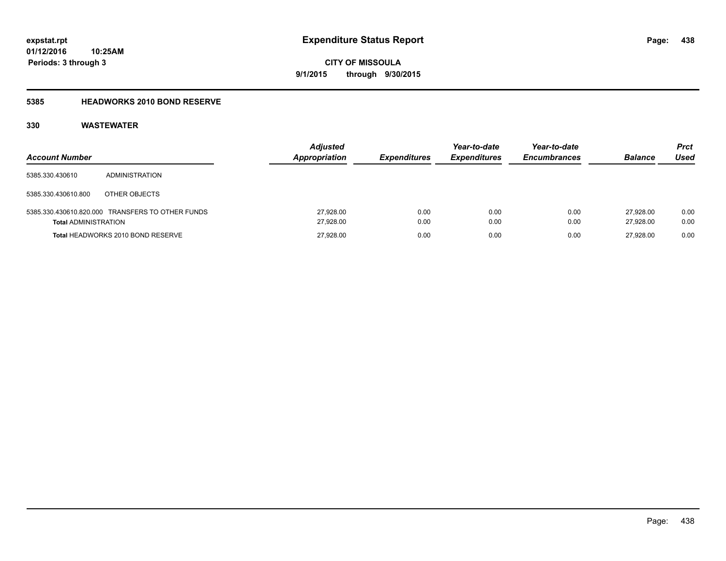# **5385 HEADWORKS 2010 BOND RESERVE**

| <b>Account Number</b>       |                                                  | <b>Adjusted</b><br><b>Appropriation</b> | <b>Expenditures</b> | Year-to-date<br><b>Expenditures</b> | Year-to-date<br><b>Encumbrances</b> | <b>Balance</b>         | <b>Prct</b><br>Used |
|-----------------------------|--------------------------------------------------|-----------------------------------------|---------------------|-------------------------------------|-------------------------------------|------------------------|---------------------|
| 5385.330.430610             | ADMINISTRATION                                   |                                         |                     |                                     |                                     |                        |                     |
| 5385.330.430610.800         | OTHER OBJECTS                                    |                                         |                     |                                     |                                     |                        |                     |
| <b>Total ADMINISTRATION</b> | 5385.330.430610.820.000 TRANSFERS TO OTHER FUNDS | 27,928.00<br>27,928.00                  | 0.00<br>0.00        | 0.00<br>0.00                        | 0.00<br>0.00                        | 27.928.00<br>27.928.00 | 0.00<br>0.00        |
|                             | Total HEADWORKS 2010 BOND RESERVE                | 27,928.00                               | 0.00                | 0.00                                | 0.00                                | 27.928.00              | 0.00                |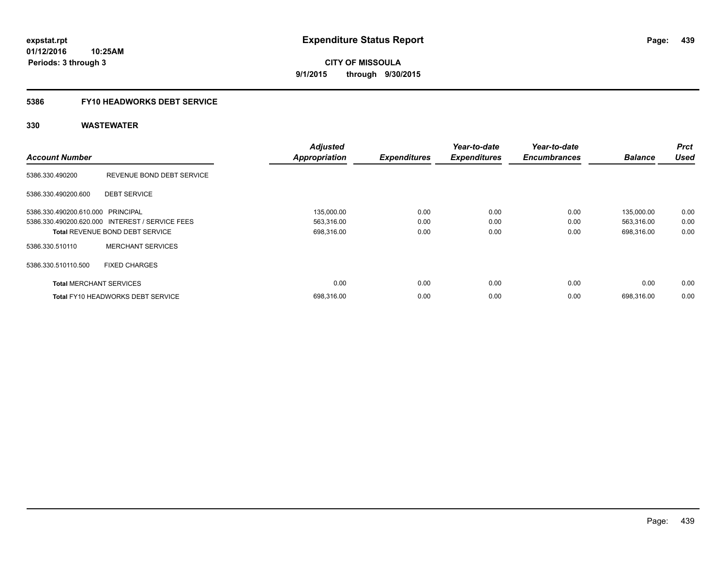# **5386 FY10 HEADWORKS DEBT SERVICE**

| <b>Account Number</b>             |                                                 | <b>Adjusted</b><br><b>Appropriation</b> | <b>Expenditures</b> | Year-to-date<br><b>Expenditures</b> | Year-to-date<br><b>Encumbrances</b> | <b>Balance</b> | <b>Prct</b><br><b>Used</b> |
|-----------------------------------|-------------------------------------------------|-----------------------------------------|---------------------|-------------------------------------|-------------------------------------|----------------|----------------------------|
| 5386.330.490200                   | REVENUE BOND DEBT SERVICE                       |                                         |                     |                                     |                                     |                |                            |
| 5386.330.490200.600               | <b>DEBT SERVICE</b>                             |                                         |                     |                                     |                                     |                |                            |
| 5386.330.490200.610.000 PRINCIPAL |                                                 | 135,000.00                              | 0.00                | 0.00                                | 0.00                                | 135,000.00     | 0.00                       |
|                                   | 5386.330.490200.620.000 INTEREST / SERVICE FEES | 563,316.00                              | 0.00                | 0.00                                | 0.00                                | 563,316.00     | 0.00                       |
|                                   | <b>Total REVENUE BOND DEBT SERVICE</b>          | 698,316.00                              | 0.00                | 0.00                                | 0.00                                | 698,316.00     | 0.00                       |
| 5386.330.510110                   | <b>MERCHANT SERVICES</b>                        |                                         |                     |                                     |                                     |                |                            |
| 5386.330.510110.500               | <b>FIXED CHARGES</b>                            |                                         |                     |                                     |                                     |                |                            |
| <b>Total MERCHANT SERVICES</b>    |                                                 | 0.00                                    | 0.00                | 0.00                                | 0.00                                | 0.00           | 0.00                       |
|                                   | <b>Total FY10 HEADWORKS DEBT SERVICE</b>        | 698.316.00                              | 0.00                | 0.00                                | 0.00                                | 698.316.00     | 0.00                       |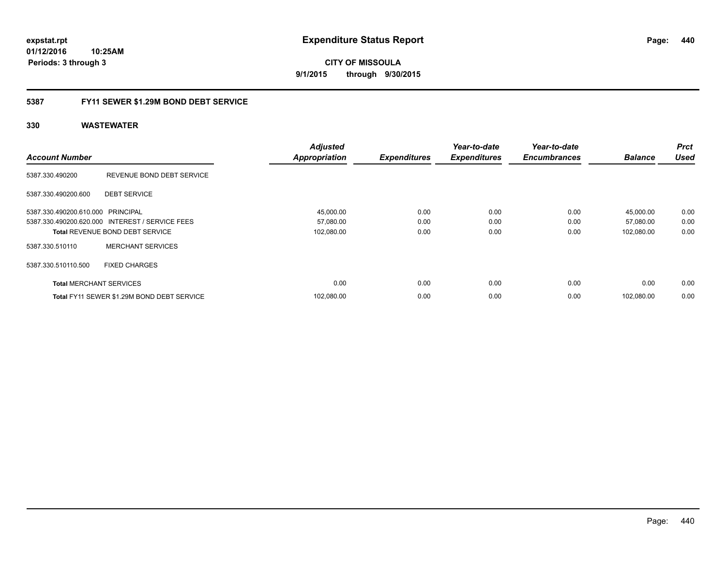**01/12/2016 10:25AM Periods: 3 through 3**

**CITY OF MISSOULA 9/1/2015 through 9/30/2015**

# **5387 FY11 SEWER \$1.29M BOND DEBT SERVICE**

|                                   |                                                 | <b>Adjusted</b>      |                     | Year-to-date        | Year-to-date        |                | <b>Prct</b> |
|-----------------------------------|-------------------------------------------------|----------------------|---------------------|---------------------|---------------------|----------------|-------------|
| <b>Account Number</b>             |                                                 | <b>Appropriation</b> | <b>Expenditures</b> | <b>Expenditures</b> | <b>Encumbrances</b> | <b>Balance</b> | <b>Used</b> |
| 5387.330.490200                   | REVENUE BOND DEBT SERVICE                       |                      |                     |                     |                     |                |             |
| 5387.330.490200.600               | <b>DEBT SERVICE</b>                             |                      |                     |                     |                     |                |             |
| 5387.330.490200.610.000 PRINCIPAL |                                                 | 45,000.00            | 0.00                | 0.00                | 0.00                | 45,000.00      | 0.00        |
|                                   | 5387.330.490200.620.000 INTEREST / SERVICE FEES | 57,080.00            | 0.00                | 0.00                | 0.00                | 57,080.00      | 0.00        |
|                                   | <b>Total REVENUE BOND DEBT SERVICE</b>          | 102,080.00           | 0.00                | 0.00                | 0.00                | 102,080.00     | 0.00        |
| 5387.330.510110                   | <b>MERCHANT SERVICES</b>                        |                      |                     |                     |                     |                |             |
| 5387.330.510110.500               | <b>FIXED CHARGES</b>                            |                      |                     |                     |                     |                |             |
| <b>Total MERCHANT SERVICES</b>    |                                                 | 0.00                 | 0.00                | 0.00                | 0.00                | 0.00           | 0.00        |
|                                   | Total FY11 SEWER \$1.29M BOND DEBT SERVICE      | 102,080.00           | 0.00                | 0.00                | 0.00                | 102,080.00     | 0.00        |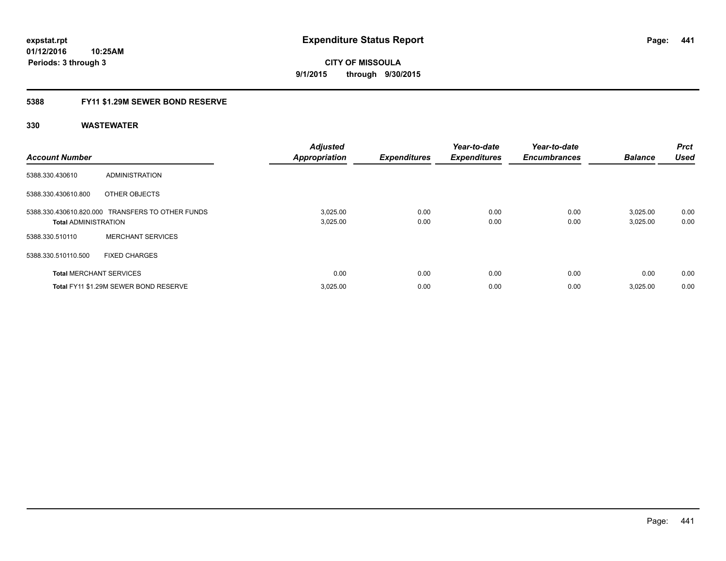# **5388 FY11 \$1.29M SEWER BOND RESERVE**

| <b>Account Number</b>          |                                                  | <b>Adjusted</b><br><b>Appropriation</b> | <b>Expenditures</b> | Year-to-date<br><b>Expenditures</b> | Year-to-date<br><b>Encumbrances</b> | <b>Balance</b>       | Prct<br><b>Used</b> |
|--------------------------------|--------------------------------------------------|-----------------------------------------|---------------------|-------------------------------------|-------------------------------------|----------------------|---------------------|
| 5388.330.430610                | <b>ADMINISTRATION</b>                            |                                         |                     |                                     |                                     |                      |                     |
| 5388.330.430610.800            | OTHER OBJECTS                                    |                                         |                     |                                     |                                     |                      |                     |
| <b>Total ADMINISTRATION</b>    | 5388.330.430610.820.000 TRANSFERS TO OTHER FUNDS | 3,025.00<br>3,025.00                    | 0.00<br>0.00        | 0.00<br>0.00                        | 0.00<br>0.00                        | 3,025.00<br>3,025.00 | 0.00<br>0.00        |
| 5388.330.510110                | <b>MERCHANT SERVICES</b>                         |                                         |                     |                                     |                                     |                      |                     |
| 5388.330.510110.500            | <b>FIXED CHARGES</b>                             |                                         |                     |                                     |                                     |                      |                     |
| <b>Total MERCHANT SERVICES</b> |                                                  | 0.00                                    | 0.00                | 0.00                                | 0.00                                | 0.00                 | 0.00                |
|                                | Total FY11 \$1.29M SEWER BOND RESERVE            | 3,025.00                                | 0.00                | 0.00                                | 0.00                                | 3,025.00             | 0.00                |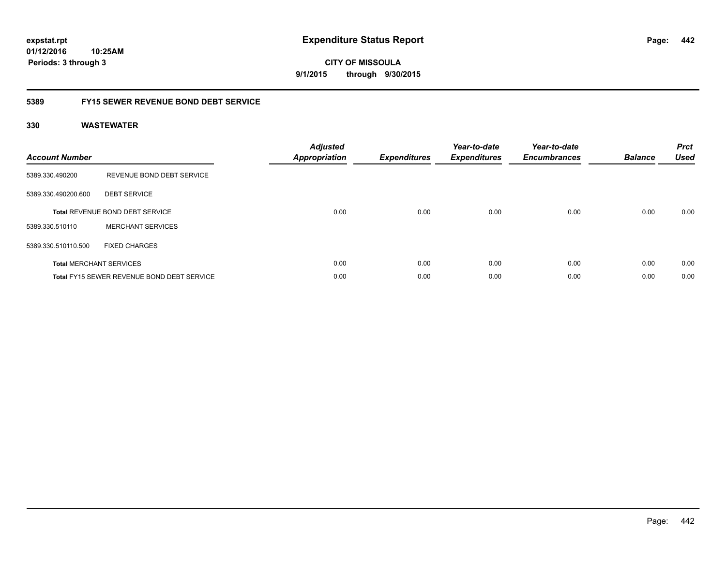**01/12/2016 10:25AM Periods: 3 through 3**

**CITY OF MISSOULA 9/1/2015 through 9/30/2015**

# **5389 FY15 SEWER REVENUE BOND DEBT SERVICE**

| <b>Account Number</b> |                                            | <b>Adjusted</b><br>Appropriation | <b>Expenditures</b> | Year-to-date<br><b>Expenditures</b> | Year-to-date<br><b>Encumbrances</b> | <b>Balance</b> | <b>Prct</b><br><b>Used</b> |
|-----------------------|--------------------------------------------|----------------------------------|---------------------|-------------------------------------|-------------------------------------|----------------|----------------------------|
| 5389.330.490200       | REVENUE BOND DEBT SERVICE                  |                                  |                     |                                     |                                     |                |                            |
| 5389.330.490200.600   | <b>DEBT SERVICE</b>                        |                                  |                     |                                     |                                     |                |                            |
|                       | <b>Total REVENUE BOND DEBT SERVICE</b>     | 0.00                             | 0.00                | 0.00                                | 0.00                                | 0.00           | 0.00                       |
| 5389.330.510110       | <b>MERCHANT SERVICES</b>                   |                                  |                     |                                     |                                     |                |                            |
| 5389.330.510110.500   | <b>FIXED CHARGES</b>                       |                                  |                     |                                     |                                     |                |                            |
|                       | <b>Total MERCHANT SERVICES</b>             | 0.00                             | 0.00                | 0.00                                | 0.00                                | 0.00           | 0.00                       |
|                       | Total FY15 SEWER REVENUE BOND DEBT SERVICE | 0.00                             | 0.00                | 0.00                                | 0.00                                | 0.00           | 0.00                       |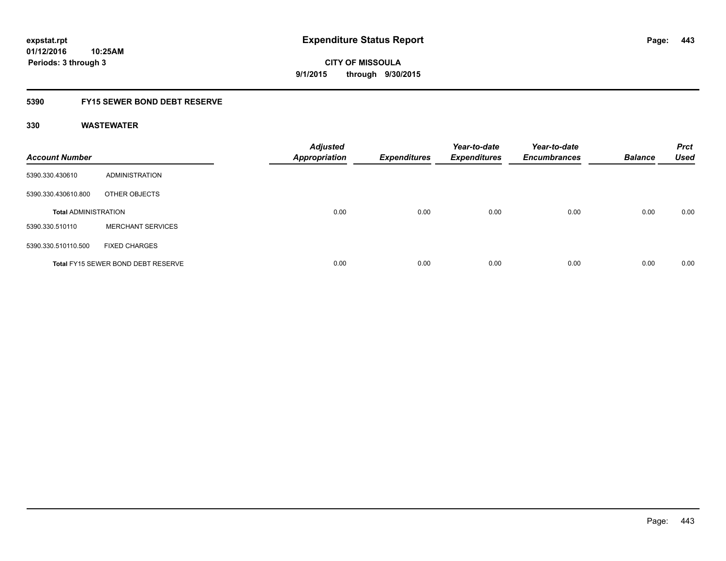# **5390 FY15 SEWER BOND DEBT RESERVE**

| <b>Account Number</b>       |                                           | <b>Adjusted</b><br><b>Appropriation</b> | <b>Expenditures</b> | Year-to-date<br><b>Expenditures</b> | Year-to-date<br><b>Encumbrances</b> | <b>Balance</b> | <b>Prct</b><br><b>Used</b> |
|-----------------------------|-------------------------------------------|-----------------------------------------|---------------------|-------------------------------------|-------------------------------------|----------------|----------------------------|
| 5390.330.430610             | ADMINISTRATION                            |                                         |                     |                                     |                                     |                |                            |
| 5390.330.430610.800         | OTHER OBJECTS                             |                                         |                     |                                     |                                     |                |                            |
| <b>Total ADMINISTRATION</b> |                                           | 0.00                                    | 0.00                | 0.00                                | 0.00                                | 0.00           | 0.00                       |
| 5390.330.510110             | <b>MERCHANT SERVICES</b>                  |                                         |                     |                                     |                                     |                |                            |
| 5390.330.510110.500         | <b>FIXED CHARGES</b>                      |                                         |                     |                                     |                                     |                |                            |
|                             | <b>Total FY15 SEWER BOND DEBT RESERVE</b> | 0.00                                    | 0.00                | 0.00                                | 0.00                                | 0.00           | 0.00                       |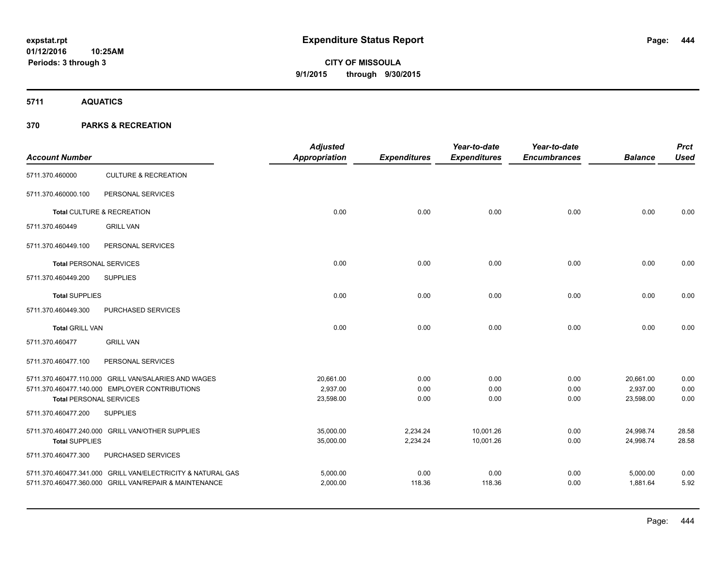**Periods: 3 through 3**

**444**

**CITY OF MISSOULA 9/1/2015 through 9/30/2015**

**5711 AQUATICS**

| <b>Account Number</b>                                 |                                                             | <b>Adjusted</b><br><b>Appropriation</b> | <b>Expenditures</b> | Year-to-date<br><b>Expenditures</b> | Year-to-date<br><b>Encumbrances</b> | <b>Balance</b> | <b>Prct</b><br><b>Used</b> |
|-------------------------------------------------------|-------------------------------------------------------------|-----------------------------------------|---------------------|-------------------------------------|-------------------------------------|----------------|----------------------------|
| 5711.370.460000                                       | <b>CULTURE &amp; RECREATION</b>                             |                                         |                     |                                     |                                     |                |                            |
| 5711.370.460000.100                                   | PERSONAL SERVICES                                           |                                         |                     |                                     |                                     |                |                            |
|                                                       | Total CULTURE & RECREATION                                  | 0.00                                    | 0.00                | 0.00                                | 0.00                                | 0.00           | 0.00                       |
| 5711.370.460449                                       | <b>GRILL VAN</b>                                            |                                         |                     |                                     |                                     |                |                            |
| 5711.370.460449.100                                   | PERSONAL SERVICES                                           |                                         |                     |                                     |                                     |                |                            |
| <b>Total PERSONAL SERVICES</b>                        |                                                             | 0.00                                    | 0.00                | 0.00                                | 0.00                                | 0.00           | 0.00                       |
| 5711.370.460449.200                                   | <b>SUPPLIES</b>                                             |                                         |                     |                                     |                                     |                |                            |
| <b>Total SUPPLIES</b>                                 |                                                             | 0.00                                    | 0.00                | 0.00                                | 0.00                                | 0.00           | 0.00                       |
| 5711.370.460449.300                                   | PURCHASED SERVICES                                          |                                         |                     |                                     |                                     |                |                            |
| <b>Total GRILL VAN</b>                                |                                                             | 0.00                                    | 0.00                | 0.00                                | 0.00                                | 0.00           | 0.00                       |
| 5711.370.460477                                       | <b>GRILL VAN</b>                                            |                                         |                     |                                     |                                     |                |                            |
| 5711.370.460477.100                                   | PERSONAL SERVICES                                           |                                         |                     |                                     |                                     |                |                            |
|                                                       | 5711.370.460477.110.000 GRILL VAN/SALARIES AND WAGES        | 20,661.00                               | 0.00                | 0.00                                | 0.00                                | 20,661.00      | 0.00                       |
|                                                       | 5711.370.460477.140.000 EMPLOYER CONTRIBUTIONS              | 2,937.00                                | 0.00                | 0.00                                | 0.00                                | 2,937.00       | 0.00                       |
| <b>Total PERSONAL SERVICES</b><br>5711.370.460477.200 | <b>SUPPLIES</b>                                             | 23,598.00                               | 0.00                | 0.00                                | 0.00                                | 23,598.00      | 0.00                       |
|                                                       |                                                             |                                         |                     |                                     |                                     |                |                            |
|                                                       | 5711.370.460477.240.000 GRILL VAN/OTHER SUPPLIES            | 35,000.00                               | 2,234.24            | 10,001.26                           | 0.00                                | 24,998.74      | 28.58                      |
| <b>Total SUPPLIES</b>                                 |                                                             | 35,000.00                               | 2,234.24            | 10,001.26                           | 0.00                                | 24,998.74      | 28.58                      |
| 5711.370.460477.300                                   | PURCHASED SERVICES                                          |                                         |                     |                                     |                                     |                |                            |
|                                                       | 5711.370.460477.341.000 GRILL VAN/ELECTRICITY & NATURAL GAS | 5,000.00                                | 0.00                | 0.00                                | 0.00                                | 5,000.00       | 0.00                       |
|                                                       | 5711.370.460477.360.000 GRILL VAN/REPAIR & MAINTENANCE      | 2,000.00                                | 118.36              | 118.36                              | 0.00                                | 1,881.64       | 5.92                       |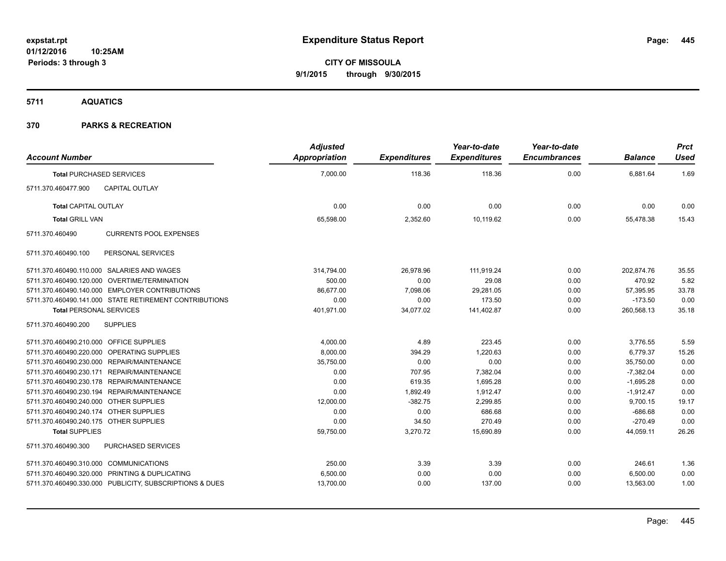**5711 AQUATICS**

| <b>Account Number</b>                      |                                                         | <b>Adjusted</b><br><b>Appropriation</b> | <b>Expenditures</b> | Year-to-date<br><b>Expenditures</b> | Year-to-date<br><b>Encumbrances</b> | <b>Balance</b> | <b>Prct</b><br><b>Used</b> |
|--------------------------------------------|---------------------------------------------------------|-----------------------------------------|---------------------|-------------------------------------|-------------------------------------|----------------|----------------------------|
| <b>Total PURCHASED SERVICES</b>            |                                                         | 7,000.00                                | 118.36              | 118.36                              | 0.00                                | 6,881.64       | 1.69                       |
| 5711.370.460477.900                        | <b>CAPITAL OUTLAY</b>                                   |                                         |                     |                                     |                                     |                |                            |
| <b>Total CAPITAL OUTLAY</b>                |                                                         | 0.00                                    | 0.00                | 0.00                                | 0.00                                | 0.00           | 0.00                       |
| <b>Total GRILL VAN</b>                     |                                                         | 65,598.00                               | 2,352.60            | 10,119.62                           | 0.00                                | 55,478.38      | 15.43                      |
| 5711.370.460490                            | <b>CURRENTS POOL EXPENSES</b>                           |                                         |                     |                                     |                                     |                |                            |
| 5711.370.460490.100                        | PERSONAL SERVICES                                       |                                         |                     |                                     |                                     |                |                            |
| 5711.370.460490.110.000 SALARIES AND WAGES |                                                         | 314,794.00                              | 26,978.96           | 111,919.24                          | 0.00                                | 202.874.76     | 35.55                      |
|                                            | 5711.370.460490.120.000 OVERTIME/TERMINATION            | 500.00                                  | 0.00                | 29.08                               | 0.00                                | 470.92         | 5.82                       |
|                                            | 5711.370.460490.140.000 EMPLOYER CONTRIBUTIONS          | 86,677.00                               | 7,098.06            | 29,281.05                           | 0.00                                | 57,395.95      | 33.78                      |
|                                            | 5711.370.460490.141.000 STATE RETIREMENT CONTRIBUTIONS  | 0.00                                    | 0.00                | 173.50                              | 0.00                                | $-173.50$      | 0.00                       |
| <b>Total PERSONAL SERVICES</b>             |                                                         | 401,971.00                              | 34,077.02           | 141,402.87                          | 0.00                                | 260,568.13     | 35.18                      |
| 5711.370.460490.200                        | <b>SUPPLIES</b>                                         |                                         |                     |                                     |                                     |                |                            |
| 5711.370.460490.210.000 OFFICE SUPPLIES    |                                                         | 4,000.00                                | 4.89                | 223.45                              | 0.00                                | 3,776.55       | 5.59                       |
| 5711.370.460490.220.000 OPERATING SUPPLIES |                                                         | 8,000.00                                | 394.29              | 1,220.63                            | 0.00                                | 6,779.37       | 15.26                      |
| 5711.370.460490.230.000 REPAIR/MAINTENANCE |                                                         | 35,750.00                               | 0.00                | 0.00                                | 0.00                                | 35,750.00      | 0.00                       |
| 5711.370.460490.230.171 REPAIR/MAINTENANCE |                                                         | 0.00                                    | 707.95              | 7,382.04                            | 0.00                                | $-7,382.04$    | 0.00                       |
| 5711.370.460490.230.178 REPAIR/MAINTENANCE |                                                         | 0.00                                    | 619.35              | 1.695.28                            | 0.00                                | $-1,695.28$    | 0.00                       |
| 5711.370.460490.230.194 REPAIR/MAINTENANCE |                                                         | 0.00                                    | 1,892.49            | 1,912.47                            | 0.00                                | $-1,912.47$    | 0.00                       |
| 5711.370.460490.240.000 OTHER SUPPLIES     |                                                         | 12,000.00                               | $-382.75$           | 2,299.85                            | 0.00                                | 9,700.15       | 19.17                      |
| 5711.370.460490.240.174 OTHER SUPPLIES     |                                                         | 0.00                                    | 0.00                | 686.68                              | 0.00                                | $-686.68$      | 0.00                       |
| 5711.370.460490.240.175 OTHER SUPPLIES     |                                                         | 0.00                                    | 34.50               | 270.49                              | 0.00                                | $-270.49$      | 0.00                       |
| <b>Total SUPPLIES</b>                      |                                                         | 59,750.00                               | 3,270.72            | 15,690.89                           | 0.00                                | 44,059.11      | 26.26                      |
| 5711.370.460490.300                        | PURCHASED SERVICES                                      |                                         |                     |                                     |                                     |                |                            |
| 5711.370.460490.310.000 COMMUNICATIONS     |                                                         | 250.00                                  | 3.39                | 3.39                                | 0.00                                | 246.61         | 1.36                       |
|                                            | 5711.370.460490.320.000 PRINTING & DUPLICATING          | 6,500.00                                | 0.00                | 0.00                                | 0.00                                | 6,500.00       | 0.00                       |
|                                            | 5711.370.460490.330.000 PUBLICITY, SUBSCRIPTIONS & DUES | 13,700.00                               | 0.00                | 137.00                              | 0.00                                | 13,563.00      | 1.00                       |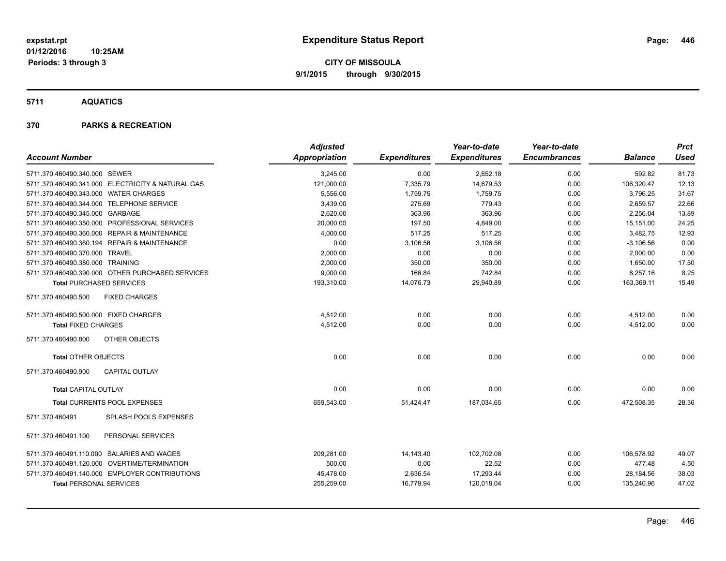**5711 AQUATICS**

|                                                   | <b>Adjusted</b>      |                     | Year-to-date        | Year-to-date        |                | <b>Prct</b> |
|---------------------------------------------------|----------------------|---------------------|---------------------|---------------------|----------------|-------------|
| <b>Account Number</b>                             | <b>Appropriation</b> | <b>Expenditures</b> | <b>Expenditures</b> | <b>Encumbrances</b> | <b>Balance</b> | <b>Used</b> |
| 5711.370.460490.340.000 SEWER                     | 3,245.00             | 0.00                | 2,652.18            | 0.00                | 592.82         | 81.73       |
| 5711.370.460490.341.000 ELECTRICITY & NATURAL GAS | 121,000.00           | 7,335.79            | 14,679.53           | 0.00                | 106,320.47     | 12.13       |
| 5711.370.460490.343.000 WATER CHARGES             | 5,556.00             | 1,759.75            | 1,759.75            | 0.00                | 3,796.25       | 31.67       |
| 5711.370.460490.344.000 TELEPHONE SERVICE         | 3,439.00             | 275.69              | 779.43              | 0.00                | 2,659.57       | 22.66       |
| 5711.370.460490.345.000 GARBAGE                   | 2,620.00             | 363.96              | 363.96              | 0.00                | 2.256.04       | 13.89       |
| 5711.370.460490.350.000 PROFESSIONAL SERVICES     | 20,000.00            | 197.50              | 4,849.00            | 0.00                | 15,151.00      | 24.25       |
| 5711.370.460490.360.000 REPAIR & MAINTENANCE      | 4,000.00             | 517.25              | 517.25              | 0.00                | 3,482.75       | 12.93       |
| 5711.370.460490.360.194 REPAIR & MAINTENANCE      | 0.00                 | 3,106.56            | 3,106.56            | 0.00                | $-3,106.56$    | 0.00        |
| 5711.370.460490.370.000 TRAVEL                    | 2,000.00             | 0.00                | 0.00                | 0.00                | 2,000.00       | 0.00        |
| 5711.370.460490.380.000 TRAINING                  | 2,000.00             | 350.00              | 350.00              | 0.00                | 1,650.00       | 17.50       |
| 5711.370.460490.390.000 OTHER PURCHASED SERVICES  | 9,000.00             | 166.84              | 742.84              | 0.00                | 8,257.16       | 8.25        |
| <b>Total PURCHASED SERVICES</b>                   | 193,310.00           | 14,076.73           | 29,940.89           | 0.00                | 163,369.11     | 15.49       |
| 5711.370.460490.500<br><b>FIXED CHARGES</b>       |                      |                     |                     |                     |                |             |
| 5711.370.460490.500.000 FIXED CHARGES             | 4,512.00             | 0.00                | 0.00                | 0.00                | 4,512.00       | 0.00        |
| <b>Total FIXED CHARGES</b>                        | 4,512.00             | 0.00                | 0.00                | 0.00                | 4,512.00       | 0.00        |
| OTHER OBJECTS<br>5711.370.460490.800              |                      |                     |                     |                     |                |             |
| <b>Total OTHER OBJECTS</b>                        | 0.00                 | 0.00                | 0.00                | 0.00                | 0.00           | 0.00        |
| 5711.370.460490.900<br><b>CAPITAL OUTLAY</b>      |                      |                     |                     |                     |                |             |
| <b>Total CAPITAL OUTLAY</b>                       | 0.00                 | 0.00                | 0.00                | 0.00                | 0.00           | 0.00        |
| Total CURRENTS POOL EXPENSES                      | 659,543.00           | 51,424.47           | 187,034.65          | 0.00                | 472,508.35     | 28.36       |
| 5711.370.460491<br><b>SPLASH POOLS EXPENSES</b>   |                      |                     |                     |                     |                |             |
| 5711.370.460491.100<br>PERSONAL SERVICES          |                      |                     |                     |                     |                |             |
| 5711.370.460491.110.000 SALARIES AND WAGES        | 209,281.00           | 14,143.40           | 102,702.08          | 0.00                | 106,578.92     | 49.07       |
| 5711.370.460491.120.000 OVERTIME/TERMINATION      | 500.00               | 0.00                | 22.52               | 0.00                | 477.48         | 4.50        |
| 5711.370.460491.140.000 EMPLOYER CONTRIBUTIONS    | 45,478.00            | 2,636.54            | 17,293.44           | 0.00                | 28,184.56      | 38.03       |
| <b>Total PERSONAL SERVICES</b>                    | 255,259.00           | 16,779.94           | 120,018.04          | 0.00                | 135,240.96     | 47.02       |
|                                                   |                      |                     |                     |                     |                |             |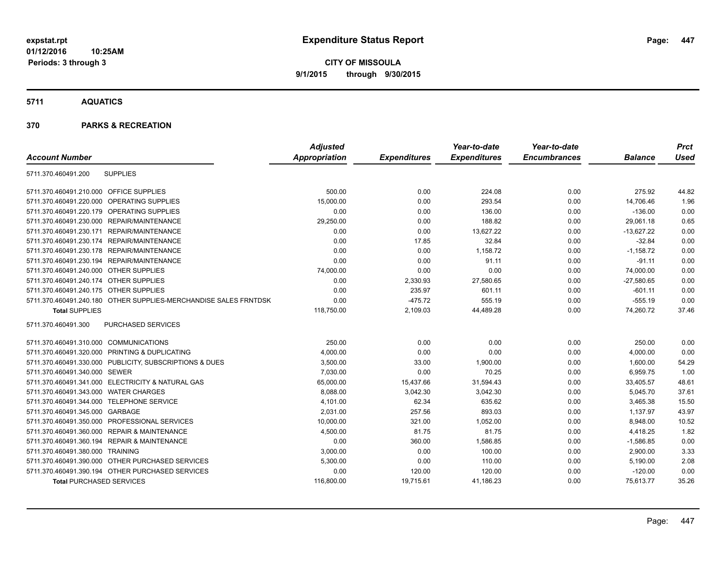**01/12/2016 10:25AM Periods: 3 through 3**

**CITY OF MISSOULA 9/1/2015 through 9/30/2015**

**5711 AQUATICS**

|                                                                  | <b>Adjusted</b> |                     | Year-to-date        | Year-to-date        |                | <b>Prct</b> |
|------------------------------------------------------------------|-----------------|---------------------|---------------------|---------------------|----------------|-------------|
| <b>Account Number</b>                                            | Appropriation   | <b>Expenditures</b> | <b>Expenditures</b> | <b>Encumbrances</b> | <b>Balance</b> | <b>Used</b> |
| <b>SUPPLIES</b><br>5711.370.460491.200                           |                 |                     |                     |                     |                |             |
| 5711.370.460491.210.000 OFFICE SUPPLIES                          | 500.00          | 0.00                | 224.08              | 0.00                | 275.92         | 44.82       |
| 5711.370.460491.220.000 OPERATING SUPPLIES                       | 15,000.00       | 0.00                | 293.54              | 0.00                | 14,706.46      | 1.96        |
| 5711.370.460491.220.179 OPERATING SUPPLIES                       | 0.00            | 0.00                | 136.00              | 0.00                | $-136.00$      | 0.00        |
| 5711.370.460491.230.000 REPAIR/MAINTENANCE                       | 29,250.00       | 0.00                | 188.82              | 0.00                | 29,061.18      | 0.65        |
| 5711.370.460491.230.171 REPAIR/MAINTENANCE                       | 0.00            | 0.00                | 13,627.22           | 0.00                | $-13,627.22$   | 0.00        |
| 5711.370.460491.230.174 REPAIR/MAINTENANCE                       | 0.00            | 17.85               | 32.84               | 0.00                | $-32.84$       | 0.00        |
| 5711.370.460491.230.178 REPAIR/MAINTENANCE                       | 0.00            | 0.00                | 1,158.72            | 0.00                | $-1,158.72$    | 0.00        |
| 5711.370.460491.230.194 REPAIR/MAINTENANCE                       | 0.00            | 0.00                | 91.11               | 0.00                | $-91.11$       | 0.00        |
| 5711.370.460491.240.000 OTHER SUPPLIES                           | 74,000.00       | 0.00                | 0.00                | 0.00                | 74,000.00      | 0.00        |
| 5711.370.460491.240.174 OTHER SUPPLIES                           | 0.00            | 2,330.93            | 27,580.65           | 0.00                | $-27,580.65$   | 0.00        |
| 5711.370.460491.240.175 OTHER SUPPLIES                           | 0.00            | 235.97              | 601.11              | 0.00                | $-601.11$      | 0.00        |
| 5711.370.460491.240.180 OTHER SUPPLIES-MERCHANDISE SALES FRNTDSK | 0.00            | $-475.72$           | 555.19              | 0.00                | $-555.19$      | 0.00        |
| <b>Total SUPPLIES</b>                                            | 118,750.00      | 2,109.03            | 44,489.28           | 0.00                | 74,260.72      | 37.46       |
| PURCHASED SERVICES<br>5711.370.460491.300                        |                 |                     |                     |                     |                |             |
| 5711.370.460491.310.000 COMMUNICATIONS                           | 250.00          | 0.00                | 0.00                | 0.00                | 250.00         | 0.00        |
| 5711.370.460491.320.000 PRINTING & DUPLICATING                   | 4,000.00        | 0.00                | 0.00                | 0.00                | 4,000.00       | 0.00        |
| 5711.370.460491.330.000 PUBLICITY, SUBSCRIPTIONS & DUES          | 3,500.00        | 33.00               | 1,900.00            | 0.00                | 1,600.00       | 54.29       |
| 5711.370.460491.340.000 SEWER                                    | 7,030.00        | 0.00                | 70.25               | 0.00                | 6,959.75       | 1.00        |
| 5711.370.460491.341.000 ELECTRICITY & NATURAL GAS                | 65,000.00       | 15,437.66           | 31,594.43           | 0.00                | 33,405.57      | 48.61       |
| 5711.370.460491.343.000 WATER CHARGES                            | 8,088.00        | 3,042.30            | 3,042.30            | 0.00                | 5,045.70       | 37.61       |
| 5711.370.460491.344.000 TELEPHONE SERVICE                        | 4,101.00        | 62.34               | 635.62              | 0.00                | 3,465.38       | 15.50       |
| 5711.370.460491.345.000 GARBAGE                                  | 2,031.00        | 257.56              | 893.03              | 0.00                | 1,137.97       | 43.97       |
| 5711.370.460491.350.000 PROFESSIONAL SERVICES                    | 10,000.00       | 321.00              | 1,052.00            | 0.00                | 8,948.00       | 10.52       |
| 5711.370.460491.360.000 REPAIR & MAINTENANCE                     | 4,500.00        | 81.75               | 81.75               | 0.00                | 4,418.25       | 1.82        |
| 5711.370.460491.360.194 REPAIR & MAINTENANCE                     | 0.00            | 360.00              | 1,586.85            | 0.00                | $-1,586.85$    | 0.00        |
| 5711.370.460491.380.000 TRAINING                                 | 3,000.00        | 0.00                | 100.00              | 0.00                | 2,900.00       | 3.33        |
| 5711.370.460491.390.000 OTHER PURCHASED SERVICES                 | 5,300.00        | 0.00                | 110.00              | 0.00                | 5,190.00       | 2.08        |
| 5711.370.460491.390.194 OTHER PURCHASED SERVICES                 | 0.00            | 120.00              | 120.00              | 0.00                | $-120.00$      | 0.00        |
| <b>Total PURCHASED SERVICES</b>                                  | 116,800.00      | 19,715.61           | 41,186.23           | 0.00                | 75,613.77      | 35.26       |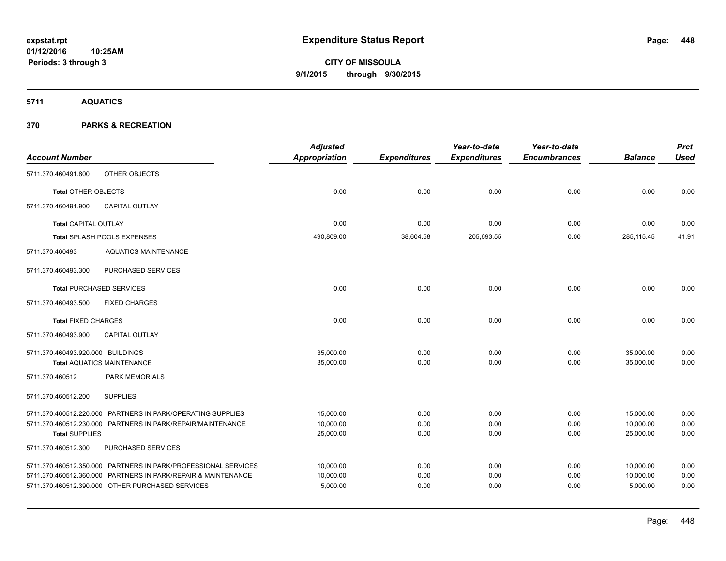**5711 AQUATICS**

|                                   |                                                                | <b>Adjusted</b>      |                     | Year-to-date        | Year-to-date        |                | <b>Prct</b> |
|-----------------------------------|----------------------------------------------------------------|----------------------|---------------------|---------------------|---------------------|----------------|-------------|
| <b>Account Number</b>             |                                                                | <b>Appropriation</b> | <b>Expenditures</b> | <b>Expenditures</b> | <b>Encumbrances</b> | <b>Balance</b> | <b>Used</b> |
| 5711.370.460491.800               | OTHER OBJECTS                                                  |                      |                     |                     |                     |                |             |
| <b>Total OTHER OBJECTS</b>        |                                                                | 0.00                 | 0.00                | 0.00                | 0.00                | 0.00           | 0.00        |
| 5711.370.460491.900               | <b>CAPITAL OUTLAY</b>                                          |                      |                     |                     |                     |                |             |
| Total CAPITAL OUTLAY              |                                                                | 0.00                 | 0.00                | 0.00                | 0.00                | 0.00           | 0.00        |
|                                   | Total SPLASH POOLS EXPENSES                                    | 490,809.00           | 38,604.58           | 205,693.55          | 0.00                | 285,115.45     | 41.91       |
| 5711.370.460493                   | <b>AQUATICS MAINTENANCE</b>                                    |                      |                     |                     |                     |                |             |
| 5711.370.460493.300               | PURCHASED SERVICES                                             |                      |                     |                     |                     |                |             |
|                                   | <b>Total PURCHASED SERVICES</b>                                | 0.00                 | 0.00                | 0.00                | 0.00                | 0.00           | 0.00        |
| 5711.370.460493.500               | <b>FIXED CHARGES</b>                                           |                      |                     |                     |                     |                |             |
| <b>Total FIXED CHARGES</b>        |                                                                | 0.00                 | 0.00                | 0.00                | 0.00                | 0.00           | 0.00        |
| 5711.370.460493.900               | <b>CAPITAL OUTLAY</b>                                          |                      |                     |                     |                     |                |             |
| 5711.370.460493.920.000 BUILDINGS |                                                                | 35,000.00            | 0.00                | 0.00                | 0.00                | 35,000.00      | 0.00        |
|                                   | <b>Total AQUATICS MAINTENANCE</b>                              | 35,000.00            | 0.00                | 0.00                | 0.00                | 35,000.00      | 0.00        |
| 5711.370.460512                   | PARK MEMORIALS                                                 |                      |                     |                     |                     |                |             |
| 5711.370.460512.200               | <b>SUPPLIES</b>                                                |                      |                     |                     |                     |                |             |
|                                   | 5711.370.460512.220.000 PARTNERS IN PARK/OPERATING SUPPLIES    | 15,000.00            | 0.00                | 0.00                | 0.00                | 15,000.00      | 0.00        |
|                                   | 5711.370.460512.230.000 PARTNERS IN PARK/REPAIR/MAINTENANCE    | 10,000.00            | 0.00                | 0.00                | 0.00                | 10,000.00      | 0.00        |
| <b>Total SUPPLIES</b>             |                                                                | 25,000.00            | 0.00                | 0.00                | 0.00                | 25,000.00      | 0.00        |
| 5711.370.460512.300               | PURCHASED SERVICES                                             |                      |                     |                     |                     |                |             |
|                                   | 5711.370.460512.350.000 PARTNERS IN PARK/PROFESSIONAL SERVICES | 10,000.00            | 0.00                | 0.00                | 0.00                | 10,000.00      | 0.00        |
|                                   | 5711.370.460512.360.000 PARTNERS IN PARK/REPAIR & MAINTENANCE  | 10,000.00            | 0.00                | 0.00                | 0.00                | 10,000.00      | 0.00        |
|                                   | 5711.370.460512.390.000 OTHER PURCHASED SERVICES               | 5,000.00             | 0.00                | 0.00                | 0.00                | 5,000.00       | 0.00        |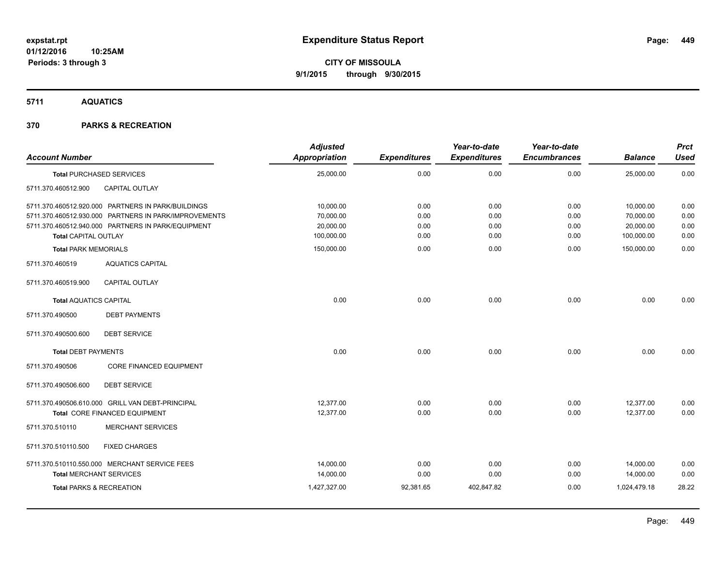**5711 AQUATICS**

| <b>Account Number</b>                                      |                                                                                                                                                                   | <b>Adjusted</b><br>Appropriation    | <b>Expenditures</b>  | Year-to-date<br><b>Expenditures</b> | Year-to-date<br><b>Encumbrances</b> | <b>Balance</b>                      | <b>Prct</b><br><b>Used</b> |
|------------------------------------------------------------|-------------------------------------------------------------------------------------------------------------------------------------------------------------------|-------------------------------------|----------------------|-------------------------------------|-------------------------------------|-------------------------------------|----------------------------|
|                                                            | <b>Total PURCHASED SERVICES</b>                                                                                                                                   | 25,000.00                           | 0.00                 | 0.00                                | 0.00                                | 25,000.00                           | 0.00                       |
| 5711.370.460512.900                                        | CAPITAL OUTLAY                                                                                                                                                    |                                     |                      |                                     |                                     |                                     |                            |
|                                                            | 5711.370.460512.920.000 PARTNERS IN PARK/BUILDINGS<br>5711.370.460512.930.000 PARTNERS IN PARK/IMPROVEMENTS<br>5711.370.460512.940.000 PARTNERS IN PARK/EQUIPMENT | 10,000.00<br>70,000.00<br>20,000.00 | 0.00<br>0.00<br>0.00 | 0.00<br>0.00<br>0.00                | 0.00<br>0.00<br>0.00                | 10,000.00<br>70,000.00<br>20,000.00 | 0.00<br>0.00<br>0.00       |
| <b>Total CAPITAL OUTLAY</b><br><b>Total PARK MEMORIALS</b> |                                                                                                                                                                   | 100,000.00<br>150,000.00            | 0.00<br>0.00         | 0.00<br>0.00                        | 0.00<br>0.00                        | 100,000.00<br>150,000.00            | 0.00<br>0.00               |
| 5711.370.460519                                            | <b>AQUATICS CAPITAL</b>                                                                                                                                           |                                     |                      |                                     |                                     |                                     |                            |
| 5711.370.460519.900                                        | CAPITAL OUTLAY                                                                                                                                                    |                                     |                      |                                     |                                     |                                     |                            |
| <b>Total AQUATICS CAPITAL</b>                              |                                                                                                                                                                   | 0.00                                | 0.00                 | 0.00                                | 0.00                                | 0.00                                | 0.00                       |
| 5711.370.490500                                            | <b>DEBT PAYMENTS</b>                                                                                                                                              |                                     |                      |                                     |                                     |                                     |                            |
| 5711.370.490500.600                                        | <b>DEBT SERVICE</b>                                                                                                                                               |                                     |                      |                                     |                                     |                                     |                            |
| <b>Total DEBT PAYMENTS</b>                                 |                                                                                                                                                                   | 0.00                                | 0.00                 | 0.00                                | 0.00                                | 0.00                                | 0.00                       |
| 5711.370.490506                                            | <b>CORE FINANCED EQUIPMENT</b>                                                                                                                                    |                                     |                      |                                     |                                     |                                     |                            |
| 5711.370.490506.600                                        | <b>DEBT SERVICE</b>                                                                                                                                               |                                     |                      |                                     |                                     |                                     |                            |
|                                                            | 5711.370.490506.610.000 GRILL VAN DEBT-PRINCIPAL<br>Total CORE FINANCED EQUIPMENT                                                                                 | 12.377.00<br>12,377.00              | 0.00<br>0.00         | 0.00<br>0.00                        | 0.00<br>0.00                        | 12,377.00<br>12,377.00              | 0.00<br>0.00               |
| 5711.370.510110                                            | <b>MERCHANT SERVICES</b>                                                                                                                                          |                                     |                      |                                     |                                     |                                     |                            |
| 5711.370.510110.500                                        | <b>FIXED CHARGES</b>                                                                                                                                              |                                     |                      |                                     |                                     |                                     |                            |
|                                                            | 5711.370.510110.550.000 MERCHANT SERVICE FEES<br><b>Total MERCHANT SERVICES</b>                                                                                   | 14,000.00<br>14,000.00              | 0.00<br>0.00         | 0.00<br>0.00                        | 0.00<br>0.00                        | 14,000.00<br>14,000.00              | 0.00<br>0.00               |
|                                                            | <b>Total PARKS &amp; RECREATION</b>                                                                                                                               | 1,427,327.00                        | 92,381.65            | 402,847.82                          | 0.00                                | 1,024,479.18                        | 28.22                      |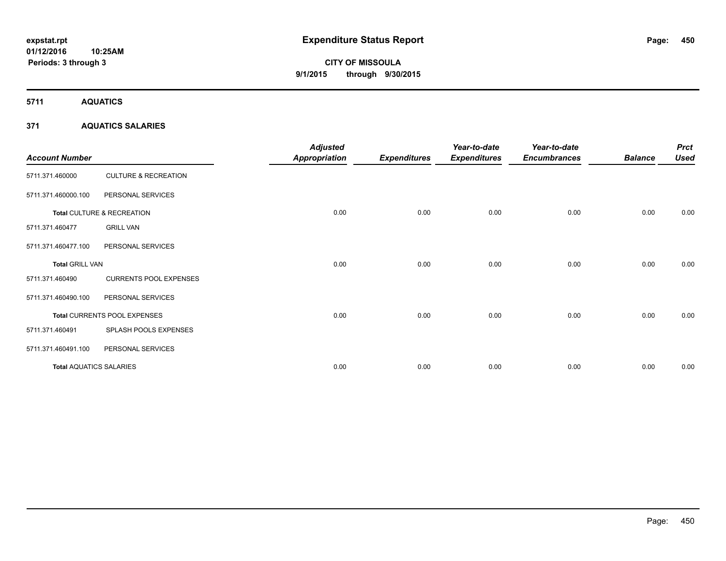**5711 AQUATICS**

# **371 AQUATICS SALARIES**

| <b>Account Number</b>          |                                 | <b>Adjusted</b><br><b>Appropriation</b> | <b>Expenditures</b> | Year-to-date<br><b>Expenditures</b> | Year-to-date<br><b>Encumbrances</b> | <b>Balance</b> | <b>Prct</b><br><b>Used</b> |
|--------------------------------|---------------------------------|-----------------------------------------|---------------------|-------------------------------------|-------------------------------------|----------------|----------------------------|
| 5711.371.460000                | <b>CULTURE &amp; RECREATION</b> |                                         |                     |                                     |                                     |                |                            |
| 5711.371.460000.100            | PERSONAL SERVICES               |                                         |                     |                                     |                                     |                |                            |
|                                | Total CULTURE & RECREATION      | 0.00                                    | 0.00                | 0.00                                | 0.00                                | 0.00           | 0.00                       |
| 5711.371.460477                | <b>GRILL VAN</b>                |                                         |                     |                                     |                                     |                |                            |
| 5711.371.460477.100            | PERSONAL SERVICES               |                                         |                     |                                     |                                     |                |                            |
| <b>Total GRILL VAN</b>         |                                 | 0.00                                    | 0.00                | 0.00                                | 0.00                                | 0.00           | 0.00                       |
| 5711.371.460490                | <b>CURRENTS POOL EXPENSES</b>   |                                         |                     |                                     |                                     |                |                            |
| 5711.371.460490.100            | PERSONAL SERVICES               |                                         |                     |                                     |                                     |                |                            |
|                                | Total CURRENTS POOL EXPENSES    | 0.00                                    | 0.00                | 0.00                                | 0.00                                | 0.00           | 0.00                       |
| 5711.371.460491                | SPLASH POOLS EXPENSES           |                                         |                     |                                     |                                     |                |                            |
| 5711.371.460491.100            | PERSONAL SERVICES               |                                         |                     |                                     |                                     |                |                            |
| <b>Total AQUATICS SALARIES</b> |                                 | 0.00                                    | 0.00                | 0.00                                | 0.00                                | 0.00           | 0.00                       |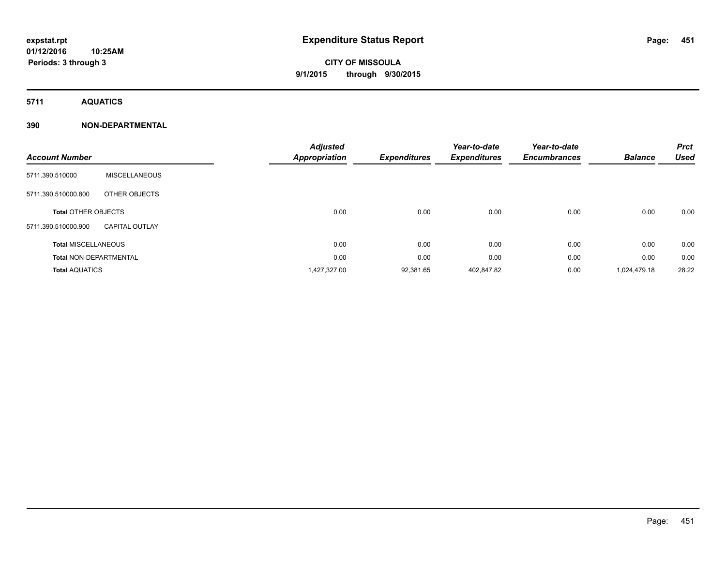**5711 AQUATICS**

# **390 NON-DEPARTMENTAL**

| <b>Account Number</b>         |                       | <b>Adjusted</b><br>Appropriation | <b>Expenditures</b> | Year-to-date<br><b>Expenditures</b> | Year-to-date<br><b>Encumbrances</b> | <b>Balance</b> | <b>Prct</b><br><b>Used</b> |
|-------------------------------|-----------------------|----------------------------------|---------------------|-------------------------------------|-------------------------------------|----------------|----------------------------|
| 5711.390.510000               | <b>MISCELLANEOUS</b>  |                                  |                     |                                     |                                     |                |                            |
| 5711.390.510000.800           | OTHER OBJECTS         |                                  |                     |                                     |                                     |                |                            |
| <b>Total OTHER OBJECTS</b>    |                       | 0.00                             | 0.00                | 0.00                                | 0.00                                | 0.00           | 0.00                       |
| 5711.390.510000.900           | <b>CAPITAL OUTLAY</b> |                                  |                     |                                     |                                     |                |                            |
| <b>Total MISCELLANEOUS</b>    |                       | 0.00                             | 0.00                | 0.00                                | 0.00                                | 0.00           | 0.00                       |
| <b>Total NON-DEPARTMENTAL</b> |                       | 0.00                             | 0.00                | 0.00                                | 0.00                                | 0.00           | 0.00                       |
| <b>Total AQUATICS</b>         |                       | 1,427,327.00                     | 92,381.65           | 402,847.82                          | 0.00                                | 1,024,479.18   | 28.22                      |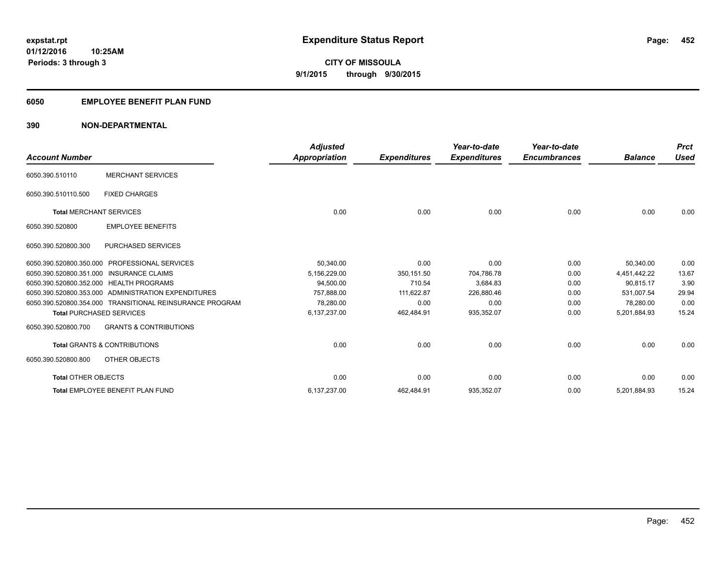# **6050 EMPLOYEE BENEFIT PLAN FUND**

# **390 NON-DEPARTMENTAL**

| <b>Account Number</b>           |                                                          | <b>Adjusted</b><br><b>Appropriation</b> | <b>Expenditures</b> | Year-to-date<br><b>Expenditures</b> | Year-to-date<br><b>Encumbrances</b> | <b>Balance</b> | <b>Prct</b><br><b>Used</b> |
|---------------------------------|----------------------------------------------------------|-----------------------------------------|---------------------|-------------------------------------|-------------------------------------|----------------|----------------------------|
| 6050.390.510110                 | <b>MERCHANT SERVICES</b>                                 |                                         |                     |                                     |                                     |                |                            |
|                                 |                                                          |                                         |                     |                                     |                                     |                |                            |
| 6050.390.510110.500             | <b>FIXED CHARGES</b>                                     |                                         |                     |                                     |                                     |                |                            |
| <b>Total MERCHANT SERVICES</b>  |                                                          | 0.00                                    | 0.00                | 0.00                                | 0.00                                | 0.00           | 0.00                       |
| 6050.390.520800                 | <b>EMPLOYEE BENEFITS</b>                                 |                                         |                     |                                     |                                     |                |                            |
| 6050.390.520800.300             | <b>PURCHASED SERVICES</b>                                |                                         |                     |                                     |                                     |                |                            |
| 6050.390.520800.350.000         | <b>PROFESSIONAL SERVICES</b>                             | 50,340.00                               | 0.00                | 0.00                                | 0.00                                | 50,340.00      | 0.00                       |
|                                 | 6050.390.520800.351.000 INSURANCE CLAIMS                 | 5,156,229.00                            | 350,151.50          | 704.786.78                          | 0.00                                | 4,451,442.22   | 13.67                      |
|                                 | 6050.390.520800.352.000 HEALTH PROGRAMS                  | 94,500.00                               | 710.54              | 3,684.83                            | 0.00                                | 90.815.17      | 3.90                       |
|                                 | 6050.390.520800.353.000 ADMINISTRATION EXPENDITURES      | 757.888.00                              | 111,622.87          | 226,880.46                          | 0.00                                | 531.007.54     | 29.94                      |
|                                 | 6050.390.520800.354.000 TRANSITIONAL REINSURANCE PROGRAM | 78,280.00                               | 0.00                | 0.00                                | 0.00                                | 78,280.00      | 0.00                       |
| <b>Total PURCHASED SERVICES</b> |                                                          | 6,137,237.00                            | 462,484.91          | 935,352.07                          | 0.00                                | 5,201,884.93   | 15.24                      |
| 6050.390.520800.700             | <b>GRANTS &amp; CONTRIBUTIONS</b>                        |                                         |                     |                                     |                                     |                |                            |
|                                 | <b>Total GRANTS &amp; CONTRIBUTIONS</b>                  | 0.00                                    | 0.00                | 0.00                                | 0.00                                | 0.00           | 0.00                       |
| 6050.390.520800.800             | OTHER OBJECTS                                            |                                         |                     |                                     |                                     |                |                            |
| <b>Total OTHER OBJECTS</b>      |                                                          | 0.00                                    | 0.00                | 0.00                                | 0.00                                | 0.00           | 0.00                       |
|                                 | Total EMPLOYEE BENEFIT PLAN FUND                         | 6,137,237.00                            | 462,484.91          | 935,352.07                          | 0.00                                | 5,201,884.93   | 15.24                      |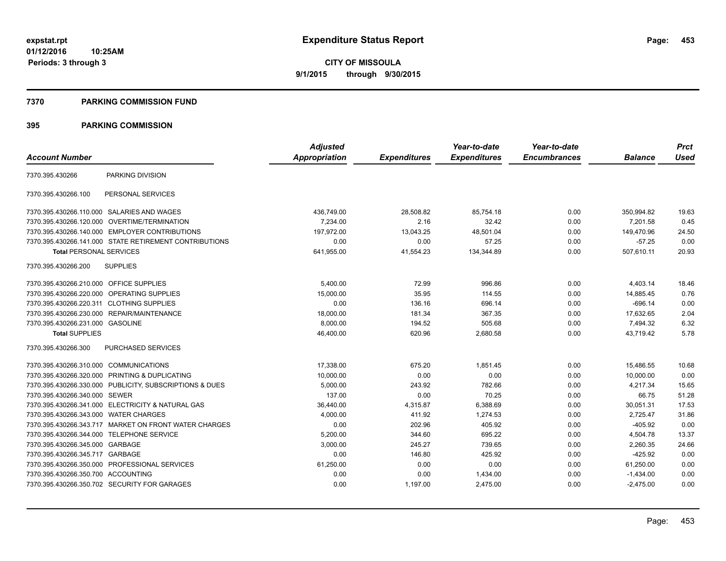**01/12/2016 10:25AM Periods: 3 through 3**

**CITY OF MISSOULA 9/1/2015 through 9/30/2015**

### **7370 PARKING COMMISSION FUND**

|                                           |                                                         | <b>Adjusted</b> |                     | Year-to-date        | Year-to-date        |                | <b>Prct</b> |
|-------------------------------------------|---------------------------------------------------------|-----------------|---------------------|---------------------|---------------------|----------------|-------------|
| <b>Account Number</b>                     |                                                         | Appropriation   | <b>Expenditures</b> | <b>Expenditures</b> | <b>Encumbrances</b> | <b>Balance</b> | <b>Used</b> |
| 7370.395.430266                           | PARKING DIVISION                                        |                 |                     |                     |                     |                |             |
| 7370.395.430266.100                       | PERSONAL SERVICES                                       |                 |                     |                     |                     |                |             |
|                                           | 7370.395.430266.110.000 SALARIES AND WAGES              | 436,749.00      | 28,508.82           | 85,754.18           | 0.00                | 350,994.82     | 19.63       |
|                                           | 7370.395.430266.120.000 OVERTIME/TERMINATION            | 7,234.00        | 2.16                | 32.42               | 0.00                | 7,201.58       | 0.45        |
|                                           | 7370.395.430266.140.000 EMPLOYER CONTRIBUTIONS          | 197.972.00      | 13,043.25           | 48,501.04           | 0.00                | 149,470.96     | 24.50       |
|                                           | 7370.395.430266.141.000 STATE RETIREMENT CONTRIBUTIONS  | 0.00            | 0.00                | 57.25               | 0.00                | $-57.25$       | 0.00        |
| <b>Total PERSONAL SERVICES</b>            |                                                         | 641,955.00      | 41,554.23           | 134,344.89          | 0.00                | 507,610.11     | 20.93       |
| 7370.395.430266.200                       | <b>SUPPLIES</b>                                         |                 |                     |                     |                     |                |             |
| 7370.395.430266.210.000 OFFICE SUPPLIES   |                                                         | 5,400.00        | 72.99               | 996.86              | 0.00                | 4,403.14       | 18.46       |
|                                           | 7370.395.430266.220.000 OPERATING SUPPLIES              | 15,000.00       | 35.95               | 114.55              | 0.00                | 14.885.45      | 0.76        |
| 7370.395.430266.220.311 CLOTHING SUPPLIES |                                                         | 0.00            | 136.16              | 696.14              | 0.00                | $-696.14$      | 0.00        |
| 7370.395.430266.230.000                   | REPAIR/MAINTENANCE                                      | 18,000.00       | 181.34              | 367.35              | 0.00                | 17,632.65      | 2.04        |
| 7370.395.430266.231.000 GASOLINE          |                                                         | 8,000.00        | 194.52              | 505.68              | 0.00                | 7,494.32       | 6.32        |
| <b>Total SUPPLIES</b>                     |                                                         | 46,400.00       | 620.96              | 2,680.58            | 0.00                | 43,719.42      | 5.78        |
| 7370.395.430266.300                       | <b>PURCHASED SERVICES</b>                               |                 |                     |                     |                     |                |             |
| 7370.395.430266.310.000 COMMUNICATIONS    |                                                         | 17,338.00       | 675.20              | 1,851.45            | 0.00                | 15,486.55      | 10.68       |
|                                           | 7370.395.430266.320.000 PRINTING & DUPLICATING          | 10,000.00       | 0.00                | 0.00                | 0.00                | 10,000.00      | 0.00        |
|                                           | 7370.395.430266.330.000 PUBLICITY, SUBSCRIPTIONS & DUES | 5,000.00        | 243.92              | 782.66              | 0.00                | 4,217.34       | 15.65       |
| 7370.395.430266.340.000 SEWER             |                                                         | 137.00          | 0.00                | 70.25               | 0.00                | 66.75          | 51.28       |
|                                           | 7370.395.430266.341.000 ELECTRICITY & NATURAL GAS       | 36,440.00       | 4,315.87            | 6,388.69            | 0.00                | 30,051.31      | 17.53       |
| 7370.395.430266.343.000                   | <b>WATER CHARGES</b>                                    | 4,000.00        | 411.92              | 1,274.53            | 0.00                | 2,725.47       | 31.86       |
|                                           | 7370.395.430266.343.717 MARKET ON FRONT WATER CHARGES   | 0.00            | 202.96              | 405.92              | 0.00                | $-405.92$      | 0.00        |
| 7370.395.430266.344.000                   | <b>TELEPHONE SERVICE</b>                                | 5,200.00        | 344.60              | 695.22              | 0.00                | 4,504.78       | 13.37       |
| 7370.395.430266.345.000 GARBAGE           |                                                         | 3,000.00        | 245.27              | 739.65              | 0.00                | 2,260.35       | 24.66       |
| 7370.395.430266.345.717                   | GARBAGE                                                 | 0.00            | 146.80              | 425.92              | 0.00                | $-425.92$      | 0.00        |
|                                           | 7370.395.430266.350.000 PROFESSIONAL SERVICES           | 61,250.00       | 0.00                | 0.00                | 0.00                | 61,250.00      | 0.00        |
| 7370.395.430266.350.700 ACCOUNTING        |                                                         | 0.00            | 0.00                | 1,434.00            | 0.00                | $-1,434.00$    | 0.00        |
|                                           | 7370.395.430266.350.702 SECURITY FOR GARAGES            | 0.00            | 1,197.00            | 2.475.00            | 0.00                | $-2.475.00$    | 0.00        |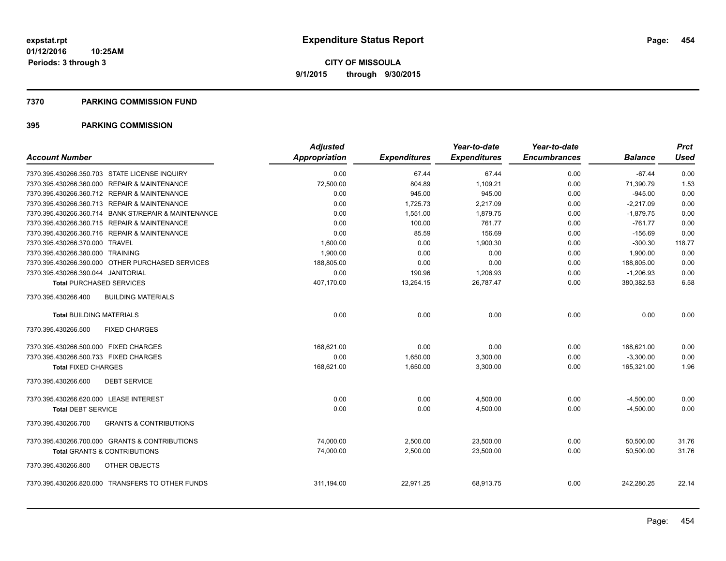### **7370 PARKING COMMISSION FUND**

|                                                          | <b>Adjusted</b>      |                     | Year-to-date        | Year-to-date        |                | <b>Prct</b> |
|----------------------------------------------------------|----------------------|---------------------|---------------------|---------------------|----------------|-------------|
| <b>Account Number</b>                                    | <b>Appropriation</b> | <b>Expenditures</b> | <b>Expenditures</b> | <b>Encumbrances</b> | <b>Balance</b> | <b>Used</b> |
| 7370.395.430266.350.703 STATE LICENSE INQUIRY            | 0.00                 | 67.44               | 67.44               | 0.00                | $-67.44$       | 0.00        |
| 7370.395.430266.360.000 REPAIR & MAINTENANCE             | 72,500.00            | 804.89              | 1,109.21            | 0.00                | 71,390.79      | 1.53        |
| 7370.395.430266.360.712 REPAIR & MAINTENANCE             | 0.00                 | 945.00              | 945.00              | 0.00                | $-945.00$      | 0.00        |
| 7370.395.430266.360.713 REPAIR & MAINTENANCE             | 0.00                 | 1,725.73            | 2,217.09            | 0.00                | $-2,217.09$    | 0.00        |
| 7370.395.430266.360.714 BANK ST/REPAIR & MAINTENANCE     | 0.00                 | 1,551.00            | 1,879.75            | 0.00                | $-1,879.75$    | 0.00        |
| 7370.395.430266.360.715 REPAIR & MAINTENANCE             | 0.00                 | 100.00              | 761.77              | 0.00                | $-761.77$      | 0.00        |
| 7370.395.430266.360.716 REPAIR & MAINTENANCE             | 0.00                 | 85.59               | 156.69              | 0.00                | $-156.69$      | 0.00        |
| 7370.395.430266.370.000 TRAVEL                           | 1,600.00             | 0.00                | 1,900.30            | 0.00                | $-300.30$      | 118.77      |
| 7370.395.430266.380.000 TRAINING                         | 1,900.00             | 0.00                | 0.00                | 0.00                | 1,900.00       | 0.00        |
| 7370.395.430266.390.000 OTHER PURCHASED SERVICES         | 188,805.00           | 0.00                | 0.00                | 0.00                | 188,805.00     | 0.00        |
| 7370.395.430266.390.044 JANITORIAL                       | 0.00                 | 190.96              | 1,206.93            | 0.00                | $-1,206.93$    | 0.00        |
| <b>Total PURCHASED SERVICES</b>                          | 407,170.00           | 13,254.15           | 26,787.47           | 0.00                | 380,382.53     | 6.58        |
| <b>BUILDING MATERIALS</b><br>7370.395.430266.400         |                      |                     |                     |                     |                |             |
| <b>Total BUILDING MATERIALS</b>                          | 0.00                 | 0.00                | 0.00                | 0.00                | 0.00           | 0.00        |
| <b>FIXED CHARGES</b><br>7370.395.430266.500              |                      |                     |                     |                     |                |             |
| 7370.395.430266.500.000 FIXED CHARGES                    | 168.621.00           | 0.00                | 0.00                | 0.00                | 168,621.00     | 0.00        |
| 7370.395.430266.500.733 FIXED CHARGES                    | 0.00                 | 1,650.00            | 3,300.00            | 0.00                | $-3,300.00$    | 0.00        |
| <b>Total FIXED CHARGES</b>                               | 168,621.00           | 1,650.00            | 3,300.00            | 0.00                | 165,321.00     | 1.96        |
| 7370.395.430266.600<br><b>DEBT SERVICE</b>               |                      |                     |                     |                     |                |             |
| 7370.395.430266.620.000 LEASE INTEREST                   | 0.00                 | 0.00                | 4,500.00            | 0.00                | $-4,500.00$    | 0.00        |
| <b>Total DEBT SERVICE</b>                                | 0.00                 | 0.00                | 4,500.00            | 0.00                | $-4,500.00$    | 0.00        |
| 7370.395.430266.700<br><b>GRANTS &amp; CONTRIBUTIONS</b> |                      |                     |                     |                     |                |             |
| 7370.395.430266.700.000 GRANTS & CONTRIBUTIONS           | 74,000.00            | 2,500.00            | 23,500.00           | 0.00                | 50,500.00      | 31.76       |
| <b>Total GRANTS &amp; CONTRIBUTIONS</b>                  | 74,000.00            | 2,500.00            | 23,500.00           | 0.00                | 50.500.00      | 31.76       |
| 7370.395.430266.800<br>OTHER OBJECTS                     |                      |                     |                     |                     |                |             |
| 7370.395.430266.820.000 TRANSFERS TO OTHER FUNDS         | 311,194.00           | 22,971.25           | 68,913.75           | 0.00                | 242,280.25     | 22.14       |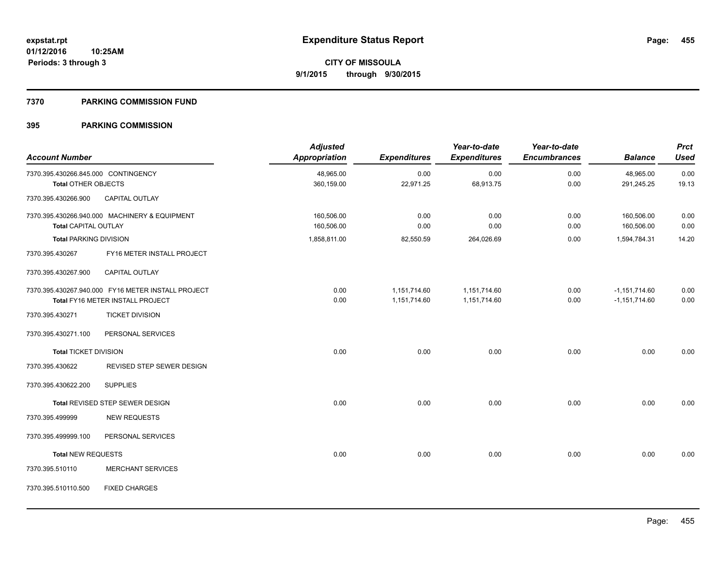### **7370 PARKING COMMISSION FUND**

| <b>Account Number</b>               |                                                    | <b>Adjusted</b><br>Appropriation | <b>Expenditures</b> | Year-to-date<br><b>Expenditures</b> | Year-to-date<br><b>Encumbrances</b> | <b>Balance</b>  | <b>Prct</b><br><b>Used</b> |
|-------------------------------------|----------------------------------------------------|----------------------------------|---------------------|-------------------------------------|-------------------------------------|-----------------|----------------------------|
| 7370.395.430266.845.000 CONTINGENCY |                                                    | 48,965.00                        | 0.00                | 0.00                                | 0.00                                | 48,965.00       | 0.00                       |
| <b>Total OTHER OBJECTS</b>          |                                                    | 360,159.00                       | 22,971.25           | 68,913.75                           | 0.00                                | 291,245.25      | 19.13                      |
| 7370.395.430266.900                 | CAPITAL OUTLAY                                     |                                  |                     |                                     |                                     |                 |                            |
|                                     | 7370.395.430266.940.000 MACHINERY & EQUIPMENT      | 160,506.00                       | 0.00                | 0.00                                | 0.00                                | 160,506.00      | 0.00                       |
| <b>Total CAPITAL OUTLAY</b>         |                                                    | 160,506.00                       | 0.00                | 0.00                                | 0.00                                | 160,506.00      | 0.00                       |
| <b>Total PARKING DIVISION</b>       |                                                    | 1,858,811.00                     | 82,550.59           | 264,026.69                          | 0.00                                | 1,594,784.31    | 14.20                      |
| 7370.395.430267                     | FY16 METER INSTALL PROJECT                         |                                  |                     |                                     |                                     |                 |                            |
| 7370.395.430267.900                 | <b>CAPITAL OUTLAY</b>                              |                                  |                     |                                     |                                     |                 |                            |
|                                     | 7370.395.430267.940.000 FY16 METER INSTALL PROJECT | 0.00                             | 1,151,714.60        | 1,151,714.60                        | 0.00                                | $-1,151,714.60$ | 0.00                       |
|                                     | Total FY16 METER INSTALL PROJECT                   | 0.00                             | 1,151,714.60        | 1,151,714.60                        | 0.00                                | $-1,151,714.60$ | 0.00                       |
| 7370.395.430271                     | <b>TICKET DIVISION</b>                             |                                  |                     |                                     |                                     |                 |                            |
| 7370.395.430271.100                 | PERSONAL SERVICES                                  |                                  |                     |                                     |                                     |                 |                            |
| <b>Total TICKET DIVISION</b>        |                                                    | 0.00                             | 0.00                | 0.00                                | 0.00                                | 0.00            | 0.00                       |
| 7370.395.430622                     | <b>REVISED STEP SEWER DESIGN</b>                   |                                  |                     |                                     |                                     |                 |                            |
| 7370.395.430622.200                 | <b>SUPPLIES</b>                                    |                                  |                     |                                     |                                     |                 |                            |
|                                     | Total REVISED STEP SEWER DESIGN                    | 0.00                             | 0.00                | 0.00                                | 0.00                                | 0.00            | 0.00                       |
| 7370.395.499999                     | <b>NEW REQUESTS</b>                                |                                  |                     |                                     |                                     |                 |                            |
| 7370.395.499999.100                 | PERSONAL SERVICES                                  |                                  |                     |                                     |                                     |                 |                            |
| <b>Total NEW REQUESTS</b>           |                                                    | 0.00                             | 0.00                | 0.00                                | 0.00                                | 0.00            | 0.00                       |
| 7370.395.510110                     | <b>MERCHANT SERVICES</b>                           |                                  |                     |                                     |                                     |                 |                            |
| 7370.395.510110.500                 | <b>FIXED CHARGES</b>                               |                                  |                     |                                     |                                     |                 |                            |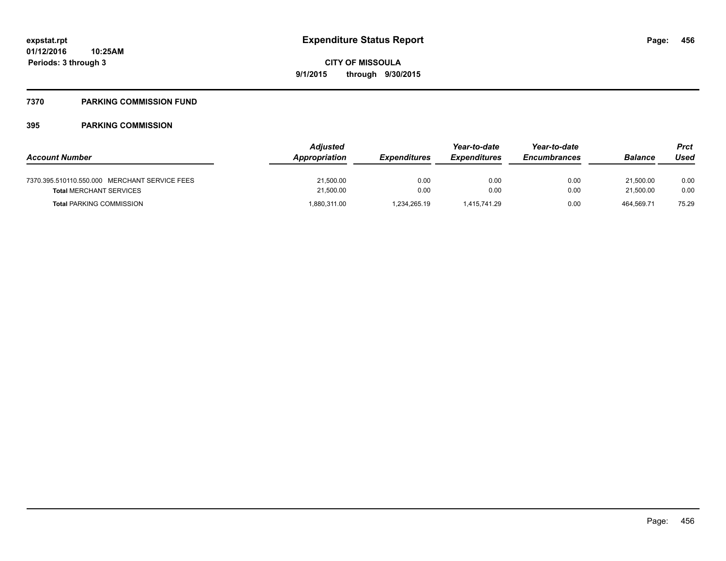# **7370 PARKING COMMISSION FUND**

| <b>Account Number</b>                                                           | <b>Adjusted</b><br><b>Appropriation</b> | <i><b>Expenditures</b></i> | Year-to-date<br><i><b>Expenditures</b></i> | Year-to-date<br><b>Encumbrances</b> | Balance                | Prct<br>Used |
|---------------------------------------------------------------------------------|-----------------------------------------|----------------------------|--------------------------------------------|-------------------------------------|------------------------|--------------|
| 7370.395.510110.550.000 MERCHANT SERVICE FEES<br><b>Total MERCHANT SERVICES</b> | 21,500.00<br>21,500.00                  | 0.00<br>0.00               | 0.00<br>0.00                               | 0.00<br>0.00                        | 21.500.00<br>21,500.00 | 0.00<br>0.00 |
| <b>Total PARKING COMMISSION</b>                                                 | 1,880,311.00                            | 1.234.265.19               | 1.415.741.29                               | 0.00                                | 464.569.71             | 75.29        |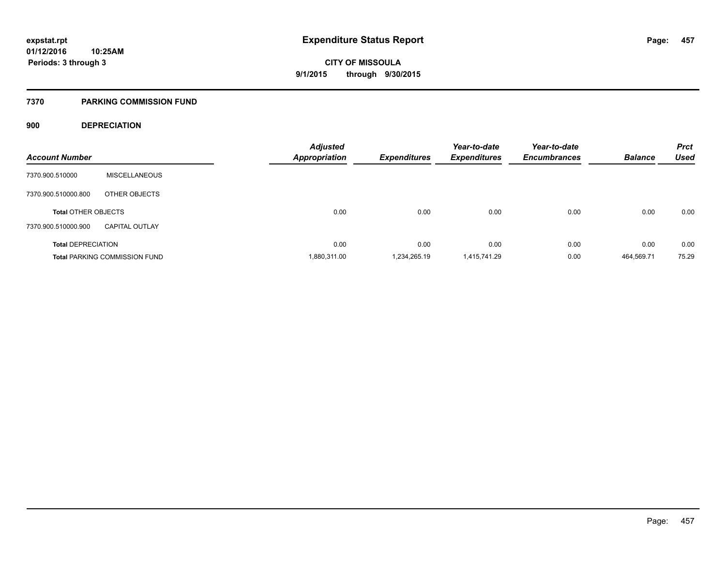# **7370 PARKING COMMISSION FUND**

# **900 DEPRECIATION**

| <b>Account Number</b>      |                                      | <b>Adjusted</b><br><b>Appropriation</b> | <b>Expenditures</b> | Year-to-date<br><b>Expenditures</b> | Year-to-date<br><b>Encumbrances</b> | <b>Balance</b> | <b>Prct</b><br><b>Used</b> |
|----------------------------|--------------------------------------|-----------------------------------------|---------------------|-------------------------------------|-------------------------------------|----------------|----------------------------|
|                            |                                      |                                         |                     |                                     |                                     |                |                            |
| 7370.900.510000            | <b>MISCELLANEOUS</b>                 |                                         |                     |                                     |                                     |                |                            |
| 7370.900.510000.800        | OTHER OBJECTS                        |                                         |                     |                                     |                                     |                |                            |
| <b>Total OTHER OBJECTS</b> |                                      | 0.00                                    | 0.00                | 0.00                                | 0.00                                | 0.00           | 0.00                       |
| 7370.900.510000.900        | <b>CAPITAL OUTLAY</b>                |                                         |                     |                                     |                                     |                |                            |
| <b>Total DEPRECIATION</b>  |                                      | 0.00                                    | 0.00                | 0.00                                | 0.00                                | 0.00           | 0.00                       |
|                            | <b>Total PARKING COMMISSION FUND</b> | 1,880,311.00                            | 1.234.265.19        | 1,415,741.29                        | 0.00                                | 464.569.71     | 75.29                      |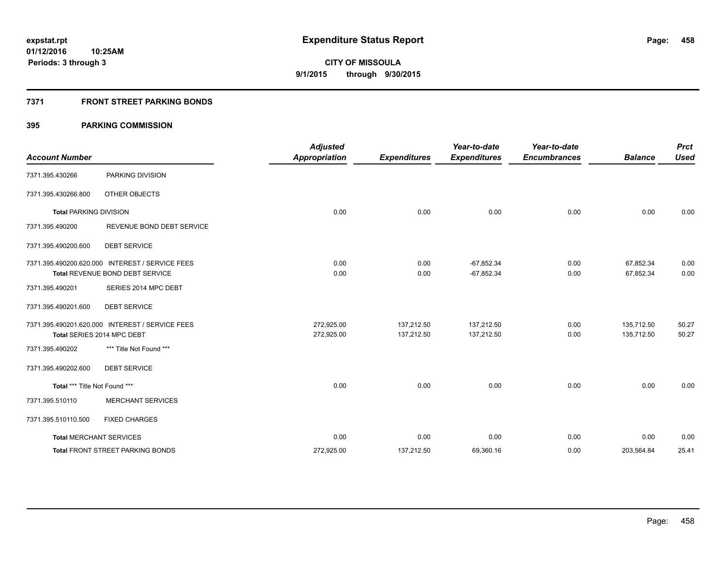# **7371 FRONT STREET PARKING BONDS**

| <b>Account Number</b>         |                                                                                    | <b>Adjusted</b><br><b>Appropriation</b> | <b>Expenditures</b>      | Year-to-date<br><b>Expenditures</b> | Year-to-date<br><b>Encumbrances</b> | <b>Balance</b>           | <b>Prct</b><br><b>Used</b> |
|-------------------------------|------------------------------------------------------------------------------------|-----------------------------------------|--------------------------|-------------------------------------|-------------------------------------|--------------------------|----------------------------|
| 7371.395.430266               | PARKING DIVISION                                                                   |                                         |                          |                                     |                                     |                          |                            |
| 7371.395.430266.800           | <b>OTHER OBJECTS</b>                                                               |                                         |                          |                                     |                                     |                          |                            |
| <b>Total PARKING DIVISION</b> |                                                                                    | 0.00                                    | 0.00                     | 0.00                                | 0.00                                | 0.00                     | 0.00                       |
| 7371.395.490200               | REVENUE BOND DEBT SERVICE                                                          |                                         |                          |                                     |                                     |                          |                            |
| 7371.395.490200.600           | <b>DEBT SERVICE</b>                                                                |                                         |                          |                                     |                                     |                          |                            |
|                               | 7371.395.490200.620.000 INTEREST / SERVICE FEES<br>Total REVENUE BOND DEBT SERVICE | 0.00<br>0.00                            | 0.00<br>0.00             | $-67,852.34$<br>$-67,852.34$        | 0.00<br>0.00                        | 67,852.34<br>67,852.34   | 0.00<br>0.00               |
| 7371.395.490201               | SERIES 2014 MPC DEBT                                                               |                                         |                          |                                     |                                     |                          |                            |
| 7371.395.490201.600           | <b>DEBT SERVICE</b>                                                                |                                         |                          |                                     |                                     |                          |                            |
|                               | 7371.395.490201.620.000 INTEREST / SERVICE FEES<br>Total SERIES 2014 MPC DEBT      | 272,925.00<br>272,925.00                | 137,212.50<br>137,212.50 | 137,212.50<br>137,212.50            | 0.00<br>0.00                        | 135.712.50<br>135,712.50 | 50.27<br>50.27             |
| 7371.395.490202               | *** Title Not Found ***                                                            |                                         |                          |                                     |                                     |                          |                            |
| 7371.395.490202.600           | <b>DEBT SERVICE</b>                                                                |                                         |                          |                                     |                                     |                          |                            |
| Total *** Title Not Found *** |                                                                                    | 0.00                                    | 0.00                     | 0.00                                | 0.00                                | 0.00                     | 0.00                       |
| 7371.395.510110               | <b>MERCHANT SERVICES</b>                                                           |                                         |                          |                                     |                                     |                          |                            |
| 7371.395.510110.500           | <b>FIXED CHARGES</b>                                                               |                                         |                          |                                     |                                     |                          |                            |
|                               | <b>Total MERCHANT SERVICES</b>                                                     | 0.00                                    | 0.00                     | 0.00                                | 0.00                                | 0.00                     | 0.00                       |
|                               | <b>Total FRONT STREET PARKING BONDS</b>                                            | 272,925.00                              | 137,212.50               | 69,360.16                           | 0.00                                | 203,564.84               | 25.41                      |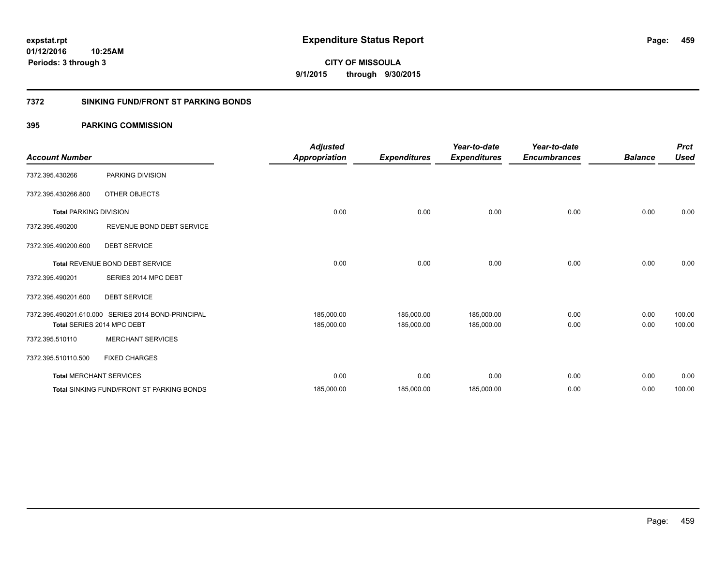**Periods: 3 through 3**

**CITY OF MISSOULA 9/1/2015 through 9/30/2015**

# **7372 SINKING FUND/FRONT ST PARKING BONDS**

# **395 PARKING COMMISSION**

**10:25AM**

| <b>Account Number</b>         |                                                    | <b>Adjusted</b><br>Appropriation | <b>Expenditures</b> | Year-to-date<br><b>Expenditures</b> | Year-to-date<br><b>Encumbrances</b> | <b>Balance</b> | <b>Prct</b><br><b>Used</b> |
|-------------------------------|----------------------------------------------------|----------------------------------|---------------------|-------------------------------------|-------------------------------------|----------------|----------------------------|
| 7372.395.430266               | PARKING DIVISION                                   |                                  |                     |                                     |                                     |                |                            |
| 7372.395.430266.800           | <b>OTHER OBJECTS</b>                               |                                  |                     |                                     |                                     |                |                            |
| <b>Total PARKING DIVISION</b> |                                                    | 0.00                             | 0.00                | 0.00                                | 0.00                                | 0.00           | 0.00                       |
| 7372.395.490200               | REVENUE BOND DEBT SERVICE                          |                                  |                     |                                     |                                     |                |                            |
| 7372.395.490200.600           | <b>DEBT SERVICE</b>                                |                                  |                     |                                     |                                     |                |                            |
|                               | Total REVENUE BOND DEBT SERVICE                    | 0.00                             | 0.00                | 0.00                                | 0.00                                | 0.00           | 0.00                       |
| 7372.395.490201               | SERIES 2014 MPC DEBT                               |                                  |                     |                                     |                                     |                |                            |
| 7372.395.490201.600           | <b>DEBT SERVICE</b>                                |                                  |                     |                                     |                                     |                |                            |
|                               | 7372.395.490201.610.000 SERIES 2014 BOND-PRINCIPAL | 185,000.00                       | 185,000.00          | 185,000.00                          | 0.00                                | 0.00           | 100.00                     |
|                               | Total SERIES 2014 MPC DEBT                         | 185,000.00                       | 185,000.00          | 185,000.00                          | 0.00                                | 0.00           | 100.00                     |
| 7372.395.510110               | <b>MERCHANT SERVICES</b>                           |                                  |                     |                                     |                                     |                |                            |
| 7372.395.510110.500           | <b>FIXED CHARGES</b>                               |                                  |                     |                                     |                                     |                |                            |
|                               | <b>Total MERCHANT SERVICES</b>                     | 0.00                             | 0.00                | 0.00                                | 0.00                                | 0.00           | 0.00                       |
|                               | <b>Total SINKING FUND/FRONT ST PARKING BONDS</b>   | 185,000.00                       | 185,000.00          | 185,000.00                          | 0.00                                | 0.00           | 100.00                     |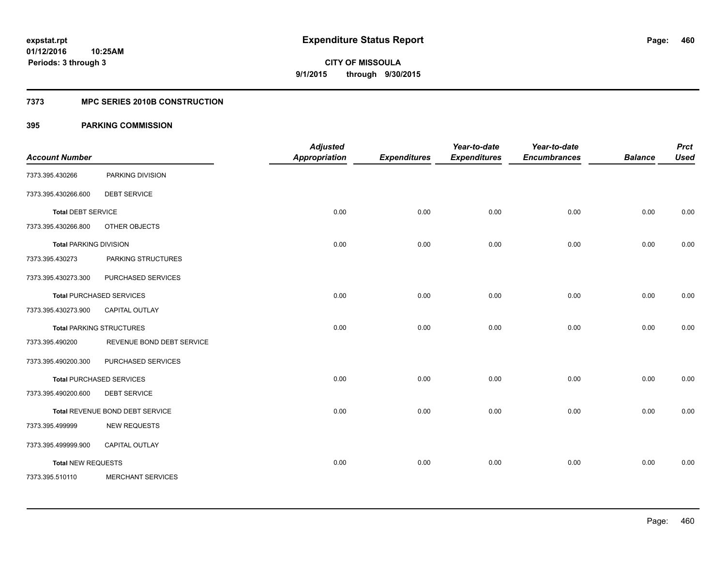# **7373 MPC SERIES 2010B CONSTRUCTION**

| <b>Account Number</b>         |                                 | <b>Adjusted</b><br><b>Appropriation</b> | <b>Expenditures</b> | Year-to-date<br><b>Expenditures</b> | Year-to-date<br><b>Encumbrances</b> | <b>Balance</b> | <b>Prct</b><br><b>Used</b> |
|-------------------------------|---------------------------------|-----------------------------------------|---------------------|-------------------------------------|-------------------------------------|----------------|----------------------------|
| 7373.395.430266               | PARKING DIVISION                |                                         |                     |                                     |                                     |                |                            |
| 7373.395.430266.600           | <b>DEBT SERVICE</b>             |                                         |                     |                                     |                                     |                |                            |
| <b>Total DEBT SERVICE</b>     |                                 | 0.00                                    | 0.00                | 0.00                                | 0.00                                | 0.00           | 0.00                       |
| 7373.395.430266.800           | OTHER OBJECTS                   |                                         |                     |                                     |                                     |                |                            |
| <b>Total PARKING DIVISION</b> |                                 | 0.00                                    | 0.00                | 0.00                                | 0.00                                | 0.00           | 0.00                       |
| 7373.395.430273               | PARKING STRUCTURES              |                                         |                     |                                     |                                     |                |                            |
| 7373.395.430273.300           | PURCHASED SERVICES              |                                         |                     |                                     |                                     |                |                            |
|                               | <b>Total PURCHASED SERVICES</b> | 0.00                                    | 0.00                | 0.00                                | 0.00                                | 0.00           | 0.00                       |
| 7373.395.430273.900           | CAPITAL OUTLAY                  |                                         |                     |                                     |                                     |                |                            |
|                               | <b>Total PARKING STRUCTURES</b> | 0.00                                    | 0.00                | 0.00                                | 0.00                                | 0.00           | 0.00                       |
| 7373.395.490200               | REVENUE BOND DEBT SERVICE       |                                         |                     |                                     |                                     |                |                            |
| 7373.395.490200.300           | PURCHASED SERVICES              |                                         |                     |                                     |                                     |                |                            |
|                               | <b>Total PURCHASED SERVICES</b> | 0.00                                    | 0.00                | 0.00                                | 0.00                                | 0.00           | 0.00                       |
| 7373.395.490200.600           | <b>DEBT SERVICE</b>             |                                         |                     |                                     |                                     |                |                            |
|                               | Total REVENUE BOND DEBT SERVICE | 0.00                                    | 0.00                | 0.00                                | 0.00                                | 0.00           | 0.00                       |
| 7373.395.499999               | <b>NEW REQUESTS</b>             |                                         |                     |                                     |                                     |                |                            |
| 7373.395.499999.900           | <b>CAPITAL OUTLAY</b>           |                                         |                     |                                     |                                     |                |                            |
| <b>Total NEW REQUESTS</b>     |                                 | 0.00                                    | 0.00                | 0.00                                | 0.00                                | 0.00           | 0.00                       |
| 7373.395.510110               | <b>MERCHANT SERVICES</b>        |                                         |                     |                                     |                                     |                |                            |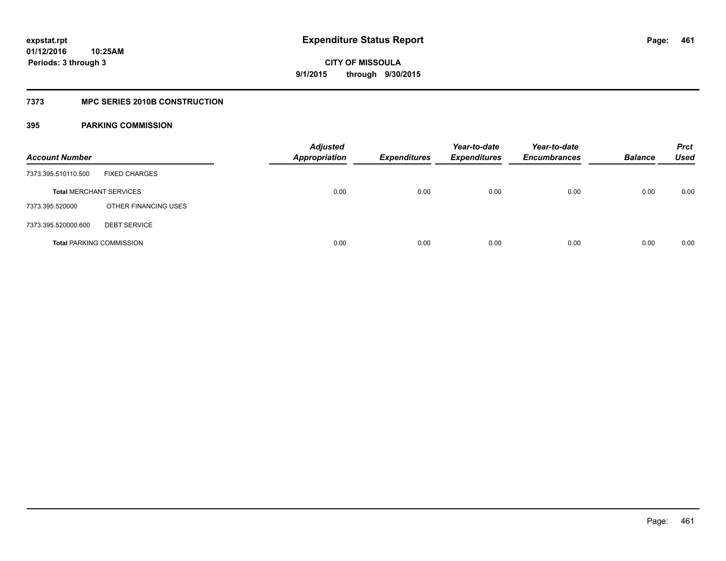# **7373 MPC SERIES 2010B CONSTRUCTION**

| <b>Account Number</b>          |                                 | <b>Adjusted</b><br><b>Appropriation</b> | <b>Expenditures</b> | Year-to-date<br><b>Expenditures</b> | Year-to-date<br><b>Encumbrances</b> | <b>Balance</b> | <b>Prct</b><br><b>Used</b> |
|--------------------------------|---------------------------------|-----------------------------------------|---------------------|-------------------------------------|-------------------------------------|----------------|----------------------------|
| 7373.395.510110.500            | <b>FIXED CHARGES</b>            |                                         |                     |                                     |                                     |                |                            |
| <b>Total MERCHANT SERVICES</b> |                                 | 0.00                                    | 0.00                | 0.00                                | 0.00                                | 0.00           | 0.00                       |
| 7373.395.520000                | OTHER FINANCING USES            |                                         |                     |                                     |                                     |                |                            |
| 7373.395.520000.600            | <b>DEBT SERVICE</b>             |                                         |                     |                                     |                                     |                |                            |
|                                | <b>Total PARKING COMMISSION</b> | 0.00                                    | 0.00                | 0.00                                | 0.00                                | 0.00           | 0.00                       |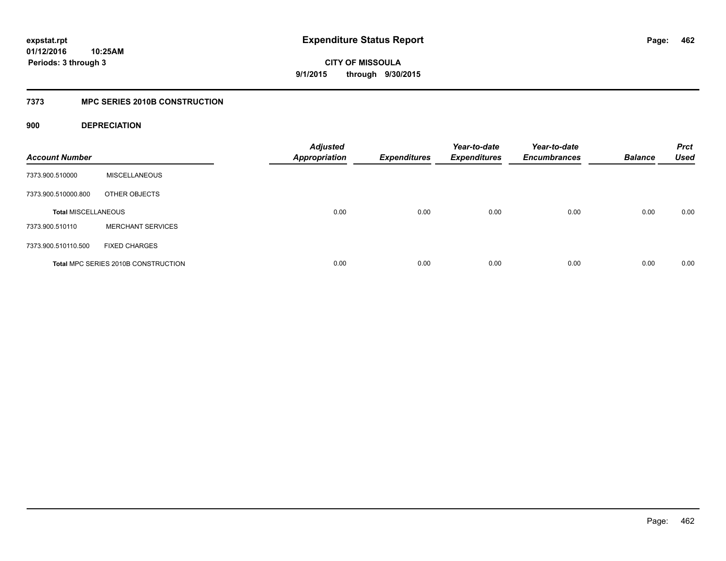# **01/12/2016 10:25AM Periods: 3 through 3**

**CITY OF MISSOULA 9/1/2015 through 9/30/2015**

# **7373 MPC SERIES 2010B CONSTRUCTION**

# **900 DEPRECIATION**

| <b>Account Number</b>      |                                     | <b>Adjusted</b><br><b>Appropriation</b> | <b>Expenditures</b> | Year-to-date<br><b>Expenditures</b> | Year-to-date<br><b>Encumbrances</b> | <b>Balance</b> | <b>Prct</b><br><b>Used</b> |
|----------------------------|-------------------------------------|-----------------------------------------|---------------------|-------------------------------------|-------------------------------------|----------------|----------------------------|
| 7373.900.510000            | <b>MISCELLANEOUS</b>                |                                         |                     |                                     |                                     |                |                            |
| 7373.900.510000.800        | OTHER OBJECTS                       |                                         |                     |                                     |                                     |                |                            |
| <b>Total MISCELLANEOUS</b> |                                     | 0.00                                    | 0.00                | 0.00                                | 0.00                                | 0.00           | 0.00                       |
| 7373.900.510110            | <b>MERCHANT SERVICES</b>            |                                         |                     |                                     |                                     |                |                            |
| 7373.900.510110.500        | <b>FIXED CHARGES</b>                |                                         |                     |                                     |                                     |                |                            |
|                            | Total MPC SERIES 2010B CONSTRUCTION | 0.00                                    | 0.00                | 0.00                                | 0.00                                | 0.00           | 0.00                       |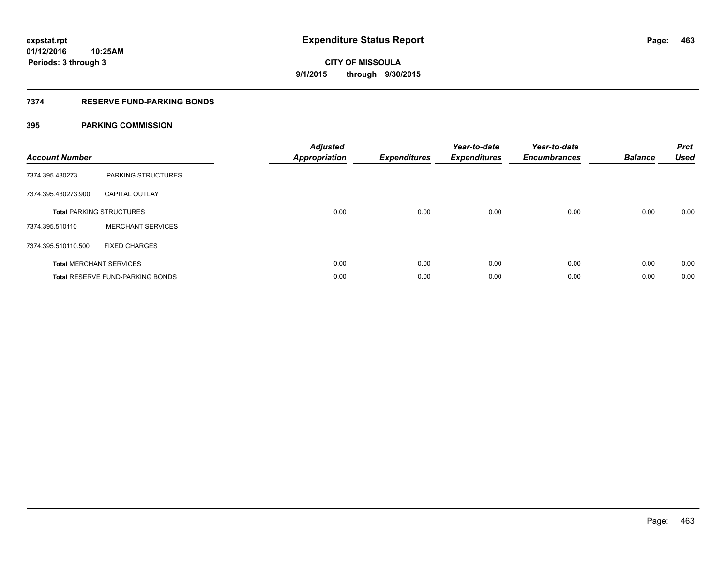# **7374 RESERVE FUND-PARKING BONDS**

| <b>Account Number</b> |                                         | <b>Adjusted</b><br><b>Appropriation</b> | <b>Expenditures</b> | Year-to-date<br><b>Expenditures</b> | Year-to-date<br><b>Encumbrances</b> | <b>Balance</b> | <b>Prct</b><br><b>Used</b> |
|-----------------------|-----------------------------------------|-----------------------------------------|---------------------|-------------------------------------|-------------------------------------|----------------|----------------------------|
| 7374.395.430273       | PARKING STRUCTURES                      |                                         |                     |                                     |                                     |                |                            |
| 7374.395.430273.900   | <b>CAPITAL OUTLAY</b>                   |                                         |                     |                                     |                                     |                |                            |
|                       | <b>Total PARKING STRUCTURES</b>         | 0.00                                    | 0.00                | 0.00                                | 0.00                                | 0.00           | 0.00                       |
| 7374.395.510110       | <b>MERCHANT SERVICES</b>                |                                         |                     |                                     |                                     |                |                            |
| 7374.395.510110.500   | <b>FIXED CHARGES</b>                    |                                         |                     |                                     |                                     |                |                            |
|                       | <b>Total MERCHANT SERVICES</b>          | 0.00                                    | 0.00                | 0.00                                | 0.00                                | 0.00           | 0.00                       |
|                       | <b>Total RESERVE FUND-PARKING BONDS</b> | 0.00                                    | 0.00                | 0.00                                | 0.00                                | 0.00           | 0.00                       |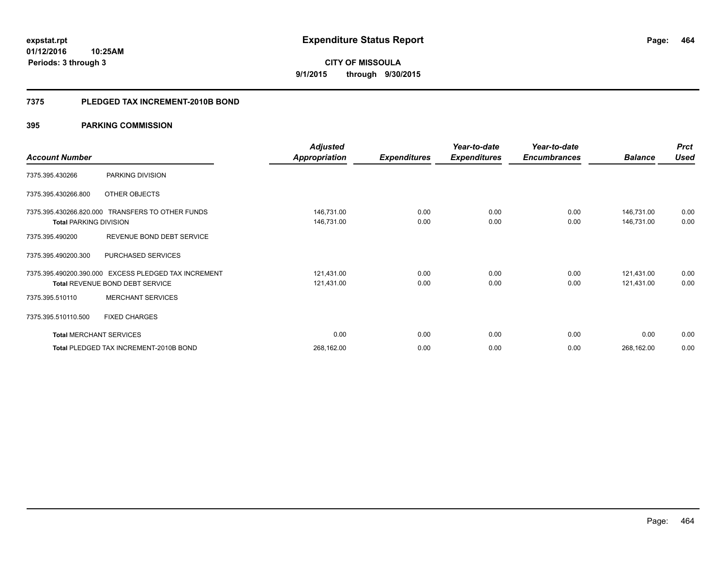**464**

**01/12/2016 10:25AM Periods: 3 through 3**

# **CITY OF MISSOULA 9/1/2015 through 9/30/2015**

### **7375 PLEDGED TAX INCREMENT-2010B BOND**

|                                |                                                      | <b>Adjusted</b>      |                     | Year-to-date        | Year-to-date        |                | <b>Prct</b> |
|--------------------------------|------------------------------------------------------|----------------------|---------------------|---------------------|---------------------|----------------|-------------|
| <b>Account Number</b>          |                                                      | <b>Appropriation</b> | <b>Expenditures</b> | <b>Expenditures</b> | <b>Encumbrances</b> | <b>Balance</b> | <b>Used</b> |
| 7375.395.430266                | PARKING DIVISION                                     |                      |                     |                     |                     |                |             |
| 7375.395.430266.800            | OTHER OBJECTS                                        |                      |                     |                     |                     |                |             |
|                                | 7375.395.430266.820.000 TRANSFERS TO OTHER FUNDS     | 146,731.00           | 0.00                | 0.00                | 0.00                | 146,731.00     | 0.00        |
| <b>Total PARKING DIVISION</b>  |                                                      | 146,731.00           | 0.00                | 0.00                | 0.00                | 146,731.00     | 0.00        |
| 7375.395.490200                | REVENUE BOND DEBT SERVICE                            |                      |                     |                     |                     |                |             |
| 7375.395.490200.300            | PURCHASED SERVICES                                   |                      |                     |                     |                     |                |             |
|                                | 7375.395.490200.390.000 EXCESS PLEDGED TAX INCREMENT | 121,431.00           | 0.00                | 0.00                | 0.00                | 121,431.00     | 0.00        |
|                                | <b>Total REVENUE BOND DEBT SERVICE</b>               | 121,431.00           | 0.00                | 0.00                | 0.00                | 121,431.00     | 0.00        |
| 7375.395.510110                | <b>MERCHANT SERVICES</b>                             |                      |                     |                     |                     |                |             |
| 7375.395.510110.500            | <b>FIXED CHARGES</b>                                 |                      |                     |                     |                     |                |             |
| <b>Total MERCHANT SERVICES</b> |                                                      | 0.00                 | 0.00                | 0.00                | 0.00                | 0.00           | 0.00        |
|                                | Total PLEDGED TAX INCREMENT-2010B BOND               | 268,162.00           | 0.00                | 0.00                | 0.00                | 268,162.00     | 0.00        |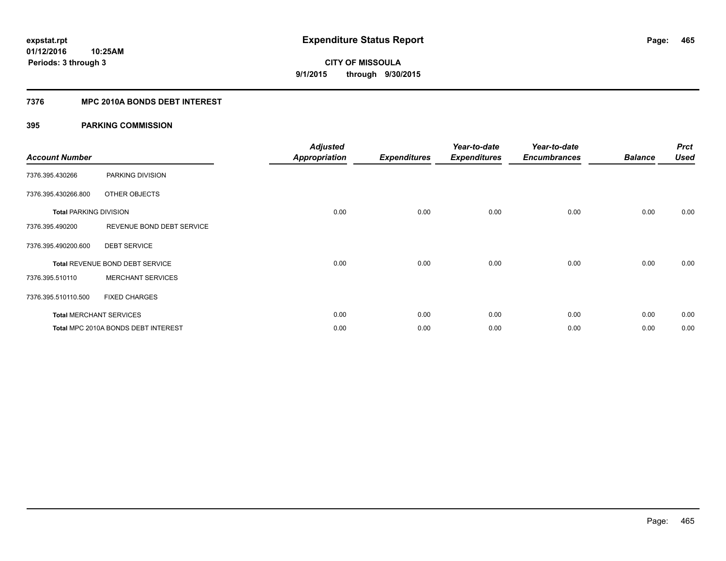# **7376 MPC 2010A BONDS DEBT INTEREST**

| <b>Account Number</b>         |                                        | <b>Adjusted</b><br><b>Appropriation</b> | <b>Expenditures</b> | Year-to-date<br><b>Expenditures</b> | Year-to-date<br><b>Encumbrances</b> | <b>Balance</b> | <b>Prct</b><br><b>Used</b> |
|-------------------------------|----------------------------------------|-----------------------------------------|---------------------|-------------------------------------|-------------------------------------|----------------|----------------------------|
| 7376.395.430266               | PARKING DIVISION                       |                                         |                     |                                     |                                     |                |                            |
| 7376.395.430266.800           | OTHER OBJECTS                          |                                         |                     |                                     |                                     |                |                            |
| <b>Total PARKING DIVISION</b> |                                        | 0.00                                    | 0.00                | 0.00                                | 0.00                                | 0.00           | 0.00                       |
| 7376.395.490200               | REVENUE BOND DEBT SERVICE              |                                         |                     |                                     |                                     |                |                            |
| 7376.395.490200.600           | <b>DEBT SERVICE</b>                    |                                         |                     |                                     |                                     |                |                            |
|                               | <b>Total REVENUE BOND DEBT SERVICE</b> | 0.00                                    | 0.00                | 0.00                                | 0.00                                | 0.00           | 0.00                       |
| 7376.395.510110               | <b>MERCHANT SERVICES</b>               |                                         |                     |                                     |                                     |                |                            |
| 7376.395.510110.500           | <b>FIXED CHARGES</b>                   |                                         |                     |                                     |                                     |                |                            |
|                               | <b>Total MERCHANT SERVICES</b>         | 0.00                                    | 0.00                | 0.00                                | 0.00                                | 0.00           | 0.00                       |
|                               | Total MPC 2010A BONDS DEBT INTEREST    | 0.00                                    | 0.00                | 0.00                                | 0.00                                | 0.00           | 0.00                       |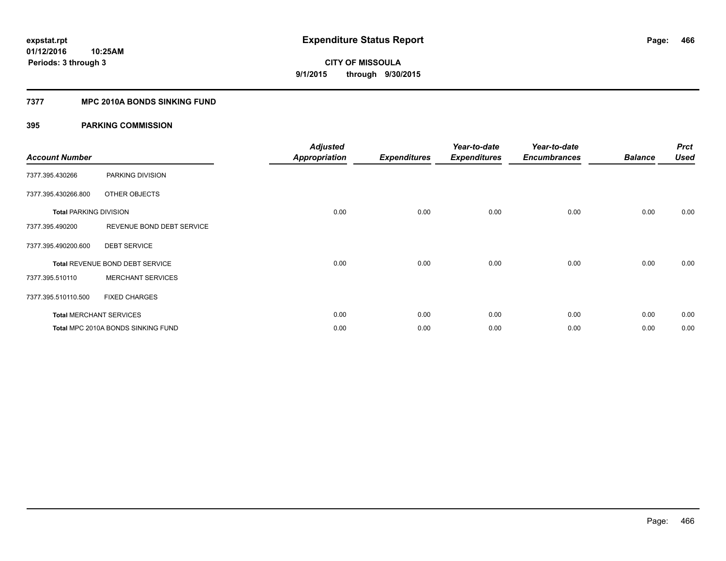# **7377 MPC 2010A BONDS SINKING FUND**

| <b>Account Number</b>         |                                    | <b>Adjusted</b><br><b>Appropriation</b> | <b>Expenditures</b> | Year-to-date<br><b>Expenditures</b> | Year-to-date<br><b>Encumbrances</b> | <b>Balance</b> | <b>Prct</b><br><b>Used</b> |
|-------------------------------|------------------------------------|-----------------------------------------|---------------------|-------------------------------------|-------------------------------------|----------------|----------------------------|
| 7377.395.430266               | PARKING DIVISION                   |                                         |                     |                                     |                                     |                |                            |
| 7377.395.430266.800           | OTHER OBJECTS                      |                                         |                     |                                     |                                     |                |                            |
| <b>Total PARKING DIVISION</b> |                                    | 0.00                                    | 0.00                | 0.00                                | 0.00                                | 0.00           | 0.00                       |
| 7377.395.490200               | REVENUE BOND DEBT SERVICE          |                                         |                     |                                     |                                     |                |                            |
| 7377.395.490200.600           | <b>DEBT SERVICE</b>                |                                         |                     |                                     |                                     |                |                            |
|                               | Total REVENUE BOND DEBT SERVICE    | 0.00                                    | 0.00                | 0.00                                | 0.00                                | 0.00           | 0.00                       |
| 7377.395.510110               | <b>MERCHANT SERVICES</b>           |                                         |                     |                                     |                                     |                |                            |
| 7377.395.510110.500           | <b>FIXED CHARGES</b>               |                                         |                     |                                     |                                     |                |                            |
|                               | <b>Total MERCHANT SERVICES</b>     | 0.00                                    | 0.00                | 0.00                                | 0.00                                | 0.00           | 0.00                       |
|                               | Total MPC 2010A BONDS SINKING FUND | 0.00                                    | 0.00                | 0.00                                | 0.00                                | 0.00           | 0.00                       |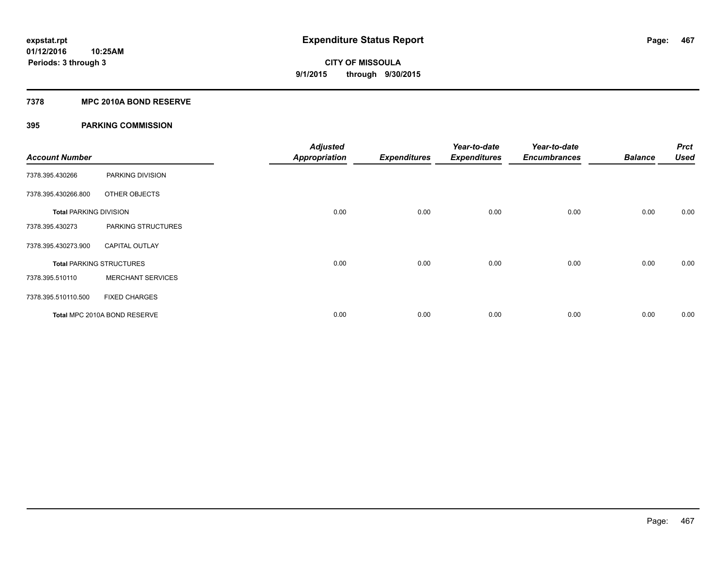## **7378 MPC 2010A BOND RESERVE**

| <b>Account Number</b>         |                                 | <b>Adjusted</b><br><b>Appropriation</b> | <b>Expenditures</b> | Year-to-date<br><b>Expenditures</b> | Year-to-date<br><b>Encumbrances</b> | <b>Balance</b> | <b>Prct</b><br><b>Used</b> |
|-------------------------------|---------------------------------|-----------------------------------------|---------------------|-------------------------------------|-------------------------------------|----------------|----------------------------|
| 7378.395.430266               | PARKING DIVISION                |                                         |                     |                                     |                                     |                |                            |
| 7378.395.430266.800           | OTHER OBJECTS                   |                                         |                     |                                     |                                     |                |                            |
| <b>Total PARKING DIVISION</b> |                                 | 0.00                                    | 0.00                | 0.00                                | 0.00                                | 0.00           | 0.00                       |
| 7378.395.430273               | PARKING STRUCTURES              |                                         |                     |                                     |                                     |                |                            |
| 7378.395.430273.900           | <b>CAPITAL OUTLAY</b>           |                                         |                     |                                     |                                     |                |                            |
|                               | <b>Total PARKING STRUCTURES</b> | 0.00                                    | 0.00                | 0.00                                | 0.00                                | 0.00           | 0.00                       |
| 7378.395.510110               | <b>MERCHANT SERVICES</b>        |                                         |                     |                                     |                                     |                |                            |
| 7378.395.510110.500           | <b>FIXED CHARGES</b>            |                                         |                     |                                     |                                     |                |                            |
|                               | Total MPC 2010A BOND RESERVE    | 0.00                                    | 0.00                | 0.00                                | 0.00                                | 0.00           | 0.00                       |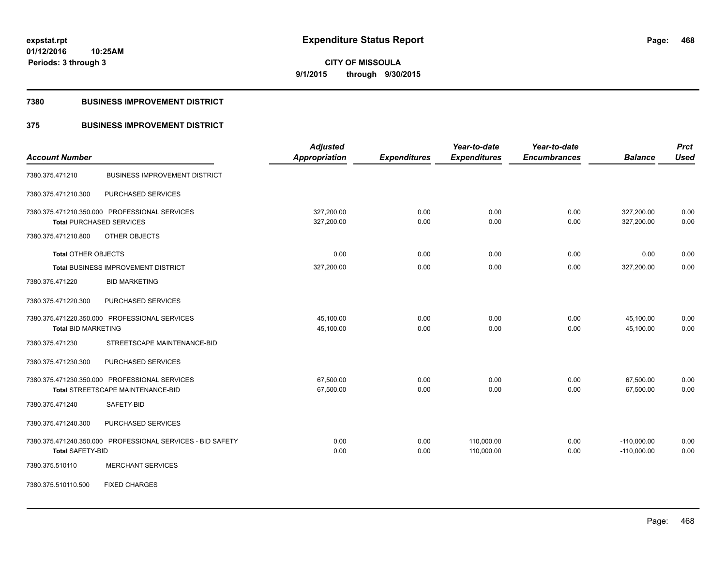**468**

**01/12/2016 10:25AM Periods: 3 through 3**

**CITY OF MISSOULA 9/1/2015 through 9/30/2015**

## **7380 BUSINESS IMPROVEMENT DISTRICT**

# **375 BUSINESS IMPROVEMENT DISTRICT**

|                                                            | <b>Adjusted</b>      |                     | Year-to-date        | Year-to-date        |                | <b>Prct</b> |
|------------------------------------------------------------|----------------------|---------------------|---------------------|---------------------|----------------|-------------|
| <b>Account Number</b>                                      | <b>Appropriation</b> | <b>Expenditures</b> | <b>Expenditures</b> | <b>Encumbrances</b> | <b>Balance</b> | <b>Used</b> |
| <b>BUSINESS IMPROVEMENT DISTRICT</b><br>7380.375.471210    |                      |                     |                     |                     |                |             |
| PURCHASED SERVICES<br>7380.375.471210.300                  |                      |                     |                     |                     |                |             |
| 7380.375.471210.350.000 PROFESSIONAL SERVICES              | 327,200.00           | 0.00                | 0.00                | 0.00                | 327,200.00     | 0.00        |
| <b>Total PURCHASED SERVICES</b>                            | 327,200.00           | 0.00                | 0.00                | 0.00                | 327,200.00     | 0.00        |
| 7380.375.471210.800<br>OTHER OBJECTS                       |                      |                     |                     |                     |                |             |
| <b>Total OTHER OBJECTS</b>                                 | 0.00                 | 0.00                | 0.00                | 0.00                | 0.00           | 0.00        |
| <b>Total BUSINESS IMPROVEMENT DISTRICT</b>                 | 327,200.00           | 0.00                | 0.00                | 0.00                | 327,200.00     | 0.00        |
| <b>BID MARKETING</b><br>7380.375.471220                    |                      |                     |                     |                     |                |             |
| 7380.375.471220.300<br>PURCHASED SERVICES                  |                      |                     |                     |                     |                |             |
| 7380.375.471220.350.000 PROFESSIONAL SERVICES              | 45,100.00            | 0.00                | 0.00                | 0.00                | 45,100.00      | 0.00        |
| <b>Total BID MARKETING</b>                                 | 45,100.00            | 0.00                | 0.00                | 0.00                | 45,100.00      | 0.00        |
| STREETSCAPE MAINTENANCE-BID<br>7380.375.471230             |                      |                     |                     |                     |                |             |
| PURCHASED SERVICES<br>7380.375.471230.300                  |                      |                     |                     |                     |                |             |
| 7380.375.471230.350.000 PROFESSIONAL SERVICES              | 67,500.00            | 0.00                | 0.00                | 0.00                | 67,500.00      | 0.00        |
| Total STREETSCAPE MAINTENANCE-BID                          | 67,500.00            | 0.00                | 0.00                | 0.00                | 67,500.00      | 0.00        |
| 7380.375.471240<br>SAFETY-BID                              |                      |                     |                     |                     |                |             |
| PURCHASED SERVICES<br>7380.375.471240.300                  |                      |                     |                     |                     |                |             |
| 7380.375.471240.350.000 PROFESSIONAL SERVICES - BID SAFETY | 0.00                 | 0.00                | 110,000.00          | 0.00                | $-110,000.00$  | 0.00        |
| <b>Total SAFETY-BID</b>                                    | 0.00                 | 0.00                | 110,000.00          | 0.00                | $-110,000.00$  | 0.00        |
| <b>MERCHANT SERVICES</b><br>7380.375.510110                |                      |                     |                     |                     |                |             |
| 7380.375.510110.500<br><b>FIXED CHARGES</b>                |                      |                     |                     |                     |                |             |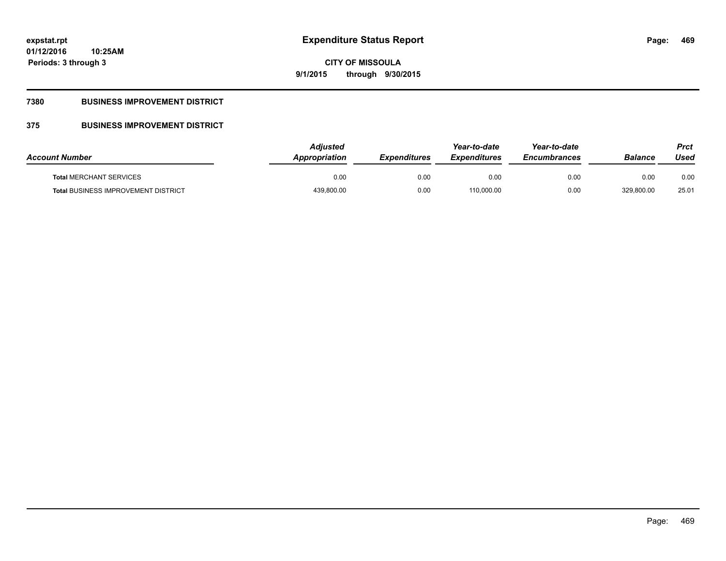# **CITY OF MISSOULA 9/1/2015 through 9/30/2015**

## **7380 BUSINESS IMPROVEMENT DISTRICT**

## **375 BUSINESS IMPROVEMENT DISTRICT**

| <b>Account Number</b>                      | Adjusted<br>Appropriation | <b>Expenditures</b> | Year-to-date<br><i><b>Expenditures</b></i> | Year-to-date<br><b>Encumbrances</b> | <b>Balance</b> | Prct<br>Used |
|--------------------------------------------|---------------------------|---------------------|--------------------------------------------|-------------------------------------|----------------|--------------|
| <b>Total MERCHANT SERVICES</b>             | 0.00                      | 0.00                | 0.00                                       | 0.00                                | 0.00           | 0.00         |
| <b>Total BUSINESS IMPROVEMENT DISTRICT</b> | 439,800.00                | 0.00                | 110,000.00                                 | 0.00                                | 329,800.00     | 25.01        |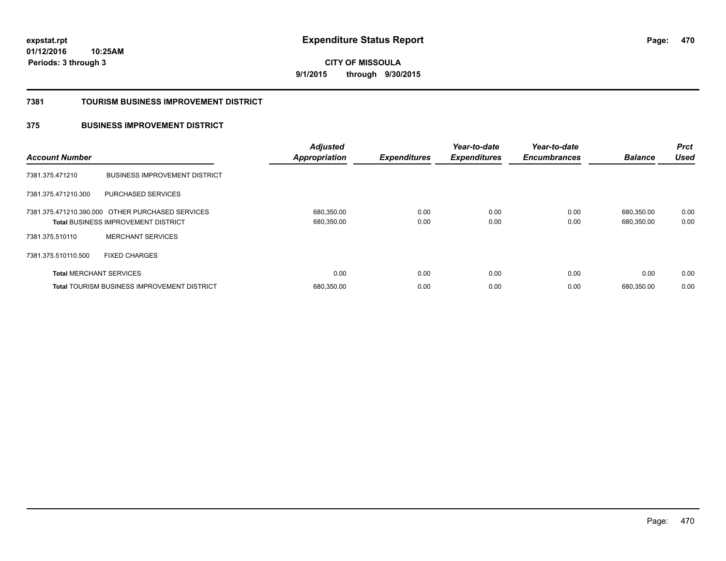**CITY OF MISSOULA 9/1/2015 through 9/30/2015**

#### **7381 TOURISM BUSINESS IMPROVEMENT DISTRICT**

### **375 BUSINESS IMPROVEMENT DISTRICT**

| <b>Account Number</b>          |                                                                                                | <b>Adjusted</b><br><b>Appropriation</b> | <b>Expenditures</b> | Year-to-date<br><b>Expenditures</b> | Year-to-date<br><b>Encumbrances</b> | <b>Balance</b>           | <b>Prct</b><br><b>Used</b> |
|--------------------------------|------------------------------------------------------------------------------------------------|-----------------------------------------|---------------------|-------------------------------------|-------------------------------------|--------------------------|----------------------------|
| 7381.375.471210                | <b>BUSINESS IMPROVEMENT DISTRICT</b>                                                           |                                         |                     |                                     |                                     |                          |                            |
| 7381.375.471210.300            | PURCHASED SERVICES                                                                             |                                         |                     |                                     |                                     |                          |                            |
|                                | 7381.375.471210.390.000 OTHER PURCHASED SERVICES<br><b>Total BUSINESS IMPROVEMENT DISTRICT</b> | 680,350.00<br>680,350.00                | 0.00<br>0.00        | 0.00<br>0.00                        | 0.00<br>0.00                        | 680,350.00<br>680,350.00 | 0.00<br>0.00               |
| 7381.375.510110                | <b>MERCHANT SERVICES</b>                                                                       |                                         |                     |                                     |                                     |                          |                            |
| 7381.375.510110.500            | <b>FIXED CHARGES</b>                                                                           |                                         |                     |                                     |                                     |                          |                            |
| <b>Total MERCHANT SERVICES</b> |                                                                                                | 0.00                                    | 0.00                | 0.00                                | 0.00                                | 0.00                     | 0.00                       |
|                                | <b>Total TOURISM BUSINESS IMPROVEMENT DISTRICT</b>                                             | 680,350.00                              | 0.00                | 0.00                                | 0.00                                | 680.350.00               | 0.00                       |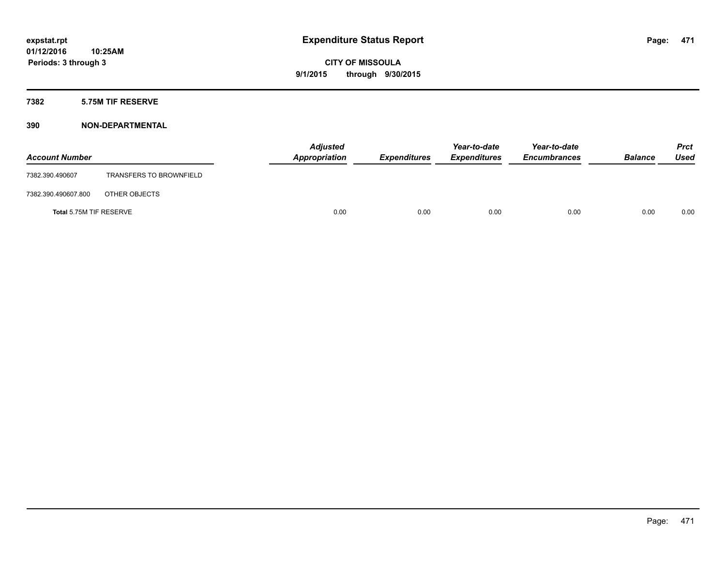### **7382 5.75M TIF RESERVE**

| <b>Account Number</b>   |                                | <b>Adjusted</b><br>Appropriation | <b>Expenditures</b> | Year-to-date<br><b>Expenditures</b> | Year-to-date<br><b>Encumbrances</b> | <b>Balance</b> | Prct<br><b>Used</b> |
|-------------------------|--------------------------------|----------------------------------|---------------------|-------------------------------------|-------------------------------------|----------------|---------------------|
| 7382.390.490607         | <b>TRANSFERS TO BROWNFIELD</b> |                                  |                     |                                     |                                     |                |                     |
| 7382.390.490607.800     | OTHER OBJECTS                  |                                  |                     |                                     |                                     |                |                     |
| Total 5.75M TIF RESERVE |                                | 0.00                             | 0.00                | 0.00                                | 0.00                                | 0.00           | 0.00                |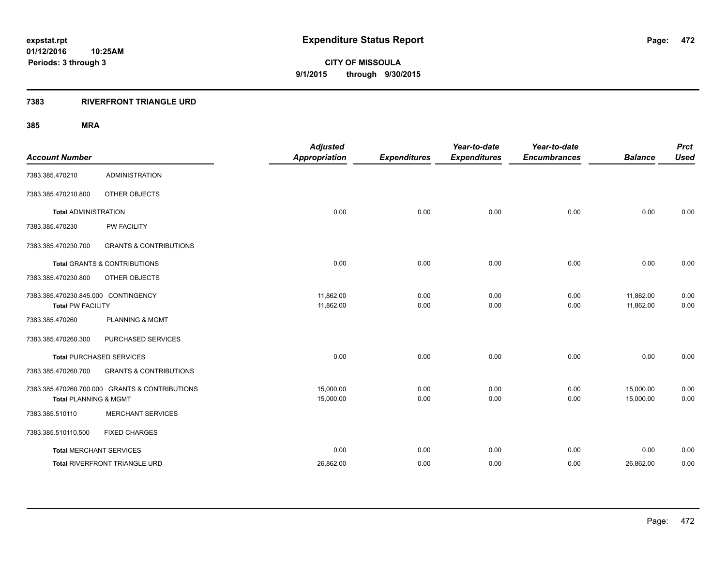**Periods: 3 through 3**

**CITY OF MISSOULA 9/1/2015 through 9/30/2015**

#### **7383 RIVERFRONT TRIANGLE URD**

| <b>Account Number</b>                                           |                                                | <b>Adjusted</b><br><b>Appropriation</b> | <b>Expenditures</b> | Year-to-date<br><b>Expenditures</b> | Year-to-date<br><b>Encumbrances</b> | <b>Balance</b>         | <b>Prct</b><br><b>Used</b> |
|-----------------------------------------------------------------|------------------------------------------------|-----------------------------------------|---------------------|-------------------------------------|-------------------------------------|------------------------|----------------------------|
| 7383.385.470210                                                 | <b>ADMINISTRATION</b>                          |                                         |                     |                                     |                                     |                        |                            |
| 7383.385.470210.800                                             | OTHER OBJECTS                                  |                                         |                     |                                     |                                     |                        |                            |
| <b>Total ADMINISTRATION</b>                                     |                                                | 0.00                                    | 0.00                | 0.00                                | 0.00                                | 0.00                   | 0.00                       |
| 7383.385.470230                                                 | PW FACILITY                                    |                                         |                     |                                     |                                     |                        |                            |
| 7383.385.470230.700                                             | <b>GRANTS &amp; CONTRIBUTIONS</b>              |                                         |                     |                                     |                                     |                        |                            |
|                                                                 | <b>Total GRANTS &amp; CONTRIBUTIONS</b>        | 0.00                                    | 0.00                | 0.00                                | 0.00                                | 0.00                   | 0.00                       |
| 7383.385.470230.800                                             | OTHER OBJECTS                                  |                                         |                     |                                     |                                     |                        |                            |
| 7383.385.470230.845.000 CONTINGENCY<br><b>Total PW FACILITY</b> |                                                | 11,862.00<br>11,862.00                  | 0.00<br>0.00        | 0.00<br>0.00                        | 0.00<br>0.00                        | 11,862.00<br>11,862.00 | 0.00<br>0.00               |
| 7383.385.470260                                                 | <b>PLANNING &amp; MGMT</b>                     |                                         |                     |                                     |                                     |                        |                            |
| 7383.385.470260.300                                             | PURCHASED SERVICES                             |                                         |                     |                                     |                                     |                        |                            |
|                                                                 | <b>Total PURCHASED SERVICES</b>                | 0.00                                    | 0.00                | 0.00                                | 0.00                                | 0.00                   | 0.00                       |
| 7383.385.470260.700                                             | <b>GRANTS &amp; CONTRIBUTIONS</b>              |                                         |                     |                                     |                                     |                        |                            |
| <b>Total PLANNING &amp; MGMT</b>                                | 7383.385.470260.700.000 GRANTS & CONTRIBUTIONS | 15,000.00<br>15,000.00                  | 0.00<br>0.00        | 0.00<br>0.00                        | 0.00<br>0.00                        | 15,000.00<br>15,000.00 | 0.00<br>0.00               |
| 7383.385.510110                                                 | <b>MERCHANT SERVICES</b>                       |                                         |                     |                                     |                                     |                        |                            |
| 7383.385.510110.500                                             | <b>FIXED CHARGES</b>                           |                                         |                     |                                     |                                     |                        |                            |
|                                                                 | <b>Total MERCHANT SERVICES</b>                 | 0.00                                    | 0.00                | 0.00                                | 0.00                                | 0.00                   | 0.00                       |
|                                                                 | Total RIVERFRONT TRIANGLE URD                  | 26,862.00                               | 0.00                | 0.00                                | 0.00                                | 26,862.00              | 0.00                       |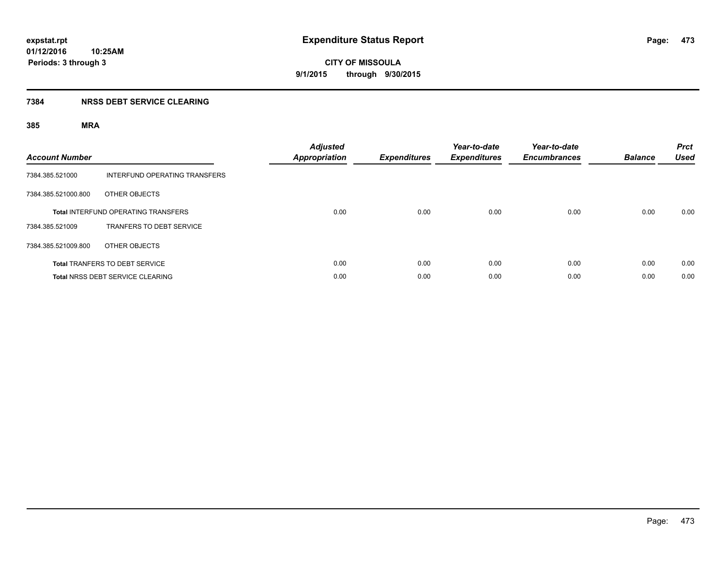### **7384 NRSS DEBT SERVICE CLEARING**

| <b>Account Number</b> |                                            | <b>Adjusted</b><br><b>Appropriation</b> | <b>Expenditures</b> | Year-to-date<br><b>Expenditures</b> | Year-to-date<br><b>Encumbrances</b> | <b>Balance</b> | <b>Prct</b><br><b>Used</b> |
|-----------------------|--------------------------------------------|-----------------------------------------|---------------------|-------------------------------------|-------------------------------------|----------------|----------------------------|
| 7384.385.521000       | INTERFUND OPERATING TRANSFERS              |                                         |                     |                                     |                                     |                |                            |
| 7384.385.521000.800   | OTHER OBJECTS                              |                                         |                     |                                     |                                     |                |                            |
|                       | <b>Total INTERFUND OPERATING TRANSFERS</b> | 0.00                                    | 0.00                | 0.00                                | 0.00                                | 0.00           | 0.00                       |
| 7384.385.521009       | TRANFERS TO DEBT SERVICE                   |                                         |                     |                                     |                                     |                |                            |
| 7384.385.521009.800   | OTHER OBJECTS                              |                                         |                     |                                     |                                     |                |                            |
|                       | <b>Total TRANFERS TO DEBT SERVICE</b>      | 0.00                                    | 0.00                | 0.00                                | 0.00                                | 0.00           | 0.00                       |
|                       | <b>Total NRSS DEBT SERVICE CLEARING</b>    | 0.00                                    | 0.00                | 0.00                                | 0.00                                | 0.00           | 0.00                       |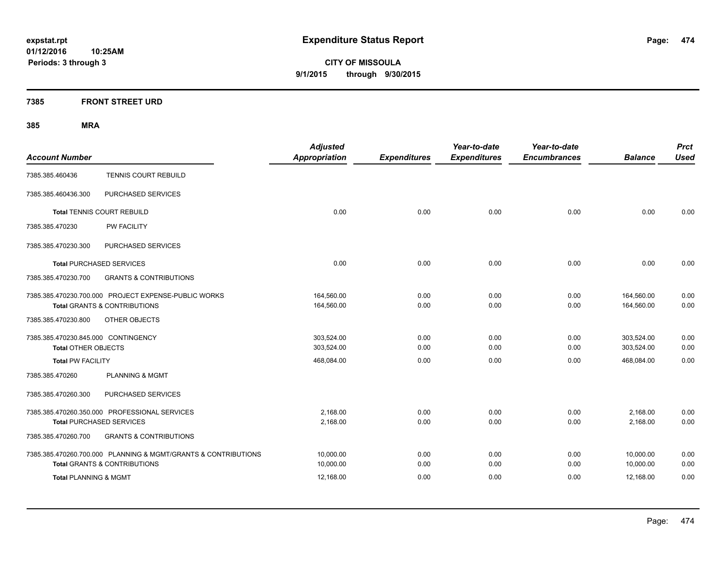**CITY OF MISSOULA 9/1/2015 through 9/30/2015**

### **7385 FRONT STREET URD**

| <b>Account Number</b>                                             |                                                                                                           | <b>Adjusted</b><br><b>Appropriation</b> | <b>Expenditures</b> | Year-to-date<br><b>Expenditures</b> | Year-to-date<br><b>Encumbrances</b> | <b>Balance</b>           | <b>Prct</b><br><b>Used</b> |
|-------------------------------------------------------------------|-----------------------------------------------------------------------------------------------------------|-----------------------------------------|---------------------|-------------------------------------|-------------------------------------|--------------------------|----------------------------|
| 7385.385.460436                                                   | <b>TENNIS COURT REBUILD</b>                                                                               |                                         |                     |                                     |                                     |                          |                            |
| 7385.385.460436.300                                               | PURCHASED SERVICES                                                                                        |                                         |                     |                                     |                                     |                          |                            |
| <b>Total TENNIS COURT REBUILD</b>                                 |                                                                                                           | 0.00                                    | 0.00                | 0.00                                | 0.00                                | 0.00                     | 0.00                       |
| 7385.385.470230                                                   | PW FACILITY                                                                                               |                                         |                     |                                     |                                     |                          |                            |
| 7385.385.470230.300                                               | PURCHASED SERVICES                                                                                        |                                         |                     |                                     |                                     |                          |                            |
| <b>Total PURCHASED SERVICES</b>                                   |                                                                                                           | 0.00                                    | 0.00                | 0.00                                | 0.00                                | 0.00                     | 0.00                       |
| 7385.385.470230.700                                               | <b>GRANTS &amp; CONTRIBUTIONS</b>                                                                         |                                         |                     |                                     |                                     |                          |                            |
|                                                                   | 7385.385.470230.700.000 PROJECT EXPENSE-PUBLIC WORKS<br><b>Total GRANTS &amp; CONTRIBUTIONS</b>           | 164,560.00<br>164,560.00                | 0.00<br>0.00        | 0.00<br>0.00                        | 0.00<br>0.00                        | 164,560.00<br>164,560.00 | 0.00<br>0.00               |
| 7385.385.470230.800                                               | OTHER OBJECTS                                                                                             |                                         |                     |                                     |                                     |                          |                            |
| 7385.385.470230.845.000 CONTINGENCY<br><b>Total OTHER OBJECTS</b> |                                                                                                           | 303,524.00<br>303,524.00                | 0.00<br>0.00        | 0.00<br>0.00                        | 0.00<br>0.00                        | 303,524.00<br>303,524.00 | 0.00<br>0.00               |
| <b>Total PW FACILITY</b>                                          |                                                                                                           | 468,084.00                              | 0.00                | 0.00                                | 0.00                                | 468,084.00               | 0.00                       |
| 7385.385.470260                                                   | <b>PLANNING &amp; MGMT</b>                                                                                |                                         |                     |                                     |                                     |                          |                            |
| 7385.385.470260.300                                               | PURCHASED SERVICES                                                                                        |                                         |                     |                                     |                                     |                          |                            |
| <b>Total PURCHASED SERVICES</b>                                   | 7385.385.470260.350.000 PROFESSIONAL SERVICES                                                             | 2.168.00<br>2,168.00                    | 0.00<br>0.00        | 0.00<br>0.00                        | 0.00<br>0.00                        | 2,168.00<br>2,168.00     | 0.00<br>0.00               |
| 7385.385.470260.700                                               | <b>GRANTS &amp; CONTRIBUTIONS</b>                                                                         |                                         |                     |                                     |                                     |                          |                            |
|                                                                   | 7385.385.470260.700.000 PLANNING & MGMT/GRANTS & CONTRIBUTIONS<br><b>Total GRANTS &amp; CONTRIBUTIONS</b> | 10,000.00<br>10,000.00                  | 0.00<br>0.00        | 0.00<br>0.00                        | 0.00<br>0.00                        | 10,000.00<br>10,000.00   | 0.00<br>0.00               |
| <b>Total PLANNING &amp; MGMT</b>                                  |                                                                                                           | 12,168.00                               | 0.00                | 0.00                                | 0.00                                | 12,168.00                | 0.00                       |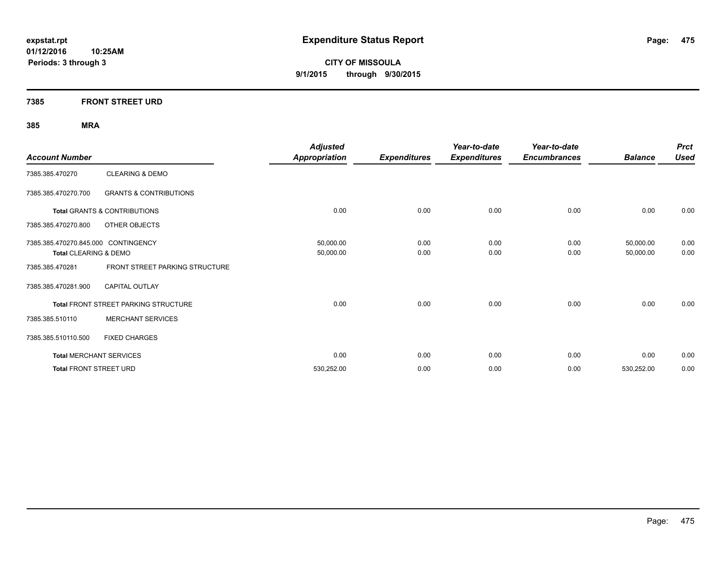**CITY OF MISSOULA 9/1/2015 through 9/30/2015**

### **7385 FRONT STREET URD**

| <b>Account Number</b>               |                                         | <b>Adjusted</b><br><b>Appropriation</b> | <b>Expenditures</b> | Year-to-date<br><b>Expenditures</b> | Year-to-date<br><b>Encumbrances</b> | <b>Balance</b> | <b>Prct</b><br><b>Used</b> |
|-------------------------------------|-----------------------------------------|-----------------------------------------|---------------------|-------------------------------------|-------------------------------------|----------------|----------------------------|
| 7385.385.470270                     | <b>CLEARING &amp; DEMO</b>              |                                         |                     |                                     |                                     |                |                            |
| 7385.385.470270.700                 | <b>GRANTS &amp; CONTRIBUTIONS</b>       |                                         |                     |                                     |                                     |                |                            |
|                                     | <b>Total GRANTS &amp; CONTRIBUTIONS</b> | 0.00                                    | 0.00                | 0.00                                | 0.00                                | 0.00           | 0.00                       |
| 7385.385.470270.800                 | OTHER OBJECTS                           |                                         |                     |                                     |                                     |                |                            |
| 7385.385.470270.845.000 CONTINGENCY |                                         | 50,000.00                               | 0.00                | 0.00                                | 0.00                                | 50,000.00      | 0.00                       |
| Total CLEARING & DEMO               |                                         | 50,000.00                               | 0.00                | 0.00                                | 0.00                                | 50,000.00      | 0.00                       |
| 7385.385.470281                     | FRONT STREET PARKING STRUCTURE          |                                         |                     |                                     |                                     |                |                            |
| 7385.385.470281.900                 | <b>CAPITAL OUTLAY</b>                   |                                         |                     |                                     |                                     |                |                            |
|                                     | Total FRONT STREET PARKING STRUCTURE    | 0.00                                    | 0.00                | 0.00                                | 0.00                                | 0.00           | 0.00                       |
| 7385.385.510110                     | <b>MERCHANT SERVICES</b>                |                                         |                     |                                     |                                     |                |                            |
| 7385.385.510110.500                 | <b>FIXED CHARGES</b>                    |                                         |                     |                                     |                                     |                |                            |
| <b>Total MERCHANT SERVICES</b>      |                                         | 0.00                                    | 0.00                | 0.00                                | 0.00                                | 0.00           | 0.00                       |
| <b>Total FRONT STREET URD</b>       |                                         | 530,252.00                              | 0.00                | 0.00                                | 0.00                                | 530,252.00     | 0.00                       |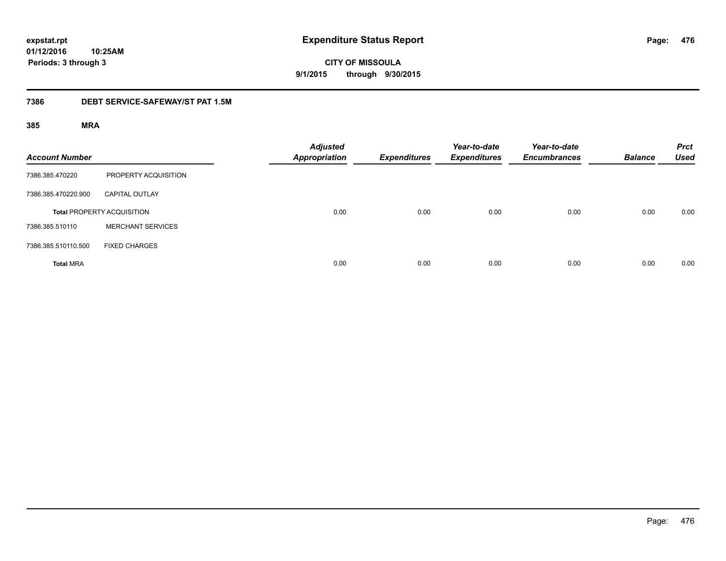**CITY OF MISSOULA 9/1/2015 through 9/30/2015**

#### **7386 DEBT SERVICE-SAFEWAY/ST PAT 1.5M**

| <b>Account Number</b> |                                   | <b>Adjusted</b><br><b>Appropriation</b> | <b>Expenditures</b> | Year-to-date<br><b>Expenditures</b> | Year-to-date<br><b>Encumbrances</b> | <b>Balance</b> | <b>Prct</b><br><b>Used</b> |
|-----------------------|-----------------------------------|-----------------------------------------|---------------------|-------------------------------------|-------------------------------------|----------------|----------------------------|
| 7386.385.470220       | PROPERTY ACQUISITION              |                                         |                     |                                     |                                     |                |                            |
| 7386.385.470220.900   | <b>CAPITAL OUTLAY</b>             |                                         |                     |                                     |                                     |                |                            |
|                       | <b>Total PROPERTY ACQUISITION</b> | 0.00                                    | 0.00                | 0.00                                | 0.00                                | 0.00           | 0.00                       |
| 7386.385.510110       | <b>MERCHANT SERVICES</b>          |                                         |                     |                                     |                                     |                |                            |
| 7386.385.510110.500   | <b>FIXED CHARGES</b>              |                                         |                     |                                     |                                     |                |                            |
| <b>Total MRA</b>      |                                   | 0.00                                    | 0.00                | 0.00                                | 0.00                                | 0.00           | 0.00                       |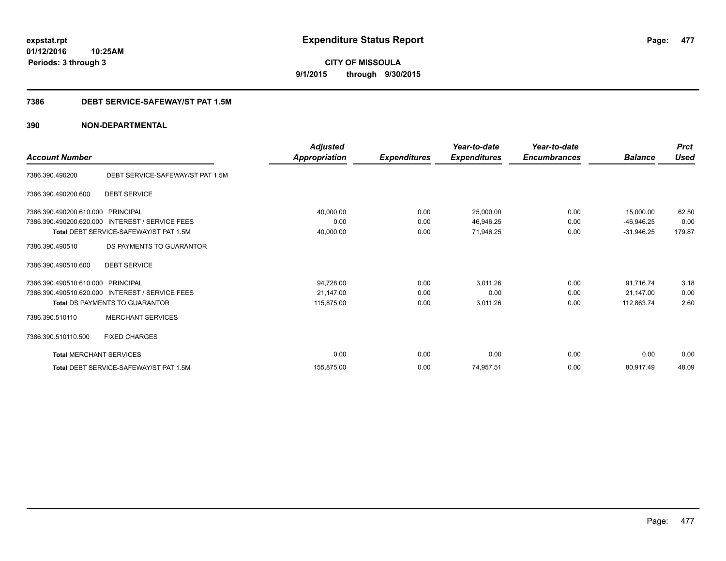**CITY OF MISSOULA 9/1/2015 through 9/30/2015**

#### **7386 DEBT SERVICE-SAFEWAY/ST PAT 1.5M**

|                                |                                                 | <b>Adjusted</b> |                     | Year-to-date        | Year-to-date        |                | <b>Prct</b><br><b>Used</b> |
|--------------------------------|-------------------------------------------------|-----------------|---------------------|---------------------|---------------------|----------------|----------------------------|
| <b>Account Number</b>          |                                                 | Appropriation   | <b>Expenditures</b> | <b>Expenditures</b> | <b>Encumbrances</b> | <b>Balance</b> |                            |
| 7386.390.490200                | DEBT SERVICE-SAFEWAY/ST PAT 1.5M                |                 |                     |                     |                     |                |                            |
| 7386.390.490200.600            | <b>DEBT SERVICE</b>                             |                 |                     |                     |                     |                |                            |
| 7386.390.490200.610.000        | PRINCIPAL                                       | 40,000.00       | 0.00                | 25,000.00           | 0.00                | 15,000.00      | 62.50                      |
| 7386.390.490200.620.000        | <b>INTEREST / SERVICE FEES</b>                  | 0.00            | 0.00                | 46,946.25           | 0.00                | $-46,946.25$   | 0.00                       |
|                                | Total DEBT SERVICE-SAFEWAY/ST PAT 1.5M          | 40,000.00       | 0.00                | 71,946.25           | 0.00                | $-31,946.25$   | 179.87                     |
| 7386.390.490510                | DS PAYMENTS TO GUARANTOR                        |                 |                     |                     |                     |                |                            |
| 7386.390.490510.600            | <b>DEBT SERVICE</b>                             |                 |                     |                     |                     |                |                            |
| 7386.390.490510.610.000        | PRINCIPAL                                       | 94,728.00       | 0.00                | 3,011.26            | 0.00                | 91,716.74      | 3.18                       |
|                                | 7386.390.490510.620.000 INTEREST / SERVICE FEES | 21,147.00       | 0.00                | 0.00                | 0.00                | 21.147.00      | 0.00                       |
|                                | <b>Total DS PAYMENTS TO GUARANTOR</b>           | 115,875.00      | 0.00                | 3,011.26            | 0.00                | 112,863.74     | 2.60                       |
| 7386.390.510110                | <b>MERCHANT SERVICES</b>                        |                 |                     |                     |                     |                |                            |
| 7386.390.510110.500            | <b>FIXED CHARGES</b>                            |                 |                     |                     |                     |                |                            |
| <b>Total MERCHANT SERVICES</b> |                                                 | 0.00            | 0.00                | 0.00                | 0.00                | 0.00           | 0.00                       |
|                                | Total DEBT SERVICE-SAFEWAY/ST PAT 1.5M          | 155.875.00      | 0.00                | 74,957.51           | 0.00                | 80,917.49      | 48.09                      |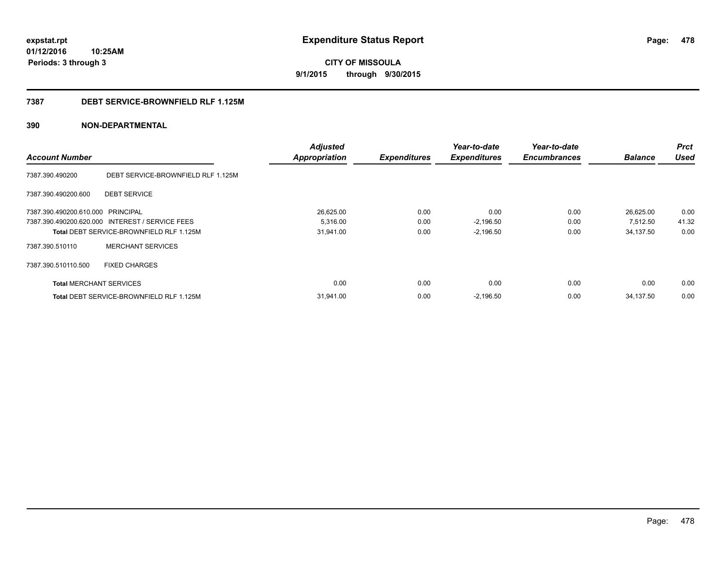**CITY OF MISSOULA 9/1/2015 through 9/30/2015**

#### **7387 DEBT SERVICE-BROWNFIELD RLF 1.125M**

|                                   |                                                 | <b>Adjusted</b>      |                     | Year-to-date        | Year-to-date        |                | <b>Prct</b> |
|-----------------------------------|-------------------------------------------------|----------------------|---------------------|---------------------|---------------------|----------------|-------------|
| <b>Account Number</b>             |                                                 | <b>Appropriation</b> | <b>Expenditures</b> | <b>Expenditures</b> | <b>Encumbrances</b> | <b>Balance</b> | <b>Used</b> |
| 7387.390.490200                   | DEBT SERVICE-BROWNFIELD RLF 1.125M              |                      |                     |                     |                     |                |             |
| 7387.390.490200.600               | <b>DEBT SERVICE</b>                             |                      |                     |                     |                     |                |             |
| 7387.390.490200.610.000 PRINCIPAL |                                                 | 26,625.00            | 0.00                | 0.00                | 0.00                | 26.625.00      | 0.00        |
|                                   | 7387.390.490200.620.000 INTEREST / SERVICE FEES | 5,316.00             | 0.00                | $-2,196.50$         | 0.00                | 7,512.50       | 41.32       |
|                                   | Total DEBT SERVICE-BROWNFIELD RLF 1.125M        | 31,941.00            | 0.00                | $-2,196.50$         | 0.00                | 34,137.50      | 0.00        |
| 7387.390.510110                   | <b>MERCHANT SERVICES</b>                        |                      |                     |                     |                     |                |             |
| 7387.390.510110.500               | <b>FIXED CHARGES</b>                            |                      |                     |                     |                     |                |             |
| <b>Total MERCHANT SERVICES</b>    |                                                 | 0.00                 | 0.00                | 0.00                | 0.00                | 0.00           | 0.00        |
|                                   | Total DEBT SERVICE-BROWNFIELD RLF 1.125M        | 31.941.00            | 0.00                | $-2,196.50$         | 0.00                | 34,137.50      | 0.00        |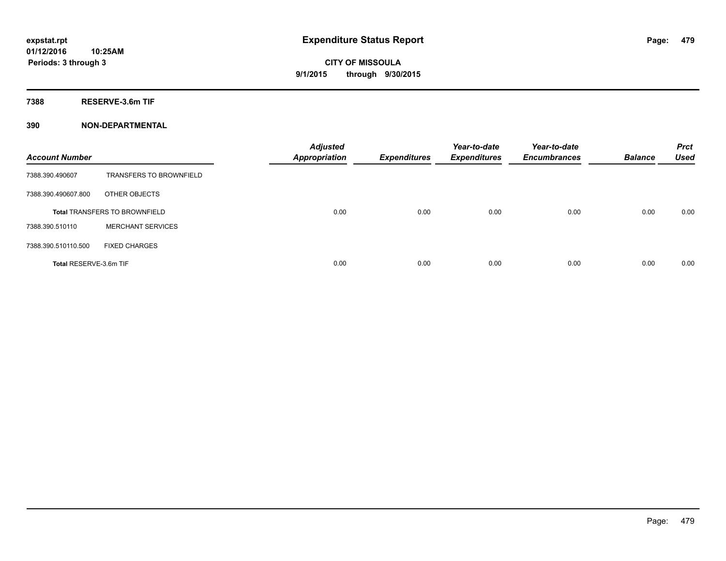**7388 RESERVE-3.6m TIF**

| <b>Account Number</b>  |                                      | <b>Adjusted</b><br><b>Appropriation</b> | <b>Expenditures</b> | Year-to-date<br><b>Expenditures</b> | Year-to-date<br><b>Encumbrances</b> | <b>Balance</b> | <b>Prct</b><br><b>Used</b> |
|------------------------|--------------------------------------|-----------------------------------------|---------------------|-------------------------------------|-------------------------------------|----------------|----------------------------|
| 7388.390.490607        | <b>TRANSFERS TO BROWNFIELD</b>       |                                         |                     |                                     |                                     |                |                            |
| 7388.390.490607.800    | OTHER OBJECTS                        |                                         |                     |                                     |                                     |                |                            |
|                        | <b>Total TRANSFERS TO BROWNFIELD</b> | 0.00                                    | 0.00                | 0.00                                | 0.00                                | 0.00           | 0.00                       |
| 7388.390.510110        | <b>MERCHANT SERVICES</b>             |                                         |                     |                                     |                                     |                |                            |
| 7388.390.510110.500    | <b>FIXED CHARGES</b>                 |                                         |                     |                                     |                                     |                |                            |
| Total RESERVE-3.6m TIF |                                      | 0.00                                    | 0.00                | 0.00                                | 0.00                                | 0.00           | 0.00                       |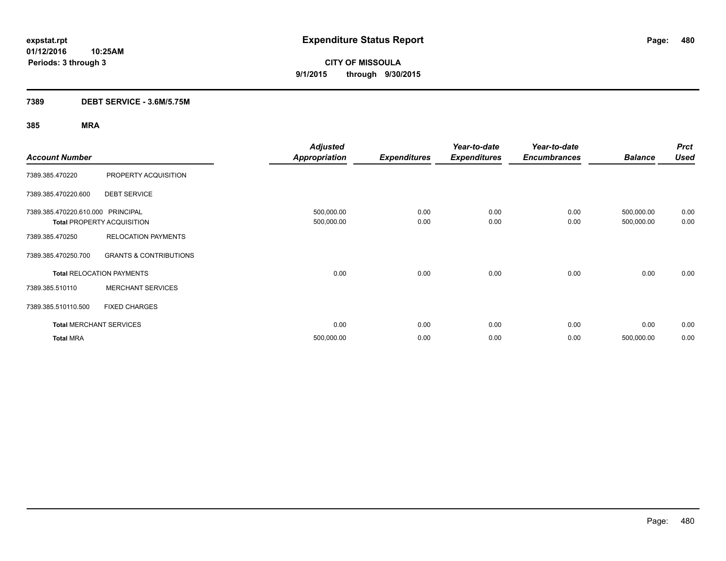### **7389 DEBT SERVICE - 3.6M/5.75M**

| <b>Account Number</b>             |                                   | <b>Adjusted</b><br><b>Appropriation</b> | <b>Expenditures</b> | Year-to-date<br><b>Expenditures</b> | Year-to-date<br><b>Encumbrances</b> | <b>Balance</b>           | <b>Prct</b><br><b>Used</b> |
|-----------------------------------|-----------------------------------|-----------------------------------------|---------------------|-------------------------------------|-------------------------------------|--------------------------|----------------------------|
| 7389.385.470220                   | PROPERTY ACQUISITION              |                                         |                     |                                     |                                     |                          |                            |
| 7389.385.470220.600               | <b>DEBT SERVICE</b>               |                                         |                     |                                     |                                     |                          |                            |
| 7389.385.470220.610.000 PRINCIPAL | <b>Total PROPERTY ACQUISITION</b> | 500,000.00<br>500,000.00                | 0.00<br>0.00        | 0.00<br>0.00                        | 0.00<br>0.00                        | 500,000.00<br>500,000.00 | 0.00<br>0.00               |
| 7389.385.470250                   | <b>RELOCATION PAYMENTS</b>        |                                         |                     |                                     |                                     |                          |                            |
| 7389.385.470250.700               | <b>GRANTS &amp; CONTRIBUTIONS</b> |                                         |                     |                                     |                                     |                          |                            |
|                                   | <b>Total RELOCATION PAYMENTS</b>  | 0.00                                    | 0.00                | 0.00                                | 0.00                                | 0.00                     | 0.00                       |
| 7389.385.510110                   | <b>MERCHANT SERVICES</b>          |                                         |                     |                                     |                                     |                          |                            |
| 7389.385.510110.500               | <b>FIXED CHARGES</b>              |                                         |                     |                                     |                                     |                          |                            |
|                                   | <b>Total MERCHANT SERVICES</b>    | 0.00                                    | 0.00                | 0.00                                | 0.00                                | 0.00                     | 0.00                       |
| <b>Total MRA</b>                  |                                   | 500,000.00                              | 0.00                | 0.00                                | 0.00                                | 500,000.00               | 0.00                       |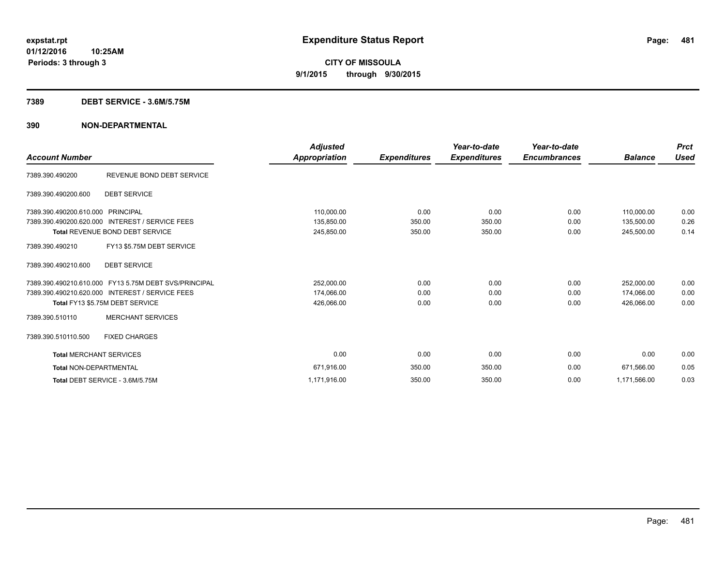#### **7389 DEBT SERVICE - 3.6M/5.75M**

| <b>Account Number</b>          |                                                       | <b>Adjusted</b><br>Appropriation | <b>Expenditures</b> | Year-to-date<br><b>Expenditures</b> | Year-to-date<br><b>Encumbrances</b> | <b>Balance</b> | <b>Prct</b><br>Used |
|--------------------------------|-------------------------------------------------------|----------------------------------|---------------------|-------------------------------------|-------------------------------------|----------------|---------------------|
| 7389.390.490200                | REVENUE BOND DEBT SERVICE                             |                                  |                     |                                     |                                     |                |                     |
| 7389.390.490200.600            | <b>DEBT SERVICE</b>                                   |                                  |                     |                                     |                                     |                |                     |
| 7389.390.490200.610.000        | PRINCIPAL                                             | 110,000.00                       | 0.00                | 0.00                                | 0.00                                | 110.000.00     | 0.00                |
| 7389.390.490200.620.000        | <b>INTEREST / SERVICE FEES</b>                        | 135,850.00                       | 350.00              | 350.00                              | 0.00                                | 135,500.00     | 0.26                |
|                                | <b>Total REVENUE BOND DEBT SERVICE</b>                | 245,850.00                       | 350.00              | 350.00                              | 0.00                                | 245,500.00     | 0.14                |
| 7389.390.490210                | FY13 \$5.75M DEBT SERVICE                             |                                  |                     |                                     |                                     |                |                     |
| 7389.390.490210.600            | <b>DEBT SERVICE</b>                                   |                                  |                     |                                     |                                     |                |                     |
|                                | 7389.390.490210.610.000 FY13 5.75M DEBT SVS/PRINCIPAL | 252,000.00                       | 0.00                | 0.00                                | 0.00                                | 252,000.00     | 0.00                |
|                                | 7389.390.490210.620.000 INTEREST / SERVICE FEES       | 174,066.00                       | 0.00                | 0.00                                | 0.00                                | 174.066.00     | 0.00                |
|                                | Total FY13 \$5.75M DEBT SERVICE                       | 426,066.00                       | 0.00                | 0.00                                | 0.00                                | 426,066.00     | 0.00                |
| 7389.390.510110                | <b>MERCHANT SERVICES</b>                              |                                  |                     |                                     |                                     |                |                     |
| 7389.390.510110.500            | <b>FIXED CHARGES</b>                                  |                                  |                     |                                     |                                     |                |                     |
| <b>Total MERCHANT SERVICES</b> |                                                       | 0.00                             | 0.00                | 0.00                                | 0.00                                | 0.00           | 0.00                |
| <b>Total NON-DEPARTMENTAL</b>  |                                                       | 671,916.00                       | 350.00              | 350.00                              | 0.00                                | 671.566.00     | 0.05                |
|                                | Total DEBT SERVICE - 3.6M/5.75M                       | 1,171,916.00                     | 350.00              | 350.00                              | 0.00                                | 1,171,566.00   | 0.03                |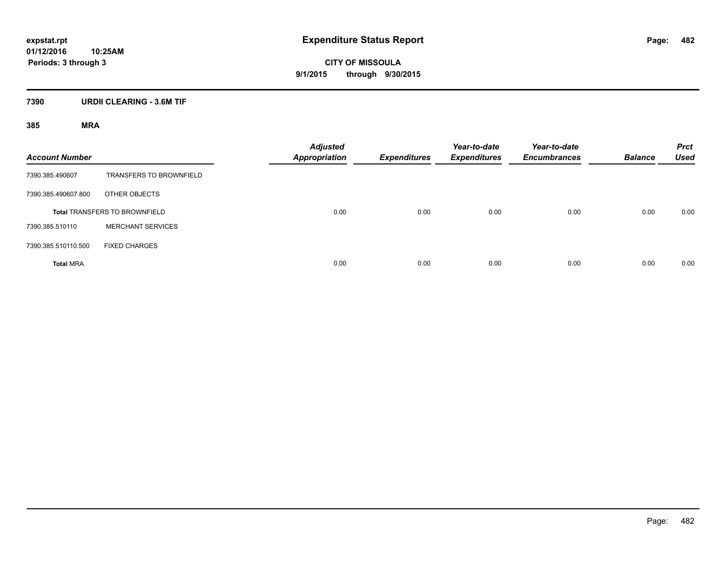**CITY OF MISSOULA 9/1/2015 through 9/30/2015**

### **7390 URDII CLEARING - 3.6M TIF**

| <b>Account Number</b> |                                      | Adjusted<br><b>Appropriation</b> | <b>Expenditures</b> | Year-to-date<br><b>Expenditures</b> | Year-to-date<br><b>Encumbrances</b> | <b>Balance</b> | <b>Prct</b><br><b>Used</b> |
|-----------------------|--------------------------------------|----------------------------------|---------------------|-------------------------------------|-------------------------------------|----------------|----------------------------|
| 7390.385.490607       | <b>TRANSFERS TO BROWNFIELD</b>       |                                  |                     |                                     |                                     |                |                            |
| 7390.385.490607.800   | OTHER OBJECTS                        |                                  |                     |                                     |                                     |                |                            |
|                       | <b>Total TRANSFERS TO BROWNFIELD</b> | 0.00                             | 0.00                | 0.00                                | 0.00                                | 0.00           | 0.00                       |
| 7390.385.510110       | <b>MERCHANT SERVICES</b>             |                                  |                     |                                     |                                     |                |                            |
| 7390.385.510110.500   | <b>FIXED CHARGES</b>                 |                                  |                     |                                     |                                     |                |                            |
| <b>Total MRA</b>      |                                      | 0.00                             | 0.00                | 0.00                                | 0.00                                | 0.00           | 0.00                       |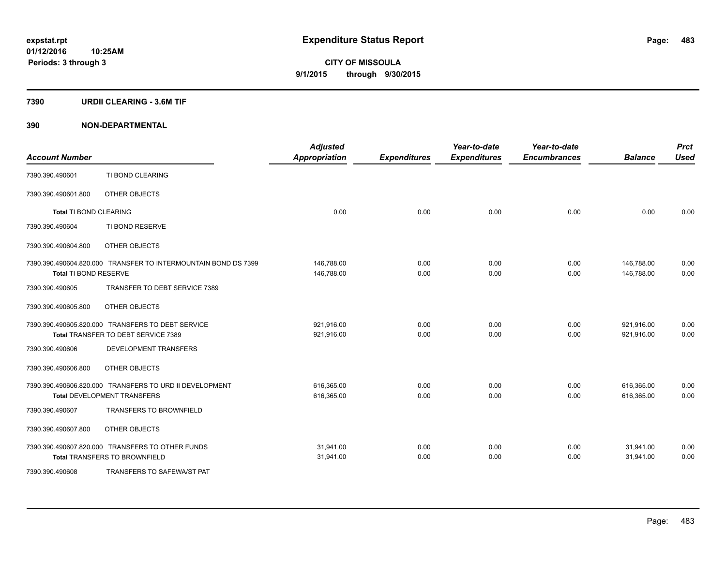#### **7390 URDII CLEARING - 3.6M TIF**

| <b>Account Number</b>         |                                                                | <b>Adjusted</b><br><b>Appropriation</b> | <b>Expenditures</b> | Year-to-date<br><b>Expenditures</b> | Year-to-date<br><b>Encumbrances</b> | <b>Balance</b> | <b>Prct</b><br><b>Used</b> |
|-------------------------------|----------------------------------------------------------------|-----------------------------------------|---------------------|-------------------------------------|-------------------------------------|----------------|----------------------------|
| 7390.390.490601               | TI BOND CLEARING                                               |                                         |                     |                                     |                                     |                |                            |
| 7390.390.490601.800           | OTHER OBJECTS                                                  |                                         |                     |                                     |                                     |                |                            |
| <b>Total TI BOND CLEARING</b> |                                                                | 0.00                                    | 0.00                | 0.00                                | 0.00                                | 0.00           | 0.00                       |
| 7390.390.490604               | TI BOND RESERVE                                                |                                         |                     |                                     |                                     |                |                            |
| 7390.390.490604.800           | OTHER OBJECTS                                                  |                                         |                     |                                     |                                     |                |                            |
|                               | 7390.390.490604.820.000 TRANSFER TO INTERMOUNTAIN BOND DS 7399 | 146,788.00                              | 0.00                | 0.00                                | 0.00                                | 146,788.00     | 0.00                       |
| Total TI BOND RESERVE         |                                                                | 146,788.00                              | 0.00                | 0.00                                | 0.00                                | 146,788.00     | 0.00                       |
| 7390.390.490605               | TRANSFER TO DEBT SERVICE 7389                                  |                                         |                     |                                     |                                     |                |                            |
| 7390.390.490605.800           | OTHER OBJECTS                                                  |                                         |                     |                                     |                                     |                |                            |
|                               | 7390.390.490605.820.000 TRANSFERS TO DEBT SERVICE              | 921,916.00                              | 0.00                | 0.00                                | 0.00                                | 921,916.00     | 0.00                       |
|                               | Total TRANSFER TO DEBT SERVICE 7389                            | 921,916.00                              | 0.00                | 0.00                                | 0.00                                | 921,916.00     | 0.00                       |
| 7390.390.490606               | DEVELOPMENT TRANSFERS                                          |                                         |                     |                                     |                                     |                |                            |
| 7390.390.490606.800           | OTHER OBJECTS                                                  |                                         |                     |                                     |                                     |                |                            |
|                               | 7390.390.490606.820.000 TRANSFERS TO URD II DEVELOPMENT        | 616,365.00                              | 0.00                | 0.00                                | 0.00                                | 616,365.00     | 0.00                       |
|                               | <b>Total DEVELOPMENT TRANSFERS</b>                             | 616,365.00                              | 0.00                | 0.00                                | 0.00                                | 616,365.00     | 0.00                       |
| 7390.390.490607               | <b>TRANSFERS TO BROWNFIELD</b>                                 |                                         |                     |                                     |                                     |                |                            |
| 7390.390.490607.800           | OTHER OBJECTS                                                  |                                         |                     |                                     |                                     |                |                            |
|                               | 7390.390.490607.820.000 TRANSFERS TO OTHER FUNDS               | 31,941.00                               | 0.00                | 0.00                                | 0.00                                | 31,941.00      | 0.00                       |
|                               | <b>Total TRANSFERS TO BROWNFIELD</b>                           | 31,941.00                               | 0.00                | 0.00                                | 0.00                                | 31,941.00      | 0.00                       |
| 7390.390.490608               | TRANSFERS TO SAFEWA/ST PAT                                     |                                         |                     |                                     |                                     |                |                            |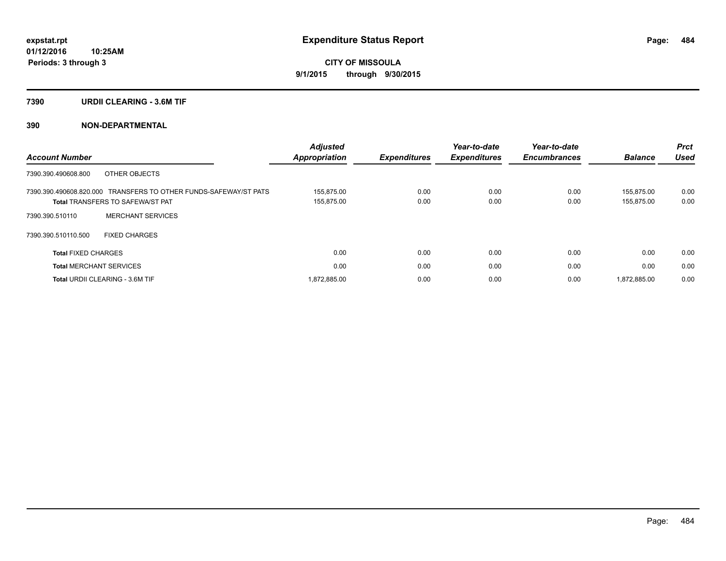#### **7390 URDII CLEARING - 3.6M TIF**

| <b>Account Number</b>                                                                                       | <b>Adjusted</b><br><b>Appropriation</b> | <b>Expenditures</b> | Year-to-date<br><b>Expenditures</b> | Year-to-date<br><b>Encumbrances</b> | <b>Balance</b>           | <b>Prct</b><br><b>Used</b> |
|-------------------------------------------------------------------------------------------------------------|-----------------------------------------|---------------------|-------------------------------------|-------------------------------------|--------------------------|----------------------------|
| 7390.390.490608.800<br>OTHER OBJECTS                                                                        |                                         |                     |                                     |                                     |                          |                            |
| 7390.390.490608.820.000 TRANSFERS TO OTHER FUNDS-SAFEWAY/ST PATS<br><b>Total TRANSFERS TO SAFEWA/ST PAT</b> | 155.875.00<br>155,875.00                | 0.00<br>0.00        | 0.00<br>0.00                        | 0.00<br>0.00                        | 155.875.00<br>155,875.00 | 0.00<br>0.00               |
| <b>MERCHANT SERVICES</b><br>7390.390.510110                                                                 |                                         |                     |                                     |                                     |                          |                            |
| 7390.390.510110.500<br><b>FIXED CHARGES</b>                                                                 |                                         |                     |                                     |                                     |                          |                            |
| <b>Total FIXED CHARGES</b>                                                                                  | 0.00                                    | 0.00                | 0.00                                | 0.00                                | 0.00                     | 0.00                       |
| <b>Total MERCHANT SERVICES</b>                                                                              | 0.00                                    | 0.00                | 0.00                                | 0.00                                | 0.00                     | 0.00                       |
| <b>Total URDII CLEARING - 3.6M TIF</b>                                                                      | 1.872.885.00                            | 0.00                | 0.00                                | 0.00                                | 1.872.885.00             | 0.00                       |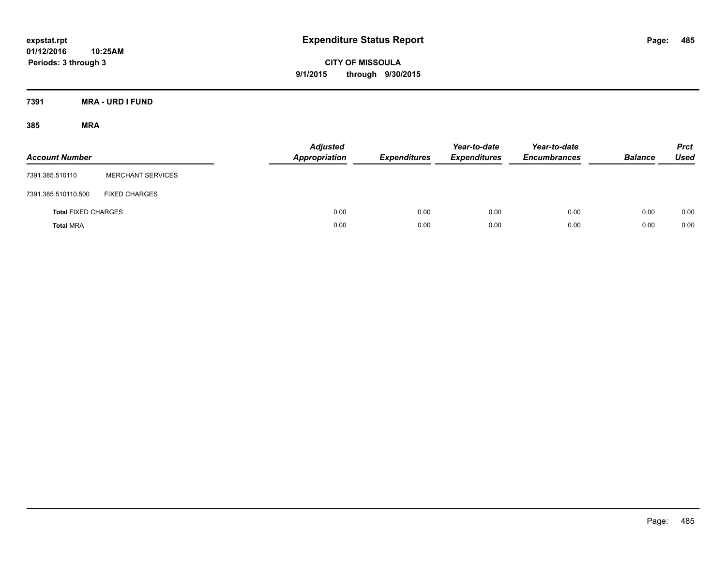**CITY OF MISSOULA 9/1/2015 through 9/30/2015**

**7391 MRA - URD I FUND**

| <b>Account Number</b>      |                          | <b>Adjusted</b><br><b>Appropriation</b> | <b>Expenditures</b> | Year-to-date<br><b>Expenditures</b> | Year-to-date<br><b>Encumbrances</b> | <b>Balance</b> | <b>Prct</b><br><b>Used</b> |
|----------------------------|--------------------------|-----------------------------------------|---------------------|-------------------------------------|-------------------------------------|----------------|----------------------------|
| 7391.385.510110            | <b>MERCHANT SERVICES</b> |                                         |                     |                                     |                                     |                |                            |
| 7391.385.510110.500        | <b>FIXED CHARGES</b>     |                                         |                     |                                     |                                     |                |                            |
| <b>Total FIXED CHARGES</b> |                          | 0.00                                    | 0.00                | 0.00                                | 0.00                                | 0.00           | 0.00                       |
| <b>Total MRA</b>           |                          | 0.00                                    | 0.00                | 0.00                                | 0.00                                | 0.00           | 0.00                       |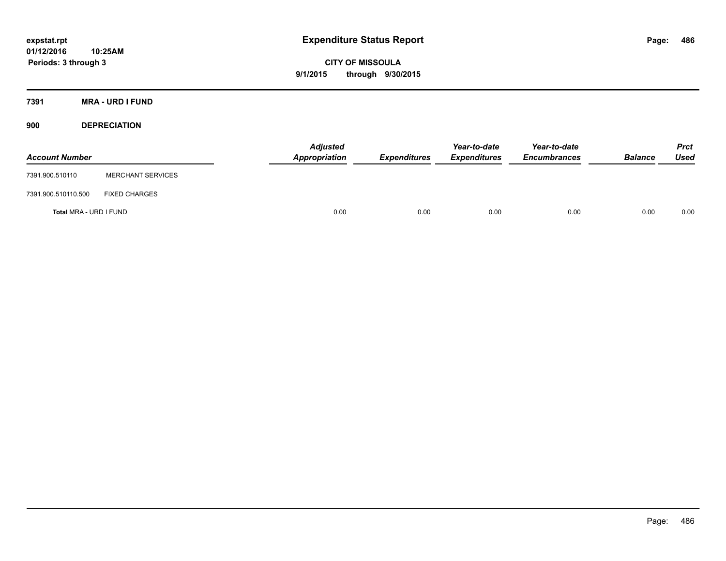**CITY OF MISSOULA 9/1/2015 through 9/30/2015**

**7391 MRA - URD I FUND**

**900 DEPRECIATION**

| <b>Account Number</b>  |                          | <b>Adjusted</b><br>Appropriation | <b>Expenditures</b> | Year-to-date<br><b>Expenditures</b> | Year-to-date<br><b>Encumbrances</b> | <b>Balance</b> | <b>Prct</b><br><b>Used</b> |
|------------------------|--------------------------|----------------------------------|---------------------|-------------------------------------|-------------------------------------|----------------|----------------------------|
| 7391.900.510110        | <b>MERCHANT SERVICES</b> |                                  |                     |                                     |                                     |                |                            |
| 7391.900.510110.500    | <b>FIXED CHARGES</b>     |                                  |                     |                                     |                                     |                |                            |
| Total MRA - URD I FUND |                          | 0.00                             | 0.00                | 0.00                                | 0.00                                | 0.00           | 0.00                       |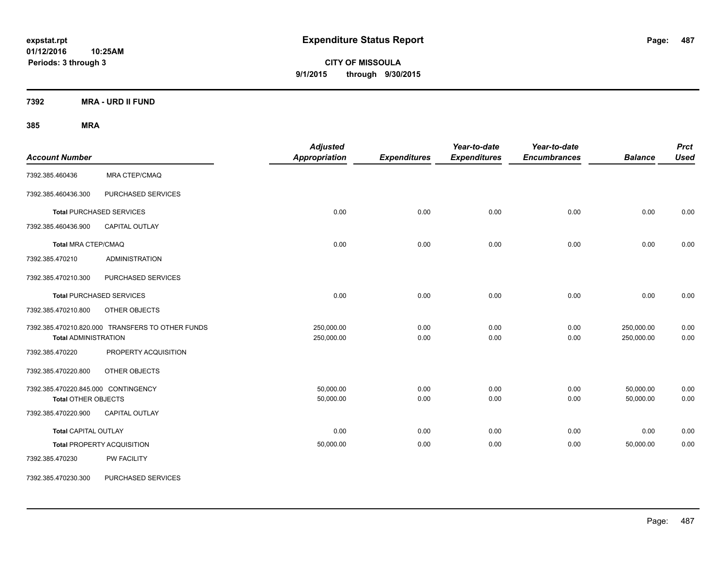**CITY OF MISSOULA 9/1/2015 through 9/30/2015**

**7392 MRA - URD II FUND**

| <b>Account Number</b>                                             |                                                  | <b>Adjusted</b><br><b>Appropriation</b> | <b>Expenditures</b> | Year-to-date<br><b>Expenditures</b> | Year-to-date<br><b>Encumbrances</b> | <b>Balance</b>           | <b>Prct</b><br><b>Used</b> |
|-------------------------------------------------------------------|--------------------------------------------------|-----------------------------------------|---------------------|-------------------------------------|-------------------------------------|--------------------------|----------------------------|
| 7392.385.460436                                                   | <b>MRA CTEP/CMAQ</b>                             |                                         |                     |                                     |                                     |                          |                            |
| 7392.385.460436.300                                               | PURCHASED SERVICES                               |                                         |                     |                                     |                                     |                          |                            |
|                                                                   | <b>Total PURCHASED SERVICES</b>                  | 0.00                                    | 0.00                | 0.00                                | 0.00                                | 0.00                     | 0.00                       |
| 7392.385.460436.900                                               | CAPITAL OUTLAY                                   |                                         |                     |                                     |                                     |                          |                            |
| <b>Total MRA CTEP/CMAQ</b>                                        |                                                  | 0.00                                    | 0.00                | 0.00                                | 0.00                                | 0.00                     | 0.00                       |
| 7392.385.470210                                                   | <b>ADMINISTRATION</b>                            |                                         |                     |                                     |                                     |                          |                            |
| 7392.385.470210.300                                               | PURCHASED SERVICES                               |                                         |                     |                                     |                                     |                          |                            |
|                                                                   | <b>Total PURCHASED SERVICES</b>                  | 0.00                                    | 0.00                | 0.00                                | 0.00                                | 0.00                     | 0.00                       |
| 7392.385.470210.800                                               | <b>OTHER OBJECTS</b>                             |                                         |                     |                                     |                                     |                          |                            |
| <b>Total ADMINISTRATION</b>                                       | 7392.385.470210.820.000 TRANSFERS TO OTHER FUNDS | 250,000.00<br>250,000.00                | 0.00<br>0.00        | 0.00<br>0.00                        | 0.00<br>0.00                        | 250,000.00<br>250,000.00 | 0.00<br>0.00               |
| 7392.385.470220                                                   | PROPERTY ACQUISITION                             |                                         |                     |                                     |                                     |                          |                            |
| 7392.385.470220.800                                               | OTHER OBJECTS                                    |                                         |                     |                                     |                                     |                          |                            |
| 7392.385.470220.845.000 CONTINGENCY<br><b>Total OTHER OBJECTS</b> |                                                  | 50,000.00<br>50,000.00                  | 0.00<br>0.00        | 0.00<br>0.00                        | 0.00<br>0.00                        | 50,000.00<br>50,000.00   | 0.00<br>0.00               |
| 7392.385.470220.900                                               | CAPITAL OUTLAY                                   |                                         |                     |                                     |                                     |                          |                            |
| <b>Total CAPITAL OUTLAY</b>                                       |                                                  | 0.00                                    | 0.00                | 0.00                                | 0.00                                | 0.00                     | 0.00                       |
|                                                                   | <b>Total PROPERTY ACQUISITION</b>                | 50,000.00                               | 0.00                | 0.00                                | 0.00                                | 50,000.00                | 0.00                       |
| 7392.385.470230                                                   | PW FACILITY                                      |                                         |                     |                                     |                                     |                          |                            |
| 7392.385.470230.300                                               | PURCHASED SERVICES                               |                                         |                     |                                     |                                     |                          |                            |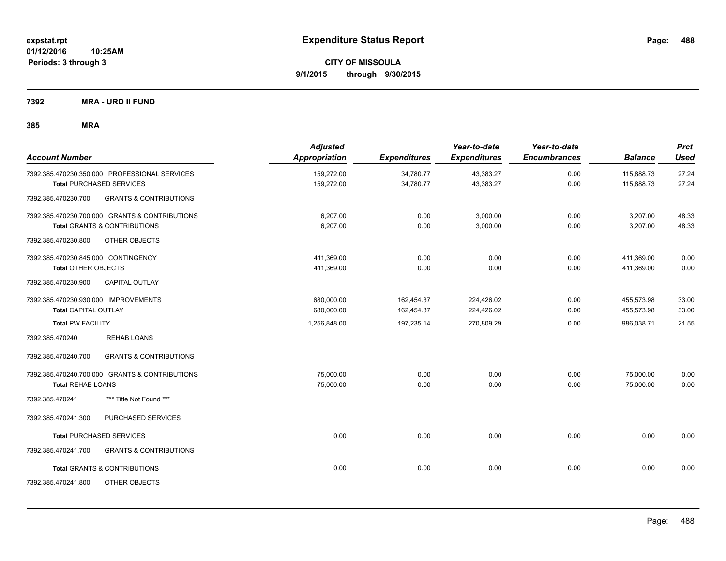**CITY OF MISSOULA 9/1/2015 through 9/30/2015**

**7392 MRA - URD II FUND**

| <b>Account Number</b>                                    | <b>Adjusted</b><br><b>Appropriation</b> | <b>Expenditures</b> | Year-to-date<br><b>Expenditures</b> | Year-to-date<br><b>Encumbrances</b> | <b>Balance</b> | <b>Prct</b><br><b>Used</b> |
|----------------------------------------------------------|-----------------------------------------|---------------------|-------------------------------------|-------------------------------------|----------------|----------------------------|
| 7392.385.470230.350.000 PROFESSIONAL SERVICES            | 159,272.00                              | 34,780.77           | 43,383.27                           | 0.00                                | 115,888.73     | 27.24                      |
| <b>Total PURCHASED SERVICES</b>                          | 159,272.00                              | 34,780.77           | 43,383.27                           | 0.00                                | 115,888.73     | 27.24                      |
| 7392.385.470230.700<br><b>GRANTS &amp; CONTRIBUTIONS</b> |                                         |                     |                                     |                                     |                |                            |
| 7392.385.470230.700.000 GRANTS & CONTRIBUTIONS           | 6,207.00                                | 0.00                | 3,000.00                            | 0.00                                | 3,207.00       | 48.33                      |
| <b>Total GRANTS &amp; CONTRIBUTIONS</b>                  | 6,207.00                                | 0.00                | 3,000.00                            | 0.00                                | 3,207.00       | 48.33                      |
| 7392.385.470230.800<br>OTHER OBJECTS                     |                                         |                     |                                     |                                     |                |                            |
| 7392.385.470230.845.000 CONTINGENCY                      | 411,369.00                              | 0.00                | 0.00                                | 0.00                                | 411,369.00     | 0.00                       |
| <b>Total OTHER OBJECTS</b>                               | 411,369.00                              | 0.00                | 0.00                                | 0.00                                | 411,369.00     | 0.00                       |
| <b>CAPITAL OUTLAY</b><br>7392.385.470230.900             |                                         |                     |                                     |                                     |                |                            |
| 7392.385.470230.930.000 IMPROVEMENTS                     | 680,000.00                              | 162,454.37          | 224.426.02                          | 0.00                                | 455.573.98     | 33.00                      |
| Total CAPITAL OUTLAY                                     | 680,000.00                              | 162,454.37          | 224,426.02                          | 0.00                                | 455,573.98     | 33.00                      |
| <b>Total PW FACILITY</b>                                 | 1,256,848.00                            | 197,235.14          | 270,809.29                          | 0.00                                | 986,038.71     | 21.55                      |
| 7392.385.470240<br><b>REHAB LOANS</b>                    |                                         |                     |                                     |                                     |                |                            |
| <b>GRANTS &amp; CONTRIBUTIONS</b><br>7392.385.470240.700 |                                         |                     |                                     |                                     |                |                            |
| 7392.385.470240.700.000 GRANTS & CONTRIBUTIONS           | 75,000.00                               | 0.00                | 0.00                                | 0.00                                | 75,000.00      | 0.00                       |
| <b>Total REHAB LOANS</b>                                 | 75,000.00                               | 0.00                | 0.00                                | 0.00                                | 75,000.00      | 0.00                       |
| 7392.385.470241<br>*** Title Not Found ***               |                                         |                     |                                     |                                     |                |                            |
| PURCHASED SERVICES<br>7392.385.470241.300                |                                         |                     |                                     |                                     |                |                            |
| <b>Total PURCHASED SERVICES</b>                          | 0.00                                    | 0.00                | 0.00                                | 0.00                                | 0.00           | 0.00                       |
| <b>GRANTS &amp; CONTRIBUTIONS</b><br>7392.385.470241.700 |                                         |                     |                                     |                                     |                |                            |
| <b>Total GRANTS &amp; CONTRIBUTIONS</b>                  | 0.00                                    | 0.00                | 0.00                                | 0.00                                | 0.00           | 0.00                       |
| 7392.385.470241.800<br>OTHER OBJECTS                     |                                         |                     |                                     |                                     |                |                            |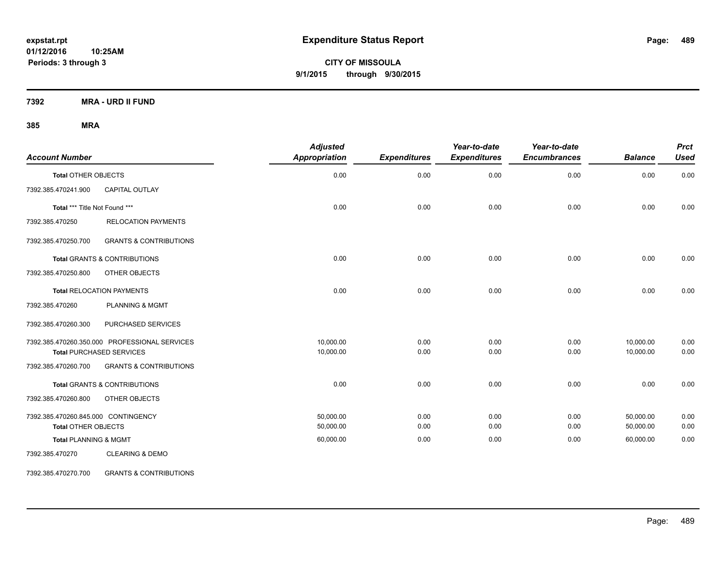**CITY OF MISSOULA 9/1/2015 through 9/30/2015**

**7392 MRA - URD II FUND**

**385 MRA**

| <b>Account Number</b>               |                                               | <b>Adjusted</b><br>Appropriation | <b>Expenditures</b> | Year-to-date<br><b>Expenditures</b> | Year-to-date<br><b>Encumbrances</b> | <b>Balance</b> | <b>Prct</b><br><b>Used</b> |
|-------------------------------------|-----------------------------------------------|----------------------------------|---------------------|-------------------------------------|-------------------------------------|----------------|----------------------------|
| <b>Total OTHER OBJECTS</b>          |                                               | 0.00                             | 0.00                | 0.00                                | 0.00                                | 0.00           | 0.00                       |
| 7392.385.470241.900                 | <b>CAPITAL OUTLAY</b>                         |                                  |                     |                                     |                                     |                |                            |
| Total *** Title Not Found ***       |                                               | 0.00                             | 0.00                | 0.00                                | 0.00                                | 0.00           | 0.00                       |
| 7392.385.470250                     | <b>RELOCATION PAYMENTS</b>                    |                                  |                     |                                     |                                     |                |                            |
| 7392.385.470250.700                 | <b>GRANTS &amp; CONTRIBUTIONS</b>             |                                  |                     |                                     |                                     |                |                            |
|                                     | <b>Total GRANTS &amp; CONTRIBUTIONS</b>       | 0.00                             | 0.00                | 0.00                                | 0.00                                | 0.00           | 0.00                       |
| 7392.385.470250.800                 | OTHER OBJECTS                                 |                                  |                     |                                     |                                     |                |                            |
|                                     | <b>Total RELOCATION PAYMENTS</b>              | 0.00                             | 0.00                | 0.00                                | 0.00                                | 0.00           | 0.00                       |
| 7392.385.470260                     | <b>PLANNING &amp; MGMT</b>                    |                                  |                     |                                     |                                     |                |                            |
| 7392.385.470260.300                 | PURCHASED SERVICES                            |                                  |                     |                                     |                                     |                |                            |
|                                     | 7392.385.470260.350.000 PROFESSIONAL SERVICES | 10,000.00                        | 0.00                | 0.00                                | 0.00                                | 10,000.00      | 0.00                       |
|                                     | <b>Total PURCHASED SERVICES</b>               | 10,000.00                        | 0.00                | 0.00                                | 0.00                                | 10,000.00      | 0.00                       |
| 7392.385.470260.700                 | <b>GRANTS &amp; CONTRIBUTIONS</b>             |                                  |                     |                                     |                                     |                |                            |
|                                     | <b>Total GRANTS &amp; CONTRIBUTIONS</b>       | 0.00                             | 0.00                | 0.00                                | 0.00                                | 0.00           | 0.00                       |
| 7392.385.470260.800                 | OTHER OBJECTS                                 |                                  |                     |                                     |                                     |                |                            |
| 7392.385.470260.845.000 CONTINGENCY |                                               | 50,000.00                        | 0.00                | 0.00                                | 0.00                                | 50,000.00      | 0.00                       |
| <b>Total OTHER OBJECTS</b>          |                                               | 50,000.00                        | 0.00                | 0.00                                | 0.00                                | 50,000.00      | 0.00                       |
| <b>Total PLANNING &amp; MGMT</b>    |                                               | 60,000.00                        | 0.00                | 0.00                                | 0.00                                | 60,000.00      | 0.00                       |
| 7392.385.470270                     | <b>CLEARING &amp; DEMO</b>                    |                                  |                     |                                     |                                     |                |                            |

7392.385.470270.700 GRANTS & CONTRIBUTIONS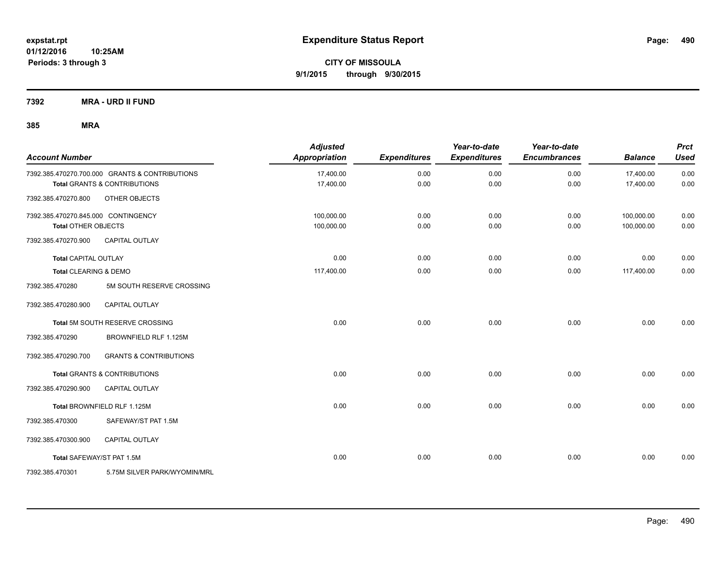**7392 MRA - URD II FUND**

| <b>Account Number</b>               |                                                | <b>Adjusted</b><br>Appropriation | <b>Expenditures</b> | Year-to-date<br><b>Expenditures</b> | Year-to-date<br><b>Encumbrances</b> | <b>Balance</b> | <b>Prct</b><br><b>Used</b> |
|-------------------------------------|------------------------------------------------|----------------------------------|---------------------|-------------------------------------|-------------------------------------|----------------|----------------------------|
|                                     | 7392.385.470270.700.000 GRANTS & CONTRIBUTIONS | 17,400.00                        | 0.00                | 0.00                                | 0.00                                | 17,400.00      | 0.00                       |
|                                     | <b>Total GRANTS &amp; CONTRIBUTIONS</b>        | 17,400.00                        | 0.00                | 0.00                                | 0.00                                | 17,400.00      | 0.00                       |
| 7392.385.470270.800                 | OTHER OBJECTS                                  |                                  |                     |                                     |                                     |                |                            |
| 7392.385.470270.845.000 CONTINGENCY |                                                | 100,000.00                       | 0.00                | 0.00                                | 0.00                                | 100,000.00     | 0.00                       |
| <b>Total OTHER OBJECTS</b>          |                                                | 100,000.00                       | 0.00                | 0.00                                | 0.00                                | 100,000.00     | 0.00                       |
| 7392.385.470270.900                 | <b>CAPITAL OUTLAY</b>                          |                                  |                     |                                     |                                     |                |                            |
| <b>Total CAPITAL OUTLAY</b>         |                                                | 0.00                             | 0.00                | 0.00                                | 0.00                                | 0.00           | 0.00                       |
| Total CLEARING & DEMO               |                                                | 117,400.00                       | 0.00                | 0.00                                | 0.00                                | 117,400.00     | 0.00                       |
| 7392.385.470280                     | 5M SOUTH RESERVE CROSSING                      |                                  |                     |                                     |                                     |                |                            |
| 7392.385.470280.900                 | CAPITAL OUTLAY                                 |                                  |                     |                                     |                                     |                |                            |
|                                     | Total 5M SOUTH RESERVE CROSSING                | 0.00                             | 0.00                | 0.00                                | 0.00                                | 0.00           | 0.00                       |
| 7392.385.470290                     | BROWNFIELD RLF 1.125M                          |                                  |                     |                                     |                                     |                |                            |
| 7392.385.470290.700                 | <b>GRANTS &amp; CONTRIBUTIONS</b>              |                                  |                     |                                     |                                     |                |                            |
|                                     | <b>Total GRANTS &amp; CONTRIBUTIONS</b>        | 0.00                             | 0.00                | 0.00                                | 0.00                                | 0.00           | 0.00                       |
| 7392.385.470290.900                 | <b>CAPITAL OUTLAY</b>                          |                                  |                     |                                     |                                     |                |                            |
|                                     | Total BROWNFIELD RLF 1.125M                    | 0.00                             | 0.00                | 0.00                                | 0.00                                | 0.00           | 0.00                       |
| 7392.385.470300                     | SAFEWAY/ST PAT 1.5M                            |                                  |                     |                                     |                                     |                |                            |
| 7392.385.470300.900                 | <b>CAPITAL OUTLAY</b>                          |                                  |                     |                                     |                                     |                |                            |
| Total SAFEWAY/ST PAT 1.5M           |                                                | 0.00                             | 0.00                | 0.00                                | 0.00                                | 0.00           | 0.00                       |
| 7392.385.470301                     | 5.75M SILVER PARK/WYOMIN/MRL                   |                                  |                     |                                     |                                     |                |                            |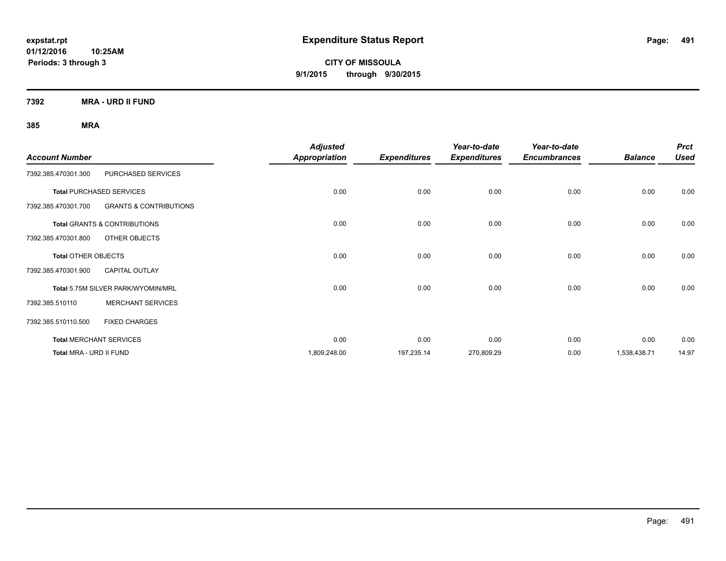**CITY OF MISSOULA 9/1/2015 through 9/30/2015**

**7392 MRA - URD II FUND**

|                            |                                         | <b>Adjusted</b>      |                     | Year-to-date        | Year-to-date        |                | <b>Prct</b> |
|----------------------------|-----------------------------------------|----------------------|---------------------|---------------------|---------------------|----------------|-------------|
| <b>Account Number</b>      |                                         | <b>Appropriation</b> | <b>Expenditures</b> | <b>Expenditures</b> | <b>Encumbrances</b> | <b>Balance</b> | <b>Used</b> |
| 7392.385.470301.300        | PURCHASED SERVICES                      |                      |                     |                     |                     |                |             |
|                            | <b>Total PURCHASED SERVICES</b>         | 0.00                 | 0.00                | 0.00                | 0.00                | 0.00           | 0.00        |
| 7392.385.470301.700        | <b>GRANTS &amp; CONTRIBUTIONS</b>       |                      |                     |                     |                     |                |             |
|                            | <b>Total GRANTS &amp; CONTRIBUTIONS</b> | 0.00                 | 0.00                | 0.00                | 0.00                | 0.00           | 0.00        |
| 7392.385.470301.800        | OTHER OBJECTS                           |                      |                     |                     |                     |                |             |
| <b>Total OTHER OBJECTS</b> |                                         | 0.00                 | 0.00                | 0.00                | 0.00                | 0.00           | 0.00        |
| 7392.385.470301.900        | <b>CAPITAL OUTLAY</b>                   |                      |                     |                     |                     |                |             |
|                            | Total 5.75M SILVER PARK/WYOMIN/MRL      | 0.00                 | 0.00                | 0.00                | 0.00                | 0.00           | 0.00        |
| 7392.385.510110            | <b>MERCHANT SERVICES</b>                |                      |                     |                     |                     |                |             |
| 7392.385.510110.500        | <b>FIXED CHARGES</b>                    |                      |                     |                     |                     |                |             |
|                            | <b>Total MERCHANT SERVICES</b>          | 0.00                 | 0.00                | 0.00                | 0.00                | 0.00           | 0.00        |
| Total MRA - URD II FUND    |                                         | 1,809,248.00         | 197,235.14          | 270,809.29          | 0.00                | 1,538,438.71   | 14.97       |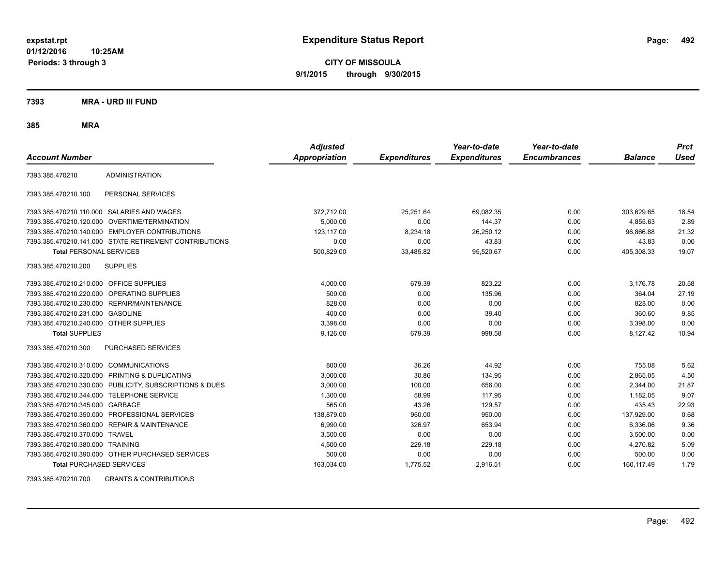**CITY OF MISSOULA 9/1/2015 through 9/30/2015**

**7393 MRA - URD III FUND**

**385 MRA**

| <b>Account Number</b>                   |                                                         | <b>Adjusted</b><br><b>Appropriation</b> | <b>Expenditures</b> | Year-to-date<br><b>Expenditures</b> | Year-to-date<br><b>Encumbrances</b> | <b>Balance</b> | <b>Prct</b><br><b>Used</b> |
|-----------------------------------------|---------------------------------------------------------|-----------------------------------------|---------------------|-------------------------------------|-------------------------------------|----------------|----------------------------|
| 7393.385.470210                         | <b>ADMINISTRATION</b>                                   |                                         |                     |                                     |                                     |                |                            |
| 7393.385.470210.100                     | PERSONAL SERVICES                                       |                                         |                     |                                     |                                     |                |                            |
|                                         | 7393.385.470210.110.000 SALARIES AND WAGES              | 372,712.00                              | 25,251.64           | 69,082.35                           | 0.00                                | 303,629.65     | 18.54                      |
|                                         | 7393.385.470210.120.000 OVERTIME/TERMINATION            | 5.000.00                                | 0.00                | 144.37                              | 0.00                                | 4.855.63       | 2.89                       |
|                                         | 7393.385.470210.140.000 EMPLOYER CONTRIBUTIONS          | 123,117.00                              | 8,234.18            | 26,250.12                           | 0.00                                | 96.866.88      | 21.32                      |
|                                         | 7393.385.470210.141.000 STATE RETIREMENT CONTRIBUTIONS  | 0.00                                    | 0.00                | 43.83                               | 0.00                                | $-43.83$       | 0.00                       |
| <b>Total PERSONAL SERVICES</b>          |                                                         | 500,829.00                              | 33,485.82           | 95,520.67                           | 0.00                                | 405,308.33     | 19.07                      |
| 7393.385.470210.200                     | <b>SUPPLIES</b>                                         |                                         |                     |                                     |                                     |                |                            |
| 7393.385.470210.210.000 OFFICE SUPPLIES |                                                         | 4,000.00                                | 679.39              | 823.22                              | 0.00                                | 3,176.78       | 20.58                      |
|                                         | 7393.385.470210.220.000 OPERATING SUPPLIES              | 500.00                                  | 0.00                | 135.96                              | 0.00                                | 364.04         | 27.19                      |
| 7393.385.470210.230.000                 | REPAIR/MAINTENANCE                                      | 828.00                                  | 0.00                | 0.00                                | 0.00                                | 828.00         | 0.00                       |
| 7393.385.470210.231.000                 | <b>GASOLINE</b>                                         | 400.00                                  | 0.00                | 39.40                               | 0.00                                | 360.60         | 9.85                       |
| 7393.385.470210.240.000 OTHER SUPPLIES  |                                                         | 3,398.00                                | 0.00                | 0.00                                | 0.00                                | 3,398.00       | 0.00                       |
| <b>Total SUPPLIES</b>                   |                                                         | 9,126.00                                | 679.39              | 998.58                              | 0.00                                | 8,127.42       | 10.94                      |
| 7393.385.470210.300                     | <b>PURCHASED SERVICES</b>                               |                                         |                     |                                     |                                     |                |                            |
| 7393.385.470210.310.000 COMMUNICATIONS  |                                                         | 800.00                                  | 36.26               | 44.92                               | 0.00                                | 755.08         | 5.62                       |
| 7393.385.470210.320.000                 | PRINTING & DUPLICATING                                  | 3,000.00                                | 30.86               | 134.95                              | 0.00                                | 2,865.05       | 4.50                       |
|                                         | 7393.385.470210.330.000 PUBLICITY, SUBSCRIPTIONS & DUES | 3,000.00                                | 100.00              | 656.00                              | 0.00                                | 2,344.00       | 21.87                      |
| 7393.385.470210.344.000                 | TELEPHONE SERVICE                                       | 1,300.00                                | 58.99               | 117.95                              | 0.00                                | 1,182.05       | 9.07                       |
| 7393.385.470210.345.000 GARBAGE         |                                                         | 565.00                                  | 43.26               | 129.57                              | 0.00                                | 435.43         | 22.93                      |
|                                         | 7393.385.470210.350.000 PROFESSIONAL SERVICES           | 138.879.00                              | 950.00              | 950.00                              | 0.00                                | 137,929.00     | 0.68                       |
|                                         | 7393.385.470210.360.000 REPAIR & MAINTENANCE            | 6,990.00                                | 326.97              | 653.94                              | 0.00                                | 6,336.06       | 9.36                       |
| 7393.385.470210.370.000 TRAVEL          |                                                         | 3,500.00                                | 0.00                | 0.00                                | 0.00                                | 3,500.00       | 0.00                       |
| 7393.385.470210.380.000 TRAINING        |                                                         | 4,500.00                                | 229.18              | 229.18                              | 0.00                                | 4,270.82       | 5.09                       |
|                                         | 7393.385.470210.390.000 OTHER PURCHASED SERVICES        | 500.00                                  | 0.00                | 0.00                                | 0.00                                | 500.00         | 0.00                       |
| <b>Total PURCHASED SERVICES</b>         |                                                         | 163,034.00                              | 1,775.52            | 2,916.51                            | 0.00                                | 160,117.49     | 1.79                       |

7393.385.470210.700 GRANTS & CONTRIBUTIONS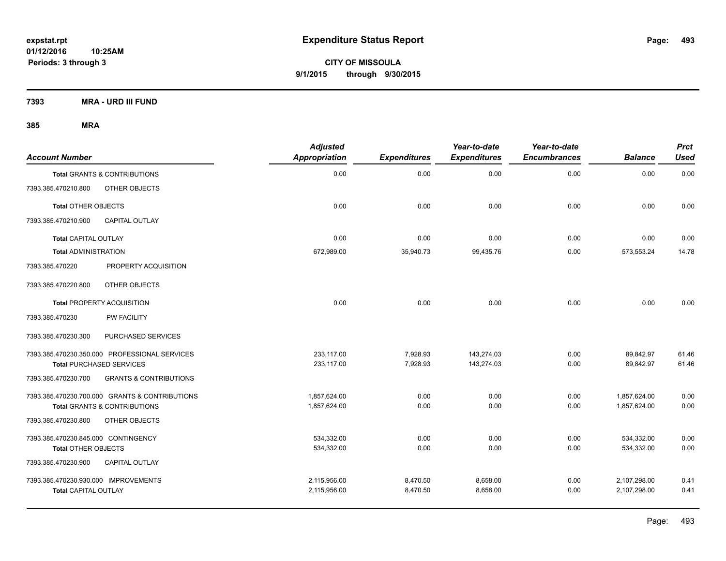**CITY OF MISSOULA 9/1/2015 through 9/30/2015**

**7393 MRA - URD III FUND**

| <b>Account Number</b>                |                                                | <b>Adjusted</b><br><b>Appropriation</b> | <b>Expenditures</b> | Year-to-date<br><b>Expenditures</b> | Year-to-date<br><b>Encumbrances</b> | <b>Balance</b> | Prct<br><b>Used</b> |
|--------------------------------------|------------------------------------------------|-----------------------------------------|---------------------|-------------------------------------|-------------------------------------|----------------|---------------------|
|                                      | <b>Total GRANTS &amp; CONTRIBUTIONS</b>        | 0.00                                    | 0.00                | 0.00                                | 0.00                                | 0.00           | 0.00                |
| 7393.385.470210.800                  | OTHER OBJECTS                                  |                                         |                     |                                     |                                     |                |                     |
| <b>Total OTHER OBJECTS</b>           |                                                | 0.00                                    | 0.00                | 0.00                                | 0.00                                | 0.00           | 0.00                |
| 7393.385.470210.900                  | CAPITAL OUTLAY                                 |                                         |                     |                                     |                                     |                |                     |
| <b>Total CAPITAL OUTLAY</b>          |                                                | 0.00                                    | 0.00                | 0.00                                | 0.00                                | 0.00           | 0.00                |
| <b>Total ADMINISTRATION</b>          |                                                | 672,989.00                              | 35,940.73           | 99,435.76                           | 0.00                                | 573,553.24     | 14.78               |
| 7393.385.470220                      | PROPERTY ACQUISITION                           |                                         |                     |                                     |                                     |                |                     |
| 7393.385.470220.800                  | OTHER OBJECTS                                  |                                         |                     |                                     |                                     |                |                     |
|                                      | <b>Total PROPERTY ACQUISITION</b>              | 0.00                                    | 0.00                | 0.00                                | 0.00                                | 0.00           | 0.00                |
| 7393.385.470230                      | PW FACILITY                                    |                                         |                     |                                     |                                     |                |                     |
| 7393.385.470230.300                  | PURCHASED SERVICES                             |                                         |                     |                                     |                                     |                |                     |
|                                      | 7393.385.470230.350.000 PROFESSIONAL SERVICES  | 233,117.00                              | 7,928.93            | 143,274.03                          | 0.00                                | 89,842.97      | 61.46               |
|                                      | Total PURCHASED SERVICES                       | 233,117.00                              | 7,928.93            | 143,274.03                          | 0.00                                | 89,842.97      | 61.46               |
| 7393.385.470230.700                  | <b>GRANTS &amp; CONTRIBUTIONS</b>              |                                         |                     |                                     |                                     |                |                     |
|                                      | 7393.385.470230.700.000 GRANTS & CONTRIBUTIONS | 1,857,624.00                            | 0.00                | 0.00                                | 0.00                                | 1,857,624.00   | 0.00                |
|                                      | <b>Total GRANTS &amp; CONTRIBUTIONS</b>        | 1,857,624.00                            | 0.00                | 0.00                                | 0.00                                | 1,857,624.00   | 0.00                |
| 7393.385.470230.800                  | OTHER OBJECTS                                  |                                         |                     |                                     |                                     |                |                     |
| 7393.385.470230.845.000 CONTINGENCY  |                                                | 534,332.00                              | 0.00                | 0.00                                | 0.00                                | 534,332.00     | 0.00                |
| <b>Total OTHER OBJECTS</b>           |                                                | 534,332.00                              | 0.00                | 0.00                                | 0.00                                | 534,332.00     | 0.00                |
| 7393.385.470230.900                  | <b>CAPITAL OUTLAY</b>                          |                                         |                     |                                     |                                     |                |                     |
| 7393.385.470230.930.000 IMPROVEMENTS |                                                | 2,115,956.00                            | 8,470.50            | 8,658.00                            | 0.00                                | 2,107,298.00   | 0.41                |
| <b>Total CAPITAL OUTLAY</b>          |                                                | 2,115,956.00                            | 8,470.50            | 8,658.00                            | 0.00                                | 2,107,298.00   | 0.41                |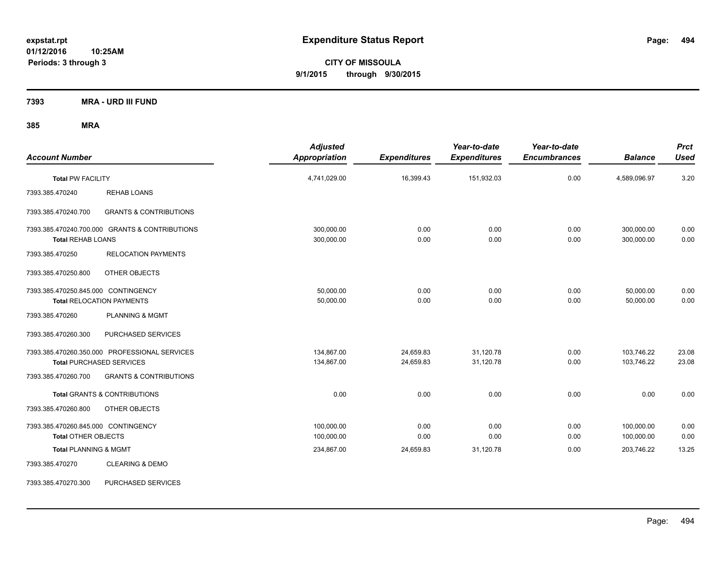**CITY OF MISSOULA 9/1/2015 through 9/30/2015**

**7393 MRA - URD III FUND**

| <b>Account Number</b>                                             |                                                                                  | <b>Adjusted</b><br><b>Appropriation</b> | <b>Expenditures</b>    | Year-to-date<br><b>Expenditures</b> | Year-to-date<br><b>Encumbrances</b> | <b>Balance</b>           | <b>Prct</b><br><b>Used</b> |
|-------------------------------------------------------------------|----------------------------------------------------------------------------------|-----------------------------------------|------------------------|-------------------------------------|-------------------------------------|--------------------------|----------------------------|
| <b>Total PW FACILITY</b>                                          |                                                                                  | 4,741,029.00                            | 16,399.43              | 151,932.03                          | 0.00                                | 4,589,096.97             | 3.20                       |
| 7393.385.470240                                                   | <b>REHAB LOANS</b>                                                               |                                         |                        |                                     |                                     |                          |                            |
| 7393.385.470240.700                                               | <b>GRANTS &amp; CONTRIBUTIONS</b>                                                |                                         |                        |                                     |                                     |                          |                            |
| <b>Total REHAB LOANS</b>                                          | 7393.385.470240.700.000 GRANTS & CONTRIBUTIONS                                   | 300,000.00<br>300,000.00                | 0.00<br>0.00           | 0.00<br>0.00                        | 0.00<br>0.00                        | 300,000.00<br>300,000.00 | 0.00<br>0.00               |
| 7393.385.470250                                                   | <b>RELOCATION PAYMENTS</b>                                                       |                                         |                        |                                     |                                     |                          |                            |
| 7393.385.470250.800                                               | OTHER OBJECTS                                                                    |                                         |                        |                                     |                                     |                          |                            |
| 7393.385.470250.845.000 CONTINGENCY                               | <b>Total RELOCATION PAYMENTS</b>                                                 | 50,000.00<br>50,000.00                  | 0.00<br>0.00           | 0.00<br>0.00                        | 0.00<br>0.00                        | 50,000.00<br>50,000.00   | 0.00<br>0.00               |
| 7393.385.470260                                                   | <b>PLANNING &amp; MGMT</b>                                                       |                                         |                        |                                     |                                     |                          |                            |
| 7393.385.470260.300                                               | PURCHASED SERVICES                                                               |                                         |                        |                                     |                                     |                          |                            |
|                                                                   | 7393.385.470260.350.000 PROFESSIONAL SERVICES<br><b>Total PURCHASED SERVICES</b> | 134.867.00<br>134,867.00                | 24,659.83<br>24,659.83 | 31,120.78<br>31,120.78              | 0.00<br>0.00                        | 103,746.22<br>103,746.22 | 23.08<br>23.08             |
| 7393.385.470260.700                                               | <b>GRANTS &amp; CONTRIBUTIONS</b>                                                |                                         |                        |                                     |                                     |                          |                            |
|                                                                   | <b>Total GRANTS &amp; CONTRIBUTIONS</b>                                          | 0.00                                    | 0.00                   | 0.00                                | 0.00                                | 0.00                     | 0.00                       |
| 7393.385.470260.800                                               | OTHER OBJECTS                                                                    |                                         |                        |                                     |                                     |                          |                            |
| 7393.385.470260.845.000 CONTINGENCY<br><b>Total OTHER OBJECTS</b> |                                                                                  | 100,000.00<br>100,000.00                | 0.00<br>0.00           | 0.00<br>0.00                        | 0.00<br>0.00                        | 100,000.00<br>100,000.00 | 0.00<br>0.00               |
| <b>Total PLANNING &amp; MGMT</b>                                  |                                                                                  | 234,867.00                              | 24,659.83              | 31,120.78                           | 0.00                                | 203,746.22               | 13.25                      |
| 7393.385.470270                                                   | <b>CLEARING &amp; DEMO</b>                                                       |                                         |                        |                                     |                                     |                          |                            |
| 7393.385.470270.300                                               | PURCHASED SERVICES                                                               |                                         |                        |                                     |                                     |                          |                            |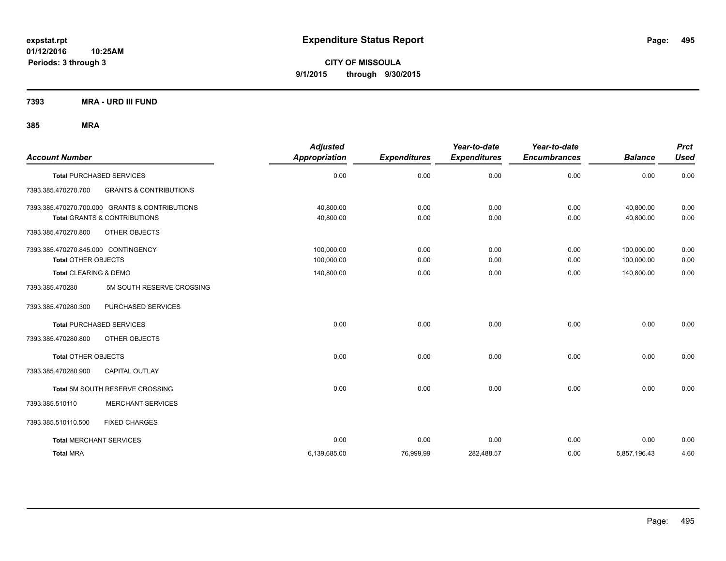**CITY OF MISSOULA 9/1/2015 through 9/30/2015**

**7393 MRA - URD III FUND**

| <b>Account Number</b>               |                                                | <b>Adjusted</b><br>Appropriation | <b>Expenditures</b> | Year-to-date<br><b>Expenditures</b> | Year-to-date<br><b>Encumbrances</b> | <b>Balance</b> | <b>Prct</b><br><b>Used</b> |
|-------------------------------------|------------------------------------------------|----------------------------------|---------------------|-------------------------------------|-------------------------------------|----------------|----------------------------|
|                                     | <b>Total PURCHASED SERVICES</b>                | 0.00                             | 0.00                | 0.00                                | 0.00                                | 0.00           | 0.00                       |
| 7393.385.470270.700                 | <b>GRANTS &amp; CONTRIBUTIONS</b>              |                                  |                     |                                     |                                     |                |                            |
|                                     | 7393.385.470270.700.000 GRANTS & CONTRIBUTIONS | 40.800.00                        | 0.00                | 0.00                                | 0.00                                | 40.800.00      | 0.00                       |
|                                     | <b>Total GRANTS &amp; CONTRIBUTIONS</b>        | 40,800.00                        | 0.00                | 0.00                                | 0.00                                | 40,800.00      | 0.00                       |
| 7393.385.470270.800                 | OTHER OBJECTS                                  |                                  |                     |                                     |                                     |                |                            |
| 7393.385.470270.845.000 CONTINGENCY |                                                | 100,000.00                       | 0.00                | 0.00                                | 0.00                                | 100,000.00     | 0.00                       |
| <b>Total OTHER OBJECTS</b>          |                                                | 100,000.00                       | 0.00                | 0.00                                | 0.00                                | 100,000.00     | 0.00                       |
| <b>Total CLEARING &amp; DEMO</b>    |                                                | 140,800.00                       | 0.00                | 0.00                                | 0.00                                | 140,800.00     | 0.00                       |
| 7393.385.470280                     | 5M SOUTH RESERVE CROSSING                      |                                  |                     |                                     |                                     |                |                            |
| 7393.385.470280.300                 | PURCHASED SERVICES                             |                                  |                     |                                     |                                     |                |                            |
|                                     | <b>Total PURCHASED SERVICES</b>                | 0.00                             | 0.00                | 0.00                                | 0.00                                | 0.00           | 0.00                       |
| 7393.385.470280.800                 | OTHER OBJECTS                                  |                                  |                     |                                     |                                     |                |                            |
| <b>Total OTHER OBJECTS</b>          |                                                | 0.00                             | 0.00                | 0.00                                | 0.00                                | 0.00           | 0.00                       |
| 7393.385.470280.900                 | <b>CAPITAL OUTLAY</b>                          |                                  |                     |                                     |                                     |                |                            |
|                                     | Total 5M SOUTH RESERVE CROSSING                | 0.00                             | 0.00                | 0.00                                | 0.00                                | 0.00           | 0.00                       |
| 7393.385.510110                     | <b>MERCHANT SERVICES</b>                       |                                  |                     |                                     |                                     |                |                            |
| 7393.385.510110.500                 | <b>FIXED CHARGES</b>                           |                                  |                     |                                     |                                     |                |                            |
| <b>Total MERCHANT SERVICES</b>      |                                                | 0.00                             | 0.00                | 0.00                                | 0.00                                | 0.00           | 0.00                       |
| <b>Total MRA</b>                    |                                                | 6,139,685.00                     | 76,999.99           | 282,488.57                          | 0.00                                | 5,857,196.43   | 4.60                       |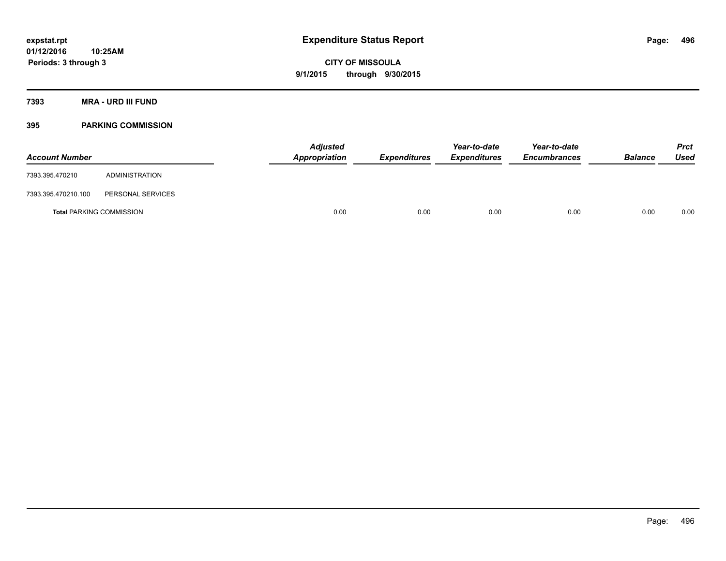**Periods: 3 through 3**

**CITY OF MISSOULA 9/1/2015 through 9/30/2015**

**7393 MRA - URD III FUND**

### **395 PARKING COMMISSION**

**10:25AM**

| <b>Account Number</b>           |                   | <b>Adjusted</b><br>Appropriation | <b>Expenditures</b> | Year-to-date<br><b>Expenditures</b> | Year-to-date<br><b>Encumbrances</b> | <b>Balance</b> | <b>Prct</b><br><b>Used</b> |
|---------------------------------|-------------------|----------------------------------|---------------------|-------------------------------------|-------------------------------------|----------------|----------------------------|
| 7393.395.470210                 | ADMINISTRATION    |                                  |                     |                                     |                                     |                |                            |
| 7393.395.470210.100             | PERSONAL SERVICES |                                  |                     |                                     |                                     |                |                            |
| <b>Total PARKING COMMISSION</b> |                   | 0.00                             | 0.00                | 0.00                                | 0.00                                | 0.00           | 0.00                       |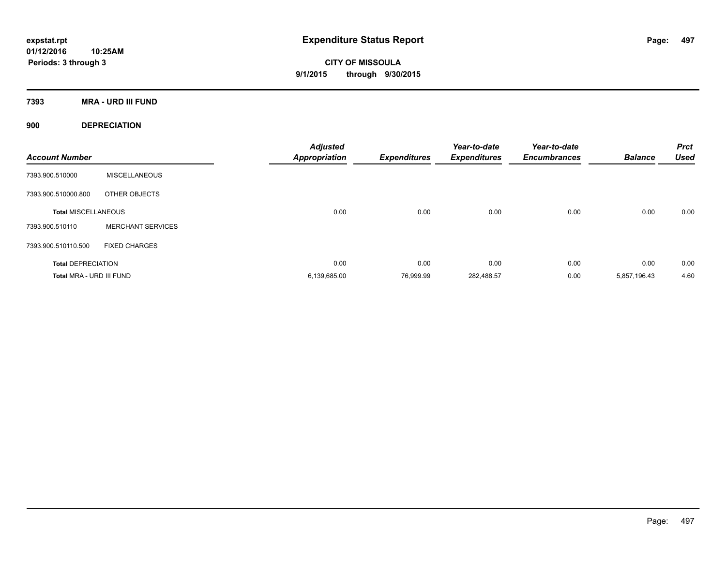**CITY OF MISSOULA 9/1/2015 through 9/30/2015**

**7393 MRA - URD III FUND**

**900 DEPRECIATION**

| <b>Account Number</b>      |                          | <b>Adjusted</b><br><b>Appropriation</b> | <b>Expenditures</b> | Year-to-date<br><b>Expenditures</b> | Year-to-date<br><b>Encumbrances</b> | <b>Balance</b> | <b>Prct</b><br><b>Used</b> |
|----------------------------|--------------------------|-----------------------------------------|---------------------|-------------------------------------|-------------------------------------|----------------|----------------------------|
| 7393.900.510000            | <b>MISCELLANEOUS</b>     |                                         |                     |                                     |                                     |                |                            |
| 7393.900.510000.800        | OTHER OBJECTS            |                                         |                     |                                     |                                     |                |                            |
| <b>Total MISCELLANEOUS</b> |                          | 0.00                                    | 0.00                | 0.00                                | 0.00                                | 0.00           | 0.00                       |
| 7393.900.510110            | <b>MERCHANT SERVICES</b> |                                         |                     |                                     |                                     |                |                            |
| 7393.900.510110.500        | <b>FIXED CHARGES</b>     |                                         |                     |                                     |                                     |                |                            |
| <b>Total DEPRECIATION</b>  |                          | 0.00                                    | 0.00                | 0.00                                | 0.00                                | 0.00           | 0.00                       |
| Total MRA - URD III FUND   |                          | 6,139,685.00                            | 76.999.99           | 282,488.57                          | 0.00                                | 5,857,196.43   | 4.60                       |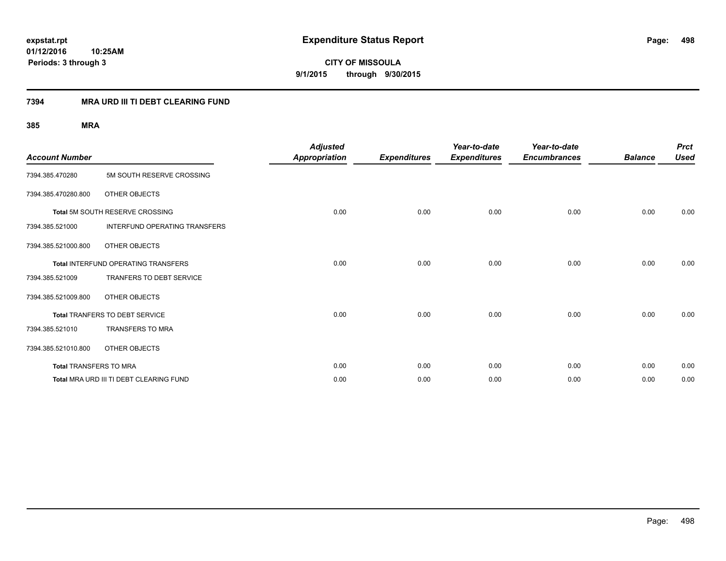**CITY OF MISSOULA 9/1/2015 through 9/30/2015**

### **7394 MRA URD III TI DEBT CLEARING FUND**

| <b>Account Number</b>         |                                         | <b>Adjusted</b><br><b>Appropriation</b> | <b>Expenditures</b> | Year-to-date<br><b>Expenditures</b> | Year-to-date<br><b>Encumbrances</b> | <b>Balance</b> | <b>Prct</b><br><b>Used</b> |
|-------------------------------|-----------------------------------------|-----------------------------------------|---------------------|-------------------------------------|-------------------------------------|----------------|----------------------------|
| 7394.385.470280               | 5M SOUTH RESERVE CROSSING               |                                         |                     |                                     |                                     |                |                            |
| 7394.385.470280.800           | OTHER OBJECTS                           |                                         |                     |                                     |                                     |                |                            |
|                               | Total 5M SOUTH RESERVE CROSSING         | 0.00                                    | 0.00                | 0.00                                | 0.00                                | 0.00           | 0.00                       |
| 7394.385.521000               | <b>INTERFUND OPERATING TRANSFERS</b>    |                                         |                     |                                     |                                     |                |                            |
| 7394.385.521000.800           | OTHER OBJECTS                           |                                         |                     |                                     |                                     |                |                            |
|                               | Total INTERFUND OPERATING TRANSFERS     | 0.00                                    | 0.00                | 0.00                                | 0.00                                | 0.00           | 0.00                       |
| 7394.385.521009               | TRANFERS TO DEBT SERVICE                |                                         |                     |                                     |                                     |                |                            |
| 7394.385.521009.800           | OTHER OBJECTS                           |                                         |                     |                                     |                                     |                |                            |
|                               | Total TRANFERS TO DEBT SERVICE          | 0.00                                    | 0.00                | 0.00                                | 0.00                                | 0.00           | 0.00                       |
| 7394.385.521010               | TRANSFERS TO MRA                        |                                         |                     |                                     |                                     |                |                            |
| 7394.385.521010.800           | OTHER OBJECTS                           |                                         |                     |                                     |                                     |                |                            |
| <b>Total TRANSFERS TO MRA</b> |                                         | 0.00                                    | 0.00                | 0.00                                | 0.00                                | 0.00           | 0.00                       |
|                               | Total MRA URD III TI DEBT CLEARING FUND | 0.00                                    | 0.00                | 0.00                                | 0.00                                | 0.00           | 0.00                       |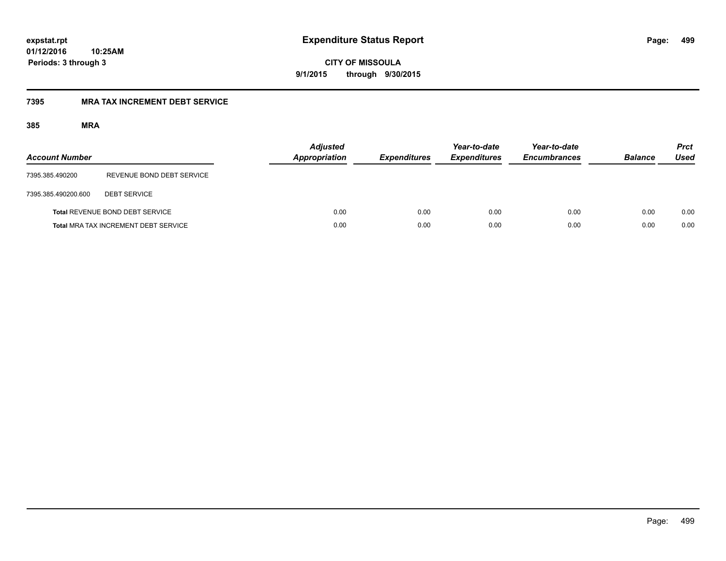**CITY OF MISSOULA 9/1/2015 through 9/30/2015**

### **7395 MRA TAX INCREMENT DEBT SERVICE**

| <b>Account Number</b> |                                             | <b>Adjusted</b><br>Appropriation | <b>Expenditures</b> | Year-to-date<br><b>Expenditures</b> | Year-to-date<br><b>Encumbrances</b> | <b>Balance</b> | <b>Prct</b><br><b>Used</b> |
|-----------------------|---------------------------------------------|----------------------------------|---------------------|-------------------------------------|-------------------------------------|----------------|----------------------------|
| 7395.385.490200       | REVENUE BOND DEBT SERVICE                   |                                  |                     |                                     |                                     |                |                            |
| 7395.385.490200.600   | <b>DEBT SERVICE</b>                         |                                  |                     |                                     |                                     |                |                            |
|                       | Total REVENUE BOND DEBT SERVICE             | 0.00                             | 0.00                | 0.00                                | 0.00                                | 0.00           | 0.00                       |
|                       | <b>Total MRA TAX INCREMENT DEBT SERVICE</b> | 0.00                             | 0.00                | 0.00                                | 0.00                                | 0.00           | 0.00                       |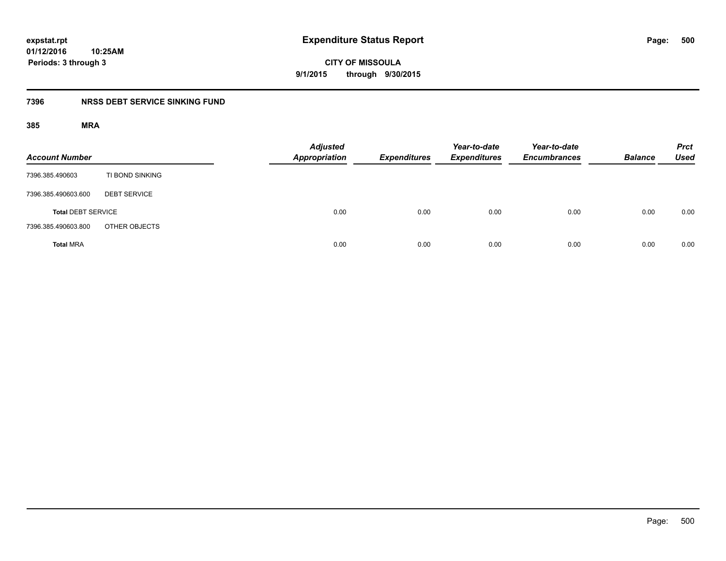**CITY OF MISSOULA 9/1/2015 through 9/30/2015**

### **7396 NRSS DEBT SERVICE SINKING FUND**

| <b>Account Number</b>     |                     | <b>Adjusted</b><br>Appropriation | <b>Expenditures</b> | Year-to-date<br><b>Expenditures</b> | Year-to-date<br><b>Encumbrances</b> | <b>Balance</b> | <b>Prct</b><br><b>Used</b> |
|---------------------------|---------------------|----------------------------------|---------------------|-------------------------------------|-------------------------------------|----------------|----------------------------|
| 7396.385.490603           | TI BOND SINKING     |                                  |                     |                                     |                                     |                |                            |
| 7396.385.490603.600       | <b>DEBT SERVICE</b> |                                  |                     |                                     |                                     |                |                            |
| <b>Total DEBT SERVICE</b> |                     | 0.00                             | 0.00                | 0.00                                | 0.00                                | 0.00           | 0.00                       |
| 7396.385.490603.800       | OTHER OBJECTS       |                                  |                     |                                     |                                     |                |                            |
| <b>Total MRA</b>          |                     | 0.00                             | 0.00                | 0.00                                | 0.00                                | 0.00           | 0.00                       |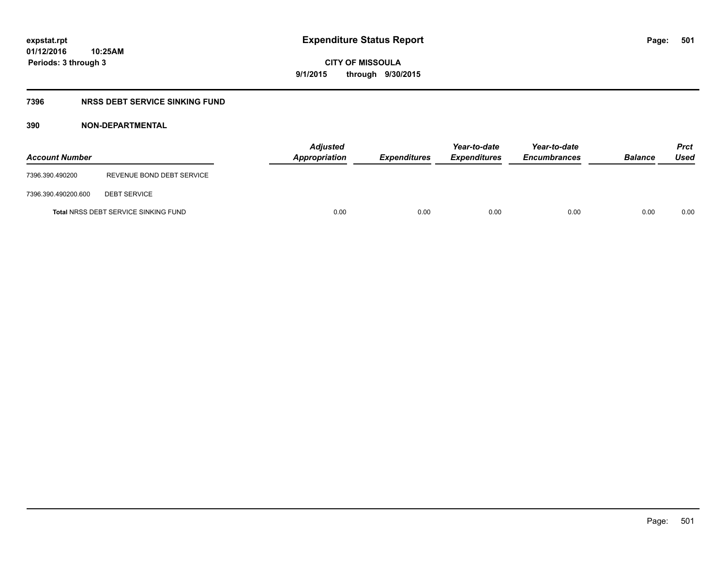**CITY OF MISSOULA 9/1/2015 through 9/30/2015**

### **7396 NRSS DEBT SERVICE SINKING FUND**

| <b>Account Number</b> |                                             | <b>Adjusted</b><br><b>Appropriation</b> | <b>Expenditures</b> | Year-to-date<br><b>Expenditures</b> | Year-to-date<br><b>Encumbrances</b> | <b>Balance</b> | <b>Prct</b><br>Used |
|-----------------------|---------------------------------------------|-----------------------------------------|---------------------|-------------------------------------|-------------------------------------|----------------|---------------------|
| 7396.390.490200       | REVENUE BOND DEBT SERVICE                   |                                         |                     |                                     |                                     |                |                     |
| 7396.390.490200.600   | <b>DEBT SERVICE</b>                         |                                         |                     |                                     |                                     |                |                     |
|                       | <b>Total NRSS DEBT SERVICE SINKING FUND</b> | 0.00                                    | 0.00                | 0.00                                | 0.00                                | 0.00           | 0.00                |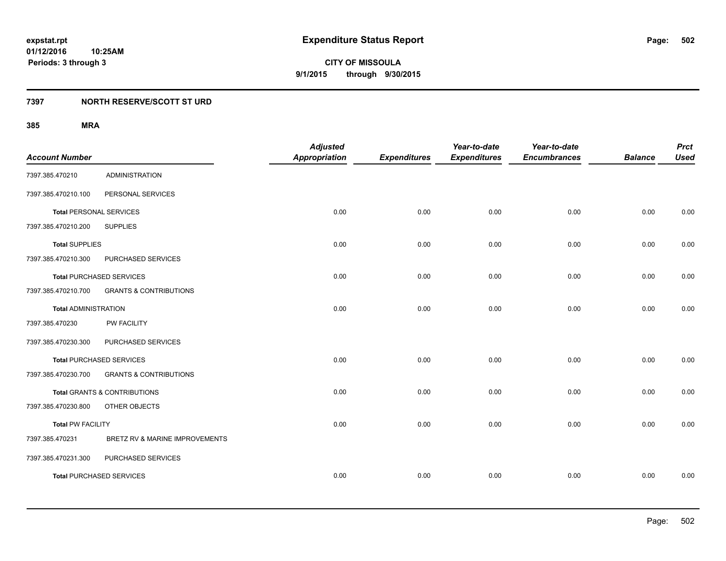### **7397 NORTH RESERVE/SCOTT ST URD**

| <b>Account Number</b>          |                                         | <b>Adjusted</b><br><b>Appropriation</b> | <b>Expenditures</b> | Year-to-date<br><b>Expenditures</b> | Year-to-date<br><b>Encumbrances</b> | <b>Balance</b> | <b>Prct</b><br><b>Used</b> |
|--------------------------------|-----------------------------------------|-----------------------------------------|---------------------|-------------------------------------|-------------------------------------|----------------|----------------------------|
| 7397.385.470210                | <b>ADMINISTRATION</b>                   |                                         |                     |                                     |                                     |                |                            |
| 7397.385.470210.100            | PERSONAL SERVICES                       |                                         |                     |                                     |                                     |                |                            |
| <b>Total PERSONAL SERVICES</b> |                                         | 0.00                                    | 0.00                | 0.00                                | 0.00                                | 0.00           | 0.00                       |
| 7397.385.470210.200            | <b>SUPPLIES</b>                         |                                         |                     |                                     |                                     |                |                            |
| <b>Total SUPPLIES</b>          |                                         | 0.00                                    | 0.00                | 0.00                                | 0.00                                | 0.00           | 0.00                       |
| 7397.385.470210.300            | PURCHASED SERVICES                      |                                         |                     |                                     |                                     |                |                            |
|                                | <b>Total PURCHASED SERVICES</b>         | 0.00                                    | 0.00                | 0.00                                | 0.00                                | 0.00           | 0.00                       |
| 7397.385.470210.700            | <b>GRANTS &amp; CONTRIBUTIONS</b>       |                                         |                     |                                     |                                     |                |                            |
| <b>Total ADMINISTRATION</b>    |                                         | 0.00                                    | 0.00                | 0.00                                | 0.00                                | 0.00           | 0.00                       |
| 7397.385.470230                | <b>PW FACILITY</b>                      |                                         |                     |                                     |                                     |                |                            |
| 7397.385.470230.300            | PURCHASED SERVICES                      |                                         |                     |                                     |                                     |                |                            |
|                                | <b>Total PURCHASED SERVICES</b>         | 0.00                                    | 0.00                | 0.00                                | 0.00                                | 0.00           | 0.00                       |
| 7397.385.470230.700            | <b>GRANTS &amp; CONTRIBUTIONS</b>       |                                         |                     |                                     |                                     |                |                            |
|                                | <b>Total GRANTS &amp; CONTRIBUTIONS</b> | 0.00                                    | 0.00                | 0.00                                | 0.00                                | 0.00           | 0.00                       |
| 7397.385.470230.800            | OTHER OBJECTS                           |                                         |                     |                                     |                                     |                |                            |
| <b>Total PW FACILITY</b>       |                                         | 0.00                                    | 0.00                | 0.00                                | 0.00                                | 0.00           | 0.00                       |
| 7397.385.470231                | BRETZ RV & MARINE IMPROVEMENTS          |                                         |                     |                                     |                                     |                |                            |
| 7397.385.470231.300            | PURCHASED SERVICES                      |                                         |                     |                                     |                                     |                |                            |
|                                | <b>Total PURCHASED SERVICES</b>         | 0.00                                    | 0.00                | 0.00                                | 0.00                                | 0.00           | 0.00                       |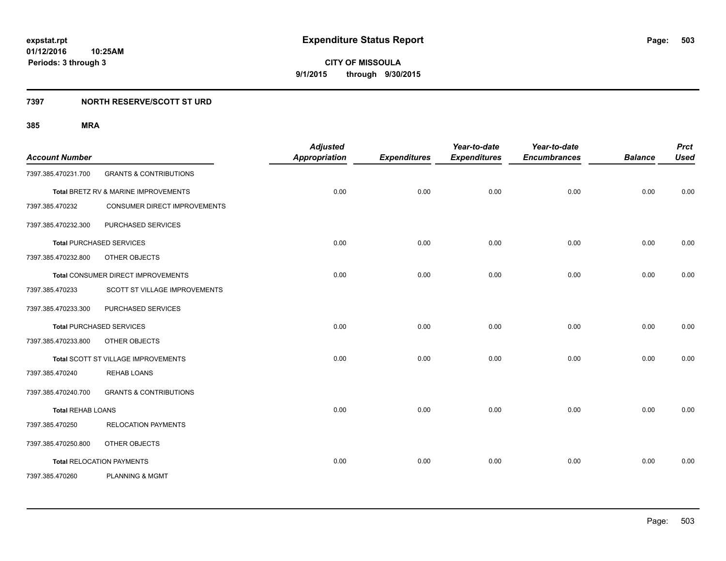### **7397 NORTH RESERVE/SCOTT ST URD**

| <b>Account Number</b>    |                                      | <b>Adjusted</b><br><b>Appropriation</b> | <b>Expenditures</b> | Year-to-date<br><b>Expenditures</b> | Year-to-date<br><b>Encumbrances</b> | <b>Balance</b> | <b>Prct</b><br><b>Used</b> |
|--------------------------|--------------------------------------|-----------------------------------------|---------------------|-------------------------------------|-------------------------------------|----------------|----------------------------|
| 7397.385.470231.700      | <b>GRANTS &amp; CONTRIBUTIONS</b>    |                                         |                     |                                     |                                     |                |                            |
|                          | Total BRETZ RV & MARINE IMPROVEMENTS | 0.00                                    | 0.00                | 0.00                                | 0.00                                | 0.00           | 0.00                       |
| 7397.385.470232          | CONSUMER DIRECT IMPROVEMENTS         |                                         |                     |                                     |                                     |                |                            |
| 7397.385.470232.300      | PURCHASED SERVICES                   |                                         |                     |                                     |                                     |                |                            |
|                          | <b>Total PURCHASED SERVICES</b>      | 0.00                                    | 0.00                | 0.00                                | 0.00                                | 0.00           | 0.00                       |
| 7397.385.470232.800      | OTHER OBJECTS                        |                                         |                     |                                     |                                     |                |                            |
|                          | Total CONSUMER DIRECT IMPROVEMENTS   | 0.00                                    | 0.00                | 0.00                                | 0.00                                | 0.00           | 0.00                       |
| 7397.385.470233          | SCOTT ST VILLAGE IMPROVEMENTS        |                                         |                     |                                     |                                     |                |                            |
| 7397.385.470233.300      | PURCHASED SERVICES                   |                                         |                     |                                     |                                     |                |                            |
|                          | <b>Total PURCHASED SERVICES</b>      | 0.00                                    | 0.00                | 0.00                                | 0.00                                | 0.00           | 0.00                       |
| 7397.385.470233.800      | OTHER OBJECTS                        |                                         |                     |                                     |                                     |                |                            |
|                          | Total SCOTT ST VILLAGE IMPROVEMENTS  | 0.00                                    | 0.00                | 0.00                                | 0.00                                | 0.00           | 0.00                       |
| 7397.385.470240          | <b>REHAB LOANS</b>                   |                                         |                     |                                     |                                     |                |                            |
| 7397.385.470240.700      | <b>GRANTS &amp; CONTRIBUTIONS</b>    |                                         |                     |                                     |                                     |                |                            |
| <b>Total REHAB LOANS</b> |                                      | 0.00                                    | 0.00                | 0.00                                | 0.00                                | 0.00           | 0.00                       |
| 7397.385.470250          | <b>RELOCATION PAYMENTS</b>           |                                         |                     |                                     |                                     |                |                            |
| 7397.385.470250.800      | OTHER OBJECTS                        |                                         |                     |                                     |                                     |                |                            |
|                          | <b>Total RELOCATION PAYMENTS</b>     | 0.00                                    | 0.00                | 0.00                                | 0.00                                | 0.00           | 0.00                       |
| 7397.385.470260          | <b>PLANNING &amp; MGMT</b>           |                                         |                     |                                     |                                     |                |                            |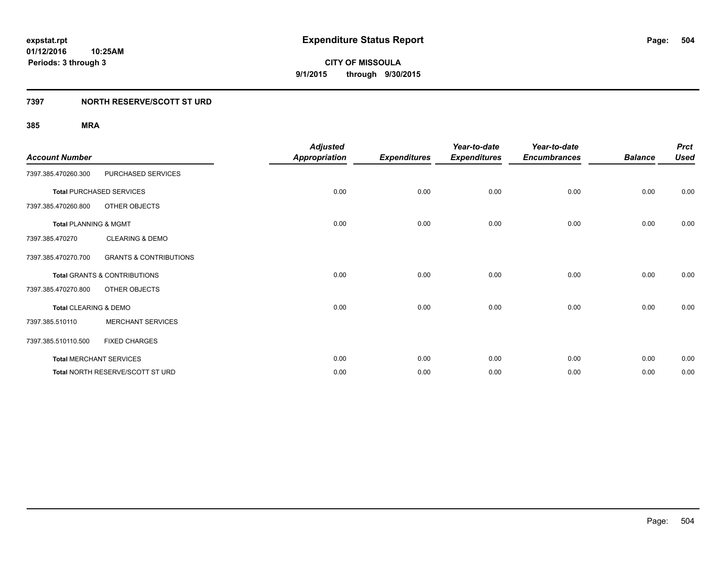### **7397 NORTH RESERVE/SCOTT ST URD**

| <b>Account Number</b>            |                                         | <b>Adjusted</b><br>Appropriation | <b>Expenditures</b> | Year-to-date<br><b>Expenditures</b> | Year-to-date<br><b>Encumbrances</b> | <b>Balance</b> | <b>Prct</b><br><b>Used</b> |
|----------------------------------|-----------------------------------------|----------------------------------|---------------------|-------------------------------------|-------------------------------------|----------------|----------------------------|
| 7397.385.470260.300              | PURCHASED SERVICES                      |                                  |                     |                                     |                                     |                |                            |
|                                  | <b>Total PURCHASED SERVICES</b>         | 0.00                             | 0.00                | 0.00                                | 0.00                                | 0.00           | 0.00                       |
| 7397.385.470260.800              | OTHER OBJECTS                           |                                  |                     |                                     |                                     |                |                            |
| <b>Total PLANNING &amp; MGMT</b> |                                         | 0.00                             | 0.00                | 0.00                                | 0.00                                | 0.00           | 0.00                       |
| 7397.385.470270                  | <b>CLEARING &amp; DEMO</b>              |                                  |                     |                                     |                                     |                |                            |
| 7397.385.470270.700              | <b>GRANTS &amp; CONTRIBUTIONS</b>       |                                  |                     |                                     |                                     |                |                            |
|                                  | Total GRANTS & CONTRIBUTIONS            | 0.00                             | 0.00                | 0.00                                | 0.00                                | 0.00           | 0.00                       |
| 7397.385.470270.800              | OTHER OBJECTS                           |                                  |                     |                                     |                                     |                |                            |
| Total CLEARING & DEMO            |                                         | 0.00                             | 0.00                | 0.00                                | 0.00                                | 0.00           | 0.00                       |
| 7397.385.510110                  | <b>MERCHANT SERVICES</b>                |                                  |                     |                                     |                                     |                |                            |
| 7397.385.510110.500              | <b>FIXED CHARGES</b>                    |                                  |                     |                                     |                                     |                |                            |
|                                  | <b>Total MERCHANT SERVICES</b>          | 0.00                             | 0.00                | 0.00                                | 0.00                                | 0.00           | 0.00                       |
|                                  | <b>Total NORTH RESERVE/SCOTT ST URD</b> | 0.00                             | 0.00                | 0.00                                | 0.00                                | 0.00           | 0.00                       |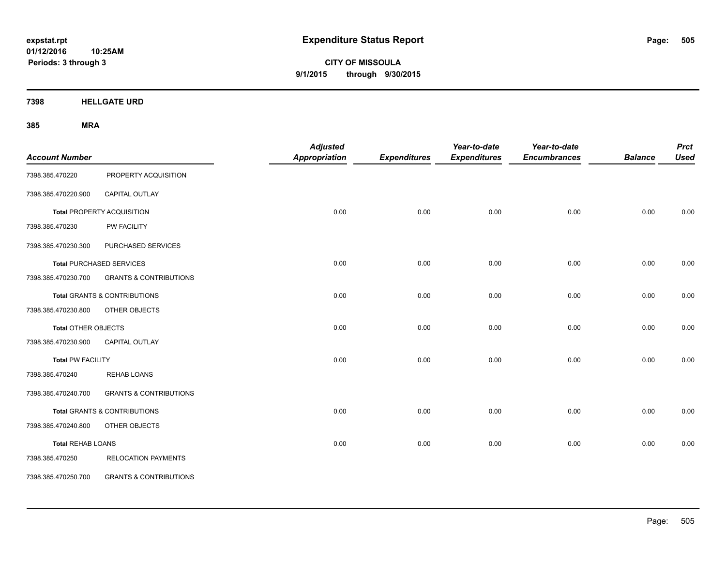**CITY OF MISSOULA 9/1/2015 through 9/30/2015**

**7398 HELLGATE URD**

| <b>Account Number</b>      |                                         | <b>Adjusted</b><br><b>Appropriation</b> | <b>Expenditures</b> | Year-to-date<br><b>Expenditures</b> | Year-to-date<br><b>Encumbrances</b> | <b>Balance</b> | <b>Prct</b><br><b>Used</b> |
|----------------------------|-----------------------------------------|-----------------------------------------|---------------------|-------------------------------------|-------------------------------------|----------------|----------------------------|
| 7398.385.470220            | PROPERTY ACQUISITION                    |                                         |                     |                                     |                                     |                |                            |
| 7398.385.470220.900        | CAPITAL OUTLAY                          |                                         |                     |                                     |                                     |                |                            |
|                            | Total PROPERTY ACQUISITION              | 0.00                                    | 0.00                | 0.00                                | 0.00                                | 0.00           | 0.00                       |
| 7398.385.470230            | PW FACILITY                             |                                         |                     |                                     |                                     |                |                            |
| 7398.385.470230.300        | PURCHASED SERVICES                      |                                         |                     |                                     |                                     |                |                            |
|                            | <b>Total PURCHASED SERVICES</b>         | 0.00                                    | 0.00                | 0.00                                | 0.00                                | 0.00           | 0.00                       |
| 7398.385.470230.700        | <b>GRANTS &amp; CONTRIBUTIONS</b>       |                                         |                     |                                     |                                     |                |                            |
|                            | <b>Total GRANTS &amp; CONTRIBUTIONS</b> | 0.00                                    | 0.00                | 0.00                                | 0.00                                | 0.00           | 0.00                       |
| 7398.385.470230.800        | OTHER OBJECTS                           |                                         |                     |                                     |                                     |                |                            |
| <b>Total OTHER OBJECTS</b> |                                         | 0.00                                    | 0.00                | 0.00                                | 0.00                                | 0.00           | 0.00                       |
| 7398.385.470230.900        | CAPITAL OUTLAY                          |                                         |                     |                                     |                                     |                |                            |
| <b>Total PW FACILITY</b>   |                                         | 0.00                                    | 0.00                | 0.00                                | 0.00                                | 0.00           | 0.00                       |
| 7398.385.470240            | <b>REHAB LOANS</b>                      |                                         |                     |                                     |                                     |                |                            |
| 7398.385.470240.700        | <b>GRANTS &amp; CONTRIBUTIONS</b>       |                                         |                     |                                     |                                     |                |                            |
|                            | <b>Total GRANTS &amp; CONTRIBUTIONS</b> | 0.00                                    | 0.00                | 0.00                                | 0.00                                | 0.00           | 0.00                       |
| 7398.385.470240.800        | OTHER OBJECTS                           |                                         |                     |                                     |                                     |                |                            |
| <b>Total REHAB LOANS</b>   |                                         | 0.00                                    | 0.00                | 0.00                                | 0.00                                | 0.00           | 0.00                       |
| 7398.385.470250            | <b>RELOCATION PAYMENTS</b>              |                                         |                     |                                     |                                     |                |                            |
| 7398.385.470250.700        | <b>GRANTS &amp; CONTRIBUTIONS</b>       |                                         |                     |                                     |                                     |                |                            |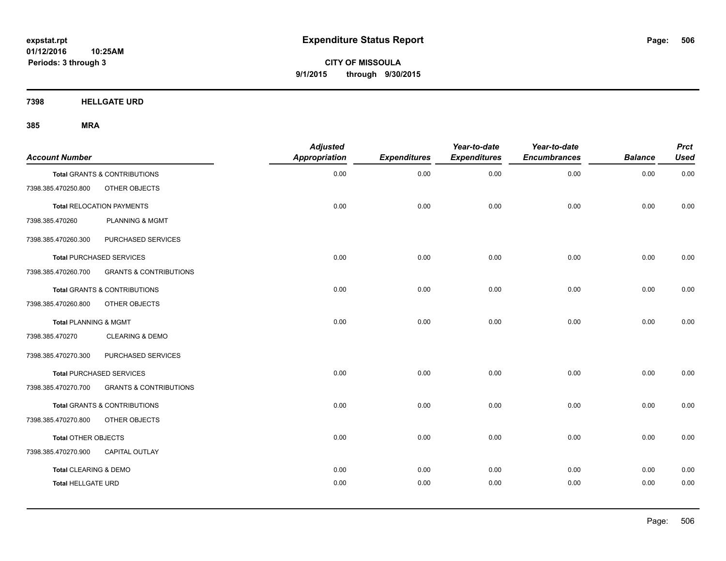**CITY OF MISSOULA 9/1/2015 through 9/30/2015**

**7398 HELLGATE URD**

| <b>Account Number</b>     |                                   | <b>Adjusted</b><br><b>Appropriation</b> | <b>Expenditures</b> | Year-to-date<br><b>Expenditures</b> | Year-to-date<br><b>Encumbrances</b> | <b>Balance</b> | <b>Prct</b><br><b>Used</b> |
|---------------------------|-----------------------------------|-----------------------------------------|---------------------|-------------------------------------|-------------------------------------|----------------|----------------------------|
|                           | Total GRANTS & CONTRIBUTIONS      | 0.00                                    | 0.00                | 0.00                                | 0.00                                | 0.00           | 0.00                       |
| 7398.385.470250.800       | OTHER OBJECTS                     |                                         |                     |                                     |                                     |                |                            |
|                           | <b>Total RELOCATION PAYMENTS</b>  | 0.00                                    | 0.00                | 0.00                                | 0.00                                | 0.00           | 0.00                       |
| 7398.385.470260           | <b>PLANNING &amp; MGMT</b>        |                                         |                     |                                     |                                     |                |                            |
| 7398.385.470260.300       | PURCHASED SERVICES                |                                         |                     |                                     |                                     |                |                            |
|                           | <b>Total PURCHASED SERVICES</b>   | 0.00                                    | 0.00                | 0.00                                | 0.00                                | 0.00           | 0.00                       |
| 7398.385.470260.700       | <b>GRANTS &amp; CONTRIBUTIONS</b> |                                         |                     |                                     |                                     |                |                            |
|                           | Total GRANTS & CONTRIBUTIONS      | 0.00                                    | 0.00                | 0.00                                | 0.00                                | 0.00           | 0.00                       |
| 7398.385.470260.800       | OTHER OBJECTS                     |                                         |                     |                                     |                                     |                |                            |
| Total PLANNING & MGMT     |                                   | 0.00                                    | 0.00                | 0.00                                | 0.00                                | 0.00           | 0.00                       |
| 7398.385.470270           | <b>CLEARING &amp; DEMO</b>        |                                         |                     |                                     |                                     |                |                            |
| 7398.385.470270.300       | PURCHASED SERVICES                |                                         |                     |                                     |                                     |                |                            |
|                           | <b>Total PURCHASED SERVICES</b>   | 0.00                                    | 0.00                | 0.00                                | 0.00                                | 0.00           | 0.00                       |
| 7398.385.470270.700       | <b>GRANTS &amp; CONTRIBUTIONS</b> |                                         |                     |                                     |                                     |                |                            |
|                           | Total GRANTS & CONTRIBUTIONS      | 0.00                                    | 0.00                | 0.00                                | 0.00                                | 0.00           | 0.00                       |
| 7398.385.470270.800       | OTHER OBJECTS                     |                                         |                     |                                     |                                     |                |                            |
| Total OTHER OBJECTS       |                                   | 0.00                                    | 0.00                | 0.00                                | 0.00                                | 0.00           | 0.00                       |
| 7398.385.470270.900       | <b>CAPITAL OUTLAY</b>             |                                         |                     |                                     |                                     |                |                            |
| Total CLEARING & DEMO     |                                   | 0.00                                    | 0.00                | 0.00                                | 0.00                                | 0.00           | 0.00                       |
| <b>Total HELLGATE URD</b> |                                   | 0.00                                    | 0.00                | 0.00                                | 0.00                                | 0.00           | 0.00                       |
|                           |                                   |                                         |                     |                                     |                                     |                |                            |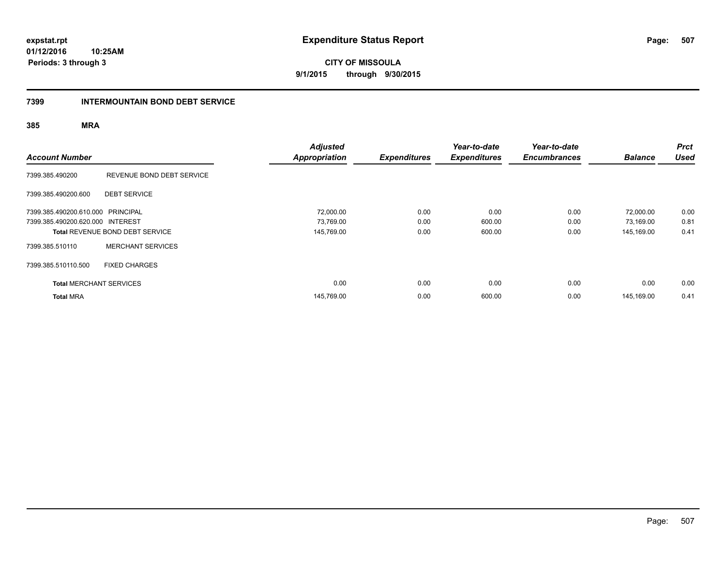**CITY OF MISSOULA 9/1/2015 through 9/30/2015**

#### **7399 INTERMOUNTAIN BOND DEBT SERVICE**

| <b>Account Number</b>             |                                        | <b>Adjusted</b><br><b>Appropriation</b> | <b>Expenditures</b> | Year-to-date<br><b>Expenditures</b> | Year-to-date<br><b>Encumbrances</b> | <b>Balance</b> | <b>Prct</b><br><b>Used</b> |
|-----------------------------------|----------------------------------------|-----------------------------------------|---------------------|-------------------------------------|-------------------------------------|----------------|----------------------------|
| 7399.385.490200                   | REVENUE BOND DEBT SERVICE              |                                         |                     |                                     |                                     |                |                            |
| 7399.385.490200.600               | <b>DEBT SERVICE</b>                    |                                         |                     |                                     |                                     |                |                            |
| 7399.385.490200.610.000 PRINCIPAL |                                        | 72,000.00                               | 0.00                | 0.00                                | 0.00                                | 72,000.00      | 0.00                       |
| 7399.385.490200.620.000 INTEREST  |                                        | 73,769.00                               | 0.00                | 600.00                              | 0.00                                | 73,169.00      | 0.81                       |
|                                   | <b>Total REVENUE BOND DEBT SERVICE</b> | 145,769.00                              | 0.00                | 600.00                              | 0.00                                | 145,169.00     | 0.41                       |
| 7399.385.510110                   | <b>MERCHANT SERVICES</b>               |                                         |                     |                                     |                                     |                |                            |
| 7399.385.510110.500               | <b>FIXED CHARGES</b>                   |                                         |                     |                                     |                                     |                |                            |
| <b>Total MERCHANT SERVICES</b>    |                                        | 0.00                                    | 0.00                | 0.00                                | 0.00                                | 0.00           | 0.00                       |
| <b>Total MRA</b>                  |                                        | 145,769.00                              | 0.00                | 600.00                              | 0.00                                | 145.169.00     | 0.41                       |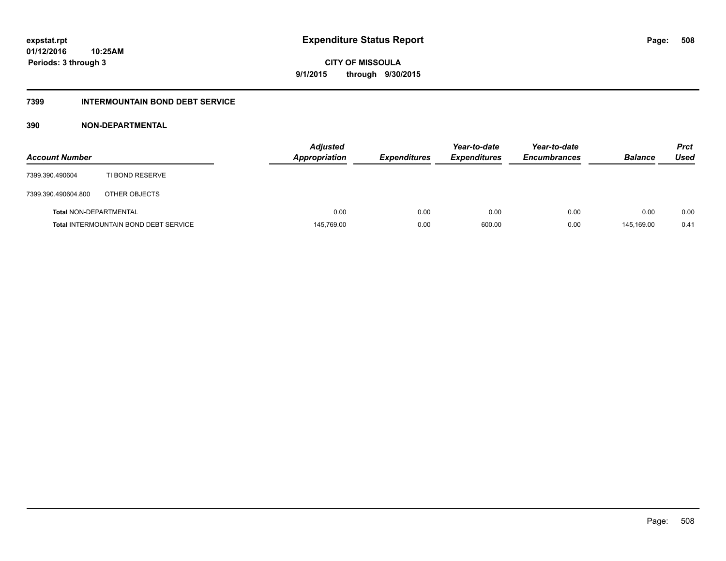### **7399 INTERMOUNTAIN BOND DEBT SERVICE**

### **390 NON-DEPARTMENTAL**

| <b>Account Number</b>         |                                              | <b>Adjusted</b><br><b>Appropriation</b> | <b>Expenditures</b> | Year-to-date<br><b>Expenditures</b> | Year-to-date<br><b>Encumbrances</b> | <b>Balance</b> | <b>Prct</b><br>Used |
|-------------------------------|----------------------------------------------|-----------------------------------------|---------------------|-------------------------------------|-------------------------------------|----------------|---------------------|
| 7399.390.490604               | TI BOND RESERVE                              |                                         |                     |                                     |                                     |                |                     |
| 7399.390.490604.800           | OTHER OBJECTS                                |                                         |                     |                                     |                                     |                |                     |
| <b>Total NON-DEPARTMENTAL</b> |                                              | 0.00                                    | 0.00                | 0.00                                | 0.00                                | 0.00           | 0.00                |
|                               | <b>Total INTERMOUNTAIN BOND DEBT SERVICE</b> | 145,769.00                              | 0.00                | 600.00                              | 0.00                                | 145.169.00     | 0.41                |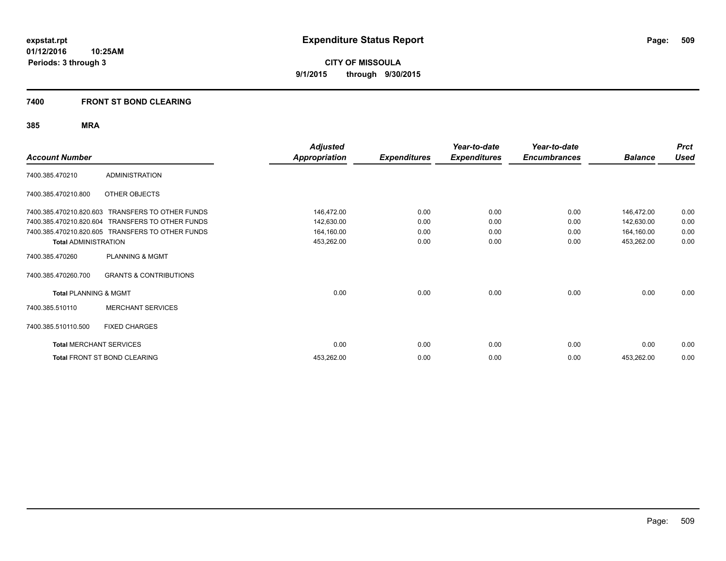### **7400 FRONT ST BOND CLEARING**

| <b>Account Number</b>            |                                                  | Adjusted<br><b>Appropriation</b> | <b>Expenditures</b> | Year-to-date<br><b>Expenditures</b> | Year-to-date<br><b>Encumbrances</b> | <b>Balance</b> | <b>Prct</b><br><b>Used</b> |
|----------------------------------|--------------------------------------------------|----------------------------------|---------------------|-------------------------------------|-------------------------------------|----------------|----------------------------|
| 7400.385.470210                  | <b>ADMINISTRATION</b>                            |                                  |                     |                                     |                                     |                |                            |
| 7400.385.470210.800              | OTHER OBJECTS                                    |                                  |                     |                                     |                                     |                |                            |
| 7400.385.470210.820.603          | <b>TRANSFERS TO OTHER FUNDS</b>                  | 146,472.00                       | 0.00                | 0.00                                | 0.00                                | 146,472.00     | 0.00                       |
| 7400.385.470210.820.604          | <b>TRANSFERS TO OTHER FUNDS</b>                  | 142,630.00                       | 0.00                | 0.00                                | 0.00                                | 142,630.00     | 0.00                       |
|                                  | 7400.385.470210.820.605 TRANSFERS TO OTHER FUNDS | 164,160.00                       | 0.00                | 0.00                                | 0.00                                | 164,160.00     | 0.00                       |
| <b>Total ADMINISTRATION</b>      |                                                  | 453,262.00                       | 0.00                | 0.00                                | 0.00                                | 453,262.00     | 0.00                       |
| 7400.385.470260                  | PLANNING & MGMT                                  |                                  |                     |                                     |                                     |                |                            |
| 7400.385.470260.700              | <b>GRANTS &amp; CONTRIBUTIONS</b>                |                                  |                     |                                     |                                     |                |                            |
| <b>Total PLANNING &amp; MGMT</b> |                                                  | 0.00                             | 0.00                | 0.00                                | 0.00                                | 0.00           | 0.00                       |
| 7400.385.510110                  | <b>MERCHANT SERVICES</b>                         |                                  |                     |                                     |                                     |                |                            |
| 7400.385.510110.500              | <b>FIXED CHARGES</b>                             |                                  |                     |                                     |                                     |                |                            |
| <b>Total MERCHANT SERVICES</b>   |                                                  | 0.00                             | 0.00                | 0.00                                | 0.00                                | 0.00           | 0.00                       |
|                                  | Total FRONT ST BOND CLEARING                     | 453,262.00                       | 0.00                | 0.00                                | 0.00                                | 453,262.00     | 0.00                       |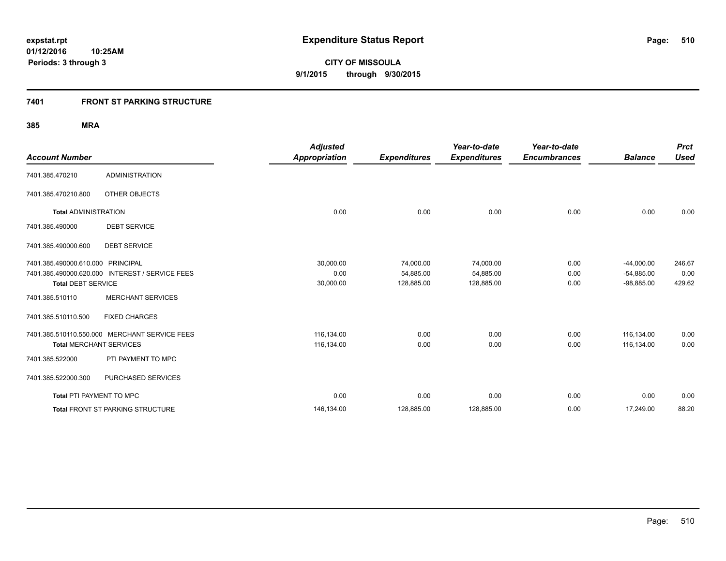### **7401 FRONT ST PARKING STRUCTURE**

| <b>Account Number</b>             |                                                 | <b>Adjusted</b>      |                     | Year-to-date<br><b>Expenditures</b> | Year-to-date<br><b>Encumbrances</b> | <b>Balance</b> | <b>Prct</b><br><b>Used</b> |
|-----------------------------------|-------------------------------------------------|----------------------|---------------------|-------------------------------------|-------------------------------------|----------------|----------------------------|
|                                   |                                                 | <b>Appropriation</b> | <b>Expenditures</b> |                                     |                                     |                |                            |
| 7401.385.470210                   | <b>ADMINISTRATION</b>                           |                      |                     |                                     |                                     |                |                            |
| 7401.385.470210.800               | OTHER OBJECTS                                   |                      |                     |                                     |                                     |                |                            |
| <b>Total ADMINISTRATION</b>       |                                                 | 0.00                 | 0.00                | 0.00                                | 0.00                                | 0.00           | 0.00                       |
| 7401.385.490000                   | <b>DEBT SERVICE</b>                             |                      |                     |                                     |                                     |                |                            |
| 7401.385.490000.600               | <b>DEBT SERVICE</b>                             |                      |                     |                                     |                                     |                |                            |
| 7401.385.490000.610.000 PRINCIPAL |                                                 | 30,000.00            | 74,000.00           | 74,000.00                           | 0.00                                | $-44,000.00$   | 246.67                     |
|                                   | 7401.385.490000.620.000 INTEREST / SERVICE FEES | 0.00                 | 54,885.00           | 54,885.00                           | 0.00                                | $-54,885.00$   | 0.00                       |
| <b>Total DEBT SERVICE</b>         |                                                 | 30,000.00            | 128,885.00          | 128,885.00                          | 0.00                                | $-98,885.00$   | 429.62                     |
| 7401.385.510110                   | <b>MERCHANT SERVICES</b>                        |                      |                     |                                     |                                     |                |                            |
| 7401.385.510110.500               | <b>FIXED CHARGES</b>                            |                      |                     |                                     |                                     |                |                            |
|                                   | 7401.385.510110.550.000 MERCHANT SERVICE FEES   | 116,134.00           | 0.00                | 0.00                                | 0.00                                | 116.134.00     | 0.00                       |
| <b>Total MERCHANT SERVICES</b>    |                                                 | 116,134.00           | 0.00                | 0.00                                | 0.00                                | 116,134.00     | 0.00                       |
| 7401.385.522000                   | PTI PAYMENT TO MPC                              |                      |                     |                                     |                                     |                |                            |
| 7401.385.522000.300               | PURCHASED SERVICES                              |                      |                     |                                     |                                     |                |                            |
| <b>Total PTI PAYMENT TO MPC</b>   |                                                 | 0.00                 | 0.00                | 0.00                                | 0.00                                | 0.00           | 0.00                       |
|                                   | <b>Total FRONT ST PARKING STRUCTURE</b>         | 146,134.00           | 128,885.00          | 128,885.00                          | 0.00                                | 17,249.00      | 88.20                      |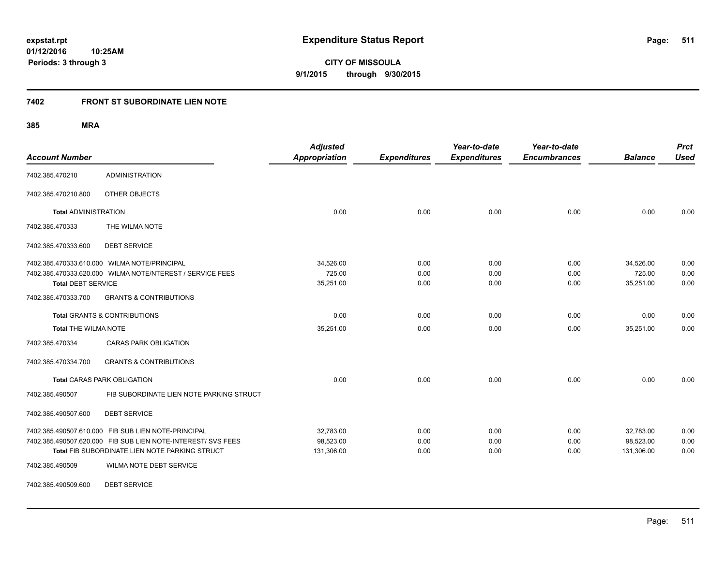**511**

**01/12/2016 10:25AM Periods: 3 through 3**

**CITY OF MISSOULA 9/1/2015 through 9/30/2015**

#### **7402 FRONT ST SUBORDINATE LIEN NOTE**

**385 MRA**

| <b>Account Number</b>       |                                                              | <b>Adjusted</b><br><b>Appropriation</b> | <b>Expenditures</b> | Year-to-date<br><b>Expenditures</b> | Year-to-date<br><b>Encumbrances</b> | <b>Balance</b> | <b>Prct</b><br><b>Used</b> |
|-----------------------------|--------------------------------------------------------------|-----------------------------------------|---------------------|-------------------------------------|-------------------------------------|----------------|----------------------------|
| 7402.385.470210             | <b>ADMINISTRATION</b>                                        |                                         |                     |                                     |                                     |                |                            |
| 7402.385.470210.800         | OTHER OBJECTS                                                |                                         |                     |                                     |                                     |                |                            |
| <b>Total ADMINISTRATION</b> |                                                              | 0.00                                    | 0.00                | 0.00                                | 0.00                                | 0.00           | 0.00                       |
| 7402.385.470333             | THE WILMA NOTE                                               |                                         |                     |                                     |                                     |                |                            |
| 7402.385.470333.600         | <b>DEBT SERVICE</b>                                          |                                         |                     |                                     |                                     |                |                            |
|                             | 7402.385.470333.610.000 WILMA NOTE/PRINCIPAL                 | 34,526.00                               | 0.00                | 0.00                                | 0.00                                | 34,526.00      | 0.00                       |
|                             | 7402.385.470333.620.000 WILMA NOTE/NTEREST / SERVICE FEES    | 725.00                                  | 0.00                | 0.00                                | 0.00                                | 725.00         | 0.00                       |
| <b>Total DEBT SERVICE</b>   |                                                              | 35,251.00                               | 0.00                | 0.00                                | 0.00                                | 35,251.00      | 0.00                       |
| 7402.385.470333.700         | <b>GRANTS &amp; CONTRIBUTIONS</b>                            |                                         |                     |                                     |                                     |                |                            |
|                             | <b>Total GRANTS &amp; CONTRIBUTIONS</b>                      | 0.00                                    | 0.00                | 0.00                                | 0.00                                | 0.00           | 0.00                       |
| <b>Total THE WILMA NOTE</b> |                                                              | 35,251.00                               | 0.00                | 0.00                                | 0.00                                | 35,251.00      | 0.00                       |
| 7402.385.470334             | <b>CARAS PARK OBLIGATION</b>                                 |                                         |                     |                                     |                                     |                |                            |
| 7402.385.470334.700         | <b>GRANTS &amp; CONTRIBUTIONS</b>                            |                                         |                     |                                     |                                     |                |                            |
|                             | <b>Total CARAS PARK OBLIGATION</b>                           | 0.00                                    | 0.00                | 0.00                                | 0.00                                | 0.00           | 0.00                       |
| 7402.385.490507             | FIB SUBORDINATE LIEN NOTE PARKING STRUCT                     |                                         |                     |                                     |                                     |                |                            |
| 7402.385.490507.600         | <b>DEBT SERVICE</b>                                          |                                         |                     |                                     |                                     |                |                            |
|                             | 7402.385.490507.610.000 FIB SUB LIEN NOTE-PRINCIPAL          | 32,783.00                               | 0.00                | 0.00                                | 0.00                                | 32,783.00      | 0.00                       |
|                             | 7402.385.490507.620.000 FIB SUB LIEN NOTE-INTEREST/ SVS FEES | 98,523.00                               | 0.00                | 0.00                                | 0.00                                | 98,523.00      | 0.00                       |
|                             | Total FIB SUBORDINATE LIEN NOTE PARKING STRUCT               | 131,306.00                              | 0.00                | 0.00                                | 0.00                                | 131,306.00     | 0.00                       |
| 7402.385.490509             | WILMA NOTE DEBT SERVICE                                      |                                         |                     |                                     |                                     |                |                            |

7402.385.490509.600 DEBT SERVICE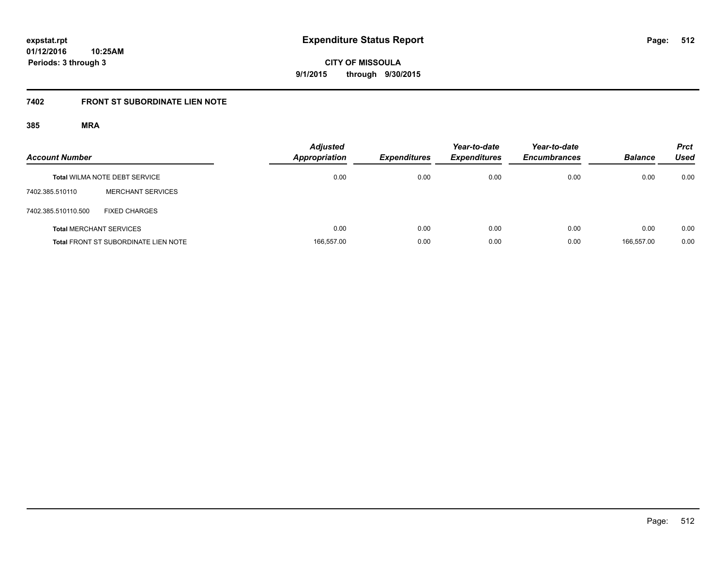**CITY OF MISSOULA 9/1/2015 through 9/30/2015**

# **7402 FRONT ST SUBORDINATE LIEN NOTE**

| <b>Account Number</b> |                                             | <b>Adjusted</b><br>Appropriation | <b>Expenditures</b> | Year-to-date<br><b>Expenditures</b> | Year-to-date<br><b>Encumbrances</b> | <b>Balance</b> | <b>Prct</b><br><b>Used</b> |
|-----------------------|---------------------------------------------|----------------------------------|---------------------|-------------------------------------|-------------------------------------|----------------|----------------------------|
|                       | <b>Total WILMA NOTE DEBT SERVICE</b>        | 0.00                             | 0.00                | 0.00                                | 0.00                                | 0.00           | 0.00                       |
| 7402.385.510110       | <b>MERCHANT SERVICES</b>                    |                                  |                     |                                     |                                     |                |                            |
| 7402.385.510110.500   | <b>FIXED CHARGES</b>                        |                                  |                     |                                     |                                     |                |                            |
|                       | <b>Total MERCHANT SERVICES</b>              | 0.00                             | 0.00                | 0.00                                | 0.00                                | 0.00           | 0.00                       |
|                       | <b>Total FRONT ST SUBORDINATE LIEN NOTE</b> | 166,557.00                       | 0.00                | 0.00                                | 0.00                                | 166.557.00     | 0.00                       |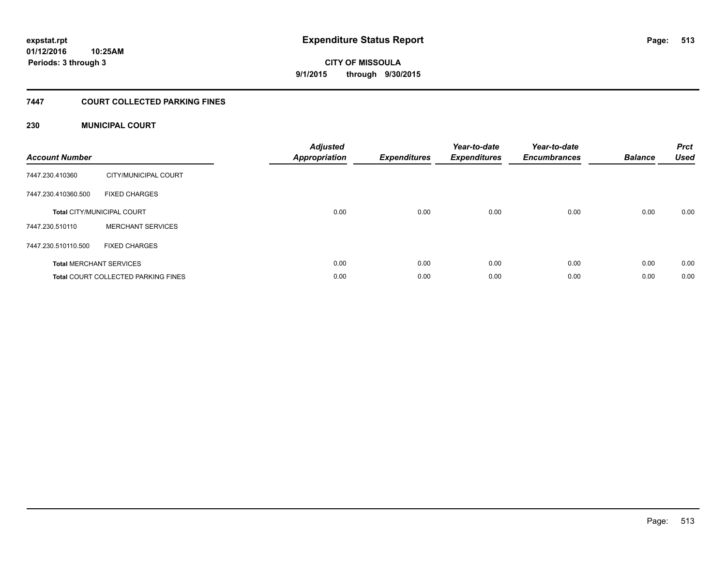**513**

**01/12/2016 10:25AM Periods: 3 through 3**

**CITY OF MISSOULA 9/1/2015 through 9/30/2015**

### **7447 COURT COLLECTED PARKING FINES**

### **230 MUNICIPAL COURT**

| <b>Account Number</b> |                                            | <b>Adjusted</b><br>Appropriation | <b>Expenditures</b> | Year-to-date<br><b>Expenditures</b> | Year-to-date<br><b>Encumbrances</b> | <b>Balance</b> | <b>Prct</b><br><b>Used</b> |
|-----------------------|--------------------------------------------|----------------------------------|---------------------|-------------------------------------|-------------------------------------|----------------|----------------------------|
| 7447.230.410360       | CITY/MUNICIPAL COURT                       |                                  |                     |                                     |                                     |                |                            |
| 7447.230.410360.500   | <b>FIXED CHARGES</b>                       |                                  |                     |                                     |                                     |                |                            |
|                       | <b>Total CITY/MUNICIPAL COURT</b>          | 0.00                             | 0.00                | 0.00                                | 0.00                                | 0.00           | 0.00                       |
| 7447.230.510110       | <b>MERCHANT SERVICES</b>                   |                                  |                     |                                     |                                     |                |                            |
| 7447.230.510110.500   | <b>FIXED CHARGES</b>                       |                                  |                     |                                     |                                     |                |                            |
|                       | <b>Total MERCHANT SERVICES</b>             | 0.00                             | 0.00                | 0.00                                | 0.00                                | 0.00           | 0.00                       |
|                       | <b>Total COURT COLLECTED PARKING FINES</b> | 0.00                             | 0.00                | 0.00                                | 0.00                                | 0.00           | 0.00                       |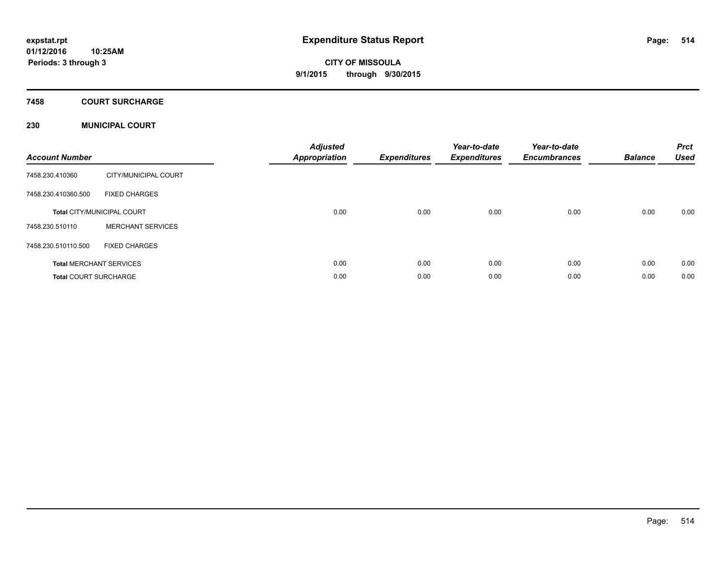**Periods: 3 through 3**

**CITY OF MISSOULA 9/1/2015 through 9/30/2015**

## **7458 COURT SURCHARGE**

### **230 MUNICIPAL COURT**

| <b>Account Number</b>        |                                   | <b>Adjusted</b><br><b>Appropriation</b> | <b>Expenditures</b> | Year-to-date<br><b>Expenditures</b> | Year-to-date<br><b>Encumbrances</b> | <b>Balance</b> | <b>Prct</b><br><b>Used</b> |
|------------------------------|-----------------------------------|-----------------------------------------|---------------------|-------------------------------------|-------------------------------------|----------------|----------------------------|
| 7458.230.410360              | CITY/MUNICIPAL COURT              |                                         |                     |                                     |                                     |                |                            |
| 7458.230.410360.500          | <b>FIXED CHARGES</b>              |                                         |                     |                                     |                                     |                |                            |
|                              | <b>Total CITY/MUNICIPAL COURT</b> | 0.00                                    | 0.00                | 0.00                                | 0.00                                | 0.00           | 0.00                       |
| 7458.230.510110              | <b>MERCHANT SERVICES</b>          |                                         |                     |                                     |                                     |                |                            |
| 7458.230.510110.500          | <b>FIXED CHARGES</b>              |                                         |                     |                                     |                                     |                |                            |
|                              | <b>Total MERCHANT SERVICES</b>    | 0.00                                    | 0.00                | 0.00                                | 0.00                                | 0.00           | 0.00                       |
| <b>Total COURT SURCHARGE</b> |                                   | 0.00                                    | 0.00                | 0.00                                | 0.00                                | 0.00           | 0.00                       |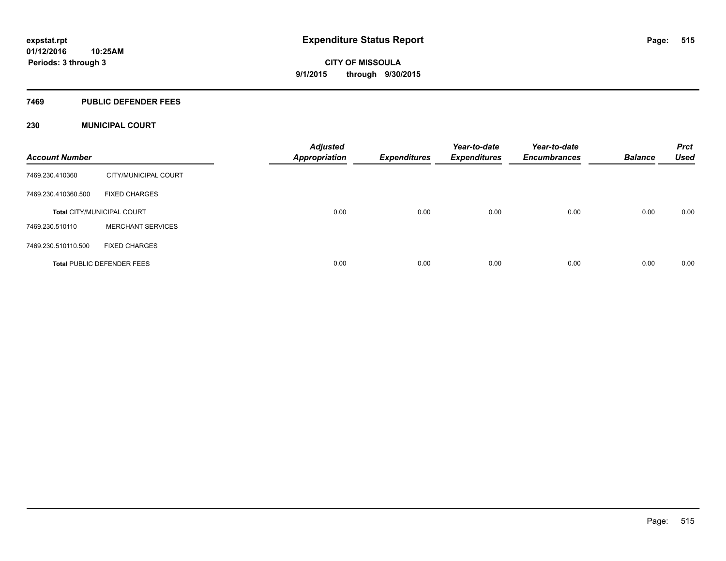#### **7469 PUBLIC DEFENDER FEES**

### **230 MUNICIPAL COURT**

| <b>Account Number</b> |                                   | <b>Adjusted</b><br><b>Appropriation</b> | <b>Expenditures</b> | Year-to-date<br><b>Expenditures</b> | Year-to-date<br><b>Encumbrances</b> | <b>Balance</b> | <b>Prct</b><br><b>Used</b> |
|-----------------------|-----------------------------------|-----------------------------------------|---------------------|-------------------------------------|-------------------------------------|----------------|----------------------------|
| 7469.230.410360       | CITY/MUNICIPAL COURT              |                                         |                     |                                     |                                     |                |                            |
| 7469.230.410360.500   | <b>FIXED CHARGES</b>              |                                         |                     |                                     |                                     |                |                            |
|                       | <b>Total CITY/MUNICIPAL COURT</b> | 0.00                                    | 0.00                | 0.00                                | 0.00                                | 0.00           | 0.00                       |
| 7469.230.510110       | <b>MERCHANT SERVICES</b>          |                                         |                     |                                     |                                     |                |                            |
| 7469.230.510110.500   | <b>FIXED CHARGES</b>              |                                         |                     |                                     |                                     |                |                            |
|                       | <b>Total PUBLIC DEFENDER FEES</b> | 0.00                                    | 0.00                | 0.00                                | 0.00                                | 0.00           | 0.00                       |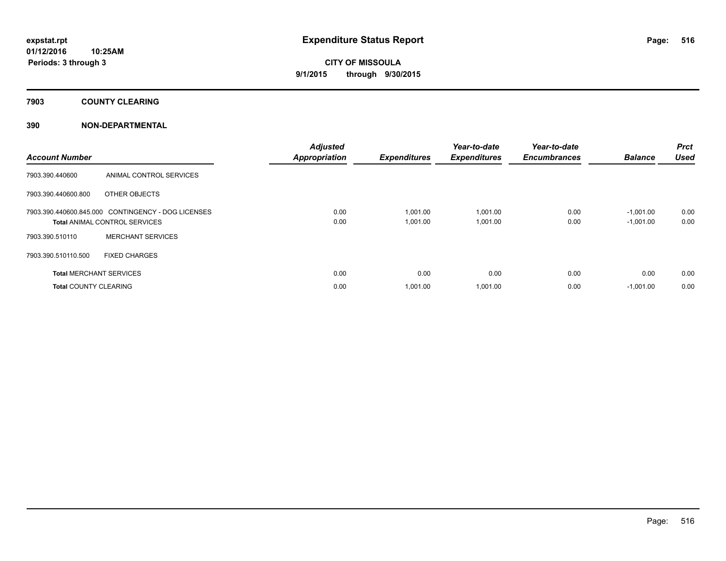**7903 COUNTY CLEARING**

### **390 NON-DEPARTMENTAL**

| <b>Account Number</b>          |                                                                                            | <b>Adjusted</b><br><b>Appropriation</b> | <b>Expenditures</b>  | Year-to-date<br><b>Expenditures</b> | Year-to-date<br><b>Encumbrances</b> | <b>Balance</b>             | Prct<br><b>Used</b> |
|--------------------------------|--------------------------------------------------------------------------------------------|-----------------------------------------|----------------------|-------------------------------------|-------------------------------------|----------------------------|---------------------|
| 7903.390.440600                | ANIMAL CONTROL SERVICES                                                                    |                                         |                      |                                     |                                     |                            |                     |
| 7903.390.440600.800            | OTHER OBJECTS                                                                              |                                         |                      |                                     |                                     |                            |                     |
|                                | 7903.390.440600.845.000 CONTINGENCY - DOG LICENSES<br><b>Total ANIMAL CONTROL SERVICES</b> | 0.00<br>0.00                            | 1,001.00<br>1,001.00 | 1,001.00<br>1,001.00                | 0.00<br>0.00                        | $-1,001.00$<br>$-1,001.00$ | 0.00<br>0.00        |
| 7903.390.510110                | <b>MERCHANT SERVICES</b>                                                                   |                                         |                      |                                     |                                     |                            |                     |
| 7903.390.510110.500            | <b>FIXED CHARGES</b>                                                                       |                                         |                      |                                     |                                     |                            |                     |
| <b>Total MERCHANT SERVICES</b> |                                                                                            | 0.00                                    | 0.00                 | 0.00                                | 0.00                                | 0.00                       | 0.00                |
| <b>Total COUNTY CLEARING</b>   |                                                                                            | 0.00                                    | 1,001.00             | 1.001.00                            | 0.00                                | $-1.001.00$                | 0.00                |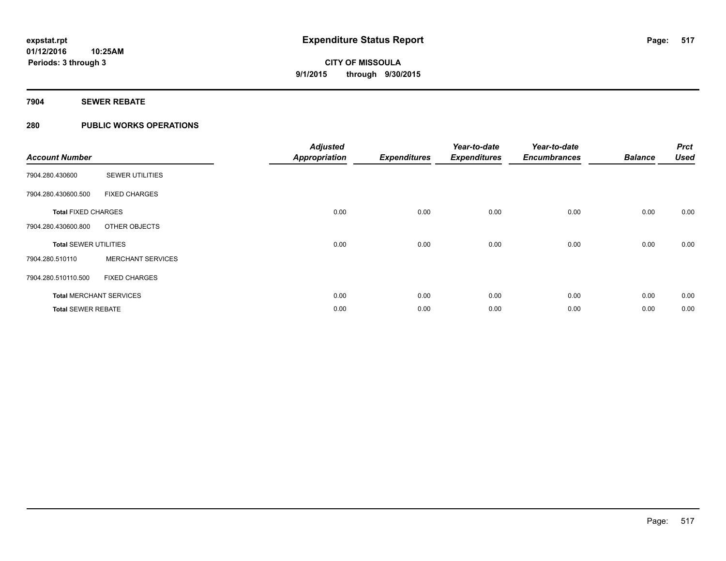### **7904 SEWER REBATE**

### **280 PUBLIC WORKS OPERATIONS**

| <b>Account Number</b>          |                          | <b>Adjusted</b><br><b>Appropriation</b> | <b>Expenditures</b> | Year-to-date<br><b>Expenditures</b> | Year-to-date<br><b>Encumbrances</b> | <b>Balance</b> | <b>Prct</b><br><b>Used</b> |
|--------------------------------|--------------------------|-----------------------------------------|---------------------|-------------------------------------|-------------------------------------|----------------|----------------------------|
| 7904.280.430600                | <b>SEWER UTILITIES</b>   |                                         |                     |                                     |                                     |                |                            |
| 7904.280.430600.500            | <b>FIXED CHARGES</b>     |                                         |                     |                                     |                                     |                |                            |
| <b>Total FIXED CHARGES</b>     |                          | 0.00                                    | 0.00                | 0.00                                | 0.00                                | 0.00           | 0.00                       |
| 7904.280.430600.800            | OTHER OBJECTS            |                                         |                     |                                     |                                     |                |                            |
| <b>Total SEWER UTILITIES</b>   |                          | 0.00                                    | 0.00                | 0.00                                | 0.00                                | 0.00           | 0.00                       |
| 7904.280.510110                | <b>MERCHANT SERVICES</b> |                                         |                     |                                     |                                     |                |                            |
| 7904.280.510110.500            | <b>FIXED CHARGES</b>     |                                         |                     |                                     |                                     |                |                            |
| <b>Total MERCHANT SERVICES</b> |                          | 0.00                                    | 0.00                | 0.00                                | 0.00                                | 0.00           | 0.00                       |
| <b>Total SEWER REBATE</b>      |                          | 0.00                                    | 0.00                | 0.00                                | 0.00                                | 0.00           | 0.00                       |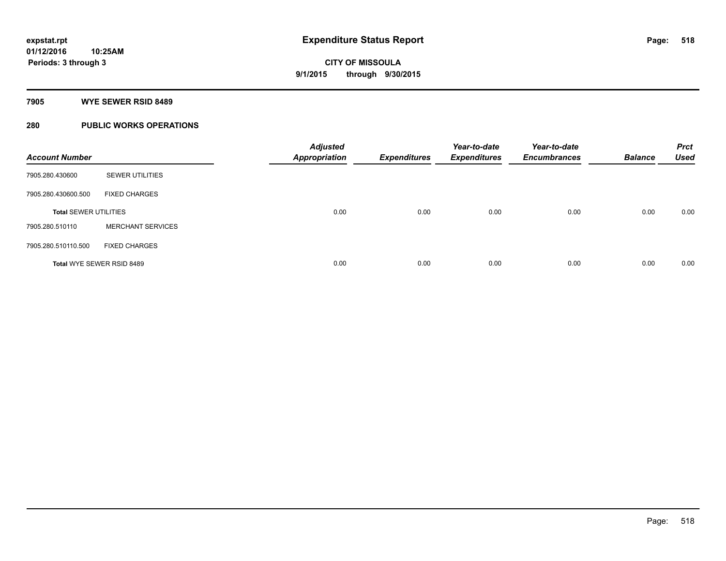#### **7905 WYE SEWER RSID 8489**

### **280 PUBLIC WORKS OPERATIONS**

| <b>Account Number</b>        |                          | <b>Adjusted</b><br><b>Appropriation</b> | <b>Expenditures</b> | Year-to-date<br><b>Expenditures</b> | Year-to-date<br><b>Encumbrances</b> | <b>Balance</b> | <b>Prct</b><br><b>Used</b> |
|------------------------------|--------------------------|-----------------------------------------|---------------------|-------------------------------------|-------------------------------------|----------------|----------------------------|
| 7905.280.430600              | <b>SEWER UTILITIES</b>   |                                         |                     |                                     |                                     |                |                            |
| 7905.280.430600.500          | <b>FIXED CHARGES</b>     |                                         |                     |                                     |                                     |                |                            |
| <b>Total SEWER UTILITIES</b> |                          | 0.00                                    | 0.00                | 0.00                                | 0.00                                | 0.00           | 0.00                       |
| 7905.280.510110              | <b>MERCHANT SERVICES</b> |                                         |                     |                                     |                                     |                |                            |
| 7905.280.510110.500          | <b>FIXED CHARGES</b>     |                                         |                     |                                     |                                     |                |                            |
| Total WYE SEWER RSID 8489    |                          | 0.00                                    | 0.00                | 0.00                                | 0.00                                | 0.00           | 0.00                       |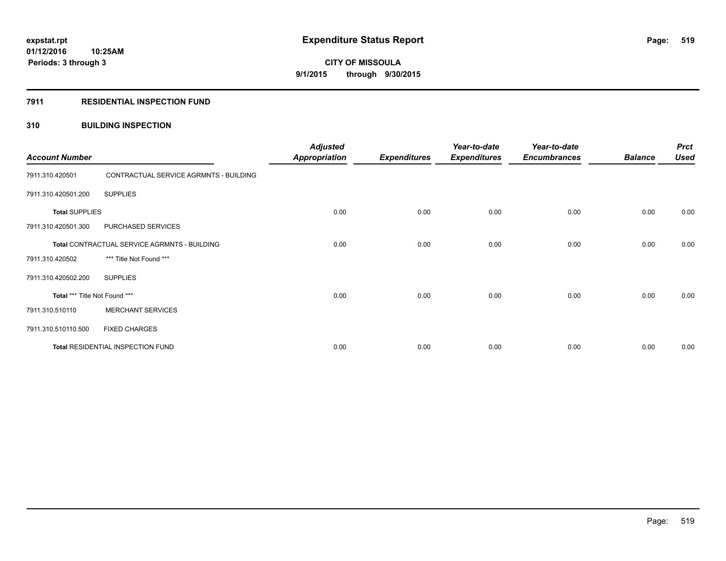#### **7911 RESIDENTIAL INSPECTION FUND**

### **310 BUILDING INSPECTION**

| <b>Account Number</b>                        |                                        | <b>Adjusted</b><br><b>Appropriation</b> | <b>Expenditures</b> | Year-to-date<br><b>Expenditures</b> | Year-to-date<br><b>Encumbrances</b> | <b>Balance</b> | <b>Prct</b><br><b>Used</b> |
|----------------------------------------------|----------------------------------------|-----------------------------------------|---------------------|-------------------------------------|-------------------------------------|----------------|----------------------------|
| 7911.310.420501                              | CONTRACTUAL SERVICE AGRMNTS - BUILDING |                                         |                     |                                     |                                     |                |                            |
| 7911.310.420501.200                          | <b>SUPPLIES</b>                        |                                         |                     |                                     |                                     |                |                            |
| <b>Total SUPPLIES</b>                        |                                        | 0.00                                    | 0.00                | 0.00                                | 0.00                                | 0.00           | 0.00                       |
| 7911.310.420501.300                          | PURCHASED SERVICES                     |                                         |                     |                                     |                                     |                |                            |
| Total CONTRACTUAL SERVICE AGRMNTS - BUILDING |                                        | 0.00                                    | 0.00                | 0.00                                | 0.00                                | 0.00           | 0.00                       |
| 7911.310.420502                              | *** Title Not Found ***                |                                         |                     |                                     |                                     |                |                            |
| 7911.310.420502.200                          | <b>SUPPLIES</b>                        |                                         |                     |                                     |                                     |                |                            |
| Total *** Title Not Found ***                |                                        | 0.00                                    | 0.00                | 0.00                                | 0.00                                | 0.00           | 0.00                       |
| 7911.310.510110                              | <b>MERCHANT SERVICES</b>               |                                         |                     |                                     |                                     |                |                            |
| 7911.310.510110.500                          | <b>FIXED CHARGES</b>                   |                                         |                     |                                     |                                     |                |                            |
| Total RESIDENTIAL INSPECTION FUND            |                                        | 0.00                                    | 0.00                | 0.00                                | 0.00                                | 0.00           | 0.00                       |